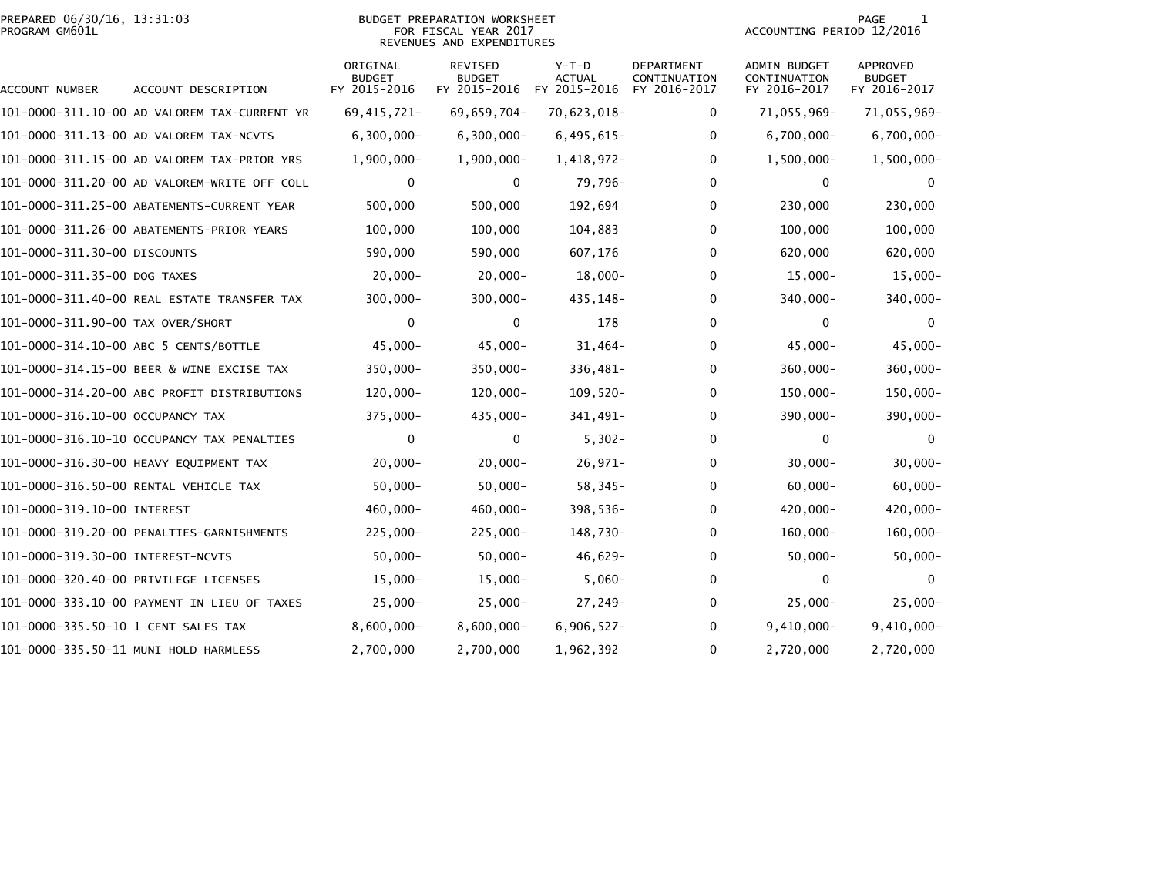#### PREPARED 06/30/16, 13:31:03<br>PROGRAM GM601L

#### BUDGET PREPARATION WORKSHEET<br>FOR FISCAL YEAR 2017 REVENUES AND EXPENDITURES

PAGE 1<br>ACCOUNTING PERIOD 12/2016

| ACCOUNT NUMBER                      | ACCOUNT DESCRIPTION                          | ORIGINAL<br><b>BUDGET</b><br>FY 2015-2016 | <b>REVISED</b><br><b>BUDGET</b><br>FY 2015-2016 | $Y-T-D$<br><b>ACTUAL</b><br>FY 2015-2016 | <b>DEPARTMENT</b><br>CONTINUATION<br>FY 2016-2017 | <b>ADMIN BUDGET</b><br>CONTINUATION<br>FY 2016-2017 | <b>APPROVED</b><br><b>BUDGET</b><br>FY 2016-2017 |
|-------------------------------------|----------------------------------------------|-------------------------------------------|-------------------------------------------------|------------------------------------------|---------------------------------------------------|-----------------------------------------------------|--------------------------------------------------|
|                                     | 101-0000-311.10-00 AD VALOREM TAX-CURRENT YR | 69, 415, 721-                             | 69,659,704-                                     | 70,623,018-                              | 0                                                 | 71,055,969-                                         | 71,055,969-                                      |
|                                     | 101-0000-311.13-00 AD VALOREM TAX-NCVTS      | $6,300,000 -$                             | $6,300,000 -$                                   | $6,495,615-$                             | 0                                                 | 6,700,000-                                          | $6,700,000 -$                                    |
|                                     | 101-0000-311.15-00 AD VALOREM TAX-PRIOR YRS  | $1,900,000 -$                             | $1,900,000 -$                                   | 1,418,972-                               | 0                                                 | $1,500,000 -$                                       | $1,500,000 -$                                    |
|                                     | 101-0000-311.20-00 AD VALOREM-WRITE OFF COLL | 0                                         | $\mathbf{0}$                                    | 79,796-                                  | $\Omega$                                          | 0                                                   |                                                  |
|                                     | 101-0000-311.25-00 ABATEMENTS-CURRENT YEAR   | 500,000                                   | 500,000                                         | 192,694                                  | 0                                                 | 230,000                                             | 230,000                                          |
|                                     | 101-0000-311.26-00 ABATEMENTS-PRIOR YEARS    | 100,000                                   | 100,000                                         | 104,883                                  | 0                                                 | 100,000                                             | 100,000                                          |
| 101-0000-311.30-00 DISCOUNTS        |                                              | 590,000                                   | 590,000                                         | 607,176                                  | 0                                                 | 620,000                                             | 620,000                                          |
| 101-0000-311.35-00 DOG TAXES        |                                              | $20,000-$                                 | $20,000-$                                       | $18,000 -$                               | 0                                                 | $15,000 -$                                          | $15,000 -$                                       |
|                                     | 101-0000-311.40-00 REAL ESTATE TRANSFER TAX  | $300,000 -$                               | $300,000 -$                                     | 435,148-                                 | 0                                                 | 340,000-                                            | 340,000-                                         |
| 101-0000-311.90-00 TAX OVER/SHORT   |                                              | 0                                         | 0                                               | 178                                      | 0                                                 | 0                                                   | $\mathbf{0}$                                     |
|                                     | 101-0000-314.10-00 ABC 5 CENTS/BOTTLE        | $45,000 -$                                | $45,000 -$                                      | $31,464-$                                | 0                                                 | $45,000 -$                                          | $45,000 -$                                       |
|                                     | 101-0000-314.15-00 BEER & WINE EXCISE TAX    | $350,000 -$                               | $350,000 -$                                     | 336,481-                                 | 0                                                 | $360,000 -$                                         | $360,000 -$                                      |
|                                     | 101-0000-314.20-00 ABC PROFIT DISTRIBUTIONS  | $120,000 -$                               | $120,000 -$                                     | $109,520-$                               | 0                                                 | $150,000 -$                                         | 150,000-                                         |
| 101-0000-316.10-00 OCCUPANCY TAX    |                                              | 375,000-                                  | 435,000-                                        | 341,491-                                 | 0                                                 | 390,000-                                            | 390,000-                                         |
|                                     | 101-0000-316.10-10 OCCUPANCY TAX PENALTIES   | 0                                         | 0                                               | $5,302-$                                 | 0                                                 | 0                                                   | $\Omega$                                         |
|                                     | 101-0000-316.30-00 HEAVY EQUIPMENT TAX       | $20,000-$                                 | $20,000 -$                                      | $26,971-$                                | 0                                                 | $30,000 -$                                          | $30,000 -$                                       |
|                                     | 101-0000-316.50-00 RENTAL VEHICLE TAX        | $50,000 -$                                | $50,000 -$                                      | $58,345-$                                | 0                                                 | $60,000 -$                                          | $60,000 -$                                       |
| 101-0000-319.10-00 INTEREST         |                                              | $460,000 -$                               | $460,000 -$                                     | $398,536-$                               | $\Omega$                                          | 420,000-                                            | 420,000-                                         |
|                                     | 101-0000-319.20-00 PENALTIES-GARNISHMENTS    | $225,000 -$                               | $225,000 -$                                     | 148,730-                                 | 0                                                 | $160,000 -$                                         | $160,000 -$                                      |
| 101-0000-319.30-00 INTEREST-NCVTS   |                                              | $50,000 -$                                | $50,000 -$                                      | $46,629-$                                | 0                                                 | $50,000 -$                                          | $50,000 -$                                       |
|                                     | 101-0000-320.40-00 PRIVILEGE LICENSES        | $15,000-$                                 | $15,000-$                                       | $5,060 -$                                | 0                                                 | 0                                                   |                                                  |
|                                     | 101-0000-333.10-00 PAYMENT IN LIEU OF TAXES  | $25,000 -$                                | $25,000-$                                       | 27,249-                                  | 0                                                 | $25,000 -$                                          | $25,000 -$                                       |
| 101-0000-335.50-10 1 CENT SALES TAX |                                              | $8,600,000 -$                             | $8,600,000 -$                                   | $6,906,527-$                             | 0                                                 | $9,410,000 -$                                       | $9,410,000 -$                                    |
|                                     | 101-0000-335.50-11 MUNI HOLD HARMLESS        | 2,700,000                                 | 2,700,000                                       | 1,962,392                                | 0                                                 | 2,720,000                                           | 2,720,000                                        |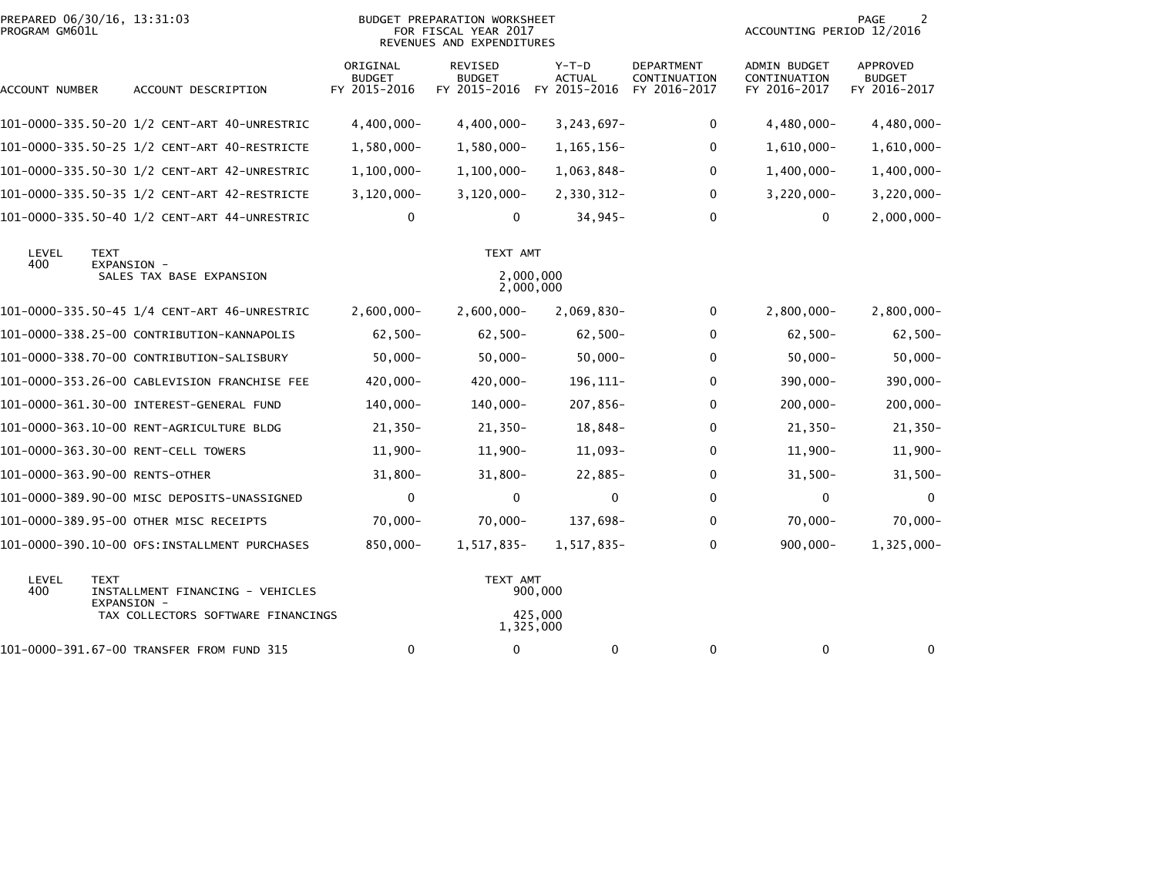| PROGRAM GM601L | PREPARED 06/30/16, 13:31:03<br><b>BUDGET PREPARATION WORKSHEET</b><br>FOR FISCAL YEAR 2017<br>REVENUES AND EXPENDITURES |                                           |                                          |                                        |                                            |                                              | 2<br>PAGE<br>ACCOUNTING PERIOD 12/2016    |  |  |
|----------------|-------------------------------------------------------------------------------------------------------------------------|-------------------------------------------|------------------------------------------|----------------------------------------|--------------------------------------------|----------------------------------------------|-------------------------------------------|--|--|
| ACCOUNT NUMBER | ACCOUNT DESCRIPTION                                                                                                     | ORIGINAL<br><b>BUDGET</b><br>FY 2015-2016 | REVISED<br><b>BUDGET</b><br>FY 2015-2016 | Y-T-D<br><b>ACTUAL</b><br>FY 2015-2016 | DEPARTMENT<br>CONTINUATION<br>FY 2016-2017 | ADMIN BUDGET<br>CONTINUATION<br>FY 2016-2017 | APPROVED<br><b>BUDGET</b><br>FY 2016-2017 |  |  |
|                | 101-0000-335.50-20 1/2 CENT-ART 40-UNRESTRIC                                                                            | $4,400,000 -$                             | $4,400,000 -$                            | $3, 243, 697 -$                        | 0                                          | $4,480,000 -$                                | $4,480,000 -$                             |  |  |
|                | 101-0000-335.50-25 1/2 CENT-ART 40-RESTRICTE                                                                            | 1,580,000-                                | 1,580,000-                               | 1, 165, 156-                           | 0                                          | 1,610,000-                                   | $1,610,000 -$                             |  |  |
|                |                                                                                                                         | $1,100,000 -$                             | $1,100,000 -$                            | 1,063,848-                             | 0                                          | $1,400,000 -$                                | $1,400,000 -$                             |  |  |
|                |                                                                                                                         | $3,120,000 -$                             | $3,120,000 -$                            | 2,330,312-                             | 0                                          | $3,220,000 -$                                | $3,220,000 -$                             |  |  |
|                | 101-0000-335.50-40 1/2 CENT-ART 44-UNRESTRIC                                                                            | 0                                         | 0                                        | $34,945-$                              | 0                                          | 0                                            | $2,000,000 -$                             |  |  |
| LEVEL          | <b>TEXT</b>                                                                                                             |                                           | TEXT AMT                                 |                                        |                                            |                                              |                                           |  |  |
| 400            | EXPANSION -<br>SALES TAX BASE EXPANSION                                                                                 |                                           | 2,000,000                                | 2,000,000                              |                                            |                                              |                                           |  |  |
|                | 101-0000-335.50-45 1/4 CENT-ART 46-UNRESTRIC                                                                            | $2,600,000 -$                             | $2,600,000 -$                            | $2,069,830-$                           | 0                                          | $2,800,000 -$                                | $2,800,000 -$                             |  |  |
|                | 101-0000-338.25-00 CONTRIBUTION-KANNAPOLIS                                                                              | $62,500-$                                 | $62,500 -$                               | $62,500 -$                             | 0                                          | $62,500 -$                                   | $62,500-$                                 |  |  |
|                | 101-0000-338.70-00 CONTRIBUTION-SALISBURY                                                                               | $50,000 -$                                | $50,000 -$                               | $50,000 -$                             | 0                                          | $50,000 -$                                   | $50,000 -$                                |  |  |
|                | 101-0000-353.26-00 CABLEVISION FRANCHISE FEE                                                                            | 420,000-                                  | 420,000-                                 | 196,111-                               | 0                                          | 390,000-                                     | $390,000 -$                               |  |  |
|                |                                                                                                                         | 140,000-                                  | 140,000-                                 | 207,856-                               | 0                                          | $200,000 -$                                  | $200,000 -$                               |  |  |
|                | 101-0000-363.10-00 RENT-AGRICULTURE BLDG                                                                                | $21,350-$                                 | $21,350-$                                | 18,848-                                | 0                                          | $21,350-$                                    | $21,350-$                                 |  |  |
|                | 101-0000-363.30-00 RENT-CELL TOWERS                                                                                     | $11,900 -$                                | $11,900 -$                               | $11,093-$                              | 0                                          | $11,900-$                                    | $11,900 -$                                |  |  |
|                | 101-0000-363.90-00 RENTS-OTHER                                                                                          | $31,800 -$                                | $31,800 -$                               | $22,885-$                              | 0                                          | $31,500 -$                                   | $31,500 -$                                |  |  |
|                | 101-0000-389.90-00 MISC DEPOSITS-UNASSIGNED                                                                             | 0                                         | 0                                        | 0                                      | $\mathbf{0}$                               | 0                                            | $\mathbf 0$                               |  |  |
|                | 101-0000-389.95-00 OTHER MISC RECEIPTS                                                                                  | $70,000 -$                                | $70,000 -$                               | 137,698-                               | 0                                          | $70,000 -$                                   | $70,000 -$                                |  |  |
|                | 101-0000-390.10-00 OFS:INSTALLMENT PURCHASES                                                                            | 850,000-                                  | 1,517,835-                               | 1,517,835-                             | 0                                          | $900,000 -$                                  | 1,325,000-                                |  |  |
| LEVEL<br>400   | <b>TEXT</b><br>INSTALLMENT FINANCING - VEHICLES<br>EXPANSION -                                                          |                                           | TEXT AMT                                 | 900,000                                |                                            |                                              |                                           |  |  |
|                | TAX COLLECTORS SOFTWARE FINANCINGS                                                                                      |                                           |                                          | 425,000<br>1,325,000                   |                                            |                                              |                                           |  |  |
|                | 101-0000-391.67-00 TRANSFER FROM FUND 315                                                                               | 0                                         | 0                                        | 0                                      | 0                                          | 0                                            | 0                                         |  |  |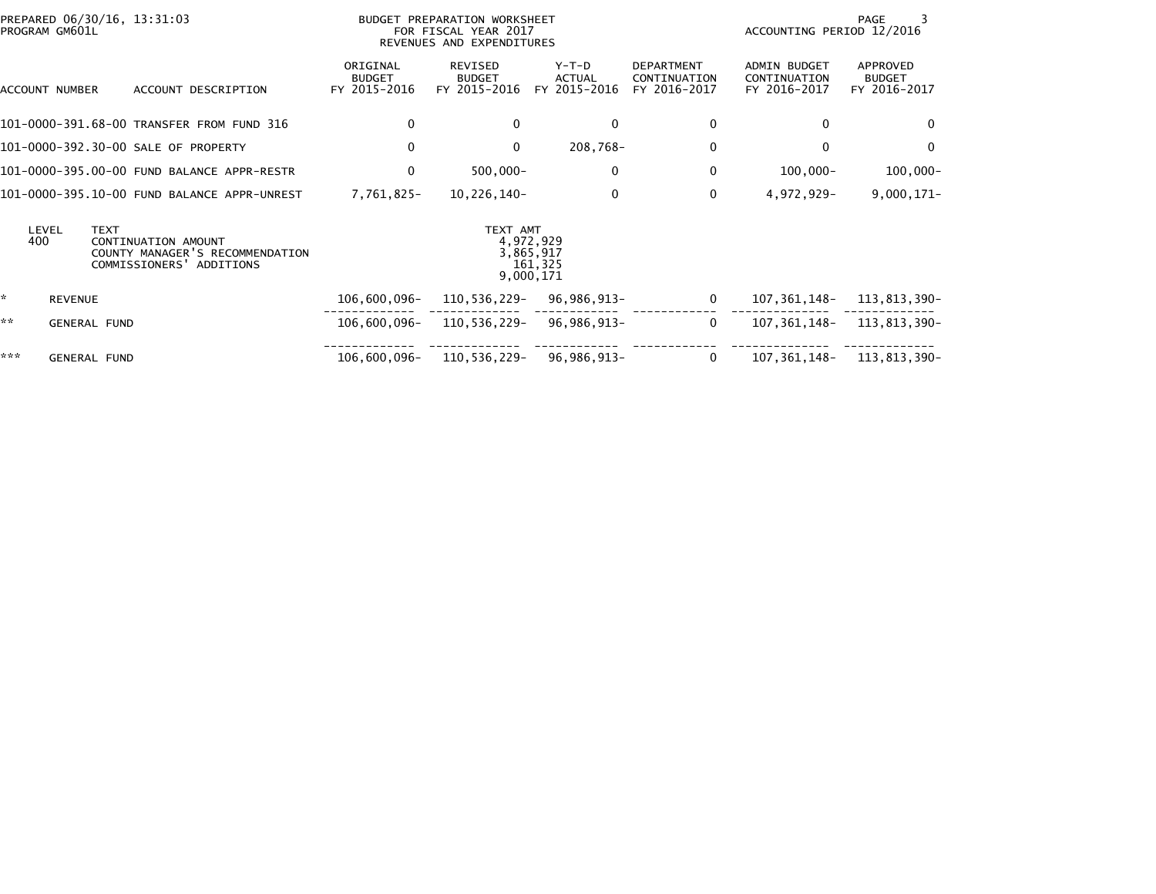| PREPARED 06/30/16, 13:31:03<br>BUDGET PREPARATION WORKSHEET<br>PROGRAM GM601L<br>FOR FISCAL YEAR 2017<br>REVENUES AND EXPENDITURES |                                                                                    |                                           |                                          |                                                |                                                   | PAGE<br>ACCOUNTING PERIOD 12/2016                   |                                           |  |  |
|------------------------------------------------------------------------------------------------------------------------------------|------------------------------------------------------------------------------------|-------------------------------------------|------------------------------------------|------------------------------------------------|---------------------------------------------------|-----------------------------------------------------|-------------------------------------------|--|--|
| ACCOUNT NUMBER                                                                                                                     | ACCOUNT DESCRIPTION                                                                | ORIGINAL<br><b>BUDGET</b><br>FY 2015-2016 | REVISED<br><b>BUDGET</b><br>FY 2015-2016 | $Y-T-D$<br><b>ACTUAL</b><br>FY 2015-2016       | <b>DEPARTMENT</b><br>CONTINUATION<br>FY 2016-2017 | <b>ADMIN BUDGET</b><br>CONTINUATION<br>FY 2016-2017 | APPROVED<br><b>BUDGET</b><br>FY 2016-2017 |  |  |
|                                                                                                                                    | 101-0000-391.68-00 TRANSFER FROM FUND 316                                          | 0                                         | $\Omega$                                 | $\Omega$                                       | 0                                                 | $\Omega$                                            | $\Omega$                                  |  |  |
| 101-0000-392.30-00 SALE OF PROPERTY                                                                                                |                                                                                    | $\mathbf 0$                               | $\mathbf{0}$                             | 208,768-                                       | $\mathbf 0$                                       | $\mathbf{0}$                                        | $\mathbf{0}$                              |  |  |
|                                                                                                                                    | 101-0000-395.00-00 FUND BALANCE APPR-RESTR                                         | $\mathbf 0$                               | $500,000 -$                              | $\mathbf 0$                                    | $\mathbf 0$                                       | $100,000 -$                                         | $100,000 -$                               |  |  |
|                                                                                                                                    | 101-0000-395.10-00 FUND BALANCE APPR-UNREST                                        | 7,761,825-                                | 10,226,140-                              | 0                                              | 0                                                 | 4,972,929-                                          | $9,000,171 -$                             |  |  |
| <b>TEXT</b><br>LEVEL<br>400                                                                                                        | CONTINUATION AMOUNT<br>COUNTY MANAGER'S RECOMMENDATION<br>COMMISSIONERS' ADDITIONS |                                           | TEXT AMT                                 | 4,972,929<br>3,865,917<br>161,325<br>9,000,171 |                                                   |                                                     |                                           |  |  |
| *<br><b>REVENUE</b>                                                                                                                |                                                                                    | 106,600,096-                              |                                          | $110, 536, 229 - 96, 986, 913 -$               | $\mathbf{0}$                                      | 107,361,148–                                        | 113,813,390-                              |  |  |
| **<br><b>GENERAL FUND</b>                                                                                                          |                                                                                    | 106,600,096–                              |                                          | 110,536,229- 96,986,913-                       | $\mathbf{0}$                                      | 107.361.148-                                        | 113,813,390-                              |  |  |
| ***<br><b>GENERAL FUND</b>                                                                                                         |                                                                                    |                                           | 106,600,096- 110,536,229- 96,986,913-    |                                                | $\mathbf{0}$                                      |                                                     | 107, 361, 148 - 113, 813, 390 -           |  |  |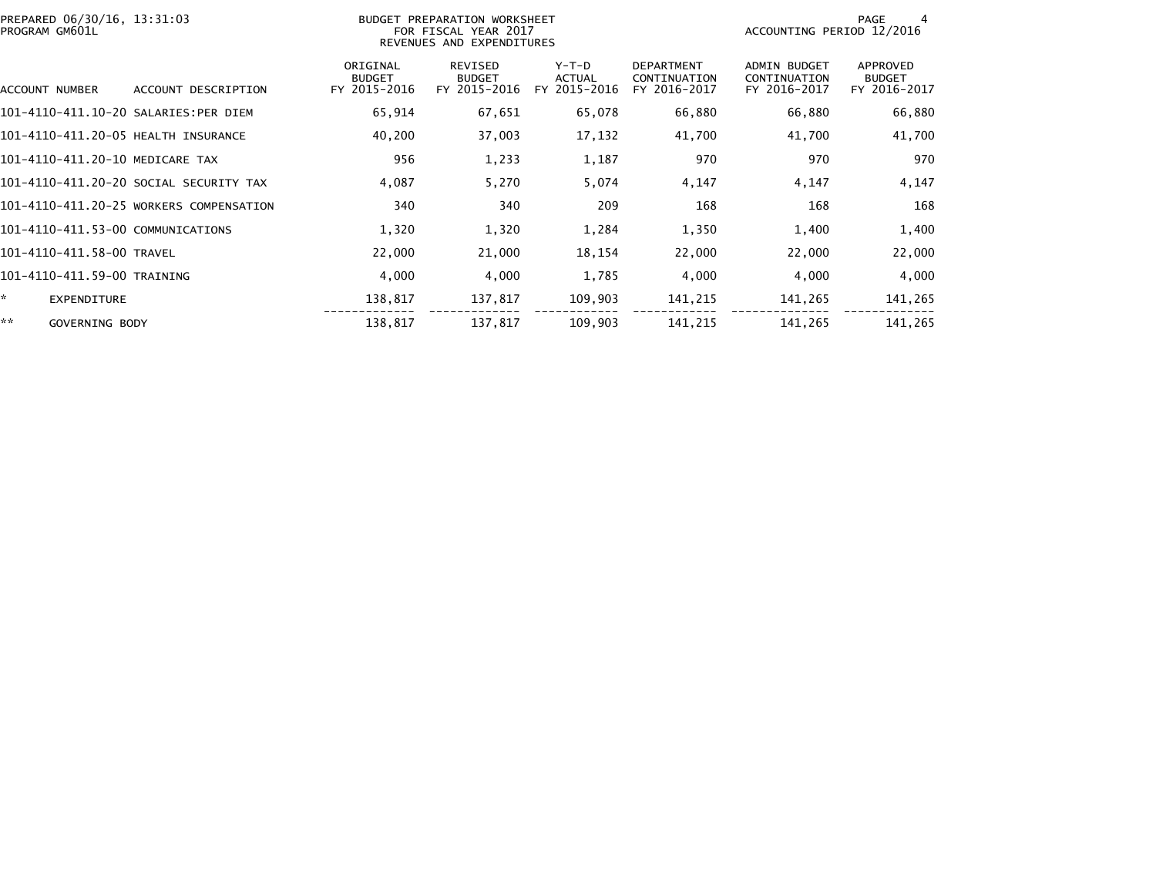| PREPARED 06/30/16, 13:31:03<br>BUDGET PREPARATION WORKSHEET<br>PROGRAM GM601L<br>FOR FISCAL YEAR 2017<br>REVENUES AND EXPENDITURES |                                         |                                           |                                                 |                                   |                                                   |                                                     | PAGE<br>4<br>ACCOUNTING PERIOD 12/2016    |  |  |
|------------------------------------------------------------------------------------------------------------------------------------|-----------------------------------------|-------------------------------------------|-------------------------------------------------|-----------------------------------|---------------------------------------------------|-----------------------------------------------------|-------------------------------------------|--|--|
| ACCOUNT NUMBER                                                                                                                     | ACCOUNT DESCRIPTION                     | ORIGINAL<br><b>BUDGET</b><br>FY 2015-2016 | <b>REVISED</b><br><b>BUDGET</b><br>FY 2015-2016 | $Y-T-D$<br>ACTUAL<br>FY 2015-2016 | <b>DEPARTMENT</b><br>CONTINUATION<br>FY 2016-2017 | <b>ADMIN BUDGET</b><br>CONTINUATION<br>FY 2016-2017 | APPROVED<br><b>BUDGET</b><br>FY 2016-2017 |  |  |
| 101-4110-411.10-20 SALARIES:PER DIEM                                                                                               |                                         | 65,914                                    | 67,651                                          | 65,078                            | 66,880                                            | 66,880                                              | 66,880                                    |  |  |
| 101-4110-411.20-05 HEALTH INSURANCE                                                                                                |                                         | 40,200                                    | 37,003                                          | 17,132                            | 41,700                                            | 41,700                                              | 41,700                                    |  |  |
| 101-4110-411.20-10 MEDICARE TAX                                                                                                    |                                         | 956                                       | 1,233                                           | 1,187                             | 970                                               | 970                                                 | 970                                       |  |  |
|                                                                                                                                    | 101–4110–411.20–20 SOCIAL SECURITY TAX  | 4,087                                     | 5,270                                           | 5,074                             | 4,147                                             | 4,147                                               | 4,147                                     |  |  |
|                                                                                                                                    | 101-4110-411.20-25 WORKERS COMPENSATION | 340                                       | 340                                             | 209                               | 168                                               | 168                                                 | 168                                       |  |  |
| 101-4110-411.53-00 COMMUNICATIONS                                                                                                  |                                         | 1,320                                     | 1,320                                           | 1,284                             | 1,350                                             | 1,400                                               | 1,400                                     |  |  |
| 101-4110-411.58-00 TRAVEL                                                                                                          |                                         | 22,000                                    | 21,000                                          | 18,154                            | 22,000                                            | 22,000                                              | 22,000                                    |  |  |
| 101-4110-411.59-00 TRAINING                                                                                                        |                                         | 4,000                                     | 4,000                                           | 1,785                             | 4,000                                             | 4,000                                               | 4,000                                     |  |  |
| ☆.<br><b>EXPENDITURE</b>                                                                                                           |                                         | 138,817                                   | 137,817                                         | 109,903                           | 141,215                                           | 141,265                                             | 141,265                                   |  |  |
| **<br>GOVERNING BODY                                                                                                               |                                         | 138,817                                   | 137,817                                         | 109,903                           | 141,215                                           | 141,265                                             | 141,265                                   |  |  |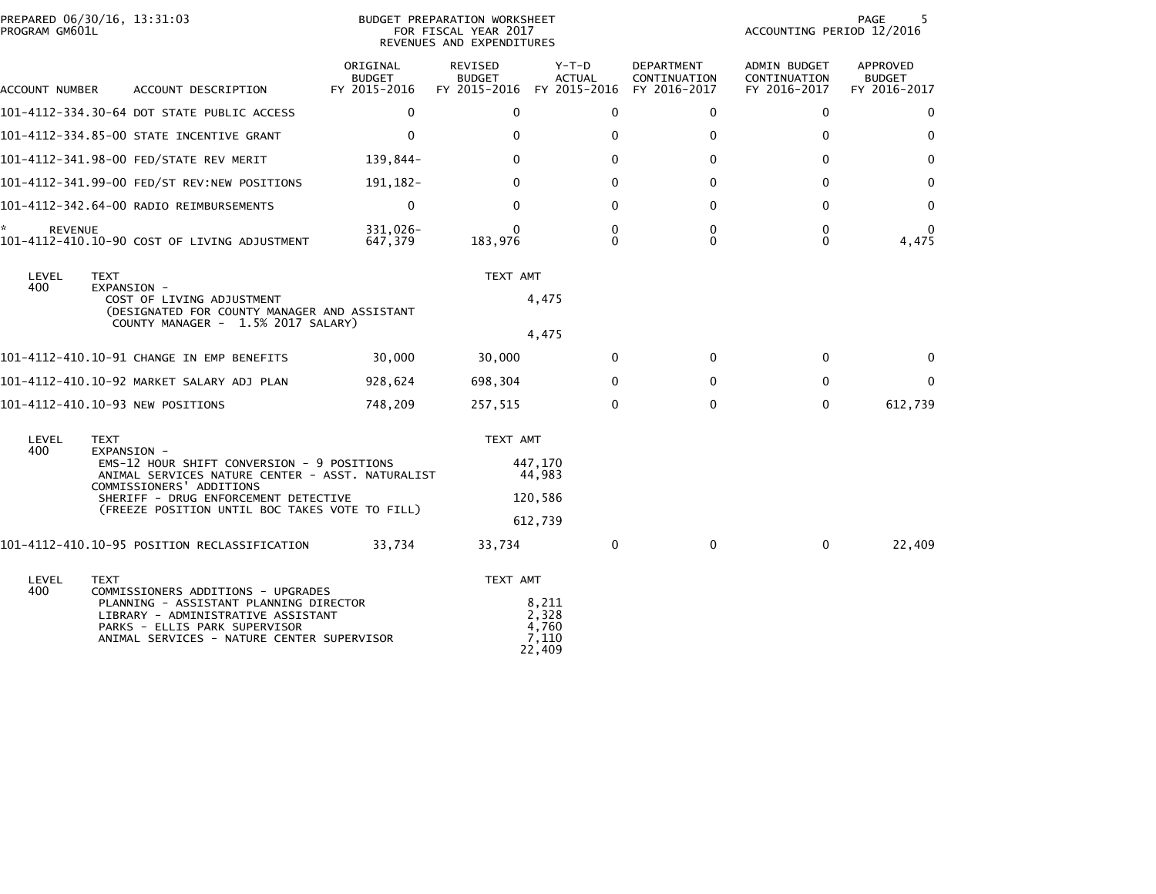| PREPARED 06/30/16, 13:31:03<br>PROGRAM GM601L |                                                                                                                                                                                                                                                    | BUDGET PREPARATION WORKSHEET<br>FOR FISCAL YEAR 2017<br>REVENUES AND EXPENDITURES |                                                                           |                                            |                                   | PAGE<br>5<br>ACCOUNTING PERIOD 12/2016       |                                           |  |
|-----------------------------------------------|----------------------------------------------------------------------------------------------------------------------------------------------------------------------------------------------------------------------------------------------------|-----------------------------------------------------------------------------------|---------------------------------------------------------------------------|--------------------------------------------|-----------------------------------|----------------------------------------------|-------------------------------------------|--|
| ACCOUNT NUMBER                                | ACCOUNT DESCRIPTION                                                                                                                                                                                                                                | ORIGINAL<br>BUDGET<br>FY 2015-2016                                                | <b>REVISED</b><br><b>BUDGET</b><br>FY 2015-2016 FY 2015-2016 FY 2016-2017 | Y-T-D<br><b>ACTUAL</b>                     | <b>DEPARTMENT</b><br>CONTINUATION | ADMIN BUDGET<br>CONTINUATION<br>FY 2016-2017 | APPROVED<br><b>BUDGET</b><br>FY 2016-2017 |  |
|                                               | 101-4112-334.30-64 DOT STATE PUBLIC ACCESS                                                                                                                                                                                                         | $\mathbf{0}$                                                                      | $\mathbf{0}$                                                              | $\mathbf{0}$                               | $\mathbf{0}$                      | $\mathbf{0}$                                 | $\Omega$                                  |  |
|                                               | 101-4112-334.85-00 STATE INCENTIVE GRANT                                                                                                                                                                                                           | $\mathbf{0}$                                                                      | $\Omega$                                                                  | $\mathbf{0}$                               | $\mathbf{0}$                      | $\mathbf{0}$                                 | $\mathbf{0}$                              |  |
|                                               | 101-4112-341.98-00 FED/STATE REV MERIT                                                                                                                                                                                                             | 139,844-                                                                          | 0                                                                         | $\Omega$                                   | $\mathbf{0}$                      | $\mathbf{0}$                                 | $\mathbf{0}$                              |  |
|                                               | 101-4112-341.99-00 FED/ST REV:NEW POSITIONS                                                                                                                                                                                                        | 191, 182-                                                                         | 0                                                                         | $\mathbf{0}$                               | $\Omega$                          | $\mathbf{0}$                                 | $\mathbf{0}$                              |  |
|                                               | 101-4112-342.64-00 RADIO REIMBURSEMENTS                                                                                                                                                                                                            | $\mathbf{0}$                                                                      | $\mathbf{0}$                                                              | $\mathbf{0}$                               | $\mathbf 0$                       | $\mathbf 0$                                  | 0                                         |  |
| *.<br><b>REVENUE</b>                          | 101-4112-410.10-90 COST OF LIVING ADJUSTMENT                                                                                                                                                                                                       | 331,026-<br>647,379                                                               | 183,976                                                                   | 0<br>$\Omega$                              | 0<br>$\Omega$                     | $\mathbf 0$<br>$\mathbf{0}$                  | $\mathbf{0}$<br>4,475                     |  |
| LEVEL<br>400                                  | <b>TEXT</b><br>EXPANSION -<br>COST OF LIVING ADJUSTMENT<br>(DESIGNATED FOR COUNTY MANAGER AND ASSISTANT<br>COUNTY MANAGER - 1.5% 2017 SALARY)                                                                                                      |                                                                                   | TEXT AMT                                                                  | 4,475<br>4,475                             |                                   |                                              |                                           |  |
|                                               | 101-4112-410.10-91 CHANGE IN EMP BENEFITS                                                                                                                                                                                                          | 30,000                                                                            | 30,000                                                                    | $\Omega$                                   | $\mathbf{0}$                      | $\Omega$                                     | $\Omega$                                  |  |
|                                               | 101–4112–410.10–92 MARKET SALARY ADJ PLAN                                                                                                                                                                                                          | 928,624                                                                           | 698,304                                                                   | $\mathbf{0}$                               | $\mathbf{0}$                      | $\mathbf{0}$                                 | $\mathbf{0}$                              |  |
|                                               | 101-4112-410.10-93 NEW POSITIONS                                                                                                                                                                                                                   | 748.209                                                                           | 257,515                                                                   | $\Omega$                                   | $\Omega$                          | $\Omega$                                     | 612,739                                   |  |
| LEVEL<br>400                                  | <b>TEXT</b><br>EXPANSION -<br>EMS-12 HOUR SHIFT CONVERSION - 9 POSITIONS<br>ANIMAL SERVICES NATURE CENTER - ASST. NATURALIST<br>COMMISSIONERS' ADDITIONS<br>SHERIFF - DRUG ENFORCEMENT DETECTIVE<br>(FREEZE POSITION UNTIL BOC TAKES VOTE TO FILL) |                                                                                   | TEXT AMT                                                                  | 447.170<br>44,983<br>120,586<br>612,739    |                                   |                                              |                                           |  |
|                                               | 101-4112-410.10-95 POSITION RECLASSIFICATION                                                                                                                                                                                                       | 33,734                                                                            | 33,734                                                                    | 0                                          | $\mathbf 0$                       | $\mathbf 0$                                  | 22,409                                    |  |
| LEVEL<br>400                                  | TEXT<br>COMMISSIONERS ADDITIONS - UPGRADES<br>PLANNING - ASSISTANT PLANNING DIRECTOR<br>LIBRARY - ADMINISTRATIVE ASSISTANT<br>PARKS - ELLIS PARK SUPERVISOR<br>ANIMAL SERVICES - NATURE CENTER SUPERVISOR                                          |                                                                                   | TEXT AMT                                                                  | 8,211<br>2,328<br>4,760<br>7,110<br>22,409 |                                   |                                              |                                           |  |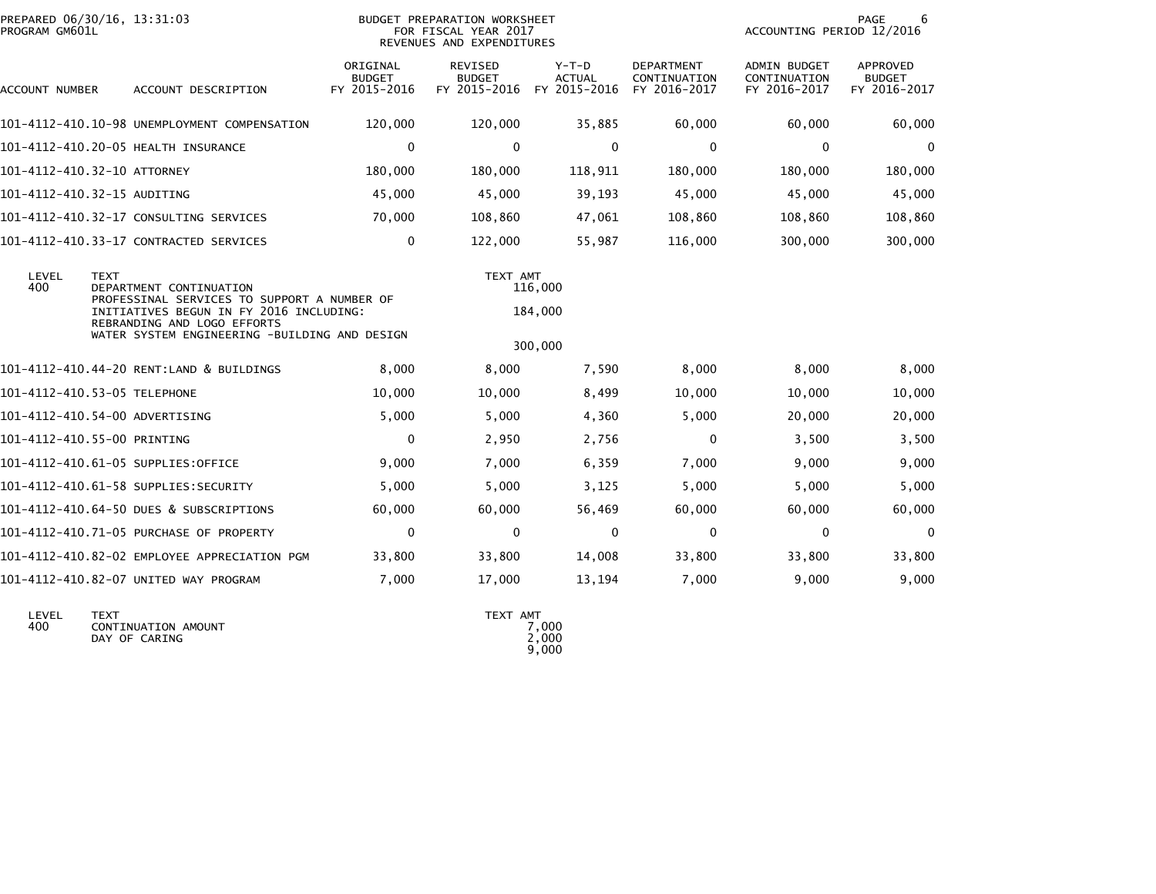| PROGRAM GM601L | PREPARED 06/30/16, 13:31:03                                                                                                                                                                                      | <b>BUDGET PREPARATION WORKSHEET</b><br>FOR FISCAL YEAR 2017<br>REVENUES AND EXPENDITURES |                                                 |                                          |                                                   |                                                     |                                                  |
|----------------|------------------------------------------------------------------------------------------------------------------------------------------------------------------------------------------------------------------|------------------------------------------------------------------------------------------|-------------------------------------------------|------------------------------------------|---------------------------------------------------|-----------------------------------------------------|--------------------------------------------------|
| ACCOUNT NUMBER | ACCOUNT DESCRIPTION                                                                                                                                                                                              | ORIGINAL<br><b>BUDGET</b><br>FY 2015-2016                                                | <b>REVISED</b><br><b>BUDGET</b><br>FY 2015-2016 | $Y-T-D$<br><b>ACTUAL</b><br>FY 2015-2016 | <b>DEPARTMENT</b><br>CONTINUATION<br>FY 2016-2017 | <b>ADMIN BUDGET</b><br>CONTINUATION<br>FY 2016-2017 | <b>APPROVED</b><br><b>BUDGET</b><br>FY 2016-2017 |
|                | 101-4112-410.10-98 UNEMPLOYMENT COMPENSATION                                                                                                                                                                     | 120,000                                                                                  | 120,000                                         | 35,885                                   | 60,000                                            | 60,000                                              | 60,000                                           |
|                | 101-4112-410.20-05 HEALTH INSURANCE                                                                                                                                                                              | $\mathbf 0$                                                                              | 0                                               | 0                                        | 0                                                 | 0                                                   | $\mathbf 0$                                      |
|                | 101-4112-410.32-10 ATTORNEY                                                                                                                                                                                      | 180,000                                                                                  | 180,000                                         | 118,911                                  | 180,000                                           | 180,000                                             | 180,000                                          |
|                | 101-4112-410.32-15 AUDITING                                                                                                                                                                                      | 45,000                                                                                   | 45,000                                          | 39,193                                   | 45,000                                            | 45,000                                              | 45,000                                           |
|                | 101-4112-410.32-17 CONSULTING SERVICES                                                                                                                                                                           | 70,000                                                                                   | 108,860                                         | 47,061                                   | 108,860                                           | 108,860                                             | 108,860                                          |
|                | 101-4112-410.33-17 CONTRACTED SERVICES                                                                                                                                                                           | $\mathbf 0$                                                                              | 122,000                                         | 55,987                                   | 116,000                                           | 300,000                                             | 300,000                                          |
| LEVEL<br>400   | <b>TEXT</b><br>DEPARTMENT CONTINUATION<br>PROFESSINAL SERVICES TO SUPPORT A NUMBER OF<br>INITIATIVES BEGUN IN FY 2016 INCLUDING:<br>REBRANDING AND LOGO EFFORTS<br>WATER SYSTEM ENGINEERING -BUILDING AND DESIGN |                                                                                          | TEXT AMT                                        | 116,000<br>184,000<br>300,000            |                                                   |                                                     |                                                  |
|                | 101-4112-410.44-20 RENT:LAND & BUILDINGS                                                                                                                                                                         | 8,000                                                                                    | 8,000                                           | 7,590                                    | 8,000                                             | 8,000                                               | 8,000                                            |
|                | 101-4112-410.53-05 TELEPHONE                                                                                                                                                                                     | 10,000                                                                                   | 10,000                                          | 8,499                                    | 10,000                                            | 10,000                                              | 10,000                                           |
|                | 101-4112-410.54-00 ADVERTISING                                                                                                                                                                                   | 5,000                                                                                    | 5,000                                           | 4,360                                    | 5,000                                             | 20,000                                              | 20,000                                           |
|                | 101-4112-410.55-00 PRINTING                                                                                                                                                                                      | $\mathbf 0$                                                                              | 2,950                                           | 2,756                                    | 0                                                 | 3,500                                               | 3,500                                            |
|                | 101-4112-410.61-05 SUPPLIES:OFFICE                                                                                                                                                                               | 9,000                                                                                    | 7,000                                           | 6,359                                    | 7,000                                             | 9,000                                               | 9,000                                            |
|                | 101-4112-410.61-58 SUPPLIES:SECURITY                                                                                                                                                                             | 5,000                                                                                    | 5,000                                           | 3,125                                    | 5,000                                             | 5,000                                               | 5,000                                            |
|                | 101-4112-410.64-50 DUES & SUBSCRIPTIONS                                                                                                                                                                          | 60,000                                                                                   | 60,000                                          | 56,469                                   | 60,000                                            | 60,000                                              | 60,000                                           |
|                | 101-4112-410.71-05 PURCHASE OF PROPERTY                                                                                                                                                                          | $\mathbf 0$                                                                              | $\Omega$                                        | $\mathbf 0$                              | $\mathbf 0$                                       | $\mathbf 0$                                         | $\Omega$                                         |
|                | 101-4112-410.82-02 EMPLOYEE APPRECIATION PGM                                                                                                                                                                     | 33,800                                                                                   | 33,800                                          | 14,008                                   | 33,800                                            | 33,800                                              | 33,800                                           |
|                | 101-4112-410.82-07 UNITED WAY PROGRAM                                                                                                                                                                            | 7,000                                                                                    | 17,000                                          | 13,194                                   | 7,000                                             | 9,000                                               | 9,000                                            |
|                |                                                                                                                                                                                                                  |                                                                                          |                                                 |                                          |                                                   |                                                     |                                                  |

| LEVEL | <b>TFXT</b>         | AMT<br><b>TEXT</b> |
|-------|---------------------|--------------------|
| 400   | CONTINUATION AMOUNT | 7.000              |
|       | DAY OF CARING       | 2,000              |
|       |                     | 9.000              |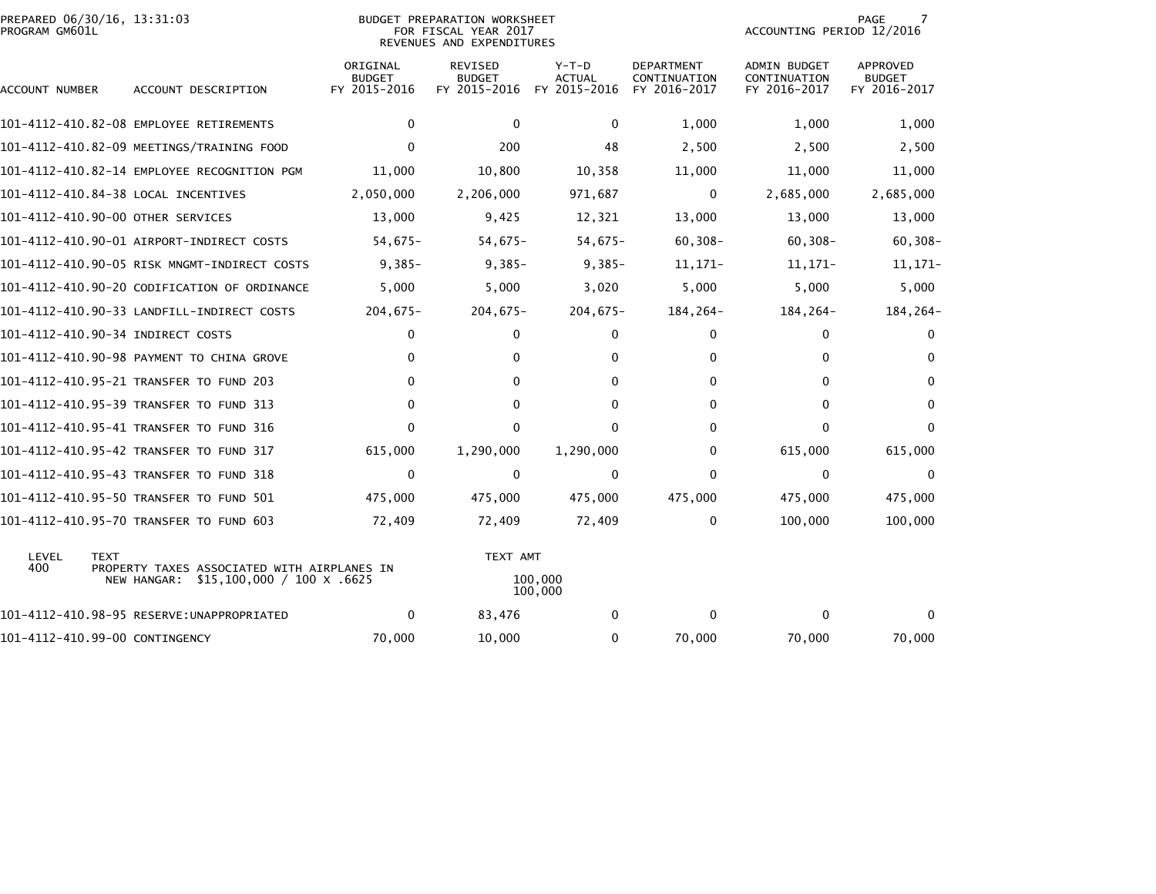| PREPARED 06/30/16, 13:31:03<br>PROGRAM GM601L |             |                                                                                       | <b>BUDGET PREPARATION WORKSHEET</b><br>FOR FISCAL YEAR 2017<br>REVENUES AND EXPENDITURES |                                                 |                                          |                                            |                                                     | 7<br>PAGE<br>ACCOUNTING PERIOD 12/2016    |  |  |
|-----------------------------------------------|-------------|---------------------------------------------------------------------------------------|------------------------------------------------------------------------------------------|-------------------------------------------------|------------------------------------------|--------------------------------------------|-----------------------------------------------------|-------------------------------------------|--|--|
| ACCOUNT NUMBER                                |             | ACCOUNT DESCRIPTION                                                                   | ORIGINAL<br><b>BUDGET</b><br>FY 2015-2016                                                | <b>REVISED</b><br><b>BUDGET</b><br>FY 2015-2016 | $Y-T-D$<br><b>ACTUAL</b><br>FY 2015-2016 | DEPARTMENT<br>CONTINUATION<br>FY 2016-2017 | <b>ADMIN BUDGET</b><br>CONTINUATION<br>FY 2016-2017 | APPROVED<br><b>BUDGET</b><br>FY 2016-2017 |  |  |
|                                               |             | 101-4112-410.82-08 EMPLOYEE RETIREMENTS                                               | $\Omega$                                                                                 | $\Omega$                                        | $\mathbf{0}$                             | 1,000                                      | 1,000                                               | 1,000                                     |  |  |
|                                               |             | 101-4112-410.82-09 MEETINGS/TRAINING FOOD                                             | $\Omega$                                                                                 | 200                                             | 48                                       | 2,500                                      | 2,500                                               | 2,500                                     |  |  |
|                                               |             | 101-4112-410.82-14 EMPLOYEE RECOGNITION PGM                                           | 11,000                                                                                   | 10,800                                          | 10,358                                   | 11,000                                     | 11,000                                              | 11,000                                    |  |  |
|                                               |             | 101-4112-410.84-38 LOCAL INCENTIVES                                                   | 2,050,000                                                                                | 2,206,000                                       | 971,687                                  | 0                                          | 2,685,000                                           | 2,685,000                                 |  |  |
|                                               |             | 101-4112-410.90-00 OTHER SERVICES                                                     | 13,000                                                                                   | 9,425                                           | 12,321                                   | 13,000                                     | 13,000                                              | 13,000                                    |  |  |
|                                               |             | 101-4112-410.90-01 AIRPORT-INDIRECT COSTS                                             | $54,675-$                                                                                | $54,675-$                                       | $54,675-$                                | $60, 308 -$                                | $60, 308 -$                                         | $60, 308 -$                               |  |  |
|                                               |             | 101-4112-410.90-05 RISK MNGMT-INDIRECT COSTS                                          | $9,385-$                                                                                 | $9,385-$                                        | $9,385-$                                 | $11, 171 -$                                | 11,171-                                             | $11,171-$                                 |  |  |
|                                               |             | 101-4112-410.90-20 CODIFICATION OF ORDINANCE                                          | 5,000                                                                                    | 5,000                                           | 3,020                                    | 5,000                                      | 5,000                                               | 5,000                                     |  |  |
|                                               |             | 101-4112-410.90-33 LANDFILL-INDIRECT COSTS                                            | $204,675-$                                                                               | $204,675-$                                      | $204,675-$                               | 184,264-                                   | 184,264-                                            | 184,264-                                  |  |  |
|                                               |             | 101-4112-410.90-34 INDIRECT COSTS                                                     | 0                                                                                        | $\mathbf{0}$                                    | 0                                        | 0                                          | 0                                                   | 0                                         |  |  |
|                                               |             | 101-4112-410.90-98 PAYMENT TO CHINA GROVE                                             | 0                                                                                        | 0                                               | $\Omega$                                 | $\Omega$                                   | $\mathbf{0}$                                        | $\Omega$                                  |  |  |
|                                               |             | 101-4112-410.95-21 TRANSFER TO FUND 203                                               | 0                                                                                        | $\Omega$                                        | $\Omega$                                 | $\Omega$                                   | $\mathbf{0}$                                        | $\Omega$                                  |  |  |
|                                               |             | 101-4112-410.95-39 TRANSFER TO FUND 313                                               | $\mathbf{0}$                                                                             | $\Omega$                                        | $\Omega$                                 | $\Omega$                                   | $\mathbf{0}$                                        | $\Omega$                                  |  |  |
|                                               |             | 101-4112-410.95-41 TRANSFER TO FUND 316                                               | 0                                                                                        | $\Omega$                                        | $\Omega$                                 | $\Omega$                                   | $\mathbf{0}$                                        | $\Omega$                                  |  |  |
|                                               |             | 101-4112-410.95-42 TRANSFER TO FUND 317                                               | 615,000                                                                                  | 1,290,000                                       | 1,290,000                                | 0                                          | 615,000                                             | 615,000                                   |  |  |
|                                               |             | 101-4112-410.95-43 TRANSFER TO FUND 318                                               | $\mathbf{0}$                                                                             | $\mathbf{0}$                                    | $\mathbf{0}$                             | $\Omega$                                   | $\mathbf{0}$                                        | $\mathbf{0}$                              |  |  |
|                                               |             | 101-4112-410.95-50 TRANSFER TO FUND 501                                               | 475,000                                                                                  | 475,000                                         | 475,000                                  | 475,000                                    | 475,000                                             | 475,000                                   |  |  |
|                                               |             | 101-4112-410.95-70 TRANSFER TO FUND 603                                               | 72,409                                                                                   | 72,409                                          | 72,409                                   | 0                                          | 100,000                                             | 100,000                                   |  |  |
| LEVEL<br>400                                  | <b>TEXT</b> | PROPERTY TAXES ASSOCIATED WITH AIRPLANES IN<br>NEW HANGAR: \$15,100,000 / 100 X .6625 |                                                                                          | TEXT AMT                                        | 100,000<br>100,000                       |                                            |                                                     |                                           |  |  |
|                                               |             |                                                                                       | 0                                                                                        | 83,476                                          | $\Omega$                                 | 0                                          | $\Omega$                                            | $\Omega$                                  |  |  |
| 101-4112-410.99-00 CONTINGENCY                |             |                                                                                       | 70,000                                                                                   | 10,000                                          | $\Omega$                                 | 70,000                                     | 70,000                                              | 70,000                                    |  |  |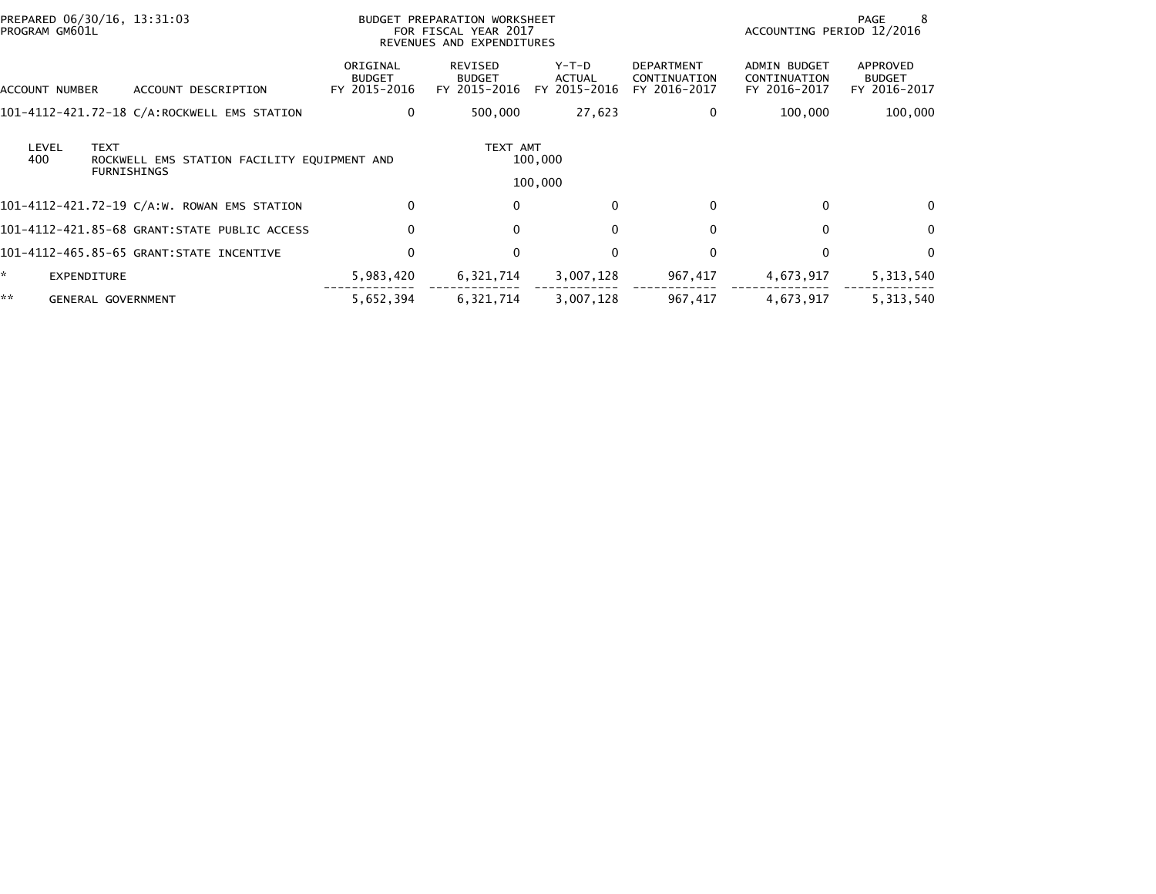| PREPARED 06/30/16, 13:31:03<br>PROGRAM GM601L |                                                                   | BUDGET PREPARATION WORKSHEET<br>FOR FISCAL YEAR 2017<br>REVENUES AND EXPENDITURES |                                          |                                        |                                                   | PAGE<br>-8<br>ACCOUNTING PERIOD 12/2016      |                                           |  |
|-----------------------------------------------|-------------------------------------------------------------------|-----------------------------------------------------------------------------------|------------------------------------------|----------------------------------------|---------------------------------------------------|----------------------------------------------|-------------------------------------------|--|
| ACCOUNT NUMBER                                | ACCOUNT DESCRIPTION                                               | ORIGINAL<br><b>BUDGET</b><br>FY 2015-2016                                         | REVISED<br><b>BUDGET</b><br>FY 2015-2016 | Y-T-D<br><b>ACTUAL</b><br>FY 2015-2016 | <b>DEPARTMENT</b><br>CONTINUATION<br>FY 2016-2017 | ADMIN BUDGET<br>CONTINUATION<br>FY 2016-2017 | APPROVED<br><b>BUDGET</b><br>FY 2016-2017 |  |
|                                               | 101-4112-421.72-18 C/A:ROCKWELL EMS STATION                       | 0                                                                                 | 500,000                                  | 27,623                                 | 0                                                 | 100,000                                      | 100,000                                   |  |
| <b>TEXT</b><br>LEVEL<br>400                   | ROCKWELL EMS STATION FACILITY EQUIPMENT AND<br><b>FURNISHINGS</b> |                                                                                   | TEXT AMT                                 | 100,000<br>100,000                     |                                                   |                                              |                                           |  |
|                                               | 101-4112-421.72-19 C/A:W. ROWAN EMS STATION                       | $\Omega$                                                                          | 0                                        | $\mathbf{0}$                           | $\Omega$                                          | $\mathbf{0}$                                 | $\Omega$                                  |  |
|                                               | 101-4112-421.85-68 GRANT:STATE PUBLIC ACCESS                      | 0                                                                                 | 0                                        | $\Omega$                               | 0                                                 | $\Omega$                                     | $\Omega$                                  |  |
|                                               | 101-4112-465.85-65 GRANT:STATE INCENTIVE                          | $\mathbf 0$                                                                       | 0                                        | $\mathbf{0}$                           | 0                                                 | $\mathbf{0}$                                 | $\Omega$                                  |  |
| $\mathbf{x}$<br><b>EXPENDITURE</b>            |                                                                   | 5,983,420                                                                         | 6,321,714                                | 3,007,128                              | 967,417                                           | 4,673,917                                    | 5,313,540                                 |  |
| **<br>GENERAL GOVERNMENT                      |                                                                   | 5,652,394                                                                         | 6,321,714                                | 3,007,128                              | 967,417                                           | 4,673,917                                    | 5,313,540                                 |  |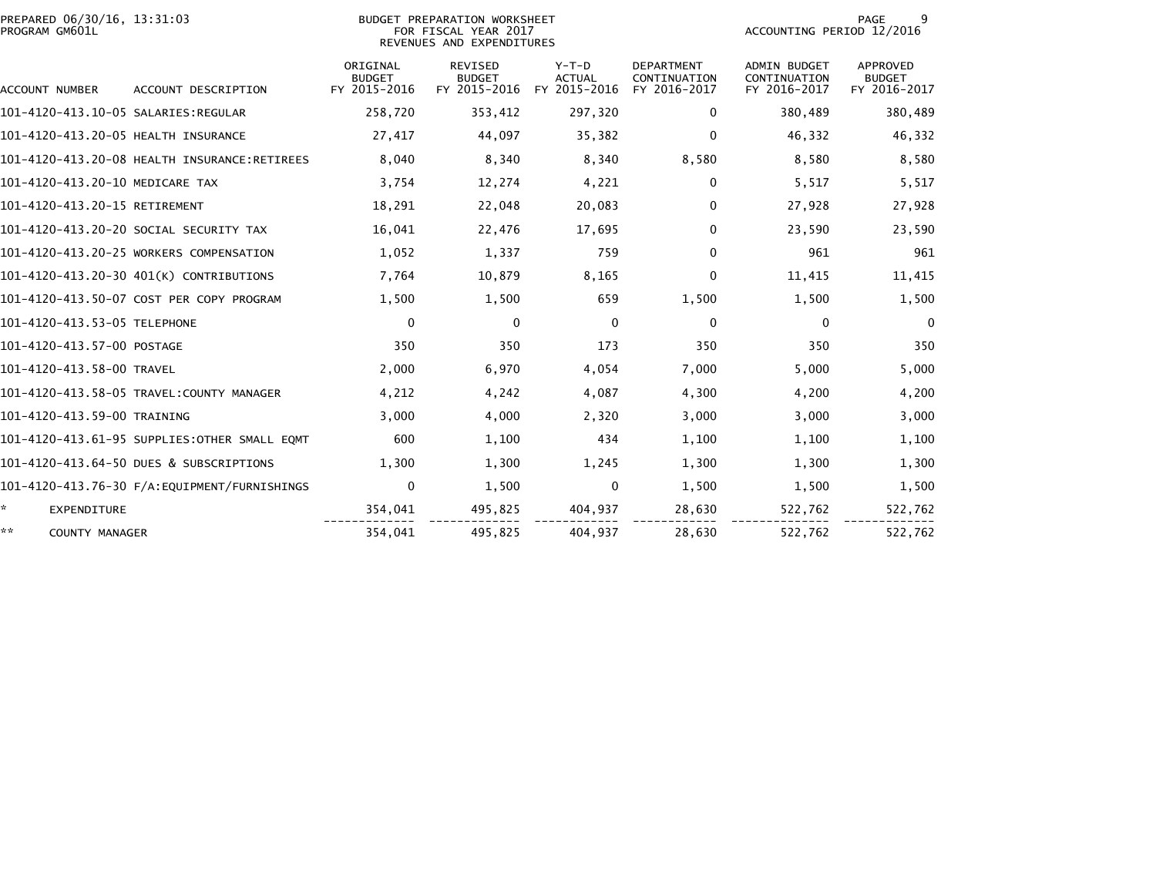| PREPARED 06/30/16, 13:31:03<br>PROGRAM GM601L |                                              |                                           | <b>BUDGET PREPARATION WORKSHEET</b><br>FOR FISCAL YEAR 2017<br>REVENUES AND EXPENDITURES |                                        |                                                   |                                                     | 9<br><b>PAGE</b><br>ACCOUNTING PERIOD 12/2016 |  |  |
|-----------------------------------------------|----------------------------------------------|-------------------------------------------|------------------------------------------------------------------------------------------|----------------------------------------|---------------------------------------------------|-----------------------------------------------------|-----------------------------------------------|--|--|
| ACCOUNT NUMBER                                | ACCOUNT DESCRIPTION                          | ORIGINAL<br><b>BUDGET</b><br>FY 2015-2016 | REVISED<br><b>BUDGET</b><br>FY 2015-2016                                                 | Y-T-D<br><b>ACTUAL</b><br>FY 2015-2016 | <b>DEPARTMENT</b><br>CONTINUATION<br>FY 2016-2017 | <b>ADMIN BUDGET</b><br>CONTINUATION<br>FY 2016-2017 | APPROVED<br><b>BUDGET</b><br>FY 2016-2017     |  |  |
|                                               |                                              | 258,720                                   | 353,412                                                                                  | 297,320                                | $\bf{0}$                                          | 380,489                                             | 380,489                                       |  |  |
| 101-4120-413.20-05 HEALTH INSURANCE           |                                              | 27,417                                    | 44,097                                                                                   | 35,382                                 | $\Omega$                                          | 46,332                                              | 46,332                                        |  |  |
|                                               | 101-4120-413.20-08 HEALTH INSURANCE:RETIREES | 8,040                                     | 8,340                                                                                    | 8,340                                  | 8,580                                             | 8,580                                               | 8,580                                         |  |  |
| 101-4120-413.20-10 MEDICARE TAX               |                                              | 3,754                                     | 12,274                                                                                   | 4,221                                  | $\mathbf{0}$                                      | 5,517                                               | 5,517                                         |  |  |
| 101-4120-413.20-15 RETIREMENT                 |                                              | 18,291                                    | 22,048                                                                                   | 20,083                                 | 0                                                 | 27,928                                              | 27,928                                        |  |  |
|                                               | 101–4120–413.20–20 SOCIAL SECURITY TAX       | 16,041                                    | 22,476                                                                                   | 17,695                                 | $\Omega$                                          | 23,590                                              | 23,590                                        |  |  |
|                                               | 101-4120-413.20-25 WORKERS COMPENSATION      | 1,052                                     | 1,337                                                                                    | 759                                    | $\Omega$                                          | 961                                                 | 961                                           |  |  |
|                                               | 101-4120-413.20-30 401(K) CONTRIBUTIONS      | 7,764                                     | 10,879                                                                                   | 8,165                                  | 0                                                 | 11,415                                              | 11,415                                        |  |  |
|                                               | 101-4120-413.50-07 COST PER COPY PROGRAM     | 1,500                                     | 1,500                                                                                    | 659                                    | 1,500                                             | 1,500                                               | 1,500                                         |  |  |
| 101-4120-413.53-05 TELEPHONE                  |                                              | 0                                         | $\mathbf{0}$                                                                             | $\mathbf{0}$                           | 0                                                 | 0                                                   | $\Omega$                                      |  |  |
| 101-4120-413.57-00 POSTAGE                    |                                              | 350                                       | 350                                                                                      | 173                                    | 350                                               | 350                                                 | 350                                           |  |  |
| 101-4120-413.58-00 TRAVEL                     |                                              | 2,000                                     | 6,970                                                                                    | 4,054                                  | 7,000                                             | 5,000                                               | 5,000                                         |  |  |
|                                               | 101-4120-413.58-05 TRAVEL:COUNTY MANAGER     | 4,212                                     | 4,242                                                                                    | 4,087                                  | 4,300                                             | 4,200                                               | 4,200                                         |  |  |
| 101-4120-413.59-00 TRAINING                   |                                              | 3,000                                     | 4,000                                                                                    | 2,320                                  | 3,000                                             | 3,000                                               | 3,000                                         |  |  |
|                                               | 101-4120-413.61-95 SUPPLIES:OTHER SMALL EQMT | 600                                       | 1,100                                                                                    | 434                                    | 1,100                                             | 1,100                                               | 1,100                                         |  |  |
|                                               | 101-4120-413.64-50 DUES & SUBSCRIPTIONS      | 1,300                                     | 1,300                                                                                    | 1,245                                  | 1,300                                             | 1,300                                               | 1,300                                         |  |  |
|                                               |                                              | $\mathbf 0$                               | 1,500                                                                                    | $\mathbf{0}$                           | 1,500                                             | 1,500                                               | 1,500                                         |  |  |
| *.<br><b>EXPENDITURE</b>                      |                                              | 354,041                                   | 495,825                                                                                  | 404,937                                | 28,630                                            | 522,762                                             | 522,762                                       |  |  |
| **<br><b>COUNTY MANAGER</b>                   |                                              | 354,041                                   | 495,825                                                                                  | 404,937                                | 28,630                                            | 522,762                                             | 522,762                                       |  |  |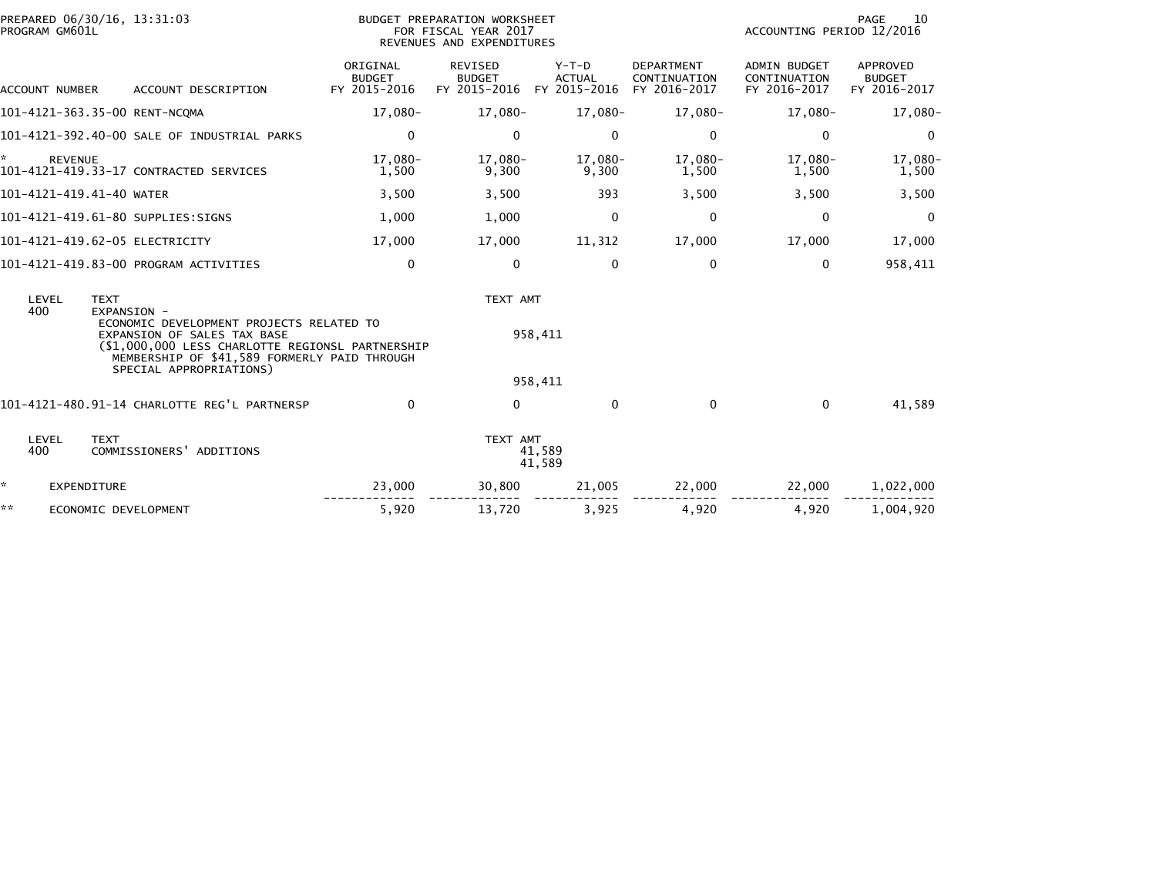| PROGRAM GM601L | PREPARED 06/30/16, 13:31:03 |                                                                                                                                                                                                        |                                           | BUDGET PREPARATION WORKSHEET<br>FOR FISCAL YEAR 2017<br>REVENUES AND EXPENDITURES | 10<br>PAGE<br>ACCOUNTING PERIOD 12/2016 |                                                   |                                                     |                                                  |
|----------------|-----------------------------|--------------------------------------------------------------------------------------------------------------------------------------------------------------------------------------------------------|-------------------------------------------|-----------------------------------------------------------------------------------|-----------------------------------------|---------------------------------------------------|-----------------------------------------------------|--------------------------------------------------|
|                | ACCOUNT NUMBER              | ACCOUNT DESCRIPTION                                                                                                                                                                                    | ORIGINAL<br><b>BUDGET</b><br>FY 2015-2016 | <b>REVISED</b><br><b>BUDGET</b><br>FY 2015-2016 FY 2015-2016                      | $Y-T-D$<br><b>ACTUAL</b>                | <b>DEPARTMENT</b><br>CONTINUATION<br>FY 2016-2017 | <b>ADMIN BUDGET</b><br>CONTINUATION<br>FY 2016-2017 | <b>APPROVED</b><br><b>BUDGET</b><br>FY 2016-2017 |
|                |                             | 101-4121-363.35-00 RENT-NCOMA                                                                                                                                                                          | 17,080-                                   | 17,080-                                                                           | 17,080-                                 | 17,080-                                           | 17,080-                                             | 17,080-                                          |
|                |                             | 101-4121-392.40-00 SALE OF INDUSTRIAL PARKS                                                                                                                                                            | 0                                         | $\mathbf{0}$                                                                      | $\mathbf{0}$                            | 0                                                 | 0                                                   | $\Omega$                                         |
| *              | <b>REVENUE</b>              | 101-4121-419.33-17 CONTRACTED SERVICES                                                                                                                                                                 | 17,080-<br>1,500                          | 17,080-<br>9,300                                                                  | 17,080-<br>9,300                        | 17,080-<br>1,500                                  | 17,080-<br>1,500                                    | 17,080-<br>1,500                                 |
|                | 101-4121-419.41-40 WATER    |                                                                                                                                                                                                        | 3,500                                     | 3,500                                                                             | 393                                     | 3,500                                             | 3,500                                               | 3,500                                            |
|                |                             | 101-4121-419.61-80 SUPPLIES:SIGNS                                                                                                                                                                      | 1,000                                     | 1,000                                                                             | $\Omega$                                | 0                                                 | $\Omega$                                            | $\Omega$                                         |
|                |                             | 101-4121-419.62-05 ELECTRICITY                                                                                                                                                                         | 17,000                                    | 17,000                                                                            | 11,312                                  | 17,000                                            | 17,000                                              | 17,000                                           |
|                |                             | 101-4121-419.83-00 PROGRAM ACTIVITIES                                                                                                                                                                  | $\mathbf 0$                               | $\mathbf{0}$                                                                      | $\mathbf{0}$                            | 0                                                 | 0                                                   | 958,411                                          |
| LEVEL<br>400   | <b>TEXT</b>                 | EXPANSION -                                                                                                                                                                                            |                                           | TEXT AMT                                                                          |                                         |                                                   |                                                     |                                                  |
|                |                             | ECONOMIC DEVELOPMENT PROJECTS RELATED TO<br>EXPANSION OF SALES TAX BASE<br>(\$1,000,000 LESS CHARLOTTE REGIONSL PARTNERSHIP<br>MEMBERSHIP OF \$41,589 FORMERLY PAID THROUGH<br>SPECIAL APPROPRIATIONS) |                                           |                                                                                   | 958,411                                 |                                                   |                                                     |                                                  |
|                |                             |                                                                                                                                                                                                        |                                           |                                                                                   | 958,411                                 |                                                   |                                                     |                                                  |
|                |                             | 101-4121-480.91-14 CHARLOTTE REG'L PARTNERSP                                                                                                                                                           | $\Omega$                                  | $\Omega$                                                                          | $\Omega$                                | $\mathbf{0}$                                      | $\Omega$                                            | 41.589                                           |
| LEVEL<br>400   | <b>TEXT</b>                 | COMMISSIONERS' ADDITIONS                                                                                                                                                                               |                                           | TEXT AMT                                                                          | 41,589<br>41,589                        |                                                   |                                                     |                                                  |
| *              | <b>EXPENDITURE</b>          |                                                                                                                                                                                                        | 23,000                                    | 30,800                                                                            | 21,005                                  | 22,000                                            | 22,000                                              | 1,022,000                                        |
| **             | ECONOMIC DEVELOPMENT        |                                                                                                                                                                                                        | 5,920                                     | 13,720                                                                            | 3,925                                   | 4,920                                             | 4,920                                               | 1,004,920                                        |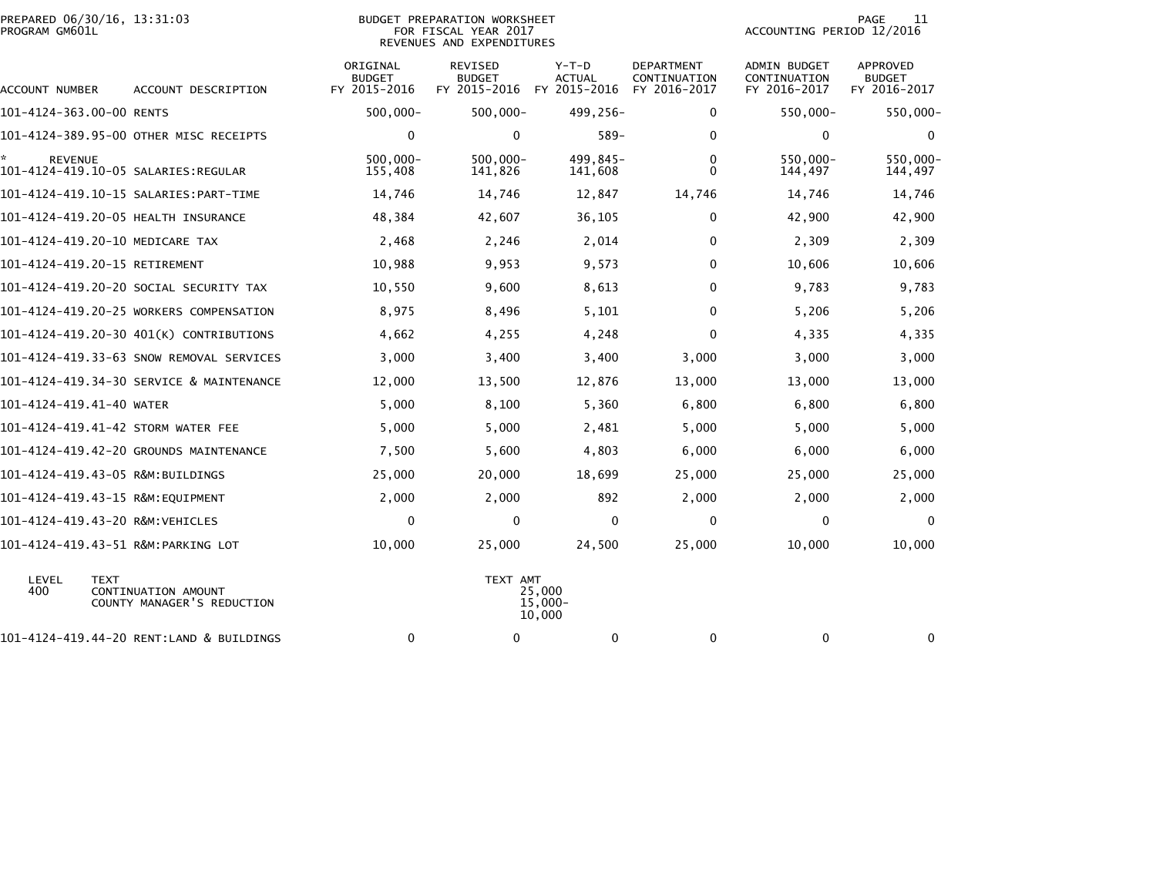| PREPARED 06/30/16, 13:31:03<br>BUDGET PREPARATION WORKSHEET<br>PROGRAM GM601L<br>FOR FISCAL YEAR 2017<br>REVENUES AND EXPENDITURES |                                                   |                                           |                                                 |                                   |                                            | PAGE<br>11<br>ACCOUNTING PERIOD 12/2016             |                                                  |  |
|------------------------------------------------------------------------------------------------------------------------------------|---------------------------------------------------|-------------------------------------------|-------------------------------------------------|-----------------------------------|--------------------------------------------|-----------------------------------------------------|--------------------------------------------------|--|
| ACCOUNT NUMBER                                                                                                                     | ACCOUNT DESCRIPTION                               | ORIGINAL<br><b>BUDGET</b><br>FY 2015-2016 | <b>REVISED</b><br><b>BUDGET</b><br>FY 2015-2016 | $Y-T-D$<br>ACTUAL<br>FY 2015-2016 | DEPARTMENT<br>CONTINUATION<br>FY 2016-2017 | <b>ADMIN BUDGET</b><br>CONTINUATION<br>FY 2016-2017 | <b>APPROVED</b><br><b>BUDGET</b><br>FY 2016-2017 |  |
| 101-4124-363.00-00 RENTS                                                                                                           |                                                   | $500,000 -$                               | $500,000 -$                                     | 499,256-                          | 0                                          | 550,000-                                            | $550,000 -$                                      |  |
|                                                                                                                                    | 101-4124-389.95-00 OTHER MISC RECEIPTS            | $\mathbf 0$                               | $\mathbf 0$                                     | $589 -$                           | $\mathbf 0$                                | $\mathbf 0$                                         | $\mathbf 0$                                      |  |
| <b>REVENUE</b><br>101-4124-419.10-05 SALARIES:REGULAR                                                                              |                                                   | $500.000 -$<br>155,408                    | $500,000 -$<br>141,826                          | 499.845-<br>141,608               | $\mathbf{0}$<br>$\mathbf{0}$               | 550.000-<br>144,497                                 | 550,000-<br>144,497                              |  |
|                                                                                                                                    |                                                   | 14,746                                    | 14,746                                          | 12,847                            | 14,746                                     | 14,746                                              | 14,746                                           |  |
| 101-4124-419.20-05 HEALTH INSURANCE                                                                                                |                                                   | 48,384                                    | 42,607                                          | 36,105                            | $\mathbf 0$                                | 42,900                                              | 42,900                                           |  |
| 101-4124-419.20-10 MEDICARE TAX                                                                                                    |                                                   | 2,468                                     | 2,246                                           | 2,014                             | $\mathbf{0}$                               | 2,309                                               | 2,309                                            |  |
| 101-4124-419.20-15 RETIREMENT                                                                                                      |                                                   | 10,988                                    | 9,953                                           | 9,573                             | 0                                          | 10,606                                              | 10,606                                           |  |
|                                                                                                                                    | 101–4124–419.20–20 SOCIAL SECURITY TAX            | 10,550                                    | 9,600                                           | 8,613                             | $\mathbf 0$                                | 9,783                                               | 9,783                                            |  |
|                                                                                                                                    | 101-4124-419.20-25 WORKERS COMPENSATION           | 8,975                                     | 8,496                                           | 5,101                             | 0                                          | 5,206                                               | 5,206                                            |  |
|                                                                                                                                    | 101-4124-419.20-30 401(K) CONTRIBUTIONS           | 4,662                                     | 4,255                                           | 4,248                             | $\mathbf 0$                                | 4,335                                               | 4,335                                            |  |
|                                                                                                                                    | 101-4124-419.33-63 SNOW REMOVAL SERVICES          | 3,000                                     | 3,400                                           | 3,400                             | 3,000                                      | 3,000                                               | 3,000                                            |  |
|                                                                                                                                    | 101-4124-419.34-30 SERVICE & MAINTENANCE          | 12,000                                    | 13,500                                          | 12,876                            | 13,000                                     | 13,000                                              | 13,000                                           |  |
| 101-4124-419.41-40 WATER                                                                                                           |                                                   | 5,000                                     | 8,100                                           | 5,360                             | 6,800                                      | 6,800                                               | 6,800                                            |  |
| 101-4124-419.41-42 STORM WATER FEE                                                                                                 |                                                   | 5,000                                     | 5,000                                           | 2,481                             | 5,000                                      | 5,000                                               | 5,000                                            |  |
|                                                                                                                                    | 101-4124-419.42-20 GROUNDS MAINTENANCE            | 7,500                                     | 5,600                                           | 4,803                             | 6,000                                      | 6,000                                               | 6,000                                            |  |
| 101-4124-419.43-05 R&M:BUILDINGS                                                                                                   |                                                   | 25,000                                    | 20,000                                          | 18,699                            | 25,000                                     | 25,000                                              | 25,000                                           |  |
| 101-4124-419.43-15 R&M:EQUIPMENT                                                                                                   |                                                   | 2,000                                     | 2,000                                           | 892                               | 2,000                                      | 2,000                                               | 2,000                                            |  |
| 101-4124-419.43-20 R&M:VEHICLES                                                                                                    |                                                   | 0                                         | $\mathbf 0$                                     | 0                                 | 0                                          | 0                                                   | 0                                                |  |
| 101-4124-419.43-51 R&M:PARKING LOT                                                                                                 |                                                   | 10,000                                    | 25,000                                          | 24,500                            | 25,000                                     | 10,000                                              | 10,000                                           |  |
| LEVEL<br><b>TEXT</b><br>400                                                                                                        | CONTINUATION AMOUNT<br>COUNTY MANAGER'S REDUCTION |                                           | TEXT AMT                                        | 25.000<br>$15,000 -$<br>10,000    |                                            |                                                     |                                                  |  |
|                                                                                                                                    | 101-4124-419.44-20 RENT:LAND & BUILDINGS          | 0                                         | 0                                               | 0                                 | 0                                          | 0                                                   | 0                                                |  |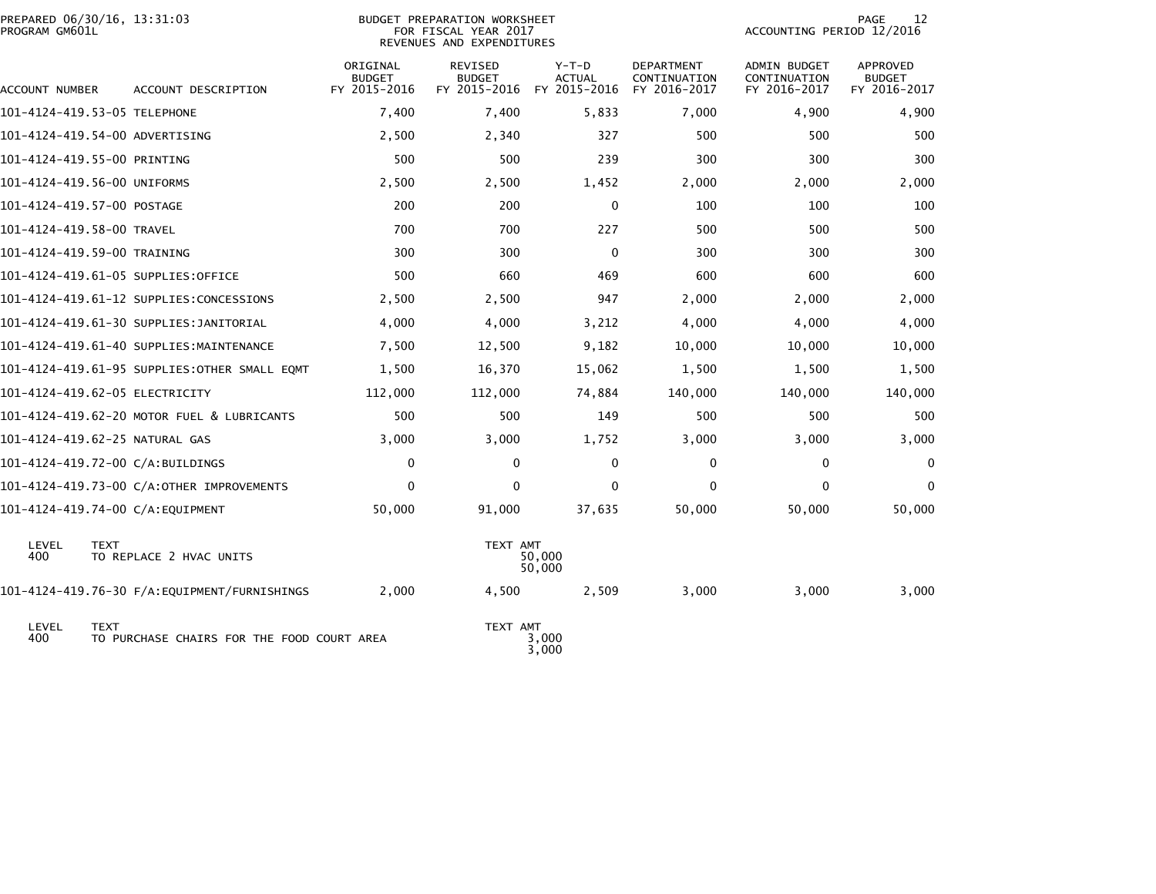| PREPARED 06/30/16, 13:31:03<br>PROGRAM GM601L |             |                                              |                                           | <b>BUDGET PREPARATION WORKSHEET</b><br>FOR FISCAL YEAR 2017<br>REVENUES AND EXPENDITURES |                          | 12<br><b>PAGE</b><br>ACCOUNTING PERIOD 12/2016    |                                              |                                                  |
|-----------------------------------------------|-------------|----------------------------------------------|-------------------------------------------|------------------------------------------------------------------------------------------|--------------------------|---------------------------------------------------|----------------------------------------------|--------------------------------------------------|
| ACCOUNT NUMBER                                |             | ACCOUNT DESCRIPTION                          | ORIGINAL<br><b>BUDGET</b><br>FY 2015-2016 | <b>REVISED</b><br><b>BUDGET</b><br>FY 2015-2016 FY 2015-2016                             | $Y-T-D$<br><b>ACTUAL</b> | <b>DEPARTMENT</b><br>CONTINUATION<br>FY 2016-2017 | ADMIN BUDGET<br>CONTINUATION<br>FY 2016-2017 | <b>APPROVED</b><br><b>BUDGET</b><br>FY 2016-2017 |
| 101-4124-419.53-05 TELEPHONE                  |             |                                              | 7,400                                     | 7,400                                                                                    | 5,833                    | 7,000                                             | 4,900                                        | 4,900                                            |
| 101-4124-419.54-00 ADVERTISING                |             |                                              | 2,500                                     | 2,340                                                                                    | 327                      | 500                                               | 500                                          | 500                                              |
| 101-4124-419.55-00 PRINTING                   |             |                                              | 500                                       | 500                                                                                      | 239                      | 300                                               | 300                                          | 300                                              |
| 101-4124-419.56-00 UNIFORMS                   |             |                                              | 2,500                                     | 2,500                                                                                    | 1,452                    | 2,000                                             | 2,000                                        | 2,000                                            |
| 101-4124-419.57-00 POSTAGE                    |             |                                              | 200                                       | 200                                                                                      | 0                        | 100                                               | 100                                          | 100                                              |
| 101-4124-419.58-00 TRAVEL                     |             |                                              | 700                                       | 700                                                                                      | 227                      | 500                                               | 500                                          | 500                                              |
| 101-4124-419.59-00 TRAINING                   |             |                                              | 300                                       | 300                                                                                      | 0                        | 300                                               | 300                                          | 300                                              |
| 101-4124-419.61-05 SUPPLIES:OFFICE            |             |                                              | 500                                       | 660                                                                                      | 469                      | 600                                               | 600                                          | 600                                              |
|                                               |             | 101-4124-419.61-12 SUPPLIES:CONCESSIONS      | 2,500                                     | 2,500                                                                                    | 947                      | 2,000                                             | 2,000                                        | 2,000                                            |
|                                               |             | 101-4124-419.61-30 SUPPLIES: JANITORIAL      | 4,000                                     | 4,000                                                                                    | 3,212                    | 4,000                                             | 4,000                                        | 4,000                                            |
|                                               |             | 101-4124-419.61-40 SUPPLIES:MAINTENANCE      | 7,500                                     | 12,500                                                                                   | 9,182                    | 10,000                                            | 10,000                                       | 10,000                                           |
|                                               |             | 101-4124-419.61-95 SUPPLIES:OTHER SMALL EQMT | 1,500                                     | 16,370                                                                                   | 15,062                   | 1,500                                             | 1,500                                        | 1,500                                            |
| 101-4124-419.62-05 ELECTRICITY                |             |                                              | 112,000                                   | 112,000                                                                                  | 74,884                   | 140,000                                           | 140,000                                      | 140,000                                          |
|                                               |             | 101-4124-419.62-20 MOTOR FUEL & LUBRICANTS   | 500                                       | 500                                                                                      | 149                      | 500                                               | 500                                          | 500                                              |
| 101-4124-419.62-25 NATURAL GAS                |             |                                              | 3,000                                     | 3,000                                                                                    | 1,752                    | 3,000                                             | 3,000                                        | 3,000                                            |
| 101-4124-419.72-00 C/A:BUILDINGS              |             |                                              | $\mathbf 0$                               | $\mathbf{0}$                                                                             | $\mathbf 0$              | $\mathbf 0$                                       | $\mathbf 0$                                  | $\mathbf{0}$                                     |
|                                               |             | 101-4124-419.73-00 C/A:OTHER IMPROVEMENTS    | 0                                         | 0                                                                                        | 0                        | 0                                                 | 0                                            | $\Omega$                                         |
| 101-4124-419.74-00 C/A:EQUIPMENT              |             |                                              | 50,000                                    | 91,000                                                                                   | 37,635                   | 50,000                                            | 50,000                                       | 50,000                                           |
| LEVEL<br>400                                  | <b>TEXT</b> | TO REPLACE 2 HVAC UNITS                      |                                           | TEXT AMT                                                                                 | 50.000<br>50,000         |                                                   |                                              |                                                  |
|                                               |             |                                              | 2,000                                     | 4,500                                                                                    | 2,509                    | 3,000                                             | 3,000                                        | 3,000                                            |
| LEVEL<br>400                                  | <b>TEXT</b> | TO PURCHASE CHAIRS FOR THE FOOD COURT AREA   |                                           | TEXT AMT                                                                                 | 3,000<br>3,000           |                                                   |                                              |                                                  |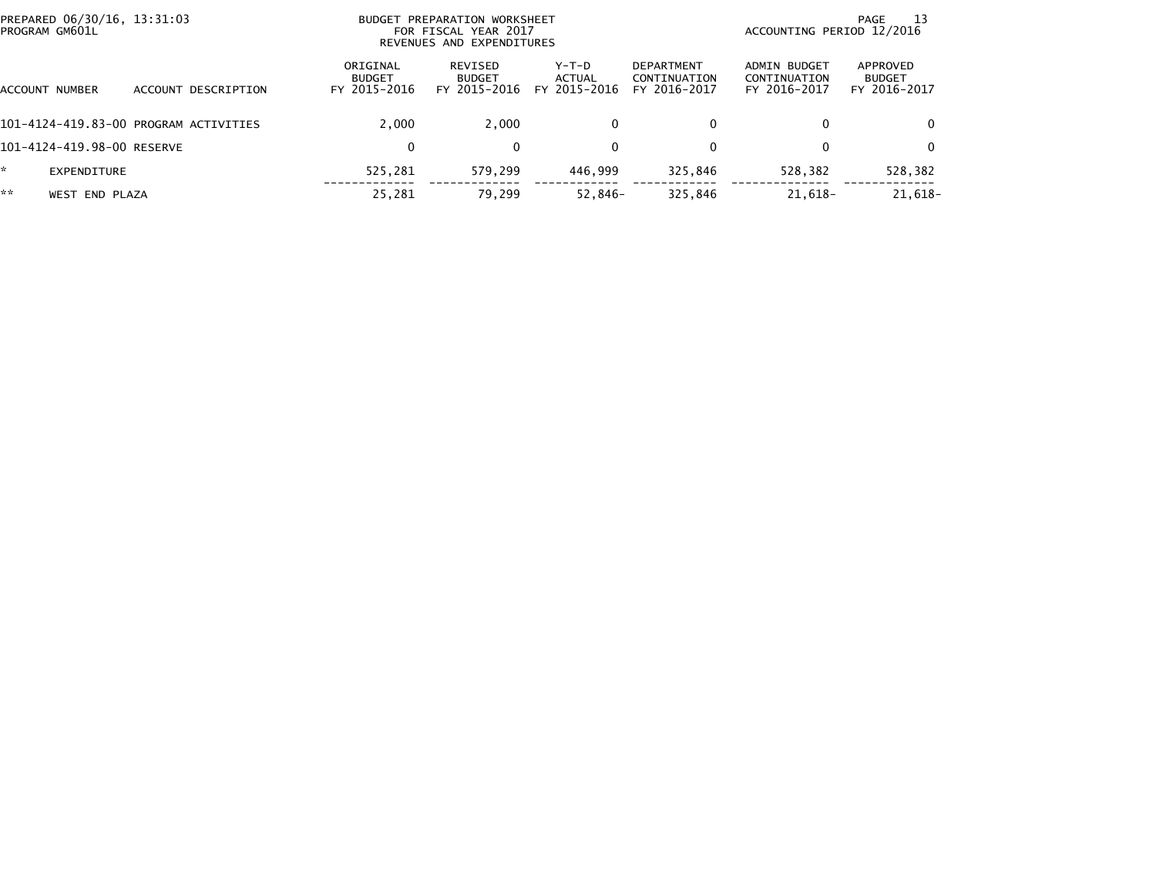| PREPARED 06/30/16, 13:31:03<br>PROGRAM GM601L |                                       | BUDGET PREPARATION WORKSHEET<br>FOR FISCAL YEAR 2017<br>REVENUES AND EXPENDITURES | -13<br>PAGE<br>ACCOUNTING PERIOD 12/2016 |                                 |                                            |                                                     |                                           |
|-----------------------------------------------|---------------------------------------|-----------------------------------------------------------------------------------|------------------------------------------|---------------------------------|--------------------------------------------|-----------------------------------------------------|-------------------------------------------|
| ACCOUNT NUMBER                                | ACCOUNT DESCRIPTION                   | ORIGINAL<br><b>BUDGET</b><br>FY 2015-2016                                         | REVISED<br><b>BUDGET</b><br>FY 2015-2016 | Y-T-D<br>ACTUAL<br>FY 2015-2016 | DEPARTMENT<br>CONTINUATION<br>FY 2016-2017 | <b>ADMIN BUDGET</b><br>CONTINUATION<br>FY 2016-2017 | APPROVED<br><b>BUDGET</b><br>FY 2016-2017 |
|                                               | 101-4124-419.83-00 PROGRAM ACTIVITIES | 2.000                                                                             | 2.000                                    | 0                               | $\mathbf{0}$                               | 0                                                   |                                           |
| 101-4124-419.98-00 RESERVE                    |                                       | 0                                                                                 | $\Omega$                                 | 0                               | $\mathbf{0}$                               | 0                                                   | 0                                         |
| EXPENDITURE                                   |                                       | 525.281                                                                           | 579.299                                  | 446.999                         | 325.846                                    | 528,382                                             | 528,382                                   |
| **<br>WEST END PLAZA                          |                                       | 25,281                                                                            | 79,299                                   | $52,846-$                       | 325,846                                    | $21,618-$                                           | 21,618-                                   |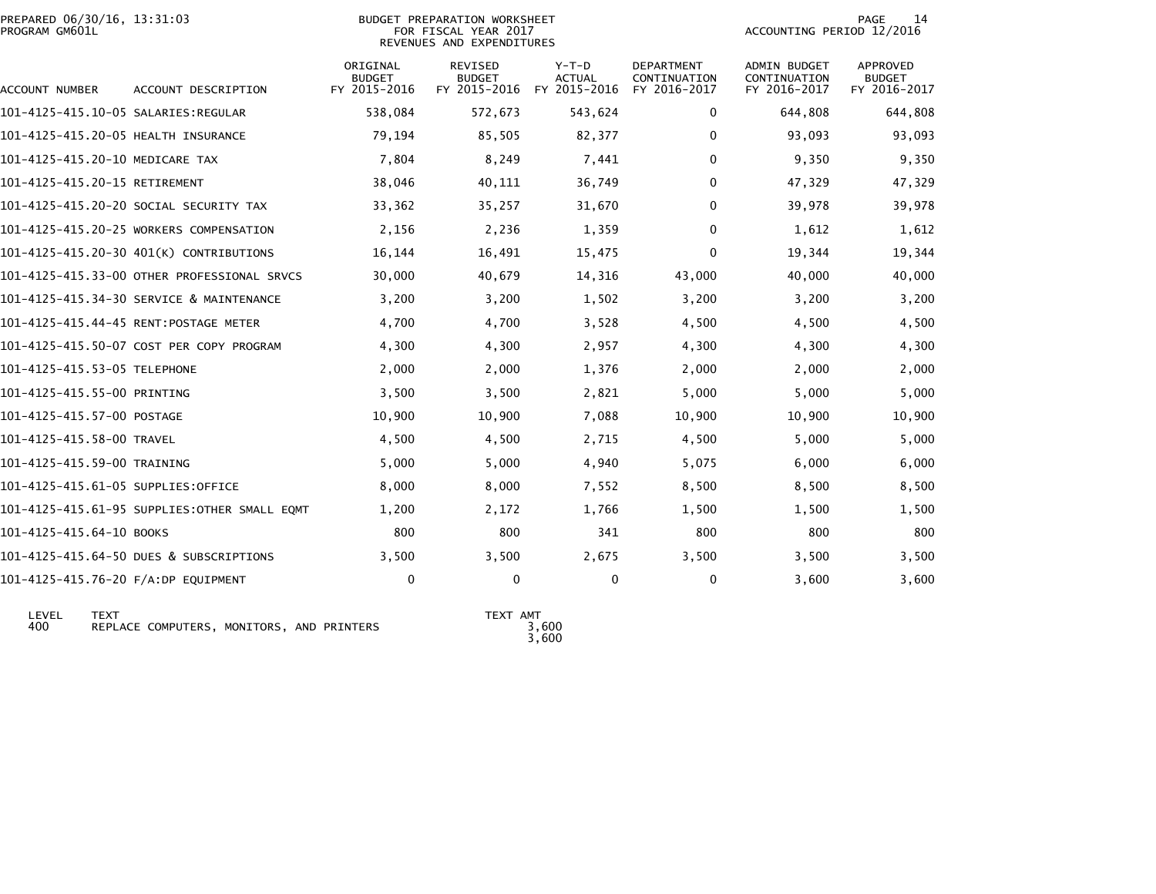| PREPARED 06/30/16, 13:31:03<br>PROGRAM GM601L |                                              |                                           | BUDGET PREPARATION WORKSHEET<br>FOR FISCAL YEAR 2017<br>REVENUES AND EXPENDITURES | PAGE<br>14<br>ACCOUNTING PERIOD 12/2016 |                                            |                                                     |                                           |
|-----------------------------------------------|----------------------------------------------|-------------------------------------------|-----------------------------------------------------------------------------------|-----------------------------------------|--------------------------------------------|-----------------------------------------------------|-------------------------------------------|
| ACCOUNT NUMBER                                | ACCOUNT DESCRIPTION                          | ORIGINAL<br><b>BUDGET</b><br>FY 2015-2016 | REVISED<br><b>BUDGET</b><br>FY 2015-2016                                          | Y-T-D<br><b>ACTUAL</b><br>FY 2015-2016  | DEPARTMENT<br>CONTINUATION<br>FY 2016-2017 | ADMIN BUDGET<br><b>CONTINUATION</b><br>FY 2016-2017 | APPROVED<br><b>BUDGET</b><br>FY 2016-2017 |
|                                               |                                              | 538,084                                   | 572,673                                                                           | 543,624                                 | $\bf{0}$                                   | 644,808                                             | 644,808                                   |
| 101-4125-415.20-05 HEALTH INSURANCE           |                                              | 79,194                                    | 85,505                                                                            | 82,377                                  | 0                                          | 93,093                                              | 93,093                                    |
| 101-4125-415.20-10 MEDICARE TAX               |                                              | 7,804                                     | 8,249                                                                             | 7,441                                   | 0                                          | 9,350                                               | 9,350                                     |
| 101-4125-415.20-15 RETIREMENT                 |                                              | 38,046                                    | 40,111                                                                            | 36,749                                  | 0                                          | 47,329                                              | 47,329                                    |
|                                               | 101-4125-415.20-20 SOCIAL SECURITY TAX       | 33,362                                    | 35,257                                                                            | 31,670                                  | $\mathbf{0}$                               | 39,978                                              | 39,978                                    |
|                                               | 101-4125-415.20-25 WORKERS COMPENSATION      | 2,156                                     | 2,236                                                                             | 1,359                                   | 0                                          | 1,612                                               | 1,612                                     |
|                                               | 101-4125-415.20-30 401(K) CONTRIBUTIONS      | 16,144                                    | 16,491                                                                            | 15,475                                  | 0                                          | 19,344                                              | 19,344                                    |
|                                               | 101-4125-415.33-00 OTHER PROFESSIONAL SRVCS  | 30,000                                    | 40,679                                                                            | 14,316                                  | 43,000                                     | 40,000                                              | 40,000                                    |
|                                               | 101-4125-415.34-30 SERVICE & MAINTENANCE     | 3,200                                     | 3,200                                                                             | 1,502                                   | 3,200                                      | 3,200                                               | 3,200                                     |
|                                               | 101-4125-415.44-45 RENT:POSTAGE METER        | 4,700                                     | 4,700                                                                             | 3,528                                   | 4,500                                      | 4,500                                               | 4,500                                     |
|                                               | 101-4125-415.50-07 COST PER COPY PROGRAM     | 4,300                                     | 4,300                                                                             | 2,957                                   | 4,300                                      | 4,300                                               | 4,300                                     |
| 101-4125-415.53-05 TELEPHONE                  |                                              | 2,000                                     | 2,000                                                                             | 1,376                                   | 2,000                                      | 2,000                                               | 2,000                                     |
| 101-4125-415.55-00 PRINTING                   |                                              | 3,500                                     | 3,500                                                                             | 2,821                                   | 5,000                                      | 5,000                                               | 5,000                                     |
| 101-4125-415.57-00 POSTAGE                    |                                              | 10,900                                    | 10,900                                                                            | 7,088                                   | 10,900                                     | 10,900                                              | 10,900                                    |
| 101-4125-415.58-00 TRAVEL                     |                                              | 4,500                                     | 4,500                                                                             | 2,715                                   | 4,500                                      | 5,000                                               | 5,000                                     |
| 101-4125-415.59-00 TRAINING                   |                                              | 5,000                                     | 5,000                                                                             | 4,940                                   | 5,075                                      | 6,000                                               | 6,000                                     |
| 101-4125-415.61-05 SUPPLIES:OFFICE            |                                              | 8,000                                     | 8,000                                                                             | 7,552                                   | 8,500                                      | 8,500                                               | 8,500                                     |
|                                               | 101-4125-415.61-95 SUPPLIES:OTHER SMALL EOMT | 1,200                                     | 2,172                                                                             | 1,766                                   | 1,500                                      | 1,500                                               | 1,500                                     |
| 101-4125-415.64-10 BOOKS                      |                                              | 800                                       | 800                                                                               | 341                                     | 800                                        | 800                                                 | 800                                       |
|                                               | 101-4125-415.64-50 DUES & SUBSCRIPTIONS      | 3,500                                     | 3,500                                                                             | 2,675                                   | 3,500                                      | 3,500                                               | 3,500                                     |
| 101-4125-415.76-20 F/A:DP EQUIPMENT           |                                              | $\mathbf 0$                               | $\mathbf{0}$                                                                      | $\Omega$                                | $\mathbf{0}$                               | 3,600                                               | 3,600                                     |
|                                               |                                              |                                           |                                                                                   |                                         |                                            |                                                     |                                           |

 LEVEL TEXT TEXT AMT 400 REPLACE COMPUTERS, MONITORS, AND PRINTERS 3,600

3,600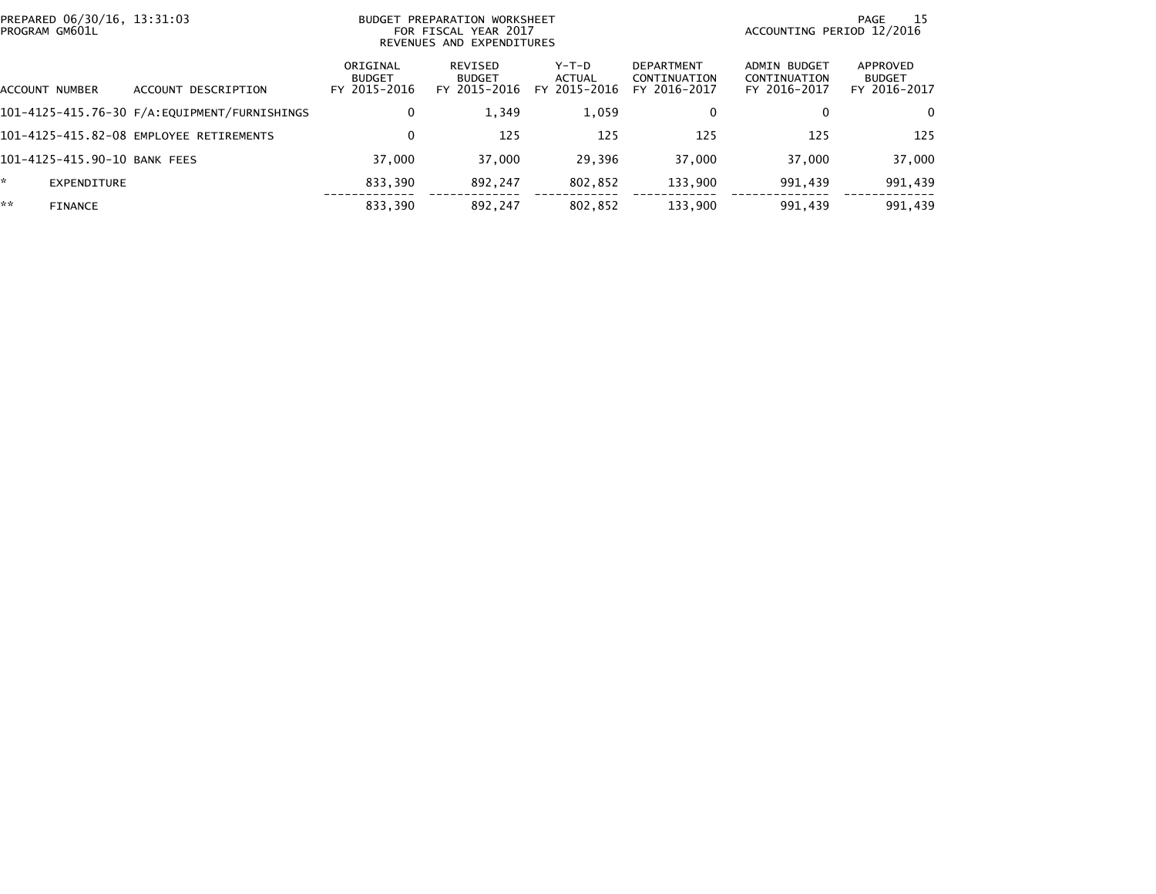| PROGRAM GM601L | PREPARED 06/30/16, 13:31:03  |                                              | BUDGET PREPARATION WORKSHEET<br>FOR FISCAL YEAR 2017<br>REVENUES AND EXPENDITURES |                                          |                                 |                                                   | - 15<br>PAGE<br>ACCOUNTING PERIOD 12/2016    |                                           |  |
|----------------|------------------------------|----------------------------------------------|-----------------------------------------------------------------------------------|------------------------------------------|---------------------------------|---------------------------------------------------|----------------------------------------------|-------------------------------------------|--|
|                | ACCOUNT NUMBER               | ACCOUNT DESCRIPTION                          | ORIGINAL<br><b>BUDGET</b><br>FY 2015-2016                                         | REVISED<br><b>BUDGET</b><br>FY 2015-2016 | Y-T-D<br>ACTUAL<br>FY 2015-2016 | <b>DEPARTMENT</b><br>CONTINUATION<br>FY 2016-2017 | ADMIN BUDGET<br>CONTINUATION<br>FY 2016-2017 | APPROVED<br><b>BUDGET</b><br>FY 2016-2017 |  |
|                |                              | 101-4125-415.76-30 F/A:EQUIPMENT/FURNISHINGS | $\mathbf 0$                                                                       | 1.349                                    | 1,059                           | 0                                                 | 0                                            | 0                                         |  |
|                |                              | 101-4125-415.82-08 EMPLOYEE RETIREMENTS      | 0                                                                                 | 125                                      | 125                             | 125                                               | 125                                          | 125                                       |  |
|                | 101-4125-415.90-10 BANK FEES |                                              | 37,000                                                                            | 37,000                                   | 29,396                          | 37,000                                            | 37,000                                       | 37,000                                    |  |
| *              | EXPENDITURE                  |                                              | 833,390                                                                           | 892.247                                  | 802,852                         | 133,900                                           | 991,439                                      | 991,439                                   |  |
| **             | <b>FINANCE</b>               |                                              | 833,390                                                                           | 892.247                                  | 802,852                         | 133,900                                           | 991,439                                      | 991,439                                   |  |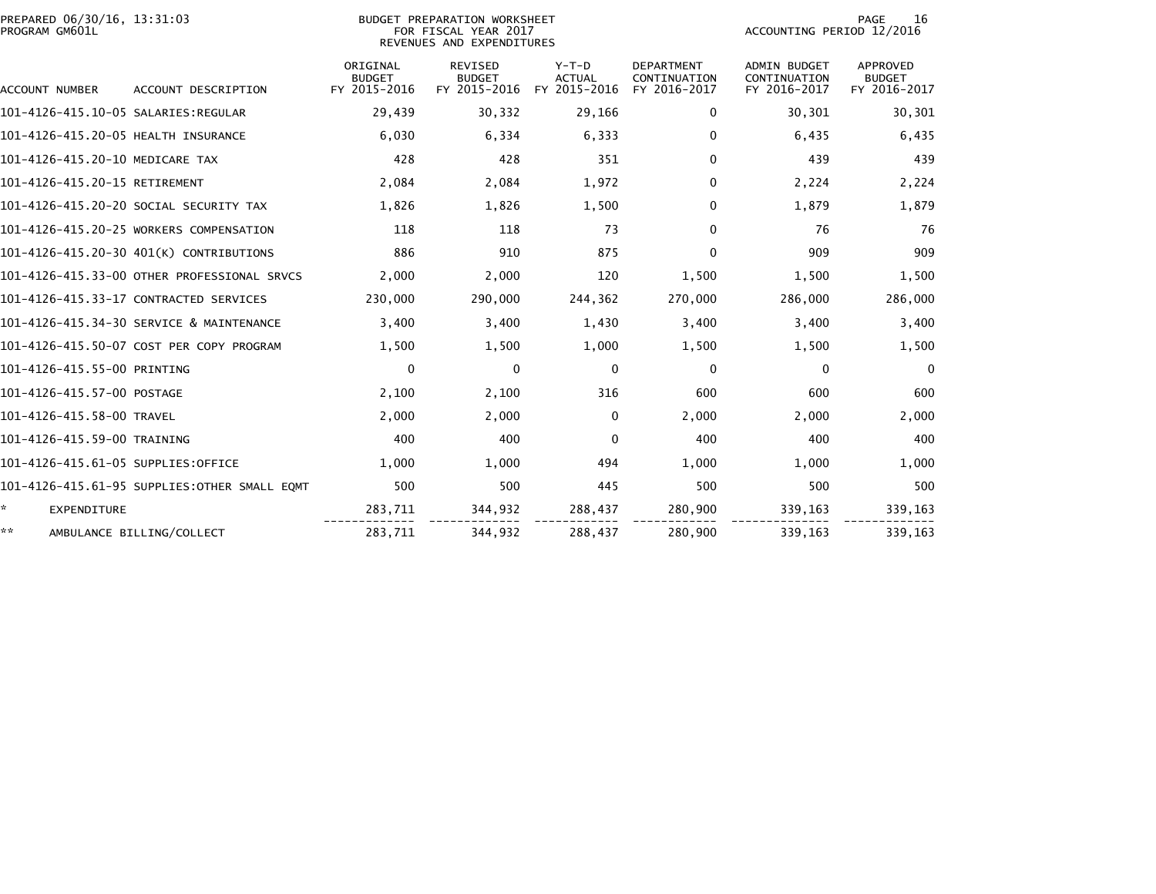| PREPARED 06/30/16, 13:31:03<br>PROGRAM GM601L |                                              |                                           | BUDGET PREPARATION WORKSHEET<br>FOR FISCAL YEAR 2017<br>REVENUES AND EXPENDITURES | PAGE<br>16<br>ACCOUNTING PERIOD 12/2016  |                                                   |                                                     |                                                  |
|-----------------------------------------------|----------------------------------------------|-------------------------------------------|-----------------------------------------------------------------------------------|------------------------------------------|---------------------------------------------------|-----------------------------------------------------|--------------------------------------------------|
| <b>ACCOUNT NUMBER</b>                         | ACCOUNT DESCRIPTION                          | ORIGINAL<br><b>BUDGET</b><br>FY 2015-2016 | <b>REVISED</b><br><b>BUDGET</b><br>FY 2015-2016                                   | $Y-T-D$<br><b>ACTUAL</b><br>FY 2015-2016 | <b>DEPARTMENT</b><br>CONTINUATION<br>FY 2016-2017 | <b>ADMIN BUDGET</b><br>CONTINUATION<br>FY 2016-2017 | <b>APPROVED</b><br><b>BUDGET</b><br>FY 2016-2017 |
| 101-4126-415.10-05 SALARIES:REGULAR           |                                              | 29,439                                    | 30,332                                                                            | 29,166                                   | 0                                                 | 30,301                                              | 30,301                                           |
| 101-4126-415.20-05 HEALTH INSURANCE           |                                              | 6,030                                     | 6,334                                                                             | 6,333                                    | 0                                                 | 6,435                                               | 6,435                                            |
| 101-4126-415.20-10 MEDICARE TAX               |                                              | 428                                       | 428                                                                               | 351                                      | 0                                                 | 439                                                 | 439                                              |
| 101-4126-415.20-15 RETIREMENT                 |                                              | 2,084                                     | 2,084                                                                             | 1,972                                    | $\mathbf{0}$                                      | 2,224                                               | 2,224                                            |
|                                               | 101-4126-415.20-20 SOCIAL SECURITY TAX       | 1,826                                     | 1,826                                                                             | 1,500                                    | 0                                                 | 1,879                                               | 1,879                                            |
|                                               | 101-4126-415.20-25 WORKERS COMPENSATION      | 118                                       | 118                                                                               | 73                                       | $\mathbf{0}$                                      | 76                                                  | 76                                               |
|                                               | 101-4126-415.20-30 401(K) CONTRIBUTIONS      | 886                                       | 910                                                                               | 875                                      | $\mathbf{0}$                                      | 909                                                 | 909                                              |
|                                               | 101-4126-415.33-00 OTHER PROFESSIONAL SRVCS  | 2,000                                     | 2,000                                                                             | 120                                      | 1,500                                             | 1,500                                               | 1,500                                            |
|                                               | 101-4126-415.33-17 CONTRACTED SERVICES       | 230,000                                   | 290.000                                                                           | 244,362                                  | 270,000                                           | 286,000                                             | 286,000                                          |
|                                               | 101-4126-415.34-30 SERVICE & MAINTENANCE     | 3,400                                     | 3,400                                                                             | 1,430                                    | 3,400                                             | 3,400                                               | 3,400                                            |
|                                               | 101-4126-415.50-07 COST PER COPY PROGRAM     | 1,500                                     | 1,500                                                                             | 1,000                                    | 1,500                                             | 1,500                                               | 1,500                                            |
| 101-4126-415.55-00 PRINTING                   |                                              | $\Omega$                                  | $\mathbf{0}$                                                                      | $\mathbf{0}$                             | $\mathbf{0}$                                      | $\Omega$                                            | $\Omega$                                         |
| 101-4126-415.57-00 POSTAGE                    |                                              | 2,100                                     | 2,100                                                                             | 316                                      | 600                                               | 600                                                 | 600                                              |
| 101-4126-415.58-00 TRAVEL                     |                                              | 2,000                                     | 2,000                                                                             | $\Omega$                                 | 2,000                                             | 2,000                                               | 2,000                                            |
| 101-4126-415.59-00 TRAINING                   |                                              | 400                                       | 400                                                                               | $\mathbf{0}$                             | 400                                               | 400                                                 | 400                                              |
| 101-4126-415.61-05 SUPPLIES:OFFICE            |                                              | 1,000                                     | 1,000                                                                             | 494                                      | 1,000                                             | 1,000                                               | 1,000                                            |
|                                               | 101-4126-415.61-95 SUPPLIES:OTHER SMALL EQMT | 500                                       | 500                                                                               | 445                                      | 500                                               | 500                                                 | 500                                              |
| ÷.<br><b>EXPENDITURE</b>                      |                                              | 283,711                                   | 344,932                                                                           | 288,437                                  | 280,900                                           | 339,163                                             | 339,163                                          |
| **                                            | AMBULANCE BILLING/COLLECT                    | 283,711                                   | 344,932                                                                           | 288.437                                  | 280,900                                           | 339.163                                             | 339,163                                          |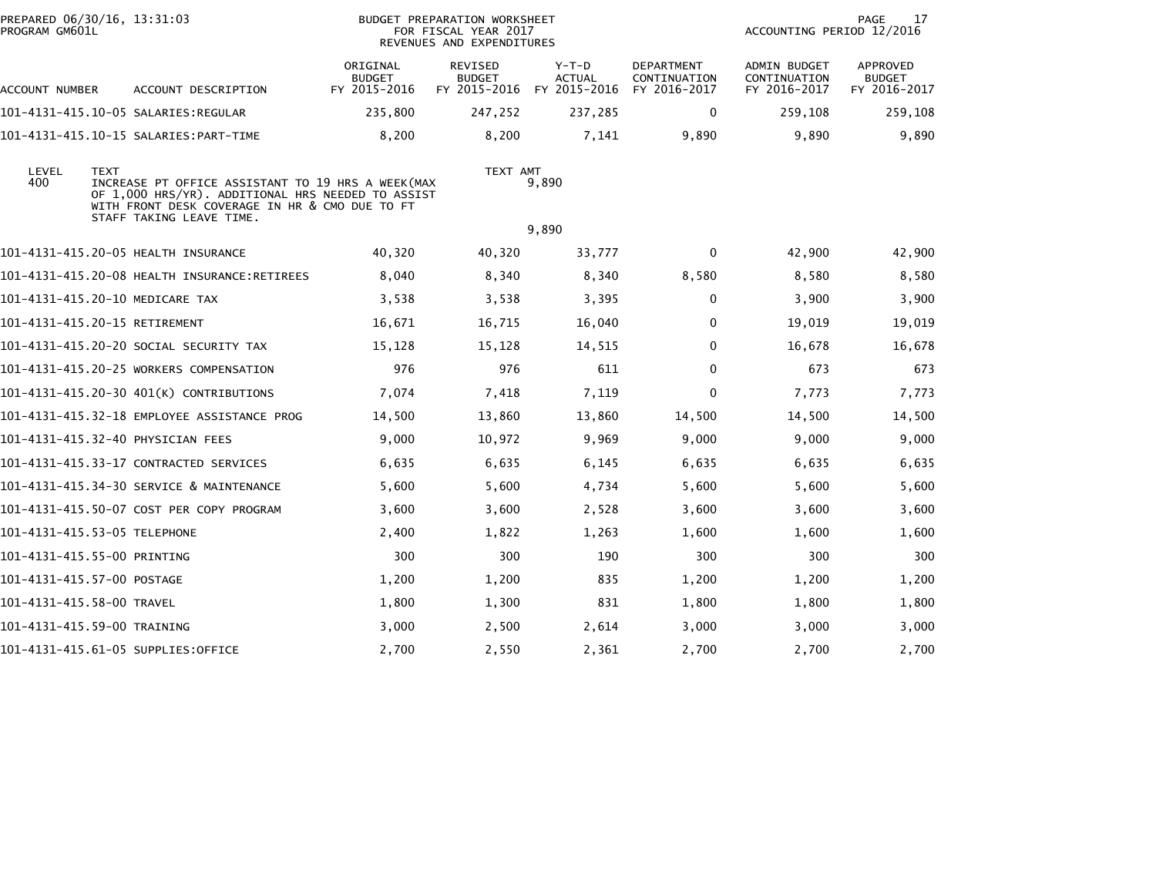| PREPARED 06/30/16, 13:31:03<br>PROGRAM GM601L |                                                                                                                                                                                      | <b>BUDGET PREPARATION WORKSHEET</b><br>FOR FISCAL YEAR 2017<br>REVENUES AND EXPENDITURES |                                 |                                                       |                                                   | <b>PAGE</b><br>17<br>ACCOUNTING PERIOD 12/2016 |                                                  |
|-----------------------------------------------|--------------------------------------------------------------------------------------------------------------------------------------------------------------------------------------|------------------------------------------------------------------------------------------|---------------------------------|-------------------------------------------------------|---------------------------------------------------|------------------------------------------------|--------------------------------------------------|
| ACCOUNT NUMBER                                | ACCOUNT DESCRIPTION                                                                                                                                                                  | ORIGINAL<br><b>BUDGET</b><br>FY 2015-2016                                                | <b>REVISED</b><br><b>BUDGET</b> | $Y-T-D$<br><b>ACTUAL</b><br>FY 2015-2016 FY 2015-2016 | <b>DEPARTMENT</b><br>CONTINUATION<br>FY 2016-2017 | ADMIN BUDGET<br>CONTINUATION<br>FY 2016-2017   | <b>APPROVED</b><br><b>BUDGET</b><br>FY 2016-2017 |
|                                               |                                                                                                                                                                                      | 235,800                                                                                  | 247,252                         | 237,285                                               | 0                                                 | 259,108                                        | 259,108                                          |
|                                               |                                                                                                                                                                                      | 8,200                                                                                    | 8,200                           | 7,141                                                 | 9,890                                             | 9,890                                          | 9,890                                            |
| LEVEL<br><b>TEXT</b><br>400                   | INCREASE PT OFFICE ASSISTANT TO 19 HRS A WEEK(MAX<br>OF 1,000 HRS/YR). ADDITIONAL HRS NEEDED TO ASSIST<br>WITH FRONT DESK COVERAGE IN HR & CMO DUE TO FT<br>STAFF TAKING LEAVE TIME. |                                                                                          | TEXT AMT                        | 9,890                                                 |                                                   |                                                |                                                  |
|                                               |                                                                                                                                                                                      |                                                                                          |                                 | 9,890                                                 |                                                   |                                                |                                                  |
|                                               | 101-4131-415.20-05 HEALTH INSURANCE                                                                                                                                                  | 40,320                                                                                   | 40,320                          | 33,777                                                | 0                                                 | 42,900                                         | 42,900                                           |
|                                               | 101-4131-415.20-08 HEALTH INSURANCE:RETIREES                                                                                                                                         | 8,040                                                                                    | 8,340                           | 8,340                                                 | 8,580                                             | 8,580                                          | 8,580                                            |
|                                               | 101-4131-415.20-10 MEDICARE TAX                                                                                                                                                      | 3,538                                                                                    | 3,538                           | 3,395                                                 | $\mathbf 0$                                       | 3,900                                          | 3,900                                            |
| 101-4131-415.20-15 RETIREMENT                 |                                                                                                                                                                                      | 16,671                                                                                   | 16,715                          | 16,040                                                | 0                                                 | 19,019                                         | 19,019                                           |
|                                               | 101–4131–415.20–20 SOCIAL SECURITY TAX                                                                                                                                               | 15,128                                                                                   | 15,128                          | 14,515                                                | $\mathbf 0$                                       | 16,678                                         | 16,678                                           |
|                                               | 101-4131-415.20-25 WORKERS COMPENSATION                                                                                                                                              | 976                                                                                      | 976                             | 611                                                   | 0                                                 | 673                                            | 673                                              |
|                                               | 101-4131-415.20-30 401(K) CONTRIBUTIONS                                                                                                                                              | 7,074                                                                                    | 7,418                           | 7,119                                                 | $\mathbf{0}$                                      | 7,773                                          | 7,773                                            |
|                                               | 101-4131-415.32-18 EMPLOYEE ASSISTANCE PROG                                                                                                                                          | 14,500                                                                                   | 13,860                          | 13,860                                                | 14,500                                            | 14,500                                         | 14,500                                           |
|                                               | 101–4131–415.32–40 PHYSICIAN FEES                                                                                                                                                    | 9,000                                                                                    | 10,972                          | 9,969                                                 | 9,000                                             | 9,000                                          | 9,000                                            |
|                                               | 101-4131-415.33-17 CONTRACTED SERVICES                                                                                                                                               | 6,635                                                                                    | 6,635                           | 6,145                                                 | 6,635                                             | 6,635                                          | 6,635                                            |
|                                               | 101-4131-415.34-30 SERVICE & MAINTENANCE                                                                                                                                             | 5,600                                                                                    | 5,600                           | 4,734                                                 | 5,600                                             | 5,600                                          | 5,600                                            |
|                                               | 101-4131-415.50-07 COST PER COPY PROGRAM                                                                                                                                             | 3,600                                                                                    | 3,600                           | 2,528                                                 | 3,600                                             | 3,600                                          | 3,600                                            |
| 101-4131-415.53-05 TELEPHONE                  |                                                                                                                                                                                      | 2,400                                                                                    | 1,822                           | 1,263                                                 | 1,600                                             | 1,600                                          | 1,600                                            |
| 101-4131-415.55-00 PRINTING                   |                                                                                                                                                                                      | 300                                                                                      | 300                             | 190                                                   | 300                                               | 300                                            | 300                                              |
| 101-4131-415.57-00 POSTAGE                    |                                                                                                                                                                                      | 1,200                                                                                    | 1,200                           | 835                                                   | 1,200                                             | 1,200                                          | 1,200                                            |
| 101-4131-415.58-00 TRAVEL                     |                                                                                                                                                                                      | 1,800                                                                                    | 1,300                           | 831                                                   | 1,800                                             | 1,800                                          | 1,800                                            |
| 101-4131-415.59-00 TRAINING                   |                                                                                                                                                                                      | 3,000                                                                                    | 2,500                           | 2,614                                                 | 3,000                                             | 3,000                                          | 3,000                                            |
|                                               | 101-4131-415.61-05 SUPPLIES:OFFICE                                                                                                                                                   | 2,700                                                                                    | 2,550                           | 2,361                                                 | 2,700                                             | 2,700                                          | 2,700                                            |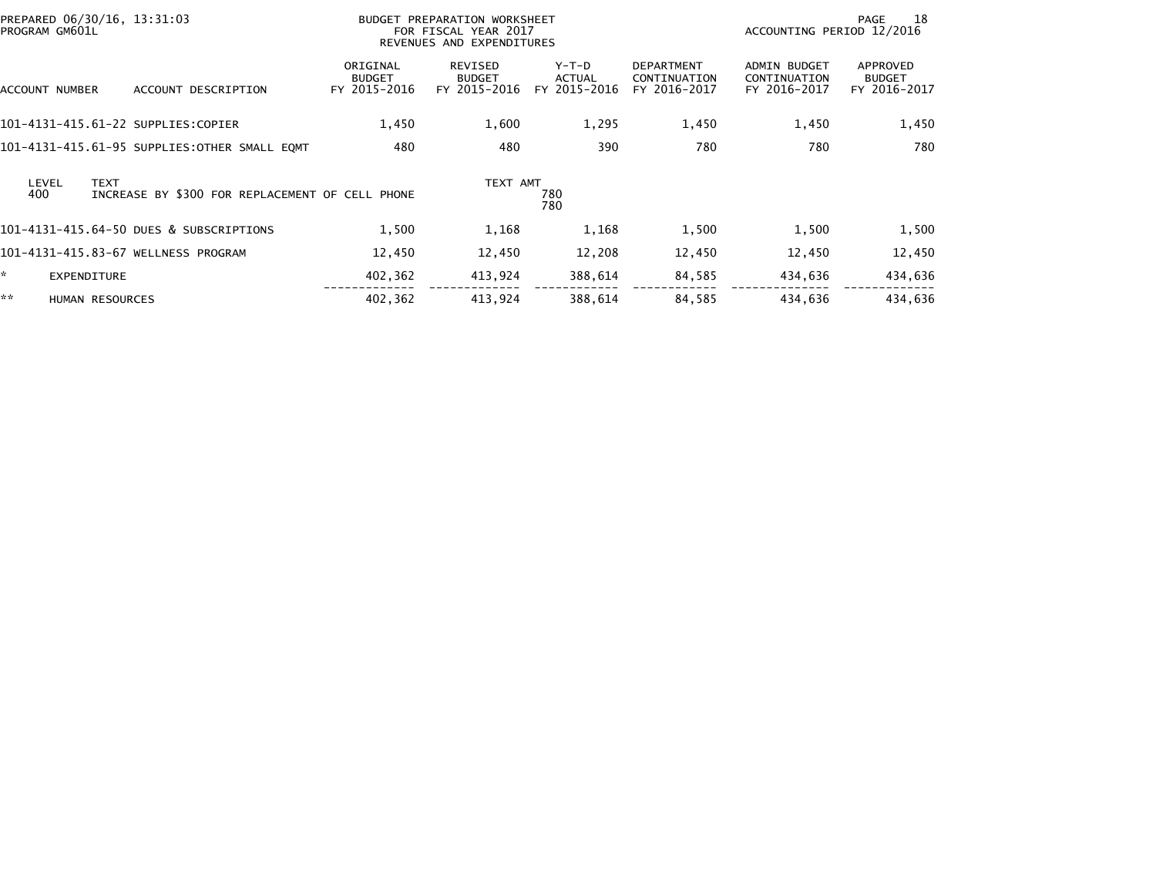| PREPARED 06/30/16, 13:31:03<br>PROGRAM GM601L |                    |                                                 | BUDGET PREPARATION WORKSHEET<br>FOR FISCAL YEAR 2017<br>REVENUES AND EXPENDITURES |                                          |                                        |                                                   | -18<br>PAGE<br>ACCOUNTING PERIOD 12/2016            |                                           |  |
|-----------------------------------------------|--------------------|-------------------------------------------------|-----------------------------------------------------------------------------------|------------------------------------------|----------------------------------------|---------------------------------------------------|-----------------------------------------------------|-------------------------------------------|--|
| ACCOUNT NUMBER                                |                    | ACCOUNT DESCRIPTION                             | ORIGINAL<br><b>BUDGET</b><br>FY 2015-2016                                         | REVISED<br><b>BUDGET</b><br>FY 2015-2016 | Y-T-D<br><b>ACTUAL</b><br>FY 2015-2016 | <b>DEPARTMENT</b><br>CONTINUATION<br>FY 2016-2017 | <b>ADMIN BUDGET</b><br>CONTINUATION<br>FY 2016-2017 | APPROVED<br><b>BUDGET</b><br>FY 2016-2017 |  |
|                                               |                    | 101-4131-415.61-22 SUPPLIES:COPIER              | 1,450                                                                             | 1,600                                    | 1,295                                  | 1,450                                             | 1,450                                               | 1,450                                     |  |
|                                               |                    | 101-4131-415.61-95 SUPPLIES:OTHER SMALL EQMT    | 480                                                                               | 480                                      | 390                                    | 780                                               | 780                                                 | 780                                       |  |
| LEVEL<br>400                                  | <b>TEXT</b>        | INCREASE BY \$300 FOR REPLACEMENT OF CELL PHONE |                                                                                   | TEXT AMT                                 | 780<br>780                             |                                                   |                                                     |                                           |  |
|                                               |                    | 101-4131-415.64-50 DUES & SUBSCRIPTIONS         | 1,500                                                                             | 1,168                                    | 1,168                                  | 1,500                                             | 1,500                                               | 1,500                                     |  |
|                                               |                    | 101-4131-415.83-67 WELLNESS PROGRAM             | 12,450                                                                            | 12,450                                   | 12,208                                 | 12,450                                            | 12,450                                              | 12,450                                    |  |
| ×.                                            | <b>EXPENDITURE</b> |                                                 | 402,362                                                                           | 413,924                                  | 388,614                                | 84,585                                            | 434,636                                             | 434,636                                   |  |
| **                                            | HUMAN RESOURCES    |                                                 | 402,362                                                                           | 413,924                                  | 388,614                                | 84,585                                            | 434,636                                             | 434,636                                   |  |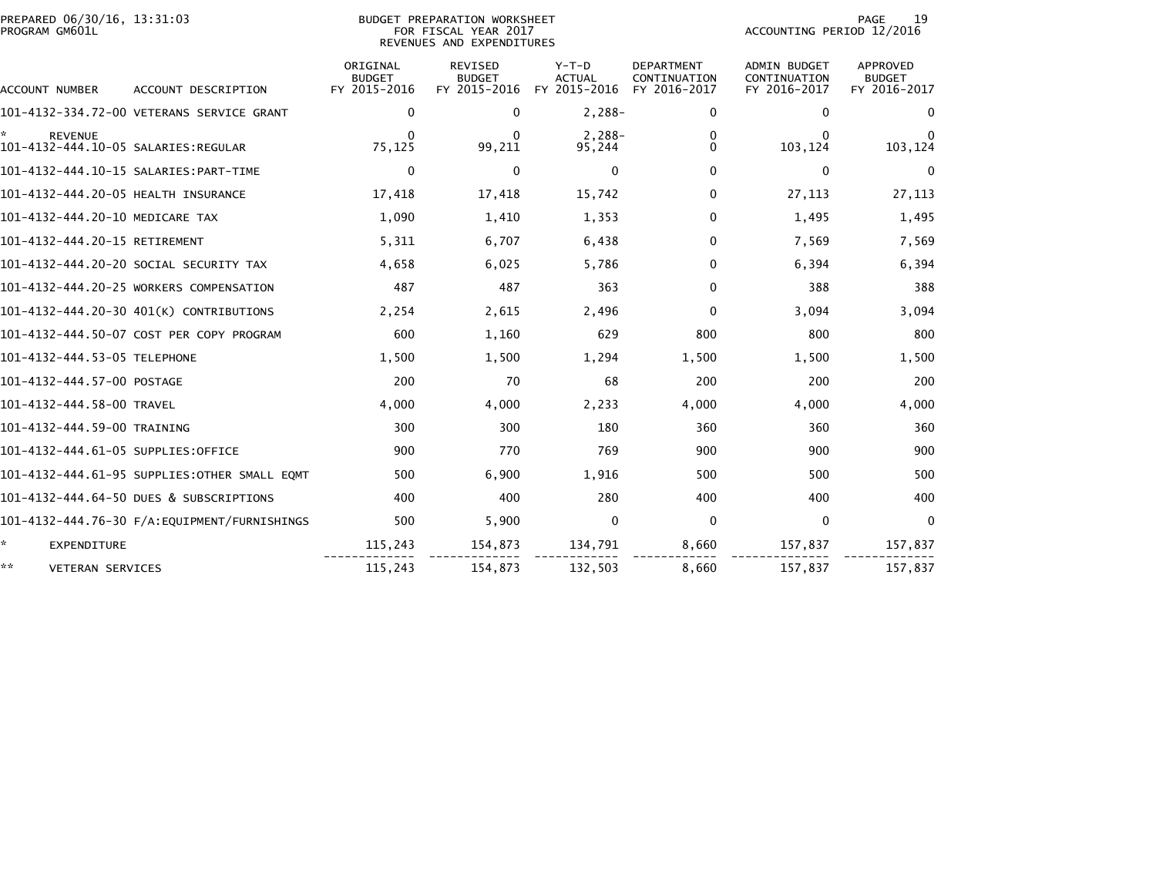| PREPARED 06/30/16, 13:31:03<br>PROGRAM GM601L |                                              |                                           | BUDGET PREPARATION WORKSHEET<br>FOR FISCAL YEAR 2017<br>REVENUES AND EXPENDITURES | 19<br>PAGE<br>ACCOUNTING PERIOD 12/2016  |                                                   |                                                     |                                                  |
|-----------------------------------------------|----------------------------------------------|-------------------------------------------|-----------------------------------------------------------------------------------|------------------------------------------|---------------------------------------------------|-----------------------------------------------------|--------------------------------------------------|
| ACCOUNT NUMBER                                | ACCOUNT DESCRIPTION                          | ORIGINAL<br><b>BUDGET</b><br>FY 2015-2016 | REVISED<br><b>BUDGET</b><br>FY 2015-2016                                          | $Y-T-D$<br><b>ACTUAL</b><br>FY 2015-2016 | <b>DEPARTMENT</b><br>CONTINUATION<br>FY 2016-2017 | ADMIN BUDGET<br><b>CONTINUATION</b><br>FY 2016-2017 | <b>APPROVED</b><br><b>BUDGET</b><br>FY 2016-2017 |
|                                               | 101-4132-334.72-00 VETERANS SERVICE GRANT    | $\mathbf{0}$                              | $\Omega$                                                                          | $2,288-$                                 | 0                                                 | 0                                                   | $\Omega$                                         |
| <b>REVENUE</b>                                |                                              | <sup>0</sup><br>75,125                    | $\Omega$<br>99,211                                                                | $2,288-$<br>95,244                       | 0<br>0                                            | 0<br>103,124                                        | $\Omega$<br>103,124                              |
|                                               |                                              | $\mathbf{0}$                              | $\mathbf{0}$                                                                      | $\mathbf{0}$                             | $\Omega$                                          | $\mathbf{0}$                                        | $\mathbf{0}$                                     |
| 101-4132-444.20-05 HEALTH INSURANCE           |                                              | 17,418                                    | 17,418                                                                            | 15,742                                   | $\Omega$                                          | 27,113                                              | 27,113                                           |
| 101-4132-444.20-10 MEDICARE TAX               |                                              | 1,090                                     | 1,410                                                                             | 1,353                                    | 0                                                 | 1,495                                               | 1,495                                            |
| 101-4132-444.20-15 RETIREMENT                 |                                              | 5,311                                     | 6,707                                                                             | 6,438                                    | 0                                                 | 7,569                                               | 7,569                                            |
|                                               | 101-4132-444.20-20 SOCIAL SECURITY TAX       | 4,658                                     | 6,025                                                                             | 5,786                                    | 0                                                 | 6,394                                               | 6,394                                            |
|                                               | 101-4132-444.20-25 WORKERS COMPENSATION      | 487                                       | 487                                                                               | 363                                      | $\mathbf 0$                                       | 388                                                 | 388                                              |
|                                               | 101-4132-444.20-30 401(K) CONTRIBUTIONS      | 2,254                                     | 2,615                                                                             | 2,496                                    | $\mathbf 0$                                       | 3,094                                               | 3,094                                            |
|                                               | 101-4132-444.50-07 COST PER COPY PROGRAM     | 600                                       | 1,160                                                                             | 629                                      | 800                                               | 800                                                 | 800                                              |
| 101-4132-444.53-05 TELEPHONE                  |                                              | 1,500                                     | 1,500                                                                             | 1,294                                    | 1,500                                             | 1,500                                               | 1,500                                            |
| 101-4132-444.57-00 POSTAGE                    |                                              | 200                                       | 70                                                                                | 68                                       | 200                                               | 200                                                 | 200                                              |
| 101-4132-444.58-00 TRAVEL                     |                                              | 4,000                                     | 4,000                                                                             | 2,233                                    | 4,000                                             | 4,000                                               | 4,000                                            |
| 101-4132-444.59-00 TRAINING                   |                                              | 300                                       | 300                                                                               | 180                                      | 360                                               | 360                                                 | 360                                              |
| 101-4132-444.61-05 SUPPLIES:OFFICE            |                                              | 900                                       | 770                                                                               | 769                                      | 900                                               | 900                                                 | 900                                              |
|                                               | 101-4132-444.61-95 SUPPLIES:OTHER SMALL EQMT | 500                                       | 6,900                                                                             | 1,916                                    | 500                                               | 500                                                 | 500                                              |
|                                               | 101-4132-444.64-50 DUES & SUBSCRIPTIONS      | 400                                       | 400                                                                               | 280                                      | 400                                               | 400                                                 | 400                                              |
|                                               |                                              | 500                                       | 5,900                                                                             | $\mathbf 0$                              | 0                                                 | 0                                                   | $\mathbf{0}$                                     |
| ☆.<br><b>EXPENDITURE</b>                      |                                              | 115,243                                   | 154,873                                                                           | 134,791                                  | 8,660                                             | 157,837                                             | 157,837                                          |
| **<br><b>VETERAN SERVICES</b>                 |                                              | 115,243                                   | 154,873                                                                           | 132,503                                  | 8.660                                             | 157,837                                             | 157,837                                          |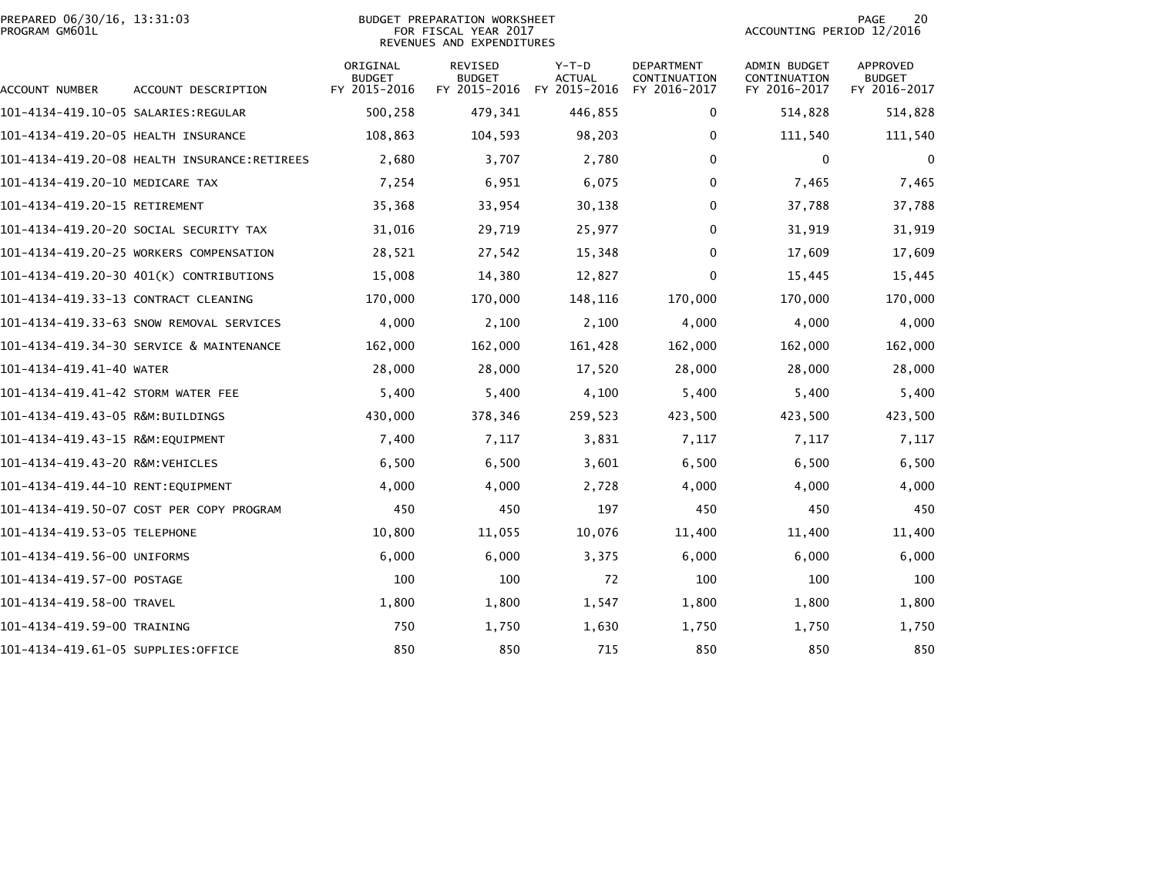|                | PREPARED 06/30/16, 13:31:03 |  |
|----------------|-----------------------------|--|
| PROGRAM GM601L |                             |  |

# PREPARED 06/30/16, 13:31:03 PREPARATION WORKSHEET PREPARATION WORKSHEET PREPARATION WORKSHEET<br>FOR FISCAL YEAR 2017 ACCOUNTING PERIOD 12/2016<br>REVENUES AND EXPENDITURES

PAGE 20<br>ACCOUNTING PERIOD 12/2016

| ACCOUNT NUMBER                       | ACCOUNT DESCRIPTION                          | ORIGINAL<br><b>BUDGET</b><br>FY 2015-2016 | <b>REVISED</b><br><b>BUDGET</b><br>FY 2015-2016 | $Y-T-D$<br><b>ACTUAL</b><br>FY 2015-2016 | <b>DEPARTMENT</b><br>CONTINUATION<br>FY 2016-2017 | ADMIN BUDGET<br>CONTINUATION<br>FY 2016-2017 | <b>APPROVED</b><br><b>BUDGET</b><br>FY 2016-2017 |
|--------------------------------------|----------------------------------------------|-------------------------------------------|-------------------------------------------------|------------------------------------------|---------------------------------------------------|----------------------------------------------|--------------------------------------------------|
| 101-4134-419.10-05 SALARIES:REGULAR  |                                              | 500,258                                   | 479,341                                         | 446,855                                  | $\mathbf 0$                                       | 514,828                                      | 514,828                                          |
| 101-4134-419.20-05 HEALTH INSURANCE  |                                              | 108,863                                   | 104,593                                         | 98,203                                   | 0                                                 | 111,540                                      | 111,540                                          |
|                                      | 101-4134-419.20-08 HEALTH INSURANCE:RETIREES | 2,680                                     | 3,707                                           | 2,780                                    | $\mathbf{0}$                                      | $\Omega$                                     | 0                                                |
| 101-4134-419.20-10 MEDICARE TAX      |                                              | 7,254                                     | 6,951                                           | 6,075                                    | 0                                                 | 7,465                                        | 7,465                                            |
| 101-4134-419.20-15 RETIREMENT        |                                              | 35,368                                    | 33,954                                          | 30,138                                   | $\mathbf{0}$                                      | 37,788                                       | 37,788                                           |
|                                      | 101-4134-419.20-20 SOCIAL SECURITY TAX       | 31,016                                    | 29,719                                          | 25,977                                   | $\mathbf{0}$                                      | 31,919                                       | 31,919                                           |
|                                      | 101-4134-419.20-25 WORKERS COMPENSATION      | 28,521                                    | 27,542                                          | 15,348                                   | $\mathbf{0}$                                      | 17,609                                       | 17,609                                           |
|                                      | 101-4134-419.20-30 401(K) CONTRIBUTIONS      | 15,008                                    | 14,380                                          | 12,827                                   | $\Omega$                                          | 15,445                                       | 15,445                                           |
| 101-4134-419.33-13 CONTRACT CLEANING |                                              | 170,000                                   | 170,000                                         | 148,116                                  | 170,000                                           | 170,000                                      | 170,000                                          |
|                                      | 101-4134-419.33-63 SNOW REMOVAL SERVICES     | 4,000                                     | 2,100                                           | 2,100                                    | 4,000                                             | 4,000                                        | 4,000                                            |
|                                      | 101-4134-419.34-30 SERVICE & MAINTENANCE     | 162,000                                   | 162,000                                         | 161,428                                  | 162,000                                           | 162,000                                      | 162,000                                          |
| 101-4134-419.41-40 WATER             |                                              | 28,000                                    | 28,000                                          | 17,520                                   | 28,000                                            | 28,000                                       | 28,000                                           |
| 101-4134-419.41-42 STORM WATER FEE   |                                              | 5,400                                     | 5,400                                           | 4,100                                    | 5,400                                             | 5,400                                        | 5,400                                            |
| 101–4134–419.43–05 R&M:BUILDINGS     |                                              | 430,000                                   | 378,346                                         | 259,523                                  | 423,500                                           | 423,500                                      | 423,500                                          |
| 101-4134-419.43-15 R&M:EQUIPMENT     |                                              | 7,400                                     | 7,117                                           | 3,831                                    | 7,117                                             | 7,117                                        | 7,117                                            |
| 101-4134-419.43-20 R&M:VEHICLES      |                                              | 6,500                                     | 6,500                                           | 3,601                                    | 6,500                                             | 6,500                                        | 6,500                                            |
| 101-4134-419.44-10 RENT:EOUIPMENT    |                                              | 4,000                                     | 4,000                                           | 2,728                                    | 4,000                                             | 4,000                                        | 4,000                                            |
|                                      | 101-4134-419.50-07 COST PER COPY PROGRAM     | 450                                       | 450                                             | 197                                      | 450                                               | 450                                          | 450                                              |
| 101-4134-419.53-05 TELEPHONE         |                                              | 10,800                                    | 11,055                                          | 10,076                                   | 11,400                                            | 11,400                                       | 11,400                                           |
| 101-4134-419.56-00 UNIFORMS          |                                              | 6,000                                     | 6,000                                           | 3,375                                    | 6,000                                             | 6,000                                        | 6,000                                            |
| 101-4134-419.57-00 POSTAGE           |                                              | 100                                       | 100                                             | 72                                       | 100                                               | 100                                          | 100                                              |
| 101-4134-419.58-00 TRAVEL            |                                              | 1,800                                     | 1,800                                           | 1,547                                    | 1,800                                             | 1,800                                        | 1,800                                            |
| 101-4134-419.59-00 TRAINING          |                                              | 750                                       | 1,750                                           | 1,630                                    | 1,750                                             | 1,750                                        | 1,750                                            |
| 101-4134-419.61-05 SUPPLIES:OFFICE   |                                              | 850                                       | 850                                             | 715                                      | 850                                               | 850                                          | 850                                              |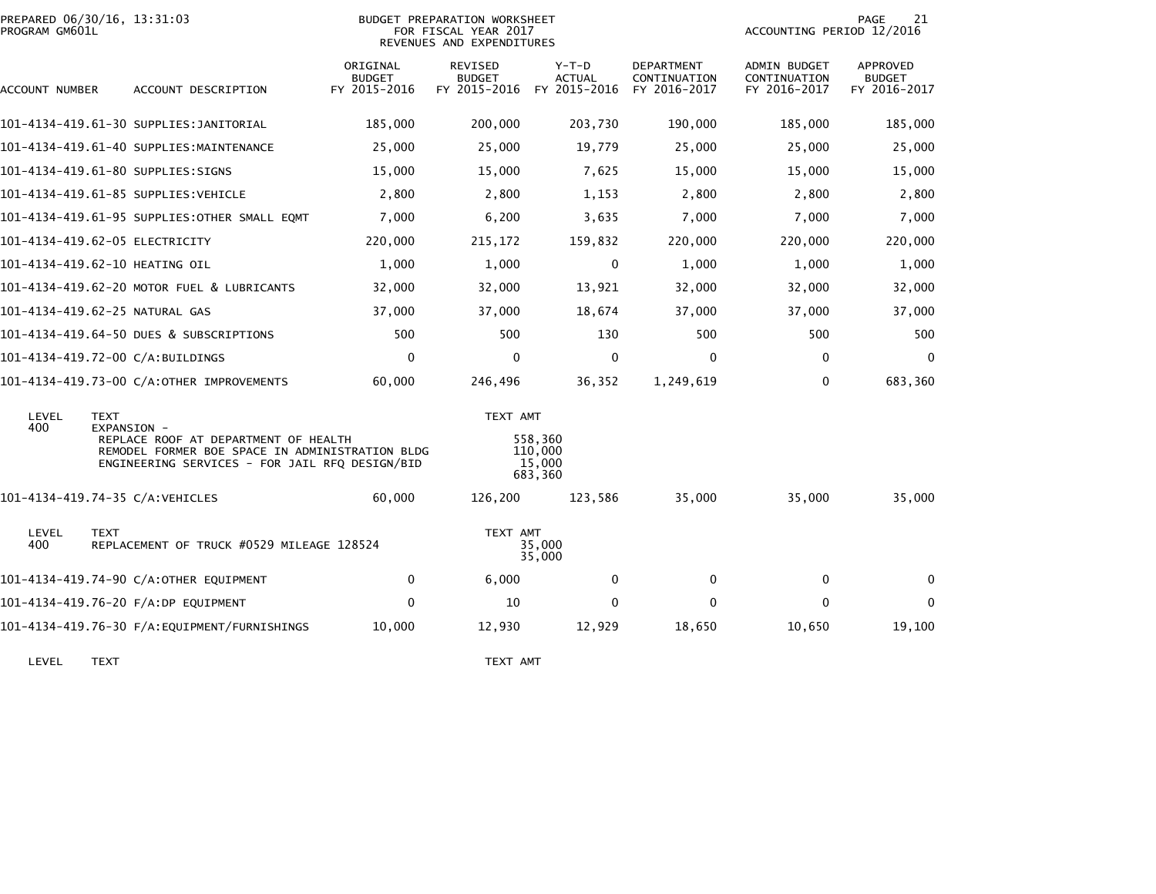| PROGRAM GM601L | PREPARED 06/30/16, 13:31:03                                                                                                               |                                           | <b>BUDGET PREPARATION WORKSHEET</b><br>FOR FISCAL YEAR 2017<br>REVENUES AND EXPENDITURES | ACCOUNTING PERIOD 12/2016                | PAGE<br>21                                        |                                                     |                                                  |
|----------------|-------------------------------------------------------------------------------------------------------------------------------------------|-------------------------------------------|------------------------------------------------------------------------------------------|------------------------------------------|---------------------------------------------------|-----------------------------------------------------|--------------------------------------------------|
| ACCOUNT NUMBER | ACCOUNT DESCRIPTION                                                                                                                       | ORIGINAL<br><b>BUDGET</b><br>FY 2015-2016 | <b>REVISED</b><br><b>BUDGET</b><br>FY 2015-2016                                          | $Y-T-D$<br><b>ACTUAL</b><br>FY 2015-2016 | <b>DEPARTMENT</b><br>CONTINUATION<br>FY 2016-2017 | <b>ADMIN BUDGET</b><br>CONTINUATION<br>FY 2016-2017 | <b>APPROVED</b><br><b>BUDGET</b><br>FY 2016-2017 |
|                | 101-4134-419.61-30 SUPPLIES:JANITORIAL                                                                                                    | 185,000                                   | 200,000                                                                                  | 203,730                                  | 190,000                                           | 185,000                                             | 185,000                                          |
|                | 101-4134-419.61-40 SUPPLIES:MAINTENANCE                                                                                                   | 25,000                                    | 25,000                                                                                   | 19,779                                   | 25,000                                            | 25,000                                              | 25,000                                           |
|                | 101-4134-419.61-80 SUPPLIES:SIGNS                                                                                                         | 15,000                                    | 15,000                                                                                   | 7,625                                    | 15,000                                            | 15,000                                              | 15,000                                           |
|                | 101-4134-419.61-85 SUPPLIES:VEHICLE                                                                                                       | 2,800                                     | 2,800                                                                                    | 1,153                                    | 2,800                                             | 2,800                                               | 2,800                                            |
|                | 101-4134-419.61-95 SUPPLIES: OTHER SMALL EQMT                                                                                             | 7,000                                     | 6,200                                                                                    | 3,635                                    | 7,000                                             | 7,000                                               | 7,000                                            |
|                | 101-4134-419.62-05 ELECTRICITY                                                                                                            | 220,000                                   | 215,172                                                                                  | 159,832                                  | 220,000                                           | 220,000                                             | 220,000                                          |
|                | 101-4134-419.62-10 HEATING OIL                                                                                                            | 1,000                                     | 1,000                                                                                    | 0                                        | 1,000                                             | 1,000                                               | 1,000                                            |
|                | 101-4134-419.62-20 MOTOR FUEL & LUBRICANTS                                                                                                | 32,000                                    | 32,000                                                                                   | 13,921                                   | 32,000                                            | 32,000                                              | 32,000                                           |
|                | 101-4134-419.62-25 NATURAL GAS                                                                                                            | 37,000                                    | 37,000                                                                                   | 18,674                                   | 37,000                                            | 37,000                                              | 37,000                                           |
|                | 101-4134-419.64-50 DUES & SUBSCRIPTIONS                                                                                                   | 500                                       | 500                                                                                      | 130                                      | 500                                               | 500                                                 | 500                                              |
|                | 101-4134-419.72-00 C/A:BUILDINGS                                                                                                          | $\Omega$                                  | $\mathbf{0}$                                                                             | $\mathbf{0}$                             | $\mathbf{0}$                                      | $\mathbf{0}$                                        | $\mathbf{0}$                                     |
|                | 101-4134-419.73-00 C/A:OTHER IMPROVEMENTS                                                                                                 | 60,000                                    | 246,496                                                                                  | 36,352                                   | 1,249,619                                         | 0                                                   | 683,360                                          |
| LEVEL<br>400   | <b>TEXT</b><br>EXPANSION -                                                                                                                |                                           | TEXT AMT                                                                                 |                                          |                                                   |                                                     |                                                  |
|                | REPLACE ROOF AT DEPARTMENT OF HEALTH<br>REMODEL FORMER BOE SPACE IN ADMINISTRATION BLDG<br>ENGINEERING SERVICES - FOR JAIL RFQ DESIGN/BID |                                           |                                                                                          | 558,360<br>110,000<br>15,000<br>683,360  |                                                   |                                                     |                                                  |
|                | 101-4134-419.74-35 C/A:VEHICLES                                                                                                           | 60,000                                    | 126,200                                                                                  | 123,586                                  | 35,000                                            | 35,000                                              | 35,000                                           |
| LEVEL<br>400   | <b>TEXT</b><br>REPLACEMENT OF TRUCK #0529 MILEAGE 128524                                                                                  |                                           | TEXT AMT                                                                                 | 35,000<br>35,000                         |                                                   |                                                     |                                                  |
|                | 101-4134-419.74-90 C/A:OTHER EQUIPMENT                                                                                                    | 0                                         | 6,000                                                                                    | $\mathbf{0}$                             | $\mathbf{0}$                                      | $\Omega$                                            | $\Omega$                                         |
|                | 101-4134-419.76-20 F/A:DP EQUIPMENT                                                                                                       | $\Omega$                                  | 10                                                                                       | 0                                        | $\mathbf{0}$                                      | $\Omega$                                            | $\mathbf 0$                                      |
|                | 101-4134-419.76-30 F/A:EQUIPMENT/FURNISHINGS                                                                                              | 10,000                                    | 12,930                                                                                   | 12,929                                   | 18,650                                            | 10,650                                              | 19,100                                           |

LEVEL TEXT TEXT AMT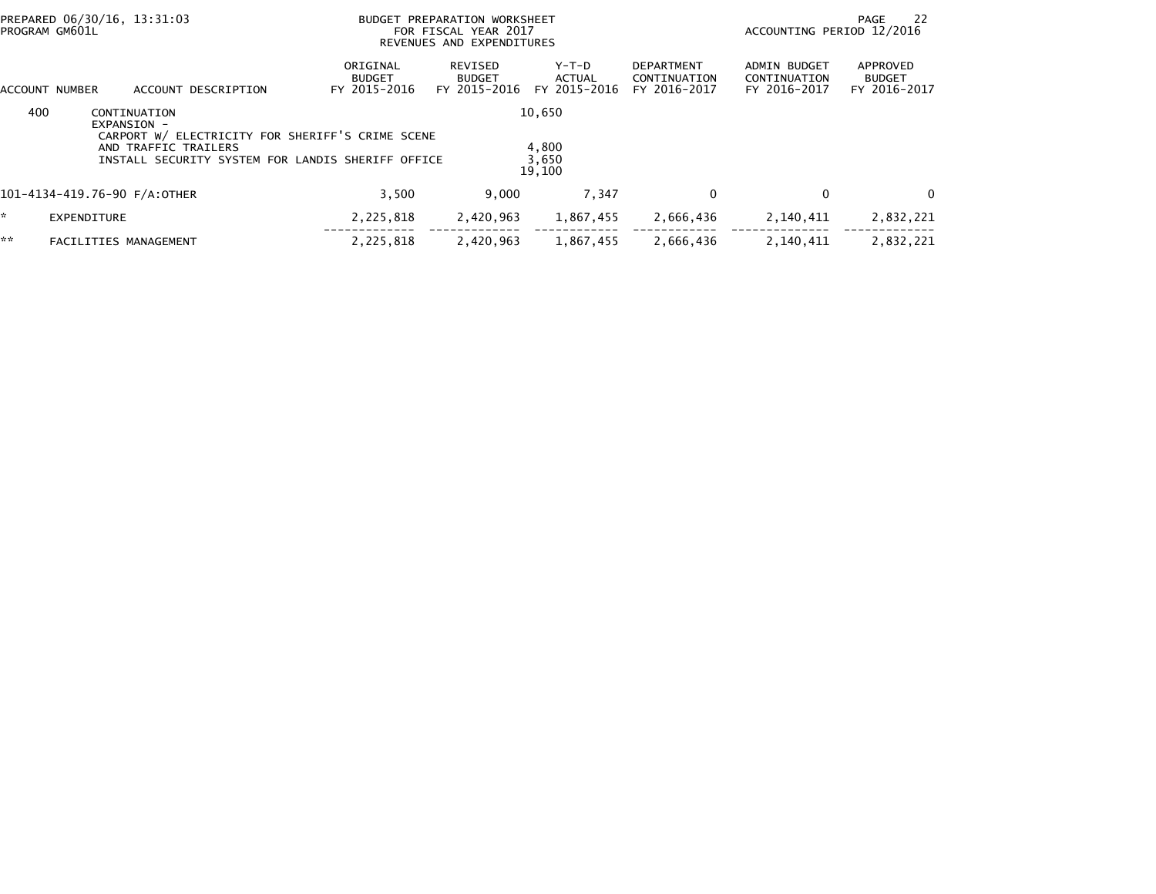|     | PREPARED 06/30/16, 13:31:03<br>PROGRAM GM601L                                                                                                                | BUDGET PREPARATION WORKSHEET<br>FOR FISCAL YEAR 2017<br>REVENUES AND EXPENDITURES | ACCOUNTING PERIOD 12/2016                | -22<br>PAGE                              |                                                   |                                                     |                                           |  |
|-----|--------------------------------------------------------------------------------------------------------------------------------------------------------------|-----------------------------------------------------------------------------------|------------------------------------------|------------------------------------------|---------------------------------------------------|-----------------------------------------------------|-------------------------------------------|--|
|     | ACCOUNT DESCRIPTION<br>ACCOUNT NUMBER                                                                                                                        | ORIGINAL<br><b>BUDGET</b><br>FY 2015-2016                                         | REVISED<br><b>BUDGET</b><br>FY 2015-2016 | $Y-T-D$<br><b>ACTUAL</b><br>FY 2015-2016 | <b>DEPARTMENT</b><br>CONTINUATION<br>FY 2016-2017 | <b>ADMIN BUDGET</b><br>CONTINUATION<br>FY 2016-2017 | APPROVED<br><b>BUDGET</b><br>FY 2016-2017 |  |
| 400 | CONTINUATION<br>EXPANSION -<br>CARPORT W/ ELECTRICITY FOR SHERIFF'S CRIME SCENE<br>AND TRAFFIC TRAILERS<br>INSTALL SECURITY SYSTEM FOR LANDIS SHERIFF OFFICE | 10,650<br>4,800<br>3,650<br>19,100                                                |                                          |                                          |                                                   |                                                     |                                           |  |
|     | 101-4134-419.76-90 F/A:OTHER                                                                                                                                 | 3.500                                                                             | 9.000                                    | 7.347                                    | 0                                                 | 0                                                   | 0                                         |  |
| ÷.  | EXPENDITURE                                                                                                                                                  | 2,225,818                                                                         | 2,420,963                                | 1,867,455                                | 2,666,436                                         | 2,140,411                                           | 2,832,221                                 |  |
| **  | FACILITIES MANAGEMENT                                                                                                                                        | 2,225,818                                                                         | 2,420,963                                | 1,867,455                                | 2,666,436                                         | 2,140,411                                           | 2.832.221                                 |  |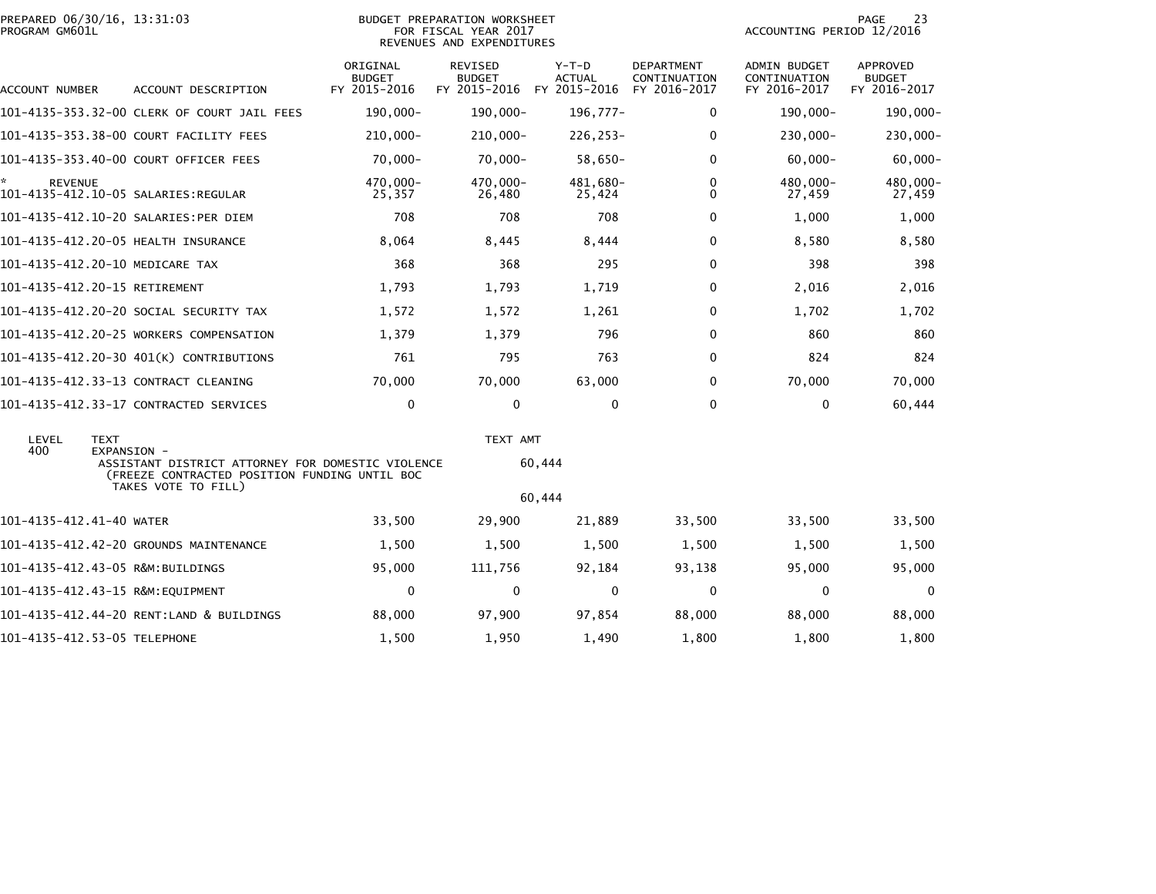|                | PREPARED 06/30/16, 13:31:03 |  |
|----------------|-----------------------------|--|
| PROGRAM GM601L |                             |  |

### PREPARED 06/30/16, 13:31:03 PREPARATION WORKSHEET PREPARATION WORKSHEET PREPARATION WORKSHEET<br>FOR FISCAL YEAR 2017 ACCOUNTING PERIOD 12/2016<br>REVENUES AND EXPENDITURES

| ACCOUNT NUMBER           | ACCOUNT DESCRIPTION                         | ORIGINAL<br><b>BUDGET</b><br>FY 2015-2016                                                          | <b>REVISED</b><br><b>BUDGET</b><br>FY 2015-2016 | $Y-T-D$<br><b>ACTUAL</b><br>FY 2015-2016 | <b>DEPARTMENT</b><br>CONTINUATION<br>FY 2016-2017 | <b>ADMIN BUDGET</b><br>CONTINUATION<br>FY 2016-2017 | <b>APPROVED</b><br><b>BUDGET</b><br>FY 2016-2017 |
|--------------------------|---------------------------------------------|----------------------------------------------------------------------------------------------------|-------------------------------------------------|------------------------------------------|---------------------------------------------------|-----------------------------------------------------|--------------------------------------------------|
|                          | 101-4135-353.32-00 CLERK OF COURT JAIL FEES | 190,000-                                                                                           | $190,000 -$                                     | 196,777-                                 | $\mathbf{0}$                                      | 190,000-                                            | 190,000-                                         |
|                          | 101-4135-353.38-00 COURT FACILITY FEES      | $210,000 -$                                                                                        | $210,000 -$                                     | $226, 253 -$                             | 0                                                 | $230,000 -$                                         | 230,000-                                         |
|                          | 101-4135-353.40-00 COURT OFFICER FEES       | $70,000 -$                                                                                         | $70,000 -$                                      | 58,650-                                  | $\mathbf{0}$                                      | $60,000 -$                                          | $60,000 -$                                       |
| <b>REVENUE</b>           | 101-4135-412.10-05 SALARIES:REGULAR         | 470,000-<br>25,357                                                                                 | 470,000-<br>26,480                              | 481,680-<br>25,424                       | 0<br>$\Omega$                                     | 480,000-<br>27,459                                  | 480,000-<br>27,459                               |
|                          | 101-4135-412.10-20 SALARIES:PER DIEM        | 708                                                                                                | 708                                             | 708                                      | $\mathbf{0}$                                      | 1,000                                               | 1,000                                            |
|                          | 101-4135-412.20-05 HEALTH INSURANCE         | 8,064                                                                                              | 8,445                                           | 8,444                                    | $\mathbf{0}$                                      | 8,580                                               | 8,580                                            |
|                          | 101-4135-412.20-10 MEDICARE TAX             | 368                                                                                                | 368                                             | 295                                      | $\mathbf 0$                                       | 398                                                 | 398                                              |
|                          | 101-4135-412.20-15 RETIREMENT               | 1,793                                                                                              | 1,793                                           | 1,719                                    | $\mathbf{0}$                                      | 2,016                                               | 2,016                                            |
|                          | 101-4135-412.20-20 SOCIAL SECURITY TAX      | 1,572                                                                                              | 1,572                                           | 1,261                                    | $\mathbf{0}$                                      | 1,702                                               | 1,702                                            |
|                          | 101-4135-412.20-25 WORKERS COMPENSATION     | 1,379                                                                                              | 1,379                                           | 796                                      | $\mathbf{0}$                                      | 860                                                 | 860                                              |
|                          | 101-4135-412.20-30 401(K) CONTRIBUTIONS     | 761                                                                                                | 795                                             | 763                                      | $\mathbf{0}$                                      | 824                                                 | 824                                              |
|                          | 101-4135-412.33-13 CONTRACT CLEANING        | 70,000                                                                                             | 70,000                                          | 63,000                                   | $\mathbf{0}$                                      | 70,000                                              | 70,000                                           |
|                          | 101-4135-412.33-17 CONTRACTED SERVICES      | $\mathbf 0$                                                                                        | 0                                               | 0                                        | $\Omega$                                          | $\mathbf{0}$                                        | 60,444                                           |
| LEVEL<br>400             | <b>TEXT</b><br>EXPANSION -                  | ASSISTANT DISTRICT ATTORNEY FOR DOMESTIC VIOLENCE<br>(FREEZE CONTRACTED POSITION FUNDING UNTIL BOC |                                                 | TEXT AMT<br>60,444                       |                                                   |                                                     |                                                  |
|                          | TAKES VOTE TO FILL)                         |                                                                                                    |                                                 | 60,444                                   |                                                   |                                                     |                                                  |
| 101-4135-412.41-40 WATER |                                             | 33,500                                                                                             | 29,900                                          | 21,889                                   | 33,500                                            | 33,500                                              | 33,500                                           |
|                          | 101-4135-412.42-20 GROUNDS MAINTENANCE      | 1,500                                                                                              | 1,500                                           | 1,500                                    | 1,500                                             | 1,500                                               | 1,500                                            |
|                          | 101-4135-412.43-05 R&M:BUILDINGS            | 95,000                                                                                             | 111,756                                         | 92,184                                   | 93,138                                            | 95,000                                              | 95,000                                           |
|                          | 101-4135-412.43-15 R&M:EQUIPMENT            | $\mathbf 0$                                                                                        | $\mathbf 0$                                     | $\mathbf 0$                              | $\mathbf 0$                                       | $\mathbf 0$                                         | 0                                                |
|                          | 101-4135-412.44-20 RENT:LAND & BUILDINGS    | 88,000                                                                                             | 97,900                                          | 97,854                                   | 88,000                                            | 88,000                                              | 88,000                                           |
|                          | 101-4135-412.53-05 TELEPHONE                | 1,500                                                                                              | 1,950                                           | 1,490                                    | 1,800                                             | 1,800                                               | 1,800                                            |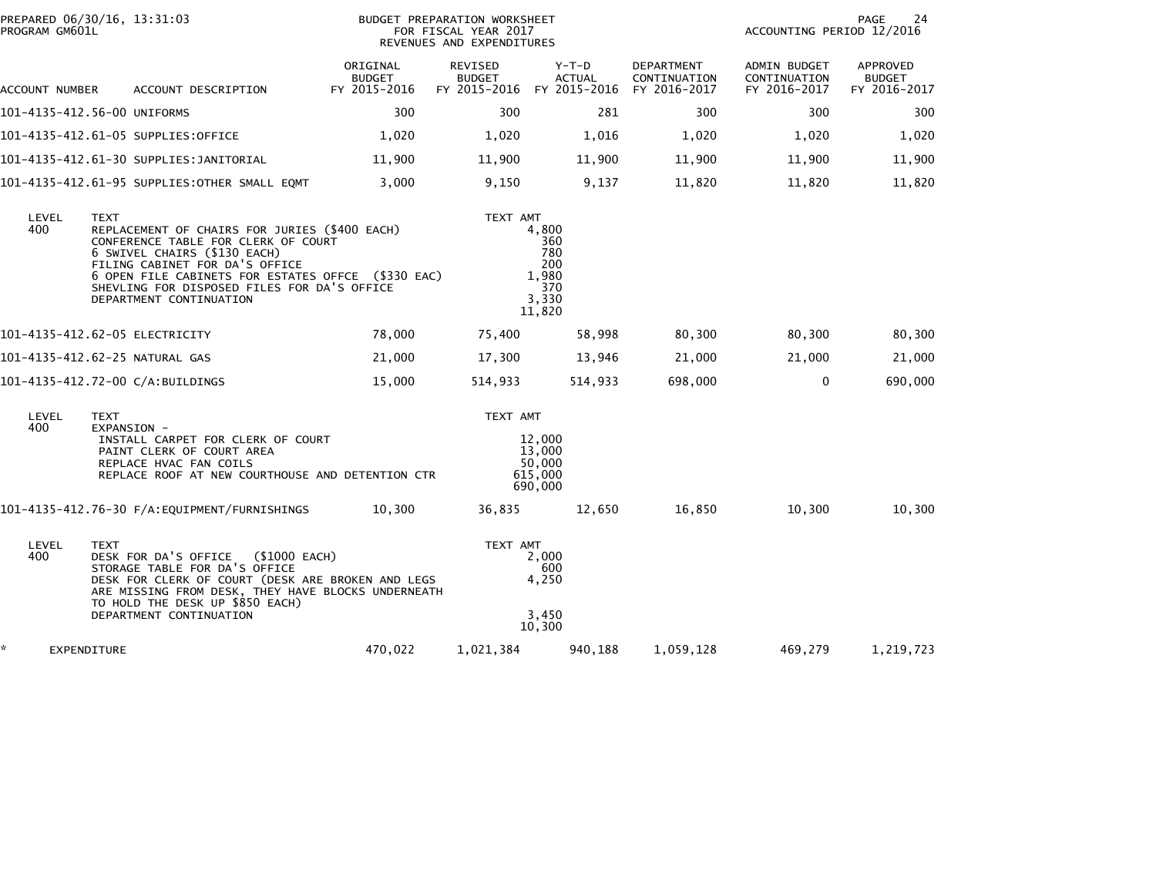| PROGRAM GM601L    | PREPARED 06/30/16, 13:31:03                                                                                                                                                                                                                                                                    | BUDGET PREPARATION WORKSHEET<br>FOR FISCAL YEAR 2017<br>REVENUES AND EXPENDITURES |                          |                                                               |                                                   | 24<br>PAGE<br>ACCOUNTING PERIOD 12/2016      |                                                  |  |
|-------------------|------------------------------------------------------------------------------------------------------------------------------------------------------------------------------------------------------------------------------------------------------------------------------------------------|-----------------------------------------------------------------------------------|--------------------------|---------------------------------------------------------------|---------------------------------------------------|----------------------------------------------|--------------------------------------------------|--|
| ACCOUNT NUMBER    | ACCOUNT DESCRIPTION                                                                                                                                                                                                                                                                            | ORIGINAL<br><b>BUDGET</b><br>FY 2015-2016                                         | REVISED<br><b>BUDGET</b> | Y-T-D<br><b>ACTUAL</b><br>FY 2015-2016 FY 2015-2016           | <b>DEPARTMENT</b><br>CONTINUATION<br>FY 2016-2017 | ADMIN BUDGET<br>CONTINUATION<br>FY 2016-2017 | <b>APPROVED</b><br><b>BUDGET</b><br>FY 2016-2017 |  |
|                   | 101-4135-412.56-00 UNIFORMS                                                                                                                                                                                                                                                                    | 300                                                                               | 300                      | 281                                                           | 300                                               | 300                                          | 300                                              |  |
|                   | 101-4135-412.61-05 SUPPLIES:OFFICE                                                                                                                                                                                                                                                             | 1,020                                                                             | 1,020                    | 1,016                                                         | 1,020                                             | 1,020                                        | 1,020                                            |  |
|                   | 101-4135-412.61-30 SUPPLIES:JANITORIAL                                                                                                                                                                                                                                                         | 11,900                                                                            | 11,900                   | 11,900                                                        | 11,900                                            | 11,900                                       | 11,900                                           |  |
|                   | 101-4135-412.61-95 SUPPLIES:OTHER SMALL EQMT                                                                                                                                                                                                                                                   | 3,000                                                                             | 9,150                    | 9,137                                                         | 11,820                                            | 11,820                                       | 11,820                                           |  |
| LEVEL<br>400      | TEXT<br>REPLACEMENT OF CHAIRS FOR JURIES (\$400 EACH)<br>CONFERENCE TABLE FOR CLERK OF COURT<br>6 SWIVEL CHAIRS (\$130 EACH)<br>FILING CABINET FOR DA'S OFFICE<br>6 OPEN FILE CABINETS FOR ESTATES OFFCE (\$330 EAC)<br>SHEVLING FOR DISPOSED FILES FOR DA'S OFFICE<br>DEPARTMENT CONTINUATION |                                                                                   | TEXT AMT                 | 4,800<br>360<br>780<br>200<br>1,980<br>370<br>3,330<br>11,820 |                                                   |                                              |                                                  |  |
|                   | 101-4135-412.62-05 ELECTRICITY                                                                                                                                                                                                                                                                 | 78,000                                                                            | 75,400                   | 58,998                                                        | 80,300                                            | 80,300                                       | 80,300                                           |  |
|                   | 101-4135-412.62-25 NATURAL GAS                                                                                                                                                                                                                                                                 | 21,000                                                                            | 17,300                   | 13,946                                                        | 21,000                                            | 21,000                                       | 21,000                                           |  |
|                   | 101-4135-412.72-00 C/A:BUILDINGS                                                                                                                                                                                                                                                               | 15,000                                                                            | 514,933                  | 514,933                                                       | 698,000                                           | $\mathbf 0$                                  | 690,000                                          |  |
| LEVEL<br>400      | <b>TEXT</b><br>EXPANSION -<br>INSTALL CARPET FOR CLERK OF COURT<br>PAINT CLERK OF COURT AREA<br>REPLACE HVAC FAN COILS<br>REPLACE ROOF AT NEW COURTHOUSE AND DETENTION CTR                                                                                                                     |                                                                                   | TEXT AMT                 | 12,000<br>13,000<br>50,000<br>615,000<br>690,000              |                                                   |                                              |                                                  |  |
|                   | 101-4135-412.76-30 F/A:EQUIPMENT/FURNISHINGS                                                                                                                                                                                                                                                   | 10,300                                                                            | 36,835                   | 12,650                                                        | 16,850                                            | 10,300                                       | 10,300                                           |  |
| LEVEL<br>400      | <b>TEXT</b><br>DESK FOR DA'S OFFICE (\$1000 EACH)<br>STORAGE TABLE FOR DA'S OFFICE<br>DESK FOR CLERK OF COURT (DESK ARE BROKEN AND LEGS<br>ARE MISSING FROM DESK, THEY HAVE BLOCKS UNDERNEATH<br>TO HOLD THE DESK UP \$850 EACH)<br>DEPARTMENT CONTINUATION                                    |                                                                                   | TEXT AMT                 | 2,000<br>600<br>4,250<br>3,450<br>10,300                      |                                                   |                                              |                                                  |  |
| ×.<br>EXPENDITURE |                                                                                                                                                                                                                                                                                                | 470,022                                                                           | 1,021,384                | 940,188                                                       | 1,059,128                                         | 469,279                                      | 1,219,723                                        |  |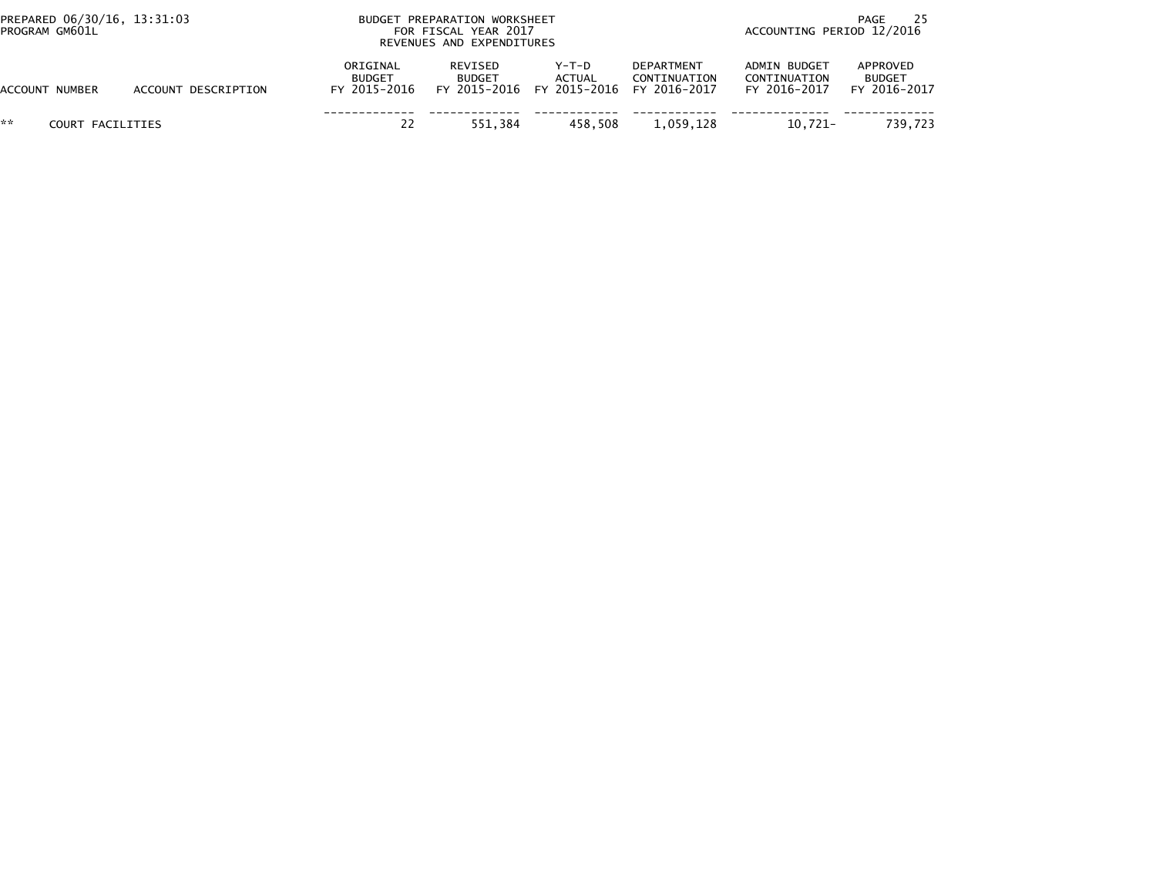| PREPARED 06/30/16, 13:31:03<br>PROGRAM GM601L |                     |                                           | BUDGET PREPARATION WORKSHEET<br>FOR FISCAL YEAR 2017<br>REVENUES AND EXPENDITURES |                                                                  | PAGE<br>ACCOUNTING PERIOD 12/2016 |                                              |                                           |
|-----------------------------------------------|---------------------|-------------------------------------------|-----------------------------------------------------------------------------------|------------------------------------------------------------------|-----------------------------------|----------------------------------------------|-------------------------------------------|
| <b>ACCOUNT NUMBER</b>                         | ACCOUNT DESCRIPTION | ORIGINAL<br><b>BUDGET</b><br>FY 2015-2016 | REVISED<br><b>BUDGET</b>                                                          | Y-T-D<br><b>ACTUAL</b><br>FY 2015-2016 FY 2015-2016 FY 2016-2017 | <b>DEPARTMENT</b><br>CONTINUATION | ADMIN BUDGET<br>CONTINUATION<br>FY 2016-2017 | APPROVED<br><b>BUDGET</b><br>FY 2016-2017 |
| **<br>COURT FACILITIES                        |                     | 22                                        | 551.384                                                                           | 458.508                                                          | 1,059,128                         | $10.721 -$                                   | 739.723                                   |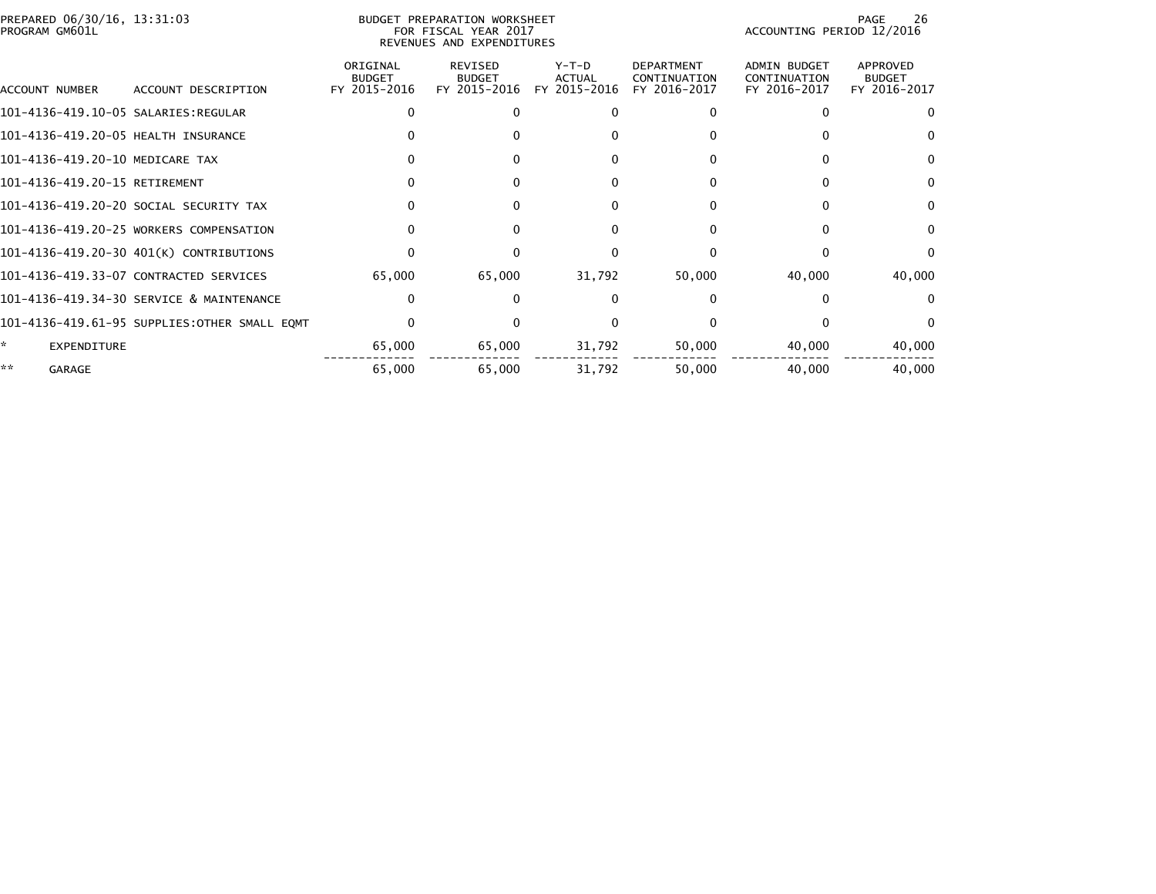| PREPARED 06/30/16, 13:31:03<br>PROGRAM GM601L |                                              | BUDGET PREPARATION WORKSHEET<br>FOR FISCAL YEAR 2017<br>REVENUES AND EXPENDITURES |                                                 |                                        |                                                   |                                              | 26<br>PAGE<br>ACCOUNTING PERIOD 12/2016   |  |  |
|-----------------------------------------------|----------------------------------------------|-----------------------------------------------------------------------------------|-------------------------------------------------|----------------------------------------|---------------------------------------------------|----------------------------------------------|-------------------------------------------|--|--|
| ACCOUNT NUMBER                                | ACCOUNT DESCRIPTION                          | ORIGINAL<br><b>BUDGET</b><br>FY 2015-2016                                         | <b>REVISED</b><br><b>BUDGET</b><br>FY 2015-2016 | Y-T-D<br><b>ACTUAL</b><br>FY 2015-2016 | <b>DEPARTMENT</b><br>CONTINUATION<br>FY 2016-2017 | ADMIN BUDGET<br>CONTINUATION<br>FY 2016-2017 | APPROVED<br><b>BUDGET</b><br>FY 2016-2017 |  |  |
|                                               |                                              |                                                                                   | O                                               |                                        |                                                   |                                              |                                           |  |  |
| 101-4136-419.20-05 HEALTH INSURANCE           |                                              |                                                                                   |                                                 |                                        |                                                   |                                              |                                           |  |  |
| 101-4136-419.20-10 MEDICARE TAX               |                                              |                                                                                   |                                                 |                                        |                                                   |                                              | 0                                         |  |  |
| 101-4136-419.20-15 RETIREMENT                 |                                              |                                                                                   |                                                 |                                        |                                                   |                                              | <sup>0</sup>                              |  |  |
|                                               | 101-4136-419.20-20 SOCIAL SECURITY TAX       |                                                                                   | $\Omega$                                        | $\Omega$                               | 0                                                 | 0                                            | 0                                         |  |  |
|                                               | 101-4136-419.20-25 WORKERS COMPENSATION      |                                                                                   | 0                                               |                                        |                                                   |                                              | <sup>0</sup>                              |  |  |
|                                               | 101-4136-419.20-30 401(K) CONTRIBUTIONS      |                                                                                   |                                                 |                                        |                                                   |                                              | 0                                         |  |  |
|                                               | 101-4136-419.33-07 CONTRACTED SERVICES       | 65,000                                                                            | 65,000                                          | 31,792                                 | 50,000                                            | 40,000                                       | 40,000                                    |  |  |
|                                               | 101-4136-419.34-30 SERVICE & MAINTENANCE     |                                                                                   | $\Omega$                                        | $\Omega$                               |                                                   |                                              |                                           |  |  |
|                                               | 101-4136-419.61-95 SUPPLIES:OTHER SMALL EQMT |                                                                                   |                                                 |                                        |                                                   |                                              | 0                                         |  |  |
| *<br>EXPENDITURE                              |                                              | 65,000                                                                            | 65,000                                          | 31,792                                 | 50,000                                            | 40,000                                       | 40,000                                    |  |  |
| **<br><b>GARAGE</b>                           |                                              | 65,000                                                                            | 65,000                                          | 31,792                                 | 50,000                                            | 40,000                                       | 40,000                                    |  |  |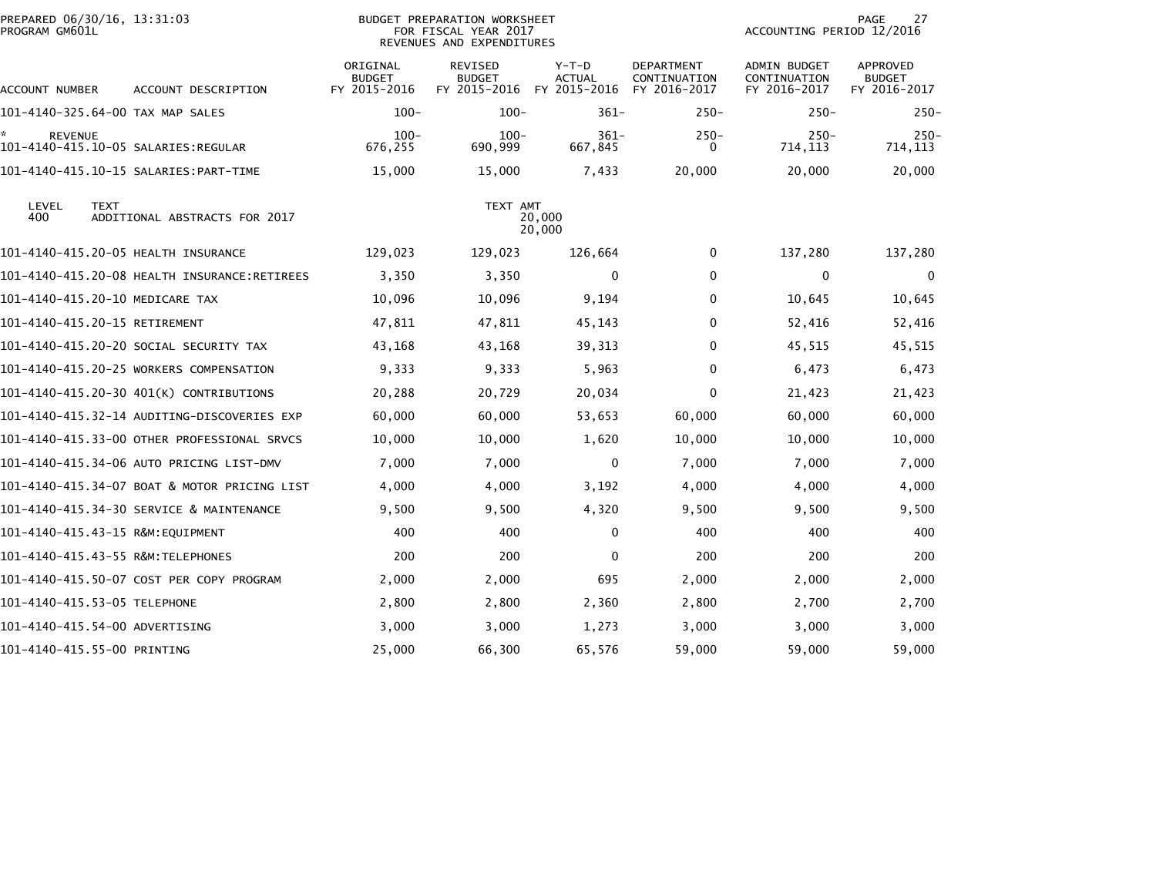| PREPARED 06/30/16, 13:31:03<br>PROGRAM GM601L |                                              |                                           | <b>BUDGET PREPARATION WORKSHEET</b><br>FOR FISCAL YEAR 2017<br>REVENUES AND EXPENDITURES |                                          |                                                   | ACCOUNTING PERIOD 12/2016                           | 27<br>PAGE                                       |
|-----------------------------------------------|----------------------------------------------|-------------------------------------------|------------------------------------------------------------------------------------------|------------------------------------------|---------------------------------------------------|-----------------------------------------------------|--------------------------------------------------|
| ACCOUNT NUMBER                                | ACCOUNT DESCRIPTION                          | ORIGINAL<br><b>BUDGET</b><br>FY 2015-2016 | REVISED<br><b>BUDGET</b><br>FY 2015-2016                                                 | $Y-T-D$<br><b>ACTUAL</b><br>FY 2015-2016 | <b>DEPARTMENT</b><br>CONTINUATION<br>FY 2016-2017 | <b>ADMIN BUDGET</b><br>CONTINUATION<br>FY 2016-2017 | <b>APPROVED</b><br><b>BUDGET</b><br>FY 2016-2017 |
|                                               | 101-4140-325.64-00 TAX MAP SALES             | $100 -$                                   | $100 -$                                                                                  | $361 -$                                  | $250 -$                                           | $250 -$                                             | $250 -$                                          |
| <b>REVENUE</b>                                |                                              | $100 -$<br>676,255                        | $100 -$<br>690,999                                                                       | $361 -$<br>667,845                       | $250 -$<br>$\Omega$                               | $250 -$<br>714, 113                                 | $250 -$<br>714, 113                              |
|                                               | 101-4140-415.10-15 SALARIES: PART-TIME       | 15,000                                    | 15,000                                                                                   | 7,433                                    | 20,000                                            | 20,000                                              | 20,000                                           |
| LEVEL<br><b>TEXT</b><br>400                   | ADDITIONAL ABSTRACTS FOR 2017                |                                           | TEXT AMT                                                                                 | 20,000<br>20,000                         |                                                   |                                                     |                                                  |
|                                               | 101-4140-415.20-05 HEALTH INSURANCE          | 129,023                                   | 129,023                                                                                  | 126,664                                  | 0                                                 | 137,280                                             | 137,280                                          |
|                                               |                                              | 3,350                                     | 3,350                                                                                    | 0                                        | $\mathbf{0}$                                      | 0                                                   | $\Omega$                                         |
|                                               | 101-4140-415.20-10 MEDICARE TAX              | 10,096                                    | 10,096                                                                                   | 9,194                                    | 0                                                 | 10,645                                              | 10,645                                           |
| 101-4140-415.20-15 RETIREMENT                 |                                              | 47,811                                    | 47,811                                                                                   | 45,143                                   | $\mathbf 0$                                       | 52,416                                              | 52,416                                           |
|                                               | 101–4140–415.20–20 SOCIAL SECURITY TAX       | 43,168                                    | 43,168                                                                                   | 39,313                                   | 0                                                 | 45,515                                              | 45,515                                           |
|                                               | 101-4140-415.20-25 WORKERS COMPENSATION      | 9,333                                     | 9,333                                                                                    | 5,963                                    | $\mathbf{0}$                                      | 6,473                                               | 6,473                                            |
|                                               | 101-4140-415.20-30 401(K) CONTRIBUTIONS      | 20,288                                    | 20,729                                                                                   | 20,034                                   | 0                                                 | 21,423                                              | 21,423                                           |
|                                               | 101–4140–415.32–14 AUDITING–DISCOVERIES EXP  | 60,000                                    | 60,000                                                                                   | 53,653                                   | 60,000                                            | 60,000                                              | 60,000                                           |
|                                               | 101-4140-415.33-00 OTHER PROFESSIONAL SRVCS  | 10,000                                    | 10,000                                                                                   | 1,620                                    | 10,000                                            | 10,000                                              | 10,000                                           |
|                                               | 101-4140-415.34-06 AUTO PRICING LIST-DMV     | 7,000                                     | 7,000                                                                                    | 0                                        | 7,000                                             | 7,000                                               | 7,000                                            |
|                                               | 101-4140-415.34-07 BOAT & MOTOR PRICING LIST | 4,000                                     | 4,000                                                                                    | 3,192                                    | 4,000                                             | 4,000                                               | 4,000                                            |
|                                               | 101-4140-415.34-30 SERVICE & MAINTENANCE     | 9,500                                     | 9,500                                                                                    | 4,320                                    | 9,500                                             | 9,500                                               | 9,500                                            |
|                                               | 101-4140-415.43-15 R&M:EQUIPMENT             | 400                                       | 400                                                                                      | 0                                        | 400                                               | 400                                                 | 400                                              |
|                                               | 101-4140-415.43-55 R&M:TELEPHONES            | 200                                       | 200                                                                                      | $\mathbf 0$                              | 200                                               | 200                                                 | 200                                              |
|                                               | 101-4140-415.50-07 COST PER COPY PROGRAM     | 2,000                                     | 2,000                                                                                    | 695                                      | 2,000                                             | 2,000                                               | 2,000                                            |
| 101-4140-415.53-05 TELEPHONE                  |                                              | 2,800                                     | 2,800                                                                                    | 2,360                                    | 2,800                                             | 2,700                                               | 2,700                                            |
| 101-4140-415.54-00 ADVERTISING                |                                              | 3,000                                     | 3,000                                                                                    | 1,273                                    | 3,000                                             | 3,000                                               | 3,000                                            |
| 101-4140-415.55-00 PRINTING                   |                                              | 25,000                                    | 66,300                                                                                   | 65,576                                   | 59,000                                            | 59,000                                              | 59,000                                           |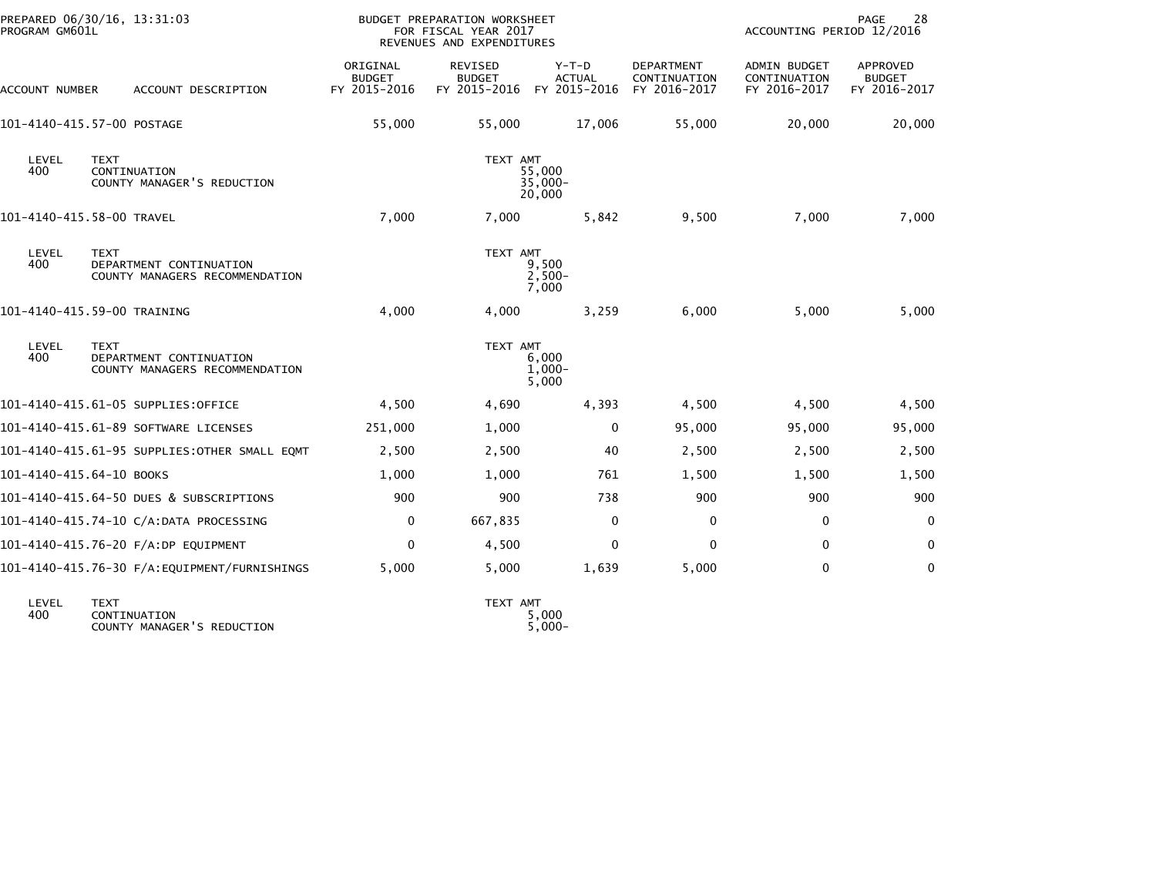| PROGRAM GM601L           | PREPARED 06/30/16, 13:31:03                                              |                                           | BUDGET PREPARATION WORKSHEET<br>FOR FISCAL YEAR 2017<br>REVENUES AND EXPENDITURES |                                          |                                            | ACCOUNTING PERIOD 12/2016                           | PAGE<br>28                                |
|--------------------------|--------------------------------------------------------------------------|-------------------------------------------|-----------------------------------------------------------------------------------|------------------------------------------|--------------------------------------------|-----------------------------------------------------|-------------------------------------------|
| ACCOUNT NUMBER           | ACCOUNT DESCRIPTION                                                      | ORIGINAL<br><b>BUDGET</b><br>FY 2015-2016 | REVISED<br><b>BUDGET</b><br>FY 2015-2016                                          | $Y-T-D$<br><b>ACTUAL</b><br>FY 2015-2016 | DEPARTMENT<br>CONTINUATION<br>FY 2016-2017 | <b>ADMIN BUDGET</b><br>CONTINUATION<br>FY 2016-2017 | APPROVED<br><b>BUDGET</b><br>FY 2016-2017 |
|                          | 101-4140-415.57-00 POSTAGE                                               | 55,000                                    | 55,000                                                                            | 17,006                                   | 55,000                                     | 20,000                                              | 20,000                                    |
| LEVEL<br>400             | <b>TEXT</b><br>CONTINUATION<br>COUNTY MANAGER'S REDUCTION                |                                           | TEXT AMT                                                                          | 55,000<br>$35,000 -$<br>20,000           |                                            |                                                     |                                           |
|                          | 101-4140-415.58-00 TRAVEL                                                | 7,000                                     | 7,000                                                                             | 5,842                                    | 9,500                                      | 7,000                                               | 7,000                                     |
| LEVEL<br>400             | <b>TEXT</b><br>DEPARTMENT CONTINUATION<br>COUNTY MANAGERS RECOMMENDATION |                                           | TEXT AMT                                                                          | 9,500<br>$2,500-$<br>7,000               |                                            |                                                     |                                           |
|                          | 101-4140-415.59-00 TRAINING                                              | 4,000                                     | 4,000                                                                             | 3,259                                    | 6,000                                      | 5,000                                               | 5,000                                     |
| LEVEL<br>400             | <b>TEXT</b><br>DEPARTMENT CONTINUATION<br>COUNTY MANAGERS RECOMMENDATION |                                           | TEXT AMT                                                                          | 6,000<br>$1,000-$<br>5,000               |                                            |                                                     |                                           |
|                          | 101-4140-415.61-05 SUPPLIES:OFFICE                                       | 4,500                                     | 4,690                                                                             | 4,393                                    | 4,500                                      | 4,500                                               | 4,500                                     |
|                          | 101-4140-415.61-89 SOFTWARE LICENSES                                     | 251,000                                   | 1,000                                                                             | $\mathbf{0}$                             | 95,000                                     | 95,000                                              | 95,000                                    |
|                          | 101-4140-415.61-95 SUPPLIES: OTHER SMALL EQMT                            | 2,500                                     | 2,500                                                                             | 40                                       | 2,500                                      | 2,500                                               | 2,500                                     |
| 101-4140-415.64-10 BOOKS |                                                                          | 1,000                                     | 1,000                                                                             | 761                                      | 1,500                                      | 1,500                                               | 1,500                                     |
|                          | 101-4140-415.64-50 DUES & SUBSCRIPTIONS                                  | 900                                       | 900                                                                               | 738                                      | 900                                        | 900                                                 | 900                                       |
|                          | 101-4140-415.74-10 C/A:DATA PROCESSING                                   | 0                                         | 667,835                                                                           | 0                                        | 0                                          | 0                                                   | $\mathbf 0$                               |
|                          | 101-4140-415.76-20 F/A:DP EQUIPMENT                                      | 0                                         | 4,500                                                                             | 0                                        | 0                                          | $\mathbf{0}$                                        | 0                                         |
|                          | 101-4140-415.76-30 F/A:EQUIPMENT/FURNISHINGS                             | 5,000                                     | 5,000                                                                             | 1,639                                    | 5,000                                      | $\mathbf{0}$                                        | $\mathbf{0}$                              |
|                          |                                                                          |                                           |                                                                                   |                                          |                                            |                                                     |                                           |

| LEVEL | <b>TEXT</b>                | <b>AMT</b><br><b>TEXT</b> |
|-------|----------------------------|---------------------------|
| 400   | CONTINUATION               | 5.000                     |
|       | COUNTY MANAGER'S REDUCTION | $5.000 -$                 |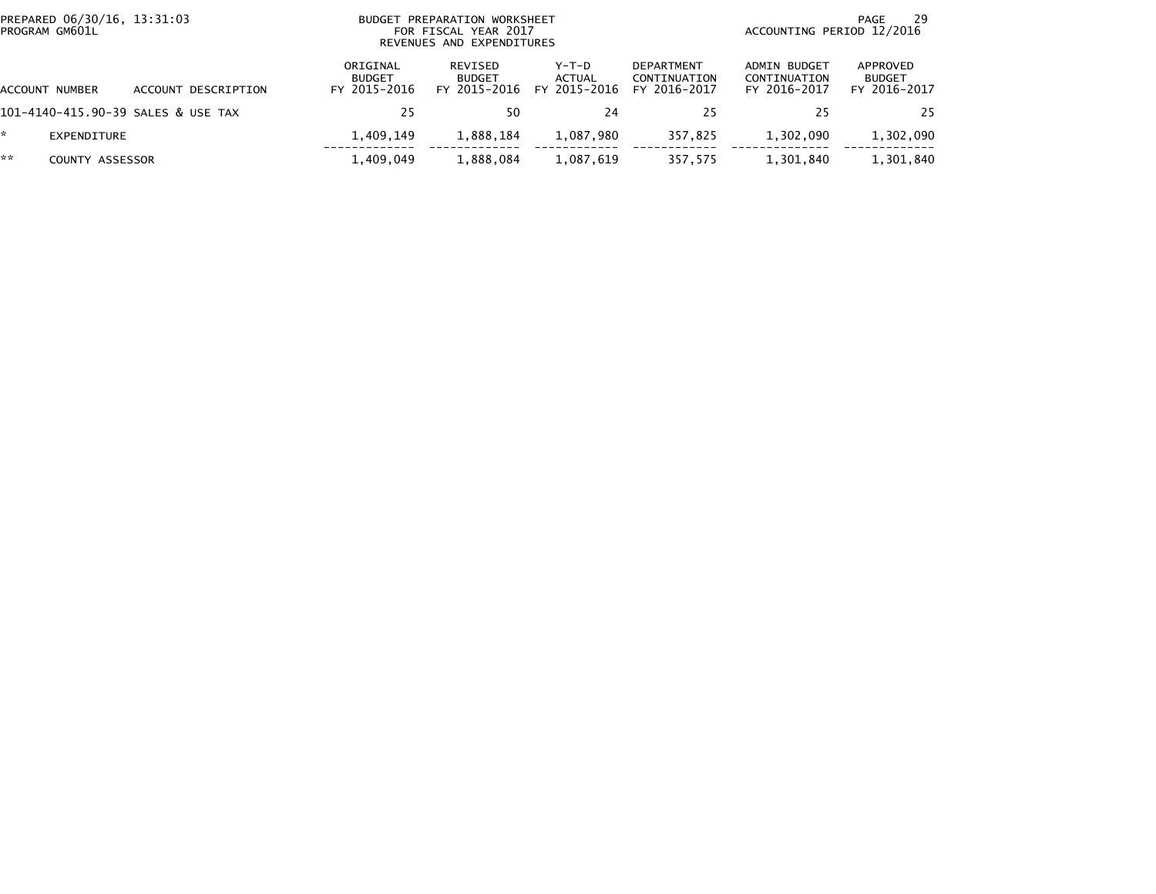|    | PREPARED 06/30/16, 13:31:03<br>PROGRAM GM601L |                                    | BUDGET PREPARATION WORKSHEET<br>FOR FISCAL YEAR 2017<br>REVENUES AND EXPENDITURES |                                          |                                          |                                                   |                                              | 29<br>PAGE<br>ACCOUNTING PERIOD 12/2016   |  |  |
|----|-----------------------------------------------|------------------------------------|-----------------------------------------------------------------------------------|------------------------------------------|------------------------------------------|---------------------------------------------------|----------------------------------------------|-------------------------------------------|--|--|
|    | ACCOUNT NUMBER                                | ACCOUNT DESCRIPTION                | ORIGINAL<br><b>BUDGET</b><br>FY 2015-2016                                         | REVISED<br><b>BUDGET</b><br>FY 2015-2016 | $Y-T-D$<br><b>ACTUAL</b><br>FY 2015-2016 | <b>DEPARTMENT</b><br>CONTINUATION<br>FY 2016-2017 | ADMIN BUDGET<br>CONTINUATION<br>FY 2016-2017 | APPROVED<br><b>BUDGET</b><br>FY 2016-2017 |  |  |
|    |                                               | 101–4140–415.90–39 SALES & USE TAX | 25                                                                                | 50                                       | 24                                       | 25                                                |                                              | 25                                        |  |  |
| *  | EXPENDITURE                                   |                                    | 1.409.149                                                                         | 1,888,184                                | 1,087,980                                | 357.825                                           | 1,302,090                                    | 1,302,090                                 |  |  |
| ** | <b>COUNTY ASSESSOR</b>                        |                                    | 1,409,049                                                                         | 1,888,084                                | 1,087,619                                | 357,575                                           | 1,301,840                                    | 1,301,840                                 |  |  |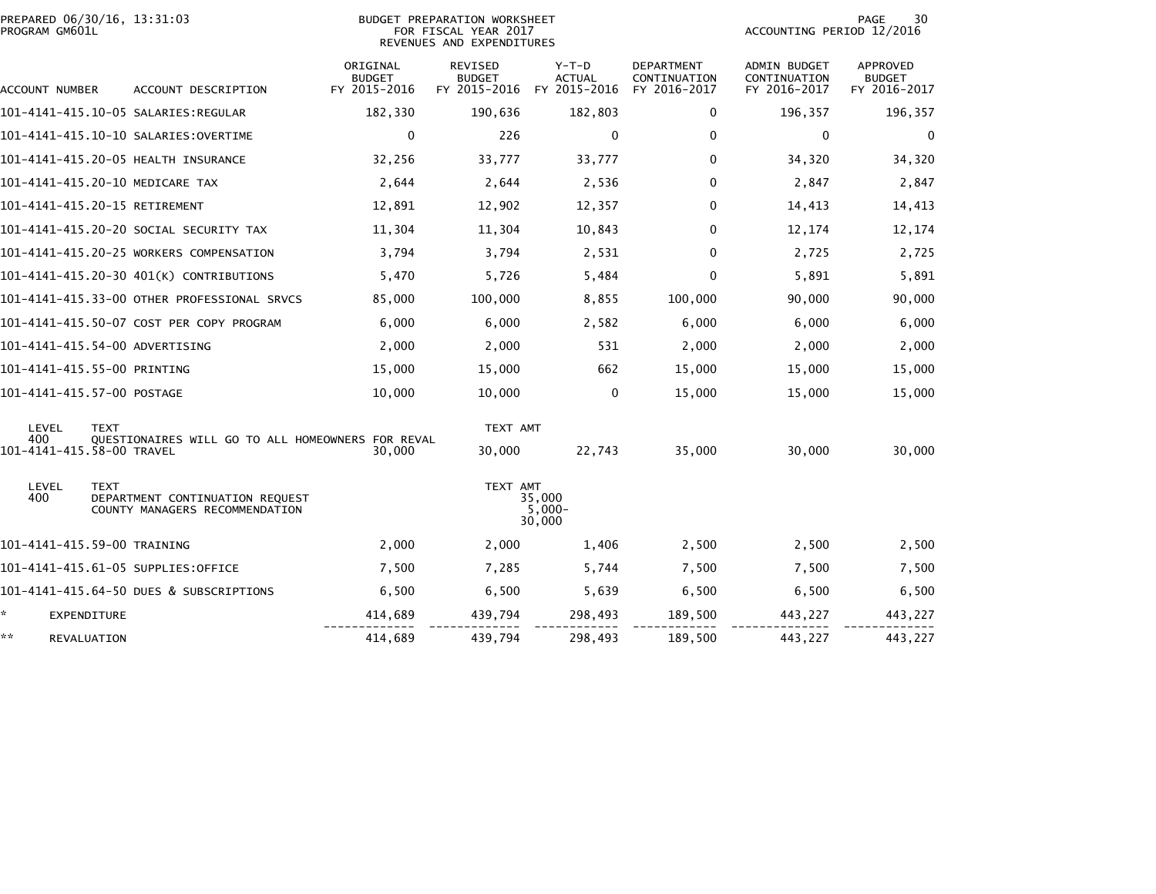| PROGRAM GM601L                   | PREPARED 06/30/16, 13:31:03                                                      |                                           | <b>BUDGET PREPARATION WORKSHEET</b><br>FOR FISCAL YEAR 2017<br>REVENUES AND EXPENDITURES | PAGE<br>30<br>ACCOUNTING PERIOD 12/2016  |                                                   |                                                     |                                                  |
|----------------------------------|----------------------------------------------------------------------------------|-------------------------------------------|------------------------------------------------------------------------------------------|------------------------------------------|---------------------------------------------------|-----------------------------------------------------|--------------------------------------------------|
| ACCOUNT NUMBER                   | ACCOUNT DESCRIPTION                                                              | ORIGINAL<br><b>BUDGET</b><br>FY 2015-2016 | <b>REVISED</b><br><b>BUDGET</b><br>FY 2015-2016                                          | $Y-T-D$<br><b>ACTUAL</b><br>FY 2015-2016 | <b>DEPARTMENT</b><br>CONTINUATION<br>FY 2016-2017 | <b>ADMIN BUDGET</b><br>CONTINUATION<br>FY 2016-2017 | <b>APPROVED</b><br><b>BUDGET</b><br>FY 2016-2017 |
|                                  |                                                                                  | 182,330                                   | 190,636                                                                                  | 182,803                                  | 0                                                 | 196,357                                             | 196,357                                          |
|                                  | 101-4141-415.10-10 SALARIES: OVERTIME                                            | $\mathbf 0$                               | 226                                                                                      | 0                                        | $\mathbf 0$                                       | $\mathbf 0$                                         | $\mathbf 0$                                      |
|                                  | 101-4141-415.20-05 HEALTH INSURANCE                                              | 32,256                                    | 33,777                                                                                   | 33,777                                   | 0                                                 | 34,320                                              | 34,320                                           |
|                                  | 101-4141-415.20-10 MEDICARE TAX                                                  | 2,644                                     | 2,644                                                                                    | 2,536                                    | 0                                                 | 2,847                                               | 2,847                                            |
|                                  | 101-4141-415.20-15 RETIREMENT                                                    | 12,891                                    | 12,902                                                                                   | 12,357                                   | 0                                                 | 14,413                                              | 14,413                                           |
|                                  | 101-4141-415.20-20 SOCIAL SECURITY TAX                                           | 11,304                                    | 11,304                                                                                   | 10,843                                   | $\Omega$                                          | 12,174                                              | 12,174                                           |
|                                  | 101-4141-415.20-25 WORKERS COMPENSATION                                          | 3,794                                     | 3,794                                                                                    | 2,531                                    | 0                                                 | 2,725                                               | 2,725                                            |
|                                  | 101-4141-415.20-30 401(K) CONTRIBUTIONS                                          | 5,470                                     | 5,726                                                                                    | 5,484                                    | 0                                                 | 5,891                                               | 5,891                                            |
|                                  | 101-4141-415.33-00 OTHER PROFESSIONAL SRVCS                                      | 85,000                                    | 100,000                                                                                  | 8,855                                    | 100,000                                           | 90,000                                              | 90,000                                           |
|                                  | 101-4141-415.50-07 COST PER COPY PROGRAM                                         | 6,000                                     | 6,000                                                                                    | 2,582                                    | 6,000                                             | 6,000                                               | 6,000                                            |
|                                  | 101-4141-415.54-00 ADVERTISING                                                   | 2,000                                     | 2,000                                                                                    | 531                                      | 2,000                                             | 2,000                                               | 2,000                                            |
|                                  | 101-4141-415.55-00 PRINTING                                                      | 15,000                                    | 15,000                                                                                   | 662                                      | 15,000                                            | 15,000                                              | 15,000                                           |
|                                  | 101-4141-415.57-00 POSTAGE                                                       | 10,000                                    | 10,000                                                                                   | $\mathbf 0$                              | 15,000                                            | 15,000                                              | 15,000                                           |
| <b>LEVEL</b>                     | <b>TEXT</b>                                                                      |                                           | TEXT AMT                                                                                 |                                          |                                                   |                                                     |                                                  |
| 400<br>101-4141-415.58-00 TRAVEL | QUESTIONAIRES WILL GO TO ALL HOMEOWNERS FOR REVAL                                | 30,000                                    | 30,000                                                                                   | 22,743                                   | 35,000                                            | 30,000                                              | 30,000                                           |
| LEVEL<br>400                     | <b>TEXT</b><br>DEPARTMENT CONTINUATION REQUEST<br>COUNTY MANAGERS RECOMMENDATION |                                           | TEXT AMT                                                                                 | 35,000<br>$5,000-$<br>30,000             |                                                   |                                                     |                                                  |
|                                  | 101-4141-415.59-00 TRAINING                                                      | 2,000                                     | 2,000                                                                                    | 1,406                                    | 2,500                                             | 2,500                                               | 2,500                                            |
|                                  | 101-4141-415.61-05 SUPPLIES:OFFICE                                               | 7,500                                     | 7,285                                                                                    | 5,744                                    | 7,500                                             | 7,500                                               | 7,500                                            |
|                                  | 101-4141-415.64-50 DUES & SUBSCRIPTIONS                                          | 6,500                                     | 6,500                                                                                    | 5,639                                    | 6,500                                             | 6,500                                               | 6,500                                            |
| *.<br>EXPENDITURE                |                                                                                  | 414,689                                   | 439,794                                                                                  | 298,493                                  | 189,500                                           | 443,227                                             | 443,227                                          |
| **<br>REVALUATION                |                                                                                  | 414,689                                   | 439,794                                                                                  | 298,493                                  | 189,500                                           | 443,227                                             | 443,227                                          |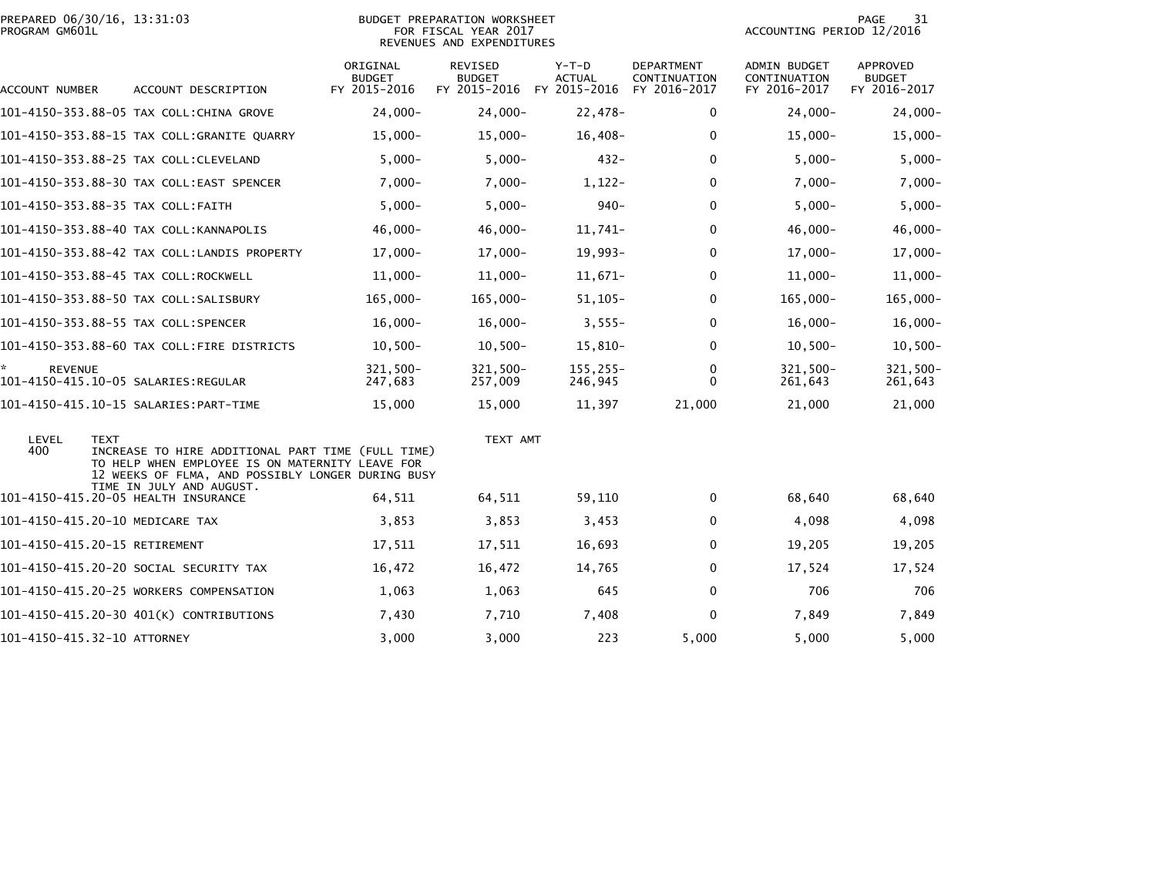|                | PREPARED 06/30/16. 13:31:03 |  |
|----------------|-----------------------------|--|
| PROGRAM GM601L |                             |  |

# PREPARED 06/30/16, 13:31:03 PREPARATION WORKSHEET PREPARATION WORKSHEET PREPARATION WORKSHEET<br>FOR FISCAL YEAR 2017 ACCOUNTING PERIOD 12/2016<br>REVENUES AND EXPENDITURES

PAGE 31<br>ACCOUNTING PERIOD 12/2016

| ACCOUNT NUMBER       | ACCOUNT DESCRIPTION                                                                                                                                                      | ORIGINAL<br><b>BUDGET</b><br>FY 2015-2016 | REVISED<br><b>BUDGET</b><br>FY 2015-2016 | $Y-T-D$<br><b>ACTUAL</b><br>FY 2015-2016 | DEPARTMENT<br>CONTINUATION<br>FY 2016-2017 | ADMIN BUDGET<br>CONTINUATION<br>FY 2016-2017 | APPROVED<br><b>BUDGET</b><br>FY 2016-2017 |
|----------------------|--------------------------------------------------------------------------------------------------------------------------------------------------------------------------|-------------------------------------------|------------------------------------------|------------------------------------------|--------------------------------------------|----------------------------------------------|-------------------------------------------|
|                      | 101-4150-353.88-05 TAX COLL:CHINA GROVE                                                                                                                                  | $24,000 -$                                | $24,000 -$                               | $22,478-$                                | 0                                          | $24,000 -$                                   | $24,000 -$                                |
|                      | 101-4150-353.88-15 TAX COLL:GRANITE QUARRY                                                                                                                               | $15,000 -$                                | $15,000 -$                               | $16,408-$                                | 0                                          | $15,000 -$                                   | $15,000 -$                                |
|                      | 101-4150-353.88-25 TAX COLL:CLEVELAND                                                                                                                                    | $5,000 -$                                 | $5,000-$                                 | $432 -$                                  | $\Omega$                                   | $5,000-$                                     | $5,000-$                                  |
|                      | 101-4150-353.88-30 TAX COLL:EAST SPENCER                                                                                                                                 | $7,000-$                                  | $7,000 -$                                | $1,122-$                                 | $\Omega$                                   | $7,000-$                                     | $7,000 -$                                 |
|                      | 101-4150-353.88-35 TAX COLL:FAITH                                                                                                                                        | $5,000 -$                                 | $5,000 -$                                | $940 -$                                  | $\Omega$                                   | $5,000-$                                     | $5,000-$                                  |
|                      | 101-4150-353.88-40 TAX COLL:KANNAPOLIS                                                                                                                                   | $46,000 -$                                | $46,000 -$                               | $11,741-$                                | 0                                          | $46,000 -$                                   | $46,000 -$                                |
|                      | 101-4150-353.88-42 TAX COLL:LANDIS PROPERTY                                                                                                                              | $17,000-$                                 | $17,000 -$                               | $19,993-$                                | $\Omega$                                   | $17,000 -$                                   | $17,000-$                                 |
|                      | 101-4150-353.88-45 TAX COLL:ROCKWELL                                                                                                                                     | $11,000 -$                                | $11,000 -$                               | $11,671-$                                | 0                                          | $11,000 -$                                   | $11,000 -$                                |
|                      | 101-4150-353.88-50 TAX COLL:SALISBURY                                                                                                                                    | 165,000-                                  | $165,000 -$                              | $51,105-$                                | $\Omega$                                   | 165,000-                                     | $165,000 -$                               |
|                      | 101-4150-353.88-55 TAX COLL:SPENCER                                                                                                                                      | $16,000 -$                                | $16,000 -$                               | $3,555-$                                 | $\Omega$                                   | $16,000 -$                                   | $16,000 -$                                |
|                      | 101-4150-353.88-60 TAX COLL:FIRE DISTRICTS                                                                                                                               | $10,500 -$                                | $10,500 -$                               | $15,810-$                                | $\Omega$                                   | $10,500 -$                                   | $10,500 -$                                |
| ×.<br><b>REVENUE</b> |                                                                                                                                                                          | 321.500-<br>247,683                       | $321,500 -$<br>257,009                   | $155.255 -$<br>246,945                   | 0<br>$\mathbf{0}$                          | $321,500 -$<br>261,643                       | 321,500-<br>261,643                       |
|                      | 101-4150-415.10-15 SALARIES:PART-TIME                                                                                                                                    | 15,000                                    | 15,000                                   | 11,397                                   | 21,000                                     | 21,000                                       | 21,000                                    |
| LEVEL<br>400         | <b>TEXT</b><br>INCREASE TO HIRE ADDITIONAL PART TIME (FULL TIME)<br>TO HELP WHEN EMPLOYEE IS ON MATERNITY LEAVE FOR<br>12 WEEKS OF FLMA, AND POSSIBLY LONGER DURING BUSY |                                           | TEXT AMT                                 |                                          |                                            |                                              |                                           |
|                      | TIME IN JULY AND AUGUST.<br>101-4150-415.20-05 HEALTH INSURANCE                                                                                                          | 64,511                                    | 64,511                                   | 59,110                                   | 0                                          | 68,640                                       | 68,640                                    |
|                      | 101-4150-415.20-10 MEDICARE TAX                                                                                                                                          | 3,853                                     | 3,853                                    | 3,453                                    | 0                                          | 4,098                                        | 4,098                                     |
|                      | 101-4150-415.20-15 RETIREMENT                                                                                                                                            | 17,511                                    | 17,511                                   | 16,693                                   | $\Omega$                                   | 19,205                                       | 19,205                                    |
|                      | 101-4150-415.20-20 SOCIAL SECURITY TAX                                                                                                                                   | 16,472                                    | 16,472                                   | 14,765                                   | $\mathbf 0$                                | 17,524                                       | 17,524                                    |
|                      | 101-4150-415.20-25 WORKERS COMPENSATION                                                                                                                                  | 1,063                                     | 1,063                                    | 645                                      | $\mathbf 0$                                | 706                                          | 706                                       |
|                      | 101-4150-415.20-30 401(K) CONTRIBUTIONS                                                                                                                                  | 7,430                                     | 7,710                                    | 7,408                                    | $\mathbf 0$                                | 7,849                                        | 7,849                                     |
|                      | 101-4150-415.32-10 ATTORNEY                                                                                                                                              | 3,000                                     | 3.000                                    | 223                                      | 5,000                                      | 5.000                                        | 5,000                                     |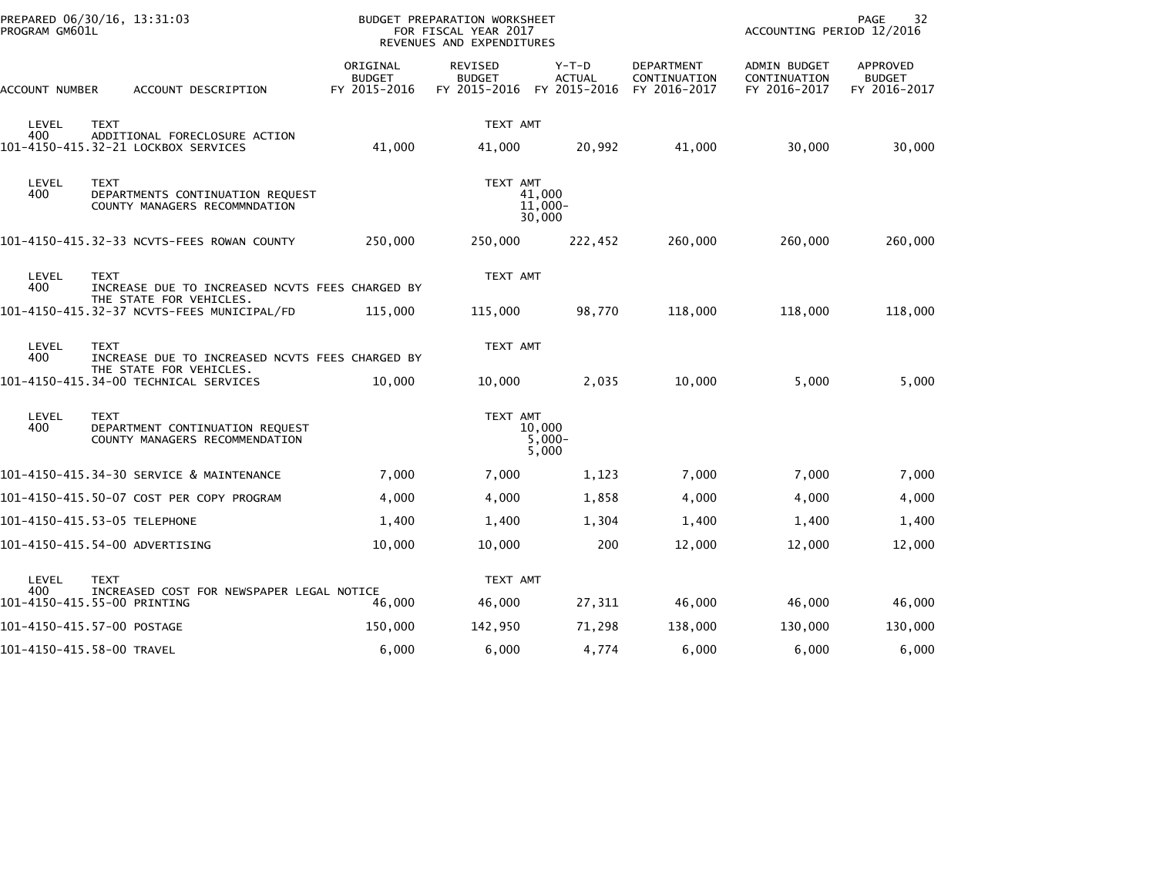| PREPARED 06/30/16, 13:31:03<br>PROGRAM GM601L |                                                                                                  |             |                                                                            | <b>BUDGET PREPARATION WORKSHEET</b><br>FOR FISCAL YEAR 2017<br>REVENUES AND EXPENDITURES |                                                 |                                          |                                                   | <b>PAGE</b><br>32<br>ACCOUNTING PERIOD 12/2016      |                                           |
|-----------------------------------------------|--------------------------------------------------------------------------------------------------|-------------|----------------------------------------------------------------------------|------------------------------------------------------------------------------------------|-------------------------------------------------|------------------------------------------|---------------------------------------------------|-----------------------------------------------------|-------------------------------------------|
|                                               | ACCOUNT NUMBER                                                                                   |             | ACCOUNT DESCRIPTION                                                        | ORIGINAL<br><b>BUDGET</b><br>FY 2015-2016                                                | <b>REVISED</b><br><b>BUDGET</b><br>FY 2015-2016 | $Y-T-D$<br><b>ACTUAL</b><br>FY 2015-2016 | <b>DEPARTMENT</b><br>CONTINUATION<br>FY 2016-2017 | <b>ADMIN BUDGET</b><br>CONTINUATION<br>FY 2016-2017 | APPROVED<br><b>BUDGET</b><br>FY 2016-2017 |
|                                               | LEVEL<br>400                                                                                     | <b>TEXT</b> | ADDITIONAL FORECLOSURE ACTION                                              |                                                                                          | TEXT AMT                                        |                                          |                                                   |                                                     |                                           |
|                                               |                                                                                                  |             | 101-4150-415.32-21 LOCKBOX SERVICES                                        | 41,000                                                                                   | 41,000                                          | 20,992                                   | 41,000                                            | 30,000                                              | 30,000                                    |
|                                               | LEVEL<br><b>TEXT</b><br>400<br>DEPARTMENTS CONTINUATION REQUEST<br>COUNTY MANAGERS RECOMMNDATION |             |                                                                            |                                                                                          | TEXT AMT                                        | 41,000<br>$11,000 -$<br>30,000           |                                                   |                                                     |                                           |
|                                               |                                                                                                  |             | 101-4150-415.32-33 NCVTS-FEES ROWAN COUNTY                                 | 250,000                                                                                  | 250,000                                         | 222,452                                  | 260,000                                           | 260,000                                             | 260,000                                   |
|                                               | LEVEL<br>400                                                                                     | <b>TEXT</b> | INCREASE DUE TO INCREASED NCVTS FEES CHARGED BY                            |                                                                                          | TEXT AMT                                        |                                          |                                                   |                                                     |                                           |
|                                               |                                                                                                  |             | THE STATE FOR VEHICLES.<br>101-4150-415.32-37 NCVTS-FEES MUNICIPAL/FD      | 115,000                                                                                  | 115,000                                         | 98,770                                   | 118,000                                           | 118,000                                             | 118,000                                   |
|                                               | LEVEL<br>400                                                                                     | <b>TEXT</b> | INCREASE DUE TO INCREASED NCVTS FEES CHARGED BY<br>THE STATE FOR VEHICLES. |                                                                                          | TEXT AMT                                        |                                          |                                                   |                                                     |                                           |
|                                               |                                                                                                  |             | 101-4150-415.34-00 TECHNICAL SERVICES                                      | 10,000                                                                                   | 10,000                                          | 2,035                                    | 10,000                                            | 5,000                                               | 5,000                                     |
|                                               | LEVEL<br>400                                                                                     | <b>TEXT</b> | DEPARTMENT CONTINUATION REQUEST<br>COUNTY MANAGERS RECOMMENDATION          |                                                                                          | TEXT AMT                                        | 10,000<br>$5,000 -$<br>5,000             |                                                   |                                                     |                                           |
|                                               |                                                                                                  |             | 101-4150-415.34-30 SERVICE & MAINTENANCE                                   | 7,000                                                                                    | 7,000                                           | 1,123                                    | 7,000                                             | 7,000                                               | 7,000                                     |
|                                               |                                                                                                  |             | 101-4150-415.50-07 COST PER COPY PROGRAM                                   | 4,000                                                                                    | 4,000                                           | 1,858                                    | 4,000                                             | 4,000                                               | 4,000                                     |
|                                               |                                                                                                  |             | 101-4150-415.53-05 TELEPHONE                                               | 1,400                                                                                    | 1,400                                           | 1,304                                    | 1,400                                             | 1,400                                               | 1,400                                     |
|                                               |                                                                                                  |             | 101-4150-415.54-00 ADVERTISING                                             | 10,000                                                                                   | 10,000                                          | 200                                      | 12,000                                            | 12,000                                              | 12,000                                    |
| LEVEL<br><b>TEXT</b>                          |                                                                                                  |             |                                                                            |                                                                                          | TEXT AMT                                        |                                          |                                                   |                                                     |                                           |
|                                               | 400<br>101-4150-415.55-00 PRINTING                                                               |             | INCREASED COST FOR NEWSPAPER LEGAL NOTICE                                  | 46,000                                                                                   | 46,000                                          | 27,311                                   | 46,000                                            | 46,000                                              | 46,000                                    |
|                                               | 101-4150-415.57-00 POSTAGE                                                                       |             |                                                                            | 150,000                                                                                  | 142,950                                         | 71,298                                   | 138,000                                           | 130,000                                             | 130,000                                   |
|                                               | 101-4150-415.58-00 TRAVEL                                                                        |             |                                                                            | 6,000                                                                                    | 6,000                                           | 4,774                                    | 6,000                                             | 6,000                                               | 6,000                                     |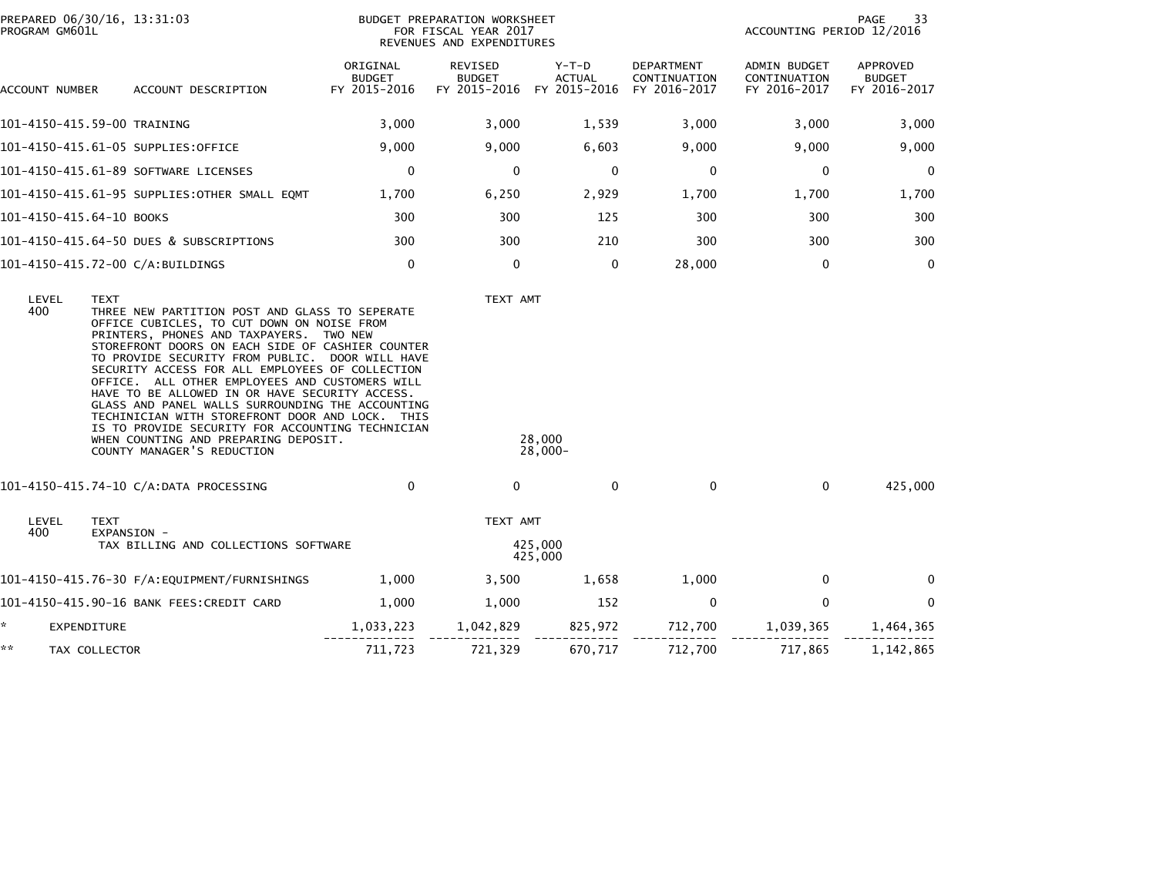| PROGRAM GM601L           | PREPARED 06/30/16, 13:31:03                                                                                                                                                                                                                                                                                                                                                                                                                                                                                                            | BUDGET PREPARATION WORKSHEET<br>FOR FISCAL YEAR 2017<br>REVENUES AND EXPENDITURES |                                 |                                                     |                                            | PAGE<br>33<br>ACCOUNTING PERIOD 12/2016      |                                           |  |
|--------------------------|----------------------------------------------------------------------------------------------------------------------------------------------------------------------------------------------------------------------------------------------------------------------------------------------------------------------------------------------------------------------------------------------------------------------------------------------------------------------------------------------------------------------------------------|-----------------------------------------------------------------------------------|---------------------------------|-----------------------------------------------------|--------------------------------------------|----------------------------------------------|-------------------------------------------|--|
| ACCOUNT NUMBER           | ACCOUNT DESCRIPTION                                                                                                                                                                                                                                                                                                                                                                                                                                                                                                                    | ORIGINAL<br><b>BUDGET</b><br>FY 2015-2016                                         | <b>REVISED</b><br><b>BUDGET</b> | Y-T-D<br><b>ACTUAL</b><br>FY 2015-2016 FY 2015-2016 | DEPARTMENT<br>CONTINUATION<br>FY 2016-2017 | ADMIN BUDGET<br>CONTINUATION<br>FY 2016-2017 | APPROVED<br><b>BUDGET</b><br>FY 2016-2017 |  |
|                          | 101-4150-415.59-00 TRAINING                                                                                                                                                                                                                                                                                                                                                                                                                                                                                                            | 3,000                                                                             | 3,000                           | 1,539                                               | 3,000                                      | 3,000                                        | 3,000                                     |  |
|                          | 101-4150-415.61-05 SUPPLIES:OFFICE                                                                                                                                                                                                                                                                                                                                                                                                                                                                                                     | 9,000                                                                             | 9,000                           | 6,603                                               | 9,000                                      | 9,000                                        | 9,000                                     |  |
|                          | 101-4150-415.61-89 SOFTWARE LICENSES                                                                                                                                                                                                                                                                                                                                                                                                                                                                                                   | 0                                                                                 | 0                               | 0                                                   | 0                                          | 0                                            | 0                                         |  |
|                          | 101-4150-415.61-95 SUPPLIES:OTHER SMALL EQMT                                                                                                                                                                                                                                                                                                                                                                                                                                                                                           | 1,700                                                                             | 6,250                           | 2,929                                               | 1,700                                      | 1,700                                        | 1,700                                     |  |
| 101-4150-415.64-10 BOOKS |                                                                                                                                                                                                                                                                                                                                                                                                                                                                                                                                        | 300                                                                               | 300                             | 125                                                 | 300                                        | 300                                          | 300                                       |  |
|                          | 101-4150-415.64-50 DUES & SUBSCRIPTIONS                                                                                                                                                                                                                                                                                                                                                                                                                                                                                                | 300                                                                               | 300                             | 210                                                 | 300                                        | 300                                          | 300                                       |  |
|                          | 101-4150-415.72-00 C/A:BUILDINGS                                                                                                                                                                                                                                                                                                                                                                                                                                                                                                       | $\mathbf{0}$                                                                      | $\mathbf{0}$                    | $\mathbf 0$                                         | 28,000                                     | $\mathbf 0$                                  | $\Omega$                                  |  |
|                          | PRINTERS, PHONES AND TAXPAYERS. TWO NEW<br>STOREFRONT DOORS ON EACH SIDE OF CASHIER COUNTER<br>TO PROVIDE SECURITY FROM PUBLIC. DOOR WILL HAVE<br>SECURITY ACCESS FOR ALL EMPLOYEES OF COLLECTION<br>OFFICE. ALL OTHER EMPLOYEES AND CUSTOMERS WILL<br>HAVE TO BE ALLOWED IN OR HAVE SECURITY ACCESS.<br>GLASS AND PANEL WALLS SURROUNDING THE ACCOUNTING<br>TECHINICIAN WITH STOREFRONT DOOR AND LOCK. THIS<br>IS TO PROVIDE SECURITY FOR ACCOUNTING TECHNICIAN<br>WHEN COUNTING AND PREPARING DEPOSIT.<br>COUNTY MANAGER'S REDUCTION |                                                                                   |                                 | 28,000<br>$28,000 -$                                |                                            |                                              |                                           |  |
|                          | 101-4150-415.74-10 C/A:DATA PROCESSING                                                                                                                                                                                                                                                                                                                                                                                                                                                                                                 | $\mathbf 0$                                                                       | $\mathbf{0}$                    | $\Omega$                                            | $\mathbf 0$                                | $\mathbf 0$                                  | 425,000                                   |  |
| LEVEL                    | TEXT                                                                                                                                                                                                                                                                                                                                                                                                                                                                                                                                   |                                                                                   | TEXT AMT                        |                                                     |                                            |                                              |                                           |  |
| 400                      | EXPANSION -<br>TAX BILLING AND COLLECTIONS SOFTWARE                                                                                                                                                                                                                                                                                                                                                                                                                                                                                    |                                                                                   | 425,000<br>425,000              |                                                     |                                            |                                              |                                           |  |
|                          | 101-4150-415.76-30 F/A:EQUIPMENT/FURNISHINGS                                                                                                                                                                                                                                                                                                                                                                                                                                                                                           | 1,000                                                                             | 3,500                           | 1,658                                               | 1,000                                      | $\mathbf 0$                                  | 0                                         |  |
|                          | 101-4150-415.90-16 BANK FEES:CREDIT CARD                                                                                                                                                                                                                                                                                                                                                                                                                                                                                               | 1,000                                                                             | 1,000                           | 152                                                 | $\mathbf{0}$                               | 0                                            | $\Omega$                                  |  |
| *<br>EXPENDITURE         |                                                                                                                                                                                                                                                                                                                                                                                                                                                                                                                                        | 1,033,223                                                                         | 1,042,829                       | 825,972                                             | 712,700                                    | 1,039,365                                    | 1,464,365                                 |  |
| **                       | TAX COLLECTOR                                                                                                                                                                                                                                                                                                                                                                                                                                                                                                                          | 711,723                                                                           | 721,329                         | 670,717                                             | 712,700                                    | 717,865                                      | 1,142,865                                 |  |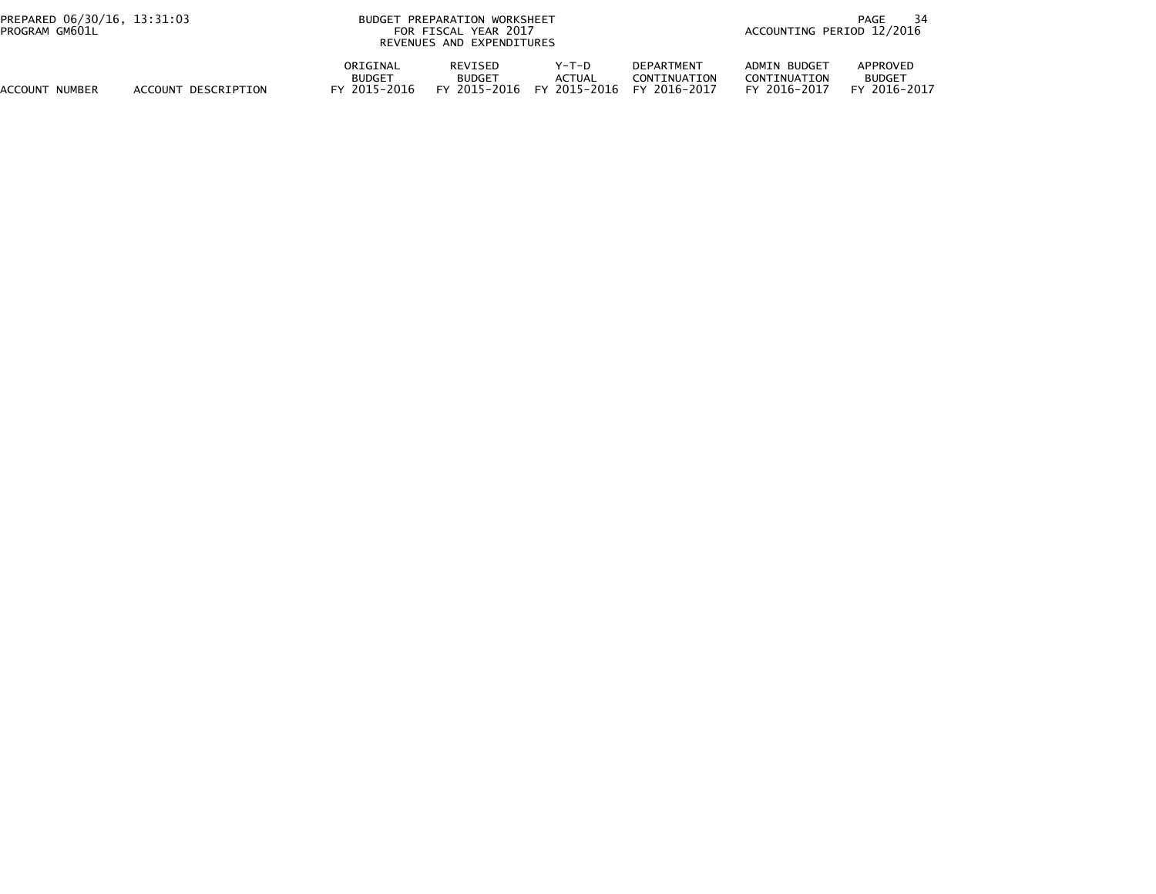| PREPARED 06/30/16, 13:31:03<br>PROGRAM GM601L |                     |                                        | BUDGET PREPARATION WORKSHEET<br>FOR FISCAL YEAR 2017<br>REVENUES AND EXPENDITURES |                                   |                                            | PAGE<br>ACCOUNTING PERIOD 12/2016            |                                           |  |
|-----------------------------------------------|---------------------|----------------------------------------|-----------------------------------------------------------------------------------|-----------------------------------|--------------------------------------------|----------------------------------------------|-------------------------------------------|--|
| ACCOUNT NUMBER                                | ACCOUNT DESCRIPTION | ORIGINAL<br><b>BUDGET</b><br>2015–2016 | <b>REVISED</b><br><b>BUDGET</b><br>FY 2015-2016                                   | $Y-T-D$<br>ACTUAL<br>FY 2015-2016 | DEPARTMENT<br>CONTINUATION<br>FY 2016-2017 | ADMIN BUDGET<br>CONTINUATION<br>FY 2016-2017 | APPROVED<br><b>BUDGET</b><br>FY 2016-2017 |  |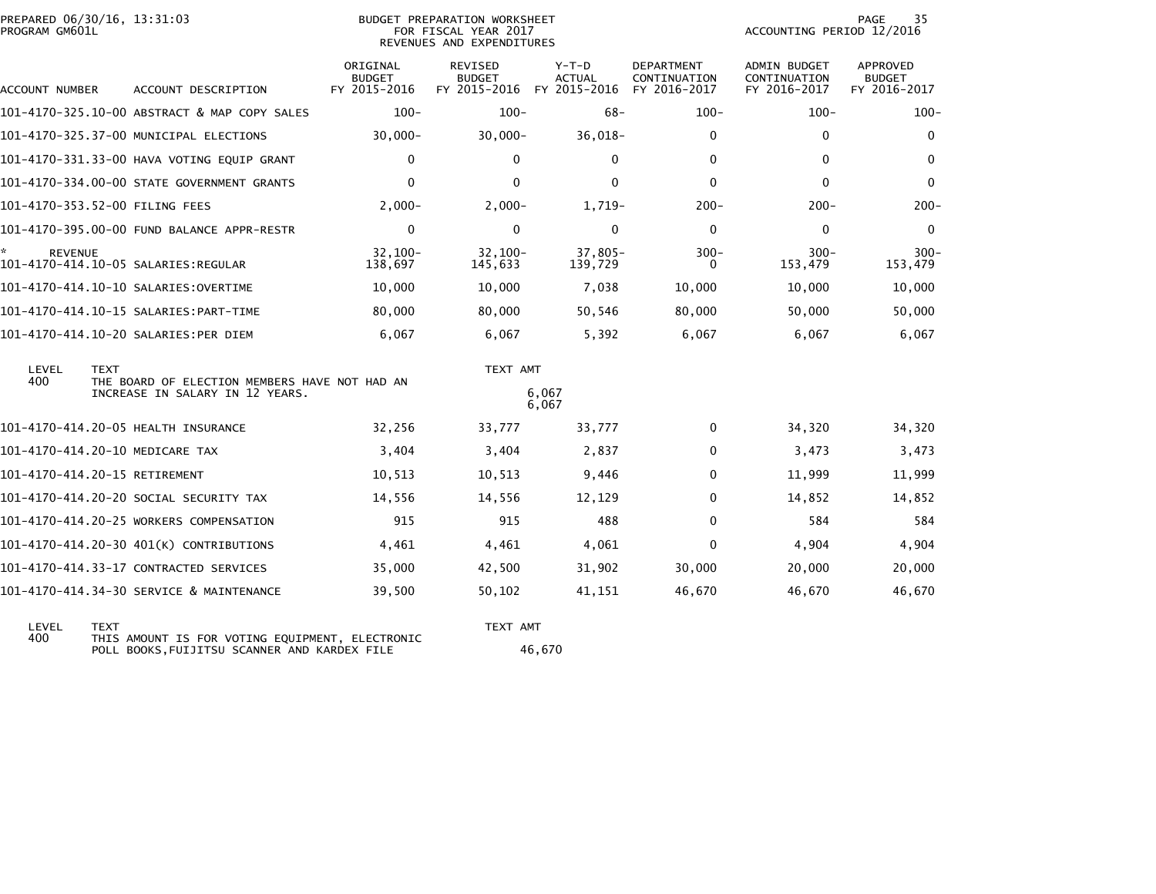| PROGRAM GM601L      | PREPARED 06/30/16, 13:31:03                                                                     |                                           | BUDGET PREPARATION WORKSHEET<br>FOR FISCAL YEAR 2017<br>REVENUES AND EXPENDITURES | 35<br>PAGE<br>ACCOUNTING PERIOD 12/2016  |                                                   |                                                     |                                                  |
|---------------------|-------------------------------------------------------------------------------------------------|-------------------------------------------|-----------------------------------------------------------------------------------|------------------------------------------|---------------------------------------------------|-----------------------------------------------------|--------------------------------------------------|
| ACCOUNT NUMBER      | ACCOUNT DESCRIPTION                                                                             | ORIGINAL<br><b>BUDGET</b><br>FY 2015-2016 | REVISED<br><b>BUDGET</b><br>FY 2015-2016                                          | $Y-T-D$<br><b>ACTUAL</b><br>FY 2015-2016 | <b>DEPARTMENT</b><br>CONTINUATION<br>FY 2016-2017 | <b>ADMIN BUDGET</b><br>CONTINUATION<br>FY 2016-2017 | <b>APPROVED</b><br><b>BUDGET</b><br>FY 2016-2017 |
|                     | 101-4170-325.10-00 ABSTRACT & MAP COPY SALES                                                    | $100 -$                                   | $100 -$                                                                           | $68-$                                    | $100 -$                                           | $100 -$                                             | $100 -$                                          |
|                     | 101-4170-325.37-00 MUNICIPAL ELECTIONS                                                          | $30,000 -$                                | $30,000 -$                                                                        | $36,018-$                                | $\mathbf 0$                                       | $\mathbf 0$                                         | $\mathbf 0$                                      |
|                     | 101-4170-331.33-00 HAVA VOTING EQUIP GRANT                                                      | 0                                         | $\Omega$                                                                          | $\mathbf{0}$                             | $\mathbf{0}$                                      | $\mathbf{0}$                                        | $\mathbf{0}$                                     |
|                     | 101-4170-334.00-00 STATE GOVERNMENT GRANTS                                                      | $\mathbf{0}$                              | 0                                                                                 | $\mathbf{0}$                             | $\Omega$                                          | $\Omega$                                            | $\mathbf{0}$                                     |
|                     | 101-4170-353.52-00 FILING FEES                                                                  | $2.000 -$                                 | $2,000-$                                                                          | $1.719-$                                 | $200 -$                                           | $200 -$                                             | $200 -$                                          |
|                     | 101-4170-395.00-00 FUND BALANCE APPR-RESTR                                                      | $\mathbf 0$                               | $\Omega$                                                                          | $\mathbf{0}$                             | $\Omega$                                          | 0                                                   | $\Omega$                                         |
| *<br><b>REVENUE</b> | 101-4170-414.10-05 SALARIES:REGULAR                                                             | $32.100 -$<br>138,697                     | $32,100 -$<br>145,633                                                             | $37,805-$<br>139,729                     | $300 -$<br>0                                      | $300 -$<br>153,479                                  | $300 -$<br>153,479                               |
|                     |                                                                                                 | 10,000                                    | 10,000                                                                            | 7,038                                    | 10,000                                            | 10,000                                              | 10,000                                           |
|                     |                                                                                                 | 80,000                                    | 80,000                                                                            | 50,546                                   | 80,000                                            | 50,000                                              | 50,000                                           |
|                     | 101-4170-414.10-20 SALARIES:PER DIEM                                                            | 6,067                                     | 6,067                                                                             | 5,392                                    | 6,067                                             | 6,067                                               | 6,067                                            |
| LEVEL<br>400        | <b>TEXT</b><br>THE BOARD OF ELECTION MEMBERS HAVE NOT HAD AN<br>INCREASE IN SALARY IN 12 YEARS. |                                           | TEXT AMT<br>6,067                                                                 |                                          |                                                   |                                                     |                                                  |
|                     |                                                                                                 |                                           |                                                                                   | 6,067                                    |                                                   |                                                     |                                                  |
|                     | 101-4170-414.20-05 HEALTH INSURANCE                                                             | 32,256                                    | 33,777                                                                            | 33,777                                   | $\mathbf{0}$                                      | 34,320                                              | 34,320                                           |
|                     | 101-4170-414.20-10 MEDICARE TAX                                                                 | 3,404                                     | 3,404                                                                             | 2,837                                    | $\Omega$                                          | 3,473                                               | 3,473                                            |
|                     | 101-4170-414.20-15 RETIREMENT                                                                   | 10,513                                    | 10,513                                                                            | 9,446                                    | $\Omega$                                          | 11,999                                              | 11,999                                           |
|                     | 101-4170-414.20-20 SOCIAL SECURITY TAX                                                          | 14,556                                    | 14,556                                                                            | 12,129                                   | $\Omega$                                          | 14,852                                              | 14,852                                           |
|                     | 101-4170-414.20-25 WORKERS COMPENSATION                                                         | 915                                       | 915                                                                               | 488                                      | $\Omega$                                          | 584                                                 | 584                                              |
|                     | 101-4170-414.20-30 401(K) CONTRIBUTIONS                                                         | 4,461                                     | 4,461                                                                             | 4,061                                    | $\Omega$                                          | 4,904                                               | 4,904                                            |
|                     | 101-4170-414.33-17 CONTRACTED SERVICES                                                          | 35,000                                    | 42,500                                                                            | 31,902                                   | 30,000                                            | 20,000                                              | 20,000                                           |
|                     | 101-4170-414.34-30 SERVICE & MAINTENANCE                                                        | 39,500                                    | 50,102                                                                            | 41,151                                   | 46,670                                            | 46,670                                              | 46,670                                           |

| LEVEL | <b>TFXT</b>                                     | TFXT AMT |
|-------|-------------------------------------------------|----------|
| 400   | THIS AMOUNT IS FOR VOTING EQUIPMENT, ELECTRONIC |          |
|       | POLL BOOKS.FUIJITSU SCANNER AND KARDEX FILE     | 46.670   |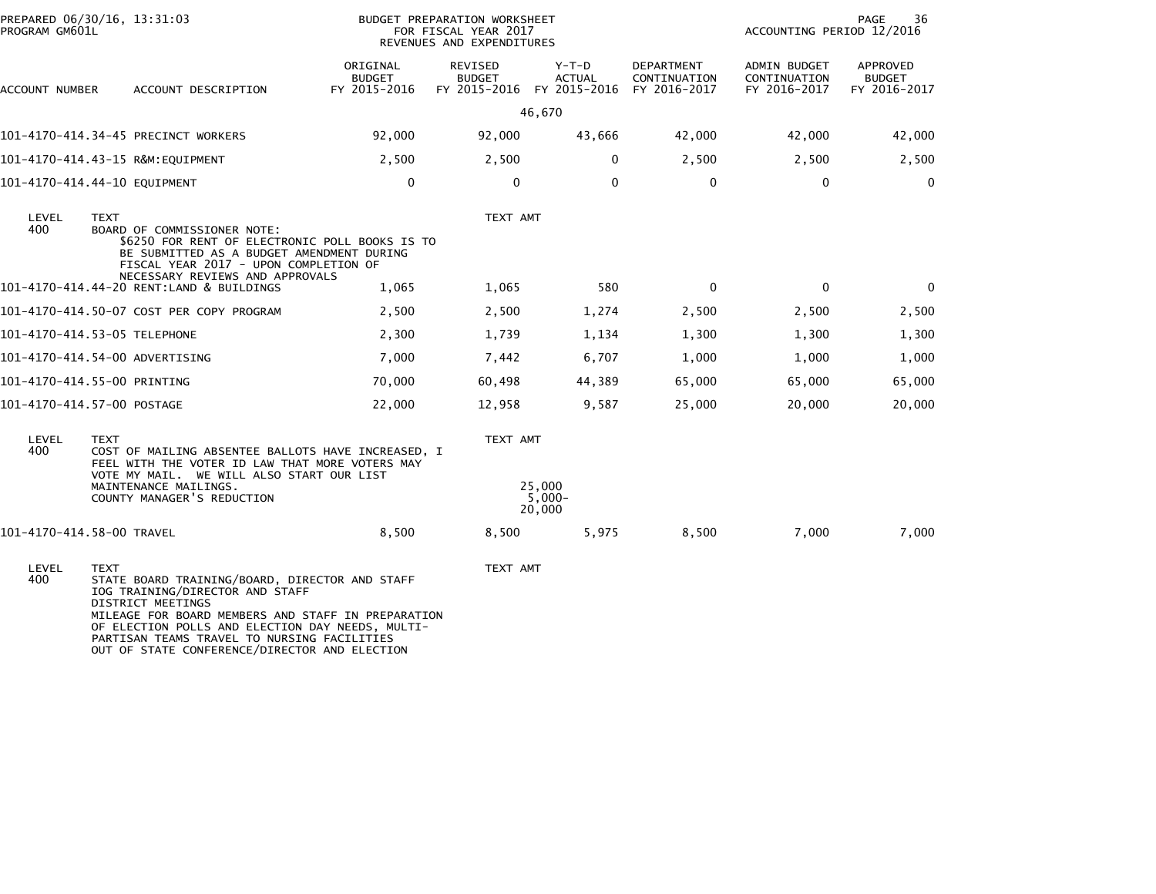| PREPARED 06/30/16, 13:31:03<br>PROGRAM GM601L |                                                                                                                                                                                                                                                                       |                                                                                                                                                                                                                                                                                             | BUDGET PREPARATION WORKSHEET<br>FOR FISCAL YEAR 2017<br>REVENUES AND EXPENDITURES |                                                       |                        |                                            | PAGE<br>36<br>ACCOUNTING PERIOD 12/2016      |                                           |  |
|-----------------------------------------------|-----------------------------------------------------------------------------------------------------------------------------------------------------------------------------------------------------------------------------------------------------------------------|---------------------------------------------------------------------------------------------------------------------------------------------------------------------------------------------------------------------------------------------------------------------------------------------|-----------------------------------------------------------------------------------|-------------------------------------------------------|------------------------|--------------------------------------------|----------------------------------------------|-------------------------------------------|--|
| ACCOUNT NUMBER                                |                                                                                                                                                                                                                                                                       | ACCOUNT DESCRIPTION                                                                                                                                                                                                                                                                         | ORIGINAL<br><b>BUDGET</b><br>FY 2015-2016                                         | REVISED<br><b>BUDGET</b><br>FY 2015-2016 FY 2015-2016 | Y-T-D<br><b>ACTUAL</b> | DEPARTMENT<br>CONTINUATION<br>FY 2016-2017 | ADMIN BUDGET<br>CONTINUATION<br>FY 2016-2017 | APPROVED<br><b>BUDGET</b><br>FY 2016-2017 |  |
|                                               |                                                                                                                                                                                                                                                                       |                                                                                                                                                                                                                                                                                             |                                                                                   |                                                       | 46,670                 |                                            |                                              |                                           |  |
| 101-4170-414.34-45 PRECINCT WORKERS           |                                                                                                                                                                                                                                                                       |                                                                                                                                                                                                                                                                                             | 92,000                                                                            | 92,000                                                | 43,666                 | 42,000                                     | 42,000                                       | 42,000                                    |  |
| 101-4170-414.43-15 R&M:EQUIPMENT              |                                                                                                                                                                                                                                                                       |                                                                                                                                                                                                                                                                                             | 2,500                                                                             | 2,500                                                 | 0                      | 2,500                                      | 2,500                                        | 2,500                                     |  |
| 101-4170-414.44-10 EQUIPMENT                  |                                                                                                                                                                                                                                                                       |                                                                                                                                                                                                                                                                                             | 0                                                                                 | $\Omega$                                              | $\mathbf{0}$           | 0                                          | 0                                            | $\Omega$                                  |  |
| LEVEL<br>400                                  | <b>TEXT</b>                                                                                                                                                                                                                                                           | BOARD OF COMMISSIONER NOTE:<br>\$6250 FOR RENT OF ELECTRONIC POLL BOOKS IS TO<br>BE SUBMITTED AS A BUDGET AMENDMENT DURING<br>FISCAL YEAR 2017 - UPON COMPLETION OF<br>NECESSARY REVIEWS AND APPROVALS                                                                                      |                                                                                   | TEXT AMT                                              |                        |                                            |                                              |                                           |  |
|                                               |                                                                                                                                                                                                                                                                       | 101-4170-414.44-20 RENT:LAND & BUILDINGS                                                                                                                                                                                                                                                    | 1,065                                                                             | 1,065                                                 | 580                    | 0                                          | $\mathbf 0$                                  | $\mathbf 0$                               |  |
|                                               |                                                                                                                                                                                                                                                                       | 101-4170-414.50-07 COST PER COPY PROGRAM                                                                                                                                                                                                                                                    | 2,500                                                                             | 2,500                                                 | 1,274                  | 2,500                                      | 2,500                                        | 2,500                                     |  |
| 101-4170-414.53-05 TELEPHONE                  |                                                                                                                                                                                                                                                                       |                                                                                                                                                                                                                                                                                             | 2,300                                                                             | 1,739                                                 | 1,134                  | 1,300                                      | 1,300                                        | 1,300                                     |  |
| 101-4170-414.54-00 ADVERTISING                |                                                                                                                                                                                                                                                                       |                                                                                                                                                                                                                                                                                             | 7,000                                                                             | 7,442                                                 | 6,707                  | 1,000                                      | 1,000                                        | 1,000                                     |  |
| 101-4170-414.55-00 PRINTING                   |                                                                                                                                                                                                                                                                       |                                                                                                                                                                                                                                                                                             | 70,000                                                                            | 60,498                                                | 44,389                 | 65,000                                     | 65,000                                       | 65,000                                    |  |
| 101-4170-414.57-00 POSTAGE                    |                                                                                                                                                                                                                                                                       |                                                                                                                                                                                                                                                                                             | 22,000                                                                            | 12,958                                                | 9,587                  | 25,000                                     | 20,000                                       | 20,000                                    |  |
| LEVEL<br>400                                  | TEXT AMT<br><b>TEXT</b><br>COST OF MAILING ABSENTEE BALLOTS HAVE INCREASED, I<br>FEEL WITH THE VOTER ID LAW THAT MORE VOTERS MAY<br>VOTE MY MAIL. WE WILL ALSO START OUR LIST<br>25,000<br>MAINTENANCE MAILINGS.<br>$5,000 -$<br>COUNTY MANAGER'S REDUCTION<br>20,000 |                                                                                                                                                                                                                                                                                             |                                                                                   |                                                       |                        |                                            |                                              |                                           |  |
| 101-4170-414.58-00 TRAVEL                     |                                                                                                                                                                                                                                                                       |                                                                                                                                                                                                                                                                                             | 8,500                                                                             | 8,500                                                 | 5,975                  | 8,500                                      | 7,000                                        | 7,000                                     |  |
| LEVEL<br>400                                  | <b>TEXT</b><br>DISTRICT MEETINGS                                                                                                                                                                                                                                      | STATE BOARD TRAINING/BOARD, DIRECTOR AND STAFF<br>IOG TRAINING/DIRECTOR AND STAFF<br>MILEAGE FOR BOARD MEMBERS AND STAFF IN PREPARATION<br>OF ELECTION POLLS AND ELECTION DAY NEEDS, MULTI-<br>PARTISAN TEAMS TRAVEL TO NURSING FACILITIES<br>OUT OF STATE CONFERENCE/DIRECTOR AND ELECTION |                                                                                   | TEXT AMT                                              |                        |                                            |                                              |                                           |  |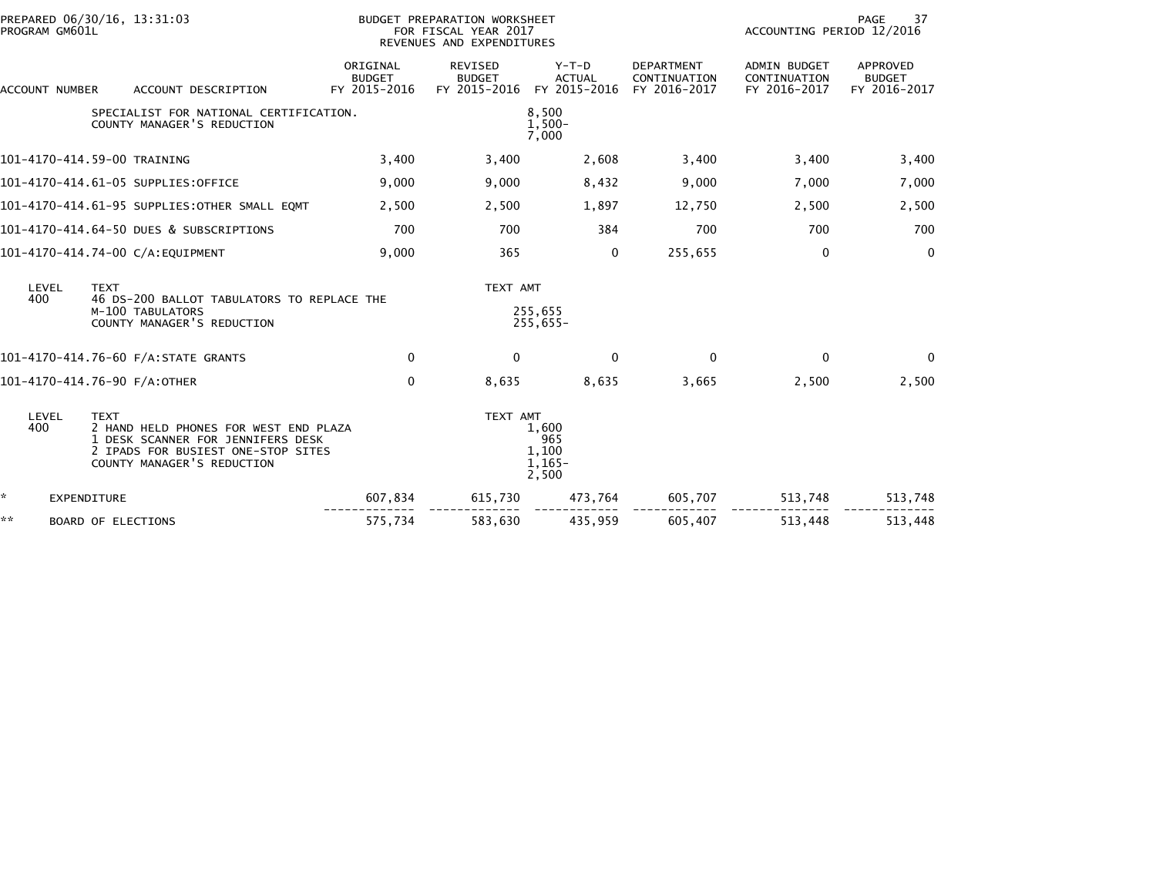| PROGRAM GM601L           | PREPARED 06/30/16, 13:31:03                                                                                                                                   |                                           | BUDGET PREPARATION WORKSHEET<br>FOR FISCAL YEAR 2017<br>REVENUES AND EXPENDITURES |                                            |                                                   | 37<br><b>PAGE</b><br>ACCOUNTING PERIOD 12/2016      |                                           |  |
|--------------------------|---------------------------------------------------------------------------------------------------------------------------------------------------------------|-------------------------------------------|-----------------------------------------------------------------------------------|--------------------------------------------|---------------------------------------------------|-----------------------------------------------------|-------------------------------------------|--|
| ACCOUNT NUMBER           | ACCOUNT DESCRIPTION                                                                                                                                           | ORIGINAL<br><b>BUDGET</b><br>FY 2015-2016 | REVISED<br><b>BUDGET</b><br>FY 2015-2016                                          | $Y-T-D$<br><b>ACTUAL</b><br>FY 2015-2016   | <b>DEPARTMENT</b><br>CONTINUATION<br>FY 2016-2017 | <b>ADMIN BUDGET</b><br>CONTINUATION<br>FY 2016-2017 | APPROVED<br><b>BUDGET</b><br>FY 2016-2017 |  |
|                          | SPECIALIST FOR NATIONAL CERTIFICATION.<br>COUNTY MANAGER'S REDUCTION                                                                                          |                                           |                                                                                   | 8,500<br>$1,500-$<br>7,000                 |                                                   |                                                     |                                           |  |
|                          | 101-4170-414.59-00 TRAINING                                                                                                                                   | 3,400                                     | 3,400                                                                             | 2,608                                      | 3,400                                             | 3,400                                               | 3,400                                     |  |
|                          | 101-4170-414.61-05 SUPPLIES:OFFICE                                                                                                                            | 9,000                                     | 9,000                                                                             | 8,432                                      | 9,000                                             | 7,000                                               | 7,000                                     |  |
|                          | 101-4170-414.61-95 SUPPLIES:OTHER SMALL EQMT                                                                                                                  | 2,500                                     | 2,500                                                                             | 1,897                                      | 12,750                                            | 2,500                                               | 2,500                                     |  |
|                          | 101-4170-414.64-50 DUES & SUBSCRIPTIONS                                                                                                                       | 700                                       | 700                                                                               | 384                                        | 700                                               | 700                                                 | 700                                       |  |
|                          | 101-4170-414.74-00 C/A:EQUIPMENT                                                                                                                              | 9,000                                     | 365                                                                               | $\mathbf{0}$                               | 255,655                                           | 0                                                   | $\mathbf 0$                               |  |
| LEVEL<br>400             | <b>TEXT</b><br>46 DS-200 BALLOT TABULATORS TO REPLACE THE                                                                                                     |                                           |                                                                                   | TEXT AMT                                   |                                                   |                                                     |                                           |  |
|                          | M-100 TABULATORS<br>COUNTY MANAGER'S REDUCTION                                                                                                                |                                           |                                                                                   | 255.655<br>$255,655 -$                     |                                                   |                                                     |                                           |  |
|                          | 101-4170-414.76-60 F/A:STATE GRANTS                                                                                                                           | $\Omega$                                  | $\Omega$                                                                          | $\Omega$                                   | $\mathbf{0}$                                      | $\mathbf{0}$                                        | $\Omega$                                  |  |
|                          | 101-4170-414.76-90 F/A:OTHER                                                                                                                                  | $\mathbf{0}$                              | 8,635                                                                             | 8,635                                      | 3,665                                             | 2,500                                               | 2,500                                     |  |
| LEVEL<br>400             | <b>TEXT</b><br>2 HAND HELD PHONES FOR WEST END PLAZA<br>1 DESK SCANNER FOR JENNIFERS DESK<br>2 IPADS FOR BUSIEST ONE-STOP SITES<br>COUNTY MANAGER'S REDUCTION |                                           | TEXT AMT                                                                          | 1,600<br>965<br>1,100<br>$1,165-$<br>2,500 |                                                   |                                                     |                                           |  |
| ×.<br><b>EXPENDITURE</b> |                                                                                                                                                               | 607,834                                   | 615,730                                                                           | 473,764                                    | 605,707                                           | 513,748                                             | 513,748                                   |  |
| **                       | BOARD OF ELECTIONS                                                                                                                                            | 575,734                                   | 583,630                                                                           | 435,959                                    | 605.407                                           | 513,448                                             | 513,448                                   |  |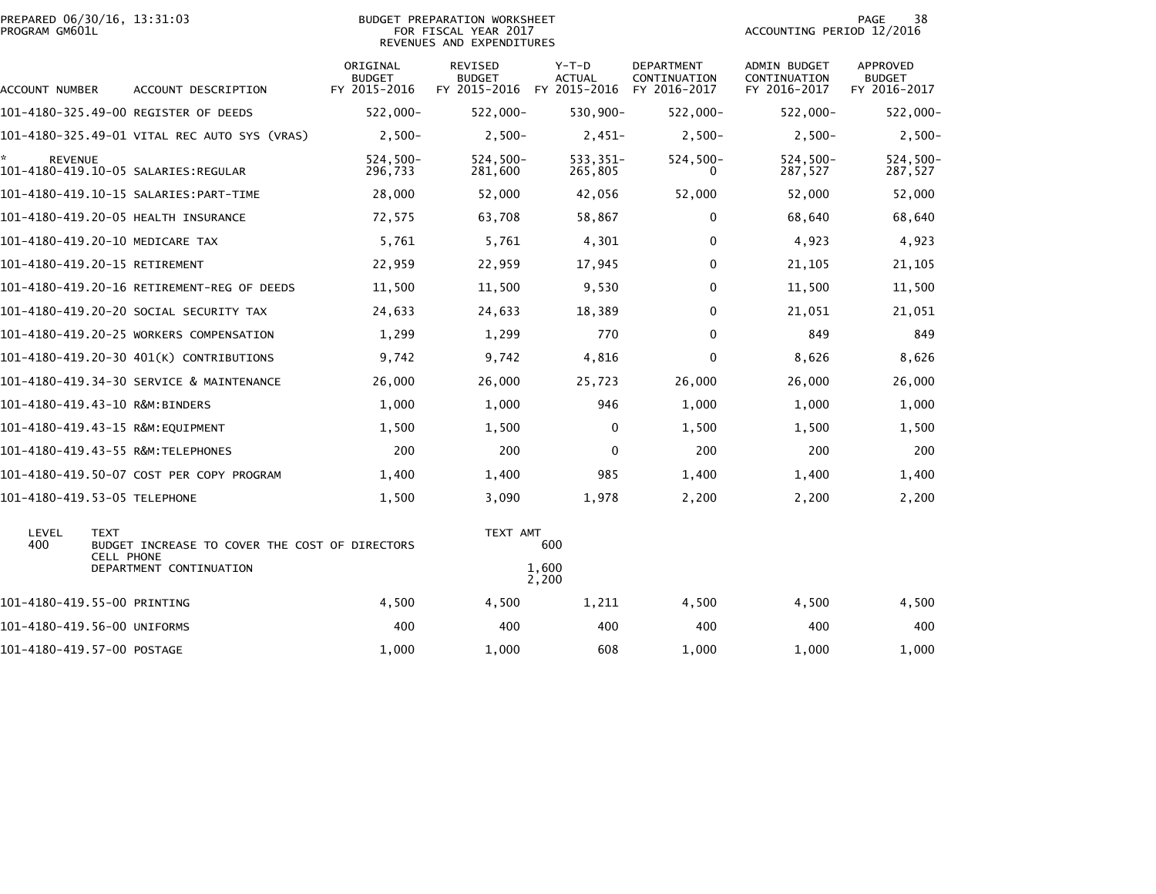| PROGRAM GM601L       | PREPARED 06/30/16, 13:31:03                                                        |                                           | BUDGET PREPARATION WORKSHEET<br>FOR FISCAL YEAR 2017<br>REVENUES AND EXPENDITURES |                                          |                                            | ACCOUNTING PERIOD 12/2016                    | PAGE<br>38                                       |
|----------------------|------------------------------------------------------------------------------------|-------------------------------------------|-----------------------------------------------------------------------------------|------------------------------------------|--------------------------------------------|----------------------------------------------|--------------------------------------------------|
| ACCOUNT NUMBER       | ACCOUNT DESCRIPTION                                                                | ORIGINAL<br><b>BUDGET</b><br>FY 2015-2016 | <b>REVISED</b><br><b>BUDGET</b><br>FY 2015-2016                                   | $Y-T-D$<br><b>ACTUAL</b><br>FY 2015-2016 | DEPARTMENT<br>CONTINUATION<br>FY 2016-2017 | ADMIN BUDGET<br>CONTINUATION<br>FY 2016-2017 | <b>APPROVED</b><br><b>BUDGET</b><br>FY 2016-2017 |
|                      | 101-4180-325.49-00 REGISTER OF DEEDS                                               | $522,000 -$                               | $522,000 -$                                                                       | 530,900-                                 | $522,000 -$                                | 522,000-                                     | 522,000-                                         |
|                      | 101–4180–325.49–01 VITAL REC AUTO SYS (VRAS)                                       | $2,500-$                                  | $2,500-$                                                                          | $2,451-$                                 | $2,500-$                                   | $2,500-$                                     | $2,500-$                                         |
| ÷.<br><b>REVENUE</b> |                                                                                    | $524,500-$<br>296,733                     | 524,500-<br>281,600                                                               | 533,351-<br>265,805                      | $524,500-$<br>0                            | 524,500-<br>287,527                          | 524,500-<br>287,527                              |
|                      | 101–4180–419.10–15 SALARIES:PART–TIME                                              | 28,000                                    | 52,000                                                                            | 42,056                                   | 52,000                                     | 52,000                                       | 52,000                                           |
|                      | 101-4180-419.20-05 HEALTH INSURANCE                                                | 72,575                                    | 63,708                                                                            | 58,867                                   | 0                                          | 68,640                                       | 68,640                                           |
|                      | 101-4180-419.20-10 MEDICARE TAX                                                    | 5,761                                     | 5,761                                                                             | 4,301                                    | 0                                          | 4,923                                        | 4,923                                            |
|                      | 101-4180-419.20-15 RETIREMENT                                                      | 22,959                                    | 22,959                                                                            | 17,945                                   | 0                                          | 21,105                                       | 21,105                                           |
|                      | 101-4180-419.20-16 RETIREMENT-REG OF DEEDS                                         | 11,500                                    | 11,500                                                                            | 9,530                                    | $\mathbf{0}$                               | 11,500                                       | 11,500                                           |
|                      | 101–4180–419.20–20 SOCIAL SECURITY TAX                                             | 24,633                                    | 24,633                                                                            | 18,389                                   | 0                                          | 21,051                                       | 21,051                                           |
|                      | 101-4180-419.20-25 WORKERS COMPENSATION                                            | 1,299                                     | 1,299                                                                             | 770                                      | $\mathbf{0}$                               | 849                                          | 849                                              |
|                      | 101-4180-419.20-30 401(K) CONTRIBUTIONS                                            | 9,742                                     | 9,742                                                                             | 4,816                                    | $\mathbf 0$                                | 8,626                                        | 8,626                                            |
|                      | 101-4180-419.34-30 SERVICE & MAINTENANCE                                           | 26,000                                    | 26,000                                                                            | 25,723                                   | 26,000                                     | 26,000                                       | 26,000                                           |
|                      | 101-4180-419.43-10 R&M:BINDERS                                                     | 1,000                                     | 1,000                                                                             | 946                                      | 1,000                                      | 1,000                                        | 1,000                                            |
|                      | 101-4180-419.43-15 R&M:EQUIPMENT                                                   | 1,500                                     | 1,500                                                                             | 0                                        | 1,500                                      | 1,500                                        | 1,500                                            |
|                      | 101-4180-419.43-55 R&M:TELEPHONES                                                  | 200                                       | 200                                                                               | $\Omega$                                 | 200                                        | 200                                          | 200                                              |
|                      | 101-4180-419.50-07 COST PER COPY PROGRAM                                           | 1,400                                     | 1,400                                                                             | 985                                      | 1,400                                      | 1,400                                        | 1,400                                            |
|                      | 101-4180-419.53-05 TELEPHONE                                                       | 1,500                                     | 3,090                                                                             | 1,978                                    | 2,200                                      | 2,200                                        | 2,200                                            |
| LEVEL<br>400         | <b>TEXT</b><br>BUDGET INCREASE TO COVER THE COST OF DIRECTORS<br><b>CELL PHONE</b> |                                           | TEXT AMT<br>600                                                                   |                                          |                                            |                                              |                                                  |
|                      | DEPARTMENT CONTINUATION                                                            |                                           | 1,600<br>2,200                                                                    |                                          |                                            |                                              |                                                  |
|                      | 101-4180-419.55-00 PRINTING                                                        | 4,500                                     | 4,500                                                                             | 1,211                                    | 4,500                                      | 4,500                                        | 4,500                                            |
|                      | 101-4180-419.56-00 UNIFORMS                                                        | 400                                       | 400                                                                               | 400                                      | 400                                        | 400                                          | 400                                              |
|                      | 101-4180-419.57-00 POSTAGE                                                         | 1,000                                     | 1,000                                                                             | 608                                      | 1,000                                      | 1,000                                        | 1,000                                            |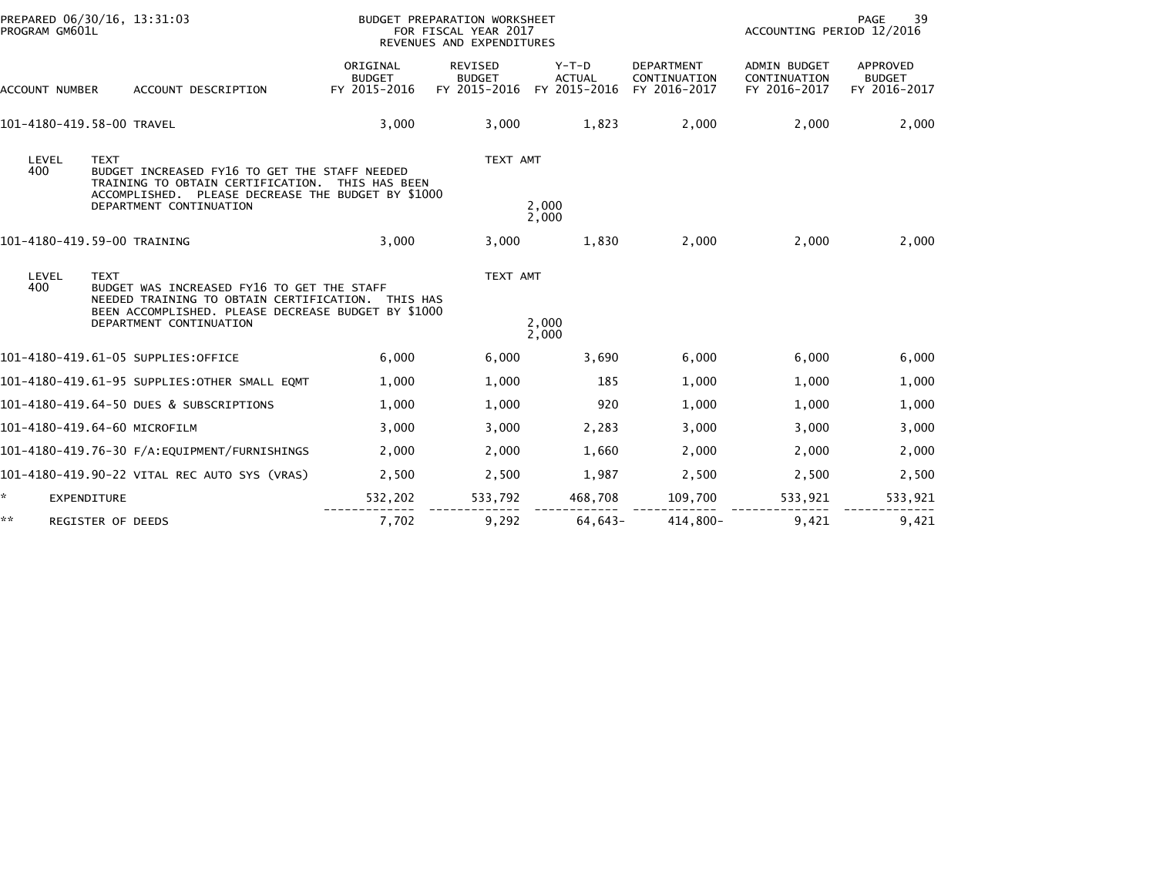| PROGRAM GM601L            | PREPARED 06/30/16, 13:31:03                                                                                                                                                             |                                           | BUDGET PREPARATION WORKSHEET<br>FOR FISCAL YEAR 2017<br>REVENUES AND EXPENDITURES |                                          |                                                   |                                              | <b>PAGE</b><br>39<br>ACCOUNTING PERIOD 12/2016   |  |  |
|---------------------------|-----------------------------------------------------------------------------------------------------------------------------------------------------------------------------------------|-------------------------------------------|-----------------------------------------------------------------------------------|------------------------------------------|---------------------------------------------------|----------------------------------------------|--------------------------------------------------|--|--|
| ACCOUNT NUMBER            | ACCOUNT DESCRIPTION                                                                                                                                                                     | ORIGINAL<br><b>BUDGET</b><br>FY 2015-2016 | <b>REVISED</b><br><b>BUDGET</b><br>FY 2015-2016                                   | $Y-T-D$<br><b>ACTUAL</b><br>FY 2015-2016 | <b>DEPARTMENT</b><br>CONTINUATION<br>FY 2016-2017 | ADMIN BUDGET<br>CONTINUATION<br>FY 2016-2017 | <b>APPROVED</b><br><b>BUDGET</b><br>FY 2016-2017 |  |  |
| 101-4180-419.58-00 TRAVEL |                                                                                                                                                                                         | 3,000                                     | 3,000                                                                             | 1,823                                    | 2,000                                             | 2,000                                        | 2,000                                            |  |  |
| LEVEL<br>400              | <b>TEXT</b><br>BUDGET INCREASED FY16 TO GET THE STAFF NEEDED<br>TRAINING TO OBTAIN CERTIFICATION.<br>ACCOMPLISHED. PLEASE DECREASE THE BUDGET BY \$1000<br>DEPARTMENT CONTINUATION      | THIS HAS BEEN                             | TEXT AMT                                                                          | 2,000<br>2,000                           |                                                   |                                              |                                                  |  |  |
|                           | 101-4180-419.59-00 TRAINING                                                                                                                                                             | 3,000                                     | 3,000                                                                             | 1,830                                    | 2,000                                             | 2,000                                        | 2,000                                            |  |  |
| LEVEL<br>400              | <b>TEXT</b><br>BUDGET WAS INCREASED FY16 TO GET THE STAFF<br>NEEDED TRAINING TO OBTAIN CERTIFICATION.<br>BEEN ACCOMPLISHED. PLEASE DECREASE BUDGET BY \$1000<br>DEPARTMENT CONTINUATION | THIS HAS                                  | TEXT AMT                                                                          | 2,000<br>2,000                           |                                                   |                                              |                                                  |  |  |
|                           | 101-4180-419.61-05 SUPPLIES:OFFICE                                                                                                                                                      | 6,000                                     | 6,000                                                                             | 3,690                                    | 6,000                                             | 6,000                                        | 6,000                                            |  |  |
|                           | 101-4180-419.61-95 SUPPLIES:OTHER SMALL EQMT                                                                                                                                            | 1,000                                     | 1,000                                                                             | 185                                      | 1,000                                             | 1,000                                        | 1,000                                            |  |  |
|                           | 101-4180-419.64-50 DUES & SUBSCRIPTIONS                                                                                                                                                 | 1,000                                     | 1,000                                                                             | 920                                      | 1,000                                             | 1,000                                        | 1,000                                            |  |  |
|                           | 101-4180-419.64-60 MICROFILM                                                                                                                                                            | 3,000                                     | 3,000                                                                             | 2,283                                    | 3,000                                             | 3,000                                        | 3,000                                            |  |  |
|                           |                                                                                                                                                                                         | 2,000                                     | 2,000                                                                             | 1,660                                    | 2,000                                             | 2,000                                        | 2,000                                            |  |  |
|                           | 101-4180-419.90-22 VITAL REC AUTO SYS (VRAS)                                                                                                                                            | 2,500                                     | 2,500                                                                             | 1,987                                    | 2,500                                             | 2,500                                        | 2,500                                            |  |  |
| *.<br><b>EXPENDITURE</b>  |                                                                                                                                                                                         | 532,202                                   | 533,792                                                                           | 468,708                                  | 109,700                                           | 533,921                                      | 533,921                                          |  |  |
| **                        | <b>REGISTER OF DEEDS</b>                                                                                                                                                                | 7,702                                     | 9,292                                                                             | 64,643-                                  | 414,800-                                          | 9,421                                        | 9,421                                            |  |  |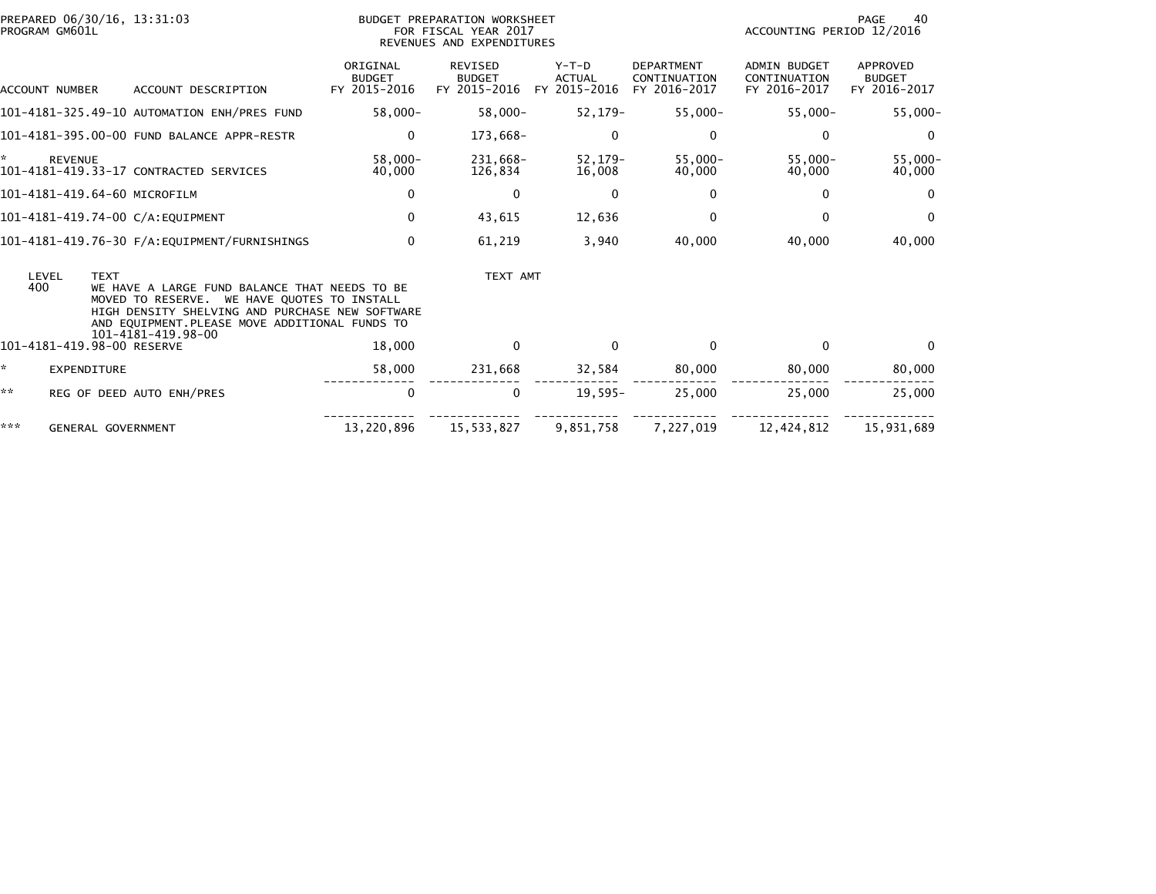| PROGRAM GM601L        | PREPARED 06/30/16, 13:31:03                                                                                                                                                                                                            | BUDGET PREPARATION WORKSHEET<br>FOR FISCAL YEAR 2017<br>REVENUES AND EXPENDITURES |                                                 |                                          |                                                   | PAGE<br>40<br>ACCOUNTING PERIOD 12/2016             |                                           |
|-----------------------|----------------------------------------------------------------------------------------------------------------------------------------------------------------------------------------------------------------------------------------|-----------------------------------------------------------------------------------|-------------------------------------------------|------------------------------------------|---------------------------------------------------|-----------------------------------------------------|-------------------------------------------|
| <b>ACCOUNT NUMBER</b> | ACCOUNT DESCRIPTION                                                                                                                                                                                                                    | ORIGINAL<br><b>BUDGET</b><br>FY 2015-2016                                         | <b>REVISED</b><br><b>BUDGET</b><br>FY 2015-2016 | $Y-T-D$<br><b>ACTUAL</b><br>FY 2015-2016 | <b>DEPARTMENT</b><br>CONTINUATION<br>FY 2016-2017 | <b>ADMIN BUDGET</b><br>CONTINUATION<br>FY 2016-2017 | APPROVED<br><b>BUDGET</b><br>FY 2016-2017 |
|                       | 101-4181-325.49-10 AUTOMATION ENH/PRES FUND                                                                                                                                                                                            | $58,000 -$                                                                        | $58,000 -$                                      | 52,179-                                  | $55,000-$                                         | $55,000 -$                                          | $55,000-$                                 |
|                       | 101-4181-395.00-00 FUND BALANCE APPR-RESTR                                                                                                                                                                                             | $\mathbf 0$                                                                       | 173,668-                                        | $\Omega$                                 | 0                                                 | 0                                                   | $\Omega$                                  |
| *<br><b>REVENUE</b>   | 101-4181-419.33-17 CONTRACTED SERVICES                                                                                                                                                                                                 | $58.000 -$<br>40,000                                                              | 231.668-<br>126.834                             | $52, 179 -$<br>16,008                    | $55.000 -$<br>40,000                              | $55.000 -$<br>40,000                                | $55.000 -$<br>40,000                      |
|                       | 101-4181-419.64-60 MICROFILM                                                                                                                                                                                                           | 0                                                                                 | 0                                               | 0                                        | 0                                                 | $\mathbf{0}$                                        | $\Omega$                                  |
|                       | 101-4181-419.74-00 C/A:EQUIPMENT                                                                                                                                                                                                       | 0                                                                                 | 43,615                                          | 12,636                                   | 0                                                 | $\Omega$                                            | $\Omega$                                  |
|                       |                                                                                                                                                                                                                                        | $\mathbf{0}$                                                                      | 61,219                                          | 3,940                                    | 40,000                                            | 40,000                                              | 40,000                                    |
| LEVEL<br>400          | <b>TEXT</b><br>WE HAVE A LARGE FUND BALANCE THAT NEEDS TO BE<br>MOVED TO RESERVE. WE HAVE QUOTES TO INSTALL<br>HIGH DENSITY SHELVING AND PURCHASE NEW SOFTWARE<br>AND EQUIPMENT. PLEASE MOVE ADDITIONAL FUNDS TO<br>101-4181-419.98-00 |                                                                                   | TEXT AMT                                        |                                          |                                                   |                                                     |                                           |
|                       | 101-4181-419.98-00 RESERVE                                                                                                                                                                                                             | 18,000                                                                            | $\Omega$                                        | $\Omega$                                 | $\mathbf{0}$                                      | $\mathbf{0}$                                        | $\Omega$                                  |
| ☆.                    | EXPENDITURE                                                                                                                                                                                                                            | 58,000                                                                            | 231,668                                         | 32,584                                   | 80,000                                            | 80,000                                              | 80,000                                    |
| **                    | REG OF DEED AUTO ENH/PRES                                                                                                                                                                                                              | 0                                                                                 | 0                                               | $19,595-$                                | 25,000                                            | 25,000                                              | 25,000                                    |
| ***                   | <b>GENERAL GOVERNMENT</b>                                                                                                                                                                                                              | 13,220,896                                                                        | 15,533,827                                      | 9,851,758                                | 7,227,019                                         | 12,424,812                                          | 15,931,689                                |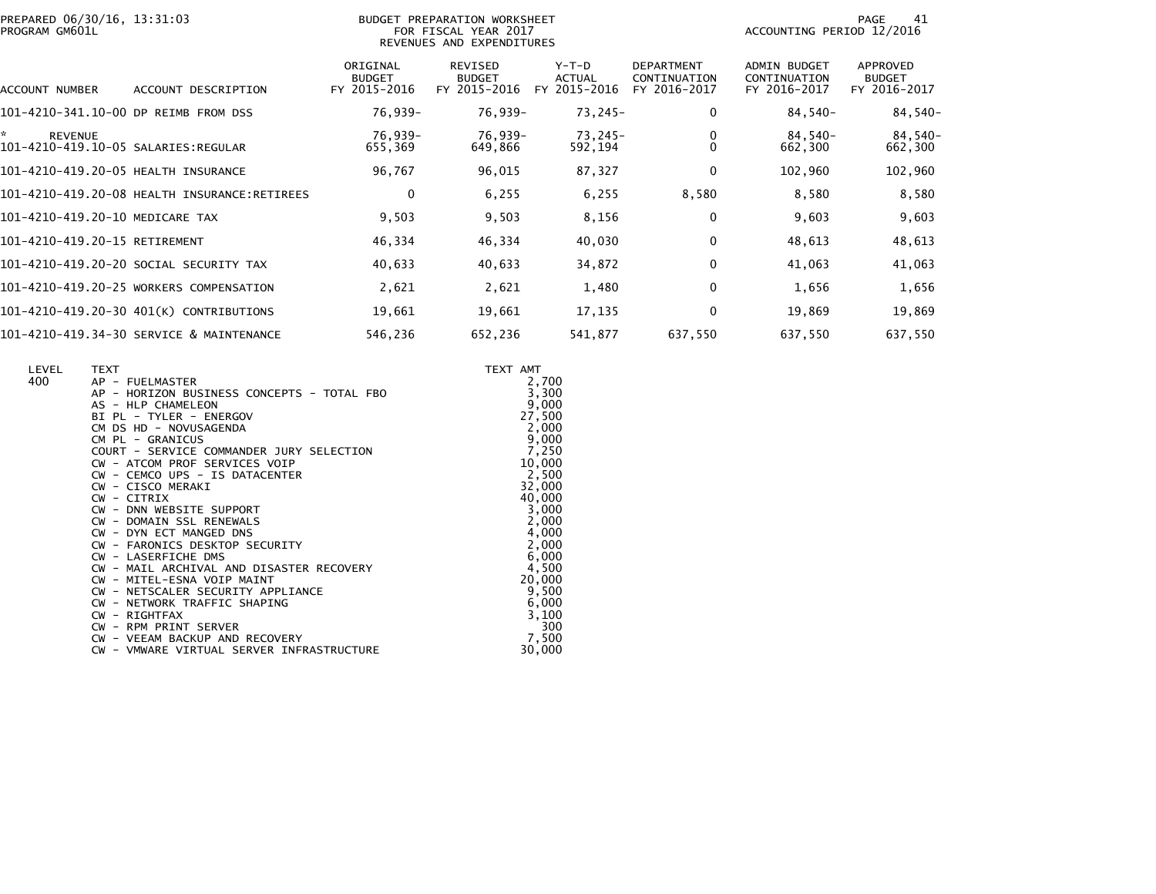|                | PREPARED 06/30/16, 13:31:03 |  |
|----------------|-----------------------------|--|
| PROGRAM GM601L |                             |  |

## PREPARED 06/30/16, 13:31:03 PREPARATION WORKSHEET FREPARATION WORKSHEET PREPARATION WORKSHEET<br>FOR FISCAL YEAR 2017 ACCOUNTING PERIOD 12/2016<br>REVENUES AND EXPENDITURES

PAGE 41<br>ACCOUNTING PERIOD 12/2016

| ACCOUNT NUMBER<br>ACCOUNT DESCRIPTION    | ORIGINAL<br><b>BUDGET</b><br>FY 2015-2016 | REVISED<br><b>BUDGET</b><br>FY 2015-2016 | Y-T-D<br><b>ACTUAL</b><br>2015-2016<br>FY. | <b>DEPARTMENT</b><br>CONTINUATION<br>FY 2016-2017 | <b>ADMIN BUDGET</b><br>CONTINUATION<br>FY 2016-2017 | APPROVED<br><b>BUDGET</b><br>FY 2016-2017 |
|------------------------------------------|-------------------------------------------|------------------------------------------|--------------------------------------------|---------------------------------------------------|-----------------------------------------------------|-------------------------------------------|
| 101-4210-341.10-00 DP REIMB FROM DSS     | 76,939-                                   | 76,939-                                  | 73,245-                                    | 0                                                 | 84,540-                                             | $84,540-$                                 |
| *.<br><b>REVENUE</b>                     | 76.939-<br>655,369                        | 76,939-<br>649,866                       | 73,245-<br>592,194                         | 0<br>$\mathbf{0}$                                 | 84,540-<br>662,300                                  | 84,540-<br>662,300                        |
| 101-4210-419.20-05 HEALTH INSURANCE      | 96,767                                    | 96,015                                   | 87,327                                     | 0                                                 | 102,960                                             | 102,960                                   |
|                                          | 0                                         | 6,255                                    | 6,255                                      | 8,580                                             | 8,580                                               | 8,580                                     |
| 101-4210-419.20-10 MEDICARE TAX          | 9,503                                     | 9,503                                    | 8,156                                      | 0                                                 | 9,603                                               | 9,603                                     |
| 101-4210-419.20-15 RETIREMENT            | 46,334                                    | 46,334                                   | 40,030                                     | 0                                                 | 48,613                                              | 48,613                                    |
| 101-4210-419.20-20 SOCIAL SECURITY TAX   | 40,633                                    | 40,633                                   | 34,872                                     | 0                                                 | 41,063                                              | 41,063                                    |
| 101-4210-419.20-25 WORKERS COMPENSATION  | 2,621                                     | 2,621                                    | 1,480                                      | 0                                                 | 1,656                                               | 1,656                                     |
| 101-4210-419.20-30 401(K) CONTRIBUTIONS  | 19,661                                    | 19,661                                   | 17,135                                     | 0                                                 | 19,869                                              | 19,869                                    |
| 101-4210-419.34-30 SERVICE & MAINTENANCE | 546.236                                   | 652.236                                  | 541,877                                    | 637,550                                           | 637,550                                             | 637.550                                   |

| LEVEL<br>400 | <b>TEXT</b><br>AP - FUELMASTER             | TEXT AMT<br>2,700 |
|--------------|--------------------------------------------|-------------------|
|              | AP - HORIZON BUSINESS CONCEPTS - TOTAL FBO | 3,300             |
|              | AS - HLP CHAMELEON                         | 9,000             |
|              | BI PL - TYLER - ENERGOV                    | 27,500            |
|              | CM DS HD - NOVUSAGENDA                     | 2,000             |
|              | CM PL - GRANICUS                           | 9,000             |
|              | COURT - SERVICE COMMANDER JURY SELECTION   | 7,250             |
|              | CW - ATCOM PROF SERVICES VOIP              | 10,000            |
|              | CW - CEMCO UPS - IS DATACENTER             | 2,500             |
|              | CW - CISCO MERAKI                          | 32,000<br>40,000  |
|              | CW - CITRIX<br>CW - DNN WEBSITE SUPPORT    | 3,000             |
|              | CW - DOMAIN SSL RENEWALS                   | 2,000             |
|              | CW - DYN ECT MANGED DNS                    | 4,000             |
|              | CW - FARONICS DESKTOP SECURITY             | 2,000             |
|              | CW - LASERFICHE DMS                        | 6,000             |
|              | CW - MAIL ARCHIVAL AND DISASTER RECOVERY   | 4,500             |
|              | CW - MITEL-ESNA VOIP MAINT                 | 20,000            |
|              | CW - NETSCALER SECURITY APPLIANCE          | 9,500             |
|              | CW - NETWORK TRAFFIC SHAPING               | 6,000             |
|              | CW - RIGHTFAX                              | 3,100             |
|              | CW - RPM PRINT SERVER                      | 300               |
|              | CW - VEEAM BACKUP AND RECOVERY             | 7,500             |
|              | CW - VMWARE VIRTUAL SERVER INFRASTRUCTURE  | 30,000            |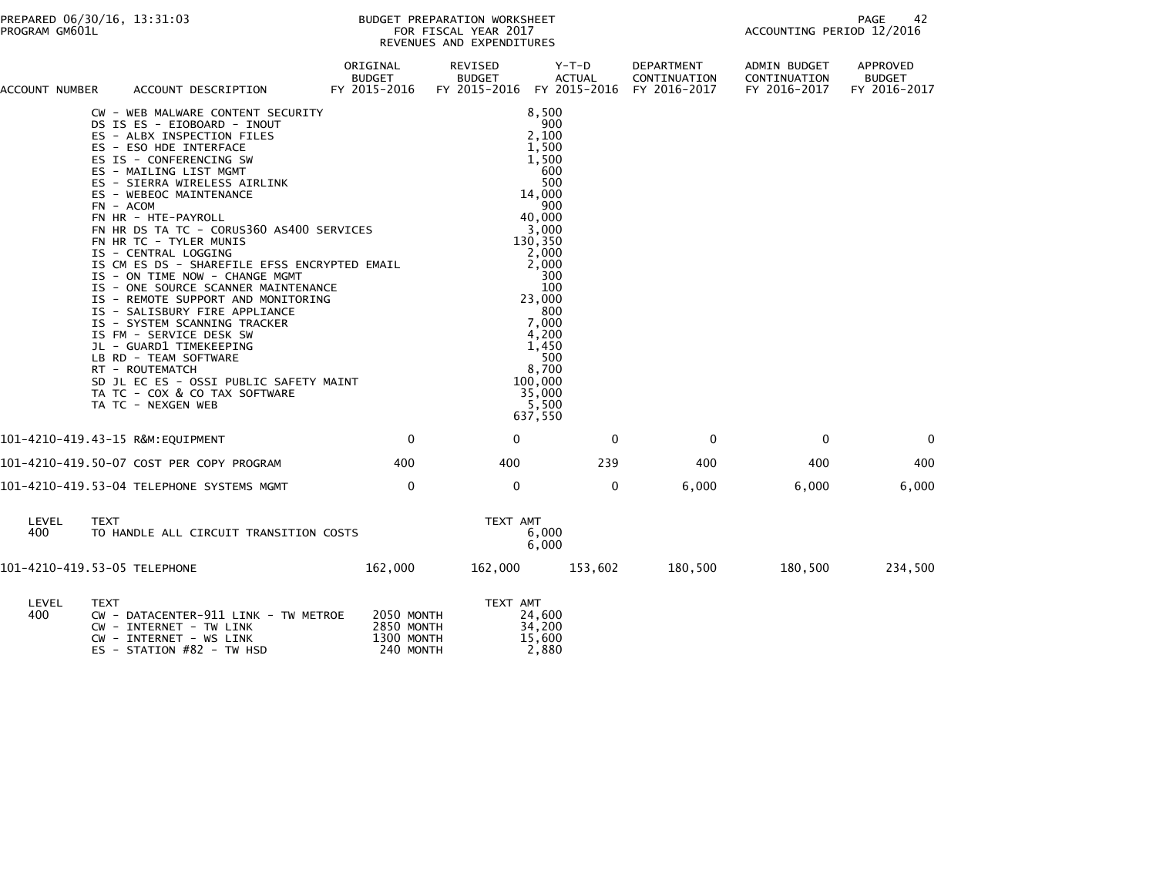| ACCOUNT NUMBER | ACCOUNT DESCRIPTION                                                                                                                                                                                                                                                                                                                                                                                                                                                                                                                                                                                                                                                                                                                                                                                                                                        | ORIGINAL<br>BUDGET<br>FY 2015-2016 FY 2015-2016 FY 2015-2016 FY 2016-2017 | REVISED<br><b>BUDGET</b> | Y-T-D<br><b>ACTUAL</b>                                                                                                                                                                                                                          | DEPARTMENT<br>CONTINUATION | ADMIN BUDGET<br>CONTINUATION<br>FY 2016-2017 | APPROVED<br><b>BUDGET</b><br>FY 2016-2017 |
|----------------|------------------------------------------------------------------------------------------------------------------------------------------------------------------------------------------------------------------------------------------------------------------------------------------------------------------------------------------------------------------------------------------------------------------------------------------------------------------------------------------------------------------------------------------------------------------------------------------------------------------------------------------------------------------------------------------------------------------------------------------------------------------------------------------------------------------------------------------------------------|---------------------------------------------------------------------------|--------------------------|-------------------------------------------------------------------------------------------------------------------------------------------------------------------------------------------------------------------------------------------------|----------------------------|----------------------------------------------|-------------------------------------------|
|                | CW - WEB MALWARE CONTENT SECURITY<br>CW - WEB MALWARE CONTENT SECURITY<br>DS IS ES - EIOBOARD - INOUT<br>ES - ALBX INSPECTION FILES<br>ES - ESO HDE INTERFACE<br>ES IS - CONFERENCING SW<br>ES - MAILING LIST MGMT<br>ES - SIERRA WIRELESS AIRLINK<br>ES - WEBEOC MAINTENANCE<br>ES<br>$FN - ACOM$<br>FN HR - HTE-PAYROLL<br>FN HR DS TA TC - CORUS360 AS400 SERVICES<br>FN HR TC - TYLER MUNIS<br>IS - CENTRAL LOGGING<br>IS CM ES DS - SHAREFILE EFSS ENCRYPTED EMAIL<br>IS - ON TIME NOW - CHANGE MGMT<br>IS - ON TIME NOW - CHANGE MGMT<br>IS - ON TIME NOW - CHANGE MGMT<br>IS - REMOTE SUPPORT AND MONITORING<br>IS - SALISBURY FIRE APPLIANCE<br>IS - SYSTEM SCANNING TRACKER<br>IS FM - SERVICE DESK SW<br>JL - GUARD1 TIMEKEEPING<br>LB RD - TEA<br>SD JL EC ES - OSSI PUBLIC SAFETY MAINT<br>TA TC - COX & CO TAX SOFTWARE<br>TA TC - NEXGEN WEB | $\ldots$ MAINT                                                            |                          | 8,500<br>900<br>2,100<br>1,500<br>1,500<br>600<br>500<br>14,000<br>900<br>40,000<br>3,000<br>130,350<br>2,000<br>2,000<br>- 300<br>100<br>23,000<br>- 800<br>7,000<br>4,200<br>1,450<br>- 500<br>8,700<br>100,000<br>35,000<br>5,500<br>637,550 |                            |                                              |                                           |
|                | 101-4210-419.43-15 R&M:EQUIPMENT                                                                                                                                                                                                                                                                                                                                                                                                                                                                                                                                                                                                                                                                                                                                                                                                                           | $\Omega$                                                                  | $\mathbf{0}$             | $\Omega$                                                                                                                                                                                                                                        | $\mathbf{0}$               | $\mathbf 0$                                  | $\Omega$                                  |
|                | 101-4210-419.50-07 COST PER COPY PROGRAM                                                                                                                                                                                                                                                                                                                                                                                                                                                                                                                                                                                                                                                                                                                                                                                                                   | 400                                                                       | 400                      | 239                                                                                                                                                                                                                                             | 400                        | 400                                          | 400                                       |
|                | 101-4210-419.53-04 TELEPHONE SYSTEMS MGMT                                                                                                                                                                                                                                                                                                                                                                                                                                                                                                                                                                                                                                                                                                                                                                                                                  | $\mathbf 0$                                                               | 0                        | $\mathbf 0$                                                                                                                                                                                                                                     | 6,000                      | 6,000                                        | 6,000                                     |
| LEVEL<br>400   | <b>TEXT</b><br>TO HANDLE ALL CIRCUIT TRANSITION COSTS                                                                                                                                                                                                                                                                                                                                                                                                                                                                                                                                                                                                                                                                                                                                                                                                      |                                                                           | TEXT AMT                 | 6,000<br>6,000                                                                                                                                                                                                                                  |                            |                                              |                                           |
|                | 101-4210-419.53-05 TELEPHONE                                                                                                                                                                                                                                                                                                                                                                                                                                                                                                                                                                                                                                                                                                                                                                                                                               | 162,000                                                                   |                          | 162,000 153,602                                                                                                                                                                                                                                 | 180,500                    | 180,500                                      | 234,500                                   |
| LEVEL<br>400   | <b>TEXT</b><br>CW - DATACENTER-911 LINK - TW METROE 2050 MONTH<br>CW - INTERNET - TW LINK<br>CW - INTERNET - WS LINK<br>ES - STATION #82 - TW HSD                                                                                                                                                                                                                                                                                                                                                                                                                                                                                                                                                                                                                                                                                                          | 2850 MONTH<br>1300 MONTH<br>1300 MONTH<br>240 MONTH                       | TEXT AMT                 | 24,600<br>34,200<br>15,600<br>2,880                                                                                                                                                                                                             |                            |                                              |                                           |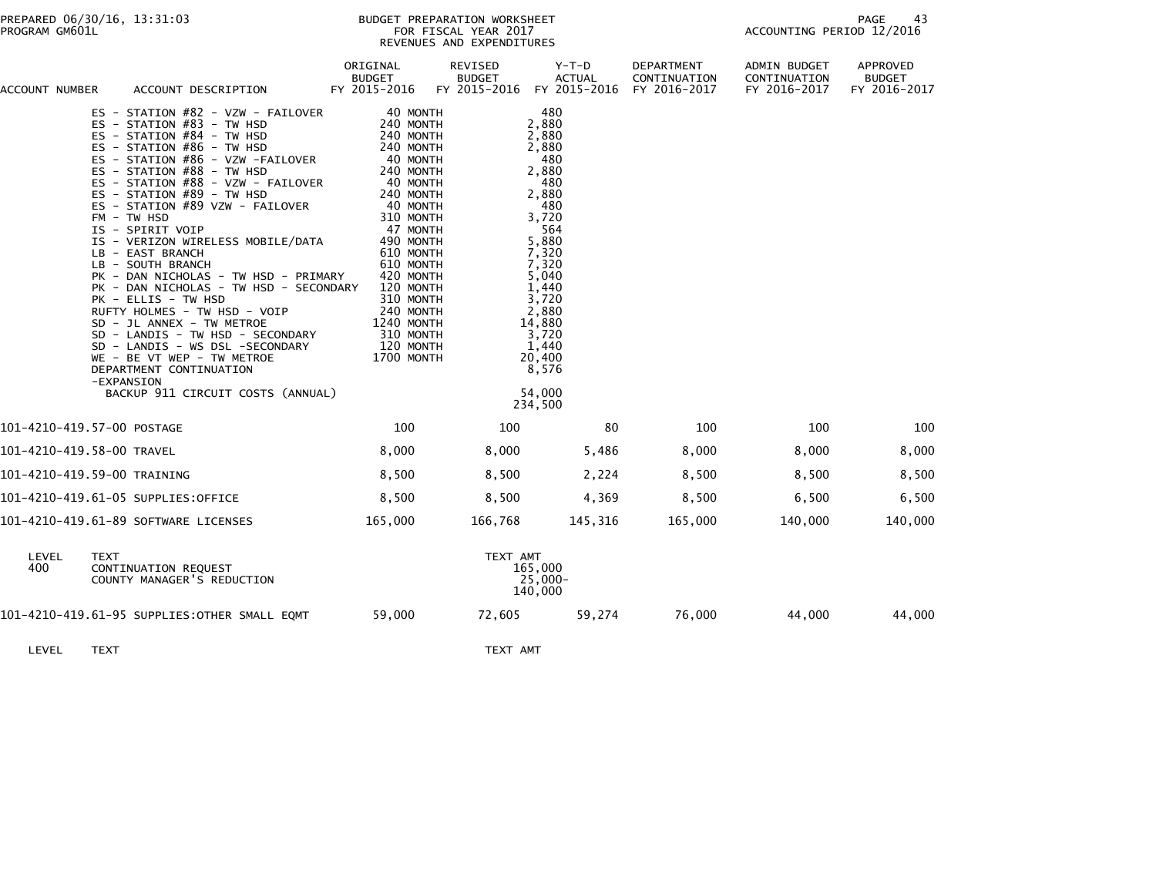| ACCOUNT NUMBER | ACCOUNT DESCRIPTION                                                                                                                                                                                                                                                                                                                                                                                                                                                                                                                                                                                                                                                                                                                                                          | ORIGINAL<br><b>BUDGET</b><br>FY 2015-2016                                                                                                                                                                                                                                               | REVISED<br><b>BUDGET</b><br>FY 2015-2016 | $Y-T-D$<br><b>ACTUAL</b><br>FY 2015-2016                                                                                                                                                                                 | <b>DEPARTMENT</b><br>CONTINUATION<br>FY 2016-2017 | ADMIN BUDGET<br>CONTINUATION<br>FY 2016-2017 | APPROVED<br><b>BUDGET</b><br>FY 2016-2017 |
|----------------|------------------------------------------------------------------------------------------------------------------------------------------------------------------------------------------------------------------------------------------------------------------------------------------------------------------------------------------------------------------------------------------------------------------------------------------------------------------------------------------------------------------------------------------------------------------------------------------------------------------------------------------------------------------------------------------------------------------------------------------------------------------------------|-----------------------------------------------------------------------------------------------------------------------------------------------------------------------------------------------------------------------------------------------------------------------------------------|------------------------------------------|--------------------------------------------------------------------------------------------------------------------------------------------------------------------------------------------------------------------------|---------------------------------------------------|----------------------------------------------|-------------------------------------------|
|                | ES - STATION #82 - VZW - FAILOVER<br>ES - STATION #83 - TW HSD<br>ES - STATION #84 - TW HSD<br>ES - STATION #86 - TW HSD<br>ES - STATION #86 - VZW -FAILOVER<br>ES - STATION #88 - TW HSD<br>ES - STATION #88 - VZW - FAILOVER<br>ES - STATION $#89$ - TW HSD<br>ES - STATION #89 VZW - FAILOVER<br>$FM - TW$ HSD<br>IS - SPIRIT VOIP<br>IS - VERIZON WIRELESS MOBILE/DATA<br>LB - EAST BRANCH<br>LB - SOUTH BRANCH<br>PK - DAN NICHOLAS - TW HSD - PRIMARY<br>PK - DAN NICHOLAS - TW HSD - SECONDARY<br>PK - ELLIS - TW HSD<br>RUFTY HOLMES - TW HSD - VOIP<br>SD - JL ANNEX - TW METROE<br>SD - LANDIS - TW HSD - SECONDARY<br>SD - LANDIS - WS DSL -SECONDARY<br>WE - BE VT WEP - TW METROE<br>DEPARTMENT CONTINUATION<br>-EXPANSION<br>BACKUP 911 CIRCUIT COSTS (ANNUAL) | 40 MONTH<br>240 MONTH<br>240 MONTH<br>240 MONTH<br>40 MONTH<br>240 MONTH<br>40 MONTH<br>240 MONTH<br>40 MONTH<br>310 MONTH<br>47 MONTH<br>490 MONTH<br>610 MONTH<br>610 MONTH<br>420 MONTH<br>120 MONTH<br>310 MONTH<br>240 MONTH<br>1240 MONTH<br>310 MONTH<br>120 MONTH<br>1700 MONTH |                                          | 480<br>2,880<br>2,880<br>2,880<br>480<br>2,880<br>480<br>2,880<br>480<br>3,720<br>564<br>5,880<br>7,320<br>7,320<br>5,040<br>1,440<br>3,720<br>2,880<br>14,880<br>3,720<br>1,440<br>20,400<br>8,576<br>54,000<br>234,500 |                                                   |                                              |                                           |
|                | 101-4210-419.57-00 POSTAGE                                                                                                                                                                                                                                                                                                                                                                                                                                                                                                                                                                                                                                                                                                                                                   | 100                                                                                                                                                                                                                                                                                     | 100                                      | 80                                                                                                                                                                                                                       | 100                                               | 100                                          | 100                                       |
|                | 101-4210-419.58-00 TRAVEL                                                                                                                                                                                                                                                                                                                                                                                                                                                                                                                                                                                                                                                                                                                                                    | 8,000                                                                                                                                                                                                                                                                                   | 8,000                                    | 5,486                                                                                                                                                                                                                    | 8,000                                             | 8,000                                        | 8,000                                     |
|                | 101-4210-419.59-00 TRAINING                                                                                                                                                                                                                                                                                                                                                                                                                                                                                                                                                                                                                                                                                                                                                  | 8,500                                                                                                                                                                                                                                                                                   | 8,500                                    | 2,224                                                                                                                                                                                                                    | 8,500                                             | 8,500                                        | 8,500                                     |
|                | 101-4210-419.61-05 SUPPLIES:OFFICE                                                                                                                                                                                                                                                                                                                                                                                                                                                                                                                                                                                                                                                                                                                                           | 8,500                                                                                                                                                                                                                                                                                   | 8,500                                    | 4,369                                                                                                                                                                                                                    | 8,500                                             | 6,500                                        | 6,500                                     |
|                | 101-4210-419.61-89 SOFTWARE LICENSES                                                                                                                                                                                                                                                                                                                                                                                                                                                                                                                                                                                                                                                                                                                                         | 165,000                                                                                                                                                                                                                                                                                 | 166,768                                  | 145,316                                                                                                                                                                                                                  | 165,000                                           | 140,000                                      | 140,000                                   |
| LEVEL<br>400   | <b>TEXT</b><br>CONTINUATION REQUEST<br>COUNTY MANAGER'S REDUCTION                                                                                                                                                                                                                                                                                                                                                                                                                                                                                                                                                                                                                                                                                                            |                                                                                                                                                                                                                                                                                         | TEXT AMT                                 | 165,000<br>25,000-<br>140,000                                                                                                                                                                                            |                                                   |                                              |                                           |
|                | 101-4210-419.61-95 SUPPLIES:OTHER SMALL EQMT                                                                                                                                                                                                                                                                                                                                                                                                                                                                                                                                                                                                                                                                                                                                 | 59,000                                                                                                                                                                                                                                                                                  | 72,605                                   | 59,274                                                                                                                                                                                                                   | 76,000                                            | 44,000                                       | 44,000                                    |

LEVEL TEXT TEXT AMT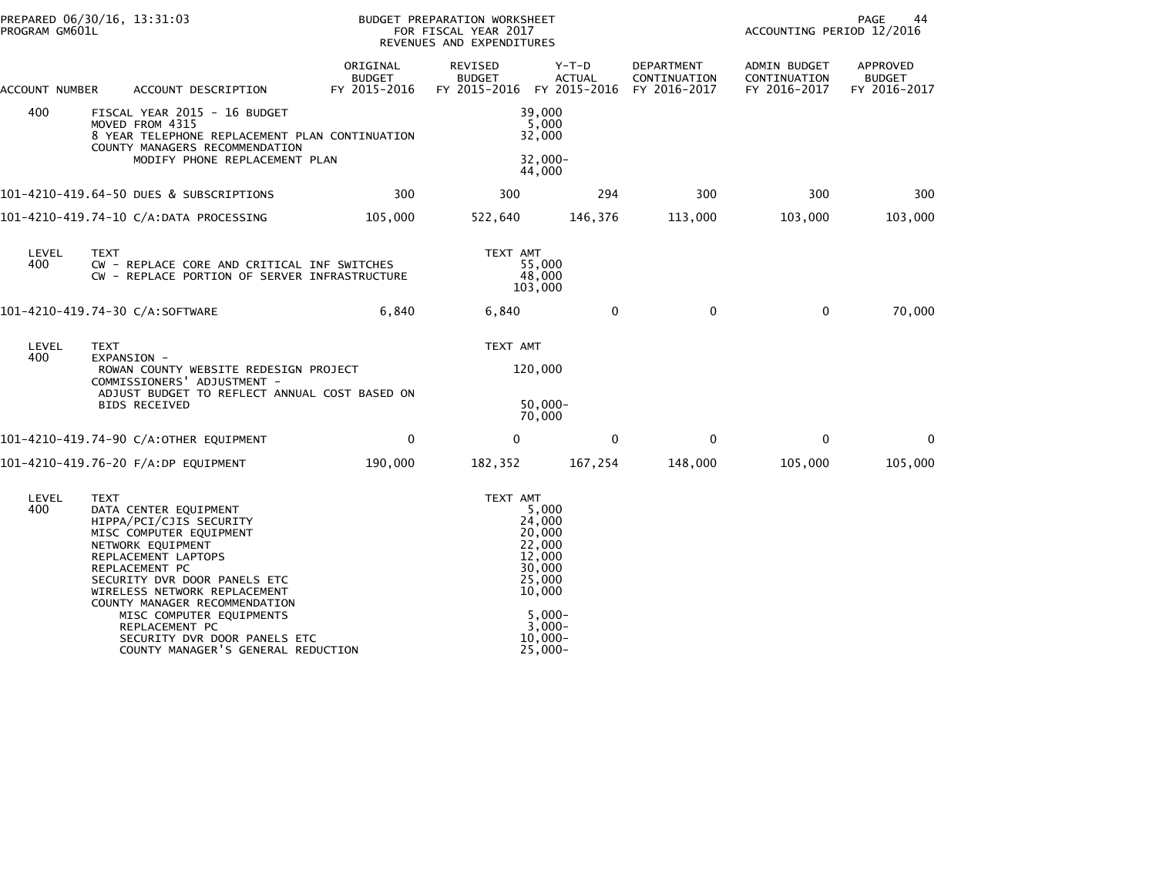| PROGRAM GM601L | PREPARED 06/30/16, 13:31:03                                                                                                                                                                                                                                                                                                                                                   |                                                | BUDGET PREPARATION WORKSHEET<br>FOR FISCAL YEAR 2017<br>REVENUES AND EXPENDITURES |                                                                                                                                  |                            | PAGE<br>44<br>ACCOUNTING PERIOD 12/2016      |                                           |  |
|----------------|-------------------------------------------------------------------------------------------------------------------------------------------------------------------------------------------------------------------------------------------------------------------------------------------------------------------------------------------------------------------------------|------------------------------------------------|-----------------------------------------------------------------------------------|----------------------------------------------------------------------------------------------------------------------------------|----------------------------|----------------------------------------------|-------------------------------------------|--|
| ACCOUNT NUMBER | ACCOUNT DESCRIPTION                                                                                                                                                                                                                                                                                                                                                           | ORIGINAL<br><b>BUDGET</b><br>FY 2015-2016      | REVISED<br><b>BUDGET</b><br>FY 2015-2016 FY 2015-2016 FY 2016-2017                | $Y-T-D$<br><b>ACTUAL</b>                                                                                                         | DEPARTMENT<br>CONTINUATION | ADMIN BUDGET<br>CONTINUATION<br>FY 2016-2017 | APPROVED<br><b>BUDGET</b><br>FY 2016-2017 |  |
| 400            | FISCAL YEAR 2015 - 16 BUDGET<br>MOVED FROM 4315<br>COUNTY MANAGERS RECOMMENDATION                                                                                                                                                                                                                                                                                             | 8 YEAR TELEPHONE REPLACEMENT PLAN CONTINUATION |                                                                                   | 39,000<br>5,000<br>32,000                                                                                                        |                            |                                              |                                           |  |
|                | MODIFY PHONE REPLACEMENT PLAN                                                                                                                                                                                                                                                                                                                                                 |                                                |                                                                                   | $32,000 -$<br>44,000                                                                                                             |                            |                                              |                                           |  |
|                | 101-4210-419.64-50 DUES & SUBSCRIPTIONS                                                                                                                                                                                                                                                                                                                                       | 300                                            | 300                                                                               | 294                                                                                                                              | 300                        | 300                                          | 300                                       |  |
|                | 101-4210-419.74-10 C/A:DATA PROCESSING                                                                                                                                                                                                                                                                                                                                        | 105,000                                        | 522,640                                                                           | 146,376                                                                                                                          | 113,000                    | 103,000                                      | 103,000                                   |  |
| LEVEL<br>400   | <b>TEXT</b><br>CW - REPLACE CORE AND CRITICAL INF SWITCHES<br>CW - REPLACE PORTION OF SERVER INFRASTRUCTURE                                                                                                                                                                                                                                                                   |                                                | TEXT AMT                                                                          | 55,000<br>48,000<br>103,000                                                                                                      |                            |                                              |                                           |  |
|                | 101-4210-419.74-30 C/A:SOFTWARE                                                                                                                                                                                                                                                                                                                                               | 6,840                                          | 6,840                                                                             | $\Omega$                                                                                                                         | $\Omega$                   | $\Omega$                                     | 70,000                                    |  |
| LEVEL<br>400   | <b>TEXT</b><br>EXPANSION -                                                                                                                                                                                                                                                                                                                                                    |                                                | TEXT AMT                                                                          |                                                                                                                                  |                            |                                              |                                           |  |
|                | ROWAN COUNTY WEBSITE REDESIGN PROJECT<br>COMMISSIONERS' ADJUSTMENT -<br>ADJUST BUDGET TO REFLECT ANNUAL COST BASED ON<br><b>BIDS RECEIVED</b>                                                                                                                                                                                                                                 |                                                |                                                                                   | 120,000                                                                                                                          |                            |                                              |                                           |  |
|                |                                                                                                                                                                                                                                                                                                                                                                               |                                                | $50,000 -$<br>70,000                                                              |                                                                                                                                  |                            |                                              |                                           |  |
|                | 101-4210-419.74-90 C/A:OTHER EQUIPMENT                                                                                                                                                                                                                                                                                                                                        | $\mathbf 0$                                    | $\mathbf{0}$                                                                      | $\mathbf 0$                                                                                                                      | $\mathbf{0}$               | $\mathbf{0}$                                 | $\mathbf{0}$                              |  |
|                | 101-4210-419.76-20 F/A:DP EQUIPMENT                                                                                                                                                                                                                                                                                                                                           | 190,000                                        | 182,352                                                                           | 167,254                                                                                                                          | 148,000                    | 105,000                                      | 105,000                                   |  |
| LEVEL<br>400   | <b>TEXT</b><br>DATA CENTER EQUIPMENT<br>HIPPA/PCI/CJIS SECURITY<br>MISC COMPUTER EQUIPMENT<br>NETWORK EQUIPMENT<br>REPLACEMENT LAPTOPS<br>REPLACEMENT PC<br>SECURITY DVR DOOR PANELS ETC<br>WIRELESS NETWORK REPLACEMENT<br>COUNTY MANAGER RECOMMENDATION<br>MISC COMPUTER EQUIPMENTS<br>REPLACEMENT PC<br>SECURITY DVR DOOR PANELS ETC<br>COUNTY MANAGER'S GENERAL REDUCTION |                                                | TEXT AMT                                                                          | 5,000<br>24,000<br>20,000<br>22,000<br>12,000<br>30,000<br>25,000<br>10,000<br>$5.000 -$<br>$3,000-$<br>$10,000 -$<br>$25,000 -$ |                            |                                              |                                           |  |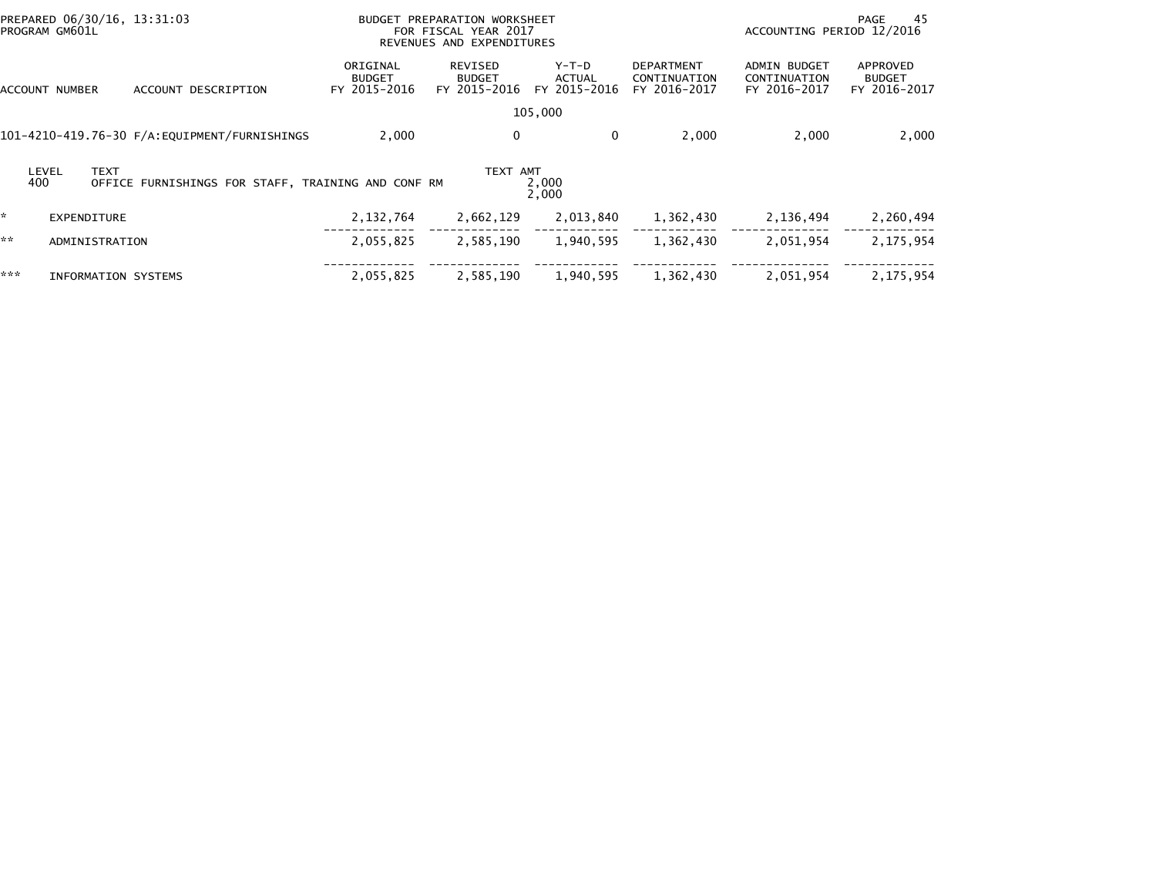| PREPARED 06/30/16, 13:31:03<br>PROGRAM GM601L |                      |                                                    |                                           | BUDGET PREPARATION WORKSHEET<br>FOR FISCAL YEAR 2017<br>REVENUES AND EXPENDITURES |                                        | PAGE<br>ACCOUNTING PERIOD 12/2016                 |                                                     |                                           |
|-----------------------------------------------|----------------------|----------------------------------------------------|-------------------------------------------|-----------------------------------------------------------------------------------|----------------------------------------|---------------------------------------------------|-----------------------------------------------------|-------------------------------------------|
| ACCOUNT NUMBER                                |                      | ACCOUNT DESCRIPTION                                | ORIGINAL<br><b>BUDGET</b><br>FY 2015-2016 | REVISED<br><b>BUDGET</b><br>FY 2015-2016                                          | Y-T-D<br><b>ACTUAL</b><br>FY 2015-2016 | <b>DEPARTMENT</b><br>CONTINUATION<br>FY 2016-2017 | <b>ADMIN BUDGET</b><br>CONTINUATION<br>FY 2016-2017 | APPROVED<br><b>BUDGET</b><br>FY 2016-2017 |
|                                               |                      |                                                    |                                           |                                                                                   | 105,000                                |                                                   |                                                     |                                           |
|                                               |                      | 101-4210-419.76-30 F/A: EQUIPMENT/FURNISHINGS      | 2,000                                     | 0                                                                                 | 0                                      | 2,000                                             | 2,000                                               | 2,000                                     |
| 400                                           | <b>TEXT</b><br>LEVEL | OFFICE FURNISHINGS FOR STAFF, TRAINING AND CONF RM |                                           | TEXT AMT                                                                          | 2,000<br>2,000                         |                                                   |                                                     |                                           |
| *.                                            | EXPENDITURE          |                                                    | 2,132,764                                 | 2,662,129                                                                         | 2,013,840                              | 1,362,430                                         | 2,136,494                                           | 2,260,494                                 |
| **                                            | ADMINISTRATION       |                                                    | 2,055,825                                 | 2,585,190                                                                         | 1,940,595                              | 1,362,430                                         | 2,051,954                                           | 2,175,954                                 |
| ***                                           | INFORMATION SYSTEMS  |                                                    | 2,055,825                                 | 2,585,190                                                                         | 1,940,595                              | 1,362,430                                         | 2,051,954                                           | 2,175,954                                 |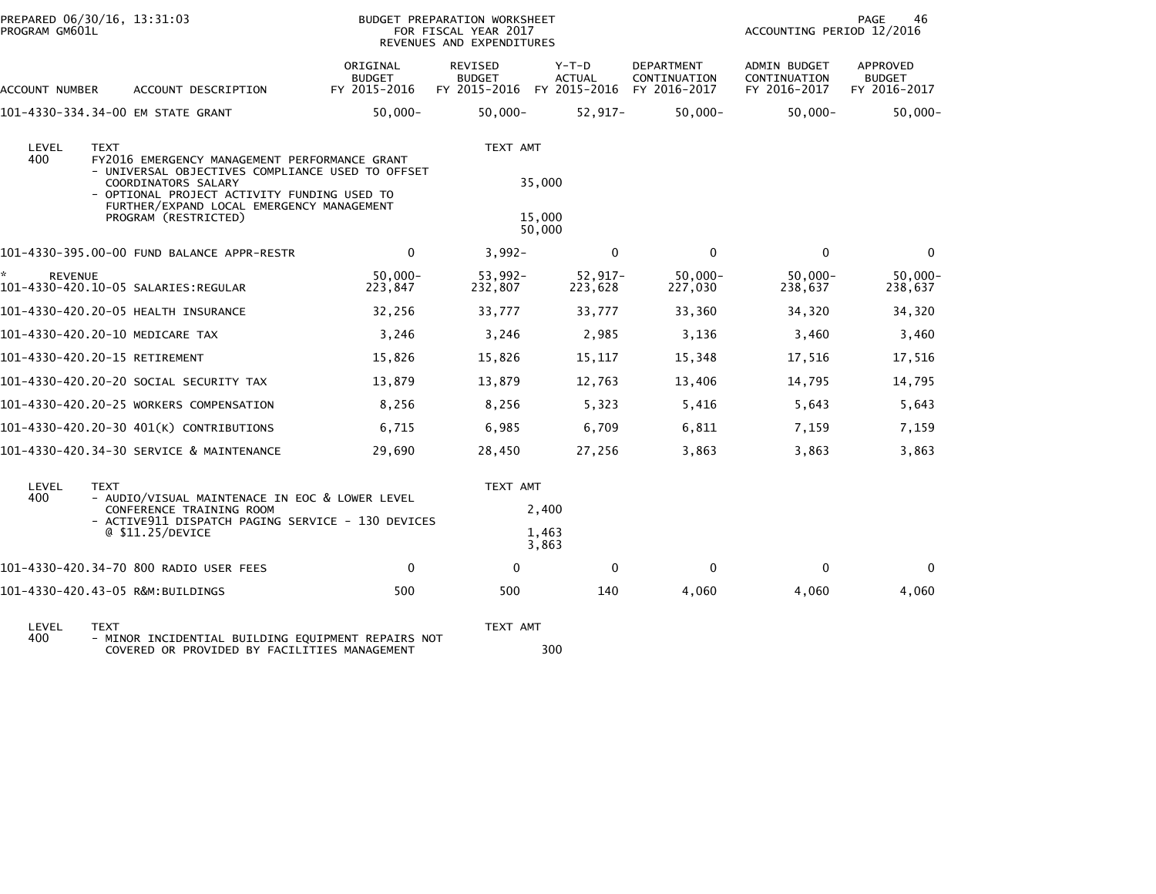| PROGRAM GM601L       | PREPARED 06/30/16, 13:31:03                                                                                                                                                                                                                                 |                                           | BUDGET PREPARATION WORKSHEET<br>FOR FISCAL YEAR 2017<br>REVENUES AND EXPENDITURES |                                        |                                            | ACCOUNTING PERIOD 12/2016                    | PAGE<br>46                                |
|----------------------|-------------------------------------------------------------------------------------------------------------------------------------------------------------------------------------------------------------------------------------------------------------|-------------------------------------------|-----------------------------------------------------------------------------------|----------------------------------------|--------------------------------------------|----------------------------------------------|-------------------------------------------|
| ACCOUNT NUMBER       | ACCOUNT DESCRIPTION                                                                                                                                                                                                                                         | ORIGINAL<br><b>BUDGET</b><br>FY 2015-2016 | REVISED<br><b>BUDGET</b><br>FY 2015-2016                                          | Y-T-D<br><b>ACTUAL</b><br>FY 2015-2016 | DEPARTMENT<br>CONTINUATION<br>FY 2016-2017 | ADMIN BUDGET<br>CONTINUATION<br>FY 2016-2017 | APPROVED<br><b>BUDGET</b><br>FY 2016-2017 |
|                      | 101-4330-334.34-00 EM STATE GRANT                                                                                                                                                                                                                           | $50,000 -$                                | $50,000 -$                                                                        | $52,917-$                              | $50,000 -$                                 | $50,000 -$                                   | $50,000 -$                                |
| LEVEL<br>400         | <b>TEXT</b><br>FY2016 EMERGENCY MANAGEMENT PERFORMANCE GRANT<br>- UNIVERSAL OBJECTIVES COMPLIANCE USED TO OFFSET<br>COORDINATORS SALARY<br>- OPTIONAL PROJECT ACTIVITY FUNDING USED TO<br>FURTHER/EXPAND LOCAL EMERGENCY MANAGEMENT<br>PROGRAM (RESTRICTED) |                                           | TEXT AMT                                                                          | 35,000<br>15,000                       |                                            |                                              |                                           |
|                      |                                                                                                                                                                                                                                                             |                                           |                                                                                   | 50,000                                 |                                            |                                              |                                           |
|                      | 101-4330-395.00-00 FUND BALANCE APPR-RESTR                                                                                                                                                                                                                  | $\mathbf 0$                               | $3,992-$                                                                          | $\mathbf 0$                            | $\mathbf 0$                                | 0                                            | $\mathbf{0}$                              |
| ÷.<br><b>REVENUE</b> |                                                                                                                                                                                                                                                             | $50,000 -$<br>223,847                     | 53,992-<br>232,807                                                                | 52,917-<br>223,628                     | $50,000 -$<br>227,030                      | $50,000 -$<br>238,637                        | $50,000 -$<br>238,637                     |
|                      | 101-4330-420.20-05 HEALTH INSURANCE                                                                                                                                                                                                                         | 32,256                                    | 33,777                                                                            | 33,777                                 | 33,360                                     | 34,320                                       | 34,320                                    |
|                      | 101-4330-420.20-10 MEDICARE TAX                                                                                                                                                                                                                             | 3,246                                     | 3,246                                                                             | 2,985                                  | 3,136                                      | 3,460                                        | 3,460                                     |
|                      | 101-4330-420.20-15 RETIREMENT                                                                                                                                                                                                                               | 15,826                                    | 15,826                                                                            | 15,117                                 | 15,348                                     | 17,516                                       | 17,516                                    |
|                      | 101-4330-420.20-20 SOCIAL SECURITY TAX                                                                                                                                                                                                                      | 13,879                                    | 13,879                                                                            | 12,763                                 | 13,406                                     | 14,795                                       | 14,795                                    |
|                      | 101-4330-420.20-25 WORKERS COMPENSATION                                                                                                                                                                                                                     | 8,256                                     | 8,256                                                                             | 5,323                                  | 5,416                                      | 5,643                                        | 5,643                                     |
|                      | 101-4330-420.20-30 401(K) CONTRIBUTIONS                                                                                                                                                                                                                     | 6,715                                     | 6,985                                                                             | 6,709                                  | 6,811                                      | 7,159                                        | 7,159                                     |
|                      | 101-4330-420.34-30 SERVICE & MAINTENANCE                                                                                                                                                                                                                    | 29,690                                    | 28,450                                                                            | 27,256                                 | 3,863                                      | 3,863                                        | 3,863                                     |
| LEVEL<br>400         | <b>TEXT</b><br>- AUDIO/VISUAL MAINTENACE IN EOC & LOWER LEVEL<br>CONFERENCE TRAINING ROOM<br>- ACTIVE911 DISPATCH PAGING SERVICE - 130 DEVICES                                                                                                              |                                           | TEXT AMT                                                                          | 2,400                                  |                                            |                                              |                                           |
|                      | @ \$11.25/DEVICE                                                                                                                                                                                                                                            |                                           |                                                                                   | 1,463<br>3,863                         |                                            |                                              |                                           |
|                      | 101-4330-420.34-70 800 RADIO USER FEES                                                                                                                                                                                                                      | $\mathbf 0$                               | 0                                                                                 | $\mathbf 0$                            | $\mathbf{0}$                               | $\mathbf{0}$                                 | $\Omega$                                  |
|                      | 101-4330-420.43-05 R&M:BUILDINGS                                                                                                                                                                                                                            | 500                                       | 500                                                                               | 140                                    | 4,060                                      | 4,060                                        | 4,060                                     |
|                      |                                                                                                                                                                                                                                                             |                                           |                                                                                   |                                        |                                            |                                              |                                           |

LEVEL TEXT TEXT AMT 400 - MINOR INCIDENTIAL BUILDING EQUIPMENT REPAIRS NOT COVERED OR PROVIDED BY FACILITIES MANAGEMENT 300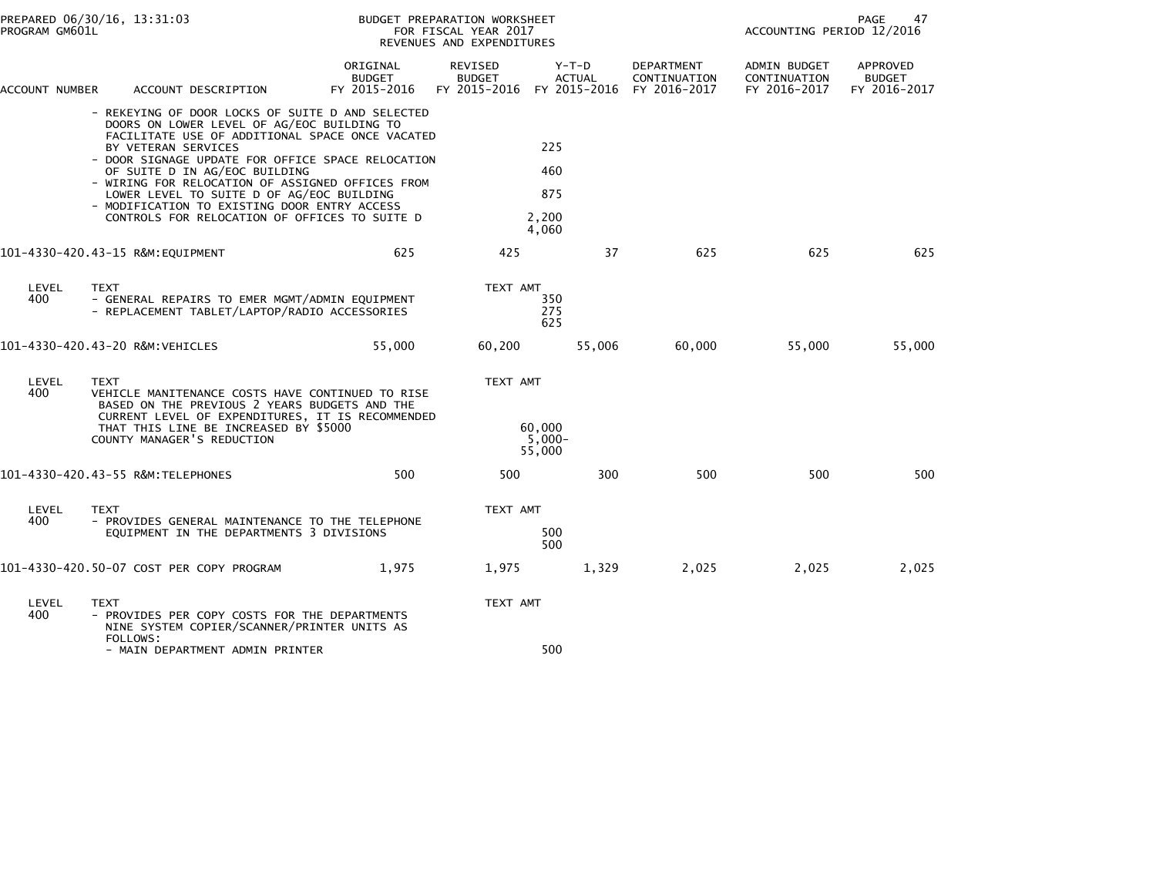| PROGRAM GM601L | PREPARED 06/30/16, 13:31:03                                                                                                                                                                                                                                                                                                                                                                                                                                      |                                           | BUDGET PREPARATION WORKSHEET<br>FOR FISCAL YEAR 2017<br>REVENUES AND EXPENDITURES |                                                           |                            | ACCOUNTING PERIOD 12/2016                    | PAGE<br>47                         |
|----------------|------------------------------------------------------------------------------------------------------------------------------------------------------------------------------------------------------------------------------------------------------------------------------------------------------------------------------------------------------------------------------------------------------------------------------------------------------------------|-------------------------------------------|-----------------------------------------------------------------------------------|-----------------------------------------------------------|----------------------------|----------------------------------------------|------------------------------------|
| ACCOUNT NUMBER | ACCOUNT DESCRIPTION                                                                                                                                                                                                                                                                                                                                                                                                                                              | ORIGINAL<br><b>BUDGET</b><br>FY 2015-2016 | REVISED<br><b>BUDGET</b>                                                          | Y-T-D<br>ACTUAL<br>FY 2015-2016 FY 2015-2016 FY 2016-2017 | DEPARTMENT<br>CONTINUATION | ADMIN BUDGET<br>CONTINUATION<br>FY 2016-2017 | APPROVED<br>BUDGET<br>FY 2016-2017 |
|                | - REKEYING OF DOOR LOCKS OF SUITE D AND SELECTED<br>DOORS ON LOWER LEVEL OF AG/EOC BUILDING TO<br>FACILITATE USE OF ADDITIONAL SPACE ONCE VACATED<br>BY VETERAN SERVICES<br>- DOOR SIGNAGE UPDATE FOR OFFICE SPACE RELOCATION<br>OF SUITE D IN AG/EOC BUILDING<br>- WIRING FOR RELOCATION OF ASSIGNED OFFICES FROM<br>LOWER LEVEL TO SUITE D OF AG/EOC BUILDING<br>- MODIFICATION TO EXISTING DOOR ENTRY ACCESS<br>CONTROLS FOR RELOCATION OF OFFICES TO SUITE D |                                           |                                                                                   | 225<br>460<br>875<br>2.200<br>4,060                       |                            |                                              |                                    |
|                | 101-4330-420.43-15 R&M:EQUIPMENT                                                                                                                                                                                                                                                                                                                                                                                                                                 | 625                                       | 425                                                                               | 37                                                        | 625                        | 625                                          | 625                                |
| LEVEL<br>400   | TEXT<br>- GENERAL REPAIRS TO EMER MGMT/ADMIN EQUIPMENT<br>- REPLACEMENT TABLET/LAPTOP/RADIO ACCESSORIES                                                                                                                                                                                                                                                                                                                                                          |                                           | TEXT AMT                                                                          | 350<br>275<br>625                                         |                            |                                              |                                    |
|                | 101-4330-420.43-20 R&M:VEHICLES                                                                                                                                                                                                                                                                                                                                                                                                                                  | 55,000                                    | 60,200                                                                            | 55,006                                                    | 60,000                     | 55,000                                       | 55,000                             |
| LEVEL<br>400   | <b>TEXT</b><br>VEHICLE MANITENANCE COSTS HAVE CONTINUED TO RISE<br>BASED ON THE PREVIOUS 2 YEARS BUDGETS AND THE<br>CURRENT LEVEL OF EXPENDITURES, IT IS RECOMMENDED<br>THAT THIS LINE BE INCREASED BY \$5000<br>COUNTY MANAGER'S REDUCTION                                                                                                                                                                                                                      |                                           | TEXT AMT                                                                          | 60.000<br>5,000-<br>55,000                                |                            |                                              |                                    |
|                |                                                                                                                                                                                                                                                                                                                                                                                                                                                                  | 500                                       | 500                                                                               | 300                                                       | 500                        | 500                                          | 500                                |
| LEVEL<br>400   | <b>TEXT</b><br>- PROVIDES GENERAL MAINTENANCE TO THE TELEPHONE<br>EQUIPMENT IN THE DEPARTMENTS 3 DIVISIONS                                                                                                                                                                                                                                                                                                                                                       |                                           | TEXT AMT                                                                          | 500<br>500                                                |                            |                                              |                                    |
|                | 101-4330-420.50-07 COST PER COPY PROGRAM                                                                                                                                                                                                                                                                                                                                                                                                                         | 1,975                                     | 1,975                                                                             | 1,329                                                     | 2,025                      | 2,025                                        | 2,025                              |
| LEVEL<br>400   | <b>TEXT</b><br>- PROVIDES PER COPY COSTS FOR THE DEPARTMENTS<br>NINE SYSTEM COPIER/SCANNER/PRINTER UNITS AS                                                                                                                                                                                                                                                                                                                                                      |                                           | TEXT AMT                                                                          |                                                           |                            |                                              |                                    |
|                | FOLLOWS:<br>- MAIN DEPARTMENT ADMIN PRINTER                                                                                                                                                                                                                                                                                                                                                                                                                      |                                           |                                                                                   | 500                                                       |                            |                                              |                                    |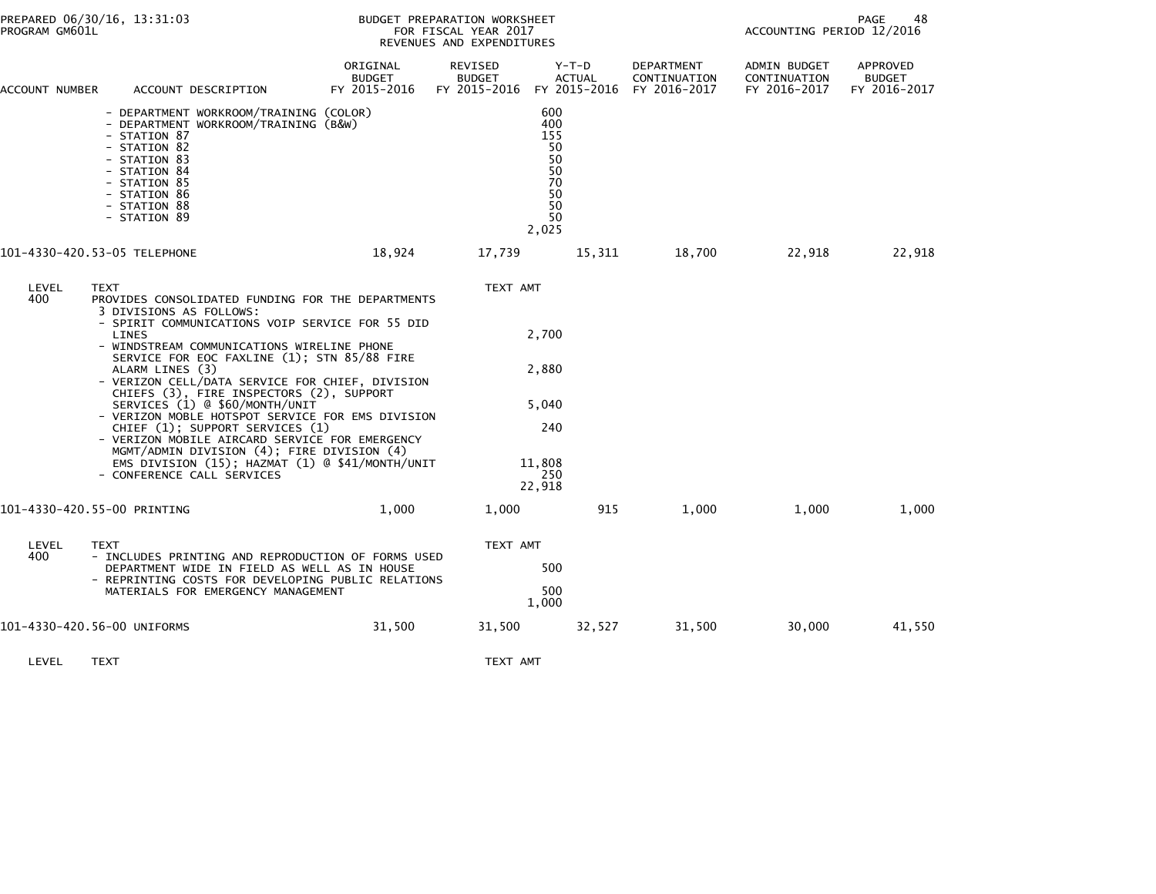| PREPARED 06/30/16, 13:31:03<br>PROGRAM GM601L                                                                                |                                                                                                                                                                                                                                                                                                                                                                                                                                                                                                                                                                                                                                            |                                           | BUDGET PREPARATION WORKSHEET<br>FOR FISCAL YEAR 2017<br>REVENUES AND EXPENDITURES |                                                                      | 48<br><b>PAGE</b><br>ACCOUNTING PERIOD 12/2016 |                                              |                                           |
|------------------------------------------------------------------------------------------------------------------------------|--------------------------------------------------------------------------------------------------------------------------------------------------------------------------------------------------------------------------------------------------------------------------------------------------------------------------------------------------------------------------------------------------------------------------------------------------------------------------------------------------------------------------------------------------------------------------------------------------------------------------------------------|-------------------------------------------|-----------------------------------------------------------------------------------|----------------------------------------------------------------------|------------------------------------------------|----------------------------------------------|-------------------------------------------|
| ACCOUNT NUMBER                                                                                                               | ACCOUNT DESCRIPTION                                                                                                                                                                                                                                                                                                                                                                                                                                                                                                                                                                                                                        | ORIGINAL<br><b>BUDGET</b><br>FY 2015-2016 | REVISED<br><b>BUDGET</b><br>FY 2015-2016 FY 2015-2016 FY 2016-2017                | Y-T-D<br><b>ACTUAL</b>                                               | DEPARTMENT<br>CONTINUATION                     | ADMIN BUDGET<br>CONTINUATION<br>FY 2016-2017 | APPROVED<br><b>BUDGET</b><br>FY 2016-2017 |
| - STATION 87<br>- STATION 82<br>- STATION 83<br>- STATION 84<br>- STATION 85<br>- STATION 86<br>- STATION 88<br>- STATION 89 | - DEPARTMENT WORKROOM/TRAINING (COLOR)<br>- DEPARTMENT WORKROOM/TRAINING (B&W)                                                                                                                                                                                                                                                                                                                                                                                                                                                                                                                                                             |                                           |                                                                                   | 600<br>400<br>155<br>50<br>50<br>50<br>70<br>50<br>50<br>50<br>2,025 |                                                |                                              |                                           |
| 101-4330-420.53-05 TELEPHONE                                                                                                 |                                                                                                                                                                                                                                                                                                                                                                                                                                                                                                                                                                                                                                            | 18,924                                    | 17,739                                                                            | 15,311                                                               | 18,700                                         | 22,918                                       | 22,918                                    |
| LEVEL<br><b>TEXT</b><br>400<br>LINES<br>ALARM LINES (3)                                                                      | PROVIDES CONSOLIDATED FUNDING FOR THE DEPARTMENTS<br>3 DIVISIONS AS FOLLOWS:<br>- SPIRIT COMMUNICATIONS VOIP SERVICE FOR 55 DID<br>- WINDSTREAM COMMUNICATIONS WIRELINE PHONE<br>SERVICE FOR EOC FAXLINE (1); STN 85/88 FIRE<br>- VERIZON CELL/DATA SERVICE FOR CHIEF, DIVISION<br>CHIEFS (3), FIRE INSPECTORS (2), SUPPORT<br>SERVICES (1) @ \$60/MONTH/UNIT<br>- VERIZON MOBLE HOTSPOT SERVICE FOR EMS DIVISION<br>CHIEF (1); SUPPORT SERVICES (1)<br>- VERIZON MOBILE AIRCARD SERVICE FOR EMERGENCY<br>MGMT/ADMIN DIVISION (4); FIRE DIVISION (4)<br>EMS DIVISION $(15)$ ; HAZMAT $(1)$ @ \$41/MONTH/UNIT<br>- CONFERENCE CALL SERVICES |                                           | TEXT AMT                                                                          | 2,700<br>2,880<br>5,040<br>240<br>11,808<br>250<br>22,918            |                                                |                                              |                                           |
| 101-4330-420.55-00 PRINTING                                                                                                  |                                                                                                                                                                                                                                                                                                                                                                                                                                                                                                                                                                                                                                            | 1,000                                     | 1,000                                                                             | 915                                                                  | 1,000                                          | 1,000                                        | 1,000                                     |
| LEVEL<br>TEXT<br>400                                                                                                         | - INCLUDES PRINTING AND REPRODUCTION OF FORMS USED<br>DEPARTMENT WIDE IN FIELD AS WELL AS IN HOUSE<br>- REPRINTING COSTS FOR DEVELOPING PUBLIC RELATIONS<br>MATERIALS FOR EMERGENCY MANAGEMENT                                                                                                                                                                                                                                                                                                                                                                                                                                             |                                           | TEXT AMT                                                                          | 500<br>500<br>1,000                                                  |                                                |                                              |                                           |
| 101-4330-420.56-00 UNIFORMS                                                                                                  |                                                                                                                                                                                                                                                                                                                                                                                                                                                                                                                                                                                                                                            | 31,500                                    | 31,500                                                                            | 32,527                                                               | 31,500                                         | 30,000                                       | 41,550                                    |

LEVEL TEXT TEXT AMT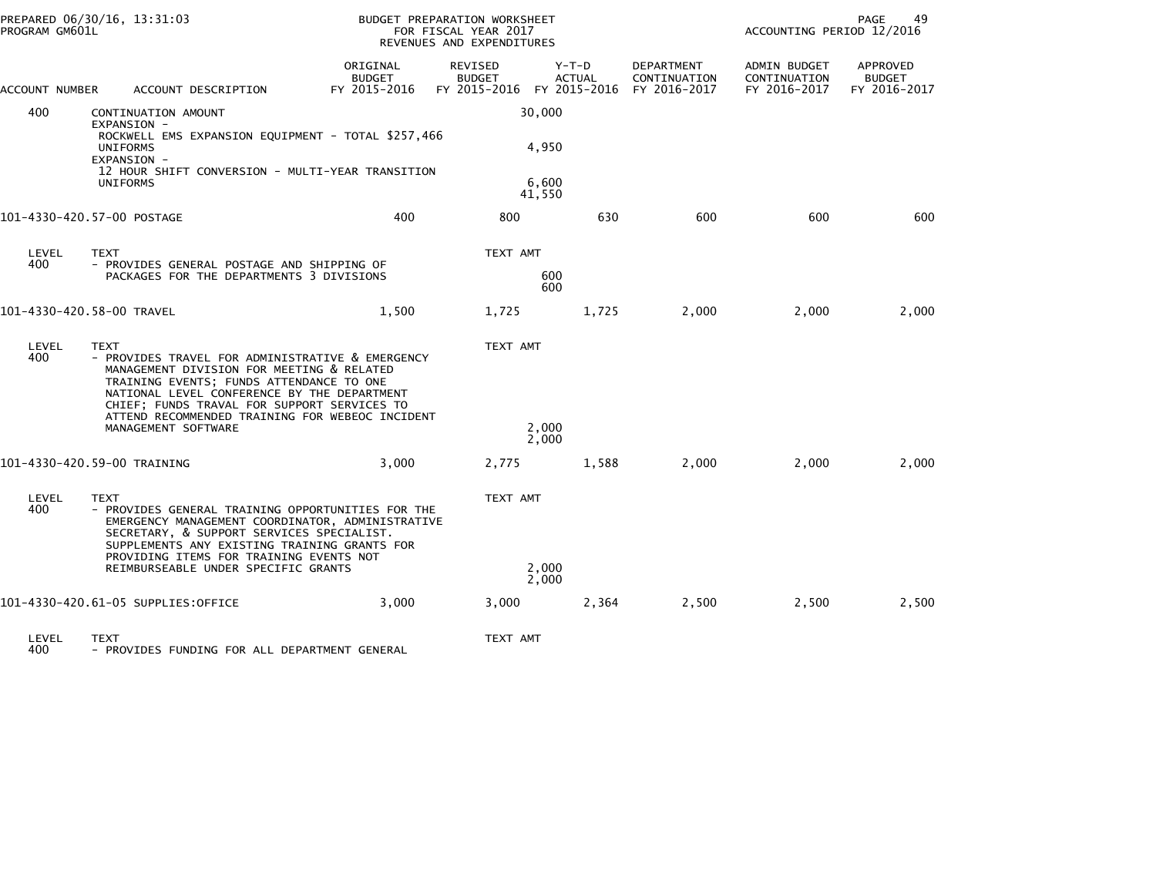| PROGRAM GM601L | PREPARED 06/30/16, 13:31:03                                                                                                                                                                                                                                                                               |                                           | BUDGET PREPARATION WORKSHEET<br>FOR FISCAL YEAR 2017<br>REVENUES AND EXPENDITURES |                        |                                   | ACCOUNTING PERIOD 12/2016                    | PAGE<br>49                                |
|----------------|-----------------------------------------------------------------------------------------------------------------------------------------------------------------------------------------------------------------------------------------------------------------------------------------------------------|-------------------------------------------|-----------------------------------------------------------------------------------|------------------------|-----------------------------------|----------------------------------------------|-------------------------------------------|
| ACCOUNT NUMBER | ACCOUNT DESCRIPTION                                                                                                                                                                                                                                                                                       | ORIGINAL<br><b>BUDGET</b><br>FY 2015-2016 | REVISED<br><b>BUDGET</b><br>FY 2015-2016 FY 2015-2016 FY 2016-2017                | Y-T-D<br><b>ACTUAL</b> | <b>DEPARTMENT</b><br>CONTINUATION | ADMIN BUDGET<br>CONTINUATION<br>FY 2016-2017 | APPROVED<br><b>BUDGET</b><br>FY 2016-2017 |
| 400            | CONTINUATION AMOUNT<br>EXPANSION -<br>ROCKWELL EMS EXPANSION EQUIPMENT - TOTAL \$257,466<br><b>UNIFORMS</b>                                                                                                                                                                                               |                                           |                                                                                   | 30,000<br>4,950        |                                   |                                              |                                           |
|                | EXPANSION -<br>12 HOUR SHIFT CONVERSION - MULTI-YEAR TRANSITION<br><b>UNIFORMS</b>                                                                                                                                                                                                                        |                                           |                                                                                   | 6,600<br>41,550        |                                   |                                              |                                           |
|                | 101-4330-420.57-00 POSTAGE                                                                                                                                                                                                                                                                                | 400                                       | 800                                                                               | 630                    | 600                               | 600                                          | 600                                       |
| LEVEL<br>400   | <b>TEXT</b><br>- PROVIDES GENERAL POSTAGE AND SHIPPING OF<br>PACKAGES FOR THE DEPARTMENTS 3 DIVISIONS                                                                                                                                                                                                     |                                           | TEXT AMT                                                                          | 600<br>600             |                                   |                                              |                                           |
|                | 101-4330-420.58-00 TRAVEL                                                                                                                                                                                                                                                                                 | 1,500                                     | 1,725                                                                             | 1,725                  | 2,000                             | 2,000                                        | 2,000                                     |
| LEVEL<br>400   | <b>TEXT</b><br>- PROVIDES TRAVEL FOR ADMINISTRATIVE & EMERGENCY<br>MANAGEMENT DIVISION FOR MEETING & RELATED<br>TRAINING EVENTS; FUNDS ATTENDANCE TO ONE<br>NATIONAL LEVEL CONFERENCE BY THE DEPARTMENT<br>CHIEF; FUNDS TRAVAL FOR SUPPORT SERVICES TO<br>ATTEND RECOMMENDED TRAINING FOR WEBEOC INCIDENT |                                           | TEXT AMT                                                                          |                        |                                   |                                              |                                           |
|                | MANAGEMENT SOFTWARE                                                                                                                                                                                                                                                                                       |                                           |                                                                                   | 2,000<br>2,000         |                                   |                                              |                                           |
|                | 101-4330-420.59-00 TRAINING                                                                                                                                                                                                                                                                               | 3.000                                     | 2,775                                                                             | 1,588                  | 2,000                             | 2,000                                        | 2,000                                     |
| LEVEL<br>400   | <b>TEXT</b><br>- PROVIDES GENERAL TRAINING OPPORTUNITIES FOR THE<br>EMERGENCY MANAGEMENT COORDINATOR, ADMINISTRATIVE<br>SECRETARY, & SUPPORT SERVICES SPECIALIST.<br>SUPPLEMENTS ANY EXISTING TRAINING GRANTS FOR<br>PROVIDING ITEMS FOR TRAINING EVENTS NOT                                              |                                           | TEXT AMT                                                                          |                        |                                   |                                              |                                           |
|                | REIMBURSEABLE UNDER SPECIFIC GRANTS                                                                                                                                                                                                                                                                       |                                           |                                                                                   | 2,000<br>2,000         |                                   |                                              |                                           |
|                | 101-4330-420.61-05 SUPPLIES:OFFICE                                                                                                                                                                                                                                                                        | 3,000                                     | 3,000                                                                             | 2,364                  | 2,500                             | 2,500                                        | 2,500                                     |
| LEVEL          | <b>TEXT</b>                                                                                                                                                                                                                                                                                               |                                           | TEXT AMT                                                                          |                        |                                   |                                              |                                           |

400 - PROVIDES FUNDING FOR ALL DEPARTMENT GENERAL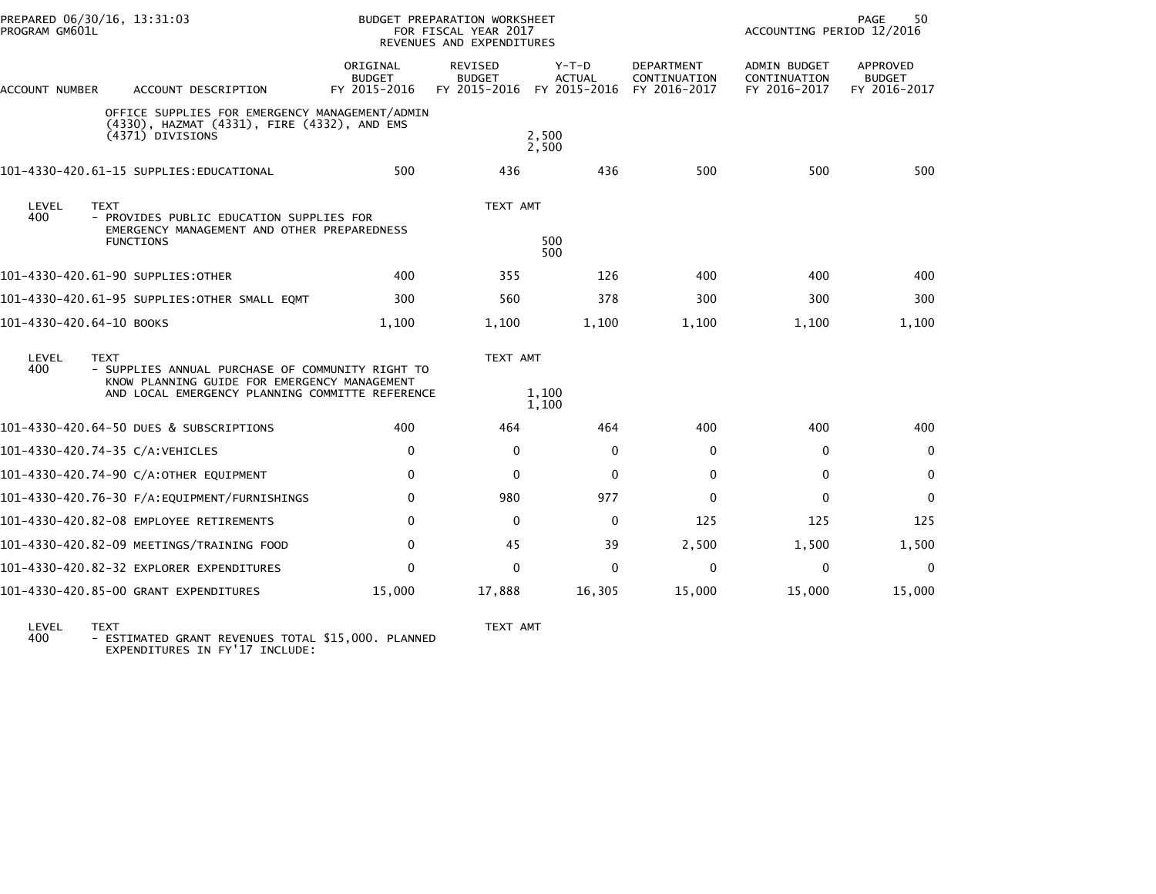|                                   | PREPARED 06/30/16, 13:31:03<br>PROGRAM GM601L |                                                                                                                                                     | BUDGET PREPARATION WORKSHEET<br>FOR FISCAL YEAR 2017<br>REVENUES AND EXPENDITURES |                                                       |                          |                                                   | <b>PAGE</b><br>50<br>ACCOUNTING PERIOD 12/2016      |                                                  |  |
|-----------------------------------|-----------------------------------------------|-----------------------------------------------------------------------------------------------------------------------------------------------------|-----------------------------------------------------------------------------------|-------------------------------------------------------|--------------------------|---------------------------------------------------|-----------------------------------------------------|--------------------------------------------------|--|
| ACCOUNT NUMBER                    |                                               | ACCOUNT DESCRIPTION                                                                                                                                 | ORIGINAL<br><b>BUDGET</b><br>FY 2015-2016                                         | REVISED<br><b>BUDGET</b><br>FY 2015-2016 FY 2015-2016 | $Y-T-D$<br><b>ACTUAL</b> | <b>DEPARTMENT</b><br>CONTINUATION<br>FY 2016-2017 | <b>ADMIN BUDGET</b><br>CONTINUATION<br>FY 2016-2017 | <b>APPROVED</b><br><b>BUDGET</b><br>FY 2016-2017 |  |
|                                   |                                               | OFFICE SUPPLIES FOR EMERGENCY MANAGEMENT/ADMIN<br>(4330), HAZMAT (4331), FIRE (4332), AND EMS<br>(4371) DIVISIONS                                   |                                                                                   |                                                       | 2,500<br>2,500           |                                                   |                                                     |                                                  |  |
|                                   |                                               | 101-4330-420.61-15 SUPPLIES:EDUCATIONAL                                                                                                             | 500                                                                               | 436                                                   | 436                      | 500                                               | 500                                                 | 500                                              |  |
| LEVEL<br>400                      | <b>TEXT</b><br><b>FUNCTIONS</b>               | - PROVIDES PUBLIC EDUCATION SUPPLIES FOR<br>EMERGENCY MANAGEMENT AND OTHER PREPAREDNESS                                                             |                                                                                   | TEXT AMT                                              | 500<br>500               |                                                   |                                                     |                                                  |  |
| 101–4330–420.61–90 SUPPLIES:OTHER |                                               |                                                                                                                                                     | 400                                                                               | 355                                                   | 126                      | 400                                               | 400                                                 | 400                                              |  |
|                                   |                                               | 101-4330-420.61-95 SUPPLIES:OTHER SMALL EQMT                                                                                                        | 300                                                                               | 560                                                   | 378                      | 300                                               | 300                                                 | 300                                              |  |
| 101-4330-420.64-10 BOOKS          |                                               |                                                                                                                                                     | 1,100                                                                             | 1,100                                                 | 1,100                    | 1,100                                             | 1,100                                               | 1,100                                            |  |
| LEVEL<br>400                      | <b>TEXT</b>                                   | - SUPPLIES ANNUAL PURCHASE OF COMMUNITY RIGHT TO<br>KNOW PLANNING GUIDE FOR EMERGENCY MANAGEMENT<br>AND LOCAL EMERGENCY PLANNING COMMITTE REFERENCE |                                                                                   | TEXT AMT                                              | 1,100<br>1,100           |                                                   |                                                     |                                                  |  |
|                                   |                                               | 101-4330-420.64-50 DUES & SUBSCRIPTIONS                                                                                                             | 400                                                                               | 464                                                   | 464                      | 400                                               | 400                                                 | 400                                              |  |
| 101-4330-420.74-35 C/A:VEHICLES   |                                               |                                                                                                                                                     | $\Omega$                                                                          | 0                                                     | $\mathbf{0}$             | $\Omega$                                          | $\mathbf{0}$                                        | 0                                                |  |
|                                   |                                               | 101-4330-420.74-90 C/A:OTHER EQUIPMENT                                                                                                              | $\Omega$                                                                          | $\Omega$                                              | $\mathbf{0}$             | $\Omega$                                          | $\mathbf{0}$                                        | $\mathbf 0$                                      |  |
|                                   |                                               |                                                                                                                                                     | $\mathbf{0}$                                                                      | 980                                                   | 977                      | $\Omega$                                          | $\Omega$                                            | 0                                                |  |
|                                   |                                               | 101-4330-420.82-08 EMPLOYEE RETIREMENTS                                                                                                             | $\mathbf{0}$                                                                      | $\mathbf{0}$                                          | $\mathbf{0}$             | 125                                               | 125                                                 | 125                                              |  |
|                                   |                                               | 101-4330-420.82-09 MEETINGS/TRAINING FOOD                                                                                                           | 0                                                                                 | 45                                                    | 39                       | 2,500                                             | 1,500                                               | 1,500                                            |  |
|                                   |                                               | 101-4330-420.82-32 EXPLORER EXPENDITURES                                                                                                            | $\Omega$                                                                          | $\Omega$                                              | $\Omega$                 | $\Omega$                                          | $\Omega$                                            | $\mathbf{0}$                                     |  |
|                                   |                                               | 101-4330-420.85-00 GRANT EXPENDITURES                                                                                                               | 15,000                                                                            | 17,888                                                | 16,305                   | 15,000                                            | 15,000                                              | 15,000                                           |  |

LEVEL TEXT TEXT AMT 400 - ESTIMATED GRANT REVENUES TOTAL \$15,000. PLANNED EXPENDITURES IN FY'17 INCLUDE: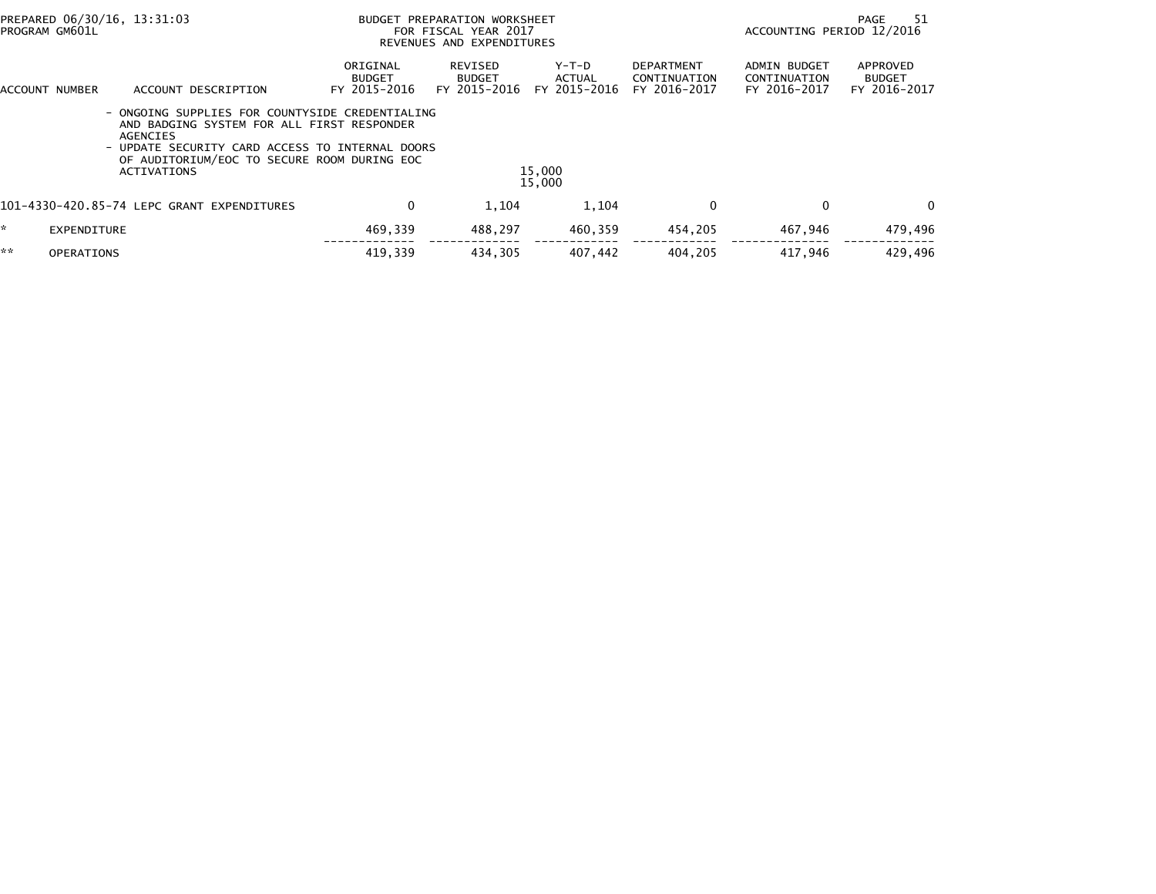| PREPARED 06/30/16, 13:31:03<br>PROGRAM GM601L |                          | BUDGET PREPARATION WORKSHEET<br>FOR FISCAL YEAR 2017<br>REVENUES AND EXPENDITURES                                                                                                                                               |                                           |                                          |                                 | -51<br>PAGE<br>ACCOUNTING PERIOD 12/2016          |                                                     |                                           |
|-----------------------------------------------|--------------------------|---------------------------------------------------------------------------------------------------------------------------------------------------------------------------------------------------------------------------------|-------------------------------------------|------------------------------------------|---------------------------------|---------------------------------------------------|-----------------------------------------------------|-------------------------------------------|
|                                               | ACCOUNT NUMBER           | ACCOUNT DESCRIPTION                                                                                                                                                                                                             | ORIGINAL<br><b>BUDGET</b><br>FY 2015-2016 | REVISED<br><b>BUDGET</b><br>FY 2015-2016 | Y-T-D<br>ACTUAL<br>FY 2015-2016 | <b>DEPARTMENT</b><br>CONTINUATION<br>FY 2016-2017 | <b>ADMIN BUDGET</b><br>CONTINUATION<br>FY 2016-2017 | APPROVED<br><b>BUDGET</b><br>FY 2016-2017 |
|                                               | $\overline{\phantom{a}}$ | - ONGOING SUPPLIES FOR COUNTYSIDE CREDENTIALING<br>AND BADGING SYSTEM FOR ALL FIRST RESPONDER<br>AGENCIES<br>UPDATE SECURITY CARD ACCESS TO INTERNAL DOORS<br>OF AUDITORIUM/EOC TO SECURE ROOM DURING EOC<br><b>ACTIVATIONS</b> |                                           |                                          | 15,000<br>15,000                |                                                   |                                                     |                                           |
|                                               |                          | 101-4330-420.85-74 LEPC GRANT EXPENDITURES                                                                                                                                                                                      | 0                                         | 1.104                                    | 1,104                           | $\Omega$                                          | $\mathbf{0}$                                        | $\Omega$                                  |
| $\mathcal{H}$                                 | EXPENDITURE              |                                                                                                                                                                                                                                 | 469,339                                   | 488,297                                  | 460.359                         | 454,205                                           | 467,946                                             | 479,496                                   |
| **                                            | <b>OPERATIONS</b>        |                                                                                                                                                                                                                                 | 419,339                                   | 434,305                                  | 407,442                         | 404,205                                           | 417,946                                             | 429,496                                   |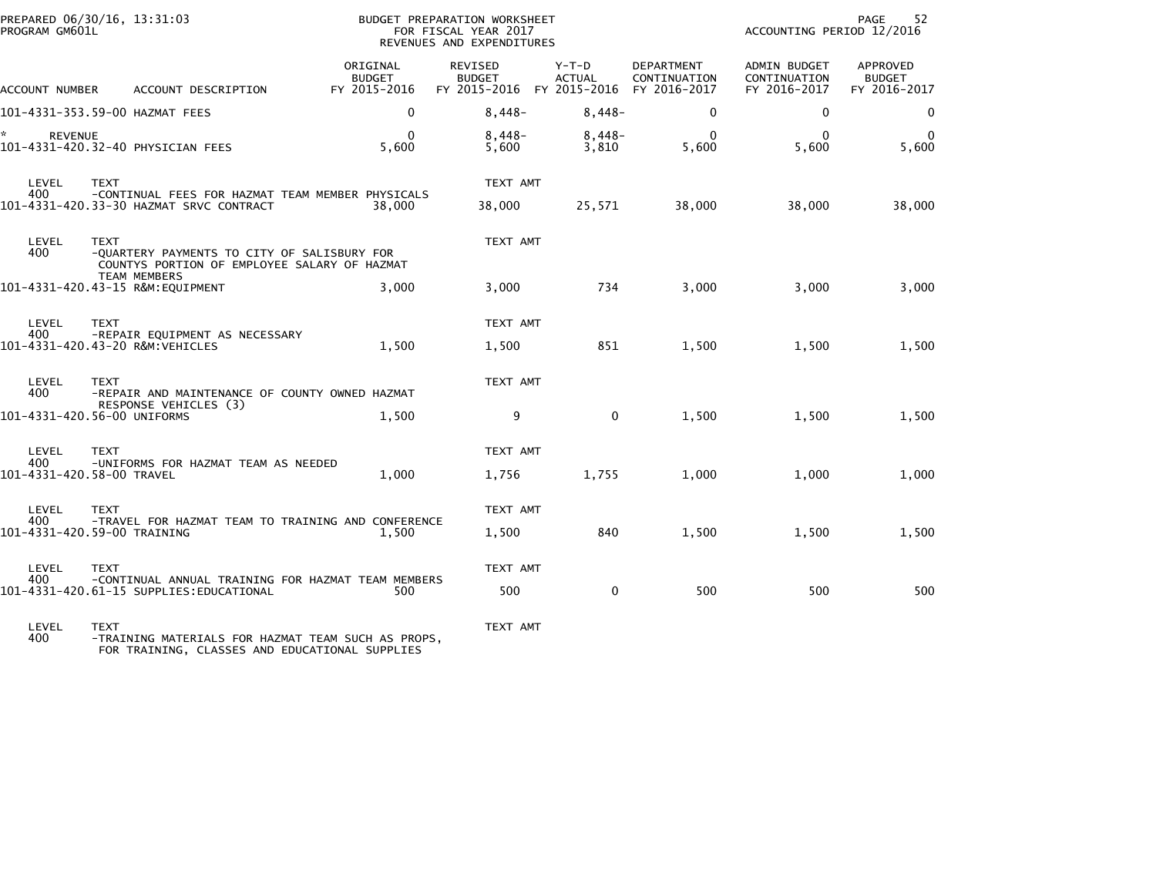| PROGRAM GM601L       | PREPARED 06/30/16, 13:31:03                                                                                |                                           | BUDGET PREPARATION WORKSHEET<br>FOR FISCAL YEAR 2017<br>REVENUES AND EXPENDITURES |                        |                            | 52<br>PAGE<br>ACCOUNTING PERIOD 12/2016      |                                                  |  |
|----------------------|------------------------------------------------------------------------------------------------------------|-------------------------------------------|-----------------------------------------------------------------------------------|------------------------|----------------------------|----------------------------------------------|--------------------------------------------------|--|
| ACCOUNT NUMBER       | ACCOUNT DESCRIPTION                                                                                        | ORIGINAL<br><b>BUDGET</b><br>FY 2015-2016 | REVISED<br><b>BUDGET</b><br>FY 2015-2016 FY 2015-2016 FY 2016-2017                | Y-T-D<br><b>ACTUAL</b> | DEPARTMENT<br>CONTINUATION | ADMIN BUDGET<br>CONTINUATION<br>FY 2016-2017 | <b>APPROVED</b><br><b>BUDGET</b><br>FY 2016-2017 |  |
|                      | 101-4331-353.59-00 HAZMAT FEES                                                                             | $\Omega$                                  | $8,448-$                                                                          | $8,448-$               | $\mathbf{0}$               | 0                                            | $\Omega$                                         |  |
| ×.<br><b>REVENUE</b> | 101-4331-420.32-40 PHYSICIAN FEES                                                                          | 0<br>5,600                                | $8,448-$<br>5,600                                                                 | $8,448-$<br>3,810      | $\Omega$<br>5,600          | $\mathbf{0}$<br>5,600                        | 5,600                                            |  |
| LEVEL                | <b>TEXT</b>                                                                                                |                                           | TEXT AMT                                                                          |                        |                            |                                              |                                                  |  |
| 400                  | -CONTINUAL FEES FOR HAZMAT TEAM MEMBER PHYSICALS<br>101-4331-420.33-30 HAZMAT SRVC CONTRACT                | 38.000                                    | 38,000                                                                            | 25,571                 | 38,000                     | 38,000                                       | 38,000                                           |  |
| LEVEL<br>400         | <b>TEXT</b><br>-QUARTERY PAYMENTS TO CITY OF SALISBURY FOR<br>COUNTYS PORTION OF EMPLOYEE SALARY OF HAZMAT |                                           | TEXT AMT                                                                          |                        |                            |                                              |                                                  |  |
|                      | <b>TEAM MEMBERS</b><br>101-4331-420.43-15 R&M:EQUIPMENT                                                    | 3.000                                     | 3.000                                                                             | 734                    | 3,000                      | 3,000                                        | 3,000                                            |  |
| LEVEL<br>400         | <b>TEXT</b><br>-REPAIR EQUIPMENT AS NECESSARY                                                              |                                           | TEXT AMT                                                                          |                        |                            |                                              |                                                  |  |
|                      | 101-4331-420.43-20 R&M:VEHICLES                                                                            | 1,500                                     | 1,500                                                                             | 851                    | 1,500                      | 1,500                                        | 1,500                                            |  |
| LEVEL<br>400         | <b>TEXT</b><br>-REPAIR AND MAINTENANCE OF COUNTY OWNED HAZMAT                                              |                                           | TEXT AMT                                                                          |                        |                            |                                              |                                                  |  |
|                      | RESPONSE VEHICLES (3)<br>101-4331-420.56-00 UNIFORMS                                                       | 1,500                                     | 9                                                                                 | $\mathbf 0$            | 1,500                      | 1,500                                        | 1,500                                            |  |
| LEVEL                | <b>TEXT</b>                                                                                                |                                           | TEXT AMT                                                                          |                        |                            |                                              |                                                  |  |
| 400.                 | -UNIFORMS FOR HAZMAT TEAM AS NEEDED<br>101-4331-420.58-00 TRAVEL                                           | 1,000                                     | 1,756                                                                             | 1,755                  | 1,000                      | 1,000                                        | 1,000                                            |  |
| LEVEL<br>400         | <b>TEXT</b><br>-TRAVEL FOR HAZMAT TEAM TO TRAINING AND CONFERENCE                                          |                                           | TEXT AMT                                                                          |                        |                            |                                              |                                                  |  |
|                      | 101-4331-420.59-00 TRAINING                                                                                | 1.500                                     | 1,500                                                                             | 840                    | 1,500                      | 1,500                                        | 1,500                                            |  |
| LEVEL<br>400         | <b>TEXT</b><br>-CONTINUAL ANNUAL TRAINING FOR HAZMAT TEAM MEMBERS                                          |                                           | TEXT AMT                                                                          |                        |                            |                                              |                                                  |  |
|                      | 101-4331-420.61-15 SUPPLIES:EDUCATIONAL                                                                    | 500                                       | 500                                                                               | $\mathbf 0$            | 500                        | 500                                          | 500                                              |  |
|                      |                                                                                                            |                                           |                                                                                   |                        |                            |                                              |                                                  |  |

LEVEL TEXT TEXT AMT 400 -TRAINING MATERIALS FOR HAZMAT TEAM SUCH AS PROPS, FOR TRAINING, CLASSES AND EDUCATIONAL SUPPLIES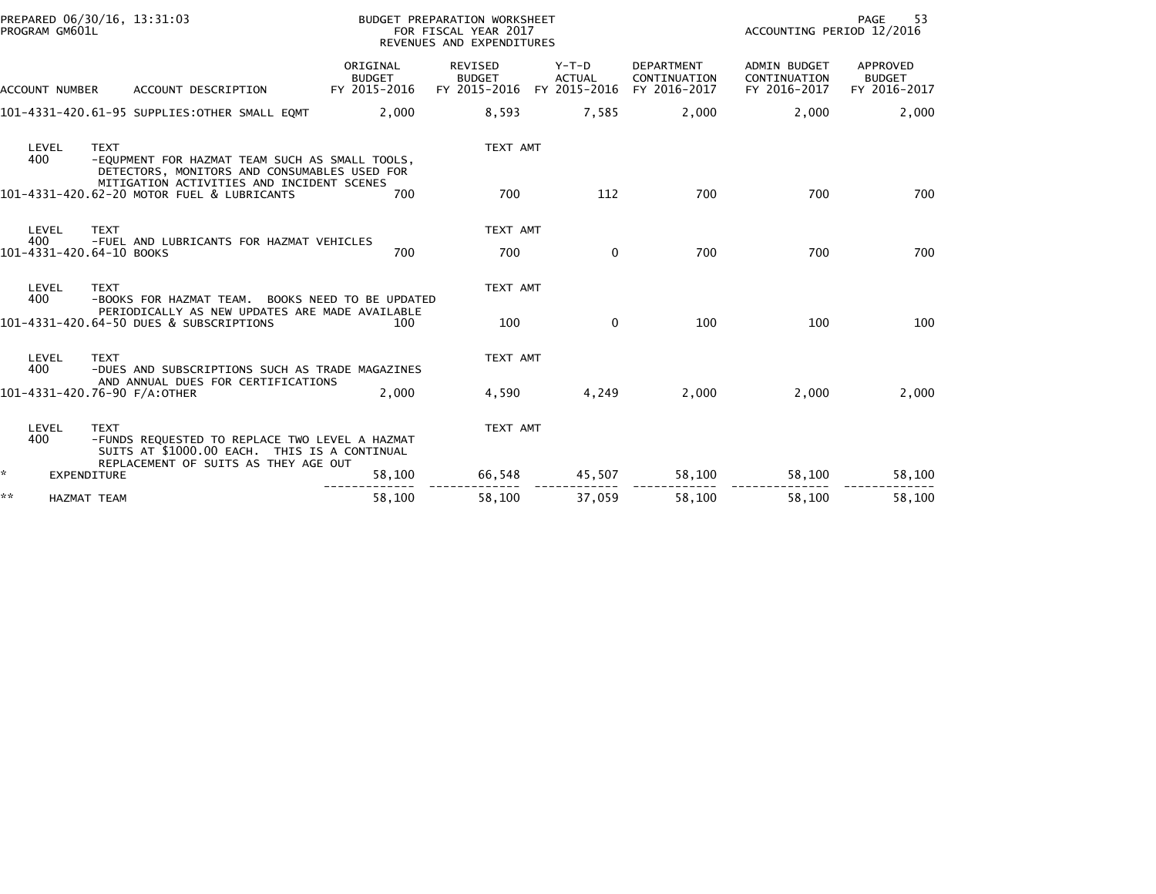|                     | PROGRAM GM601L        | PREPARED 06/30/16, 13:31:03                                                                                                                           |                                           | BUDGET PREPARATION WORKSHEET<br>FOR FISCAL YEAR 2017 | PAGE<br>53<br>ACCOUNTING PERIOD 12/2016  |                                                   |                                                     |                                           |  |
|---------------------|-----------------------|-------------------------------------------------------------------------------------------------------------------------------------------------------|-------------------------------------------|------------------------------------------------------|------------------------------------------|---------------------------------------------------|-----------------------------------------------------|-------------------------------------------|--|
|                     |                       |                                                                                                                                                       |                                           | REVENUES AND EXPENDITURES                            |                                          |                                                   |                                                     |                                           |  |
|                     | <b>ACCOUNT NUMBER</b> | ACCOUNT DESCRIPTION                                                                                                                                   | ORIGINAL<br><b>BUDGET</b><br>FY 2015-2016 | REVISED<br><b>BUDGET</b><br>FY 2015-2016             | $Y-T-D$<br><b>ACTUAL</b><br>FY 2015-2016 | <b>DEPARTMENT</b><br>CONTINUATION<br>FY 2016-2017 | <b>ADMIN BUDGET</b><br>CONTINUATION<br>FY 2016-2017 | APPROVED<br><b>BUDGET</b><br>FY 2016-2017 |  |
|                     |                       | 101-4331-420.61-95 SUPPLIES:OTHER SMALL EQMT                                                                                                          | 2,000                                     | 8,593                                                | 7,585                                    | 2,000                                             | 2,000                                               | 2,000                                     |  |
|                     | LEVEL<br>400          | <b>TEXT</b><br>-EQUPMENT FOR HAZMAT TEAM SUCH AS SMALL TOOLS,<br>DETECTORS, MONITORS AND CONSUMABLES USED FOR                                         |                                           | TEXT AMT                                             |                                          |                                                   |                                                     |                                           |  |
|                     |                       | MITIGATION ACTIVITIES AND INCIDENT SCENES<br>101-4331-420.62-20 MOTOR FUEL & LUBRICANTS                                                               | 700                                       | 700                                                  | 112                                      | 700                                               | 700                                                 | 700                                       |  |
|                     | LEVEL<br>400          | <b>TEXT</b><br>-FUEL AND LUBRICANTS FOR HAZMAT VEHICLES                                                                                               |                                           | TEXT AMT                                             |                                          |                                                   |                                                     |                                           |  |
|                     |                       | 101-4331-420.64-10 BOOKS                                                                                                                              | 700                                       | 700                                                  | $\mathbf{0}$                             | 700                                               | 700                                                 | 700                                       |  |
|                     | LEVEL<br>400          | <b>TEXT</b><br>-BOOKS FOR HAZMAT TEAM. BOOKS NEED TO BE UPDATED                                                                                       |                                           | TEXT AMT                                             |                                          |                                                   |                                                     |                                           |  |
|                     |                       | PERIODICALLY AS NEW UPDATES ARE MADE AVAILABLE<br>101-4331-420.64-50 DUES & SUBSCRIPTIONS                                                             | 100                                       | 100                                                  | $\mathbf{0}$                             | 100                                               | 100                                                 | 100                                       |  |
|                     | LEVEL<br>400          | <b>TEXT</b><br>-DUES AND SUBSCRIPTIONS SUCH AS TRADE MAGAZINES                                                                                        |                                           | TEXT AMT                                             |                                          |                                                   |                                                     |                                           |  |
|                     |                       | AND ANNUAL DUES FOR CERTIFICATIONS<br>101-4331-420.76-90 F/A:OTHER                                                                                    | 2.000                                     | 4,590                                                | 4,249                                    | 2,000                                             | 2,000                                               | 2,000                                     |  |
|                     | LEVEL<br>400          | <b>TEXT</b><br>-FUNDS REQUESTED TO REPLACE TWO LEVEL A HAZMAT<br>SUITS AT \$1000.00 EACH. THIS IS A CONTINUAL<br>REPLACEMENT OF SUITS AS THEY AGE OUT |                                           | TEXT AMT                                             |                                          |                                                   |                                                     |                                           |  |
| $\mathcal{H}^{\pm}$ | EXPENDITURE           |                                                                                                                                                       | 58,100                                    | 66,548                                               | 45,507                                   | 58,100                                            | 58,100                                              | 58,100                                    |  |
| **                  | <b>HAZMAT TEAM</b>    |                                                                                                                                                       | 58,100                                    | 58,100                                               | 37,059                                   | 58,100                                            | 58,100                                              | 58,100                                    |  |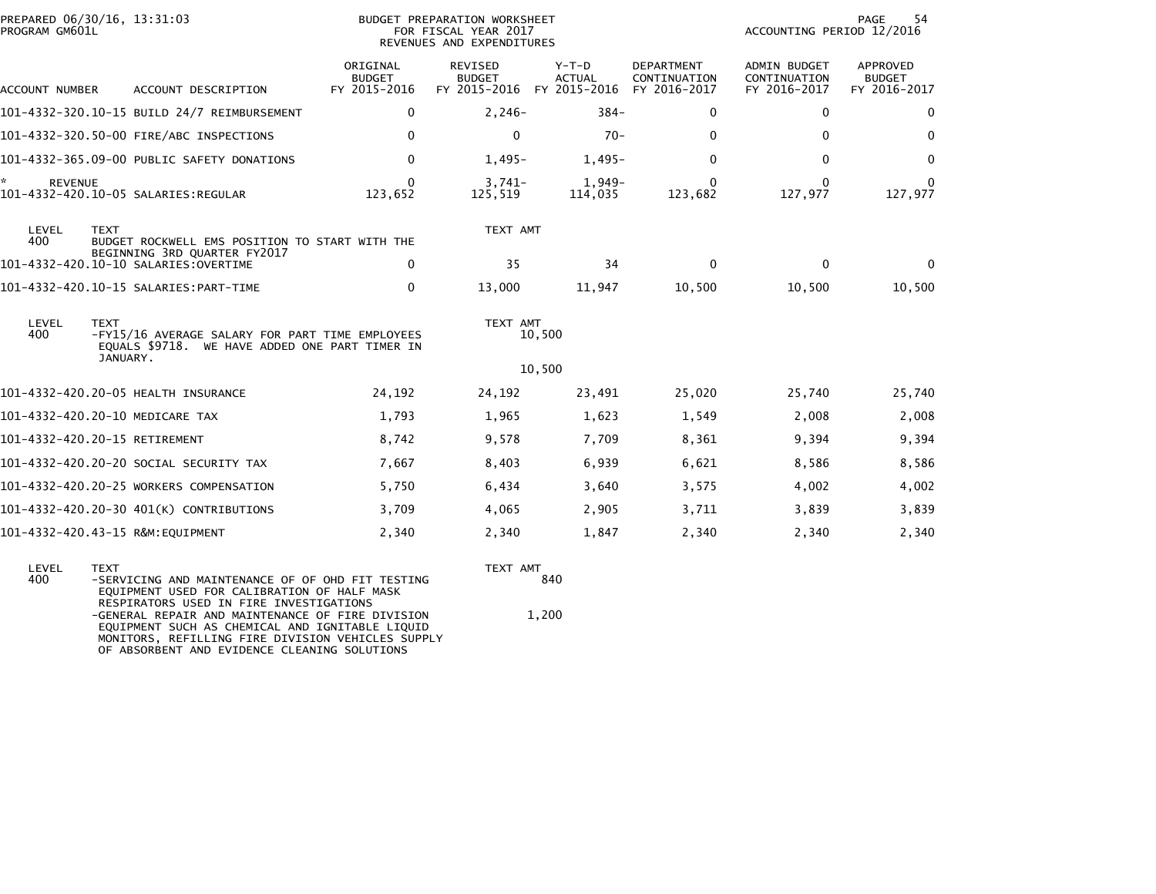| PREPARED 06/30/16, 13:31:03<br>PROGRAM GM601L |             |                                                                                                   |                                           | BUDGET PREPARATION WORKSHEET<br>FOR FISCAL YEAR 2017<br>REVENUES AND EXPENDITURES | 54<br>PAGE<br>ACCOUNTING PERIOD 12/2016 |                                                   |                                              |                                           |
|-----------------------------------------------|-------------|---------------------------------------------------------------------------------------------------|-------------------------------------------|-----------------------------------------------------------------------------------|-----------------------------------------|---------------------------------------------------|----------------------------------------------|-------------------------------------------|
| ACCOUNT NUMBER                                |             | ACCOUNT DESCRIPTION                                                                               | ORIGINAL<br><b>BUDGET</b><br>FY 2015-2016 | REVISED<br><b>BUDGET</b><br>FY 2015-2016 FY 2015-2016                             | $Y-T-D$<br><b>ACTUAL</b>                | <b>DEPARTMENT</b><br>CONTINUATION<br>FY 2016-2017 | ADMIN BUDGET<br>CONTINUATION<br>FY 2016-2017 | APPROVED<br><b>BUDGET</b><br>FY 2016-2017 |
|                                               |             | 101-4332-320.10-15 BUILD 24/7 REIMBURSEMENT                                                       | $\mathbf{0}$                              | $2,246-$                                                                          | $384 -$                                 | $\mathbf{0}$                                      | $\mathbf{0}$                                 | $\Omega$                                  |
|                                               |             | 101-4332-320.50-00 FIRE/ABC INSPECTIONS                                                           | $\mathbf{0}$                              | $\Omega$                                                                          | $70-$                                   | $\mathbf{0}$                                      | $\Omega$                                     | $\Omega$                                  |
|                                               |             | 101-4332-365.09-00 PUBLIC SAFETY DONATIONS                                                        | $\mathbf{0}$                              | $1,495-$                                                                          | $1,495-$                                | $\Omega$                                          | $\mathbf{0}$                                 | $\mathbf{0}$                              |
| ÷.<br><b>REVENUE</b>                          |             |                                                                                                   | 0<br>123,652                              | $3,741-$<br>125,519                                                               | $1,949-$<br>114,035                     | $\Omega$<br>123,682                               | $\mathbf{0}$<br>127,977                      | 0<br>127,977                              |
| LEVEL<br>400                                  | <b>TEXT</b> | BUDGET ROCKWELL EMS POSITION TO START WITH THE<br>BEGINNING 3RD QUARTER FY2017                    |                                           | TEXT AMT                                                                          |                                         |                                                   |                                              |                                           |
|                                               |             |                                                                                                   | $\Omega$                                  | 35                                                                                | 34                                      | $\mathbf{0}$                                      | $\Omega$                                     | $\Omega$                                  |
|                                               |             |                                                                                                   | $\mathbf{0}$                              | 13,000                                                                            | 11,947                                  | 10,500                                            | 10,500                                       | 10,500                                    |
| LEVEL<br>400                                  | <b>TEXT</b> | -FY15/16 AVERAGE SALARY FOR PART TIME EMPLOYEES<br>EQUALS \$9718. WE HAVE ADDED ONE PART TIMER IN |                                           | TEXT AMT                                                                          | 10,500                                  |                                                   |                                              |                                           |
|                                               | JANUARY.    |                                                                                                   |                                           |                                                                                   | 10,500                                  |                                                   |                                              |                                           |
|                                               |             | 101-4332-420.20-05 HEALTH INSURANCE                                                               | 24,192                                    | 24,192                                                                            | 23,491                                  | 25,020                                            | 25,740                                       | 25,740                                    |
|                                               |             | 101-4332-420.20-10 MEDICARE TAX                                                                   | 1,793                                     | 1,965                                                                             | 1,623                                   | 1,549                                             | 2,008                                        | 2,008                                     |
| 101-4332-420.20-15 RETIREMENT                 |             |                                                                                                   | 8,742                                     | 9,578                                                                             | 7,709                                   | 8,361                                             | 9,394                                        | 9,394                                     |
|                                               |             | 101-4332-420.20-20 SOCIAL SECURITY TAX                                                            | 7,667                                     | 8,403                                                                             | 6,939                                   | 6,621                                             | 8,586                                        | 8,586                                     |
|                                               |             | 101-4332-420.20-25 WORKERS COMPENSATION                                                           | 5,750                                     | 6,434                                                                             | 3,640                                   | 3,575                                             | 4,002                                        | 4,002                                     |
|                                               |             | 101-4332-420.20-30 401(K) CONTRIBUTIONS                                                           | 3,709                                     | 4,065                                                                             | 2,905                                   | 3,711                                             | 3,839                                        | 3,839                                     |
|                                               |             | 101-4332-420.43-15 R&M:EQUIPMENT                                                                  | 2,340                                     | 2,340                                                                             | 1,847                                   | 2,340                                             | 2,340                                        | 2,340                                     |
| LEVEL                                         | <b>TEXT</b> |                                                                                                   |                                           | TEXT AMT                                                                          |                                         |                                                   |                                              |                                           |

| ----- |                                                   | .     |
|-------|---------------------------------------------------|-------|
| 400   | -SERVICING AND MAINTENANCE OF OF OHD FIT TESTING  | 840   |
|       | EOUIPMENT USED FOR CALIBRATION OF HALF MASK       |       |
|       | RESPIRATORS USED IN FIRE INVESTIGATIONS           |       |
|       | -GENERAL REPAIR AND MAINTENANCE OF FIRE DIVISION  | 1.200 |
|       | EOUIPMENT SUCH AS CHEMICAL AND IGNITABLE LIOUID   |       |
|       | MONITORS. REFILLING FIRE DIVISION VEHICLES SUPPLY |       |
|       | OF ABSORBENT AND EVIDENCE CLEANING SOLUTIONS      |       |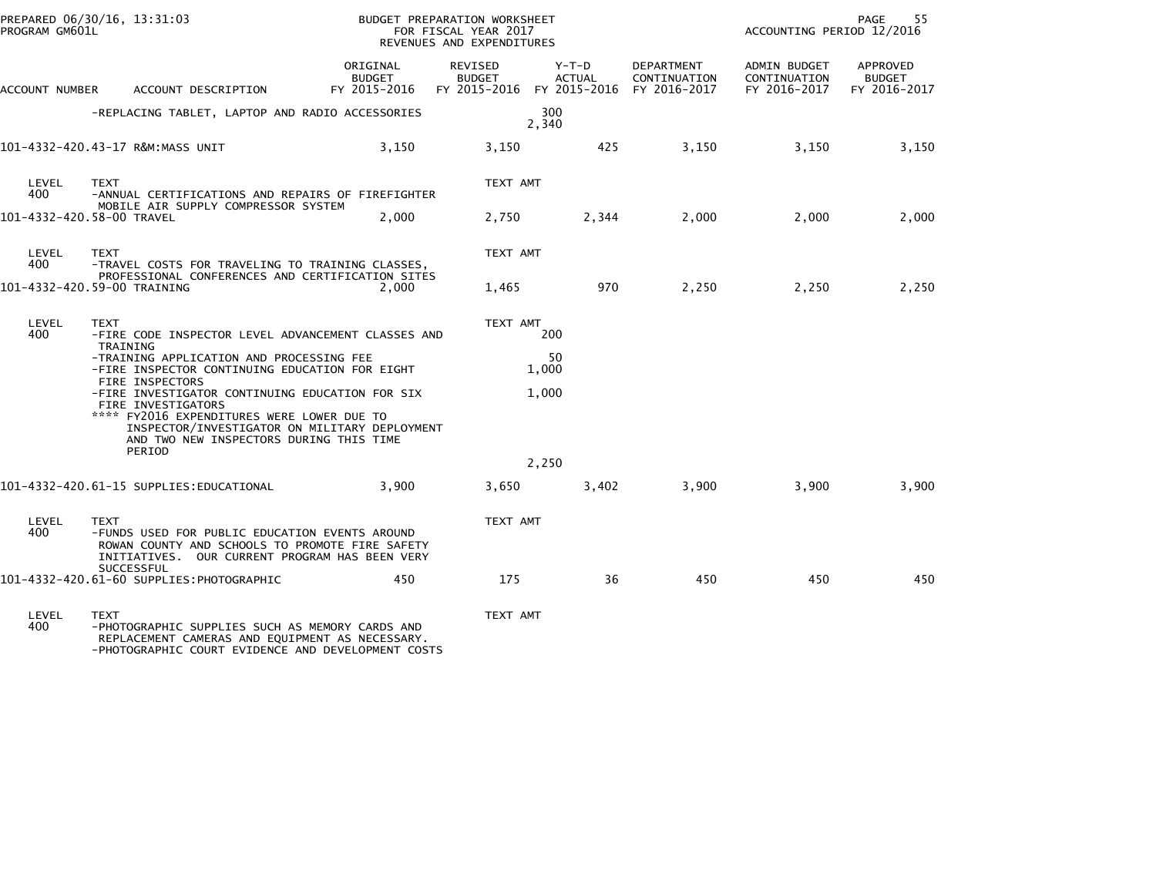| PROGRAM GM601L | PREPARED 06/30/16, 13:31:03                                                                                                                                                                                               |                                    | BUDGET PREPARATION WORKSHEET<br>FOR FISCAL YEAR 2017<br>REVENUES AND EXPENDITURES |                 |                            | ACCOUNTING PERIOD 12/2016                    | 55<br>PAGE                         |
|----------------|---------------------------------------------------------------------------------------------------------------------------------------------------------------------------------------------------------------------------|------------------------------------|-----------------------------------------------------------------------------------|-----------------|----------------------------|----------------------------------------------|------------------------------------|
| ACCOUNT NUMBER | ACCOUNT DESCRIPTION                                                                                                                                                                                                       | ORIGINAL<br>BUDGET<br>FY 2015-2016 | REVISED<br><b>BUDGET</b><br>FY 2015-2016 FY 2015-2016 FY 2016-2017                | Y-T-D<br>ACTUAL | DEPARTMENT<br>CONTINUATION | ADMIN BUDGET<br>CONTINUATION<br>FY 2016-2017 | APPROVED<br>BUDGET<br>FY 2016-2017 |
|                | -REPLACING TABLET, LAPTOP AND RADIO ACCESSORIES                                                                                                                                                                           |                                    |                                                                                   | 300<br>2,340    |                            |                                              |                                    |
|                | 101-4332-420.43-17 R&M:MASS UNIT                                                                                                                                                                                          | 3,150                              | 3,150                                                                             | 425             | 3,150                      | 3,150                                        | 3,150                              |
| LEVEL<br>400   | <b>TEXT</b><br>-ANNUAL CERTIFICATIONS AND REPAIRS OF FIREFIGHTER                                                                                                                                                          |                                    | TEXT AMT                                                                          |                 |                            |                                              |                                    |
|                | MOBILE AIR SUPPLY COMPRESSOR SYSTEM<br>101-4332-420.58-00 TRAVEL                                                                                                                                                          | 2,000                              | 2,750                                                                             | 2,344           | 2,000                      | 2,000                                        | 2,000                              |
| LEVEL<br>400   | <b>TEXT</b><br>-TRAVEL COSTS FOR TRAVELING TO TRAINING CLASSES,<br>PROFESSIONAL CONFERENCES AND CERTIFICATION SITES                                                                                                       |                                    | TEXT AMT                                                                          |                 |                            |                                              |                                    |
|                | 101-4332-420.59-00 TRAINING                                                                                                                                                                                               | 2.000                              | 1,465                                                                             | 970             | 2,250                      | 2,250                                        | 2,250                              |
| LEVEL<br>400   | <b>TEXT</b><br>-FIRE CODE INSPECTOR LEVEL ADVANCEMENT CLASSES AND<br>TRAINING<br>-TRAINING APPLICATION AND PROCESSING FEE                                                                                                 |                                    | TEXT AMT                                                                          | 200<br>50       |                            |                                              |                                    |
|                | -FIRE INSPECTOR CONTINUING EDUCATION FOR EIGHT<br><b>FIRE INSPECTORS</b>                                                                                                                                                  |                                    |                                                                                   | 1,000           |                            |                                              |                                    |
|                | -FIRE INVESTIGATOR CONTINUING EDUCATION FOR SIX<br>FIRE INVESTIGATORS<br>**** FY2016 EXPENDITURES WERE LOWER DUE TO<br>INSPECTOR/INVESTIGATOR ON MILITARY DEPLOYMENT<br>AND TWO NEW INSPECTORS DURING THIS TIME<br>PERIOD |                                    |                                                                                   | 1.000           |                            |                                              |                                    |
|                |                                                                                                                                                                                                                           |                                    |                                                                                   | 2,250           |                            |                                              |                                    |
|                | 101-4332-420.61-15 SUPPLIES:EDUCATIONAL                                                                                                                                                                                   | 3.900                              | 3,650                                                                             | 3,402           | 3,900                      | 3.900                                        | 3,900                              |
| LEVEL<br>400   | <b>TEXT</b><br>-FUNDS USED FOR PUBLIC EDUCATION EVENTS AROUND<br>ROWAN COUNTY AND SCHOOLS TO PROMOTE FIRE SAFETY<br>INITIATIVES. OUR CURRENT PROGRAM HAS BEEN VERY<br>SUCCESSFUL                                          |                                    | TEXT AMT                                                                          |                 |                            |                                              |                                    |
|                | 101-4332-420.61-60 SUPPLIES:PHOTOGRAPHIC                                                                                                                                                                                  | 450                                | 175                                                                               | 36              | 450                        | 450                                          | 450                                |
| LEVEL<br>400   | <b>TEXT</b><br>-PHOTOGRAPHIC SUPPLIES SUCH AS MEMORY CARDS AND                                                                                                                                                            |                                    | TEXT AMT                                                                          |                 |                            |                                              |                                    |

400 -PHOTOGRAPHIC SUPPLIES SUCH AS MEMORY CARDS AND REPLACEMENT CAMERAS AND EQUIPMENT AS NECESSARY. -PHOTOGRAPHIC COURT EVIDENCE AND DEVELOPMENT COSTS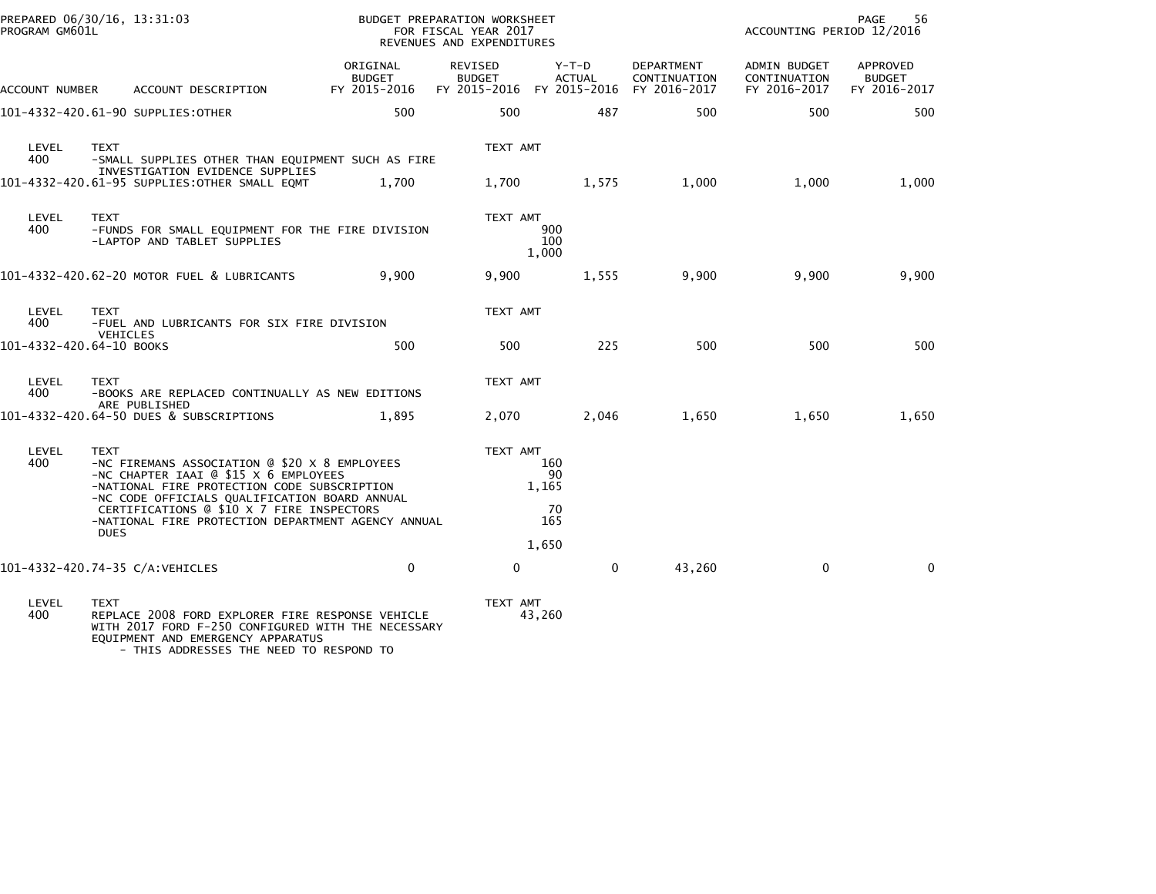| PROGRAM GM601L        | PREPARED 06/30/16, 13:31:03          |                                                                                                                                                                                                                                     |                                           | BUDGET PREPARATION WORKSHEET<br>FOR FISCAL YEAR 2017<br>REVENUES AND EXPENDITURES |                                                                    |                                   | ACCOUNTING PERIOD 12/2016                    | PAGE<br>56                                       |
|-----------------------|--------------------------------------|-------------------------------------------------------------------------------------------------------------------------------------------------------------------------------------------------------------------------------------|-------------------------------------------|-----------------------------------------------------------------------------------|--------------------------------------------------------------------|-----------------------------------|----------------------------------------------|--------------------------------------------------|
| <b>ACCOUNT NUMBER</b> |                                      | ACCOUNT DESCRIPTION                                                                                                                                                                                                                 | ORIGINAL<br><b>BUDGET</b><br>FY 2015-2016 | <b>REVISED</b><br><b>BUDGET</b>                                                   | $Y-T-D$<br><b>ACTUAL</b><br>FY 2015-2016 FY 2015-2016 FY 2016-2017 | <b>DEPARTMENT</b><br>CONTINUATION | ADMIN BUDGET<br>CONTINUATION<br>FY 2016-2017 | <b>APPROVED</b><br><b>BUDGET</b><br>FY 2016-2017 |
|                       |                                      | 101-4332-420.61-90 SUPPLIES: OTHER                                                                                                                                                                                                  | 500                                       | 500                                                                               | 487                                                                | 500                               | 500                                          | 500                                              |
| LEVEL<br>400          | <b>TEXT</b>                          | -SMALL SUPPLIES OTHER THAN EQUIPMENT SUCH AS FIRE<br>INVESTIGATION EVIDENCE SUPPLIES<br>101-4332-420.61-95 SUPPLIES: OTHER SMALL EQMT                                                                                               | 1.700                                     | TEXT AMT<br>1,700                                                                 | 1,575                                                              | 1,000                             | 1,000                                        | 1,000                                            |
|                       |                                      |                                                                                                                                                                                                                                     |                                           |                                                                                   |                                                                    |                                   |                                              |                                                  |
| LEVEL<br>400          | <b>TEXT</b>                          | -FUNDS FOR SMALL EQUIPMENT FOR THE FIRE DIVISION<br>-LAPTOP AND TABLET SUPPLIES                                                                                                                                                     |                                           | TEXT AMT                                                                          | 900<br>100<br>1,000                                                |                                   |                                              |                                                  |
|                       |                                      | 101-4332-420.62-20 MOTOR FUEL & LUBRICANTS                                                                                                                                                                                          | 9,900                                     | 9,900                                                                             | 1,555                                                              | 9,900                             | 9,900                                        | 9,900                                            |
| LEVEL<br>400          | <b>TEXT</b>                          | -FUEL AND LUBRICANTS FOR SIX FIRE DIVISION                                                                                                                                                                                          |                                           | TEXT AMT                                                                          |                                                                    |                                   |                                              |                                                  |
|                       | VEHICLES<br>101-4332-420.64-10 BOOKS |                                                                                                                                                                                                                                     | 500                                       | 500                                                                               | 225                                                                | 500                               | 500                                          | 500                                              |
| LEVEL<br>400          | <b>TEXT</b>                          | -BOOKS ARE REPLACED CONTINUALLY AS NEW EDITIONS                                                                                                                                                                                     |                                           | TEXT AMT                                                                          |                                                                    |                                   |                                              |                                                  |
|                       |                                      | ARE PUBLISHED<br>101-4332-420.64-50 DUES & SUBSCRIPTIONS                                                                                                                                                                            | 1.895                                     | 2,070                                                                             | 2,046                                                              | 1,650                             | 1,650                                        | 1,650                                            |
| LEVEL<br>400          | <b>TEXT</b>                          | -NC FIREMANS ASSOCIATION @ \$20 X 8 EMPLOYEES<br>-NC CHAPTER IAAI @ \$15 X 6 EMPLOYEES<br>-NATIONAL FIRE PROTECTION CODE SUBSCRIPTION<br>-NC CODE OFFICIALS QUALIFICATION BOARD ANNUAL<br>CERTIFICATIONS @ \$10 X 7 FIRE INSPECTORS |                                           | TEXT AMT                                                                          | 160<br>90<br>1,165<br>70                                           |                                   |                                              |                                                  |
|                       | <b>DUES</b>                          | -NATIONAL FIRE PROTECTION DEPARTMENT AGENCY ANNUAL                                                                                                                                                                                  |                                           |                                                                                   | 165                                                                |                                   |                                              |                                                  |
|                       |                                      | 101-4332-420.74-35 C/A: VEHICLES                                                                                                                                                                                                    | $\mathbf 0$                               | $\mathbf{0}$                                                                      | 1,650<br>$\mathbf{0}$                                              | 43,260                            | $\mathbf 0$                                  | $\mathbf 0$                                      |
|                       |                                      |                                                                                                                                                                                                                                     |                                           |                                                                                   |                                                                    |                                   |                                              |                                                  |
| LEVEL<br>400          | <b>TEXT</b>                          | REPLACE 2008 FORD EXPLORER FIRE RESPONSE VEHICLE<br>WITH 2017 FORD F-250 CONFIGURED WITH THE NECESSARY                                                                                                                              |                                           | TEXT AMT                                                                          | 43,260                                                             |                                   |                                              |                                                  |

EQUIPMENT AND EMERGENCY APPARATUS - THIS ADDRESSES THE NEED TO RESPOND TO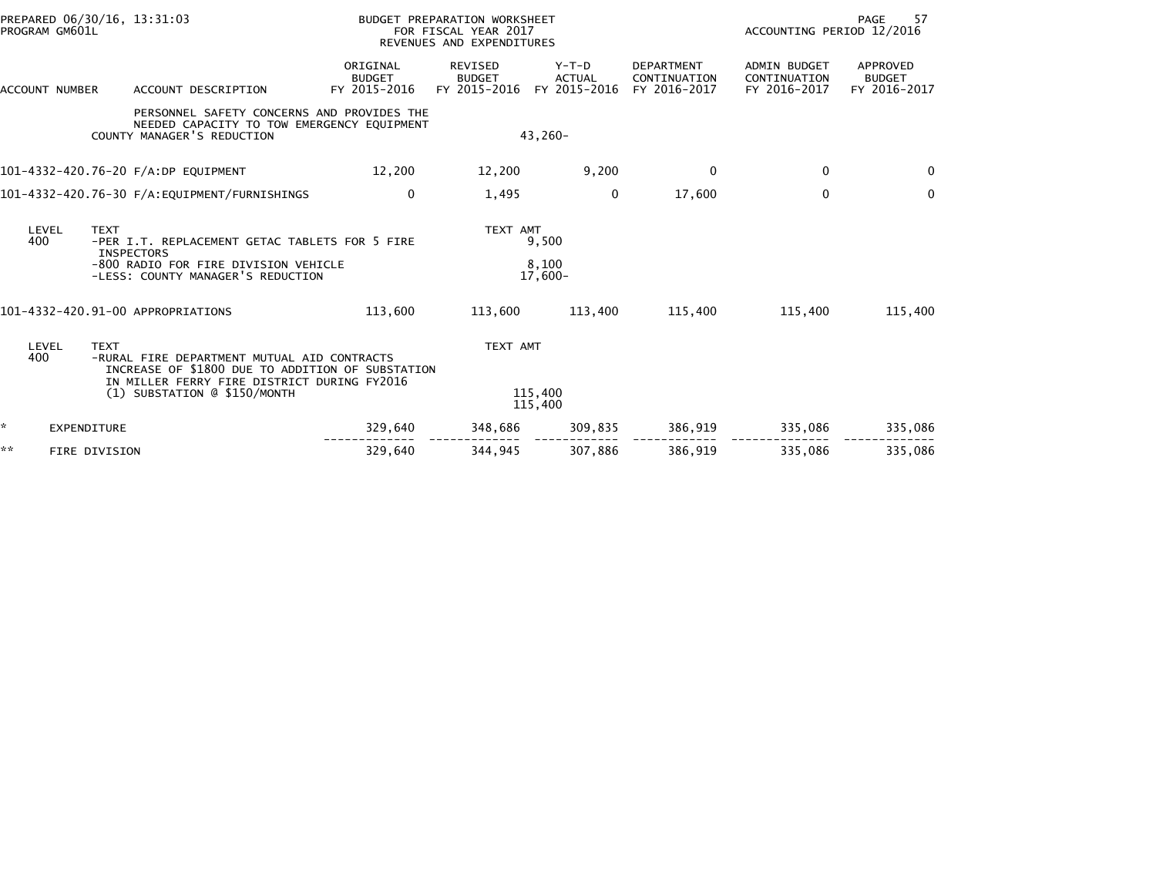| PREPARED 06/30/16, 13:31:03<br>PROGRAM GM601L |                    |                                                                                                                        |                                           | BUDGET PREPARATION WORKSHEET<br>FOR FISCAL YEAR 2017<br>REVENUES AND EXPENDITURES |                                        |                                            |                                              | PAGE<br>-57<br>ACCOUNTING PERIOD 12/2016  |  |  |
|-----------------------------------------------|--------------------|------------------------------------------------------------------------------------------------------------------------|-------------------------------------------|-----------------------------------------------------------------------------------|----------------------------------------|--------------------------------------------|----------------------------------------------|-------------------------------------------|--|--|
| ACCOUNT NUMBER                                |                    | ACCOUNT DESCRIPTION                                                                                                    | ORIGINAL<br><b>BUDGET</b><br>FY 2015-2016 | REVISED<br><b>BUDGET</b><br>FY 2015-2016                                          | Y-T-D<br><b>ACTUAL</b><br>FY 2015-2016 | DEPARTMENT<br>CONTINUATION<br>FY 2016-2017 | ADMIN BUDGET<br>CONTINUATION<br>FY 2016-2017 | APPROVED<br><b>BUDGET</b><br>FY 2016-2017 |  |  |
|                                               |                    | PERSONNEL SAFETY CONCERNS AND PROVIDES THE<br>NEEDED CAPACITY TO TOW EMERGENCY EQUIPMENT<br>COUNTY MANAGER'S REDUCTION |                                           |                                                                                   | $43,260-$                              |                                            |                                              |                                           |  |  |
|                                               |                    | 101-4332-420.76-20 F/A:DP EQUIPMENT                                                                                    | 12,200                                    | 12,200                                                                            | 9,200                                  | $\mathbf 0$                                | $\mathbf 0$                                  | $\Omega$                                  |  |  |
|                                               |                    |                                                                                                                        | $\mathbf 0$                               | 1,495                                                                             | $\mathbf{0}$                           | 17,600                                     | $\mathbf{0}$                                 | $\Omega$                                  |  |  |
| LEVEL<br>400                                  | <b>TEXT</b>        | -PER I.T. REPLACEMENT GETAC TABLETS FOR 5 FIRE<br><b>INSPECTORS</b>                                                    |                                           | TEXT AMT                                                                          | 9,500                                  |                                            |                                              |                                           |  |  |
|                                               |                    | -800 RADIO FOR FIRE DIVISION VEHICLE<br>-LESS: COUNTY MANAGER'S REDUCTION                                              |                                           |                                                                                   | 8.100<br>$17,600-$                     |                                            |                                              |                                           |  |  |
|                                               |                    | 101-4332-420.91-00 APPROPRIATIONS                                                                                      | 113,600                                   | 113.600                                                                           | 113.400                                | 115,400                                    | 115,400                                      | 115,400                                   |  |  |
| LEVEL<br>400                                  | <b>TEXT</b>        | -RURAL FIRE DEPARTMENT MUTUAL AID CONTRACTS<br>INCREASE OF \$1800 DUE TO ADDITION OF SUBSTATION                        |                                           | TEXT AMT                                                                          |                                        |                                            |                                              |                                           |  |  |
|                                               |                    | IN MILLER FERRY FIRE DISTRICT DURING FY2016<br>(1) SUBSTATION @ \$150/MONTH                                            |                                           |                                                                                   | 115,400<br>115,400                     |                                            |                                              |                                           |  |  |
| ☆                                             | <b>EXPENDITURE</b> |                                                                                                                        | 329,640                                   | 348,686                                                                           | 309,835                                | 386,919                                    | 335,086                                      | 335,086                                   |  |  |
| **                                            | FIRE DIVISION      |                                                                                                                        | 329.640                                   | 344.945                                                                           | 307.886                                | 386,919                                    | 335.086                                      | 335.086                                   |  |  |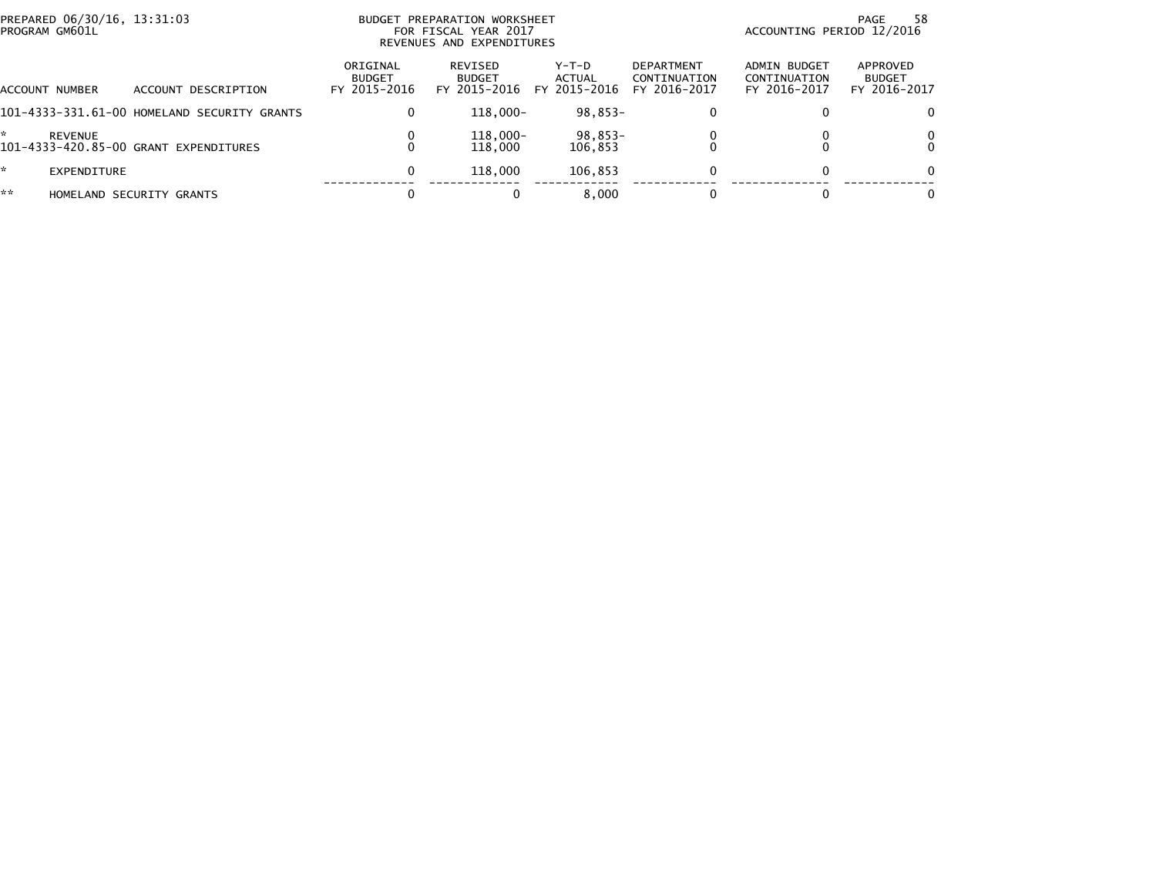| PREPARED 06/30/16, 13:31:03<br>PROGRAM GM601L |                                             | PREPARATION WORKSHEET<br>BUDGET<br>FOR FISCAL YEAR 2017<br>REVENUES AND EXPENDITURES | ACCOUNTING PERIOD 12/2016                | 58<br>PAGE                      |                                            |                                              |                                           |
|-----------------------------------------------|---------------------------------------------|--------------------------------------------------------------------------------------|------------------------------------------|---------------------------------|--------------------------------------------|----------------------------------------------|-------------------------------------------|
| ACCOUNT NUMBER                                | ACCOUNT DESCRIPTION                         | ORIGINAL<br><b>BUDGET</b><br>FY 2015-2016                                            | REVISED<br><b>BUDGET</b><br>FY 2015-2016 | Y-T-D<br>ACTUAL<br>FY 2015-2016 | DEPARTMENT<br>CONTINUATION<br>FY 2016-2017 | ADMIN BUDGET<br>CONTINUATION<br>FY 2016-2017 | APPROVED<br><b>BUDGET</b><br>FY 2016-2017 |
|                                               | 101-4333-331.61-00 HOMELAND SECURITY GRANTS | 0                                                                                    | 118.000-                                 | $98.853 -$                      | 0                                          |                                              |                                           |
| $\mathcal{R}^{\mathcal{L}}$<br><b>REVENUE</b> | 101-4333-420.85-00 GRANT EXPENDITURES       | 0                                                                                    | 118,000-<br>118,000                      | 98,853-<br>106.853              |                                            |                                              |                                           |
| ÷.<br>EXPENDITURE                             |                                             | 0                                                                                    | 118,000                                  | 106.853                         | 0                                          | $\Omega$                                     |                                           |
| **                                            | HOMELAND SECURITY GRANTS                    | 0                                                                                    |                                          | 8.000                           |                                            |                                              |                                           |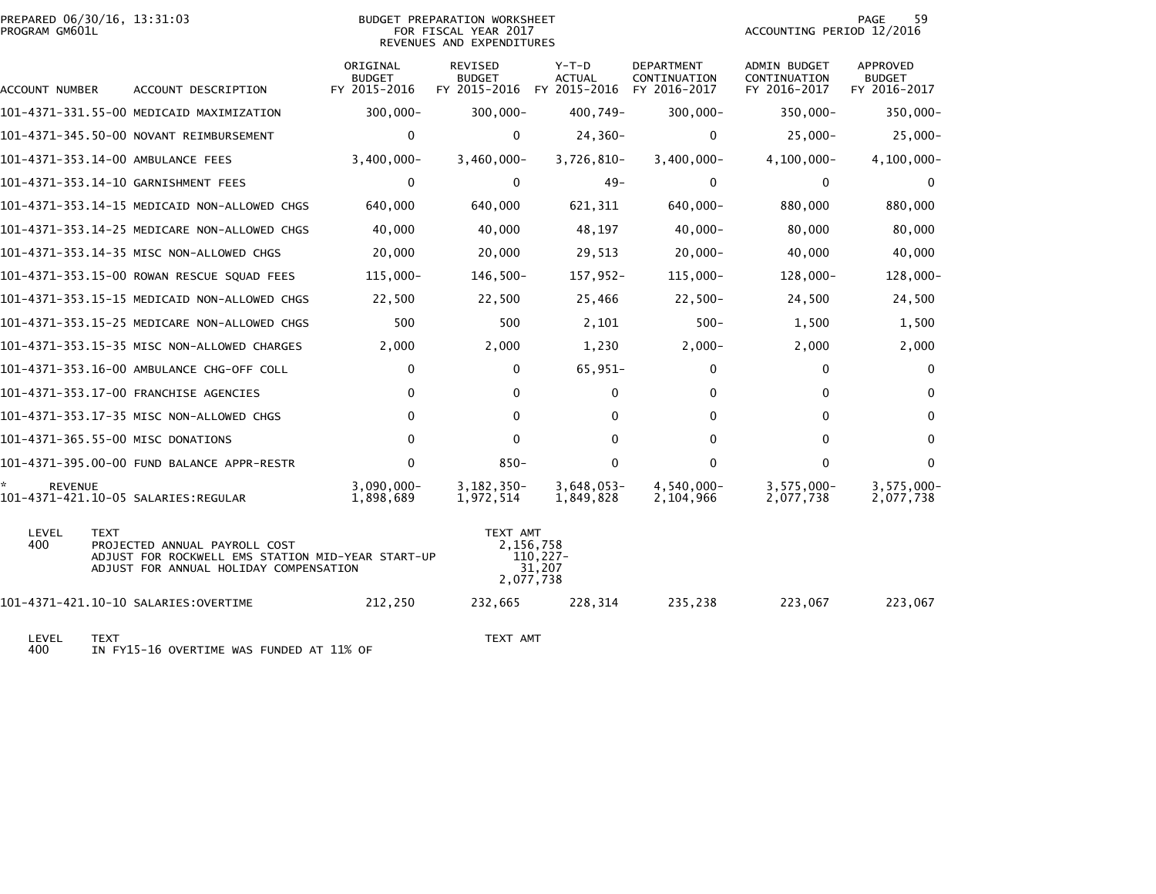| PROGRAM GM601L | PREPARED 06/30/16, 13:31:03                                                                                                                 |                                           | <b>BUDGET PREPARATION WORKSHEET</b><br>FOR FISCAL YEAR 2017<br>REVENUES AND EXPENDITURES |                        |                                          |                                                   | ACCOUNTING PERIOD 12/2016                           | PAGE<br>59                                |  |
|----------------|---------------------------------------------------------------------------------------------------------------------------------------------|-------------------------------------------|------------------------------------------------------------------------------------------|------------------------|------------------------------------------|---------------------------------------------------|-----------------------------------------------------|-------------------------------------------|--|
| ACCOUNT NUMBER | ACCOUNT DESCRIPTION                                                                                                                         | ORIGINAL<br><b>BUDGET</b><br>FY 2015-2016 | <b>REVISED</b><br><b>BUDGET</b><br>FY 2015-2016                                          |                        | $Y-T-D$<br><b>ACTUAL</b><br>FY 2015-2016 | <b>DEPARTMENT</b><br>CONTINUATION<br>FY 2016-2017 | <b>ADMIN BUDGET</b><br>CONTINUATION<br>FY 2016-2017 | APPROVED<br><b>BUDGET</b><br>FY 2016-2017 |  |
|                | 101–4371–331.55–00 MEDICAID MAXIMIZATION                                                                                                    | $300,000 -$                               | $300,000 -$                                                                              |                        | 400,749-                                 | $300,000 -$                                       | $350,000 -$                                         | 350,000-                                  |  |
|                | 101-4371-345.50-00 NOVANT REIMBURSEMENT                                                                                                     | 0                                         | 0                                                                                        |                        | $24,360-$                                | $\Omega$                                          | $25,000 -$                                          | $25,000 -$                                |  |
|                | 101-4371-353.14-00 AMBULANCE FEES                                                                                                           | $3,400,000 -$                             | $3,460,000 -$                                                                            |                        | $3,726,810-$                             | $3,400,000 -$                                     | $4, 100, 000 -$                                     | $4, 100, 000 -$                           |  |
|                | 101-4371-353.14-10 GARNISHMENT FEES                                                                                                         | $\mathbf 0$                               | $\mathbf{0}$                                                                             |                        | $49 -$                                   | 0                                                 | $\mathbf{0}$                                        | $\mathbf{0}$                              |  |
|                | 101-4371-353.14-15 MEDICAID NON-ALLOWED CHGS                                                                                                | 640,000                                   | 640,000                                                                                  |                        | 621,311                                  | 640,000-                                          | 880,000                                             | 880,000                                   |  |
|                | 101-4371-353.14-25 MEDICARE NON-ALLOWED CHGS                                                                                                | 40,000                                    | 40,000                                                                                   |                        | 48,197                                   | $40,000 -$                                        | 80,000                                              | 80,000                                    |  |
|                | 101-4371-353.14-35 MISC NON-ALLOWED CHGS                                                                                                    | 20,000                                    | 20,000                                                                                   |                        | 29,513                                   | $20,000-$                                         | 40,000                                              | 40,000                                    |  |
|                | 101-4371-353.15-00 ROWAN RESCUE SQUAD FEES                                                                                                  | $115,000 -$                               | 146,500-                                                                                 |                        | 157,952-                                 | 115,000-                                          | 128,000-                                            | 128,000-                                  |  |
|                | 101-4371-353.15-15 MEDICAID NON-ALLOWED CHGS                                                                                                | 22,500                                    | 22,500                                                                                   |                        | 25,466                                   | $22,500-$                                         | 24,500                                              | 24,500                                    |  |
|                | 101-4371-353.15-25 MEDICARE NON-ALLOWED CHGS                                                                                                | 500                                       | 500                                                                                      |                        | 2,101                                    | $500 -$                                           | 1,500                                               | 1,500                                     |  |
|                | 101-4371-353.15-35 MISC NON-ALLOWED CHARGES                                                                                                 | 2,000                                     | 2,000                                                                                    |                        | 1,230                                    | $2,000-$                                          | 2,000                                               | 2,000                                     |  |
|                | 101-4371-353.16-00 AMBULANCE CHG-OFF COLL                                                                                                   | 0                                         | $\Omega$                                                                                 |                        | 65,951-                                  | 0                                                 | $\mathbf{0}$                                        | 0                                         |  |
|                | 101-4371-353.17-00 FRANCHISE AGENCIES                                                                                                       | $\mathbf 0$                               | $\mathbf{0}$                                                                             |                        | $\mathbf 0$                              | $\mathbf 0$                                       | $\mathbf{0}$                                        | $\Omega$                                  |  |
|                | 101-4371-353.17-35 MISC NON-ALLOWED CHGS                                                                                                    | $\Omega$                                  | $\mathbf{0}$                                                                             |                        | $\Omega$                                 | $\mathbf 0$                                       | $\mathbf{0}$                                        | $\Omega$                                  |  |
|                | 101-4371-365.55-00 MISC DONATIONS                                                                                                           | $\Omega$                                  | $\Omega$                                                                                 |                        | $\Omega$                                 | $\mathbf{0}$                                      | $\Omega$                                            | $\Omega$                                  |  |
|                | 101-4371-395.00-00 FUND BALANCE APPR-RESTR                                                                                                  | $\Omega$                                  | $850 -$                                                                                  |                        | 0                                        | $\Omega$                                          | $\mathbf{0}$                                        | $\Omega$                                  |  |
| <b>REVENUE</b> | 101-4371-421.10-05 SALARIES:REGULAR                                                                                                         | $3,090,000 -$<br>1,898,689                | $3, 182, 350 -$<br>1,972,514                                                             |                        | $3,648,053-$<br>1,849,828                | 4,540,000-<br>2,104,966                           | $3,575,000 -$<br>2,077,738                          | $3,575,000 -$<br>2,077,738                |  |
| LEVEL<br>400   | <b>TEXT</b><br>PROJECTED ANNUAL PAYROLL COST<br>ADJUST FOR ROCKWELL EMS STATION MID-YEAR START-UP<br>ADJUST FOR ANNUAL HOLIDAY COMPENSATION |                                           | TEXT AMT<br>2,156,758<br>2,077,738                                                       | $110, 227 -$<br>31,207 |                                          |                                                   |                                                     |                                           |  |
|                |                                                                                                                                             | 212,250                                   | 232,665                                                                                  |                        | 228,314                                  | 235,238                                           | 223,067                                             | 223,067                                   |  |
|                |                                                                                                                                             |                                           |                                                                                          |                        |                                          |                                                   |                                                     |                                           |  |

LEVEL TEXT TEXT AMT 400 IN FY15-16 OVERTIME WAS FUNDED AT 11% OF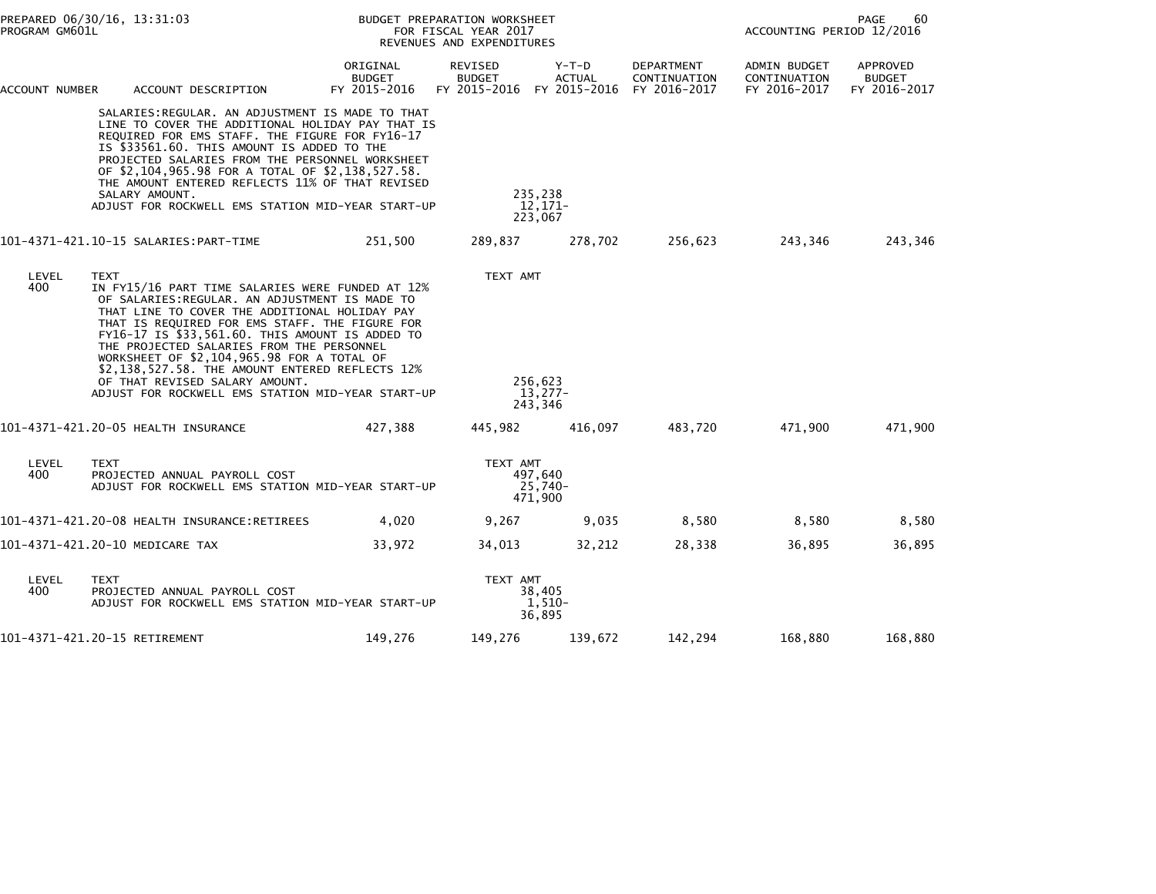|                | PREPARED 06/30/16, 13:31:03<br>PROGRAM GM601L |                                                                                                                                                                                                                                                                                                                                                                                                                                                                                               |                                           | BUDGET PREPARATION WORKSHEET<br>FOR FISCAL YEAR 2017<br>REVENUES AND EXPENDITURES | PAGE<br>60<br>ACCOUNTING PERIOD 12/2016 |                                            |                                              |                                           |
|----------------|-----------------------------------------------|-----------------------------------------------------------------------------------------------------------------------------------------------------------------------------------------------------------------------------------------------------------------------------------------------------------------------------------------------------------------------------------------------------------------------------------------------------------------------------------------------|-------------------------------------------|-----------------------------------------------------------------------------------|-----------------------------------------|--------------------------------------------|----------------------------------------------|-------------------------------------------|
| ACCOUNT NUMBER |                                               | ACCOUNT DESCRIPTION                                                                                                                                                                                                                                                                                                                                                                                                                                                                           | ORIGINAL<br><b>BUDGET</b><br>FY 2015-2016 | REVISED<br><b>BUDGET</b><br>FY 2015-2016                                          | Y-T-D<br><b>ACTUAL</b><br>FY 2015-2016  | DEPARTMENT<br>CONTINUATION<br>FY 2016-2017 | ADMIN BUDGET<br>CONTINUATION<br>FY 2016-2017 | APPROVED<br><b>BUDGET</b><br>FY 2016-2017 |
|                | SALARY AMOUNT.                                | SALARIES:REGULAR. AN ADJUSTMENT IS MADE TO THAT<br>LINE TO COVER THE ADDITIONAL HOLIDAY PAY THAT IS<br>REQUIRED FOR EMS STAFF. THE FIGURE FOR FY16-17<br>IS \$33561.60. THIS AMOUNT IS ADDED TO THE<br>PROJECTED SALARIES FROM THE PERSONNEL WORKSHEET<br>OF \$2,104,965.98 FOR A TOTAL OF \$2,138,527.58.<br>THE AMOUNT ENTERED REFLECTS 11% OF THAT REVISED<br>ADJUST FOR ROCKWELL EMS STATION MID-YEAR START-UP                                                                            |                                           |                                                                                   | 235,238<br>12.171-<br>223,067           |                                            |                                              |                                           |
|                |                                               |                                                                                                                                                                                                                                                                                                                                                                                                                                                                                               | 251.500                                   | 289,837                                                                           | 278,702                                 | 256,623                                    | 243,346                                      | 243,346                                   |
| LEVEL<br>400   | <b>TEXT</b>                                   | IN FY15/16 PART TIME SALARIES WERE FUNDED AT 12%<br>OF SALARIES: REGULAR. AN ADJUSTMENT IS MADE TO<br>THAT LINE TO COVER THE ADDITIONAL HOLIDAY PAY<br>THAT IS REQUIRED FOR EMS STAFF. THE FIGURE FOR<br>FY16-17 IS \$33,561.60. THIS AMOUNT IS ADDED TO<br>THE PROJECTED SALARIES FROM THE PERSONNEL<br>WORKSHEET OF \$2,104,965.98 FOR A TOTAL OF<br>\$2,138,527.58. THE AMOUNT ENTERED REFLECTS 12%<br>OF THAT REVISED SALARY AMOUNT.<br>ADJUST FOR ROCKWELL EMS STATION MID-YEAR START-UP |                                           | TEXT AMT                                                                          | 256,623<br>$13.277-$<br>243,346         |                                            |                                              |                                           |
|                |                                               |                                                                                                                                                                                                                                                                                                                                                                                                                                                                                               | 427,388                                   | 445,982                                                                           | 416,097                                 | 483,720                                    | 471,900                                      | 471,900                                   |
| LEVEL<br>400   | <b>TEXT</b><br>PROJECTED ANNUAL PAYROLL COST  | ADJUST FOR ROCKWELL EMS STATION MID-YEAR START-UP                                                                                                                                                                                                                                                                                                                                                                                                                                             |                                           | TEXT AMT                                                                          | 497,640<br>$25,740-$<br>471,900         |                                            |                                              |                                           |
|                |                                               | 101-4371-421.20-08 HEALTH INSURANCE:RETIREES                                                                                                                                                                                                                                                                                                                                                                                                                                                  | 4,020                                     | 9,267                                                                             | 9,035                                   | 8,580                                      | 8,580                                        | 8,580                                     |
|                | 101-4371-421.20-10 MEDICARE TAX               |                                                                                                                                                                                                                                                                                                                                                                                                                                                                                               | 33,972                                    | 34,013                                                                            | 32,212                                  | 28,338                                     | 36,895                                       | 36,895                                    |
| LEVEL<br>400   | <b>TEXT</b><br>PROJECTED ANNUAL PAYROLL COST  | ADJUST FOR ROCKWELL EMS STATION MID-YEAR START-UP                                                                                                                                                                                                                                                                                                                                                                                                                                             |                                           | TEXT AMT                                                                          | 38,405<br>$1,510-$<br>36,895            |                                            |                                              |                                           |
|                | 101-4371-421.20-15 RETIREMENT                 |                                                                                                                                                                                                                                                                                                                                                                                                                                                                                               | 149,276                                   | 149,276                                                                           | 139,672                                 | 142,294                                    | 168,880                                      | 168,880                                   |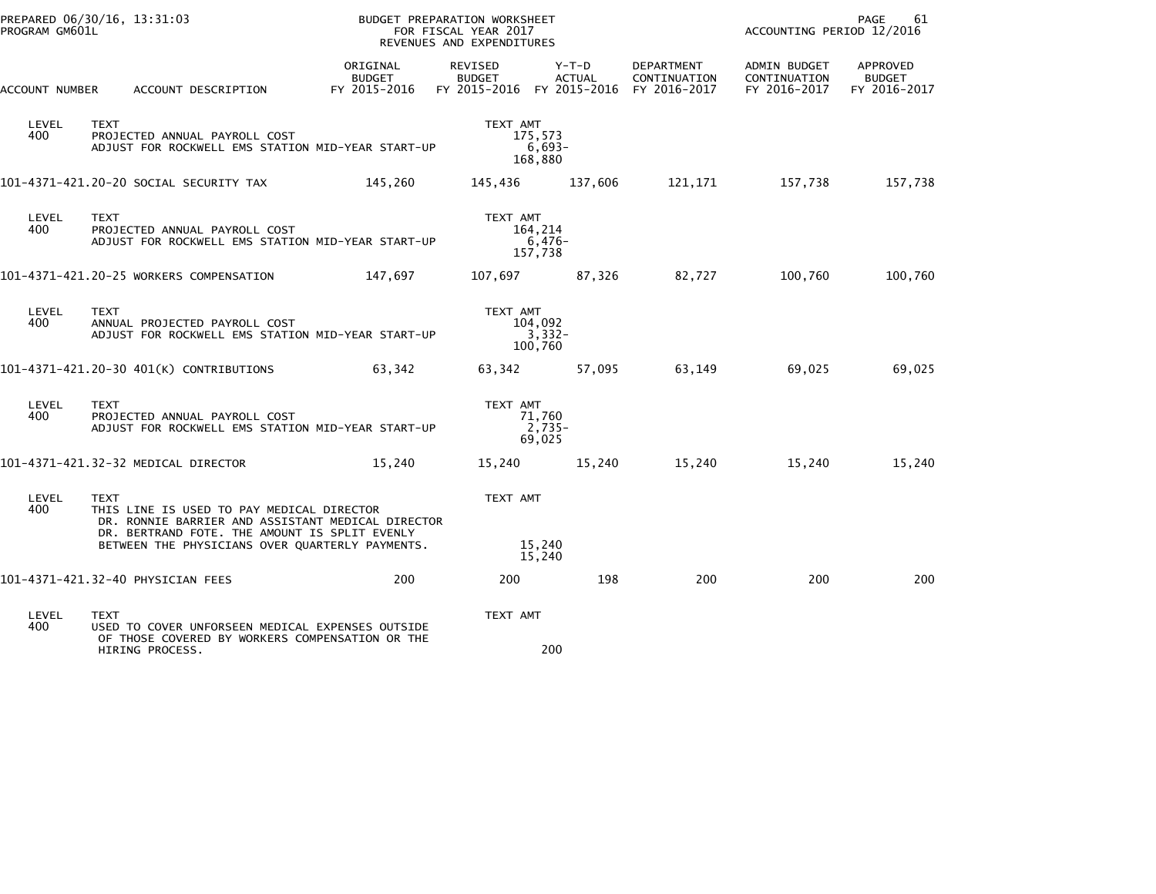| PROGRAM GM601L | PREPARED 06/30/16, 13:31:03                                                                                                                                                                                       |                                           | BUDGET PREPARATION WORKSHEET<br>FOR FISCAL YEAR 2017<br>REVENUES AND EXPENDITURES |                                |                                                                      | ACCOUNTING PERIOD 12/2016                    | PAGE<br>61                                |
|----------------|-------------------------------------------------------------------------------------------------------------------------------------------------------------------------------------------------------------------|-------------------------------------------|-----------------------------------------------------------------------------------|--------------------------------|----------------------------------------------------------------------|----------------------------------------------|-------------------------------------------|
| ACCOUNT NUMBER | ACCOUNT DESCRIPTION                                                                                                                                                                                               | ORIGINAL<br><b>BUDGET</b><br>FY 2015-2016 | REVISED<br><b>BUDGET</b>                                                          | Y-T-D<br><b>ACTUAL</b>         | DEPARTMENT<br>CONTINUATION<br>FY 2015-2016 FY 2015-2016 FY 2016-2017 | ADMIN BUDGET<br>CONTINUATION<br>FY 2016-2017 | APPROVED<br><b>BUDGET</b><br>FY 2016-2017 |
| LEVEL<br>400   | <b>TEXT</b><br>PROJECTED ANNUAL PAYROLL COST<br>ADJUST FOR ROCKWELL EMS STATION MID-YEAR START-UP                                                                                                                 |                                           | TEXT AMT                                                                          | 175.573<br>$6,693-$<br>168,880 |                                                                      |                                              |                                           |
|                | 101–4371–421.20–20 SOCIAL SECURITY TAX                                                                                                                                                                            | 145,260                                   | 145,436                                                                           | 137,606                        | 121,171                                                              | 157,738                                      | 157,738                                   |
| LEVEL<br>400   | <b>TEXT</b><br>PROJECTED ANNUAL PAYROLL COST<br>ADJUST FOR ROCKWELL EMS STATION MID-YEAR START-UP                                                                                                                 |                                           | TEXT AMT                                                                          | 164,214<br>$6,476-$<br>157,738 |                                                                      |                                              |                                           |
|                | 101-4371-421.20-25 WORKERS COMPENSATION                                                                                                                                                                           | 147,697                                   | 107,697                                                                           | 87,326                         | 82,727                                                               | 100,760                                      | 100,760                                   |
| LEVEL<br>400   | <b>TEXT</b><br>ANNUAL PROJECTED PAYROLL COST<br>ADJUST FOR ROCKWELL EMS STATION MID-YEAR START-UP                                                                                                                 |                                           | TEXT AMT                                                                          | 104,092<br>3,332-<br>100,760   |                                                                      |                                              |                                           |
|                | 101-4371-421.20-30 401(K) CONTRIBUTIONS                                                                                                                                                                           | 63,342                                    | 63.342                                                                            | 57,095                         | 63,149                                                               | 69,025                                       | 69,025                                    |
| LEVEL<br>400   | <b>TEXT</b><br>PROJECTED ANNUAL PAYROLL COST<br>ADJUST FOR ROCKWELL EMS STATION MID-YEAR START-UP                                                                                                                 |                                           | TEXT AMT                                                                          | 71,760<br>2,735-<br>69,025     |                                                                      |                                              |                                           |
|                | 101-4371-421.32-32 MEDICAL DIRECTOR                                                                                                                                                                               | 15.240                                    | 15,240                                                                            | 15.240                         | 15,240                                                               | 15,240                                       | 15,240                                    |
| LEVEL<br>400   | <b>TEXT</b><br>THIS LINE IS USED TO PAY MEDICAL DIRECTOR<br>DR. RONNIE BARRIER AND ASSISTANT MEDICAL DIRECTOR<br>DR. BERTRAND FOTE. THE AMOUNT IS SPLIT EVENLY<br>BETWEEN THE PHYSICIANS OVER QUARTERLY PAYMENTS. |                                           | TEXT AMT                                                                          | 15,240                         |                                                                      |                                              |                                           |
|                |                                                                                                                                                                                                                   |                                           |                                                                                   | 15,240                         |                                                                      |                                              |                                           |
|                | 101-4371-421.32-40 PHYSICIAN FEES                                                                                                                                                                                 | 200                                       | 200                                                                               | 198                            | 200                                                                  | 200                                          | 200                                       |
| LEVEL<br>400   | TEXT<br>USED TO COVER UNFORSEEN MEDICAL EXPENSES OUTSIDE<br>OF THOSE COVERED BY WORKERS COMPENSATION OR THE                                                                                                       |                                           | TEXT AMT                                                                          |                                |                                                                      |                                              |                                           |
|                | HIRING PROCESS.                                                                                                                                                                                                   |                                           |                                                                                   | 200                            |                                                                      |                                              |                                           |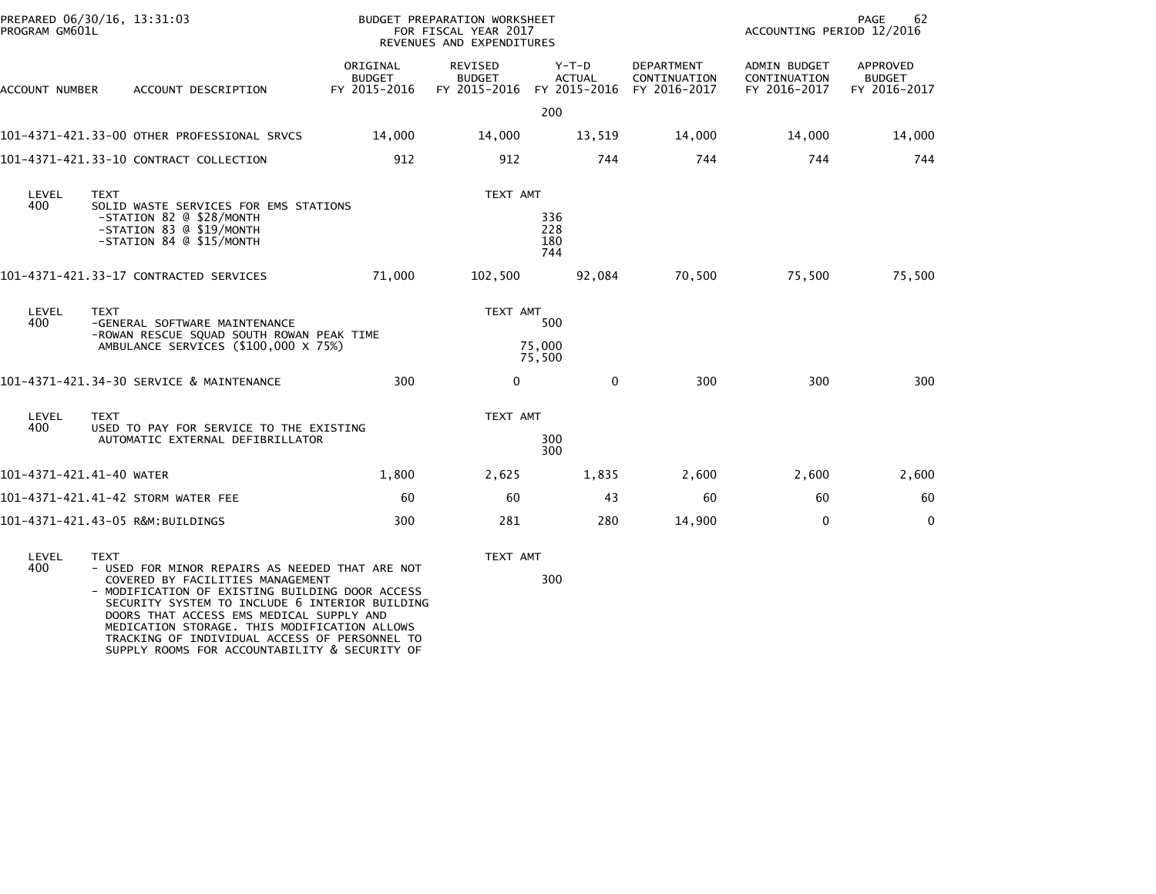| PROGRAM GM601L           | PREPARED 06/30/16, 13:31:03                                                                                                            |                                           | BUDGET PREPARATION WORKSHEET<br>FOR FISCAL YEAR 2017<br>REVENUES AND EXPENDITURES |                                          |                                            | ACCOUNTING PERIOD 12/2016                    | PAGE<br>62                                |
|--------------------------|----------------------------------------------------------------------------------------------------------------------------------------|-------------------------------------------|-----------------------------------------------------------------------------------|------------------------------------------|--------------------------------------------|----------------------------------------------|-------------------------------------------|
| ACCOUNT NUMBER           | ACCOUNT DESCRIPTION                                                                                                                    | ORIGINAL<br><b>BUDGET</b><br>FY 2015-2016 | REVISED<br><b>BUDGET</b><br>FY 2015-2016                                          | $Y-T-D$<br><b>ACTUAL</b><br>FY 2015-2016 | DEPARTMENT<br>CONTINUATION<br>FY 2016-2017 | ADMIN BUDGET<br>CONTINUATION<br>FY 2016-2017 | APPROVED<br><b>BUDGET</b><br>FY 2016-2017 |
|                          |                                                                                                                                        |                                           |                                                                                   | 200                                      |                                            |                                              |                                           |
|                          | 101-4371-421.33-00 OTHER PROFESSIONAL SRVCS                                                                                            | 14,000                                    | 14,000                                                                            | 13,519                                   | 14,000                                     | 14,000                                       | 14,000                                    |
|                          | 101-4371-421.33-10 CONTRACT COLLECTION                                                                                                 | 912                                       | 912                                                                               | 744                                      | 744                                        | 744                                          | 744                                       |
| LEVEL                    | <b>TEXT</b>                                                                                                                            |                                           | TEXT AMT                                                                          |                                          |                                            |                                              |                                           |
| 400                      | SOLID WASTE SERVICES FOR EMS STATIONS<br>-STATION 82 @ \$28/MONTH<br>-STATION 83 @ \$19/MONTH<br>-STATION 84 @ \$15/MONTH              |                                           |                                                                                   | 336<br>228<br>180<br>744                 |                                            |                                              |                                           |
|                          | 101-4371-421.33-17 CONTRACTED SERVICES                                                                                                 | 71,000                                    | 102,500                                                                           | 92,084                                   | 70,500                                     | 75,500                                       | 75,500                                    |
| LEVEL<br>400             | <b>TEXT</b><br>-GENERAL SOFTWARE MAINTENANCE<br>-ROWAN RESCUE SQUAD SOUTH ROWAN PEAK TIME                                              |                                           | TEXT AMT                                                                          | 500                                      |                                            |                                              |                                           |
|                          | AMBULANCE SERVICES (\$100,000 X 75%)                                                                                                   |                                           |                                                                                   | 75,000<br>75,500                         |                                            |                                              |                                           |
|                          | 101-4371-421.34-30 SERVICE & MAINTENANCE                                                                                               | 300                                       | 0                                                                                 | $\mathbf{0}$                             | 300                                        | 300                                          | 300                                       |
| LEVEL                    | <b>TEXT</b>                                                                                                                            |                                           | TEXT AMT                                                                          |                                          |                                            |                                              |                                           |
| 400                      | USED TO PAY FOR SERVICE TO THE EXISTING<br>AUTOMATIC EXTERNAL DEFIBRILLATOR                                                            |                                           |                                                                                   | 300<br>300                               |                                            |                                              |                                           |
| 101-4371-421.41-40 WATER |                                                                                                                                        | 1,800                                     | 2,625                                                                             | 1,835                                    | 2,600                                      | 2,600                                        | 2,600                                     |
|                          | 101-4371-421.41-42 STORM WATER FEE                                                                                                     | 60                                        | 60                                                                                | 43                                       | 60                                         | 60                                           | 60                                        |
|                          | 101-4371-421.43-05 R&M:BUILDINGS                                                                                                       | 300                                       | 281                                                                               | 280                                      | 14,900                                     | $\mathbf{0}$                                 | $\mathbf 0$                               |
| LEVEL                    | <b>TEXT</b>                                                                                                                            |                                           | TEXT AMT                                                                          |                                          |                                            |                                              |                                           |
| 400                      | - USED FOR MINOR REPAIRS AS NEEDED THAT ARE NOT<br>COVERED BY FACILITIES MANAGEMENT<br>- MODIFICATION OF EXISTING RUILDING DOOR ACCESS |                                           |                                                                                   | 300                                      |                                            |                                              |                                           |

- MODIFICATION OF EXISTING BUILDING DOOR ACCESS<br>SECURITY SYSTEM TO INCLUDE 6 INTERIOR BUILDING<br>DOORS THAT ACCESS EMS MEDICAL SUPPLY AND MEDICATION STORAGE. THIS MODIFICATION ALLOWSTRACKING OF INDIVIDUAL ACCESS OF PERSONNEL TO SUPPLY ROOMS FOR ACCOUNTABILITY & SECURITY OF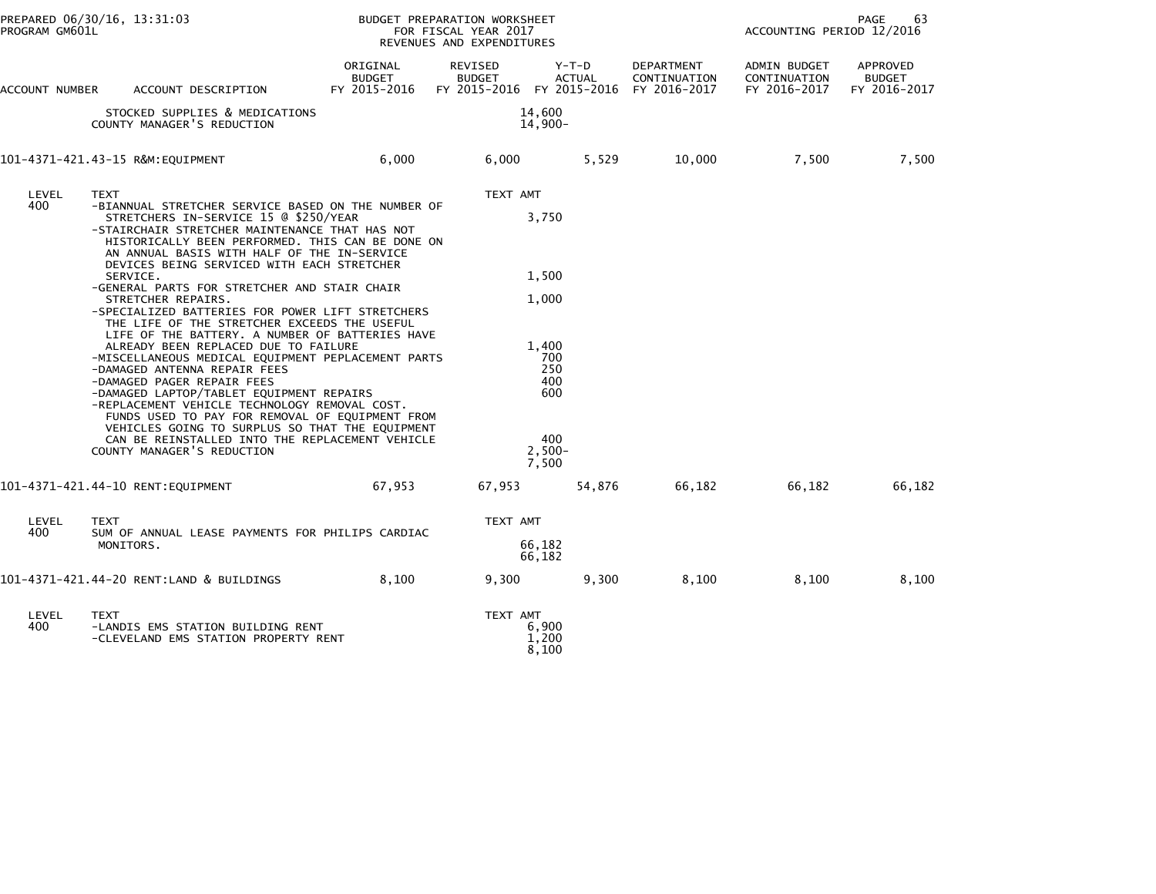| PROGRAM GM601L | PREPARED 06/30/16, 13:31:03                                                                                                                                                                                                                                                                                                                                                                                                                                                                                                                                                                                                                                                                                                                                                                                                                                                                                                                                                                            |                                           | BUDGET PREPARATION WORKSHEET<br>FOR FISCAL YEAR 2017<br>REVENUES AND EXPENDITURES |                                                                                           |                            | ACCOUNTING PERIOD 12/2016                    | PAGE<br>63                         |
|----------------|--------------------------------------------------------------------------------------------------------------------------------------------------------------------------------------------------------------------------------------------------------------------------------------------------------------------------------------------------------------------------------------------------------------------------------------------------------------------------------------------------------------------------------------------------------------------------------------------------------------------------------------------------------------------------------------------------------------------------------------------------------------------------------------------------------------------------------------------------------------------------------------------------------------------------------------------------------------------------------------------------------|-------------------------------------------|-----------------------------------------------------------------------------------|-------------------------------------------------------------------------------------------|----------------------------|----------------------------------------------|------------------------------------|
| ACCOUNT NUMBER | ACCOUNT DESCRIPTION                                                                                                                                                                                                                                                                                                                                                                                                                                                                                                                                                                                                                                                                                                                                                                                                                                                                                                                                                                                    | ORIGINAL<br><b>BUDGET</b><br>FY 2015-2016 | REVISED<br><b>BUDGET</b><br>FY 2015-2016 FY 2015-2016 FY 2016-2017                | $Y-T-D$<br><b>ACTUAL</b>                                                                  | DEPARTMENT<br>CONTINUATION | ADMIN BUDGET<br>CONTINUATION<br>FY 2016-2017 | APPROVED<br>BUDGET<br>FY 2016-2017 |
|                | STOCKED SUPPLIES & MEDICATIONS<br>COUNTY MANAGER'S REDUCTION                                                                                                                                                                                                                                                                                                                                                                                                                                                                                                                                                                                                                                                                                                                                                                                                                                                                                                                                           |                                           |                                                                                   | 14,600<br>$14,900-$                                                                       |                            |                                              |                                    |
|                | 101-4371-421.43-15 R&M:EQUIPMENT                                                                                                                                                                                                                                                                                                                                                                                                                                                                                                                                                                                                                                                                                                                                                                                                                                                                                                                                                                       | 6,000                                     | 6,000                                                                             | 5,529                                                                                     | 10,000                     | 7,500                                        | 7,500                              |
| LEVEL<br>400   | <b>TEXT</b><br>-BIANNUAL STRETCHER SERVICE BASED ON THE NUMBER OF<br>STRETCHERS IN-SERVICE 15 @ \$250/YEAR<br>-STAIRCHAIR STRETCHER MAINTENANCE THAT HAS NOT<br>HISTORICALLY BEEN PERFORMED. THIS CAN BE DONE ON<br>AN ANNUAL BASIS WITH HALF OF THE IN-SERVICE<br>DEVICES BEING SERVICED WITH EACH STRETCHER<br>SERVICE.<br>-GENERAL PARTS FOR STRETCHER AND STAIR CHAIR<br>STRETCHER REPAIRS.<br>-SPECIALIZED BATTERIES FOR POWER LIFT STRETCHERS<br>THE LIFE OF THE STRETCHER EXCEEDS THE USEFUL<br>LIFE OF THE BATTERY. A NUMBER OF BATTERIES HAVE<br>ALREADY BEEN REPLACED DUE TO FAILURE<br>-MISCELLANEOUS MEDICAL EQUIPMENT PEPLACEMENT PARTS<br>-DAMAGED ANTENNA REPAIR FEES<br>-DAMAGED PAGER REPAIR FEES<br>-DAMAGED LAPTOP/TABLET EQUIPMENT REPAIRS<br>-REPLACEMENT VEHICLE TECHNOLOGY REMOVAL COST.<br>FUNDS USED TO PAY FOR REMOVAL OF EQUIPMENT FROM<br>VEHICLES GOING TO SURPLUS SO THAT THE EQUIPMENT<br>CAN BE REINSTALLED INTO THE REPLACEMENT VEHICLE<br>COUNTY MANAGER'S REDUCTION |                                           | TEXT AMT                                                                          | 3,750<br>1,500<br>1,000<br>1.400<br>700<br>250<br>400<br>600<br>400<br>$2.500 -$<br>7,500 |                            |                                              |                                    |
|                | 101-4371-421.44-10 RENT:EQUIPMENT                                                                                                                                                                                                                                                                                                                                                                                                                                                                                                                                                                                                                                                                                                                                                                                                                                                                                                                                                                      | 67,953                                    | 67,953                                                                            | 54,876                                                                                    | 66,182                     | 66,182                                       | 66,182                             |
| LEVEL<br>400   | <b>TEXT</b><br>SUM OF ANNUAL LEASE PAYMENTS FOR PHILIPS CARDIAC<br>MONITORS.                                                                                                                                                                                                                                                                                                                                                                                                                                                                                                                                                                                                                                                                                                                                                                                                                                                                                                                           |                                           | TEXT AMT                                                                          | 66,182<br>66,182                                                                          |                            |                                              |                                    |
|                | 101-4371-421.44-20 RENT:LAND & BUILDINGS                                                                                                                                                                                                                                                                                                                                                                                                                                                                                                                                                                                                                                                                                                                                                                                                                                                                                                                                                               | 8,100                                     | 9,300                                                                             | 9,300                                                                                     | 8,100                      | 8,100                                        | 8,100                              |
| LEVEL<br>400   | <b>TEXT</b><br>-LANDIS EMS STATION BUILDING RENT<br>-CLEVELAND EMS STATION PROPERTY RENT                                                                                                                                                                                                                                                                                                                                                                                                                                                                                                                                                                                                                                                                                                                                                                                                                                                                                                               |                                           | TEXT AMT                                                                          | 6,900<br>1,200<br>8,100                                                                   |                            |                                              |                                    |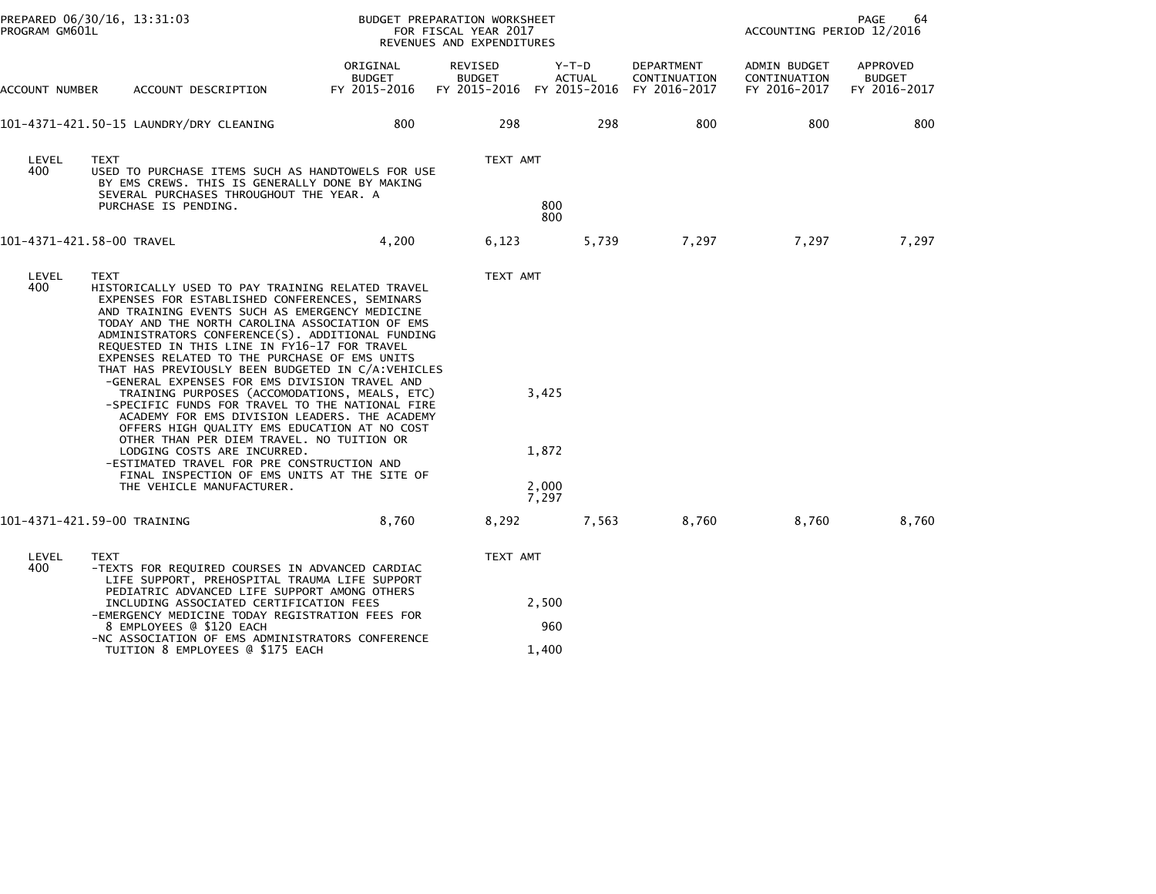| PROGRAM GM601L            | PREPARED 06/30/16, 13:31:03                                                                                                                                                                                                                                                                                                                                                                                                                                                                                                                                                                                                                                                                                                                                                                                                                                                                   |                                    | BUDGET PREPARATION WORKSHEET<br>PAGE<br>FOR FISCAL YEAR 2017<br>ACCOUNTING PERIOD 12/2016<br>REVENUES AND EXPENDITURES |                                                                  |                            |                                              |                                           |
|---------------------------|-----------------------------------------------------------------------------------------------------------------------------------------------------------------------------------------------------------------------------------------------------------------------------------------------------------------------------------------------------------------------------------------------------------------------------------------------------------------------------------------------------------------------------------------------------------------------------------------------------------------------------------------------------------------------------------------------------------------------------------------------------------------------------------------------------------------------------------------------------------------------------------------------|------------------------------------|------------------------------------------------------------------------------------------------------------------------|------------------------------------------------------------------|----------------------------|----------------------------------------------|-------------------------------------------|
| ACCOUNT NUMBER            | ACCOUNT DESCRIPTION                                                                                                                                                                                                                                                                                                                                                                                                                                                                                                                                                                                                                                                                                                                                                                                                                                                                           | ORIGINAL<br>BUDGET<br>FY 2015-2016 | REVISED<br><b>BUDGET</b>                                                                                               | Y-T-D<br><b>ACTUAL</b><br>FY 2015-2016 FY 2015-2016 FY 2016-2017 | DEPARTMENT<br>CONTINUATION | ADMIN BUDGET<br>CONTINUATION<br>FY 2016-2017 | APPROVED<br><b>BUDGET</b><br>FY 2016-2017 |
|                           |                                                                                                                                                                                                                                                                                                                                                                                                                                                                                                                                                                                                                                                                                                                                                                                                                                                                                               | 800                                | 298                                                                                                                    | 298                                                              | 800                        | 800                                          | 800                                       |
| LEVEL<br>400              | <b>TEXT</b><br>USED TO PURCHASE ITEMS SUCH AS HANDTOWELS FOR USE<br>BY EMS CREWS. THIS IS GENERALLY DONE BY MAKING<br>SEVERAL PURCHASES THROUGHOUT THE YEAR. A<br>PURCHASE IS PENDING.                                                                                                                                                                                                                                                                                                                                                                                                                                                                                                                                                                                                                                                                                                        |                                    | TEXT AMT                                                                                                               | 800<br>800                                                       |                            |                                              |                                           |
| 101-4371-421.58-00 TRAVEL |                                                                                                                                                                                                                                                                                                                                                                                                                                                                                                                                                                                                                                                                                                                                                                                                                                                                                               | 4,200                              | 6,123                                                                                                                  |                                                                  | 5,739<br>7,297             | 7,297                                        | 7,297                                     |
| LEVEL<br>400              | <b>TEXT</b><br>HISTORICALLY USED TO PAY TRAINING RELATED TRAVEL<br>EXPENSES FOR ESTABLISHED CONFERENCES, SEMINARS<br>AND TRAINING EVENTS SUCH AS EMERGENCY MEDICINE<br>TODAY AND THE NORTH CAROLINA ASSOCIATION OF EMS<br>ADMINISTRATORS CONFERENCE(S). ADDITIONAL FUNDING<br>REQUESTED IN THIS LINE IN FY16-17 FOR TRAVEL<br>EXPENSES RELATED TO THE PURCHASE OF EMS UNITS<br>THAT HAS PREVIOUSLY BEEN BUDGETED IN C/A:VEHICLES<br>-GENERAL EXPENSES FOR EMS DIVISION TRAVEL AND<br>TRAINING PURPOSES (ACCOMODATIONS, MEALS, ETC)<br>-SPECIFIC FUNDS FOR TRAVEL TO THE NATIONAL FIRE<br>ACADEMY FOR EMS DIVISION LEADERS. THE ACADEMY<br>OFFERS HIGH QUALITY EMS EDUCATION AT NO COST<br>OTHER THAN PER DIEM TRAVEL. NO TUITION OR<br>LODGING COSTS ARE INCURRED.<br>-ESTIMATED TRAVEL FOR PRE CONSTRUCTION AND<br>FINAL INSPECTION OF EMS UNITS AT THE SITE OF<br>THE VEHICLE MANUFACTURER. |                                    | TEXT AMT                                                                                                               | 3,425<br>1,872<br>2,000<br>7,297                                 |                            |                                              |                                           |
|                           | 101-4371-421.59-00 TRAINING                                                                                                                                                                                                                                                                                                                                                                                                                                                                                                                                                                                                                                                                                                                                                                                                                                                                   | 8,760                              | 8,292                                                                                                                  | 7,563                                                            | 8,760                      | 8,760                                        | 8,760                                     |
| LEVEL<br>400              | TEXT<br>-TEXTS FOR REQUIRED COURSES IN ADVANCED CARDIAC<br>LIFE SUPPORT, PREHOSPITAL TRAUMA LIFE SUPPORT<br>PEDIATRIC ADVANCED LIFE SUPPORT AMONG OTHERS<br>INCLUDING ASSOCIATED CERTIFICATION FEES<br>-EMERGENCY MEDICINE TODAY REGISTRATION FEES FOR<br>8 EMPLOYEES @ \$120 EACH<br>-NC ASSOCIATION OF EMS ADMINISTRATORS CONFERENCE<br>TUITION 8 EMPLOYEES @ \$175 EACH                                                                                                                                                                                                                                                                                                                                                                                                                                                                                                                    |                                    | TEXT AMT                                                                                                               | 2,500<br>960<br>1,400                                            |                            |                                              |                                           |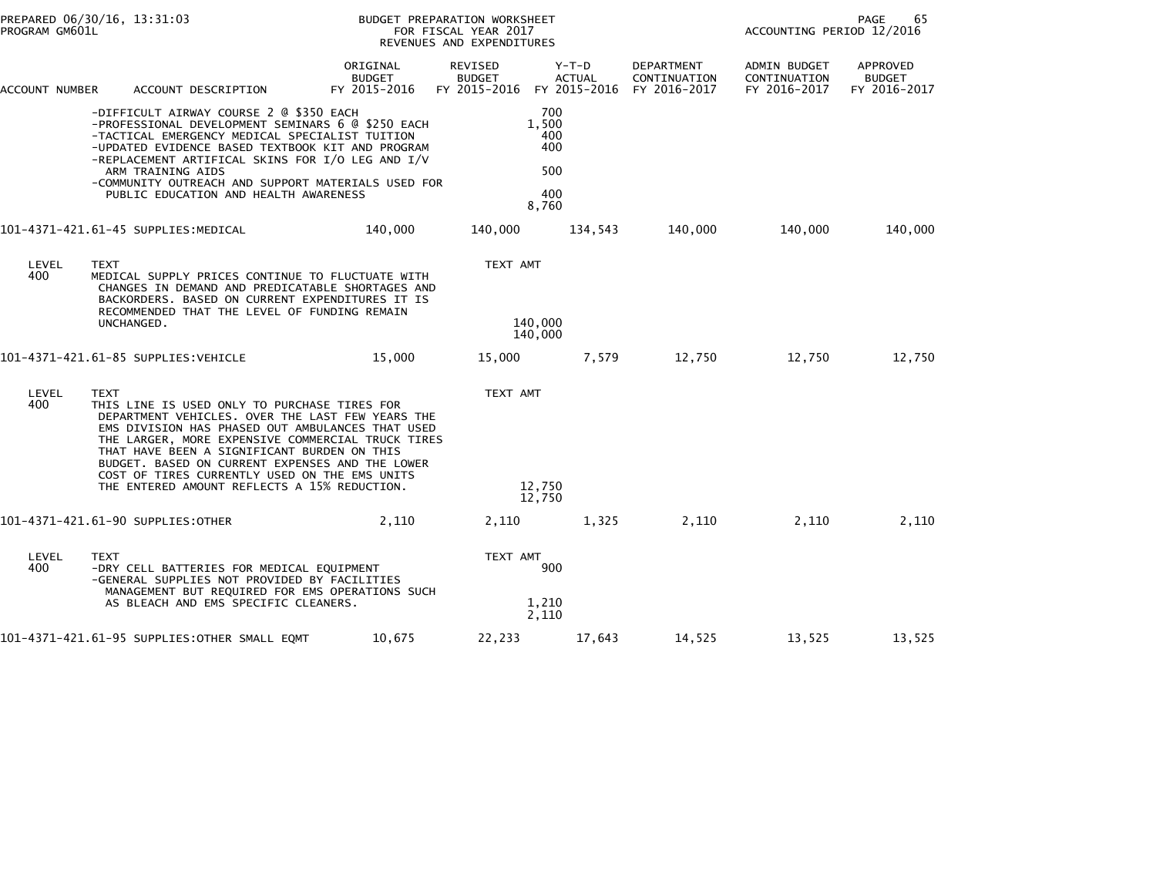|                | PREPARED 06/30/16, 13:31:03<br>PROGRAM GM601L |                                                                                                                                                                                                                                                                                                                                                                                                              | BUDGET PREPARATION WORKSHEET<br>FOR FISCAL YEAR 2017<br>REVENUES AND EXPENDITURES |                                                                    |                                                   |                            | PAGE<br>65<br>ACCOUNTING PERIOD 12/2016      |                                           |  |
|----------------|-----------------------------------------------|--------------------------------------------------------------------------------------------------------------------------------------------------------------------------------------------------------------------------------------------------------------------------------------------------------------------------------------------------------------------------------------------------------------|-----------------------------------------------------------------------------------|--------------------------------------------------------------------|---------------------------------------------------|----------------------------|----------------------------------------------|-------------------------------------------|--|
| ACCOUNT NUMBER |                                               | ACCOUNT DESCRIPTION                                                                                                                                                                                                                                                                                                                                                                                          | ORIGINAL<br><b>BUDGET</b><br>FY 2015-2016                                         | REVISED<br><b>BUDGET</b><br>FY 2015-2016 FY 2015-2016 FY 2016-2017 | Y-T-D<br><b>ACTUAL</b>                            | DEPARTMENT<br>CONTINUATION | ADMIN BUDGET<br>CONTINUATION<br>FY 2016-2017 | APPROVED<br><b>BUDGET</b><br>FY 2016-2017 |  |
|                |                                               | -DIFFICULT AIRWAY COURSE 2 @ \$350 EACH<br>-PROFESSIONAL DEVELOPMENT SEMINARS 6 @ \$250 EACH<br>-TACTICAL EMERGENCY MEDICAL SPECIALIST TUITION<br>-UPDATED EVIDENCE BASED TEXTBOOK KIT AND PROGRAM<br>-REPLACEMENT ARTIFICAL SKINS FOR I/O LEG AND I/V<br>ARM TRAINING AIDS<br>-COMMUNITY OUTREACH AND SUPPORT MATERIALS USED FOR<br>PUBLIC EDUCATION AND HEALTH AWARENESS                                   |                                                                                   |                                                                    | 700<br>1,500<br>400<br>400<br>500<br>400<br>8,760 |                            |                                              |                                           |  |
|                |                                               | 101-4371-421.61-45 SUPPLIES:MEDICAL                                                                                                                                                                                                                                                                                                                                                                          | 140,000                                                                           | 140,000                                                            | 134,543                                           | 140,000                    | 140,000                                      | 140,000                                   |  |
| LEVEL<br>400   | TEXT<br>UNCHANGED.                            | MEDICAL SUPPLY PRICES CONTINUE TO FLUCTUATE WITH<br>CHANGES IN DEMAND AND PREDICATABLE SHORTAGES AND<br>BACKORDERS. BASED ON CURRENT EXPENDITURES IT IS<br>RECOMMENDED THAT THE LEVEL OF FUNDING REMAIN                                                                                                                                                                                                      |                                                                                   | TEXT AMT<br>140,000<br>140,000                                     |                                                   |                            |                                              |                                           |  |
|                |                                               | 101-4371-421.61-85 SUPPLIES:VEHICLE                                                                                                                                                                                                                                                                                                                                                                          | 15,000                                                                            | 15,000                                                             | 7,579                                             | 12,750                     | 12,750                                       | 12,750                                    |  |
| LEVEL<br>400   | <b>TEXT</b>                                   | THIS LINE IS USED ONLY TO PURCHASE TIRES FOR<br>DEPARTMENT VEHICLES. OVER THE LAST FEW YEARS THE<br>EMS DIVISION HAS PHASED OUT AMBULANCES THAT USED<br>THE LARGER, MORE EXPENSIVE COMMERCIAL TRUCK TIRES<br>THAT HAVE BEEN A SIGNIFICANT BURDEN ON THIS<br>BUDGET. BASED ON CURRENT EXPENSES AND THE LOWER<br>COST OF TIRES CURRENTLY USED ON THE EMS UNITS<br>THE ENTERED AMOUNT REFLECTS A 15% REDUCTION. |                                                                                   | TEXT AMT<br>12,750<br>12,750                                       |                                                   |                            |                                              |                                           |  |
|                |                                               | 101-4371-421.61-90 SUPPLIES:OTHER                                                                                                                                                                                                                                                                                                                                                                            | 2,110                                                                             | 2,110                                                              | 1,325                                             | 2,110                      | 2,110                                        | 2,110                                     |  |
| LEVEL<br>400   | <b>TEXT</b>                                   | -DRY CELL BATTERIES FOR MEDICAL EQUIPMENT<br>-GENERAL SUPPLIES NOT PROVIDED BY FACILITIES<br>MANAGEMENT BUT REQUIRED FOR EMS OPERATIONS SUCH<br>AS BLEACH AND EMS SPECIFIC CLEANERS.                                                                                                                                                                                                                         |                                                                                   | TEXT AMT                                                           | 900<br>1,210<br>2,110                             |                            |                                              |                                           |  |
|                |                                               | 101-4371-421.61-95 SUPPLIES: OTHER SMALL EQMT                                                                                                                                                                                                                                                                                                                                                                | 10,675                                                                            | 22,233                                                             | 17,643                                            | 14,525                     | 13,525                                       | 13,525                                    |  |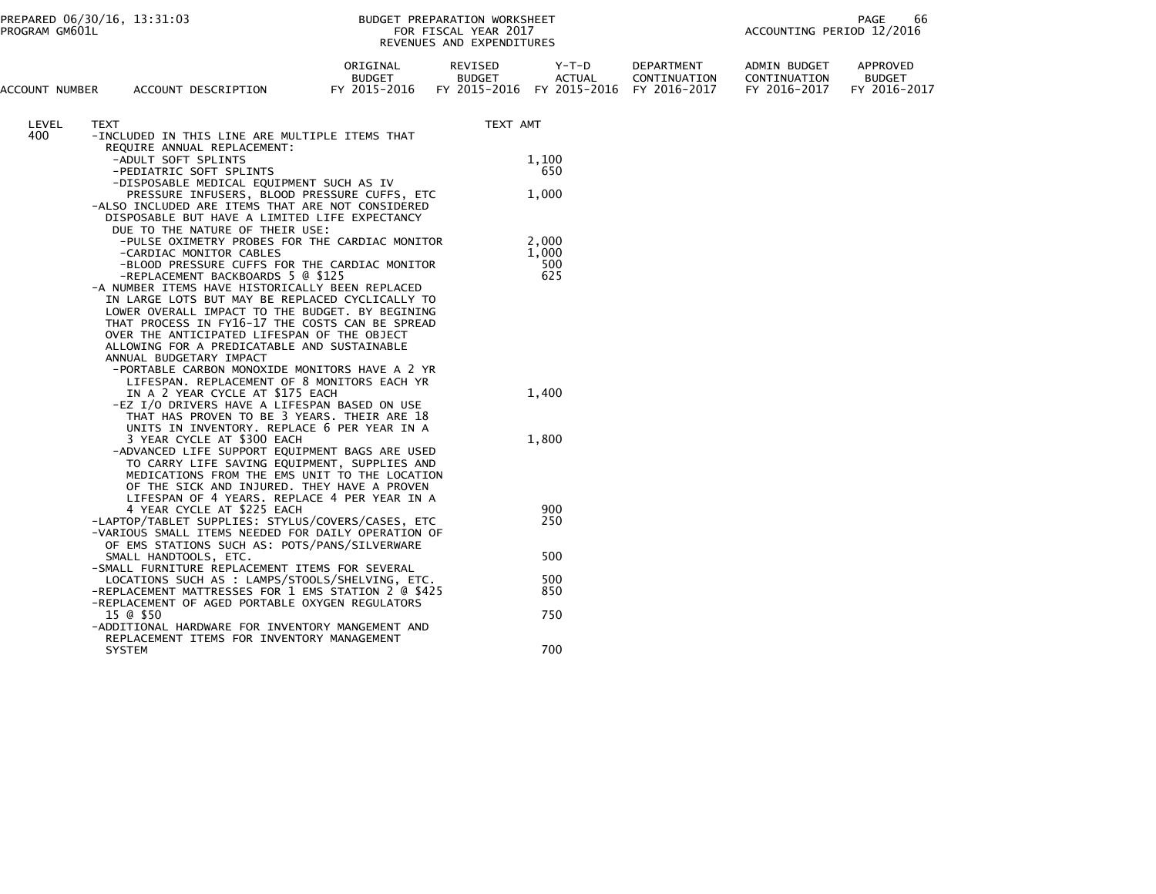## PREPARED 06/30/16, 13:31:03 PREPARATION WORKSHEET FREPARATION WORKSHEET PREPARATION WORKSHEET<br>FOR FISCAL YEAR 2017 ACCOUNTING PERIOD 12/2016<br>REVENUES AND EXPENDITURES

| ACCOUNT NUMBER | ACCOUNT DESCRIPTION                                                                                    | ORIGINAL<br><b>BUDGET</b><br>FY 2015-2016 | REVISED<br><b>BUDGET</b><br>FY 2015-2016 | Y-T-D<br><b>ACTUAL</b><br>FY 2015-2016 | DEPARTMENT<br>CONTINUATION<br>FY 2016-2017 | ADMIN BUDGET<br>CONTINUATION<br>FY 2016-2017 | APPROVED<br><b>BUDGET</b><br>FY 2016-2017 |
|----------------|--------------------------------------------------------------------------------------------------------|-------------------------------------------|------------------------------------------|----------------------------------------|--------------------------------------------|----------------------------------------------|-------------------------------------------|
| LEVEL          | <b>TEXT</b>                                                                                            |                                           | TEXT AMT                                 |                                        |                                            |                                              |                                           |
| 400            | -INCLUDED IN THIS LINE ARE MULTIPLE ITEMS THAT                                                         |                                           |                                          |                                        |                                            |                                              |                                           |
|                | REQUIRE ANNUAL REPLACEMENT:                                                                            |                                           |                                          |                                        |                                            |                                              |                                           |
|                | -ADULT SOFT SPLINTS<br>-PEDIATRIC SOFT SPLINTS                                                         |                                           |                                          | 1,100<br>650                           |                                            |                                              |                                           |
|                | -DISPOSABLE MEDICAL EQUIPMENT SUCH AS IV                                                               |                                           |                                          |                                        |                                            |                                              |                                           |
|                | PRESSURE INFUSERS, BLOOD PRESSURE CUFFS, ETC                                                           |                                           |                                          | 1,000                                  |                                            |                                              |                                           |
|                | -ALSO INCLUDED ARE ITEMS THAT ARE NOT CONSIDERED                                                       |                                           |                                          |                                        |                                            |                                              |                                           |
|                | DISPOSABLE BUT HAVE A LIMITED LIFE EXPECTANCY                                                          |                                           |                                          |                                        |                                            |                                              |                                           |
|                | DUE TO THE NATURE OF THEIR USE:                                                                        |                                           |                                          | 2,000                                  |                                            |                                              |                                           |
|                | -PULSE OXIMETRY PROBES FOR THE CARDIAC MONITOR<br>-CARDIAC MONITOR CABLES                              |                                           |                                          | 1,000                                  |                                            |                                              |                                           |
|                | -BLOOD PRESSURE CUFFS FOR THE CARDIAC MONITOR                                                          |                                           |                                          | 500                                    |                                            |                                              |                                           |
|                | -REPLACEMENT BACKBOARDS 5 @ \$125                                                                      |                                           |                                          | 625                                    |                                            |                                              |                                           |
|                | -A NUMBER ITEMS HAVE HISTORICALLY BEEN REPLACED                                                        |                                           |                                          |                                        |                                            |                                              |                                           |
|                | IN LARGE LOTS BUT MAY BE REPLACED CYCLICALLY TO                                                        |                                           |                                          |                                        |                                            |                                              |                                           |
|                | LOWER OVERALL IMPACT TO THE BUDGET. BY BEGINING                                                        |                                           |                                          |                                        |                                            |                                              |                                           |
|                | THAT PROCESS IN FY16-17 THE COSTS CAN BE SPREAD<br>OVER THE ANTICIPATED LIFESPAN OF THE OBJECT         |                                           |                                          |                                        |                                            |                                              |                                           |
|                | ALLOWING FOR A PREDICATABLE AND SUSTAINABLE                                                            |                                           |                                          |                                        |                                            |                                              |                                           |
|                | ANNUAL BUDGETARY IMPACT                                                                                |                                           |                                          |                                        |                                            |                                              |                                           |
|                | -PORTABLE CARBON MONOXIDE MONITORS HAVE A 2 YR                                                         |                                           |                                          |                                        |                                            |                                              |                                           |
|                | LIFESPAN. REPLACEMENT OF 8 MONITORS EACH YR                                                            |                                           |                                          |                                        |                                            |                                              |                                           |
|                | IN A 2 YEAR CYCLE AT \$175 EACH                                                                        |                                           |                                          | 1,400                                  |                                            |                                              |                                           |
|                | -EZ I/O DRIVERS HAVE A LIFESPAN BASED ON USE<br>THAT HAS PROVEN TO BE 3 YEARS. THEIR ARE 18            |                                           |                                          |                                        |                                            |                                              |                                           |
|                | UNITS IN INVENTORY. REPLACE 6 PER YEAR IN A                                                            |                                           |                                          |                                        |                                            |                                              |                                           |
|                | 3 YEAR CYCLE AT \$300 EACH                                                                             |                                           |                                          | 1,800                                  |                                            |                                              |                                           |
|                | -ADVANCED LIFE SUPPORT EQUIPMENT BAGS ARE USED                                                         |                                           |                                          |                                        |                                            |                                              |                                           |
|                | TO CARRY LIFE SAVING EQUIPMENT, SUPPLIES AND                                                           |                                           |                                          |                                        |                                            |                                              |                                           |
|                | MEDICATIONS FROM THE EMS UNIT TO THE LOCATION                                                          |                                           |                                          |                                        |                                            |                                              |                                           |
|                | OF THE SICK AND INJURED. THEY HAVE A PROVEN<br>LIFESPAN OF 4 YEARS. REPLACE 4 PER YEAR IN A            |                                           |                                          |                                        |                                            |                                              |                                           |
|                | 4 YEAR CYCLE AT \$225 EACH                                                                             |                                           |                                          | 900                                    |                                            |                                              |                                           |
|                | -LAPTOP/TABLET SUPPLIES: STYLUS/COVERS/CASES, ETC                                                      |                                           |                                          | 250                                    |                                            |                                              |                                           |
|                | -VARIOUS SMALL ITEMS NEEDED FOR DAILY OPERATION OF                                                     |                                           |                                          |                                        |                                            |                                              |                                           |
|                | OF EMS STATIONS SUCH AS: POTS/PANS/SILVERWARE                                                          |                                           |                                          |                                        |                                            |                                              |                                           |
|                | SMALL HANDTOOLS, ETC.                                                                                  |                                           |                                          | 500                                    |                                            |                                              |                                           |
|                | -SMALL FURNITURE REPLACEMENT ITEMS FOR SEVERAL                                                         |                                           |                                          |                                        |                                            |                                              |                                           |
|                | LOCATIONS SUCH AS : LAMPS/STOOLS/SHELVING, ETC.<br>-REPLACEMENT MATTRESSES FOR 1 EMS STATION 2 @ \$425 |                                           |                                          | 500<br>850                             |                                            |                                              |                                           |
|                | -REPLACEMENT OF AGED PORTABLE OXYGEN REGULATORS                                                        |                                           |                                          |                                        |                                            |                                              |                                           |
|                | 15 @ \$50                                                                                              |                                           |                                          | 750                                    |                                            |                                              |                                           |
|                | -ADDITIONAL HARDWARE FOR INVENTORY MANGEMENT AND                                                       |                                           |                                          |                                        |                                            |                                              |                                           |
|                | REPLACEMENT ITEMS FOR INVENTORY MANAGEMENT                                                             |                                           |                                          |                                        |                                            |                                              |                                           |
|                | <b>SYSTEM</b>                                                                                          |                                           |                                          | 700                                    |                                            |                                              |                                           |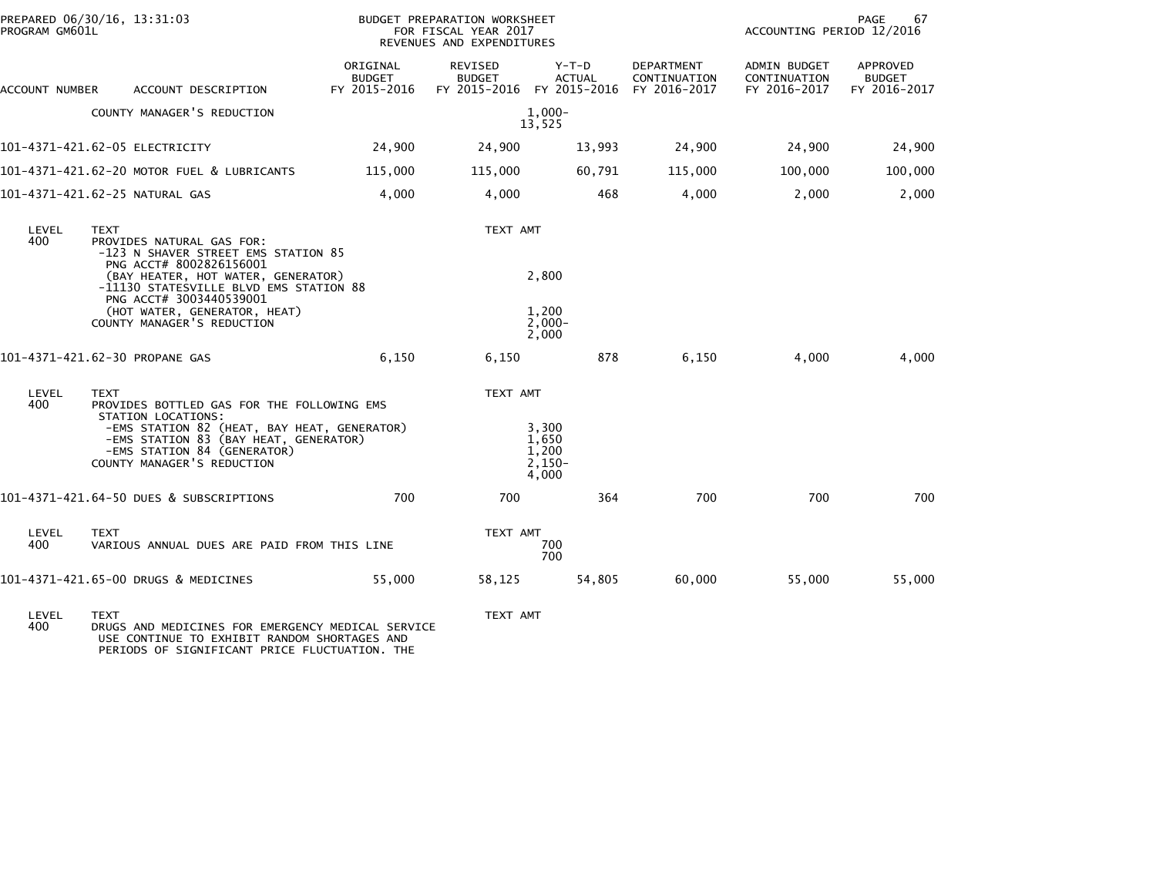| PROGRAM GM601L | PREPARED 06/30/16, 13:31:03                                                                                                                                             |                                           | BUDGET PREPARATION WORKSHEET<br>FOR FISCAL YEAR 2017<br>REVENUES AND EXPENDITURES | PAGE<br>67<br>ACCOUNTING PERIOD 12/2016                            |                            |                                              |                                                  |
|----------------|-------------------------------------------------------------------------------------------------------------------------------------------------------------------------|-------------------------------------------|-----------------------------------------------------------------------------------|--------------------------------------------------------------------|----------------------------|----------------------------------------------|--------------------------------------------------|
| ACCOUNT NUMBER | ACCOUNT DESCRIPTION                                                                                                                                                     | ORIGINAL<br><b>BUDGET</b><br>FY 2015-2016 | REVISED<br><b>BUDGET</b>                                                          | $Y-T-D$<br><b>ACTUAL</b><br>FY 2015-2016 FY 2015-2016 FY 2016-2017 | DEPARTMENT<br>CONTINUATION | ADMIN BUDGET<br>CONTINUATION<br>FY 2016-2017 | <b>APPROVED</b><br><b>BUDGET</b><br>FY 2016-2017 |
|                | COUNTY MANAGER'S REDUCTION                                                                                                                                              |                                           |                                                                                   | $1,000-$<br>13,525                                                 |                            |                                              |                                                  |
|                | 101-4371-421.62-05 ELECTRICITY                                                                                                                                          | 24,900                                    | 24,900                                                                            | 13,993                                                             | 24,900                     | 24,900                                       | 24,900                                           |
|                | 101-4371-421.62-20 MOTOR FUEL & LUBRICANTS                                                                                                                              | 115,000                                   | 115,000                                                                           | 60,791                                                             | 115,000                    | 100,000                                      | 100,000                                          |
|                | 101-4371-421.62-25 NATURAL GAS                                                                                                                                          | 4,000                                     | 4,000                                                                             | 468                                                                | 4,000                      | 2,000                                        | 2,000                                            |
| LEVEL<br>400   | <b>TEXT</b><br>PROVIDES NATURAL GAS FOR:<br>-123 N SHAVER STREET EMS STATION 85<br>PNG ACCT# 8002826156001                                                              |                                           | TEXT AMT                                                                          |                                                                    |                            |                                              |                                                  |
|                | (BAY HEATER, HOT WATER, GENERATOR)<br>-11130 STATESVILLE BLVD EMS STATION 88<br>PNG ACCT# 3003440539001<br>(HOT WATER, GENERATOR, HEAT)                                 |                                           |                                                                                   | 2,800<br>1,200                                                     |                            |                                              |                                                  |
|                | COUNTY MANAGER'S REDUCTION                                                                                                                                              |                                           |                                                                                   | $2,000-$<br>2,000                                                  |                            |                                              |                                                  |
|                | 101-4371-421.62-30 PROPANE GAS                                                                                                                                          | 6,150                                     | 6,150                                                                             | 878                                                                | 6,150                      | 4,000                                        | 4,000                                            |
| LEVEL<br>400   | <b>TEXT</b><br>PROVIDES BOTTLED GAS FOR THE FOLLOWING EMS                                                                                                               |                                           | TEXT AMT                                                                          |                                                                    |                            |                                              |                                                  |
|                | STATION LOCATIONS:<br>-EMS STATION 82 (HEAT, BAY HEAT, GENERATOR)<br>-EMS STATION 83 (BAY HEAT, GENERATOR)<br>-EMS STATION 84 (GENERATOR)<br>COUNTY MANAGER'S REDUCTION |                                           |                                                                                   | 3,300<br>1,650<br>1.200<br>$2,150-$<br>4,000                       |                            |                                              |                                                  |
|                | 101-4371-421.64-50 DUES & SUBSCRIPTIONS                                                                                                                                 | 700                                       | 700                                                                               | 364                                                                | 700                        | 700                                          | 700                                              |
| LEVEL<br>400   | <b>TEXT</b><br>VARIOUS ANNUAL DUES ARE PAID FROM THIS LINE                                                                                                              |                                           | TEXT AMT                                                                          | 700<br>700                                                         |                            |                                              |                                                  |
|                | 101-4371-421.65-00 DRUGS & MEDICINES                                                                                                                                    | 55,000                                    | 58,125                                                                            | 54,805                                                             | 60,000                     | 55,000                                       | 55,000                                           |
| LEVEL<br>400   | <b>TEXT</b><br>DRUGS AND MEDICINES FOR EMERGENCY MEDICAL SERVICE                                                                                                        |                                           | TEXT AMT                                                                          |                                                                    |                            |                                              |                                                  |

400 DRUGS AND MEDICINES FOR EMERGENCY MEDICAL SERVICE USE CONTINUE TO EXHIBIT RANDOM SHORTAGES AND PERIODS OF SIGNIFICANT PRICE FLUCTUATION. THE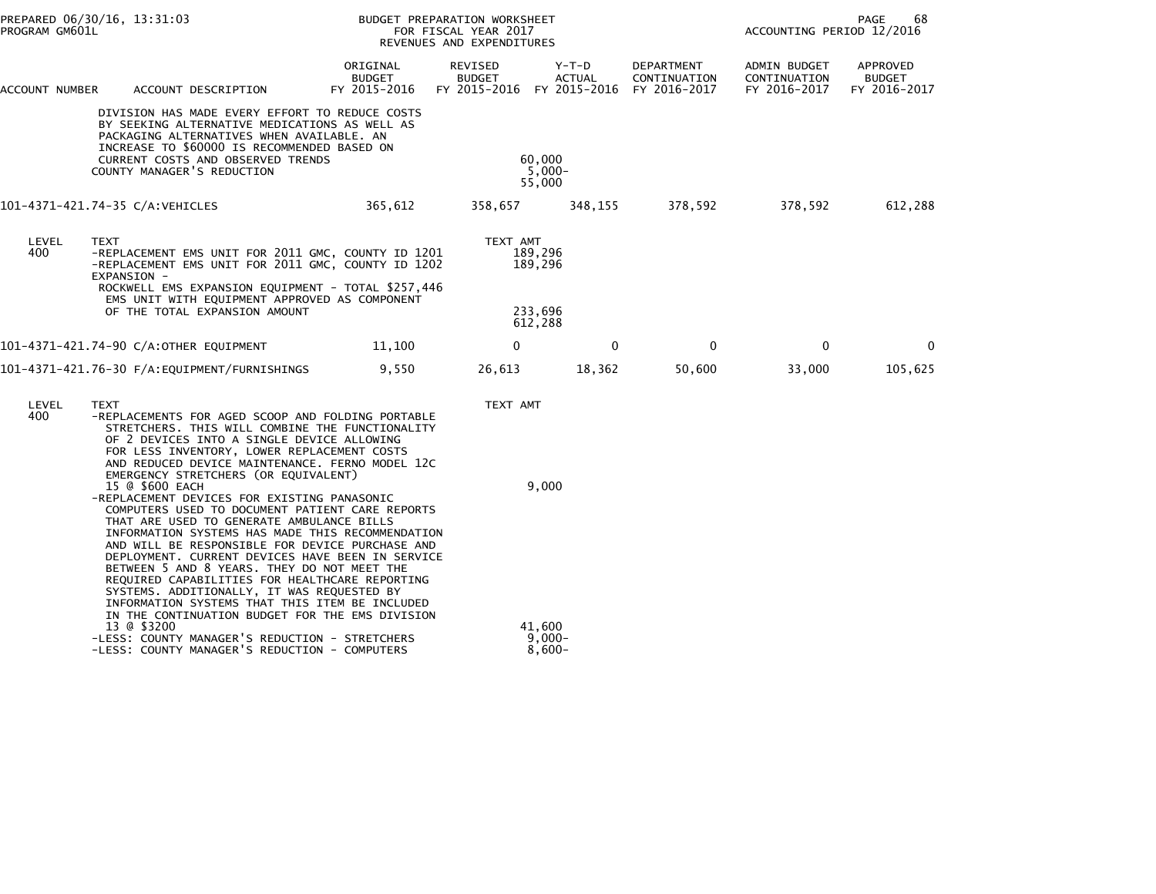| PROGRAM GM601L | PREPARED 06/30/16, 13:31:03                                                                                                                                                                                                                                                                                                                                                                                                                                                                                                                                                                  |                                           | BUDGET PREPARATION WORKSHEET<br>FOR FISCAL YEAR 2017<br>REVENUES AND EXPENDITURES |                              |                            | PAGE<br>68<br>ACCOUNTING PERIOD 12/2016      |                                           |  |
|----------------|----------------------------------------------------------------------------------------------------------------------------------------------------------------------------------------------------------------------------------------------------------------------------------------------------------------------------------------------------------------------------------------------------------------------------------------------------------------------------------------------------------------------------------------------------------------------------------------------|-------------------------------------------|-----------------------------------------------------------------------------------|------------------------------|----------------------------|----------------------------------------------|-------------------------------------------|--|
| ACCOUNT NUMBER | ACCOUNT DESCRIPTION                                                                                                                                                                                                                                                                                                                                                                                                                                                                                                                                                                          | ORIGINAL<br><b>BUDGET</b><br>FY 2015-2016 | REVISED<br><b>BUDGET</b><br>FY 2015-2016 FY 2015-2016 FY 2016-2017                | Y-T-D<br><b>ACTUAL</b>       | DEPARTMENT<br>CONTINUATION | ADMIN BUDGET<br>CONTINUATION<br>FY 2016-2017 | APPROVED<br><b>BUDGET</b><br>FY 2016-2017 |  |
|                | DIVISION HAS MADE EVERY EFFORT TO REDUCE COSTS<br>BY SEEKING ALTERNATIVE MEDICATIONS AS WELL AS<br>PACKAGING ALTERNATIVES WHEN AVAILABLE. AN<br>INCREASE TO \$60000 IS RECOMMENDED BASED ON<br><b>CURRENT COSTS AND OBSERVED TRENDS</b><br>COUNTY MANAGER'S REDUCTION                                                                                                                                                                                                                                                                                                                        |                                           |                                                                                   | 60,000<br>$5,000-$<br>55,000 |                            |                                              |                                           |  |
|                | 101-4371-421.74-35 C/A:VEHICLES                                                                                                                                                                                                                                                                                                                                                                                                                                                                                                                                                              | 365,612                                   | 358,657                                                                           | 348,155                      | 378,592                    | 378,592                                      | 612,288                                   |  |
| LEVEL<br>400   | <b>TEXT</b><br>-REPLACEMENT EMS UNIT FOR 2011 GMC, COUNTY ID 1201<br>-REPLACEMENT EMS UNIT FOR 2011 GMC, COUNTY ID 1202                                                                                                                                                                                                                                                                                                                                                                                                                                                                      |                                           | TEXT AMT<br>189,296<br>189,296                                                    |                              |                            |                                              |                                           |  |
|                | EXPANSION -<br>ROCKWELL EMS EXPANSION EQUIPMENT - TOTAL \$257,446<br>EMS UNIT WITH EQUIPMENT APPROVED AS COMPONENT<br>OF THE TOTAL EXPANSION AMOUNT                                                                                                                                                                                                                                                                                                                                                                                                                                          |                                           | 233,696<br>612,288                                                                |                              |                            |                                              |                                           |  |
|                | 101-4371-421.74-90 C/A:OTHER EQUIPMENT                                                                                                                                                                                                                                                                                                                                                                                                                                                                                                                                                       | 11,100                                    | 0                                                                                 | 0                            | 0                          | 0                                            | $\mathbf{0}$                              |  |
|                |                                                                                                                                                                                                                                                                                                                                                                                                                                                                                                                                                                                              | 9,550                                     | 26,613                                                                            | 18,362                       | 50,600                     | 33,000                                       | 105,625                                   |  |
| LEVEL<br>400   | TEXT<br>-REPLACEMENTS FOR AGED SCOOP AND FOLDING PORTABLE<br>STRETCHERS. THIS WILL COMBINE THE FUNCTIONALITY<br>OF 2 DEVICES INTO A SINGLE DEVICE ALLOWING<br>FOR LESS INVENTORY, LOWER REPLACEMENT COSTS<br>AND REDUCED DEVICE MAINTENANCE. FERNO MODEL 12C<br>EMERGENCY STRETCHERS (OR EQUIVALENT)                                                                                                                                                                                                                                                                                         |                                           | TEXT AMT                                                                          |                              |                            |                                              |                                           |  |
|                | 15 @ \$600 EACH<br>-REPLACEMENT DEVICES FOR EXISTING PANASONIC<br>COMPUTERS USED TO DOCUMENT PATIENT CARE REPORTS<br>THAT ARE USED TO GENERATE AMBULANCE BILLS<br>INFORMATION SYSTEMS HAS MADE THIS RECOMMENDATION<br>AND WILL BE RESPONSIBLE FOR DEVICE PURCHASE AND<br>DEPLOYMENT. CURRENT DEVICES HAVE BEEN IN SERVICE<br>BETWEEN 5 AND 8 YEARS. THEY DO NOT MEET THE<br>REQUIRED CAPABILITIES FOR HEALTHCARE REPORTING<br>SYSTEMS. ADDITIONALLY, IT WAS REQUESTED BY<br>INFORMATION SYSTEMS THAT THIS ITEM BE INCLUDED<br>IN THE CONTINUATION BUDGET FOR THE EMS DIVISION<br>13 @ \$3200 |                                           |                                                                                   | 9,000<br>41,600              |                            |                                              |                                           |  |
|                | -LESS: COUNTY MANAGER'S REDUCTION - STRETCHERS<br>-LESS: COUNTY MANAGER'S REDUCTION - COMPUTERS                                                                                                                                                                                                                                                                                                                                                                                                                                                                                              |                                           |                                                                                   | $9,000 -$<br>$8,600-$        |                            |                                              |                                           |  |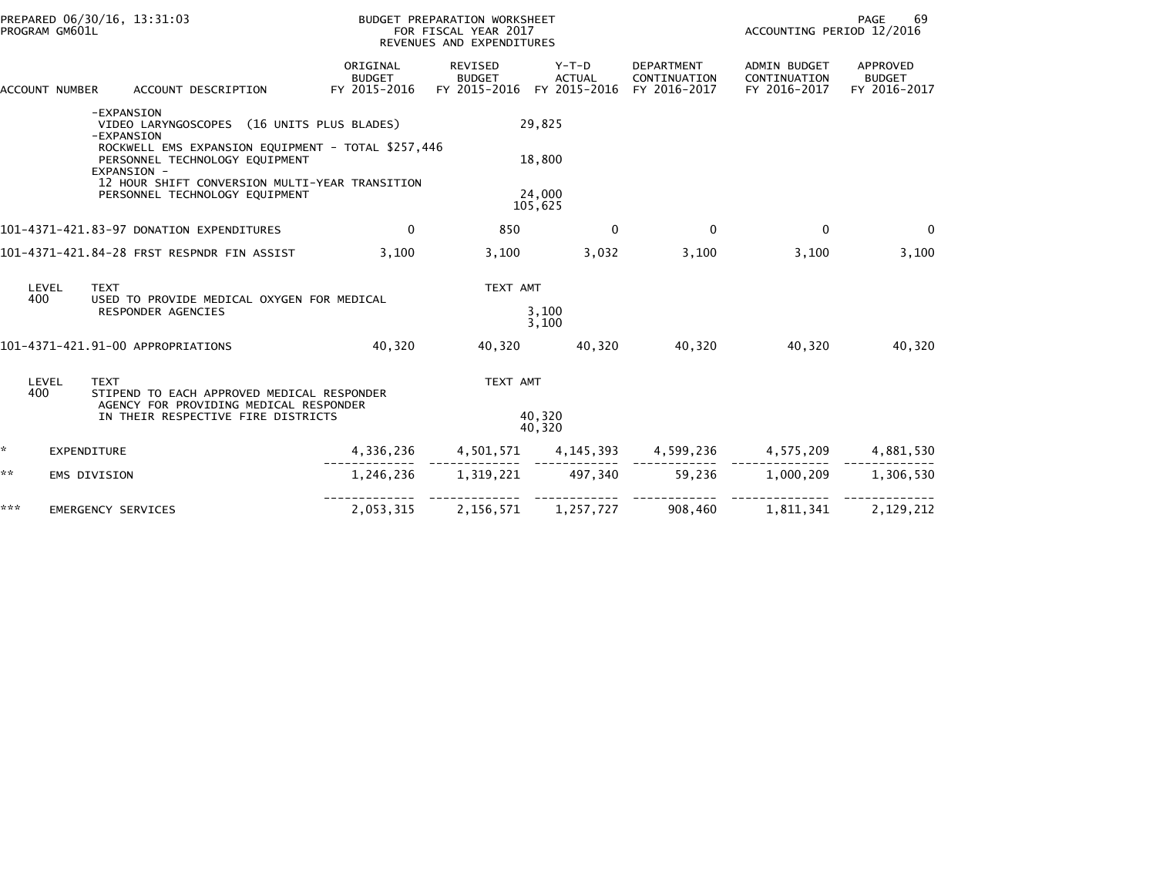| PREPARED 06/30/16, 13:31:03<br>PROGRAM GM601L |                                                                                                     | BUDGET PREPARATION WORKSHEET<br>FOR FISCAL YEAR 2017<br>REVENUES AND EXPENDITURES |                                                       |                   |                                                   | PAGE<br>69<br>ACCOUNTING PERIOD 12/2016                     |                                           |  |
|-----------------------------------------------|-----------------------------------------------------------------------------------------------------|-----------------------------------------------------------------------------------|-------------------------------------------------------|-------------------|---------------------------------------------------|-------------------------------------------------------------|-------------------------------------------|--|
| ACCOUNT NUMBER                                | ACCOUNT DESCRIPTION                                                                                 | ORIGINAL<br><b>BUDGET</b><br>FY 2015-2016                                         | REVISED<br><b>BUDGET</b><br>FY 2015-2016 FY 2015-2016 | Y-T-D<br>ACTUAL   | <b>DEPARTMENT</b><br>CONTINUATION<br>FY 2016-2017 | <b>ADMIN BUDGET</b><br>CONTINUATION<br>FY 2016-2017         | APPROVED<br><b>BUDGET</b><br>FY 2016-2017 |  |
|                                               | -EXPANSION<br>VIDEO LARYNGOSCOPES (16 UNITS PLUS BLADES)<br>-EXPANSION                              |                                                                                   |                                                       | 29,825            |                                                   |                                                             |                                           |  |
|                                               | ROCKWELL EMS EXPANSION EQUIPMENT - TOTAL \$257,446<br>PERSONNEL TECHNOLOGY EQUIPMENT<br>EXPANSION - |                                                                                   |                                                       | 18,800            |                                                   |                                                             |                                           |  |
|                                               | 12 HOUR SHIFT CONVERSION MULTI-YEAR TRANSITION<br>PERSONNEL TECHNOLOGY EQUIPMENT                    |                                                                                   |                                                       | 24,000<br>105,625 |                                                   |                                                             |                                           |  |
|                                               | 101-4371-421.83-97 DONATION EXPENDITURES                                                            | $\mathbf{0}$                                                                      | 850                                                   | $\mathbf{0}$      | $\Omega$                                          | $\mathbf{0}$                                                | $\mathbf{0}$                              |  |
|                                               | 101-4371-421.84-28 FRST RESPNDR FIN ASSIST                                                          | 3.100                                                                             | 3,100                                                 | 3,032             | 3,100                                             | 3,100                                                       | 3,100                                     |  |
| LEVEL                                         | <b>TEXT</b>                                                                                         |                                                                                   | TEXT AMT                                              |                   |                                                   |                                                             |                                           |  |
| 400                                           | USED TO PROVIDE MEDICAL OXYGEN FOR MEDICAL<br><b>RESPONDER AGENCIES</b>                             |                                                                                   |                                                       | 3.100<br>3,100    |                                                   |                                                             |                                           |  |
|                                               | 101-4371-421.91-00 APPROPRIATIONS                                                                   | 40.320                                                                            | 40,320                                                | 40.320            | 40.320                                            | 40,320                                                      | 40,320                                    |  |
| LEVEL<br>400                                  | <b>TEXT</b><br>STIPEND TO EACH APPROVED MEDICAL RESPONDER                                           |                                                                                   | TEXT AMT                                              |                   |                                                   |                                                             |                                           |  |
|                                               | AGENCY FOR PROVIDING MEDICAL RESPONDER<br>IN THEIR RESPECTIVE FIRE DISTRICTS                        |                                                                                   |                                                       | 40,320<br>40.320  |                                                   |                                                             |                                           |  |
| *.<br><b>EXPENDITURE</b>                      |                                                                                                     | 4,336,236                                                                         |                                                       |                   |                                                   | $4,501,571$ $4,145,393$ $4,599,236$ $4,575,209$ $4,881,530$ |                                           |  |
| **<br><b>EMS DIVISION</b>                     |                                                                                                     |                                                                                   | 1.246.236 1.319.221 497.340                           |                   |                                                   | 59.236 1.000.209                                            | 1.306.530                                 |  |
| ***                                           | EMERGENCY SERVICES                                                                                  | 2,053,315                                                                         | 2,156,571                                             | 1,257,727         | 908,460                                           | 1,811,341                                                   | 2,129,212                                 |  |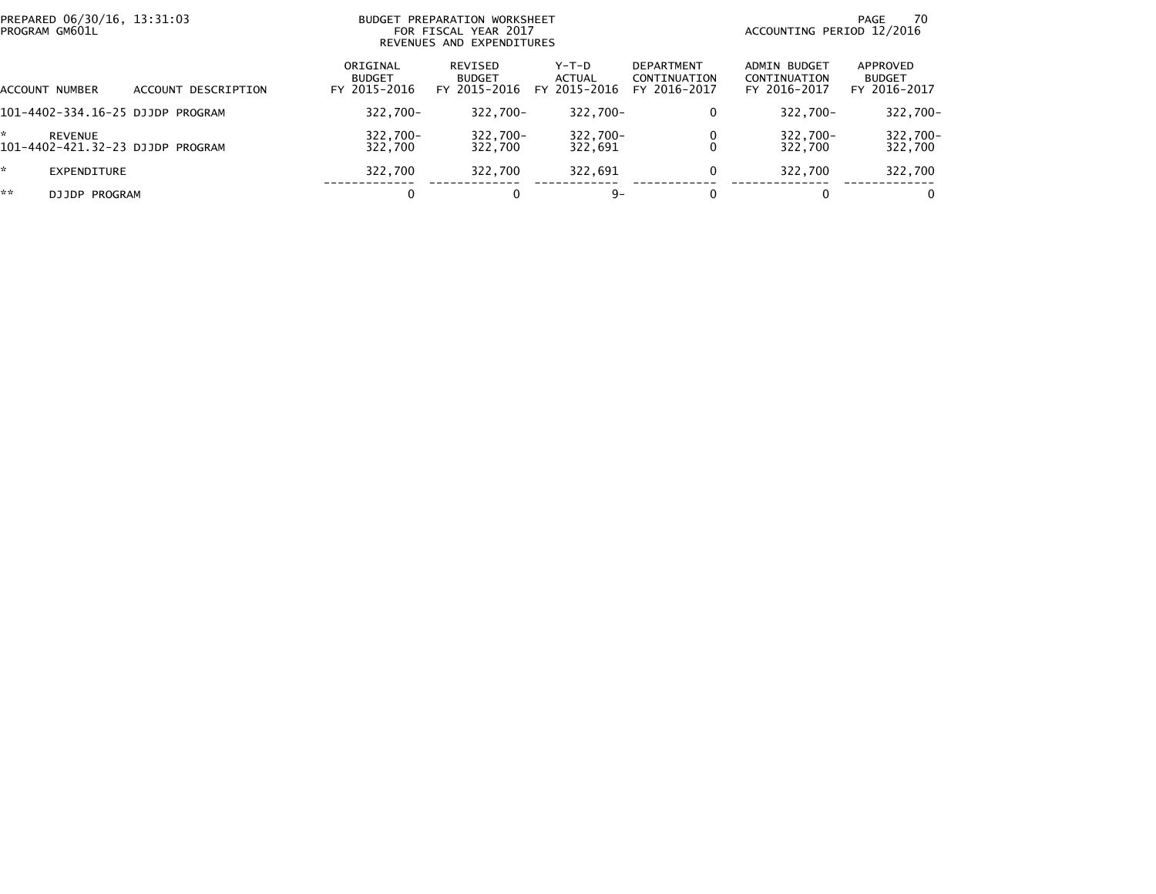| PREPARED 06/30/16, 13:31:03<br>PROGRAM GM601L                 |                        |                                           | BUDGET PREPARATION WORKSHEET<br>FOR FISCAL YEAR 2017<br>REVENUES AND EXPENDITURES | 70<br>PAGE<br>ACCOUNTING PERIOD 12/2016 |                                            |                                              |                                           |
|---------------------------------------------------------------|------------------------|-------------------------------------------|-----------------------------------------------------------------------------------|-----------------------------------------|--------------------------------------------|----------------------------------------------|-------------------------------------------|
| ACCOUNT NUMBER                                                | DESCRIPTION<br>ACCOUNT | ORIGINAL<br><b>BUDGET</b><br>FY 2015-2016 | REVISED<br><b>BUDGET</b><br>FY 2015-2016                                          | Y-T-D<br>ACTUAL<br>FY 2015-2016         | DEPARTMENT<br>CONTINUATION<br>FY 2016-2017 | ADMIN BUDGET<br>CONTINUATION<br>FY 2016-2017 | APPROVED<br><b>BUDGET</b><br>FY 2016-2017 |
| 101-4402-334.16-25 DJJDP PROGRAM                              |                        | 322.700-                                  | $322.700 -$                                                                       | 322,700-                                | 0                                          | $322.700 -$                                  | 322,700-                                  |
| $\star$<br><b>REVENUE</b><br>101-4402-421.32-23 DJJDP PROGRAM |                        | 322.700-<br>322,700                       | 322,700-<br>322,700                                                               | 322,700-<br>322,691                     | 0                                          | 322,700-<br>322,700                          | $322,700 -$<br>322,700                    |
| *.<br>EXPENDITURE                                             |                        | 322,700                                   | 322.700                                                                           | 322,691                                 | 0                                          | 322.700                                      | 322,700                                   |
| **<br>DJJDP PROGRAM                                           |                        | 0                                         |                                                                                   | $9 -$                                   | 0                                          | 0                                            | 0                                         |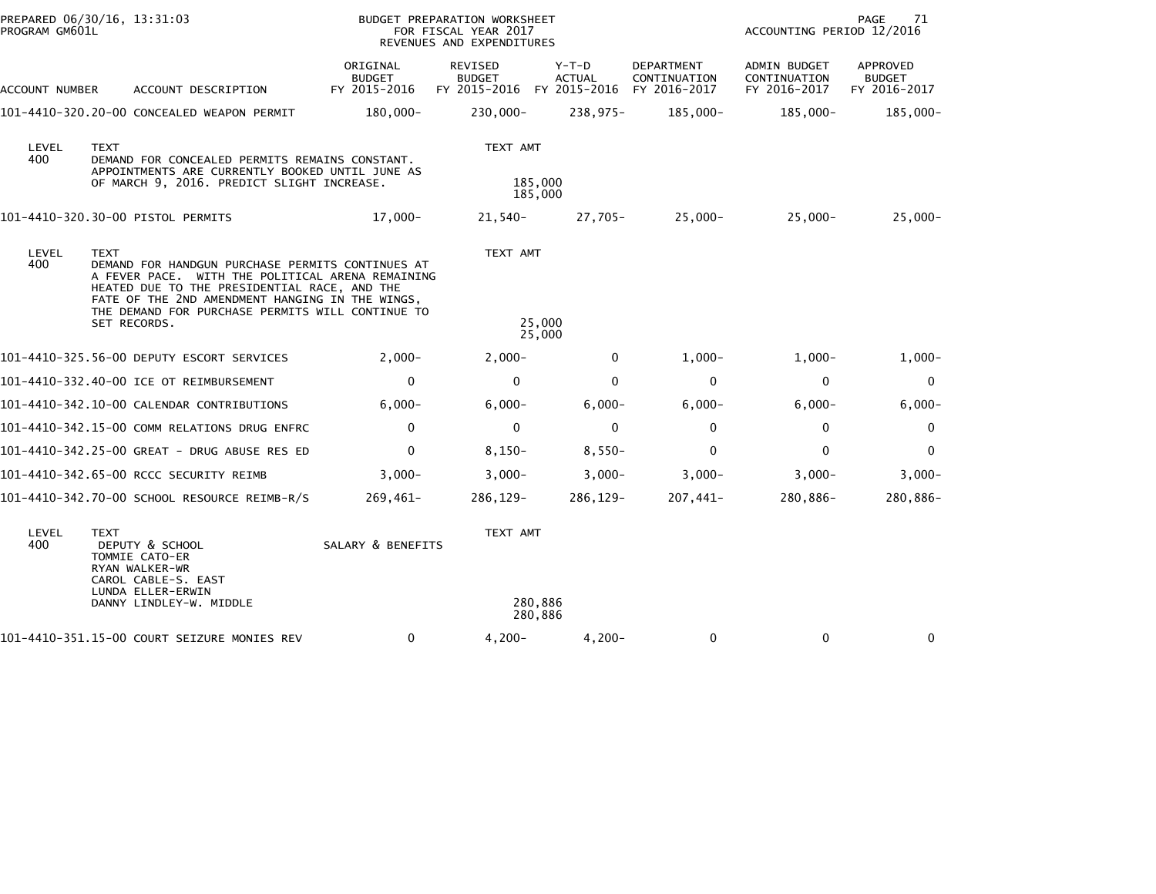| PROGRAM GM601L | PREPARED 06/30/16, 13:31:03                                                                                                                                                                                                                                                                                                |                                           | BUDGET PREPARATION WORKSHEET<br>FOR FISCAL YEAR 2017<br>REVENUES AND EXPENDITURES | 71<br>PAGE<br>ACCOUNTING PERIOD 12/2016 |                                            |                                                     |                                           |  |  |
|----------------|----------------------------------------------------------------------------------------------------------------------------------------------------------------------------------------------------------------------------------------------------------------------------------------------------------------------------|-------------------------------------------|-----------------------------------------------------------------------------------|-----------------------------------------|--------------------------------------------|-----------------------------------------------------|-------------------------------------------|--|--|
| ACCOUNT NUMBER | ACCOUNT DESCRIPTION                                                                                                                                                                                                                                                                                                        | ORIGINAL<br><b>BUDGET</b><br>FY 2015-2016 | REVISED<br><b>BUDGET</b><br>FY 2015-2016                                          | Y-T-D<br><b>ACTUAL</b><br>FY 2015-2016  | DEPARTMENT<br>CONTINUATION<br>FY 2016-2017 | <b>ADMIN BUDGET</b><br>CONTINUATION<br>FY 2016-2017 | APPROVED<br><b>BUDGET</b><br>FY 2016-2017 |  |  |
|                | 101-4410-320.20-00 CONCEALED WEAPON PERMIT                                                                                                                                                                                                                                                                                 | 180,000-                                  | 230,000-                                                                          | 238.975-                                | 185,000-                                   | 185,000-                                            | 185,000-                                  |  |  |
| LEVEL<br>400   | <b>TEXT</b><br>DEMAND FOR CONCEALED PERMITS REMAINS CONSTANT.<br>APPOINTMENTS ARE CURRENTLY BOOKED UNTIL JUNE AS<br>OF MARCH 9, 2016. PREDICT SLIGHT INCREASE.                                                                                                                                                             |                                           | TEXT AMT<br>185,000<br>185,000                                                    |                                         |                                            |                                                     |                                           |  |  |
|                | 101-4410-320.30-00 PISTOL PERMITS                                                                                                                                                                                                                                                                                          | $17.000 -$                                | 21,540-                                                                           | 27.705-                                 | $25.000 -$                                 | $25,000 -$                                          | $25,000 -$                                |  |  |
| LEVEL<br>400   | TEXT AMT<br><b>TEXT</b><br>DEMAND FOR HANDGUN PURCHASE PERMITS CONTINUES AT<br>A FEVER PACE. WITH THE POLITICAL ARENA REMAINING<br>HEATED DUE TO THE PRESIDENTIAL RACE, AND THE<br>FATE OF THE 2ND AMENDMENT HANGING IN THE WINGS,<br>THE DEMAND FOR PURCHASE PERMITS WILL CONTINUE TO<br>25,000<br>SET RECORDS.<br>25,000 |                                           |                                                                                   |                                         |                                            |                                                     |                                           |  |  |
|                | 101-4410-325.56-00 DEPUTY ESCORT SERVICES                                                                                                                                                                                                                                                                                  | $2.000 -$                                 | $2,000-$                                                                          | $\Omega$                                | $1,000-$                                   | $1,000-$                                            | $1,000-$                                  |  |  |
|                | 101-4410-332.40-00 ICE OT REIMBURSEMENT                                                                                                                                                                                                                                                                                    | 0                                         | $\Omega$                                                                          | $\mathbf{0}$                            | $\mathbf{0}$                               | $\mathbf{0}$                                        | $\mathbf{0}$                              |  |  |
|                | 101-4410-342.10-00 CALENDAR CONTRIBUTIONS                                                                                                                                                                                                                                                                                  | $6,000 -$                                 | $6,000 -$                                                                         | $6,000 -$                               | $6,000 -$                                  | $6,000-$                                            | $6,000 -$                                 |  |  |
|                | 101-4410-342.15-00 COMM RELATIONS DRUG ENFRC                                                                                                                                                                                                                                                                               | $\mathbf 0$                               | $\mathbf 0$                                                                       | $\mathbf 0$                             | $\mathbf 0$                                | $\mathbf 0$                                         | 0                                         |  |  |
|                | 101-4410-342.25-00 GREAT - DRUG ABUSE RES ED                                                                                                                                                                                                                                                                               | $\mathbf 0$                               | $8,150-$                                                                          | $8,550-$                                | 0                                          | $\Omega$                                            | $\mathbf{0}$                              |  |  |
|                | 101-4410-342.65-00 RCCC SECURITY REIMB                                                                                                                                                                                                                                                                                     | $3,000-$                                  | $3,000-$                                                                          | $3,000-$                                | $3,000-$                                   | $3,000-$                                            | $3,000-$                                  |  |  |
|                | 101-4410-342.70-00 SCHOOL RESOURCE REIMB-R/S                                                                                                                                                                                                                                                                               | 269,461-                                  | 286,129-                                                                          | 286,129-                                | 207,441-                                   | 280,886-                                            | 280,886-                                  |  |  |
| LEVEL<br>400   | <b>TEXT</b><br>DEPUTY & SCHOOL<br>TOMMIE CATO-ER                                                                                                                                                                                                                                                                           | SALARY & BENEFITS                         | TEXT AMT                                                                          |                                         |                                            |                                                     |                                           |  |  |

| RYAN WALKER-WR<br>CAROL CABLE-S. EAST<br>LUNDA ELLER-ERWIN |  |                    |           |  |  |  |  |  |
|------------------------------------------------------------|--|--------------------|-----------|--|--|--|--|--|
| DANNY LINDLEY-W. MIDDLE                                    |  | 280,886<br>280.886 |           |  |  |  |  |  |
| 101–4410–351.15–00 COURT SEIZURE MONIES REV                |  | $4.200 -$          | $4.200 -$ |  |  |  |  |  |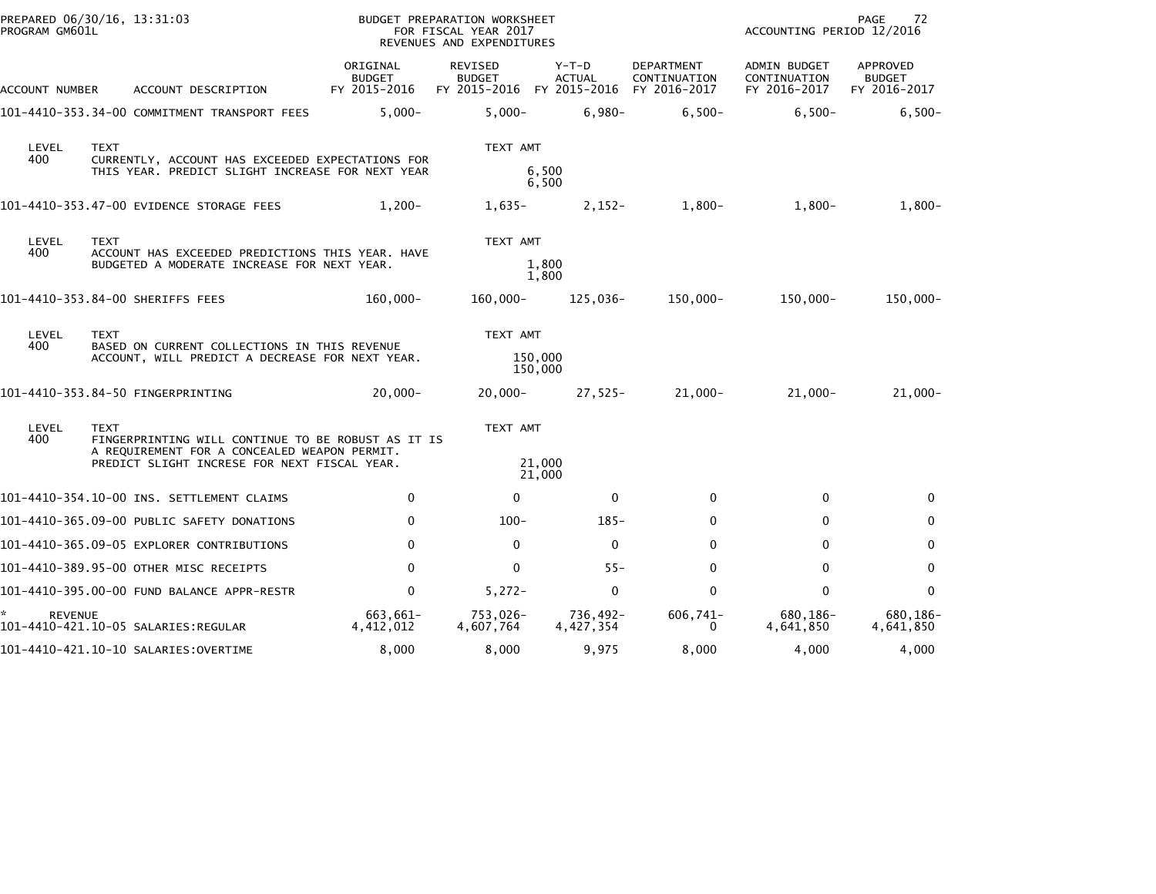| PREPARED 06/30/16, 13:31:03<br>PROGRAM GM601L         |                                                                                                                                                                   |                                                                                                 |                                                                                                 | BUDGET PREPARATION WORKSHEET<br>FOR FISCAL YEAR 2017<br>REVENUES AND EXPENDITURES                    |                                                       |                              |                        |                                            | PAGE<br>72<br>ACCOUNTING PERIOD 12/2016      |                                           |  |
|-------------------------------------------------------|-------------------------------------------------------------------------------------------------------------------------------------------------------------------|-------------------------------------------------------------------------------------------------|-------------------------------------------------------------------------------------------------|------------------------------------------------------------------------------------------------------|-------------------------------------------------------|------------------------------|------------------------|--------------------------------------------|----------------------------------------------|-------------------------------------------|--|
| ACCOUNT NUMBER                                        |                                                                                                                                                                   | ACCOUNT DESCRIPTION                                                                             |                                                                                                 | ORIGINAL<br><b>BUDGET</b><br>FY 2015-2016                                                            | REVISED<br><b>BUDGET</b><br>FY 2015-2016 FY 2015-2016 |                              | Y-T-D<br><b>ACTUAL</b> | DEPARTMENT<br>CONTINUATION<br>FY 2016-2017 | ADMIN BUDGET<br>CONTINUATION<br>FY 2016-2017 | APPROVED<br><b>BUDGET</b><br>FY 2016-2017 |  |
|                                                       |                                                                                                                                                                   |                                                                                                 | 101-4410-353.34-00 COMMITMENT TRANSPORT FEES                                                    | $5.000 -$                                                                                            | $5,000 -$                                             |                              | $6.980 -$              | $6.500 -$                                  | $6.500 -$                                    | $6,500-$                                  |  |
| LEVEL<br>400                                          | <b>TEXT</b>                                                                                                                                                       |                                                                                                 |                                                                                                 | CURRENTLY, ACCOUNT HAS EXCEEDED EXPECTATIONS FOR<br>THIS YEAR. PREDICT SLIGHT INCREASE FOR NEXT YEAR | TEXT AMT                                              | 6,500<br>6,500               |                        |                                            |                                              |                                           |  |
| 101-4410-353.47-00 EVIDENCE STORAGE FEES              |                                                                                                                                                                   |                                                                                                 |                                                                                                 | $1,200-$                                                                                             | $1,635-$                                              |                              | $2,152-$               | $1,800-$                                   | $1,800-$                                     | $1,800-$                                  |  |
| LEVEL<br>400                                          | <b>TEXT</b>                                                                                                                                                       | ACCOUNT HAS EXCEEDED PREDICTIONS THIS YEAR. HAVE<br>BUDGETED A MODERATE INCREASE FOR NEXT YEAR. | TEXT AMT<br>1,800<br>1,800                                                                      |                                                                                                      |                                                       |                              |                        |                                            |                                              |                                           |  |
| 101-4410-353.84-00 SHERIFFS FEES                      |                                                                                                                                                                   |                                                                                                 |                                                                                                 | 160,000-                                                                                             | 160,000-                                              |                              | 125,036-               | 150,000-                                   | 150,000-                                     | $150,000 -$                               |  |
| LEVEL<br>400                                          | <b>TEXT</b>                                                                                                                                                       |                                                                                                 | BASED ON CURRENT COLLECTIONS IN THIS REVENUE<br>ACCOUNT, WILL PREDICT A DECREASE FOR NEXT YEAR. |                                                                                                      | TEXT AMT                                              | 150,000<br>150,000           |                        |                                            |                                              |                                           |  |
| 101-4410-353.84-50 FINGERPRINTING                     |                                                                                                                                                                   |                                                                                                 |                                                                                                 | $20,000 -$                                                                                           | $20,000 -$                                            |                              | $27,525-$              | 21,000-                                    | $21,000 -$                                   | $21,000-$                                 |  |
| LEVEL<br>400                                          | <b>TEXT</b><br>FINGERPRINTING WILL CONTINUE TO BE ROBUST AS IT IS<br>A REQUIREMENT FOR A CONCEALED WEAPON PERMIT.<br>PREDICT SLIGHT INCRESE FOR NEXT FISCAL YEAR. |                                                                                                 |                                                                                                 |                                                                                                      |                                                       | TEXT AMT<br>21,000<br>21,000 |                        |                                            |                                              |                                           |  |
| 101-4410-354.10-00 INS. SETTLEMENT CLAIMS             |                                                                                                                                                                   |                                                                                                 |                                                                                                 | $\mathbf{0}$                                                                                         | $\Omega$                                              |                              | $\mathbf 0$            | $\mathbf{0}$                               | $\mathbf{0}$                                 | 0                                         |  |
| 101-4410-365.09-00 PUBLIC SAFETY DONATIONS            |                                                                                                                                                                   |                                                                                                 |                                                                                                 | 0                                                                                                    | $100 -$                                               |                              | $185 -$                | 0                                          | 0                                            | 0                                         |  |
| 101-4410-365.09-05 EXPLORER CONTRIBUTIONS             |                                                                                                                                                                   |                                                                                                 |                                                                                                 | $\mathbf{0}$                                                                                         | $\mathbf{0}$                                          |                              | $\Omega$               | 0                                          | 0                                            | 0                                         |  |
| 101-4410-389.95-00 OTHER MISC RECEIPTS                |                                                                                                                                                                   |                                                                                                 |                                                                                                 | $\mathbf{0}$                                                                                         | $\Omega$                                              |                              | $55 -$                 | $\mathbf{0}$                               | $\Omega$                                     | $\mathbf 0$                               |  |
| 101-4410-395.00-00 FUND BALANCE APPR-RESTR            |                                                                                                                                                                   |                                                                                                 |                                                                                                 | 0                                                                                                    | $5,272-$                                              |                              | $\mathbf 0$            | $\mathbf 0$                                | $\Omega$                                     | $\mathbf 0$                               |  |
| <b>REVENUE</b><br>101-4410-421.10-05 SALARIES:REGULAR |                                                                                                                                                                   |                                                                                                 |                                                                                                 | 663,661-<br>4,412,012                                                                                | 753,026-<br>4,607,764                                 |                              | 736,492-<br>4,427,354  | 606,741-<br>0                              | 680,186-<br>4,641,850                        | 680,186-<br>4,641,850                     |  |
| 101-4410-421.10-10 SALARIES:OVERTIME                  |                                                                                                                                                                   |                                                                                                 |                                                                                                 | 8,000                                                                                                | 8,000                                                 |                              | 9,975                  | 8,000                                      | 4,000                                        | 4,000                                     |  |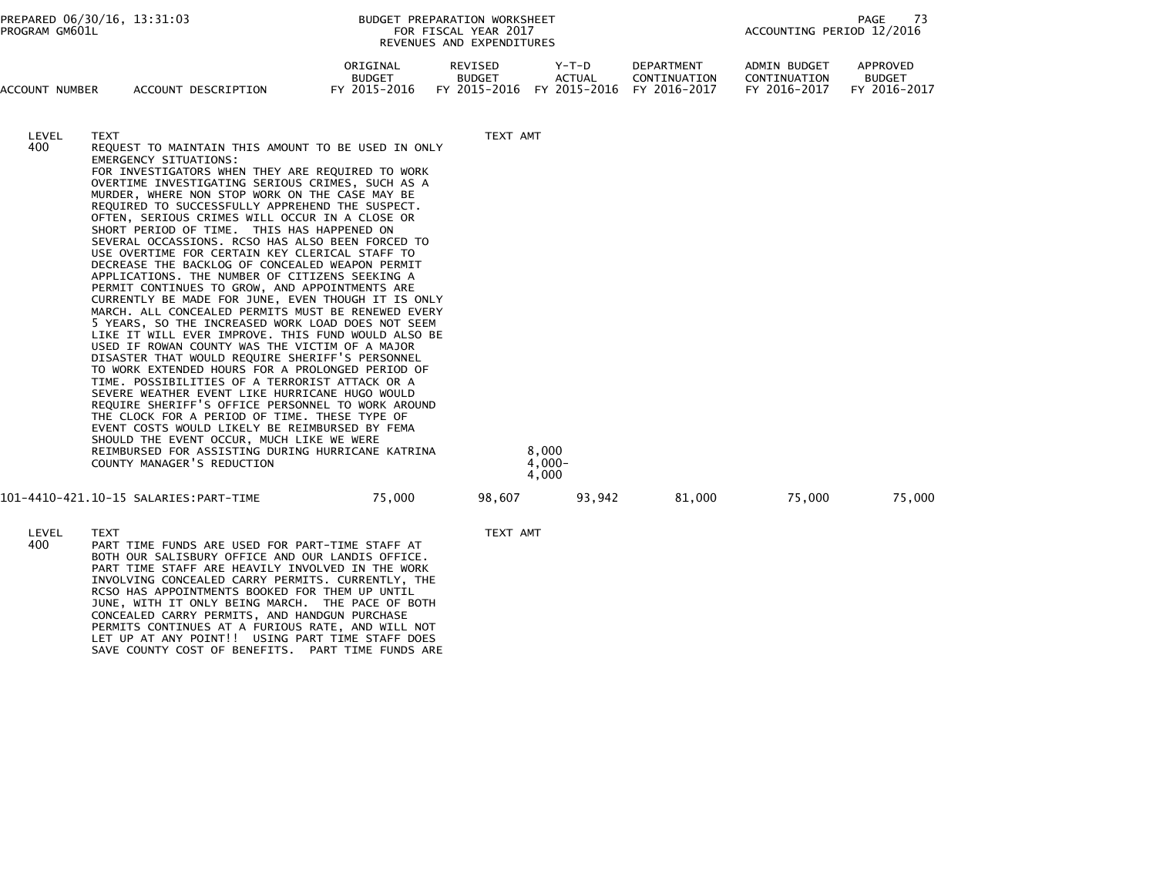| PREPARED 06/30/16, 13:31:03<br>PROGRAM GM601L |                                      |                                                                                                                                                                                                                                                                                                                                                                                                                                                                                                                                                                                                                                                                                                                                                                                                                                                                                                                                                                                                                                                                                                                                                                                                                                                                                                                                                                                                          |                                           | BUDGET PREPARATION WORKSHEET<br>FOR FISCAL YEAR 2017<br>REVENUES AND EXPENDITURES | PAGE<br>-73<br>ACCOUNTING PERIOD 12/2016 |                                            |                                                     |                                           |
|-----------------------------------------------|--------------------------------------|----------------------------------------------------------------------------------------------------------------------------------------------------------------------------------------------------------------------------------------------------------------------------------------------------------------------------------------------------------------------------------------------------------------------------------------------------------------------------------------------------------------------------------------------------------------------------------------------------------------------------------------------------------------------------------------------------------------------------------------------------------------------------------------------------------------------------------------------------------------------------------------------------------------------------------------------------------------------------------------------------------------------------------------------------------------------------------------------------------------------------------------------------------------------------------------------------------------------------------------------------------------------------------------------------------------------------------------------------------------------------------------------------------|-------------------------------------------|-----------------------------------------------------------------------------------|------------------------------------------|--------------------------------------------|-----------------------------------------------------|-------------------------------------------|
| ACCOUNT NUMBER                                |                                      | ACCOUNT DESCRIPTION                                                                                                                                                                                                                                                                                                                                                                                                                                                                                                                                                                                                                                                                                                                                                                                                                                                                                                                                                                                                                                                                                                                                                                                                                                                                                                                                                                                      | ORIGINAL<br><b>BUDGET</b><br>FY 2015-2016 | REVISED<br><b>BUDGET</b><br>FY 2015-2016 FY 2015-2016                             | Y-T-D<br><b>ACTUAL</b>                   | DEPARTMENT<br>CONTINUATION<br>FY 2016-2017 | <b>ADMIN BUDGET</b><br>CONTINUATION<br>FY 2016-2017 | APPROVED<br><b>BUDGET</b><br>FY 2016-2017 |
| LEVEL<br>400                                  | <b>TEXT</b><br>EMERGENCY SITUATIONS: | REQUEST TO MAINTAIN THIS AMOUNT TO BE USED IN ONLY<br>FOR INVESTIGATORS WHEN THEY ARE REQUIRED TO WORK<br>OVERTIME INVESTIGATING SERIOUS CRIMES, SUCH AS A<br>MURDER, WHERE NON STOP WORK ON THE CASE MAY BE<br>REQUIRED TO SUCCESSFULLY APPREHEND THE SUSPECT.<br>OFTEN, SERIOUS CRIMES WILL OCCUR IN A CLOSE OR<br>SHORT PERIOD OF TIME. THIS HAS HAPPENED ON<br>SEVERAL OCCASSIONS. RCSO HAS ALSO BEEN FORCED TO<br>USE OVERTIME FOR CERTAIN KEY CLERICAL STAFF TO<br>DECREASE THE BACKLOG OF CONCEALED WEAPON PERMIT<br>APPLICATIONS. THE NUMBER OF CITIZENS SEEKING A<br>PERMIT CONTINUES TO GROW, AND APPOINTMENTS ARE<br>CURRENTLY BE MADE FOR JUNE, EVEN THOUGH IT IS ONLY<br>MARCH. ALL CONCEALED PERMITS MUST BE RENEWED EVERY<br>5 YEARS, SO THE INCREASED WORK LOAD DOES NOT SEEM<br>LIKE IT WILL EVER IMPROVE. THIS FUND WOULD ALSO BE<br>USED IF ROWAN COUNTY WAS THE VICTIM OF A MAJOR<br>DISASTER THAT WOULD REQUIRE SHERIFF'S PERSONNEL<br>TO WORK EXTENDED HOURS FOR A PROLONGED PERIOD OF<br>TIME. POSSIBILITIES OF A TERRORIST ATTACK OR A<br>SEVERE WEATHER EVENT LIKE HURRICANE HUGO WOULD<br>REQUIRE SHERIFF'S OFFICE PERSONNEL TO WORK AROUND<br>THE CLOCK FOR A PERIOD OF TIME. THESE TYPE OF<br>EVENT COSTS WOULD LIKELY BE REIMBURSED BY FEMA<br>SHOULD THE EVENT OCCUR, MUCH LIKE WE WERE<br>REIMBURSED FOR ASSISTING DURING HURRICANE KATRINA<br>COUNTY MANAGER'S REDUCTION |                                           | TEXT AMT                                                                          | 8,000<br>$4,000 -$<br>4,000              |                                            |                                                     |                                           |
|                                               |                                      |                                                                                                                                                                                                                                                                                                                                                                                                                                                                                                                                                                                                                                                                                                                                                                                                                                                                                                                                                                                                                                                                                                                                                                                                                                                                                                                                                                                                          | 75,000                                    | 98,607                                                                            | 93,942                                   | 81,000                                     | 75,000                                              | 75,000                                    |

LEVEL TEXT AMT<br>400 PART TIME FUNDS ARE USED FOR PART-TIME STAFF AT TEXT AMT PART TIME FUNDS ARE USED FOR PART-TIME STAFF AT BOTH OUR SALISBURY OFFICE AND OUR LANDIS OFFICE. PART TIME STAFF ARE HEAVILY INVOLVED IN THE WORK INVOLVING CONCEALED CARRY PERMITS. CURRENTLY, THERCSO HAS APPOINTMENTS BOOKED FOR THEM UP UNTIL JUNE, WITH IT ONLY BEING MARCH. THE PACE OF BOTH CONCEALED CARRY PERMITS, AND HANDGUN PURCHASE PERMITS CONTINUES AT A FURIOUS RATE, AND WILL NOTLET UP AT ANY POINT!! USING PART TIME STAFF DOES SAVE COUNTY COST OF BENEFITS. PART TIME FUNDS ARE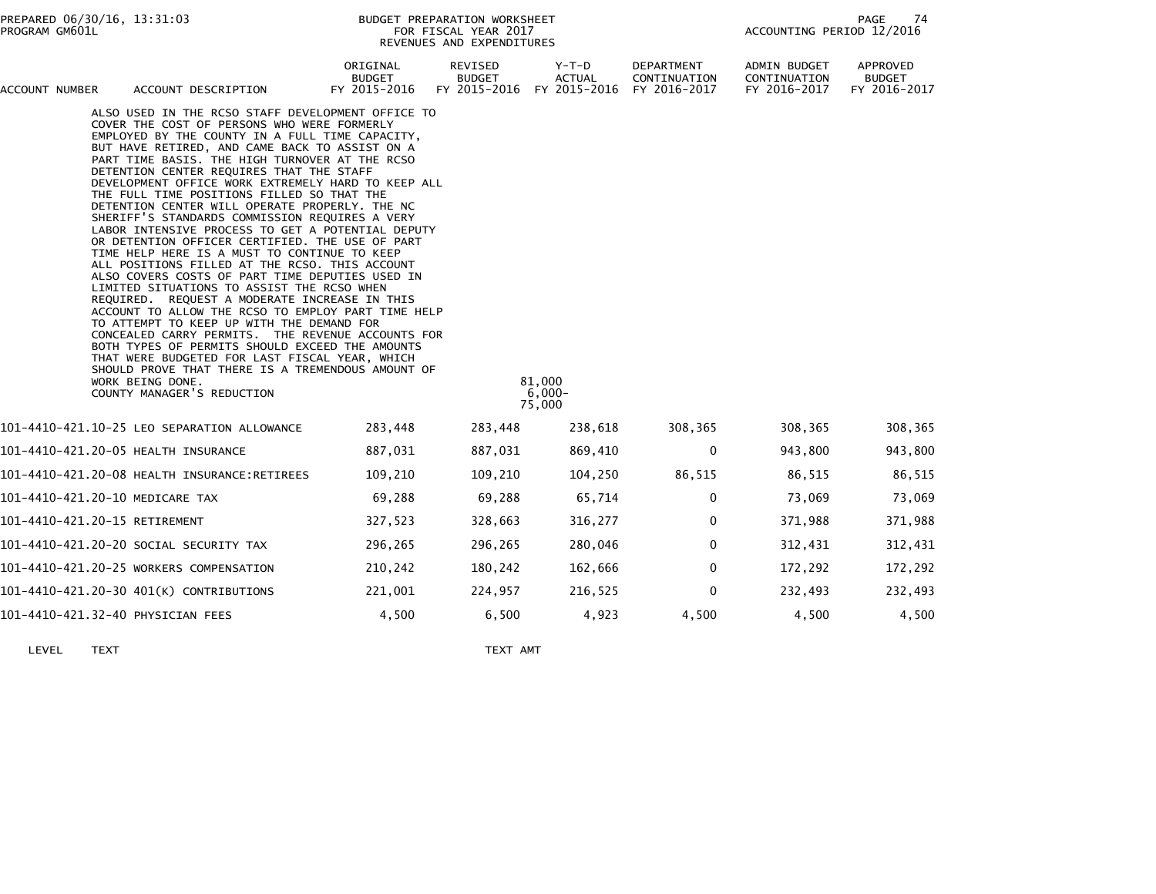| ACCOUNT NUMBER | ACCOUNT DESCRIPTION                                                                                                                                                                                                                                                                                                                                                                                                                                                                                                                                                                                                                                                                                                                                                                                                                                                                                                                                                                                                                                                                                                                                                                                                                         | ORIGINAL<br><b>BUDGET</b><br>FY 2015-2016 | REVISED<br><b>BUDGET</b><br>FY 2015-2016 | Y-T-D<br><b>ACTUAL</b><br>FY 2015-2016 | DEPARTMENT<br>CONTINUATION<br>FY 2016-2017 | ADMIN BUDGET<br>CONTINUATION<br>FY 2016-2017 | <b>APPROVED</b><br><b>BUDGET</b><br>FY 2016-2017 |
|----------------|---------------------------------------------------------------------------------------------------------------------------------------------------------------------------------------------------------------------------------------------------------------------------------------------------------------------------------------------------------------------------------------------------------------------------------------------------------------------------------------------------------------------------------------------------------------------------------------------------------------------------------------------------------------------------------------------------------------------------------------------------------------------------------------------------------------------------------------------------------------------------------------------------------------------------------------------------------------------------------------------------------------------------------------------------------------------------------------------------------------------------------------------------------------------------------------------------------------------------------------------|-------------------------------------------|------------------------------------------|----------------------------------------|--------------------------------------------|----------------------------------------------|--------------------------------------------------|
|                | ALSO USED IN THE RCSO STAFF DEVELOPMENT OFFICE TO<br>COVER THE COST OF PERSONS WHO WERE FORMERLY<br>EMPLOYED BY THE COUNTY IN A FULL TIME CAPACITY,<br>BUT HAVE RETIRED, AND CAME BACK TO ASSIST ON A<br>PART TIME BASIS. THE HIGH TURNOVER AT THE RCSO<br>DETENTION CENTER REQUIRES THAT THE STAFF<br>DEVELOPMENT OFFICE WORK EXTREMELY HARD TO KEEP ALL<br>THE FULL TIME POSITIONS FILLED SO THAT THE<br>DETENTION CENTER WILL OPERATE PROPERLY. THE NC<br>SHERIFF'S STANDARDS COMMISSION REQUIRES A VERY<br>LABOR INTENSIVE PROCESS TO GET A POTENTIAL DEPUTY<br>OR DETENTION OFFICER CERTIFIED. THE USE OF PART<br>TIME HELP HERE IS A MUST TO CONTINUE TO KEEP<br>ALL POSITIONS FILLED AT THE RCSO. THIS ACCOUNT<br>ALSO COVERS COSTS OF PART TIME DEPUTIES USED IN<br>LIMITED SITUATIONS TO ASSIST THE RCSO WHEN<br>REQUIRED. REQUEST A MODERATE INCREASE IN THIS<br>ACCOUNT TO ALLOW THE RCSO TO EMPLOY PART TIME HELP<br>TO ATTEMPT TO KEEP UP WITH THE DEMAND FOR<br>CONCEALED CARRY PERMITS. THE REVENUE ACCOUNTS FOR<br>BOTH TYPES OF PERMITS SHOULD EXCEED THE AMOUNTS<br>THAT WERE BUDGETED FOR LAST FISCAL YEAR, WHICH<br>SHOULD PROVE THAT THERE IS A TREMENDOUS AMOUNT OF<br>WORK BEING DONE.<br>COUNTY MANAGER'S REDUCTION |                                           |                                          | 81,000<br>$6,000-$<br>75,000           |                                            |                                              |                                                  |
|                | 101-4410-421.10-25 LEO SEPARATION ALLOWANCE                                                                                                                                                                                                                                                                                                                                                                                                                                                                                                                                                                                                                                                                                                                                                                                                                                                                                                                                                                                                                                                                                                                                                                                                 | 283,448                                   | 283,448                                  | 238,618                                | 308,365                                    | 308,365                                      | 308,365                                          |
|                | 101-4410-421.20-05 HEALTH INSURANCE                                                                                                                                                                                                                                                                                                                                                                                                                                                                                                                                                                                                                                                                                                                                                                                                                                                                                                                                                                                                                                                                                                                                                                                                         | 887,031                                   | 887,031                                  | 869,410                                | $\mathbf 0$                                | 943,800                                      | 943,800                                          |
|                | 101-4410-421.20-08 HEALTH INSURANCE:RETIREES                                                                                                                                                                                                                                                                                                                                                                                                                                                                                                                                                                                                                                                                                                                                                                                                                                                                                                                                                                                                                                                                                                                                                                                                | 109,210                                   | 109,210                                  | 104,250                                | 86,515                                     | 86,515                                       | 86,515                                           |
|                | 101-4410-421.20-10 MEDICARE TAX                                                                                                                                                                                                                                                                                                                                                                                                                                                                                                                                                                                                                                                                                                                                                                                                                                                                                                                                                                                                                                                                                                                                                                                                             | 69,288                                    | 69,288                                   | 65,714                                 | 0                                          | 73,069                                       | 73,069                                           |
|                | 101-4410-421.20-15 RETIREMENT                                                                                                                                                                                                                                                                                                                                                                                                                                                                                                                                                                                                                                                                                                                                                                                                                                                                                                                                                                                                                                                                                                                                                                                                               | 327,523                                   | 328,663                                  | 316,277                                | 0                                          | 371,988                                      | 371,988                                          |
|                | 101-4410-421.20-20 SOCIAL SECURITY TAX                                                                                                                                                                                                                                                                                                                                                                                                                                                                                                                                                                                                                                                                                                                                                                                                                                                                                                                                                                                                                                                                                                                                                                                                      | 296,265                                   | 296,265                                  | 280,046                                | $\Omega$                                   | 312,431                                      | 312,431                                          |
|                | 101-4410-421.20-25 WORKERS COMPENSATION                                                                                                                                                                                                                                                                                                                                                                                                                                                                                                                                                                                                                                                                                                                                                                                                                                                                                                                                                                                                                                                                                                                                                                                                     | 210,242                                   | 180,242                                  | 162,666                                | $\mathbf{0}$                               | 172,292                                      | 172,292                                          |
|                | 101-4410-421.20-30 401(K) CONTRIBUTIONS                                                                                                                                                                                                                                                                                                                                                                                                                                                                                                                                                                                                                                                                                                                                                                                                                                                                                                                                                                                                                                                                                                                                                                                                     | 221,001                                   | 224,957                                  | 216,525                                | $\Omega$                                   | 232,493                                      | 232,493                                          |
|                | 101-4410-421.32-40 PHYSICIAN FEES                                                                                                                                                                                                                                                                                                                                                                                                                                                                                                                                                                                                                                                                                                                                                                                                                                                                                                                                                                                                                                                                                                                                                                                                           | 4,500                                     | 6,500                                    | 4,923                                  | 4,500                                      | 4,500                                        | 4,500                                            |
|                |                                                                                                                                                                                                                                                                                                                                                                                                                                                                                                                                                                                                                                                                                                                                                                                                                                                                                                                                                                                                                                                                                                                                                                                                                                             |                                           |                                          |                                        |                                            |                                              |                                                  |

LEVEL TEXT TEXT AMT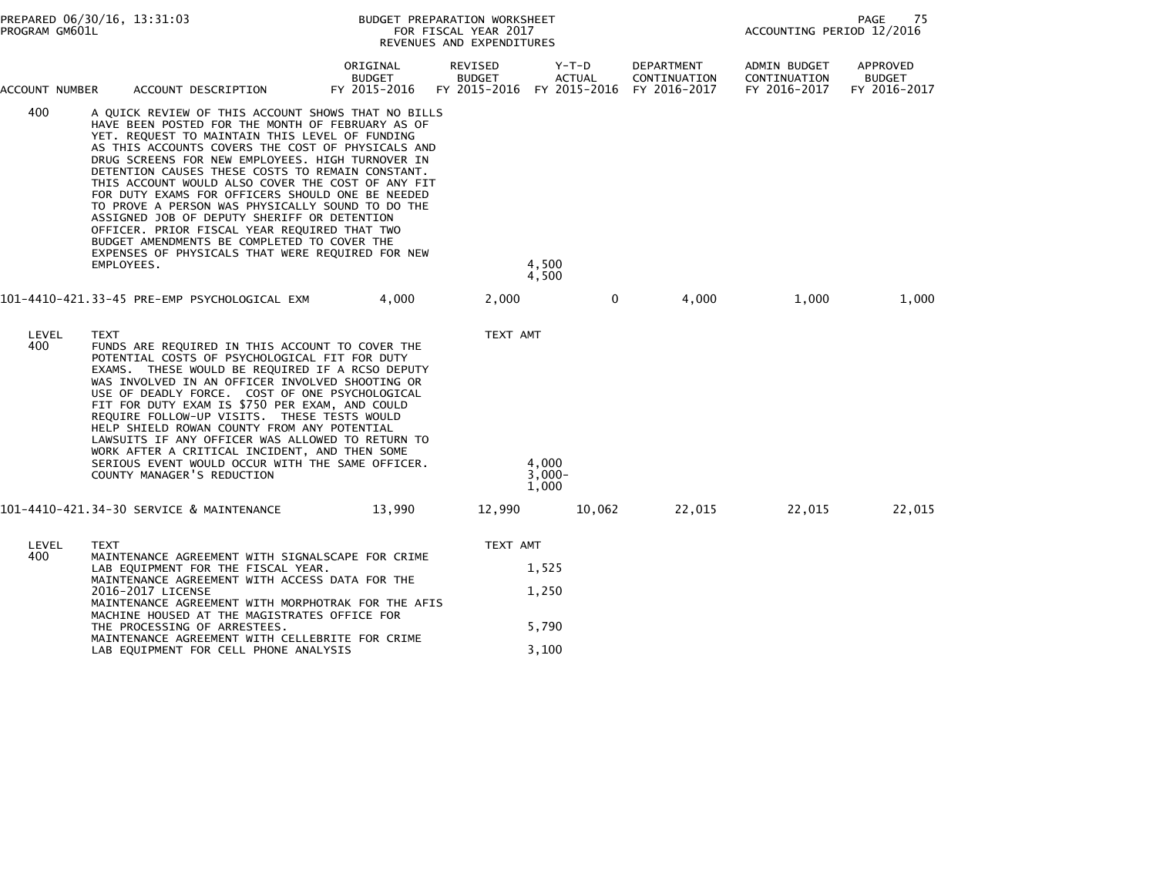| PROGRAM GM601L | PREPARED 06/30/16, 13:31:03                                                                                                                                                                                                                                                                                                                                                                                                                                                                                                                                                                                                                                                                        |                                           | BUDGET PREPARATION WORKSHEET<br>FOR FISCAL YEAR 2017<br>REVENUES AND EXPENDITURES | PAGE<br>75<br>ACCOUNTING PERIOD 12/2016 |                                                                      |                                              |                                           |
|----------------|----------------------------------------------------------------------------------------------------------------------------------------------------------------------------------------------------------------------------------------------------------------------------------------------------------------------------------------------------------------------------------------------------------------------------------------------------------------------------------------------------------------------------------------------------------------------------------------------------------------------------------------------------------------------------------------------------|-------------------------------------------|-----------------------------------------------------------------------------------|-----------------------------------------|----------------------------------------------------------------------|----------------------------------------------|-------------------------------------------|
| ACCOUNT NUMBER | ACCOUNT DESCRIPTION                                                                                                                                                                                                                                                                                                                                                                                                                                                                                                                                                                                                                                                                                | ORIGINAL<br><b>BUDGET</b><br>FY 2015-2016 | REVISED<br><b>BUDGET</b>                                                          | Y-T-D<br><b>ACTUAL</b>                  | DEPARTMENT<br>CONTINUATION<br>FY 2015-2016 FY 2015-2016 FY 2016-2017 | ADMIN BUDGET<br>CONTINUATION<br>FY 2016-2017 | APPROVED<br><b>BUDGET</b><br>FY 2016-2017 |
| 400            | A QUICK REVIEW OF THIS ACCOUNT SHOWS THAT NO BILLS<br>HAVE BEEN POSTED FOR THE MONTH OF FEBRUARY AS OF<br>YET. REQUEST TO MAINTAIN THIS LEVEL OF FUNDING<br>AS THIS ACCOUNTS COVERS THE COST OF PHYSICALS AND<br>DRUG SCREENS FOR NEW EMPLOYEES. HIGH TURNOVER IN<br>DETENTION CAUSES THESE COSTS TO REMAIN CONSTANT.<br>THIS ACCOUNT WOULD ALSO COVER THE COST OF ANY FIT<br>FOR DUTY EXAMS FOR OFFICERS SHOULD ONE BE NEEDED<br>TO PROVE A PERSON WAS PHYSICALLY SOUND TO DO THE<br>ASSIGNED JOB OF DEPUTY SHERIFF OR DETENTION<br>OFFICER. PRIOR FISCAL YEAR REQUIRED THAT TWO<br>BUDGET AMENDMENTS BE COMPLETED TO COVER THE<br>EXPENSES OF PHYSICALS THAT WERE REQUIRED FOR NEW<br>EMPLOYEES. |                                           |                                                                                   | 4,500<br>4,500                          |                                                                      |                                              |                                           |
|                | 101–4410–421.33–45 PRE–EMP PSYCHOLOGICAL EXM                                                                                                                                                                                                                                                                                                                                                                                                                                                                                                                                                                                                                                                       | 4.000                                     | 2,000                                                                             | $\mathbf{0}$                            | 4,000                                                                | 1,000                                        | 1,000                                     |
| LEVEL<br>400   | <b>TEXT</b><br>FUNDS ARE REQUIRED IN THIS ACCOUNT TO COVER THE<br>POTENTIAL COSTS OF PSYCHOLOGICAL FIT FOR DUTY<br>EXAMS. THESE WOULD BE REQUIRED IF A RCSO DEPUTY<br>WAS INVOLVED IN AN OFFICER INVOLVED SHOOTING OR<br>USE OF DEADLY FORCE. COST OF ONE PSYCHOLOGICAL<br>FIT FOR DUTY EXAM IS \$750 PER EXAM, AND COULD<br>REQUIRE FOLLOW-UP VISITS. THESE TESTS WOULD<br>HELP SHIELD ROWAN COUNTY FROM ANY POTENTIAL<br>LAWSUITS IF ANY OFFICER WAS ALLOWED TO RETURN TO<br>WORK AFTER A CRITICAL INCIDENT, AND THEN SOME<br>SERIOUS EVENT WOULD OCCUR WITH THE SAME OFFICER.<br>COUNTY MANAGER'S REDUCTION                                                                                     |                                           | TEXT AMT                                                                          | 4,000<br>$3,000 -$<br>1,000             |                                                                      |                                              |                                           |
|                | 101-4410-421.34-30 SERVICE & MAINTENANCE                                                                                                                                                                                                                                                                                                                                                                                                                                                                                                                                                                                                                                                           | 13,990                                    | 12,990                                                                            | 10,062                                  | 22,015                                                               | 22,015                                       | 22,015                                    |
| LEVEL<br>400   | <b>TEXT</b><br>MAINTENANCE AGREEMENT WITH SIGNALSCAPE FOR CRIME<br>LAB EQUIPMENT FOR THE FISCAL YEAR.<br>MAINTENANCE AGREEMENT WITH ACCESS DATA FOR THE<br>2016-2017 LICENSE<br>MAINTENANCE AGREEMENT WITH MORPHOTRAK FOR THE AFIS<br>MACHINE HOUSED AT THE MAGISTRATES OFFICE FOR<br>THE PROCESSING OF ARRESTEES.<br>MAINTENANCE AGREEMENT WITH CELLEBRITE FOR CRIME<br>LAB EQUIPMENT FOR CELL PHONE ANALYSIS                                                                                                                                                                                                                                                                                     |                                           | TEXT AMT                                                                          | 1,525<br>1,250<br>5,790<br>3,100        |                                                                      |                                              |                                           |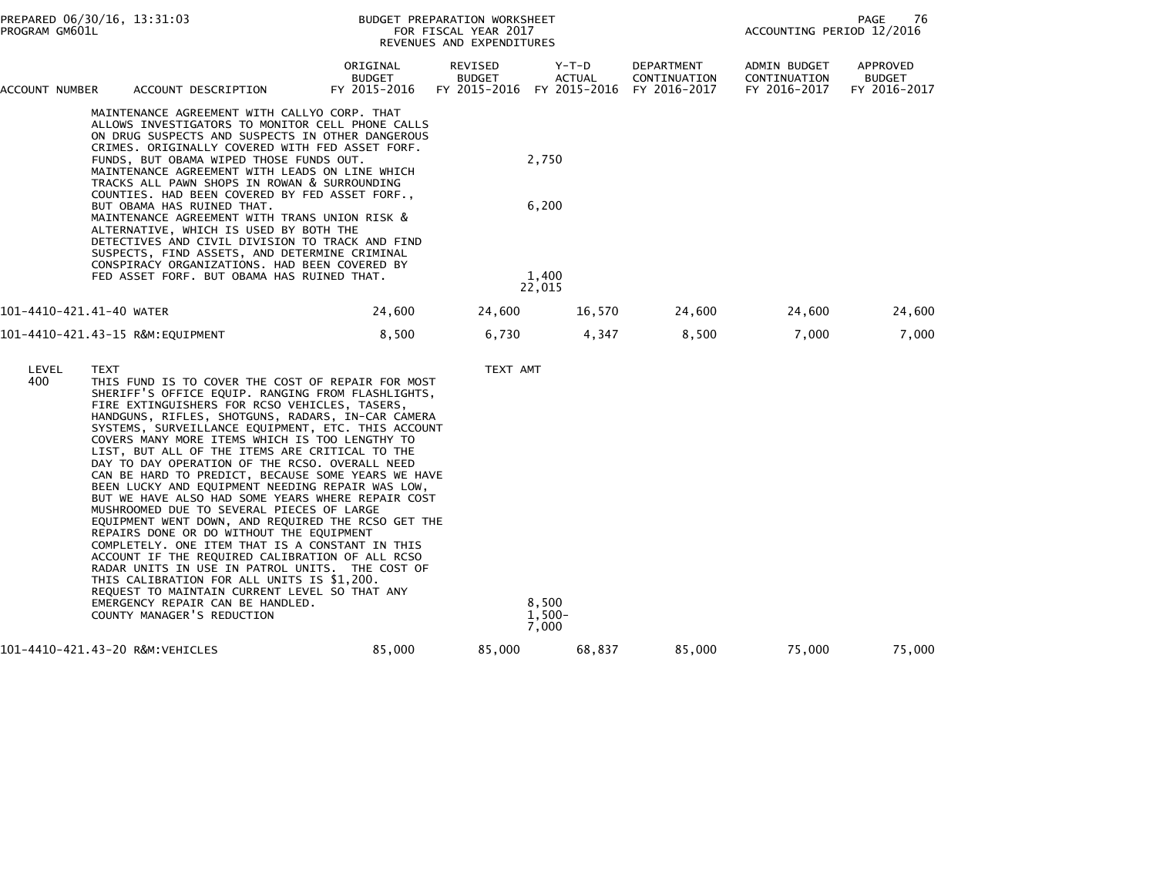| PROGRAM GM601L           | PREPARED 06/30/16, 13:31:03 |                                                                                                                                                                                                                                                                                                                                                                                                                                                                                                                                                                                                                                                                                                                                                                                                                                                                                                                                                                                                                                                                  |                                           | BUDGET PREPARATION WORKSHEET<br>FOR FISCAL YEAR 2017<br>REVENUES AND EXPENDITURES |                                   |                                            | 76<br>PAGE<br>ACCOUNTING PERIOD 12/2016      |                                           |  |
|--------------------------|-----------------------------|------------------------------------------------------------------------------------------------------------------------------------------------------------------------------------------------------------------------------------------------------------------------------------------------------------------------------------------------------------------------------------------------------------------------------------------------------------------------------------------------------------------------------------------------------------------------------------------------------------------------------------------------------------------------------------------------------------------------------------------------------------------------------------------------------------------------------------------------------------------------------------------------------------------------------------------------------------------------------------------------------------------------------------------------------------------|-------------------------------------------|-----------------------------------------------------------------------------------|-----------------------------------|--------------------------------------------|----------------------------------------------|-------------------------------------------|--|
| ACCOUNT NUMBER           |                             | ACCOUNT DESCRIPTION                                                                                                                                                                                                                                                                                                                                                                                                                                                                                                                                                                                                                                                                                                                                                                                                                                                                                                                                                                                                                                              | ORIGINAL<br><b>BUDGET</b><br>FY 2015-2016 | REVISED<br><b>BUDGET</b><br>FY 2015-2016 FY 2015-2016                             | Y-T-D<br><b>ACTUAL</b>            | DEPARTMENT<br>CONTINUATION<br>FY 2016-2017 | ADMIN BUDGET<br>CONTINUATION<br>FY 2016-2017 | APPROVED<br><b>BUDGET</b><br>FY 2016-2017 |  |
|                          |                             | MAINTENANCE AGREEMENT WITH CALLYO CORP. THAT<br>ALLOWS INVESTIGATORS TO MONITOR CELL PHONE CALLS<br>ON DRUG SUSPECTS AND SUSPECTS IN OTHER DANGEROUS<br>CRIMES. ORIGINALLY COVERED WITH FED ASSET FORF.<br>FUNDS, BUT OBAMA WIPED THOSE FUNDS OUT.<br>MAINTENANCE AGREEMENT WITH LEADS ON LINE WHICH<br>TRACKS ALL PAWN SHOPS IN ROWAN & SURROUNDING<br>COUNTIES. HAD BEEN COVERED BY FED ASSET FORF.,<br>BUT OBAMA HAS RUINED THAT.<br>MAINTENANCE AGREEMENT WITH TRANS UNION RISK &<br>ALTERNATIVE, WHICH IS USED BY BOTH THE<br>DETECTIVES AND CIVIL DIVISION TO TRACK AND FIND<br>SUSPECTS, FIND ASSETS, AND DETERMINE CRIMINAL<br>CONSPIRACY ORGANIZATIONS. HAD BEEN COVERED BY<br>FED ASSET FORF. BUT OBAMA HAS RUINED THAT.                                                                                                                                                                                                                                                                                                                               |                                           |                                                                                   | 2,750<br>6,200<br>1.400<br>22,015 |                                            |                                              |                                           |  |
| 101-4410-421.41-40 WATER |                             |                                                                                                                                                                                                                                                                                                                                                                                                                                                                                                                                                                                                                                                                                                                                                                                                                                                                                                                                                                                                                                                                  | 24,600                                    | 24,600                                                                            | 16,570                            | 24,600                                     | 24,600                                       | 24,600                                    |  |
|                          |                             | 101-4410-421.43-15 R&M:EQUIPMENT                                                                                                                                                                                                                                                                                                                                                                                                                                                                                                                                                                                                                                                                                                                                                                                                                                                                                                                                                                                                                                 | 8,500                                     | 6,730                                                                             | 4,347                             | 8,500                                      | 7,000                                        | 7,000                                     |  |
| LEVEL<br>400             | <b>TEXT</b>                 | THIS FUND IS TO COVER THE COST OF REPAIR FOR MOST<br>SHERIFF'S OFFICE EQUIP. RANGING FROM FLASHLIGHTS,<br>FIRE EXTINGUISHERS FOR RCSO VEHICLES, TASERS,<br>HANDGUNS, RIFLES, SHOTGUNS, RADARS, IN-CAR CAMERA<br>SYSTEMS, SURVEILLANCE EQUIPMENT, ETC. THIS ACCOUNT<br>COVERS MANY MORE ITEMS WHICH IS TOO LENGTHY TO<br>LIST, BUT ALL OF THE ITEMS ARE CRITICAL TO THE<br>DAY TO DAY OPERATION OF THE RCSO. OVERALL NEED<br>CAN BE HARD TO PREDICT, BECAUSE SOME YEARS WE HAVE<br>BEEN LUCKY AND EQUIPMENT NEEDING REPAIR WAS LOW,<br>BUT WE HAVE ALSO HAD SOME YEARS WHERE REPAIR COST<br>MUSHROOMED DUE TO SEVERAL PIECES OF LARGE<br>EQUIPMENT WENT DOWN, AND REQUIRED THE RCSO GET THE<br>REPAIRS DONE OR DO WITHOUT THE EQUIPMENT<br>COMPLETELY. ONE ITEM THAT IS A CONSTANT IN THIS<br>ACCOUNT IF THE REQUIRED CALIBRATION OF ALL RCSO<br>RADAR UNITS IN USE IN PATROL UNITS. THE COST OF<br>THIS CALIBRATION FOR ALL UNITS IS \$1,200.<br>REQUEST TO MAINTAIN CURRENT LEVEL SO THAT ANY<br>EMERGENCY REPAIR CAN BE HANDLED.<br>COUNTY MANAGER'S REDUCTION |                                           | TEXT AMT                                                                          | 8,500<br>$1,500-$<br>7,000        |                                            |                                              |                                           |  |
|                          |                             | 101-4410-421.43-20 R&M:VEHICLES                                                                                                                                                                                                                                                                                                                                                                                                                                                                                                                                                                                                                                                                                                                                                                                                                                                                                                                                                                                                                                  | 85,000                                    | 85,000                                                                            | 68,837                            | 85,000                                     | 75,000                                       | 75,000                                    |  |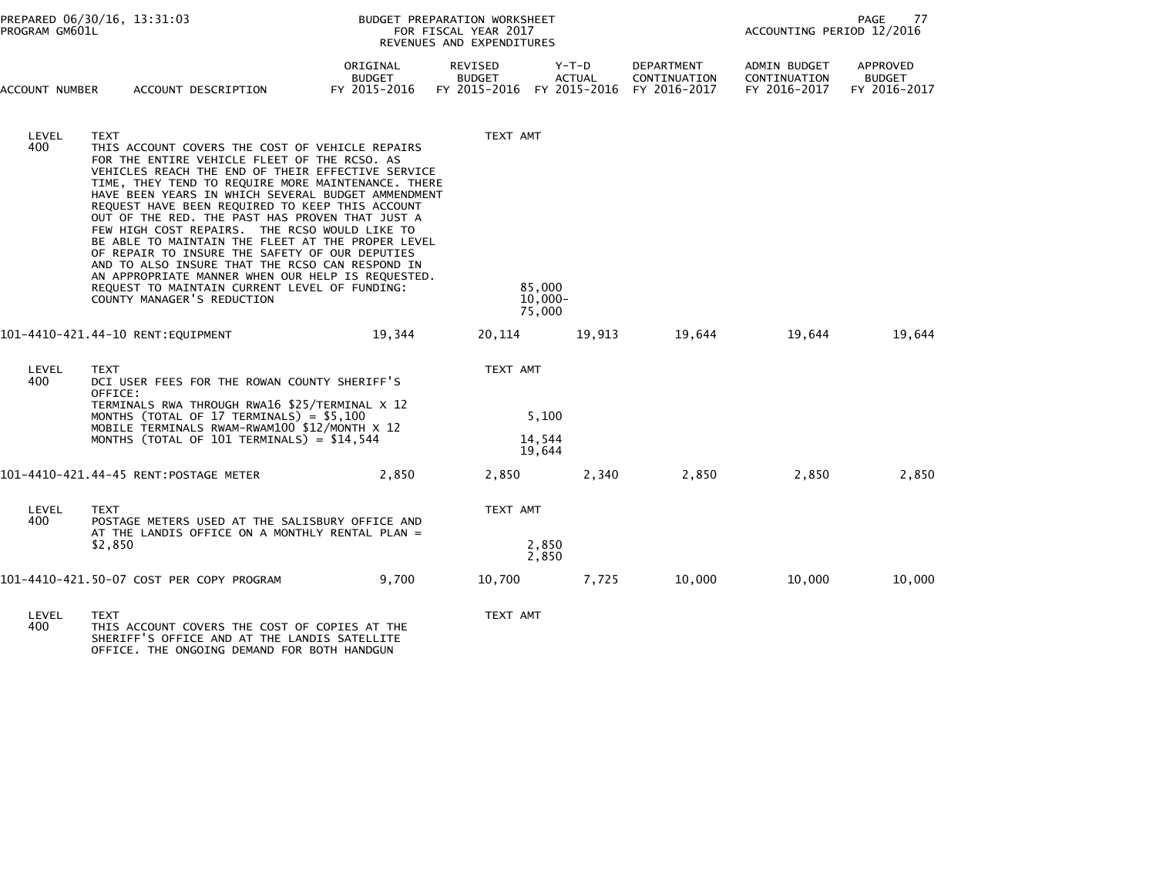| PROGRAM GM601L | PREPARED 06/30/16, 13:31:03                                                                                                                                                                                                                                                                                                                                                                                                                                                                                                                                                                                                                                                                                                          |                                           | BUDGET PREPARATION WORKSHEET<br>FOR FISCAL YEAR 2017<br>REVENUES AND EXPENDITURES | 77<br>PAGE<br>ACCOUNTING PERIOD 12/2016  |                                                   |                                                     |                                                  |
|----------------|--------------------------------------------------------------------------------------------------------------------------------------------------------------------------------------------------------------------------------------------------------------------------------------------------------------------------------------------------------------------------------------------------------------------------------------------------------------------------------------------------------------------------------------------------------------------------------------------------------------------------------------------------------------------------------------------------------------------------------------|-------------------------------------------|-----------------------------------------------------------------------------------|------------------------------------------|---------------------------------------------------|-----------------------------------------------------|--------------------------------------------------|
| ACCOUNT NUMBER | ACCOUNT DESCRIPTION                                                                                                                                                                                                                                                                                                                                                                                                                                                                                                                                                                                                                                                                                                                  | ORIGINAL<br><b>BUDGET</b><br>FY 2015-2016 | <b>REVISED</b><br><b>BUDGET</b><br>FY 2015-2016                                   | $Y-T-D$<br><b>ACTUAL</b><br>FY 2015-2016 | <b>DEPARTMENT</b><br>CONTINUATION<br>FY 2016-2017 | <b>ADMIN BUDGET</b><br>CONTINUATION<br>FY 2016-2017 | <b>APPROVED</b><br><b>BUDGET</b><br>FY 2016-2017 |
| LEVEL<br>400   | <b>TEXT</b><br>THIS ACCOUNT COVERS THE COST OF VEHICLE REPAIRS<br>FOR THE ENTIRE VEHICLE FLEET OF THE RCSO. AS<br>VEHICLES REACH THE END OF THEIR EFFECTIVE SERVICE<br>TIME, THEY TEND TO REQUIRE MORE MAINTENANCE. THERE<br>HAVE BEEN YEARS IN WHICH SEVERAL BUDGET AMMENDMENT<br>REQUEST HAVE BEEN REQUIRED TO KEEP THIS ACCOUNT<br>OUT OF THE RED. THE PAST HAS PROVEN THAT JUST A<br>FEW HIGH COST REPAIRS. THE RCSO WOULD LIKE TO<br>BE ABLE TO MAINTAIN THE FLEET AT THE PROPER LEVEL<br>OF REPAIR TO INSURE THE SAFETY OF OUR DEPUTIES<br>AND TO ALSO INSURE THAT THE RCSO CAN RESPOND IN<br>AN APPROPRIATE MANNER WHEN OUR HELP IS REQUESTED.<br>REQUEST TO MAINTAIN CURRENT LEVEL OF FUNDING:<br>COUNTY MANAGER'S REDUCTION |                                           | TEXT AMT<br>85,000<br>$10,000 -$                                                  |                                          |                                                   |                                                     |                                                  |
|                |                                                                                                                                                                                                                                                                                                                                                                                                                                                                                                                                                                                                                                                                                                                                      |                                           | 75,000                                                                            |                                          |                                                   |                                                     |                                                  |
|                | 101-4410-421.44-10 RENT:EQUIPMENT                                                                                                                                                                                                                                                                                                                                                                                                                                                                                                                                                                                                                                                                                                    | 19,344                                    | 20,114                                                                            | 19,913                                   | 19,644                                            | 19,644                                              | 19,644                                           |
| LEVEL<br>400   | TEXT<br>DCI USER FEES FOR THE ROWAN COUNTY SHERIFF'S<br>OFFICE:                                                                                                                                                                                                                                                                                                                                                                                                                                                                                                                                                                                                                                                                      |                                           | TEXT AMT                                                                          |                                          |                                                   |                                                     |                                                  |
|                | TERMINALS RWA THROUGH RWA16 \$25/TERMINAL X 12<br>MONTHS (TOTAL OF 17 TERMINALS) = \$5,100<br>MOBILE TERMINALS RWAM-RWAM100 \$12/MONTH X 12<br>MONTHS (TOTAL OF 101 TERMINALS) = \$14,544                                                                                                                                                                                                                                                                                                                                                                                                                                                                                                                                            |                                           | 5,100<br>14,544<br>19,644                                                         |                                          |                                                   |                                                     |                                                  |
|                | 101-4410-421.44-45 RENT:POSTAGE METER                                                                                                                                                                                                                                                                                                                                                                                                                                                                                                                                                                                                                                                                                                | 2,850                                     | 2,850                                                                             | 2,340                                    | 2,850                                             | 2,850                                               | 2,850                                            |
| LEVEL<br>400   | <b>TEXT</b><br>POSTAGE METERS USED AT THE SALISBURY OFFICE AND<br>AT THE LANDIS OFFICE ON A MONTHLY RENTAL PLAN =                                                                                                                                                                                                                                                                                                                                                                                                                                                                                                                                                                                                                    |                                           | TEXT AMT                                                                          |                                          |                                                   |                                                     |                                                  |
|                | \$2,850                                                                                                                                                                                                                                                                                                                                                                                                                                                                                                                                                                                                                                                                                                                              |                                           | 2,850<br>2,850                                                                    |                                          |                                                   |                                                     |                                                  |
|                | 101-4410-421.50-07 COST PER COPY PROGRAM                                                                                                                                                                                                                                                                                                                                                                                                                                                                                                                                                                                                                                                                                             | 9.700                                     | 10,700                                                                            | 7,725                                    | 10,000                                            | 10,000                                              | 10,000                                           |
| LEVEL<br>400   | <b>TEXT</b><br>THIS ACCOUNT COVERS THE COST OF COPIES AT THE                                                                                                                                                                                                                                                                                                                                                                                                                                                                                                                                                                                                                                                                         |                                           | TEXT AMT                                                                          |                                          |                                                   |                                                     |                                                  |

400 THIS ACCOUNT COVERS THE COST OF COPIES AT THE SHERIFF'S OFFICE AND AT THE LANDIS SATELLITE OFFICE. THE ONGOING DEMAND FOR BOTH HANDGUN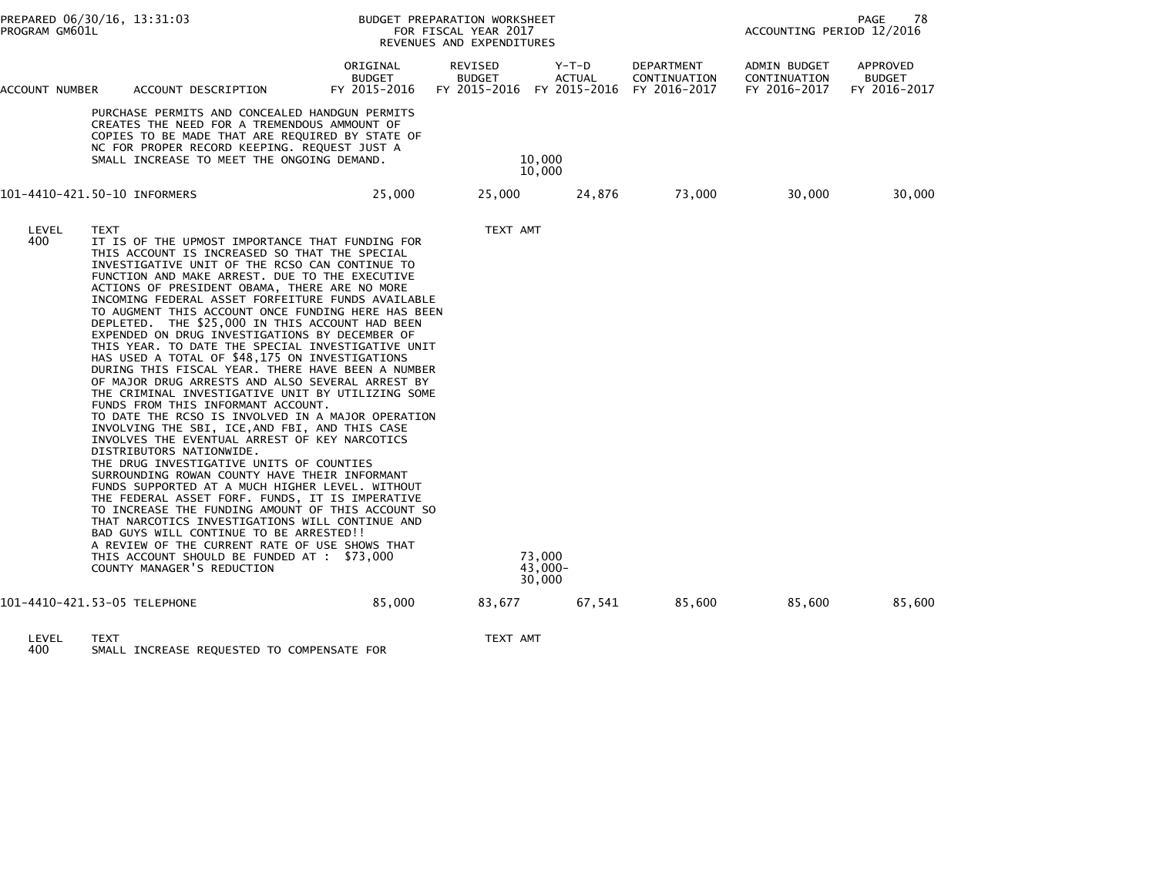|                                                                                                                                                                                                                                                                                                                                                                                                                                                                                                                                                                                                                                                                                                                                                                                                                                                                                                                                                                                                                                                                                                                                                                                                                                                                                                                                                                                                                                                            | PREPARED 06/30/16, 13:31:03<br>PROGRAM GM601L |                                                                                                                                                                                                                                                 |                                           | BUDGET PREPARATION WORKSHEET<br>FOR FISCAL YEAR 2017<br>REVENUES AND EXPENDITURES |                             | 78<br>PAGE<br>ACCOUNTING PERIOD 12/2016           |                                              |                                                  |
|------------------------------------------------------------------------------------------------------------------------------------------------------------------------------------------------------------------------------------------------------------------------------------------------------------------------------------------------------------------------------------------------------------------------------------------------------------------------------------------------------------------------------------------------------------------------------------------------------------------------------------------------------------------------------------------------------------------------------------------------------------------------------------------------------------------------------------------------------------------------------------------------------------------------------------------------------------------------------------------------------------------------------------------------------------------------------------------------------------------------------------------------------------------------------------------------------------------------------------------------------------------------------------------------------------------------------------------------------------------------------------------------------------------------------------------------------------|-----------------------------------------------|-------------------------------------------------------------------------------------------------------------------------------------------------------------------------------------------------------------------------------------------------|-------------------------------------------|-----------------------------------------------------------------------------------|-----------------------------|---------------------------------------------------|----------------------------------------------|--------------------------------------------------|
| ACCOUNT NUMBER                                                                                                                                                                                                                                                                                                                                                                                                                                                                                                                                                                                                                                                                                                                                                                                                                                                                                                                                                                                                                                                                                                                                                                                                                                                                                                                                                                                                                                             |                                               | ACCOUNT DESCRIPTION                                                                                                                                                                                                                             | ORIGINAL<br><b>BUDGET</b><br>FY 2015-2016 | REVISED<br><b>BUDGET</b><br>FY 2015-2016 FY 2015-2016                             | $Y-T-D$<br>ACTUAL           | <b>DEPARTMENT</b><br>CONTINUATION<br>FY 2016-2017 | ADMIN BUDGET<br>CONTINUATION<br>FY 2016-2017 | <b>APPROVED</b><br><b>BUDGET</b><br>FY 2016-2017 |
|                                                                                                                                                                                                                                                                                                                                                                                                                                                                                                                                                                                                                                                                                                                                                                                                                                                                                                                                                                                                                                                                                                                                                                                                                                                                                                                                                                                                                                                            |                                               | PURCHASE PERMITS AND CONCEALED HANDGUN PERMITS<br>CREATES THE NEED FOR A TREMENDOUS AMMOUNT OF<br>COPIES TO BE MADE THAT ARE REQUIRED BY STATE OF<br>NC FOR PROPER RECORD KEEPING. REQUEST JUST A<br>SMALL INCREASE TO MEET THE ONGOING DEMAND. |                                           |                                                                                   | 10,000<br>10,000            |                                                   |                                              |                                                  |
| 101-4410-421.50-10 INFORMERS                                                                                                                                                                                                                                                                                                                                                                                                                                                                                                                                                                                                                                                                                                                                                                                                                                                                                                                                                                                                                                                                                                                                                                                                                                                                                                                                                                                                                               |                                               |                                                                                                                                                                                                                                                 | 25,000                                    | 25,000                                                                            | 24,876                      | 73,000                                            | 30,000                                       | 30,000                                           |
| LEVEL<br><b>TEXT</b><br>400<br>IT IS OF THE UPMOST IMPORTANCE THAT FUNDING FOR<br>THIS ACCOUNT IS INCREASED SO THAT THE SPECIAL<br>INVESTIGATIVE UNIT OF THE RCSO CAN CONTINUE TO<br>FUNCTION AND MAKE ARREST. DUE TO THE EXECUTIVE<br>ACTIONS OF PRESIDENT OBAMA, THERE ARE NO MORE<br>INCOMING FEDERAL ASSET FORFEITURE FUNDS AVAILABLE<br>TO AUGMENT THIS ACCOUNT ONCE FUNDING HERE HAS BEEN<br>DEPLETED. THE \$25,000 IN THIS ACCOUNT HAD BEEN<br>EXPENDED ON DRUG INVESTIGATIONS BY DECEMBER OF<br>THIS YEAR. TO DATE THE SPECIAL INVESTIGATIVE UNIT<br>HAS USED A TOTAL OF \$48,175 ON INVESTIGATIONS<br>DURING THIS FISCAL YEAR. THERE HAVE BEEN A NUMBER<br>OF MAJOR DRUG ARRESTS AND ALSO SEVERAL ARREST BY<br>THE CRIMINAL INVESTIGATIVE UNIT BY UTILIZING SOME<br>FUNDS FROM THIS INFORMANT ACCOUNT.<br>TO DATE THE RCSO IS INVOLVED IN A MAJOR OPERATION<br>INVOLVING THE SBI, ICE, AND FBI, AND THIS CASE<br>INVOLVES THE EVENTUAL ARREST OF KEY NARCOTICS<br>DISTRIBUTORS NATIONWIDE.<br>THE DRUG INVESTIGATIVE UNITS OF COUNTIES<br>SURROUNDING ROWAN COUNTY HAVE THEIR INFORMANT<br>FUNDS SUPPORTED AT A MUCH HIGHER LEVEL. WITHOUT<br>THE FEDERAL ASSET FORF. FUNDS, IT IS IMPERATIVE<br>TO INCREASE THE FUNDING AMOUNT OF THIS ACCOUNT SO<br>THAT NARCOTICS INVESTIGATIONS WILL CONTINUE AND<br>BAD GUYS WILL CONTINUE TO BE ARRESTED!!<br>A REVIEW OF THE CURRENT RATE OF USE SHOWS THAT<br>THIS ACCOUNT SHOULD BE FUNDED AT : \$73,000 |                                               | COUNTY MANAGER'S REDUCTION                                                                                                                                                                                                                      |                                           | TEXT AMT                                                                          | 73,000<br>43,000-<br>30,000 |                                                   |                                              |                                                  |
| 101-4410-421.53-05 TELEPHONE                                                                                                                                                                                                                                                                                                                                                                                                                                                                                                                                                                                                                                                                                                                                                                                                                                                                                                                                                                                                                                                                                                                                                                                                                                                                                                                                                                                                                               |                                               |                                                                                                                                                                                                                                                 | 85,000                                    | 83,677                                                                            | 67,541                      | 85,600                                            | 85,600                                       | 85,600                                           |

LEVEL TEXT TEXT AMT 400 SMALL INCREASE REQUESTED TO COMPENSATE FOR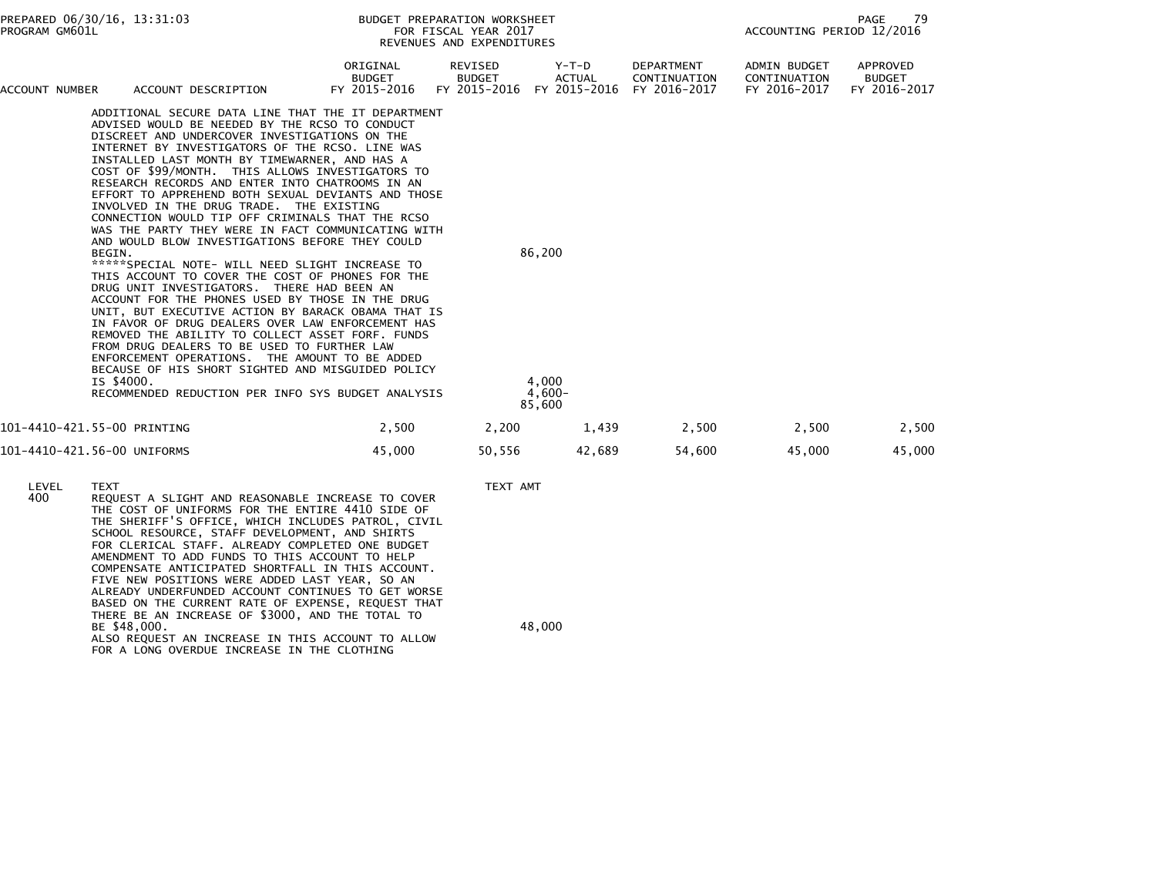| PROGRAM GM601L              | PREPARED 06/30/16, 13:31:03                                                                                                                                                                                                                                                                                                                                                                                                                                                                                                                                                                                                                                                                                                                                                                                                                                                                                                                                                                                                                                                                                                                                                                                                                 |                                                                                                                                                                                                                                                                                                                                                                                                                                                                                                                                                                                                                                                                                                |                                           | BUDGET PREPARATION WORKSHEET<br>FOR FISCAL YEAR 2017<br>REVENUES AND EXPENDITURES |        |                        |                                            | 79<br>PAGE<br>ACCOUNTING PERIOD 12/2016      |                                           |  |
|-----------------------------|---------------------------------------------------------------------------------------------------------------------------------------------------------------------------------------------------------------------------------------------------------------------------------------------------------------------------------------------------------------------------------------------------------------------------------------------------------------------------------------------------------------------------------------------------------------------------------------------------------------------------------------------------------------------------------------------------------------------------------------------------------------------------------------------------------------------------------------------------------------------------------------------------------------------------------------------------------------------------------------------------------------------------------------------------------------------------------------------------------------------------------------------------------------------------------------------------------------------------------------------|------------------------------------------------------------------------------------------------------------------------------------------------------------------------------------------------------------------------------------------------------------------------------------------------------------------------------------------------------------------------------------------------------------------------------------------------------------------------------------------------------------------------------------------------------------------------------------------------------------------------------------------------------------------------------------------------|-------------------------------------------|-----------------------------------------------------------------------------------|--------|------------------------|--------------------------------------------|----------------------------------------------|-------------------------------------------|--|
| ACCOUNT NUMBER              |                                                                                                                                                                                                                                                                                                                                                                                                                                                                                                                                                                                                                                                                                                                                                                                                                                                                                                                                                                                                                                                                                                                                                                                                                                             | ACCOUNT DESCRIPTION                                                                                                                                                                                                                                                                                                                                                                                                                                                                                                                                                                                                                                                                            | ORIGINAL<br><b>BUDGET</b><br>FY 2015-2016 | REVISED<br><b>BUDGET</b><br>FY 2015-2016 FY 2015-2016                             |        | Y-T-D<br><b>ACTUAL</b> | DEPARTMENT<br>CONTINUATION<br>FY 2016-2017 | ADMIN BUDGET<br>CONTINUATION<br>FY 2016-2017 | APPROVED<br><b>BUDGET</b><br>FY 2016-2017 |  |
|                             | ADDITIONAL SECURE DATA LINE THAT THE IT DEPARTMENT<br>ADVISED WOULD BE NEEDED BY THE RCSO TO CONDUCT<br>DISCREET AND UNDERCOVER INVESTIGATIONS ON THE<br>INTERNET BY INVESTIGATORS OF THE RCSO. LINE WAS<br>INSTALLED LAST MONTH BY TIMEWARNER, AND HAS A<br>COST OF \$99/MONTH. THIS ALLOWS INVESTIGATORS TO<br>RESEARCH RECORDS AND ENTER INTO CHATROOMS IN AN<br>EFFORT TO APPREHEND BOTH SEXUAL DEVIANTS AND THOSE<br>INVOLVED IN THE DRUG TRADE. THE EXISTING<br>CONNECTION WOULD TIP OFF CRIMINALS THAT THE RCSO<br>WAS THE PARTY THEY WERE IN FACT COMMUNICATING WITH<br>AND WOULD BLOW INVESTIGATIONS BEFORE THEY COULD<br>BEGIN.<br>*****SPECIAL NOTE- WILL NEED SLIGHT INCREASE TO<br>THIS ACCOUNT TO COVER THE COST OF PHONES FOR THE<br>DRUG UNIT INVESTIGATORS. THERE HAD BEEN AN<br>ACCOUNT FOR THE PHONES USED BY THOSE IN THE DRUG<br>UNIT, BUT EXECUTIVE ACTION BY BARACK OBAMA THAT IS<br>IN FAVOR OF DRUG DEALERS OVER LAW ENFORCEMENT HAS<br>REMOVED THE ABILITY TO COLLECT ASSET FORF. FUNDS<br>FROM DRUG DEALERS TO BE USED TO FURTHER LAW<br>ENFORCEMENT OPERATIONS. THE AMOUNT TO BE ADDED<br>BECAUSE OF HIS SHORT SIGHTED AND MISGUIDED POLICY<br>IS \$4000.<br>RECOMMENDED REDUCTION PER INFO SYS BUDGET ANALYSIS |                                                                                                                                                                                                                                                                                                                                                                                                                                                                                                                                                                                                                                                                                                |                                           | 86,200<br>4.000<br>$4,600-$<br>85,600                                             |        |                        |                                            |                                              |                                           |  |
| 101-4410-421.55-00 PRINTING |                                                                                                                                                                                                                                                                                                                                                                                                                                                                                                                                                                                                                                                                                                                                                                                                                                                                                                                                                                                                                                                                                                                                                                                                                                             |                                                                                                                                                                                                                                                                                                                                                                                                                                                                                                                                                                                                                                                                                                | 2,500                                     | 2,200                                                                             |        | 1,439                  | 2,500                                      | 2,500                                        | 2,500                                     |  |
| 101-4410-421.56-00 UNIFORMS |                                                                                                                                                                                                                                                                                                                                                                                                                                                                                                                                                                                                                                                                                                                                                                                                                                                                                                                                                                                                                                                                                                                                                                                                                                             |                                                                                                                                                                                                                                                                                                                                                                                                                                                                                                                                                                                                                                                                                                | 45,000                                    | 50,556                                                                            |        | 42,689                 | 54,600                                     | 45,000                                       | 45,000                                    |  |
| LEVEL<br>400                | <b>TEXT</b><br>BE \$48,000.                                                                                                                                                                                                                                                                                                                                                                                                                                                                                                                                                                                                                                                                                                                                                                                                                                                                                                                                                                                                                                                                                                                                                                                                                 | REQUEST A SLIGHT AND REASONABLE INCREASE TO COVER<br>THE COST OF UNIFORMS FOR THE ENTIRE 4410 SIDE OF<br>THE SHERIFF'S OFFICE, WHICH INCLUDES PATROL, CIVIL<br>SCHOOL RESOURCE, STAFF DEVELOPMENT, AND SHIRTS<br>FOR CLERICAL STAFF. ALREADY COMPLETED ONE BUDGET<br>AMENDMENT TO ADD FUNDS TO THIS ACCOUNT TO HELP<br>COMPENSATE ANTICIPATED SHORTFALL IN THIS ACCOUNT.<br>FIVE NEW POSITIONS WERE ADDED LAST YEAR, SO AN<br>ALREADY UNDERFUNDED ACCOUNT CONTINUES TO GET WORSE<br>BASED ON THE CURRENT RATE OF EXPENSE, REQUEST THAT<br>THERE BE AN INCREASE OF \$3000, AND THE TOTAL TO<br>ALSO REQUEST AN INCREASE IN THIS ACCOUNT TO ALLOW<br>FOR A LONG OVERDUE INCREASE IN THE CLOTHING |                                           | TEXT AMT                                                                          | 48,000 |                        |                                            |                                              |                                           |  |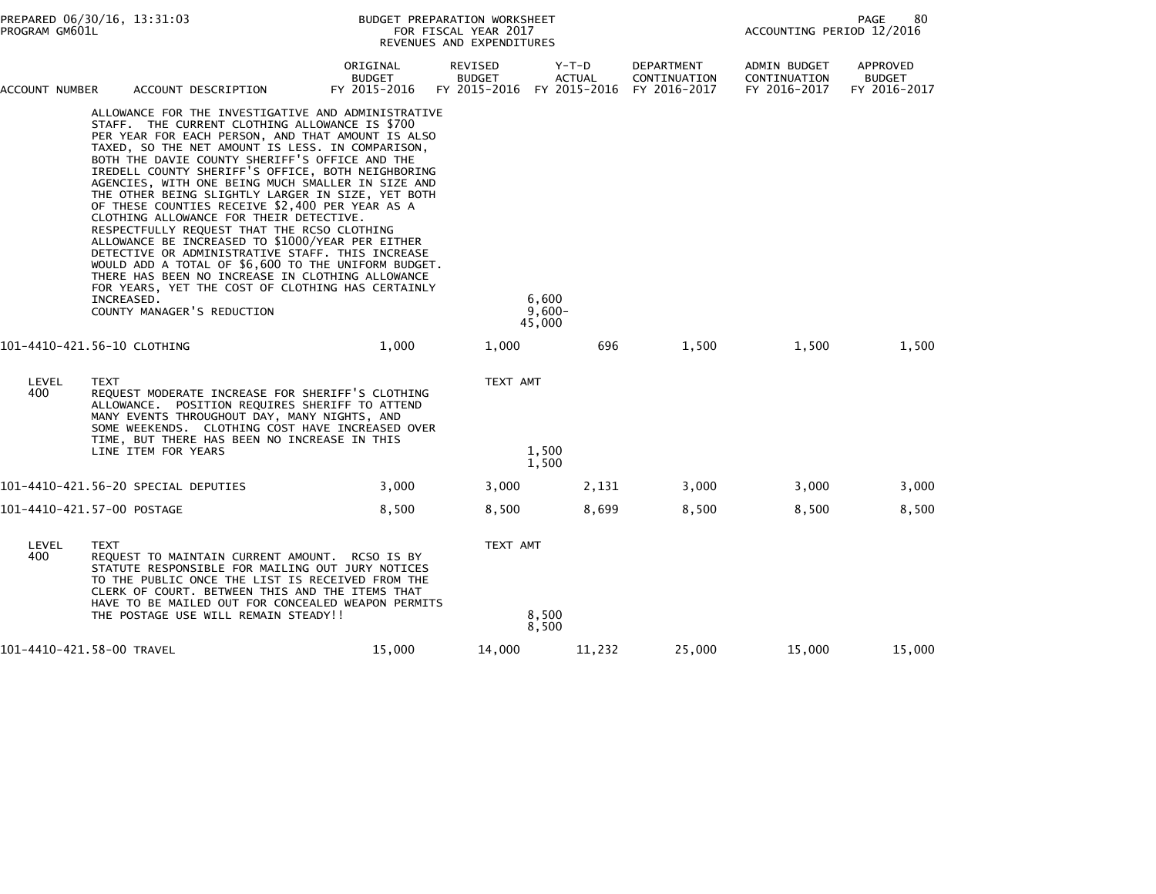| PROGRAM GM601L                                                                                                                                                                                                                                                                                                                                                                                                                                                                                                                                                                                                                                                                                                                                                                                                                                                                                                                 | PREPARED 06/30/16, 13:31:03                                                                                                                                                                                                                                                                                            |                                           | BUDGET PREPARATION WORKSHEET<br>FOR FISCAL YEAR 2017<br>REVENUES AND EXPENDITURES |                                                       |                                                   |                                              |                                                  |  |
|--------------------------------------------------------------------------------------------------------------------------------------------------------------------------------------------------------------------------------------------------------------------------------------------------------------------------------------------------------------------------------------------------------------------------------------------------------------------------------------------------------------------------------------------------------------------------------------------------------------------------------------------------------------------------------------------------------------------------------------------------------------------------------------------------------------------------------------------------------------------------------------------------------------------------------|------------------------------------------------------------------------------------------------------------------------------------------------------------------------------------------------------------------------------------------------------------------------------------------------------------------------|-------------------------------------------|-----------------------------------------------------------------------------------|-------------------------------------------------------|---------------------------------------------------|----------------------------------------------|--------------------------------------------------|--|
| ACCOUNT NUMBER                                                                                                                                                                                                                                                                                                                                                                                                                                                                                                                                                                                                                                                                                                                                                                                                                                                                                                                 | ACCOUNT DESCRIPTION                                                                                                                                                                                                                                                                                                    | ORIGINAL<br><b>BUDGET</b><br>FY 2015-2016 | REVISED<br><b>BUDGET</b>                                                          | $Y-T-D$<br><b>ACTUAL</b><br>FY 2015-2016 FY 2015-2016 | <b>DEPARTMENT</b><br>CONTINUATION<br>FY 2016-2017 | ADMIN BUDGET<br>CONTINUATION<br>FY 2016-2017 | <b>APPROVED</b><br><b>BUDGET</b><br>FY 2016-2017 |  |
| ALLOWANCE FOR THE INVESTIGATIVE AND ADMINISTRATIVE<br>STAFF. THE CURRENT CLOTHING ALLOWANCE IS \$700<br>PER YEAR FOR EACH PERSON, AND THAT AMOUNT IS ALSO<br>TAXED, SO THE NET AMOUNT IS LESS. IN COMPARISON,<br>BOTH THE DAVIE COUNTY SHERIFF'S OFFICE AND THE<br>IREDELL COUNTY SHERIFF'S OFFICE, BOTH NEIGHBORING<br>AGENCIES, WITH ONE BEING MUCH SMALLER IN SIZE AND<br>THE OTHER BEING SLIGHTLY LARGER IN SIZE, YET BOTH<br>OF THESE COUNTIES RECEIVE \$2,400 PER YEAR AS A<br>CLOTHING ALLOWANCE FOR THEIR DETECTIVE.<br>RESPECTFULLY REQUEST THAT THE RCSO CLOTHING<br>ALLOWANCE BE INCREASED TO \$1000/YEAR PER EITHER<br>DETECTIVE OR ADMINISTRATIVE STAFF. THIS INCREASE<br>WOULD ADD A TOTAL OF \$6,600 TO THE UNIFORM BUDGET.<br>THERE HAS BEEN NO INCREASE IN CLOTHING ALLOWANCE<br>FOR YEARS, YET THE COST OF CLOTHING HAS CERTAINLY<br>INCREASED.<br>COUNTY MANAGER'S REDUCTION<br>101-4410-421.56-10 CLOTHING |                                                                                                                                                                                                                                                                                                                        |                                           | 6,600<br>$9,600 -$<br>45,000                                                      |                                                       |                                                   |                                              |                                                  |  |
|                                                                                                                                                                                                                                                                                                                                                                                                                                                                                                                                                                                                                                                                                                                                                                                                                                                                                                                                |                                                                                                                                                                                                                                                                                                                        | 1,000                                     | 1,000                                                                             | 696                                                   | 1,500                                             | 1,500                                        | 1,500                                            |  |
| LEVEL<br>400                                                                                                                                                                                                                                                                                                                                                                                                                                                                                                                                                                                                                                                                                                                                                                                                                                                                                                                   | <b>TEXT</b><br>REQUEST MODERATE INCREASE FOR SHERIFF'S CLOTHING<br>ALLOWANCE. POSITION REQUIRES SHERIFF TO ATTEND<br>MANY EVENTS THROUGHOUT DAY, MANY NIGHTS, AND<br>SOME WEEKENDS. CLOTHING COST HAVE INCREASED OVER<br>TIME, BUT THERE HAS BEEN NO INCREASE IN THIS<br>LINE ITEM FOR YEARS                           |                                           | TEXT AMT                                                                          | 1,500<br>1,500                                        |                                                   |                                              |                                                  |  |
|                                                                                                                                                                                                                                                                                                                                                                                                                                                                                                                                                                                                                                                                                                                                                                                                                                                                                                                                | 101–4410–421.56–20 SPECIAL DEPUTIES                                                                                                                                                                                                                                                                                    | 3,000                                     | 3,000                                                                             | 2,131                                                 | 3,000                                             | 3,000                                        | 3,000                                            |  |
|                                                                                                                                                                                                                                                                                                                                                                                                                                                                                                                                                                                                                                                                                                                                                                                                                                                                                                                                | 101-4410-421.57-00 POSTAGE                                                                                                                                                                                                                                                                                             | 8,500                                     | 8,500                                                                             | 8,699                                                 | 8,500                                             | 8,500                                        | 8,500                                            |  |
| LEVEL<br>400                                                                                                                                                                                                                                                                                                                                                                                                                                                                                                                                                                                                                                                                                                                                                                                                                                                                                                                   | <b>TEXT</b><br>REQUEST TO MAINTAIN CURRENT AMOUNT. RCSO IS BY<br>STATUTE RESPONSIBLE FOR MAILING OUT JURY NOTICES<br>TO THE PUBLIC ONCE THE LIST IS RECEIVED FROM THE<br>CLERK OF COURT. BETWEEN THIS AND THE ITEMS THAT<br>HAVE TO BE MAILED OUT FOR CONCEALED WEAPON PERMITS<br>THE POSTAGE USE WILL REMAIN STEADY!! |                                           | TEXT AMT                                                                          | 8,500<br>8,500                                        |                                                   |                                              |                                                  |  |
|                                                                                                                                                                                                                                                                                                                                                                                                                                                                                                                                                                                                                                                                                                                                                                                                                                                                                                                                | 101-4410-421.58-00 TRAVEL                                                                                                                                                                                                                                                                                              | 15,000                                    | 14,000                                                                            | 11,232                                                | 25,000                                            | 15,000                                       | 15,000                                           |  |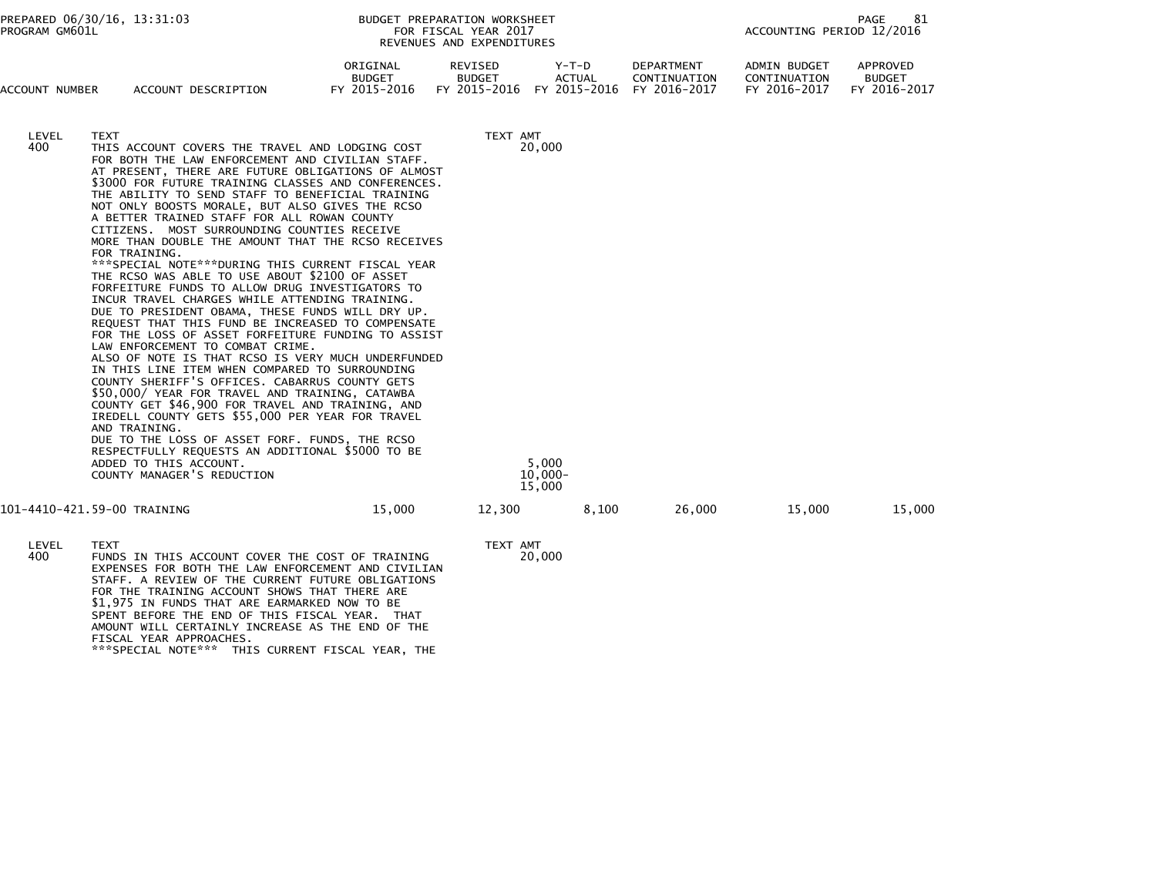| ACCOUNT NUMBER | ACCOUNT DESCRIPTION                                                                                                                                                                                                                                                                                                                                                                                                                                                                                                                                                                                                                                                                                                                                                                                                                                                                                                                                                                                                                                                                                                                                                                                                                                                                                                                                                                                                            | ORIGINAL<br><b>BUDGET</b><br>FY 2015-2016 | REVISED<br><b>BUDGET</b><br>FY 2015-2016            | $Y-T-D$<br><b>ACTUAL</b><br>FY 2015-2016 | DEPARTMENT<br>CONTINUATION<br>FY 2016-2017 | <b>ADMIN BUDGET</b><br>CONTINUATION<br>FY 2016-2017 | APPROVED<br><b>BUDGET</b><br>FY 2016-2017 |
|----------------|--------------------------------------------------------------------------------------------------------------------------------------------------------------------------------------------------------------------------------------------------------------------------------------------------------------------------------------------------------------------------------------------------------------------------------------------------------------------------------------------------------------------------------------------------------------------------------------------------------------------------------------------------------------------------------------------------------------------------------------------------------------------------------------------------------------------------------------------------------------------------------------------------------------------------------------------------------------------------------------------------------------------------------------------------------------------------------------------------------------------------------------------------------------------------------------------------------------------------------------------------------------------------------------------------------------------------------------------------------------------------------------------------------------------------------|-------------------------------------------|-----------------------------------------------------|------------------------------------------|--------------------------------------------|-----------------------------------------------------|-------------------------------------------|
| LEVEL<br>400   | <b>TEXT</b><br>THIS ACCOUNT COVERS THE TRAVEL AND LODGING COST<br>FOR BOTH THE LAW ENFORCEMENT AND CIVILIAN STAFF.<br>AT PRESENT, THERE ARE FUTURE OBLIGATIONS OF ALMOST<br>\$3000 FOR FUTURE TRAINING CLASSES AND CONFERENCES.<br>THE ABILITY TO SEND STAFF TO BENEFICIAL TRAINING<br>NOT ONLY BOOSTS MORALE, BUT ALSO GIVES THE RCSO<br>A BETTER TRAINED STAFF FOR ALL ROWAN COUNTY<br>CITIZENS. MOST SURROUNDING COUNTIES RECEIVE<br>MORE THAN DOUBLE THE AMOUNT THAT THE RCSO RECEIVES<br>FOR TRAINING.<br>***SPECIAL NOTE***DURING THIS CURRENT FISCAL YEAR<br>THE RCSO WAS ABLE TO USE ABOUT \$2100 OF ASSET<br>FORFEITURE FUNDS TO ALLOW DRUG INVESTIGATORS TO<br>INCUR TRAVEL CHARGES WHILE ATTENDING TRAINING.<br>DUE TO PRESIDENT OBAMA, THESE FUNDS WILL DRY UP.<br>REQUEST THAT THIS FUND BE INCREASED TO COMPENSATE<br>FOR THE LOSS OF ASSET FORFEITURE FUNDING TO ASSIST<br>LAW ENFORCEMENT TO COMBAT CRIME.<br>ALSO OF NOTE IS THAT RCSO IS VERY MUCH UNDERFUNDED<br>IN THIS LINE ITEM WHEN COMPARED TO SURROUNDING<br>COUNTY SHERIFF'S OFFICES. CABARRUS COUNTY GETS<br>\$50,000/ YEAR FOR TRAVEL AND TRAINING, CATAWBA<br>COUNTY GET \$46,900 FOR TRAVEL AND TRAINING, AND<br>IREDELL COUNTY GETS \$55,000 PER YEAR FOR TRAVEL<br>AND TRAINING.<br>DUE TO THE LOSS OF ASSET FORF. FUNDS, THE RCSO<br>RESPECTFULLY REQUESTS AN ADDITIONAL \$5000 TO BE<br>ADDED TO THIS ACCOUNT.<br>COUNTY MANAGER'S REDUCTION |                                           | TEXT AMT<br>20,000<br>5.000<br>$10,000 -$<br>15,000 |                                          |                                            |                                                     |                                           |
|                | 101-4410-421.59-00 TRAINING                                                                                                                                                                                                                                                                                                                                                                                                                                                                                                                                                                                                                                                                                                                                                                                                                                                                                                                                                                                                                                                                                                                                                                                                                                                                                                                                                                                                    | 15,000                                    | 12,300                                              | 8,100                                    | 26,000                                     | 15,000                                              | 15,000                                    |
| LEVEL<br>400   | <b>TEXT</b><br>FUNDS IN THIS ACCOUNT COVER THE COST OF TRAINING<br>EXPENSES FOR BOTH THE LAW ENFORCEMENT AND CIVILIAN<br>STAFF A REVIEW OF THE CURRENT FUTURE ORLIGATIONS                                                                                                                                                                                                                                                                                                                                                                                                                                                                                                                                                                                                                                                                                                                                                                                                                                                                                                                                                                                                                                                                                                                                                                                                                                                      |                                           | TEXT AMT<br>20,000                                  |                                          |                                            |                                                     |                                           |

 STAFF. A REVIEW OF THE CURRENT FUTURE OBLIGATIONS FOR THE TRAINING ACCOUNT SHOWS THAT THERE ARE \$1,975 IN FUNDS THAT ARE EARMARKED NOW TO BE SPENT BEFORE THE END OF THIS FISCAL YEAR. THAT AMOUNT WILL CERTAINLY INCREASE AS THE END OF THEFISCAL YEAR APPROACHES. \*\*\*SPECIAL NOTE\*\*\* THIS CURRENT FISCAL YEAR, THE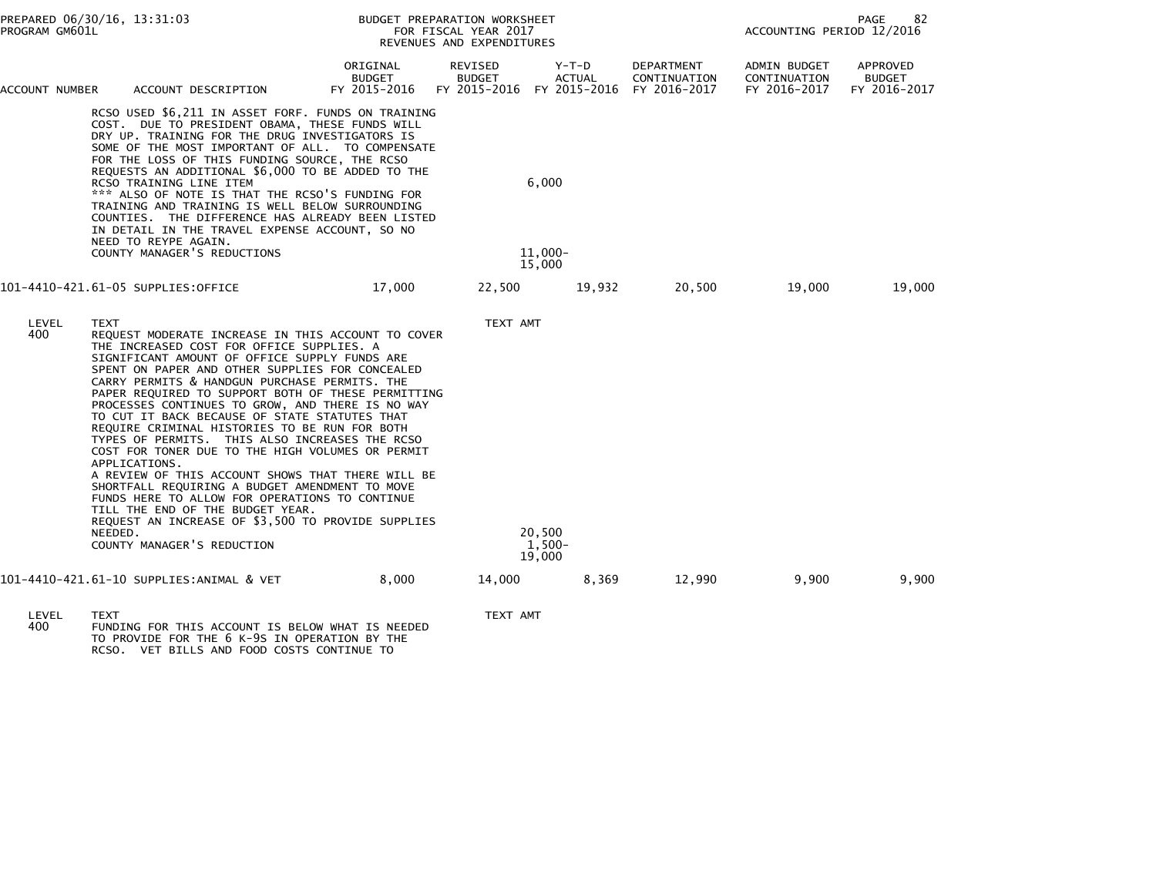| PROGRAM GM601L                         | PREPARED 06/30/16, 13:31:03                                                                                                                                                                                                                                                                                                                                                                                                                                                                                                                                                                                                                                                                                                                                                                                                                                                                        |                                    | BUDGET PREPARATION WORKSHEET<br>FOR FISCAL YEAR 2017<br>REVENUES AND EXPENDITURES |                            | 82<br>PAGE<br>ACCOUNTING PERIOD 12/2016    |                                              |                                           |
|----------------------------------------|----------------------------------------------------------------------------------------------------------------------------------------------------------------------------------------------------------------------------------------------------------------------------------------------------------------------------------------------------------------------------------------------------------------------------------------------------------------------------------------------------------------------------------------------------------------------------------------------------------------------------------------------------------------------------------------------------------------------------------------------------------------------------------------------------------------------------------------------------------------------------------------------------|------------------------------------|-----------------------------------------------------------------------------------|----------------------------|--------------------------------------------|----------------------------------------------|-------------------------------------------|
| ACCOUNT NUMBER                         | ACCOUNT DESCRIPTION                                                                                                                                                                                                                                                                                                                                                                                                                                                                                                                                                                                                                                                                                                                                                                                                                                                                                | ORIGINAL<br>BUDGET<br>FY 2015-2016 | REVISED<br>BUDGET<br>FY 2015-2016 FY 2015-2016                                    | Y-T-D<br>ACTUAL            | DEPARTMENT<br>CONTINUATION<br>FY 2016-2017 | ADMIN BUDGET<br>CONTINUATION<br>FY 2016-2017 | APPROVED<br><b>BUDGET</b><br>FY 2016-2017 |
|                                        | RCSO USED \$6,211 IN ASSET FORF. FUNDS ON TRAINING<br>COST. DUE TO PRESIDENT OBAMA, THESE FUNDS WILL<br>DRY UP. TRAINING FOR THE DRUG INVESTIGATORS IS<br>SOME OF THE MOST IMPORTANT OF ALL. TO COMPENSATE<br>FOR THE LOSS OF THIS FUNDING SOURCE, THE RCSO<br>REQUESTS AN ADDITIONAL \$6,000 TO BE ADDED TO THE<br>RCSO TRAINING LINE ITEM<br>*** ALSO OF NOTE IS THAT THE RCSO'S FUNDING FOR<br>TRAINING AND TRAINING IS WELL BELOW SURROUNDING<br>COUNTIES. THE DIFFERENCE HAS ALREADY BEEN LISTED<br>IN DETAIL IN THE TRAVEL EXPENSE ACCOUNT, SO NO<br>NEED TO REYPE AGAIN.<br>COUNTY MANAGER'S REDUCTIONS                                                                                                                                                                                                                                                                                     |                                    | 6.000<br>$11.000 -$                                                               |                            |                                            |                                              |                                           |
|                                        | 101-4410-421.61-05 SUPPLIES:OFFICE                                                                                                                                                                                                                                                                                                                                                                                                                                                                                                                                                                                                                                                                                                                                                                                                                                                                 | 17.000                             | 22,500                                                                            | 15,000<br>19,932           | 20,500                                     | 19.000                                       | 19,000                                    |
| LEVEL<br>400                           | <b>TEXT</b><br>REQUEST MODERATE INCREASE IN THIS ACCOUNT TO COVER<br>THE INCREASED COST FOR OFFICE SUPPLIES. A<br>SIGNIFICANT AMOUNT OF OFFICE SUPPLY FUNDS ARE<br>SPENT ON PAPER AND OTHER SUPPLIES FOR CONCEALED<br>CARRY PERMITS & HANDGUN PURCHASE PERMITS. THE<br>PAPER REQUIRED TO SUPPORT BOTH OF THESE PERMITTING<br>PROCESSES CONTINUES TO GROW, AND THERE IS NO WAY<br>TO CUT IT BACK BECAUSE OF STATE STATUTES THAT<br>REQUIRE CRIMINAL HISTORIES TO BE RUN FOR BOTH<br>TYPES OF PERMITS. THIS ALSO INCREASES THE RCSO<br>COST FOR TONER DUE TO THE HIGH VOLUMES OR PERMIT<br>APPLICATIONS.<br>A REVIEW OF THIS ACCOUNT SHOWS THAT THERE WILL BE<br>SHORTFALL REQUIRING A BUDGET AMENDMENT TO MOVE<br>FUNDS HERE TO ALLOW FOR OPERATIONS TO CONTINUE<br>TILL THE END OF THE BUDGET YEAR.<br>REQUEST AN INCREASE OF \$3,500 TO PROVIDE SUPPLIES<br>NEEDED.<br>COUNTY MANAGER'S REDUCTION |                                    | TEXT AMT                                                                          | 20,500<br>1.500-<br>19,000 |                                            |                                              |                                           |
|                                        | 101-4410-421.61-10 SUPPLIES:ANIMAL & VET                                                                                                                                                                                                                                                                                                                                                                                                                                                                                                                                                                                                                                                                                                                                                                                                                                                           | 8,000                              | 14,000                                                                            | 8,369                      | 12,990                                     | 9.900                                        | 9,900                                     |
| $\mathbf{r}$ $\mathbf{r}$ $\mathbf{r}$ | TUVT                                                                                                                                                                                                                                                                                                                                                                                                                                                                                                                                                                                                                                                                                                                                                                                                                                                                                               |                                    | $TUVT$ $M$                                                                        |                            |                                            |                                              |                                           |

LEVEL TEXT TEXT AMT 400 FUNDING FOR THIS ACCOUNT IS BELOW WHAT IS NEEDED TO PROVIDE FOR THE 6 K-9S IN OPERATION BY THE RCSO. VET BILLS AND FOOD COSTS CONTINUE TO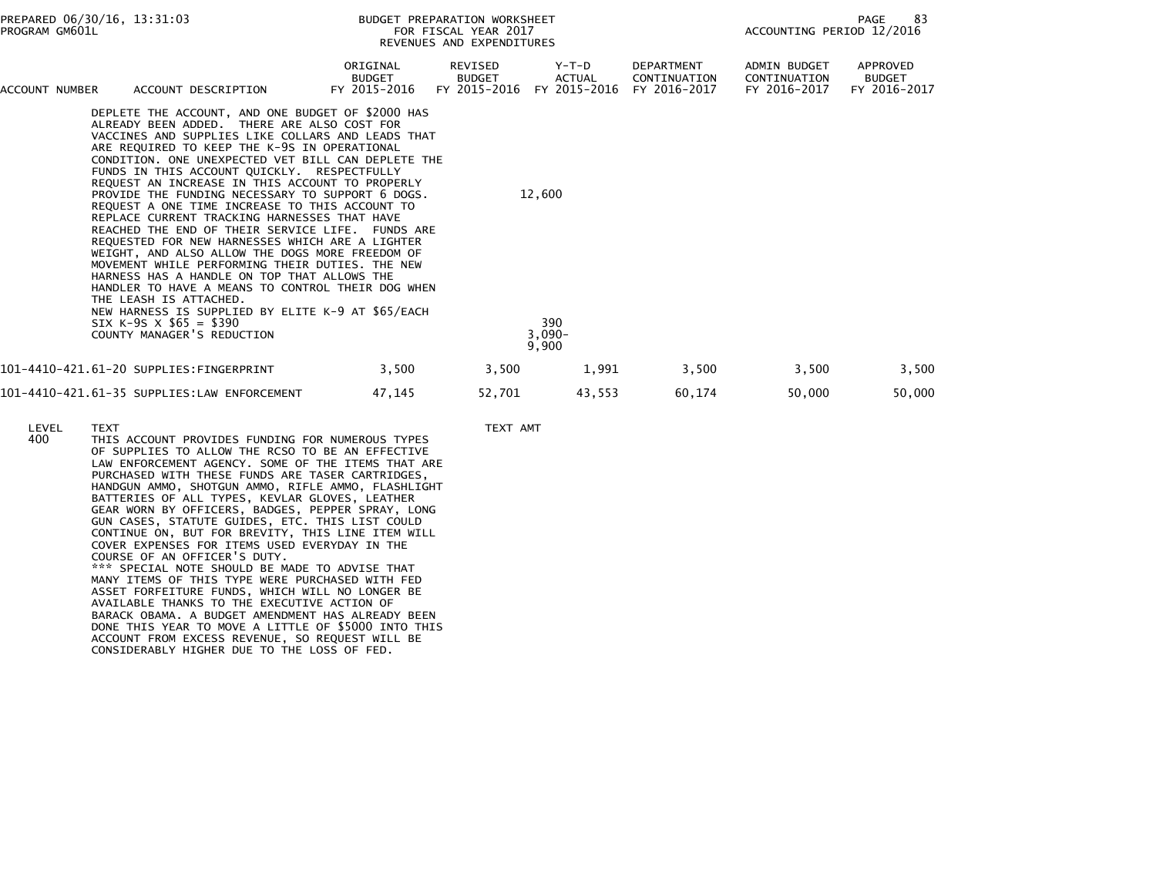| PROGRAM GM601L | PREPARED 06/30/16, 13:31:03                                                                                                                                                                                                                                                                                                                                                                                                                                                                                                                                                                                                                                                                                                                                                                                                                                                                                                                                                         |                                           | BUDGET PREPARATION WORKSHEET<br>FOR FISCAL YEAR 2017<br>REVENUES AND EXPENDITURES |                                    |                                            | 83<br>PAGE<br>ACCOUNTING PERIOD 12/2016      |                                           |
|----------------|-------------------------------------------------------------------------------------------------------------------------------------------------------------------------------------------------------------------------------------------------------------------------------------------------------------------------------------------------------------------------------------------------------------------------------------------------------------------------------------------------------------------------------------------------------------------------------------------------------------------------------------------------------------------------------------------------------------------------------------------------------------------------------------------------------------------------------------------------------------------------------------------------------------------------------------------------------------------------------------|-------------------------------------------|-----------------------------------------------------------------------------------|------------------------------------|--------------------------------------------|----------------------------------------------|-------------------------------------------|
| ACCOUNT NUMBER | ACCOUNT DESCRIPTION                                                                                                                                                                                                                                                                                                                                                                                                                                                                                                                                                                                                                                                                                                                                                                                                                                                                                                                                                                 | ORIGINAL<br><b>BUDGET</b><br>FY 2015-2016 | REVISED<br><b>BUDGET</b><br>FY 2015-2016                                          | Y-T-D<br>ACTUAL<br>FY 2015-2016    | DEPARTMENT<br>CONTINUATION<br>FY 2016-2017 | ADMIN BUDGET<br>CONTINUATION<br>FY 2016-2017 | APPROVED<br><b>BUDGET</b><br>FY 2016-2017 |
|                | DEPLETE THE ACCOUNT, AND ONE BUDGET OF \$2000 HAS<br>ALREADY BEEN ADDED. THERE ARE ALSO COST FOR<br>VACCINES AND SUPPLIES LIKE COLLARS AND LEADS THAT<br>ARE REQUIRED TO KEEP THE K-9S IN OPERATIONAL<br>CONDITION. ONE UNEXPECTED VET BILL CAN DEPLETE THE<br>FUNDS IN THIS ACCOUNT QUICKLY. RESPECTFULLY<br>REQUEST AN INCREASE IN THIS ACCOUNT TO PROPERLY<br>PROVIDE THE FUNDING NECESSARY TO SUPPORT 6 DOGS.<br>REQUEST A ONE TIME INCREASE TO THIS ACCOUNT TO<br>REPLACE CURRENT TRACKING HARNESSES THAT HAVE<br>REACHED THE END OF THEIR SERVICE LIFE. FUNDS ARE<br>REQUESTED FOR NEW HARNESSES WHICH ARE A LIGHTER<br>WEIGHT, AND ALSO ALLOW THE DOGS MORE FREEDOM OF<br>MOVEMENT WHILE PERFORMING THEIR DUTIES. THE NEW<br>HARNESS HAS A HANDLE ON TOP THAT ALLOWS THE<br>HANDLER TO HAVE A MEANS TO CONTROL THEIR DOG WHEN<br>THE LEASH IS ATTACHED.<br>NEW HARNESS IS SUPPLIED BY ELITE K-9 AT \$65/EACH<br>SIX K-9S $\times$ \$65 = \$390<br>COUNTY MANAGER'S REDUCTION |                                           |                                                                                   | 12,600<br>390<br>$3,090-$<br>9,900 |                                            |                                              |                                           |
|                | 101-4410-421.61-20 SUPPLIES:FINGERPRINT                                                                                                                                                                                                                                                                                                                                                                                                                                                                                                                                                                                                                                                                                                                                                                                                                                                                                                                                             | 3,500                                     | 3,500                                                                             | 1,991                              | 3,500                                      | 3,500                                        | 3,500                                     |
|                | 101-4410-421.61-35 SUPPLIES:LAW ENFORCEMENT                                                                                                                                                                                                                                                                                                                                                                                                                                                                                                                                                                                                                                                                                                                                                                                                                                                                                                                                         | 47,145                                    | 52,701                                                                            | 43,553                             | 60,174                                     | 50,000                                       | 50,000                                    |

LEVEL TEXT AMT<br>400 THIS ACCOUNT PROVIDES FUNDING FOR NUMEROUS TYPES THIS ACCOUNT PROVIDES FUNDING FOR NUMEROUS TYPES OF SUPPLIES TO ALLOW THE RCSO TO BE AN EFFECTIVE LAW ENFORCEMENT AGENCY. SOME OF THE ITEMS THAT ARE PURCHASED WITH THESE FUNDS ARE TASER CARTRIDGES, HANDGUN AMMO, SHOTGUN AMMO, RIFLE AMMO, FLASHLIGHT BATTERIES OF ALL TYPES, KEVLAR GLOVES, LEATHER GEAR WORN BY OFFICERS, BADGES, PEPPER SPRAY, LONG GUN CASES, STATUTE GUIDES, ETC. THIS LIST COULD CONTINUE ON, BUT FOR BREVITY, THIS LINE ITEM WILL COVER EXPENSES FOR ITEMS USED EVERYDAY IN THE COURSE OF AN OFFICER'S DUTY. \*\*\* SPECIAL NOTE SHOULD BE MADE TO ADVISE THAT MANY ITEMS OF THIS TYPE WERE PURCHASED WITH FED ASSET FORFEITURE FUNDS, WHICH WILL NO LONGER BE AVAILABLE THANKS TO THE EXECUTIVE ACTION OF BARACK OBAMA. A BUDGET AMENDMENT HAS ALREADY BEEN DONE THIS YEAR TO MOVE A LITTLE OF \$5000 INTO THIS ACCOUNT FROM EXCESS REVENUE, SO REQUEST WILL BECONSIDERABLY HIGHER DUE TO THE LOSS OF FED.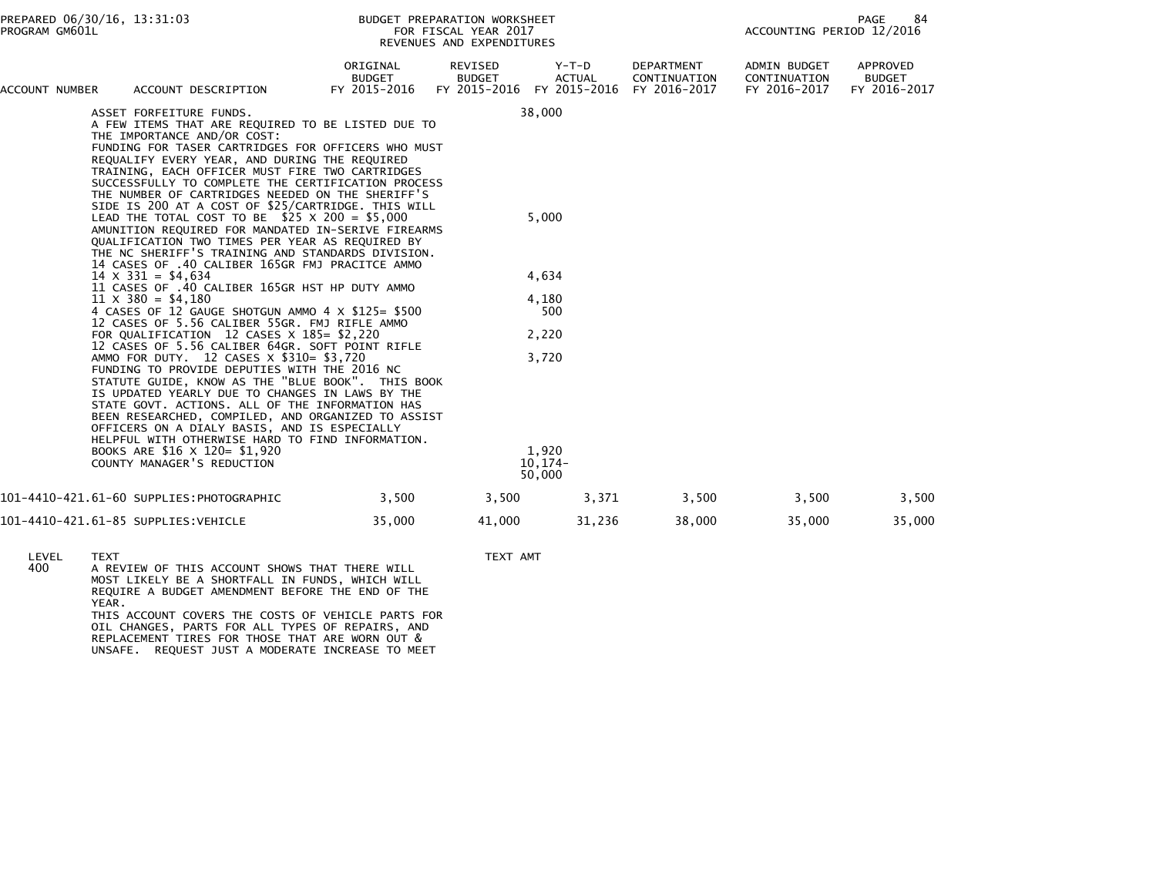| ACCOUNT NUMBER | ACCOUNT DESCRIPTION                                                                                                                                                                                                                                                                                                                                                                                                                                                                                                                                                                                   | ORIGINAL<br><b>BUDGET</b><br>FY 2015-2016 | REVISED<br><b>BUDGET</b><br>FY 2015-2016 | $Y-T-D$<br><b>ACTUAL</b><br>FY 2015-2016 | DEPARTMENT<br>CONTINUATION<br>FY 2016-2017 | <b>ADMIN BUDGET</b><br>CONTINUATION<br>FY 2016-2017 | APPROVED<br><b>BUDGET</b><br>FY 2016-2017 |
|----------------|-------------------------------------------------------------------------------------------------------------------------------------------------------------------------------------------------------------------------------------------------------------------------------------------------------------------------------------------------------------------------------------------------------------------------------------------------------------------------------------------------------------------------------------------------------------------------------------------------------|-------------------------------------------|------------------------------------------|------------------------------------------|--------------------------------------------|-----------------------------------------------------|-------------------------------------------|
|                | ASSET FORFEITURE FUNDS.<br>A FEW ITEMS THAT ARE REQUIRED TO BE LISTED DUE TO<br>THE IMPORTANCE AND/OR COST:<br>FUNDING FOR TASER CARTRIDGES FOR OFFICERS WHO MUST<br>REQUALIFY EVERY YEAR, AND DURING THE REQUIRED<br>TRAINING, EACH OFFICER MUST FIRE TWO CARTRIDGES<br>SUCCESSFULLY TO COMPLETE THE CERTIFICATION PROCESS<br>THE NUMBER OF CARTRIDGES NEEDED ON THE SHERIFF'S<br>SIDE IS 200 AT A COST OF \$25/CARTRIDGE. THIS WILL<br>LEAD THE TOTAL COST TO BE $$25 \times 200 = $5,000$<br>AMUNITION REQUIRED FOR MANDATED IN-SERIVE FIREARMS<br>QUALIFICATION TWO TIMES PER YEAR AS REQUIRED BY |                                           |                                          | 38,000<br>5,000                          |                                            |                                                     |                                           |
|                | THE NC SHERIFF'S TRAINING AND STANDARDS DIVISION.<br>14 CASES OF .40 CALIBER 165GR FMJ PRACITCE AMMO<br>$14 \times 331 = $4,634$<br>11 CASES OF .40 CALIBER 165GR HST HP DUTY AMMO                                                                                                                                                                                                                                                                                                                                                                                                                    |                                           |                                          | 4,634                                    |                                            |                                                     |                                           |
|                | $11 \times 380 = $4,180$<br>4 CASES OF 12 GAUGE SHOTGUN AMMO 4 X \$125= \$500<br>12 CASES OF 5.56 CALIBER 55GR. FMJ RIFLE AMMO                                                                                                                                                                                                                                                                                                                                                                                                                                                                        |                                           |                                          | 4,180<br>500                             |                                            |                                                     |                                           |
|                | FOR QUALIFICATION 12 CASES $\times$ 185= \$2,220<br>12 CASES OF 5.56 CALIBER 64GR. SOFT POINT RIFLE                                                                                                                                                                                                                                                                                                                                                                                                                                                                                                   |                                           |                                          | 2,220                                    |                                            |                                                     |                                           |
|                | AMMO FOR DUTY. 12 CASES X \$310= \$3,720<br>FUNDING TO PROVIDE DEPUTIES WITH THE 2016 NC<br>STATUTE GUIDE, KNOW AS THE "BLUE BOOK". THIS BOOK<br>IS UPDATED YEARLY DUE TO CHANGES IN LAWS BY THE<br>STATE GOVT. ACTIONS. ALL OF THE INFORMATION HAS<br>BEEN RESEARCHED, COMPILED, AND ORGANIZED TO ASSIST<br>OFFICERS ON A DIALY BASIS, AND IS ESPECIALLY<br>HELPFUL WITH OTHERWISE HARD TO FIND INFORMATION.                                                                                                                                                                                         |                                           |                                          | 3,720                                    |                                            |                                                     |                                           |
|                | BOOKS ARE \$16 X 120= \$1,920<br>COUNTY MANAGER'S REDUCTION                                                                                                                                                                                                                                                                                                                                                                                                                                                                                                                                           |                                           |                                          | 1,920<br>$10, 174 -$<br>50,000           |                                            |                                                     |                                           |
|                | 101–4410–421.61–60 SUPPLIES:PHOTOGRAPHIC                                                                                                                                                                                                                                                                                                                                                                                                                                                                                                                                                              | 3,500                                     | 3,500                                    | 3,371                                    | 3,500                                      | 3,500                                               | 3,500                                     |
|                | 101-4410-421.61-85 SUPPLIES:VEHICLE                                                                                                                                                                                                                                                                                                                                                                                                                                                                                                                                                                   | 35,000                                    | 41,000                                   | 31,236                                   | 38,000                                     | 35,000                                              | 35,000                                    |

- 
- LEVEL TEXT TEXT AMT 400 A REVIEW OF THIS ACCOUNT SHOWS THAT THERE WILL MOST LIKELY BE A SHORTFALL IN FUNDS, WHICH WILL REQUIRE A BUDGET AMENDMENT BEFORE THE END OF THE YEAR. THIS ACCOUNT COVERS THE COSTS OF VEHICLE PARTS FOR OIL CHANGES, PARTS FOR ALL TYPES OF REPAIRS, ANDREPLACEMENT TIRES FOR THOSE THAT ARE WORN OUT & UNSAFE. REQUEST JUST A MODERATE INCREASE TO MEET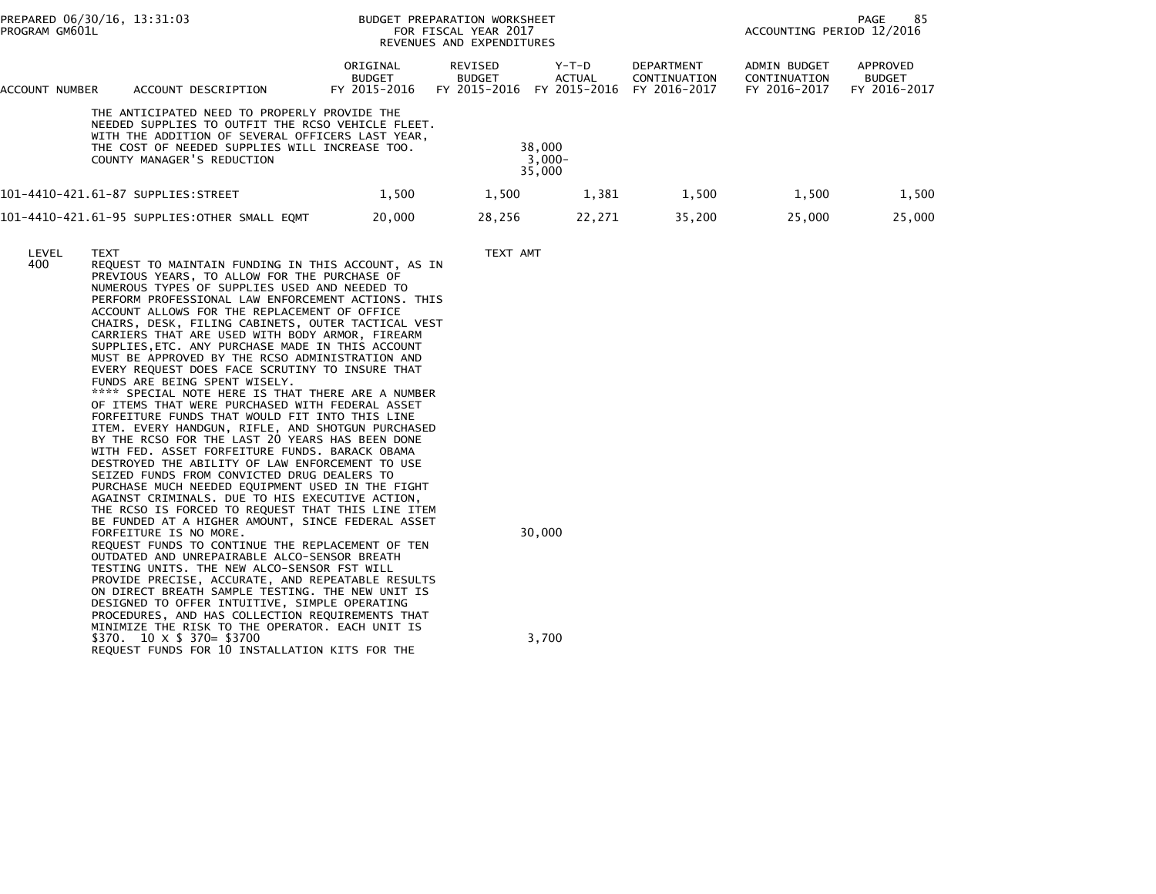| PREPARED 06/30/16, 13:31:03<br>PROGRAM GM601L                                                                                                                                                                                         | BUDGET PREPARATION WORKSHEET<br>FOR FISCAL YEAR 2017<br>REVENUES AND EXPENDITURES |                                          |                                 |                                                   | ACCOUNTING PERIOD 12/2016                    | -85<br>PAGE                               |
|---------------------------------------------------------------------------------------------------------------------------------------------------------------------------------------------------------------------------------------|-----------------------------------------------------------------------------------|------------------------------------------|---------------------------------|---------------------------------------------------|----------------------------------------------|-------------------------------------------|
| ACCOUNT DESCRIPTION<br>ACCOUNT NUMBER                                                                                                                                                                                                 | ORIGINAL<br><b>BUDGET</b><br>FY 2015-2016                                         | REVISED<br><b>BUDGET</b><br>FY 2015-2016 | Y-T-D<br>ACTUAL<br>FY 2015-2016 | <b>DEPARTMENT</b><br>CONTINUATION<br>FY 2016-2017 | ADMIN BUDGET<br>CONTINUATION<br>FY 2016-2017 | APPROVED<br><b>BUDGET</b><br>FY 2016-2017 |
| THE ANTICIPATED NEED TO PROPERLY PROVIDE THE<br>NEEDED SUPPLIES TO OUTFIT THE RCSO VEHICLE FLEET.<br>WITH THE ADDITION OF SEVERAL OFFICERS LAST YEAR,<br>THE COST OF NEEDED SUPPLIES WILL INCREASE TOO.<br>COUNTY MANAGER'S REDUCTION |                                                                                   |                                          | 38,000<br>$3,000 -$<br>35,000   |                                                   |                                              |                                           |
| 101-4410-421.61-87 SUPPLIES:STREET                                                                                                                                                                                                    | 1.500                                                                             | 1,500                                    | 1,381                           | 1,500                                             | 1,500                                        | 1,500                                     |
| 101-4410-421.61-95 SUPPLIES:OTHER SMALL EQMT                                                                                                                                                                                          | 20,000                                                                            | 28,256                                   | 22,271                          | 35,200                                            | 25,000                                       | 25,000                                    |

LEVEL TEXT TEXT AMT

 400 REQUEST TO MAINTAIN FUNDING IN THIS ACCOUNT, AS IN PREVIOUS YEARS, TO ALLOW FOR THE PURCHASE OF NUMEROUS TYPES OF SUPPLIES USED AND NEEDED TO PERFORM PROFESSIONAL LAW ENFORCEMENT ACTIONS. THIS ACCOUNT ALLOWS FOR THE REPLACEMENT OF OFFICE CHAIRS, DESK, FILING CABINETS, OUTER TACTICAL VEST CARRIERS THAT ARE USED WITH BODY ARMOR, FIREARM SUPPLIES,ETC. ANY PURCHASE MADE IN THIS ACCOUNT MUST BE APPROVED BY THE RCSO ADMINISTRATION AND EVERY REQUEST DOES FACE SCRUTINY TO INSURE THAT FUNDS ARE BEING SPENT WISELY. \*\*\*\* SPECIAL NOTE HERE IS THAT THERE ARE A NUMBER OF ITEMS THAT WERE PURCHASED WITH FEDERAL ASSET FORFEITURE FUNDS THAT WOULD FIT INTO THIS LINE ITEM. EVERY HANDGUN, RIFLE, AND SHOTGUN PURCHASED BY THE RCSO FOR THE LAST 20 YEARS HAS BEEN DONE WITH FED. ASSET FORFEITURE FUNDS. BARACK OBAMA DESTROYED THE ABILITY OF LAW ENFORCEMENT TO USE SEIZED FUNDS FROM CONVICTED DRUG DEALERS TO PURCHASE MUCH NEEDED EQUIPMENT USED IN THE FIGHT AGAINST CRIMINALS. DUE TO HIS EXECUTIVE ACTION, THE RCSO IS FORCED TO REQUEST THAT THIS LINE ITEM BE FUNDED AT A HIGHER AMOUNT, SINCE FEDERAL ASSETFORFEITURE IS NO MORE. 20,000 REQUEST FUNDS TO CONTINUE THE REPLACEMENT OF TENOUTDATED AND UNREPAIRABLE ALCO-SENSOR BREATH

 TESTING UNITS. THE NEW ALCO-SENSOR FST WILL PROVIDE PRECISE, ACCURATE, AND REPEATABLE RESULTS ON DIRECT BREATH SAMPLE TESTING. THE NEW UNIT IS DESIGNED TO OFFER INTUITIVE, SIMPLE OPERATING PROCEDURES, AND HAS COLLECTION REQUIREMENTS THAT MINIMIZE THE RISK TO THE OPERATOR. EACH UNIT IS\$370. 10 x \$ 370= \$3700 3,700 REQUEST FUNDS FOR 10 INSTALLATION KITS FOR THE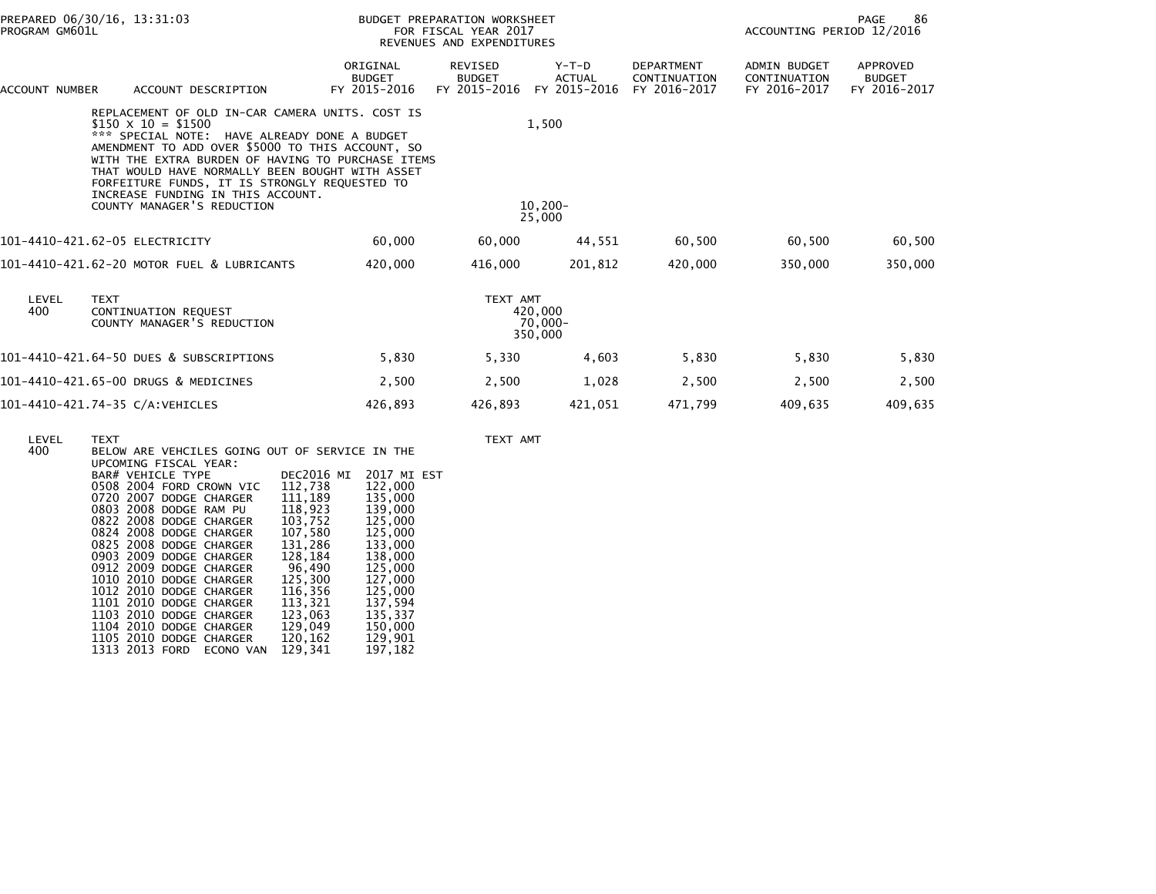| PROGRAM GM601L | PREPARED 06/30/16, 13:31:03                                                                                                                                                                                                                                                                                                                                                                                 |                                           | BUDGET PREPARATION WORKSHEET<br>FOR FISCAL YEAR 2017<br>REVENUES AND EXPENDITURES |                                          |                                                   | 86<br>PAGE<br>ACCOUNTING PERIOD 12/2016             |                                           |  |
|----------------|-------------------------------------------------------------------------------------------------------------------------------------------------------------------------------------------------------------------------------------------------------------------------------------------------------------------------------------------------------------------------------------------------------------|-------------------------------------------|-----------------------------------------------------------------------------------|------------------------------------------|---------------------------------------------------|-----------------------------------------------------|-------------------------------------------|--|
| ACCOUNT NUMBER | ACCOUNT DESCRIPTION                                                                                                                                                                                                                                                                                                                                                                                         | ORIGINAL<br><b>BUDGET</b><br>FY 2015-2016 | REVISED<br><b>BUDGET</b><br>FY 2015-2016                                          | $Y-T-D$<br><b>ACTUAL</b><br>FY 2015-2016 | <b>DEPARTMENT</b><br>CONTINUATION<br>FY 2016-2017 | <b>ADMIN BUDGET</b><br>CONTINUATION<br>FY 2016-2017 | APPROVED<br><b>BUDGET</b><br>FY 2016-2017 |  |
|                | REPLACEMENT OF OLD IN-CAR CAMERA UNITS. COST IS<br>$$150 \times 10 = $1500$<br>*** SPECIAL NOTE: HAVE ALREADY DONE A BUDGET<br>AMENDMENT TO ADD OVER \$5000 TO THIS ACCOUNT, SO<br>WITH THE EXTRA BURDEN OF HAVING TO PURCHASE ITEMS<br>THAT WOULD HAVE NORMALLY BEEN BOUGHT WITH ASSET<br>FORFEITURE FUNDS, IT IS STRONGLY REQUESTED TO<br>INCREASE FUNDING IN THIS ACCOUNT.<br>COUNTY MANAGER'S REDUCTION |                                           |                                                                                   | 1,500<br>$10,200 -$                      |                                                   |                                                     |                                           |  |
|                |                                                                                                                                                                                                                                                                                                                                                                                                             |                                           |                                                                                   | 25,000                                   |                                                   |                                                     |                                           |  |
|                | 101-4410-421.62-05 ELECTRICITY                                                                                                                                                                                                                                                                                                                                                                              | 60,000                                    | 60,000                                                                            | 44,551                                   | 60,500                                            | 60,500                                              | 60,500                                    |  |
|                | 101-4410-421.62-20 MOTOR FUEL & LUBRICANTS                                                                                                                                                                                                                                                                                                                                                                  | 420,000                                   | 416.000                                                                           | 201.812                                  | 420,000                                           | 350.000                                             | 350,000                                   |  |
| LEVEL<br>400   | <b>TEXT</b><br>CONTINUATION REQUEST<br>COUNTY MANAGER'S REDUCTION                                                                                                                                                                                                                                                                                                                                           |                                           | TEXT AMT                                                                          | 420,000<br>70,000-<br>350,000            |                                                   |                                                     |                                           |  |
|                | 101-4410-421.64-50 DUES & SUBSCRIPTIONS                                                                                                                                                                                                                                                                                                                                                                     | 5,830                                     | 5,330                                                                             | 4,603                                    | 5,830                                             | 5,830                                               | 5,830                                     |  |
|                | 101-4410-421.65-00 DRUGS & MEDICINES                                                                                                                                                                                                                                                                                                                                                                        | 2,500                                     | 2,500                                                                             | 1,028                                    | 2,500                                             | 2,500                                               | 2,500                                     |  |
|                | 101-4410-421.74-35 C/A:VEHICLES                                                                                                                                                                                                                                                                                                                                                                             | 426,893                                   | 426,893                                                                           | 421,051                                  | 471,799                                           | 409,635                                             | 409,635                                   |  |
|                |                                                                                                                                                                                                                                                                                                                                                                                                             |                                           |                                                                                   |                                          |                                                   |                                                     |                                           |  |

TEXT AMT

| LEVEL | <b>TEXT</b>                                    |                           |
|-------|------------------------------------------------|---------------------------|
| 400   | BELOW ARE VEHCILES GOING OUT OF SERVICE IN THE |                           |
|       | UPCOMING FISCAL YEAR:                          |                           |
|       | BAR# VEHICLE TYPE                              | DEC2016 MI<br>2017 MI EST |
|       | 0508 2004 FORD CROWN VIC                       | 112,738<br>122,000        |
|       | 0720 2007 DODGE CHARGER                        | 111,189<br>135,000        |
|       | 0803 2008 DODGE RAM PU                         | 118.923<br>139,000        |
|       | 0822 2008 DODGE CHARGER                        | 103.752<br>125,000        |
|       | 0824 2008 DODGE CHARGER                        | 107,580<br>125,000        |
|       | 0825 2008 DODGE CHARGER                        | 131,286<br>133,000        |
|       | 0903 2009 DODGE CHARGER                        | 128.184<br>138,000        |
|       | 0912 2009 DODGE CHARGER                        | 96,490<br>125,000         |
|       | 1010 2010 DODGE CHARGER                        | 125,300<br>127,000        |
|       | 1012 2010 DODGE CHARGER                        | 116,356<br>125,000        |
|       | 1101 2010 DODGE CHARGER                        | 137,594<br>113,321        |
|       | 1103 2010 DODGE CHARGER                        | 135,337<br>123,063        |
|       | 1104 2010 DODGE CHARGER                        | 129,049<br>150,000        |
|       | 1105 2010 DODGE CHARGER                        | 129,901<br>120,162        |
|       | 1313 2013 FORD<br>ECONO VAN                    | 197,182<br>129,341        |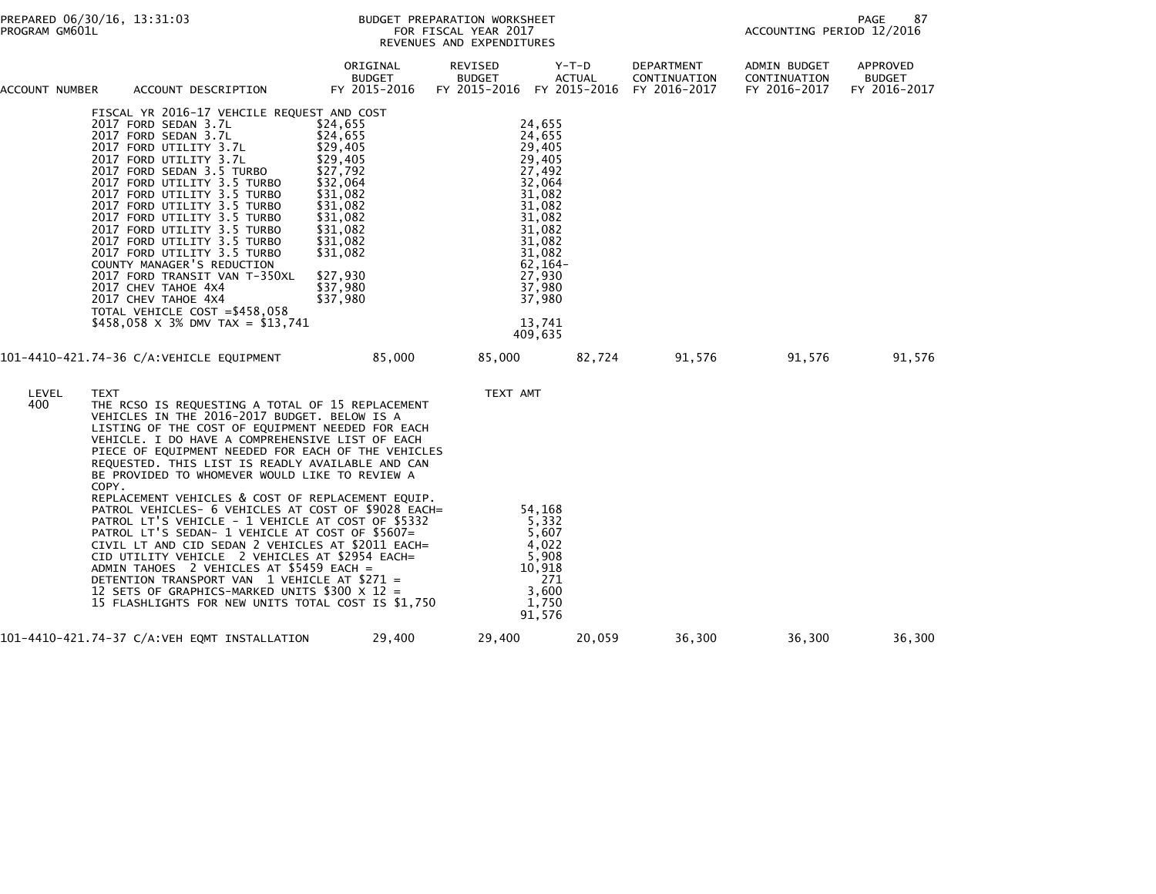| ACCOUNT NUMBER | ACCOUNT DESCRIPTION                                                                                                                                                                                                                                                                                                                                                                                                                                                                                                                                                                             | ORIGINAL<br><b>BUDGET</b><br>FY 2015-2016                                                                                                                                        | REVISED<br><b>BUDGET</b><br>FY 2015-2016 FY 2015-2016 | $Y-T-D$<br><b>ACTUAL</b>                                                                                                                                                               | DEPARTMENT<br>CONTINUATION<br>FY 2016-2017 | ADMIN BUDGET<br>CONTINUATION<br>FY 2016-2017 | <b>APPROVED</b><br><b>BUDGET</b><br>FY 2016-2017 |
|----------------|-------------------------------------------------------------------------------------------------------------------------------------------------------------------------------------------------------------------------------------------------------------------------------------------------------------------------------------------------------------------------------------------------------------------------------------------------------------------------------------------------------------------------------------------------------------------------------------------------|----------------------------------------------------------------------------------------------------------------------------------------------------------------------------------|-------------------------------------------------------|----------------------------------------------------------------------------------------------------------------------------------------------------------------------------------------|--------------------------------------------|----------------------------------------------|--------------------------------------------------|
|                | FISCAL YR 2016-17 VEHCILE REQUEST AND COST<br>2017 FORD SEDAN 3.7L<br>2017 FORD SEDAN 3.7L<br>2017 FORD UTILITY 3.7L<br>2017 FORD UTILITY 3.7L<br>2017 FORD SEDAN 3.5 TURBO<br>2017 FORD UTILITY 3.5 TURBO<br>2017 FORD UTILITY 3.5 TURBO<br>2017 FORD UTILITY 3.5 TURBO<br>2017 FORD UTILITY 3.5 TURBO<br>2017 FORD UTILITY 3.5 TURBO<br>2017 FORD UTILITY 3.5 TURBO<br>2017 FORD UTILITY 3.5 TURBO<br>COUNTY MANAGER'S REDUCTION<br>2017 FORD TRANSIT VAN T-350XL<br>2017 CHEV TAHOE 4X4<br>2017 CHEV TAHOE 4X4<br>TOTAL VEHICLE COST = \$458,058<br>\$458,058 $\times$ 3% DMV TAX = \$13,741 | \$24,655<br>\$24,655<br>\$29,405<br>\$29,405<br>\$27,792<br>\$32,064<br>\$31,082<br>\$31,082<br>\$31,082<br>\$31,082<br>\$31,082<br>\$31,082<br>\$27,930<br>\$37,980<br>\$37,980 |                                                       | 24,655<br>24,655<br>29,405<br>29,405<br>27,492<br>32,064<br>31.082<br>31,082<br>31,082<br>31,082<br>31,082<br>31,082<br>$62, 164 -$<br>27,930<br>37,980<br>37,980<br>13,741<br>409,635 |                                            |                                              |                                                  |
|                | 101-4410-421.74-36 C/A:VEHICLE EQUIPMENT                                                                                                                                                                                                                                                                                                                                                                                                                                                                                                                                                        | 85,000                                                                                                                                                                           | 85,000                                                | 82,724                                                                                                                                                                                 | 91,576                                     | 91,576                                       | 91,576                                           |
| LEVEL<br>400   | <b>TEXT</b><br>THE RCSO IS REQUESTING A TOTAL OF 15 REPLACEMENT<br>VEHICLES IN THE 2016-2017 BUDGET. BELOW IS A<br>LISTING OF THE COST OF EQUIPMENT NEEDED FOR EACH<br>VEHICLE. I DO HAVE A COMPREHENSIVE LIST OF EACH<br>PIECE OF EQUIPMENT NEEDED FOR EACH OF THE VEHICLES<br>REQUESTED. THIS LIST IS READLY AVAILABLE AND CAN<br>BE PROVIDED TO WHOMEVER WOULD LIKE TO REVIEW A<br>COPY.                                                                                                                                                                                                     |                                                                                                                                                                                  | TEXT AMT                                              |                                                                                                                                                                                        |                                            |                                              |                                                  |
|                | REPLACEMENT VEHICLES & COST OF REPLACEMENT EQUIP.<br>PATROL VEHICLES- 6 VEHICLES AT COST OF \$9028 EACH=<br>PATROL LT'S VEHICLE - 1 VEHICLE AT COST OF \$5332<br>PATROL LT'S SEDAN- 1 VEHICLE AT COST OF \$5607=<br>CIVIL LT AND CID SEDAN 2 VEHICLES AT \$2011 EACH=<br>CID UTILITY VEHICLE 2 VEHICLES AT \$2954 EACH=<br>ADMIN TAHOES 2 VEHICLES AT \$5459 EACH =<br>DETENTION TRANSPORT VAN 1 VEHICLE AT \$271 =<br>12 SETS OF GRAPHICS-MARKED UNITS \$300 X 12 =<br>15 FLASHLIGHTS FOR NEW UNITS TOTAL COST IS \$1,750                                                                      |                                                                                                                                                                                  |                                                       | 54,168<br>5,332<br>5,607<br>4,022<br>5,908<br>10,918<br>271<br>3,600<br>1,750<br>91,576                                                                                                |                                            |                                              |                                                  |
|                | 101-4410-421.74-37 C/A:VEH EQMT INSTALLATION                                                                                                                                                                                                                                                                                                                                                                                                                                                                                                                                                    | 29,400                                                                                                                                                                           | 29,400                                                | 20,059                                                                                                                                                                                 | 36,300                                     | 36,300                                       | 36,300                                           |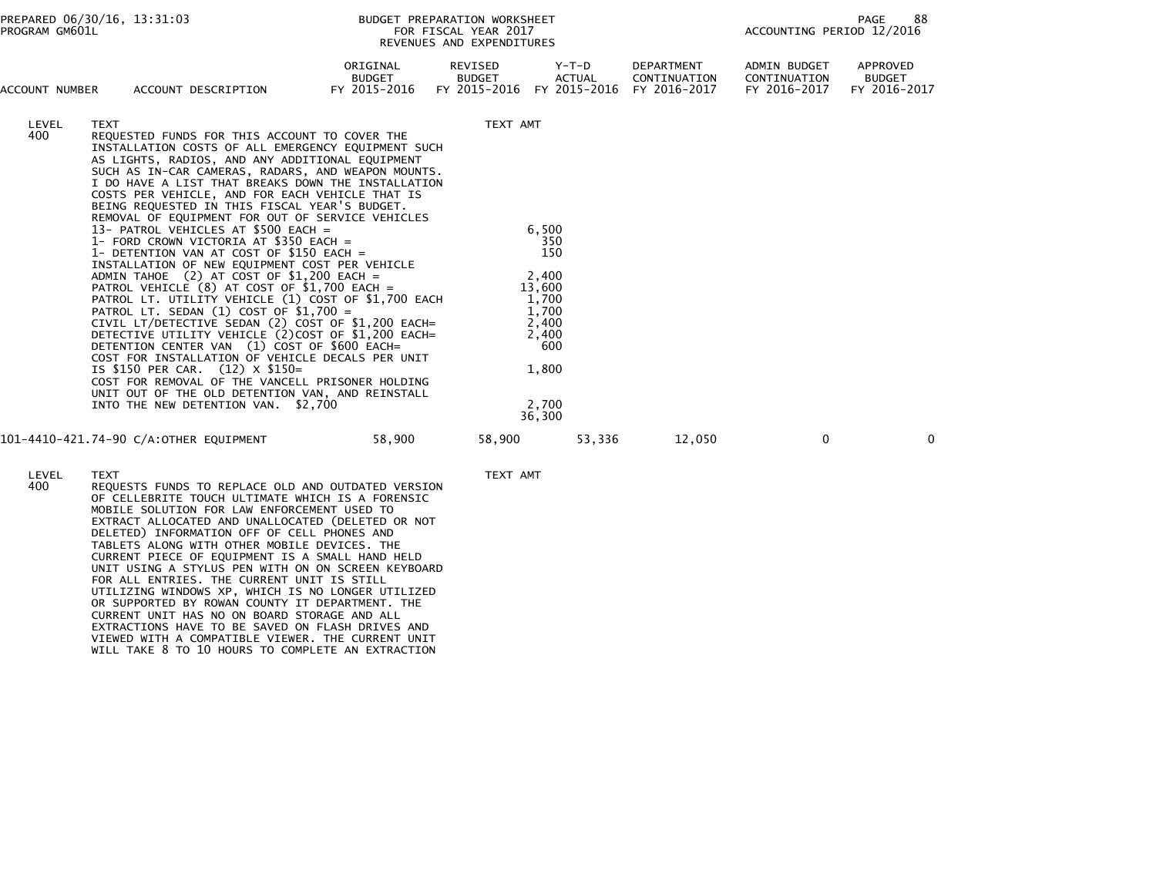| PROGRAM GM601L | PREPARED 06/30/16, 13:31:03                                                                                                                                                                                                                                                                                                                                                                                                                                                                                                                                                                                                                                                                                                                                                                                                                                                                                                                                                                                                                                                                                                                                                                                                   |                                    | BUDGET PREPARATION WORKSHEET<br>FOR FISCAL YEAR 2017<br>REVENUES AND EXPENDITURES | 88<br>PAGE<br>ACCOUNTING PERIOD 12/2016                                                                       |                                            |                                              |                                           |  |
|----------------|-------------------------------------------------------------------------------------------------------------------------------------------------------------------------------------------------------------------------------------------------------------------------------------------------------------------------------------------------------------------------------------------------------------------------------------------------------------------------------------------------------------------------------------------------------------------------------------------------------------------------------------------------------------------------------------------------------------------------------------------------------------------------------------------------------------------------------------------------------------------------------------------------------------------------------------------------------------------------------------------------------------------------------------------------------------------------------------------------------------------------------------------------------------------------------------------------------------------------------|------------------------------------|-----------------------------------------------------------------------------------|---------------------------------------------------------------------------------------------------------------|--------------------------------------------|----------------------------------------------|-------------------------------------------|--|
| ACCOUNT NUMBER | ACCOUNT DESCRIPTION                                                                                                                                                                                                                                                                                                                                                                                                                                                                                                                                                                                                                                                                                                                                                                                                                                                                                                                                                                                                                                                                                                                                                                                                           | ORIGINAL<br>BUDGET<br>FY 2015-2016 | REVISED<br><b>BUDGET</b><br>FY 2015-2016                                          | Y-T-D<br><b>ACTUAL</b><br>FY 2015-2016                                                                        | DEPARTMENT<br>CONTINUATION<br>FY 2016-2017 | ADMIN BUDGET<br>CONTINUATION<br>FY 2016-2017 | APPROVED<br><b>BUDGET</b><br>FY 2016-2017 |  |
| LEVEL<br>400   | <b>TEXT</b><br>REQUESTED FUNDS FOR THIS ACCOUNT TO COVER THE<br>INSTALLATION COSTS OF ALL EMERGENCY EQUIPMENT SUCH<br>AS LIGHTS, RADIOS, AND ANY ADDITIONAL EQUIPMENT<br>SUCH AS IN-CAR CAMERAS, RADARS, AND WEAPON MOUNTS.<br>I DO HAVE A LIST THAT BREAKS DOWN THE INSTALLATION<br>COSTS PER VEHICLE, AND FOR EACH VEHICLE THAT IS<br>BEING REQUESTED IN THIS FISCAL YEAR'S BUDGET.<br>REMOVAL OF EQUIPMENT FOR OUT OF SERVICE VEHICLES<br>13- PATROL VEHICLES AT \$500 EACH =<br>1- FORD CROWN VICTORIA AT \$350 EACH =<br>1- DETENTION VAN AT COST OF \$150 EACH =<br>INSTALLATION OF NEW EQUIPMENT COST PER VEHICLE<br>ADMIN TAHOE $(2)$ AT COST OF \$1,200 EACH =<br>PATROL VEHICLE (8) AT COST OF \$1,700 EACH =<br>PATROL LT. UTILITY VEHICLE (1) COST OF \$1,700 EACH<br>PATROL LT. SEDAN $(1)$ COST OF \$1,700 =<br>CIVIL LT/DETECTIVE SEDAN (2) COST OF \$1,200 EACH=<br>DETECTIVE UTILITY VEHICLE (2) COST OF \$1,200 EACH=<br>DETENTION CENTER VAN (1) COST OF \$600 EACH=<br>COST FOR INSTALLATION OF VEHICLE DECALS PER UNIT<br>IS \$150 PER CAR. (12) X \$150=<br>COST FOR REMOVAL OF THE VANCELL PRISONER HOLDING<br>UNIT OUT OF THE OLD DETENTION VAN, AND REINSTALL<br>INTO THE NEW DETENTION VAN. \$2,700 |                                    | TEXT AMT                                                                          | 6,500<br>350<br>150<br>2,400<br>13,600<br>1,700<br>1,700<br>2,400<br>2.400<br>600<br>1,800<br>2.700<br>36,300 |                                            |                                              |                                           |  |
|                | 101-4410-421.74-90 C/A:OTHER EQUIPMENT                                                                                                                                                                                                                                                                                                                                                                                                                                                                                                                                                                                                                                                                                                                                                                                                                                                                                                                                                                                                                                                                                                                                                                                        | 58,900                             | 58,900                                                                            | 53,336                                                                                                        | 12,050                                     | $\Omega$                                     | $\mathbf{0}$                              |  |
| LEVEL<br>400   | <b>TEXT</b><br>REQUESTS FUNDS TO REPLACE OLD AND OUTDATED VERSION<br>OF CELLEBRITE TOUCH ULTIMATE WHICH IS A FORENSIC<br>MOBILE SOLUTION FOR LAW ENFORCEMENT USED TO<br>EXTRACT ALLOCATED AND UNALLOCATED (DELETED OR NOT<br>DELETED) INFORMATION OFF OF CELL PHONES AND<br>TABLETS ALONG WITH OTHER MOBILE DEVICES. THE<br>CURRENT PIECE OF EQUIPMENT IS A SMALL HAND HELD<br>UNIT USING A STYLUS PEN WITH ON ON SCREEN KEYBOARD<br>FOR ALL ENTRIES. THE CURRENT UNIT IS STILL                                                                                                                                                                                                                                                                                                                                                                                                                                                                                                                                                                                                                                                                                                                                               |                                    | TEXT AMT                                                                          |                                                                                                               |                                            |                                              |                                           |  |

UTILIZING WINDOWS XP, WHICH IS NO LONGER UTILIZED OR SUPPORTED BY ROWAN COUNTY IT DEPARTMENT. THE CURRENT UNIT HAS NO ON BOARD STORAGE AND ALL

EXTRACTIONS HAVE TO BE SAVED ON FLASH DRIVES AND

- 
- VIEWED WITH A COMPATIBLE VIEWER. THE CURRENT UNIT WILL TAKE 8 TO 10 HOURS TO COMPLETE AN EXTRACTION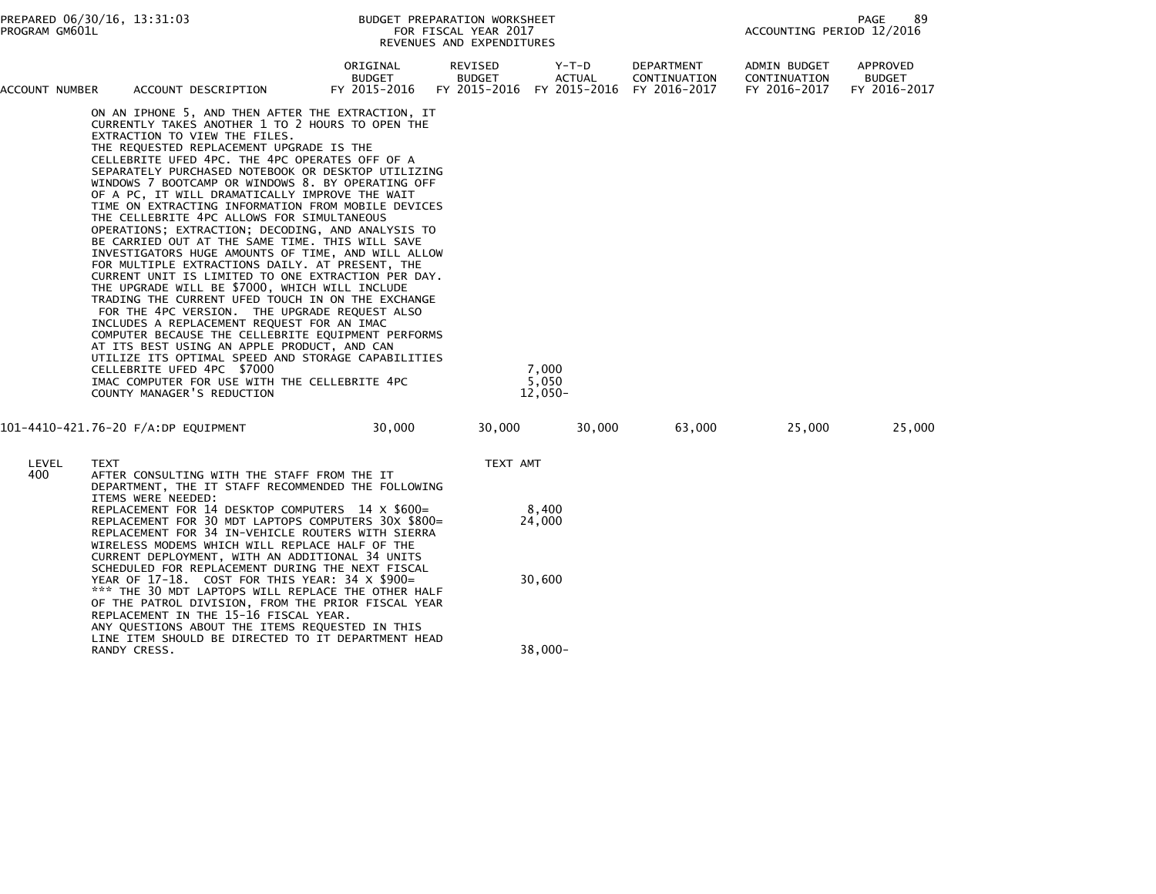| PREPARED 06/30/16, 13:31:03<br>PROGRAM GM601L |      |                                                                                                                                                                                                                                                                                                                                                                                                                                                                                                                                                                                                                                                                                                                                                                                                                                                                                                                                                                                                                                                                                                                                                                                                                                                            |                                           | BUDGET PREPARATION WORKSHEET<br>FOR FISCAL YEAR 2017<br>REVENUES AND EXPENDITURES |                 |                 |                                                                      |                                              | 89<br>PAGE<br>ACCOUNTING PERIOD 12/2016   |  |
|-----------------------------------------------|------|------------------------------------------------------------------------------------------------------------------------------------------------------------------------------------------------------------------------------------------------------------------------------------------------------------------------------------------------------------------------------------------------------------------------------------------------------------------------------------------------------------------------------------------------------------------------------------------------------------------------------------------------------------------------------------------------------------------------------------------------------------------------------------------------------------------------------------------------------------------------------------------------------------------------------------------------------------------------------------------------------------------------------------------------------------------------------------------------------------------------------------------------------------------------------------------------------------------------------------------------------------|-------------------------------------------|-----------------------------------------------------------------------------------|-----------------|-----------------|----------------------------------------------------------------------|----------------------------------------------|-------------------------------------------|--|
| ACCOUNT NUMBER                                |      | ACCOUNT DESCRIPTION                                                                                                                                                                                                                                                                                                                                                                                                                                                                                                                                                                                                                                                                                                                                                                                                                                                                                                                                                                                                                                                                                                                                                                                                                                        | ORIGINAL<br><b>BUDGET</b><br>FY 2015-2016 | REVISED<br><b>BUDGET</b>                                                          |                 | Y-T-D<br>ACTUAL | DEPARTMENT<br>CONTINUATION<br>FY 2015-2016 FY 2015-2016 FY 2016-2017 | ADMIN BUDGET<br>CONTINUATION<br>FY 2016-2017 | APPROVED<br><b>BUDGET</b><br>FY 2016-2017 |  |
|                                               |      | ON AN IPHONE 5, AND THEN AFTER THE EXTRACTION, IT<br>CURRENTLY TAKES ANOTHER 1 TO 2 HOURS TO OPEN THE<br>EXTRACTION TO VIEW THE FILES.<br>THE REQUESTED REPLACEMENT UPGRADE IS THE<br>CELLEBRITE UFED 4PC. THE 4PC OPERATES OFF OF A<br>SEPARATELY PURCHASED NOTEBOOK OR DESKTOP UTILIZING<br>WINDOWS 7 BOOTCAMP OR WINDOWS 8. BY OPERATING OFF<br>OF A PC, IT WILL DRAMATICALLY IMPROVE THE WAIT<br>TIME ON EXTRACTING INFORMATION FROM MOBILE DEVICES<br>THE CELLEBRITE 4PC ALLOWS FOR SIMULTANEOUS<br>OPERATIONS; EXTRACTION; DECODING, AND ANALYSIS TO<br>BE CARRIED OUT AT THE SAME TIME. THIS WILL SAVE<br>INVESTIGATORS HUGE AMOUNTS OF TIME, AND WILL ALLOW<br>FOR MULTIPLE EXTRACTIONS DAILY. AT PRESENT, THE<br>CURRENT UNIT IS LIMITED TO ONE EXTRACTION PER DAY.<br>THE UPGRADE WILL BE \$7000, WHICH WILL INCLUDE<br>TRADING THE CURRENT UFED TOUCH IN ON THE EXCHANGE<br>FOR THE 4PC VERSION. THE UPGRADE REQUEST ALSO<br>INCLUDES A REPLACEMENT REQUEST FOR AN IMAC<br>COMPUTER BECAUSE THE CELLEBRITE EQUIPMENT PERFORMS<br>AT ITS BEST USING AN APPLE PRODUCT, AND CAN<br>UTILIZE ITS OPTIMAL SPEED AND STORAGE CAPABILITIES<br>CELLEBRITE UFED 4PC \$7000<br>IMAC COMPUTER FOR USE WITH THE CELLEBRITE 4PC<br>COUNTY MANAGER'S REDUCTION |                                           |                                                                                   | 7,000<br>5,050  | $12,050-$       |                                                                      |                                              |                                           |  |
|                                               |      | 101-4410-421.76-20 F/A:DP EQUIPMENT                                                                                                                                                                                                                                                                                                                                                                                                                                                                                                                                                                                                                                                                                                                                                                                                                                                                                                                                                                                                                                                                                                                                                                                                                        | 30,000                                    | 30,000                                                                            |                 | 30,000          | 63,000                                                               | 25,000                                       | 25,000                                    |  |
| LEVEL<br>400                                  | TEXT | AFTER CONSULTING WITH THE STAFF FROM THE IT<br>DEPARTMENT, THE IT STAFF RECOMMENDED THE FOLLOWING<br>ITEMS WERE NEEDED:                                                                                                                                                                                                                                                                                                                                                                                                                                                                                                                                                                                                                                                                                                                                                                                                                                                                                                                                                                                                                                                                                                                                    |                                           | TEXT AMT                                                                          |                 |                 |                                                                      |                                              |                                           |  |
|                                               |      | REPLACEMENT FOR 14 DESKTOP COMPUTERS 14 X \$600=<br>REPLACEMENT FOR 30 MDT LAPTOPS COMPUTERS 30X \$800=<br>REPLACEMENT FOR 34 IN-VEHICLE ROUTERS WITH SIERRA<br>WIRELESS MODEMS WHICH WILL REPLACE HALF OF THE<br>CURRENT DEPLOYMENT, WITH AN ADDITIONAL 34 UNITS<br>SCHEDULED FOR REPLACEMENT DURING THE NEXT FISCAL                                                                                                                                                                                                                                                                                                                                                                                                                                                                                                                                                                                                                                                                                                                                                                                                                                                                                                                                      |                                           |                                                                                   | 8,400<br>24,000 |                 |                                                                      |                                              |                                           |  |
|                                               |      | YEAR OF 17-18. COST FOR THIS YEAR: 34 X \$900=<br>*** THE 30 MDT LAPTOPS WILL REPLACE THE OTHER HALF<br>OF THE PATROL DIVISION, FROM THE PRIOR FISCAL YEAR<br>REPLACEMENT IN THE 15-16 FISCAL YEAR.<br>ANY QUESTIONS ABOUT THE ITEMS REQUESTED IN THIS<br>LINE ITEM SHOULD BE DIRECTED TO IT DEPARTMENT HEAD                                                                                                                                                                                                                                                                                                                                                                                                                                                                                                                                                                                                                                                                                                                                                                                                                                                                                                                                               |                                           |                                                                                   | 30,600          |                 |                                                                      |                                              |                                           |  |
|                                               |      | RANDY CRESS.                                                                                                                                                                                                                                                                                                                                                                                                                                                                                                                                                                                                                                                                                                                                                                                                                                                                                                                                                                                                                                                                                                                                                                                                                                               |                                           |                                                                                   |                 | 38,000-         |                                                                      |                                              |                                           |  |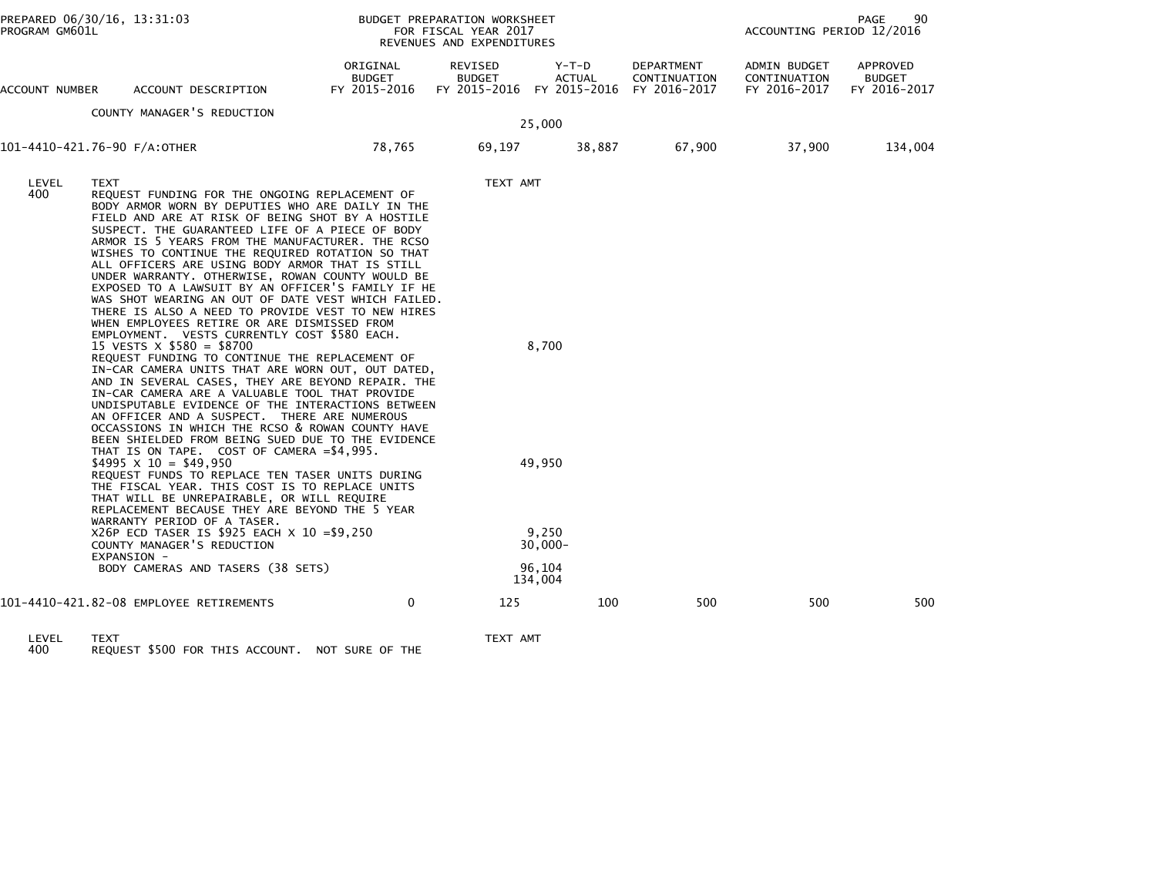| PROGRAM GM601L | PREPARED 06/30/16, 13:31:03                                                                                                                                                                                                                                                                                                                                                                                                                                                                                                                                                                                                                                                                                                                                                                                                                                                                                                                                                                                                                                                                                                                                                                                          |                                    | BUDGET PREPARATION WORKSHEET<br>FOR FISCAL YEAR 2017<br>REVENUES AND EXPENDITURES |                                                           |                            | PAGE<br>90<br>ACCOUNTING PERIOD 12/2016      |                                           |  |
|----------------|----------------------------------------------------------------------------------------------------------------------------------------------------------------------------------------------------------------------------------------------------------------------------------------------------------------------------------------------------------------------------------------------------------------------------------------------------------------------------------------------------------------------------------------------------------------------------------------------------------------------------------------------------------------------------------------------------------------------------------------------------------------------------------------------------------------------------------------------------------------------------------------------------------------------------------------------------------------------------------------------------------------------------------------------------------------------------------------------------------------------------------------------------------------------------------------------------------------------|------------------------------------|-----------------------------------------------------------------------------------|-----------------------------------------------------------|----------------------------|----------------------------------------------|-------------------------------------------|--|
| ACCOUNT NUMBER | ACCOUNT DESCRIPTION                                                                                                                                                                                                                                                                                                                                                                                                                                                                                                                                                                                                                                                                                                                                                                                                                                                                                                                                                                                                                                                                                                                                                                                                  | ORIGINAL<br>BUDGET<br>FY 2015-2016 | REVISED<br><b>BUDGET</b>                                                          | Y-T-D<br>ACTUAL<br>FY 2015-2016 FY 2015-2016 FY 2016-2017 | DEPARTMENT<br>CONTINUATION | ADMIN BUDGET<br>CONTINUATION<br>FY 2016-2017 | APPROVED<br><b>BUDGET</b><br>FY 2016-2017 |  |
|                | COUNTY MANAGER'S REDUCTION                                                                                                                                                                                                                                                                                                                                                                                                                                                                                                                                                                                                                                                                                                                                                                                                                                                                                                                                                                                                                                                                                                                                                                                           |                                    |                                                                                   |                                                           |                            |                                              |                                           |  |
|                |                                                                                                                                                                                                                                                                                                                                                                                                                                                                                                                                                                                                                                                                                                                                                                                                                                                                                                                                                                                                                                                                                                                                                                                                                      |                                    |                                                                                   | 25,000                                                    |                            |                                              |                                           |  |
|                | 101-4410-421.76-90 F/A:OTHER                                                                                                                                                                                                                                                                                                                                                                                                                                                                                                                                                                                                                                                                                                                                                                                                                                                                                                                                                                                                                                                                                                                                                                                         | 78,765                             | 69,197                                                                            | 38,887                                                    | 67,900                     | 37,900                                       | 134,004                                   |  |
| LEVEL<br>400   | <b>TEXT</b><br>REQUEST FUNDING FOR THE ONGOING REPLACEMENT OF<br>BODY ARMOR WORN BY DEPUTIES WHO ARE DAILY IN THE<br>FIELD AND ARE AT RISK OF BEING SHOT BY A HOSTILE<br>SUSPECT. THE GUARANTEED LIFE OF A PIECE OF BODY<br>ARMOR IS 5 YEARS FROM THE MANUFACTURER. THE RCSO<br>WISHES TO CONTINUE THE REQUIRED ROTATION SO THAT<br>ALL OFFICERS ARE USING BODY ARMOR THAT IS STILL<br>UNDER WARRANTY. OTHERWISE, ROWAN COUNTY WOULD BE<br>EXPOSED TO A LAWSUIT BY AN OFFICER'S FAMILY IF HE<br>WAS SHOT WEARING AN OUT OF DATE VEST WHICH FAILED.<br>THERE IS ALSO A NEED TO PROVIDE VEST TO NEW HIRES<br>WHEN EMPLOYEES RETIRE OR ARE DISMISSED FROM<br>EMPLOYMENT. VESTS CURRENTLY COST \$580 EACH.<br>15 VESTS $\times$ \$580 = \$8700<br>REQUEST FUNDING TO CONTINUE THE REPLACEMENT OF<br>IN-CAR CAMERA UNITS THAT ARE WORN OUT, OUT DATED,<br>AND IN SEVERAL CASES, THEY ARE BEYOND REPAIR. THE<br>IN-CAR CAMERA ARE A VALUABLE TOOL THAT PROVIDE<br>UNDISPUTABLE EVIDENCE OF THE INTERACTIONS BETWEEN<br>AN OFFICER AND A SUSPECT. THERE ARE NUMEROUS<br>OCCASSIONS IN WHICH THE RCSO & ROWAN COUNTY HAVE<br>BEEN SHIELDED FROM BEING SUED DUE TO THE EVIDENCE<br>THAT IS ON TAPE. COST OF CAMERA = \$4,995. |                                    | TEXT AMT                                                                          | 8,700                                                     |                            |                                              |                                           |  |
|                | $$4995 \times 10 = $49,950$<br>REQUEST FUNDS TO REPLACE TEN TASER UNITS DURING<br>THE FISCAL YEAR. THIS COST IS TO REPLACE UNITS<br>THAT WILL BE UNREPAIRABLE, OR WILL REQUIRE<br>REPLACEMENT BECAUSE THEY ARE BEYOND THE 5 YEAR                                                                                                                                                                                                                                                                                                                                                                                                                                                                                                                                                                                                                                                                                                                                                                                                                                                                                                                                                                                     |                                    |                                                                                   | 49,950                                                    |                            |                                              |                                           |  |
|                | WARRANTY PERIOD OF A TASER.<br>X26P ECD TASER IS \$925 EACH X 10 = \$9,250<br>COUNTY MANAGER'S REDUCTION<br>EXPANSION -                                                                                                                                                                                                                                                                                                                                                                                                                                                                                                                                                                                                                                                                                                                                                                                                                                                                                                                                                                                                                                                                                              |                                    |                                                                                   | 9,250<br>$30,000 -$                                       |                            |                                              |                                           |  |
|                | BODY CAMERAS AND TASERS (38 SETS)                                                                                                                                                                                                                                                                                                                                                                                                                                                                                                                                                                                                                                                                                                                                                                                                                                                                                                                                                                                                                                                                                                                                                                                    |                                    |                                                                                   | 96,104<br>134,004                                         |                            |                                              |                                           |  |
|                | 101-4410-421.82-08 EMPLOYEE RETIREMENTS                                                                                                                                                                                                                                                                                                                                                                                                                                                                                                                                                                                                                                                                                                                                                                                                                                                                                                                                                                                                                                                                                                                                                                              | $\mathbf 0$                        | 125                                                                               | 100                                                       | 500                        | 500                                          | 500                                       |  |
| <b>I EVEL</b>  | <b>TFYT</b>                                                                                                                                                                                                                                                                                                                                                                                                                                                                                                                                                                                                                                                                                                                                                                                                                                                                                                                                                                                                                                                                                                                                                                                                          |                                    | TEXT AMT                                                                          |                                                           |                            |                                              |                                           |  |

LEVEL TEXT TEXT AMT 400 REQUEST \$500 FOR THIS ACCOUNT. NOT SURE OF THE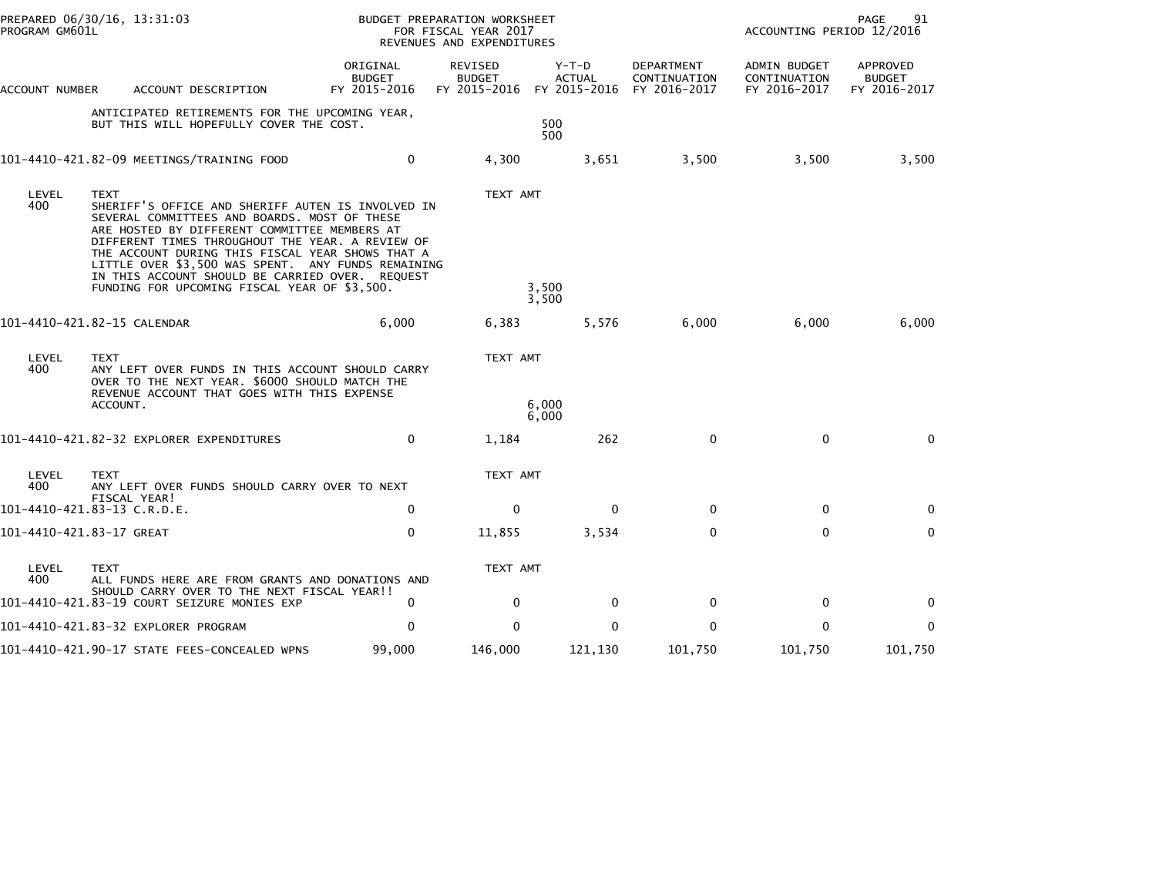| PROGRAM GM601L           | PREPARED 06/30/16, 13:31:03                                                                                                                                                                                                                                                                                                                                                                                                       |                                           | BUDGET PREPARATION WORKSHEET<br>FOR FISCAL YEAR 2017<br>REVENUES AND EXPENDITURES |                                                                    |                                   | PAGE<br>91<br>ACCOUNTING PERIOD 12/2016      |                                           |  |
|--------------------------|-----------------------------------------------------------------------------------------------------------------------------------------------------------------------------------------------------------------------------------------------------------------------------------------------------------------------------------------------------------------------------------------------------------------------------------|-------------------------------------------|-----------------------------------------------------------------------------------|--------------------------------------------------------------------|-----------------------------------|----------------------------------------------|-------------------------------------------|--|
| ACCOUNT NUMBER           | ACCOUNT DESCRIPTION                                                                                                                                                                                                                                                                                                                                                                                                               | ORIGINAL<br><b>BUDGET</b><br>FY 2015-2016 | REVISED<br><b>BUDGET</b>                                                          | $Y-T-D$<br><b>ACTUAL</b><br>FY 2015-2016 FY 2015-2016 FY 2016-2017 | <b>DEPARTMENT</b><br>CONTINUATION | ADMIN BUDGET<br>CONTINUATION<br>FY 2016-2017 | APPROVED<br><b>BUDGET</b><br>FY 2016-2017 |  |
|                          | ANTICIPATED RETIREMENTS FOR THE UPCOMING YEAR,<br>BUT THIS WILL HOPEFULLY COVER THE COST.                                                                                                                                                                                                                                                                                                                                         |                                           |                                                                                   | 500<br>500                                                         |                                   |                                              |                                           |  |
|                          |                                                                                                                                                                                                                                                                                                                                                                                                                                   | 0                                         | 4,300                                                                             | 3,651                                                              | 3,500                             | 3,500                                        | 3,500                                     |  |
| LEVEL<br>400             | <b>TEXT</b><br>SHERIFF'S OFFICE AND SHERIFF AUTEN IS INVOLVED IN<br>SEVERAL COMMITTEES AND BOARDS. MOST OF THESE<br>ARE HOSTED BY DIFFERENT COMMITTEE MEMBERS AT<br>DIFFERENT TIMES THROUGHOUT THE YEAR. A REVIEW OF<br>THE ACCOUNT DURING THIS FISCAL YEAR SHOWS THAT A<br>LITTLE OVER \$3,500 WAS SPENT. ANY FUNDS REMAINING<br>IN THIS ACCOUNT SHOULD BE CARRIED OVER. REQUEST<br>FUNDING FOR UPCOMING FISCAL YEAR OF \$3,500. |                                           | TEXT AMT                                                                          | 3,500<br>3,500                                                     |                                   |                                              |                                           |  |
|                          | 101-4410-421.82-15 CALENDAR                                                                                                                                                                                                                                                                                                                                                                                                       | 6,000                                     | 6,383                                                                             | 5,576                                                              | 6,000                             | 6,000                                        | 6,000                                     |  |
| LEVEL<br>400             | <b>TEXT</b><br>ANY LEFT OVER FUNDS IN THIS ACCOUNT SHOULD CARRY<br>OVER TO THE NEXT YEAR. \$6000 SHOULD MATCH THE<br>REVENUE ACCOUNT THAT GOES WITH THIS EXPENSE<br>ACCOUNT.                                                                                                                                                                                                                                                      |                                           | TEXT AMT                                                                          | 6,000                                                              |                                   |                                              |                                           |  |
|                          |                                                                                                                                                                                                                                                                                                                                                                                                                                   |                                           |                                                                                   | 6,000                                                              |                                   | $\mathbf 0$                                  |                                           |  |
|                          | 101-4410-421.82-32 EXPLORER EXPENDITURES                                                                                                                                                                                                                                                                                                                                                                                          | 0                                         | 1,184                                                                             | 262                                                                | 0                                 |                                              | $\mathbf{0}$                              |  |
| LEVEL<br>400             | TEXT<br>ANY LEFT OVER FUNDS SHOULD CARRY OVER TO NEXT<br>FISCAL YEAR!                                                                                                                                                                                                                                                                                                                                                             |                                           | TEXT AMT                                                                          |                                                                    |                                   |                                              |                                           |  |
|                          | 101-4410-421.83-13 C.R.D.E.                                                                                                                                                                                                                                                                                                                                                                                                       | $\mathbf 0$                               | $\mathbf 0$                                                                       | $\mathbf{0}$                                                       | $\mathbf 0$                       | $\mathbf{0}$                                 | $\mathbf{0}$                              |  |
| 101-4410-421.83-17 GREAT |                                                                                                                                                                                                                                                                                                                                                                                                                                   | $\mathbf 0$                               | 11,855                                                                            | 3,534                                                              | $\mathbf{0}$                      | $\mathbf{0}$                                 | $\mathbf{0}$                              |  |
| LEVEL<br>400             | <b>TEXT</b><br>ALL FUNDS HERE ARE FROM GRANTS AND DONATIONS AND                                                                                                                                                                                                                                                                                                                                                                   |                                           | TEXT AMT                                                                          |                                                                    |                                   |                                              |                                           |  |
|                          | SHOULD CARRY OVER TO THE NEXT FISCAL YEAR!!<br>101-4410-421.83-19 COURT SEIZURE MONIES EXP                                                                                                                                                                                                                                                                                                                                        | 0                                         | 0                                                                                 | 0                                                                  | 0                                 | 0                                            | 0                                         |  |
|                          | 101-4410-421.83-32 EXPLORER PROGRAM                                                                                                                                                                                                                                                                                                                                                                                               | 0                                         | $\Omega$                                                                          | $\Omega$                                                           | 0                                 | 0                                            | 0                                         |  |
|                          | 101-4410-421.90-17 STATE FEES-CONCEALED WPNS                                                                                                                                                                                                                                                                                                                                                                                      | 99,000                                    | 146,000                                                                           | 121,130                                                            | 101,750                           | 101,750                                      | 101,750                                   |  |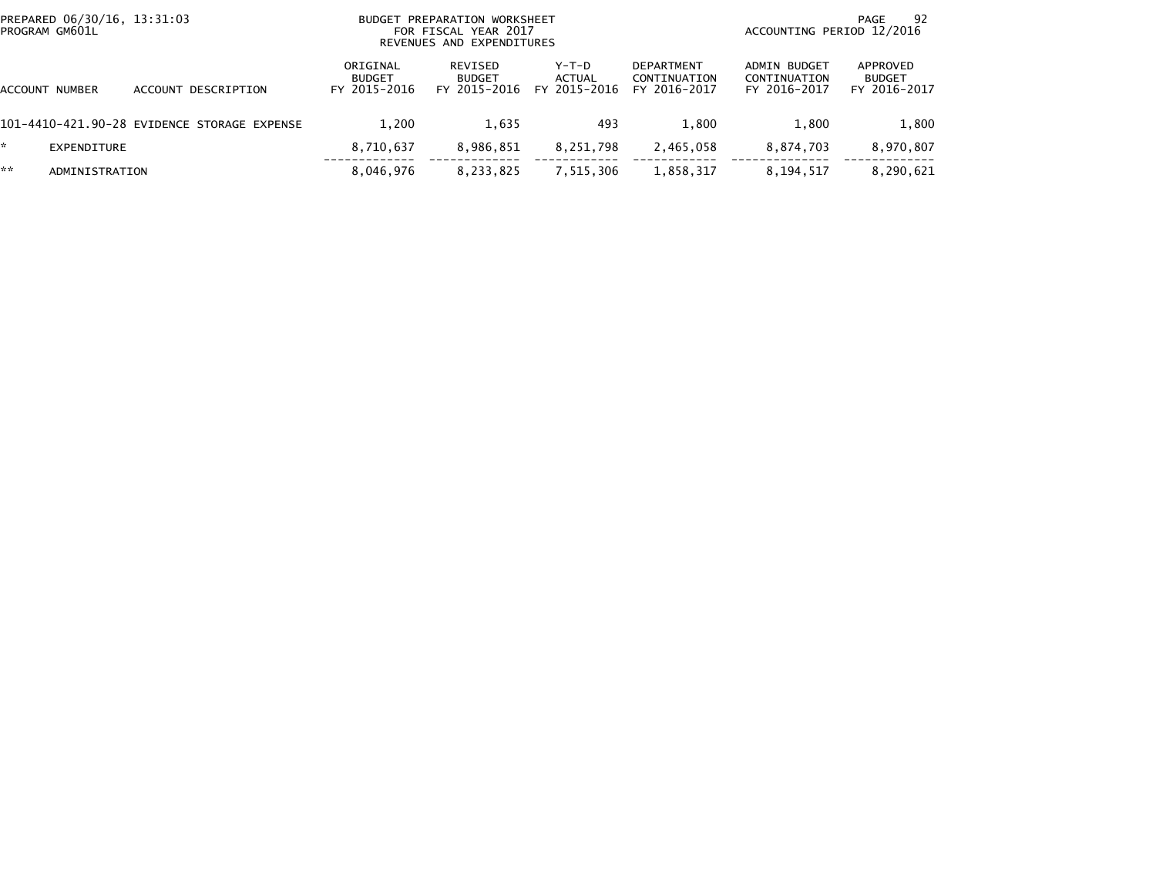|                       | PREPARED 06/30/16, 13:31:03<br>PROGRAM GM601L |                                             |                                    | BUDGET PREPARATION WORKSHEET<br>FOR FISCAL YEAR 2017<br>REVENUES AND EXPENDITURES |                                          | 92<br>PAGE<br>ACCOUNTING PERIOD 12/2016           |                                              |                                           |
|-----------------------|-----------------------------------------------|---------------------------------------------|------------------------------------|-----------------------------------------------------------------------------------|------------------------------------------|---------------------------------------------------|----------------------------------------------|-------------------------------------------|
| <b>ACCOUNT NUMBER</b> |                                               | ACCOUNT DESCRIPTION                         | ORIGINAL<br>BUDGET<br>FY 2015-2016 | <b>REVISED</b><br><b>BUDGET</b><br>FY 2015-2016                                   | $Y-T-D$<br><b>ACTUAL</b><br>FY 2015-2016 | <b>DEPARTMENT</b><br>CONTINUATION<br>FY 2016-2017 | ADMIN BUDGET<br>CONTINUATION<br>FY 2016-2017 | APPROVED<br><b>BUDGET</b><br>FY 2016-2017 |
|                       |                                               | 101-4410-421.90-28 EVIDENCE STORAGE EXPENSE | 1.200                              | 1,635                                                                             | 493                                      | 1.800                                             | 1.800                                        | 1,800                                     |
| *.                    | EXPENDITURE                                   |                                             | 8,710,637                          | 8,986,851                                                                         | 8,251,798                                | 2,465,058                                         | 8,874,703                                    | 8,970,807                                 |
| **                    | ADMINISTRATION                                |                                             | 8,046,976                          | 8,233,825                                                                         | 7,515,306                                | 1,858,317                                         | 8,194,517                                    | 8,290,621                                 |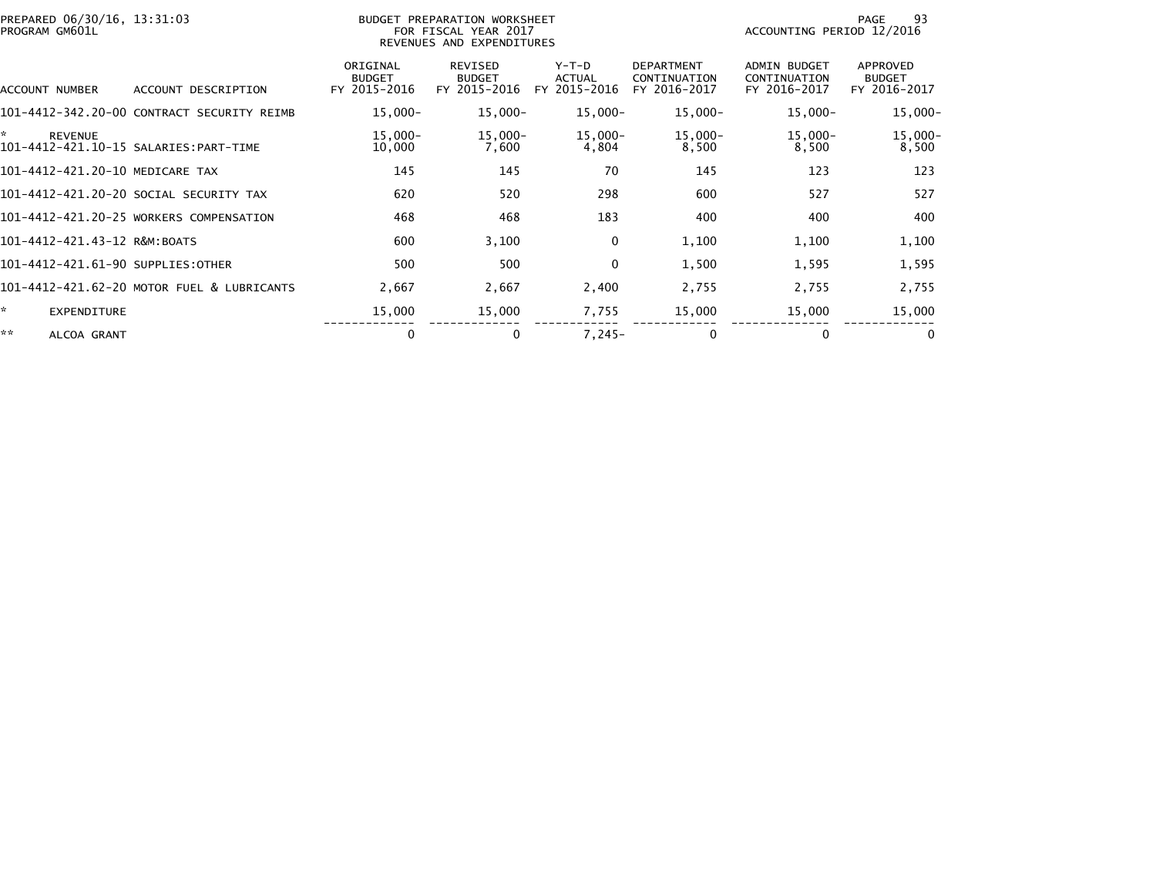| PREPARED 06/30/16, 13:31:03<br>PROGRAM GM601L |                                            |                                           | BUDGET PREPARATION WORKSHEET<br>FOR FISCAL YEAR 2017<br>REVENUES AND EXPENDITURES |                                 |                                                   | ACCOUNTING PERIOD 12/2016                    | 93<br>PAGE                                |
|-----------------------------------------------|--------------------------------------------|-------------------------------------------|-----------------------------------------------------------------------------------|---------------------------------|---------------------------------------------------|----------------------------------------------|-------------------------------------------|
| ACCOUNT NUMBER                                | ACCOUNT DESCRIPTION                        | ORIGINAL<br><b>BUDGET</b><br>FY 2015-2016 | REVISED<br><b>BUDGET</b><br>FY 2015-2016                                          | Y-T-D<br>ACTUAL<br>FY 2015-2016 | <b>DEPARTMENT</b><br>CONTINUATION<br>FY 2016-2017 | ADMIN BUDGET<br>CONTINUATION<br>FY 2016-2017 | APPROVED<br><b>BUDGET</b><br>FY 2016-2017 |
|                                               | 101-4412-342.20-00 CONTRACT SECURITY REIMB | $15,000 -$                                | 15,000-                                                                           | 15,000-                         | $15,000 -$                                        | $15,000 -$                                   | $15,000 -$                                |
| *<br><b>REVENUE</b>                           |                                            | $15,000 -$<br>10,000                      | $15,000 -$<br>7,600                                                               | $15,000 -$<br>4,804             | $15,000 -$<br>8,500                               | $15,000 -$<br>8,500                          | $15,000 -$<br>8,500                       |
| 101-4412-421.20-10 MEDICARE TAX               |                                            | 145                                       | 145                                                                               | 70                              | 145                                               | 123                                          | 123                                       |
|                                               | 101-4412-421.20-20 SOCIAL SECURITY TAX     | 620                                       | 520                                                                               | 298                             | 600                                               | 527                                          | 527                                       |
|                                               | 101-4412-421.20-25 WORKERS COMPENSATION    | 468                                       | 468                                                                               | 183                             | 400                                               | 400                                          | 400                                       |
| 101-4412-421.43-12 R&M:BOATS                  |                                            | 600                                       | 3,100                                                                             | 0                               | 1,100                                             | 1,100                                        | 1,100                                     |
| 101-4412-421.61-90 SUPPLIES:OTHER             |                                            | 500                                       | 500                                                                               | $\mathbf 0$                     | 1,500                                             | 1,595                                        | 1,595                                     |
|                                               | 101-4412-421.62-20 MOTOR FUEL & LUBRICANTS | 2,667                                     | 2,667                                                                             | 2,400                           | 2,755                                             | 2,755                                        | 2,755                                     |
| ☆.<br><b>EXPENDITURE</b>                      |                                            | 15,000                                    | 15,000                                                                            | 7,755                           | 15,000                                            | 15,000                                       | 15,000                                    |
| **<br>ALCOA GRANT                             |                                            | $\Omega$                                  | $\mathbf{0}$                                                                      | $7.245 -$                       | $\Omega$                                          | $\Omega$                                     | $\mathbf{0}$                              |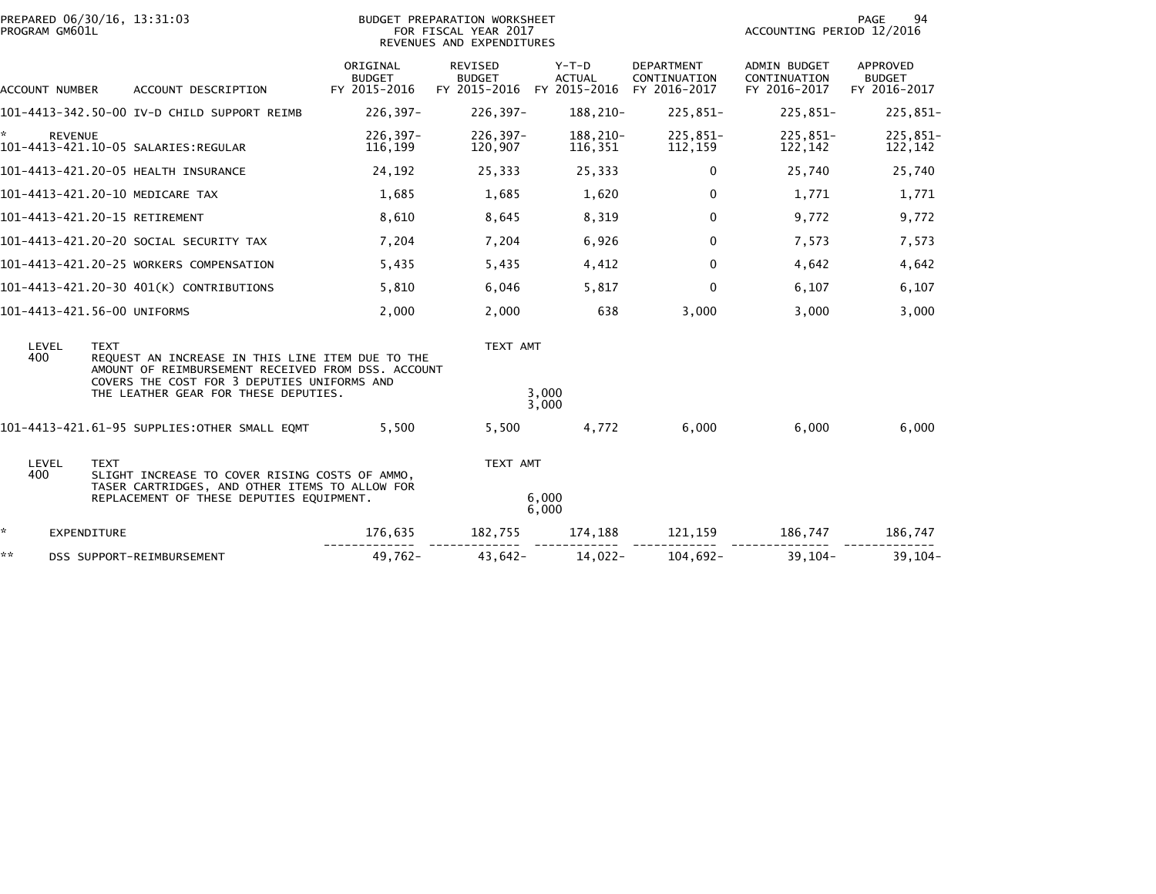| **                   | DSS SUPPORT-REIMBURSEMENT                                                                                                                                                                     | 49,762-                                   | $43.642 -$                                                                        | $14,022-$                | $104,692-$                                        | $39.104 -$                                          | $39.104 -$                                |
|----------------------|-----------------------------------------------------------------------------------------------------------------------------------------------------------------------------------------------|-------------------------------------------|-----------------------------------------------------------------------------------|--------------------------|---------------------------------------------------|-----------------------------------------------------|-------------------------------------------|
| ☆.                   | <b>EXPENDITURE</b>                                                                                                                                                                            | 176,635                                   | 182,755                                                                           | 174,188                  | 121,159                                           | 186,747                                             | 186,747                                   |
|                      | TASER CARTRIDGES, AND OTHER ITEMS TO ALLOW FOR<br>REPLACEMENT OF THESE DEPUTIES EQUIPMENT.                                                                                                    |                                           |                                                                                   | 6,000<br>6,000           |                                                   |                                                     |                                           |
| LEVEL<br>400         | <b>TEXT</b><br>SLIGHT INCREASE TO COVER RISING COSTS OF AMMO,                                                                                                                                 |                                           | TEXT AMT                                                                          |                          |                                                   |                                                     |                                           |
|                      | 101-4413-421.61-95 SUPPLIES:OTHER SMALL EQMT                                                                                                                                                  | 5,500                                     | 5,500                                                                             | 4,772                    | 6,000                                             | 6,000                                               | 6,000                                     |
| 400                  | REQUEST AN INCREASE IN THIS LINE ITEM DUE TO THE<br>AMOUNT OF REIMBURSEMENT RECEIVED FROM DSS. ACCOUNT<br>COVERS THE COST FOR 3 DEPUTIES UNIFORMS AND<br>THE LEATHER GEAR FOR THESE DEPUTIES. |                                           |                                                                                   | 3.000<br>3,000           |                                                   |                                                     |                                           |
| LEVEL                | <b>TEXT</b>                                                                                                                                                                                   |                                           | TEXT AMT                                                                          |                          |                                                   |                                                     |                                           |
|                      | 101-4413-421.56-00 UNIFORMS                                                                                                                                                                   | 2,000                                     | 2,000                                                                             | 638                      | 3,000                                             | 3,000                                               | 3,000                                     |
|                      | 101-4413-421.20-30 401(K) CONTRIBUTIONS                                                                                                                                                       | 5,810                                     | 6,046                                                                             | 5,817                    | $\mathbf{0}$                                      | 6,107                                               | 6,107                                     |
|                      | 101-4413-421.20-25 WORKERS COMPENSATION                                                                                                                                                       | 5,435                                     | 5,435                                                                             | 4,412                    | $\mathbf{0}$                                      | 4,642                                               | 4,642                                     |
|                      | 101-4413-421.20-20 SOCIAL SECURITY TAX                                                                                                                                                        | 7,204                                     | 7,204                                                                             | 6,926                    | 0                                                 | 7,573                                               | 7,573                                     |
|                      | 101-4413-421.20-15 RETIREMENT                                                                                                                                                                 | 8,610                                     | 8,645                                                                             | 8,319                    | $\mathbf{0}$                                      | 9,772                                               | 9,772                                     |
|                      | 101-4413-421.20-10 MEDICARE TAX                                                                                                                                                               | 1,685                                     | 1,685                                                                             | 1,620                    | 0                                                 | 1,771                                               | 1,771                                     |
|                      | 101-4413-421.20-05 HEALTH INSURANCE                                                                                                                                                           | 24,192                                    | 25,333                                                                            | 25,333                   | $\mathbf{0}$                                      | 25,740                                              | 25,740                                    |
| *.<br><b>REVENUE</b> |                                                                                                                                                                                               | $226, 397 -$<br>116,199                   | 226,397-<br>120,907                                                               | 188,210-<br>116,351      | 225,851-<br>112,159                               | 225,851-<br>122,142                                 | 225,851-<br>122,142                       |
|                      | 101-4413-342.50-00 IV-D CHILD SUPPORT REIMB                                                                                                                                                   | $226, 397 -$                              | 226,397-                                                                          | 188,210-                 | 225,851-                                          | $225,851-$                                          | $225,851-$                                |
| ACCOUNT NUMBER       | ACCOUNT DESCRIPTION                                                                                                                                                                           | ORIGINAL<br><b>BUDGET</b><br>FY 2015-2016 | REVISED<br><b>BUDGET</b><br>FY 2015-2016 FY 2015-2016                             | $Y-T-D$<br><b>ACTUAL</b> | <b>DEPARTMENT</b><br>CONTINUATION<br>FY 2016-2017 | <b>ADMIN BUDGET</b><br>CONTINUATION<br>FY 2016-2017 | APPROVED<br><b>BUDGET</b><br>FY 2016-2017 |
| PROGRAM GM601L       | PREPARED 06/30/16, 13:31:03                                                                                                                                                                   |                                           | BUDGET PREPARATION WORKSHEET<br>FOR FISCAL YEAR 2017<br>REVENUES AND EXPENDITURES |                          |                                                   | ACCOUNTING PERIOD 12/2016                           | PAGE<br>94                                |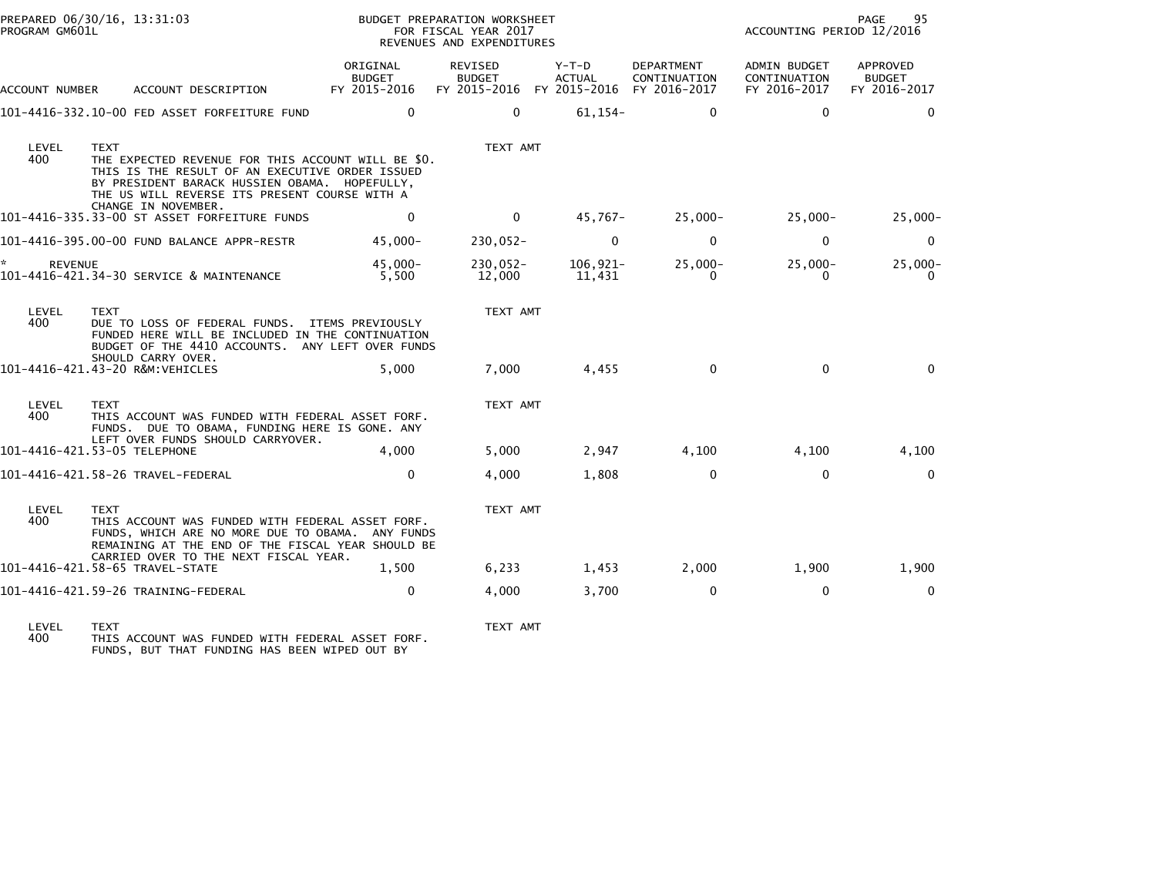| PROGRAM GM601L            | PREPARED 06/30/16, 13:31:03                                                                                                                                                                                            | BUDGET PREPARATION WORKSHEET<br>FOR FISCAL YEAR 2017<br>REVENUES AND EXPENDITURES |                                                                    |                        |                            | PAGE<br>95<br>ACCOUNTING PERIOD 12/2016      |                                           |  |
|---------------------------|------------------------------------------------------------------------------------------------------------------------------------------------------------------------------------------------------------------------|-----------------------------------------------------------------------------------|--------------------------------------------------------------------|------------------------|----------------------------|----------------------------------------------|-------------------------------------------|--|
| ACCOUNT NUMBER            | ACCOUNT DESCRIPTION                                                                                                                                                                                                    | ORIGINAL<br><b>BUDGET</b><br>FY 2015-2016                                         | REVISED<br><b>BUDGET</b><br>FY 2015-2016 FY 2015-2016 FY 2016-2017 | Y-T-D<br><b>ACTUAL</b> | DEPARTMENT<br>CONTINUATION | ADMIN BUDGET<br>CONTINUATION<br>FY 2016-2017 | APPROVED<br><b>BUDGET</b><br>FY 2016-2017 |  |
|                           | 101-4416-332.10-00 FED ASSET FORFEITURE FUND                                                                                                                                                                           | $\mathbf 0$                                                                       | $\mathbf{0}$                                                       | $61,154-$              | $\mathbf{0}$               | $\Omega$                                     | $\Omega$                                  |  |
| LEVEL<br>400              | <b>TEXT</b><br>THE EXPECTED REVENUE FOR THIS ACCOUNT WILL BE \$0.<br>THIS IS THE RESULT OF AN EXECUTIVE ORDER ISSUED<br>BY PRESIDENT BARACK HUSSIEN OBAMA. HOPEFULLY,<br>THE US WILL REVERSE ITS PRESENT COURSE WITH A |                                                                                   | TEXT AMT                                                           |                        |                            |                                              |                                           |  |
|                           | CHANGE IN NOVEMBER.<br>101-4416-335.33-00 ST ASSET FORFEITURE FUNDS                                                                                                                                                    | $\mathbf 0$                                                                       | $\overline{0}$                                                     | 45,767-                | 25,000-                    | 25,000-                                      | $25,000-$                                 |  |
|                           | 101-4416-395.00-00 FUND BALANCE APPR-RESTR                                                                                                                                                                             | $45,000 -$                                                                        | 230,052-                                                           | $\Omega$               | $\mathbf 0$                | $\mathbf 0$                                  | $\mathbf{0}$                              |  |
| $\star$<br><b>REVENUE</b> | 101-4416-421.34-30 SERVICE & MAINTENANCE                                                                                                                                                                               | 45.000-<br>5,500                                                                  | 230,052-<br>12,000                                                 | 106,921-<br>11,431     | 25,000-<br>$\Omega$        | $25,000 -$<br>$\Omega$                       | $25,000 -$<br>$\Omega$                    |  |
| LEVEL<br>400              | <b>TEXT</b><br>DUE TO LOSS OF FEDERAL FUNDS. ITEMS PREVIOUSLY<br>FUNDED HERE WILL BE INCLUDED IN THE CONTINUATION<br>BUDGET OF THE 4410 ACCOUNTS. ANY LEFT OVER FUNDS                                                  |                                                                                   | TEXT AMT                                                           |                        |                            |                                              |                                           |  |
|                           | SHOULD CARRY OVER.<br>101-4416-421.43-20 R&M:VEHICLES                                                                                                                                                                  | 5.000                                                                             | 7,000                                                              | 4,455                  | $\mathbf 0$                | $\mathbf 0$                                  | $\Omega$                                  |  |
| LEVEL<br>400              | <b>TEXT</b><br>THIS ACCOUNT WAS FUNDED WITH FEDERAL ASSET FORF.<br>FUNDS. DUE TO OBAMA, FUNDING HERE IS GONE. ANY                                                                                                      |                                                                                   | TEXT AMT                                                           |                        |                            |                                              |                                           |  |
|                           | LEFT OVER FUNDS SHOULD CARRYOVER.<br>101-4416-421.53-05 TELEPHONE                                                                                                                                                      | 4.000                                                                             | 5,000                                                              | 2,947                  | 4,100                      | 4,100                                        | 4,100                                     |  |
|                           | 101-4416-421.58-26 TRAVEL-FEDERAL                                                                                                                                                                                      | $\mathbf{0}$                                                                      | 4,000                                                              | 1,808                  | $\mathbf 0$                | $\mathbf 0$                                  | $\mathbf{0}$                              |  |
| LEVEL<br>400              | <b>TEXT</b><br>THIS ACCOUNT WAS FUNDED WITH FEDERAL ASSET FORF.<br>FUNDS, WHICH ARE NO MORE DUE TO OBAMA. ANY FUNDS<br>REMAINING AT THE END OF THE FISCAL YEAR SHOULD BE                                               |                                                                                   | TEXT AMT                                                           |                        |                            |                                              |                                           |  |
|                           | CARRIED OVER TO THE NEXT FISCAL YEAR.<br>101-4416-421.58-65 TRAVEL-STATE                                                                                                                                               | 1.500                                                                             | 6,233                                                              | 1,453                  | 2,000                      | 1,900                                        | 1,900                                     |  |
|                           | 101-4416-421.59-26 TRAINING-FEDERAL                                                                                                                                                                                    | $\Omega$                                                                          | 4,000                                                              | 3,700                  | $\mathbf 0$                | $\mathbf{0}$                                 | $\mathbf{0}$                              |  |

LEVEL TEXT TEXT AMT 400 THIS ACCOUNT WAS FUNDED WITH FEDERAL ASSET FORF. FUNDS, BUT THAT FUNDING HAS BEEN WIPED OUT BY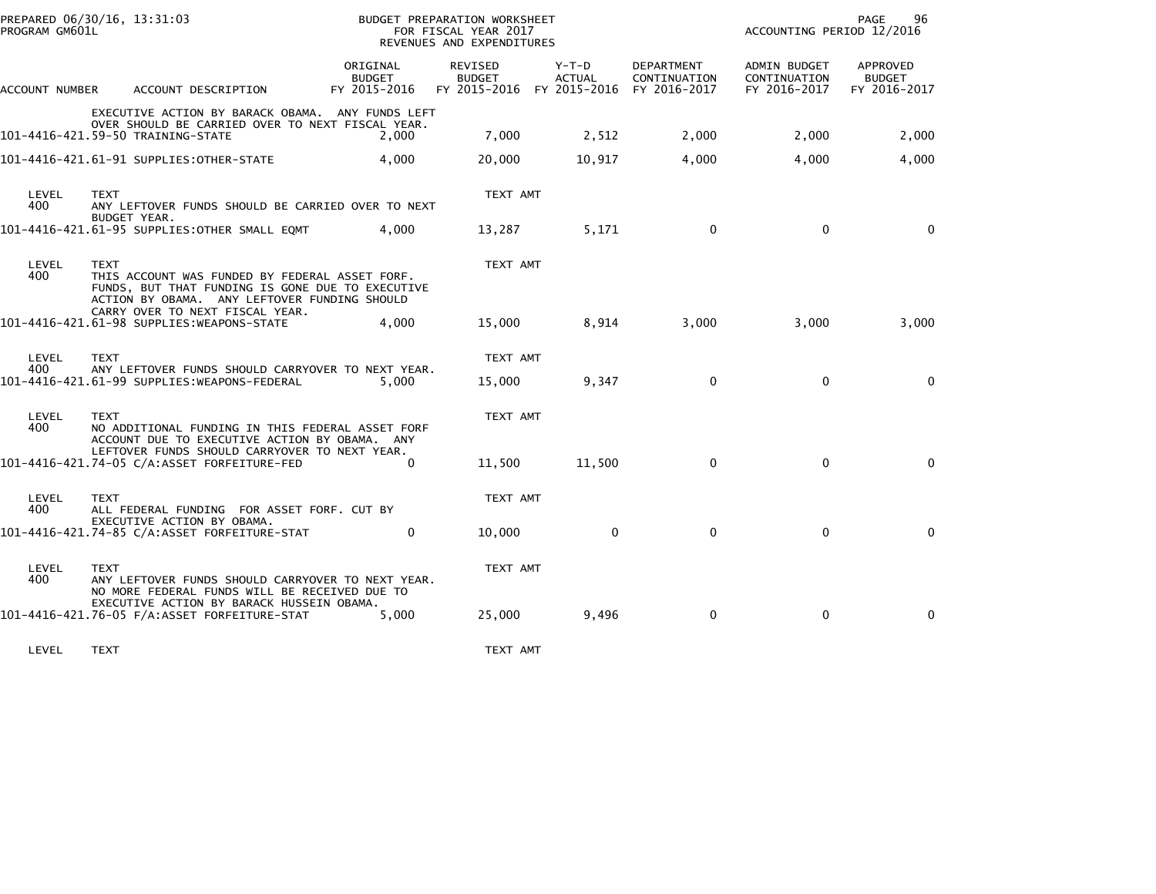| PROGRAM GM601L | PREPARED 06/30/16, 13:31:03                                                                                                                                       |                                    | BUDGET PREPARATION WORKSHEET<br>FOR FISCAL YEAR 2017<br>REVENUES AND EXPENDITURES |                 |                            | ACCOUNTING PERIOD 12/2016                    | PAGE<br>96                                |
|----------------|-------------------------------------------------------------------------------------------------------------------------------------------------------------------|------------------------------------|-----------------------------------------------------------------------------------|-----------------|----------------------------|----------------------------------------------|-------------------------------------------|
| ACCOUNT NUMBER | ACCOUNT DESCRIPTION                                                                                                                                               | ORIGINAL<br>BUDGET<br>FY 2015-2016 | <b>REVISED</b><br><b>BUDGET</b><br>FY 2015-2016 FY 2015-2016 FY 2016-2017         | Y-T-D<br>ACTUAL | DEPARTMENT<br>CONTINUATION | ADMIN BUDGET<br>CONTINUATION<br>FY 2016-2017 | APPROVED<br><b>BUDGET</b><br>FY 2016-2017 |
|                | EXECUTIVE ACTION BY BARACK OBAMA. ANY FUNDS LEFT<br>OVER SHOULD BE CARRIED OVER TO NEXT FISCAL YEAR.<br>101-4416-421.59-50 TRAINING-STATE                         | 2.000                              | 7,000                                                                             | 2,512           | 2,000                      | 2,000                                        | 2,000                                     |
|                | 101-4416-421.61-91 SUPPLIES: OTHER-STATE                                                                                                                          | 4,000                              | 20,000                                                                            | 10,917          | 4,000                      | 4,000                                        | 4,000                                     |
| LEVEL<br>400   | TEXT<br>ANY LEFTOVER FUNDS SHOULD BE CARRIED OVER TO NEXT<br>BUDGET YEAR.<br>101-4416-421.61-95 SUPPLIES: OTHER SMALL EQMT                                        | 4.000                              | TEXT AMT<br>13,287                                                                | 5,171           | $\mathbf 0$                | $\mathbf 0$                                  | $\Omega$                                  |
| LEVEL<br>400   | <b>TEXT</b><br>THIS ACCOUNT WAS FUNDED BY FEDERAL ASSET FORF.<br>FUNDS, BUT THAT FUNDING IS GONE DUE TO EXECUTIVE<br>ACTION BY OBAMA. ANY LEFTOVER FUNDING SHOULD |                                    | TEXT AMT                                                                          |                 |                            |                                              |                                           |
|                | CARRY OVER TO NEXT FISCAL YEAR.<br>101-4416-421.61-98 SUPPLIES: WEAPONS-STATE                                                                                     | 4.000                              | 15,000                                                                            | 8,914           | 3,000                      | 3,000                                        | 3,000                                     |
| LEVEL<br>400   | <b>TEXT</b><br>ANY LEFTOVER FUNDS SHOULD CARRYOVER TO NEXT YEAR.<br>101-4416-421.61-99 SUPPLIES:WEAPONS-FEDERAL                                                   | 5.000                              | TEXT AMT<br>15,000                                                                | 9,347           | $\mathbf{0}$               | $\mathbf{0}$                                 | $\mathbf{0}$                              |
| LEVEL<br>400   | <b>TEXT</b><br>NO ADDITIONAL FUNDING IN THIS FEDERAL ASSET FORF<br>ACCOUNT DUE TO EXECUTIVE ACTION BY OBAMA. ANY                                                  |                                    | TEXT AMT                                                                          |                 |                            |                                              |                                           |
|                | LEFTOVER FUNDS SHOULD CARRYOVER TO NEXT YEAR.<br>101-4416-421.74-05 C/A:ASSET FORFEITURE-FED                                                                      | $\Omega$                           | 11,500                                                                            | 11,500          | $\mathbf{0}$               | $\mathbf{0}$                                 | $\Omega$                                  |
| LEVEL<br>400   | <b>TEXT</b><br>ALL FEDERAL FUNDING FOR ASSET FORF. CUT BY                                                                                                         |                                    | TEXT AMT                                                                          |                 |                            |                                              |                                           |
|                | EXECUTIVE ACTION BY OBAMA.<br>101-4416-421.74-85 C/A:ASSET FORFEITURE-STAT                                                                                        | $\Omega$                           | 10,000                                                                            | $\mathbf{0}$    | $\mathbf{0}$               | $\mathbf{0}$                                 | $\Omega$                                  |
| LEVEL<br>400   | <b>TEXT</b><br>ANY LEFTOVER FUNDS SHOULD CARRYOVER TO NEXT YEAR.<br>NO MORE FEDERAL FUNDS WILL BE RECEIVED DUE TO                                                 |                                    | TEXT AMT                                                                          |                 |                            |                                              |                                           |
|                | EXECUTIVE ACTION BY BARACK HUSSEIN OBAMA.<br>101-4416-421.76-05 F/A:ASSET FORFEITURE-STAT                                                                         | 5,000                              | 25,000                                                                            | 9,496           | $\mathbf 0$                | $\mathbf 0$                                  | $\mathbf{0}$                              |

LEVEL TEXT TEXT AMT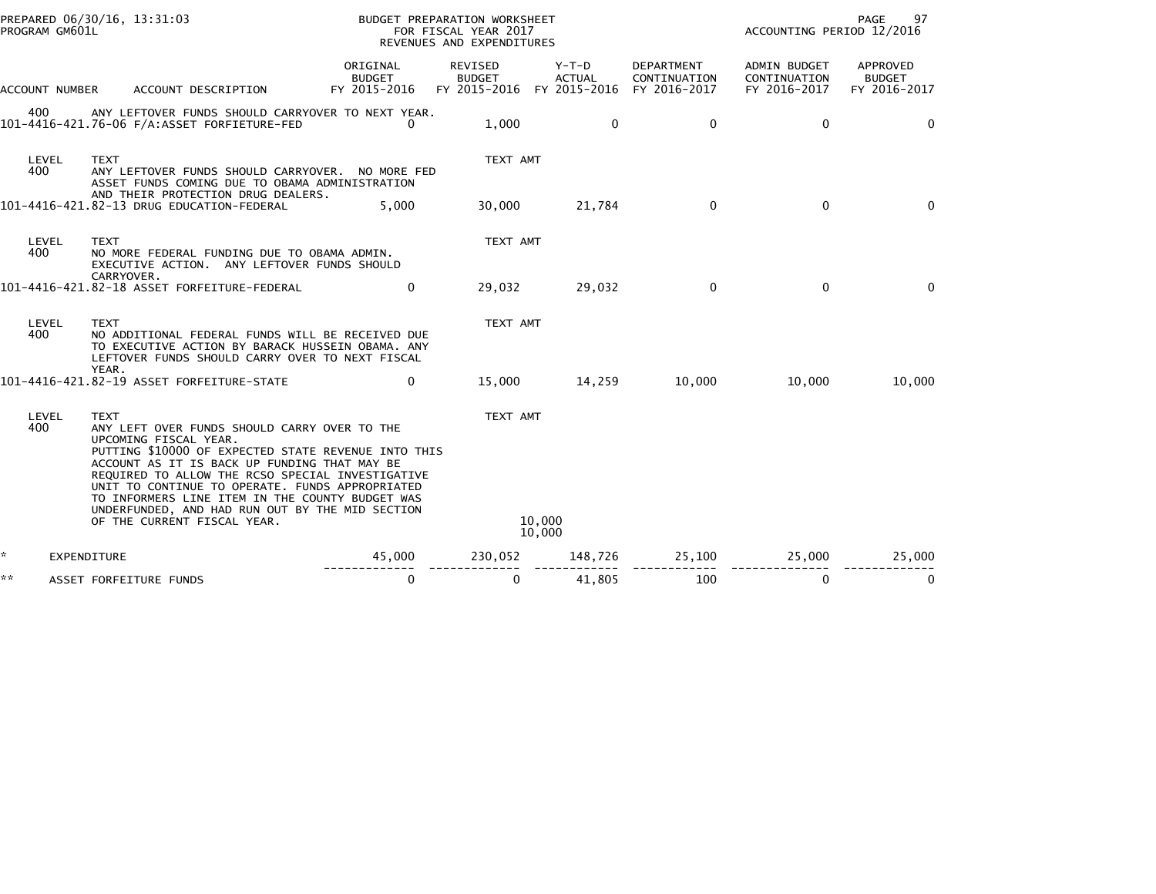| **                                                                                                                                 |                    | ASSET FORFEITURE FUNDS                                                                                                                                                                                                                                                                                                                                                                                                                  | $\mathbf 0$                               | $\mathbf{0}$                                          | 41,805                 | 100                                        | $\mathbf{0}$                                 | $\mathbf{0}$                              |
|------------------------------------------------------------------------------------------------------------------------------------|--------------------|-----------------------------------------------------------------------------------------------------------------------------------------------------------------------------------------------------------------------------------------------------------------------------------------------------------------------------------------------------------------------------------------------------------------------------------------|-------------------------------------------|-------------------------------------------------------|------------------------|--------------------------------------------|----------------------------------------------|-------------------------------------------|
| *.                                                                                                                                 | <b>EXPENDITURE</b> |                                                                                                                                                                                                                                                                                                                                                                                                                                         | 45,000                                    | 230,052 148,726                                       |                        | 25,100                                     | 25,000                                       | 25,000                                    |
| 400                                                                                                                                | LEVEL              | <b>TEXT</b><br>ANY LEFT OVER FUNDS SHOULD CARRY OVER TO THE<br>UPCOMING FISCAL YEAR.<br>PUTTING \$10000 OF EXPECTED STATE REVENUE INTO THIS<br>ACCOUNT AS IT IS BACK UP FUNDING THAT MAY BE<br>REQUIRED TO ALLOW THE RCSO SPECIAL INVESTIGATIVE<br>UNIT TO CONTINUE TO OPERATE. FUNDS APPROPRIATED<br>TO INFORMERS LINE ITEM IN THE COUNTY BUDGET WAS<br>UNDERFUNDED, AND HAD RUN OUT BY THE MID SECTION<br>OF THE CURRENT FISCAL YEAR. |                                           | TEXT AMT<br>10,000<br>10,000                          |                        |                                            |                                              |                                           |
|                                                                                                                                    |                    | 101-4416-421.82-19 ASSET FORFEITURE-STATE                                                                                                                                                                                                                                                                                                                                                                                               | $\Omega$                                  | 15,000                                                | 14,259                 | 10,000                                     | 10.000                                       | 10,000                                    |
| 400                                                                                                                                | LEVEL              | <b>TEXT</b><br>NO ADDITIONAL FEDERAL FUNDS WILL BE RECEIVED DUE<br>TO EXECUTIVE ACTION BY BARACK HUSSEIN OBAMA. ANY<br>LEFTOVER FUNDS SHOULD CARRY OVER TO NEXT FISCAL<br>YEAR.                                                                                                                                                                                                                                                         |                                           | TEXT AMT                                              |                        |                                            |                                              |                                           |
|                                                                                                                                    |                    | EXECUTIVE ACTION. ANY LEFTOVER FUNDS SHOULD<br>CARRYOVER.<br>101-4416-421.82-18 ASSET FORFEITURE-FEDERAL                                                                                                                                                                                                                                                                                                                                | $\mathbf{0}$                              | 29,032                                                | 29,032                 | $\mathbf{0}$                               | $\mathbf{0}$                                 | $\Omega$                                  |
| 400                                                                                                                                | LEVEL              | <b>TEXT</b><br>NO MORE FEDERAL FUNDING DUE TO OBAMA ADMIN.                                                                                                                                                                                                                                                                                                                                                                              |                                           | TEXT AMT                                              |                        |                                            |                                              |                                           |
| 400                                                                                                                                | LEVEL              | <b>TEXT</b><br>ANY LEFTOVER FUNDS SHOULD CARRYOVER. NO MORE FED<br>ASSET FUNDS COMING DUE TO OBAMA ADMINISTRATION<br>AND THEIR PROTECTION DRUG DEALERS.<br>101-4416-421.82-13 DRUG EDUCATION-FEDERAL                                                                                                                                                                                                                                    | 5,000                                     | TEXT AMT<br>30,000                                    | 21,784                 | $\mathbf 0$                                | $\mathbf 0$                                  | $\Omega$                                  |
| 400                                                                                                                                |                    | ANY LEFTOVER FUNDS SHOULD CARRYOVER TO NEXT YEAR.                                                                                                                                                                                                                                                                                                                                                                                       | $\Omega$                                  | 1,000                                                 | $\Omega$               | $\mathbf{0}$                               | $\mathbf{0}$                                 | $\Omega$                                  |
| ACCOUNT NUMBER                                                                                                                     |                    | ACCOUNT DESCRIPTION                                                                                                                                                                                                                                                                                                                                                                                                                     | ORIGINAL<br><b>BUDGET</b><br>FY 2015-2016 | REVISED<br><b>BUDGET</b><br>FY 2015-2016 FY 2015-2016 | Y-T-D<br><b>ACTUAL</b> | DEPARTMENT<br>CONTINUATION<br>FY 2016-2017 | ADMIN BUDGET<br>CONTINUATION<br>FY 2016-2017 | APPROVED<br><b>BUDGET</b><br>FY 2016-2017 |
| PREPARED 06/30/16, 13:31:03<br>BUDGET PREPARATION WORKSHEET<br>PROGRAM GM601L<br>FOR FISCAL YEAR 2017<br>REVENUES AND EXPENDITURES |                    |                                                                                                                                                                                                                                                                                                                                                                                                                                         |                                           |                                                       |                        | ACCOUNTING PERIOD 12/2016                  | PAGE<br>97                                   |                                           |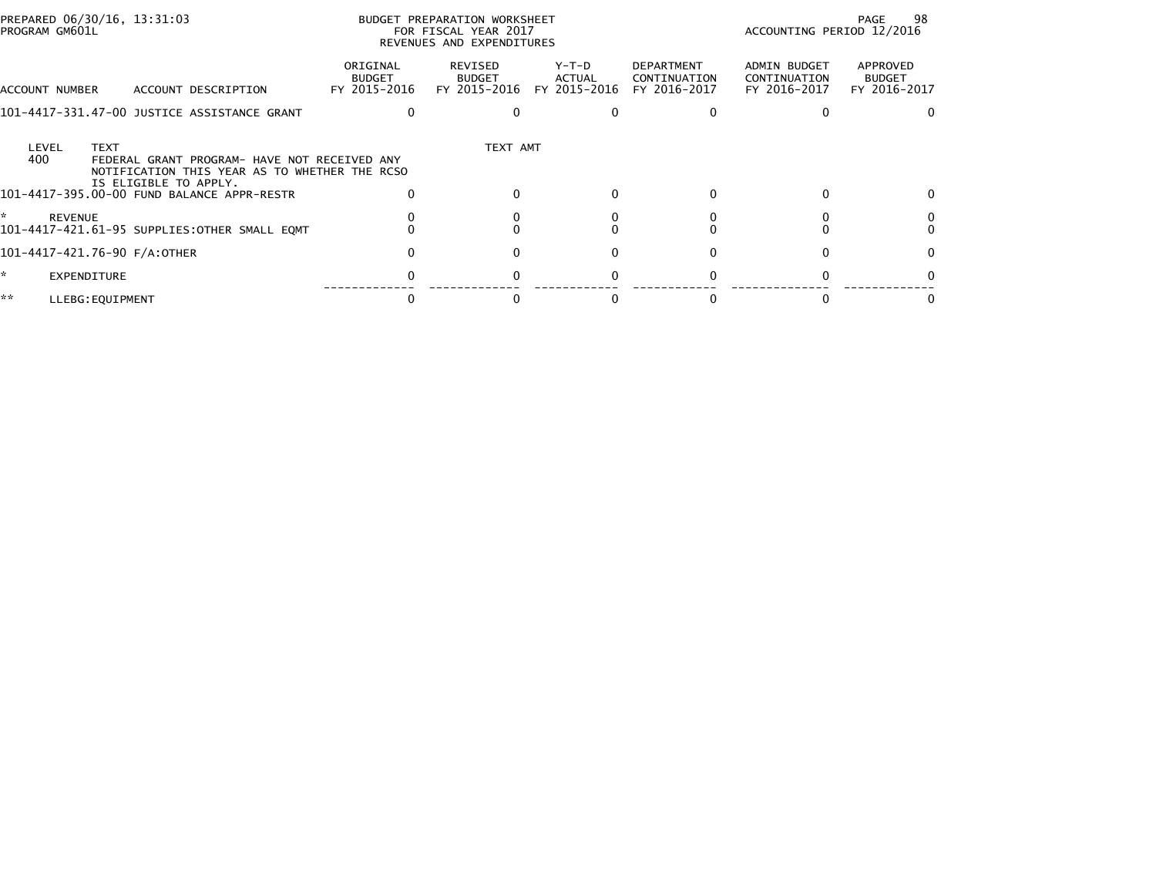| PREPARED 06/30/16, 13:31:03<br>PROGRAM GM601L                                                                                                         |                                           | BUDGET PREPARATION WORKSHEET<br>FOR FISCAL YEAR 2017<br>REVENUES AND EXPENDITURES |                 |                                            | ACCOUNTING PERIOD 12/2016                    | 98<br>PAGE                                |
|-------------------------------------------------------------------------------------------------------------------------------------------------------|-------------------------------------------|-----------------------------------------------------------------------------------|-----------------|--------------------------------------------|----------------------------------------------|-------------------------------------------|
| ACCOUNT DESCRIPTION<br>ACCOUNT NUMBER                                                                                                                 | ORIGINAL<br><b>BUDGET</b><br>FY 2015-2016 | REVISED<br>BUDGET<br>FY 2015-2016 FY 2015-2016                                    | Y-T-D<br>ACTUAL | DEPARTMENT<br>CONTINUATION<br>FY 2016-2017 | ADMIN BUDGET<br>CONTINUATION<br>FY 2016-2017 | APPROVED<br><b>BUDGET</b><br>FY 2016-2017 |
| 101-4417-331.47-00 JUSTICE ASSISTANCE GRANT                                                                                                           |                                           |                                                                                   |                 |                                            |                                              |                                           |
| <b>TEXT</b><br>LEVEL<br>400<br>FEDERAL GRANT PROGRAM- HAVE NOT RECEIVED ANY<br>NOTIFICATION THIS YEAR AS TO WHETHER THE RCSO<br>IS ELIGIBLE TO APPLY. |                                           | TEXT AMT                                                                          |                 |                                            |                                              |                                           |
| 101-4417-395.00-00 FUND BALANCE APPR-RESTR                                                                                                            |                                           |                                                                                   |                 |                                            | 0                                            |                                           |
| <b>REVENUE</b><br>101-4417-421.61-95 SUPPLIES:OTHER SMALL EQMT                                                                                        |                                           |                                                                                   |                 |                                            |                                              |                                           |
| 101-4417-421.76-90 F/A:OTHER                                                                                                                          |                                           |                                                                                   |                 |                                            |                                              |                                           |
| EXPENDITURE                                                                                                                                           |                                           |                                                                                   | 0               |                                            |                                              |                                           |
| **<br>LLEBG: EQUIPMENT                                                                                                                                |                                           |                                                                                   |                 |                                            |                                              |                                           |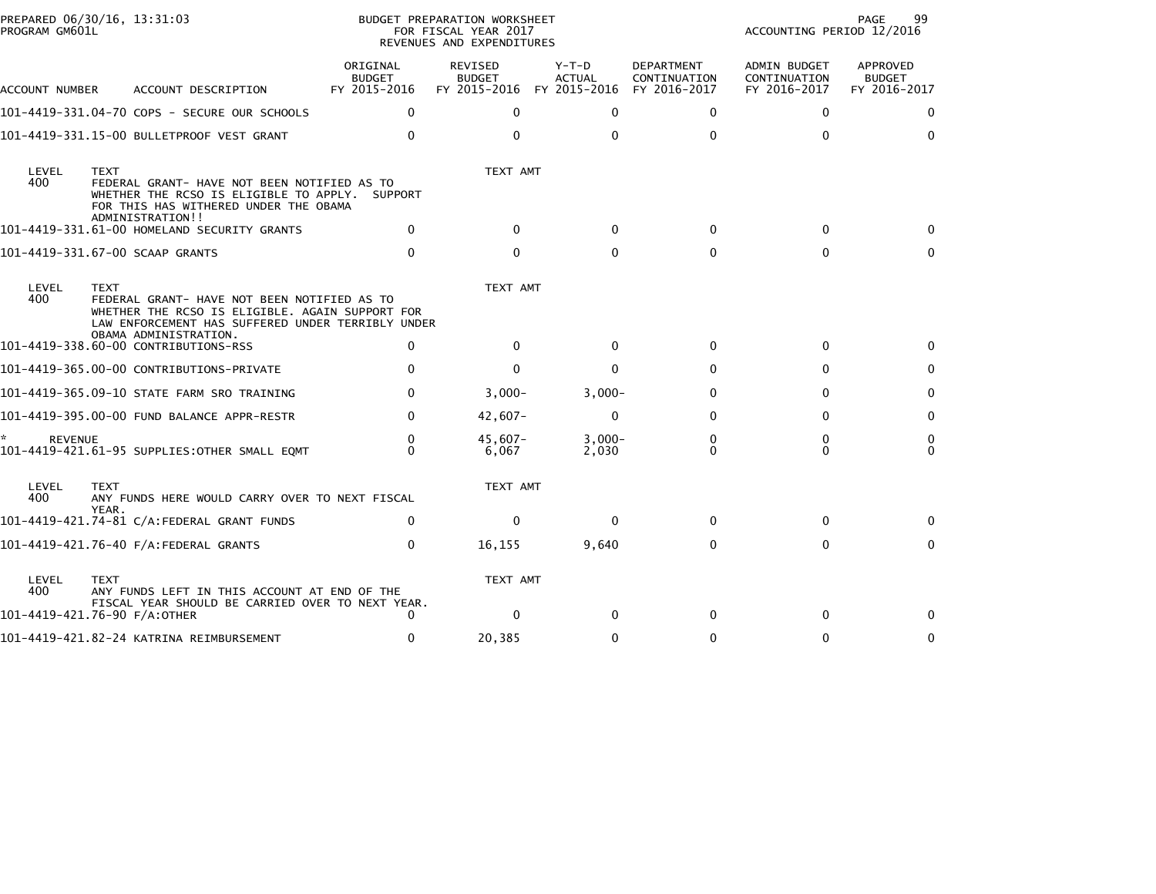| PROGRAM GM601L      | PREPARED 06/30/16, 13:31:03                                                                                                                                               |                                           | BUDGET PREPARATION WORKSHEET<br>FOR FISCAL YEAR 2017<br>REVENUES AND EXPENDITURES |                        |                                                   | ACCOUNTING PERIOD 12/2016                           | 99<br>PAGE                                |
|---------------------|---------------------------------------------------------------------------------------------------------------------------------------------------------------------------|-------------------------------------------|-----------------------------------------------------------------------------------|------------------------|---------------------------------------------------|-----------------------------------------------------|-------------------------------------------|
| ACCOUNT NUMBER      | ACCOUNT DESCRIPTION                                                                                                                                                       | ORIGINAL<br><b>BUDGET</b><br>FY 2015-2016 | <b>REVISED</b><br><b>BUDGET</b><br>FY 2015-2016 FY 2015-2016                      | Y-T-D<br><b>ACTUAL</b> | <b>DEPARTMENT</b><br>CONTINUATION<br>FY 2016-2017 | <b>ADMIN BUDGET</b><br>CONTINUATION<br>FY 2016-2017 | APPROVED<br><b>BUDGET</b><br>FY 2016-2017 |
|                     | 101-4419-331.04-70 COPS - SECURE OUR SCHOOLS                                                                                                                              | $\mathbf{0}$                              | $\Omega$                                                                          | $\mathbf{0}$           | $\Omega$                                          | $\mathbf{0}$                                        | $\Omega$                                  |
|                     | 101-4419-331.15-00 BULLETPROOF VEST GRANT                                                                                                                                 | 0                                         | $\Omega$                                                                          | $\Omega$               | $\Omega$                                          | $\Omega$                                            | $\Omega$                                  |
| LEVEL<br>400        | <b>TEXT</b><br>FEDERAL GRANT- HAVE NOT BEEN NOTIFIED AS TO<br>WHETHER THE RCSO IS ELIGIBLE TO APPLY. SUPPORT<br>FOR THIS HAS WITHERED UNDER THE OBAMA<br>ADMINISTRATION!! |                                           | TEXT AMT                                                                          |                        |                                                   |                                                     |                                           |
|                     | 101-4419-331.61-00 HOMELAND SECURITY GRANTS                                                                                                                               | 0                                         | $\Omega$                                                                          | $\Omega$               | 0                                                 | 0                                                   | 0                                         |
|                     | 101-4419-331.67-00 SCAAP GRANTS                                                                                                                                           | $\Omega$                                  | $\Omega$                                                                          | $\Omega$               | $\Omega$                                          | $\Omega$                                            | $\Omega$                                  |
| LEVEL<br>400        | <b>TEXT</b><br>FEDERAL GRANT- HAVE NOT BEEN NOTIFIED AS TO<br>WHETHER THE RCSO IS ELIGIBLE. AGAIN SUPPORT FOR<br>LAW ENFORCEMENT HAS SUFFERED UNDER TERRIBLY UNDER        |                                           | TEXT AMT                                                                          |                        |                                                   |                                                     |                                           |
|                     | OBAMA ADMINISTRATION.<br>101-4419-338.60-00 CONTRIBUTIONS-RSS                                                                                                             | $\Omega$                                  | $\Omega$                                                                          | $\mathbf{0}$           | 0                                                 | 0                                                   | 0                                         |
|                     | 101-4419-365.00-00 CONTRIBUTIONS-PRIVATE                                                                                                                                  | $\Omega$                                  | $\mathbf{0}$                                                                      | 0                      | $\Omega$                                          | 0                                                   | 0                                         |
|                     | 101-4419-365.09-10 STATE FARM SRO TRAINING                                                                                                                                | $\Omega$                                  | $3,000-$                                                                          | $3,000-$               | 0                                                 | $\Omega$                                            | $\Omega$                                  |
|                     | 101-4419-395.00-00 FUND BALANCE APPR-RESTR                                                                                                                                | $\Omega$                                  | $42,607-$                                                                         | $\mathbf 0$            | $\Omega$                                          | $\Omega$                                            | $\mathbf{0}$                              |
| *<br><b>REVENUE</b> | 101-4419-421.61-95 SUPPLIES:OTHER SMALL EQMT                                                                                                                              | 0<br>$\Omega$                             | $45.607 -$<br>6,067                                                               | $3.000 -$<br>2,030     | 0<br>$\Omega$                                     | 0<br>$\Omega$                                       | 0<br>$\Omega$                             |
| LEVEL<br>400        | <b>TEXT</b><br>ANY FUNDS HERE WOULD CARRY OVER TO NEXT FISCAL<br>YEAR.                                                                                                    |                                           | TEXT AMT                                                                          |                        |                                                   |                                                     |                                           |
|                     | 101-4419-421.74-81 C/A:FEDERAL GRANT FUNDS                                                                                                                                | 0                                         | $\mathbf{0}$                                                                      | $\Omega$               | $\Omega$                                          | 0                                                   | 0                                         |
|                     | 101-4419-421.76-40 F/A:FEDERAL GRANTS                                                                                                                                     | $\mathbf 0$                               | 16,155                                                                            | 9,640                  | $\Omega$                                          | $\mathbf{0}$                                        | $\mathbf{0}$                              |
| LEVEL<br>400        | <b>TEXT</b><br>ANY FUNDS LEFT IN THIS ACCOUNT AT END OF THE                                                                                                               |                                           | TEXT AMT                                                                          |                        |                                                   |                                                     |                                           |
|                     | FISCAL YEAR SHOULD BE CARRIED OVER TO NEXT YEAR.<br>101-4419-421.76-90 F/A:OTHER                                                                                          | 0                                         | $\Omega$                                                                          | $\Omega$               | 0                                                 | 0                                                   | $\Omega$                                  |
|                     | 101-4419-421.82-24 KATRINA REIMBURSEMENT                                                                                                                                  | $\Omega$                                  | 20,385                                                                            | 0                      | $\Omega$                                          | $\mathbf{0}$                                        | 0                                         |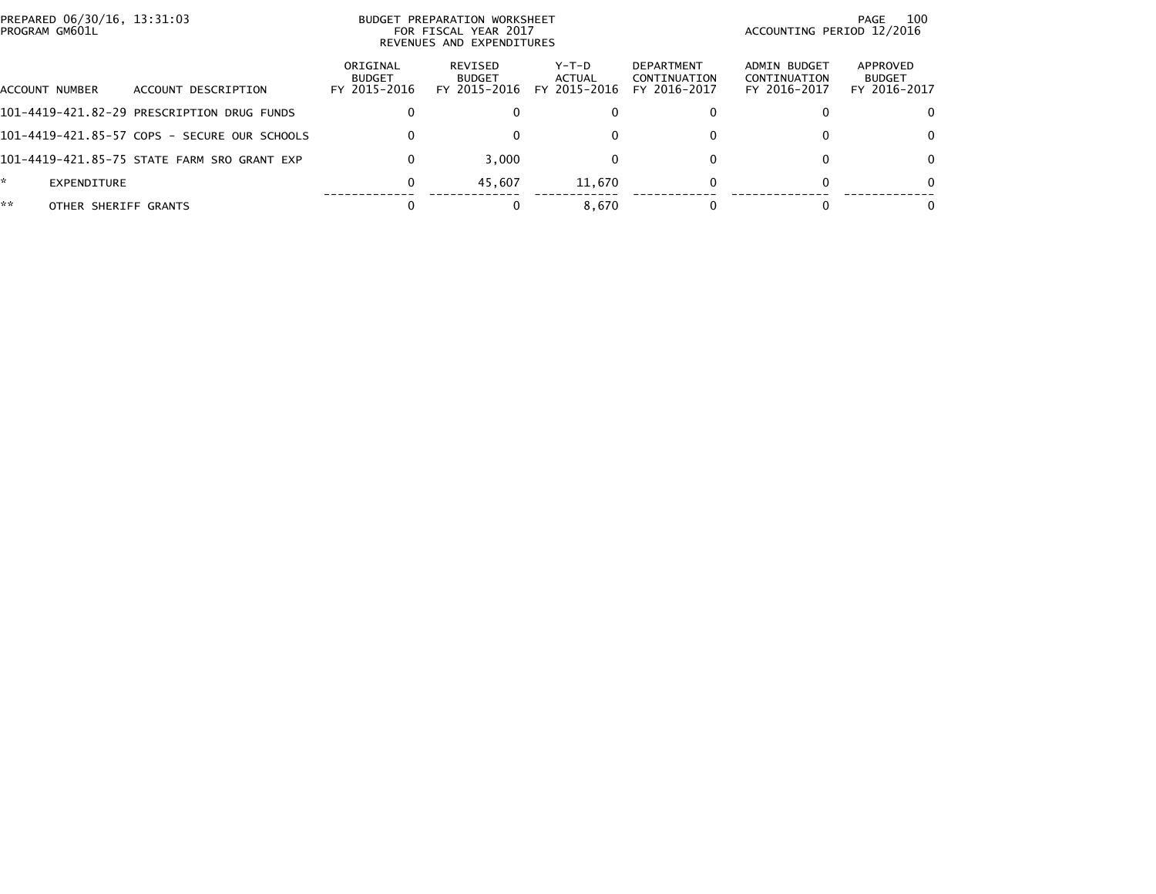|    | PREPARED 06/30/16, 13:31:03<br>PROGRAM GM601L |                                              |                                           | BUDGET PREPARATION WORKSHEET<br>FOR FISCAL YEAR 2017<br>REVENUES AND EXPENDITURES | 100<br>PAGE<br>ACCOUNTING PERIOD 12/2016 |                                                   |                                              |                                           |
|----|-----------------------------------------------|----------------------------------------------|-------------------------------------------|-----------------------------------------------------------------------------------|------------------------------------------|---------------------------------------------------|----------------------------------------------|-------------------------------------------|
|    | ACCOUNT NUMBER                                | ACCOUNT DESCRIPTION                          | ORIGINAL<br><b>BUDGET</b><br>FY 2015-2016 | REVISED<br><b>BUDGET</b><br>FY 2015-2016                                          | Y-T-D<br>ACTUAL<br>FY 2015-2016          | <b>DEPARTMENT</b><br>CONTINUATION<br>FY 2016-2017 | ADMIN BUDGET<br>CONTINUATION<br>FY 2016-2017 | APPROVED<br><b>BUDGET</b><br>FY 2016-2017 |
|    |                                               | 101-4419-421.82-29 PRESCRIPTION DRUG FUNDS   |                                           | $\bf{0}$                                                                          | 0                                        | 0                                                 |                                              |                                           |
|    |                                               | 101-4419-421.85-57 COPS - SECURE OUR SCHOOLS |                                           | $\Omega$                                                                          | 0                                        | $\mathbf{0}$                                      | 0                                            | 0                                         |
|    |                                               | 101-4419-421.85-75 STATE FARM SRO GRANT EXP  |                                           | 3.000                                                                             | 0                                        | $\mathbf{0}$                                      |                                              |                                           |
| *. | EXPENDITURE                                   |                                              | 0                                         | 45.607                                                                            | 11.670                                   | 0                                                 |                                              |                                           |
| ** | OTHER SHERIFF GRANTS                          |                                              |                                           |                                                                                   | 8.670                                    | $\Omega$                                          |                                              |                                           |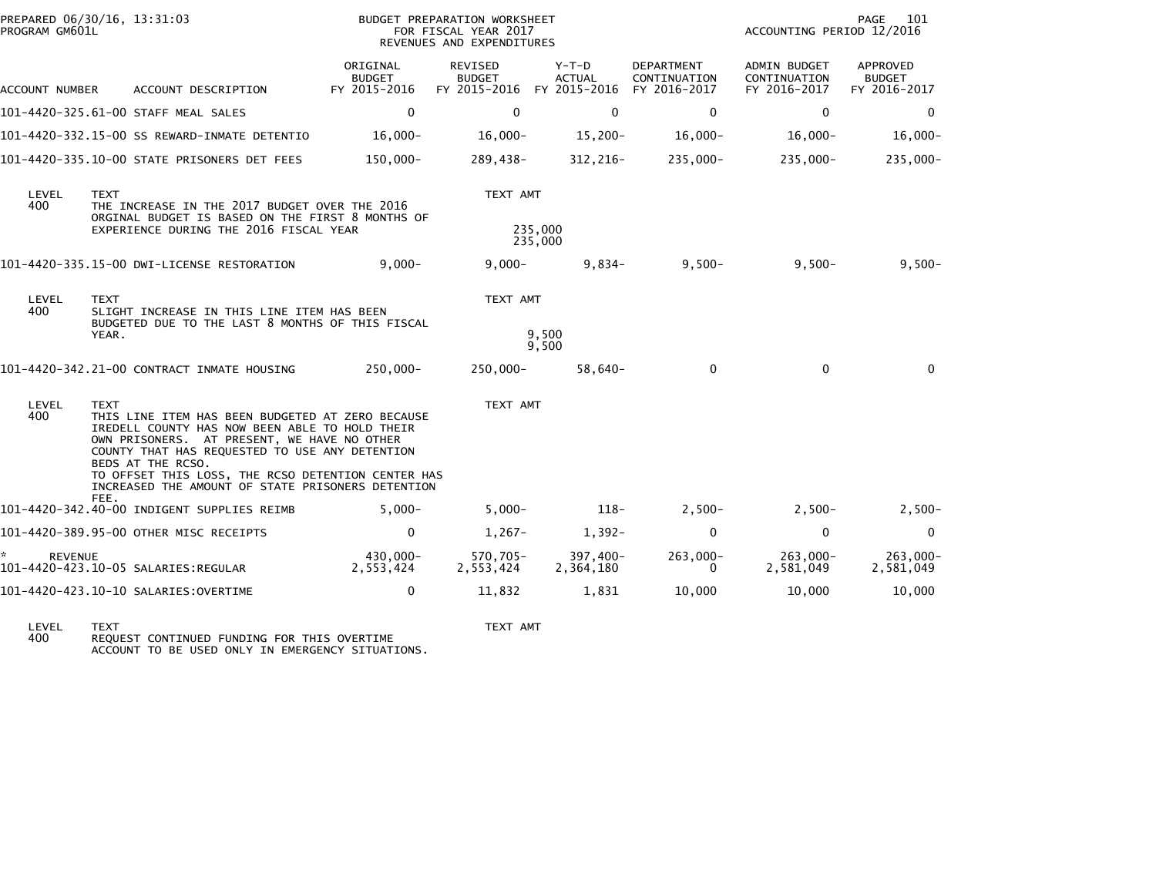| PROGRAM GM601L      | PREPARED 06/30/16, 13:31:03                                                                                                                                                                                                                                                                   |                                           | BUDGET PREPARATION WORKSHEET<br>FOR FISCAL YEAR 2017<br>REVENUES AND EXPENDITURES |                        |                                                   | ACCOUNTING PERIOD 12/2016                    | PAGE<br>101                               |
|---------------------|-----------------------------------------------------------------------------------------------------------------------------------------------------------------------------------------------------------------------------------------------------------------------------------------------|-------------------------------------------|-----------------------------------------------------------------------------------|------------------------|---------------------------------------------------|----------------------------------------------|-------------------------------------------|
| ACCOUNT NUMBER      | ACCOUNT DESCRIPTION                                                                                                                                                                                                                                                                           | ORIGINAL<br><b>BUDGET</b><br>FY 2015-2016 | <b>REVISED</b><br><b>BUDGET</b><br>FY 2015-2016 FY 2015-2016                      | Y-T-D<br><b>ACTUAL</b> | <b>DEPARTMENT</b><br>CONTINUATION<br>FY 2016-2017 | ADMIN BUDGET<br>CONTINUATION<br>FY 2016-2017 | APPROVED<br><b>BUDGET</b><br>FY 2016-2017 |
|                     | 101-4420-325.61-00 STAFF MEAL SALES                                                                                                                                                                                                                                                           | $\Omega$                                  | $\Omega$                                                                          | $\mathbf{0}$           | 0                                                 | $\Omega$                                     | $\Omega$                                  |
|                     | 101-4420-332.15-00 SS REWARD-INMATE DETENTIO                                                                                                                                                                                                                                                  | $16,000 -$                                | $16,000 -$                                                                        | $15,200 -$             | $16,000 -$                                        | $16,000 -$                                   | $16,000 -$                                |
|                     | 101-4420-335.10-00 STATE PRISONERS DET FEES                                                                                                                                                                                                                                                   | 150,000-                                  | 289,438-                                                                          | 312,216-               | 235,000-                                          | 235,000-                                     | 235,000-                                  |
| LEVEL<br>400        | <b>TEXT</b><br>THE INCREASE IN THE 2017 BUDGET OVER THE 2016<br>ORGINAL BUDGET IS BASED ON THE FIRST 8 MONTHS OF<br>EXPERIENCE DURING THE 2016 FISCAL YEAR                                                                                                                                    |                                           | TEXT AMT<br>235,000                                                               |                        |                                                   |                                              |                                           |
|                     |                                                                                                                                                                                                                                                                                               |                                           | 235,000                                                                           |                        |                                                   |                                              |                                           |
|                     | 101-4420-335.15-00 DWI-LICENSE RESTORATION                                                                                                                                                                                                                                                    | $9.000 -$                                 | $9.000 -$                                                                         | $9,834-$               | $9,500 -$                                         | $9,500 -$                                    | $9,500 -$                                 |
| LEVEL<br>400        | TEXT<br>SLIGHT INCREASE IN THIS LINE ITEM HAS BEEN                                                                                                                                                                                                                                            |                                           | TEXT AMT                                                                          |                        |                                                   |                                              |                                           |
|                     | BUDGETED DUE TO THE LAST 8 MONTHS OF THIS FISCAL<br>YEAR.                                                                                                                                                                                                                                     |                                           |                                                                                   | 9,500<br>9,500         |                                                   |                                              |                                           |
|                     | 101-4420-342.21-00 CONTRACT INMATE HOUSING                                                                                                                                                                                                                                                    | 250,000-                                  | 250,000-                                                                          | 58,640-                | $\mathbf 0$                                       | $\mathbf 0$                                  | $\mathbf{0}$                              |
| LEVEL<br>400        | <b>TEXT</b><br>THIS LINE ITEM HAS BEEN BUDGETED AT ZERO BECAUSE<br>IREDELL COUNTY HAS NOW BEEN ABLE TO HOLD THEIR<br>OWN PRISONERS. AT PRESENT, WE HAVE NO OTHER<br>COUNTY THAT HAS REQUESTED TO USE ANY DETENTION<br>BEDS AT THE RCSO.<br>TO OFFSET THIS LOSS, THE RCSO DETENTION CENTER HAS |                                           | TEXT AMT                                                                          |                        |                                                   |                                              |                                           |
|                     | INCREASED THE AMOUNT OF STATE PRISONERS DETENTION<br>FEE.                                                                                                                                                                                                                                     |                                           |                                                                                   |                        |                                                   |                                              |                                           |
|                     | 101-4420-342.40-00 INDIGENT SUPPLIES REIMB                                                                                                                                                                                                                                                    | $5.000 -$                                 | $5,000 -$                                                                         | $118-$                 | $2,500-$                                          | $2,500-$                                     | $2,500-$                                  |
|                     | 101-4420-389.95-00 OTHER MISC RECEIPTS                                                                                                                                                                                                                                                        | 0                                         | $1,267-$                                                                          | $1,392-$               | 0                                                 | $\mathbf 0$                                  | $\mathbf 0$                               |
| *<br><b>REVENUE</b> | 101-4420-423.10-05 SALARIES:REGULAR                                                                                                                                                                                                                                                           | 430,000-<br>2,553,424                     | 570,705-<br>2,553,424                                                             | 397.400-<br>2,364,180  | $263,000-$<br>0                                   | $263.000 -$<br>2,581,049                     | 263,000-<br>2,581,049                     |
|                     | 101-4420-423.10-10 SALARIES:OVERTIME                                                                                                                                                                                                                                                          | 0                                         | 11,832                                                                            | 1,831                  | 10,000                                            | 10,000                                       | 10,000                                    |

LEVEL TEXT TEXT AMT 400 REQUEST CONTINUED FUNDING FOR THIS OVERTIME ACCOUNT TO BE USED ONLY IN EMERGENCY SITUATIONS.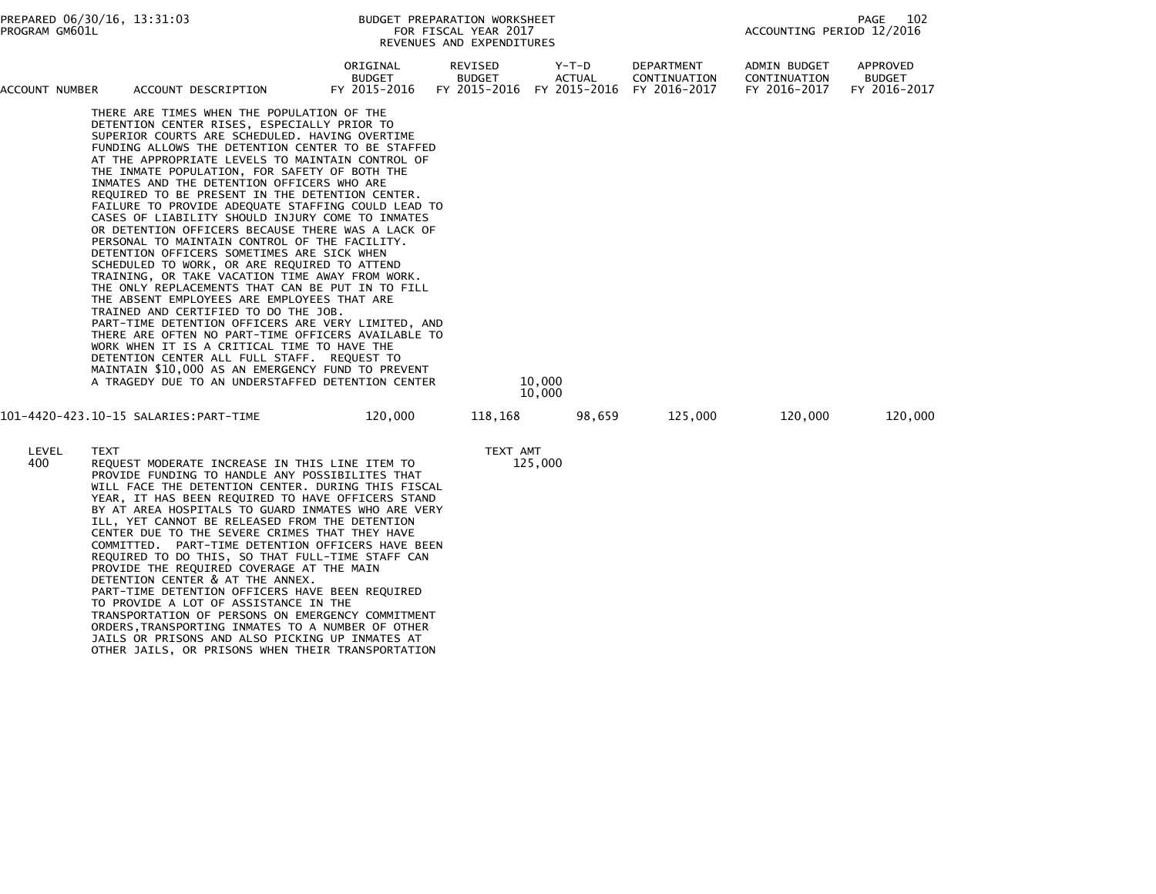| PREPARED 06/30/16, 13:31:03<br>PROGRAM GM601L |                                                                                                                                                                                                                                                                                                                                                                                                                                                                                                                                                                                                                                                                                                                                                                                                                                                                                                                                                                                                                                                                                                                                                                                                                                        |                                                                                                                                                                                                                                                                                                                                                                                                                                                                                                                                                                                                                                                                                                                                                                                                                                                                               |                                           | BUDGET PREPARATION WORKSHEET<br>FOR FISCAL YEAR 2017<br>REVENUES AND EXPENDITURES |                  |                                            | PAGE<br>102<br>ACCOUNTING PERIOD 12/2016     |                                           |  |
|-----------------------------------------------|----------------------------------------------------------------------------------------------------------------------------------------------------------------------------------------------------------------------------------------------------------------------------------------------------------------------------------------------------------------------------------------------------------------------------------------------------------------------------------------------------------------------------------------------------------------------------------------------------------------------------------------------------------------------------------------------------------------------------------------------------------------------------------------------------------------------------------------------------------------------------------------------------------------------------------------------------------------------------------------------------------------------------------------------------------------------------------------------------------------------------------------------------------------------------------------------------------------------------------------|-------------------------------------------------------------------------------------------------------------------------------------------------------------------------------------------------------------------------------------------------------------------------------------------------------------------------------------------------------------------------------------------------------------------------------------------------------------------------------------------------------------------------------------------------------------------------------------------------------------------------------------------------------------------------------------------------------------------------------------------------------------------------------------------------------------------------------------------------------------------------------|-------------------------------------------|-----------------------------------------------------------------------------------|------------------|--------------------------------------------|----------------------------------------------|-------------------------------------------|--|
| ACCOUNT NUMBER                                |                                                                                                                                                                                                                                                                                                                                                                                                                                                                                                                                                                                                                                                                                                                                                                                                                                                                                                                                                                                                                                                                                                                                                                                                                                        | ACCOUNT DESCRIPTION                                                                                                                                                                                                                                                                                                                                                                                                                                                                                                                                                                                                                                                                                                                                                                                                                                                           | ORIGINAL<br><b>BUDGET</b><br>FY 2015-2016 | REVISED<br><b>BUDGET</b><br>FY 2015-2016 FY 2015-2016                             | Y-T-D<br>ACTUAL  | DEPARTMENT<br>CONTINUATION<br>FY 2016-2017 | ADMIN BUDGET<br>CONTINUATION<br>FY 2016-2017 | APPROVED<br><b>BUDGET</b><br>FY 2016-2017 |  |
|                                               | THERE ARE TIMES WHEN THE POPULATION OF THE<br>DETENTION CENTER RISES, ESPECIALLY PRIOR TO<br>SUPERIOR COURTS ARE SCHEDULED. HAVING OVERTIME<br>FUNDING ALLOWS THE DETENTION CENTER TO BE STAFFED<br>AT THE APPROPRIATE LEVELS TO MAINTAIN CONTROL OF<br>THE INMATE POPULATION, FOR SAFETY OF BOTH THE<br>INMATES AND THE DETENTION OFFICERS WHO ARE<br>REQUIRED TO BE PRESENT IN THE DETENTION CENTER.<br>FAILURE TO PROVIDE ADEQUATE STAFFING COULD LEAD TO<br>CASES OF LIABILITY SHOULD INJURY COME TO INMATES<br>OR DETENTION OFFICERS BECAUSE THERE WAS A LACK OF<br>PERSONAL TO MAINTAIN CONTROL OF THE FACILITY.<br>DETENTION OFFICERS SOMETIMES ARE SICK WHEN<br>SCHEDULED TO WORK, OR ARE REQUIRED TO ATTEND<br>TRAINING, OR TAKE VACATION TIME AWAY FROM WORK.<br>THE ONLY REPLACEMENTS THAT CAN BE PUT IN TO FILL<br>THE ABSENT EMPLOYEES ARE EMPLOYEES THAT ARE<br>TRAINED AND CERTIFIED TO DO THE JOB.<br>PART-TIME DETENTION OFFICERS ARE VERY LIMITED, AND<br>THERE ARE OFTEN NO PART-TIME OFFICERS AVAILABLE TO<br>WORK WHEN IT IS A CRITICAL TIME TO HAVE THE<br>DETENTION CENTER ALL FULL STAFF. REQUEST TO<br>MAINTAIN \$10,000 AS AN EMERGENCY FUND TO PREVENT<br>A TRAGEDY DUE TO AN UNDERSTAFFED DETENTION CENTER |                                                                                                                                                                                                                                                                                                                                                                                                                                                                                                                                                                                                                                                                                                                                                                                                                                                                               |                                           |                                                                                   | 10,000<br>10,000 |                                            |                                              |                                           |  |
|                                               |                                                                                                                                                                                                                                                                                                                                                                                                                                                                                                                                                                                                                                                                                                                                                                                                                                                                                                                                                                                                                                                                                                                                                                                                                                        |                                                                                                                                                                                                                                                                                                                                                                                                                                                                                                                                                                                                                                                                                                                                                                                                                                                                               | 120,000                                   | 118,168                                                                           |                  | 125,000<br>98,659                          | 120,000                                      | 120,000                                   |  |
| LEVEL<br>400                                  | <b>TEXT</b>                                                                                                                                                                                                                                                                                                                                                                                                                                                                                                                                                                                                                                                                                                                                                                                                                                                                                                                                                                                                                                                                                                                                                                                                                            | REQUEST MODERATE INCREASE IN THIS LINE ITEM TO<br>PROVIDE FUNDING TO HANDLE ANY POSSIBILITES THAT<br>WILL FACE THE DETENTION CENTER. DURING THIS FISCAL<br>YEAR, IT HAS BEEN REQUIRED TO HAVE OFFICERS STAND<br>BY AT AREA HOSPITALS TO GUARD INMATES WHO ARE VERY<br>ILL, YET CANNOT BE RELEASED FROM THE DETENTION<br>CENTER DUE TO THE SEVERE CRIMES THAT THEY HAVE<br>COMMITTED. PART-TIME DETENTION OFFICERS HAVE BEEN<br>REQUIRED TO DO THIS, SO THAT FULL-TIME STAFF CAN<br>PROVIDE THE REQUIRED COVERAGE AT THE MAIN<br>DETENTION CENTER & AT THE ANNEX.<br>PART-TIME DETENTION OFFICERS HAVE BEEN REQUIRED<br>TO PROVIDE A LOT OF ASSISTANCE IN THE<br>TRANSPORTATION OF PERSONS ON EMERGENCY COMMITMENT<br>ORDERS,TRANSPORTING INMATES TO A NUMBER OF OTHER<br>JAILS OR PRISONS AND ALSO PICKING UP INMATES AT<br>OTHER JAILS, OR PRISONS WHEN THEIR TRANSPORTATION |                                           | TEXT AMT                                                                          | 125,000          |                                            |                                              |                                           |  |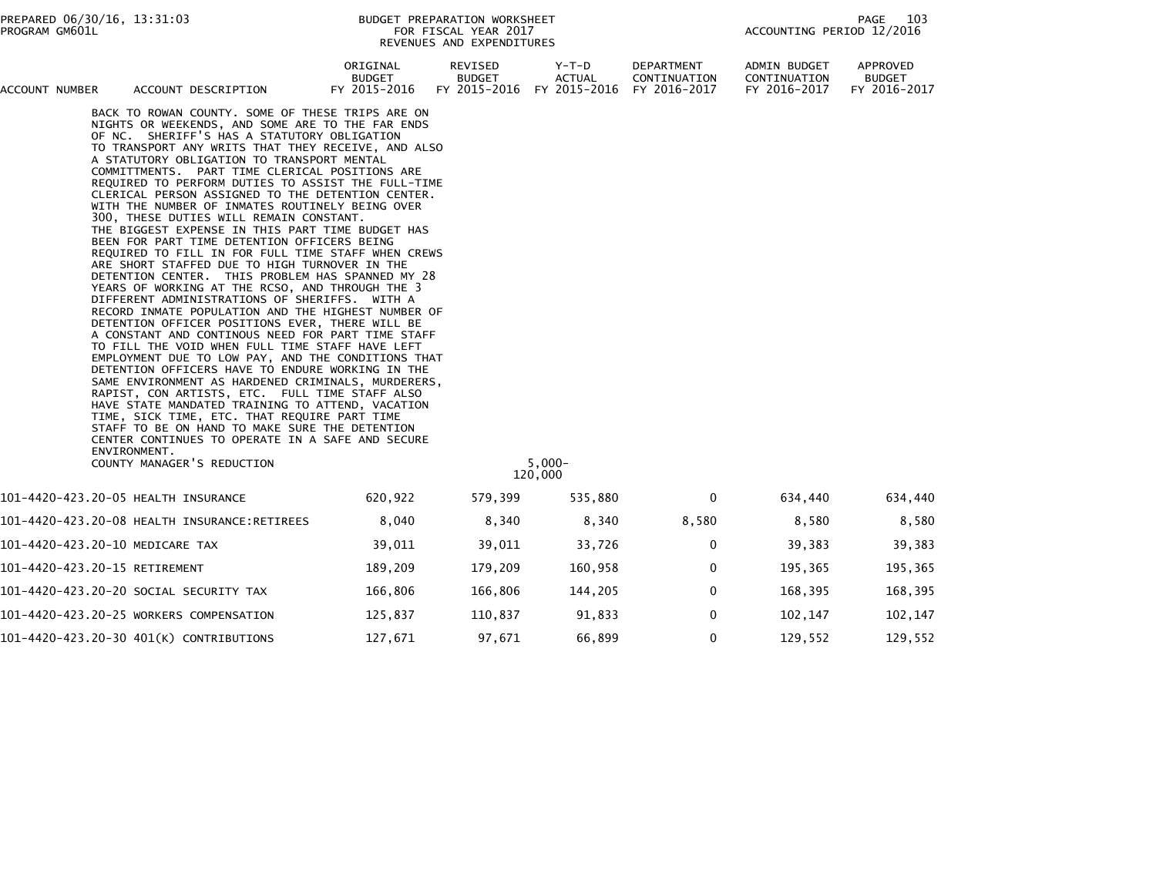| PREPARED 06/30/16, 13:31:03<br>PROGRAM GM601L |                                                                                                                                                                                                                                                                                                                                                                                                                                                                                                                                                                                                                                                                                                                                                                                                                                                                                                                                                                                                                                                                                                                                                                                                                                                                                                                                                                                                                                                                                                                                                                                 |                                           | BUDGET PREPARATION WORKSHEET<br>FOR FISCAL YEAR 2017<br>REVENUES AND EXPENDITURES |                                        |                                                   | ACCOUNTING PERIOD 12/2016                    | 103<br>PAGE                               |
|-----------------------------------------------|---------------------------------------------------------------------------------------------------------------------------------------------------------------------------------------------------------------------------------------------------------------------------------------------------------------------------------------------------------------------------------------------------------------------------------------------------------------------------------------------------------------------------------------------------------------------------------------------------------------------------------------------------------------------------------------------------------------------------------------------------------------------------------------------------------------------------------------------------------------------------------------------------------------------------------------------------------------------------------------------------------------------------------------------------------------------------------------------------------------------------------------------------------------------------------------------------------------------------------------------------------------------------------------------------------------------------------------------------------------------------------------------------------------------------------------------------------------------------------------------------------------------------------------------------------------------------------|-------------------------------------------|-----------------------------------------------------------------------------------|----------------------------------------|---------------------------------------------------|----------------------------------------------|-------------------------------------------|
| ACCOUNT NUMBER                                | ACCOUNT DESCRIPTION                                                                                                                                                                                                                                                                                                                                                                                                                                                                                                                                                                                                                                                                                                                                                                                                                                                                                                                                                                                                                                                                                                                                                                                                                                                                                                                                                                                                                                                                                                                                                             | ORIGINAL<br><b>BUDGET</b><br>FY 2015-2016 | REVISED<br><b>BUDGET</b><br>FY 2015-2016                                          | Y-T-D<br><b>ACTUAL</b><br>FY 2015-2016 | <b>DEPARTMENT</b><br>CONTINUATION<br>FY 2016-2017 | ADMIN BUDGET<br>CONTINUATION<br>FY 2016-2017 | APPROVED<br><b>BUDGET</b><br>FY 2016-2017 |
|                                               | BACK TO ROWAN COUNTY. SOME OF THESE TRIPS ARE ON<br>NIGHTS OR WEEKENDS, AND SOME ARE TO THE FAR ENDS<br>OF NC. SHERIFF'S HAS A STATUTORY OBLIGATION<br>TO TRANSPORT ANY WRITS THAT THEY RECEIVE, AND ALSO<br>A STATUTORY OBLIGATION TO TRANSPORT MENTAL<br>COMMITTMENTS. PART TIME CLERICAL POSITIONS ARE<br>REQUIRED TO PERFORM DUTIES TO ASSIST THE FULL-TIME<br>CLERICAL PERSON ASSIGNED TO THE DETENTION CENTER.<br>WITH THE NUMBER OF INMATES ROUTINELY BEING OVER<br>300, THESE DUTIES WILL REMAIN CONSTANT.<br>THE BIGGEST EXPENSE IN THIS PART TIME BUDGET HAS<br>BEEN FOR PART TIME DETENTION OFFICERS BEING<br>REQUIRED TO FILL IN FOR FULL TIME STAFF WHEN CREWS<br>ARE SHORT STAFFED DUE TO HIGH TURNOVER IN THE<br>DETENTION CENTER. THIS PROBLEM HAS SPANNED MY 28<br>YEARS OF WORKING AT THE RCSO, AND THROUGH THE 3<br>DIFFERENT ADMINISTRATIONS OF SHERIFFS. WITH A<br>RECORD INMATE POPULATION AND THE HIGHEST NUMBER OF<br>DETENTION OFFICER POSITIONS EVER, THERE WILL BE<br>A CONSTANT AND CONTINOUS NEED FOR PART TIME STAFF<br>TO FILL THE VOID WHEN FULL TIME STAFF HAVE LEFT<br>EMPLOYMENT DUE TO LOW PAY, AND THE CONDITIONS THAT<br>DETENTION OFFICERS HAVE TO ENDURE WORKING IN THE<br>SAME ENVIRONMENT AS HARDENED CRIMINALS, MURDERERS,<br>RAPIST, CON ARTISTS, ETC. FULL TIME STAFF ALSO<br>HAVE STATE MANDATED TRAINING TO ATTEND, VACATION<br>TIME, SICK TIME, ETC. THAT REQUIRE PART TIME<br>STAFF TO BE ON HAND TO MAKE SURE THE DETENTION<br>CENTER CONTINUES TO OPERATE IN A SAFE AND SECURE<br>ENVIRONMENT.<br>COUNTY MANAGER'S REDUCTION |                                           |                                                                                   | $5,000 -$<br>120,000                   |                                                   |                                              |                                           |
|                                               | 101-4420-423.20-05 HEALTH INSURANCE                                                                                                                                                                                                                                                                                                                                                                                                                                                                                                                                                                                                                                                                                                                                                                                                                                                                                                                                                                                                                                                                                                                                                                                                                                                                                                                                                                                                                                                                                                                                             | 620,922                                   | 579,399                                                                           | 535,880                                | 0                                                 | 634,440                                      | 634,440                                   |
|                                               |                                                                                                                                                                                                                                                                                                                                                                                                                                                                                                                                                                                                                                                                                                                                                                                                                                                                                                                                                                                                                                                                                                                                                                                                                                                                                                                                                                                                                                                                                                                                                                                 | 8,040                                     | 8,340                                                                             | 8,340                                  | 8,580                                             | 8,580                                        | 8,580                                     |
|                                               | 101-4420-423.20-10 MEDICARE TAX                                                                                                                                                                                                                                                                                                                                                                                                                                                                                                                                                                                                                                                                                                                                                                                                                                                                                                                                                                                                                                                                                                                                                                                                                                                                                                                                                                                                                                                                                                                                                 | 39,011                                    | 39,011                                                                            | 33,726                                 | 0                                                 | 39,383                                       | 39,383                                    |
| 101-4420-423.20-15 RETIREMENT                 |                                                                                                                                                                                                                                                                                                                                                                                                                                                                                                                                                                                                                                                                                                                                                                                                                                                                                                                                                                                                                                                                                                                                                                                                                                                                                                                                                                                                                                                                                                                                                                                 | 189,209                                   | 179,209                                                                           | 160,958                                | 0                                                 | 195,365                                      | 195,365                                   |
|                                               | 101–4420–423.20–20 SOCIAL SECURITY TAX                                                                                                                                                                                                                                                                                                                                                                                                                                                                                                                                                                                                                                                                                                                                                                                                                                                                                                                                                                                                                                                                                                                                                                                                                                                                                                                                                                                                                                                                                                                                          | 166,806                                   | 166,806                                                                           | 144,205                                | 0                                                 | 168,395                                      | 168,395                                   |
|                                               | 101-4420-423.20-25 WORKERS COMPENSATION                                                                                                                                                                                                                                                                                                                                                                                                                                                                                                                                                                                                                                                                                                                                                                                                                                                                                                                                                                                                                                                                                                                                                                                                                                                                                                                                                                                                                                                                                                                                         | 125,837                                   | 110,837                                                                           | 91,833                                 | 0                                                 | 102,147                                      | 102,147                                   |
|                                               | 101-4420-423.20-30 401(K) CONTRIBUTIONS                                                                                                                                                                                                                                                                                                                                                                                                                                                                                                                                                                                                                                                                                                                                                                                                                                                                                                                                                                                                                                                                                                                                                                                                                                                                                                                                                                                                                                                                                                                                         | 127,671                                   | 97,671                                                                            | 66,899                                 | 0                                                 | 129,552                                      | 129,552                                   |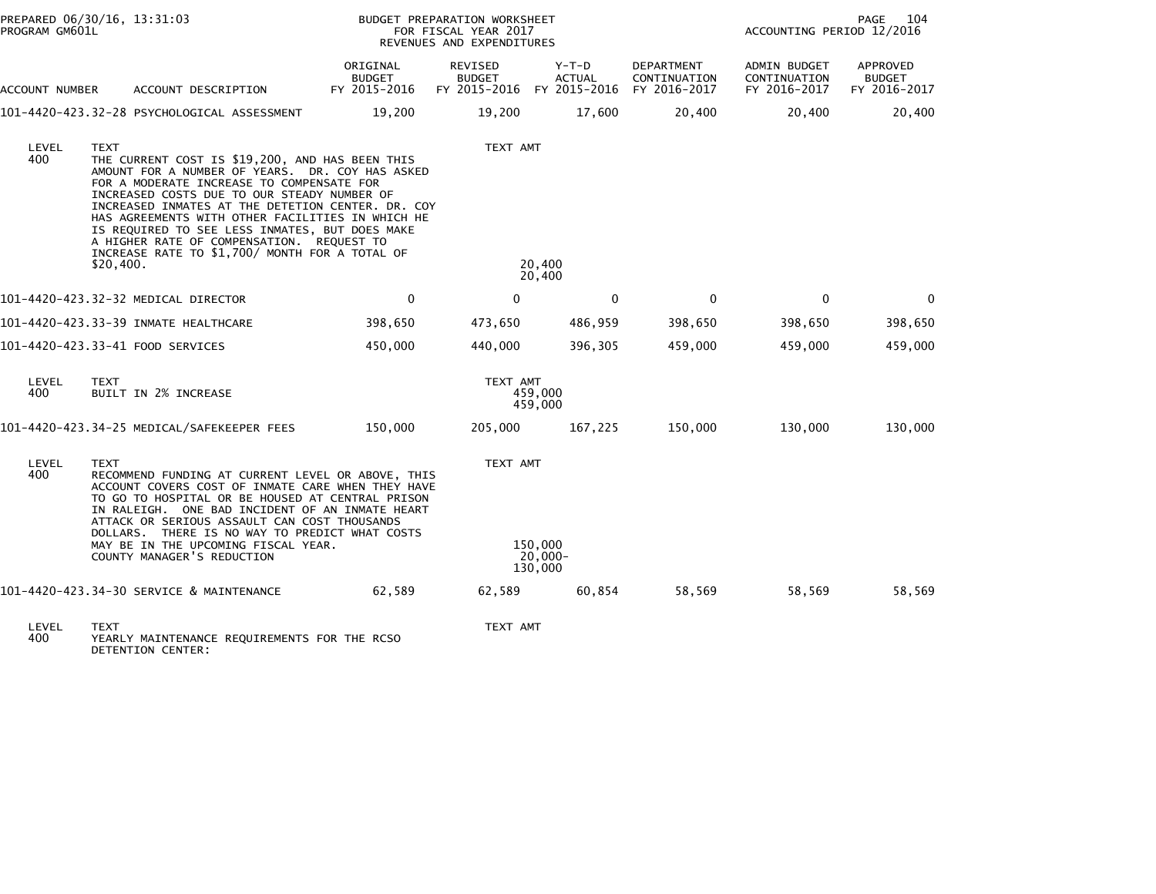| PROGRAM GM601L | PREPARED 06/30/16, 13:31:03                                                                                                                                                                                                                                                                                                                                                                                                                                                          |                                           | BUDGET PREPARATION WORKSHEET<br>FOR FISCAL YEAR 2017<br>REVENUES AND EXPENDITURES |                                  | PAGE<br>104<br>ACCOUNTING PERIOD 12/2016          |                                              |                                           |
|----------------|--------------------------------------------------------------------------------------------------------------------------------------------------------------------------------------------------------------------------------------------------------------------------------------------------------------------------------------------------------------------------------------------------------------------------------------------------------------------------------------|-------------------------------------------|-----------------------------------------------------------------------------------|----------------------------------|---------------------------------------------------|----------------------------------------------|-------------------------------------------|
| ACCOUNT NUMBER | ACCOUNT DESCRIPTION                                                                                                                                                                                                                                                                                                                                                                                                                                                                  | ORIGINAL<br><b>BUDGET</b><br>FY 2015-2016 | REVISED<br><b>BUDGET</b><br>FY 2015-2016 FY 2015-2016                             | Y-T-D<br><b>ACTUAL</b>           | <b>DEPARTMENT</b><br>CONTINUATION<br>FY 2016-2017 | ADMIN BUDGET<br>CONTINUATION<br>FY 2016-2017 | APPROVED<br><b>BUDGET</b><br>FY 2016-2017 |
|                | 101–4420–423.32–28 PSYCHOLOGICAL ASSESSMENT                                                                                                                                                                                                                                                                                                                                                                                                                                          | 19,200                                    | 19,200                                                                            | 17,600                           | 20,400                                            | 20,400                                       | 20,400                                    |
| LEVEL<br>400   | <b>TEXT</b><br>THE CURRENT COST IS \$19,200, AND HAS BEEN THIS<br>AMOUNT FOR A NUMBER OF YEARS. DR. COY HAS ASKED<br>FOR A MODERATE INCREASE TO COMPENSATE FOR<br>INCREASED COSTS DUE TO OUR STEADY NUMBER OF<br>INCREASED INMATES AT THE DETETION CENTER. DR. COY<br>HAS AGREEMENTS WITH OTHER FACILITIES IN WHICH HE<br>IS REQUIRED TO SEE LESS INMATES, BUT DOES MAKE<br>A HIGHER RATE OF COMPENSATION. REQUEST TO<br>INCREASE RATE TO \$1,700/ MONTH FOR A TOTAL OF<br>\$20,400. |                                           | TEXT AMT                                                                          | 20,400<br>20,400                 |                                                   |                                              |                                           |
|                | 101-4420-423.32-32 MEDICAL DIRECTOR                                                                                                                                                                                                                                                                                                                                                                                                                                                  | $\Omega$                                  | $\Omega$                                                                          | $\mathbf{0}$                     | $\mathbf{0}$                                      | $\mathbf{0}$                                 | $\Omega$                                  |
|                | 101-4420-423.33-39 INMATE HEALTHCARE                                                                                                                                                                                                                                                                                                                                                                                                                                                 | 398,650                                   | 473,650                                                                           | 486,959                          | 398,650                                           | 398,650                                      | 398,650                                   |
|                | 101-4420-423.33-41 FOOD SERVICES                                                                                                                                                                                                                                                                                                                                                                                                                                                     | 450,000                                   | 440,000                                                                           | 396,305                          | 459,000                                           | 459,000                                      | 459,000                                   |
| LEVEL<br>400   | <b>TEXT</b><br>BUILT IN 2% INCREASE                                                                                                                                                                                                                                                                                                                                                                                                                                                  |                                           | TEXT AMT                                                                          | 459,000<br>459,000               |                                                   |                                              |                                           |
|                | 101-4420-423.34-25 MEDICAL/SAFEKEEPER FEES                                                                                                                                                                                                                                                                                                                                                                                                                                           | 150,000                                   | 205,000                                                                           | 167,225                          | 150,000                                           | 130,000                                      | 130,000                                   |
| LEVEL<br>400   | <b>TEXT</b><br>RECOMMEND FUNDING AT CURRENT LEVEL OR ABOVE, THIS<br>ACCOUNT COVERS COST OF INMATE CARE WHEN THEY HAVE<br>TO GO TO HOSPITAL OR BE HOUSED AT CENTRAL PRISON<br>IN RALEIGH. ONE BAD INCIDENT OF AN INMATE HEART<br>ATTACK OR SERIOUS ASSAULT CAN COST THOUSANDS<br>DOLLARS. THERE IS NO WAY TO PREDICT WHAT COSTS<br>MAY BE IN THE UPCOMING FISCAL YEAR.<br>COUNTY MANAGER'S REDUCTION                                                                                  |                                           | TEXT AMT                                                                          | 150,000<br>$20,000 -$<br>130,000 |                                                   |                                              |                                           |
|                | 101-4420-423.34-30 SERVICE & MAINTENANCE                                                                                                                                                                                                                                                                                                                                                                                                                                             | 62,589                                    | 62,589                                                                            | 60,854                           | 58,569                                            | 58,569                                       | 58,569                                    |
| LEVEL<br>400 L | <b>TEXT</b><br>YEARLY MATNTENANCE REQUITREMENTS FOR THE RCSO                                                                                                                                                                                                                                                                                                                                                                                                                         |                                           | TEXT AMT                                                                          |                                  |                                                   |                                              |                                           |

400 YEARLY MAINTENANCE REQUIREMENTS FOR THE RCSO DETENTION CENTER: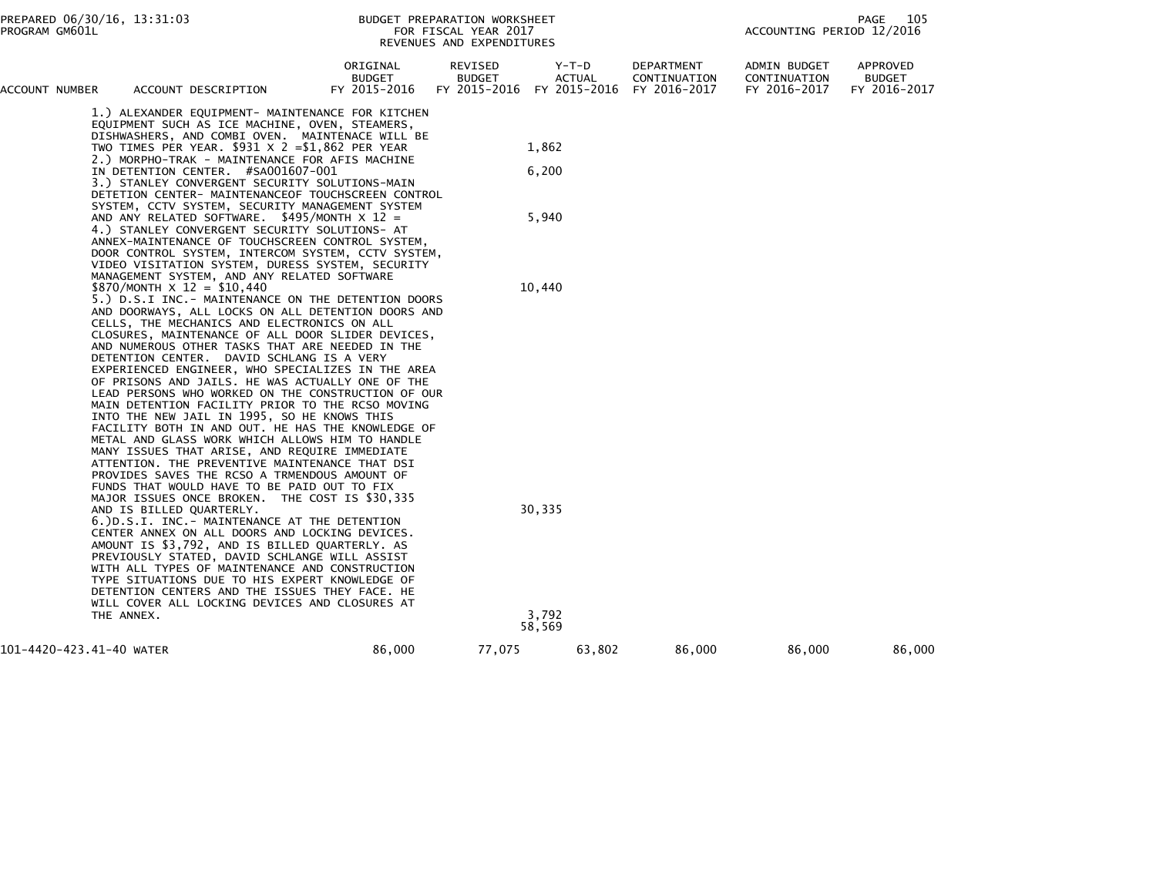| ACCOUNT NUMBER           | ACCOUNT DESCRIPTION                                                                                                                                                                                                                                                                                                                                                                                                                                                                                                                                                                                                                                                                                                                                                                                                                                                                                                                         | ORIGINAL<br><b>BUDGET</b><br>FY 2015-2016 | REVISED<br><b>BUDGET</b><br>FY 2015-2016 | Y-T-D<br>ACTUAL<br>FY 2015-2016 | DEPARTMENT<br>CONTINUATION<br>FY 2016-2017 | ADMIN BUDGET<br>CONTINUATION<br>FY 2016-2017 | APPROVED<br><b>BUDGET</b><br>FY 2016-2017 |
|--------------------------|---------------------------------------------------------------------------------------------------------------------------------------------------------------------------------------------------------------------------------------------------------------------------------------------------------------------------------------------------------------------------------------------------------------------------------------------------------------------------------------------------------------------------------------------------------------------------------------------------------------------------------------------------------------------------------------------------------------------------------------------------------------------------------------------------------------------------------------------------------------------------------------------------------------------------------------------|-------------------------------------------|------------------------------------------|---------------------------------|--------------------------------------------|----------------------------------------------|-------------------------------------------|
|                          | 1.) ALEXANDER EQUIPMENT- MAINTENANCE FOR KITCHEN<br>EQUIPMENT SUCH AS ICE MACHINE, OVEN, STEAMERS,<br>DISHWASHERS, AND COMBI OVEN. MAINTENACE WILL BE<br>TWO TIMES PER YEAR. $$931 \times 2 = $1,862$ PER YEAR                                                                                                                                                                                                                                                                                                                                                                                                                                                                                                                                                                                                                                                                                                                              |                                           |                                          | 1,862                           |                                            |                                              |                                           |
|                          | 2.) MORPHO-TRAK - MAINTENANCE FOR AFIS MACHINE                                                                                                                                                                                                                                                                                                                                                                                                                                                                                                                                                                                                                                                                                                                                                                                                                                                                                              |                                           |                                          |                                 |                                            |                                              |                                           |
|                          | IN DETENTION CENTER. #SA001607-001<br>3.) STANLEY CONVERGENT SECURITY SOLUTIONS-MAIN<br>DETETION CENTER- MAINTENANCEOF TOUCHSCREEN CONTROL                                                                                                                                                                                                                                                                                                                                                                                                                                                                                                                                                                                                                                                                                                                                                                                                  |                                           |                                          | 6,200                           |                                            |                                              |                                           |
|                          | SYSTEM, CCTV SYSTEM, SECURITY MANAGEMENT SYSTEM<br>AND ANY RELATED SOFTWARE. $$495/MONTH \times 12 =$<br>4.) STANLEY CONVERGENT SECURITY SOLUTIONS- AT<br>ANNEX-MAINTENANCE OF TOUCHSCREEN CONTROL SYSTEM,<br>DOOR CONTROL SYSTEM, INTERCOM SYSTEM, CCTV SYSTEM,<br>VIDEO VISITATION SYSTEM, DURESS SYSTEM, SECURITY                                                                                                                                                                                                                                                                                                                                                                                                                                                                                                                                                                                                                        |                                           |                                          | 5,940                           |                                            |                                              |                                           |
|                          | MANAGEMENT SYSTEM, AND ANY RELATED SOFTWARE<br>\$870/MONTH $\times$ 12 = \$10,440                                                                                                                                                                                                                                                                                                                                                                                                                                                                                                                                                                                                                                                                                                                                                                                                                                                           |                                           |                                          | 10,440                          |                                            |                                              |                                           |
|                          | 5.) D.S.I INC.- MAINTENANCE ON THE DETENTION DOORS<br>AND DOORWAYS, ALL LOCKS ON ALL DETENTION DOORS AND<br>CELLS, THE MECHANICS AND ELECTRONICS ON ALL<br>CLOSURES, MAINTENANCE OF ALL DOOR SLIDER DEVICES,<br>AND NUMEROUS OTHER TASKS THAT ARE NEEDED IN THE<br>DETENTION CENTER. DAVID SCHLANG IS A VERY<br>EXPERIENCED ENGINEER, WHO SPECIALIZES IN THE AREA<br>OF PRISONS AND JAILS. HE WAS ACTUALLY ONE OF THE<br>LEAD PERSONS WHO WORKED ON THE CONSTRUCTION OF OUR<br>MAIN DETENTION FACILITY PRIOR TO THE RCSO MOVING<br>INTO THE NEW JAIL IN 1995, SO HE KNOWS THIS<br>FACILITY BOTH IN AND OUT. HE HAS THE KNOWLEDGE OF<br>METAL AND GLASS WORK WHICH ALLOWS HIM TO HANDLE<br>MANY ISSUES THAT ARISE, AND REQUIRE IMMEDIATE<br>ATTENTION. THE PREVENTIVE MAINTENANCE THAT DSI<br>PROVIDES SAVES THE RCSO A TRMENDOUS AMOUNT OF<br>FUNDS THAT WOULD HAVE TO BE PAID OUT TO FIX<br>MAJOR ISSUES ONCE BROKEN. THE COST IS \$30,335 |                                           |                                          |                                 |                                            |                                              |                                           |
|                          | AND IS BILLED QUARTERLY.<br>6.) D.S.I. INC.- MAINTENANCE AT THE DETENTION<br>CENTER ANNEX ON ALL DOORS AND LOCKING DEVICES.<br>AMOUNT IS \$3,792, AND IS BILLED QUARTERLY. AS<br>PREVIOUSLY STATED, DAVID SCHLANGE WILL ASSIST<br>WITH ALL TYPES OF MAINTENANCE AND CONSTRUCTION<br>TYPE SITUATIONS DUE TO HIS EXPERT KNOWLEDGE OF<br>DETENTION CENTERS AND THE ISSUES THEY FACE. HE<br>WILL COVER ALL LOCKING DEVICES AND CLOSURES AT                                                                                                                                                                                                                                                                                                                                                                                                                                                                                                      |                                           |                                          | 30,335                          |                                            |                                              |                                           |
|                          | THE ANNEX.                                                                                                                                                                                                                                                                                                                                                                                                                                                                                                                                                                                                                                                                                                                                                                                                                                                                                                                                  |                                           |                                          | 3,792<br>58,569                 |                                            |                                              |                                           |
| 101-4420-423.41-40 WATER |                                                                                                                                                                                                                                                                                                                                                                                                                                                                                                                                                                                                                                                                                                                                                                                                                                                                                                                                             | 86,000                                    | 77,075                                   | 63,802                          | 86,000                                     | 86,000                                       | 86,000                                    |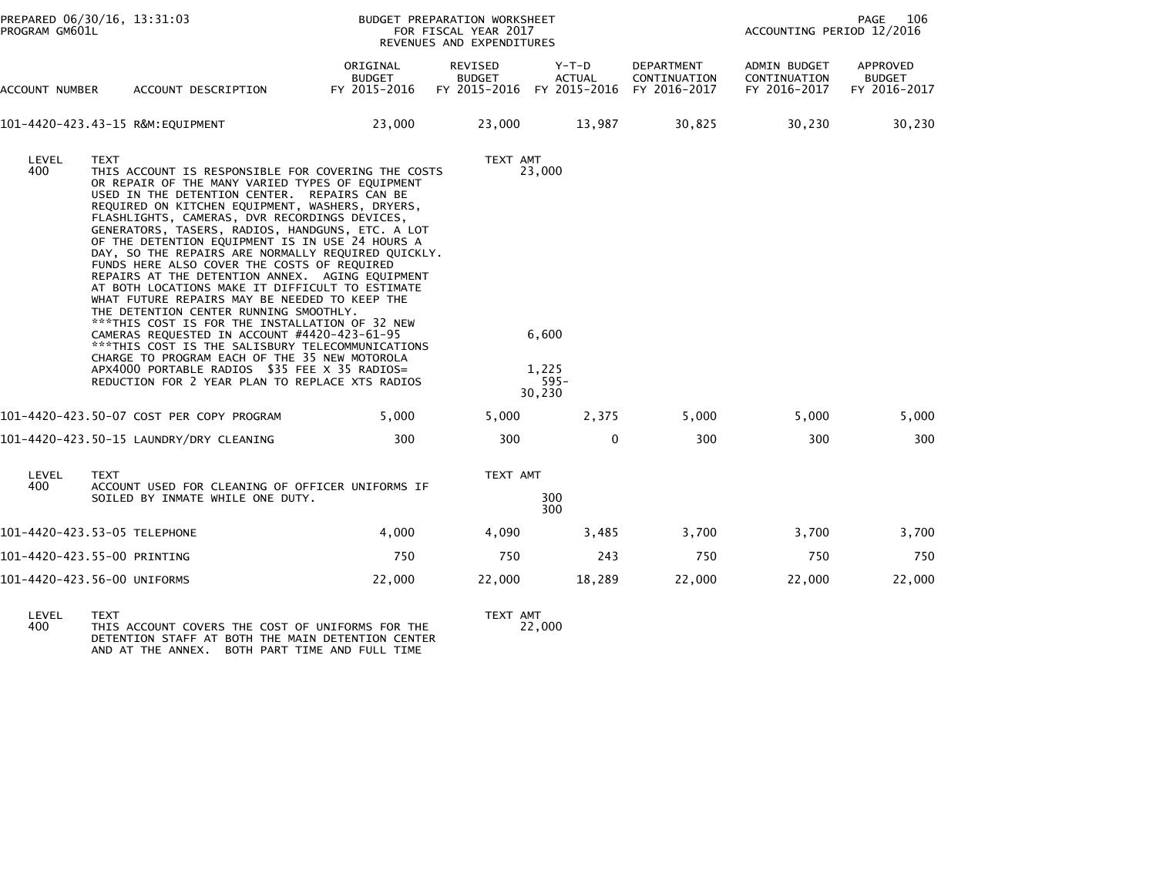| ORIGINAL<br>DEPARTMENT<br>REVISED<br>Y-T-D<br>ADMIN BUDGET<br><b>BUDGET</b><br><b>BUDGET</b><br><b>ACTUAL</b><br>CONTINUATION<br>CONTINUATION<br>FY 2015-2016<br>FY 2015-2016 FY 2015-2016<br>FY 2016-2017<br>FY 2016-2017<br>ACCOUNT NUMBER<br>ACCOUNT DESCRIPTION<br>23,000<br>23,000<br>13,987<br>30,825<br>30,230<br>101-4420-423.43-15 R&M:EQUIPMENT<br>LEVEL<br>TEXT<br>TEXT AMT<br>400<br>23,000<br>THIS ACCOUNT IS RESPONSIBLE FOR COVERING THE COSTS<br>OR REPAIR OF THE MANY VARIED TYPES OF EQUIPMENT<br>USED IN THE DETENTION CENTER. REPAIRS CAN BE<br>REQUIRED ON KITCHEN EQUIPMENT, WASHERS, DRYERS,<br>FLASHLIGHTS, CAMERAS, DVR RECORDINGS DEVICES,<br>GENERATORS, TASERS, RADIOS, HANDGUNS, ETC. A LOT<br>OF THE DETENTION EQUIPMENT IS IN USE 24 HOURS A<br>DAY, SO THE REPAIRS ARE NORMALLY REQUIRED QUICKLY.<br>FUNDS HERE ALSO COVER THE COSTS OF REQUIRED<br>REPAIRS AT THE DETENTION ANNEX. AGING EQUIPMENT<br>AT BOTH LOCATIONS MAKE IT DIFFICULT TO ESTIMATE<br>WHAT FUTURE REPAIRS MAY BE NEEDED TO KEEP THE<br>THE DETENTION CENTER RUNNING SMOOTHLY.<br>*** THIS COST IS FOR THE INSTALLATION OF 32 NEW<br>CAMERAS REOUESTED IN ACCOUNT #4420-423-61-95<br>6,600<br>***THIS COST IS THE SALISBURY TELECOMMUNICATIONS<br>CHARGE TO PROGRAM EACH OF THE 35 NEW MOTOROLA<br>APX4000 PORTABLE RADIOS \$35 FEE X 35 RADIOS=<br>1.225<br>REDUCTION FOR 2 YEAR PLAN TO REPLACE XTS RADIOS<br>$595 -$<br>30,230<br>2,375<br>101-4420-423.50-07 COST PER COPY PROGRAM<br>5,000<br>5,000<br>5,000<br>5,000<br>300<br>300<br>0<br>300<br>300<br>101-4420-423.50-15 LAUNDRY/DRY CLEANING<br>TEXT AMT<br>LEVEL<br><b>TEXT</b><br>400<br>ACCOUNT USED FOR CLEANING OF OFFICER UNIFORMS IF<br>300<br>SOILED BY INMATE WHILE ONE DUTY.<br>300<br>4,000<br>4,090<br>3,700<br>3,700<br>101-4420-423.53-05 TELEPHONE<br>3,485<br>750<br>750<br>750<br>243<br>750<br>101-4420-423.55-00 PRINTING | PROGRAM GM601L | PREPARED 06/30/16, 13:31:03 | BUDGET PREPARATION WORKSHEET | FOR FISCAL YEAR 2017<br>REVENUES AND EXPENDITURES |  | PAGE<br>106<br>ACCOUNTING PERIOD 12/2016 |  |                                           |
|-----------------------------------------------------------------------------------------------------------------------------------------------------------------------------------------------------------------------------------------------------------------------------------------------------------------------------------------------------------------------------------------------------------------------------------------------------------------------------------------------------------------------------------------------------------------------------------------------------------------------------------------------------------------------------------------------------------------------------------------------------------------------------------------------------------------------------------------------------------------------------------------------------------------------------------------------------------------------------------------------------------------------------------------------------------------------------------------------------------------------------------------------------------------------------------------------------------------------------------------------------------------------------------------------------------------------------------------------------------------------------------------------------------------------------------------------------------------------------------------------------------------------------------------------------------------------------------------------------------------------------------------------------------------------------------------------------------------------------------------------------------------------------------------------------------------------------------------------------------------------------------------------------------|----------------|-----------------------------|------------------------------|---------------------------------------------------|--|------------------------------------------|--|-------------------------------------------|
|                                                                                                                                                                                                                                                                                                                                                                                                                                                                                                                                                                                                                                                                                                                                                                                                                                                                                                                                                                                                                                                                                                                                                                                                                                                                                                                                                                                                                                                                                                                                                                                                                                                                                                                                                                                                                                                                                                           |                |                             |                              |                                                   |  |                                          |  | APPROVED<br><b>BUDGET</b><br>FY 2016-2017 |
|                                                                                                                                                                                                                                                                                                                                                                                                                                                                                                                                                                                                                                                                                                                                                                                                                                                                                                                                                                                                                                                                                                                                                                                                                                                                                                                                                                                                                                                                                                                                                                                                                                                                                                                                                                                                                                                                                                           |                |                             |                              |                                                   |  |                                          |  | 30,230                                    |
|                                                                                                                                                                                                                                                                                                                                                                                                                                                                                                                                                                                                                                                                                                                                                                                                                                                                                                                                                                                                                                                                                                                                                                                                                                                                                                                                                                                                                                                                                                                                                                                                                                                                                                                                                                                                                                                                                                           |                |                             |                              |                                                   |  |                                          |  |                                           |
|                                                                                                                                                                                                                                                                                                                                                                                                                                                                                                                                                                                                                                                                                                                                                                                                                                                                                                                                                                                                                                                                                                                                                                                                                                                                                                                                                                                                                                                                                                                                                                                                                                                                                                                                                                                                                                                                                                           |                |                             |                              |                                                   |  |                                          |  | 5,000                                     |
|                                                                                                                                                                                                                                                                                                                                                                                                                                                                                                                                                                                                                                                                                                                                                                                                                                                                                                                                                                                                                                                                                                                                                                                                                                                                                                                                                                                                                                                                                                                                                                                                                                                                                                                                                                                                                                                                                                           |                |                             |                              |                                                   |  |                                          |  | 300                                       |
|                                                                                                                                                                                                                                                                                                                                                                                                                                                                                                                                                                                                                                                                                                                                                                                                                                                                                                                                                                                                                                                                                                                                                                                                                                                                                                                                                                                                                                                                                                                                                                                                                                                                                                                                                                                                                                                                                                           |                |                             |                              |                                                   |  |                                          |  |                                           |
|                                                                                                                                                                                                                                                                                                                                                                                                                                                                                                                                                                                                                                                                                                                                                                                                                                                                                                                                                                                                                                                                                                                                                                                                                                                                                                                                                                                                                                                                                                                                                                                                                                                                                                                                                                                                                                                                                                           |                |                             |                              |                                                   |  |                                          |  | 3,700                                     |
|                                                                                                                                                                                                                                                                                                                                                                                                                                                                                                                                                                                                                                                                                                                                                                                                                                                                                                                                                                                                                                                                                                                                                                                                                                                                                                                                                                                                                                                                                                                                                                                                                                                                                                                                                                                                                                                                                                           |                |                             |                              |                                                   |  |                                          |  | 750                                       |
| 101-4420-423.56-00 UNIFORMS<br>22,000<br>22,000<br>18,289<br>22,000<br>22,000                                                                                                                                                                                                                                                                                                                                                                                                                                                                                                                                                                                                                                                                                                                                                                                                                                                                                                                                                                                                                                                                                                                                                                                                                                                                                                                                                                                                                                                                                                                                                                                                                                                                                                                                                                                                                             |                |                             |                              |                                                   |  |                                          |  | 22,000                                    |

LEVEL TEXT TEXT AMT 400 THIS ACCOUNT COVERS THE COST OF UNIFORMS FOR THE 22,000 DETENTION STAFF AT BOTH THE MAIN DETENTION CENTER AND AT THE ANNEX. BOTH PART TIME AND FULL TIME

TEXT AMT<br>22,000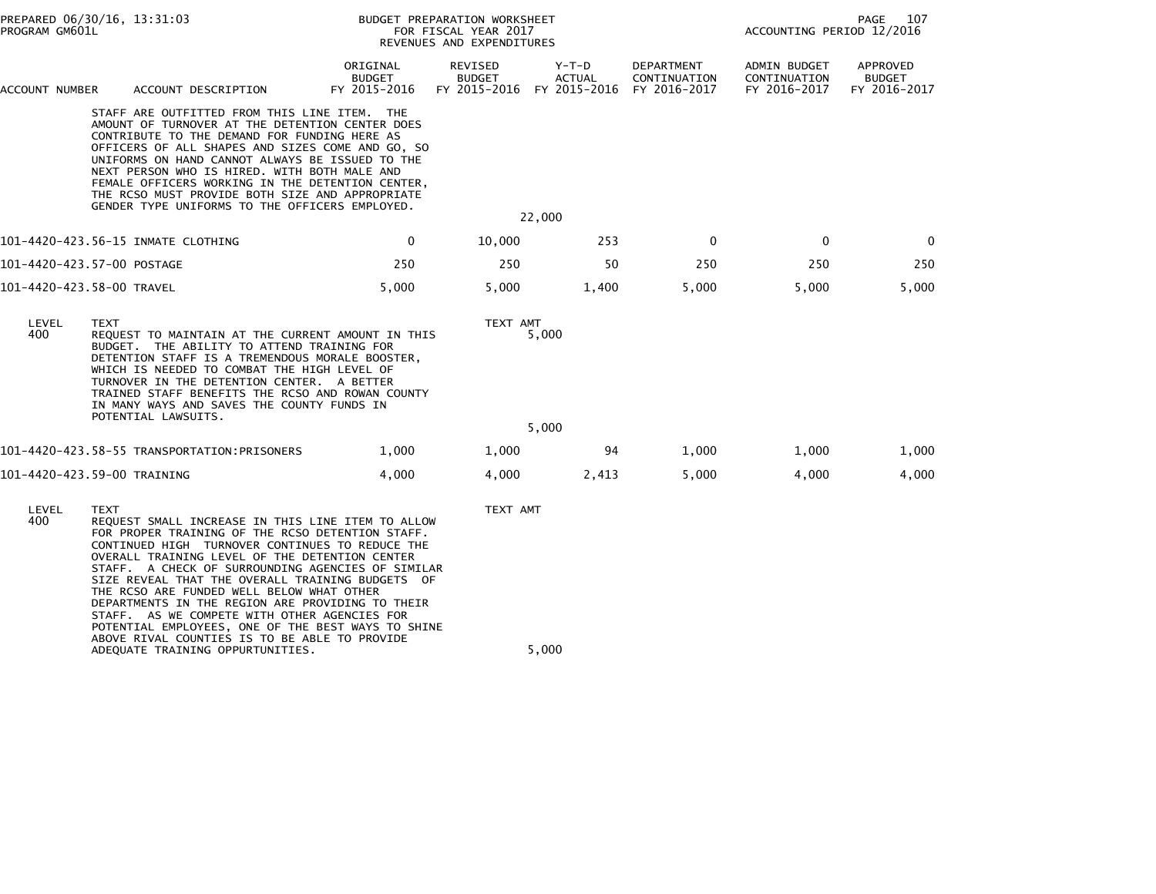| PROGRAM GM601L | PREPARED 06/30/16, 13:31:03<br>BUDGET PREPARATION WORKSHEET<br>FOR FISCAL YEAR 2017<br>REVENUES AND EXPENDITURES                                                                                                                                                                                                                                                                                                                                                                                                                                                                           |                                           |                                          |                                          | PAGE<br>107<br>ACCOUNTING PERIOD 12/2016   |                                              |                                           |
|----------------|--------------------------------------------------------------------------------------------------------------------------------------------------------------------------------------------------------------------------------------------------------------------------------------------------------------------------------------------------------------------------------------------------------------------------------------------------------------------------------------------------------------------------------------------------------------------------------------------|-------------------------------------------|------------------------------------------|------------------------------------------|--------------------------------------------|----------------------------------------------|-------------------------------------------|
| ACCOUNT NUMBER | ACCOUNT DESCRIPTION                                                                                                                                                                                                                                                                                                                                                                                                                                                                                                                                                                        | ORIGINAL<br><b>BUDGET</b><br>FY 2015-2016 | REVISED<br><b>BUDGET</b><br>FY 2015-2016 | $Y-T-D$<br><b>ACTUAL</b><br>FY 2015-2016 | DEPARTMENT<br>CONTINUATION<br>FY 2016-2017 | ADMIN BUDGET<br>CONTINUATION<br>FY 2016-2017 | APPROVED<br><b>BUDGET</b><br>FY 2016-2017 |
|                | STAFF ARE OUTFITTED FROM THIS LINE ITEM. THE<br>AMOUNT OF TURNOVER AT THE DETENTION CENTER DOES<br>CONTRIBUTE TO THE DEMAND FOR FUNDING HERE AS<br>OFFICERS OF ALL SHAPES AND SIZES COME AND GO, SO<br>UNIFORMS ON HAND CANNOT ALWAYS BE ISSUED TO THE<br>NEXT PERSON WHO IS HIRED. WITH BOTH MALE AND<br>FEMALE OFFICERS WORKING IN THE DETENTION CENTER,<br>THE RCSO MUST PROVIDE BOTH SIZE AND APPROPRIATE<br>GENDER TYPE UNIFORMS TO THE OFFICERS EMPLOYED.                                                                                                                            |                                           | 22,000                                   |                                          |                                            |                                              |                                           |
|                | 101-4420-423.56-15 INMATE CLOTHING                                                                                                                                                                                                                                                                                                                                                                                                                                                                                                                                                         | 0                                         | 10,000                                   | 253                                      | 0                                          | $\mathbf{0}$                                 | $\mathbf 0$                               |
|                | 101-4420-423.57-00 POSTAGE                                                                                                                                                                                                                                                                                                                                                                                                                                                                                                                                                                 | 250                                       | 250                                      | 50                                       | 250                                        | 250                                          | 250                                       |
|                | 101-4420-423.58-00 TRAVEL                                                                                                                                                                                                                                                                                                                                                                                                                                                                                                                                                                  | 5,000                                     | 5,000                                    | 1,400                                    | 5,000                                      | 5,000                                        | 5,000                                     |
| LEVEL<br>400   | <b>TEXT</b><br>REQUEST TO MAINTAIN AT THE CURRENT AMOUNT IN THIS<br>BUDGET. THE ABILITY TO ATTEND TRAINING FOR<br>DETENTION STAFF IS A TREMENDOUS MORALE BOOSTER,<br>WHICH IS NEEDED TO COMBAT THE HIGH LEVEL OF<br>TURNOVER IN THE DETENTION CENTER. A BETTER<br>TRAINED STAFF BENEFITS THE RCSO AND ROWAN COUNTY<br>IN MANY WAYS AND SAVES THE COUNTY FUNDS IN<br>POTENTIAL LAWSUITS.                                                                                                                                                                                                    |                                           | TEXT AMT<br>5,000                        |                                          |                                            |                                              |                                           |
|                |                                                                                                                                                                                                                                                                                                                                                                                                                                                                                                                                                                                            |                                           | 5,000                                    |                                          |                                            |                                              |                                           |
|                | 101-4420-423.58-55 TRANSPORTATION:PRISONERS                                                                                                                                                                                                                                                                                                                                                                                                                                                                                                                                                | 1,000                                     | 1,000                                    | 94                                       | 1,000                                      | 1,000                                        | 1,000                                     |
|                | 101-4420-423.59-00 TRAINING                                                                                                                                                                                                                                                                                                                                                                                                                                                                                                                                                                | 4,000                                     | 4,000                                    | 2,413                                    | 5,000                                      | 4,000                                        | 4,000                                     |
| LEVEL<br>400   | <b>TEXT</b><br>REQUEST SMALL INCREASE IN THIS LINE ITEM TO ALLOW<br>FOR PROPER TRAINING OF THE RCSO DETENTION STAFF.<br>CONTINUED HIGH TURNOVER CONTINUES TO REDUCE THE<br>OVERALL TRAINING LEVEL OF THE DETENTION CENTER<br>STAFF. A CHECK OF SURROUNDING AGENCIES OF SIMILAR<br>SIZE REVEAL THAT THE OVERALL TRAINING BUDGETS OF<br>THE RCSO ARE FUNDED WELL BELOW WHAT OTHER<br>DEPARTMENTS IN THE REGION ARE PROVIDING TO THEIR<br>STAFF. AS WE COMPETE WITH OTHER AGENCIES FOR<br>POTENTIAL EMPLOYEES, ONE OF THE BEST WAYS TO SHINE<br>ABOVE RIVAL COUNTIES IS TO BE ABLE TO PROVIDE |                                           | TEXT AMT                                 |                                          |                                            |                                              |                                           |
|                | ADEQUATE TRAINING OPPURTUNITIES.                                                                                                                                                                                                                                                                                                                                                                                                                                                                                                                                                           |                                           | 5,000                                    |                                          |                                            |                                              |                                           |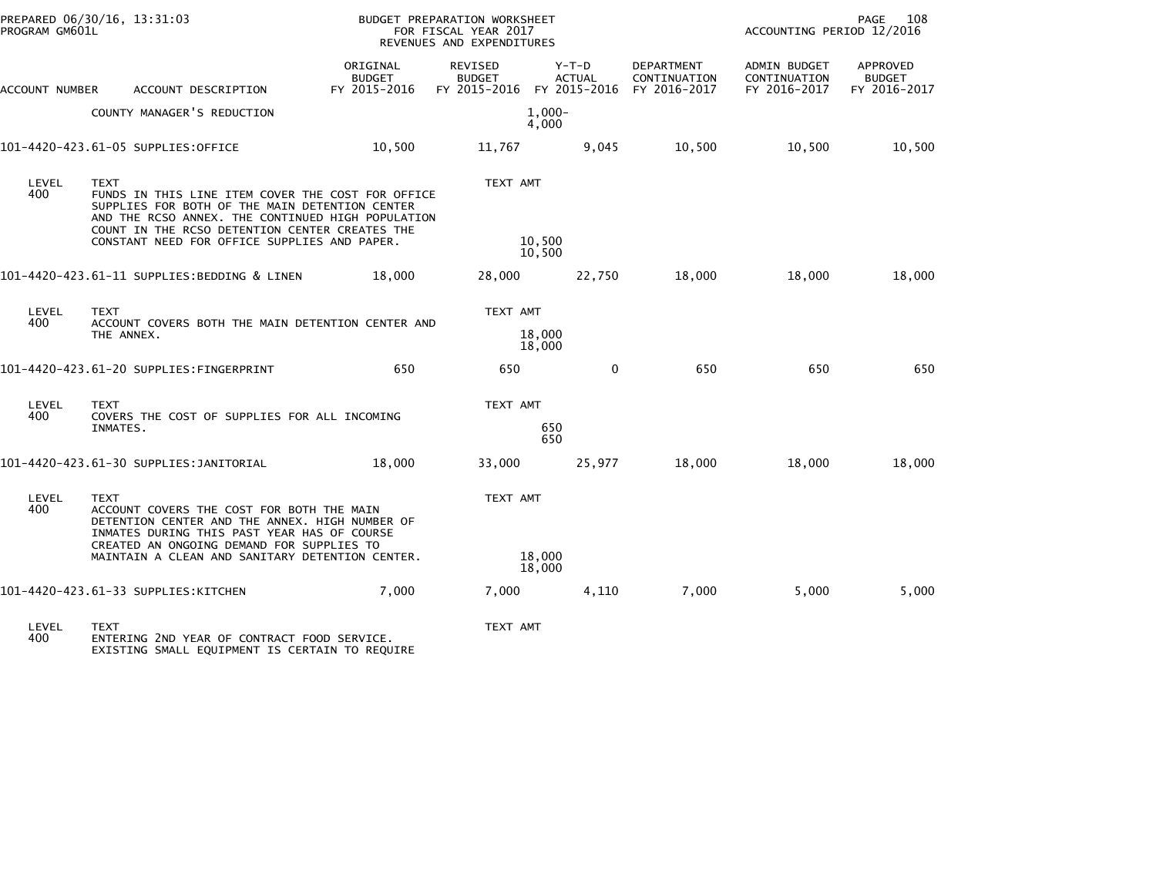| PROGRAM GM601L | PREPARED 06/30/16, 13:31:03                                                                                                                                                                                                                                        | BUDGET PREPARATION WORKSHEET<br>FOR FISCAL YEAR 2017<br>REVENUES AND EXPENDITURES |                          |                                                                  | PAGE<br>108<br>ACCOUNTING PERIOD 12/2016 |                                                     |                                           |
|----------------|--------------------------------------------------------------------------------------------------------------------------------------------------------------------------------------------------------------------------------------------------------------------|-----------------------------------------------------------------------------------|--------------------------|------------------------------------------------------------------|------------------------------------------|-----------------------------------------------------|-------------------------------------------|
| ACCOUNT NUMBER | ACCOUNT DESCRIPTION                                                                                                                                                                                                                                                | ORIGINAL<br><b>BUDGET</b><br>FY 2015-2016                                         | REVISED<br><b>BUDGET</b> | Y-T-D<br><b>ACTUAL</b><br>FY 2015-2016 FY 2015-2016 FY 2016-2017 | DEPARTMENT<br>CONTINUATION               | <b>ADMIN BUDGET</b><br>CONTINUATION<br>FY 2016-2017 | APPROVED<br><b>BUDGET</b><br>FY 2016-2017 |
|                | COUNTY MANAGER'S REDUCTION                                                                                                                                                                                                                                         |                                                                                   |                          | $1.000 -$<br>4,000                                               |                                          |                                                     |                                           |
|                | 101-4420-423.61-05 SUPPLIES:OFFICE                                                                                                                                                                                                                                 | 10,500                                                                            | 11,767                   | 9,045                                                            | 10,500                                   | 10,500                                              | 10,500                                    |
| LEVEL<br>400   | TEXT<br>FUNDS IN THIS LINE ITEM COVER THE COST FOR OFFICE<br>SUPPLIES FOR BOTH OF THE MAIN DETENTION CENTER<br>AND THE RCSO ANNEX. THE CONTINUED HIGH POPULATION<br>COUNT IN THE RCSO DETENTION CENTER CREATES THE<br>CONSTANT NEED FOR OFFICE SUPPLIES AND PAPER. |                                                                                   | TEXT AMT                 | 10,500<br>10,500                                                 |                                          |                                                     |                                           |
|                | 101-4420-423.61-11 SUPPLIES:BEDDING & LINEN                                                                                                                                                                                                                        | 18,000                                                                            | 28,000                   | 22,750                                                           | 18,000                                   | 18,000                                              | 18,000                                    |
| LEVEL<br>400   | <b>TEXT</b><br>ACCOUNT COVERS BOTH THE MAIN DETENTION CENTER AND<br>THE ANNEX.                                                                                                                                                                                     |                                                                                   | TEXT AMT                 | 18,000<br>18,000                                                 |                                          |                                                     |                                           |
|                | 101-4420-423.61-20 SUPPLIES:FINGERPRINT                                                                                                                                                                                                                            | 650                                                                               | 650                      | $\mathbf{0}$                                                     | 650                                      | 650                                                 | 650                                       |
| LEVEL<br>400   | <b>TEXT</b><br>COVERS THE COST OF SUPPLIES FOR ALL INCOMING<br>INMATES.                                                                                                                                                                                            |                                                                                   | TEXT AMT                 | 650<br>650                                                       |                                          |                                                     |                                           |
|                | 101-4420-423.61-30 SUPPLIES: JANITORIAL                                                                                                                                                                                                                            | 18,000                                                                            | 33,000                   | 25,977                                                           | 18,000                                   | 18,000                                              | 18,000                                    |
| LEVEL<br>400   | <b>TEXT</b><br>ACCOUNT COVERS THE COST FOR BOTH THE MAIN<br>DETENTION CENTER AND THE ANNEX. HIGH NUMBER OF<br>INMATES DURING THIS PAST YEAR HAS OF COURSE<br>CREATED AN ONGOING DEMAND FOR SUPPLIES TO                                                             | TEXT AMT                                                                          |                          |                                                                  |                                          |                                                     |                                           |
|                | MAINTAIN A CLEAN AND SANITARY DETENTION CENTER.                                                                                                                                                                                                                    |                                                                                   | 18,000<br>18,000         |                                                                  |                                          |                                                     |                                           |
|                | 101-4420-423.61-33 SUPPLIES:KITCHEN                                                                                                                                                                                                                                | 7,000                                                                             | 7,000                    | 4,110                                                            | 7,000                                    | 5,000                                               | 5,000                                     |
| LEVEL          | <b>TEXT</b>                                                                                                                                                                                                                                                        |                                                                                   | TEXT AMT                 |                                                                  |                                          |                                                     |                                           |

LEVEL TEXT TEXT AMT 400 ENTERING 2ND YEAR OF CONTRACT FOOD SERVICE. EXISTING SMALL EQUIPMENT IS CERTAIN TO REQUIRE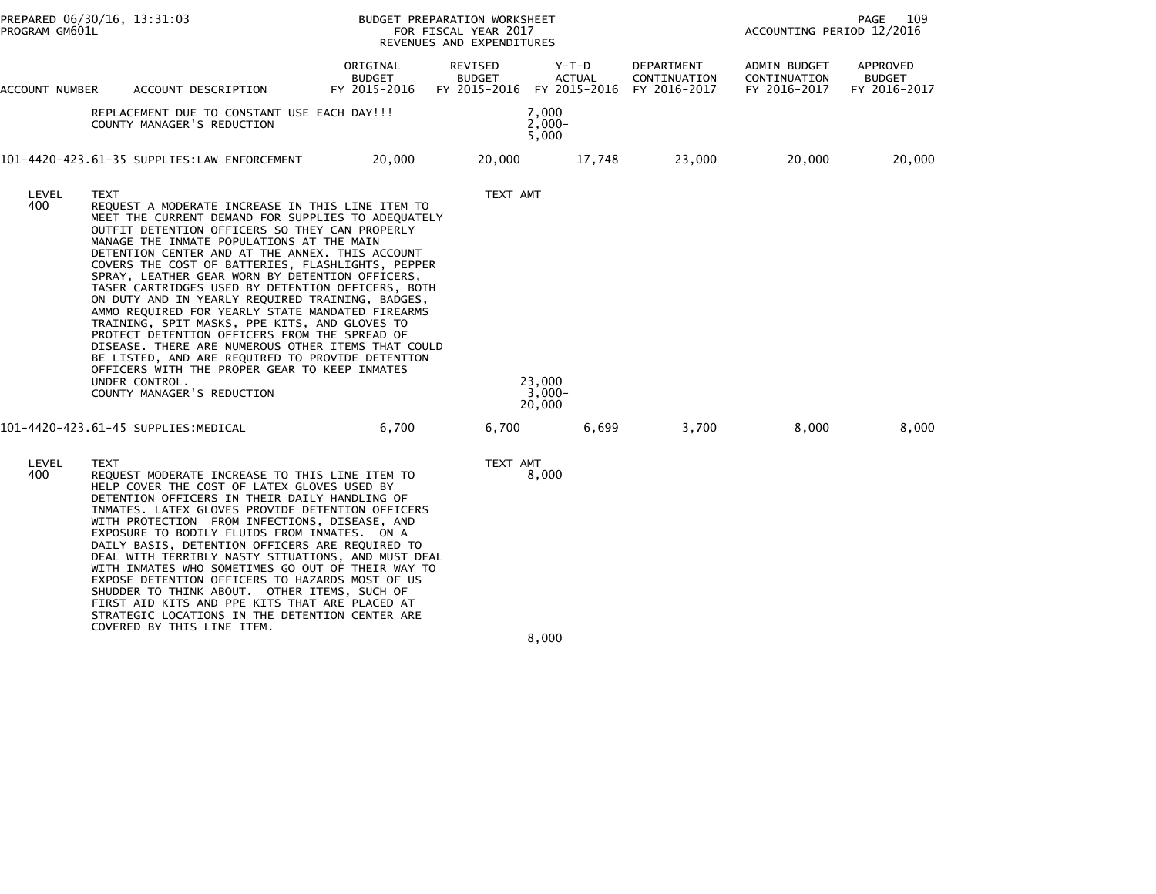| PREPARED 06/30/16, 13:31:03<br>PROGRAM GM601L |             |                                                                                                                                                                                                                                                                                                                                                                                                                                                                                                                                                                                                                                                                                                                                                                                                                                            | BUDGET PREPARATION WORKSHEET<br>PAGE<br>ACCOUNTING PERIOD 12/2016<br>FOR FISCAL YEAR 2017<br>REVENUES AND EXPENDITURES |                          |                                                     |                                            |                                              |                                           |
|-----------------------------------------------|-------------|--------------------------------------------------------------------------------------------------------------------------------------------------------------------------------------------------------------------------------------------------------------------------------------------------------------------------------------------------------------------------------------------------------------------------------------------------------------------------------------------------------------------------------------------------------------------------------------------------------------------------------------------------------------------------------------------------------------------------------------------------------------------------------------------------------------------------------------------|------------------------------------------------------------------------------------------------------------------------|--------------------------|-----------------------------------------------------|--------------------------------------------|----------------------------------------------|-------------------------------------------|
| ACCOUNT NUMBER                                |             | ACCOUNT DESCRIPTION                                                                                                                                                                                                                                                                                                                                                                                                                                                                                                                                                                                                                                                                                                                                                                                                                        | ORIGINAL<br><b>BUDGET</b><br>FY 2015-2016                                                                              | REVISED<br><b>BUDGET</b> | Y-T-D<br><b>ACTUAL</b><br>FY 2015-2016 FY 2015-2016 | DEPARTMENT<br>CONTINUATION<br>FY 2016-2017 | ADMIN BUDGET<br>CONTINUATION<br>FY 2016-2017 | APPROVED<br><b>BUDGET</b><br>FY 2016-2017 |
|                                               |             | REPLACEMENT DUE TO CONSTANT USE EACH DAY!!!<br>COUNTY MANAGER'S REDUCTION                                                                                                                                                                                                                                                                                                                                                                                                                                                                                                                                                                                                                                                                                                                                                                  |                                                                                                                        |                          | 7,000<br>$2,000-$<br>5,000                          |                                            |                                              |                                           |
|                                               |             | 101-4420-423.61-35 SUPPLIES:LAW ENFORCEMENT                                                                                                                                                                                                                                                                                                                                                                                                                                                                                                                                                                                                                                                                                                                                                                                                | 20,000                                                                                                                 | 20,000                   | 17,748                                              | 23,000                                     | 20,000                                       | 20,000                                    |
| LEVEL<br>400                                  | TEXT        | REQUEST A MODERATE INCREASE IN THIS LINE ITEM TO<br>MEET THE CURRENT DEMAND FOR SUPPLIES TO ADEQUATELY<br>OUTFIT DETENTION OFFICERS SO THEY CAN PROPERLY<br>MANAGE THE INMATE POPULATIONS AT THE MAIN<br>DETENTION CENTER AND AT THE ANNEX. THIS ACCOUNT<br>COVERS THE COST OF BATTERIES, FLASHLIGHTS, PEPPER<br>SPRAY, LEATHER GEAR WORN BY DETENTION OFFICERS,<br>TASER CARTRIDGES USED BY DETENTION OFFICERS, BOTH<br>ON DUTY AND IN YEARLY REQUIRED TRAINING, BADGES,<br>AMMO REQUIRED FOR YEARLY STATE MANDATED FIREARMS<br>TRAINING, SPIT MASKS, PPE KITS, AND GLOVES TO<br>PROTECT DETENTION OFFICERS FROM THE SPREAD OF<br>DISEASE. THERE ARE NUMEROUS OTHER ITEMS THAT COULD<br>BE LISTED, AND ARE REQUIRED TO PROVIDE DETENTION<br>OFFICERS WITH THE PROPER GEAR TO KEEP INMATES<br>UNDER CONTROL.<br>COUNTY MANAGER'S REDUCTION |                                                                                                                        | TEXT AMT                 | 23,000<br>$3,000-$<br>20,000                        |                                            |                                              |                                           |
|                                               |             | 101-4420-423.61-45 SUPPLIES: MEDICAL                                                                                                                                                                                                                                                                                                                                                                                                                                                                                                                                                                                                                                                                                                                                                                                                       | 6,700                                                                                                                  | 6,700                    | 6,699                                               | 3,700                                      | 8,000                                        | 8,000                                     |
| LEVEL<br>400                                  | <b>TEXT</b> | REQUEST MODERATE INCREASE TO THIS LINE ITEM TO<br>HELP COVER THE COST OF LATEX GLOVES USED BY<br>DETENTION OFFICERS IN THEIR DAILY HANDLING OF<br>INMATES. LATEX GLOVES PROVIDE DETENTION OFFICERS<br>WITH PROTECTION FROM INFECTIONS, DISEASE, AND<br>EXPOSURE TO BODILY FLUIDS FROM INMATES. ON A<br>DAILY BASIS, DETENTION OFFICERS ARE REQUIRED TO<br>DEAL WITH TERRIBLY NASTY SITUATIONS, AND MUST DEAL<br>WITH INMATES WHO SOMETIMES GO OUT OF THEIR WAY TO<br>EXPOSE DETENTION OFFICERS TO HAZARDS MOST OF US<br>SHUDDER TO THINK ABOUT. OTHER ITEMS, SUCH OF<br>FIRST AID KITS AND PPE KITS THAT ARE PLACED AT<br>STRATEGIC LOCATIONS IN THE DETENTION CENTER ARE<br>COVERED BY THIS LINE ITEM.                                                                                                                                    |                                                                                                                        | TEXT AMT                 | 8,000                                               |                                            |                                              |                                           |

8,000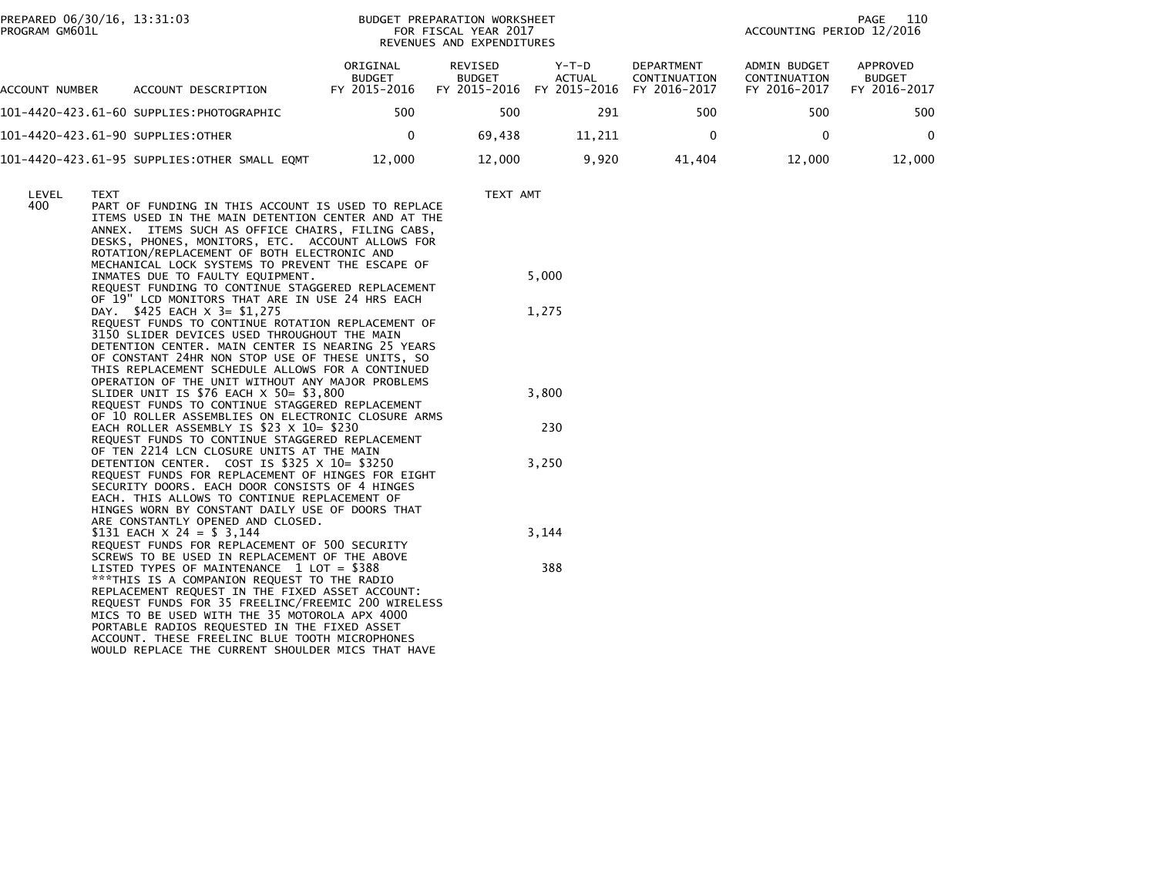PREPARED 06/30/16, 13:31:03<br>PROGRAM GM601L

## BUDGET PREPARATION WORKSHEET<br>FOR FISCAL YEAR 2017 REVENUES AND EXPENDITURES

PAGE 110<br>ACCOUNTING PERIOD 12/2016

| ACCOUNT NUMBER                    | ACCOUNT DESCRIPTION                          | ORIGINAL<br><b>BUDGET</b><br>FY 2015-2016 | REVISED<br><b>BUDGET</b><br>FY 2015-2016 | $Y-T-D$<br>ACTUAL<br>FY 2015-2016 | DEPARTMENT<br>CONTINUATION<br>FY 2016-2017 | ADMIN BUDGET<br>CONTINUATION<br>FY 2016-2017 | APPROVED<br><b>BUDGET</b><br>FY 2016-2017 |
|-----------------------------------|----------------------------------------------|-------------------------------------------|------------------------------------------|-----------------------------------|--------------------------------------------|----------------------------------------------|-------------------------------------------|
|                                   | 101–4420–423.61–60 SUPPLIES:PHOTOGRAPHIC     | 500                                       | 500                                      | 291                               | 500                                        | 500                                          | 500                                       |
| 101-4420-423.61-90 SUPPLIES:OTHER |                                              |                                           | 69.438                                   | 11.211                            |                                            |                                              |                                           |
|                                   | 101-4420-423.61-95 SUPPLIES:OTHER SMALL EQMT | 12,000                                    | 12,000                                   | 9.920                             | 41.404                                     | 12.000                                       | 12,000                                    |

| LEVEL | <b>TEXT</b>                                                                                              | TEXT AMT |
|-------|----------------------------------------------------------------------------------------------------------|----------|
| 400   | PART OF FUNDING IN THIS ACCOUNT IS USED TO REPLACE<br>ITEMS USED IN THE MAIN DETENTION CENTER AND AT THE |          |
|       | ANNEX.<br>ITEMS SUCH AS OFFICE CHAIRS, FILING CABS,<br>DESKS, PHONES, MONITORS, ETC. ACCOUNT ALLOWS FOR  |          |
|       | ROTATION/REPLACEMENT OF BOTH ELECTRONIC AND                                                              |          |
|       | MECHANICAL LOCK SYSTEMS TO PREVENT THE ESCAPE OF                                                         | 5,000    |
|       | INMATES DUE TO FAULTY EQUIPMENT.<br>REQUEST FUNDING TO CONTINUE STAGGERED REPLACEMENT                    |          |
|       | OF 19" LCD MONITORS THAT ARE IN USE 24 HRS EACH                                                          |          |
|       | DAY. \$425 EACH X 3= \$1,275<br>REQUEST FUNDS TO CONTINUE ROTATION REPLACEMENT OF                        | 1,275    |
|       | 3150 SLIDER DEVICES USED THROUGHOUT THE MAIN<br>DETENTION CENTER, MAIN CENTER IS NEARING 25 YEARS        |          |
|       | OF CONSTANT 24HR NON STOP USE OF THESE UNITS, SO                                                         |          |
|       | THIS REPLACEMENT SCHEDULE ALLOWS FOR A CONTINUED<br>OPERATION OF THE UNIT WITHOUT ANY MAJOR PROBLEMS     |          |
|       | SLIDER UNIT IS $$76$ EACH $\times$ 50= $$3,800$                                                          | 3,800    |
|       | REQUEST FUNDS TO CONTINUE STAGGERED REPLACEMENT<br>OF 10 ROLLER ASSEMBLIES ON ELECTRONIC CLOSURE ARMS    |          |
|       | EACH ROLLER ASSEMBLY IS \$23 $\times$ 10= \$230                                                          | 230      |
|       | REQUEST FUNDS TO CONTINUE STAGGERED REPLACEMENT<br>OF TEN 2214 LCN CLOSURE UNITS AT THE MAIN             |          |
|       | DETENTION CENTER. COST IS \$325 X 10= \$3250                                                             | 3,250    |
|       | REOUEST FUNDS FOR REPLACEMENT OF HINGES FOR EIGHT<br>SECURITY DOORS. EACH DOOR CONSISTS OF 4 HINGES      |          |
|       | EACH. THIS ALLOWS TO CONTINUE REPLACEMENT OF                                                             |          |
|       | HINGES WORN BY CONSTANT DAILY USE OF DOORS THAT<br>ARE CONSTANTLY OPENED AND CLOSED.                     |          |
|       | \$131 EACH $\times$ 24 = \$ 3,144                                                                        | 3,144    |
|       | REQUEST FUNDS FOR REPLACEMENT OF 500 SECURITY<br>SCREWS TO BE USED IN REPLACEMENT OF THE ABOVE           |          |
|       | LISTED TYPES OF MAINTENANCE 1 LOT = \$388                                                                | 388      |
|       | *** THIS IS A COMPANION REQUEST TO THE RADIO<br>REPLACEMENT REQUEST IN THE FIXED ASSET ACCOUNT:          |          |
|       | REQUEST FUNDS FOR 35 FREELINC/FREEMIC 200 WIRELESS                                                       |          |
|       | MICS TO BE USED WITH THE 35 MOTOROLA APX 4000<br>PORTABLE RADIOS REQUESTED IN THE FIXED ASSET            |          |
|       | ACCOUNT. THESE FREELINC BLUE TOOTH MICROPHONES                                                           |          |
|       | WOULD REPLACE THE CURRENT SHOULDER MICS THAT HAVE                                                        |          |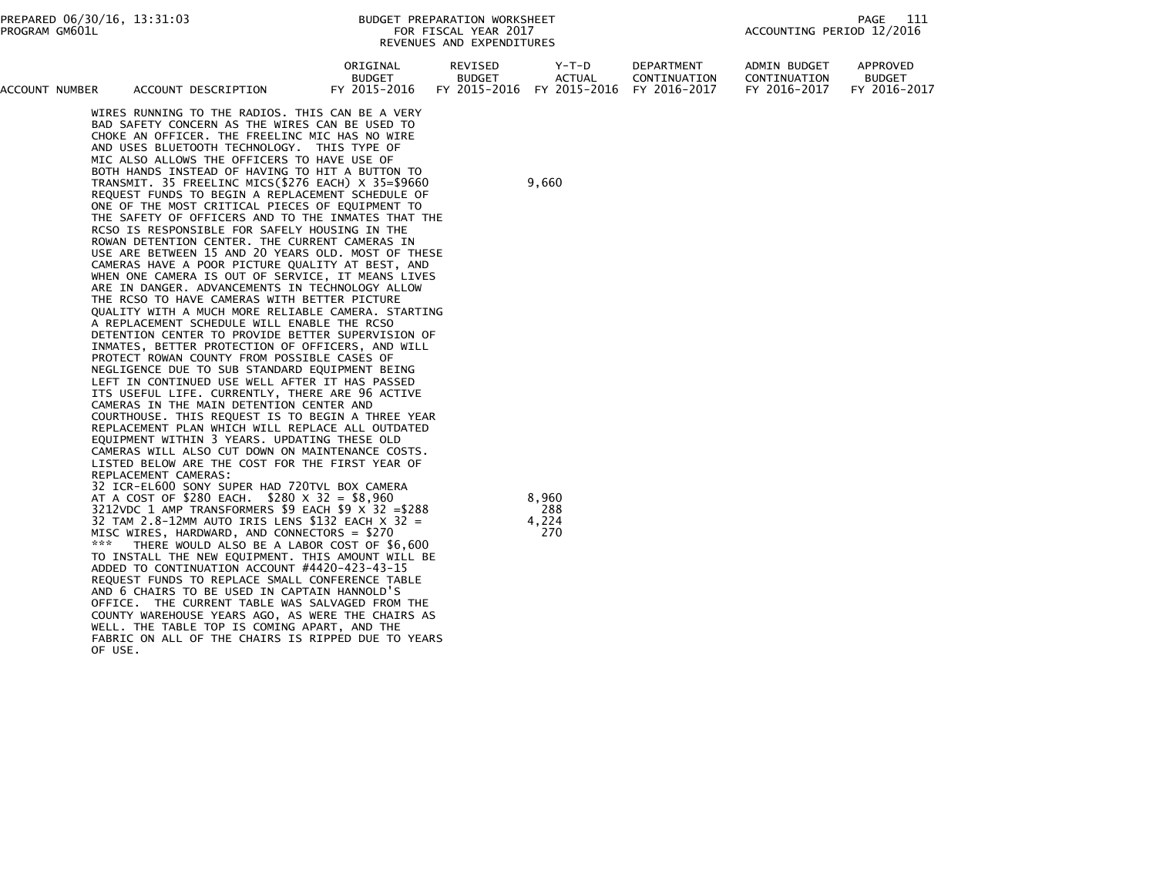| APPROVED<br><b>ADMIN BUDGET</b><br>ORIGINAL<br>REVISED<br><b>DEPARTMENT</b><br>Y-T-D<br><b>BUDGET</b><br><b>BUDGET</b><br>CONTINUATION<br><b>BUDGET</b><br>CONTINUATION<br>ACTUAL<br>FY 2015-2016 FY 2015-2016 FY 2016-2017<br>FY 2015-2016<br>FY 2016-2017<br>FY 2016-2017<br>ACCOUNT<br><b>NUMBER</b><br>ACCOUNT DESCRIPTION |
|--------------------------------------------------------------------------------------------------------------------------------------------------------------------------------------------------------------------------------------------------------------------------------------------------------------------------------|
|--------------------------------------------------------------------------------------------------------------------------------------------------------------------------------------------------------------------------------------------------------------------------------------------------------------------------------|

 WIRES RUNNING TO THE RADIOS. THIS CAN BE A VERY BAD SAFETY CONCERN AS THE WIRES CAN BE USED TO CHOKE AN OFFICER. THE FREELINC MIC HAS NO WIRE AND USES BLUETOOTH TECHNOLOGY. THIS TYPE OF MIC ALSO ALLOWS THE OFFICERS TO HAVE USE OF BOTH HANDS INSTEAD OF HAVING TO HIT A BUTTON TO TRANSMIT. 35 FREELINC MICS(\$276 EACH) X 35=\$9660 9,660 REQUEST FUNDS TO BEGIN A REPLACEMENT SCHEDULE OF ONE OF THE MOST CRITICAL PIECES OF EQUIPMENT TO THE SAFETY OF OFFICERS AND TO THE INMATES THAT THE RCSO IS RESPONSIBLE FOR SAFELY HOUSING IN THE ROWAN DETENTION CENTER. THE CURRENT CAMERAS IN USE ARE BETWEEN 15 AND 20 YEARS OLD. MOST OF THESE CAMERAS HAVE A POOR PICTURE QUALITY AT BEST, AND WHEN ONE CAMERA IS OUT OF SERVICE, IT MEANS LIVES ARE IN DANGER. ADVANCEMENTS IN TECHNOLOGY ALLOW THE RCSO TO HAVE CAMERAS WITH BETTER PICTURE QUALITY WITH A MUCH MORE RELIABLE CAMERA. STARTING A REPLACEMENT SCHEDULE WILL ENABLE THE RCSO DETENTION CENTER TO PROVIDE BETTER SUPERVISION OF INMATES, BETTER PROTECTION OF OFFICERS, AND WILL PROTECT ROWAN COUNTY FROM POSSIBLE CASES OF NEGLIGENCE DUE TO SUB STANDARD EQUIPMENT BEING LEFT IN CONTINUED USE WELL AFTER IT HAS PASSED ITS USEFUL LIFE. CURRENTLY, THERE ARE 96 ACTIVE CAMERAS IN THE MAIN DETENTION CENTER AND COURTHOUSE. THIS REQUEST IS TO BEGIN A THREE YEAR REPLACEMENT PLAN WHICH WILL REPLACE ALL OUTDATED EQUIPMENT WITHIN 3 YEARS. UPDATING THESE OLD CAMERAS WILL ALSO CUT DOWN ON MAINTENANCE COSTS. LISTED BELOW ARE THE COST FOR THE FIRST YEAR OF REPLACEMENT CAMERAS: 32 ICR-EL600 SONY SUPER HAD 720TVL BOX CAMERAAT A COST OF \$280 EACH. \$280  $\times$  32 = \$8,960 3212VDC 1 AMP TRANSFORMERS \$9 EACH \$9  $\times$  32 = \$288 32 TAM 2.8-12MM AUTO IRIS LENS \$132 EACH  $\times$  32 = MISC WIRES, HARDWARD, AND CONNECTORS = \$270 THERE WOULD ALSO BE A LABOR COST OF \$6,600 TO INSTALL THE NEW EQUIPMENT. THIS AMOUNT WILL BEADDED TO CONTINUATION ACCOUNT #4420-423-43-15

REQUEST FUNDS TO REPLACE SMALL CONFERENCE TABLE

 OFFICE. THE CURRENT TABLE WAS SALVAGED FROM THECOUNTY WAREHOUSE YEARS AGO, AS WERE THE CHAIRS AS

OF USE.

AND 6 CHAIRS TO BE USED IN CAPTAIN HANNOLD'S

 WELL. THE TABLE TOP IS COMING APART, AND THEFABRIC ON ALL OF THE CHAIRS IS RIPPED DUE TO YEARS

| 8,960 |
|-------|
| 288   |
| 4,224 |
| 270   |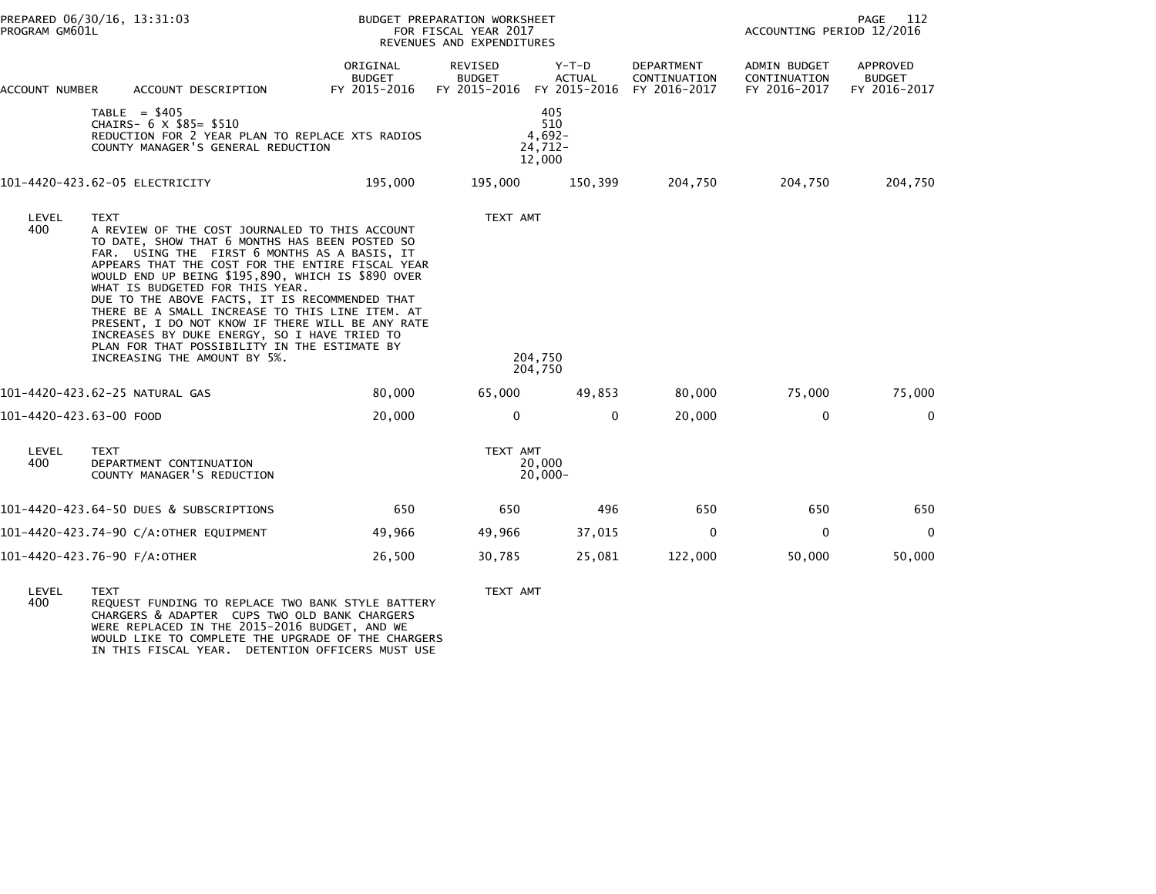| PREPARED 06/30/16, 13:31:03<br>PROGRAM GM601L                        |                                                                                                                                                                                                                                    |                                                                                                                                                                                                                                                                                                                                                                                                                                                                                                                                                                                            |                                                  |                                                                                                                                                                                            | 112<br>PAGE<br>ACCOUNTING PERIOD 12/2016     |                                           |  |  |
|----------------------------------------------------------------------|------------------------------------------------------------------------------------------------------------------------------------------------------------------------------------------------------------------------------------|--------------------------------------------------------------------------------------------------------------------------------------------------------------------------------------------------------------------------------------------------------------------------------------------------------------------------------------------------------------------------------------------------------------------------------------------------------------------------------------------------------------------------------------------------------------------------------------------|--------------------------------------------------|--------------------------------------------------------------------------------------------------------------------------------------------------------------------------------------------|----------------------------------------------|-------------------------------------------|--|--|
| ACCOUNT DESCRIPTION                                                  | ORIGINAL<br><b>BUDGET</b><br>FY 2015-2016                                                                                                                                                                                          | REVISED<br><b>BUDGET</b><br>FY 2015-2016                                                                                                                                                                                                                                                                                                                                                                                                                                                                                                                                                   | Y-T-D<br><b>ACTUAL</b><br>FY 2015-2016           | DEPARTMENT<br>CONTINUATION<br>FY 2016-2017                                                                                                                                                 | ADMIN BUDGET<br>CONTINUATION<br>FY 2016-2017 | APPROVED<br><b>BUDGET</b><br>FY 2016-2017 |  |  |
| TABLE = $$405$<br>CHAIRS- 6 X \$85= \$510                            |                                                                                                                                                                                                                                    |                                                                                                                                                                                                                                                                                                                                                                                                                                                                                                                                                                                            | 405<br>510                                       |                                                                                                                                                                                            |                                              |                                           |  |  |
|                                                                      | 195,000                                                                                                                                                                                                                            | 195,000                                                                                                                                                                                                                                                                                                                                                                                                                                                                                                                                                                                    | 150,399                                          | 204,750                                                                                                                                                                                    | 204,750                                      | 204,750                                   |  |  |
| LEVEL<br><b>TEXT</b><br>400<br>INCREASING THE AMOUNT BY 5%.          |                                                                                                                                                                                                                                    |                                                                                                                                                                                                                                                                                                                                                                                                                                                                                                                                                                                            |                                                  |                                                                                                                                                                                            |                                              |                                           |  |  |
|                                                                      | 80,000                                                                                                                                                                                                                             | 65,000                                                                                                                                                                                                                                                                                                                                                                                                                                                                                                                                                                                     | 49,853                                           | 80,000                                                                                                                                                                                     | 75,000                                       | 75,000                                    |  |  |
|                                                                      | 20,000                                                                                                                                                                                                                             | $\mathbf{0}$                                                                                                                                                                                                                                                                                                                                                                                                                                                                                                                                                                               | $\mathbf{0}$                                     | 20,000                                                                                                                                                                                     | $\mathbf 0$                                  | $\Omega$                                  |  |  |
| <b>TEXT</b><br>DEPARTMENT CONTINUATION<br>COUNTY MANAGER'S REDUCTION |                                                                                                                                                                                                                                    |                                                                                                                                                                                                                                                                                                                                                                                                                                                                                                                                                                                            |                                                  |                                                                                                                                                                                            |                                              |                                           |  |  |
|                                                                      | 650                                                                                                                                                                                                                                | 650                                                                                                                                                                                                                                                                                                                                                                                                                                                                                                                                                                                        | 496                                              | 650                                                                                                                                                                                        | 650                                          | 650                                       |  |  |
|                                                                      | 49,966                                                                                                                                                                                                                             | 49,966                                                                                                                                                                                                                                                                                                                                                                                                                                                                                                                                                                                     | 37,015                                           | $\mathbf 0$                                                                                                                                                                                | $\mathbf 0$                                  | $\overline{0}$                            |  |  |
|                                                                      | 26,500                                                                                                                                                                                                                             | 30,785                                                                                                                                                                                                                                                                                                                                                                                                                                                                                                                                                                                     | 25,081                                           | 122,000                                                                                                                                                                                    | 50,000                                       | 50,000                                    |  |  |
|                                                                      | ACCOUNT NUMBER<br>101-4420-423.62-05 ELECTRICITY<br>101-4420-423.62-25 NATURAL GAS<br>101-4420-423.63-00 FOOD<br>101-4420-423.64-50 DUES & SUBSCRIPTIONS<br>101-4420-423.74-90 C/A:OTHER EQUIPMENT<br>101-4420-423.76-90 F/A:OTHER | REDUCTION FOR 2 YEAR PLAN TO REPLACE XTS RADIOS<br>COUNTY MANAGER'S GENERAL REDUCTION<br>A REVIEW OF THE COST JOURNALED TO THIS ACCOUNT<br>TO DATE, SHOW THAT 6 MONTHS HAS BEEN POSTED SO<br>FAR. USING THE FIRST 6 MONTHS AS A BASIS, IT<br>APPEARS THAT THE COST FOR THE ENTIRE FISCAL YEAR<br>WOULD END UP BEING \$195,890, WHICH IS \$890 OVER<br>WHAT IS BUDGETED FOR THIS YEAR.<br>DUE TO THE ABOVE FACTS, IT IS RECOMMENDED THAT<br>THERE BE A SMALL INCREASE TO THIS LINE ITEM. AT<br>INCREASES BY DUKE ENERGY, SO I HAVE TRIED TO<br>PLAN FOR THAT POSSIBILITY IN THE ESTIMATE BY | PRESENT, I DO NOT KNOW IF THERE WILL BE ANY RATE | BUDGET PREPARATION WORKSHEET<br>FOR FISCAL YEAR 2017<br>REVENUES AND EXPENDITURES<br>$4,692-$<br>$24,712-$<br>12,000<br>TEXT AMT<br>204,750<br>204,750<br>TEXT AMT<br>20,000<br>$20,000 -$ |                                              |                                           |  |  |

LEVEL TEXT TEXT AMT 400 REQUEST FUNDING TO REPLACE TWO BANK STYLE BATTERY CHARGERS & ADAPTER CUPS TWO OLD BANK CHARGERS WERE REPLACED IN THE 2015-2016 BUDGET, AND WE WOULD LIKE TO COMPLETE THE UPGRADE OF THE CHARGERS IN THIS FISCAL YEAR. DETENTION OFFICERS MUST USE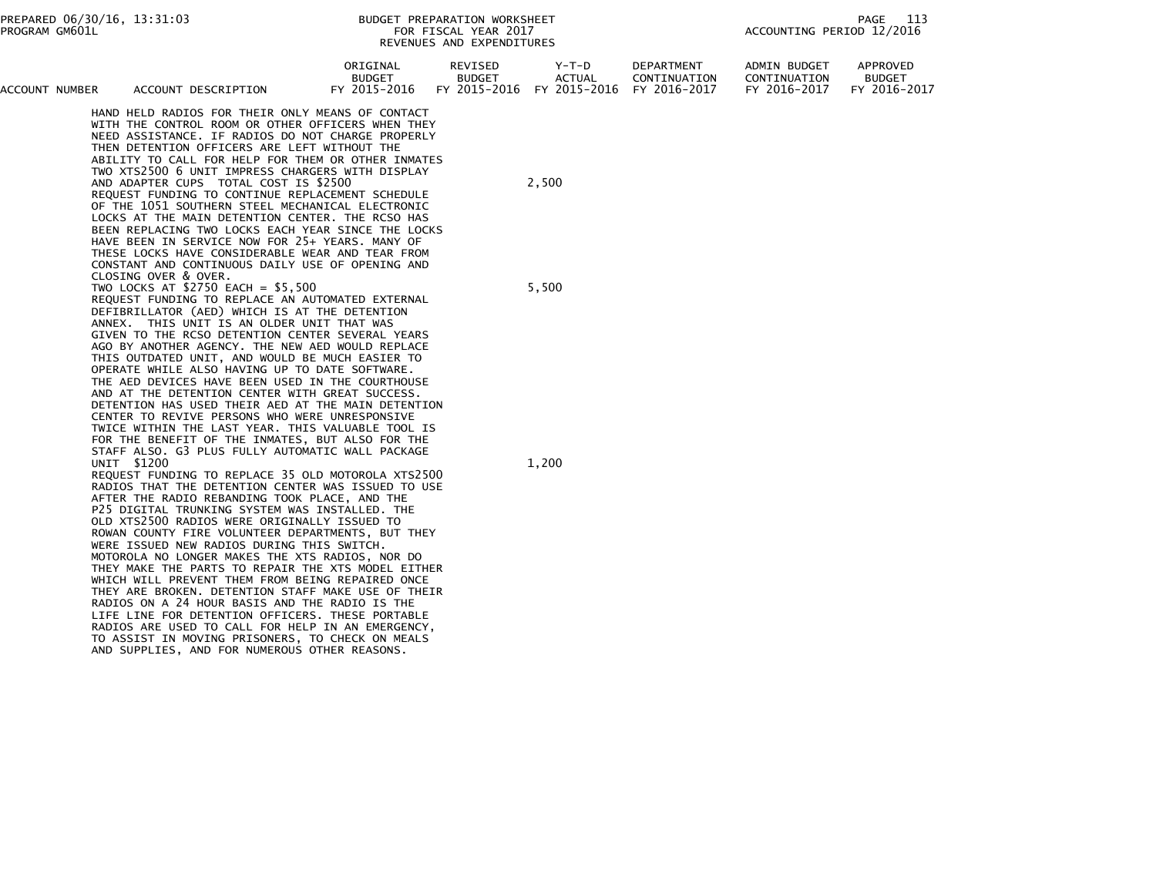| ACCOUNT NUMBER | ACCOUNT DESCRIPTION                                                                                                                                                                                                                                                                                                                                                                                                                                                                                                                                                                                                                                                                                                                                                                                                                                                                                                                                                                                                                                                                                                                                                                                                                                                                                                                                                                                                                                                                                                                                                                                                                                                          | ORIGINAL<br><b>BUDGET</b><br>FY 2015-2016 | REVISED<br><b>BUDGET</b><br>FY 2015-2016 | Y-T-D<br>ACTUAL<br>FY 2015-2016 | DEPARTMENT<br>CONTINUATION<br>FY 2016-2017 | ADMIN BUDGET<br>CONTINUATION<br>FY 2016-2017 | APPROVED<br><b>BUDGET</b><br>FY 2016-2017 |
|----------------|------------------------------------------------------------------------------------------------------------------------------------------------------------------------------------------------------------------------------------------------------------------------------------------------------------------------------------------------------------------------------------------------------------------------------------------------------------------------------------------------------------------------------------------------------------------------------------------------------------------------------------------------------------------------------------------------------------------------------------------------------------------------------------------------------------------------------------------------------------------------------------------------------------------------------------------------------------------------------------------------------------------------------------------------------------------------------------------------------------------------------------------------------------------------------------------------------------------------------------------------------------------------------------------------------------------------------------------------------------------------------------------------------------------------------------------------------------------------------------------------------------------------------------------------------------------------------------------------------------------------------------------------------------------------------|-------------------------------------------|------------------------------------------|---------------------------------|--------------------------------------------|----------------------------------------------|-------------------------------------------|
|                | HAND HELD RADIOS FOR THEIR ONLY MEANS OF CONTACT<br>WITH THE CONTROL ROOM OR OTHER OFFICERS WHEN THEY<br>NEED ASSISTANCE. IF RADIOS DO NOT CHARGE PROPERLY<br>THEN DETENTION OFFICERS ARE LEFT WITHOUT THE<br>ABILITY TO CALL FOR HELP FOR THEM OR OTHER INMATES<br>TWO XTS2500 6 UNIT IMPRESS CHARGERS WITH DISPLAY<br>AND ADAPTER CUPS TOTAL COST IS \$2500<br>REQUEST FUNDING TO CONTINUE REPLACEMENT SCHEDULE<br>OF THE 1051 SOUTHERN STEEL MECHANICAL ELECTRONIC<br>LOCKS AT THE MAIN DETENTION CENTER. THE RCSO HAS<br>BEEN REPLACING TWO LOCKS EACH YEAR SINCE THE LOCKS<br>HAVE BEEN IN SERVICE NOW FOR 25+ YEARS. MANY OF<br>THESE LOCKS HAVE CONSIDERABLE WEAR AND TEAR FROM<br>CONSTANT AND CONTINUOUS DAILY USE OF OPENING AND                                                                                                                                                                                                                                                                                                                                                                                                                                                                                                                                                                                                                                                                                                                                                                                                                                                                                                                                   |                                           |                                          | 2,500                           |                                            |                                              |                                           |
|                | CLOSING OVER & OVER.<br>TWO LOCKS AT $$2750$ EACH = $$5,500$<br>REQUEST FUNDING TO REPLACE AN AUTOMATED EXTERNAL<br>DEFIBRILLATOR (AED) WHICH IS AT THE DETENTION<br>ANNEX. THIS UNIT IS AN OLDER UNIT THAT WAS<br>GIVEN TO THE RCSO DETENTION CENTER SEVERAL YEARS<br>AGO BY ANOTHER AGENCY. THE NEW AED WOULD REPLACE<br>THIS OUTDATED UNIT, AND WOULD BE MUCH EASIER TO<br>OPERATE WHILE ALSO HAVING UP TO DATE SOFTWARE.<br>THE AED DEVICES HAVE BEEN USED IN THE COURTHOUSE<br>AND AT THE DETENTION CENTER WITH GREAT SUCCESS.<br>DETENTION HAS USED THEIR AED AT THE MAIN DETENTION<br>CENTER TO REVIVE PERSONS WHO WERE UNRESPONSIVE<br>TWICE WITHIN THE LAST YEAR. THIS VALUABLE TOOL IS<br>FOR THE BENEFIT OF THE INMATES, BUT ALSO FOR THE<br>STAFF ALSO. G3 PLUS FULLY AUTOMATIC WALL PACKAGE<br>UNIT \$1200<br>REQUEST FUNDING TO REPLACE 35 OLD MOTOROLA XTS2500<br>RADIOS THAT THE DETENTION CENTER WAS ISSUED TO USE<br>AFTER THE RADIO REBANDING TOOK PLACE, AND THE<br>P25 DIGITAL TRUNKING SYSTEM WAS INSTALLED. THE<br>OLD XTS2500 RADIOS WERE ORIGINALLY ISSUED TO<br>ROWAN COUNTY FIRE VOLUNTEER DEPARTMENTS, BUT THEY<br>WERE ISSUED NEW RADIOS DURING THIS SWITCH.<br>MOTOROLA NO LONGER MAKES THE XTS RADIOS, NOR DO<br>THEY MAKE THE PARTS TO REPAIR THE XTS MODEL EITHER<br>WHICH WILL PREVENT THEM FROM BEING REPAIRED ONCE<br>THEY ARE BROKEN. DETENTION STAFF MAKE USE OF THEIR<br>RADIOS ON A 24 HOUR BASIS AND THE RADIO IS THE<br>LIFE LINE FOR DETENTION OFFICERS. THESE PORTABLE<br>RADIOS ARE USED TO CALL FOR HELP IN AN EMERGENCY,<br>TO ASSIST IN MOVING PRISONERS, TO CHECK ON MEALS<br>AND SUPPLIES, AND FOR NUMEROUS OTHER REASONS. |                                           |                                          | 5,500<br>1,200                  |                                            |                                              |                                           |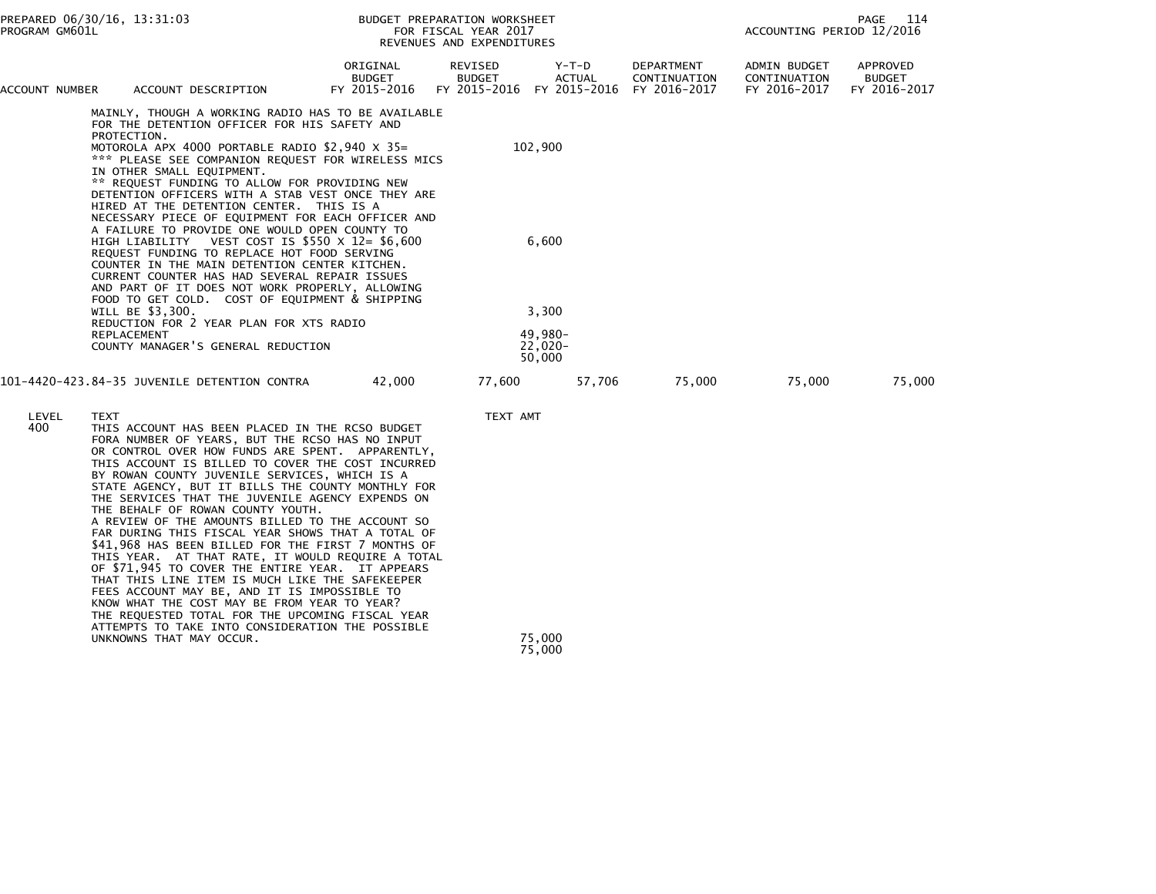| PREPARED 06/30/16, 13:31:03<br>PROGRAM GM601L |             |                                                                                                                                                                                                                                                                                                                                                                                                                                                                                                                                                                                                                                                                                                                                                                                                                                                                                                                                               | BUDGET PREPARATION WORKSHEET<br>FOR FISCAL YEAR 2017<br>REVENUES AND EXPENDITURES |                                                                    |                                         |        | 114<br>PAGE<br>ACCOUNTING PERIOD 12/2016 |                                              |                                           |
|-----------------------------------------------|-------------|-----------------------------------------------------------------------------------------------------------------------------------------------------------------------------------------------------------------------------------------------------------------------------------------------------------------------------------------------------------------------------------------------------------------------------------------------------------------------------------------------------------------------------------------------------------------------------------------------------------------------------------------------------------------------------------------------------------------------------------------------------------------------------------------------------------------------------------------------------------------------------------------------------------------------------------------------|-----------------------------------------------------------------------------------|--------------------------------------------------------------------|-----------------------------------------|--------|------------------------------------------|----------------------------------------------|-------------------------------------------|
| ACCOUNT NUMBER                                |             | ACCOUNT DESCRIPTION                                                                                                                                                                                                                                                                                                                                                                                                                                                                                                                                                                                                                                                                                                                                                                                                                                                                                                                           | ORIGINAL<br><b>BUDGET</b><br>FY 2015-2016                                         | REVISED<br><b>BUDGET</b><br>FY 2015-2016 FY 2015-2016 FY 2016-2017 | Y-T-D<br><b>ACTUAL</b>                  |        | DEPARTMENT<br>CONTINUATION               | ADMIN BUDGET<br>CONTINUATION<br>FY 2016-2017 | APPROVED<br><b>BUDGET</b><br>FY 2016-2017 |
|                                               | PROTECTION. | MAINLY, THOUGH A WORKING RADIO HAS TO BE AVAILABLE<br>FOR THE DETENTION OFFICER FOR HIS SAFETY AND<br>MOTOROLA APX 4000 PORTABLE RADIO $$2,940 \times 35=$<br>*** PLEASE SEE COMPANION REQUEST FOR WIRELESS MICS<br>IN OTHER SMALL EQUIPMENT.<br>** REQUEST FUNDING TO ALLOW FOR PROVIDING NEW<br>DETENTION OFFICERS WITH A STAB VEST ONCE THEY ARE<br>HIRED AT THE DETENTION CENTER. THIS IS A<br>NECESSARY PIECE OF EQUIPMENT FOR EACH OFFICER AND                                                                                                                                                                                                                                                                                                                                                                                                                                                                                          |                                                                                   |                                                                    | 102,900                                 |        |                                          |                                              |                                           |
|                                               |             | A FAILURE TO PROVIDE ONE WOULD OPEN COUNTY TO<br>HIGH LIABILITY VEST COST IS $$550 \times 12 = $6,600$<br>REQUEST FUNDING TO REPLACE HOT FOOD SERVING<br>COUNTER IN THE MAIN DETENTION CENTER KITCHEN.<br>CURRENT COUNTER HAS HAD SEVERAL REPAIR ISSUES<br>AND PART OF IT DOES NOT WORK PROPERLY, ALLOWING<br>FOOD TO GET COLD. COST OF EQUIPMENT & SHIPPING                                                                                                                                                                                                                                                                                                                                                                                                                                                                                                                                                                                  |                                                                                   |                                                                    | 6,600                                   |        |                                          |                                              |                                           |
|                                               | REPLACEMENT | WILL BE \$3,300.<br>REDUCTION FOR 2 YEAR PLAN FOR XTS RADIO<br>COUNTY MANAGER'S GENERAL REDUCTION                                                                                                                                                                                                                                                                                                                                                                                                                                                                                                                                                                                                                                                                                                                                                                                                                                             |                                                                                   |                                                                    | 3,300<br>49,980-<br>$22,020-$<br>50,000 |        |                                          |                                              |                                           |
|                                               |             | 101-4420-423.84-35 JUVENILE DETENTION CONTRA                                                                                                                                                                                                                                                                                                                                                                                                                                                                                                                                                                                                                                                                                                                                                                                                                                                                                                  | 42,000                                                                            | 77,600                                                             |                                         | 57,706 | 75,000                                   | 75,000                                       | 75,000                                    |
| LEVEL<br>400                                  | <b>TEXT</b> | THIS ACCOUNT HAS BEEN PLACED IN THE RCSO BUDGET<br>FORA NUMBER OF YEARS, BUT THE RCSO HAS NO INPUT<br>OR CONTROL OVER HOW FUNDS ARE SPENT. APPARENTLY,<br>THIS ACCOUNT IS BILLED TO COVER THE COST INCURRED<br>BY ROWAN COUNTY JUVENILE SERVICES, WHICH IS A<br>STATE AGENCY, BUT IT BILLS THE COUNTY MONTHLY FOR<br>THE SERVICES THAT THE JUVENILE AGENCY EXPENDS ON<br>THE BEHALF OF ROWAN COUNTY YOUTH.<br>A REVIEW OF THE AMOUNTS BILLED TO THE ACCOUNT SO<br>FAR DURING THIS FISCAL YEAR SHOWS THAT A TOTAL OF<br>\$41,968 HAS BEEN BILLED FOR THE FIRST 7 MONTHS OF<br>THIS YEAR. AT THAT RATE, IT WOULD REQUIRE A TOTAL<br>OF \$71,945 TO COVER THE ENTIRE YEAR. IT APPEARS<br>THAT THIS LINE ITEM IS MUCH LIKE THE SAFEKEEPER<br>FEES ACCOUNT MAY BE, AND IT IS IMPOSSIBLE TO<br>KNOW WHAT THE COST MAY BE FROM YEAR TO YEAR?<br>THE REQUESTED TOTAL FOR THE UPCOMING FISCAL YEAR<br>ATTEMPTS TO TAKE INTO CONSIDERATION THE POSSIBLE |                                                                                   | TEXT AMT                                                           |                                         |        |                                          |                                              |                                           |
|                                               |             | UNKNOWNS THAT MAY OCCUR.                                                                                                                                                                                                                                                                                                                                                                                                                                                                                                                                                                                                                                                                                                                                                                                                                                                                                                                      |                                                                                   |                                                                    | 75,000<br>75,000                        |        |                                          |                                              |                                           |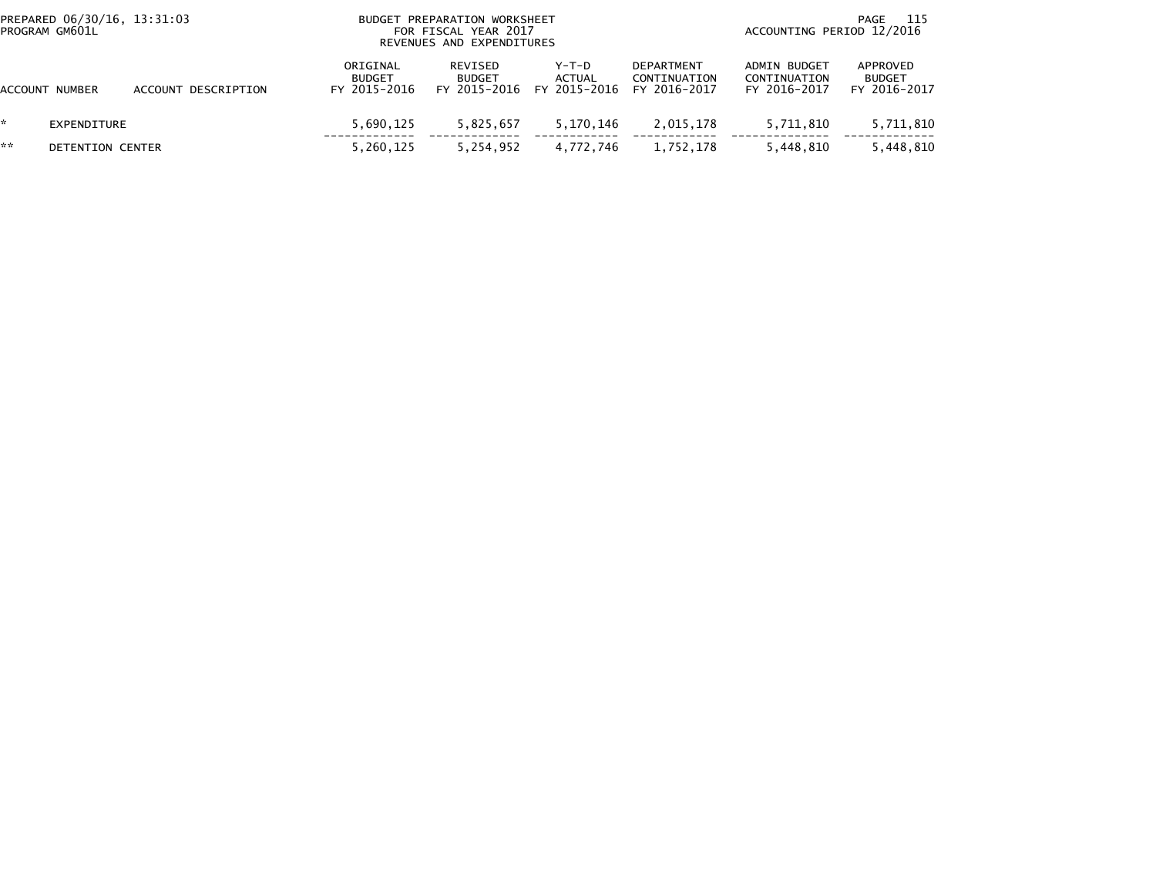|    | PREPARED 06/30/16, 13:31:03<br>PROGRAM GM601L |                     | BUDGET                                    | PREPARATION WORKSHEET<br>FOR FISCAL YEAR 2017<br>REVENUES AND EXPENDITURES |                                   |                                                   | -115<br>PAGE<br>ACCOUNTING PERIOD 12/2016    |                                           |  |  |
|----|-----------------------------------------------|---------------------|-------------------------------------------|----------------------------------------------------------------------------|-----------------------------------|---------------------------------------------------|----------------------------------------------|-------------------------------------------|--|--|
|    | ACCOUNT NUMBER                                | ACCOUNT DESCRIPTION | ORIGINAL<br><b>BUDGET</b><br>FY 2015-2016 | REVISED<br><b>BUDGET</b><br>FY 2015-2016                                   | $Y-T-D$<br>ACTUAL<br>FY 2015-2016 | <b>DEPARTMENT</b><br>CONTINUATION<br>FY 2016-2017 | ADMIN BUDGET<br>CONTINUATION<br>FY 2016-2017 | APPROVED<br><b>BUDGET</b><br>FY 2016-2017 |  |  |
|    | EXPENDITURE                                   |                     | 5,690,125                                 | 5,825,657                                                                  | 5,170,146                         | 2,015,178                                         | 5.711.810                                    | 5,711,810                                 |  |  |
| ** | DETENTION CENTER                              |                     | 5,260,125                                 | 5,254,952                                                                  | 4,772,746                         | 1,752,178                                         | 5,448,810                                    | 5,448,810                                 |  |  |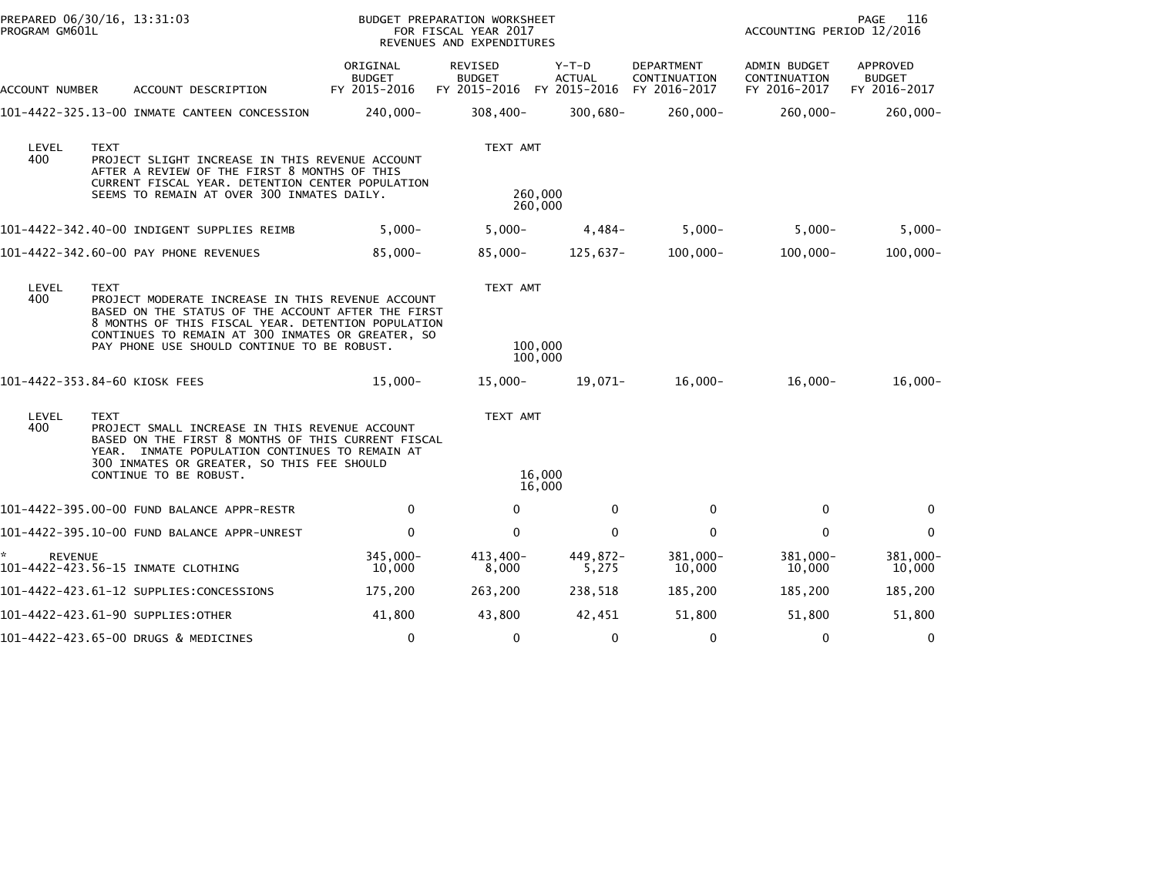| PROGRAM GM601L       | PREPARED 06/30/16, 13:31:03                                                                                                                                                                                                                                                      |                                           | BUDGET PREPARATION WORKSHEET<br>FOR FISCAL YEAR 2017<br>REVENUES AND EXPENDITURES |                                        |                                                   | PAGE<br>116<br>ACCOUNTING PERIOD 12/2016     |                                           |  |  |
|----------------------|----------------------------------------------------------------------------------------------------------------------------------------------------------------------------------------------------------------------------------------------------------------------------------|-------------------------------------------|-----------------------------------------------------------------------------------|----------------------------------------|---------------------------------------------------|----------------------------------------------|-------------------------------------------|--|--|
| ACCOUNT NUMBER       | ACCOUNT DESCRIPTION                                                                                                                                                                                                                                                              | ORIGINAL<br><b>BUDGET</b><br>FY 2015-2016 | <b>REVISED</b><br><b>BUDGET</b><br>FY 2015-2016                                   | Y-T-D<br><b>ACTUAL</b><br>FY 2015-2016 | <b>DEPARTMENT</b><br>CONTINUATION<br>FY 2016-2017 | ADMIN BUDGET<br>CONTINUATION<br>FY 2016-2017 | APPROVED<br><b>BUDGET</b><br>FY 2016-2017 |  |  |
|                      | 101-4422-325.13-00 INMATE CANTEEN CONCESSION                                                                                                                                                                                                                                     | 240,000-                                  | $308,400 -$                                                                       | $300,680 -$                            | 260,000-                                          | $260,000 -$                                  | 260,000-                                  |  |  |
| LEVEL<br>400         | <b>TEXT</b><br>PROJECT SLIGHT INCREASE IN THIS REVENUE ACCOUNT<br>AFTER A REVIEW OF THE FIRST 8 MONTHS OF THIS<br>CURRENT FISCAL YEAR. DETENTION CENTER POPULATION<br>SEEMS TO REMAIN AT OVER 300 INMATES DAILY.                                                                 |                                           | TEXT AMT                                                                          | 260,000<br>260,000                     |                                                   |                                              |                                           |  |  |
|                      | 101-4422-342.40-00 INDIGENT SUPPLIES REIMB                                                                                                                                                                                                                                       | $5,000 -$                                 | $5,000 -$                                                                         | $4,484-$                               | $5,000-$                                          | $5,000 -$                                    | $5,000-$                                  |  |  |
|                      | 101-4422-342.60-00 PAY PHONE REVENUES                                                                                                                                                                                                                                            | $85,000 -$                                | $85,000 -$                                                                        | 125,637-                               | $100,000 -$                                       | $100,000 -$                                  | $100,000 -$                               |  |  |
| LEVEL<br>400         | <b>TEXT</b><br>PROJECT MODERATE INCREASE IN THIS REVENUE ACCOUNT<br>BASED ON THE STATUS OF THE ACCOUNT AFTER THE FIRST<br>8 MONTHS OF THIS FISCAL YEAR. DETENTION POPULATION<br>CONTINUES TO REMAIN AT 300 INMATES OR GREATER, SO<br>PAY PHONE USE SHOULD CONTINUE TO BE ROBUST. |                                           | TEXT AMT                                                                          | 100,000<br>100,000                     |                                                   |                                              |                                           |  |  |
|                      | 101-4422-353.84-60 KIOSK FEES                                                                                                                                                                                                                                                    | $15,000 -$                                | $15,000 -$                                                                        | 19,071-                                | $16,000 -$                                        | $16,000 -$                                   | $16,000-$                                 |  |  |
| LEVEL<br>400         | <b>TEXT</b><br>PROJECT SMALL INCREASE IN THIS REVENUE ACCOUNT<br>BASED ON THE FIRST 8 MONTHS OF THIS CURRENT FISCAL<br>YEAR. INMATE POPULATION CONTINUES TO REMAIN AT<br>300 INMATES OR GREATER, SO THIS FEE SHOULD<br>CONTINUE TO BE ROBUST.                                    |                                           | TEXT AMT                                                                          | 16,000<br>16,000                       |                                                   |                                              |                                           |  |  |
|                      | 101-4422-395.00-00 FUND BALANCE APPR-RESTR                                                                                                                                                                                                                                       | 0                                         | $\mathbf{0}$                                                                      | 0                                      | $\mathbf{0}$                                      | $\mathbf{0}$                                 | $\Omega$                                  |  |  |
|                      | 101-4422-395.10-00 FUND BALANCE APPR-UNREST                                                                                                                                                                                                                                      | $\mathbf 0$                               | $\mathbf{0}$                                                                      | $\mathbf{0}$                           | $\mathbf{0}$                                      | $\Omega$                                     | $\mathbf{0}$                              |  |  |
| *.<br><b>REVENUE</b> | 101-4422-423.56-15 INMATE CLOTHING                                                                                                                                                                                                                                               | 345,000-<br>10,000                        | 413,400-<br>8,000                                                                 | 449,872-<br>5,275                      | 381,000-<br>10,000                                | 381,000-<br>10,000                           | 381,000-<br>10,000                        |  |  |
|                      | 101-4422-423.61-12 SUPPLIES:CONCESSIONS                                                                                                                                                                                                                                          | 175,200                                   | 263,200                                                                           | 238,518                                | 185,200                                           | 185,200                                      | 185,200                                   |  |  |
|                      | 101-4422-423.61-90 SUPPLIES:OTHER                                                                                                                                                                                                                                                | 41,800                                    | 43,800                                                                            | 42,451                                 | 51,800                                            | 51,800                                       | 51,800                                    |  |  |
|                      | 101-4422-423.65-00 DRUGS & MEDICINES                                                                                                                                                                                                                                             | 0                                         | 0                                                                                 | 0                                      | 0                                                 | 0                                            | 0                                         |  |  |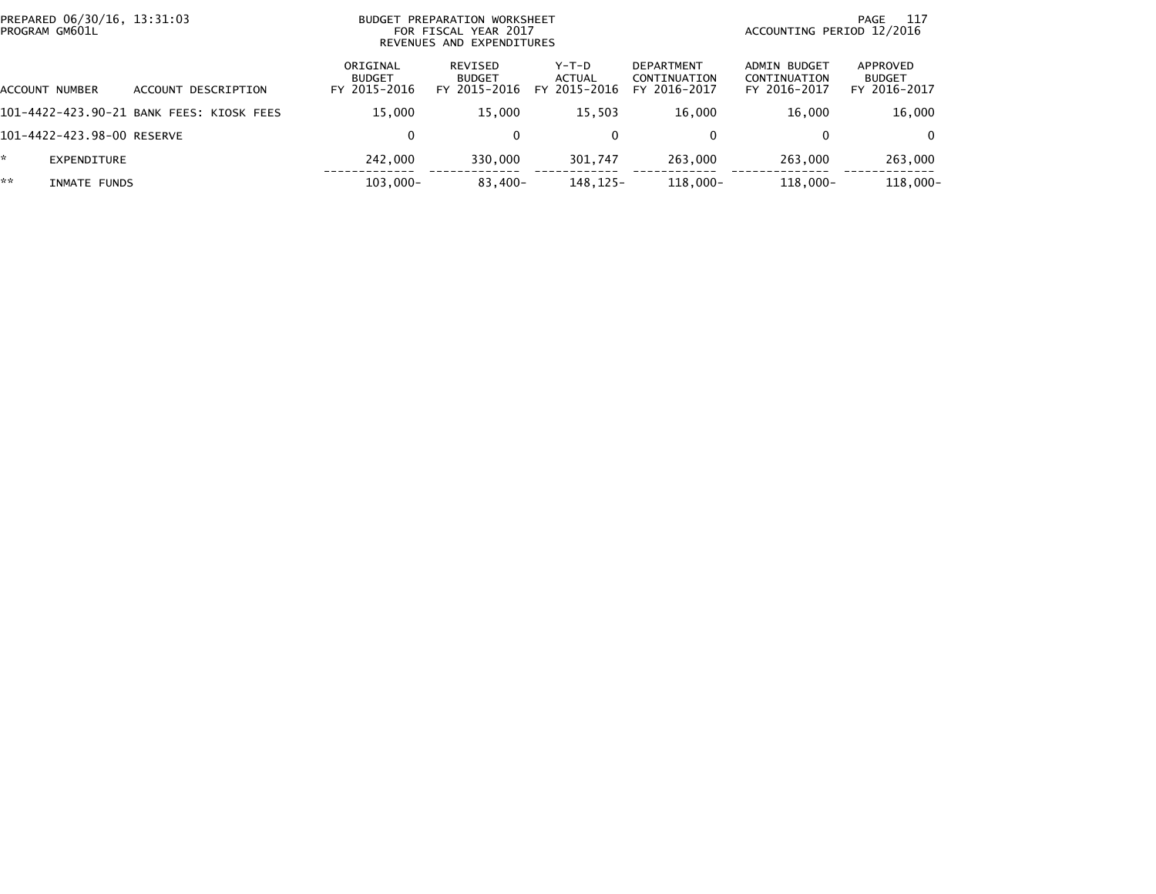| PREPARED 06/30/16, 13:31:03<br>PROGRAM GM601L |                                          |                                           | BUDGET PREPARATION WORKSHEET<br>FOR FISCAL YEAR 2017<br>REVENUES AND EXPENDITURES |                                   |                                            |                                              | -117<br>PAGE<br>ACCOUNTING PERIOD 12/2016 |  |
|-----------------------------------------------|------------------------------------------|-------------------------------------------|-----------------------------------------------------------------------------------|-----------------------------------|--------------------------------------------|----------------------------------------------|-------------------------------------------|--|
| ACCOUNT NUMBER                                | ACCOUNT DESCRIPTION                      | ORIGINAL<br><b>BUDGET</b><br>FY 2015-2016 | REVISED<br><b>BUDGET</b><br>FY 2015-2016                                          | $Y-T-D$<br>ACTUAL<br>FY 2015-2016 | DEPARTMENT<br>CONTINUATION<br>FY 2016-2017 | ADMIN BUDGET<br>CONTINUATION<br>FY 2016-2017 | APPROVED<br><b>BUDGET</b><br>FY 2016-2017 |  |
|                                               | 101-4422-423.90-21 BANK FEES: KIOSK FEES | 15.000                                    | 15.000                                                                            | 15.503                            | 16.000                                     | 16.000                                       | 16,000                                    |  |
| 101-4422-423.98-00 RESERVE                    |                                          | 0                                         | $\Omega$                                                                          | $\Omega$                          | 0                                          | 0                                            | $\Omega$                                  |  |
| *<br>EXPENDITURE                              |                                          | 242,000                                   | 330,000                                                                           | 301,747                           | 263.000                                    | 263,000                                      | 263,000                                   |  |
| **<br>INMATE FUNDS                            |                                          | $103,000 -$                               | $83,400-$                                                                         | 148, 125-                         | 118,000-                                   | $118,000 -$                                  | 118,000-                                  |  |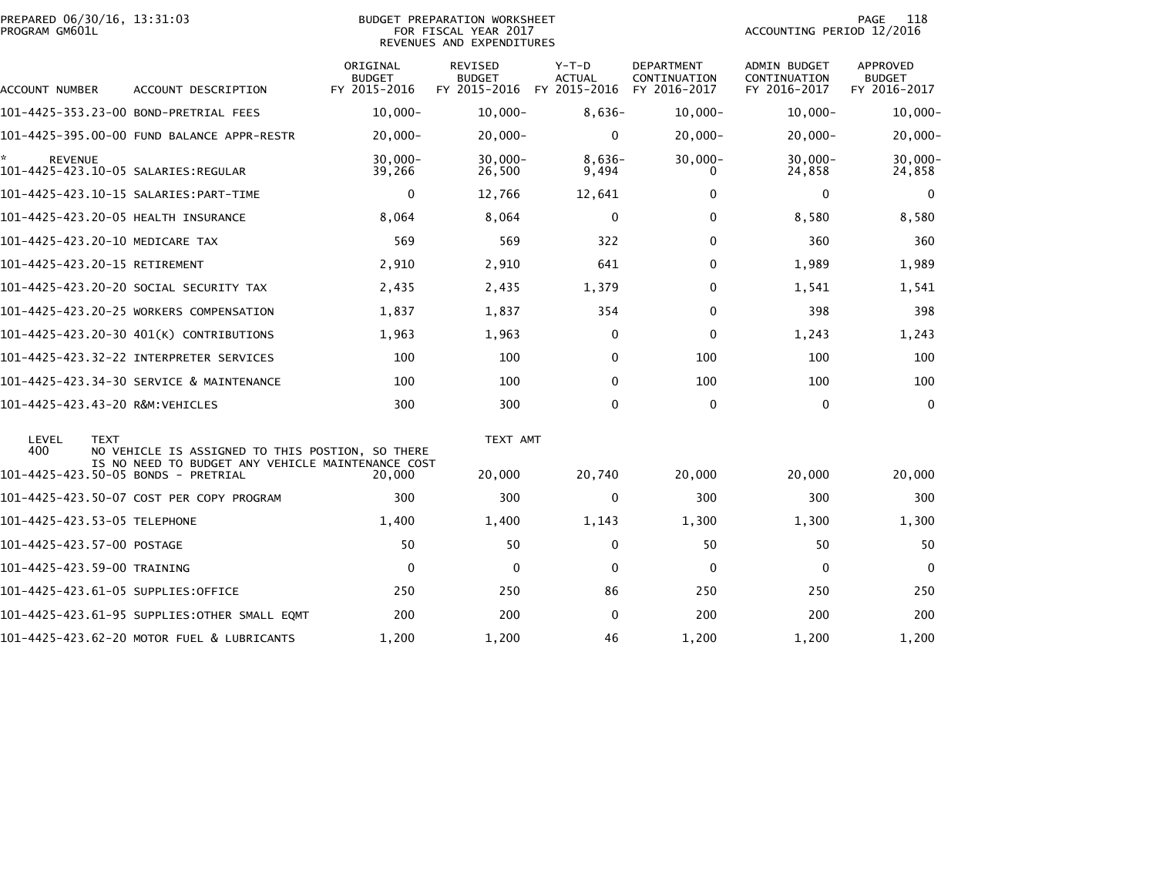| PREPARED 06/30/16, 13:31:03<br>PROGRAM GM601L |             |                                                   |                                           | <b>BUDGET PREPARATION WORKSHEET</b><br>FOR FISCAL YEAR 2017<br>REVENUES AND EXPENDITURES | 118<br>PAGE<br>ACCOUNTING PERIOD 12/2016 |                                                   |                                                     |                                                  |
|-----------------------------------------------|-------------|---------------------------------------------------|-------------------------------------------|------------------------------------------------------------------------------------------|------------------------------------------|---------------------------------------------------|-----------------------------------------------------|--------------------------------------------------|
| ACCOUNT NUMBER                                |             | ACCOUNT DESCRIPTION                               | ORIGINAL<br><b>BUDGET</b><br>FY 2015-2016 | REVISED<br><b>BUDGET</b><br>FY 2015-2016                                                 | $Y-T-D$<br><b>ACTUAL</b><br>FY 2015-2016 | <b>DEPARTMENT</b><br>CONTINUATION<br>FY 2016-2017 | <b>ADMIN BUDGET</b><br>CONTINUATION<br>FY 2016-2017 | <b>APPROVED</b><br><b>BUDGET</b><br>FY 2016-2017 |
| 101-4425-353.23-00 BOND-PRETRIAL FEES         |             |                                                   | $10,000 -$                                | $10,000 -$                                                                               | $8,636-$                                 | $10,000 -$                                        | $10,000 -$                                          | $10,000 -$                                       |
|                                               |             | 101-4425-395.00-00 FUND BALANCE APPR-RESTR        | $20,000 -$                                | 20,000-                                                                                  | 0                                        | $20,000 -$                                        | 20,000-                                             | $20,000 -$                                       |
| <b>REVENUE</b>                                |             |                                                   | $30,000 -$<br>39,266                      | $30.000 -$<br>26,500                                                                     | $8.636-$<br>9,494                        | $30,000 -$<br>0                                   | $30,000 -$<br>24,858                                | $30,000 -$<br>24,858                             |
|                                               |             |                                                   | $\mathbf{0}$                              | 12,766                                                                                   | 12,641                                   | $\mathbf{0}$                                      | $\Omega$                                            | 0                                                |
| 101-4425-423.20-05 HEALTH INSURANCE           |             |                                                   | 8,064                                     | 8,064                                                                                    | 0                                        | 0                                                 | 8,580                                               | 8,580                                            |
| 101-4425-423.20-10 MEDICARE TAX               |             |                                                   | 569                                       | 569                                                                                      | 322                                      | $\mathbf{0}$                                      | 360                                                 | 360                                              |
| 101-4425-423.20-15 RETIREMENT                 |             |                                                   | 2,910                                     | 2,910                                                                                    | 641                                      | 0                                                 | 1,989                                               | 1,989                                            |
| 101-4425-423.20-20 SOCIAL SECURITY TAX        |             |                                                   | 2,435                                     | 2,435                                                                                    | 1,379                                    | $\mathbf{0}$                                      | 1,541                                               | 1,541                                            |
|                                               |             | 101-4425-423.20-25 WORKERS COMPENSATION           | 1,837                                     | 1,837                                                                                    | 354                                      | 0                                                 | 398                                                 | 398                                              |
|                                               |             | 101-4425-423.20-30 401(K) CONTRIBUTIONS           | 1,963                                     | 1,963                                                                                    | 0                                        | $\mathbf 0$                                       | 1,243                                               | 1,243                                            |
|                                               |             |                                                   | 100                                       | 100                                                                                      | $\Omega$                                 | 100                                               | 100                                                 | 100                                              |
|                                               |             | 101-4425-423.34-30 SERVICE & MAINTENANCE          | 100                                       | 100                                                                                      | $\Omega$                                 | 100                                               | 100                                                 | 100                                              |
| 101-4425-423.43-20 R&M:VEHICLES               |             |                                                   | 300                                       | 300                                                                                      | $\mathbf{0}$                             | $\Omega$                                          | $\Omega$                                            | $\Omega$                                         |
| LEVEL<br>400                                  | <b>TEXT</b> | NO VEHICLE IS ASSIGNED TO THIS POSTION, SO THERE  |                                           | TEXT AMT                                                                                 |                                          |                                                   |                                                     |                                                  |
| 101-4425-423.50-05 BONDS - PRETRIAL           |             | IS NO NEED TO BUDGET ANY VEHICLE MAINTENANCE COST | 20,000                                    | 20,000                                                                                   | 20,740                                   | 20,000                                            | 20,000                                              | 20,000                                           |
|                                               |             | 101-4425-423.50-07 COST PER COPY PROGRAM          | 300                                       | 300                                                                                      | $\Omega$                                 | 300                                               | 300                                                 | 300                                              |
| 101-4425-423.53-05 TELEPHONE                  |             |                                                   | 1,400                                     | 1,400                                                                                    | 1,143                                    | 1,300                                             | 1,300                                               | 1,300                                            |
| 101-4425-423.57-00 POSTAGE                    |             |                                                   | 50                                        | 50                                                                                       | $\mathbf 0$                              | 50                                                | 50                                                  | 50                                               |
| 101-4425-423.59-00 TRAINING                   |             |                                                   | $\mathbf 0$                               | $\mathbf{0}$                                                                             | $\mathbf{0}$                             | 0                                                 | $\Omega$                                            | $\Omega$                                         |
| 101-4425-423.61-05 SUPPLIES:OFFICE            |             |                                                   | 250                                       | 250                                                                                      | 86                                       | 250                                               | 250                                                 | 250                                              |
|                                               |             | 101-4425-423.61-95 SUPPLIES: OTHER SMALL EQMT     | 200                                       | 200                                                                                      | $\Omega$                                 | 200                                               | 200                                                 | 200                                              |
|                                               |             | 101-4425-423.62-20 MOTOR FUEL & LUBRICANTS        | 1,200                                     | 1,200                                                                                    | 46                                       | 1,200                                             | 1,200                                               | 1,200                                            |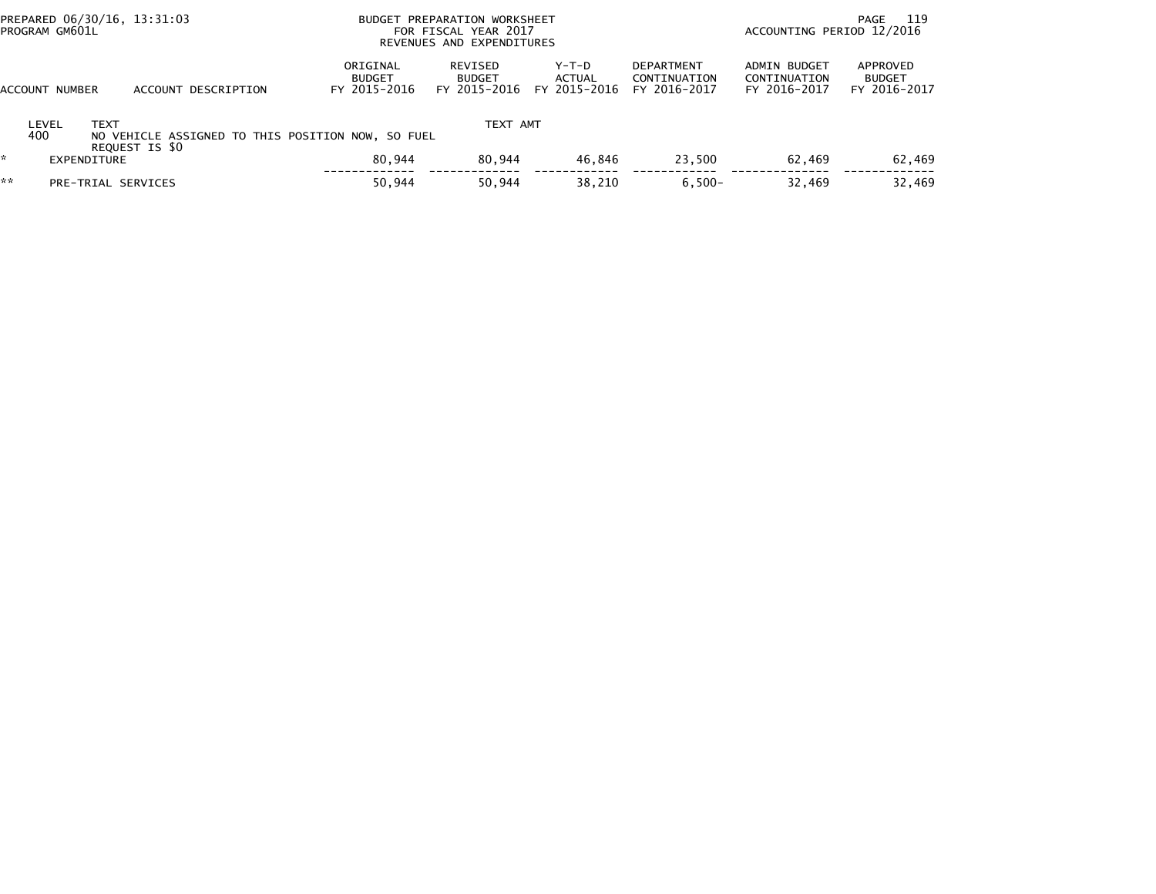| PROGRAM GM601L<br>FOR FISCAL YEAR 2017<br>REVENUES AND EXPENDITURES                                                                                                                                                         | - 119<br>PAGE<br>ACCOUNTING PERIOD 12/2016   |                                           |
|-----------------------------------------------------------------------------------------------------------------------------------------------------------------------------------------------------------------------------|----------------------------------------------|-------------------------------------------|
| ORIGINAL<br>$Y-T-D$<br><b>DEPARTMENT</b><br>REVISED<br>ACTUAL<br><b>BUDGET</b><br><b>BUDGET</b><br>CONTINUATION<br>FY 2015-2016<br>FY 2015-2016<br>FY 2015-2016<br>FY 2016-2017<br>ACCOUNT NUMBER<br>DESCRIPTION<br>ACCOUNT | ADMIN BUDGET<br>CONTINUATION<br>FY 2016-2017 | APPROVED<br><b>BUDGET</b><br>FY 2016-2017 |
| TEXT AMT<br><b>TEXT</b><br>LEVEL<br>400<br>NO VEHICLE ASSIGNED TO THIS POSITION NOW, SO FUEL<br>REQUEST IS \$0                                                                                                              |                                              |                                           |
| 80.944<br>46.846<br>80.944<br>23.500<br>EXPENDITURE                                                                                                                                                                         | 62.469                                       | 62,469                                    |
| **<br>50,944<br>$6,500-$<br>38,210<br>50,944<br>PRE-TRIAL SERVICES                                                                                                                                                          | 32,469                                       | 32,469                                    |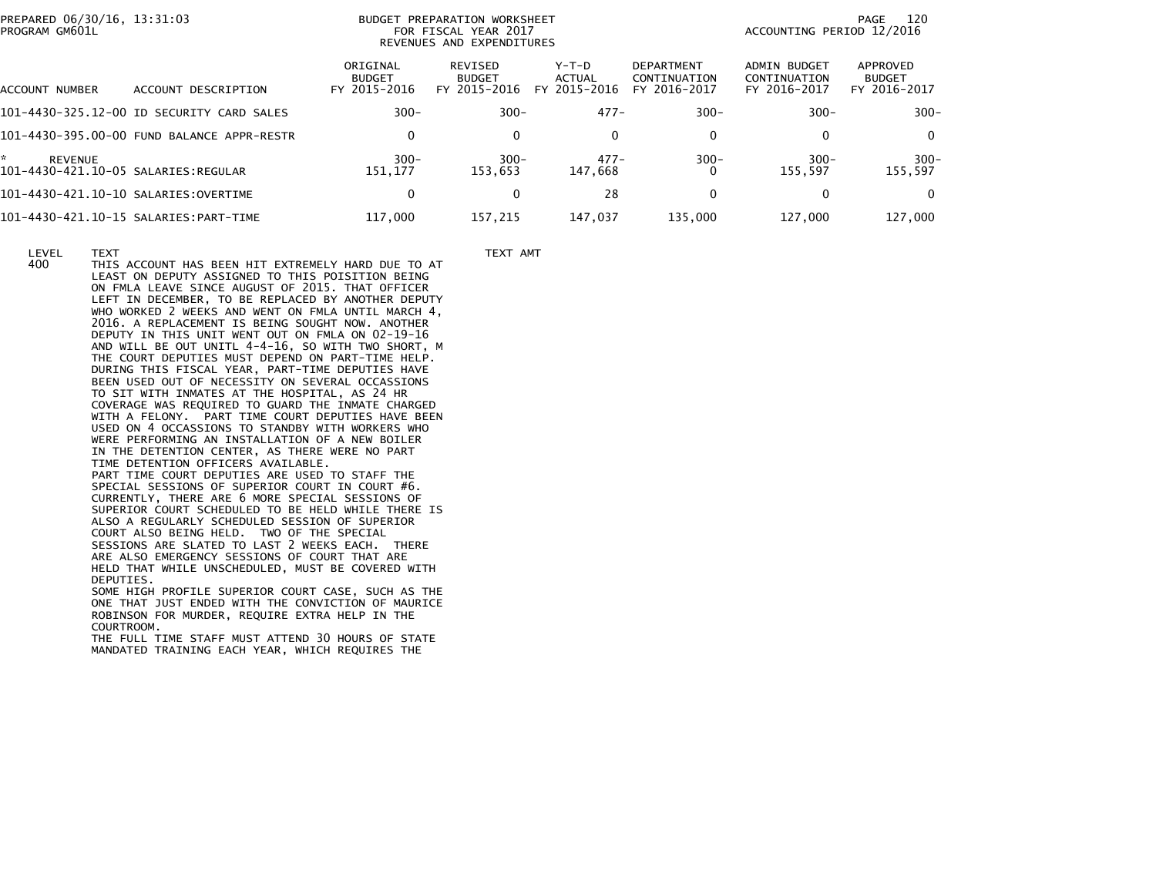|                | PREPARED 06/30/16, 13:31:03 |  |
|----------------|-----------------------------|--|
| PROGRAM GM601L |                             |  |

## PREPARED 120 BUDGET PREPARATION WORKSHEET ALL CONTROLLER STATES AND RELEASE TO DESCRIPTION OF PAGE 120 PROGRAM GM601L FOR FISCAL YEAR 2017 ACCOUNTING PERIOD 12/2016REVENUES AND EXPENDITURES

|                      |                                            | ORIGINAL<br><b>BUDGET</b> | REVISED<br><b>BUDGET</b> | $Y-T-D$<br><b>ACTUAL</b> | DEPARTMENT<br>CONTINUATION | ADMIN BUDGET<br>CONTINUATION | APPROVED<br><b>BUDGET</b> |
|----------------------|--------------------------------------------|---------------------------|--------------------------|--------------------------|----------------------------|------------------------------|---------------------------|
| ACCOUNT NUMBER       | DESCRIPTION<br>ACCOUNT                     | FY 2015-2016              | FY 2015-2016             | 2015-2016<br><b>FY</b>   | FY 2016-2017               | FY 2016-2017                 | FY 2016-2017              |
|                      | 101-4430-325.12-00 ID SECURITY CARD SALES  | $300 -$                   | $300 -$                  | $477-$                   | $300 -$                    | $300 -$                      | $300 -$                   |
|                      | 101-4430-395.00-00 FUND BALANCE APPR-RESTR | $\Omega$                  | 0                        | $\mathbf{0}$             | $\Omega$                   | 0                            | 0                         |
| *.<br><b>REVENUE</b> |                                            | $300 -$<br>151.177        | $300 -$<br>153.653       | $477-$<br>147.668        | $300 -$<br>0               | $300 -$<br>155.597           | $300 -$<br>155,597        |
|                      |                                            | $\Omega$                  | 0                        | 28                       | 0                          |                              | 0                         |
|                      |                                            | 117,000                   | 157.215                  | 147.037                  | 135,000                    | 127,000                      | 127,000                   |

LEVEL TEXT TEXT AMT

 400 THIS ACCOUNT HAS BEEN HIT EXTREMELY HARD DUE TO AT LEAST ON DEPUTY ASSIGNED TO THIS POISITION BEING ON FMLA LEAVE SINCE AUGUST OF 2015. THAT OFFICER LEFT IN DECEMBER, TO BE REPLACED BY ANOTHER DEPUTY WHO WORKED 2 WEEKS AND WENT ON FMLA UNTIL MARCH 4, 2016. A REPLACEMENT IS BEING SOUGHT NOW. ANOTHER DEPUTY IN THIS UNIT WENT OUT ON FMLA ON 02-19-16 AND WILL BE OUT UNITL 4-4-16, SO WITH TWO SHORT, M THE COURT DEPUTIES MUST DEPEND ON PART-TIME HELP. DURING THIS FISCAL YEAR, PART-TIME DEPUTIES HAVE BEEN USED OUT OF NECESSITY ON SEVERAL OCCASSIONS TO SIT WITH INMATES AT THE HOSPITAL, AS 24 HR COVERAGE WAS REQUIRED TO GUARD THE INMATE CHARGED WITH A FELONY. PART TIME COURT DEPUTIES HAVE BEEN USED ON 4 OCCASSIONS TO STANDBY WITH WORKERS WHO WERE PERFORMING AN INSTALLATION OF A NEW BOILER IN THE DETENTION CENTER, AS THERE WERE NO PART TIME DETENTION OFFICERS AVAILABLE. PART TIME COURT DEPUTIES ARE USED TO STAFF THE SPECIAL SESSIONS OF SUPERIOR COURT IN COURT #6. CURRENTLY, THERE ARE 6 MORE SPECIAL SESSIONS OF SUPERIOR COURT SCHEDULED TO BE HELD WHILE THERE IS ALSO A REGULARLY SCHEDULED SESSION OF SUPERIOR COURT ALSO BEING HELD. TWO OF THE SPECIAL SESSIONS ARE SLATED TO LAST 2 WEEKS EACH. THERE ARE ALSO EMERGENCY SESSIONS OF COURT THAT ARE HELD THAT WHILE UNSCHEDULED, MUST BE COVERED WITH DEPUTIES. SOME HIGH PROFILE SUPERIOR COURT CASE, SUCH AS THE ONE THAT JUST ENDED WITH THE CONVICTION OF MAURICEROBINSON FOR MURDER, REQUIRE EXTRA HELP IN THE

 COURTROOM. THE FULL TIME STAFF MUST ATTEND 30 HOURS OF STATEMANDATED TRAINING EACH YEAR, WHICH REQUIRES THE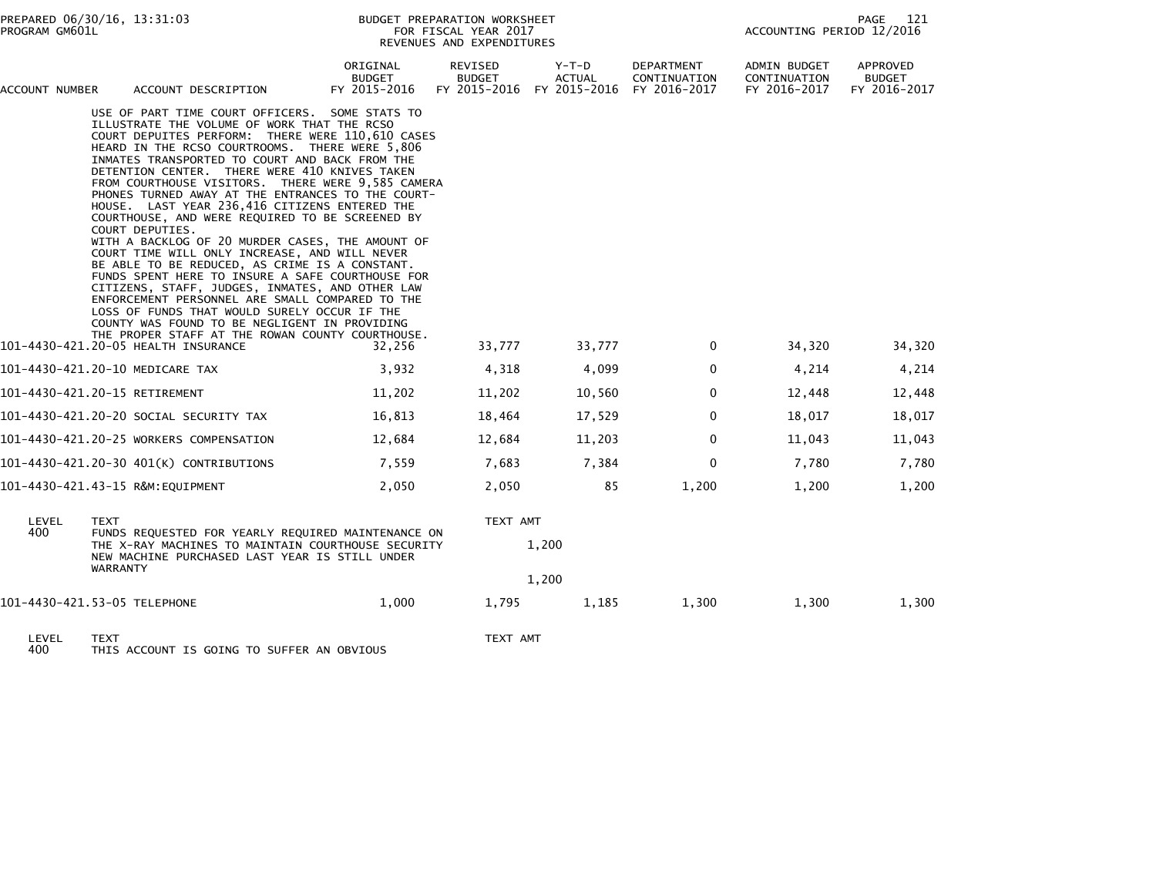| PREPARED 06/30/16, 13:31:03<br>PROGRAM GM601L |                                                                                                                                                                                                                                                                                                                                                                                                                                                                                                                                                                                                                                                                                                                                                                                                                                                                                                                                                                                                                                                      |                                    | BUDGET PREPARATION WORKSHEET<br>FOR FISCAL YEAR 2017<br>REVENUES AND EXPENDITURES | PAGE<br>121<br>ACCOUNTING PERIOD 12/2016                  |                            |                                              |                                           |
|-----------------------------------------------|------------------------------------------------------------------------------------------------------------------------------------------------------------------------------------------------------------------------------------------------------------------------------------------------------------------------------------------------------------------------------------------------------------------------------------------------------------------------------------------------------------------------------------------------------------------------------------------------------------------------------------------------------------------------------------------------------------------------------------------------------------------------------------------------------------------------------------------------------------------------------------------------------------------------------------------------------------------------------------------------------------------------------------------------------|------------------------------------|-----------------------------------------------------------------------------------|-----------------------------------------------------------|----------------------------|----------------------------------------------|-------------------------------------------|
| ACCOUNT NUMBER                                | ACCOUNT DESCRIPTION                                                                                                                                                                                                                                                                                                                                                                                                                                                                                                                                                                                                                                                                                                                                                                                                                                                                                                                                                                                                                                  | ORIGINAL<br>BUDGET<br>FY 2015-2016 | REVISED<br><b>BUDGET</b>                                                          | Y-T-D<br>ACTUAL<br>FY 2015-2016 FY 2015-2016 FY 2016-2017 | DEPARTMENT<br>CONTINUATION | ADMIN BUDGET<br>CONTINUATION<br>FY 2016-2017 | APPROVED<br><b>BUDGET</b><br>FY 2016-2017 |
|                                               | USE OF PART TIME COURT OFFICERS. SOME STATS TO<br>ILLUSTRATE THE VOLUME OF WORK THAT THE RCSO<br>COURT DEPUITES PERFORM: THERE WERE 110,610 CASES<br>HEARD IN THE RCSO COURTROOMS. THERE WERE 5,806<br>INMATES TRANSPORTED TO COURT AND BACK FROM THE<br>DETENTION CENTER. THERE WERE 410 KNIVES TAKEN<br>FROM COURTHOUSE VISITORS. THERE WERE 9,585 CAMERA<br>PHONES TURNED AWAY AT THE ENTRANCES TO THE COURT-<br>HOUSE. LAST YEAR 236,416 CITIZENS ENTERED THE<br>COURTHOUSE, AND WERE REQUIRED TO BE SCREENED BY<br>COURT DEPUTIES.<br>WITH A BACKLOG OF 20 MURDER CASES, THE AMOUNT OF<br>COURT TIME WILL ONLY INCREASE, AND WILL NEVER<br>BE ABLE TO BE REDUCED, AS CRIME IS A CONSTANT.<br>FUNDS SPENT HERE TO INSURE A SAFE COURTHOUSE FOR<br>CITIZENS, STAFF, JUDGES, INMATES, AND OTHER LAW<br>ENFORCEMENT PERSONNEL ARE SMALL COMPARED TO THE<br>LOSS OF FUNDS THAT WOULD SURELY OCCUR IF THE<br>COUNTY WAS FOUND TO BE NEGLIGENT IN PROVIDING<br>THE PROPER STAFF AT THE ROWAN COUNTY COURTHOUSE.<br>101-4430-421.20-05 HEALTH INSURANCE | 32,256                             | 33,777                                                                            | 33,777                                                    | 0                          | 34,320                                       | 34,320                                    |
|                                               | 101-4430-421.20-10 MEDICARE TAX                                                                                                                                                                                                                                                                                                                                                                                                                                                                                                                                                                                                                                                                                                                                                                                                                                                                                                                                                                                                                      | 3,932                              | 4,318                                                                             | 4,099                                                     | $\mathbf 0$                | 4,214                                        | 4,214                                     |
|                                               | 101-4430-421.20-15 RETIREMENT                                                                                                                                                                                                                                                                                                                                                                                                                                                                                                                                                                                                                                                                                                                                                                                                                                                                                                                                                                                                                        | 11,202                             | 11,202                                                                            | 10,560                                                    | 0                          | 12,448                                       | 12,448                                    |
|                                               |                                                                                                                                                                                                                                                                                                                                                                                                                                                                                                                                                                                                                                                                                                                                                                                                                                                                                                                                                                                                                                                      |                                    |                                                                                   |                                                           |                            |                                              |                                           |
|                                               | 101–4430–421.20–20 SOCIAL SECURITY TAX                                                                                                                                                                                                                                                                                                                                                                                                                                                                                                                                                                                                                                                                                                                                                                                                                                                                                                                                                                                                               | 16,813                             | 18,464                                                                            | 17,529                                                    | $\mathbf{0}$               | 18,017                                       | 18,017                                    |
|                                               | 101-4430-421.20-25 WORKERS COMPENSATION                                                                                                                                                                                                                                                                                                                                                                                                                                                                                                                                                                                                                                                                                                                                                                                                                                                                                                                                                                                                              | 12,684                             | 12,684                                                                            | 11,203                                                    | $\mathbf 0$                | 11,043                                       | 11,043                                    |
|                                               | 101-4430-421.20-30 401(K) CONTRIBUTIONS                                                                                                                                                                                                                                                                                                                                                                                                                                                                                                                                                                                                                                                                                                                                                                                                                                                                                                                                                                                                              | 7,559                              | 7,683                                                                             | 7,384                                                     | $\mathbf 0$                | 7,780                                        | 7,780                                     |
|                                               | 101-4430-421.43-15 R&M:EQUIPMENT                                                                                                                                                                                                                                                                                                                                                                                                                                                                                                                                                                                                                                                                                                                                                                                                                                                                                                                                                                                                                     | 2,050                              | 2,050                                                                             | 85                                                        | 1,200                      | 1,200                                        | 1,200                                     |
| LEVEL<br>400                                  | <b>TEXT</b><br>FUNDS REQUESTED FOR YEARLY REQUIRED MAINTENANCE ON                                                                                                                                                                                                                                                                                                                                                                                                                                                                                                                                                                                                                                                                                                                                                                                                                                                                                                                                                                                    |                                    |                                                                                   | TEXT AMT                                                  |                            |                                              |                                           |
|                                               | THE X-RAY MACHINES TO MAINTAIN COURTHOUSE SECURITY<br>NEW MACHINE PURCHASED LAST YEAR IS STILL UNDER<br><b>WARRANTY</b>                                                                                                                                                                                                                                                                                                                                                                                                                                                                                                                                                                                                                                                                                                                                                                                                                                                                                                                              |                                    |                                                                                   | 1,200                                                     |                            |                                              |                                           |
|                                               |                                                                                                                                                                                                                                                                                                                                                                                                                                                                                                                                                                                                                                                                                                                                                                                                                                                                                                                                                                                                                                                      |                                    |                                                                                   | 1,200                                                     |                            |                                              |                                           |
|                                               | 101-4430-421.53-05 TELEPHONE                                                                                                                                                                                                                                                                                                                                                                                                                                                                                                                                                                                                                                                                                                                                                                                                                                                                                                                                                                                                                         | 1,000                              | 1,795                                                                             | 1,185                                                     | 1,300                      | 1,300                                        | 1,300                                     |
| $L$ $E$ $V$ $E$ $L$                           | <b>TEVT</b>                                                                                                                                                                                                                                                                                                                                                                                                                                                                                                                                                                                                                                                                                                                                                                                                                                                                                                                                                                                                                                          |                                    | TEVT AMT                                                                          |                                                           |                            |                                              |                                           |

LEVEL TEXT TEXT AMT 400 THIS ACCOUNT IS GOING TO SUFFER AN OBVIOUS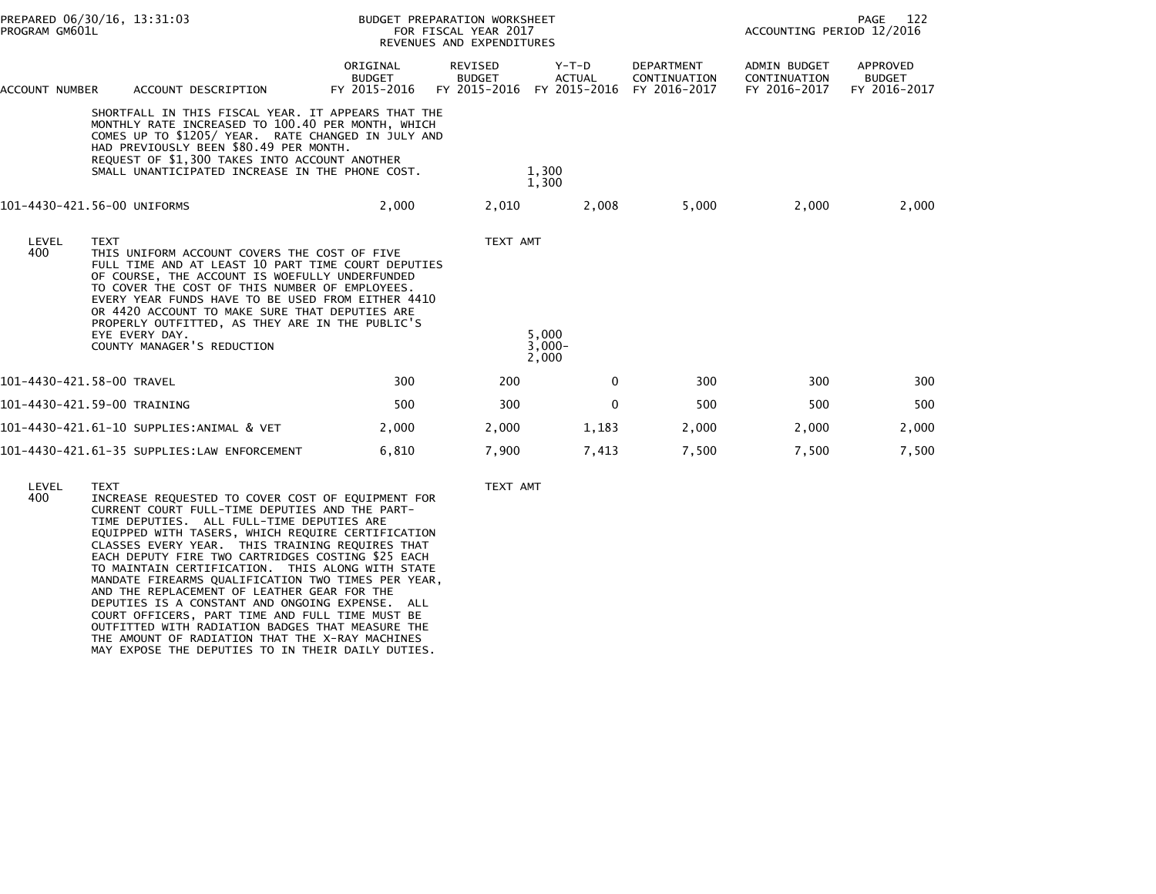| PREPARED 06/30/16, 13:31:03<br>PROGRAM GM601L |                                                                                                                                                                                                                                                                                                                                                                                                                                 |                                           | BUDGET PREPARATION WORKSHEET<br>FOR FISCAL YEAR 2017<br>REVENUES AND EXPENDITURES |                                                       |                                            | 122<br>PAGE<br>ACCOUNTING PERIOD 12/2016            |                                           |  |
|-----------------------------------------------|---------------------------------------------------------------------------------------------------------------------------------------------------------------------------------------------------------------------------------------------------------------------------------------------------------------------------------------------------------------------------------------------------------------------------------|-------------------------------------------|-----------------------------------------------------------------------------------|-------------------------------------------------------|--------------------------------------------|-----------------------------------------------------|-------------------------------------------|--|
| ACCOUNT NUMBER                                | ACCOUNT DESCRIPTION                                                                                                                                                                                                                                                                                                                                                                                                             | ORIGINAL<br><b>BUDGET</b><br>FY 2015-2016 | REVISED<br><b>BUDGET</b>                                                          | $Y-T-D$<br><b>ACTUAL</b><br>FY 2015-2016 FY 2015-2016 | DEPARTMENT<br>CONTINUATION<br>FY 2016-2017 | <b>ADMIN BUDGET</b><br>CONTINUATION<br>FY 2016-2017 | APPROVED<br><b>BUDGET</b><br>FY 2016-2017 |  |
|                                               | SHORTFALL IN THIS FISCAL YEAR. IT APPEARS THAT THE<br>MONTHLY RATE INCREASED TO 100.40 PER MONTH, WHICH<br>COMES UP TO \$1205/ YEAR. RATE CHANGED IN JULY AND<br>HAD PREVIOUSLY BEEN \$80.49 PER MONTH.<br>REQUEST OF \$1,300 TAKES INTO ACCOUNT ANOTHER<br>SMALL UNANTICIPATED INCREASE IN THE PHONE COST.                                                                                                                     |                                           |                                                                                   | 1.300<br>1,300                                        |                                            |                                                     |                                           |  |
|                                               | 101-4430-421.56-00 UNIFORMS                                                                                                                                                                                                                                                                                                                                                                                                     | 2,000                                     | 2,010                                                                             | 2,008                                                 | 5,000                                      | 2,000                                               | 2,000                                     |  |
| LEVEL<br>400                                  | <b>TEXT</b><br>THIS UNIFORM ACCOUNT COVERS THE COST OF FIVE<br>FULL TIME AND AT LEAST 10 PART TIME COURT DEPUTIES<br>OF COURSE, THE ACCOUNT IS WOEFULLY UNDERFUNDED<br>TO COVER THE COST OF THIS NUMBER OF EMPLOYEES.<br>EVERY YEAR FUNDS HAVE TO BE USED FROM EITHER 4410<br>OR 4420 ACCOUNT TO MAKE SURE THAT DEPUTIES ARE<br>PROPERLY OUTFITTED, AS THEY ARE IN THE PUBLIC'S<br>EYE EVERY DAY.<br>COUNTY MANAGER'S REDUCTION |                                           | TEXT AMT                                                                          | 5.000<br>$3.000 -$<br>2,000                           |                                            |                                                     |                                           |  |
| 101-4430-421.58-00 TRAVEL                     |                                                                                                                                                                                                                                                                                                                                                                                                                                 | 300                                       | 200                                                                               | $\mathbf{0}$                                          | 300                                        | 300                                                 | 300                                       |  |
|                                               | 101-4430-421.59-00 TRAINING                                                                                                                                                                                                                                                                                                                                                                                                     | 500                                       | 300                                                                               | 0                                                     | 500                                        | 500                                                 | 500                                       |  |
|                                               | 101-4430-421.61-10 SUPPLIES:ANIMAL & VET                                                                                                                                                                                                                                                                                                                                                                                        | 2,000                                     | 2,000                                                                             | 1,183                                                 | 2,000                                      | 2,000                                               | 2,000                                     |  |
|                                               | 101-4430-421.61-35 SUPPLIES:LAW ENFORCEMENT                                                                                                                                                                                                                                                                                                                                                                                     | 6,810                                     | 7,900                                                                             | 7,413                                                 | 7,500                                      | 7,500                                               | 7,500                                     |  |
| LEVEL<br>400                                  | <b>TEXT</b><br>INCREASE REQUESTED TO COVER COST OF EQUIPMENT FOR<br>CURRENT COURT FULL-TIME DEPUTIES AND THE PART-                                                                                                                                                                                                                                                                                                              |                                           | TEXT AMT                                                                          |                                                       |                                            |                                                     |                                           |  |

 TIME DEPUTIES. ALL FULL-TIME DEPUTIES ARE EQUIPPED WITH TASERS, WHICH REQUIRE CERTIFICATION CLASSES EVERY YEAR. THIS TRAINING REQUIRES THAT EACH DEPUTY FIRE TWO CARTRIDGES COSTING \$25 EACH TO MAINTAIN CERTIFICATION. THIS ALONG WITH STATE MANDATE FIREARMS QUALIFICATION TWO TIMES PER YEAR,AND THE REPLACEMENT OF LEATHER GEAR FOR THE

 DEPUTIES IS A CONSTANT AND ONGOING EXPENSE. ALL COURT OFFICERS, PART TIME AND FULL TIME MUST BE OUTFITTED WITH RADIATION BADGES THAT MEASURE THE THE AMOUNT OF RADIATION THAT THE X-RAY MACHINESMAY EXPOSE THE DEPUTIES TO IN THEIR DAILY DUTIES.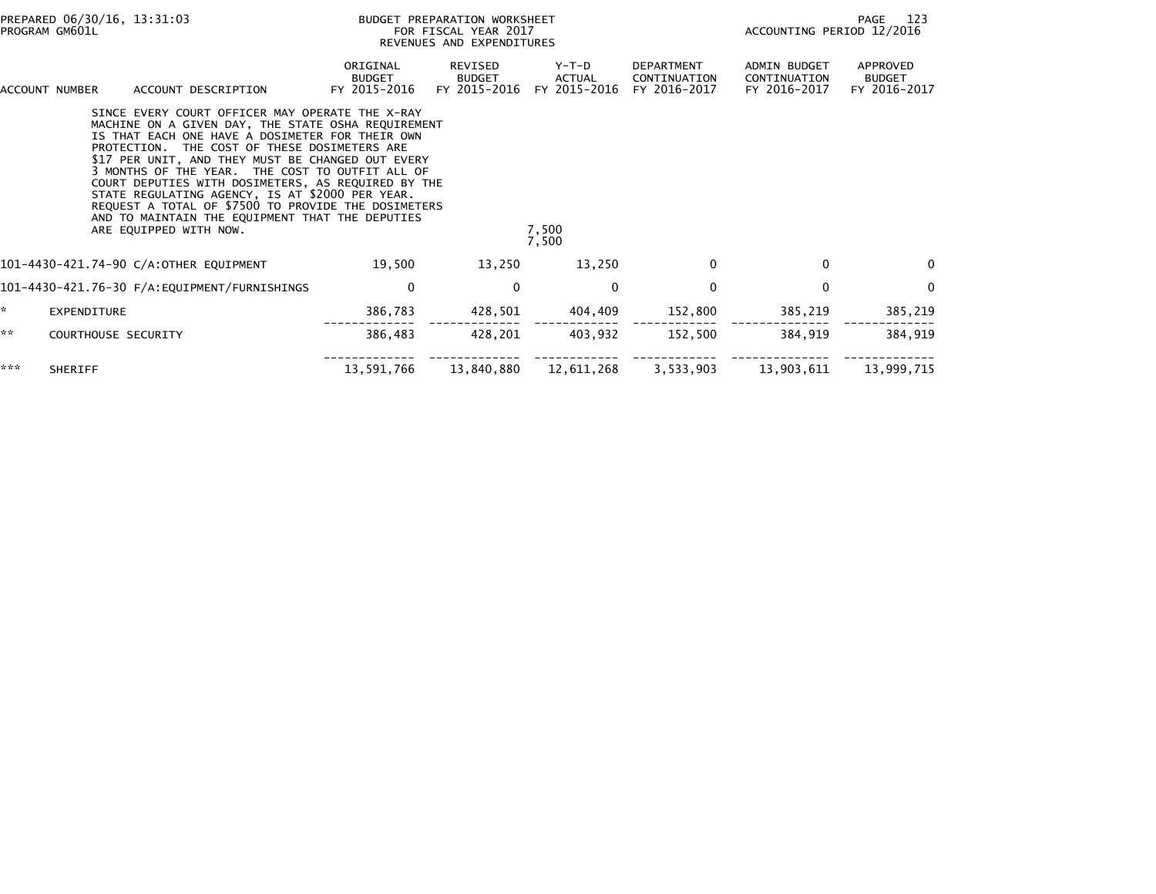| PREPARED 06/30/16, 13:31:03<br>PROGRAM GM601L |                                                                                                                                                                                                                                                                                                                                                                                                                                                                                                                                                               |                                           | BUDGET PREPARATION WORKSHEET<br>FOR FISCAL YEAR 2017<br>REVENUES AND EXPENDITURES |                                 |                                                   |                                                     | 123<br>PAGE<br>ACCOUNTING PERIOD 12/2016  |  |  |
|-----------------------------------------------|---------------------------------------------------------------------------------------------------------------------------------------------------------------------------------------------------------------------------------------------------------------------------------------------------------------------------------------------------------------------------------------------------------------------------------------------------------------------------------------------------------------------------------------------------------------|-------------------------------------------|-----------------------------------------------------------------------------------|---------------------------------|---------------------------------------------------|-----------------------------------------------------|-------------------------------------------|--|--|
|                                               | ACCOUNT DESCRIPTION<br>ACCOUNT NUMBER                                                                                                                                                                                                                                                                                                                                                                                                                                                                                                                         | ORIGINAL<br><b>BUDGET</b><br>FY 2015-2016 | REVISED<br><b>BUDGET</b><br>FY 2015-2016                                          | Y-T-D<br>ACTUAL<br>FY 2015-2016 | <b>DEPARTMENT</b><br>CONTINUATION<br>FY 2016-2017 | <b>ADMIN BUDGET</b><br>CONTINUATION<br>FY 2016-2017 | APPROVED<br><b>BUDGET</b><br>FY 2016-2017 |  |  |
|                                               | SINCE EVERY COURT OFFICER MAY OPERATE THE X-RAY<br>MACHINE ON A GIVEN DAY, THE STATE OSHA REQUIREMENT<br>IS THAT EACH ONE HAVE A DOSIMETER FOR THEIR OWN<br>PROTECTION. THE COST OF THESE DOSIMETERS ARE<br>\$17 PER UNIT, AND THEY MUST BE CHANGED OUT EVERY<br>3 MONTHS OF THE YEAR. THE COST TO OUTFIT ALL OF<br>COURT DEPUTIES WITH DOSIMETERS, AS REQUIRED BY THE<br>STATE REGULATING AGENCY, IS AT \$2000 PER YEAR.<br>REQUEST A TOTAL OF \$7500 TO PROVIDE THE DOSIMETERS<br>AND TO MAINTAIN THE EQUIPMENT THAT THE DEPUTIES<br>ARE EQUIPPED WITH NOW. |                                           |                                                                                   | 7,500<br>7,500                  |                                                   |                                                     |                                           |  |  |
|                                               | 101-4430-421.74-90 C/A:OTHER EQUIPMENT                                                                                                                                                                                                                                                                                                                                                                                                                                                                                                                        | 19,500                                    | 13,250                                                                            | 13,250                          | 0                                                 | 0                                                   | 0                                         |  |  |
|                                               |                                                                                                                                                                                                                                                                                                                                                                                                                                                                                                                                                               | 0                                         | $\mathbf{0}$                                                                      | $\mathbf{0}$                    | $\mathbf{0}$                                      | $\Omega$                                            | $\mathbf{0}$                              |  |  |
| ×.                                            | EXPENDITURE                                                                                                                                                                                                                                                                                                                                                                                                                                                                                                                                                   | 386,783                                   | 428,501                                                                           | 404,409                         | 152,800                                           | 385,219                                             | 385,219                                   |  |  |
| **                                            | COURTHOUSE SECURITY                                                                                                                                                                                                                                                                                                                                                                                                                                                                                                                                           | 386,483                                   | 428,201                                                                           | 403,932                         | 152,500                                           | 384,919                                             | 384,919                                   |  |  |
| ***                                           | <b>SHERIFF</b>                                                                                                                                                                                                                                                                                                                                                                                                                                                                                                                                                | 13,591,766                                | 13,840,880                                                                        | 12,611,268                      | 3,533,903                                         | 13,903,611                                          | 13,999,715                                |  |  |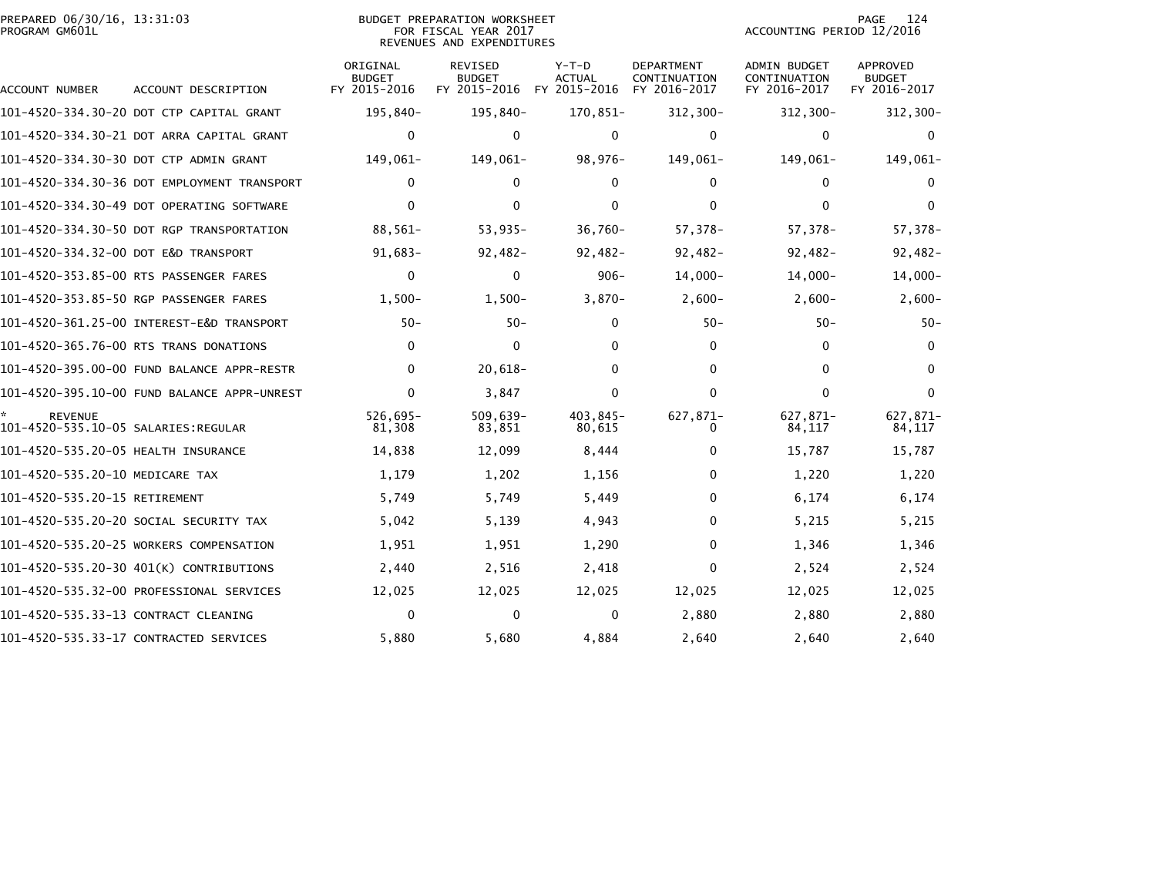| PREPARED 06/30/16, 13:31:03 | BUDGET PREPARATION WORKSHEET | PAGE                      |
|-----------------------------|------------------------------|---------------------------|
| PROGRAM GM601L              | FOR FISCAL YEAR 2017         | ACCOUNTING PERIOD 12/2016 |
|                             | REVENUES AND EXPENDITURES    |                           |

PAGE 124<br>ACCOUNTING PERIOD 12/2016

| ACCOUNT NUMBER                       | ACCOUNT DESCRIPTION                         | ORIGINAL<br><b>BUDGET</b><br>FY 2015-2016 | <b>REVISED</b><br><b>BUDGET</b><br>FY 2015-2016 | $Y-T-D$<br><b>ACTUAL</b><br>FY 2015-2016 | <b>DEPARTMENT</b><br>CONTINUATION<br>FY 2016-2017 | <b>ADMIN BUDGET</b><br>CONTINUATION<br>FY 2016-2017 | APPROVED<br><b>BUDGET</b><br>FY 2016-2017 |
|--------------------------------------|---------------------------------------------|-------------------------------------------|-------------------------------------------------|------------------------------------------|---------------------------------------------------|-----------------------------------------------------|-------------------------------------------|
|                                      | 101-4520-334.30-20 DOT CTP CAPITAL GRANT    | 195,840-                                  | 195,840-                                        | 170,851-                                 | $312,300-$                                        | $312,300 -$                                         | 312,300-                                  |
|                                      | 101-4520-334.30-21 DOT ARRA CAPITAL GRANT   | $\mathbf{0}$                              | 0                                               | $\mathbf{0}$                             | $\mathbf{0}$                                      | $\mathbf{0}$                                        | $\Omega$                                  |
|                                      | 101-4520-334.30-30 DOT CTP ADMIN GRANT      | 149,061-                                  | 149,061-                                        | 98,976-                                  | 149,061-                                          | 149,061-                                            | 149,061-                                  |
|                                      | 101-4520-334.30-36 DOT EMPLOYMENT TRANSPORT | 0                                         | 0                                               | 0                                        | 0                                                 | $\mathbf{0}$                                        | $\Omega$                                  |
|                                      | 101-4520-334.30-49 DOT OPERATING SOFTWARE   | $\mathbf{0}$                              | 0                                               | $\mathbf{0}$                             | $\mathbf{0}$                                      | $\mathbf{0}$                                        | $\Omega$                                  |
|                                      | 101-4520-334.30-50 DOT RGP TRANSPORTATION   | 88,561-                                   | $53,935-$                                       | $36,760 -$                               | 57,378-                                           | 57,378-                                             | 57,378-                                   |
| 101-4520-334.32-00 DOT E&D TRANSPORT |                                             | $91,683-$                                 | $92,482-$                                       | $92,482-$                                | $92,482-$                                         | $92,482-$                                           | $92,482-$                                 |
|                                      | 101-4520-353.85-00 RTS PASSENGER FARES      | $\mathbf 0$                               | 0                                               | $906 -$                                  | $14,000-$                                         | $14,000 -$                                          | $14,000-$                                 |
|                                      | 101-4520-353.85-50 RGP PASSENGER FARES      | $1,500-$                                  | $1,500-$                                        | $3,870-$                                 | $2,600-$                                          | $2,600-$                                            | $2,600-$                                  |
|                                      |                                             | $50 -$                                    | $50 -$                                          | 0                                        | $50 -$                                            | $50 -$                                              | $50 -$                                    |
|                                      | 101-4520-365.76-00 RTS TRANS DONATIONS      | $\mathbf{0}$                              | $\mathbf{0}$                                    | 0                                        | $\mathbf{0}$                                      | $\mathbf{0}$                                        | $\Omega$                                  |
|                                      | 101-4520-395.00-00 FUND BALANCE APPR-RESTR  | $\mathbf{0}$                              | $20,618-$                                       | 0                                        | $\mathbf{0}$                                      | $\mathbf{0}$                                        | $\Omega$                                  |
|                                      | 101-4520-395.10-00 FUND BALANCE APPR-UNREST | 0                                         | 3,847                                           | 0                                        | $\mathbf{0}$                                      | $\mathbf{0}$                                        | $\bf{0}$                                  |
| <b>REVENUE</b>                       |                                             | $526.695 -$<br>81,308                     | $509.639 -$<br>83,851                           | 403.845-<br>80,615                       | 627,871-<br>0                                     | 627.871-<br>84,117                                  | 627,871-<br>84,117                        |
| 101-4520-535.20-05 HEALTH INSURANCE  |                                             | 14,838                                    | 12,099                                          | 8,444                                    | 0                                                 | 15,787                                              | 15,787                                    |
| 101-4520-535.20-10 MEDICARE TAX      |                                             | 1,179                                     | 1,202                                           | 1,156                                    | 0                                                 | 1,220                                               | 1,220                                     |
| 101-4520-535.20-15 RETIREMENT        |                                             | 5,749                                     | 5,749                                           | 5,449                                    | $\mathbf{0}$                                      | 6,174                                               | 6,174                                     |
|                                      | 101-4520-535.20-20 SOCIAL SECURITY TAX      | 5,042                                     | 5,139                                           | 4,943                                    | 0                                                 | 5,215                                               | 5,215                                     |
|                                      | 101-4520-535.20-25 WORKERS COMPENSATION     | 1,951                                     | 1,951                                           | 1,290                                    | 0                                                 | 1,346                                               | 1,346                                     |
|                                      | 101-4520-535.20-30 401(K) CONTRIBUTIONS     | 2,440                                     | 2,516                                           | 2,418                                    | 0                                                 | 2,524                                               | 2,524                                     |
|                                      | 101-4520-535.32-00 PROFESSIONAL SERVICES    | 12,025                                    | 12,025                                          | 12,025                                   | 12,025                                            | 12,025                                              | 12,025                                    |
| 101-4520-535.33-13 CONTRACT CLEANING |                                             | $\mathbf 0$                               | 0                                               | 0                                        | 2,880                                             | 2,880                                               | 2,880                                     |
|                                      | 101-4520-535.33-17 CONTRACTED SERVICES      | 5,880                                     | 5,680                                           | 4,884                                    | 2,640                                             | 2,640                                               | 2,640                                     |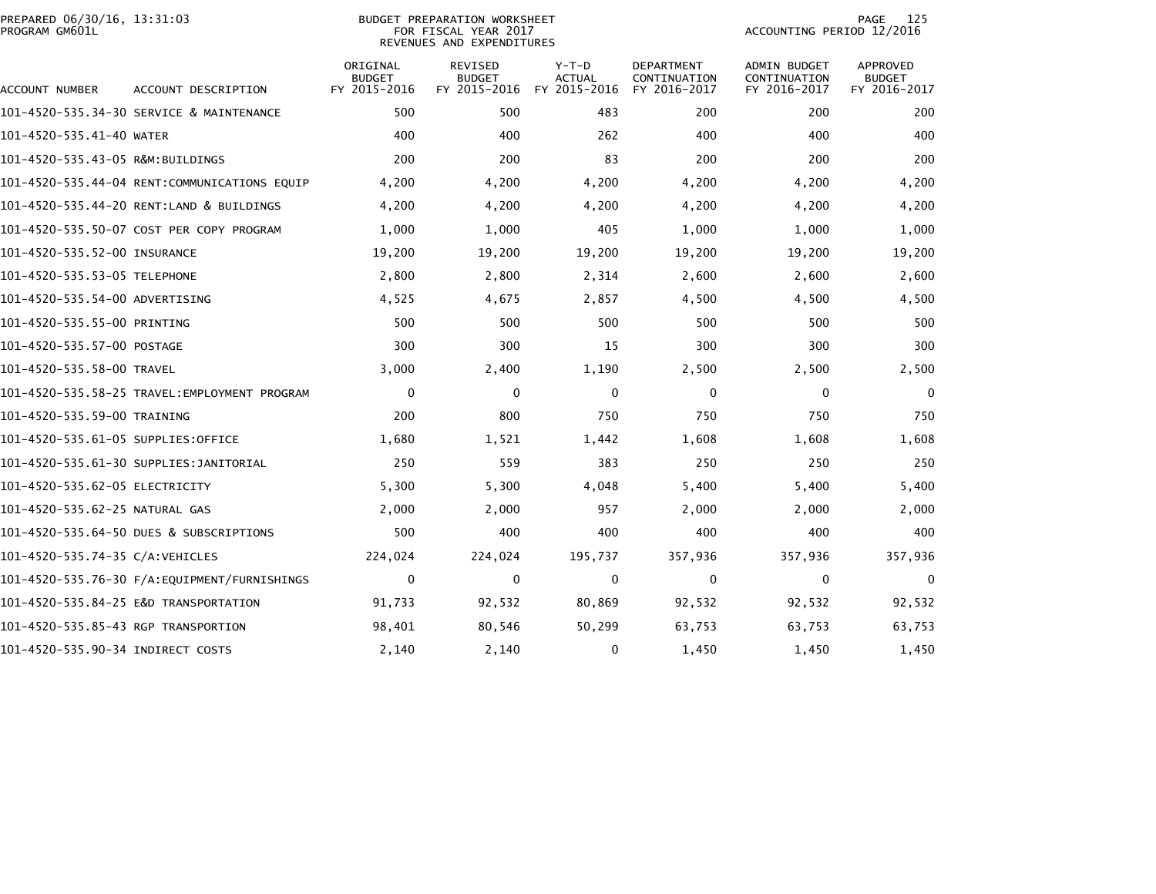| PREPARED 06/30/16, 13:31:03<br>PROGRAM GM601L |                                              |                                           | BUDGET PREPARATION WORKSHEET<br>FOR FISCAL YEAR 2017<br>REVENUES AND EXPENDITURES | 125<br>PAGE<br>ACCOUNTING PERIOD 12/2016 |                                                   |                                                     |                                                  |
|-----------------------------------------------|----------------------------------------------|-------------------------------------------|-----------------------------------------------------------------------------------|------------------------------------------|---------------------------------------------------|-----------------------------------------------------|--------------------------------------------------|
| ACCOUNT NUMBER                                | ACCOUNT DESCRIPTION                          | ORIGINAL<br><b>BUDGET</b><br>FY 2015-2016 | REVISED<br><b>BUDGET</b><br>FY 2015-2016                                          | $Y-T-D$<br><b>ACTUAL</b><br>FY 2015-2016 | <b>DEPARTMENT</b><br>CONTINUATION<br>FY 2016-2017 | <b>ADMIN BUDGET</b><br>CONTINUATION<br>FY 2016-2017 | <b>APPROVED</b><br><b>BUDGET</b><br>FY 2016-2017 |
|                                               | 101-4520-535.34-30 SERVICE & MAINTENANCE     | 500                                       | 500                                                                               | 483                                      | 200                                               | 200                                                 | 200                                              |
| 101-4520-535.41-40 WATER                      |                                              | 400                                       | 400                                                                               | 262                                      | 400                                               | 400                                                 | 400                                              |
| 101-4520-535.43-05 R&M:BUILDINGS              |                                              | 200                                       | 200                                                                               | 83                                       | 200                                               | 200                                                 | 200                                              |
|                                               | 101-4520-535.44-04 RENT:COMMUNICATIONS EQUIP | 4,200                                     | 4,200                                                                             | 4,200                                    | 4,200                                             | 4,200                                               | 4,200                                            |
|                                               | 101-4520-535.44-20 RENT:LAND & BUILDINGS     | 4,200                                     | 4,200                                                                             | 4,200                                    | 4,200                                             | 4,200                                               | 4,200                                            |
|                                               | 101-4520-535.50-07 COST PER COPY PROGRAM     | 1,000                                     | 1,000                                                                             | 405                                      | 1,000                                             | 1,000                                               | 1,000                                            |
| 101-4520-535.52-00 INSURANCE                  |                                              | 19,200                                    | 19,200                                                                            | 19,200                                   | 19,200                                            | 19,200                                              | 19,200                                           |
| 101-4520-535.53-05 TELEPHONE                  |                                              | 2,800                                     | 2,800                                                                             | 2,314                                    | 2,600                                             | 2,600                                               | 2,600                                            |
| 101-4520-535.54-00 ADVERTISING                |                                              | 4,525                                     | 4,675                                                                             | 2,857                                    | 4,500                                             | 4,500                                               | 4,500                                            |
| 101-4520-535.55-00 PRINTING                   |                                              | 500                                       | 500                                                                               | 500                                      | 500                                               | 500                                                 | 500                                              |
| 101-4520-535.57-00 POSTAGE                    |                                              | 300                                       | 300                                                                               | 15                                       | 300                                               | 300                                                 | 300                                              |
| 101-4520-535.58-00 TRAVEL                     |                                              | 3,000                                     | 2,400                                                                             | 1,190                                    | 2,500                                             | 2,500                                               | 2,500                                            |
|                                               |                                              | 0                                         | 0                                                                                 | 0                                        | 0                                                 | 0                                                   | $\mathbf 0$                                      |
| 101-4520-535.59-00 TRAINING                   |                                              | 200                                       | 800                                                                               | 750                                      | 750                                               | 750                                                 | 750                                              |
| 101-4520-535.61-05 SUPPLIES:OFFICE            |                                              | 1,680                                     | 1,521                                                                             | 1,442                                    | 1,608                                             | 1,608                                               | 1,608                                            |
|                                               | 101-4520-535.61-30 SUPPLIES:JANITORIAL       | 250                                       | 559                                                                               | 383                                      | 250                                               | 250                                                 | 250                                              |
| 101–4520–535.62–05 ELECTRICITY                |                                              | 5,300                                     | 5,300                                                                             | 4,048                                    | 5,400                                             | 5,400                                               | 5,400                                            |
| 101-4520-535.62-25 NATURAL GAS                |                                              | 2,000                                     | 2,000                                                                             | 957                                      | 2,000                                             | 2,000                                               | 2,000                                            |
|                                               | 101-4520-535.64-50 DUES & SUBSCRIPTIONS      | 500                                       | 400                                                                               | 400                                      | 400                                               | 400                                                 | 400                                              |
| 101-4520-535.74-35 C/A:VEHICLES               |                                              | 224,024                                   | 224,024                                                                           | 195,737                                  | 357,936                                           | 357,936                                             | 357,936                                          |
|                                               |                                              | 0                                         | $\mathbf 0$                                                                       | 0                                        | $\mathbf 0$                                       | $\mathbf 0$                                         | $\mathbf 0$                                      |
|                                               | 101-4520-535.84-25 E&D TRANSPORTATION        | 91,733                                    | 92,532                                                                            | 80,869                                   | 92,532                                            | 92,532                                              | 92,532                                           |
| 101-4520-535.85-43 RGP TRANSPORTION           |                                              | 98,401                                    | 80,546                                                                            | 50,299                                   | 63,753                                            | 63,753                                              | 63,753                                           |
| 101-4520-535.90-34 INDIRECT COSTS             |                                              | 2,140                                     | 2,140                                                                             | 0                                        | 1,450                                             | 1,450                                               | 1,450                                            |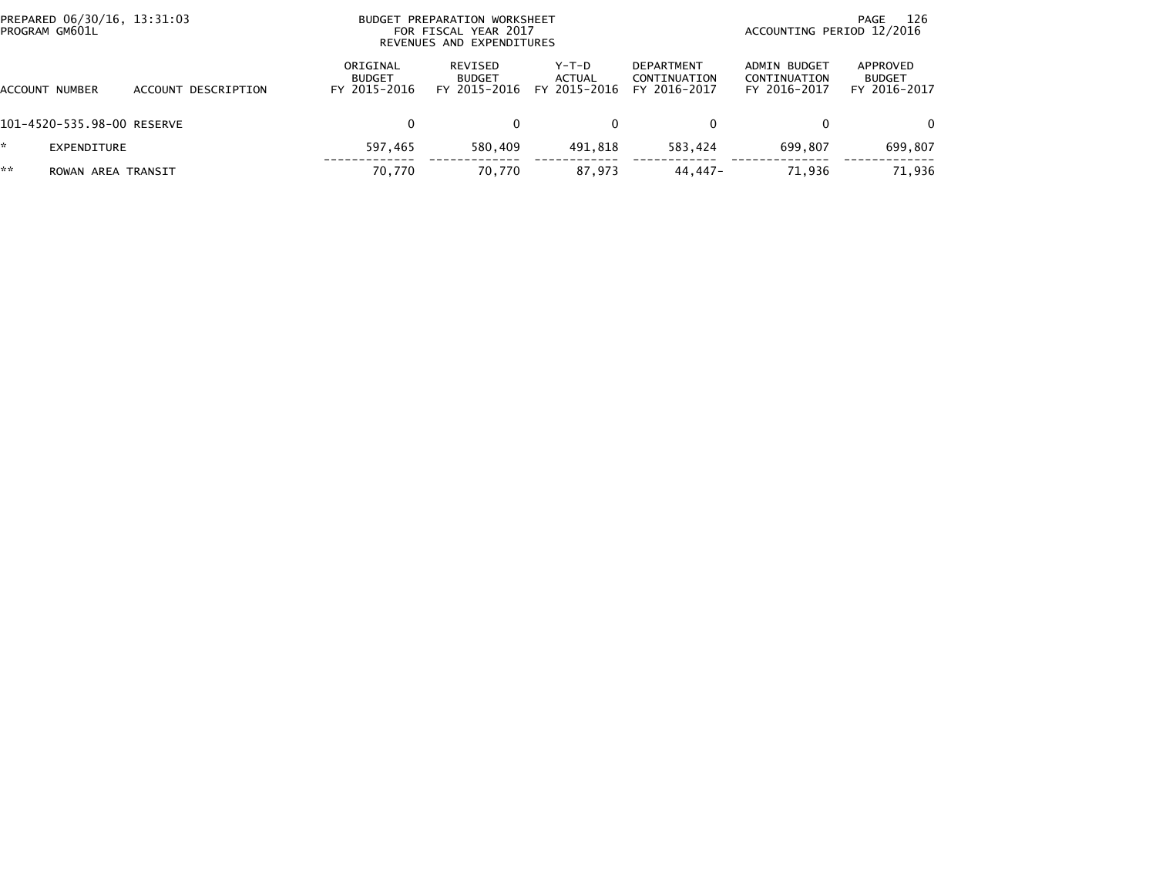|         | PREPARED 06/30/16, 13:31:03<br>PROGRAM GM601L |                     | BUDGET PREPARATION WORKSHEET<br>FOR FISCAL YEAR 2017<br>REVENUES AND EXPENDITURES |                                          |                                 |                                                   | 126<br>PAGE<br>ACCOUNTING PERIOD 12/2016     |                                           |  |
|---------|-----------------------------------------------|---------------------|-----------------------------------------------------------------------------------|------------------------------------------|---------------------------------|---------------------------------------------------|----------------------------------------------|-------------------------------------------|--|
| ACCOUNT | NUMBER                                        | ACCOUNT DESCRIPTION | ORIGINAL<br><b>BUDGET</b><br>FY 2015-2016                                         | REVISED<br><b>BUDGET</b><br>FY 2015-2016 | Y-T-D<br>ACTUAL<br>FY 2015-2016 | <b>DEPARTMENT</b><br>CONTINUATION<br>FY 2016-2017 | ADMIN BUDGET<br>CONTINUATION<br>FY 2016-2017 | APPROVED<br><b>BUDGET</b><br>FY 2016-2017 |  |
|         | 101-4520-535.98-00 RESERVE                    |                     | 0                                                                                 |                                          | 0                               | 0                                                 |                                              | $\Omega$                                  |  |
| *.      | EXPENDITURE                                   |                     | 597,465                                                                           | 580,409                                  | 491,818                         | 583.424                                           | 699.807                                      | 699,807                                   |  |
| **      | ROWAN AREA TRANSIT                            |                     | 70,770                                                                            | 70,770                                   | 87,973                          | 44.447-                                           | 71.936                                       | 71,936                                    |  |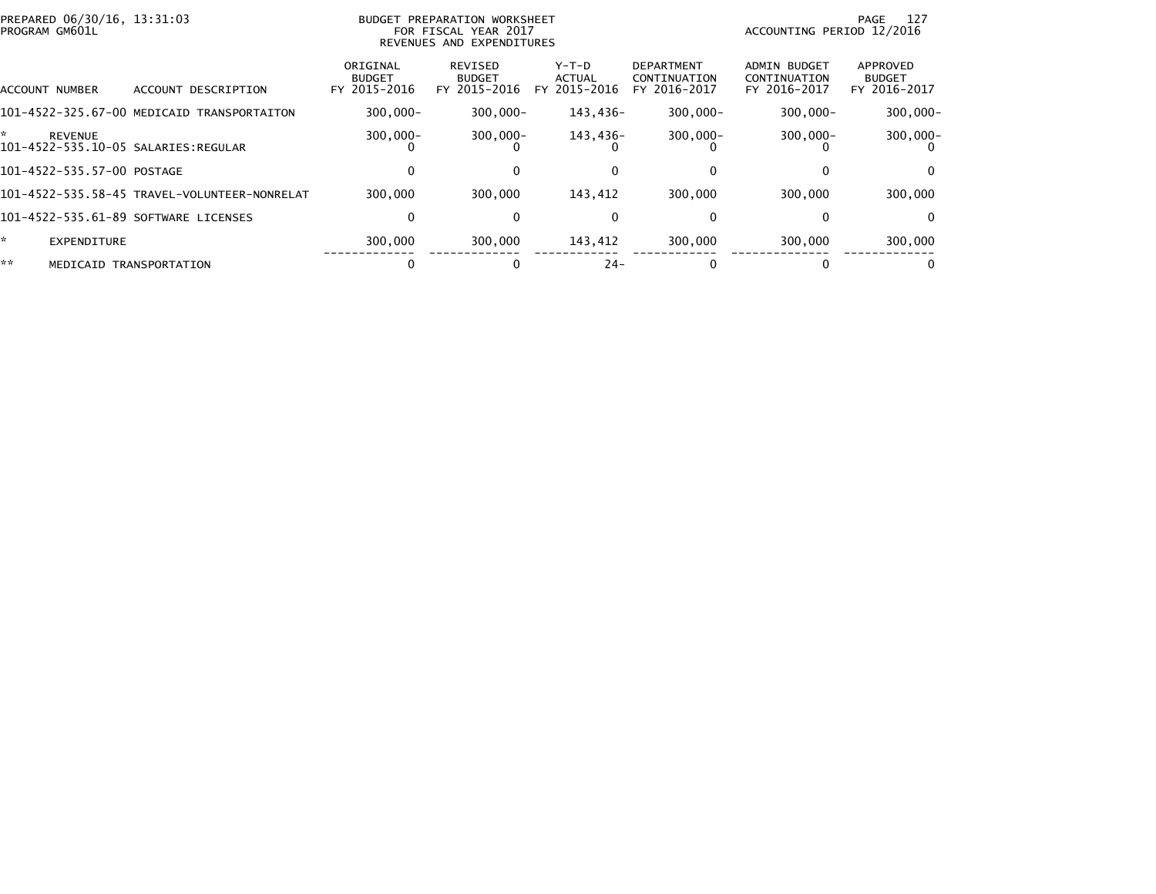| PREPARED 06/30/16, 13:31:03<br>PROGRAM GM601L |                                              |                                           | BUDGET PREPARATION WORKSHEET<br>FOR FISCAL YEAR 2017<br>REVENUES AND EXPENDITURES |                                        |                                                   | ACCOUNTING PERIOD 12/2016                           | - 127<br>PAGE                             |
|-----------------------------------------------|----------------------------------------------|-------------------------------------------|-----------------------------------------------------------------------------------|----------------------------------------|---------------------------------------------------|-----------------------------------------------------|-------------------------------------------|
| ACCOUNT NUMBER                                | ACCOUNT DESCRIPTION                          | ORIGINAL<br><b>BUDGET</b><br>FY 2015-2016 | REVISED<br><b>BUDGET</b><br>FY 2015-2016                                          | Y-T-D<br><b>ACTUAL</b><br>FY 2015-2016 | <b>DEPARTMENT</b><br>CONTINUATION<br>FY 2016-2017 | <b>ADMIN BUDGET</b><br>CONTINUATION<br>FY 2016-2017 | APPROVED<br><b>BUDGET</b><br>FY 2016-2017 |
|                                               | 101-4522-325.67-00 MEDICAID TRANSPORTAITON   | $300.000 -$                               | $300.000 -$                                                                       | 143.436-                               | $300.000 -$                                       | $300.000 -$                                         | $300,000 -$                               |
| *<br><b>REVENUE</b>                           |                                              | $300,000 -$                               | $300,000 -$                                                                       | 143,436-                               | $300,000 -$                                       | $300,000 -$                                         | $300,000 -$                               |
| 101-4522-535.57-00 POSTAGE                    |                                              |                                           |                                                                                   |                                        |                                                   |                                                     | 0                                         |
|                                               | 101-4522-535.58-45 TRAVEL-VOLUNTEER-NONRELAT | 300,000                                   | 300,000                                                                           | 143,412                                | 300,000                                           | 300,000                                             | 300,000                                   |
| 101-4522-535.61-89 SOFTWARE LICENSES          |                                              | 0                                         | 0                                                                                 | 0                                      |                                                   |                                                     | $\mathbf{0}$                              |
| ÷.<br>EXPENDITURE                             |                                              | 300,000                                   | 300,000                                                                           | 143,412                                | 300,000                                           | 300,000                                             | 300,000                                   |
| **                                            | MEDICAID TRANSPORTATION                      |                                           |                                                                                   | $24 -$                                 |                                                   |                                                     | 0                                         |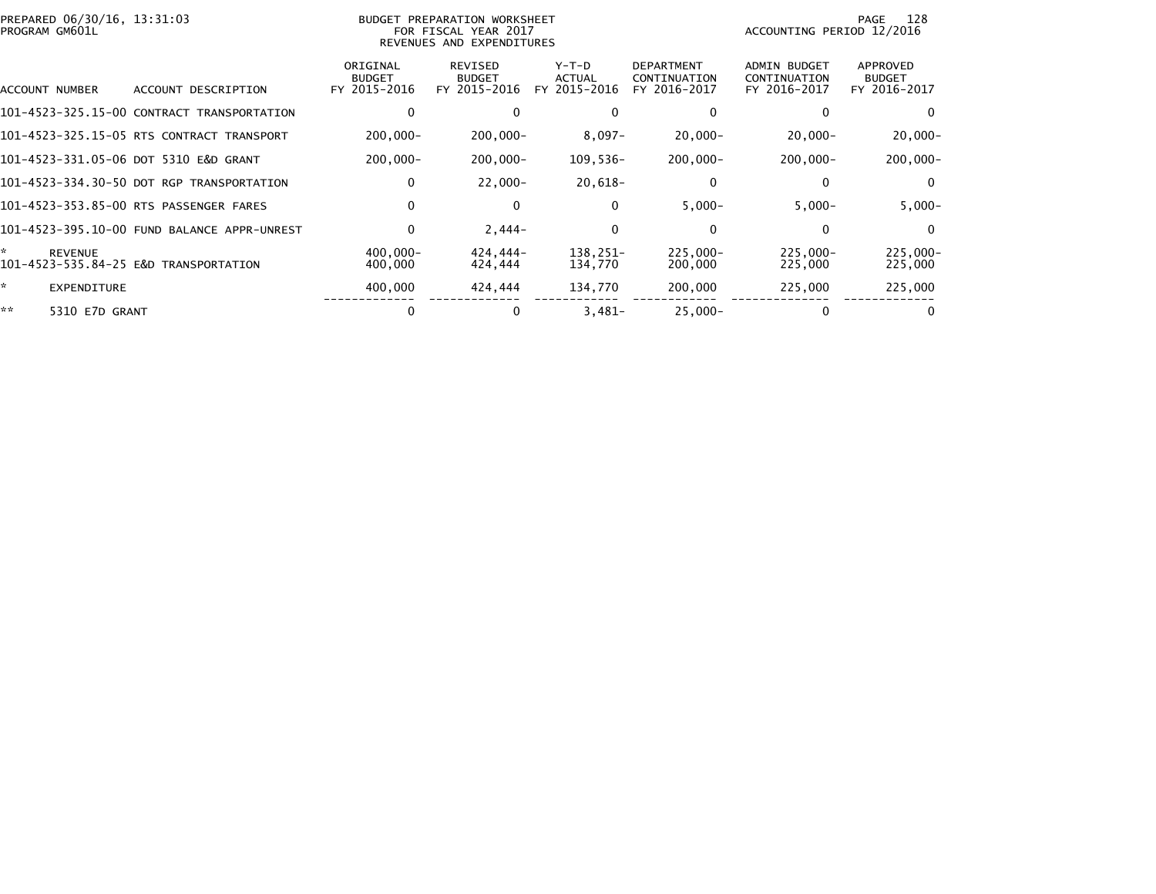| PREPARED 06/30/16, 13:31:03<br>PROGRAM GM601L |                                             |                                           | BUDGET PREPARATION WORKSHEET<br>FOR FISCAL YEAR 2017<br>REVENUES AND EXPENDITURES |                                        |                                                   | ACCOUNTING PERIOD 12/2016                           | 128<br>PAGE                               |
|-----------------------------------------------|---------------------------------------------|-------------------------------------------|-----------------------------------------------------------------------------------|----------------------------------------|---------------------------------------------------|-----------------------------------------------------|-------------------------------------------|
| ACCOUNT NUMBER                                | ACCOUNT DESCRIPTION                         | ORIGINAL<br><b>BUDGET</b><br>FY 2015-2016 | REVISED<br><b>BUDGET</b><br>FY 2015-2016                                          | Y-T-D<br><b>ACTUAL</b><br>FY 2015-2016 | <b>DEPARTMENT</b><br>CONTINUATION<br>FY 2016-2017 | <b>ADMIN BUDGET</b><br>CONTINUATION<br>FY 2016-2017 | APPROVED<br><b>BUDGET</b><br>FY 2016-2017 |
|                                               | 101-4523-325.15-00 CONTRACT TRANSPORTATION  |                                           | $\mathbf{0}$                                                                      | 0                                      | 0                                                 |                                                     | 0                                         |
|                                               | 101-4523-325.15-05 RTS CONTRACT TRANSPORT   | $200,000 -$                               | $200,000 -$                                                                       | $8,097-$                               | $20,000 -$                                        | $20,000 -$                                          | $20,000 -$                                |
|                                               | 101-4523-331.05-06 DOT 5310 E&D GRANT       | $200,000 -$                               | $200,000 -$                                                                       | $109,536-$                             | $200,000 -$                                       | $200,000 -$                                         | $200,000 -$                               |
|                                               | 101-4523-334.30-50 DOT RGP TRANSPORTATION   | $\mathbf 0$                               | $22,000 -$                                                                        | 20,618-                                | 0                                                 | 0                                                   | $\bf{0}$                                  |
|                                               | 101-4523-353.85-00 RTS PASSENGER FARES      | $\mathbf{0}$                              | $\mathbf{0}$                                                                      | 0                                      | $5,000-$                                          | $5,000-$                                            | $5,000 -$                                 |
|                                               | 101-4523-395.10-00 FUND BALANCE APPR-UNREST | 0                                         | $2,444-$                                                                          | 0                                      | 0                                                 | 0                                                   | $\mathbf{0}$                              |
| ÷.<br><b>REVENUE</b>                          | 101-4523-535.84-25 E&D TRANSPORTATION       | $400,000 -$<br>400,000                    | 424,444-<br>424,444                                                               | 138.251-<br>134,770                    | 225,000-<br>200,000                               | $225,000 -$<br>225,000                              | 225,000-<br>225,000                       |
| ÷.<br><b>EXPENDITURE</b>                      |                                             | 400,000                                   | 424,444                                                                           | 134,770                                | 200,000                                           | 225,000                                             | 225,000                                   |
| **<br>5310 E7D GRANT                          |                                             | 0                                         | 0                                                                                 | $3.481 -$                              | $25,000 -$                                        | 0                                                   | 0                                         |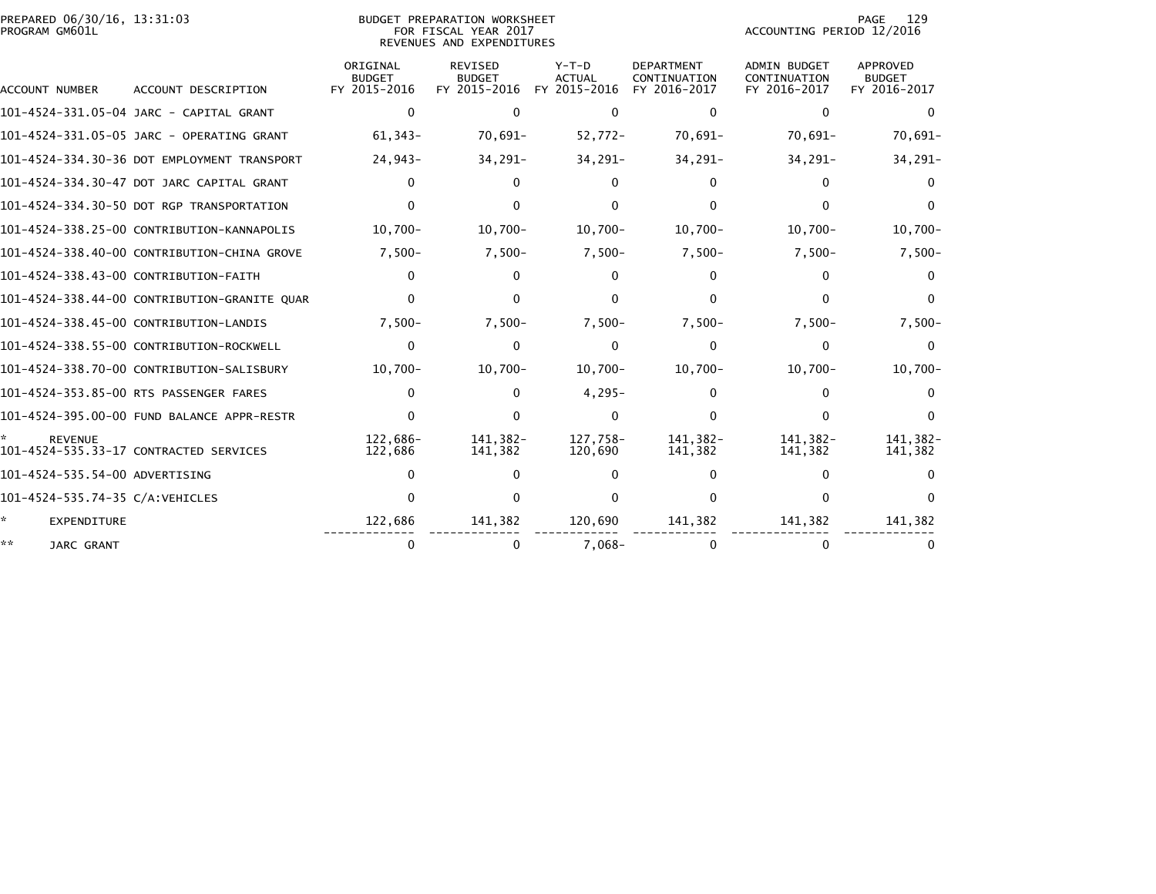| PREPARED 06/30/16, 13:31:03<br>PROGRAM GM601L |                                              |                                           | BUDGET PREPARATION WORKSHEET<br>FOR FISCAL YEAR 2017<br>REVENUES AND EXPENDITURES |                                        |                                                   | ACCOUNTING PERIOD 12/2016                           | 129<br>PAGE                               |
|-----------------------------------------------|----------------------------------------------|-------------------------------------------|-----------------------------------------------------------------------------------|----------------------------------------|---------------------------------------------------|-----------------------------------------------------|-------------------------------------------|
| ACCOUNT NUMBER                                | ACCOUNT DESCRIPTION                          | ORIGINAL<br><b>BUDGET</b><br>FY 2015-2016 | REVISED<br><b>BUDGET</b><br>FY 2015-2016                                          | Y-T-D<br><b>ACTUAL</b><br>FY 2015-2016 | <b>DEPARTMENT</b><br>CONTINUATION<br>FY 2016-2017 | <b>ADMIN BUDGET</b><br>CONTINUATION<br>FY 2016-2017 | APPROVED<br><b>BUDGET</b><br>FY 2016-2017 |
|                                               | 101-4524-331.05-04 JARC - CAPITAL GRANT      | 0                                         | ∩                                                                                 | $\Omega$                               | 0                                                 | 0                                                   |                                           |
|                                               | 101-4524-331.05-05 JARC - OPERATING GRANT    | $61,343-$                                 | $70,691-$                                                                         | $52,772-$                              | 70,691-                                           | $70,691-$                                           | $70,691-$                                 |
|                                               | 101-4524-334.30-36 DOT EMPLOYMENT TRANSPORT  | 24,943-                                   | $34,291-$                                                                         | 34,291-                                | 34,291-                                           | 34,291-                                             | 34,291-                                   |
|                                               | 101-4524-334.30-47 DOT JARC CAPITAL GRANT    | 0                                         | 0                                                                                 | 0                                      |                                                   |                                                     |                                           |
|                                               | 101-4524-334.30-50 DOT RGP TRANSPORTATION    | 0                                         | <sup>0</sup>                                                                      | $\Omega$                               |                                                   | O.                                                  | 0                                         |
|                                               | 101-4524-338.25-00 CONTRIBUTION-KANNAPOLIS   | $10,700 -$                                | $10,700 -$                                                                        | $10,700 -$                             | $10,700 -$                                        | $10,700 -$                                          | $10,700 -$                                |
|                                               | 101-4524-338.40-00 CONTRIBUTION-CHINA GROVE  | $7,500-$                                  | $7,500-$                                                                          | $7,500-$                               | $7,500-$                                          | $7,500-$                                            | $7,500-$                                  |
|                                               | 101-4524-338.43-00 CONTRIBUTION-FAITH        | 0                                         | 0                                                                                 | 0                                      |                                                   |                                                     | $^{(1)}$                                  |
|                                               | 101-4524-338.44-00 CONTRIBUTION-GRANITE QUAR | 0                                         |                                                                                   |                                        |                                                   |                                                     | 0                                         |
|                                               | 101-4524-338.45-00 CONTRIBUTION-LANDIS       | $7,500-$                                  | $7,500-$                                                                          | $7,500-$                               | $7,500-$                                          | $7,500-$                                            | $7,500-$                                  |
|                                               | 101-4524-338.55-00 CONTRIBUTION-ROCKWELL     | 0                                         | $\Omega$                                                                          | $\Omega$                               | $\Omega$                                          | $\Omega$                                            | <sup>0</sup>                              |
|                                               | 101-4524-338.70-00 CONTRIBUTION-SALISBURY    | $10,700 -$                                | $10,700 -$                                                                        | $10,700 -$                             | $10,700 -$                                        | $10,700 -$                                          | $10,700 -$                                |
|                                               | 101-4524-353.85-00 RTS PASSENGER FARES       | 0                                         | 0                                                                                 | $4,295-$                               |                                                   | O.                                                  | $^{\circ}$                                |
|                                               | 101-4524-395.00-00 FUND BALANCE APPR-RESTR   | 0                                         |                                                                                   | $\Omega$                               |                                                   |                                                     |                                           |
| <b>REVENUE</b>                                | 101-4524-535.33-17 CONTRACTED SERVICES       | 122.686-<br>122,686                       | 141.382-<br>141,382                                                               | 127.758-<br>120,690                    | 141.382-<br>141,382                               | 141.382-<br>141,382                                 | 141.382-<br>141,382                       |
| 101-4524-535.54-00 ADVERTISING                |                                              | ŋ                                         |                                                                                   |                                        |                                                   | O.                                                  |                                           |
| 101-4524-535.74-35 C/A:VEHICLES               |                                              | ∩                                         |                                                                                   |                                        |                                                   |                                                     |                                           |
| <b>EXPENDITURE</b>                            |                                              | 122,686                                   | 141,382                                                                           | 120,690                                | 141,382                                           | 141,382                                             | 141,382                                   |
| **<br>JARC GRANT                              |                                              | 0                                         | 0                                                                                 | $7.068 -$                              | $\Omega$                                          |                                                     |                                           |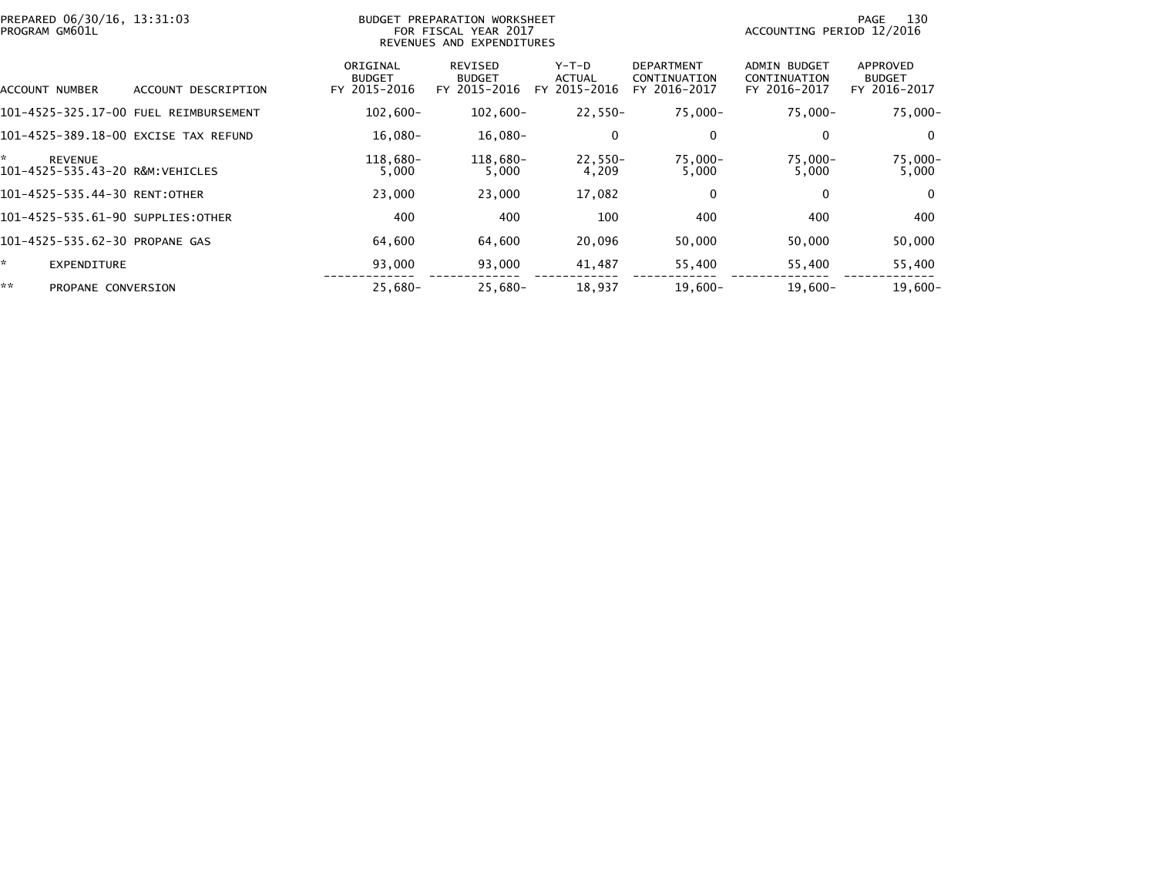| PREPARED 06/30/16, 13:31:03<br>PROGRAM GM601L           |                                       |                                           | BUDGET PREPARATION WORKSHEET<br>FOR FISCAL YEAR 2017<br>REVENUES AND EXPENDITURES |                                              |                                                   | ACCOUNTING PERIOD 12/2016                           | 130<br>PAGE                               |
|---------------------------------------------------------|---------------------------------------|-------------------------------------------|-----------------------------------------------------------------------------------|----------------------------------------------|---------------------------------------------------|-----------------------------------------------------|-------------------------------------------|
| ACCOUNT NUMBER                                          | ACCOUNT DESCRIPTION                   | ORIGINAL<br><b>BUDGET</b><br>FY 2015-2016 | REVISED<br><b>BUDGET</b><br>FY 2015-2016                                          | $Y-T-D$<br><b>ACTUAL</b><br>2015-2016<br>FY. | <b>DEPARTMENT</b><br>CONTINUATION<br>FY 2016-2017 | <b>ADMIN BUDGET</b><br>CONTINUATION<br>FY 2016-2017 | APPROVED<br><b>BUDGET</b><br>FY 2016-2017 |
|                                                         | 101-4525-325.17-00 FUEL REIMBURSEMENT | $102,600 -$                               | $102,600 -$                                                                       | 22,550-                                      | 75,000-                                           | 75,000-                                             | $75,000 -$                                |
| 101-4525-389.18-00 EXCISE TAX REFUND                    |                                       | $16,080-$                                 | 16,080-                                                                           | 0                                            | 0                                                 | 0                                                   | $\mathbf{0}$                              |
| ×.<br><b>REVENUE</b><br>101-4525-535.43-20 R&M:VEHICLES |                                       | 118,680-<br>5,000                         | 118,680-<br>5,000                                                                 | 22,550-<br>4,209                             | 75,000-<br>5,000                                  | 75,000-<br>5,000                                    | $75,000 -$<br>5,000                       |
| 101-4525-535.44-30 RENT:OTHER                           |                                       | 23,000                                    | 23,000                                                                            | 17,082                                       | $\mathbf 0$                                       | $\mathbf{0}$                                        | $\mathbf{0}$                              |
| 101-4525-535.61-90 SUPPLIES:OTHER                       |                                       | 400                                       | 400                                                                               | 100                                          | 400                                               | 400                                                 | 400                                       |
| 101-4525-535.62-30 PROPANE GAS                          |                                       | 64,600                                    | 64,600                                                                            | 20,096                                       | 50,000                                            | 50,000                                              | 50,000                                    |
| ÷.<br><b>EXPENDITURE</b>                                |                                       | 93,000                                    | 93,000                                                                            | 41,487                                       | 55,400                                            | 55,400                                              | 55,400                                    |
| **<br>PROPANE CONVERSION                                |                                       | $25,680-$                                 | 25,680-                                                                           | 18,937                                       | $19,600-$                                         | $19,600-$                                           | $19,600 -$                                |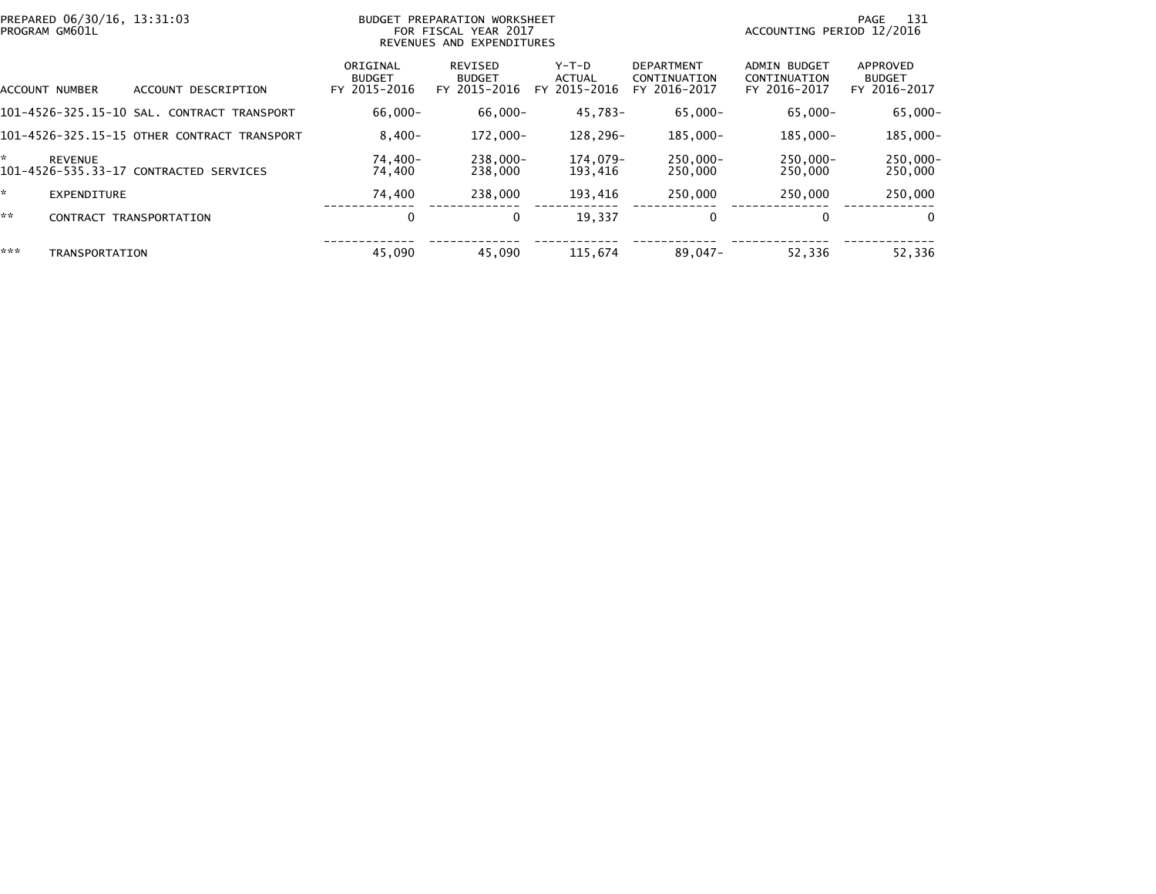| ORIGINAL<br>REVISED<br>Y-T-D<br><b>DEPARTMENT</b><br><b>ADMIN BUDGET</b><br><b>BUDGET</b><br>ACTUAL<br><b>BUDGET</b><br>CONTINUATION<br>CONTINUATION<br>FY 2015-2016<br>FY 2015-2016<br>FY 2015-2016<br>FY 2016-2017<br>FY 2016-2017<br>ACCOUNT DESCRIPTION<br>ACCOUNT NUMBER<br>$66.000 -$<br>$65.000 -$<br>101-4526-325.15-10 SAL. CONTRACT TRANSPORT<br>66,000-<br>45,783-<br>65,000-<br>185.000-<br>101-4526-325.15-15 OTHER CONTRACT TRANSPORT<br>$8.400 -$<br>$172.000 -$<br>128.296-<br>185.000-<br>*<br>$238.000 -$<br>$250.000 -$<br>$250.000 -$<br>74,400-<br>174.079-<br><b>REVENUE</b><br>101-4526-535.33-17 CONTRACTED SERVICES<br>74,400<br>238,000<br>193,416<br>250,000<br>250,000<br>÷.<br>238,000<br>193.416<br>250,000<br>74,400<br>250,000<br><b>EXPENDITURE</b><br>**<br>0<br>19,337<br>0<br>0<br>$\bf{0}$<br>TRANSPORTATION<br><b>CONTRACT</b><br>***<br>52,336<br>45,090<br>45,090<br>115.674<br>89,047-<br>TRANSPORTATION | PREPARED 06/30/16, 13:31:03<br>PROGRAM GM601L | BUDGET PREPARATION WORKSHEET<br>FOR FISCAL YEAR 2017<br>REVENUES AND EXPENDITURES |  | ACCOUNTING PERIOD 12/2016 | 131<br>PAGE                               |
|---------------------------------------------------------------------------------------------------------------------------------------------------------------------------------------------------------------------------------------------------------------------------------------------------------------------------------------------------------------------------------------------------------------------------------------------------------------------------------------------------------------------------------------------------------------------------------------------------------------------------------------------------------------------------------------------------------------------------------------------------------------------------------------------------------------------------------------------------------------------------------------------------------------------------------------------------|-----------------------------------------------|-----------------------------------------------------------------------------------|--|---------------------------|-------------------------------------------|
|                                                                                                                                                                                                                                                                                                                                                                                                                                                                                                                                                                                                                                                                                                                                                                                                                                                                                                                                                   |                                               |                                                                                   |  |                           | APPROVED<br><b>BUDGET</b><br>FY 2016-2017 |
|                                                                                                                                                                                                                                                                                                                                                                                                                                                                                                                                                                                                                                                                                                                                                                                                                                                                                                                                                   |                                               |                                                                                   |  |                           | $65,000 -$                                |
|                                                                                                                                                                                                                                                                                                                                                                                                                                                                                                                                                                                                                                                                                                                                                                                                                                                                                                                                                   |                                               |                                                                                   |  |                           | 185,000-                                  |
|                                                                                                                                                                                                                                                                                                                                                                                                                                                                                                                                                                                                                                                                                                                                                                                                                                                                                                                                                   |                                               |                                                                                   |  |                           | $250.000 -$<br>250,000                    |
|                                                                                                                                                                                                                                                                                                                                                                                                                                                                                                                                                                                                                                                                                                                                                                                                                                                                                                                                                   |                                               |                                                                                   |  |                           | 250,000                                   |
|                                                                                                                                                                                                                                                                                                                                                                                                                                                                                                                                                                                                                                                                                                                                                                                                                                                                                                                                                   |                                               |                                                                                   |  |                           | $\Omega$                                  |
|                                                                                                                                                                                                                                                                                                                                                                                                                                                                                                                                                                                                                                                                                                                                                                                                                                                                                                                                                   |                                               |                                                                                   |  |                           | 52,336                                    |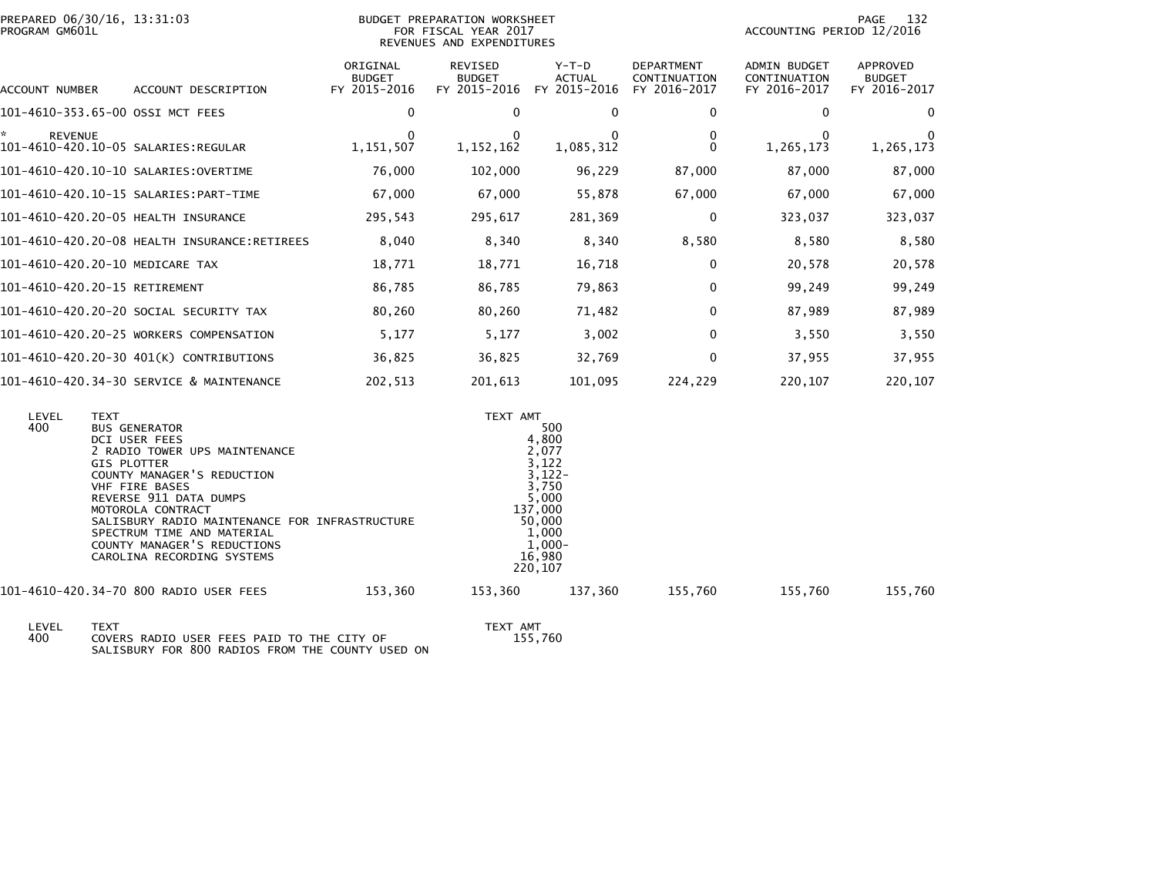| PREPARED 06/30/16, 13:31:03<br>PROGRAM GM601L |                                              |                                           | BUDGET PREPARATION WORKSHEET<br>FOR FISCAL YEAR 2017<br>REVENUES AND EXPENDITURES |                                          | - 132<br>PAGE<br>ACCOUNTING PERIOD 12/2016        |                                                     |                                                  |
|-----------------------------------------------|----------------------------------------------|-------------------------------------------|-----------------------------------------------------------------------------------|------------------------------------------|---------------------------------------------------|-----------------------------------------------------|--------------------------------------------------|
| ACCOUNT NUMBER                                | ACCOUNT DESCRIPTION                          | ORIGINAL<br><b>BUDGET</b><br>FY 2015-2016 | REVISED<br><b>BUDGET</b><br>FY 2015-2016                                          | $Y-T-D$<br><b>ACTUAL</b><br>FY 2015-2016 | <b>DEPARTMENT</b><br>CONTINUATION<br>FY 2016-2017 | <b>ADMIN BUDGET</b><br>CONTINUATION<br>FY 2016-2017 | <b>APPROVED</b><br><b>BUDGET</b><br>FY 2016-2017 |
| 101-4610-353.65-00 OSSI MCT FEES              |                                              | 0                                         |                                                                                   | 0                                        | $\mathbf{0}$                                      | 0                                                   | 0                                                |
| ÷.<br><b>REVENUE</b>                          |                                              | 1,151,507                                 | 1, 152, 162                                                                       | 1,085,312                                | $\Omega$                                          | 1,265,173                                           | 1,265,173                                        |
|                                               |                                              | 76,000                                    | 102,000                                                                           | 96,229                                   | 87,000                                            | 87,000                                              | 87,000                                           |
|                                               | 101-4610-420.10-15 SALARIES:PART-TIME        | 67,000                                    | 67,000                                                                            | 55,878                                   | 67,000                                            | 67,000                                              | 67,000                                           |
| 101-4610-420.20-05 HEALTH INSURANCE           |                                              | 295,543                                   | 295,617                                                                           | 281,369                                  | $\mathbf 0$                                       | 323,037                                             | 323,037                                          |
|                                               | 101-4610-420.20-08 HEALTH INSURANCE:RETIREES | 8,040                                     | 8,340                                                                             | 8,340                                    | 8,580                                             | 8,580                                               | 8,580                                            |
| 101-4610-420.20-10 MEDICARE TAX               |                                              | 18,771                                    | 18,771                                                                            | 16,718                                   | 0                                                 | 20,578                                              | 20,578                                           |
| 101-4610-420.20-15 RETIREMENT                 |                                              | 86,785                                    | 86,785                                                                            | 79,863                                   | $\mathbf{0}$                                      | 99,249                                              | 99,249                                           |
|                                               | 101-4610-420.20-20 SOCIAL SECURITY TAX       | 80,260                                    | 80,260                                                                            | 71,482                                   | 0                                                 | 87,989                                              | 87,989                                           |
|                                               | 101-4610-420.20-25 WORKERS COMPENSATION      | 5,177                                     | 5,177                                                                             | 3,002                                    | $\mathbf{0}$                                      | 3,550                                               | 3,550                                            |
|                                               | 101-4610-420.20-30 401(K) CONTRIBUTIONS      | 36,825                                    | 36,825                                                                            | 32,769                                   | 0                                                 | 37,955                                              | 37,955                                           |
|                                               | 101-4610-420.34-30 SERVICE & MAINTENANCE     | 202,513                                   | 201,613                                                                           | 101,095                                  | 224,229                                           | 220,107                                             | 220,107                                          |

| LEVEL<br>400 | TEXT<br><b>BUS GENERATOR</b><br><b>DCI USER FEES</b><br>2 RADIO TOWER UPS MAINTENANCE<br><b>GIS PLOTTER</b><br>COUNTY MANAGER'S REDUCTION<br><b>VHF FIRE BASES</b><br>REVERSE 911 DATA DUMPS<br>MOTOROLA CONTRACT<br>SALISBURY RADIO MAINTENANCE FOR INFRASTRUCTURE<br>SPECTRUM TIME AND MATERIAL<br>COUNTY MANAGER'S REDUCTIONS<br>CAROLINA RECORDING SYSTEMS |         | TEXT AMT<br>4,800<br>2,077<br>3,122<br>137,000<br>$50,000$<br>1,000<br>$\overline{1,000}$ -<br>16,980<br>220,107 | 500<br>$\frac{3}{122}$<br>3,750<br>5,000 |         |         |         |
|--------------|----------------------------------------------------------------------------------------------------------------------------------------------------------------------------------------------------------------------------------------------------------------------------------------------------------------------------------------------------------------|---------|------------------------------------------------------------------------------------------------------------------|------------------------------------------|---------|---------|---------|
|              | 101-4610-420.34-70 800 RADIO USER FEES                                                                                                                                                                                                                                                                                                                         | 153.360 | 153,360                                                                                                          | 137.360                                  | 155.760 | 155.760 | 155,760 |

 LEVEL TEXT TEXT AMT 400 COVERS RADIO USER FEES PAID TO THE CITY OF 155,760 SALISBURY FOR 800 RADIOS FROM THE COUNTY USED ONTEXT AMT<br>155,760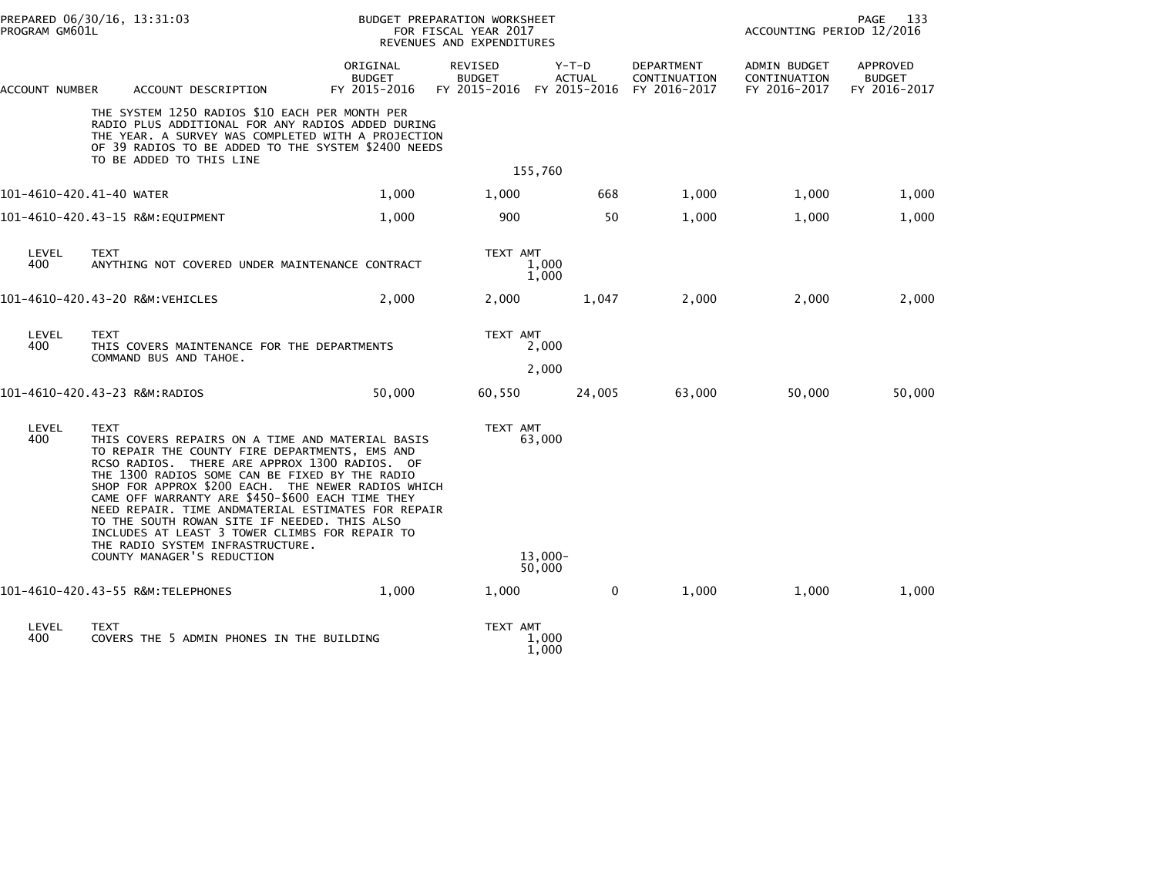| PREPARED 06/30/16, 13:31:03<br>PROGRAM GM601L |                                                                                                                                                                                                                                                                                                                                                                                                                                                                                                                                                          | BUDGET PREPARATION WORKSHEET<br>FOR FISCAL YEAR 2017<br>REVENUES AND EXPENDITURES |                                                              |                          | ACCOUNTING PERIOD 12/2016                         | 133<br>PAGE                                  |                                                  |
|-----------------------------------------------|----------------------------------------------------------------------------------------------------------------------------------------------------------------------------------------------------------------------------------------------------------------------------------------------------------------------------------------------------------------------------------------------------------------------------------------------------------------------------------------------------------------------------------------------------------|-----------------------------------------------------------------------------------|--------------------------------------------------------------|--------------------------|---------------------------------------------------|----------------------------------------------|--------------------------------------------------|
| ACCOUNT NUMBER                                | ACCOUNT DESCRIPTION                                                                                                                                                                                                                                                                                                                                                                                                                                                                                                                                      | ORIGINAL<br><b>BUDGET</b><br>FY 2015-2016                                         | <b>REVISED</b><br><b>BUDGET</b><br>FY 2015-2016 FY 2015-2016 | $Y-T-D$<br><b>ACTUAL</b> | <b>DEPARTMENT</b><br>CONTINUATION<br>FY 2016-2017 | ADMIN BUDGET<br>CONTINUATION<br>FY 2016-2017 | <b>APPROVED</b><br><b>BUDGET</b><br>FY 2016-2017 |
|                                               | THE SYSTEM 1250 RADIOS \$10 EACH PER MONTH PER<br>RADIO PLUS ADDITIONAL FOR ANY RADIOS ADDED DURING<br>THE YEAR. A SURVEY WAS COMPLETED WITH A PROJECTION<br>OF 39 RADIOS TO BE ADDED TO THE SYSTEM \$2400 NEEDS<br>TO BE ADDED TO THIS LINE                                                                                                                                                                                                                                                                                                             |                                                                                   |                                                              |                          |                                                   |                                              |                                                  |
|                                               |                                                                                                                                                                                                                                                                                                                                                                                                                                                                                                                                                          |                                                                                   | 155,760                                                      |                          |                                                   |                                              |                                                  |
| 101-4610-420.41-40 WATER                      |                                                                                                                                                                                                                                                                                                                                                                                                                                                                                                                                                          | 1,000                                                                             | 1,000                                                        | 668                      | 1,000                                             | 1,000                                        | 1,000                                            |
|                                               | 101-4610-420.43-15 R&M:EQUIPMENT                                                                                                                                                                                                                                                                                                                                                                                                                                                                                                                         | 1,000                                                                             | 900                                                          | 50                       | 1,000                                             | 1,000                                        | 1,000                                            |
| LEVEL<br>400                                  | <b>TEXT</b><br>ANYTHING NOT COVERED UNDER MAINTENANCE CONTRACT                                                                                                                                                                                                                                                                                                                                                                                                                                                                                           |                                                                                   | TEXT AMT<br>1,000<br>1,000                                   |                          |                                                   |                                              |                                                  |
|                                               | 101-4610-420.43-20 R&M:VEHICLES                                                                                                                                                                                                                                                                                                                                                                                                                                                                                                                          | 2,000                                                                             | 2,000                                                        | 1,047                    | 2,000                                             | 2,000                                        | 2,000                                            |
| LEVEL<br>400                                  | <b>TEXT</b><br>THIS COVERS MAINTENANCE FOR THE DEPARTMENTS<br>COMMAND BUS AND TAHOE.                                                                                                                                                                                                                                                                                                                                                                                                                                                                     |                                                                                   | TEXT AMT<br>2,000                                            |                          |                                                   |                                              |                                                  |
|                                               |                                                                                                                                                                                                                                                                                                                                                                                                                                                                                                                                                          |                                                                                   | 2,000                                                        |                          |                                                   |                                              |                                                  |
|                                               | 101-4610-420.43-23 R&M:RADIOS                                                                                                                                                                                                                                                                                                                                                                                                                                                                                                                            | 50,000                                                                            | 60,550                                                       | 24,005                   | 63,000                                            | 50,000                                       | 50,000                                           |
| LEVEL<br>400                                  | <b>TEXT</b><br>THIS COVERS REPAIRS ON A TIME AND MATERIAL BASIS<br>TO REPAIR THE COUNTY FIRE DEPARTMENTS, EMS AND<br>RCSO RADIOS. THERE ARE APPROX 1300 RADIOS. OF<br>THE 1300 RADIOS SOME CAN BE FIXED BY THE RADIO<br>SHOP FOR APPROX \$200 EACH. THE NEWER RADIOS WHICH<br>CAME OFF WARRANTY ARE \$450-\$600 EACH TIME THEY<br>NEED REPAIR. TIME ANDMATERIAL ESTIMATES FOR REPAIR<br>TO THE SOUTH ROWAN SITE IF NEEDED. THIS ALSO<br>INCLUDES AT LEAST 3 TOWER CLIMBS FOR REPAIR TO<br>THE RADIO SYSTEM INFRASTRUCTURE.<br>COUNTY MANAGER'S REDUCTION |                                                                                   | TEXT AMT<br>63,000<br>$13.000 -$                             |                          |                                                   |                                              |                                                  |
|                                               |                                                                                                                                                                                                                                                                                                                                                                                                                                                                                                                                                          |                                                                                   | 50,000                                                       |                          |                                                   |                                              |                                                  |
|                                               | 101-4610-420.43-55 R&M:TELEPHONES                                                                                                                                                                                                                                                                                                                                                                                                                                                                                                                        | 1,000                                                                             | 1,000                                                        | 0                        | 1,000                                             | 1,000                                        | 1,000                                            |
| LEVEL<br>400                                  | <b>TEXT</b><br>COVERS THE 5 ADMIN PHONES IN THE BUILDING                                                                                                                                                                                                                                                                                                                                                                                                                                                                                                 |                                                                                   | TEXT AMT<br>1,000<br>1,000                                   |                          |                                                   |                                              |                                                  |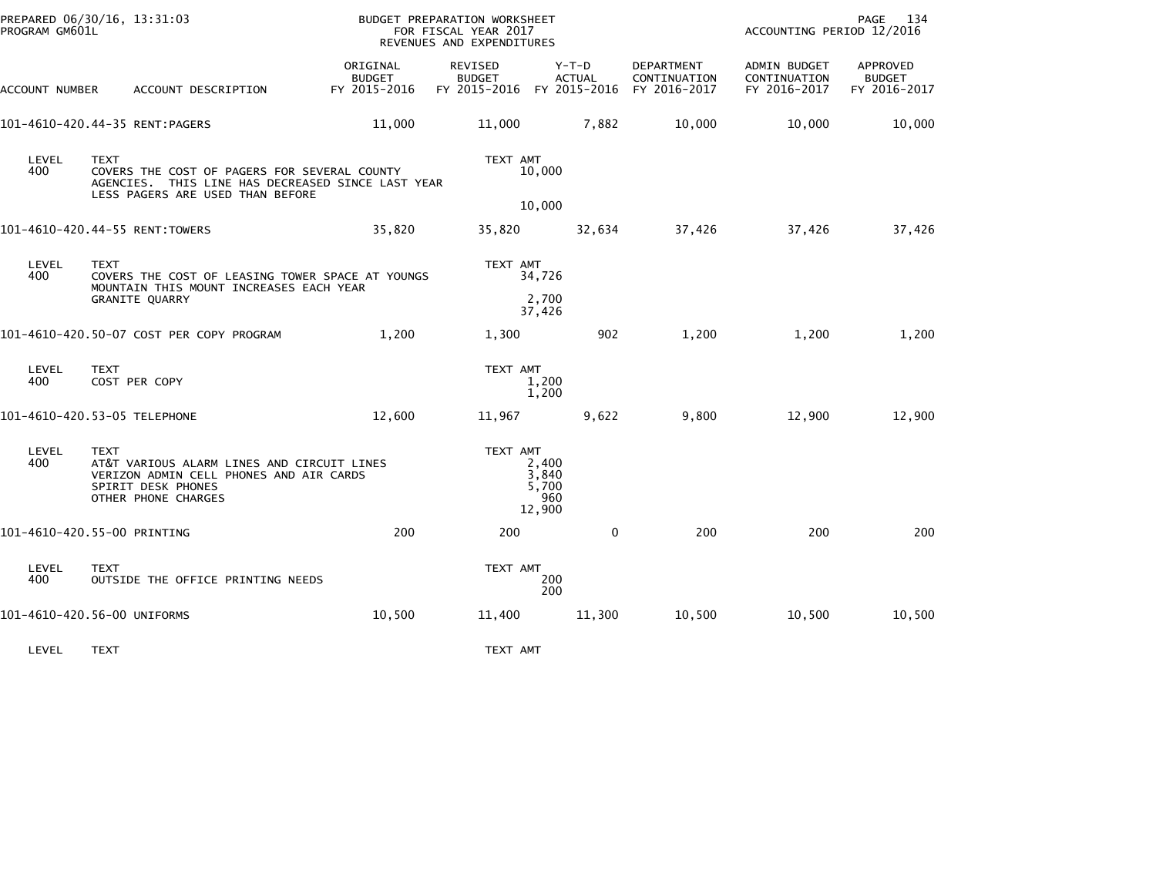| PREPARED 06/30/16, 13:31:03<br>PROGRAM GM601L |                                                          |                                                                                                                                       |                                           | BUDGET PREPARATION WORKSHEET<br>FOR FISCAL YEAR 2017<br>REVENUES AND EXPENDITURES |                                          |                            | ACCOUNTING PERIOD 12/2016                    | PAGE 134                                  |
|-----------------------------------------------|----------------------------------------------------------|---------------------------------------------------------------------------------------------------------------------------------------|-------------------------------------------|-----------------------------------------------------------------------------------|------------------------------------------|----------------------------|----------------------------------------------|-------------------------------------------|
| ACCOUNT NUMBER                                |                                                          | ACCOUNT DESCRIPTION                                                                                                                   | ORIGINAL<br><b>BUDGET</b><br>FY 2015-2016 | REVISED<br><b>BUDGET</b><br>FY 2015-2016 FY 2015-2016 FY 2016-2017                | $Y-T-D$<br><b>ACTUAL</b>                 | DEPARTMENT<br>CONTINUATION | ADMIN BUDGET<br>CONTINUATION<br>FY 2016-2017 | APPROVED<br><b>BUDGET</b><br>FY 2016-2017 |
| 101-4610-420.44-35 RENT:PAGERS                |                                                          |                                                                                                                                       | 11,000                                    | 11,000                                                                            | 7,882                                    | 10,000                     | 10,000                                       | 10,000                                    |
| LEVEL<br>400                                  | <b>TEXT</b>                                              | COVERS THE COST OF PAGERS FOR SEVERAL COUNTY<br>AGENCIES. THIS LINE HAS DECREASED SINCE LAST YEAR<br>LESS PAGERS ARE USED THAN BEFORE |                                           | TEXT AMT                                                                          | 10,000                                   |                            |                                              |                                           |
| 101-4610-420.44-55 RENT:TOWERS                |                                                          |                                                                                                                                       | 35,820                                    | 35,820                                                                            | 10,000<br>32,634                         | 37,426                     | 37,426                                       | 37,426                                    |
| LEVEL<br>400                                  | <b>TEXT</b><br><b>GRANITE QUARRY</b>                     | COVERS THE COST OF LEASING TOWER SPACE AT YOUNGS<br>MOUNTAIN THIS MOUNT INCREASES EACH YEAR                                           |                                           | TEXT AMT                                                                          | 34,726<br>2,700<br>37,426                |                            |                                              |                                           |
|                                               |                                                          | 101-4610-420.50-07 COST PER COPY PROGRAM                                                                                              | 1,200                                     | 1,300                                                                             | 902                                      | 1,200                      | 1,200                                        | 1,200                                     |
| LEVEL<br>400                                  | <b>TEXT</b><br>COST PER COPY                             |                                                                                                                                       |                                           | TEXT AMT                                                                          | 1.200<br>1,200                           |                            |                                              |                                           |
| 101-4610-420.53-05 TELEPHONE                  |                                                          |                                                                                                                                       | 12,600                                    | 11,967                                                                            | 9,622                                    | 9,800                      | 12,900                                       | 12,900                                    |
| LEVEL<br>400                                  | <b>TEXT</b><br>SPIRIT DESK PHONES<br>OTHER PHONE CHARGES | AT&T VARIOUS ALARM LINES AND CIRCUIT LINES<br>VERIZON ADMIN CELL PHONES AND AIR CARDS                                                 |                                           | TEXT AMT                                                                          | 2,400<br>3,840<br>5,700<br>960<br>12,900 |                            |                                              |                                           |
| 101-4610-420.55-00 PRINTING                   |                                                          |                                                                                                                                       | 200                                       | 200                                                                               | $\mathbf{0}$                             | 200                        | 200                                          | 200                                       |
| LEVEL<br>400                                  | <b>TEXT</b>                                              | OUTSIDE THE OFFICE PRINTING NEEDS                                                                                                     |                                           | TEXT AMT                                                                          | 200<br>200                               |                            |                                              |                                           |
| 101-4610-420.56-00 UNIFORMS                   |                                                          |                                                                                                                                       | 10,500                                    | 11,400                                                                            | 11,300                                   | 10,500                     | 10,500                                       | 10,500                                    |
| LEVEL                                         | <b>TEXT</b>                                              |                                                                                                                                       |                                           | TEXT AMT                                                                          |                                          |                            |                                              |                                           |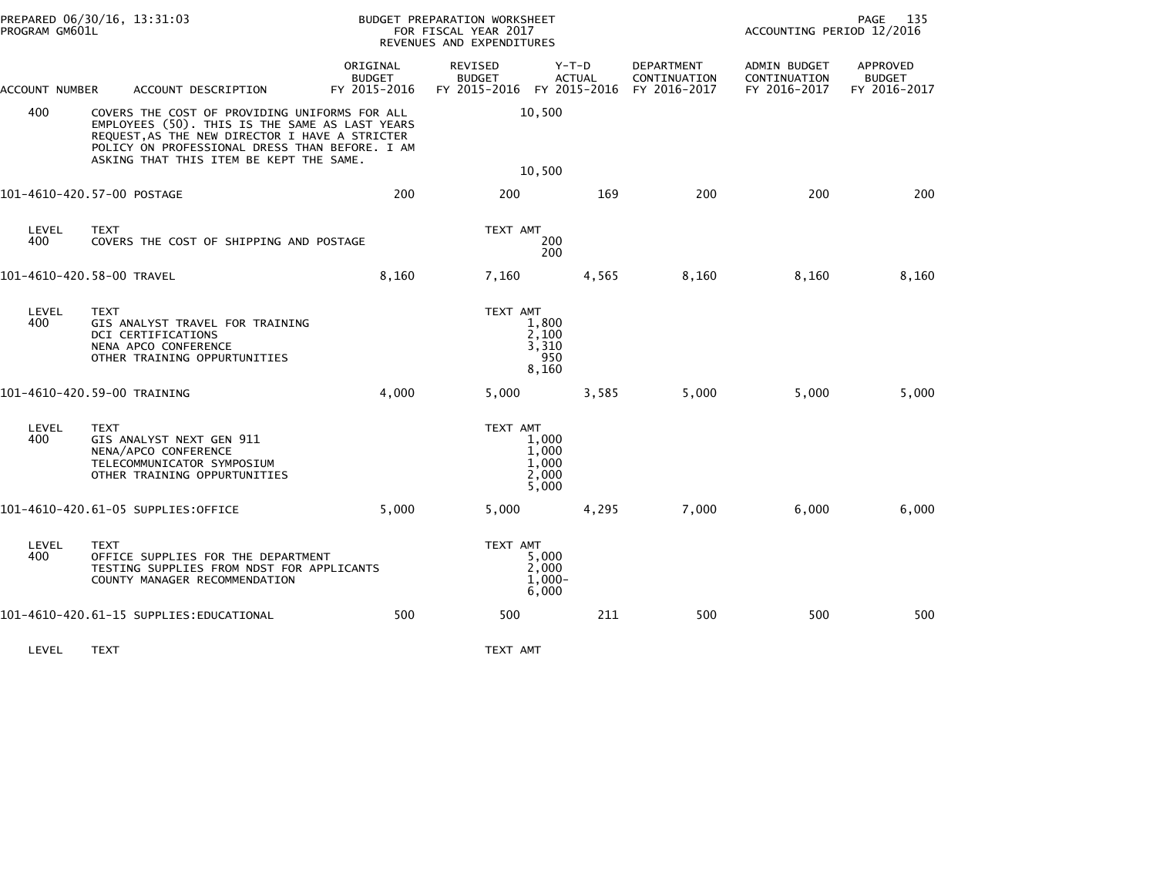|                             | PREPARED 06/30/16, 13:31:03<br>PROGRAM GM601L |                                                                                                                                                                                                                                                |                                           | BUDGET PREPARATION WORKSHEET<br>FOR FISCAL YEAR 2017<br>REVENUES AND EXPENDITURES |                                           |                            | 135<br>PAGE<br>ACCOUNTING PERIOD 12/2016     |                                           |  |
|-----------------------------|-----------------------------------------------|------------------------------------------------------------------------------------------------------------------------------------------------------------------------------------------------------------------------------------------------|-------------------------------------------|-----------------------------------------------------------------------------------|-------------------------------------------|----------------------------|----------------------------------------------|-------------------------------------------|--|
| ACCOUNT NUMBER              |                                               | ACCOUNT DESCRIPTION                                                                                                                                                                                                                            | ORIGINAL<br><b>BUDGET</b><br>FY 2015-2016 | <b>REVISED</b><br><b>BUDGET</b><br>FY 2015-2016 FY 2015-2016 FY 2016-2017         | Y-T-D<br><b>ACTUAL</b>                    | DEPARTMENT<br>CONTINUATION | ADMIN BUDGET<br>CONTINUATION<br>FY 2016-2017 | APPROVED<br><b>BUDGET</b><br>FY 2016-2017 |  |
| 400                         |                                               | COVERS THE COST OF PROVIDING UNIFORMS FOR ALL<br>EMPLOYEES (50). THIS IS THE SAME AS LAST YEARS<br>REQUEST, AS THE NEW DIRECTOR I HAVE A STRICTER<br>POLICY ON PROFESSIONAL DRESS THAN BEFORE. I AM<br>ASKING THAT THIS ITEM BE KEPT THE SAME. |                                           |                                                                                   | 10,500<br>10,500                          |                            |                                              |                                           |  |
| 101-4610-420.57-00 POSTAGE  |                                               |                                                                                                                                                                                                                                                | 200                                       | 200                                                                               | 169                                       | 200                        | 200                                          | 200                                       |  |
| LEVEL<br>400                | <b>TEXT</b>                                   | COVERS THE COST OF SHIPPING AND POSTAGE                                                                                                                                                                                                        |                                           | TEXT AMT                                                                          | 200<br>200                                |                            |                                              |                                           |  |
| 101-4610-420.58-00 TRAVEL   |                                               |                                                                                                                                                                                                                                                | 8,160                                     | 7,160                                                                             | 4,565                                     | 8,160                      | 8,160                                        | 8,160                                     |  |
| LEVEL<br>400                | <b>TEXT</b>                                   | GIS ANALYST TRAVEL FOR TRAINING<br>DCI CERTIFICATIONS<br>NENA APCO CONFERENCE<br>OTHER TRAINING OPPURTUNITIES                                                                                                                                  |                                           | TEXT AMT                                                                          | 1,800<br>2,100<br>3,310<br>950<br>8,160   |                            |                                              |                                           |  |
| 101-4610-420.59-00 TRAINING |                                               |                                                                                                                                                                                                                                                | 4,000                                     | 5,000                                                                             | 3,585                                     | 5,000                      | 5,000                                        | 5,000                                     |  |
| LEVEL<br>400                | <b>TEXT</b>                                   | GIS ANALYST NEXT GEN 911<br>NENA/APCO CONFERENCE<br>TELECOMMUNICATOR SYMPOSIUM<br>OTHER TRAINING OPPURTUNITIES                                                                                                                                 |                                           | TEXT AMT                                                                          | 1.000<br>1.000<br>1,000<br>2,000<br>5,000 |                            |                                              |                                           |  |
|                             |                                               | 101-4610-420.61-05 SUPPLIES:OFFICE                                                                                                                                                                                                             | 5,000                                     | 5,000                                                                             | 4,295                                     | 7,000                      | 6,000                                        | 6,000                                     |  |
| LEVEL<br>400                | <b>TEXT</b>                                   | OFFICE SUPPLIES FOR THE DEPARTMENT<br>TESTING SUPPLIES FROM NDST FOR APPLICANTS<br>COUNTY MANAGER RECOMMENDATION                                                                                                                               |                                           | TEXT AMT                                                                          | 5,000<br>2,000<br>$1,000 -$<br>6,000      |                            |                                              |                                           |  |
|                             |                                               | 101-4610-420.61-15 SUPPLIES:EDUCATIONAL                                                                                                                                                                                                        | 500                                       | 500                                                                               | 211                                       | 500                        | 500                                          | 500                                       |  |
| LEVEL                       | <b>TEXT</b>                                   |                                                                                                                                                                                                                                                |                                           | TEXT AMT                                                                          |                                           |                            |                                              |                                           |  |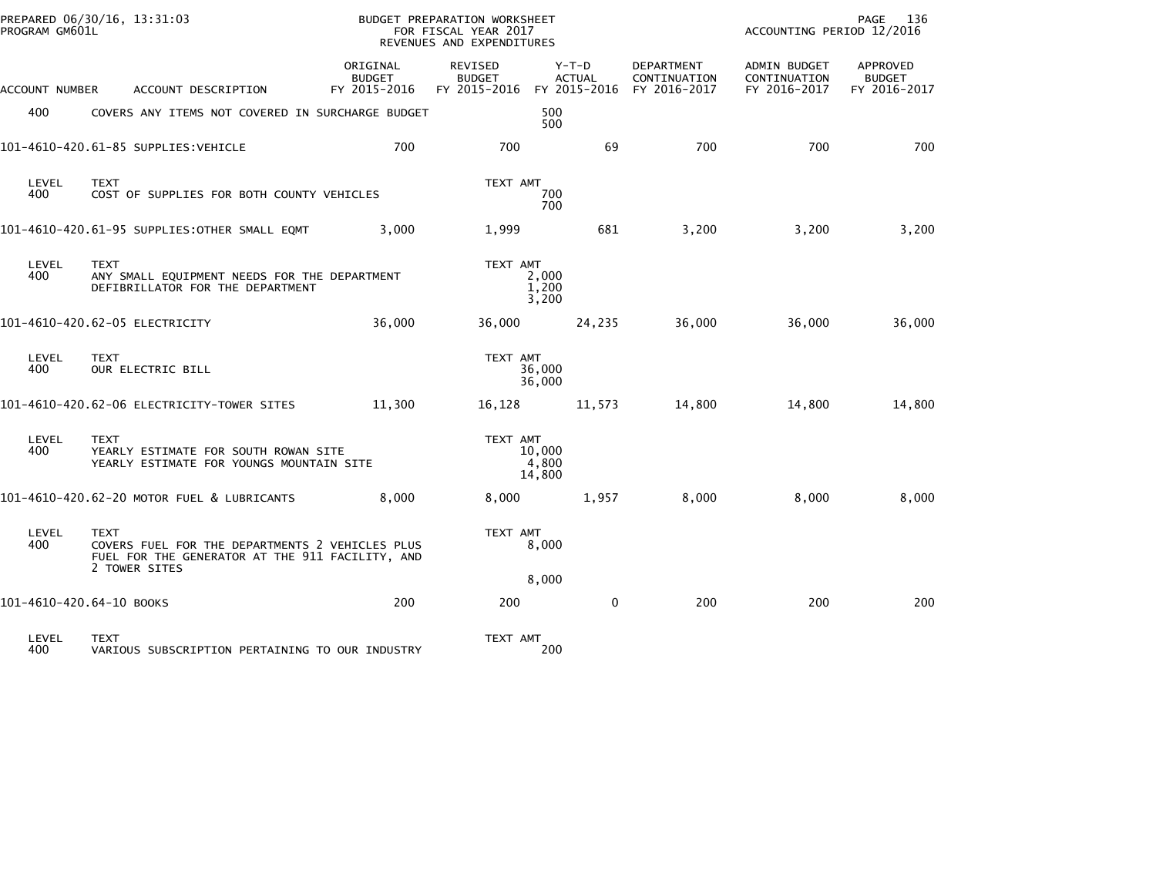| PROGRAM GM601L           | PREPARED 06/30/16, 13:31:03                                                                                                        |                                           | BUDGET PREPARATION WORKSHEET<br>FOR FISCAL YEAR 2017<br>REVENUES AND EXPENDITURES |                                          |                                            | ACCOUNTING PERIOD 12/2016                    | PAGE<br>136                               |
|--------------------------|------------------------------------------------------------------------------------------------------------------------------------|-------------------------------------------|-----------------------------------------------------------------------------------|------------------------------------------|--------------------------------------------|----------------------------------------------|-------------------------------------------|
| ACCOUNT NUMBER           | ACCOUNT DESCRIPTION                                                                                                                | ORIGINAL<br><b>BUDGET</b><br>FY 2015-2016 | REVISED<br><b>BUDGET</b><br>FY 2015-2016                                          | $Y-T-D$<br><b>ACTUAL</b><br>FY 2015-2016 | DEPARTMENT<br>CONTINUATION<br>FY 2016-2017 | ADMIN BUDGET<br>CONTINUATION<br>FY 2016-2017 | APPROVED<br><b>BUDGET</b><br>FY 2016-2017 |
| 400                      | COVERS ANY ITEMS NOT COVERED IN SURCHARGE BUDGET                                                                                   |                                           |                                                                                   | 500<br>500                               |                                            |                                              |                                           |
|                          | 101-4610-420.61-85 SUPPLIES: VEHICLE                                                                                               | 700                                       | 700                                                                               | 69                                       | 700                                        | 700                                          | 700                                       |
| LEVEL<br>400             | <b>TEXT</b><br>COST OF SUPPLIES FOR BOTH COUNTY VEHICLES                                                                           |                                           | TEXT AMT                                                                          | 700<br>700                               |                                            |                                              |                                           |
|                          | 101-4610-420.61-95 SUPPLIES: OTHER SMALL EQMT                                                                                      | 3,000                                     | 1,999                                                                             | 681                                      | 3,200                                      | 3,200                                        | 3,200                                     |
| LEVEL<br>400             | <b>TEXT</b><br>ANY SMALL EQUIPMENT NEEDS FOR THE DEPARTMENT<br>DEFIBRILLATOR FOR THE DEPARTMENT                                    |                                           | TEXT AMT                                                                          | 2,000<br>1,200<br>3,200                  |                                            |                                              |                                           |
|                          | 101-4610-420.62-05 ELECTRICITY                                                                                                     | 36,000                                    | 36,000                                                                            | 24,235                                   | 36,000                                     | 36,000                                       | 36,000                                    |
| LEVEL<br>400             | <b>TEXT</b><br>OUR ELECTRIC BILL                                                                                                   |                                           | TEXT AMT                                                                          | 36,000<br>36,000                         |                                            |                                              |                                           |
|                          | 101-4610-420.62-06 ELECTRICITY-TOWER SITES                                                                                         | 11,300                                    | 16,128                                                                            | 11,573                                   | 14,800                                     | 14,800                                       | 14,800                                    |
| LEVEL<br>400             | <b>TEXT</b><br>YEARLY ESTIMATE FOR SOUTH ROWAN SITE<br>YEARLY ESTIMATE FOR YOUNGS MOUNTAIN SITE                                    |                                           | TEXT AMT                                                                          | 10,000<br>4,800<br>14,800                |                                            |                                              |                                           |
|                          | 101-4610-420.62-20 MOTOR FUEL & LUBRICANTS                                                                                         | 8,000                                     | 8,000                                                                             | 1,957                                    | 8,000                                      | 8,000                                        | 8,000                                     |
| LEVEL<br>400             | <b>TEXT</b><br>COVERS FUEL FOR THE DEPARTMENTS 2 VEHICLES PLUS<br>FUEL FOR THE GENERATOR AT THE 911 FACILITY, AND<br>2 TOWER SITES |                                           | TEXT AMT                                                                          | 8,000                                    |                                            |                                              |                                           |
| 101-4610-420.64-10 BOOKS |                                                                                                                                    | 200                                       | 200                                                                               | 8,000<br>$\mathbf{0}$                    | 200                                        | 200                                          | 200                                       |
| LEVEL<br>400             | <b>TEXT</b>                                                                                                                        |                                           | TEXT AMT                                                                          | 200                                      |                                            |                                              |                                           |
|                          | VARIOUS SUBSCRIPTION PERTAINING TO OUR INDUSTRY                                                                                    |                                           |                                                                                   |                                          |                                            |                                              |                                           |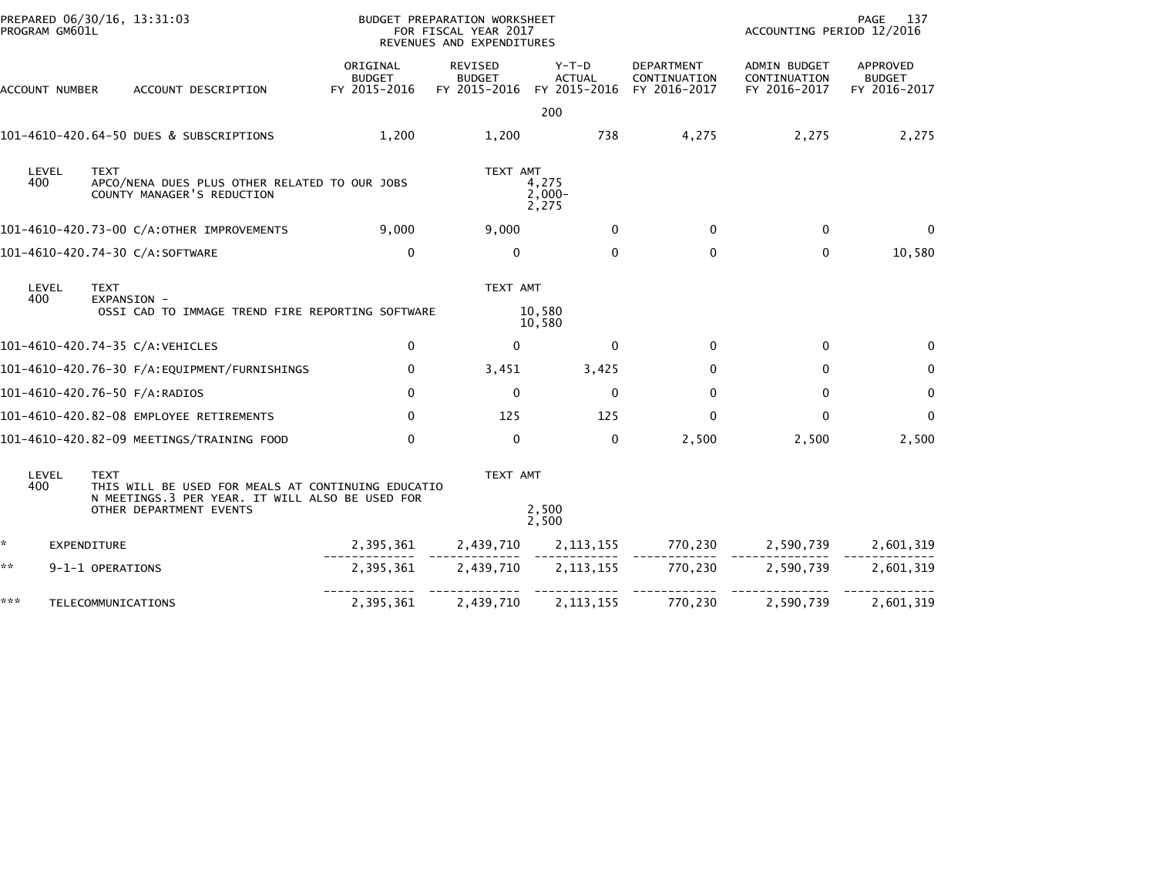|     | PROGRAM GM601L | PREPARED 06/30/16, 13:31:03                                                                                                                     | BUDGET PREPARATION WORKSHEET              | FOR FISCAL YEAR 2017<br>REVENUES AND EXPENDITURES |                                        |                                                   | ACCOUNTING PERIOD 12/2016                    | PAGE<br>- 137                             |
|-----|----------------|-------------------------------------------------------------------------------------------------------------------------------------------------|-------------------------------------------|---------------------------------------------------|----------------------------------------|---------------------------------------------------|----------------------------------------------|-------------------------------------------|
|     | ACCOUNT NUMBER | ACCOUNT DESCRIPTION                                                                                                                             | ORIGINAL<br><b>BUDGET</b><br>FY 2015-2016 | REVISED<br><b>BUDGET</b><br>FY 2015-2016          | Y-T-D<br><b>ACTUAL</b><br>FY 2015-2016 | <b>DEPARTMENT</b><br>CONTINUATION<br>FY 2016-2017 | ADMIN BUDGET<br>CONTINUATION<br>FY 2016-2017 | APPROVED<br><b>BUDGET</b><br>FY 2016-2017 |
|     |                |                                                                                                                                                 |                                           |                                                   | 200                                    |                                                   |                                              |                                           |
|     |                | 101-4610-420.64-50 DUES & SUBSCRIPTIONS                                                                                                         | 1,200                                     | 1,200                                             | 738                                    | 4,275                                             | 2,275                                        | 2,275                                     |
| 400 | LEVEL          | <b>TEXT</b><br>APCO/NENA DUES PLUS OTHER RELATED TO OUR JOBS<br>COUNTY MANAGER'S REDUCTION                                                      |                                           | TEXT AMT                                          | 4,275<br>$2,000-$<br>2,275             |                                                   |                                              |                                           |
|     |                | 101-4610-420.73-00 C/A:OTHER IMPROVEMENTS                                                                                                       | 9,000                                     | 9,000                                             | $\mathbf{0}$                           | $\Omega$                                          | $\mathbf{0}$                                 | $\Omega$                                  |
|     |                | 101-4610-420.74-30 C/A:SOFTWARE                                                                                                                 | $\mathbf 0$                               | $\mathbf{0}$                                      | $\mathbf{0}$                           | $\mathbf{0}$                                      | $\mathbf{0}$                                 | 10,580                                    |
| 400 | LEVEL          | <b>TEXT</b><br>EXPANSION -<br>OSSI CAD TO IMMAGE TREND FIRE REPORTING SOFTWARE                                                                  |                                           | TEXT AMT                                          | 10,580                                 |                                                   |                                              |                                           |
|     |                |                                                                                                                                                 |                                           |                                                   | 10,580                                 |                                                   |                                              |                                           |
|     |                | 101-4610-420.74-35 C/A:VEHICLES                                                                                                                 | $\mathbf 0$                               | $\mathbf{0}$                                      | $\mathbf{0}$                           | $\mathbf 0$                                       | $\mathbf 0$                                  | $\mathbf{0}$                              |
|     |                |                                                                                                                                                 | $\mathbf 0$                               | 3,451                                             | 3,425                                  | 0                                                 | 0                                            | $\mathbf 0$                               |
|     |                | 101-4610-420.76-50 F/A:RADIOS                                                                                                                   | $\mathbf{0}$                              | $\mathbf{0}$                                      | $\mathbf{0}$                           | $\mathbf{0}$                                      | $\mathbf{0}$                                 | 0                                         |
|     |                | 101-4610-420.82-08 EMPLOYEE RETIREMENTS                                                                                                         | $\Omega$                                  | 125                                               | 125                                    | $\mathbf{0}$                                      | $\mathbf{0}$                                 | $\Omega$                                  |
|     |                | 101-4610-420.82-09 MEETINGS/TRAINING FOOD                                                                                                       | $\mathbf{0}$                              | $\mathbf{0}$                                      | $\mathbf{0}$                           | 2,500                                             | 2,500                                        | 2,500                                     |
| 400 | LEVEL          | <b>TEXT</b><br>THIS WILL BE USED FOR MEALS AT CONTINUING EDUCATIO<br>N MEETINGS.3 PER YEAR. IT WILL ALSO BE USED FOR<br>OTHER DEPARTMENT EVENTS |                                           | TEXT AMT                                          | 2,500                                  |                                                   |                                              |                                           |
|     |                |                                                                                                                                                 |                                           |                                                   | 2,500                                  |                                                   |                                              |                                           |
| ÷.  | EXPENDITURE    |                                                                                                                                                 | 2,395,361                                 | 2,439,710                                         | 2,113,155                              |                                                   | 770,230 2,590,739                            | 2,601,319                                 |
| **  |                | 9-1-1 OPERATIONS                                                                                                                                | 2,395,361                                 | 2,439,710                                         | 2, 113, 155                            | 770,230                                           | 2,590,739                                    | 2,601,319                                 |
| *** |                | TELECOMMUNICATIONS                                                                                                                              | 2,395,361                                 | 2,439,710                                         | 2, 113, 155                            | 770,230                                           | 2,590,739                                    | 2,601,319                                 |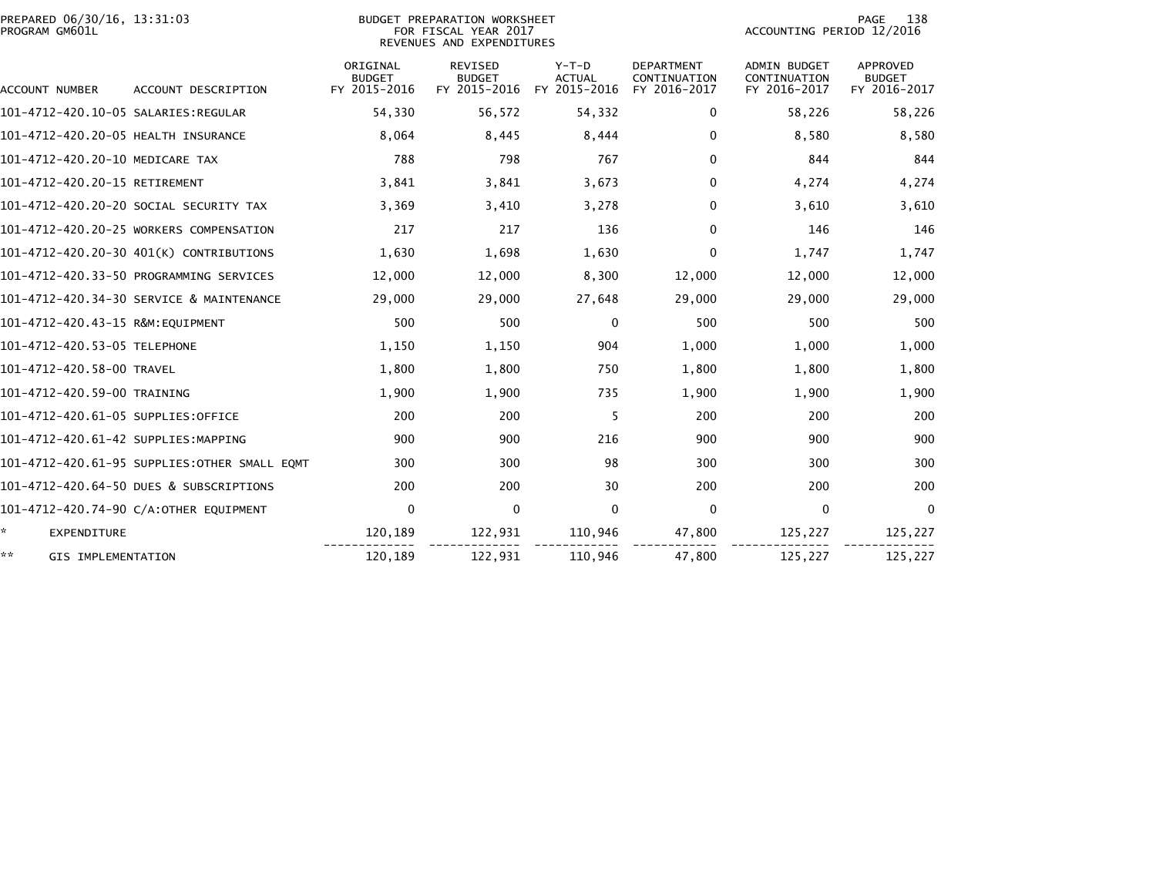| PREPARED 06/30/16, 13:31:03<br>PROGRAM GM601L |                                              |                                           | BUDGET PREPARATION WORKSHEET<br>FOR FISCAL YEAR 2017<br>REVENUES AND EXPENDITURES | 138<br>PAGE<br>ACCOUNTING PERIOD 12/2016 |                                                   |                                                     |                                           |
|-----------------------------------------------|----------------------------------------------|-------------------------------------------|-----------------------------------------------------------------------------------|------------------------------------------|---------------------------------------------------|-----------------------------------------------------|-------------------------------------------|
| ACCOUNT NUMBER                                | ACCOUNT DESCRIPTION                          | ORIGINAL<br><b>BUDGET</b><br>FY 2015-2016 | <b>REVISED</b><br><b>BUDGET</b><br>FY 2015-2016                                   | $Y-T-D$<br><b>ACTUAL</b><br>FY 2015-2016 | <b>DEPARTMENT</b><br>CONTINUATION<br>FY 2016-2017 | <b>ADMIN BUDGET</b><br>CONTINUATION<br>FY 2016-2017 | APPROVED<br><b>BUDGET</b><br>FY 2016-2017 |
|                                               |                                              | 54,330                                    | 56,572                                                                            | 54,332                                   | 0                                                 | 58,226                                              | 58,226                                    |
| 101-4712-420.20-05 HEALTH INSURANCE           |                                              | 8,064                                     | 8,445                                                                             | 8,444                                    | 0                                                 | 8.580                                               | 8,580                                     |
| 101-4712-420.20-10 MEDICARE TAX               |                                              | 788                                       | 798                                                                               | 767                                      | 0                                                 | 844                                                 | 844                                       |
| 101-4712-420.20-15 RETIREMENT                 |                                              | 3,841                                     | 3,841                                                                             | 3,673                                    | 0                                                 | 4,274                                               | 4,274                                     |
|                                               | 101–4712–420.20–20 SOCIAL SECURITY TAX       | 3,369                                     | 3,410                                                                             | 3,278                                    | 0                                                 | 3,610                                               | 3,610                                     |
|                                               | 101-4712-420.20-25 WORKERS COMPENSATION      | 217                                       | 217                                                                               | 136                                      | $\mathbf 0$                                       | 146                                                 | 146                                       |
|                                               | 101-4712-420.20-30 401(K) CONTRIBUTIONS      | 1,630                                     | 1,698                                                                             | 1,630                                    | $\mathbf 0$                                       | 1,747                                               | 1,747                                     |
|                                               | 101-4712-420.33-50 PROGRAMMING SERVICES      | 12,000                                    | 12,000                                                                            | 8,300                                    | 12,000                                            | 12,000                                              | 12,000                                    |
|                                               | 101-4712-420.34-30 SERVICE & MAINTENANCE     | 29,000                                    | 29,000                                                                            | 27,648                                   | 29,000                                            | 29,000                                              | 29,000                                    |
| 101-4712-420.43-15 R&M:EQUIPMENT              |                                              | 500                                       | 500                                                                               | $\mathbf{0}$                             | 500                                               | 500                                                 | 500                                       |
| 101-4712-420.53-05 TELEPHONE                  |                                              | 1,150                                     | 1,150                                                                             | 904                                      | 1,000                                             | 1,000                                               | 1,000                                     |
| 101-4712-420.58-00 TRAVEL                     |                                              | 1,800                                     | 1,800                                                                             | 750                                      | 1,800                                             | 1,800                                               | 1,800                                     |
| 101-4712-420.59-00 TRAINING                   |                                              | 1,900                                     | 1,900                                                                             | 735                                      | 1,900                                             | 1,900                                               | 1,900                                     |
| 101-4712-420.61-05 SUPPLIES:OFFICE            |                                              | 200                                       | 200                                                                               | 5                                        | 200                                               | 200                                                 | 200                                       |
| 101-4712-420.61-42 SUPPLIES:MAPPING           |                                              | 900                                       | 900                                                                               | 216                                      | 900                                               | 900                                                 | 900                                       |
|                                               | 101-4712-420.61-95 SUPPLIES:OTHER SMALL EQMT | 300                                       | 300                                                                               | 98                                       | 300                                               | 300                                                 | 300                                       |
|                                               | 101-4712-420.64-50 DUES & SUBSCRIPTIONS      | 200                                       | 200                                                                               | 30                                       | 200                                               | 200                                                 | 200                                       |
|                                               | 101-4712-420.74-90 C/A:OTHER EQUIPMENT       | 0                                         | $\mathbf 0$                                                                       | $\mathbf 0$                              | 0                                                 | $\mathbf 0$                                         | $\Omega$                                  |
| ☆.<br><b>EXPENDITURE</b>                      |                                              | 120,189                                   | 122,931                                                                           | 110,946                                  | 47,800                                            | 125,227                                             | 125,227                                   |
| **<br>GIS IMPLEMENTATION                      |                                              | 120,189                                   | 122,931                                                                           | 110,946                                  | 47,800                                            | 125,227                                             | 125,227                                   |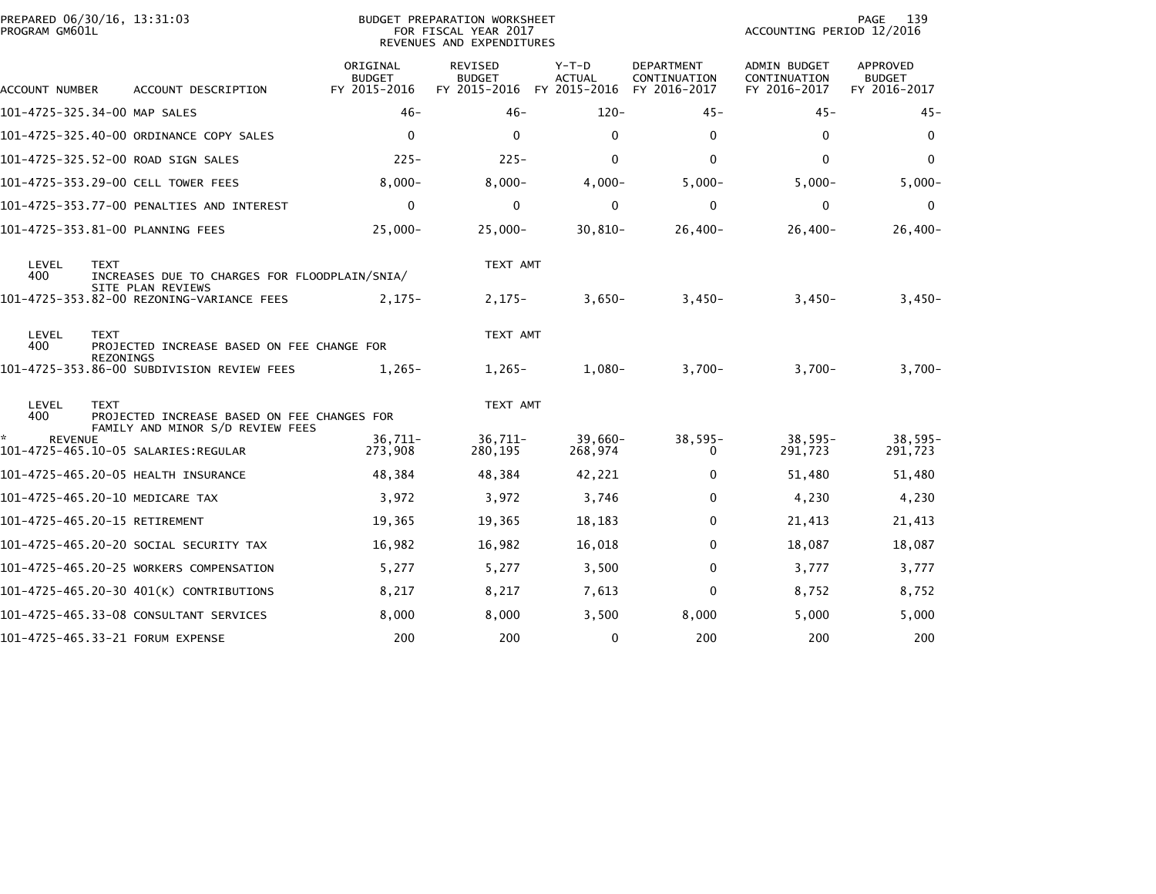| PROGRAM GM601L       | PREPARED 06/30/16, 13:31:03                                                                    | <b>BUDGET PREPARATION WORKSHEET</b><br>FOR FISCAL YEAR 2017<br>REVENUES AND EXPENDITURES |                                          |                                        |                                            | PAGE<br>139<br>ACCOUNTING PERIOD 12/2016     |                                                  |  |
|----------------------|------------------------------------------------------------------------------------------------|------------------------------------------------------------------------------------------|------------------------------------------|----------------------------------------|--------------------------------------------|----------------------------------------------|--------------------------------------------------|--|
| ACCOUNT NUMBER       | ACCOUNT DESCRIPTION                                                                            | ORIGINAL<br><b>BUDGET</b><br>FY 2015-2016                                                | REVISED<br><b>BUDGET</b><br>FY 2015-2016 | Y-T-D<br><b>ACTUAL</b><br>FY 2015-2016 | DEPARTMENT<br>CONTINUATION<br>FY 2016-2017 | ADMIN BUDGET<br>CONTINUATION<br>FY 2016-2017 | <b>APPROVED</b><br><b>BUDGET</b><br>FY 2016-2017 |  |
|                      | 101-4725-325.34-00 MAP SALES                                                                   | $46-$                                                                                    | $46 -$                                   | $120 -$                                | $45 -$                                     | $45 -$                                       | $45 -$                                           |  |
|                      | 101-4725-325.40-00 ORDINANCE COPY SALES                                                        | $\mathbf 0$                                                                              | $\mathbf{0}$                             | $\mathbf 0$                            | 0                                          | 0                                            | $\mathbf{0}$                                     |  |
|                      | 101–4725–325.52–00 ROAD SIGN SALES                                                             | $225 -$                                                                                  | $225 -$                                  | $\mathbf{0}$                           | $\mathbf{0}$                               | $\mathbf{0}$                                 | $\mathbf{0}$                                     |  |
|                      | 101-4725-353.29-00 CELL TOWER FEES                                                             | $8,000 -$                                                                                | $8,000 -$                                | $4,000 -$                              | $5,000-$                                   | $5,000 -$                                    | $5,000 -$                                        |  |
|                      | 101-4725-353.77-00 PENALTIES AND INTEREST                                                      | $\mathbf 0$                                                                              | $\mathbf 0$                              | $\mathbf 0$                            | $\mathbf 0$                                | $\mathbf 0$                                  | $\mathbf 0$                                      |  |
|                      | 101-4725-353.81-00 PLANNING FEES                                                               | $25,000 -$                                                                               | $25,000 -$                               | $30,810-$                              | $26,400-$                                  | $26,400-$                                    | $26,400-$                                        |  |
| LEVEL<br>400         | <b>TEXT</b><br>INCREASES DUE TO CHARGES FOR FLOODPLAIN/SNIA/<br>SITE PLAN REVIEWS              |                                                                                          | TEXT AMT                                 |                                        |                                            |                                              |                                                  |  |
|                      | 101-4725-353.82-00 REZONING-VARIANCE FEES                                                      | $2,175-$                                                                                 | $2,175-$                                 | $3,650-$                               | $3,450-$                                   | $3,450-$                                     | $3,450-$                                         |  |
| LEVEL<br>400         | <b>TEXT</b><br>PROJECTED INCREASE BASED ON FEE CHANGE FOR<br><b>REZONINGS</b>                  |                                                                                          | TEXT AMT                                 |                                        |                                            |                                              |                                                  |  |
|                      | 101-4725-353.86-00 SUBDIVISION REVIEW FEES                                                     | $1.265 -$                                                                                | $1,265-$                                 | $1.080 -$                              | $3,700-$                                   | $3.700 -$                                    | $3.700 -$                                        |  |
| LEVEL<br>400         | <b>TEXT</b><br>PROJECTED INCREASE BASED ON FEE CHANGES FOR<br>FAMILY AND MINOR S/D REVIEW FEES |                                                                                          | TEXT AMT                                 |                                        |                                            |                                              |                                                  |  |
| *.<br><b>REVENUE</b> |                                                                                                | $36,711-$<br>273,908                                                                     | $36,711-$<br>280,195                     | $39,660-$<br>268,974                   | $38,595-$<br>0                             | $38,595-$<br>291,723                         | $38,595-$<br>291,723                             |  |
|                      |                                                                                                | 48,384                                                                                   | 48,384                                   | 42,221                                 | 0                                          | 51,480                                       | 51,480                                           |  |
|                      | 101-4725-465.20-10 MEDICARE TAX                                                                | 3,972                                                                                    | 3,972                                    | 3,746                                  | 0                                          | 4,230                                        | 4,230                                            |  |
|                      | 101-4725-465.20-15 RETIREMENT                                                                  | 19,365                                                                                   | 19,365                                   | 18,183                                 | 0                                          | 21,413                                       | 21,413                                           |  |
|                      | 101–4725–465.20–20 SOCIAL SECURITY TAX                                                         | 16,982                                                                                   | 16,982                                   | 16,018                                 | $\mathbf{0}$                               | 18,087                                       | 18,087                                           |  |
|                      | 101-4725-465.20-25 WORKERS COMPENSATION                                                        | 5,277                                                                                    | 5,277                                    | 3,500                                  | 0                                          | 3,777                                        | 3,777                                            |  |
|                      | 101-4725-465.20-30 401(K) CONTRIBUTIONS                                                        | 8,217                                                                                    | 8,217                                    | 7,613                                  | 0                                          | 8,752                                        | 8,752                                            |  |
|                      | 101-4725-465.33-08 CONSULTANT SERVICES                                                         | 8,000                                                                                    | 8,000                                    | 3,500                                  | 8,000                                      | 5,000                                        | 5,000                                            |  |
|                      | 101-4725-465.33-21 FORUM EXPENSE                                                               | 200                                                                                      | 200                                      | $\mathbf 0$                            | 200                                        | 200                                          | 200                                              |  |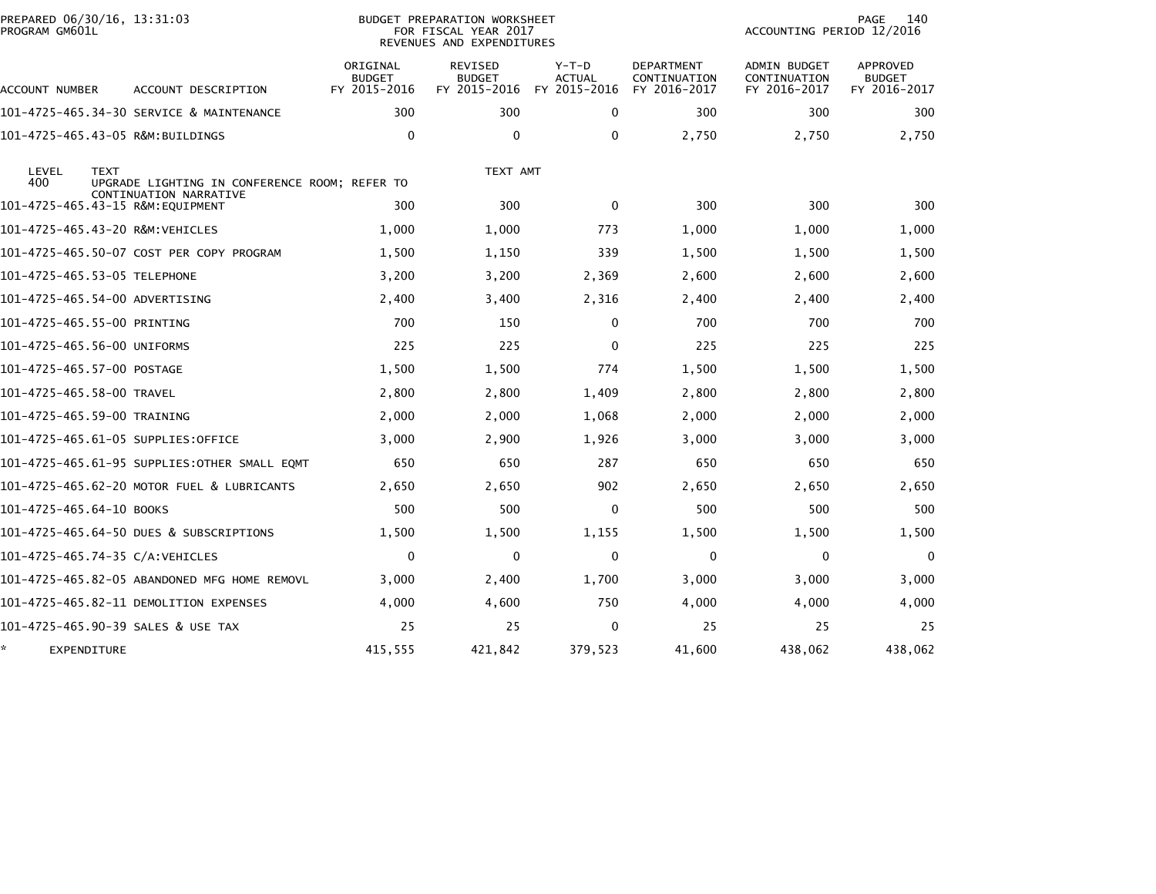| PREPARED 06/30/16, 13:31:03<br>PROGRAM GM601L |                                               |                                           | BUDGET PREPARATION WORKSHEET<br>FOR FISCAL YEAR 2017<br>REVENUES AND EXPENDITURES |                                          |                                                   | <b>PAGE</b><br>140<br>ACCOUNTING PERIOD 12/2016 |                                           |  |
|-----------------------------------------------|-----------------------------------------------|-------------------------------------------|-----------------------------------------------------------------------------------|------------------------------------------|---------------------------------------------------|-------------------------------------------------|-------------------------------------------|--|
| ACCOUNT NUMBER                                | ACCOUNT DESCRIPTION                           | ORIGINAL<br><b>BUDGET</b><br>FY 2015-2016 | <b>REVISED</b><br><b>BUDGET</b><br>FY 2015-2016                                   | $Y-T-D$<br><b>ACTUAL</b><br>FY 2015-2016 | <b>DEPARTMENT</b><br>CONTINUATION<br>FY 2016-2017 | ADMIN BUDGET<br>CONTINUATION<br>FY 2016-2017    | APPROVED<br><b>BUDGET</b><br>FY 2016-2017 |  |
|                                               | 101-4725-465.34-30 SERVICE & MAINTENANCE      | 300                                       | 300                                                                               | 0                                        | 300                                               | 300                                             | 300                                       |  |
| 101-4725-465.43-05 R&M:BUILDINGS              |                                               | $\Omega$                                  | $\mathbf 0$                                                                       | $\mathbf{0}$                             | 2,750                                             | 2,750                                           | 2,750                                     |  |
| LEVEL<br><b>TEXT</b><br>400                   | UPGRADE LIGHTING IN CONFERENCE ROOM; REFER TO |                                           | TEXT AMT                                                                          |                                          |                                                   |                                                 |                                           |  |
|                                               | CONTINUATION NARRATIVE                        | 300                                       | 300                                                                               | $\mathbf{0}$                             | 300                                               | 300                                             | 300                                       |  |
| 101-4725-465.43-20 R&M:VEHICLES               |                                               | 1,000                                     | 1,000                                                                             | 773                                      | 1,000                                             | 1,000                                           | 1,000                                     |  |
|                                               | 101-4725-465.50-07 COST PER COPY PROGRAM      | 1,500                                     | 1,150                                                                             | 339                                      | 1,500                                             | 1,500                                           | 1,500                                     |  |
| 101-4725-465.53-05 TELEPHONE                  |                                               | 3,200                                     | 3,200                                                                             | 2,369                                    | 2,600                                             | 2,600                                           | 2,600                                     |  |
| 101–4725–465.54–00 ADVERTISING                |                                               | 2,400                                     | 3,400                                                                             | 2,316                                    | 2,400                                             | 2,400                                           | 2,400                                     |  |
| 101-4725-465.55-00 PRINTING                   |                                               | 700                                       | 150                                                                               | 0                                        | 700                                               | 700                                             | 700                                       |  |
| 101-4725-465.56-00 UNIFORMS                   |                                               | 225                                       | 225                                                                               | 0                                        | 225                                               | 225                                             | 225                                       |  |
| 101-4725-465.57-00 POSTAGE                    |                                               | 1,500                                     | 1,500                                                                             | 774                                      | 1,500                                             | 1,500                                           | 1,500                                     |  |
| 101-4725-465.58-00 TRAVEL                     |                                               | 2,800                                     | 2,800                                                                             | 1,409                                    | 2,800                                             | 2,800                                           | 2,800                                     |  |
| 101-4725-465.59-00 TRAINING                   |                                               | 2,000                                     | 2,000                                                                             | 1,068                                    | 2,000                                             | 2,000                                           | 2,000                                     |  |
|                                               | 101-4725-465.61-05 SUPPLIES:OFFICE            | 3,000                                     | 2,900                                                                             | 1,926                                    | 3,000                                             | 3,000                                           | 3,000                                     |  |
|                                               |                                               | 650                                       | 650                                                                               | 287                                      | 650                                               | 650                                             | 650                                       |  |
|                                               | 101-4725-465.62-20 MOTOR FUEL & LUBRICANTS    | 2,650                                     | 2,650                                                                             | 902                                      | 2,650                                             | 2,650                                           | 2,650                                     |  |
| 101-4725-465.64-10 BOOKS                      |                                               | 500                                       | 500                                                                               | 0                                        | 500                                               | 500                                             | 500                                       |  |
|                                               | 101-4725-465.64-50 DUES & SUBSCRIPTIONS       | 1,500                                     | 1,500                                                                             | 1,155                                    | 1,500                                             | 1,500                                           | 1,500                                     |  |
| 101-4725-465.74-35 C/A:VEHICLES               |                                               | $\mathbf 0$                               | $\mathbf{0}$                                                                      | $\mathbf 0$                              | $\mathbf 0$                                       | 0                                               | $\mathbf{0}$                              |  |
|                                               | 101-4725-465.82-05 ABANDONED MFG HOME REMOVL  | 3,000                                     | 2,400                                                                             | 1,700                                    | 3,000                                             | 3,000                                           | 3,000                                     |  |
|                                               | 101–4725–465.82–11 DEMOLITION EXPENSES        | 4,000                                     | 4,600                                                                             | 750                                      | 4,000                                             | 4,000                                           | 4,000                                     |  |
|                                               | 101–4725–465.90–39 SALES & USE TAX            | 25                                        | 25                                                                                | $\mathbf{0}$                             | 25                                                | 25                                              | 25                                        |  |
| EXPENDITURE                                   |                                               | 415,555                                   | 421,842                                                                           | 379,523                                  | 41,600                                            | 438,062                                         | 438,062                                   |  |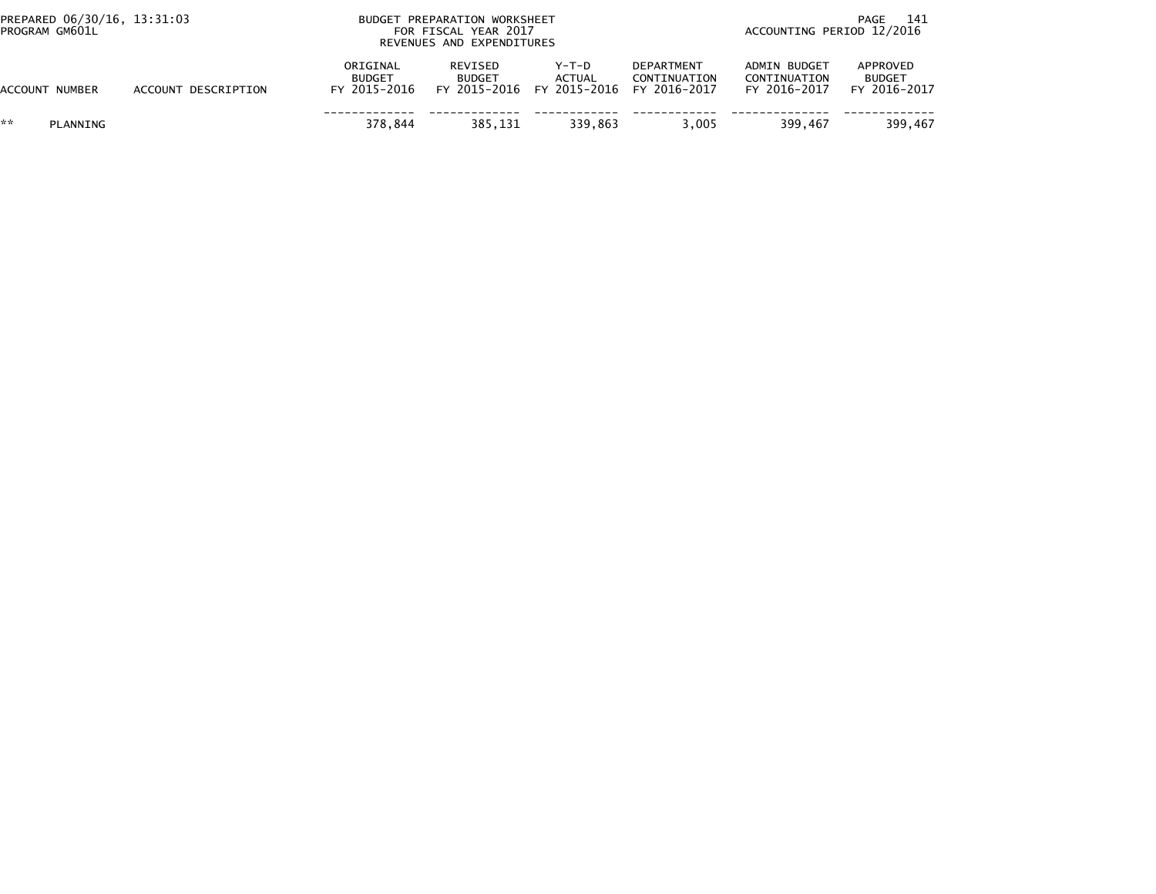| PREPARED 06/30/16, 13:31:03<br>PROGRAM GM601L |                     | BUDGET PREPARATION WORKSHEET<br>FOR FISCAL YEAR 2017<br>REVENUES AND EXPENDITURES |                          |                                                                  |                                   | -141<br>PAGE<br>ACCOUNTING PERIOD 12/2016    |                                           |  |
|-----------------------------------------------|---------------------|-----------------------------------------------------------------------------------|--------------------------|------------------------------------------------------------------|-----------------------------------|----------------------------------------------|-------------------------------------------|--|
| ACCOUNT NUMBER                                | ACCOUNT DESCRIPTION | ORIGINAL<br><b>BUDGET</b><br>FY 2015-2016                                         | REVISED<br><b>BUDGET</b> | Y-T-D<br><b>ACTUAL</b><br>FY 2015-2016 FY 2015-2016 FY 2016-2017 | <b>DEPARTMENT</b><br>CONTINUATION | ADMIN BUDGET<br>CONTINUATION<br>FY 2016-2017 | APPROVED<br><b>BUDGET</b><br>FY 2016-2017 |  |
| **<br>PLANNING                                |                     | 378.844                                                                           | 385.131                  | 339.863                                                          | 3.005                             | 399.467                                      | 399.467                                   |  |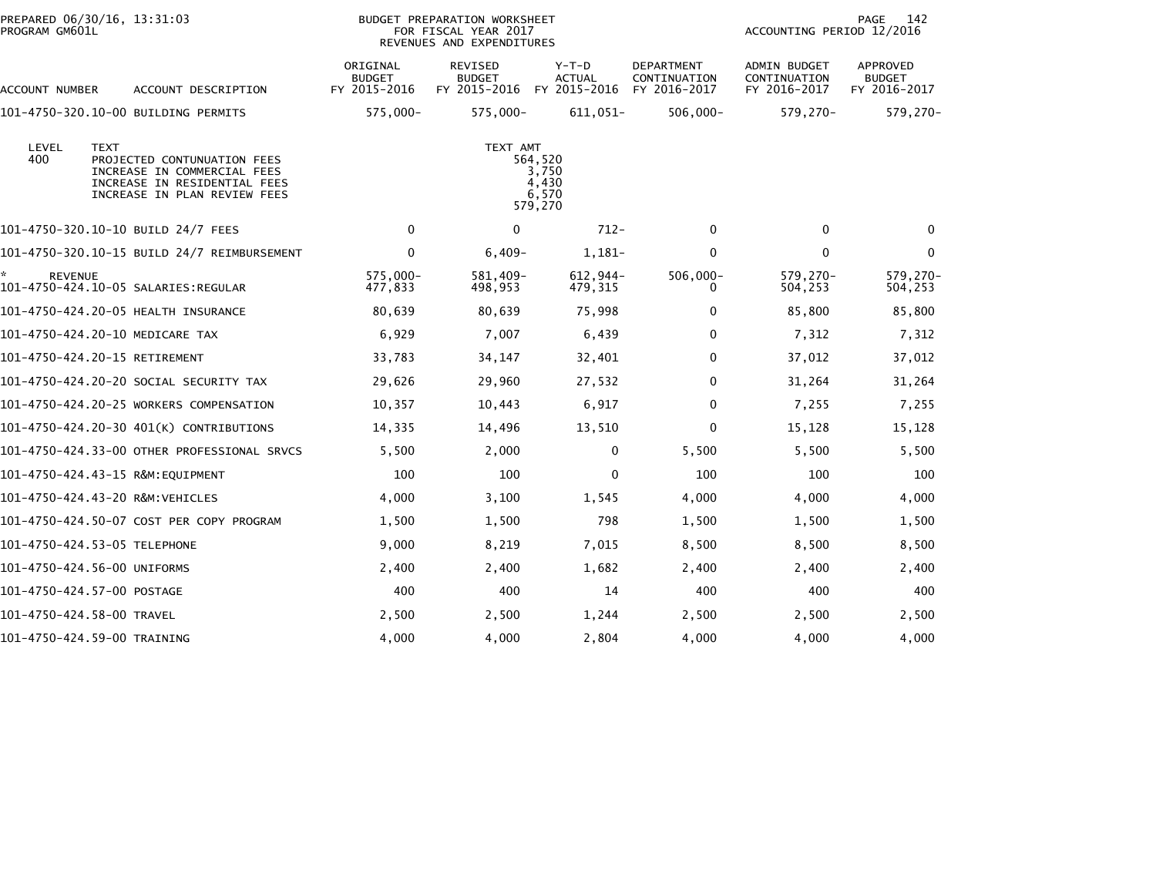| PREPARED 06/30/16, 13:31:03<br>PROGRAM GM601L |                                                                                                                                           | <b>BUDGET PREPARATION WORKSHEET</b><br>FOR FISCAL YEAR 2017<br>REVENUES AND EXPENDITURES |                                                 |                                          |                                            | 142<br>PAGE<br>ACCOUNTING PERIOD 12/2016     |                                           |
|-----------------------------------------------|-------------------------------------------------------------------------------------------------------------------------------------------|------------------------------------------------------------------------------------------|-------------------------------------------------|------------------------------------------|--------------------------------------------|----------------------------------------------|-------------------------------------------|
| ACCOUNT NUMBER                                | ACCOUNT DESCRIPTION                                                                                                                       | ORIGINAL<br><b>BUDGET</b><br>FY 2015-2016                                                | <b>REVISED</b><br><b>BUDGET</b><br>FY 2015-2016 | $Y-T-D$<br><b>ACTUAL</b><br>FY 2015-2016 | DEPARTMENT<br>CONTINUATION<br>FY 2016-2017 | ADMIN BUDGET<br>CONTINUATION<br>FY 2016-2017 | APPROVED<br><b>BUDGET</b><br>FY 2016-2017 |
|                                               | 101-4750-320.10-00 BUILDING PERMITS                                                                                                       | 575,000-                                                                                 | 575,000-                                        | 611,051-                                 | $506,000 -$                                | 579,270-                                     | 579,270-                                  |
| LEVEL<br>400                                  | <b>TEXT</b><br>PROJECTED CONTUNUATION FEES<br>INCREASE IN COMMERCIAL FEES<br>INCREASE IN RESIDENTIAL FEES<br>INCREASE IN PLAN REVIEW FEES |                                                                                          |                                                 |                                          |                                            |                                              |                                           |
|                                               | 101-4750-320.10-10 BUILD 24/7 FEES                                                                                                        | 0                                                                                        | $\mathbf{0}$                                    | $712 -$                                  | $\mathbf 0$                                | $\mathbf{0}$                                 | $\Omega$                                  |
|                                               | 101-4750-320.10-15 BUILD 24/7 REIMBURSEMENT                                                                                               | $\mathbf 0$                                                                              | $6,409-$                                        | 1,181-                                   | 0                                          | $\mathbf 0$                                  | $\mathbf 0$                               |
| <b>REVENUE</b>                                |                                                                                                                                           | $575.000 -$<br>477,833                                                                   | 581.409-<br>498,953                             | $612.944-$<br>479,315                    | $506,000 -$<br>0                           | $579.270 -$<br>504,253                       | 579.270-<br>504,253                       |
|                                               | 101-4750-424.20-05 HEALTH INSURANCE                                                                                                       | 80,639                                                                                   | 80,639                                          | 75,998                                   | 0                                          | 85,800                                       | 85,800                                    |
|                                               | 101-4750-424.20-10 MEDICARE TAX                                                                                                           | 6,929                                                                                    | 7,007                                           | 6,439                                    | 0                                          | 7,312                                        | 7,312                                     |
|                                               | 101-4750-424.20-15 RETIREMENT                                                                                                             | 33,783                                                                                   | 34,147                                          | 32,401                                   | 0                                          | 37,012                                       | 37,012                                    |
|                                               | 101-4750-424.20-20 SOCIAL SECURITY TAX                                                                                                    | 29,626                                                                                   | 29,960                                          | 27,532                                   | 0                                          | 31,264                                       | 31,264                                    |
|                                               | 101-4750-424.20-25 WORKERS COMPENSATION                                                                                                   | 10,357                                                                                   | 10,443                                          | 6,917                                    | 0                                          | 7,255                                        | 7,255                                     |
|                                               | 101-4750-424.20-30 401(K) CONTRIBUTIONS                                                                                                   | 14,335                                                                                   | 14,496                                          | 13,510                                   | 0                                          | 15,128                                       | 15,128                                    |
|                                               | 101-4750-424.33-00 OTHER PROFESSIONAL SRVCS                                                                                               | 5,500                                                                                    | 2,000                                           | $\mathbf 0$                              | 5,500                                      | 5,500                                        | 5,500                                     |
|                                               | 101-4750-424.43-15 R&M:EQUIPMENT                                                                                                          | 100                                                                                      | 100                                             | 0                                        | 100                                        | 100                                          | 100                                       |
|                                               | 101-4750-424.43-20 R&M:VEHICLES                                                                                                           | 4,000                                                                                    | 3,100                                           | 1,545                                    | 4,000                                      | 4,000                                        | 4,000                                     |
|                                               | 101-4750-424.50-07 COST PER COPY PROGRAM                                                                                                  | 1,500                                                                                    | 1,500                                           | 798                                      | 1,500                                      | 1,500                                        | 1,500                                     |
|                                               | 101-4750-424.53-05 TELEPHONE                                                                                                              | 9,000                                                                                    | 8,219                                           | 7,015                                    | 8,500                                      | 8,500                                        | 8,500                                     |
|                                               | 101-4750-424.56-00 UNIFORMS                                                                                                               | 2,400                                                                                    | 2,400                                           | 1,682                                    | 2,400                                      | 2,400                                        | 2,400                                     |
|                                               | 101-4750-424.57-00 POSTAGE                                                                                                                | 400                                                                                      | 400                                             | 14                                       | 400                                        | 400                                          | 400                                       |
|                                               | 101-4750-424.58-00 TRAVEL                                                                                                                 | 2,500                                                                                    | 2,500                                           | 1,244                                    | 2,500                                      | 2,500                                        | 2,500                                     |
|                                               | 101-4750-424.59-00 TRAINING                                                                                                               | 4,000                                                                                    | 4,000                                           | 2,804                                    | 4,000                                      | 4,000                                        | 4,000                                     |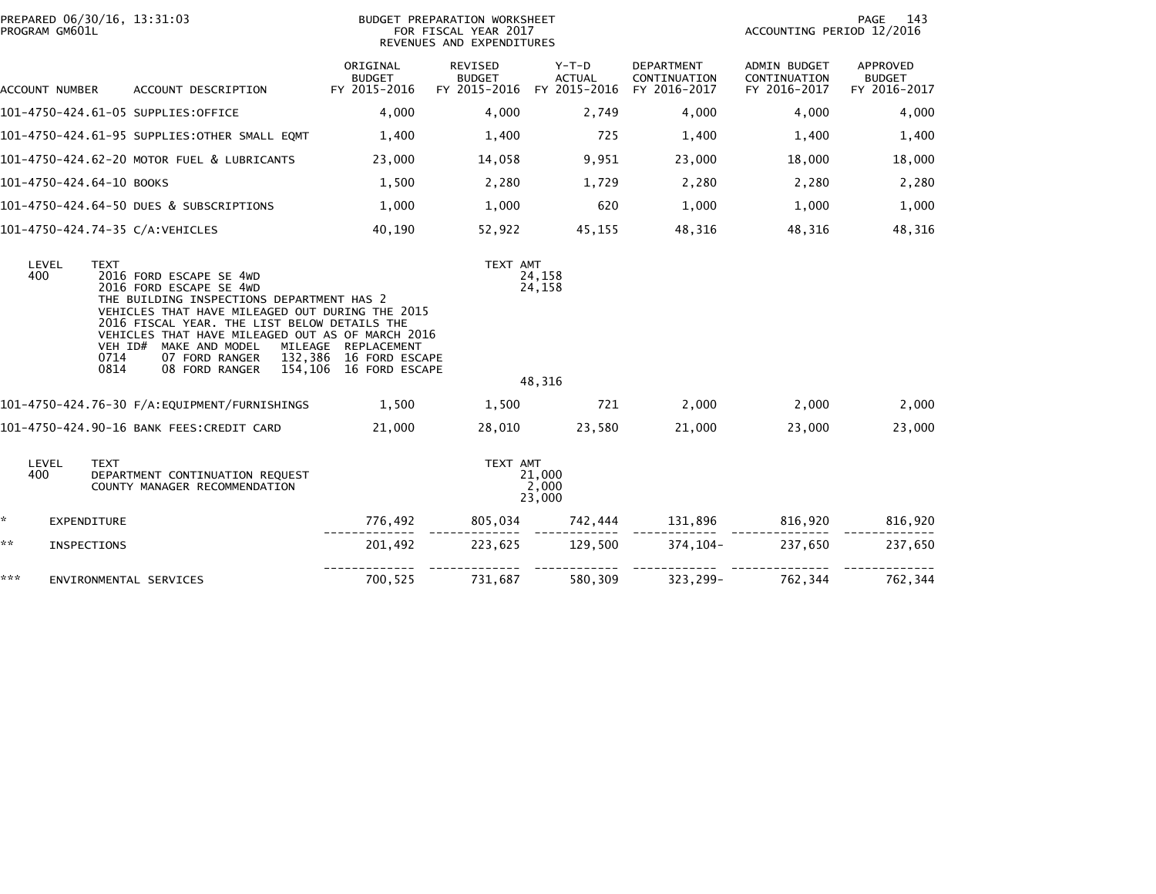| PROGRAM GM601L           | PREPARED 06/30/16, 13:31:03                                                                                                                                                                                                                                                                                                                                    | BUDGET PREPARATION WORKSHEET<br>FOR FISCAL YEAR 2017<br>REVENUES AND EXPENDITURES |                          |                                                                  |                            | PAGE<br>143<br>ACCOUNTING PERIOD 12/2016            |                                           |  |
|--------------------------|----------------------------------------------------------------------------------------------------------------------------------------------------------------------------------------------------------------------------------------------------------------------------------------------------------------------------------------------------------------|-----------------------------------------------------------------------------------|--------------------------|------------------------------------------------------------------|----------------------------|-----------------------------------------------------|-------------------------------------------|--|
| ACCOUNT NUMBER           | ACCOUNT DESCRIPTION                                                                                                                                                                                                                                                                                                                                            | ORIGINAL<br><b>BUDGET</b><br>FY 2015-2016                                         | REVISED<br><b>BUDGET</b> | Y-T-D<br><b>ACTUAL</b><br>FY 2015-2016 FY 2015-2016 FY 2016-2017 | DEPARTMENT<br>CONTINUATION | <b>ADMIN BUDGET</b><br>CONTINUATION<br>FY 2016-2017 | APPROVED<br><b>BUDGET</b><br>FY 2016-2017 |  |
|                          | 101-4750-424.61-05 SUPPLIES:OFFICE                                                                                                                                                                                                                                                                                                                             | 4,000                                                                             | 4,000                    | 2,749                                                            | 4,000                      | 4,000                                               | 4,000                                     |  |
|                          | 101-4750-424.61-95 SUPPLIES:OTHER SMALL EQMT                                                                                                                                                                                                                                                                                                                   | 1,400                                                                             | 1,400                    | 725                                                              | 1,400                      | 1,400                                               | 1,400                                     |  |
|                          | 101-4750-424.62-20 MOTOR FUEL & LUBRICANTS                                                                                                                                                                                                                                                                                                                     | 23,000                                                                            | 14,058                   | 9,951                                                            | 23,000                     | 18,000                                              | 18,000                                    |  |
| 101-4750-424.64-10 BOOKS |                                                                                                                                                                                                                                                                                                                                                                | 1,500                                                                             | 2,280                    | 1,729                                                            | 2,280                      | 2,280                                               | 2,280                                     |  |
|                          | 101-4750-424.64-50 DUES & SUBSCRIPTIONS                                                                                                                                                                                                                                                                                                                        | 1,000                                                                             | 1,000                    | 620                                                              | 1,000                      | 1,000                                               | 1,000                                     |  |
|                          | 101-4750-424.74-35 C/A:VEHICLES                                                                                                                                                                                                                                                                                                                                | 40,190                                                                            | 52,922                   | 45,155                                                           | 48,316                     | 48,316                                              | 48,316                                    |  |
| LEVEL<br>400             | <b>TEXT</b><br>2016 FORD ESCAPE SE 4WD<br>2016 FORD ESCAPE SE 4WD<br>THE BUILDING INSPECTIONS DEPARTMENT HAS 2<br>VEHICLES THAT HAVE MILEAGED OUT DURING THE 2015<br>2016 FISCAL YEAR. THE LIST BELOW DETAILS THE<br>VEHICLES THAT HAVE MILEAGED OUT AS OF MARCH 2016<br>VEH ID# MAKE AND MODEL<br>MILEAGE<br>07 FORD RANGER<br>0714<br>0814<br>08 FORD RANGER | REPLACEMENT<br>132,386  16  FORD ESCAPE<br>154.106  16  FORD ESCAPE               | TEXT AMT                 | 24,158<br>24,158<br>48,316                                       |                            |                                                     |                                           |  |
|                          | 101-4750-424.76-30 F/A:EQUIPMENT/FURNISHINGS                                                                                                                                                                                                                                                                                                                   | 1,500                                                                             | 1,500                    | 721                                                              | 2,000                      | 2,000                                               | 2,000                                     |  |
|                          | 101-4750-424.90-16 BANK FEES:CREDIT CARD                                                                                                                                                                                                                                                                                                                       | 21,000                                                                            | 28,010                   | 23,580                                                           | 21,000                     | 23,000                                              | 23,000                                    |  |
| LEVEL<br>400             | <b>TEXT</b><br>DEPARTMENT CONTINUATION REQUEST<br>COUNTY MANAGER RECOMMENDATION                                                                                                                                                                                                                                                                                |                                                                                   | TEXT AMT                 | 21,000<br>2,000<br>23,000                                        |                            |                                                     |                                           |  |
| *<br>EXPENDITURE         |                                                                                                                                                                                                                                                                                                                                                                | 776,492                                                                           |                          |                                                                  | 805,034 742,444 131,896    | 816,920                                             | 816,920                                   |  |
| **<br>INSPECTIONS        |                                                                                                                                                                                                                                                                                                                                                                | 201,492                                                                           | 223,625                  | 129,500                                                          | 374,104-                   | 237,650                                             | 237,650                                   |  |
| ***                      | ENVIRONMENTAL SERVICES                                                                                                                                                                                                                                                                                                                                         | 700,525                                                                           | 731,687                  | 580,309                                                          | 323,299-                   | 762,344                                             | 762,344                                   |  |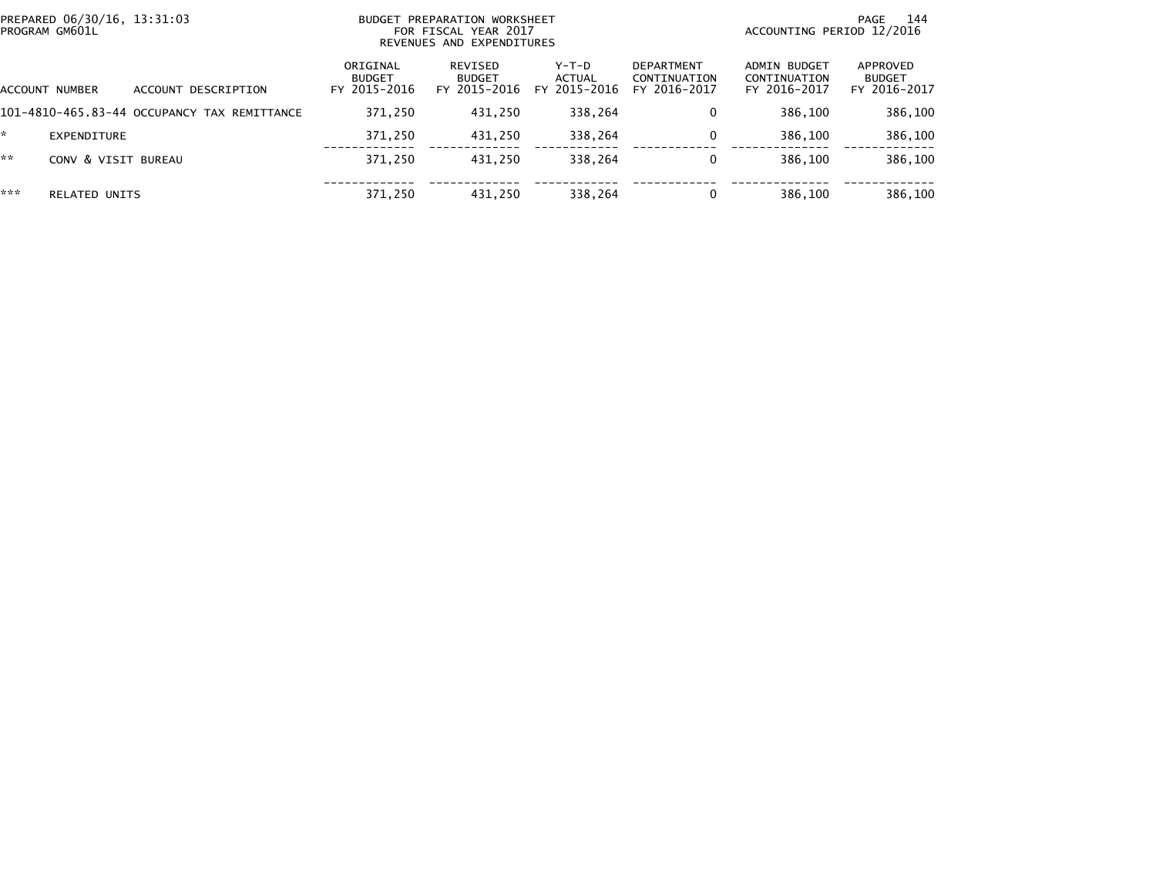| PREPARED 06/30/16, 13:31:03<br>PROGRAM GM601L |                      |                                             | BUDGET PREPARATION WORKSHEET<br>FOR FISCAL YEAR 2017<br>REVENUES AND EXPENDITURES |                                          |                                          |                                                   | 144<br>PAGE<br>ACCOUNTING PERIOD 12/2016     |                                           |  |
|-----------------------------------------------|----------------------|---------------------------------------------|-----------------------------------------------------------------------------------|------------------------------------------|------------------------------------------|---------------------------------------------------|----------------------------------------------|-------------------------------------------|--|
|                                               | ACCOUNT NUMBER       | DESCRIPTION<br>ACCOUNT                      | ORIGINAL<br><b>BUDGET</b><br>FY 2015-2016                                         | REVISED<br><b>BUDGET</b><br>FY 2015-2016 | $Y-T-D$<br><b>ACTUAL</b><br>FY 2015-2016 | <b>DEPARTMENT</b><br>CONTINUATION<br>FY 2016-2017 | ADMIN BUDGET<br>CONTINUATION<br>FY 2016-2017 | APPROVED<br><b>BUDGET</b><br>FY 2016-2017 |  |
|                                               |                      | 101-4810-465.83-44 OCCUPANCY TAX REMITTANCE | 371,250                                                                           | 431,250                                  | 338,264                                  | 0                                                 | 386,100                                      | 386,100                                   |  |
| *                                             | EXPENDITURE          |                                             | 371,250                                                                           | 431.250                                  | 338,264                                  | 0                                                 | 386,100                                      | 386,100                                   |  |
| **                                            | CONV & VISIT BUREAU  |                                             | 371,250                                                                           | 431.250                                  | 338,264                                  | 0                                                 | 386,100                                      | 386,100                                   |  |
| ***                                           | <b>RELATED UNITS</b> |                                             | 371,250                                                                           | 431.250                                  | 338,264                                  | 0                                                 | 386,100                                      | 386,100                                   |  |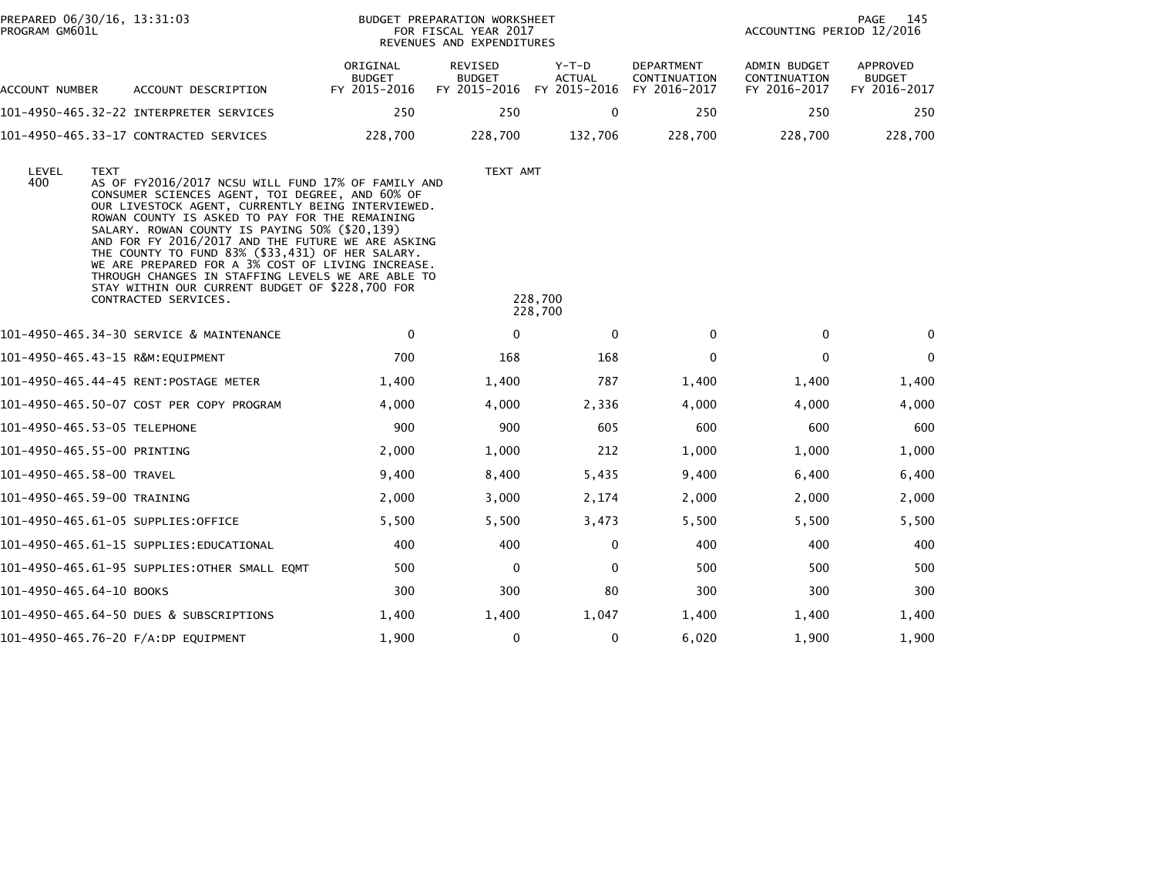| PROGRAM GM601L           | PREPARED 06/30/16, 13:31:03                                                                                                                                                                                                                                                                                                                                                                                                                                                                                                                                                |                                           | BUDGET PREPARATION WORKSHEET<br>FOR FISCAL YEAR 2017<br>REVENUES AND EXPENDITURES |                                          |                                                   |                                                     | 145<br>PAGE<br>ACCOUNTING PERIOD 12/2016         |  |  |
|--------------------------|----------------------------------------------------------------------------------------------------------------------------------------------------------------------------------------------------------------------------------------------------------------------------------------------------------------------------------------------------------------------------------------------------------------------------------------------------------------------------------------------------------------------------------------------------------------------------|-------------------------------------------|-----------------------------------------------------------------------------------|------------------------------------------|---------------------------------------------------|-----------------------------------------------------|--------------------------------------------------|--|--|
| ACCOUNT NUMBER           | ACCOUNT DESCRIPTION                                                                                                                                                                                                                                                                                                                                                                                                                                                                                                                                                        | ORIGINAL<br><b>BUDGET</b><br>FY 2015-2016 | <b>REVISED</b><br><b>BUDGET</b><br>FY 2015-2016                                   | $Y-T-D$<br><b>ACTUAL</b><br>FY 2015-2016 | <b>DEPARTMENT</b><br>CONTINUATION<br>FY 2016-2017 | <b>ADMIN BUDGET</b><br>CONTINUATION<br>FY 2016-2017 | <b>APPROVED</b><br><b>BUDGET</b><br>FY 2016-2017 |  |  |
|                          |                                                                                                                                                                                                                                                                                                                                                                                                                                                                                                                                                                            | 250                                       | 250                                                                               | $\Omega$                                 | 250                                               | 250                                                 | 250                                              |  |  |
|                          | 101-4950-465.33-17 CONTRACTED SERVICES                                                                                                                                                                                                                                                                                                                                                                                                                                                                                                                                     | 228,700                                   | 228,700                                                                           | 132,706                                  | 228,700                                           | 228,700                                             | 228,700                                          |  |  |
| LEVEL<br>400             | <b>TEXT</b><br>AS OF FY2016/2017 NCSU WILL FUND 17% OF FAMILY AND<br>CONSUMER SCIENCES AGENT, TOI DEGREE, AND 60% OF<br>OUR LIVESTOCK AGENT, CURRENTLY BEING INTERVIEWED.<br>ROWAN COUNTY IS ASKED TO PAY FOR THE REMAINING<br>SALARY. ROWAN COUNTY IS PAYING 50% (\$20,139)<br>AND FOR FY 2016/2017 AND THE FUTURE WE ARE ASKING<br>THE COUNTY TO FUND 83% (\$33,431) OF HER SALARY.<br>WE ARE PREPARED FOR A 3% COST OF LIVING INCREASE.<br>THROUGH CHANGES IN STAFFING LEVELS WE ARE ABLE TO<br>STAY WITHIN OUR CURRENT BUDGET OF \$228,700 FOR<br>CONTRACTED SERVICES. |                                           | TEXT AMT                                                                          | 228,700<br>228,700                       |                                                   |                                                     |                                                  |  |  |
|                          | 101-4950-465.34-30 SERVICE & MAINTENANCE                                                                                                                                                                                                                                                                                                                                                                                                                                                                                                                                   | 0                                         | $\mathbf 0$                                                                       | $\mathbf 0$                              | 0                                                 | $\mathbf 0$                                         | $\Omega$                                         |  |  |
|                          |                                                                                                                                                                                                                                                                                                                                                                                                                                                                                                                                                                            | 700                                       | 168                                                                               | 168                                      | $\Omega$                                          | $\Omega$                                            | $\Omega$                                         |  |  |
|                          |                                                                                                                                                                                                                                                                                                                                                                                                                                                                                                                                                                            | 1,400                                     | 1,400                                                                             | 787                                      | 1,400                                             | 1,400                                               | 1,400                                            |  |  |
|                          | 101-4950-465.50-07 COST PER COPY PROGRAM                                                                                                                                                                                                                                                                                                                                                                                                                                                                                                                                   | 4,000                                     | 4,000                                                                             | 2,336                                    | 4,000                                             | 4,000                                               | 4,000                                            |  |  |
|                          | 101-4950-465.53-05 TELEPHONE                                                                                                                                                                                                                                                                                                                                                                                                                                                                                                                                               | 900                                       | 900                                                                               | 605                                      | 600                                               | 600                                                 | 600                                              |  |  |
|                          | 101-4950-465.55-00 PRINTING                                                                                                                                                                                                                                                                                                                                                                                                                                                                                                                                                | 2,000                                     | 1,000                                                                             | 212                                      | 1,000                                             | 1,000                                               | 1,000                                            |  |  |
|                          | 101-4950-465.58-00 TRAVEL                                                                                                                                                                                                                                                                                                                                                                                                                                                                                                                                                  | 9,400                                     | 8,400                                                                             | 5,435                                    | 9,400                                             | 6,400                                               | 6,400                                            |  |  |
|                          | 101-4950-465.59-00 TRAINING                                                                                                                                                                                                                                                                                                                                                                                                                                                                                                                                                | 2,000                                     | 3,000                                                                             | 2,174                                    | 2,000                                             | 2,000                                               | 2,000                                            |  |  |
|                          | 101-4950-465.61-05 SUPPLIES:OFFICE                                                                                                                                                                                                                                                                                                                                                                                                                                                                                                                                         | 5,500                                     | 5,500                                                                             | 3,473                                    | 5,500                                             | 5,500                                               | 5,500                                            |  |  |
|                          | 101–4950–465.61–15 SUPPLIES:EDUCATIONAL                                                                                                                                                                                                                                                                                                                                                                                                                                                                                                                                    | 400                                       | 400                                                                               | 0                                        | 400                                               | 400                                                 | 400                                              |  |  |
|                          | 101-4950-465.61-95 SUPPLIES:OTHER SMALL EQMT                                                                                                                                                                                                                                                                                                                                                                                                                                                                                                                               | 500                                       | $\mathbf 0$                                                                       | 0                                        | 500                                               | 500                                                 | 500                                              |  |  |
| 101-4950-465.64-10 BOOKS |                                                                                                                                                                                                                                                                                                                                                                                                                                                                                                                                                                            | 300                                       | 300                                                                               | 80                                       | 300                                               | 300                                                 | 300                                              |  |  |
|                          | 101-4950-465.64-50 DUES & SUBSCRIPTIONS                                                                                                                                                                                                                                                                                                                                                                                                                                                                                                                                    | 1,400                                     | 1,400                                                                             | 1,047                                    | 1,400                                             | 1,400                                               | 1,400                                            |  |  |
|                          | 101-4950-465.76-20 F/A:DP EQUIPMENT                                                                                                                                                                                                                                                                                                                                                                                                                                                                                                                                        | 1,900                                     | $\mathbf{0}$                                                                      | 0                                        | 6,020                                             | 1,900                                               | 1,900                                            |  |  |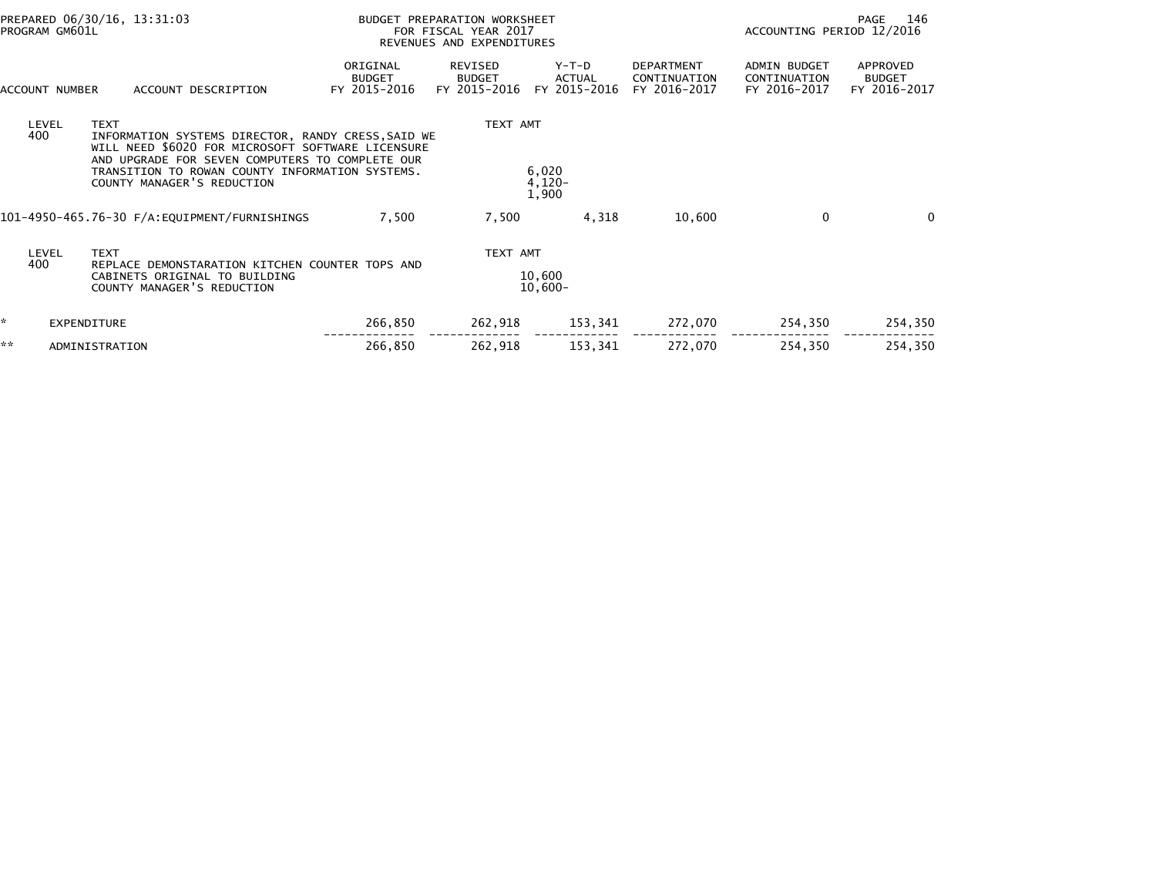|    | PREPARED 06/30/16, 13:31:03<br>PROGRAM GM601L |                                                                                                                                                                                                                                                            | BUDGET PREPARATION WORKSHEET<br>FOR FISCAL YEAR 2017<br>REVENUES AND EXPENDITURES |                                                 |                                          |                                                   | 146<br>PAGE<br>ACCOUNTING PERIOD 12/2016            |                                           |
|----|-----------------------------------------------|------------------------------------------------------------------------------------------------------------------------------------------------------------------------------------------------------------------------------------------------------------|-----------------------------------------------------------------------------------|-------------------------------------------------|------------------------------------------|---------------------------------------------------|-----------------------------------------------------|-------------------------------------------|
|    | ACCOUNT NUMBER                                | ACCOUNT DESCRIPTION                                                                                                                                                                                                                                        | ORIGINAL<br><b>BUDGET</b><br>FY 2015-2016                                         | <b>REVISED</b><br><b>BUDGET</b><br>FY 2015-2016 | $Y-T-D$<br><b>ACTUAL</b><br>FY 2015-2016 | <b>DEPARTMENT</b><br>CONTINUATION<br>FY 2016-2017 | <b>ADMIN BUDGET</b><br>CONTINUATION<br>FY 2016-2017 | APPROVED<br><b>BUDGET</b><br>FY 2016-2017 |
|    | LEVEL<br>400                                  | <b>TEXT</b><br>INFORMATION SYSTEMS DIRECTOR, RANDY CRESS, SAID WE<br>WILL NEED \$6020 FOR MICROSOFT SOFTWARE LICENSURE<br>AND UPGRADE FOR SEVEN COMPUTERS TO COMPLETE OUR<br>TRANSITION TO ROWAN COUNTY INFORMATION SYSTEMS.<br>COUNTY MANAGER'S REDUCTION |                                                                                   | TEXT AMT                                        | 6,020<br>$4,120-$<br>1,900               |                                                   |                                                     |                                           |
|    |                                               |                                                                                                                                                                                                                                                            | 7,500                                                                             | 7,500                                           | 4,318                                    | 10,600                                            | 0                                                   | $\Omega$                                  |
|    | <b>LEVEL</b><br>400                           | <b>TEXT</b><br>REPLACE DEMONSTARATION KITCHEN COUNTER TOPS AND<br>CABINETS ORIGINAL TO BUILDING<br>COUNTY MANAGER'S REDUCTION                                                                                                                              |                                                                                   | TEXT AMT                                        | 10.600<br>$10,600 -$                     |                                                   |                                                     |                                           |
| *  | EXPENDITURE                                   |                                                                                                                                                                                                                                                            | 266,850                                                                           | 262,918                                         | 153,341                                  | 272,070                                           | 254,350                                             | 254,350                                   |
| ** |                                               | ADMINISTRATION                                                                                                                                                                                                                                             | 266,850                                                                           | 262,918                                         | 153,341                                  | 272,070                                           | 254,350                                             | 254,350                                   |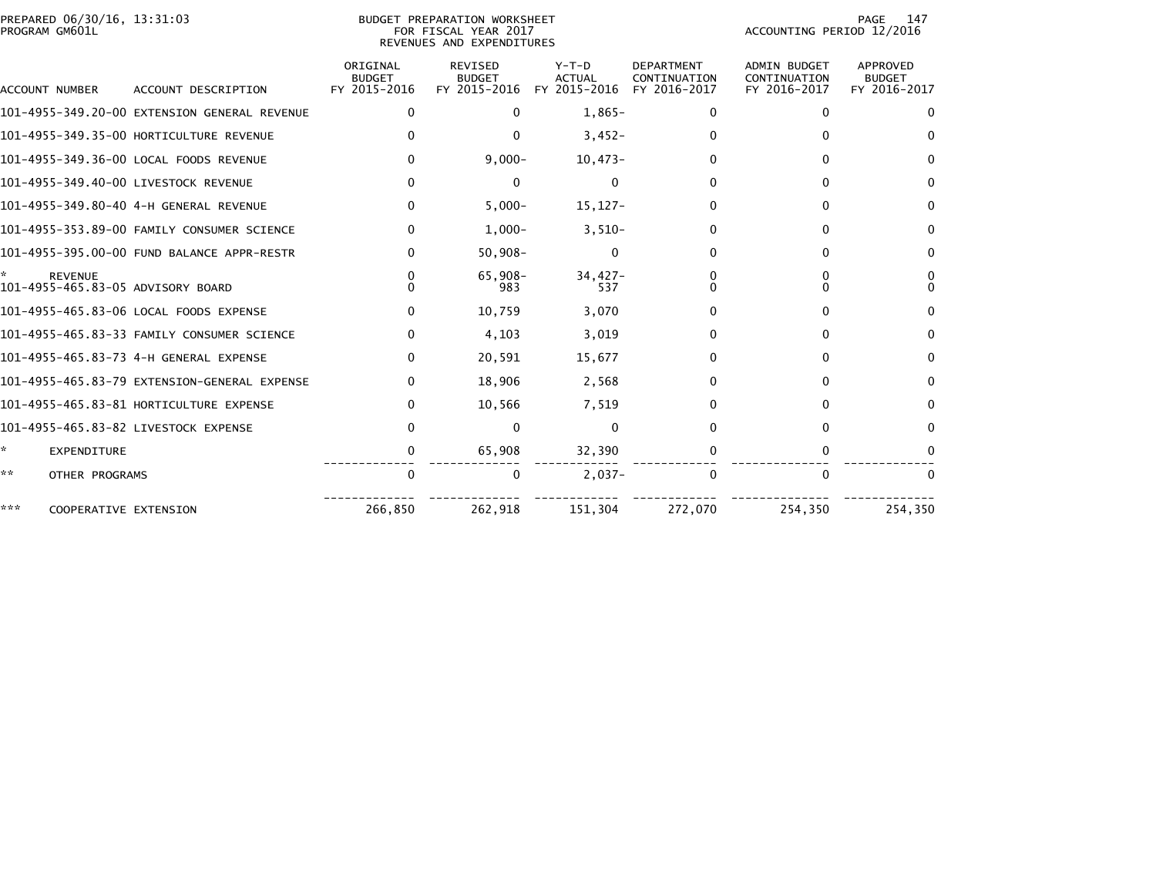|                | PREPARED 06/30/16. 13:31:03 |  |
|----------------|-----------------------------|--|
| PROGRAM GM601L |                             |  |

# PREPARED 06/30/16, 13:31:03 PREPARATION WORKSHEET PREPARATION WORKSHEET PREPARATION WORKSHEET<br>PROGRAM GM601L FOR FISCAL YEAR 2017 FOR FISCAL YEAR 2017 REVENUES AND EXPENDITURES

PAGE 147<br>ACCOUNTING PERIOD 12/2016

|     | ACCOUNT NUMBER        | ACCOUNT DESCRIPTION                          | ORIGINAL<br><b>BUDGET</b><br>FY 2015-2016 | <b>REVISED</b><br><b>BUDGET</b><br>FY 2015-2016 | $Y-T-D$<br><b>ACTUAL</b><br>FY 2015-2016 | <b>DEPARTMENT</b><br>CONTINUATION<br>FY 2016-2017 | <b>ADMIN BUDGET</b><br>CONTINUATION<br>FY 2016-2017 | <b>APPROVED</b><br><b>BUDGET</b><br>FY 2016-2017 |
|-----|-----------------------|----------------------------------------------|-------------------------------------------|-------------------------------------------------|------------------------------------------|---------------------------------------------------|-----------------------------------------------------|--------------------------------------------------|
|     |                       | 101-4955-349.20-00 EXTENSION GENERAL REVENUE | $\Omega$                                  | $\Omega$                                        | $1,865-$                                 | 0                                                 | 0                                                   | $\Omega$                                         |
|     |                       | 101-4955-349.35-00 HORTICULTURE REVENUE      |                                           | 0                                               | $3,452-$                                 | 0                                                 |                                                     | $\Omega$                                         |
|     |                       | 101-4955-349.36-00 LOCAL FOODS REVENUE       | $\Omega$                                  | $9,000 -$                                       | $10,473-$                                | 0                                                 |                                                     | $\Omega$                                         |
|     |                       | 101-4955-349.40-00 LIVESTOCK REVENUE         |                                           | 0                                               | 0                                        | 0                                                 |                                                     | 0                                                |
|     |                       |                                              | 0                                         | $5,000 -$                                       | $15, 127 -$                              | 0                                                 |                                                     | $\Omega$                                         |
|     |                       | 101-4955-353.89-00 FAMILY CONSUMER SCIENCE   | 0                                         | $1,000-$                                        | $3,510-$                                 | 0                                                 |                                                     | $\Omega$                                         |
|     |                       | 101-4955-395.00-00 FUND BALANCE APPR-RESTR   | <sup>n</sup>                              | $50,908 -$                                      | $\Omega$                                 | 0                                                 | O                                                   | $\bf{0}$                                         |
|     | <b>REVENUE</b>        | 101-4955-465.83-05 ADVISORY BOARD            |                                           | $65.908 -$<br>983                               | $34.427 -$<br>537                        |                                                   |                                                     | 0<br>$\Omega$                                    |
|     |                       | 101-4955-465.83-06 LOCAL FOODS EXPENSE       |                                           | 10,759                                          | 3,070                                    |                                                   |                                                     | 0                                                |
|     |                       | 101-4955-465.83-33 FAMILY CONSUMER SCIENCE   | $\Omega$                                  | 4,103                                           | 3,019                                    | 0                                                 | O                                                   | $\mathbf{0}$                                     |
|     |                       | 101-4955-465.83-73 4-H GENERAL EXPENSE       | $\Omega$                                  | 20,591                                          | 15,677                                   | 0                                                 | O                                                   | $\Omega$                                         |
|     |                       | 101-4955-465.83-79 EXTENSION-GENERAL EXPENSE | $\Omega$                                  | 18,906                                          | 2,568                                    | 0                                                 | 0                                                   | $\Omega$                                         |
|     |                       | 101-4955-465.83-81 HORTICULTURE EXPENSE      | $\Omega$                                  | 10,566                                          | 7,519                                    | 0                                                 |                                                     | $\Omega$                                         |
|     |                       | 101-4955-465.83-82 LIVESTOCK EXPENSE         |                                           | $\Omega$                                        | $\mathbf{0}$                             | 0                                                 |                                                     | 0                                                |
| *   | EXPENDITURE           |                                              | 0                                         | 65,908                                          | 32,390                                   |                                                   |                                                     | 0                                                |
| **  | OTHER PROGRAMS        |                                              | $\Omega$                                  | $\Omega$                                        | $2,037-$                                 | $\mathbf{0}$                                      | $\Omega$                                            | $\Omega$                                         |
| *** | COOPERATIVE EXTENSION |                                              | 266,850                                   | 262,918                                         | 151,304                                  | 272,070                                           | 254,350                                             | 254,350                                          |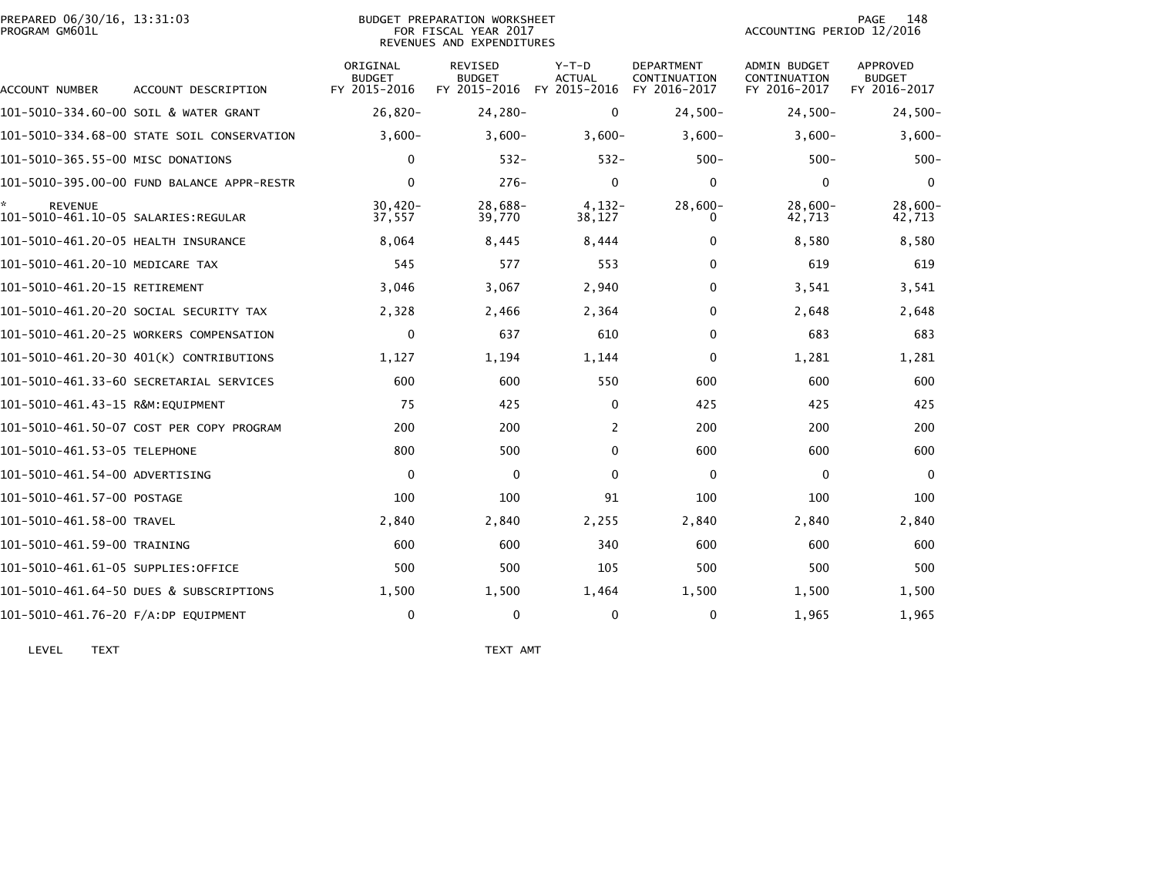| PREPARED 06/30/16, 13:31:03<br>PROGRAM GM601L         |                                            |                                           | BUDGET PREPARATION WORKSHEET<br>FOR FISCAL YEAR 2017<br>REVENUES AND EXPENDITURES |                                   |                                                   | ACCOUNTING PERIOD 12/2016                    | 148<br>PAGE                               |
|-------------------------------------------------------|--------------------------------------------|-------------------------------------------|-----------------------------------------------------------------------------------|-----------------------------------|---------------------------------------------------|----------------------------------------------|-------------------------------------------|
| ACCOUNT NUMBER                                        | ACCOUNT DESCRIPTION                        | ORIGINAL<br><b>BUDGET</b><br>FY 2015-2016 | <b>REVISED</b><br><b>BUDGET</b><br>FY 2015-2016                                   | $Y-T-D$<br>ACTUAL<br>FY 2015-2016 | <b>DEPARTMENT</b><br>CONTINUATION<br>FY 2016-2017 | ADMIN BUDGET<br>CONTINUATION<br>FY 2016-2017 | APPROVED<br><b>BUDGET</b><br>FY 2016-2017 |
|                                                       | 101-5010-334.60-00 SOIL & WATER GRANT      | $26.820 -$                                | $24,280-$                                                                         | 0                                 | $24,500-$                                         | $24,500-$                                    | $24,500-$                                 |
|                                                       | 101-5010-334.68-00 STATE SOIL CONSERVATION | $3,600-$                                  | $3,600-$                                                                          | $3,600-$                          | $3,600-$                                          | $3,600-$                                     | $3,600-$                                  |
| 101-5010-365.55-00 MISC DONATIONS                     |                                            | 0                                         | $532 -$                                                                           | $532 -$                           | $500 -$                                           | $500 -$                                      | $500 -$                                   |
|                                                       |                                            | $\mathbf{0}$                              | $276-$                                                                            | 0                                 | 0                                                 | $\mathbf{0}$                                 | $\Omega$                                  |
| <b>REVENUE</b><br>101–5010–461.10–05 SALARIES:REGULAR |                                            | $30,420 -$<br>37,557                      | 28,688-<br>39,770                                                                 | $4.132 -$<br>38,127               | $28,600 -$                                        | $28,600-$<br>42,713                          | $28,600 -$<br>42,713                      |
| 101-5010-461.20-05 HEALTH INSURANCE                   |                                            | 8,064                                     | 8,445                                                                             | 8,444                             | 0                                                 | 8,580                                        | 8,580                                     |
| 101-5010-461.20-10 MEDICARE TAX                       |                                            | 545                                       | 577                                                                               | 553                               | 0                                                 | 619                                          | 619                                       |
| 101-5010-461.20-15 RETIREMENT                         |                                            | 3,046                                     | 3,067                                                                             | 2,940                             | 0                                                 | 3,541                                        | 3,541                                     |
|                                                       | 101–5010–461.20–20 SOCIAL SECURITY TAX     | 2,328                                     | 2,466                                                                             | 2,364                             | $\Omega$                                          | 2,648                                        | 2,648                                     |
|                                                       | 101-5010-461.20-25 WORKERS COMPENSATION    | 0                                         | 637                                                                               | 610                               | $\Omega$                                          | 683                                          | 683                                       |
|                                                       | 101-5010-461.20-30 401(K) CONTRIBUTIONS    | 1,127                                     | 1,194                                                                             | 1,144                             | 0                                                 | 1,281                                        | 1,281                                     |
|                                                       | 101–5010–461.33–60 SECRETARIAL SERVICES    | 600                                       | 600                                                                               | 550                               | 600                                               | 600                                          | 600                                       |
| 101-5010-461.43-15 R&M:EQUIPMENT                      |                                            | 75                                        | 425                                                                               | 0                                 | 425                                               | 425                                          | 425                                       |
|                                                       | 101-5010-461.50-07 COST PER COPY PROGRAM   | 200                                       | 200                                                                               | 2                                 | 200                                               | 200                                          | 200                                       |
| 101-5010-461.53-05 TELEPHONE                          |                                            | 800                                       | 500                                                                               | $\Omega$                          | 600                                               | 600                                          | 600                                       |
| 101-5010-461.54-00 ADVERTISING                        |                                            | $\Omega$                                  | $\mathbf{0}$                                                                      | $\Omega$                          | $\Omega$                                          | $\mathbf{0}$                                 | $\Omega$                                  |
| 101-5010-461.57-00 POSTAGE                            |                                            | 100                                       | 100                                                                               | 91                                | 100                                               | 100                                          | 100                                       |
| 101-5010-461.58-00 TRAVEL                             |                                            | 2,840                                     | 2,840                                                                             | 2,255                             | 2,840                                             | 2,840                                        | 2,840                                     |
| 101-5010-461.59-00 TRAINING                           |                                            | 600                                       | 600                                                                               | 340                               | 600                                               | 600                                          | 600                                       |
| 101-5010-461.61-05 SUPPLIES:OFFICE                    |                                            | 500                                       | 500                                                                               | 105                               | 500                                               | 500                                          | 500                                       |
|                                                       | 101-5010-461.64-50 DUES & SUBSCRIPTIONS    | 1,500                                     | 1,500                                                                             | 1,464                             | 1,500                                             | 1,500                                        | 1,500                                     |
| 101-5010-461.76-20 F/A:DP EQUIPMENT                   |                                            | 0                                         | $\Omega$                                                                          | 0                                 | 0                                                 | 1,965                                        | 1,965                                     |

LEVEL TEXT TEXT AMT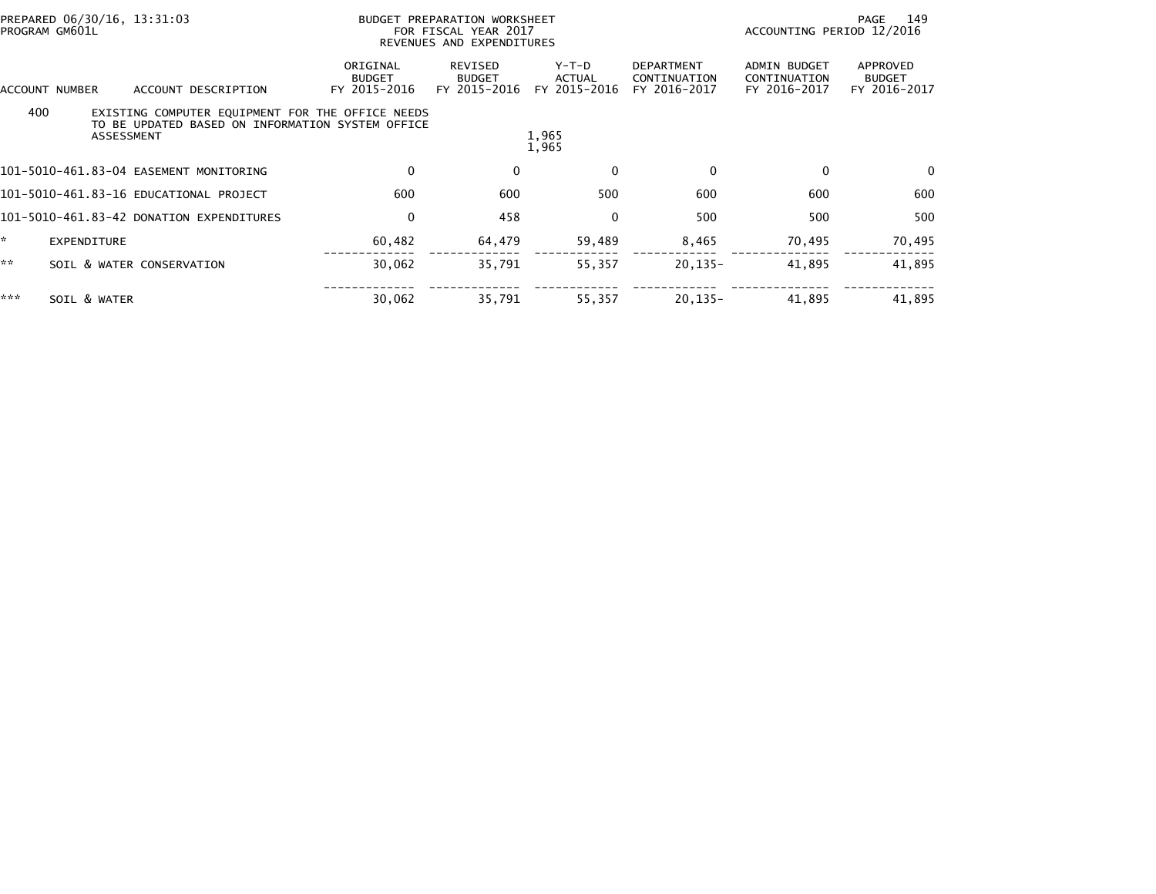| PREPARED 06/30/16, 13:31:03<br>PROGRAM GM601L |                    |                                                                                                                           | BUDGET PREPARATION WORKSHEET<br>FOR FISCAL YEAR 2017<br>REVENUES AND EXPENDITURES |                                          |                                   | 149<br>PAGE<br>ACCOUNTING PERIOD 12/2016          |                                                     |                                           |
|-----------------------------------------------|--------------------|---------------------------------------------------------------------------------------------------------------------------|-----------------------------------------------------------------------------------|------------------------------------------|-----------------------------------|---------------------------------------------------|-----------------------------------------------------|-------------------------------------------|
|                                               | ACCOUNT NUMBER     | ACCOUNT DESCRIPTION                                                                                                       | ORIGINAL<br><b>BUDGET</b><br>FY 2015-2016                                         | REVISED<br><b>BUDGET</b><br>FY 2015-2016 | $Y-T-D$<br>ACTUAL<br>FY 2015-2016 | <b>DEPARTMENT</b><br>CONTINUATION<br>FY 2016-2017 | <b>ADMIN BUDGET</b><br>CONTINUATION<br>FY 2016-2017 | APPROVED<br><b>BUDGET</b><br>FY 2016-2017 |
| 400                                           |                    | EXISTING COMPUTER EQUIPMENT FOR THE OFFICE NEEDS<br>TO BE UPDATED BASED ON INFORMATION SYSTEM OFFICE<br><b>ASSESSMENT</b> |                                                                                   |                                          | 1,965<br>1,965                    |                                                   |                                                     |                                           |
|                                               |                    | 101-5010-461.83-04 EASEMENT MONITORING                                                                                    | 0                                                                                 | $\mathbf 0$                              | 0                                 | $\mathbf 0$                                       | $\mathbf{0}$                                        | $\mathbf{0}$                              |
|                                               |                    | 101-5010-461.83-16 EDUCATIONAL PROJECT                                                                                    | 600                                                                               | 600                                      | 500                               | 600                                               | 600                                                 | 600                                       |
|                                               |                    | 101-5010-461.83-42 DONATION EXPENDITURES                                                                                  | $\mathbf 0$                                                                       | 458                                      | 0                                 | 500                                               | 500                                                 | 500                                       |
| ×.                                            | <b>EXPENDITURE</b> |                                                                                                                           | 60,482                                                                            | 64,479                                   | 59,489                            | 8,465                                             | 70,495                                              | 70,495                                    |
| **                                            |                    | SOIL & WATER CONSERVATION                                                                                                 | 30,062                                                                            | 35,791                                   | 55,357                            | $20, 135 -$                                       | 41,895                                              | 41,895                                    |
| ***                                           | SOIL & WATER       |                                                                                                                           | 30,062                                                                            | 35,791                                   | 55,357                            | $20, 135 -$                                       | 41,895                                              | 41,895                                    |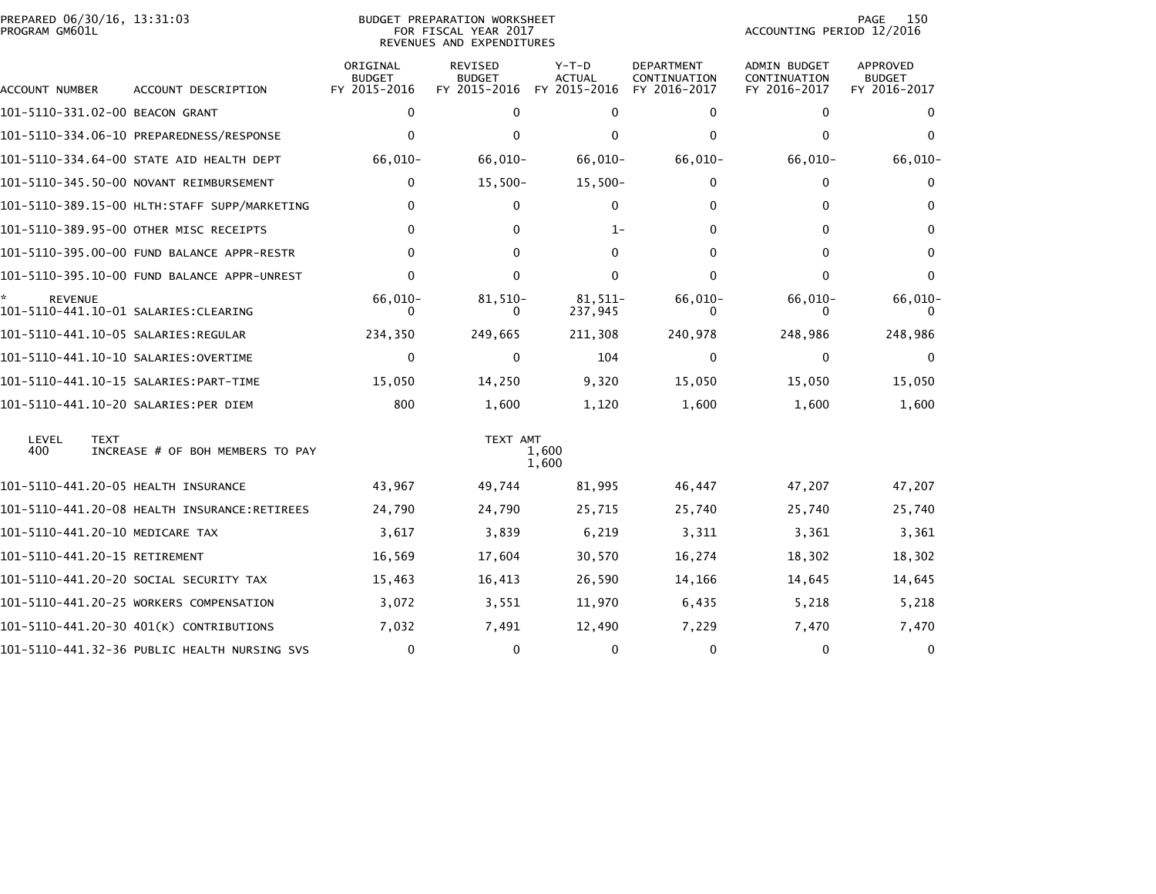| PREPARED 06/30/16, 13:31:03<br>PROGRAM GM601L |                                              |                                           | <b>BUDGET PREPARATION WORKSHEET</b><br>FOR FISCAL YEAR 2017<br>REVENUES AND EXPENDITURES |                                          |                                                   | ACCOUNTING PERIOD 12/2016                           | 150<br><b>PAGE</b>                               |
|-----------------------------------------------|----------------------------------------------|-------------------------------------------|------------------------------------------------------------------------------------------|------------------------------------------|---------------------------------------------------|-----------------------------------------------------|--------------------------------------------------|
| ACCOUNT NUMBER                                | ACCOUNT DESCRIPTION                          | ORIGINAL<br><b>BUDGET</b><br>FY 2015-2016 | <b>REVISED</b><br><b>BUDGET</b><br>FY 2015-2016                                          | $Y-T-D$<br><b>ACTUAL</b><br>FY 2015-2016 | <b>DEPARTMENT</b><br>CONTINUATION<br>FY 2016-2017 | <b>ADMIN BUDGET</b><br>CONTINUATION<br>FY 2016-2017 | <b>APPROVED</b><br><b>BUDGET</b><br>FY 2016-2017 |
| 101-5110-331.02-00 BEACON GRANT               |                                              | $\mathbf 0$                               | $\mathbf 0$                                                                              | $\Omega$                                 | 0                                                 | 0                                                   | 0                                                |
|                                               | 101-5110-334.06-10 PREPAREDNESS/RESPONSE     | $\Omega$                                  | $\mathbf{0}$                                                                             | $\mathbf{0}$                             | $\Omega$                                          | $\mathbf{0}$                                        | $\Omega$                                         |
|                                               | 101-5110-334.64-00 STATE AID HEALTH DEPT     | 66,010-                                   | 66,010-                                                                                  | $66,010-$                                | $66,010-$                                         | $66,010-$                                           | 66,010-                                          |
|                                               | 101-5110-345.50-00 NOVANT REIMBURSEMENT      | $\mathbf 0$                               | $15,500-$                                                                                | $15,500-$                                | 0                                                 | 0                                                   | 0                                                |
|                                               | 101-5110-389.15-00 HLTH:STAFF SUPP/MARKETING | $\mathbf{0}$                              | 0                                                                                        | $\mathbf 0$                              | 0                                                 | 0                                                   | $\Omega$                                         |
|                                               | 101-5110-389.95-00 OTHER MISC RECEIPTS       | $\Omega$                                  | 0                                                                                        | 1-                                       | $\Omega$                                          | $\Omega$                                            | 0                                                |
|                                               | 101-5110-395.00-00 FUND BALANCE APPR-RESTR   | $\Omega$                                  | 0                                                                                        | 0                                        | 0                                                 | 0                                                   | 0                                                |
|                                               | 101-5110-395.10-00 FUND BALANCE APPR-UNREST  | 0                                         | 0                                                                                        | $\Omega$                                 | $\Omega$                                          | $\mathbf{0}$                                        | $\Omega$                                         |
| <b>REVENUE</b>                                |                                              | 66,010-<br>0                              | 81,510-<br>0                                                                             | $81.511 -$<br>237,945                    | 66,010-<br>0                                      | 66,010-<br>0                                        | 66,010-<br>$\Omega$                              |
|                                               |                                              | 234,350                                   | 249,665                                                                                  | 211,308                                  | 240,978                                           | 248,986                                             | 248,986                                          |
|                                               |                                              | $\mathbf 0$                               | 0                                                                                        | 104                                      | 0                                                 | 0                                                   | $\Omega$                                         |
|                                               |                                              | 15,050                                    | 14,250                                                                                   | 9,320                                    | 15,050                                            | 15,050                                              | 15,050                                           |
|                                               | 101-5110-441.10-20 SALARIES:PER DIEM         | 800                                       | 1,600                                                                                    | 1,120                                    | 1,600                                             | 1,600                                               | 1,600                                            |
| LEVEL<br><b>TEXT</b><br>400                   | INCREASE # OF BOH MEMBERS TO PAY             |                                           | TEXT AMT                                                                                 | 1,600<br>1,600                           |                                                   |                                                     |                                                  |
| 101-5110-441.20-05 HEALTH INSURANCE           |                                              | 43,967                                    | 49,744                                                                                   | 81,995                                   | 46,447                                            | 47,207                                              | 47,207                                           |
|                                               | 101-5110-441.20-08 HEALTH INSURANCE:RETIREES | 24,790                                    | 24,790                                                                                   | 25,715                                   | 25,740                                            | 25,740                                              | 25,740                                           |
| 101-5110-441.20-10 MEDICARE TAX               |                                              | 3,617                                     | 3,839                                                                                    | 6,219                                    | 3,311                                             | 3,361                                               | 3,361                                            |
| 101-5110-441.20-15 RETIREMENT                 |                                              | 16,569                                    | 17,604                                                                                   | 30,570                                   | 16,274                                            | 18,302                                              | 18,302                                           |
|                                               | 101-5110-441.20-20 SOCIAL SECURITY TAX       | 15,463                                    | 16,413                                                                                   | 26,590                                   | 14,166                                            | 14,645                                              | 14,645                                           |
|                                               | 101-5110-441.20-25 WORKERS COMPENSATION      | 3,072                                     | 3,551                                                                                    | 11,970                                   | 6,435                                             | 5,218                                               | 5,218                                            |
|                                               | 101-5110-441.20-30 401(K) CONTRIBUTIONS      | 7,032                                     | 7,491                                                                                    | 12,490                                   | 7,229                                             | 7,470                                               | 7,470                                            |
|                                               | 101-5110-441.32-36 PUBLIC HEALTH NURSING SVS | $\mathbf 0$                               | $\mathbf{0}$                                                                             | 0                                        | 0                                                 | 0                                                   | 0                                                |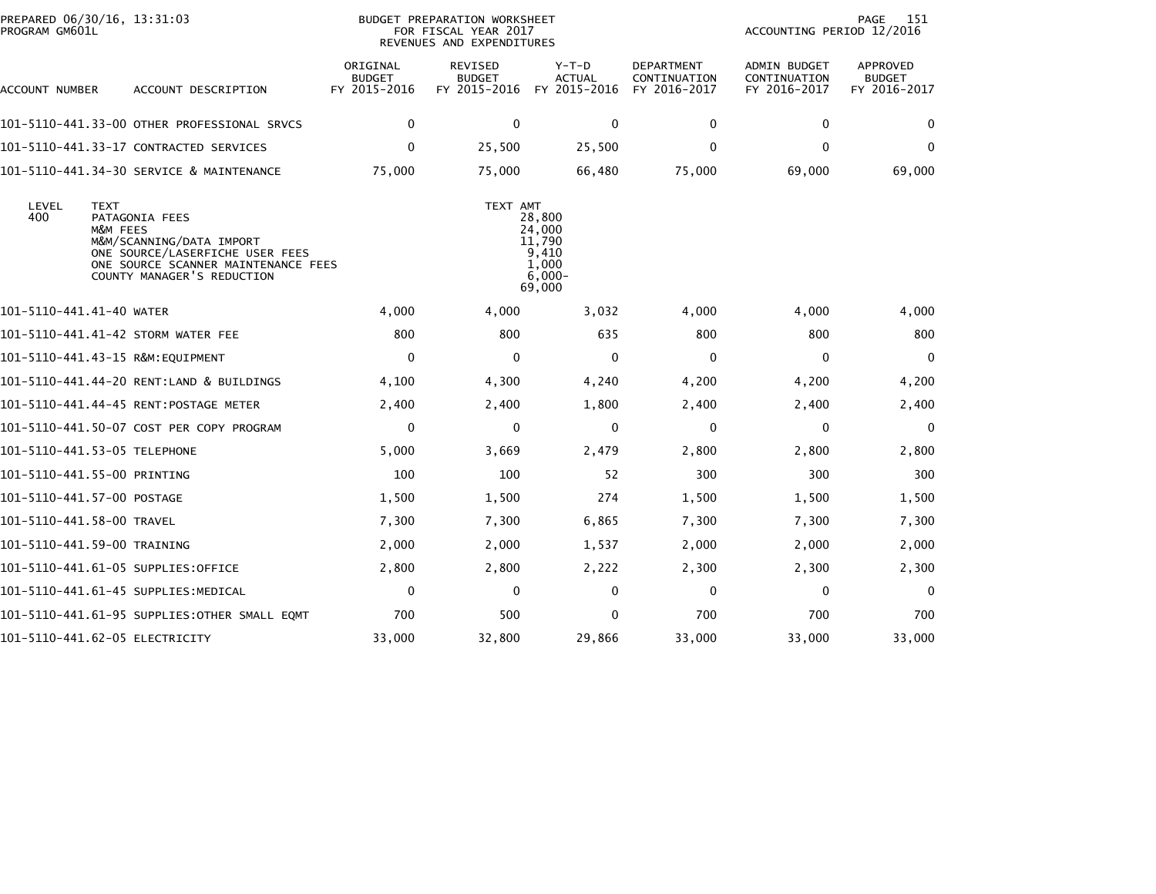| PREPARED 06/30/16, 13:31:03<br>PROGRAM GM601L |                                                                                                                                                    |                                           | <b>BUDGET PREPARATION WORKSHEET</b><br>FOR FISCAL YEAR 2017<br>REVENUES AND EXPENDITURES | 151<br>PAGE<br>ACCOUNTING PERIOD 12/2016                            |                                                   |                                                     |                                           |
|-----------------------------------------------|----------------------------------------------------------------------------------------------------------------------------------------------------|-------------------------------------------|------------------------------------------------------------------------------------------|---------------------------------------------------------------------|---------------------------------------------------|-----------------------------------------------------|-------------------------------------------|
| ACCOUNT NUMBER                                | ACCOUNT DESCRIPTION                                                                                                                                | ORIGINAL<br><b>BUDGET</b><br>FY 2015-2016 | <b>REVISED</b><br><b>BUDGET</b><br>FY 2015-2016                                          | Y-T-D<br><b>ACTUAL</b><br>FY 2015-2016                              | <b>DEPARTMENT</b><br>CONTINUATION<br>FY 2016-2017 | <b>ADMIN BUDGET</b><br>CONTINUATION<br>FY 2016-2017 | APPROVED<br><b>BUDGET</b><br>FY 2016-2017 |
|                                               | 101-5110-441.33-00 OTHER PROFESSIONAL SRVCS                                                                                                        | $\mathbf 0$                               | $\mathbf 0$                                                                              | $\mathbf 0$                                                         | 0                                                 | 0                                                   | $\Omega$                                  |
|                                               | 101–5110–441.33–17 CONTRACTED SERVICES                                                                                                             | $\mathbf 0$                               | 25,500                                                                                   | 25,500                                                              | $\mathbf 0$                                       | $\Omega$                                            | $\Omega$                                  |
|                                               | 101-5110-441.34-30 SERVICE & MAINTENANCE                                                                                                           | 75,000                                    | 75,000                                                                                   | 66,480                                                              | 75,000                                            | 69,000                                              | 69,000                                    |
| LEVEL<br><b>TEXT</b><br>400<br>M&M FEES       | PATAGONIA FEES<br>M&M/SCANNING/DATA IMPORT<br>ONE SOURCE/LASERFICHE USER FEES<br>ONE SOURCE SCANNER MAINTENANCE FEES<br>COUNTY MANAGER'S REDUCTION |                                           | TEXT AMT                                                                                 | 28,800<br>24,000<br>11,790<br>9,410<br>1.000<br>$6,000 -$<br>69,000 |                                                   |                                                     |                                           |
| 101-5110-441.41-40 WATER                      |                                                                                                                                                    | 4,000                                     | 4,000                                                                                    | 3,032                                                               | 4,000                                             | 4,000                                               | 4,000                                     |
| 101-5110-441.41-42 STORM WATER FEE            |                                                                                                                                                    | 800                                       | 800                                                                                      | 635                                                                 | 800                                               | 800                                                 | 800                                       |
| 101-5110-441.43-15 R&M:EQUIPMENT              |                                                                                                                                                    | $\mathbf 0$                               | $\mathbf{0}$                                                                             | $\mathbf 0$                                                         | $\mathbf{0}$                                      | $\Omega$                                            | $\Omega$                                  |
|                                               | 101-5110-441.44-20 RENT:LAND & BUILDINGS                                                                                                           | 4,100                                     | 4,300                                                                                    | 4,240                                                               | 4,200                                             | 4,200                                               | 4,200                                     |
| 101-5110-441.44-45 RENT:POSTAGE METER         |                                                                                                                                                    | 2,400                                     | 2,400                                                                                    | 1,800                                                               | 2,400                                             | 2,400                                               | 2,400                                     |
|                                               | 101-5110-441.50-07 COST PER COPY PROGRAM                                                                                                           | 0                                         | 0                                                                                        | 0                                                                   | 0                                                 | 0                                                   | $\mathbf{0}$                              |
| 101-5110-441.53-05 TELEPHONE                  |                                                                                                                                                    | 5,000                                     | 3,669                                                                                    | 2,479                                                               | 2,800                                             | 2,800                                               | 2,800                                     |
| 101-5110-441.55-00 PRINTING                   |                                                                                                                                                    | 100                                       | 100                                                                                      | 52                                                                  | 300                                               | 300                                                 | 300                                       |
| 101-5110-441.57-00 POSTAGE                    |                                                                                                                                                    | 1,500                                     | 1,500                                                                                    | 274                                                                 | 1,500                                             | 1,500                                               | 1,500                                     |
| 101-5110-441.58-00 TRAVEL                     |                                                                                                                                                    | 7,300                                     | 7,300                                                                                    | 6,865                                                               | 7,300                                             | 7,300                                               | 7,300                                     |
| 101-5110-441.59-00 TRAINING                   |                                                                                                                                                    | 2,000                                     | 2,000                                                                                    | 1,537                                                               | 2,000                                             | 2,000                                               | 2,000                                     |
| 101-5110-441.61-05 SUPPLIES:OFFICE            |                                                                                                                                                    | 2,800                                     | 2,800                                                                                    | 2,222                                                               | 2,300                                             | 2,300                                               | 2,300                                     |
| 101–5110–441.61–45 SUPPLIES:MEDICAL           |                                                                                                                                                    | $\mathbf 0$                               | $\mathbf 0$                                                                              | 0                                                                   | 0                                                 | 0                                                   | $\mathbf 0$                               |
|                                               | 101–5110–441.61–95 SUPPLIES:OTHER SMALL EQMT                                                                                                       | 700                                       | 500                                                                                      | $\Omega$                                                            | 700                                               | 700                                                 | 700                                       |
| 101-5110-441.62-05 ELECTRICITY                |                                                                                                                                                    | 33,000                                    | 32,800                                                                                   | 29,866                                                              | 33,000                                            | 33,000                                              | 33,000                                    |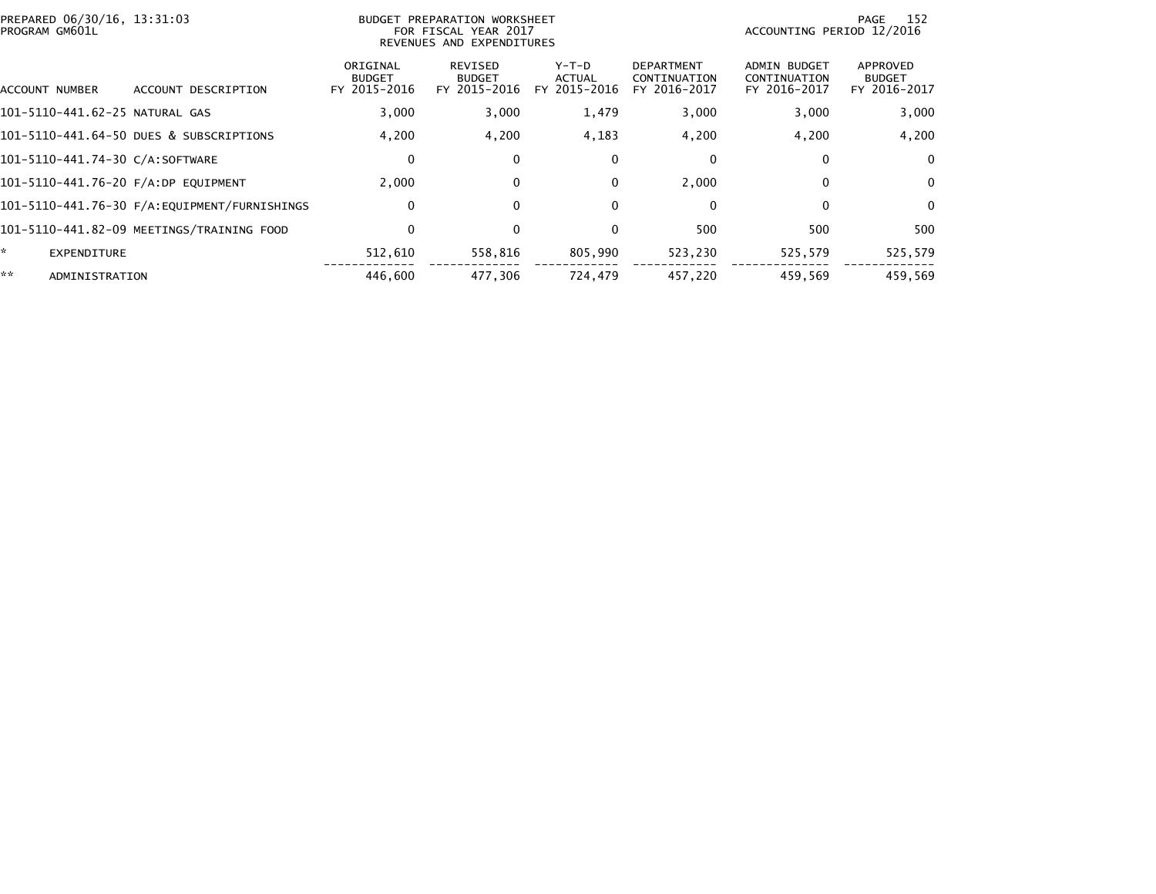| PROGRAM GM601L | PREPARED 06/30/16, 13:31:03                  | BUDGET PREPARATION WORKSHEET<br>FOR FISCAL YEAR 2017<br>REVENUES AND EXPENDITURES |                                          |                                 |                                                   | 152<br>PAGE<br>ACCOUNTING PERIOD 12/2016            |                                           |  |
|----------------|----------------------------------------------|-----------------------------------------------------------------------------------|------------------------------------------|---------------------------------|---------------------------------------------------|-----------------------------------------------------|-------------------------------------------|--|
| ACCOUNT NUMBER | ACCOUNT DESCRIPTION                          | ORIGINAL<br><b>BUDGET</b><br>FY 2015-2016                                         | REVISED<br><b>BUDGET</b><br>FY 2015-2016 | Y-T-D<br>ACTUAL<br>FY 2015-2016 | <b>DEPARTMENT</b><br>CONTINUATION<br>FY 2016-2017 | <b>ADMIN BUDGET</b><br>CONTINUATION<br>FY 2016-2017 | APPROVED<br><b>BUDGET</b><br>FY 2016-2017 |  |
|                | 101-5110-441.62-25 NATURAL GAS               | 3,000                                                                             | 3,000                                    | 1,479                           | 3,000                                             | 3,000                                               | 3,000                                     |  |
|                | 101-5110-441.64-50 DUES & SUBSCRIPTIONS      | 4,200                                                                             | 4,200                                    | 4,183                           | 4,200                                             | 4,200                                               | 4,200                                     |  |
|                | 101-5110-441.74-30 C/A:SOFTWARE              | 0                                                                                 | $\bf{0}$                                 | 0                               | 0                                                 | $\Omega$                                            | $\Omega$                                  |  |
|                | 101-5110-441.76-20 F/A:DP EQUIPMENT          | 2.000                                                                             | $\mathbf{0}$                             | $\mathbf{0}$                    | 2.000                                             | $\Omega$                                            | $\Omega$                                  |  |
|                | 101-5110-441.76-30 F/A:EQUIPMENT/FURNISHINGS | 0                                                                                 | $\bf{0}$                                 | $\mathbf{0}$                    | 0                                                 | 0                                                   | $\Omega$                                  |  |
|                | 101-5110-441.82-09 MEETINGS/TRAINING FOOD    | 0                                                                                 | $\mathbf{0}$                             | $\mathbf{0}$                    | 500                                               | 500                                                 | 500                                       |  |
| *.             | <b>EXPENDITURE</b>                           | 512,610                                                                           | 558,816                                  | 805,990                         | 523,230                                           | 525,579                                             | 525,579                                   |  |
| **             | ADMINISTRATION                               | 446,600                                                                           | 477.306                                  | 724,479                         | 457,220                                           | 459,569                                             | 459,569                                   |  |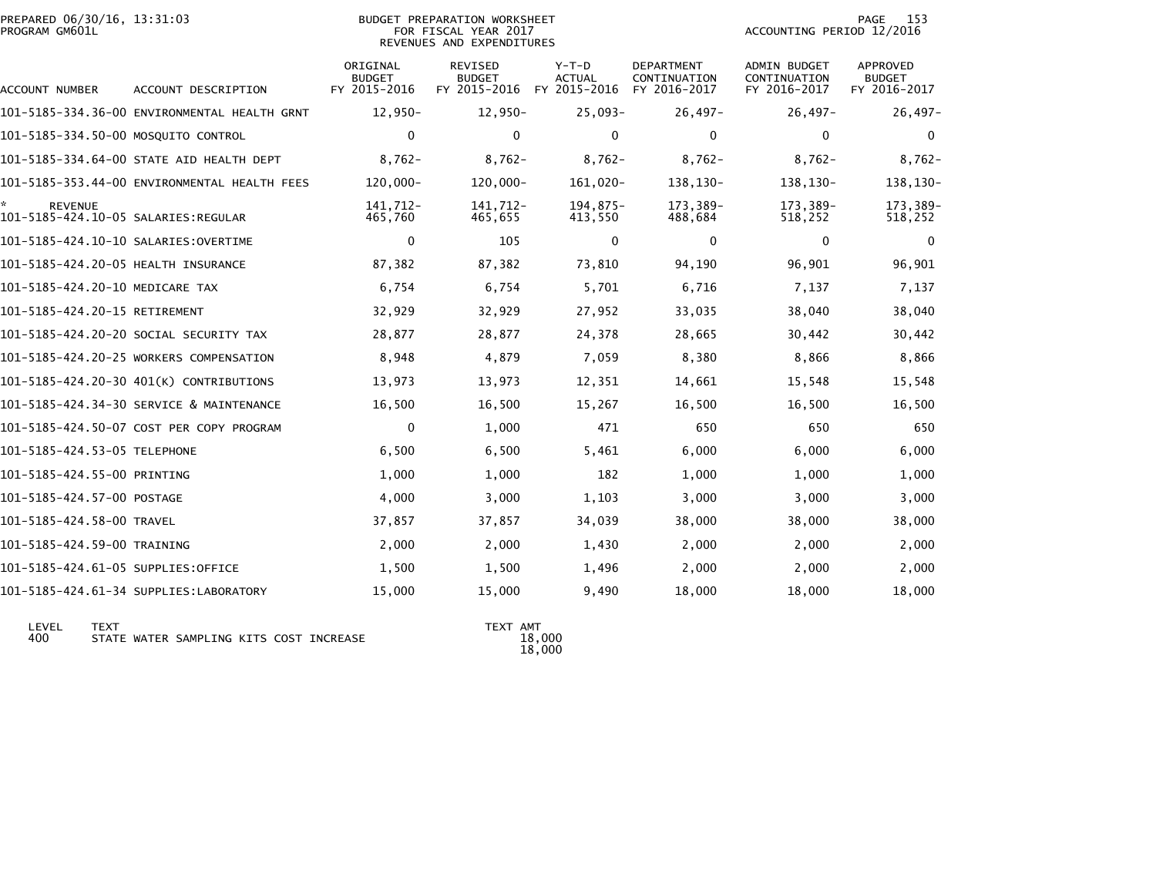|                | PREPARED 06/30/16, 13:31:03 |  |
|----------------|-----------------------------|--|
| PROGRAM GM601L |                             |  |

#### PREPARED 06/30/16, 13:31:03 BUDGET PREPARATION WORKSHEET PAGE 153PROGRAM GM601L FOR FISCAL YEAR 2017 ACCOUNTING PERIOD 12/2016REVENUES AND EXPENDITURES

PAGE 153<br>ACCOUNTING PERIOD 12/2016

| <b>ACCOUNT NUMBER</b>               | ACCOUNT DESCRIPTION                          | ORIGINAL<br><b>BUDGET</b><br>FY 2015-2016 | <b>REVISED</b><br><b>BUDGET</b><br>FY 2015-2016 | $Y-T-D$<br>ACTUAL<br>FY 2015-2016 | <b>DEPARTMENT</b><br>CONTINUATION<br>FY 2016-2017 | <b>ADMIN BUDGET</b><br>CONTINUATION<br>FY 2016-2017 | <b>APPROVED</b><br><b>BUDGET</b><br>FY 2016-2017 |
|-------------------------------------|----------------------------------------------|-------------------------------------------|-------------------------------------------------|-----------------------------------|---------------------------------------------------|-----------------------------------------------------|--------------------------------------------------|
|                                     | 101-5185-334.36-00 ENVIRONMENTAL HEALTH GRNT | 12,950-                                   | $12,950-$                                       | $25,093-$                         | $26,497-$                                         | $26,497-$                                           | $26,497-$                                        |
| 101-5185-334.50-00 MOSQUITO CONTROL |                                              | $\mathbf 0$                               | 0                                               | $\mathbf 0$                       | $\mathbf 0$                                       | 0                                                   | 0                                                |
|                                     | 101-5185-334.64-00 STATE AID HEALTH DEPT     | $8.762 -$                                 | $8.762 -$                                       | $8,762-$                          | $8,762-$                                          | $8.762 -$                                           | $8,762-$                                         |
|                                     | 101-5185-353.44-00 ENVIRONMENTAL HEALTH FEES | 120,000-                                  | $120,000 -$                                     | 161,020-                          | 138,130-                                          | 138,130-                                            | 138,130-                                         |
| <b>REVENUE</b>                      |                                              | 141.712-<br>465,760                       | 141.712-<br>465,655                             | 194.875-<br>413,550               | 173.389-<br>488,684                               | 173.389-<br>518,252                                 | 173,389-<br>518,252                              |
|                                     |                                              | $\mathbf{0}$                              | 105                                             | $\mathbf{0}$                      | $\mathbf{0}$                                      | $\Omega$                                            | $\Omega$                                         |
| 101-5185-424.20-05 HEALTH INSURANCE |                                              | 87,382                                    | 87,382                                          | 73,810                            | 94,190                                            | 96,901                                              | 96,901                                           |
| 101-5185-424.20-10 MEDICARE TAX     |                                              | 6,754                                     | 6,754                                           | 5,701                             | 6,716                                             | 7,137                                               | 7,137                                            |
| 101-5185-424.20-15 RETIREMENT       |                                              | 32,929                                    | 32,929                                          | 27,952                            | 33,035                                            | 38,040                                              | 38,040                                           |
|                                     | 101-5185-424.20-20 SOCIAL SECURITY TAX       | 28,877                                    | 28,877                                          | 24,378                            | 28,665                                            | 30,442                                              | 30,442                                           |
|                                     | 101-5185-424.20-25 WORKERS COMPENSATION      | 8,948                                     | 4,879                                           | 7,059                             | 8,380                                             | 8,866                                               | 8,866                                            |
|                                     | 101-5185-424.20-30 401(K) CONTRIBUTIONS      | 13,973                                    | 13,973                                          | 12,351                            | 14,661                                            | 15,548                                              | 15,548                                           |
|                                     | 101-5185-424.34-30 SERVICE & MAINTENANCE     | 16,500                                    | 16,500                                          | 15,267                            | 16,500                                            | 16,500                                              | 16,500                                           |
|                                     | 101-5185-424.50-07 COST PER COPY PROGRAM     | $\mathbf 0$                               | 1,000                                           | 471                               | 650                                               | 650                                                 | 650                                              |
| 101-5185-424.53-05 TELEPHONE        |                                              | 6,500                                     | 6,500                                           | 5,461                             | 6,000                                             | 6,000                                               | 6,000                                            |
| 101-5185-424.55-00 PRINTING         |                                              | 1,000                                     | 1,000                                           | 182                               | 1,000                                             | 1,000                                               | 1,000                                            |
| 101-5185-424.57-00 POSTAGE          |                                              | 4,000                                     | 3,000                                           | 1,103                             | 3,000                                             | 3,000                                               | 3,000                                            |
| 101-5185-424.58-00 TRAVEL           |                                              | 37,857                                    | 37,857                                          | 34,039                            | 38,000                                            | 38,000                                              | 38,000                                           |
| 101-5185-424.59-00 TRAINING         |                                              | 2,000                                     | 2,000                                           | 1,430                             | 2,000                                             | 2,000                                               | 2,000                                            |
| 101-5185-424.61-05 SUPPLIES:OFFICE  |                                              | 1,500                                     | 1,500                                           | 1,496                             | 2,000                                             | 2,000                                               | 2,000                                            |
|                                     | 101-5185-424.61-34 SUPPLIES:LABORATORY       | 15,000                                    | 15,000                                          | 9,490                             | 18,000                                            | 18,000                                              | 18,000                                           |

 LEVEL TEXT TEXT AMT LEVEL TEXT<br>400 STATE WATER SAMPLING KITS COST INCREASE

 $18,000$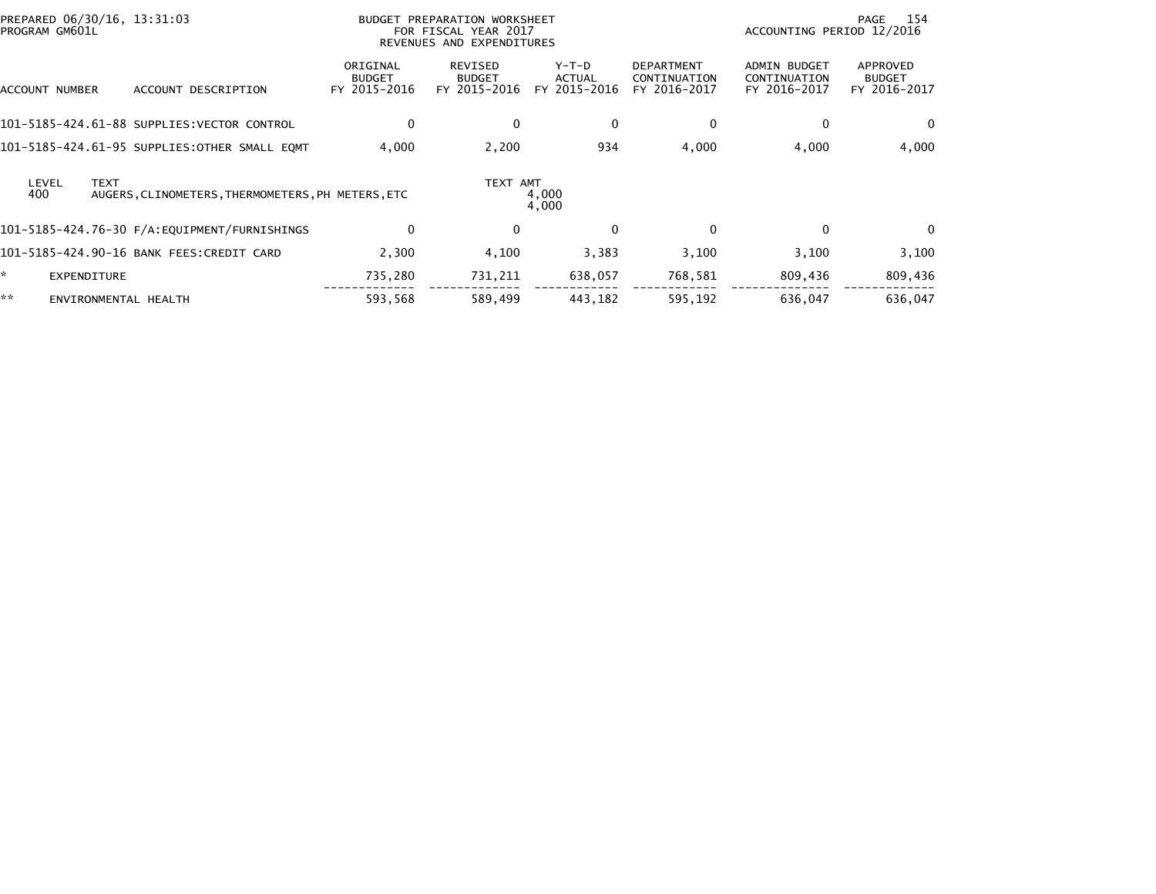| PREPARED 06/30/16, 13:31:03<br>PROGRAM GM601L |                                                                  |                                           | BUDGET PREPARATION WORKSHEET<br>FOR FISCAL YEAR 2017<br>REVENUES AND EXPENDITURES |                                 |                                                   | ACCOUNTING PERIOD 12/2016                           | 154<br>PAGE                               |
|-----------------------------------------------|------------------------------------------------------------------|-------------------------------------------|-----------------------------------------------------------------------------------|---------------------------------|---------------------------------------------------|-----------------------------------------------------|-------------------------------------------|
| ACCOUNT NUMBER                                | ACCOUNT DESCRIPTION                                              | ORIGINAL<br><b>BUDGET</b><br>FY 2015-2016 | REVISED<br><b>BUDGET</b><br>FY 2015-2016                                          | Y-T-D<br>ACTUAL<br>FY 2015-2016 | <b>DEPARTMENT</b><br>CONTINUATION<br>FY 2016-2017 | <b>ADMIN BUDGET</b><br>CONTINUATION<br>FY 2016-2017 | APPROVED<br><b>BUDGET</b><br>FY 2016-2017 |
|                                               | 101-5185-424.61-88 SUPPLIES:VECTOR CONTROL                       | 0                                         | $\mathbf{0}$                                                                      | $\mathbf 0$                     | $\mathbf 0$                                       | $\Omega$                                            | 0                                         |
|                                               | 101-5185-424.61-95 SUPPLIES:OTHER SMALL EQMT                     | 4,000                                     | 2,200                                                                             | 934                             | 4,000                                             | 4,000                                               | 4,000                                     |
| LEVEL<br>400                                  | <b>TEXT</b><br>AUGERS, CLINOMETERS, THERMOMETERS, PH METERS, ETC |                                           | TEXT AMT                                                                          | 4,000<br>4,000                  |                                                   |                                                     |                                           |
|                                               | 101-5185-424.76-30 F/A:EQUIPMENT/FURNISHINGS                     | 0                                         | $\mathbf{0}$                                                                      | $\mathbf{0}$                    | $\mathbf 0$                                       | $\Omega$                                            | $\Omega$                                  |
|                                               | 101-5185-424.90-16 BANK FEES:CREDIT CARD                         | 2.300                                     | 4,100                                                                             | 3,383                           | 3,100                                             | 3,100                                               | 3,100                                     |
| ×.<br><b>EXPENDITURE</b>                      |                                                                  | 735,280                                   | 731,211                                                                           | 638,057                         | 768,581                                           | 809,436                                             | 809,436                                   |
| **                                            | ENVIRONMENTAL HEALTH                                             | 593,568                                   | 589,499                                                                           | 443,182                         | 595,192                                           | 636,047                                             | 636,047                                   |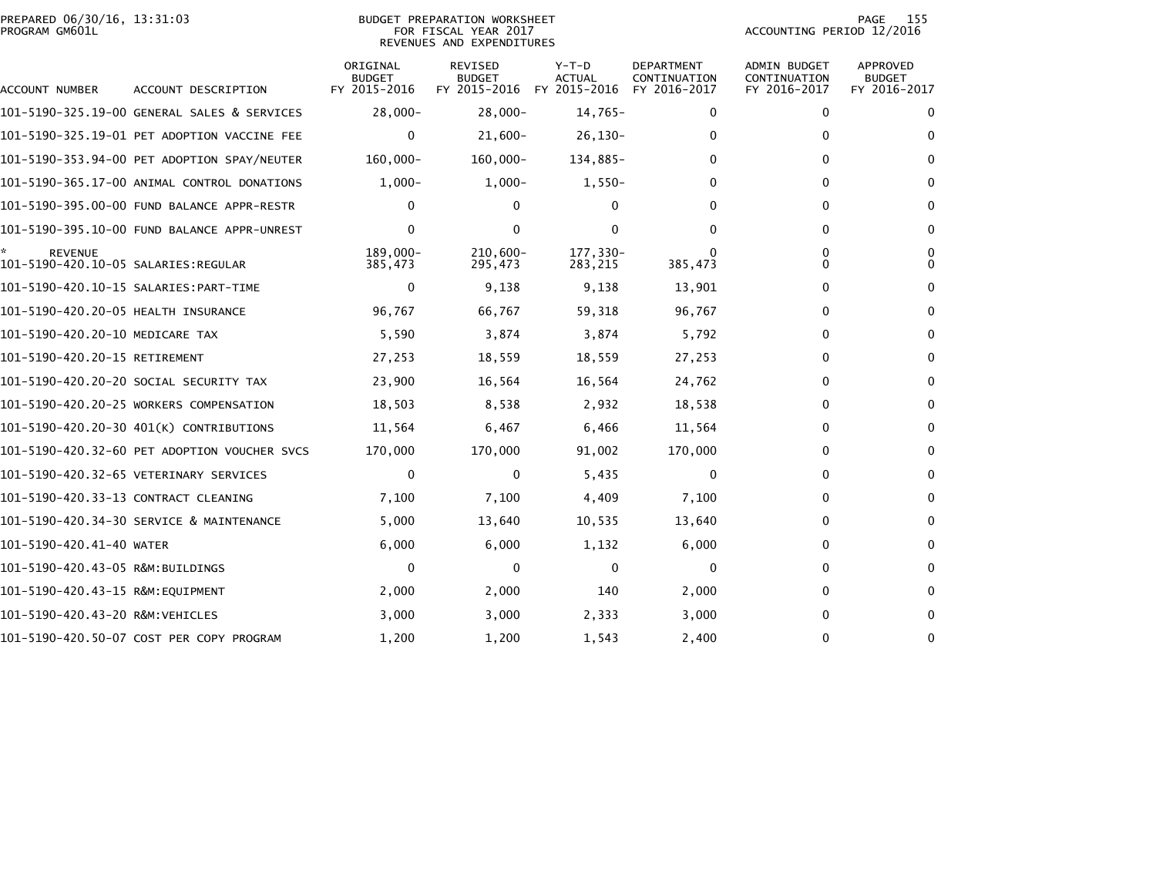### PREPARED 06/30/16, 13:31:03<br>PROGRAM GM601L

#### BUDGET PREPARATION WORKSHEET<br>FOR FISCAL YEAR 2017 REVENUES AND EXPENDITURES

PAGE 155<br>ACCOUNTING PERIOD 12/2016

| <b>ACCOUNT NUMBER</b>                                  | ACCOUNT DESCRIPTION                          | ORIGINAL<br><b>BUDGET</b><br>FY 2015-2016 | REVISED<br><b>BUDGET</b><br>FY 2015-2016 | $Y-T-D$<br><b>ACTUAL</b><br>FY 2015-2016 | <b>DEPARTMENT</b><br>CONTINUATION<br>FY 2016-2017 | <b>ADMIN BUDGET</b><br>CONTINUATION<br>FY 2016-2017 | APPROVED<br><b>BUDGET</b><br>FY 2016-2017 |
|--------------------------------------------------------|----------------------------------------------|-------------------------------------------|------------------------------------------|------------------------------------------|---------------------------------------------------|-----------------------------------------------------|-------------------------------------------|
|                                                        | 101-5190-325.19-00 GENERAL SALES & SERVICES  | $28,000 -$                                | $28,000 -$                               | $14,765-$                                | 0                                                 | 0                                                   | $\Omega$                                  |
|                                                        | 101-5190-325.19-01 PET ADOPTION VACCINE FEE  | $\Omega$                                  | $21,600-$                                | $26, 130 -$                              | 0                                                 | $\Omega$                                            | $\Omega$                                  |
|                                                        |                                              |                                           |                                          |                                          |                                                   |                                                     |                                           |
|                                                        | 101-5190-353.94-00 PET ADOPTION SPAY/NEUTER  | 160,000-                                  | 160,000-                                 | 134,885-                                 | 0                                                 | 0                                                   | $\Omega$                                  |
|                                                        | 101-5190-365.17-00 ANIMAL CONTROL DONATIONS  | $1,000-$                                  | $1,000-$                                 | $1,550-$                                 | 0                                                 | 0                                                   | 0                                         |
|                                                        | 101-5190-395.00-00 FUND BALANCE APPR-RESTR   | $\Omega$                                  | 0                                        | $\Omega$                                 | 0                                                 | $\Omega$                                            | $\Omega$                                  |
|                                                        | 101-5190-395.10-00 FUND BALANCE APPR-UNREST  | 0                                         | 0                                        | 0                                        | 0                                                 | $\Omega$                                            | 0                                         |
| <b>REVENUE</b><br>101-5190-420.10-05 SALARIES: REGULAR |                                              | 189.000-<br>385,473                       | $210.600 -$<br>295,473                   | 177,330-<br>283,215                      | 385,473                                           | 0<br>0                                              | 0<br><sup>0</sup>                         |
|                                                        |                                              | 0                                         | 9,138                                    | 9,138                                    | 13,901                                            | 0                                                   | $\Omega$                                  |
| 101-5190-420.20-05 HEALTH INSURANCE                    |                                              | 96,767                                    | 66,767                                   | 59,318                                   | 96,767                                            | 0                                                   | 0                                         |
| 101-5190-420.20-10 MEDICARE TAX                        |                                              | 5,590                                     | 3,874                                    | 3,874                                    | 5,792                                             | 0                                                   | $\Omega$                                  |
| 101-5190-420.20-15 RETIREMENT                          |                                              | 27,253                                    | 18,559                                   | 18,559                                   | 27,253                                            | 0                                                   | 0                                         |
|                                                        | 101–5190–420.20–20 SOCIAL SECURITY TAX       | 23,900                                    | 16,564                                   | 16,564                                   | 24,762                                            | 0                                                   | $\Omega$                                  |
|                                                        | 101-5190-420.20-25 WORKERS COMPENSATION      | 18,503                                    | 8,538                                    | 2,932                                    | 18,538                                            | 0                                                   | 0                                         |
|                                                        | 101-5190-420.20-30 401(K) CONTRIBUTIONS      | 11,564                                    | 6,467                                    | 6,466                                    | 11,564                                            | 0                                                   | $\Omega$                                  |
|                                                        | 101-5190-420.32-60 PET ADOPTION VOUCHER SVCS | 170,000                                   | 170,000                                  | 91,002                                   | 170,000                                           | 0                                                   | 0                                         |
|                                                        | 101-5190-420.32-65 VETERINARY SERVICES       | $\mathbf{0}$                              | $\mathbf{0}$                             | 5,435                                    | $\mathbf{0}$                                      | 0                                                   | $\Omega$                                  |
| 101-5190-420.33-13 CONTRACT CLEANING                   |                                              | 7,100                                     | 7,100                                    | 4,409                                    | 7,100                                             | 0                                                   | 0                                         |
|                                                        | 101-5190-420.34-30 SERVICE & MAINTENANCE     | 5,000                                     | 13,640                                   | 10,535                                   | 13,640                                            | 0                                                   | $\Omega$                                  |
| 101-5190-420.41-40 WATER                               |                                              | 6,000                                     | 6,000                                    | 1,132                                    | 6,000                                             | 0                                                   | 0                                         |
| 101-5190-420.43-05 R&M:BUILDINGS                       |                                              | $\Omega$                                  | $\mathbf{0}$                             | $\mathbf{0}$                             | $\mathbf{0}$                                      | 0                                                   | $\Omega$                                  |
| 101-5190-420.43-15 R&M:EOUIPMENT                       |                                              | 2,000                                     | 2,000                                    | 140                                      | 2,000                                             | 0                                                   | 0                                         |
| 101-5190-420.43-20 R&M:VEHICLES                        |                                              | 3,000                                     | 3,000                                    | 2,333                                    | 3,000                                             | 0                                                   | $\mathbf{0}$                              |
|                                                        | 101-5190-420.50-07 COST PER COPY PROGRAM     | 1,200                                     | 1,200                                    | 1,543                                    | 2,400                                             | 0                                                   | $\Omega$                                  |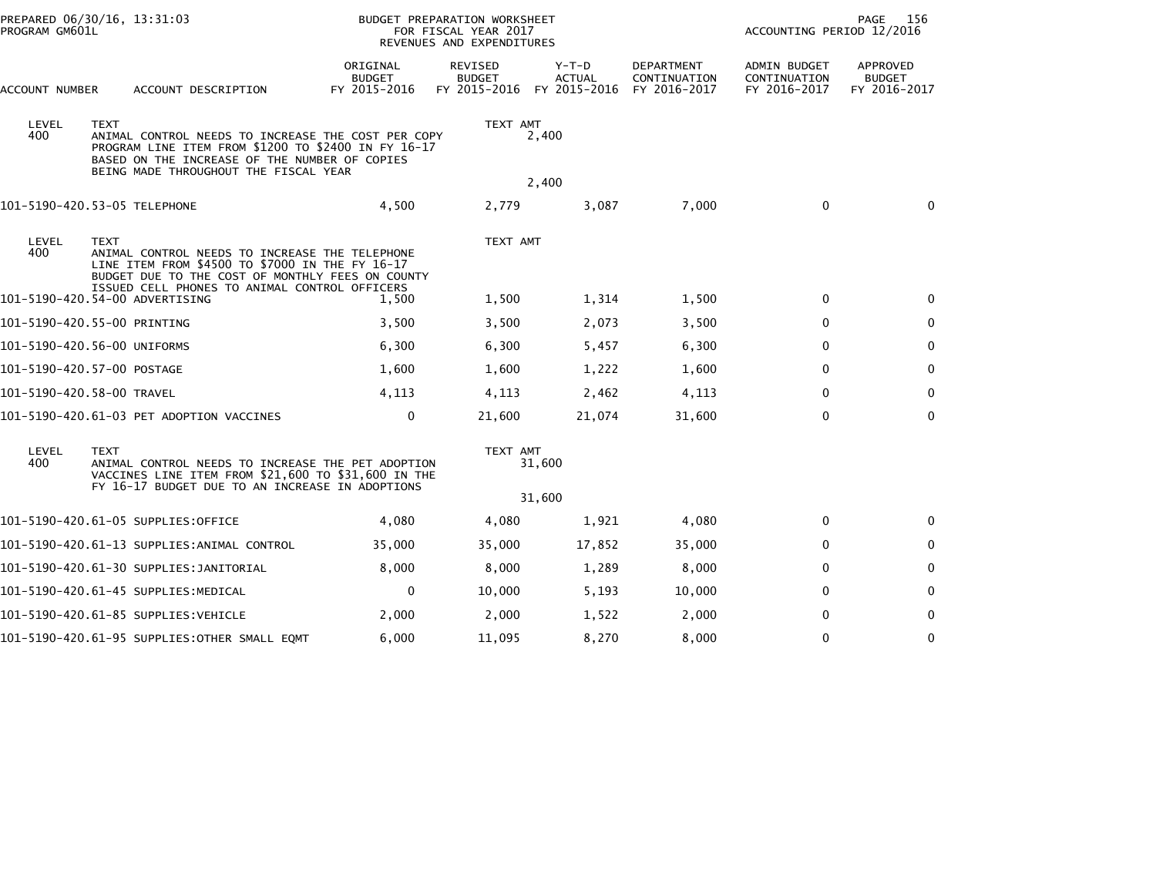| PREPARED 06/30/16, 13:31:03<br>PROGRAM GM601L |  |             |                                                                                                                                                                                                     | <b>BUDGET PREPARATION WORKSHEET</b><br>FOR FISCAL YEAR 2017<br>REVENUES AND EXPENDITURES |                                          |                                          | PAGE<br>156<br>ACCOUNTING PERIOD 12/2016   |                                              |                                           |
|-----------------------------------------------|--|-------------|-----------------------------------------------------------------------------------------------------------------------------------------------------------------------------------------------------|------------------------------------------------------------------------------------------|------------------------------------------|------------------------------------------|--------------------------------------------|----------------------------------------------|-------------------------------------------|
| ACCOUNT NUMBER                                |  |             | ACCOUNT DESCRIPTION                                                                                                                                                                                 | ORIGINAL<br><b>BUDGET</b><br>FY 2015-2016                                                | REVISED<br><b>BUDGET</b><br>FY 2015-2016 | $Y-T-D$<br><b>ACTUAL</b><br>FY 2015-2016 | DEPARTMENT<br>CONTINUATION<br>FY 2016-2017 | ADMIN BUDGET<br>CONTINUATION<br>FY 2016-2017 | APPROVED<br><b>BUDGET</b><br>FY 2016-2017 |
| LEVEL<br>400                                  |  | <b>TEXT</b> | ANIMAL CONTROL NEEDS TO INCREASE THE COST PER COPY<br>PROGRAM LINE ITEM FROM \$1200 TO \$2400 IN FY 16-17<br>BASED ON THE INCREASE OF THE NUMBER OF COPIES<br>BEING MADE THROUGHOUT THE FISCAL YEAR |                                                                                          | TEXT AMT                                 | 2,400                                    |                                            |                                              |                                           |
|                                               |  |             |                                                                                                                                                                                                     |                                                                                          |                                          | 2,400                                    |                                            |                                              |                                           |
|                                               |  |             | 101-5190-420.53-05 TELEPHONE                                                                                                                                                                        | 4,500                                                                                    | 2,779                                    | 3,087                                    | 7,000                                      | $\mathbf 0$                                  | $\mathbf{0}$                              |
| LEVEL<br>400                                  |  | <b>TEXT</b> | ANIMAL CONTROL NEEDS TO INCREASE THE TELEPHONE<br>LINE ITEM FROM \$4500 TO \$7000 IN THE FY 16-17<br>BUDGET DUE TO THE COST OF MONTHLY FEES ON COUNTY                                               |                                                                                          | TEXT AMT                                 |                                          |                                            |                                              |                                           |
|                                               |  |             | ISSUED CELL PHONES TO ANIMAL CONTROL OFFICERS<br>101-5190-420.54-00 ADVERTISING                                                                                                                     | 1,500                                                                                    | 1,500                                    | 1,314                                    | 1,500                                      | $\mathbf 0$                                  | 0                                         |
|                                               |  |             | 101-5190-420.55-00 PRINTING                                                                                                                                                                         | 3,500                                                                                    | 3,500                                    | 2,073                                    | 3,500                                      | $\Omega$                                     | $\Omega$                                  |
|                                               |  |             | 101-5190-420.56-00 UNIFORMS                                                                                                                                                                         | 6,300                                                                                    | 6,300                                    | 5,457                                    | 6,300                                      | $\mathbf{0}$                                 | $\mathbf 0$                               |
|                                               |  |             | 101-5190-420.57-00 POSTAGE                                                                                                                                                                          | 1,600                                                                                    | 1,600                                    | 1,222                                    | 1,600                                      | $\mathbf{0}$                                 | $\mathbf 0$                               |
|                                               |  |             | 101-5190-420.58-00 TRAVEL                                                                                                                                                                           | 4,113                                                                                    | 4,113                                    | 2,462                                    | 4,113                                      | $\mathbf 0$                                  | $\mathbf 0$                               |
|                                               |  |             | 101-5190-420.61-03 PET ADOPTION VACCINES                                                                                                                                                            | $\mathbf 0$                                                                              | 21,600                                   | 21,074                                   | 31,600                                     | $\Omega$                                     | $\mathbf{0}$                              |
| LEVEL<br>400                                  |  | <b>TEXT</b> | ANIMAL CONTROL NEEDS TO INCREASE THE PET ADOPTION<br>VACCINES LINE ITEM FROM \$21,600 TO \$31,600 IN THE<br>FY 16-17 BUDGET DUE TO AN INCREASE IN ADOPTIONS                                         |                                                                                          | TEXT AMT                                 | 31,600                                   |                                            |                                              |                                           |
|                                               |  |             |                                                                                                                                                                                                     |                                                                                          |                                          | 31,600                                   |                                            |                                              |                                           |
|                                               |  |             | 101-5190-420.61-05 SUPPLIES:OFFICE                                                                                                                                                                  | 4,080                                                                                    | 4,080                                    | 1,921                                    | 4,080                                      | $\Omega$                                     | $\Omega$                                  |
|                                               |  |             | 101-5190-420.61-13 SUPPLIES:ANIMAL CONTROL                                                                                                                                                          | 35,000                                                                                   | 35,000                                   | 17,852                                   | 35,000                                     | $\Omega$                                     | $\mathbf 0$                               |
|                                               |  |             |                                                                                                                                                                                                     | 8,000                                                                                    | 8,000                                    | 1,289                                    | 8,000                                      | $\mathbf{0}$                                 | $\Omega$                                  |
|                                               |  |             | 101-5190-420.61-45 SUPPLIES:MEDICAL                                                                                                                                                                 | 0                                                                                        | 10,000                                   | 5,193                                    | 10,000                                     | $\Omega$                                     | $\Omega$                                  |
|                                               |  |             | 101–5190–420.61–85 SUPPLIES:VEHICLE                                                                                                                                                                 | 2,000                                                                                    | 2,000                                    | 1,522                                    | 2,000                                      | $\mathbf{0}$                                 | $\bf{0}$                                  |
|                                               |  |             | 101-5190-420.61-95 SUPPLIES:OTHER SMALL EQMT                                                                                                                                                        | 6,000                                                                                    | 11,095                                   | 8,270                                    | 8,000                                      | $\mathbf{0}$                                 | $\Omega$                                  |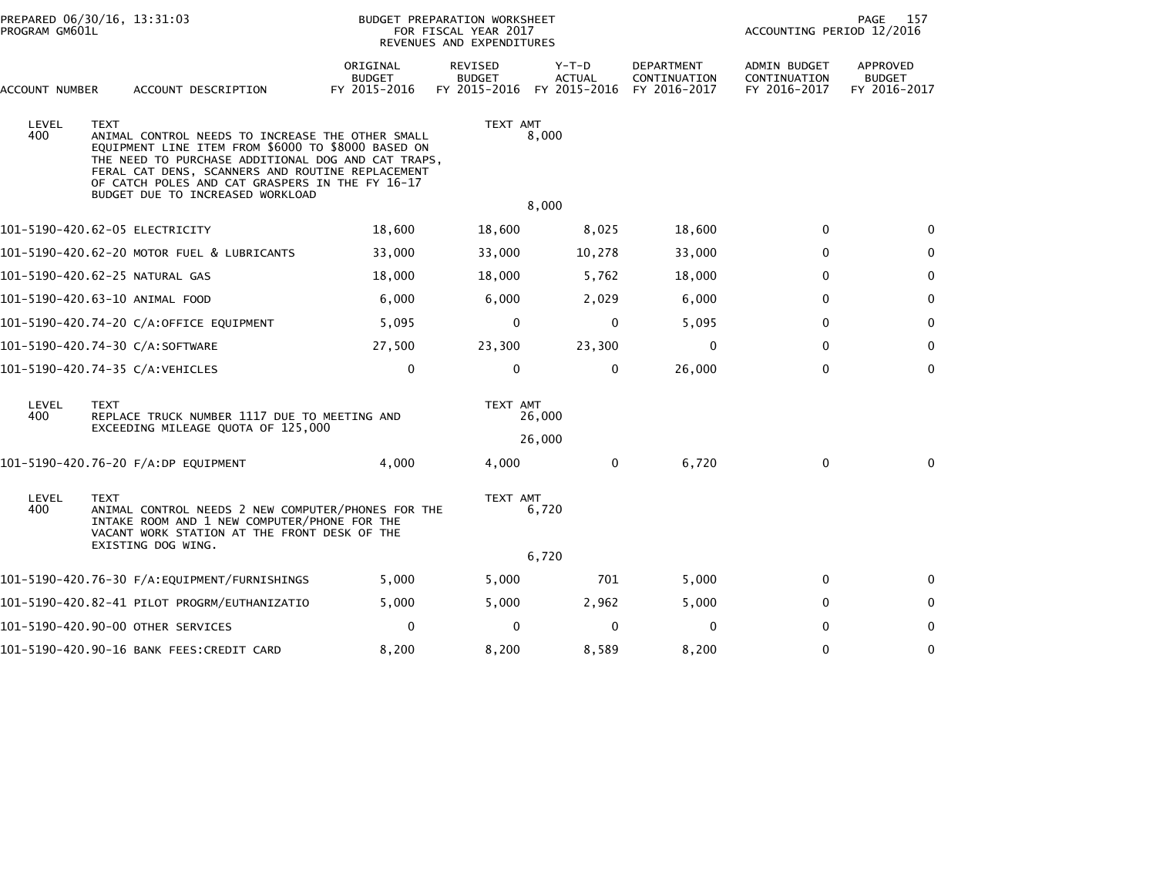| PROGRAM GM601L | PREPARED 06/30/16, 13:31:03                                                                                                                                                                                                                                                                                            |                                           | BUDGET PREPARATION WORKSHEET<br>FOR FISCAL YEAR 2017<br>REVENUES AND EXPENDITURES |                          |                                                   | PAGE<br>157<br>ACCOUNTING PERIOD 12/2016     |                                           |  |
|----------------|------------------------------------------------------------------------------------------------------------------------------------------------------------------------------------------------------------------------------------------------------------------------------------------------------------------------|-------------------------------------------|-----------------------------------------------------------------------------------|--------------------------|---------------------------------------------------|----------------------------------------------|-------------------------------------------|--|
| ACCOUNT NUMBER | ACCOUNT DESCRIPTION                                                                                                                                                                                                                                                                                                    | ORIGINAL<br><b>BUDGET</b><br>FY 2015-2016 | <b>REVISED</b><br><b>BUDGET</b><br>FY 2015-2016 FY 2015-2016                      | $Y-T-D$<br><b>ACTUAL</b> | <b>DEPARTMENT</b><br>CONTINUATION<br>FY 2016-2017 | ADMIN BUDGET<br>CONTINUATION<br>FY 2016-2017 | APPROVED<br><b>BUDGET</b><br>FY 2016-2017 |  |
| LEVEL<br>400   | <b>TEXT</b><br>ANIMAL CONTROL NEEDS TO INCREASE THE OTHER SMALL<br>EQUIPMENT LINE ITEM FROM \$6000 TO \$8000 BASED ON<br>THE NEED TO PURCHASE ADDITIONAL DOG AND CAT TRAPS,<br>FERAL CAT DENS, SCANNERS AND ROUTINE REPLACEMENT<br>OF CATCH POLES AND CAT GRASPERS IN THE FY 16-17<br>BUDGET DUE TO INCREASED WORKLOAD |                                           | TEXT AMT                                                                          | 8,000                    |                                                   |                                              |                                           |  |
|                |                                                                                                                                                                                                                                                                                                                        |                                           |                                                                                   | 8,000                    |                                                   |                                              |                                           |  |
|                | 101-5190-420.62-05 ELECTRICITY                                                                                                                                                                                                                                                                                         | 18,600                                    | 18,600                                                                            | 8,025                    | 18,600                                            | $\Omega$                                     | $\Omega$                                  |  |
|                | 101-5190-420.62-20 MOTOR FUEL & LUBRICANTS                                                                                                                                                                                                                                                                             | 33,000                                    | 33,000                                                                            | 10,278                   | 33,000                                            | 0                                            | 0                                         |  |
|                | 101-5190-420.62-25 NATURAL GAS                                                                                                                                                                                                                                                                                         | 18,000                                    | 18,000                                                                            | 5,762                    | 18,000                                            | $\Omega$                                     | $\mathbf 0$                               |  |
|                | 101-5190-420.63-10 ANIMAL FOOD                                                                                                                                                                                                                                                                                         | 6,000                                     | 6,000                                                                             | 2,029                    | 6,000                                             | $\mathbf{0}$                                 | $\mathbf 0$                               |  |
|                | 101-5190-420.74-20 C/A:OFFICE EQUIPMENT                                                                                                                                                                                                                                                                                | 5,095                                     | 0                                                                                 | $\mathbf 0$              | 5,095                                             | $\mathbf{0}$                                 | $\Omega$                                  |  |
|                | 101-5190-420.74-30 C/A:SOFTWARE                                                                                                                                                                                                                                                                                        | 27,500                                    | 23,300                                                                            | 23,300                   | $\mathbf 0$                                       | $\mathbf{0}$                                 | $\mathbf 0$                               |  |
|                | 101-5190-420.74-35 C/A:VEHICLES                                                                                                                                                                                                                                                                                        | 0                                         | 0                                                                                 | $\mathbf 0$              | 26,000                                            | $\mathbf{0}$                                 | $\mathbf{0}$                              |  |
| LEVEL<br>400   | <b>TEXT</b><br>REPLACE TRUCK NUMBER 1117 DUE TO MEETING AND<br>EXCEEDING MILEAGE QUOTA OF 125,000                                                                                                                                                                                                                      |                                           | TEXT AMT                                                                          | 26,000                   |                                                   |                                              |                                           |  |
|                |                                                                                                                                                                                                                                                                                                                        |                                           |                                                                                   | 26,000                   |                                                   |                                              |                                           |  |
|                | 101-5190-420.76-20 F/A:DP EQUIPMENT                                                                                                                                                                                                                                                                                    | 4.000                                     | 4,000                                                                             | $\mathbf{0}$             | 6,720                                             | $\mathbf{0}$                                 | $\Omega$                                  |  |
| LEVEL<br>400   | <b>TEXT</b><br>ANIMAL CONTROL NEEDS 2 NEW COMPUTER/PHONES FOR THE<br>INTAKE ROOM AND 1 NEW COMPUTER/PHONE FOR THE<br>VACANT WORK STATION AT THE FRONT DESK OF THE<br>EXISTING DOG WING.                                                                                                                                |                                           | TEXT AMT                                                                          | 6,720                    |                                                   |                                              |                                           |  |
|                |                                                                                                                                                                                                                                                                                                                        |                                           |                                                                                   | 6,720                    |                                                   |                                              |                                           |  |
|                |                                                                                                                                                                                                                                                                                                                        | 5,000                                     | 5,000                                                                             | 701                      | 5,000                                             | $\mathbf 0$                                  | $\bf{0}$                                  |  |
|                | 101–5190–420.82–41 PILOT PROGRM/EUTHANIZATIO                                                                                                                                                                                                                                                                           | 5,000                                     | 5,000                                                                             | 2,962                    | 5,000                                             | 0                                            | 0                                         |  |
|                | 101-5190-420.90-00 OTHER SERVICES                                                                                                                                                                                                                                                                                      | 0                                         | $\Omega$                                                                          | $\mathbf 0$              | 0                                                 | $\mathbf{0}$                                 | $\mathbf{0}$                              |  |
|                | 101-5190-420.90-16 BANK FEES:CREDIT CARD                                                                                                                                                                                                                                                                               | 8,200                                     | 8,200                                                                             | 8,589                    | 8,200                                             | $\mathbf{0}$                                 | 0                                         |  |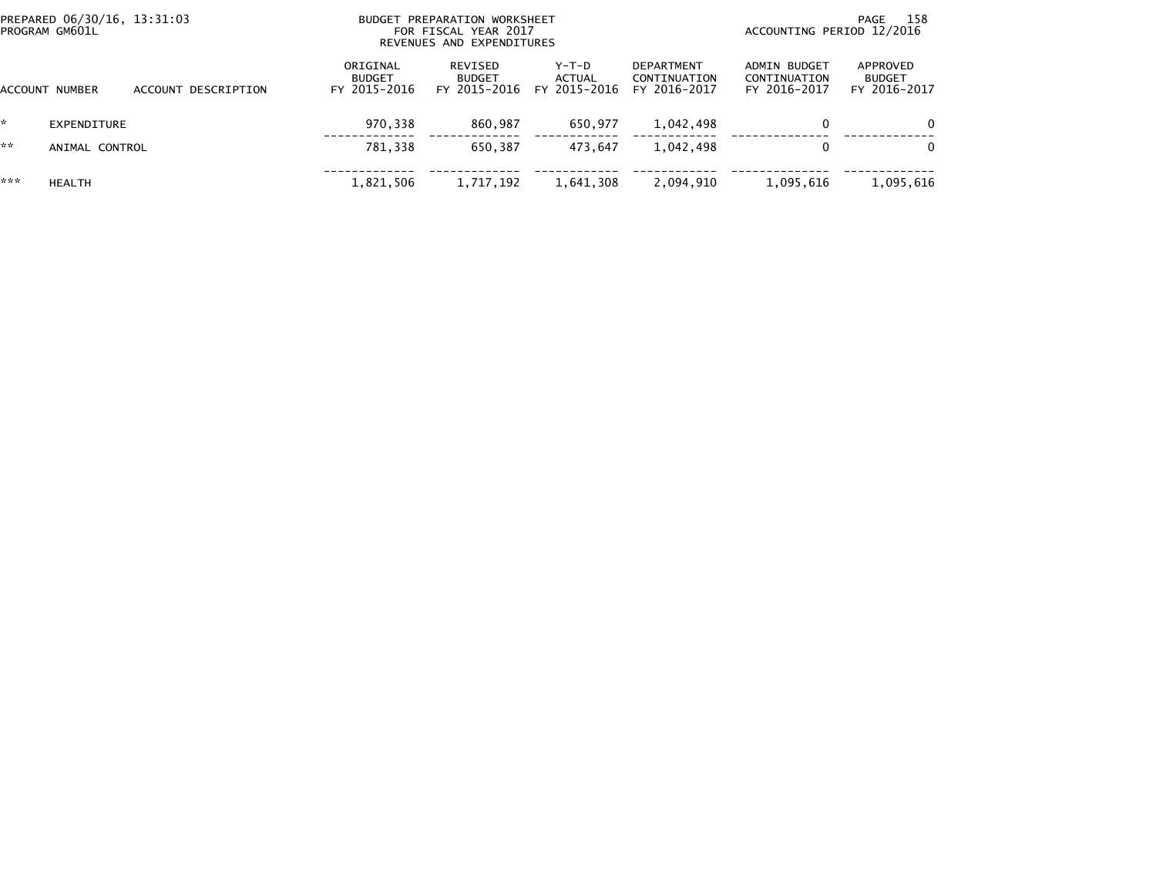|     | PREPARED 06/30/16, 13:31:03<br>PROGRAM GM601L |                     |                                           | BUDGET PREPARATION WORKSHEET<br>FOR FISCAL YEAR 2017<br>REVENUES AND EXPENDITURES |                                 | - 158<br>PAGE<br>ACCOUNTING PERIOD 12/2016        |                                              |                                           |
|-----|-----------------------------------------------|---------------------|-------------------------------------------|-----------------------------------------------------------------------------------|---------------------------------|---------------------------------------------------|----------------------------------------------|-------------------------------------------|
|     | ACCOUNT NUMBER                                | ACCOUNT DESCRIPTION | ORIGINAL<br><b>BUDGET</b><br>FY 2015-2016 | REVISED<br><b>BUDGET</b><br>FY 2015-2016                                          | Y-T-D<br>ACTUAL<br>FY 2015-2016 | <b>DEPARTMENT</b><br>CONTINUATION<br>FY 2016-2017 | ADMIN BUDGET<br>CONTINUATION<br>FY 2016-2017 | APPROVED<br><b>BUDGET</b><br>FY 2016-2017 |
|     | EXPENDITURE                                   |                     | 970,338                                   | 860,987                                                                           | 650.977                         | 1,042,498                                         | $\bf{0}$                                     | $\Omega$                                  |
| **  | ANIMAL CONTROL                                |                     | 781.338                                   | 650.387                                                                           | 473.647                         | 1.042.498                                         | $\Omega$                                     | $\mathbf{0}$                              |
| *** | <b>HEALTH</b>                                 |                     | 1,821,506                                 | 1,717,192                                                                         | 1,641,308                       | 2,094,910                                         | 1,095,616                                    | 1,095,616                                 |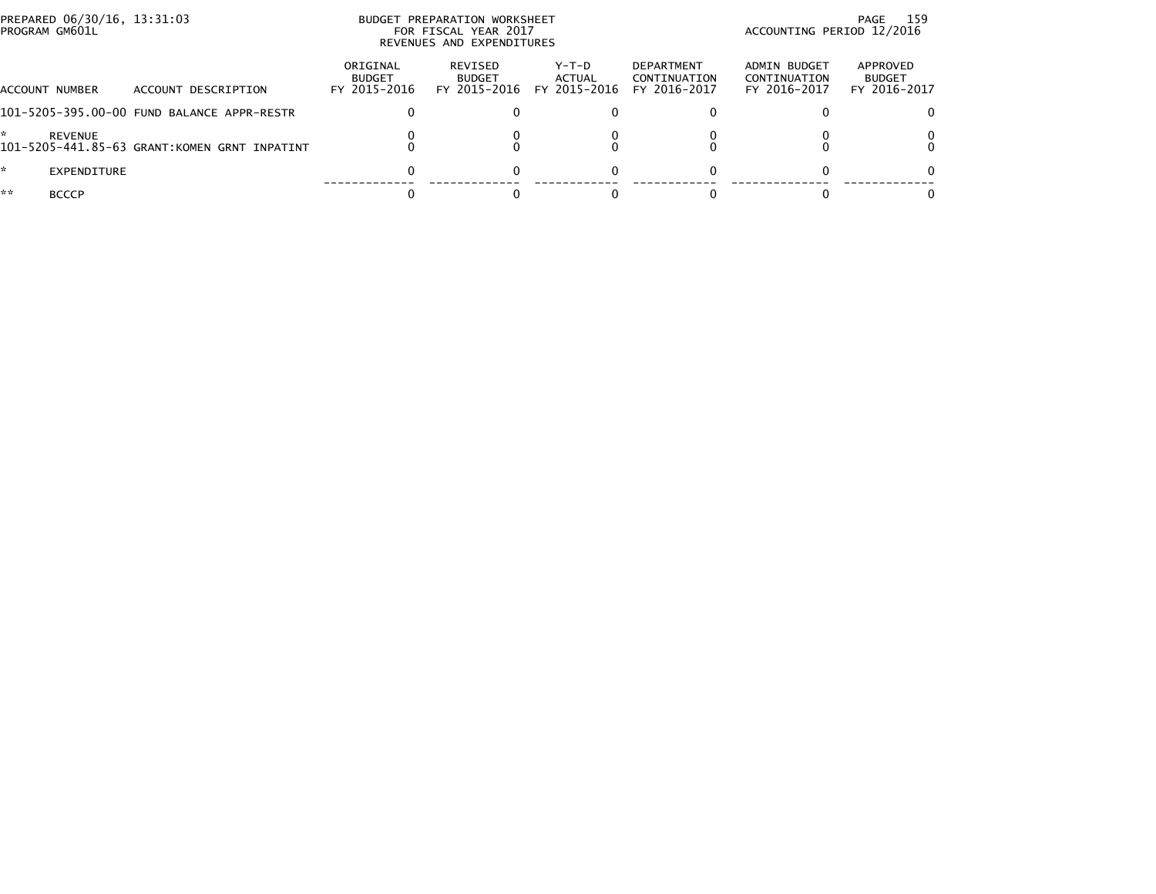| PREPARED 06/30/16, 13:31:03<br>PROGRAM GM601L |                                              |                                           | BUDGET PREPARATION WORKSHEET<br>FOR FISCAL YEAR 2017<br>REVENUES AND EXPENDITURES | 159<br>PAGE<br>ACCOUNTING PERIOD 12/2016 |                                                   |                                              |                                           |
|-----------------------------------------------|----------------------------------------------|-------------------------------------------|-----------------------------------------------------------------------------------|------------------------------------------|---------------------------------------------------|----------------------------------------------|-------------------------------------------|
| ACCOUNT NUMBER                                | ACCOUNT DESCRIPTION                          | ORIGINAL<br><b>BUDGET</b><br>FY 2015-2016 | REVISED<br><b>BUDGET</b><br>FY 2015-2016                                          | Y-T-D<br>ACTUAL<br>FY 2015-2016          | <b>DEPARTMENT</b><br>CONTINUATION<br>FY 2016-2017 | ADMIN BUDGET<br>CONTINUATION<br>FY 2016-2017 | APPROVED<br><b>BUDGET</b><br>FY 2016-2017 |
|                                               | 101-5205-395.00-00 FUND BALANCE APPR-RESTR   |                                           |                                                                                   |                                          |                                                   |                                              |                                           |
| REVENUE                                       | 101-5205-441.85-63 GRANT:KOMEN GRNT INPATINT |                                           |                                                                                   |                                          |                                                   |                                              |                                           |
| $\mathbb{R}$<br>EXPENDITURE                   |                                              |                                           | $\Omega$                                                                          | 0                                        | 0                                                 |                                              |                                           |
| **<br><b>BCCCP</b>                            |                                              |                                           |                                                                                   |                                          |                                                   |                                              |                                           |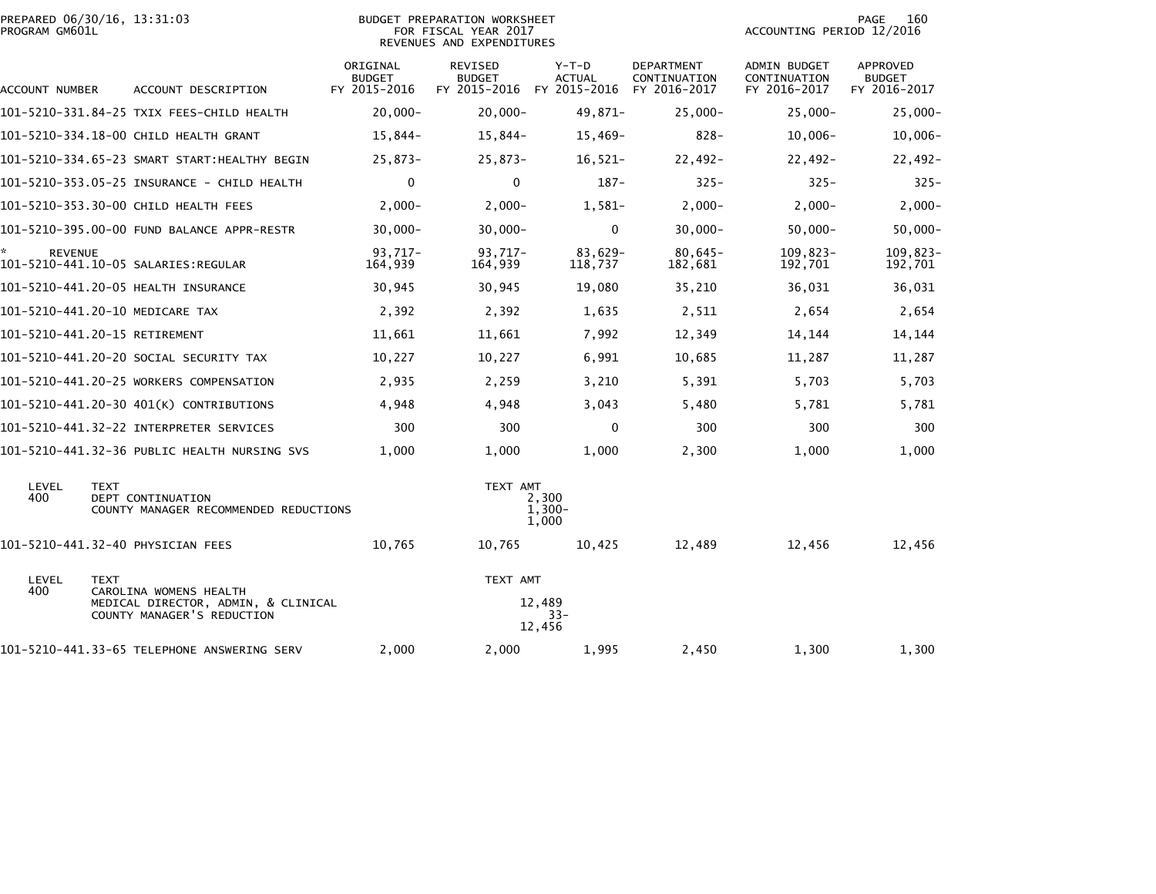| PROGRAM GM601L       | PREPARED 06/30/16, 13:31:03                                               |                                           | <b>BUDGET PREPARATION WORKSHEET</b><br>FOR FISCAL YEAR 2017<br>REVENUES AND EXPENDITURES | PAGE<br>160<br>ACCOUNTING PERIOD 12/2016 |                                                   |                                                     |                                                  |
|----------------------|---------------------------------------------------------------------------|-------------------------------------------|------------------------------------------------------------------------------------------|------------------------------------------|---------------------------------------------------|-----------------------------------------------------|--------------------------------------------------|
| ACCOUNT NUMBER       | ACCOUNT DESCRIPTION                                                       | ORIGINAL<br><b>BUDGET</b><br>FY 2015-2016 | <b>REVISED</b><br><b>BUDGET</b><br>FY 2015-2016 FY 2015-2016                             | $Y-T-D$<br><b>ACTUAL</b>                 | <b>DEPARTMENT</b><br>CONTINUATION<br>FY 2016-2017 | <b>ADMIN BUDGET</b><br>CONTINUATION<br>FY 2016-2017 | <b>APPROVED</b><br><b>BUDGET</b><br>FY 2016-2017 |
|                      | 101-5210-331.84-25 TXIX FEES-CHILD HEALTH                                 | $20,000 -$                                | $20,000 -$                                                                               | 49,871-                                  | $25,000 -$                                        | $25,000 -$                                          | $25,000 -$                                       |
|                      | 101-5210-334.18-00 CHILD HEALTH GRANT                                     | $15,844-$                                 | 15,844-                                                                                  | $15,469-$                                | $828 -$                                           | $10,006 -$                                          | $10,006 -$                                       |
|                      | 101-5210-334.65-23 SMART START:HEALTHY BEGIN                              | $25,873-$                                 | $25,873-$                                                                                | $16,521-$                                | 22,492-                                           | $22,492-$                                           | $22,492-$                                        |
|                      | 101-5210-353.05-25 INSURANCE - CHILD HEALTH                               | 0                                         | $\mathbf 0$                                                                              | $187 -$                                  | $325 -$                                           | $325 -$                                             | $325 -$                                          |
|                      | 101-5210-353.30-00 CHILD HEALTH FEES                                      | $2,000-$                                  | $2,000-$                                                                                 | $1,581-$                                 | $2,000-$                                          | $2,000-$                                            | $2,000-$                                         |
|                      | 101-5210-395.00-00 FUND BALANCE APPR-RESTR                                | $30,000 -$                                | $30,000 -$                                                                               | $\mathbf 0$                              | $30,000 -$                                        | $50,000 -$                                          | $50,000 -$                                       |
| ×.<br><b>REVENUE</b> |                                                                           | $93.717 -$<br>164,939                     | 93,717-<br>164,939                                                                       | 83,629-<br>118,737                       | $80,645-$<br>182,681                              | $109,823-$<br>192,701                               | 109,823-<br>192,701                              |
|                      | 101-5210-441.20-05 HEALTH INSURANCE                                       | 30,945                                    | 30,945                                                                                   | 19,080                                   | 35,210                                            | 36,031                                              | 36,031                                           |
|                      | 101-5210-441.20-10 MEDICARE TAX                                           | 2,392                                     | 2,392                                                                                    | 1,635                                    | 2,511                                             | 2,654                                               | 2,654                                            |
|                      | 101-5210-441.20-15 RETIREMENT                                             | 11,661                                    | 11,661                                                                                   | 7,992                                    | 12,349                                            | 14,144                                              | 14,144                                           |
|                      | 101-5210-441.20-20 SOCIAL SECURITY TAX                                    | 10,227                                    | 10,227                                                                                   | 6,991                                    | 10,685                                            | 11,287                                              | 11,287                                           |
|                      | 101-5210-441.20-25 WORKERS COMPENSATION                                   | 2,935                                     | 2,259                                                                                    | 3,210                                    | 5,391                                             | 5,703                                               | 5,703                                            |
|                      | 101-5210-441.20-30 401(K) CONTRIBUTIONS                                   | 4,948                                     | 4,948                                                                                    | 3,043                                    | 5,480                                             | 5,781                                               | 5,781                                            |
|                      |                                                                           | 300                                       | 300                                                                                      | $\Omega$                                 | 300                                               | 300                                                 | 300                                              |
|                      | 101-5210-441.32-36 PUBLIC HEALTH NURSING SVS                              | 1,000                                     | 1,000                                                                                    | 1,000                                    | 2,300                                             | 1,000                                               | 1,000                                            |
| LEVEL<br>400         | <b>TEXT</b><br>DEPT CONTINUATION<br>COUNTY MANAGER RECOMMENDED REDUCTIONS |                                           | TEXT AMT                                                                                 | 2,300<br>$1,300-$<br>1,000               |                                                   |                                                     |                                                  |
|                      | 101-5210-441.32-40 PHYSICIAN FEES                                         | 10,765                                    | 10,765                                                                                   | 10,425                                   | 12,489                                            | 12,456                                              | 12,456                                           |
| LEVEL<br>400         | <b>TEXT</b><br>CAROLINA WOMENS HEALTH                                     |                                           | TEXT AMT                                                                                 |                                          |                                                   |                                                     |                                                  |
|                      | MEDICAL DIRECTOR, ADMIN, & CLINICAL<br>COUNTY MANAGER'S REDUCTION         |                                           |                                                                                          | 12,489<br>$33 -$<br>12,456               |                                                   |                                                     |                                                  |
|                      | 101-5210-441.33-65 TELEPHONE ANSWERING SERV                               | 2,000                                     | 2,000                                                                                    | 1,995                                    | 2,450                                             | 1,300                                               | 1,300                                            |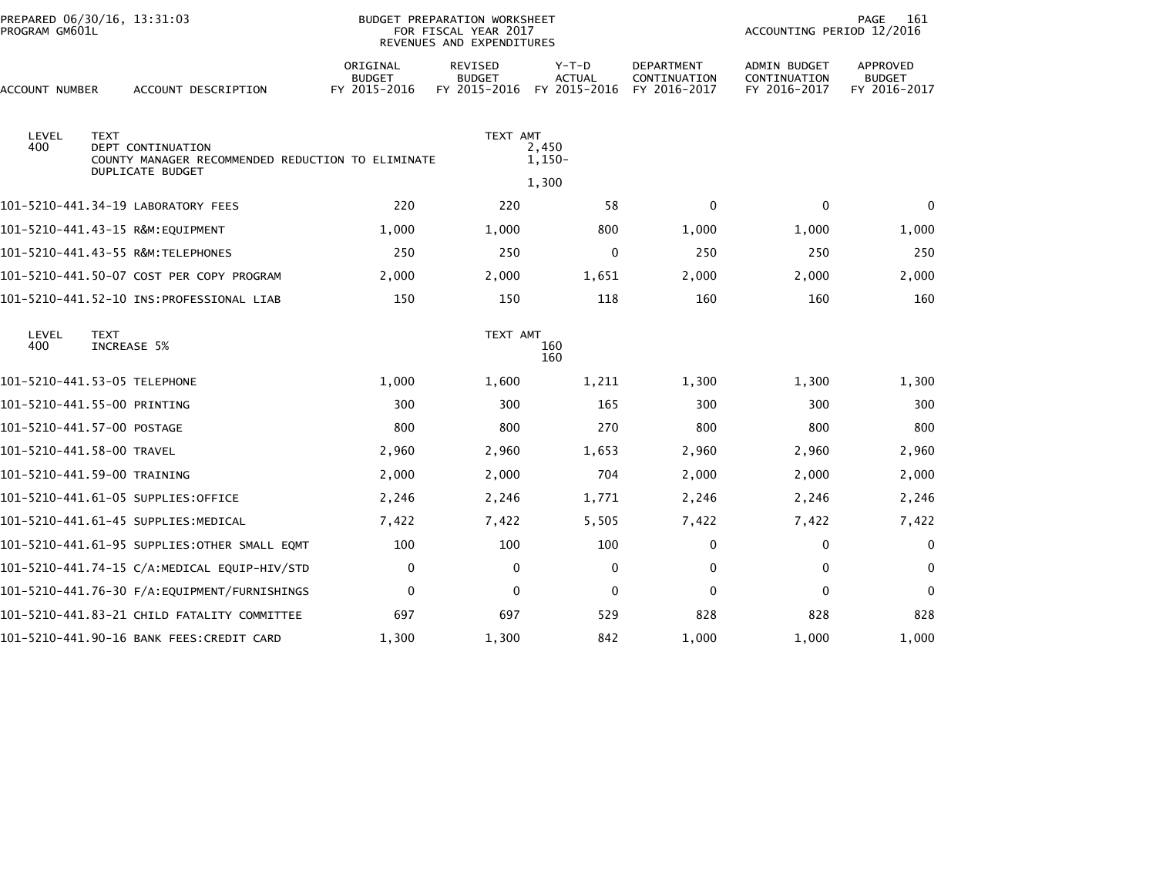|                              | PREPARED 06/30/16, 13:31:03<br>PROGRAM GM601L |                                                                                                   |                                           | <b>BUDGET PREPARATION WORKSHEET</b><br>FOR FISCAL YEAR 2017<br>REVENUES AND EXPENDITURES |                                          | PAGE<br>161<br>ACCOUNTING PERIOD 12/2016          |                                                     |                                                  |
|------------------------------|-----------------------------------------------|---------------------------------------------------------------------------------------------------|-------------------------------------------|------------------------------------------------------------------------------------------|------------------------------------------|---------------------------------------------------|-----------------------------------------------------|--------------------------------------------------|
| ACCOUNT NUMBER               |                                               | ACCOUNT DESCRIPTION                                                                               | ORIGINAL<br><b>BUDGET</b><br>FY 2015-2016 | <b>REVISED</b><br><b>BUDGET</b><br>FY 2015-2016                                          | $Y-T-D$<br><b>ACTUAL</b><br>FY 2015-2016 | <b>DEPARTMENT</b><br>CONTINUATION<br>FY 2016-2017 | <b>ADMIN BUDGET</b><br>CONTINUATION<br>FY 2016-2017 | <b>APPROVED</b><br><b>BUDGET</b><br>FY 2016-2017 |
| LEVEL<br>400                 | <b>TEXT</b>                                   | <b>DEPT CONTINUATION</b><br>COUNTY MANAGER RECOMMENDED REDUCTION TO ELIMINATE<br>DUPLICATE BUDGET |                                           | TEXT AMT                                                                                 | 2,450<br>1,150-<br>1,300                 |                                                   |                                                     |                                                  |
|                              |                                               | 101-5210-441.34-19 LABORATORY FEES                                                                | 220                                       | 220                                                                                      | 58                                       | $\mathbf 0$                                       | $\mathbf 0$                                         | $\mathbf{0}$                                     |
|                              |                                               | 101-5210-441.43-15 R&M:EQUIPMENT                                                                  | 1,000                                     | 1,000                                                                                    | 800                                      | 1,000                                             | 1,000                                               | 1,000                                            |
|                              |                                               | 101-5210-441.43-55 R&M:TELEPHONES                                                                 | 250                                       | 250                                                                                      | 0                                        | 250                                               | 250                                                 | 250                                              |
|                              |                                               | 101-5210-441.50-07 COST PER COPY PROGRAM                                                          | 2,000                                     | 2,000                                                                                    | 1,651                                    | 2,000                                             | 2,000                                               | 2,000                                            |
|                              |                                               | 101-5210-441.52-10 INS:PROFESSIONAL LIAB                                                          | 150                                       | 150                                                                                      | 118                                      | 160                                               | 160                                                 | 160                                              |
| LEVEL<br>400                 | <b>TEXT</b>                                   | INCREASE 5%                                                                                       |                                           | TEXT AMT                                                                                 | 160<br>160                               |                                                   |                                                     |                                                  |
| 101-5210-441.53-05 TELEPHONE |                                               |                                                                                                   | 1,000                                     | 1,600                                                                                    | 1,211                                    | 1,300                                             | 1,300                                               | 1,300                                            |
| 101-5210-441.55-00 PRINTING  |                                               |                                                                                                   | 300                                       | 300                                                                                      | 165                                      | 300                                               | 300                                                 | 300                                              |
| 101-5210-441.57-00 POSTAGE   |                                               |                                                                                                   | 800                                       | 800                                                                                      | 270                                      | 800                                               | 800                                                 | 800                                              |
| 101-5210-441.58-00 TRAVEL    |                                               |                                                                                                   | 2,960                                     | 2,960                                                                                    | 1,653                                    | 2,960                                             | 2,960                                               | 2,960                                            |
| 101-5210-441.59-00 TRAINING  |                                               |                                                                                                   | 2,000                                     | 2,000                                                                                    | 704                                      | 2,000                                             | 2,000                                               | 2,000                                            |
|                              |                                               | 101-5210-441.61-05 SUPPLIES:OFFICE                                                                | 2,246                                     | 2,246                                                                                    | 1,771                                    | 2,246                                             | 2,246                                               | 2,246                                            |
|                              |                                               | 101-5210-441.61-45 SUPPLIES:MEDICAL                                                               | 7,422                                     | 7,422                                                                                    | 5,505                                    | 7,422                                             | 7,422                                               | 7,422                                            |
|                              |                                               | 101-5210-441.61-95 SUPPLIES:OTHER SMALL EOMT                                                      | 100                                       | 100                                                                                      | 100                                      | $\mathbf{0}$                                      | $\Omega$                                            | $\mathbf{0}$                                     |
|                              |                                               |                                                                                                   | 0                                         | $\Omega$                                                                                 | 0                                        | $\mathbf 0$                                       | 0                                                   | $\Omega$                                         |
|                              |                                               | 101-5210-441.76-30 F/A:EQUIPMENT/FURNISHINGS                                                      | $\mathbf 0$                               | $\Omega$                                                                                 | $\mathbf 0$                              | $\mathbf 0$                                       | $\mathbf 0$                                         | $\mathbf{0}$                                     |
|                              |                                               | 101–5210–441.83–21 CHILD FATALITY COMMITTEE                                                       | 697                                       | 697                                                                                      | 529                                      | 828                                               | 828                                                 | 828                                              |
|                              |                                               | 101-5210-441.90-16 BANK FEES:CREDIT CARD                                                          | 1,300                                     | 1,300                                                                                    | 842                                      | 1,000                                             | 1,000                                               | 1,000                                            |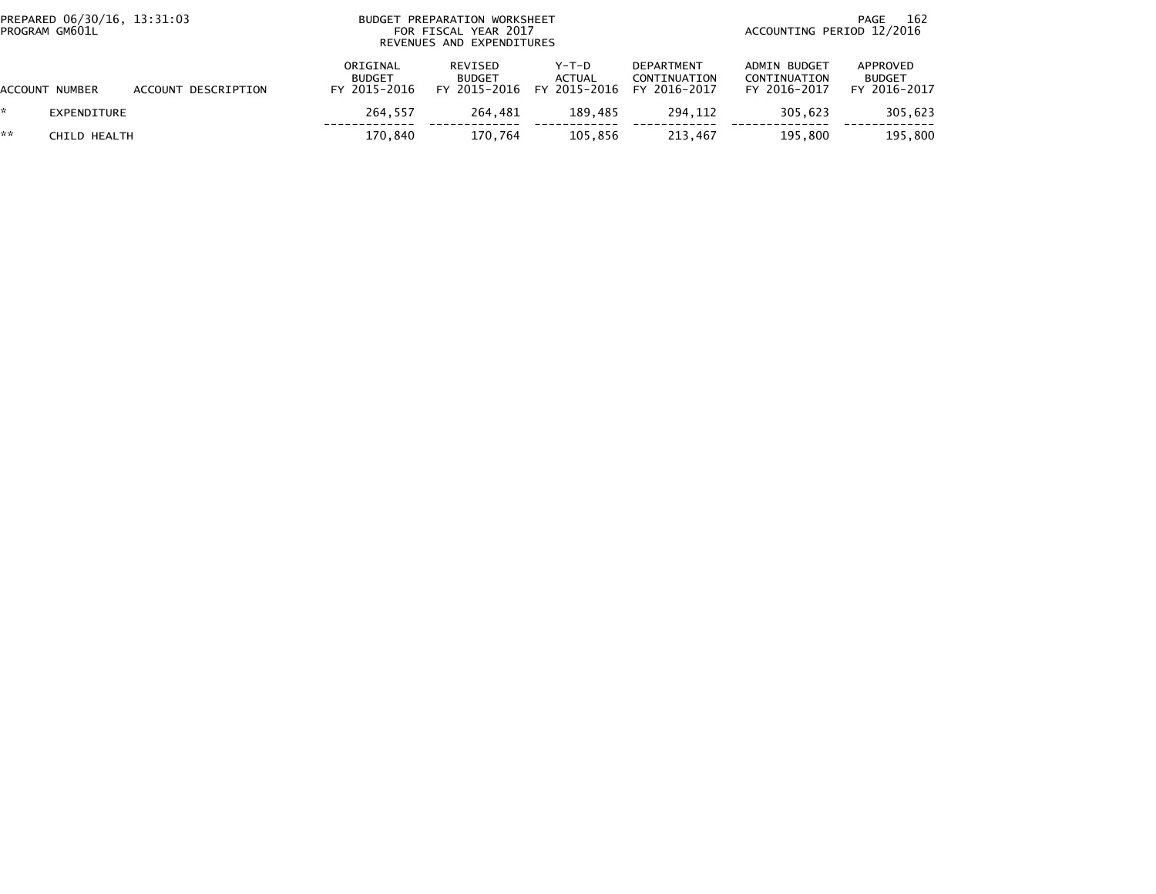|    | PREPARED 06/30/16, 13:31:03<br>PROGRAM GM601L |                     | BUDGET PREPARATION WORKSHEET<br>FOR FISCAL YEAR 2017<br>REVENUES AND EXPENDITURES | 162<br>PAGE<br>ACCOUNTING PERIOD 12/2016 |                                              |                                   |                                              |                                           |
|----|-----------------------------------------------|---------------------|-----------------------------------------------------------------------------------|------------------------------------------|----------------------------------------------|-----------------------------------|----------------------------------------------|-------------------------------------------|
|    | ACCOUNT NUMBER                                | ACCOUNT DESCRIPTION | ORIGINAL<br><b>BUDGET</b><br>FY 2015-2016                                         | REVISED<br><b>BUDGET</b><br>FY 2015-2016 | Y-T-D<br>ACTUAL<br>FY 2015-2016 FY 2016-2017 | <b>DEPARTMENT</b><br>CONTINUATION | ADMIN BUDGET<br>CONTINUATION<br>FY 2016-2017 | APPROVED<br><b>BUDGET</b><br>FY 2016-2017 |
|    | EXPENDITURE                                   |                     | 264.557                                                                           | 264.481                                  | 189.485                                      | 294.112                           | 305.623                                      | 305,623                                   |
| ** | CHILD HEALTH                                  |                     | 170.840                                                                           | 170.764                                  | 105.856                                      | 213.467                           | 195.800                                      | 195.800                                   |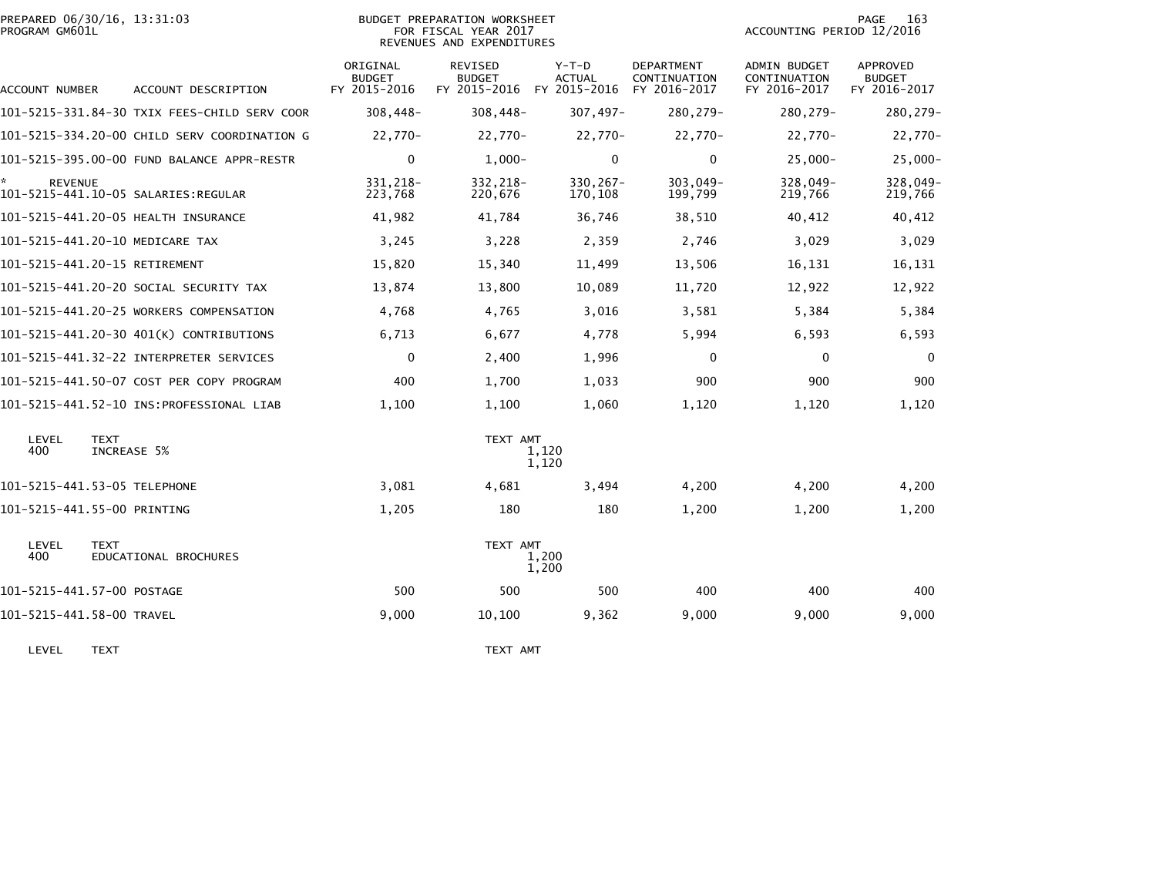| PREPARED 06/30/16, 13:31:03<br>PROGRAM GM601L |                                              |                                           | BUDGET PREPARATION WORKSHEET<br>FOR FISCAL YEAR 2017<br>REVENUES AND EXPENDITURES | 163<br>PAGE<br>ACCOUNTING PERIOD 12/2016                           |                            |                                              |                                           |
|-----------------------------------------------|----------------------------------------------|-------------------------------------------|-----------------------------------------------------------------------------------|--------------------------------------------------------------------|----------------------------|----------------------------------------------|-------------------------------------------|
| ACCOUNT NUMBER                                | ACCOUNT DESCRIPTION                          | ORIGINAL<br><b>BUDGET</b><br>FY 2015-2016 | REVISED<br><b>BUDGET</b>                                                          | $Y-T-D$<br><b>ACTUAL</b><br>FY 2015-2016 FY 2015-2016 FY 2016-2017 | DEPARTMENT<br>CONTINUATION | ADMIN BUDGET<br>CONTINUATION<br>FY 2016-2017 | APPROVED<br><b>BUDGET</b><br>FY 2016-2017 |
|                                               | 101-5215-331.84-30 TXIX FEES-CHILD SERV COOR | $308,448-$                                | $308,448-$                                                                        | $307,497-$                                                         | 280,279-                   | 280,279-                                     | 280,279-                                  |
|                                               | 101-5215-334.20-00 CHILD SERV COORDINATION G | 22,770-                                   | 22,770-                                                                           | $22,770-$                                                          | 22,770-                    | 22,770-                                      | 22,770-                                   |
|                                               | 101-5215-395.00-00 FUND BALANCE APPR-RESTR   | $\mathbf 0$                               | $1,000-$                                                                          | $\mathbf{0}$                                                       | $\mathbf{0}$               | $25,000 -$                                   | $25,000 -$                                |
| <b>REVENUE</b>                                | 101-5215-441.10-05 SALARIES:REGULAR          | 331.218-<br>223,768                       | 332.218-<br>220,676                                                               | $330.267 -$<br>170,108                                             | 303,049-<br>199,799        | 328,049-<br>219,766                          | 328,049-<br>219,766                       |
|                                               | 101-5215-441.20-05 HEALTH INSURANCE          | 41,982                                    | 41,784                                                                            | 36,746                                                             | 38,510                     | 40,412                                       | 40,412                                    |
|                                               | 101-5215-441.20-10 MEDICARE TAX              | 3,245                                     | 3,228                                                                             | 2,359                                                              | 2,746                      | 3,029                                        | 3,029                                     |
|                                               | 101-5215-441.20-15 RETIREMENT                | 15,820                                    | 15,340                                                                            | 11,499                                                             | 13,506                     | 16,131                                       | 16,131                                    |
|                                               | 101-5215-441.20-20 SOCIAL SECURITY TAX       | 13,874                                    | 13,800                                                                            | 10,089                                                             | 11,720                     | 12,922                                       | 12,922                                    |
|                                               | 101-5215-441.20-25 WORKERS COMPENSATION      | 4,768                                     | 4,765                                                                             | 3,016                                                              | 3,581                      | 5,384                                        | 5,384                                     |
|                                               | 101-5215-441.20-30 401(K) CONTRIBUTIONS      | 6,713                                     | 6,677                                                                             | 4,778                                                              | 5,994                      | 6,593                                        | 6,593                                     |
|                                               | 101-5215-441.32-22 INTERPRETER SERVICES      | $\mathbf 0$                               | 2,400                                                                             | 1,996                                                              | $\mathbf{0}$               | $\mathbf 0$                                  | $\mathbf 0$                               |
|                                               | 101-5215-441.50-07 COST PER COPY PROGRAM     | 400                                       | 1,700                                                                             | 1,033                                                              | 900                        | 900                                          | 900                                       |
|                                               |                                              | 1,100                                     | 1,100                                                                             | 1,060                                                              | 1,120                      | 1,120                                        | 1,120                                     |
| LEVEL<br>400                                  | <b>TEXT</b><br>INCREASE 5%                   |                                           | TEXT AMT                                                                          | 1,120<br>1,120                                                     |                            |                                              |                                           |
|                                               | 101-5215-441.53-05 TELEPHONE                 | 3,081                                     | 4,681                                                                             | 3,494                                                              | 4,200                      | 4,200                                        | 4,200                                     |
| 101-5215-441.55-00 PRINTING                   |                                              | 1,205                                     | 180                                                                               | 180                                                                | 1,200                      | 1,200                                        | 1,200                                     |
| LEVEL<br>400                                  | <b>TEXT</b><br>EDUCATIONAL BROCHURES         |                                           | TEXT AMT                                                                          | 1,200<br>1,200                                                     |                            |                                              |                                           |
| 101-5215-441.57-00 POSTAGE                    |                                              | 500                                       | 500                                                                               | 500                                                                | 400                        | 400                                          | 400                                       |
| 101-5215-441.58-00 TRAVEL                     |                                              | 9,000                                     | 10,100                                                                            | 9,362                                                              | 9,000                      | 9,000                                        | 9,000                                     |
|                                               |                                              |                                           |                                                                                   |                                                                    |                            |                                              |                                           |

LEVEL TEXT TEXT AMT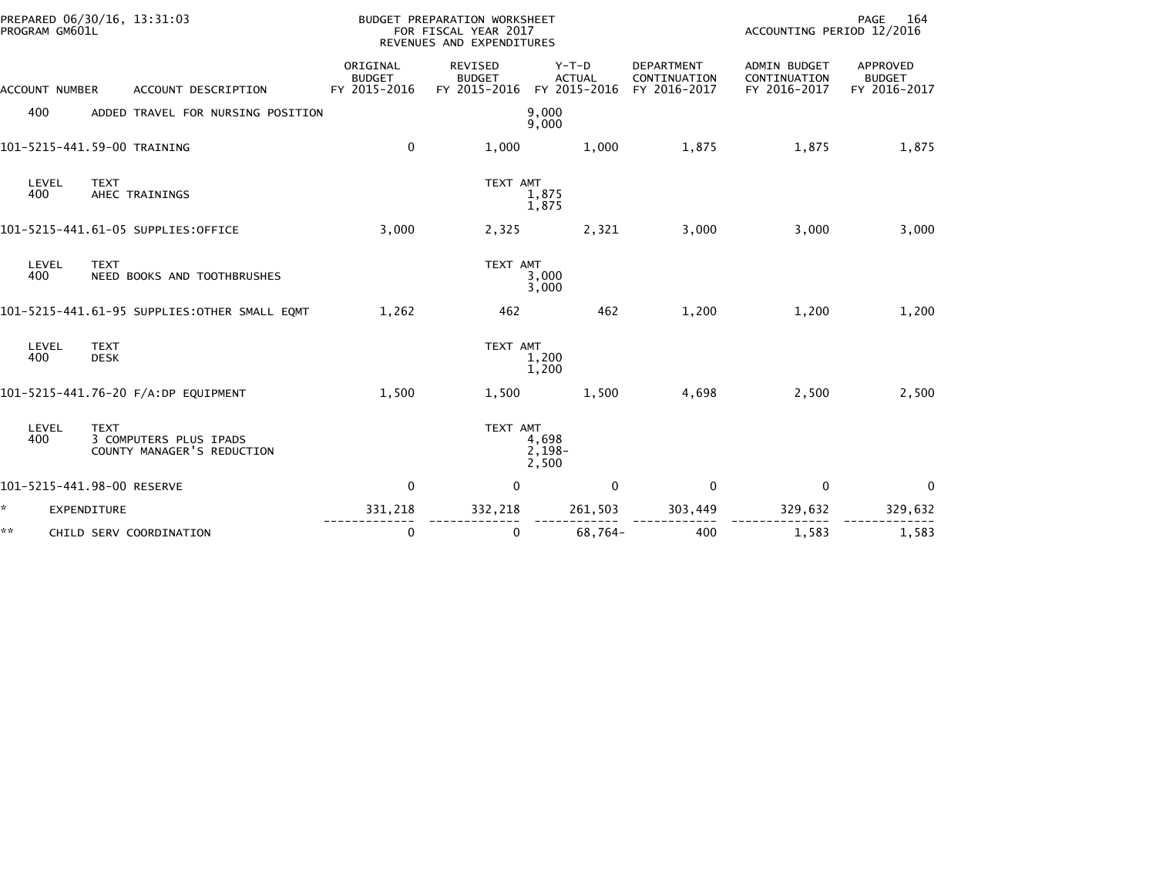|    | PREPARED 06/30/16, 13:31:03<br>PROGRAM GM601L |                            |                                                      |                                           | <b>BUDGET PREPARATION WORKSHEET</b><br>FOR FISCAL YEAR 2017<br>REVENUES AND EXPENDITURES |                                          |                                            | PAGE<br>164<br>ACCOUNTING PERIOD 12/2016            |                                           |  |
|----|-----------------------------------------------|----------------------------|------------------------------------------------------|-------------------------------------------|------------------------------------------------------------------------------------------|------------------------------------------|--------------------------------------------|-----------------------------------------------------|-------------------------------------------|--|
|    | ACCOUNT NUMBER                                |                            | ACCOUNT DESCRIPTION                                  | ORIGINAL<br><b>BUDGET</b><br>FY 2015-2016 | <b>REVISED</b><br><b>BUDGET</b><br>FY 2015-2016                                          | $Y-T-D$<br><b>ACTUAL</b><br>FY 2015-2016 | DEPARTMENT<br>CONTINUATION<br>FY 2016-2017 | <b>ADMIN BUDGET</b><br>CONTINUATION<br>FY 2016-2017 | APPROVED<br><b>BUDGET</b><br>FY 2016-2017 |  |
|    | 400                                           |                            | ADDED TRAVEL FOR NURSING POSITION                    |                                           |                                                                                          | 9,000<br>9,000                           |                                            |                                                     |                                           |  |
|    |                                               |                            | 101-5215-441.59-00 TRAINING                          | 0                                         | 1,000                                                                                    | 1,000                                    | 1,875                                      | 1,875                                               | 1,875                                     |  |
|    | LEVEL<br>400                                  | <b>TEXT</b>                | AHEC TRAININGS                                       |                                           | TEXT AMT                                                                                 | 1,875<br>1,875                           |                                            |                                                     |                                           |  |
|    |                                               |                            | 101-5215-441.61-05 SUPPLIES:OFFICE                   | 3,000                                     | 2,325                                                                                    | 2,321                                    | 3,000                                      | 3,000                                               | 3,000                                     |  |
|    | LEVEL<br>400                                  | <b>TEXT</b>                | NEED BOOKS AND TOOTHBRUSHES                          |                                           | TEXT AMT                                                                                 | 3,000<br>3,000                           |                                            |                                                     |                                           |  |
|    |                                               |                            | 101-5215-441.61-95 SUPPLIES:OTHER SMALL EQMT         | 1,262                                     | 462                                                                                      | 462                                      | 1,200                                      | 1,200                                               | 1,200                                     |  |
|    | LEVEL<br>400                                  | <b>TEXT</b><br><b>DESK</b> |                                                      |                                           | TEXT AMT                                                                                 | 1,200<br>1,200                           |                                            |                                                     |                                           |  |
|    |                                               |                            | 101-5215-441.76-20 F/A:DP EQUIPMENT                  | 1,500                                     | 1,500                                                                                    | 1,500                                    | 4,698                                      | 2,500                                               | 2,500                                     |  |
|    | LEVEL<br>400                                  | <b>TEXT</b>                | 3 COMPUTERS PLUS IPADS<br>COUNTY MANAGER'S REDUCTION |                                           | TEXT AMT                                                                                 | 4,698<br>$2,198-$<br>2,500               |                                            |                                                     |                                           |  |
|    | 101-5215-441.98-00 RESERVE                    |                            |                                                      | $\mathbf 0$                               | $\mathbf 0$                                                                              | $\mathbf 0$                              | $\mathbf 0$                                | $\mathbf 0$                                         | $\mathbf{0}$                              |  |
| ÷. | <b>EXPENDITURE</b>                            |                            |                                                      | 331,218                                   | 332,218                                                                                  | 261,503                                  | 303,449                                    | 329,632                                             | 329,632                                   |  |
| ** |                                               |                            | CHILD SERV COORDINATION                              | $\mathbf 0$                               | $\mathbf{0}$                                                                             | 68,764-                                  | 400                                        | 1,583                                               | 1,583                                     |  |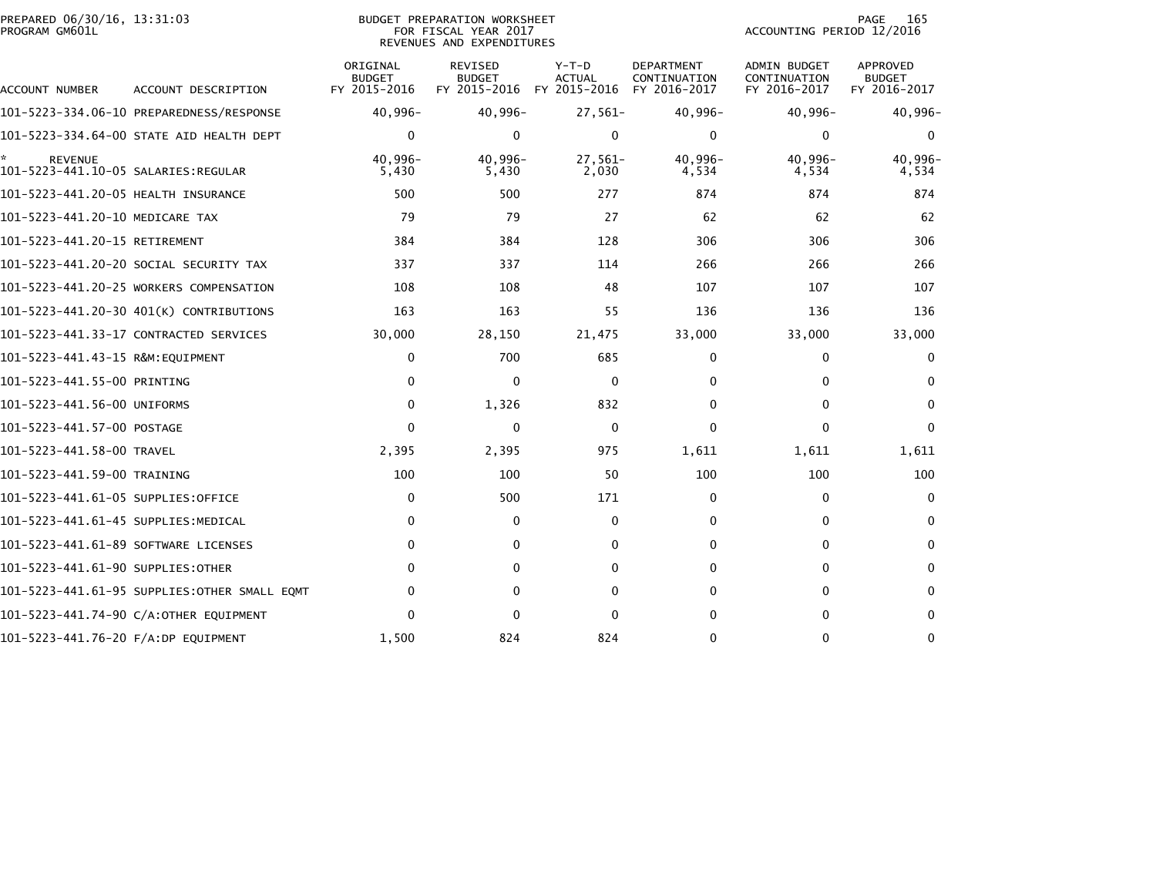| PREPARED 06/30/16, 13:31:03<br>PROGRAM GM601L |                                              |                                           | BUDGET PREPARATION WORKSHEET<br>FOR FISCAL YEAR 2017<br>REVENUES AND EXPENDITURES | ACCOUNTING PERIOD 12/2016                | PAGE<br>165                                       |                                                     |                                           |
|-----------------------------------------------|----------------------------------------------|-------------------------------------------|-----------------------------------------------------------------------------------|------------------------------------------|---------------------------------------------------|-----------------------------------------------------|-------------------------------------------|
| ACCOUNT NUMBER                                | ACCOUNT DESCRIPTION                          | ORIGINAL<br><b>BUDGET</b><br>FY 2015-2016 | <b>REVISED</b><br><b>BUDGET</b><br>FY 2015-2016                                   | $Y-T-D$<br><b>ACTUAL</b><br>FY 2015-2016 | <b>DEPARTMENT</b><br>CONTINUATION<br>FY 2016-2017 | <b>ADMIN BUDGET</b><br>CONTINUATION<br>FY 2016-2017 | APPROVED<br><b>BUDGET</b><br>FY 2016-2017 |
|                                               |                                              | $40,996 -$                                | 40,996-                                                                           | $27,561-$                                | $40,996-$                                         | $40,996 -$                                          | 40,996-                                   |
|                                               | 101-5223-334.64-00 STATE AID HEALTH DEPT     | $\mathbf{0}$                              | 0                                                                                 | 0                                        | $\Omega$                                          | 0                                                   | 0                                         |
| <b>REVENUE</b>                                |                                              | $40.996 -$<br>5,430                       | $40.996 -$<br>5,430                                                               | $27,561-$<br>2,030                       | 40.996-<br>4,534                                  | $40.996 -$<br>4,534                                 | 40.996-<br>4,534                          |
| 101-5223-441.20-05 HEALTH INSURANCE           |                                              | 500                                       | 500                                                                               | 277                                      | 874                                               | 874                                                 | 874                                       |
| 101-5223-441.20-10 MEDICARE TAX               |                                              | 79                                        | 79                                                                                | 27                                       | 62                                                | 62                                                  | 62                                        |
| 101-5223-441.20-15 RETIREMENT                 |                                              | 384                                       | 384                                                                               | 128                                      | 306                                               | 306                                                 | 306                                       |
|                                               | 101-5223-441.20-20 SOCIAL SECURITY TAX       | 337                                       | 337                                                                               | 114                                      | 266                                               | 266                                                 | 266                                       |
|                                               | 101-5223-441.20-25 WORKERS COMPENSATION      | 108                                       | 108                                                                               | 48                                       | 107                                               | 107                                                 | 107                                       |
|                                               | 101-5223-441.20-30 401(K) CONTRIBUTIONS      | 163                                       | 163                                                                               | 55                                       | 136                                               | 136                                                 | 136                                       |
|                                               | 101–5223–441.33–17 CONTRACTED SERVICES       | 30,000                                    | 28,150                                                                            | 21,475                                   | 33,000                                            | 33,000                                              | 33,000                                    |
|                                               |                                              | 0                                         | 700                                                                               | 685                                      | 0                                                 | 0                                                   | 0                                         |
| 101-5223-441.55-00 PRINTING                   |                                              | $\mathbf{0}$                              | $\Omega$                                                                          | 0                                        | $\Omega$                                          | $\Omega$                                            | $\Omega$                                  |
| 101-5223-441.56-00 UNIFORMS                   |                                              | $\mathbf{0}$                              | 1,326                                                                             | 832                                      | 0                                                 | 0                                                   | $\Omega$                                  |
| 101-5223-441.57-00 POSTAGE                    |                                              | $\Omega$                                  | $\Omega$                                                                          | $\mathbf 0$                              | $\Omega$                                          | $\Omega$                                            | $\Omega$                                  |
| 101-5223-441.58-00 TRAVEL                     |                                              | 2,395                                     | 2,395                                                                             | 975                                      | 1,611                                             | 1,611                                               | 1,611                                     |
| 101-5223-441.59-00 TRAINING                   |                                              | 100                                       | 100                                                                               | 50                                       | 100                                               | 100                                                 | 100                                       |
| 101–5223–441.61–05 SUPPLIES:OFFICE            |                                              | 0                                         | 500                                                                               | 171                                      | 0                                                 | 0                                                   | $\mathbf{0}$                              |
| 101–5223–441.61–45 SUPPLIES:MEDICAL           |                                              | $\mathbf{0}$                              | 0                                                                                 | 0                                        | $\Omega$                                          | 0                                                   | 0                                         |
| 101-5223-441.61-89 SOFTWARE LICENSES          |                                              | $\Omega$                                  | $\mathbf{0}$                                                                      | $\mathbf 0$                              | $\mathbf 0$                                       | $\mathbf{0}$                                        | $\Omega$                                  |
| 101-5223-441.61-90 SUPPLIES:OTHER             |                                              | 0                                         | $\Omega$                                                                          | 0                                        | 0                                                 | $\Omega$                                            | 0                                         |
|                                               | 101–5223–441.61–95 SUPPLIES:OTHER SMALL EOMT | 0                                         | $\Omega$                                                                          | $\Omega$                                 | $\Omega$                                          | $\Omega$                                            | $\Omega$                                  |
|                                               | 101-5223-441.74-90 C/A:OTHER EQUIPMENT       | 0                                         | $\Omega$                                                                          | $\Omega$                                 | $\Omega$                                          | $\Omega$                                            | $\Omega$                                  |
| 101-5223-441.76-20 F/A:DP EQUIPMENT           |                                              | 1,500                                     | 824                                                                               | 824                                      | $\Omega$                                          | $\mathbf{0}$                                        | $\Omega$                                  |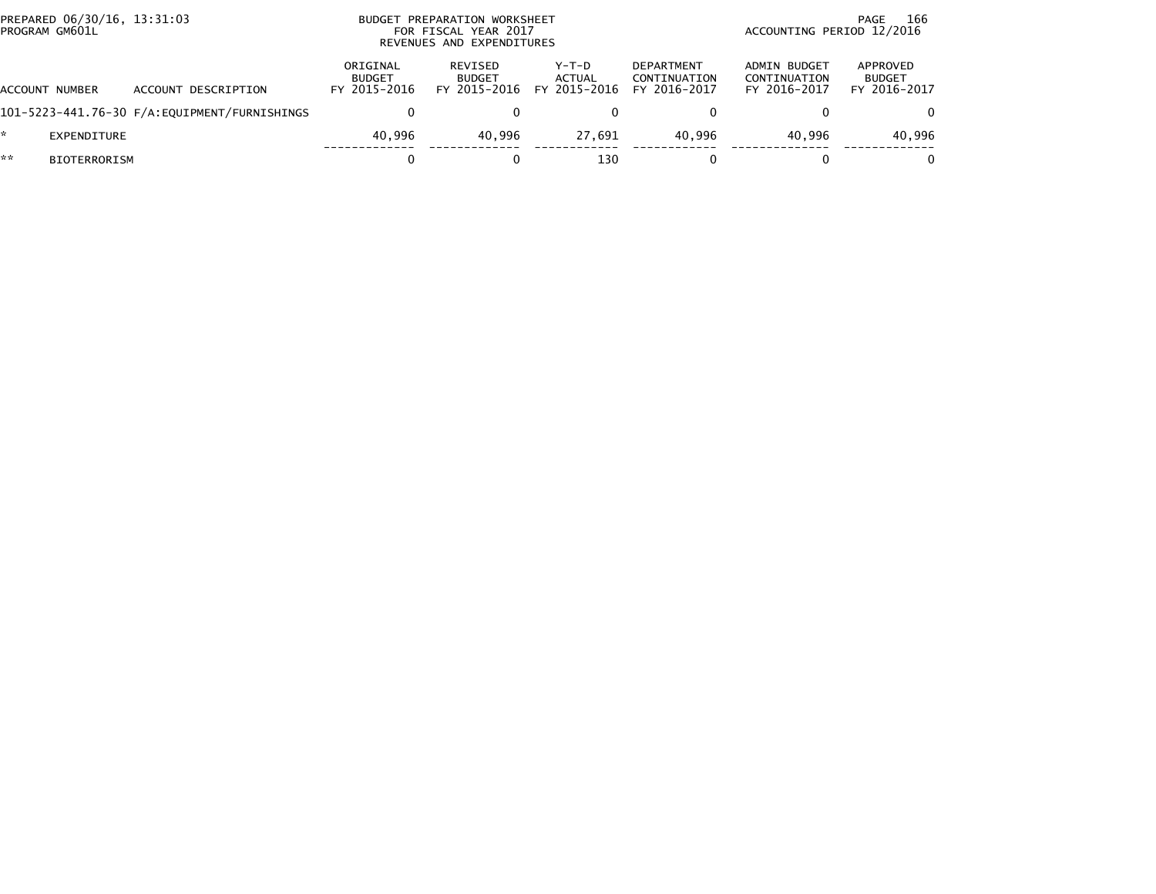| PREPARED 06/30/16, 13:31:03<br>PROGRAM GM601L |                     | BUDGET PREPARATION WORKSHEET<br>FOR FISCAL YEAR 2017<br>REVENUES AND EXPENDITURES |                                          |                                          |                                                   | 166<br>PAGE<br>ACCOUNTING PERIOD 12/2016            |                                           |  |
|-----------------------------------------------|---------------------|-----------------------------------------------------------------------------------|------------------------------------------|------------------------------------------|---------------------------------------------------|-----------------------------------------------------|-------------------------------------------|--|
| ACCOUNT NUMBER                                | ACCOUNT DESCRIPTION | ORIGINAL<br><b>BUDGET</b><br>FY 2015-2016                                         | REVISED<br><b>BUDGET</b><br>FY 2015-2016 | $Y-T-D$<br><b>ACTUAL</b><br>FY 2015-2016 | <b>DEPARTMENT</b><br>CONTINUATION<br>FY 2016-2017 | <b>ADMIN BUDGET</b><br>CONTINUATION<br>FY 2016-2017 | APPROVED<br><b>BUDGET</b><br>FY 2016-2017 |  |
|                                               |                     |                                                                                   |                                          |                                          |                                                   |                                                     |                                           |  |
| EXPENDITURE                                   |                     | 40.996                                                                            | 40.996                                   | 27.691                                   | 40.996                                            | 40.996                                              | 40,996                                    |  |
| **<br><b>BIOTERRORISM</b>                     |                     |                                                                                   |                                          | 130                                      |                                                   |                                                     |                                           |  |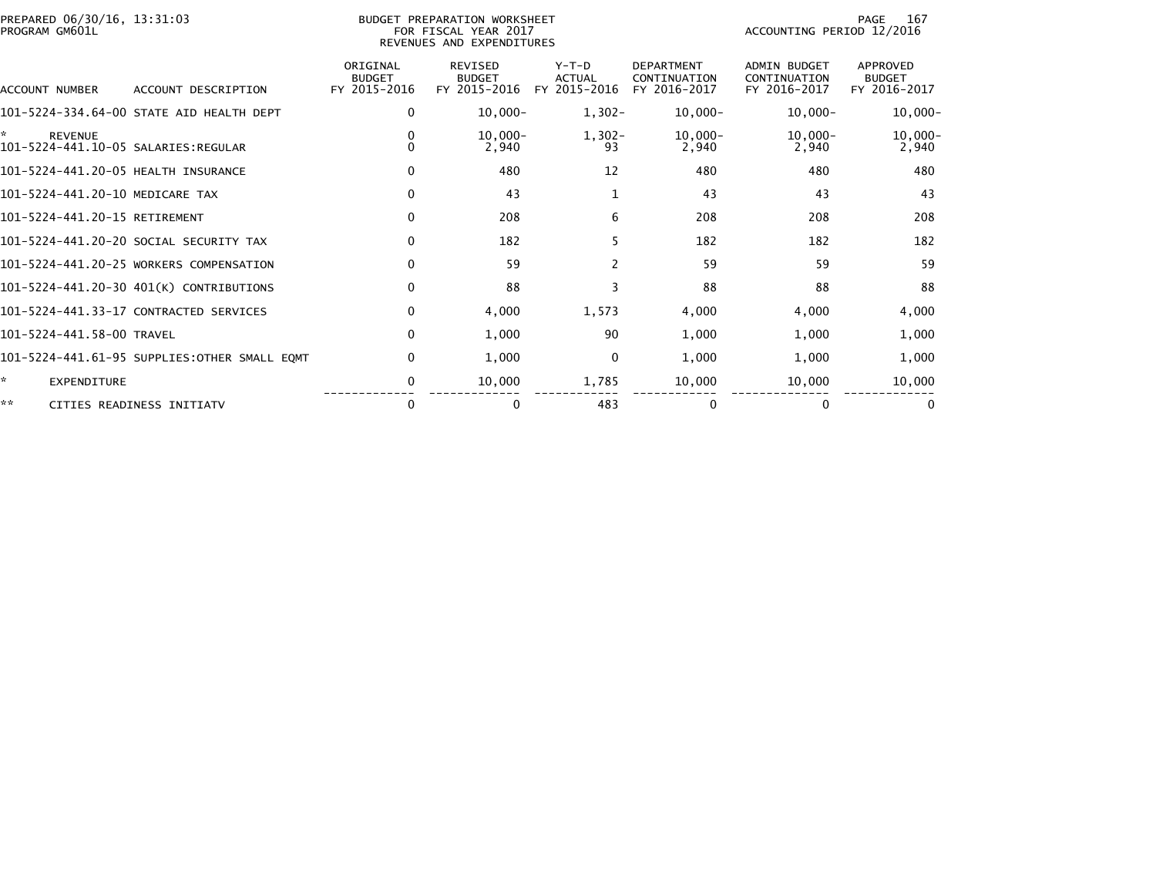| PREPARED 06/30/16, 13:31:03<br>PROGRAM GM601L |                                              |                                           | BUDGET PREPARATION WORKSHEET<br>FOR FISCAL YEAR 2017<br>REVENUES AND EXPENDITURES |                                          |                                                   | ACCOUNTING PERIOD 12/2016                           | 167<br>PAGE                               |
|-----------------------------------------------|----------------------------------------------|-------------------------------------------|-----------------------------------------------------------------------------------|------------------------------------------|---------------------------------------------------|-----------------------------------------------------|-------------------------------------------|
| ACCOUNT NUMBER                                | ACCOUNT DESCRIPTION                          | ORIGINAL<br><b>BUDGET</b><br>FY 2015-2016 | <b>REVISED</b><br><b>BUDGET</b><br>FY 2015-2016                                   | $Y-T-D$<br><b>ACTUAL</b><br>FY 2015-2016 | <b>DEPARTMENT</b><br>CONTINUATION<br>FY 2016-2017 | <b>ADMIN BUDGET</b><br>CONTINUATION<br>FY 2016-2017 | APPROVED<br><b>BUDGET</b><br>FY 2016-2017 |
|                                               | 101-5224-334.64-00 STATE AID HEALTH DEPT     | 0                                         | $10,000 -$                                                                        | $1,302-$                                 | $10,000-$                                         | $10,000-$                                           | $10,000-$                                 |
| ÷.<br><b>REVENUE</b>                          |                                              | 0<br>$\Omega$                             | $10.000 -$<br>2,940                                                               | $1,302-$<br>93                           | $10,000-$<br>2,940                                | $10,000-$<br>2,940                                  | $10,000 -$<br>2,940                       |
| 101-5224-441.20-05 HEALTH INSURANCE           |                                              | 0                                         | 480                                                                               | 12                                       | 480                                               | 480                                                 | 480                                       |
| 101-5224-441.20-10 MEDICARE TAX               |                                              | $\mathbf 0$                               | 43                                                                                | 1                                        | 43                                                | 43                                                  | 43                                        |
| 101-5224-441.20-15 RETIREMENT                 |                                              | $\mathbf{0}$                              | 208                                                                               | 6                                        | 208                                               | 208                                                 | 208                                       |
|                                               | 101-5224-441.20-20 SOCIAL SECURITY TAX       | 0                                         | 182                                                                               | 5                                        | 182                                               | 182                                                 | 182                                       |
|                                               | 101-5224-441.20-25 WORKERS COMPENSATION      | $\mathbf{0}$                              | 59                                                                                | 2                                        | 59                                                | 59                                                  | 59                                        |
|                                               | 101-5224-441.20-30 401(K) CONTRIBUTIONS      | $\mathbf{0}$                              | 88                                                                                | 3                                        | 88                                                | 88                                                  | 88                                        |
|                                               | 101-5224-441.33-17 CONTRACTED SERVICES       | 0                                         | 4,000                                                                             | 1,573                                    | 4,000                                             | 4,000                                               | 4,000                                     |
| 101-5224-441.58-00 TRAVEL                     |                                              | $\mathbf 0$                               | 1,000                                                                             | 90                                       | 1,000                                             | 1,000                                               | 1,000                                     |
|                                               | 101-5224-441.61-95 SUPPLIES:OTHER SMALL EQMT | 0                                         | 1,000                                                                             | 0                                        | 1,000                                             | 1,000                                               | 1,000                                     |
| ×.<br><b>EXPENDITURE</b>                      |                                              | 0                                         | 10,000                                                                            | 1,785                                    | 10,000                                            | 10,000                                              | 10,000                                    |
| **                                            | CITIES READINESS INITIATV                    | 0                                         | 0                                                                                 | 483                                      | $\Omega$                                          | 0                                                   | 0                                         |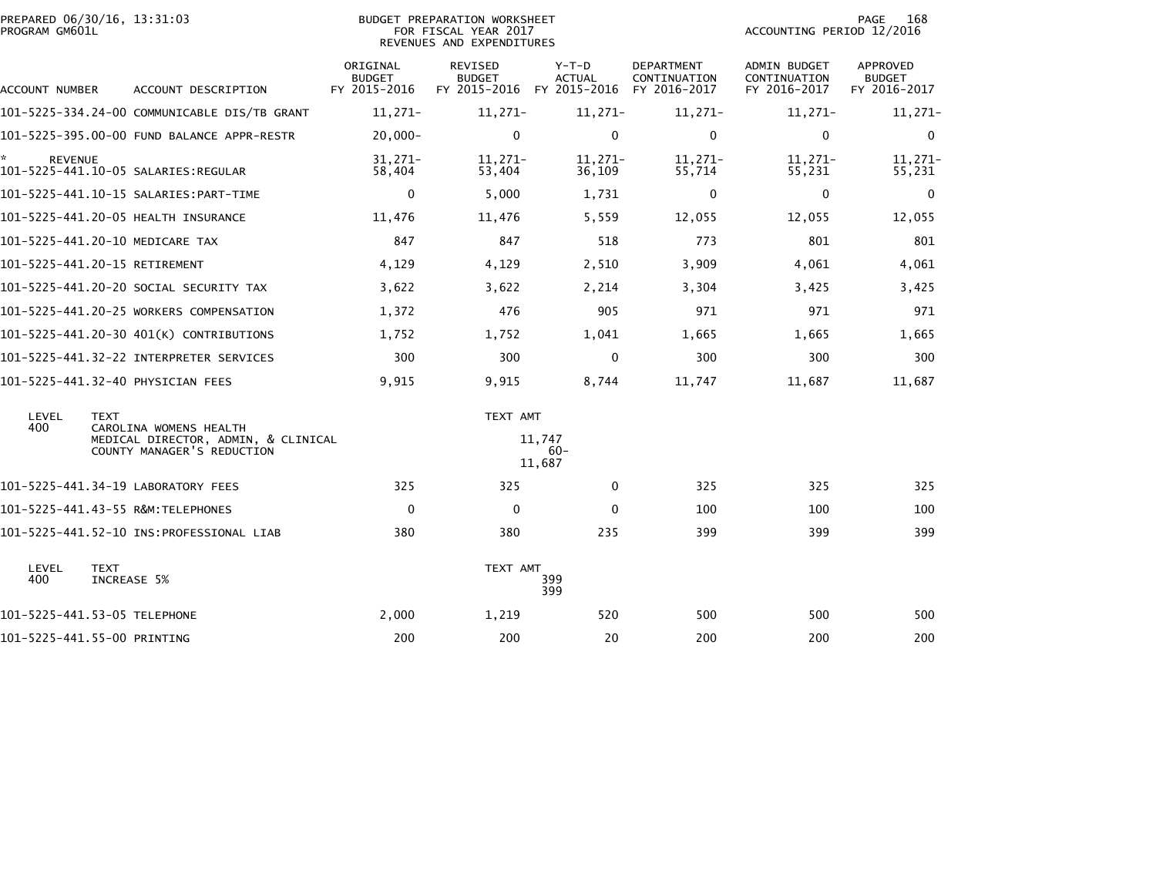| PREPARED 06/30/16, 13:31:03<br>PROGRAM GM601L |                                                                                             |                                           | <b>BUDGET PREPARATION WORKSHEET</b><br>FOR FISCAL YEAR 2017<br>REVENUES AND EXPENDITURES | PAGE<br>168<br>ACCOUNTING PERIOD 12/2016                           |                                   |                                              |                                                  |
|-----------------------------------------------|---------------------------------------------------------------------------------------------|-------------------------------------------|------------------------------------------------------------------------------------------|--------------------------------------------------------------------|-----------------------------------|----------------------------------------------|--------------------------------------------------|
| <b>ACCOUNT NUMBER</b>                         | ACCOUNT DESCRIPTION                                                                         | ORIGINAL<br><b>BUDGET</b><br>FY 2015-2016 | REVISED<br><b>BUDGET</b>                                                                 | $Y-T-D$<br><b>ACTUAL</b><br>FY 2015-2016 FY 2015-2016 FY 2016-2017 | <b>DEPARTMENT</b><br>CONTINUATION | ADMIN BUDGET<br>CONTINUATION<br>FY 2016-2017 | <b>APPROVED</b><br><b>BUDGET</b><br>FY 2016-2017 |
|                                               | 101-5225-334.24-00 COMMUNICABLE DIS/TB GRANT                                                | $11,271-$                                 | $11,271-$                                                                                | $11,271-$                                                          | $11,271-$                         | $11,271-$                                    | $11,271-$                                        |
|                                               | 101-5225-395.00-00 FUND BALANCE APPR-RESTR                                                  | $20,000 -$                                | $\mathbf{0}$                                                                             | $\mathbf 0$                                                        | $\mathbf 0$                       | $\mathbf{0}$                                 | $\mathbf{0}$                                     |
| <b>REVENUE</b>                                |                                                                                             | $31,271-$<br>58,404                       | $11.271 -$<br>53,404                                                                     | $11.271-$<br>36,109                                                | $11,271-$<br>55,714               | $11,271-$<br>55,231                          | $11,271-$<br>55,231                              |
|                                               |                                                                                             | $\mathbf 0$                               | 5,000                                                                                    | 1,731                                                              | $\mathbf 0$                       | $\mathbf 0$                                  | 0                                                |
|                                               | 101-5225-441.20-05 HEALTH INSURANCE                                                         | 11,476                                    | 11,476                                                                                   | 5,559                                                              | 12,055                            | 12,055                                       | 12,055                                           |
|                                               | 101-5225-441.20-10 MEDICARE TAX                                                             | 847                                       | 847                                                                                      | 518                                                                | 773                               | 801                                          | 801                                              |
| 101-5225-441.20-15 RETIREMENT                 |                                                                                             | 4,129                                     | 4,129                                                                                    | 2,510                                                              | 3,909                             | 4,061                                        | 4,061                                            |
|                                               | 101-5225-441.20-20 SOCIAL SECURITY TAX                                                      | 3,622                                     | 3,622                                                                                    | 2,214                                                              | 3,304                             | 3,425                                        | 3,425                                            |
|                                               | 101-5225-441.20-25 WORKERS COMPENSATION                                                     | 1,372                                     | 476                                                                                      | 905                                                                | 971                               | 971                                          | 971                                              |
|                                               | 101-5225-441.20-30 401(K) CONTRIBUTIONS                                                     | 1,752                                     | 1,752                                                                                    | 1,041                                                              | 1,665                             | 1,665                                        | 1,665                                            |
|                                               |                                                                                             | 300                                       | 300                                                                                      | $\mathbf{0}$                                                       | 300                               | 300                                          | 300                                              |
|                                               | 101-5225-441.32-40 PHYSICIAN FEES                                                           | 9,915                                     | 9,915                                                                                    | 8,744                                                              | 11,747                            | 11,687                                       | 11,687                                           |
| LEVEL                                         | <b>TEXT</b>                                                                                 |                                           | TEXT AMT                                                                                 |                                                                    |                                   |                                              |                                                  |
| 400                                           | CAROLINA WOMENS HEALTH<br>MEDICAL DIRECTOR, ADMIN, & CLINICAL<br>COUNTY MANAGER'S REDUCTION |                                           |                                                                                          | 11.747<br>$60 -$<br>11,687                                         |                                   |                                              |                                                  |
|                                               | 101-5225-441.34-19 LABORATORY FEES                                                          | 325                                       | 325                                                                                      | 0                                                                  | 325                               | 325                                          | 325                                              |
|                                               | 101-5225-441.43-55 R&M:TELEPHONES                                                           | $\mathbf{0}$                              | $\mathbf{0}$                                                                             | $\Omega$                                                           | 100                               | 100                                          | 100                                              |
|                                               |                                                                                             | 380                                       | 380                                                                                      | 235                                                                | 399                               | 399                                          | 399                                              |
| LEVEL<br>400                                  | <b>TEXT</b><br>INCREASE 5%                                                                  |                                           | TEXT AMT                                                                                 | 399<br>399                                                         |                                   |                                              |                                                  |
| 101-5225-441.53-05 TELEPHONE                  |                                                                                             | 2,000                                     | 1,219                                                                                    | 520                                                                | 500                               | 500                                          | 500                                              |
| 101-5225-441.55-00 PRINTING                   |                                                                                             | 200                                       | 200                                                                                      | 20                                                                 | 200                               | 200                                          | 200                                              |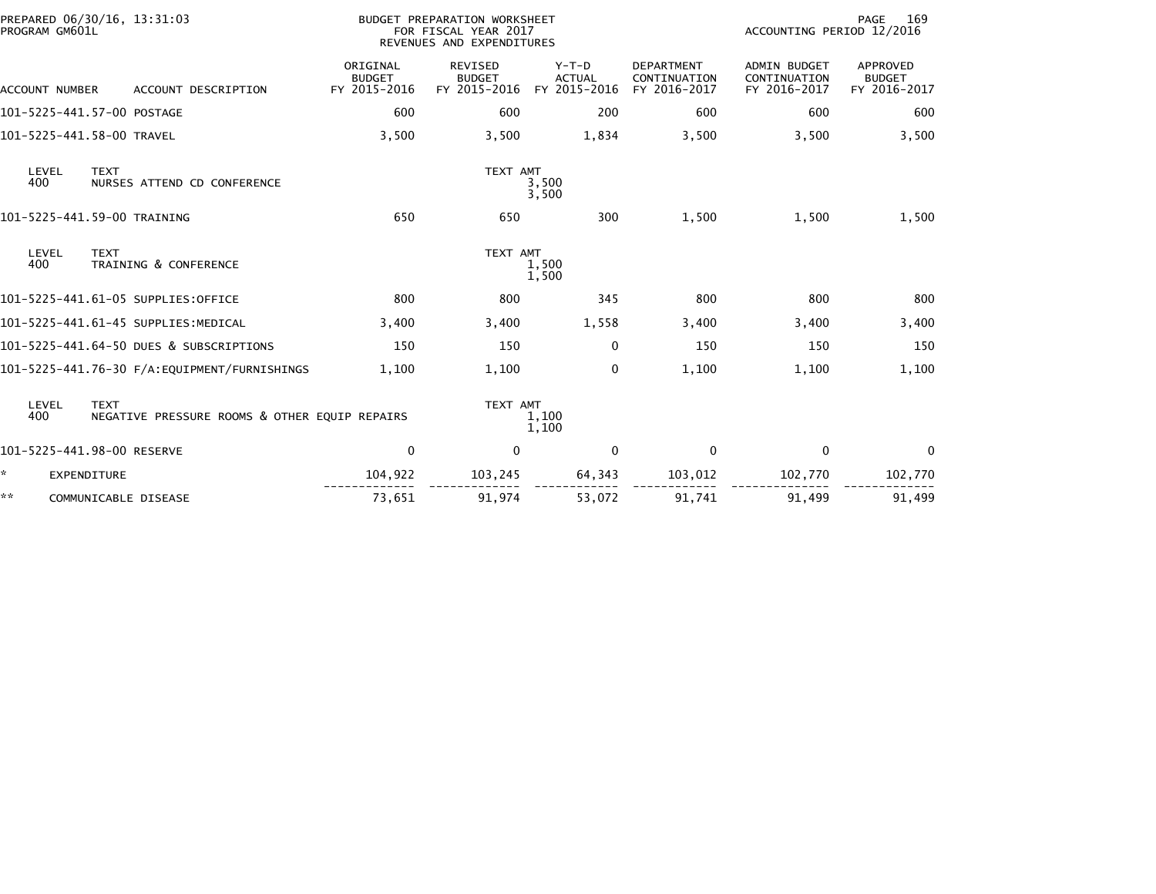| PROGRAM GM601L        | PREPARED 06/30/16, 13:31:03<br>BUDGET PREPARATION WORKSHEET<br>FOR FISCAL YEAR 2017<br>REVENUES AND EXPENDITURES |                                           |                                                 |                                          |                                                   | 169<br>PAGE<br>ACCOUNTING PERIOD 12/2016            |                                           |  |
|-----------------------|------------------------------------------------------------------------------------------------------------------|-------------------------------------------|-------------------------------------------------|------------------------------------------|---------------------------------------------------|-----------------------------------------------------|-------------------------------------------|--|
| <b>ACCOUNT NUMBER</b> | ACCOUNT DESCRIPTION                                                                                              | ORIGINAL<br><b>BUDGET</b><br>FY 2015-2016 | <b>REVISED</b><br><b>BUDGET</b><br>FY 2015-2016 | $Y-T-D$<br><b>ACTUAL</b><br>FY 2015-2016 | <b>DEPARTMENT</b><br>CONTINUATION<br>FY 2016-2017 | <b>ADMIN BUDGET</b><br>CONTINUATION<br>FY 2016-2017 | APPROVED<br><b>BUDGET</b><br>FY 2016-2017 |  |
|                       | 101-5225-441.57-00 POSTAGE                                                                                       | 600                                       | 600                                             | 200                                      | 600                                               | 600                                                 | 600                                       |  |
|                       | 101-5225-441.58-00 TRAVEL                                                                                        | 3,500                                     | 3,500                                           | 1,834                                    | 3,500                                             | 3,500                                               | 3,500                                     |  |
| LEVEL<br>400          | <b>TEXT</b><br>NURSES ATTEND CD CONFERENCE                                                                       |                                           | TEXT AMT                                        | 3,500<br>3,500                           |                                                   |                                                     |                                           |  |
|                       | 101-5225-441.59-00 TRAINING                                                                                      | 650                                       | 650                                             | 300                                      | 1,500                                             | 1,500                                               | 1,500                                     |  |
| LEVEL<br>400          | <b>TEXT</b><br>TRAINING & CONFERENCE                                                                             |                                           | TEXT AMT                                        | 1,500<br>1,500                           |                                                   |                                                     |                                           |  |
|                       | 101-5225-441.61-05 SUPPLIES:OFFICE                                                                               | 800                                       | 800                                             | 345                                      | 800                                               | 800                                                 | 800                                       |  |
|                       | 101-5225-441.61-45 SUPPLIES:MEDICAL                                                                              | 3,400                                     | 3,400                                           | 1,558                                    | 3,400                                             | 3,400                                               | 3,400                                     |  |
|                       | 101-5225-441.64-50 DUES & SUBSCRIPTIONS                                                                          | 150                                       | 150                                             | $\Omega$                                 | 150                                               | 150                                                 | 150                                       |  |
|                       | 101-5225-441.76-30 F/A:EQUIPMENT/FURNISHINGS                                                                     | 1,100                                     | 1,100                                           | 0                                        | 1,100                                             | 1,100                                               | 1,100                                     |  |
| LEVEL<br>400          | <b>TEXT</b><br>NEGATIVE PRESSURE ROOMS & OTHER EQUIP REPAIRS                                                     |                                           | TEXT AMT                                        | 1,100<br>1,100                           |                                                   |                                                     |                                           |  |
|                       | 101-5225-441.98-00 RESERVE                                                                                       | 0                                         | 0                                               | $\mathbf 0$                              | $\mathbf 0$                                       | 0                                                   | 0                                         |  |
| *                     | <b>EXPENDITURE</b>                                                                                               | 104,922                                   | 103,245                                         | 64,343                                   | 103,012                                           | 102,770                                             | 102,770                                   |  |
| **                    | COMMUNICABLE DISEASE                                                                                             | 73,651                                    | 91,974                                          | 53,072                                   | 91,741                                            | 91,499                                              | 91,499                                    |  |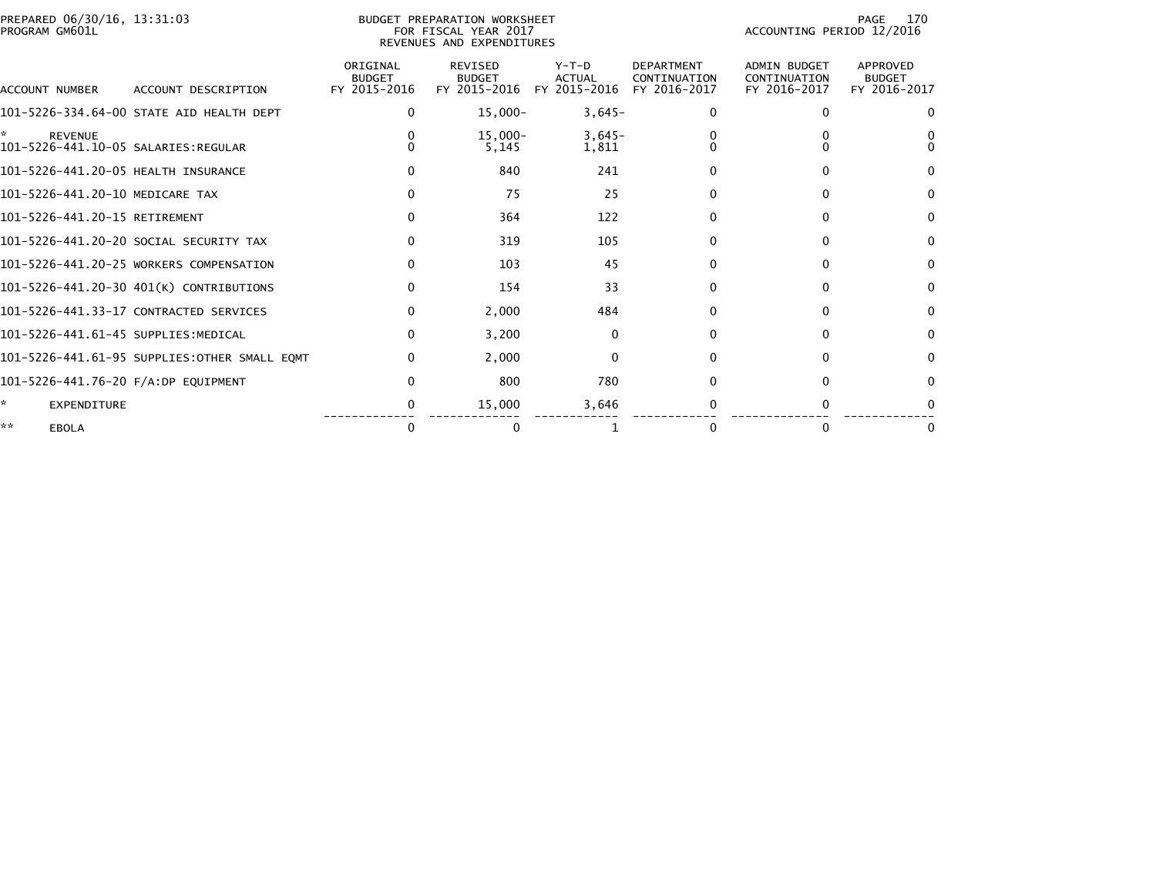|                | PREPARED 06/30/16, 13:31:03 |  |
|----------------|-----------------------------|--|
| PROGRAM GM601L |                             |  |

# PREPARED 06/30/16, 13:31:03 PREPARATION WORKSHEET PREPARATION WORKSHEET PREPARATION WORKSHEET<br>PROGRAM GM601L FOR FISCAL YEAR 2017 ACCOUNTING PERIOD 12/2016<br>REVENUES AND EXPENDITURES

PAGE 170<br>ACCOUNTING PERIOD 12/2016

| ACCOUNT NUMBER                      | ACCOUNT DESCRIPTION                          | ORIGINAL<br><b>BUDGET</b><br>FY 2015-2016 | <b>REVISED</b><br><b>BUDGET</b><br>FY 2015-2016 | $Y-T-D$<br><b>ACTUAL</b><br>FY 2015-2016 | <b>DEPARTMENT</b><br>CONTINUATION<br>FY 2016-2017 | <b>ADMIN BUDGET</b><br>CONTINUATION<br>FY 2016-2017 | <b>APPROVED</b><br><b>BUDGET</b><br>FY 2016-2017 |
|-------------------------------------|----------------------------------------------|-------------------------------------------|-------------------------------------------------|------------------------------------------|---------------------------------------------------|-----------------------------------------------------|--------------------------------------------------|
|                                     | 101-5226-334.64-00 STATE AID HEALTH DEPT     | 0                                         | $15,000-$                                       | $3,645-$                                 | 0                                                 | n                                                   | $\Omega$                                         |
| ÷.<br><b>REVENUE</b>                |                                              |                                           | $15,000 -$<br>5,145                             | $3,645-$<br>1,811                        |                                                   |                                                     |                                                  |
| 101-5226-441.20-05 HEALTH INSURANCE |                                              |                                           | 840                                             | 241                                      |                                                   | 0                                                   | $\Omega$                                         |
| 101-5226-441.20-10 MEDICARE TAX     |                                              |                                           | 75                                              | 25                                       |                                                   |                                                     | $\Omega$                                         |
| 101-5226-441.20-15 RETIREMENT       |                                              |                                           | 364                                             | 122                                      | 0                                                 | O                                                   | $\Omega$                                         |
|                                     | 101-5226-441.20-20 SOCIAL SECURITY TAX       |                                           | 319                                             | 105                                      |                                                   | 0                                                   | $\Omega$                                         |
|                                     | 101-5226-441.20-25 WORKERS COMPENSATION      |                                           | 103                                             | 45                                       |                                                   |                                                     | $\Omega$                                         |
|                                     | 101-5226-441.20-30 401(K) CONTRIBUTIONS      |                                           | 154                                             | 33                                       | <sup>0</sup>                                      | 0                                                   | $\Omega$                                         |
|                                     | 101-5226-441.33-17 CONTRACTED SERVICES       | 0                                         | 2,000                                           | 484                                      |                                                   | $\Omega$                                            | $\Omega$                                         |
| 101-5226-441.61-45 SUPPLIES:MEDICAL |                                              | 0                                         | 3,200                                           | $\mathbf{0}$                             |                                                   |                                                     | $\Omega$                                         |
|                                     | 101-5226-441.61-95 SUPPLIES:OTHER SMALL EQMT | 0                                         | 2,000                                           | $\Omega$                                 |                                                   | <sup>n</sup>                                        | $\Omega$                                         |
| 101-5226-441.76-20 F/A:DP EQUIPMENT |                                              |                                           | 800                                             | 780                                      |                                                   | 0                                                   | $\Omega$                                         |
| ÷.<br><b>EXPENDITURE</b>            |                                              |                                           | 15,000                                          | 3,646                                    |                                                   |                                                     |                                                  |
| **<br><b>EBOLA</b>                  |                                              |                                           |                                                 |                                          |                                                   |                                                     | 0                                                |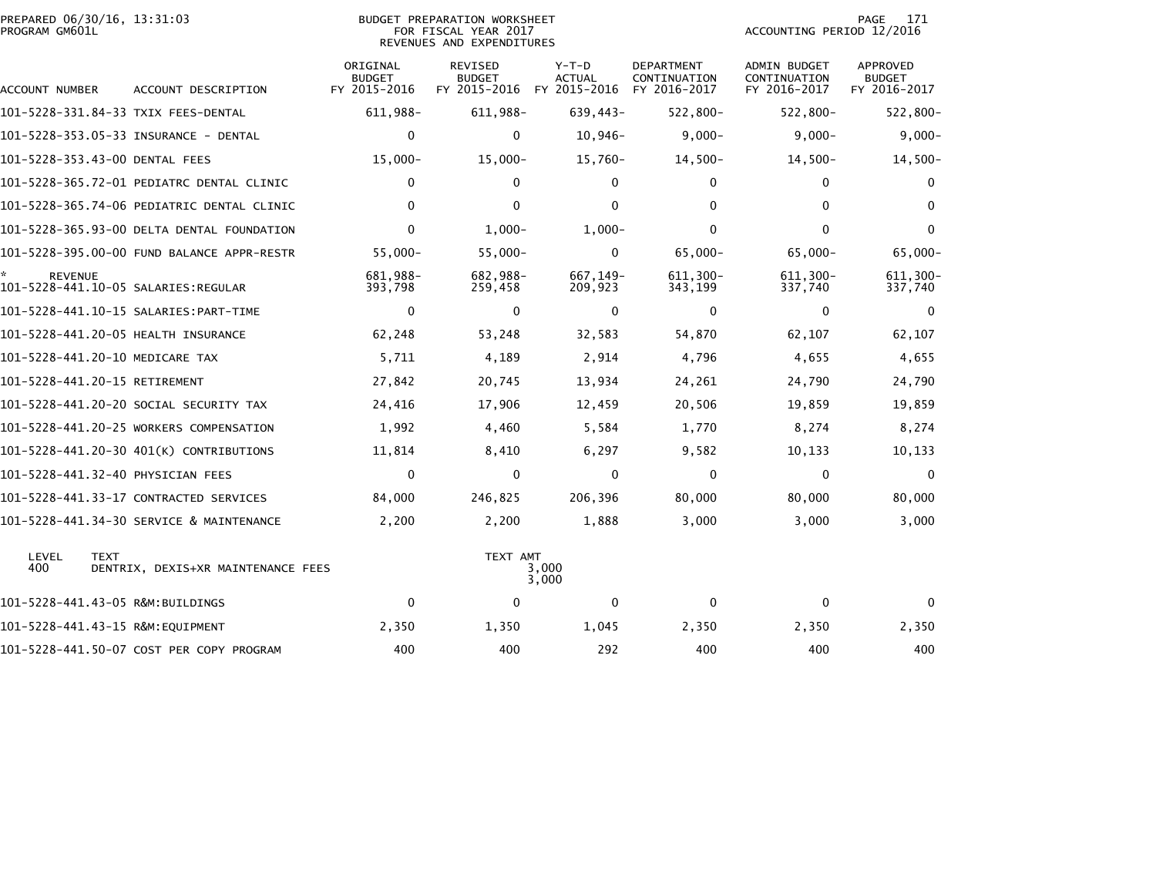| PREPARED 06/30/16, 13:31:03<br><b>BUDGET PREPARATION WORKSHEET</b><br>PROGRAM GM601L<br>FOR FISCAL YEAR 2017<br>REVENUES AND EXPENDITURES |                                            |                                           |                                                              |                        | PAGE<br>171<br>ACCOUNTING PERIOD 12/2016          |                                              |                                                  |  |
|-------------------------------------------------------------------------------------------------------------------------------------------|--------------------------------------------|-------------------------------------------|--------------------------------------------------------------|------------------------|---------------------------------------------------|----------------------------------------------|--------------------------------------------------|--|
| ACCOUNT NUMBER                                                                                                                            | ACCOUNT DESCRIPTION                        | ORIGINAL<br><b>BUDGET</b><br>FY 2015-2016 | <b>REVISED</b><br><b>BUDGET</b><br>FY 2015-2016 FY 2015-2016 | Y-T-D<br><b>ACTUAL</b> | <b>DEPARTMENT</b><br>CONTINUATION<br>FY 2016-2017 | ADMIN BUDGET<br>CONTINUATION<br>FY 2016-2017 | <b>APPROVED</b><br><b>BUDGET</b><br>FY 2016-2017 |  |
| 101–5228–331.84–33 TXIX FEES–DENTAL                                                                                                       |                                            | 611,988-                                  | 611,988-                                                     | 639,443-               | $522,800 -$                                       | 522,800-                                     | $522,800 -$                                      |  |
|                                                                                                                                           |                                            | 0                                         | 0                                                            | $10,946-$              | $9,000-$                                          | $9,000 -$                                    | $9,000-$                                         |  |
| 101-5228-353.43-00 DENTAL FEES                                                                                                            |                                            | $15,000 -$                                | $15,000 -$                                                   | 15,760-                | $14,500-$                                         | $14,500-$                                    | $14,500-$                                        |  |
|                                                                                                                                           | 101-5228-365.72-01 PEDIATRC DENTAL CLINIC  | $\mathbf{0}$                              | $\mathbf{0}$                                                 | $\mathbf{0}$           | $\mathbf{0}$                                      | $\mathbf{0}$                                 | $\Omega$                                         |  |
|                                                                                                                                           | 101-5228-365.74-06 PEDIATRIC DENTAL CLINIC | $\Omega$                                  | $\mathbf{0}$                                                 | $\mathbf{0}$           | $\mathbf{0}$                                      | $\mathbf{0}$                                 | $\Omega$                                         |  |
|                                                                                                                                           | 101-5228-365.93-00 DELTA DENTAL FOUNDATION | $\Omega$                                  | $1,000-$                                                     | $1,000-$               | $\mathbf{0}$                                      | $\Omega$                                     | $\Omega$                                         |  |
|                                                                                                                                           | 101-5228-395.00-00 FUND BALANCE APPR-RESTR | 55,000-                                   | $55,000 -$                                                   | $\mathbf{0}$           | $65,000 -$                                        | $65,000 -$                                   | $65,000 -$                                       |  |
| <b>REVENUE</b>                                                                                                                            |                                            | 681.988-<br>393,798                       | 682,988-<br>259,458                                          | 667, 149-<br>209,923   | 611.300-<br>343,199                               | 611,300-<br>337,740                          | 611.300-<br>337,740                              |  |
|                                                                                                                                           |                                            | $\mathbf{0}$                              | $\mathbf{0}$                                                 | $\mathbf{0}$           | $\mathbf{0}$                                      | $\mathbf{0}$                                 | $\mathbf{0}$                                     |  |
| 101-5228-441.20-05 HEALTH INSURANCE                                                                                                       |                                            | 62,248                                    | 53,248                                                       | 32,583                 | 54,870                                            | 62,107                                       | 62,107                                           |  |
| 101-5228-441.20-10 MEDICARE TAX                                                                                                           |                                            | 5,711                                     | 4,189                                                        | 2,914                  | 4,796                                             | 4,655                                        | 4,655                                            |  |
| 101-5228-441.20-15 RETIREMENT                                                                                                             |                                            | 27,842                                    | 20,745                                                       | 13,934                 | 24,261                                            | 24,790                                       | 24,790                                           |  |
|                                                                                                                                           | 101–5228–441.20–20 SOCIAL SECURITY TAX     | 24,416                                    | 17,906                                                       | 12,459                 | 20,506                                            | 19,859                                       | 19,859                                           |  |
|                                                                                                                                           | 101-5228-441.20-25 WORKERS COMPENSATION    | 1,992                                     | 4,460                                                        | 5,584                  | 1,770                                             | 8,274                                        | 8,274                                            |  |
|                                                                                                                                           | 101-5228-441.20-30 401(K) CONTRIBUTIONS    | 11,814                                    | 8,410                                                        | 6,297                  | 9,582                                             | 10,133                                       | 10,133                                           |  |
| 101-5228-441.32-40 PHYSICIAN FEES                                                                                                         |                                            | 0                                         | $\mathbf 0$                                                  | $\mathbf{0}$           | $\mathbf 0$                                       | 0                                            | 0                                                |  |
|                                                                                                                                           | 101-5228-441.33-17 CONTRACTED SERVICES     | 84,000                                    | 246,825                                                      | 206,396                | 80,000                                            | 80,000                                       | 80,000                                           |  |
|                                                                                                                                           | 101-5228-441.34-30 SERVICE & MAINTENANCE   | 2,200                                     | 2,200                                                        | 1,888                  | 3,000                                             | 3,000                                        | 3,000                                            |  |
| LEVEL<br><b>TEXT</b><br>400                                                                                                               | DENTRIX, DEXIS+XR MAINTENANCE FEES         |                                           | TEXT AMT                                                     | 3,000<br>3,000         |                                                   |                                              |                                                  |  |
| 101-5228-441.43-05 R&M:BUILDINGS                                                                                                          |                                            | 0                                         | $\mathbf 0$                                                  | 0                      | 0                                                 | 0                                            | $\mathbf{0}$                                     |  |
| 101-5228-441.43-15 R&M:EOUIPMENT                                                                                                          |                                            | 2,350                                     | 1,350                                                        | 1,045                  | 2,350                                             | 2,350                                        | 2,350                                            |  |
|                                                                                                                                           | 101-5228-441.50-07 COST PER COPY PROGRAM   | 400                                       | 400                                                          | 292                    | 400                                               | 400                                          | 400                                              |  |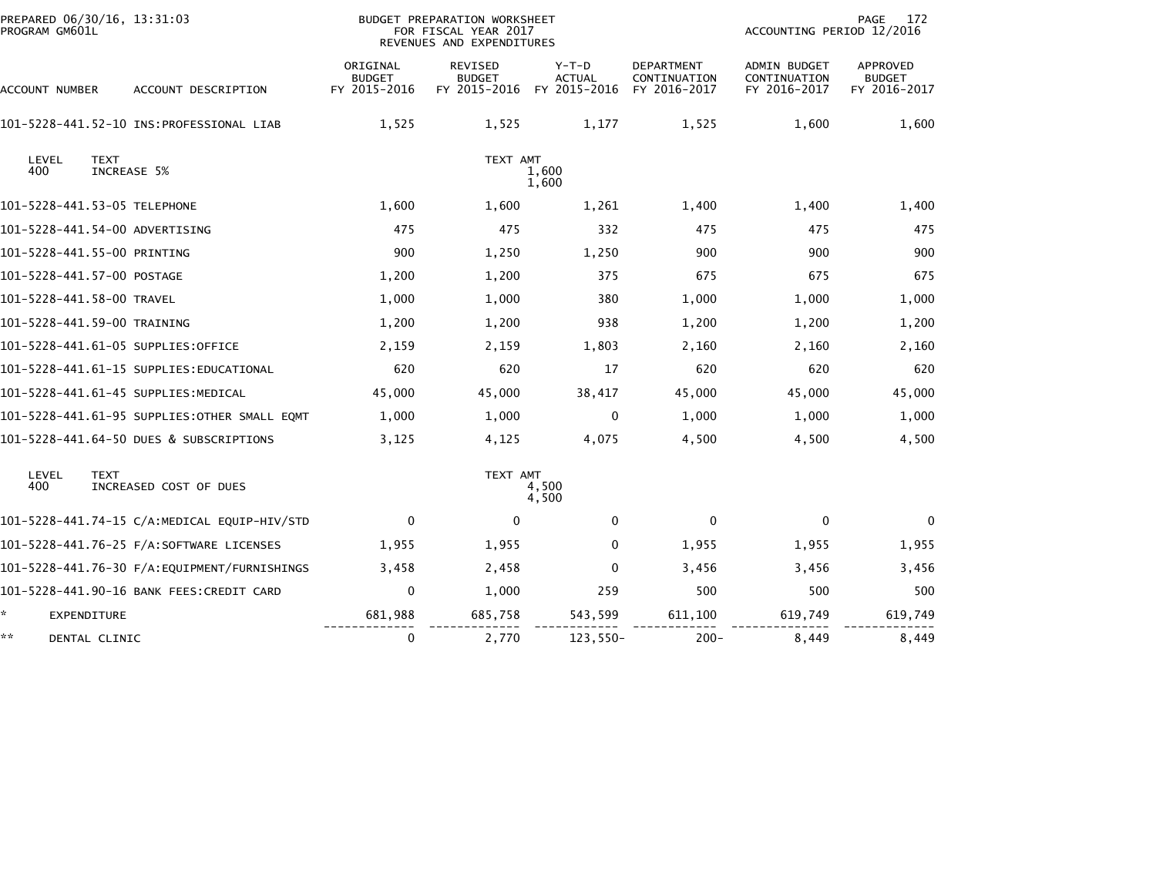| PREPARED 06/30/16, 13:31:03<br>PROGRAM GM601L         | BUDGET PREPARATION WORKSHEET<br>FOR FISCAL YEAR 2017<br>REVENUES AND EXPENDITURES |                                                 |                                          |                                                   | <b>PAGE</b><br>172<br>ACCOUNTING PERIOD 12/2016     |                                                  |  |
|-------------------------------------------------------|-----------------------------------------------------------------------------------|-------------------------------------------------|------------------------------------------|---------------------------------------------------|-----------------------------------------------------|--------------------------------------------------|--|
| ACCOUNT NUMBER<br>ACCOUNT DESCRIPTION                 | ORIGINAL<br><b>BUDGET</b><br>FY 2015-2016                                         | <b>REVISED</b><br><b>BUDGET</b><br>FY 2015-2016 | $Y-T-D$<br><b>ACTUAL</b><br>FY 2015-2016 | <b>DEPARTMENT</b><br>CONTINUATION<br>FY 2016-2017 | <b>ADMIN BUDGET</b><br>CONTINUATION<br>FY 2016-2017 | <b>APPROVED</b><br><b>BUDGET</b><br>FY 2016-2017 |  |
|                                                       | 1,525                                                                             | 1,525                                           | 1,177                                    | 1,525                                             | 1,600                                               | 1,600                                            |  |
| LEVEL<br><b>TEXT</b><br>400<br>INCREASE 5%            |                                                                                   | TEXT AMT                                        | 1,600<br>1,600                           |                                                   |                                                     |                                                  |  |
| 101-5228-441.53-05 TELEPHONE                          | 1,600                                                                             | 1,600                                           | 1,261                                    | 1,400                                             | 1,400                                               | 1,400                                            |  |
| 101-5228-441.54-00 ADVERTISING                        | 475                                                                               | 475                                             | 332                                      | 475                                               | 475                                                 | 475                                              |  |
| 101-5228-441.55-00 PRINTING                           | 900                                                                               | 1,250                                           | 1,250                                    | 900                                               | 900                                                 | 900                                              |  |
| 101-5228-441.57-00 POSTAGE                            | 1,200                                                                             | 1,200                                           | 375                                      | 675                                               | 675                                                 | 675                                              |  |
| 101-5228-441.58-00 TRAVEL                             | 1,000                                                                             | 1,000                                           | 380                                      | 1,000                                             | 1,000                                               | 1,000                                            |  |
| 101-5228-441.59-00 TRAINING                           | 1,200                                                                             | 1,200                                           | 938                                      | 1,200                                             | 1,200                                               | 1,200                                            |  |
| 101-5228-441.61-05 SUPPLIES:OFFICE                    | 2,159                                                                             | 2,159                                           | 1,803                                    | 2,160                                             | 2,160                                               | 2,160                                            |  |
|                                                       | 620                                                                               | 620                                             | 17                                       | 620                                               | 620                                                 | 620                                              |  |
| 101-5228-441.61-45 SUPPLIES:MEDICAL                   | 45,000                                                                            | 45,000                                          | 38,417                                   | 45,000                                            | 45,000                                              | 45,000                                           |  |
| 101-5228-441.61-95 SUPPLIES: OTHER SMALL EQMT         | 1,000                                                                             | 1,000                                           | 0                                        | 1,000                                             | 1,000                                               | 1,000                                            |  |
| 101-5228-441.64-50 DUES & SUBSCRIPTIONS               | 3,125                                                                             | 4,125                                           | 4,075                                    | 4,500                                             | 4,500                                               | 4,500                                            |  |
| LEVEL<br><b>TEXT</b><br>400<br>INCREASED COST OF DUES |                                                                                   | TEXT AMT                                        | 4,500<br>4,500                           |                                                   |                                                     |                                                  |  |
| 101-5228-441.74-15 C/A:MEDICAL EQUIP-HIV/STD          | $\mathbf 0$                                                                       | $\mathbf 0$                                     | 0                                        | $\mathbf 0$                                       | 0                                                   | $\Omega$                                         |  |
|                                                       | 1,955                                                                             | 1,955                                           | 0                                        | 1,955                                             | 1,955                                               | 1,955                                            |  |
|                                                       | 3,458                                                                             | 2,458                                           | 0                                        | 3,456                                             | 3,456                                               | 3,456                                            |  |
| 101-5228-441.90-16 BANK FEES: CREDIT CARD             | $\mathbf 0$                                                                       | 1,000                                           | 259                                      | 500                                               | 500                                                 | 500                                              |  |
| *.<br>EXPENDITURE                                     | 681,988                                                                           | 685,758                                         | 543,599                                  | 611,100                                           | 619,749                                             | 619,749                                          |  |
| **<br>DENTAL CLINIC                                   | 0                                                                                 | 2,770                                           | $123,550-$                               | $200 -$                                           | 8,449                                               | 8,449                                            |  |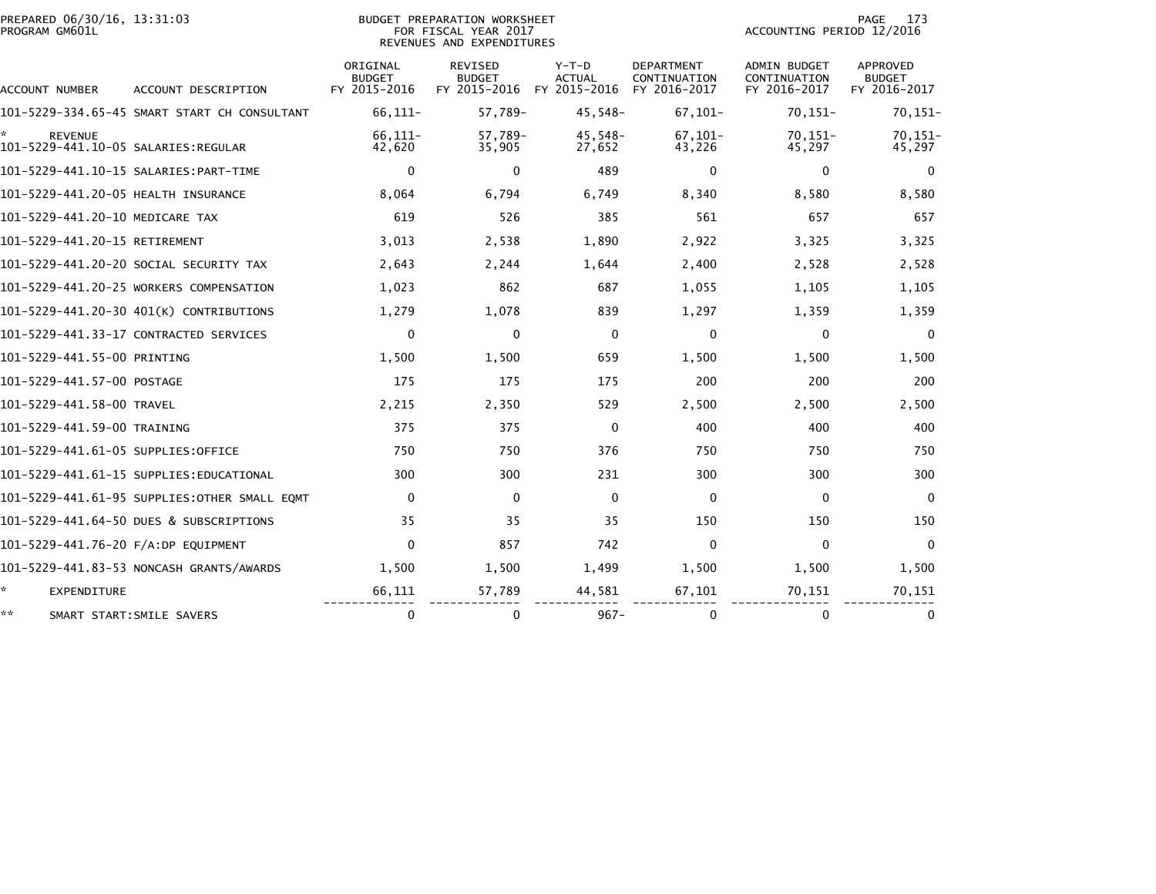| PROGRAM GM601L<br>FOR FISCAL YEAR 2017<br>REVENUES AND EXPENDITURES |                                           |                                                 |                                        |                                                   | ACCOUNTING PERIOD 12/2016                           |                                                  |  |
|---------------------------------------------------------------------|-------------------------------------------|-------------------------------------------------|----------------------------------------|---------------------------------------------------|-----------------------------------------------------|--------------------------------------------------|--|
| ACCOUNT NUMBER<br>ACCOUNT DESCRIPTION                               | ORIGINAL<br><b>BUDGET</b><br>FY 2015-2016 | <b>REVISED</b><br><b>BUDGET</b><br>FY 2015-2016 | Y-T-D<br><b>ACTUAL</b><br>FY 2015-2016 | <b>DEPARTMENT</b><br>CONTINUATION<br>FY 2016-2017 | <b>ADMIN BUDGET</b><br>CONTINUATION<br>FY 2016-2017 | <b>APPROVED</b><br><b>BUDGET</b><br>FY 2016-2017 |  |
| 101-5229-334.65-45 SMART START CH CONSULTANT                        | 66,111-                                   | 57,789-                                         | $45,548-$                              | $67, 101 -$                                       | $70, 151 -$                                         | $70, 151 -$                                      |  |
| <b>REVENUE</b>                                                      | $66, 111 -$<br>42,620                     | 57,789-<br>35,905                               | $45,548-$<br>27,652                    | $67, 101 -$<br>43,226                             | $70, 151 -$<br>45,297                               | $70, 151 -$<br>45,297                            |  |
|                                                                     | $\mathbf 0$                               | 0                                               | 489                                    | 0                                                 | 0                                                   | $\mathbf{0}$                                     |  |
| 101-5229-441.20-05 HEALTH INSURANCE                                 | 8,064                                     | 6.794                                           | 6.749                                  | 8,340                                             | 8,580                                               | 8,580                                            |  |
| 101-5229-441.20-10 MEDICARE TAX                                     | 619                                       | 526                                             | 385                                    | 561                                               | 657                                                 | 657                                              |  |
| 101-5229-441.20-15 RETIREMENT                                       | 3,013                                     | 2,538                                           | 1,890                                  | 2,922                                             | 3.325                                               | 3,325                                            |  |
| 101-5229-441.20-20 SOCIAL SECURITY TAX                              | 2,643                                     | 2,244                                           | 1,644                                  | 2,400                                             | 2,528                                               | 2,528                                            |  |
| 101-5229-441.20-25 WORKERS COMPENSATION                             | 1,023                                     | 862                                             | 687                                    | 1,055                                             | 1,105                                               | 1,105                                            |  |
| 101-5229-441.20-30 401(K) CONTRIBUTIONS                             | 1,279                                     | 1,078                                           | 839                                    | 1,297                                             | 1,359                                               | 1,359                                            |  |
| 101-5229-441.33-17 CONTRACTED SERVICES                              | $\mathbf 0$                               | $\mathbf 0$                                     | $\mathbf 0$                            | $\mathbf 0$                                       | 0                                                   | $\Omega$                                         |  |
| 101-5229-441.55-00 PRINTING                                         | 1,500                                     | 1,500                                           | 659                                    | 1,500                                             | 1,500                                               | 1,500                                            |  |
| 101-5229-441.57-00 POSTAGE                                          | 175                                       | 175                                             | 175                                    | 200                                               | 200                                                 | 200                                              |  |
| 101-5229-441.58-00 TRAVEL                                           | 2,215                                     | 2,350                                           | 529                                    | 2,500                                             | 2,500                                               | 2,500                                            |  |
| 101-5229-441.59-00 TRAINING                                         | 375                                       | 375                                             | $\mathbf 0$                            | 400                                               | 400                                                 | 400                                              |  |
| 101-5229-441.61-05 SUPPLIES:OFFICE                                  | 750                                       | 750                                             | 376                                    | 750                                               | 750                                                 | 750                                              |  |
| 101–5229–441.61–15 SUPPLIES:EDUCATIONAL                             | 300                                       | 300                                             | 231                                    | 300                                               | 300                                                 | 300                                              |  |
| 101-5229-441.61-95 SUPPLIES:OTHER SMALL EOMT                        | $\mathbf 0$                               | $\Omega$                                        | $\Omega$                               | $\mathbf{0}$                                      | $\mathbf{0}$                                        | $\Omega$                                         |  |
| 101-5229-441.64-50 DUES & SUBSCRIPTIONS                             | 35                                        | 35                                              | 35                                     | 150                                               | 150                                                 | 150                                              |  |
| 101-5229-441.76-20 F/A:DP EQUIPMENT                                 | $\mathbf 0$                               | 857                                             | 742                                    | $\mathbf{0}$                                      | 0                                                   | $\Omega$                                         |  |
| 101-5229-441.83-53 NONCASH GRANTS/AWARDS                            | 1,500                                     | 1,500                                           | 1,499                                  | 1,500                                             | 1,500                                               | 1,500                                            |  |
| ÷.<br><b>EXPENDITURE</b>                                            | 66,111                                    | 57,789                                          | 44,581                                 | 67,101                                            | 70,151                                              | 70,151                                           |  |
| **<br>SMART START: SMILE SAVERS                                     | $\mathbf 0$                               | 0                                               | $967 -$                                | 0                                                 | $\Omega$                                            | $\Omega$                                         |  |

PREPARED 06/30/16, 13:31:03 BUDGET PREPARATION WORKSHEET PAGE 173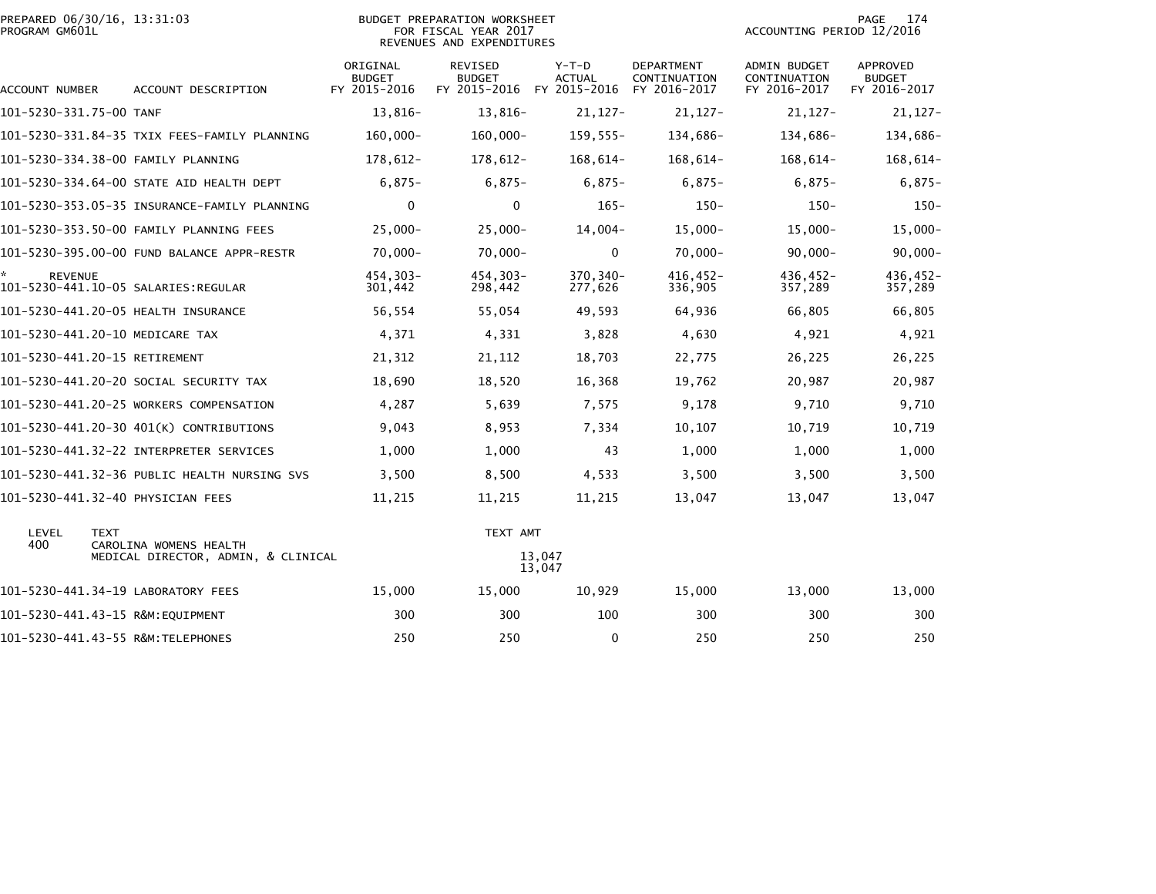|                | PREPARED 06/30/16, 13:31:03 |  |
|----------------|-----------------------------|--|
| PROGRAM GM601L |                             |  |

# PREPARED 06/30/16, 13:31:03 PREPARATION WORKSHEET PREPARATION WORKSHEET PREPARATION WORKSHEET<br>FOR FISCAL YEAR 2017 ACCOUNTING PERIOD 12/2016<br>REVENUES AND EXPENDITURES

PAGE 174<br>ACCOUNTING PERIOD 12/2016

| ACCOUNT NUMBER          | ACCOUNT DESCRIPTION                          | ORIGINAL<br><b>BUDGET</b><br>FY 2015-2016 | REVISED<br><b>BUDGET</b><br>FY 2015-2016 | $Y-T-D$<br><b>ACTUAL</b><br>FY 2015-2016 | <b>DEPARTMENT</b><br>CONTINUATION<br>FY 2016-2017 | ADMIN BUDGET<br>CONTINUATION<br>FY 2016-2017 | APPROVED<br><b>BUDGET</b><br>FY 2016-2017 |
|-------------------------|----------------------------------------------|-------------------------------------------|------------------------------------------|------------------------------------------|---------------------------------------------------|----------------------------------------------|-------------------------------------------|
| 101-5230-331.75-00 TANF |                                              | 13,816-                                   | 13,816-                                  | $21,127-$                                | $21,127-$                                         | $21,127-$                                    | $21,127-$                                 |
|                         | 101-5230-331.84-35 TXIX FEES-FAMILY PLANNING | $160,000 -$                               | $160,000 -$                              | $159, 555 -$                             | 134,686-                                          | 134,686-                                     | 134,686-                                  |
|                         | 101-5230-334.38-00 FAMILY PLANNING           | 178,612-                                  | 178,612-                                 | $168,614-$                               | 168,614-                                          | $168,614-$                                   | 168,614-                                  |
|                         | 101-5230-334.64-00 STATE AID HEALTH DEPT     | $6,875-$                                  | $6,875-$                                 | $6,875-$                                 | $6,875-$                                          | $6,875-$                                     | $6,875-$                                  |
|                         | 101-5230-353.05-35 INSURANCE-FAMILY PLANNING | $\mathbf 0$                               | 0                                        | $165 -$                                  | $150 -$                                           | $150 -$                                      | $150 -$                                   |
|                         | 101-5230-353.50-00 FAMILY PLANNING FEES      | $25,000 -$                                | $25,000 -$                               | $14,004-$                                | $15,000-$                                         | $15,000 -$                                   | $15,000-$                                 |
|                         | 101-5230-395.00-00 FUND BALANCE APPR-RESTR   | $70,000 -$                                | $70,000 -$                               | 0                                        | $70,000 -$                                        | $90,000 -$                                   | $90,000 -$                                |
| *.<br><b>REVENUE</b>    | 101-5230-441.10-05 SALARIES:REGULAR          | 454.303-<br>301,442                       | 454,303-<br>298,442                      | 370,340-<br>277,626                      | $416.452 -$<br>336,905                            | 436,452-<br>357,289                          | 436,452-<br>357,289                       |
|                         | 101-5230-441.20-05 HEALTH INSURANCE          | 56,554                                    | 55,054                                   | 49,593                                   | 64,936                                            | 66,805                                       | 66,805                                    |
|                         | 101-5230-441.20-10 MEDICARE TAX              | 4,371                                     | 4,331                                    | 3,828                                    | 4,630                                             | 4,921                                        | 4,921                                     |
|                         | 101-5230-441.20-15 RETIREMENT                | 21,312                                    | 21,112                                   | 18,703                                   | 22,775                                            | 26,225                                       | 26,225                                    |
|                         | 101-5230-441.20-20 SOCIAL SECURITY TAX       | 18,690                                    | 18,520                                   | 16,368                                   | 19,762                                            | 20,987                                       | 20,987                                    |
|                         | 101-5230-441.20-25 WORKERS COMPENSATION      | 4,287                                     | 5,639                                    | 7,575                                    | 9,178                                             | 9,710                                        | 9,710                                     |
|                         | 101-5230-441.20-30 401(K) CONTRIBUTIONS      | 9,043                                     | 8,953                                    | 7,334                                    | 10,107                                            | 10,719                                       | 10,719                                    |
|                         | 101-5230-441.32-22 INTERPRETER SERVICES      | 1,000                                     | 1,000                                    | 43                                       | 1,000                                             | 1,000                                        | 1,000                                     |
|                         | 101-5230-441.32-36 PUBLIC HEALTH NURSING SVS | 3,500                                     | 8,500                                    | 4,533                                    | 3,500                                             | 3,500                                        | 3,500                                     |
|                         | 101-5230-441.32-40 PHYSICIAN FEES            | 11,215                                    | 11,215                                   | 11,215                                   | 13,047                                            | 13,047                                       | 13,047                                    |
| LEVEL<br>400            | <b>TEXT</b><br>CAROLINA WOMENS HEALTH        |                                           | TEXT AMT                                 |                                          |                                                   |                                              |                                           |
|                         | MEDICAL DIRECTOR, ADMIN, & CLINICAL          |                                           |                                          | 13,047<br>13,047                         |                                                   |                                              |                                           |
|                         | 101-5230-441.34-19 LABORATORY FEES           | 15,000                                    | 15,000                                   | 10,929                                   | 15,000                                            | 13,000                                       | 13,000                                    |
|                         | 101-5230-441.43-15 R&M:EOUIPMENT             | 300                                       | 300                                      | 100                                      | 300                                               | 300                                          | 300                                       |
|                         | 101-5230-441.43-55 R&M:TELEPHONES            | 250                                       | 250                                      | $\mathbf{0}$                             | 250                                               | 250                                          | 250                                       |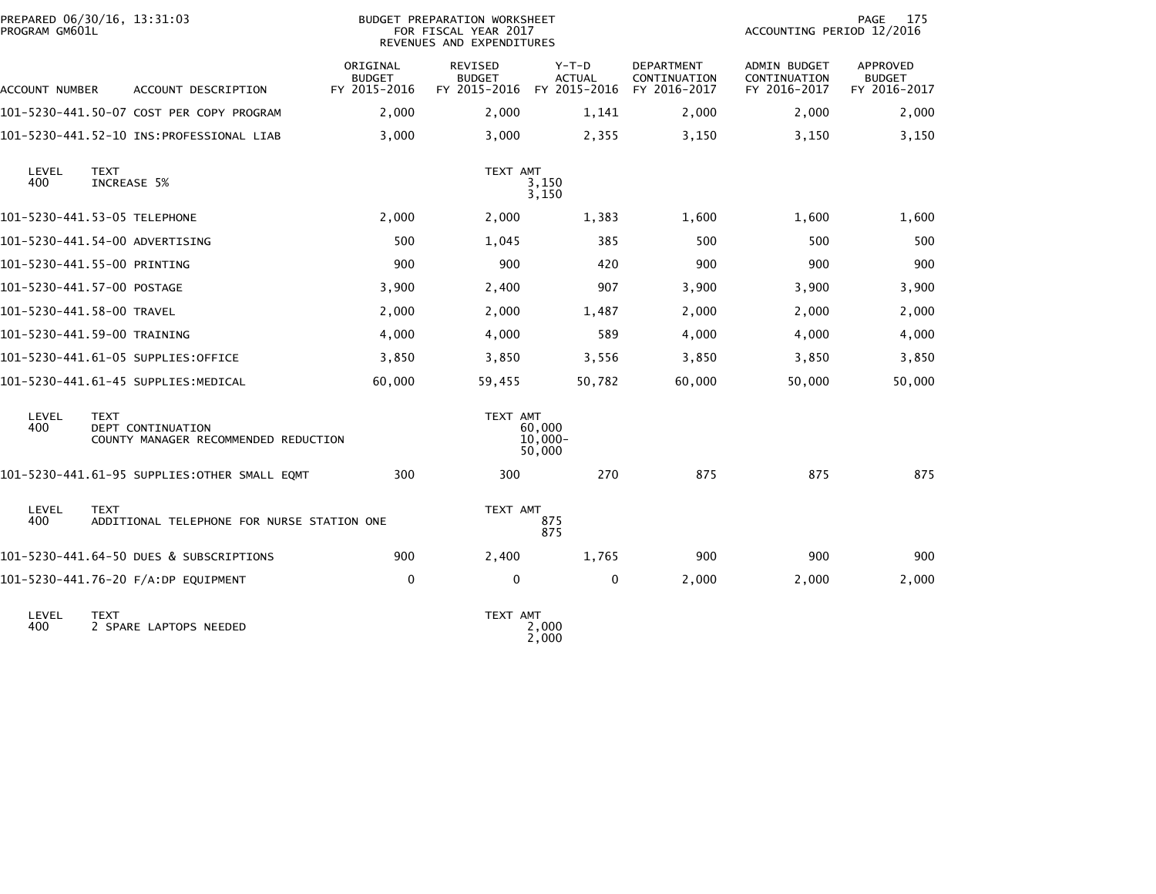| PREPARED 06/30/16, 13:31:03<br>PROGRAM GM601L |                            |                                                           | <b>BUDGET PREPARATION WORKSHEET</b><br>FOR FISCAL YEAR 2017<br>REVENUES AND EXPENDITURES |                                          |                                          |                                                   | 175<br>PAGE<br>ACCOUNTING PERIOD 12/2016            |                                                  |  |
|-----------------------------------------------|----------------------------|-----------------------------------------------------------|------------------------------------------------------------------------------------------|------------------------------------------|------------------------------------------|---------------------------------------------------|-----------------------------------------------------|--------------------------------------------------|--|
| ACCOUNT NUMBER                                |                            | ACCOUNT DESCRIPTION                                       | ORIGINAL<br><b>BUDGET</b><br>FY 2015-2016                                                | REVISED<br><b>BUDGET</b><br>FY 2015-2016 | $Y-T-D$<br><b>ACTUAL</b><br>FY 2015-2016 | <b>DEPARTMENT</b><br>CONTINUATION<br>FY 2016-2017 | <b>ADMIN BUDGET</b><br>CONTINUATION<br>FY 2016-2017 | <b>APPROVED</b><br><b>BUDGET</b><br>FY 2016-2017 |  |
|                                               |                            | 101-5230-441.50-07 COST PER COPY PROGRAM                  | 2,000                                                                                    | 2,000                                    | 1,141                                    | 2,000                                             | 2,000                                               | 2,000                                            |  |
|                                               |                            |                                                           | 3,000                                                                                    | 3,000                                    | 2,355                                    | 3,150                                             | 3,150                                               | 3,150                                            |  |
| LEVEL<br>400                                  | <b>TEXT</b><br>INCREASE 5% |                                                           |                                                                                          | TEXT AMT                                 | 3,150<br>3,150                           |                                                   |                                                     |                                                  |  |
| 101-5230-441.53-05 TELEPHONE                  |                            |                                                           | 2,000                                                                                    | 2,000                                    | 1,383                                    | 1,600                                             | 1,600                                               | 1,600                                            |  |
| 101-5230-441.54-00 ADVERTISING                |                            |                                                           | 500                                                                                      | 1,045                                    | 385                                      | 500                                               | 500                                                 | 500                                              |  |
| 101-5230-441.55-00 PRINTING                   |                            |                                                           | 900                                                                                      | 900                                      | 420                                      | 900                                               | 900                                                 | 900                                              |  |
| 101–5230–441.57–00 POSTAGE                    |                            |                                                           | 3,900                                                                                    | 2,400                                    | 907                                      | 3,900                                             | 3,900                                               | 3,900                                            |  |
| 101-5230-441.58-00 TRAVEL                     |                            |                                                           | 2,000                                                                                    | 2,000                                    | 1,487                                    | 2,000                                             | 2,000                                               | 2,000                                            |  |
| 101-5230-441.59-00 TRAINING                   |                            |                                                           | 4,000                                                                                    | 4,000                                    | 589                                      | 4,000                                             | 4,000                                               | 4,000                                            |  |
|                                               |                            | 101-5230-441.61-05 SUPPLIES:OFFICE                        | 3,850                                                                                    | 3,850                                    | 3,556                                    | 3,850                                             | 3,850                                               | 3,850                                            |  |
|                                               |                            | 101-5230-441.61-45 SUPPLIES:MEDICAL                       | 60,000                                                                                   | 59,455                                   | 50,782                                   | 60,000                                            | 50,000                                              | 50,000                                           |  |
| LEVEL<br>400                                  | <b>TEXT</b>                | DEPT CONTINUATION<br>COUNTY MANAGER RECOMMENDED REDUCTION |                                                                                          | TEXT AMT                                 | 60,000<br>$10,000 -$<br>50,000           |                                                   |                                                     |                                                  |  |
|                                               |                            | 101-5230-441.61-95 SUPPLIES:OTHER SMALL EQMT              | 300                                                                                      | 300                                      | 270                                      | 875                                               | 875                                                 | 875                                              |  |
| LEVEL<br>400                                  | <b>TEXT</b>                | ADDITIONAL TELEPHONE FOR NURSE STATION ONE                |                                                                                          | TEXT AMT                                 | 875<br>875                               |                                                   |                                                     |                                                  |  |
|                                               |                            | 101-5230-441.64-50 DUES & SUBSCRIPTIONS                   | 900                                                                                      | 2,400                                    | 1,765                                    | 900                                               | 900                                                 | 900                                              |  |
|                                               |                            | 101-5230-441.76-20 F/A:DP EQUIPMENT                       | 0                                                                                        | $\mathbf 0$                              | 0                                        | 2,000                                             | 2,000                                               | 2,000                                            |  |
| LEVEL<br>400                                  | <b>TEXT</b>                | 2 SPARE LAPTOPS NEEDED                                    |                                                                                          | TEXT AMT                                 | 2,000                                    |                                                   |                                                     |                                                  |  |

2,000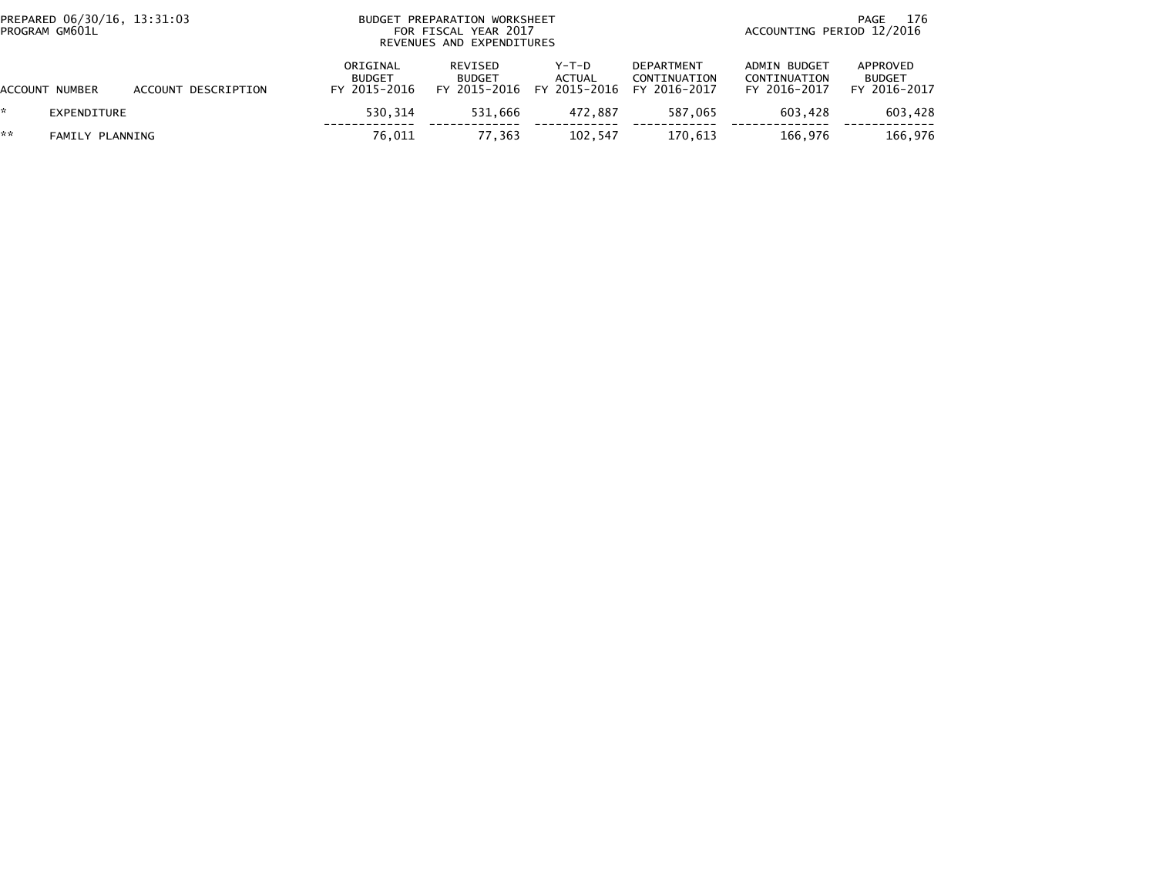| PREPARED 06/30/16, 13:31:03<br>PROGRAM GM601L |                 |                     |                                           | BUDGET PREPARATION WORKSHEET<br>FOR FISCAL YEAR 2017<br>REVENUES AND EXPENDITURES |                                          |                                                   |                                                     | 176<br>PAGE<br>ACCOUNTING PERIOD 12/2016  |  |  |
|-----------------------------------------------|-----------------|---------------------|-------------------------------------------|-----------------------------------------------------------------------------------|------------------------------------------|---------------------------------------------------|-----------------------------------------------------|-------------------------------------------|--|--|
|                                               | ACCOUNT NUMBER  | ACCOUNT DESCRIPTION | ORIGINAL<br><b>BUDGET</b><br>FY 2015-2016 | REVISED<br><b>BUDGET</b><br>FY 2015-2016                                          | $Y-T-D$<br><b>ACTUAL</b><br>FY 2015-2016 | <b>DEPARTMENT</b><br>CONTINUATION<br>FY 2016-2017 | <b>ADMIN BUDGET</b><br>CONTINUATION<br>FY 2016-2017 | APPROVED<br><b>BUDGET</b><br>FY 2016-2017 |  |  |
| *                                             | EXPENDITURE     |                     | 530.314                                   | 531.666                                                                           | 472.887                                  | 587.065                                           | 603.428                                             | 603,428                                   |  |  |
| **                                            | FAMILY PLANNING |                     | 76,011                                    | 77.363                                                                            | 102,547                                  | 170.613                                           | 166.976                                             | 166,976                                   |  |  |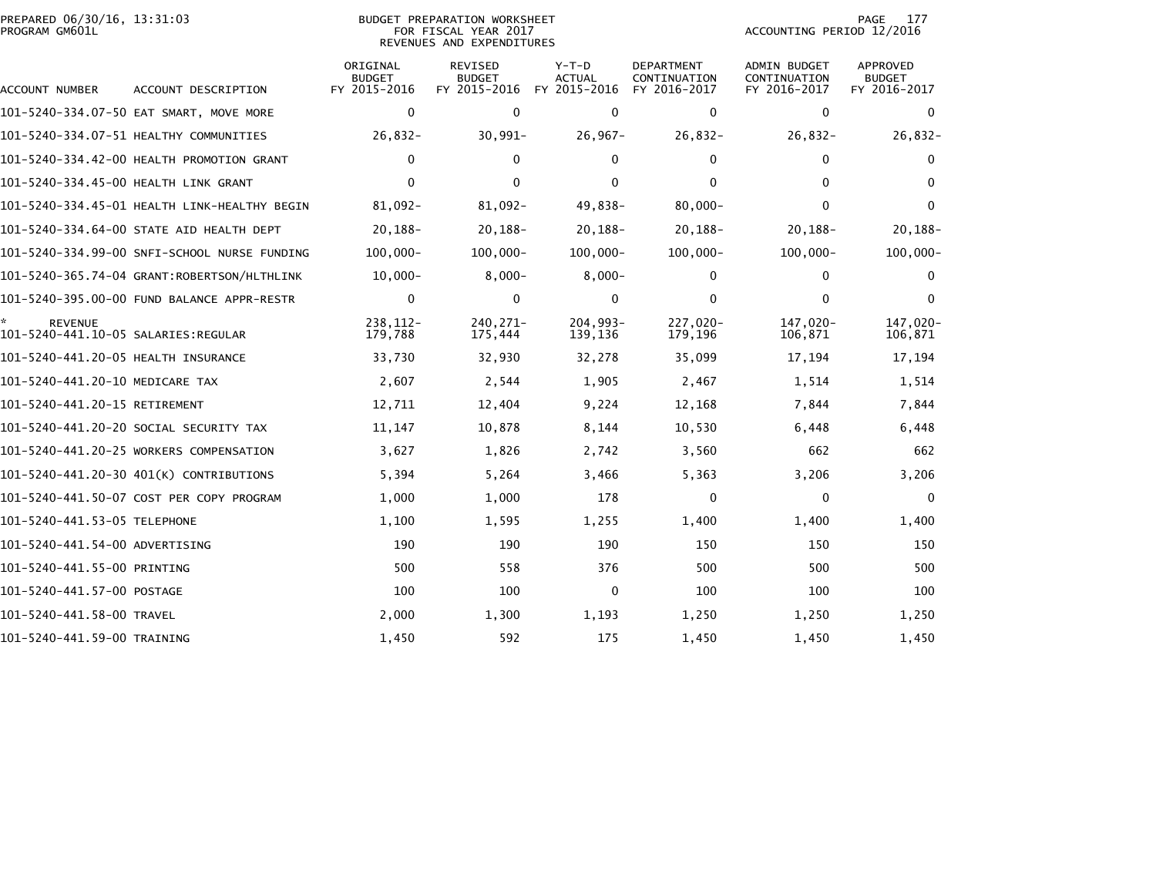|                | PREPARED 06/30/16, 13:31:03 |  |
|----------------|-----------------------------|--|
| PROGRAM GM601L |                             |  |

# PREPARED 06/30/16, 13:31:03 PREPARATION WORKSHEET PREPARATION WORKSHEET PREPARATION WORKSHEET<br>FOR FISCAL YEAR 2017 ACCOUNTING PERIOD 12/2016<br>REVENUES AND EXPENDITURES

PAGE 177<br>ACCOUNTING PERIOD 12/2016

| <b>ACCOUNT NUMBER</b>                                 | ACCOUNT DESCRIPTION                          | ORIGINAL<br><b>BUDGET</b><br>FY 2015-2016 | <b>REVISED</b><br><b>BUDGET</b><br>FY 2015-2016 | Y-T-D<br><b>ACTUAL</b><br>FY 2015-2016 | <b>DEPARTMENT</b><br>CONTINUATION<br>FY 2016-2017 | <b>ADMIN BUDGET</b><br>CONTINUATION<br>FY 2016-2017 | <b>APPROVED</b><br><b>BUDGET</b><br>FY 2016-2017 |
|-------------------------------------------------------|----------------------------------------------|-------------------------------------------|-------------------------------------------------|----------------------------------------|---------------------------------------------------|-----------------------------------------------------|--------------------------------------------------|
|                                                       | 101-5240-334.07-50 EAT SMART, MOVE MORE      | $\mathbf 0$                               | $\mathbf{0}$                                    | $\Omega$                               | $\mathbf 0$                                       | $\mathbf{0}$                                        | $\mathbf{0}$                                     |
|                                                       | 101-5240-334.07-51 HEALTHY COMMUNITIES       | $26,832-$                                 | $30,991 -$                                      | $26,967-$                              | $26,832-$                                         | $26,832-$                                           | $26,832-$                                        |
|                                                       | 101-5240-334.42-00 HEALTH PROMOTION GRANT    | $\mathbf{0}$                              | $\mathbf{0}$                                    | $\mathbf{0}$                           | $\mathbf 0$                                       | 0                                                   | $\mathbf{0}$                                     |
| 101-5240-334.45-00 HEALTH LINK GRANT                  |                                              | $\Omega$                                  | $\mathbf{0}$                                    | 0                                      | $\Omega$                                          | 0                                                   | $\Omega$                                         |
|                                                       | 101-5240-334.45-01 HEALTH LINK-HEALTHY BEGIN | 81,092-                                   | 81,092-                                         | 49,838-                                | $80,000 -$                                        | $\Omega$                                            | $\Omega$                                         |
|                                                       | 101-5240-334.64-00 STATE AID HEALTH DEPT     | $20, 188 -$                               | $20,188-$                                       | $20, 188 -$                            | $20, 188 -$                                       | $20, 188 -$                                         | $20, 188 -$                                      |
|                                                       | 101-5240-334.99-00 SNFI-SCHOOL NURSE FUNDING | $100.000 -$                               | $100,000 -$                                     | $100,000 -$                            | $100,000 -$                                       | $100,000 -$                                         | $100,000 -$                                      |
|                                                       | 101-5240-365.74-04 GRANT:ROBERTSON/HLTHLINK  | $10,000 -$                                | $8,000 -$                                       | $8,000 -$                              | 0                                                 | 0                                                   | $\Omega$                                         |
|                                                       | 101-5240-395.00-00 FUND BALANCE APPR-RESTR   | $\mathbf 0$                               | $\mathbf{0}$                                    | $\mathbf{0}$                           | $\mathbf{0}$                                      | $\Omega$                                            | $\Omega$                                         |
| <b>REVENUE</b><br>101-5240-441.10-05 SALARIES:REGULAR |                                              | 238.112-<br>179,788                       | 240.271-<br>175,444                             | $204,993-$<br>139,136                  | 227,020-<br>179,196                               | 147,020-<br>106,871                                 | 147,020-<br>106,871                              |
| 101-5240-441.20-05 HEALTH INSURANCE                   |                                              | 33,730                                    | 32,930                                          | 32,278                                 | 35,099                                            | 17,194                                              | 17,194                                           |
| 101-5240-441.20-10 MEDICARE TAX                       |                                              | 2,607                                     | 2,544                                           | 1,905                                  | 2,467                                             | 1,514                                               | 1,514                                            |
| 101-5240-441.20-15 RETIREMENT                         |                                              | 12,711                                    | 12,404                                          | 9,224                                  | 12,168                                            | 7,844                                               | 7,844                                            |
|                                                       | 101-5240-441.20-20 SOCIAL SECURITY TAX       | 11,147                                    | 10,878                                          | 8,144                                  | 10,530                                            | 6,448                                               | 6,448                                            |
|                                                       | 101-5240-441.20-25 WORKERS COMPENSATION      | 3,627                                     | 1,826                                           | 2,742                                  | 3,560                                             | 662                                                 | 662                                              |
|                                                       | 101-5240-441.20-30 401(K) CONTRIBUTIONS      | 5,394                                     | 5,264                                           | 3,466                                  | 5,363                                             | 3,206                                               | 3,206                                            |
|                                                       | 101-5240-441.50-07 COST PER COPY PROGRAM     | 1,000                                     | 1,000                                           | 178                                    | $\mathbf 0$                                       | 0                                                   | $\mathbf{0}$                                     |
| 101-5240-441.53-05 TELEPHONE                          |                                              | 1,100                                     | 1,595                                           | 1,255                                  | 1,400                                             | 1,400                                               | 1,400                                            |
| 101-5240-441.54-00 ADVERTISING                        |                                              | 190                                       | 190                                             | 190                                    | 150                                               | 150                                                 | 150                                              |
| 101-5240-441.55-00 PRINTING                           |                                              | 500                                       | 558                                             | 376                                    | 500                                               | 500                                                 | 500                                              |
| 101-5240-441.57-00 POSTAGE                            |                                              | 100                                       | 100                                             | $\mathbf{0}$                           | 100                                               | 100                                                 | 100                                              |
| 101-5240-441.58-00 TRAVEL                             |                                              | 2,000                                     | 1,300                                           | 1,193                                  | 1,250                                             | 1,250                                               | 1,250                                            |
| 101-5240-441.59-00 TRAINING                           |                                              | 1,450                                     | 592                                             | 175                                    | 1,450                                             | 1,450                                               | 1,450                                            |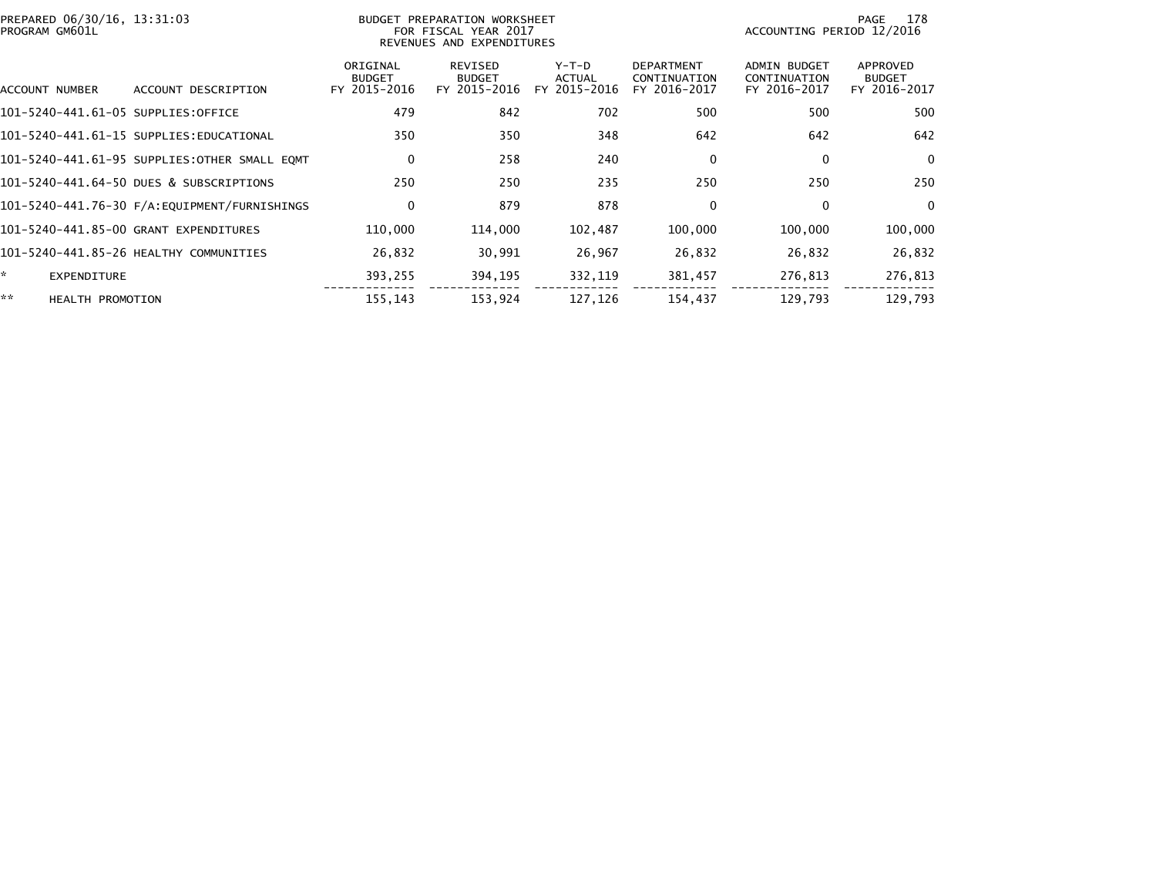| PREPARED 06/30/16, 13:31:03<br>PROGRAM GM601L |                                              | BUDGET PREPARATION WORKSHEET<br>FOR FISCAL YEAR 2017<br>REVENUES AND EXPENDITURES |                                          |                                 |                                                   | 178<br>PAGE<br>ACCOUNTING PERIOD 12/2016            |                                           |  |
|-----------------------------------------------|----------------------------------------------|-----------------------------------------------------------------------------------|------------------------------------------|---------------------------------|---------------------------------------------------|-----------------------------------------------------|-------------------------------------------|--|
| ACCOUNT NUMBER                                | ACCOUNT DESCRIPTION                          | ORIGINAL<br><b>BUDGET</b><br>FY 2015-2016                                         | REVISED<br><b>BUDGET</b><br>FY 2015-2016 | Y-T-D<br>ACTUAL<br>FY 2015-2016 | <b>DEPARTMENT</b><br>CONTINUATION<br>FY 2016-2017 | <b>ADMIN BUDGET</b><br>CONTINUATION<br>FY 2016-2017 | APPROVED<br><b>BUDGET</b><br>FY 2016-2017 |  |
| 101-5240-441.61-05 SUPPLIES:OFFICE            |                                              | 479                                                                               | 842                                      | 702                             | 500                                               | 500                                                 | 500                                       |  |
|                                               | 101-5240-441.61-15 SUPPLIES:EDUCATIONAL      | 350                                                                               | 350                                      | 348                             | 642                                               | 642                                                 | 642                                       |  |
|                                               | 101-5240-441.61-95 SUPPLIES:OTHER SMALL EQMT | $\mathbf 0$                                                                       | 258                                      | 240                             | 0                                                 | 0                                                   | $\overline{0}$                            |  |
|                                               | 101-5240-441.64-50 DUES & SUBSCRIPTIONS      | 250                                                                               | 250                                      | 235                             | 250                                               | 250                                                 | 250                                       |  |
|                                               |                                              | 0                                                                                 | 879                                      | 878                             | 0                                                 | 0                                                   | $\overline{0}$                            |  |
|                                               | 101-5240-441.85-00 GRANT EXPENDITURES        | 110,000                                                                           | 114,000                                  | 102,487                         | 100,000                                           | 100,000                                             | 100,000                                   |  |
|                                               | 101-5240-441.85-26 HEALTHY COMMUNITIES       | 26,832                                                                            | 30,991                                   | 26,967                          | 26,832                                            | 26,832                                              | 26,832                                    |  |
| ŵ.<br><b>EXPENDITURE</b>                      |                                              | 393,255                                                                           | 394,195                                  | 332,119                         | 381,457                                           | 276,813                                             | 276,813                                   |  |
| **<br><b>HEALTH PROMOTION</b>                 |                                              | 155,143                                                                           | 153,924                                  | 127,126                         | 154,437                                           | 129,793                                             | 129,793                                   |  |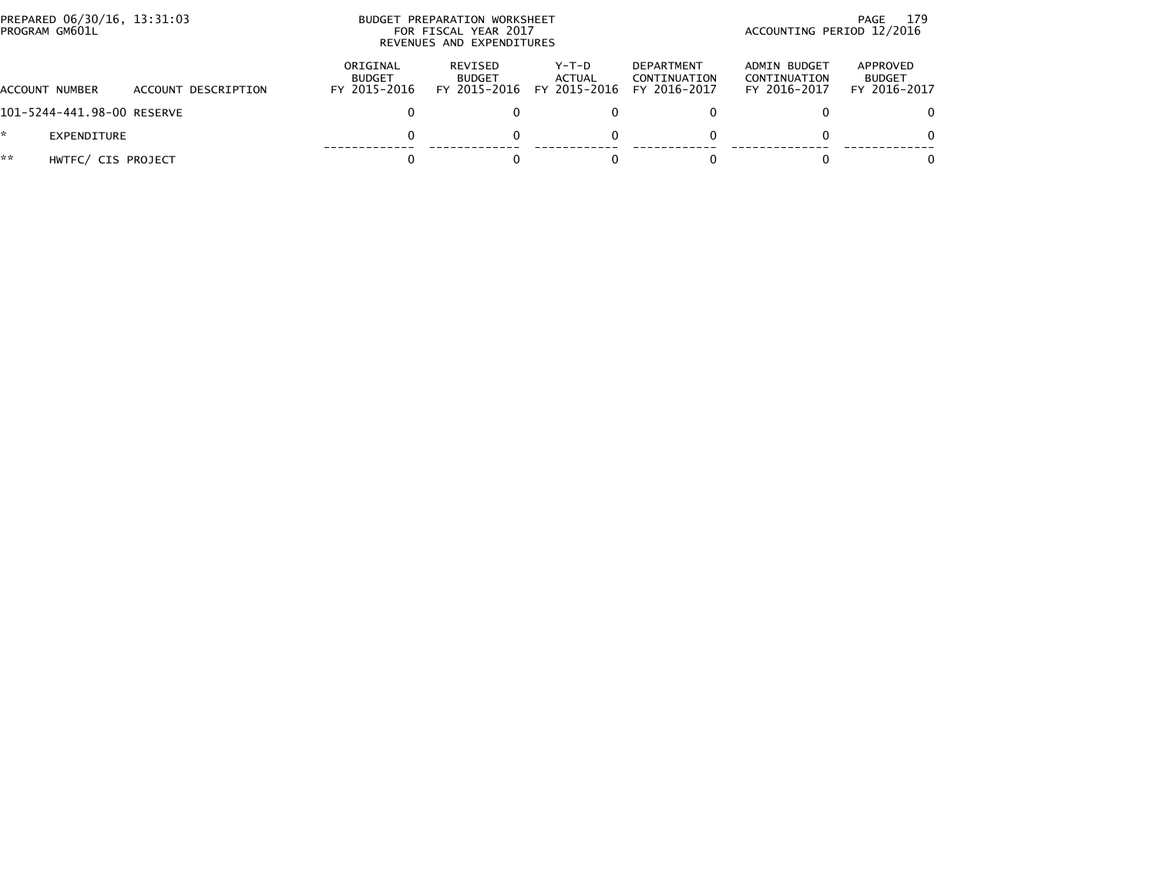|    | PREPARED 06/30/16, 13:31:03<br>PROGRAM GM601L |                     |                                           | BUDGET PREPARATION WORKSHEET<br>FOR FISCAL YEAR 2017<br>REVENUES AND EXPENDITURES | 179<br>PAGE<br>ACCOUNTING PERIOD 12/2016 |                                                   |                                              |                                           |
|----|-----------------------------------------------|---------------------|-------------------------------------------|-----------------------------------------------------------------------------------|------------------------------------------|---------------------------------------------------|----------------------------------------------|-------------------------------------------|
|    | ACCOUNT NUMBER                                | ACCOUNT DESCRIPTION | ORIGINAL<br><b>BUDGET</b><br>FY 2015-2016 | REVISED<br><b>BUDGET</b><br>FY 2015-2016                                          | Y-T-D<br>ACTUAL<br>FY 2015-2016          | <b>DEPARTMENT</b><br>CONTINUATION<br>FY 2016-2017 | ADMIN BUDGET<br>CONTINUATION<br>FY 2016-2017 | APPROVED<br><b>BUDGET</b><br>FY 2016-2017 |
|    | 101-5244-441.98-00 RESERVE                    |                     | 0                                         |                                                                                   |                                          |                                                   |                                              | 0                                         |
|    | EXPENDITURE                                   |                     | 0                                         |                                                                                   |                                          | 0                                                 |                                              | $\Omega$                                  |
| ** | HWTFC/ CIS PROJECT                            |                     | 0                                         |                                                                                   |                                          |                                                   |                                              | $\Omega$                                  |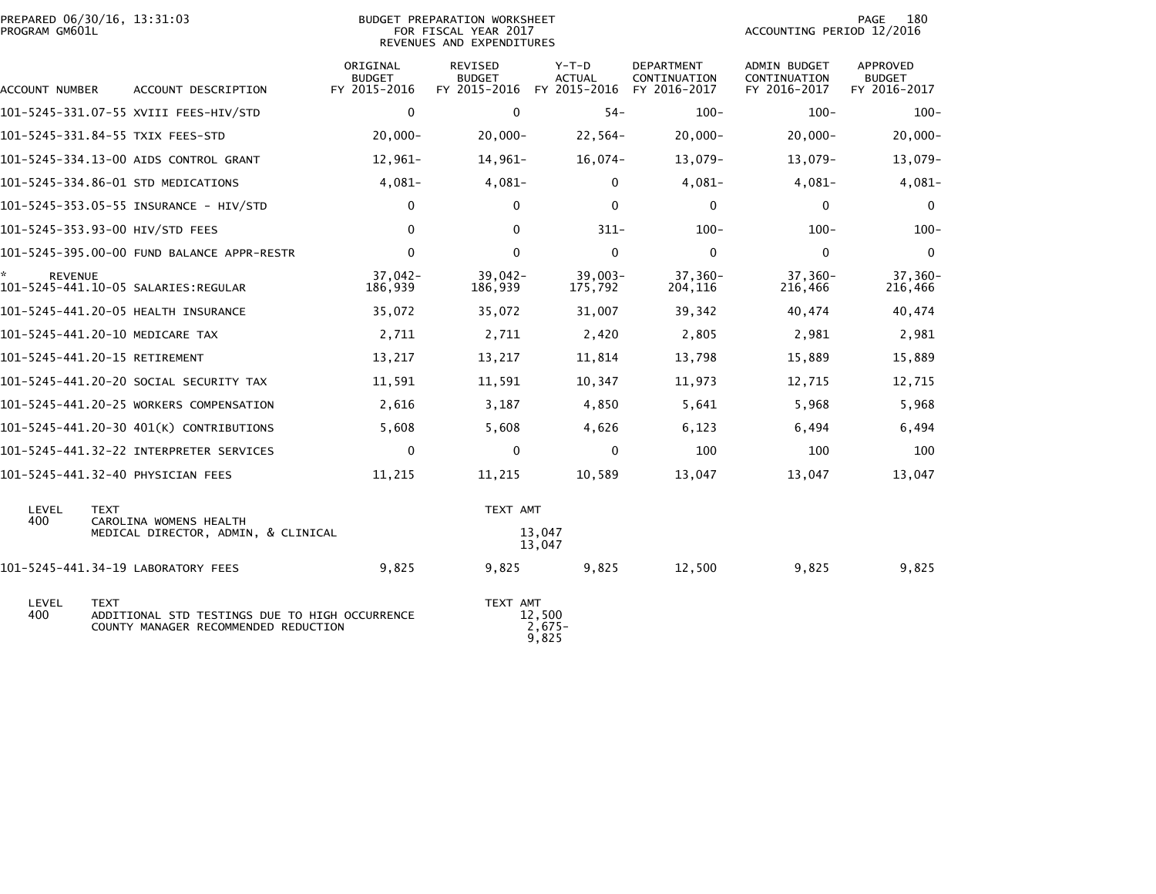| PREPARED 06/30/16, 13:31:03<br>PROGRAM GM601L |                                                                                                       | BUDGET PREPARATION WORKSHEET<br>FOR FISCAL YEAR 2017<br>REVENUES AND EXPENDITURES |                                                       |                             |                                            | 180<br>PAGE<br>ACCOUNTING PERIOD 12/2016     |                                           |  |
|-----------------------------------------------|-------------------------------------------------------------------------------------------------------|-----------------------------------------------------------------------------------|-------------------------------------------------------|-----------------------------|--------------------------------------------|----------------------------------------------|-------------------------------------------|--|
| ACCOUNT NUMBER                                | ACCOUNT DESCRIPTION                                                                                   | ORIGINAL<br><b>BUDGET</b><br>FY 2015-2016                                         | REVISED<br><b>BUDGET</b><br>FY 2015-2016 FY 2015-2016 | $Y-T-D$<br><b>ACTUAL</b>    | DEPARTMENT<br>CONTINUATION<br>FY 2016-2017 | ADMIN BUDGET<br>CONTINUATION<br>FY 2016-2017 | APPROVED<br><b>BUDGET</b><br>FY 2016-2017 |  |
|                                               | 101-5245-331.07-55 XVIII FEES-HIV/STD                                                                 | $\mathbf 0$                                                                       | $\mathbf{0}$                                          | $54 -$                      | $100 -$                                    | $100 -$                                      | $100 -$                                   |  |
|                                               | 101-5245-331.84-55 TXIX FEES-STD                                                                      | $20,000 -$                                                                        | $20,000 -$                                            | $22,564-$                   | $20,000 -$                                 | $20,000 -$                                   | $20,000 -$                                |  |
|                                               | 101-5245-334.13-00 AIDS CONTROL GRANT                                                                 | 12,961-                                                                           | $14,961-$                                             | $16,074-$                   | 13,079-                                    | 13,079-                                      | 13,079-                                   |  |
|                                               | 101-5245-334.86-01 STD MEDICATIONS                                                                    | $4,081-$                                                                          | $4,081-$                                              | $\mathbf 0$                 | $4,081-$                                   | $4,081-$                                     | $4,081-$                                  |  |
|                                               | 101-5245-353.05-55 INSURANCE - HIV/STD                                                                | 0                                                                                 | $\mathbf{0}$                                          | $\mathbf{0}$                | $\mathbf 0$                                | $\mathbf 0$                                  | $\mathbf 0$                               |  |
|                                               | 101-5245-353.93-00 HIV/STD FEES                                                                       | $\mathbf 0$                                                                       | $\mathbf{0}$                                          | $311 -$                     | $100 -$                                    | $100 -$                                      | $100 -$                                   |  |
|                                               | 101-5245-395.00-00 FUND BALANCE APPR-RESTR                                                            | $\mathbf 0$                                                                       | $\Omega$                                              | $\mathbf{0}$                | $\mathbf 0$                                | $\mathbf 0$                                  | $\mathbf 0$                               |  |
| <b>REVENUE</b>                                | 101-5245-441.10-05 SALARIES:REGULAR                                                                   | $37,042-$<br>186,939                                                              | $39,042 -$<br>186,939                                 | $39,003-$<br>175,792        | $37,360-$<br>204,116                       | $37,360-$<br>216,466                         | $37,360-$<br>216,466                      |  |
|                                               | 101-5245-441.20-05 HEALTH INSURANCE                                                                   | 35,072                                                                            | 35,072                                                | 31,007                      | 39,342                                     | 40,474                                       | 40,474                                    |  |
|                                               | 101-5245-441.20-10 MEDICARE TAX                                                                       | 2,711                                                                             | 2,711                                                 | 2,420                       | 2,805                                      | 2,981                                        | 2,981                                     |  |
|                                               | 101-5245-441.20-15 RETIREMENT                                                                         | 13,217                                                                            | 13,217                                                | 11,814                      | 13,798                                     | 15,889                                       | 15,889                                    |  |
|                                               | 101-5245-441.20-20 SOCIAL SECURITY TAX                                                                | 11,591                                                                            | 11,591                                                | 10,347                      | 11,973                                     | 12,715                                       | 12,715                                    |  |
|                                               | 101-5245-441.20-25 WORKERS COMPENSATION                                                               | 2,616                                                                             | 3,187                                                 | 4,850                       | 5,641                                      | 5,968                                        | 5,968                                     |  |
|                                               | 101-5245-441.20-30 401(K) CONTRIBUTIONS                                                               | 5,608                                                                             | 5,608                                                 | 4,626                       | 6,123                                      | 6,494                                        | 6,494                                     |  |
|                                               | 101-5245-441.32-22 INTERPRETER SERVICES                                                               | $\mathbf 0$                                                                       | $\mathbf 0$                                           | $\mathbf 0$                 | 100                                        | 100                                          | 100                                       |  |
|                                               | 101-5245-441.32-40 PHYSICIAN FEES                                                                     | 11,215                                                                            | 11,215                                                | 10,589                      | 13,047                                     | 13,047                                       | 13,047                                    |  |
| LEVEL<br><b>TEXT</b><br>400                   | CAROLINA WOMENS HEALTH                                                                                |                                                                                   | TEXT AMT                                              |                             |                                            |                                              |                                           |  |
|                                               | MEDICAL DIRECTOR, ADMIN, & CLINICAL                                                                   | 13,047<br>13,047                                                                  |                                                       |                             |                                            |                                              |                                           |  |
|                                               | 101-5245-441.34-19 LABORATORY FEES                                                                    | 9,825                                                                             | 9,825                                                 | 9,825                       | 12,500                                     | 9,825                                        | 9,825                                     |  |
| LEVEL<br>400                                  | <b>TEXT</b><br>ADDITIONAL STD TESTINGS DUE TO HIGH OCCURRENCE<br>COUNTY MANAGER RECOMMENDED REDUCTION |                                                                                   | TEXT AMT                                              | 12,500<br>$2,675-$<br>9,825 |                                            |                                              |                                           |  |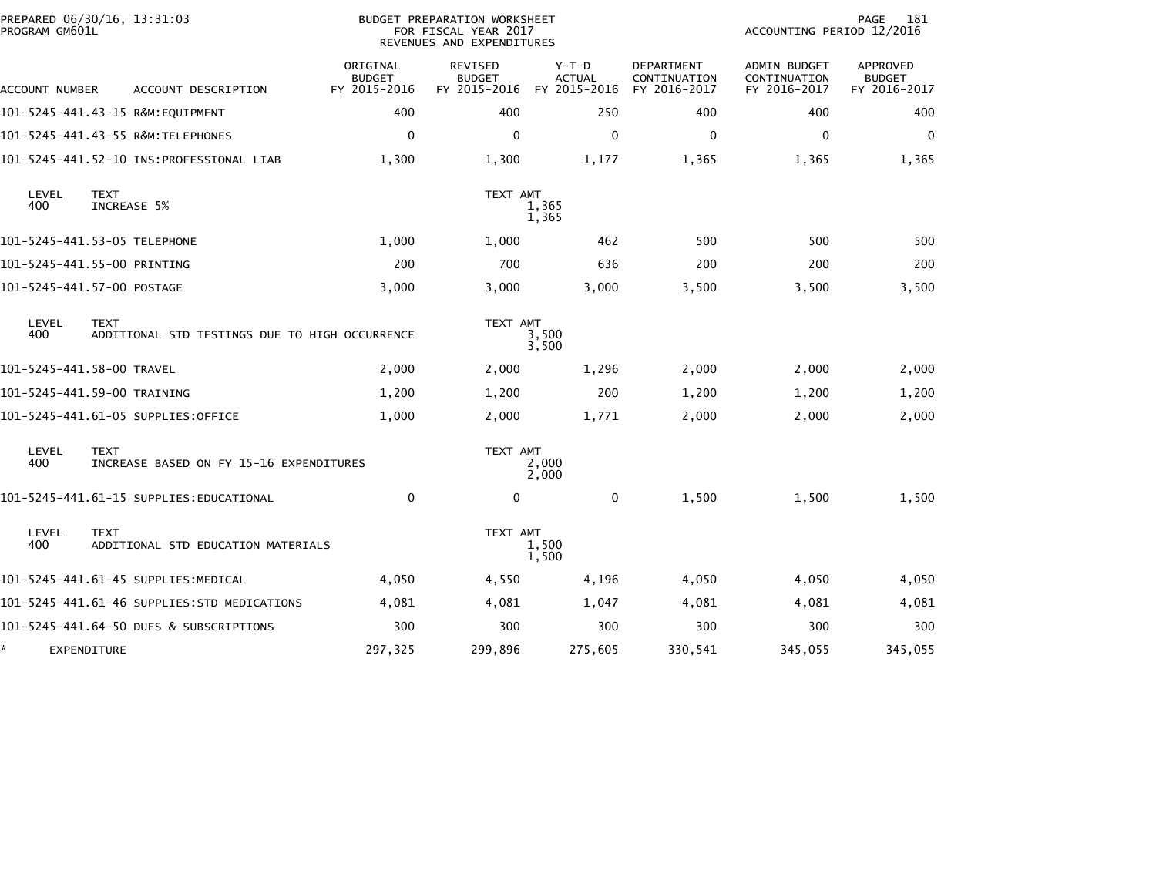| PROGRAM GM601L | PREPARED 06/30/16, 13:31:03                                   |                                           | <b>BUDGET PREPARATION WORKSHEET</b><br>FOR FISCAL YEAR 2017<br>REVENUES AND EXPENDITURES |                                          |                                                   |                                                     | 181<br>PAGE<br>ACCOUNTING PERIOD 12/2016         |  |  |
|----------------|---------------------------------------------------------------|-------------------------------------------|------------------------------------------------------------------------------------------|------------------------------------------|---------------------------------------------------|-----------------------------------------------------|--------------------------------------------------|--|--|
| ACCOUNT NUMBER | ACCOUNT DESCRIPTION                                           | ORIGINAL<br><b>BUDGET</b><br>FY 2015-2016 | <b>REVISED</b><br><b>BUDGET</b><br>FY 2015-2016                                          | $Y-T-D$<br><b>ACTUAL</b><br>FY 2015-2016 | <b>DEPARTMENT</b><br>CONTINUATION<br>FY 2016-2017 | <b>ADMIN BUDGET</b><br>CONTINUATION<br>FY 2016-2017 | <b>APPROVED</b><br><b>BUDGET</b><br>FY 2016-2017 |  |  |
|                | 101-5245-441.43-15 R&M:EQUIPMENT                              | 400                                       | 400                                                                                      | 250                                      | 400                                               | 400                                                 | 400                                              |  |  |
|                | 101-5245-441.43-55 R&M:TELEPHONES                             | $\Omega$                                  | $\Omega$                                                                                 | $\mathbf{0}$                             | $\Omega$                                          | $\mathbf{0}$                                        | $\Omega$                                         |  |  |
|                |                                                               | 1,300                                     | 1,300                                                                                    | 1,177                                    | 1,365                                             | 1,365                                               | 1,365                                            |  |  |
| LEVEL<br>400   | <b>TEXT</b><br>INCREASE 5%                                    |                                           | TEXT AMT                                                                                 | 1,365<br>1,365                           |                                                   |                                                     |                                                  |  |  |
|                | 101-5245-441.53-05 TELEPHONE                                  | 1,000                                     | 1,000                                                                                    | 462                                      | 500                                               | 500                                                 | 500                                              |  |  |
|                | 101-5245-441.55-00 PRINTING                                   | 200                                       | 700                                                                                      | 636                                      | 200                                               | 200                                                 | 200                                              |  |  |
|                | 101-5245-441.57-00 POSTAGE                                    | 3,000                                     | 3,000                                                                                    | 3,000                                    | 3,500                                             | 3,500                                               | 3,500                                            |  |  |
| LEVEL<br>400   | <b>TEXT</b><br>ADDITIONAL STD TESTINGS DUE TO HIGH OCCURRENCE |                                           | TEXT AMT                                                                                 | 3,500<br>3,500                           |                                                   |                                                     |                                                  |  |  |
|                | 101-5245-441.58-00 TRAVEL                                     | 2,000                                     | 2,000                                                                                    | 1,296                                    | 2,000                                             | 2,000                                               | 2,000                                            |  |  |
|                | 101-5245-441.59-00 TRAINING                                   | 1,200                                     | 1,200                                                                                    | 200                                      | 1,200                                             | 1,200                                               | 1,200                                            |  |  |
|                | 101–5245–441.61–05 SUPPLIES:OFFICE                            | 1,000                                     | 2,000                                                                                    | 1,771                                    | 2,000                                             | 2,000                                               | 2,000                                            |  |  |
| LEVEL<br>400   | <b>TEXT</b><br>INCREASE BASED ON FY 15-16 EXPENDITURES        |                                           | TEXT AMT                                                                                 | 2,000<br>2,000                           |                                                   |                                                     |                                                  |  |  |
|                | 101-5245-441.61-15 SUPPLIES:EDUCATIONAL                       | $\mathbf{0}$                              | $\mathbf{0}$                                                                             | $\mathbf 0$                              | 1,500                                             | 1,500                                               | 1,500                                            |  |  |
| LEVEL<br>400   | <b>TEXT</b><br>ADDITIONAL STD EDUCATION MATERIALS             |                                           | TEXT AMT                                                                                 | 1,500<br>1,500                           |                                                   |                                                     |                                                  |  |  |
|                | 101-5245-441.61-45 SUPPLIES:MEDICAL                           | 4,050                                     | 4,550                                                                                    | 4,196                                    | 4,050                                             | 4,050                                               | 4,050                                            |  |  |
|                | 101-5245-441.61-46 SUPPLIES:STD MEDICATIONS                   | 4,081                                     | 4,081                                                                                    | 1,047                                    | 4,081                                             | 4,081                                               | 4,081                                            |  |  |
|                | 101-5245-441.64-50 DUES & SUBSCRIPTIONS                       | 300                                       | 300                                                                                      | 300                                      | 300                                               | 300                                                 | 300                                              |  |  |
| *              | EXPENDITURE                                                   | 297,325                                   | 299,896                                                                                  | 275,605                                  | 330,541                                           | 345,055                                             | 345,055                                          |  |  |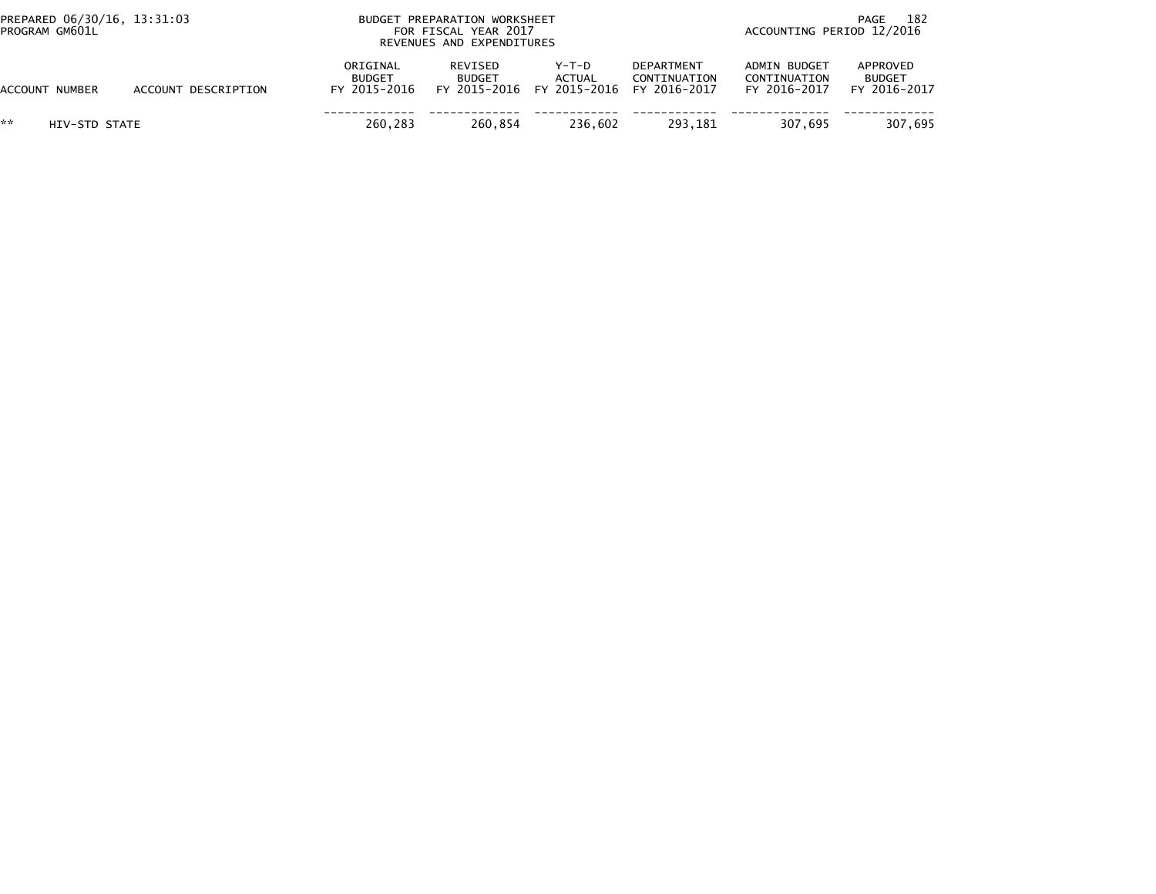| PREPARED 06/30/16, 13:31:03<br>PROGRAM GM601L |                     | BUDGET PREPARATION WORKSHEET<br>FOR FISCAL YEAR 2017<br>REVENUES AND EXPENDITURES |                          |                                                                  |                                   | 182<br>PAGE<br>ACCOUNTING PERIOD 12/2016     |                                           |  |
|-----------------------------------------------|---------------------|-----------------------------------------------------------------------------------|--------------------------|------------------------------------------------------------------|-----------------------------------|----------------------------------------------|-------------------------------------------|--|
| ACCOUNT NUMBER                                | ACCOUNT DESCRIPTION | ORIGINAL<br><b>BUDGET</b><br>FY 2015-2016                                         | REVISED<br><b>BUDGET</b> | Y-T-D<br><b>ACTUAL</b><br>FY 2015-2016 FY 2015-2016 FY 2016-2017 | <b>DEPARTMENT</b><br>CONTINUATION | ADMIN BUDGET<br>CONTINUATION<br>FY 2016-2017 | APPROVED<br><b>BUDGET</b><br>FY 2016-2017 |  |
| **<br>HIV-STD STATE                           |                     | 260.283                                                                           | 260.854                  | 236.602                                                          | 293.181                           | 307.695                                      | 307.695                                   |  |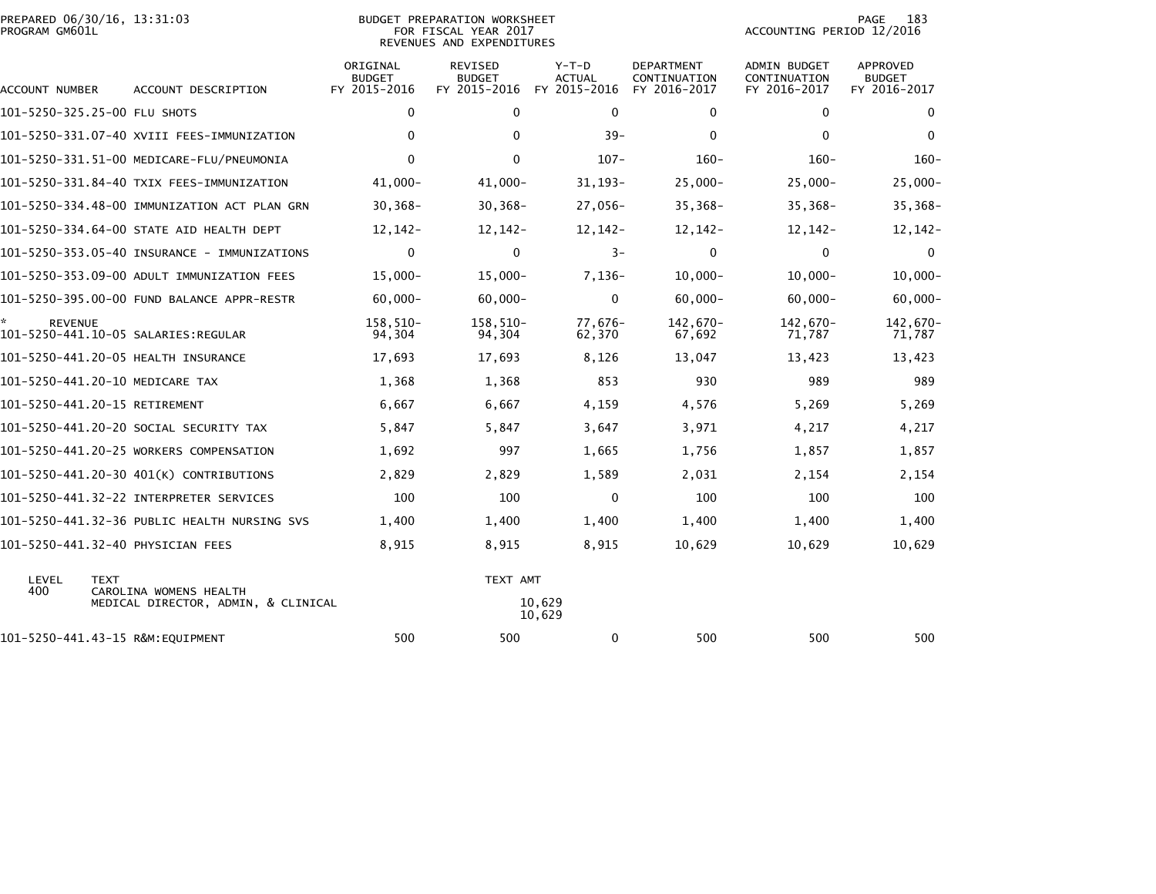| PREPARED 06/30/16, 13:31:03<br>PROGRAM GM601L         |                                              |                                           | BUDGET PREPARATION WORKSHEET<br>FOR FISCAL YEAR 2017<br>REVENUES AND EXPENDITURES | 183<br>PAGE<br>ACCOUNTING PERIOD 12/2016 |                                            |                                              |                                           |
|-------------------------------------------------------|----------------------------------------------|-------------------------------------------|-----------------------------------------------------------------------------------|------------------------------------------|--------------------------------------------|----------------------------------------------|-------------------------------------------|
| ACCOUNT NUMBER                                        | ACCOUNT DESCRIPTION                          | ORIGINAL<br><b>BUDGET</b><br>FY 2015-2016 | <b>REVISED</b><br><b>BUDGET</b><br>FY 2015-2016                                   | Y-T-D<br><b>ACTUAL</b><br>FY 2015-2016   | DEPARTMENT<br>CONTINUATION<br>FY 2016-2017 | ADMIN BUDGET<br>CONTINUATION<br>FY 2016-2017 | APPROVED<br><b>BUDGET</b><br>FY 2016-2017 |
| 101-5250-325.25-00 FLU SHOTS                          |                                              | $\mathbf 0$                               | $\mathbf 0$                                                                       | $\mathbf 0$                              | 0                                          | $\mathbf 0$                                  | $\mathbf 0$                               |
|                                                       | 101-5250-331.07-40 XVIII FEES-IMMUNIZATION   | $\mathbf{0}$                              | $\Omega$                                                                          | $39 -$                                   | $\mathbf{0}$                               | $\Omega$                                     | $\Omega$                                  |
|                                                       |                                              | $\mathbf 0$                               | $\Omega$                                                                          | $107 -$                                  | $160 -$                                    | $160 -$                                      | $160 -$                                   |
|                                                       | 101-5250-331.84-40 TXIX FEES-IMMUNIZATION    | 41,000-                                   | 41,000-                                                                           | $31, 193 -$                              | $25,000 -$                                 | $25,000 -$                                   | $25,000-$                                 |
|                                                       | 101-5250-334.48-00 IMMUNIZATION ACT PLAN GRN | $30,368 -$                                | $30, 368 -$                                                                       | 27,056-                                  | $35,368-$                                  | $35,368-$                                    | $35,368-$                                 |
|                                                       | 101-5250-334.64-00 STATE AID HEALTH DEPT     | 12,142-                                   | $12,142-$                                                                         | 12,142-                                  | 12, 142-                                   | 12,142-                                      | $12, 142 -$                               |
|                                                       | 101-5250-353.05-40 INSURANCE - IMMUNIZATIONS | 0                                         | $\mathbf 0$                                                                       | $3-$                                     | 0                                          | $\mathbf 0$                                  | $\mathbf 0$                               |
|                                                       | 101-5250-353.09-00 ADULT IMMUNIZATION FEES   | $15,000 -$                                | $15,000 -$                                                                        | $7,136-$                                 | $10,000 -$                                 | $10,000 -$                                   | $10,000 -$                                |
|                                                       | 101-5250-395.00-00 FUND BALANCE APPR-RESTR   | $60,000 -$                                | $60,000 -$                                                                        | $\mathbf 0$                              | $60,000 -$                                 | $60.000 -$                                   | $60,000 -$                                |
| <b>REVENUE</b><br>101-5250-441.10-05 SALARIES:REGULAR |                                              | 158,510-<br>94,304                        | 158,510-<br>94,304                                                                | 77,676-<br>62,370                        | 142,670-<br>67,692                         | 142,670-<br>71,787                           | 142,670-<br>71,787                        |
| 101-5250-441.20-05 HEALTH INSURANCE                   |                                              | 17,693                                    | 17,693                                                                            | 8,126                                    | 13,047                                     | 13,423                                       | 13,423                                    |
| 101-5250-441.20-10 MEDICARE TAX                       |                                              | 1,368                                     | 1,368                                                                             | 853                                      | 930                                        | 989                                          | 989                                       |
| 101-5250-441.20-15 RETIREMENT                         |                                              | 6,667                                     | 6,667                                                                             | 4,159                                    | 4,576                                      | 5,269                                        | 5,269                                     |
|                                                       | 101-5250-441.20-20 SOCIAL SECURITY TAX       | 5,847                                     | 5,847                                                                             | 3,647                                    | 3,971                                      | 4,217                                        | 4,217                                     |
|                                                       | 101-5250-441.20-25 WORKERS COMPENSATION      | 1,692                                     | 997                                                                               | 1,665                                    | 1,756                                      | 1,857                                        | 1,857                                     |
|                                                       | 101-5250-441.20-30 401(K) CONTRIBUTIONS      | 2,829                                     | 2,829                                                                             | 1,589                                    | 2,031                                      | 2,154                                        | 2,154                                     |
|                                                       | 101-5250-441.32-22 INTERPRETER SERVICES      | 100                                       | 100                                                                               | $\mathbf 0$                              | 100                                        | 100                                          | 100                                       |
|                                                       | 101-5250-441.32-36 PUBLIC HEALTH NURSING SVS | 1,400                                     | 1,400                                                                             | 1,400                                    | 1,400                                      | 1,400                                        | 1,400                                     |
| 101-5250-441.32-40 PHYSICIAN FEES                     |                                              | 8,915                                     | 8,915                                                                             | 8,915                                    | 10,629                                     | 10,629                                       | 10,629                                    |
| LEVEL<br><b>TEXT</b><br>400                           | CAROLINA WOMENS HEALTH                       |                                           | TEXT AMT                                                                          |                                          |                                            |                                              |                                           |
|                                                       | MEDICAL DIRECTOR, ADMIN, & CLINICAL          |                                           |                                                                                   | 10,629<br>10,629                         |                                            |                                              |                                           |
| 101-5250-441.43-15 R&M:EQUIPMENT                      |                                              | 500                                       | 500                                                                               | 0                                        | 500                                        | 500                                          | 500                                       |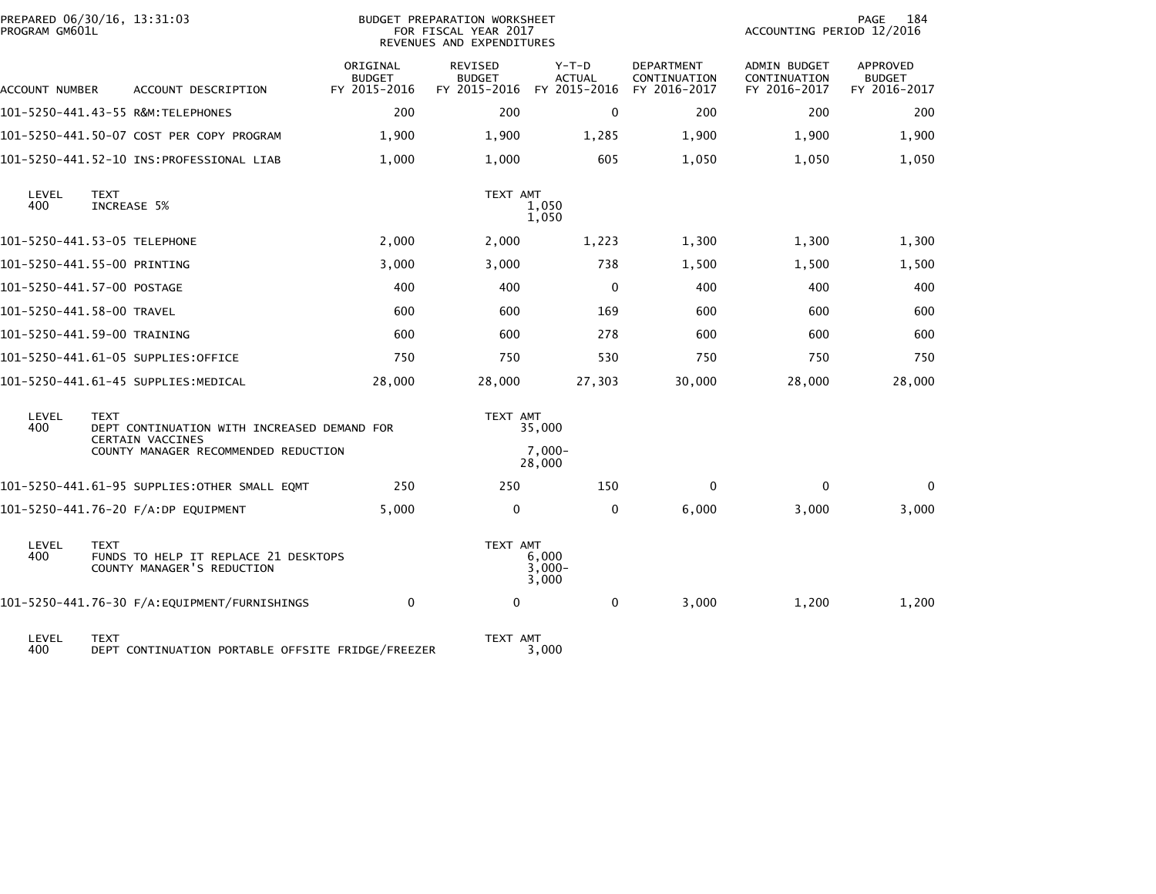| PROGRAM GM601L | PREPARED 06/30/16, 13:31:03                                                           |                                           | <b>BUDGET PREPARATION WORKSHEET</b><br>FOR FISCAL YEAR 2017<br>REVENUES AND EXPENDITURES | 184<br>PAGE<br>ACCOUNTING PERIOD 12/2016 |                                            |                                                     |                                           |
|----------------|---------------------------------------------------------------------------------------|-------------------------------------------|------------------------------------------------------------------------------------------|------------------------------------------|--------------------------------------------|-----------------------------------------------------|-------------------------------------------|
| ACCOUNT NUMBER | ACCOUNT DESCRIPTION                                                                   | ORIGINAL<br><b>BUDGET</b><br>FY 2015-2016 | <b>REVISED</b><br><b>BUDGET</b><br>FY 2015-2016                                          | $Y-T-D$<br><b>ACTUAL</b><br>FY 2015-2016 | DEPARTMENT<br>CONTINUATION<br>FY 2016-2017 | <b>ADMIN BUDGET</b><br>CONTINUATION<br>FY 2016-2017 | APPROVED<br><b>BUDGET</b><br>FY 2016-2017 |
|                | 101-5250-441.43-55 R&M:TELEPHONES                                                     | 200                                       | 200                                                                                      | $\mathbf 0$                              | 200                                        | 200                                                 | 200                                       |
|                | 101-5250-441.50-07 COST PER COPY PROGRAM                                              | 1,900                                     | 1,900                                                                                    | 1,285                                    | 1,900                                      | 1,900                                               | 1,900                                     |
|                |                                                                                       | 1,000                                     | 1,000                                                                                    | 605                                      | 1,050                                      | 1,050                                               | 1,050                                     |
| LEVEL<br>400   | <b>TEXT</b><br>INCREASE 5%                                                            |                                           | TEXT AMT                                                                                 | 1,050<br>1,050                           |                                            |                                                     |                                           |
|                | 101-5250-441.53-05 TELEPHONE                                                          | 2,000                                     | 2,000                                                                                    | 1,223                                    | 1,300                                      | 1,300                                               | 1,300                                     |
|                | 101-5250-441.55-00 PRINTING                                                           | 3,000                                     | 3,000                                                                                    | 738                                      | 1,500                                      | 1,500                                               | 1,500                                     |
|                | 101-5250-441.57-00 POSTAGE                                                            | 400                                       | 400                                                                                      | $\mathbf 0$                              | 400                                        | 400                                                 | 400                                       |
|                | 101-5250-441.58-00 TRAVEL                                                             | 600                                       | 600                                                                                      | 169                                      | 600                                        | 600                                                 | 600                                       |
|                | 101-5250-441.59-00 TRAINING                                                           | 600                                       | 600                                                                                      | 278                                      | 600                                        | 600                                                 | 600                                       |
|                | 101-5250-441.61-05 SUPPLIES:OFFICE                                                    | 750                                       | 750                                                                                      | 530                                      | 750                                        | 750                                                 | 750                                       |
|                | 101–5250–441.61–45 SUPPLIES:MEDICAL                                                   | 28,000                                    | 28,000                                                                                   | 27,303                                   | 30,000                                     | 28,000                                              | 28,000                                    |
| LEVEL<br>400   | <b>TEXT</b><br>DEPT CONTINUATION WITH INCREASED DEMAND FOR<br><b>CERTAIN VACCINES</b> |                                           | TEXT AMT                                                                                 | 35,000                                   |                                            |                                                     |                                           |
|                | COUNTY MANAGER RECOMMENDED REDUCTION                                                  |                                           |                                                                                          | $7.000 -$<br>28,000                      |                                            |                                                     |                                           |
|                | 101-5250-441.61-95 SUPPLIES:OTHER SMALL EQMT                                          | 250                                       | 250                                                                                      | 150                                      | $\mathbf{0}$                               | $\mathbf{0}$                                        | $\Omega$                                  |
|                | 101-5250-441.76-20 F/A:DP EQUIPMENT                                                   | 5,000                                     | 0                                                                                        | 0                                        | 6,000                                      | 3,000                                               | 3,000                                     |
| LEVEL<br>400   | <b>TEXT</b><br>FUNDS TO HELP IT REPLACE 21 DESKTOPS<br>COUNTY MANAGER'S REDUCTION     |                                           | TEXT AMT                                                                                 | 6.000<br>$3,000 -$<br>3,000              |                                            |                                                     |                                           |
|                | 101-5250-441.76-30 F/A:EQUIPMENT/FURNISHINGS                                          | $\mathbf 0$                               | $\mathbf 0$                                                                              | 0                                        | 3,000                                      | 1,200                                               | 1,200                                     |
| LEVEL<br>400   | <b>TEXT</b><br>DEPT CONTINUATION PORTABLE OFFSITE FRIDGE/FREEZER                      |                                           | TEXT AMT                                                                                 | 3,000                                    |                                            |                                                     |                                           |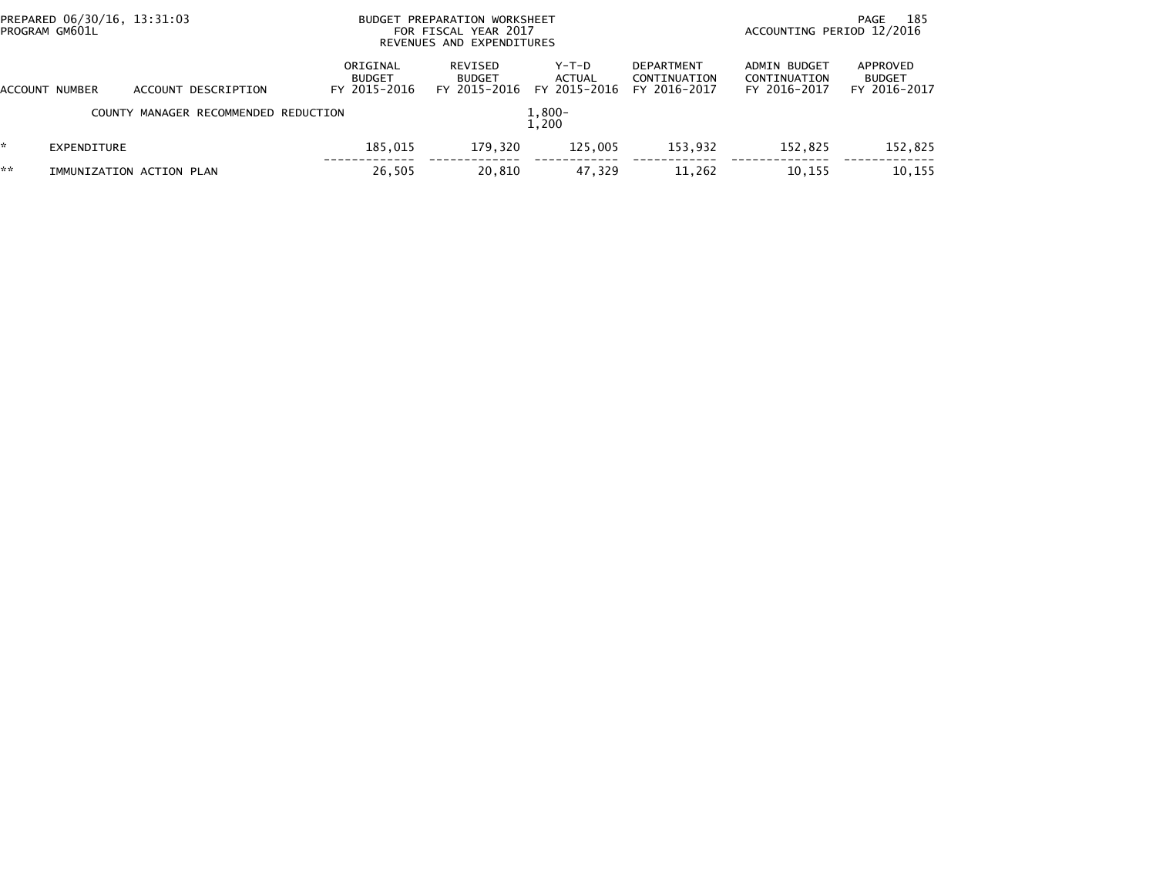| PREPARED 06/30/16, 13:31:03<br>PROGRAM GM601L |                          |  |                                      | BUDGET PREPARATION WORKSHEET<br>FOR FISCAL YEAR 2017<br>REVENUES AND EXPENDITURES |                                          |                                   | ACCOUNTING PERIOD 12/2016                         | 185<br>PAGE                                  |                                           |
|-----------------------------------------------|--------------------------|--|--------------------------------------|-----------------------------------------------------------------------------------|------------------------------------------|-----------------------------------|---------------------------------------------------|----------------------------------------------|-------------------------------------------|
| ACCOUNT                                       | NUMBER                   |  | ACCOUNT DESCRIPTION                  | ORIGINAL<br><b>BUDGET</b><br>FY 2015-2016                                         | REVISED<br><b>BUDGET</b><br>FY 2015-2016 | $Y-T-D$<br>ACTUAL<br>FY 2015-2016 | <b>DEPARTMENT</b><br>CONTINUATION<br>FY 2016-2017 | ADMIN BUDGET<br>CONTINUATION<br>FY 2016-2017 | APPROVED<br><b>BUDGET</b><br>FY 2016-2017 |
|                                               |                          |  | COUNTY MANAGER RECOMMENDED REDUCTION |                                                                                   |                                          | $1,800-$<br>1.200                 |                                                   |                                              |                                           |
|                                               | EXPENDITURE              |  |                                      | 185.015                                                                           | 179,320                                  | 125.005                           | 153,932                                           | 152.825                                      | 152,825                                   |
| **                                            | IMMUNIZATION ACTION PLAN |  |                                      | 26,505                                                                            | 20,810                                   | 47,329                            | 11,262                                            | 10,155                                       | 10,155                                    |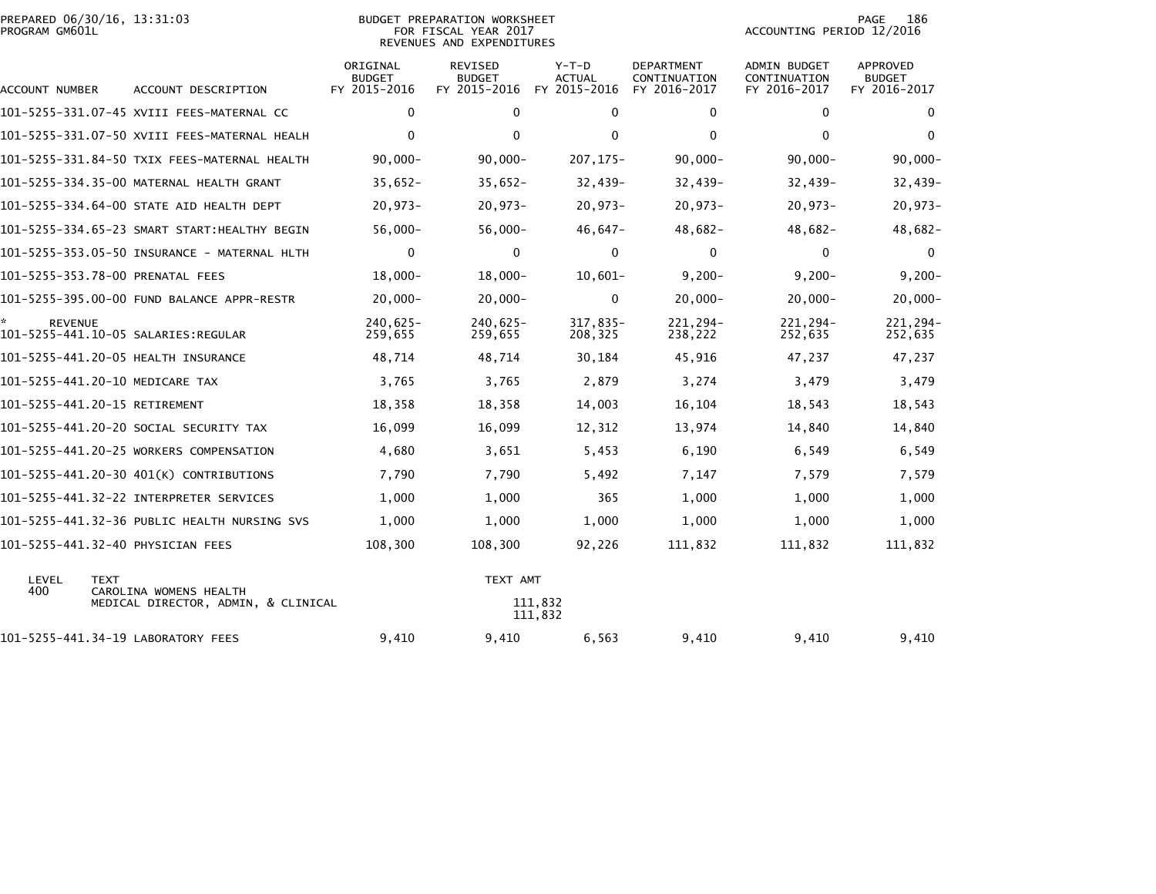| PREPARED 06/30/16, 13:31:03 | BUDGET PREPARATION WORKSHEET | 186<br>PAGE               |
|-----------------------------|------------------------------|---------------------------|
| PROGRAM GM601L              | FOR FISCAL YEAR 2017         | ACCOUNTING PERIOD 12/2016 |

| PREPARED 06/30/16, 13:31:03<br>PROGRAM GM601L |                                              |                                           | BUDGET PREPARATION WORKSHEET<br>FOR FISCAL YEAR 2017<br>REVENUES AND EXPENDITURES | 186<br>PAGE<br>ACCOUNTING PERIOD 12/2016 |                                            |                                              |                                           |
|-----------------------------------------------|----------------------------------------------|-------------------------------------------|-----------------------------------------------------------------------------------|------------------------------------------|--------------------------------------------|----------------------------------------------|-------------------------------------------|
| ACCOUNT NUMBER                                | ACCOUNT DESCRIPTION                          | ORIGINAL<br><b>BUDGET</b><br>FY 2015-2016 | REVISED<br><b>BUDGET</b><br>FY 2015-2016                                          | $Y-T-D$<br><b>ACTUAL</b><br>FY 2015-2016 | DEPARTMENT<br>CONTINUATION<br>FY 2016-2017 | ADMIN BUDGET<br>CONTINUATION<br>FY 2016-2017 | APPROVED<br><b>BUDGET</b><br>FY 2016-2017 |
|                                               | 101-5255-331.07-45 XVIII FEES-MATERNAL CC    | 0                                         | 0                                                                                 | 0                                        | 0                                          | 0                                            | 0                                         |
|                                               | 101-5255-331.07-50 XVIII FEES-MATERNAL HEALH | $\mathbf 0$                               | $\mathbf{0}$                                                                      | $\mathbf{0}$                             | $\mathbf{0}$                               | $\mathbf{0}$                                 | $\Omega$                                  |
|                                               | 101-5255-331.84-50 TXIX FEES-MATERNAL HEALTH | $90,000 -$                                | $90,000 -$                                                                        | $207, 175 -$                             | $90,000 -$                                 | $90,000 -$                                   | $90,000 -$                                |
|                                               | 101-5255-334.35-00 MATERNAL HEALTH GRANT     | $35,652-$                                 | $35,652-$                                                                         | $32,439-$                                | $32,439-$                                  | $32,439-$                                    | $32,439-$                                 |
|                                               | 101-5255-334.64-00 STATE AID HEALTH DEPT     | $20,973-$                                 | $20,973-$                                                                         | $20,973-$                                | $20,973-$                                  | $20,973-$                                    | $20,973-$                                 |
|                                               | 101-5255-334.65-23 SMART START:HEALTHY BEGIN | $56,000 -$                                | $56,000 -$                                                                        | 46,647-                                  | 48,682-                                    | $48,682-$                                    | $48,682-$                                 |
|                                               |                                              | $\mathbf 0$                               | 0                                                                                 | $\mathbf 0$                              | $\mathbf 0$                                | $\mathbf 0$                                  | $\mathbf{0}$                              |
| 101-5255-353.78-00 PRENATAL FEES              |                                              | $18,000 -$                                | $18,000 -$                                                                        | $10,601-$                                | $9,200 -$                                  | $9,200 -$                                    | $9,200 -$                                 |
|                                               | 101-5255-395.00-00 FUND BALANCE APPR-RESTR   | $20,000 -$                                | $20,000 -$                                                                        | 0                                        | $20,000 -$                                 | $20,000 -$                                   | $20,000 -$                                |
| <b>REVENUE</b>                                |                                              | $240.625 -$<br>259,655                    | $240.625 -$<br>259,655                                                            | 317,835-<br>208,325                      | 221,294-<br>238,222                        | $221.294 -$<br>252,635                       | 221,294-<br>252,635                       |
| 101-5255-441.20-05 HEALTH INSURANCE           |                                              | 48.714                                    | 48,714                                                                            | 30,184                                   | 45,916                                     | 47,237                                       | 47,237                                    |
| 101-5255-441.20-10 MEDICARE TAX               |                                              | 3,765                                     | 3,765                                                                             | 2,879                                    | 3,274                                      | 3,479                                        | 3,479                                     |
| 101-5255-441.20-15 RETIREMENT                 |                                              | 18,358                                    | 18,358                                                                            | 14,003                                   | 16,104                                     | 18,543                                       | 18,543                                    |
|                                               | 101-5255-441.20-20 SOCIAL SECURITY TAX       | 16,099                                    | 16,099                                                                            | 12,312                                   | 13,974                                     | 14,840                                       | 14,840                                    |
|                                               | 101-5255-441.20-25 WORKERS COMPENSATION      | 4,680                                     | 3,651                                                                             | 5,453                                    | 6,190                                      | 6,549                                        | 6,549                                     |
|                                               | 101-5255-441.20-30 401(K) CONTRIBUTIONS      | 7,790                                     | 7,790                                                                             | 5,492                                    | 7,147                                      | 7,579                                        | 7,579                                     |
|                                               |                                              | 1,000                                     | 1,000                                                                             | 365                                      | 1,000                                      | 1,000                                        | 1,000                                     |
|                                               | 101-5255-441.32-36 PUBLIC HEALTH NURSING SVS | 1,000                                     | 1,000                                                                             | 1,000                                    | 1,000                                      | 1,000                                        | 1,000                                     |
| 101-5255-441.32-40 PHYSICIAN FEES             |                                              | 108,300                                   | 108,300                                                                           | 92,226                                   | 111,832                                    | 111,832                                      | 111,832                                   |
| LEVEL<br><b>TEXT</b><br>400                   | CAROLINA WOMENS HEALTH                       |                                           | TEXT AMT                                                                          |                                          |                                            |                                              |                                           |
|                                               | MEDICAL DIRECTOR, ADMIN, & CLINICAL          |                                           |                                                                                   | 111,832<br>111,832                       |                                            |                                              |                                           |
| 101-5255-441.34-19 LABORATORY FEES            |                                              | 9,410                                     | 9,410                                                                             | 6,563                                    | 9,410                                      | 9,410                                        | 9,410                                     |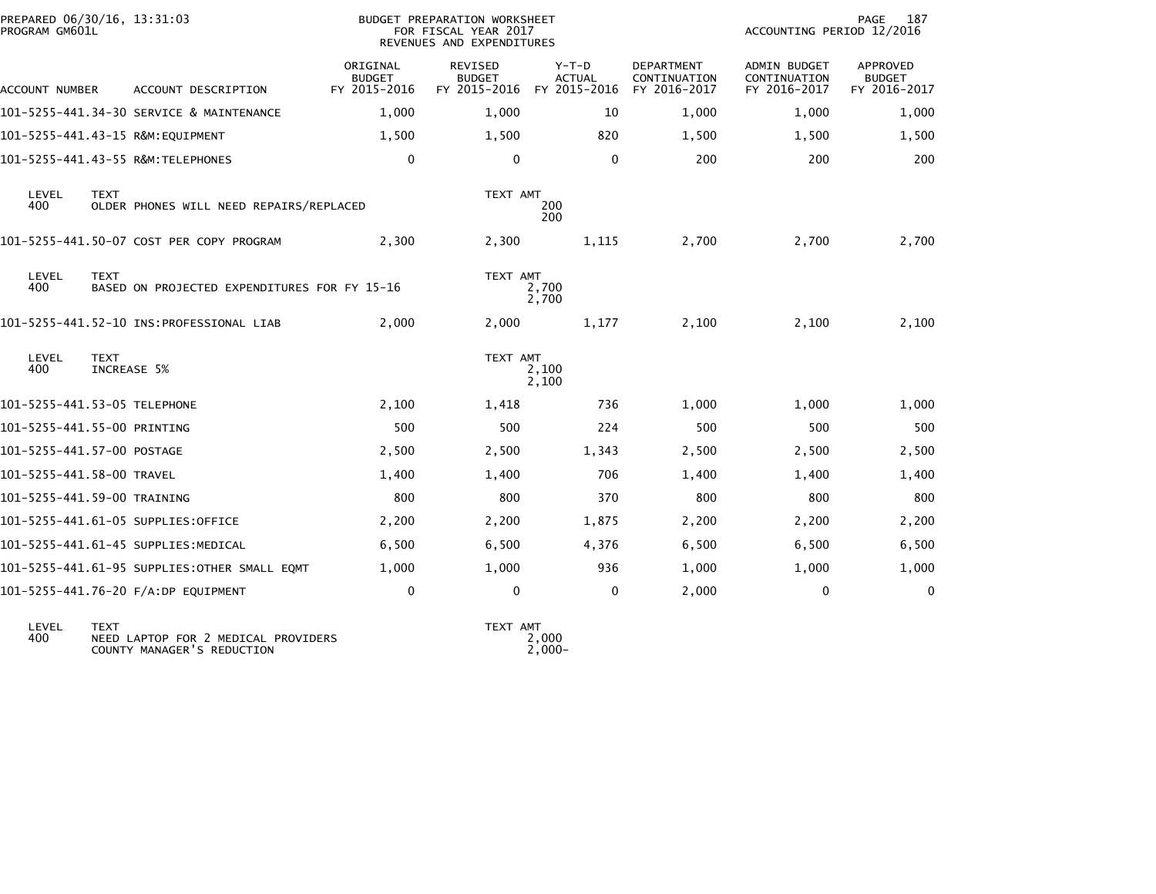| PREPARED 06/30/16, 13:31:03<br>PROGRAM GM601L |                            |                            |                                              | BUDGET PREPARATION WORKSHEET<br>FOR FISCAL YEAR 2017<br>REVENUES AND EXPENDITURES |                                 |                          |                                   | PAGE<br>187<br>ACCOUNTING PERIOD 12/2016 |                                  |  |
|-----------------------------------------------|----------------------------|----------------------------|----------------------------------------------|-----------------------------------------------------------------------------------|---------------------------------|--------------------------|-----------------------------------|------------------------------------------|----------------------------------|--|
|                                               |                            |                            |                                              | ORIGINAL<br><b>BUDGET</b>                                                         | <b>REVISED</b><br><b>BUDGET</b> | $Y-T-D$<br><b>ACTUAL</b> | <b>DEPARTMENT</b><br>CONTINUATION | <b>ADMIN BUDGET</b><br>CONTINUATION      | <b>APPROVED</b><br><b>BUDGET</b> |  |
|                                               | ACCOUNT NUMBER             |                            | ACCOUNT DESCRIPTION                          | FY 2015-2016                                                                      | FY 2015-2016                    | FY 2015-2016             | FY 2016-2017                      | FY 2016-2017                             | FY 2016-2017                     |  |
|                                               |                            |                            | 101-5255-441.34-30 SERVICE & MAINTENANCE     | 1,000                                                                             | 1,000                           | 10                       | 1,000                             | 1,000                                    | 1,000                            |  |
|                                               |                            |                            | 101-5255-441.43-15 R&M:EQUIPMENT             | 1,500                                                                             | 1,500                           | 820                      | 1,500                             | 1,500                                    | 1,500                            |  |
|                                               |                            |                            |                                              | $\mathbf 0$                                                                       | $\mathbf{0}$                    | $\Omega$                 | 200                               | 200                                      | 200                              |  |
|                                               | LEVEL<br>400               | <b>TEXT</b>                | OLDER PHONES WILL NEED REPAIRS/REPLACED      |                                                                                   | TEXT AMT                        | 200<br>200               |                                   |                                          |                                  |  |
|                                               |                            |                            | 101-5255-441.50-07 COST PER COPY PROGRAM     | 2,300                                                                             | 2,300                           | 1,115                    | 2,700                             | 2,700                                    | 2,700                            |  |
|                                               | LEVEL<br>400               | <b>TEXT</b>                | BASED ON PROJECTED EXPENDITURES FOR FY 15-16 |                                                                                   | TEXT AMT                        | 2,700<br>2,700           |                                   |                                          |                                  |  |
|                                               |                            |                            |                                              | 2,000                                                                             | 2,000                           | 1,177                    | 2,100                             | 2,100                                    | 2,100                            |  |
|                                               | LEVEL<br>400               | <b>TEXT</b><br>INCREASE 5% |                                              |                                                                                   | TEXT AMT                        | 2,100<br>2,100           |                                   |                                          |                                  |  |
|                                               |                            |                            | 101-5255-441.53-05 TELEPHONE                 | 2,100                                                                             | 1,418                           | 736                      | 1,000                             | 1,000                                    | 1,000                            |  |
|                                               |                            |                            | 101-5255-441.55-00 PRINTING                  | 500                                                                               | 500                             | 224                      | 500                               | 500                                      | 500                              |  |
|                                               | 101-5255-441.57-00 POSTAGE |                            |                                              | 2,500                                                                             | 2,500                           | 1,343                    | 2,500                             | 2,500                                    | 2,500                            |  |
|                                               | 101-5255-441.58-00 TRAVEL  |                            |                                              | 1,400                                                                             | 1.400                           | 706                      | 1,400                             | 1,400                                    | 1,400                            |  |
|                                               |                            |                            | 101-5255-441.59-00 TRAINING                  | 800                                                                               | 800                             | 370                      | 800                               | 800                                      | 800                              |  |
|                                               |                            |                            | 101-5255-441.61-05 SUPPLIES:OFFICE           | 2,200                                                                             | 2,200                           | 1,875                    | 2,200                             | 2,200                                    | 2,200                            |  |
|                                               |                            |                            | 101-5255-441.61-45 SUPPLIES:MEDICAL          | 6,500                                                                             | 6,500                           | 4,376                    | 6,500                             | 6,500                                    | 6,500                            |  |
|                                               |                            |                            | 101-5255-441.61-95 SUPPLIES:OTHER SMALL EQMT | 1,000                                                                             | 1,000                           | 936                      | 1,000                             | 1,000                                    | 1,000                            |  |
|                                               |                            |                            | 101-5255-441.76-20 F/A:DP EQUIPMENT          | 0                                                                                 | $\mathbf 0$                     | 0                        | 2,000                             | 0                                        | 0                                |  |
|                                               |                            |                            |                                              |                                                                                   |                                 |                          |                                   |                                          |                                  |  |

LEVEL TEXT TEXT AMT 400 NEED LAPTOP FOR 2 MEDICAL PROVIDERS 2,000 COUNTY MANAGER'S REDUCTION 2,000-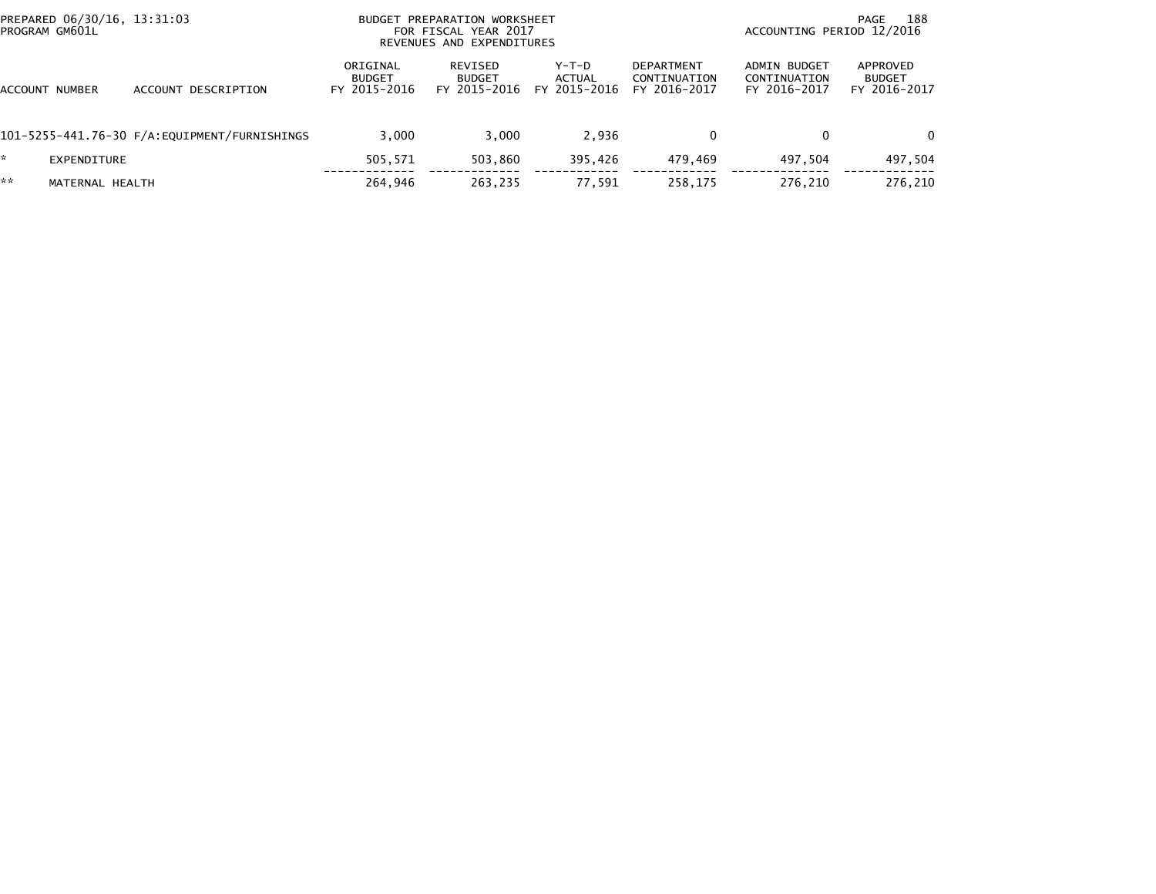|         | PREPARED 06/30/16, 13:31:03<br>PROGRAM GM601L |                     |                                           | BUDGET PREPARATION WORKSHEET<br>FOR FISCAL YEAR 2017<br>REVENUES AND EXPENDITURES | 188<br>PAGE<br>ACCOUNTING PERIOD 12/2016 |                                                   |                                              |                                           |
|---------|-----------------------------------------------|---------------------|-------------------------------------------|-----------------------------------------------------------------------------------|------------------------------------------|---------------------------------------------------|----------------------------------------------|-------------------------------------------|
| ACCOUNT | NUMBER                                        | ACCOUNT DESCRIPTION | ORIGINAL<br><b>BUDGET</b><br>FY 2015-2016 | REVISED<br><b>BUDGET</b><br>FY 2015-2016                                          | Y-T-D<br>ACTUAL<br>FY 2015-2016          | <b>DEPARTMENT</b><br>CONTINUATION<br>FY 2016-2017 | ADMIN BUDGET<br>CONTINUATION<br>FY 2016-2017 | APPROVED<br><b>BUDGET</b><br>FY 2016-2017 |
|         |                                               |                     | 3.000                                     | 3.000                                                                             | 2.936                                    | 0                                                 | $\Omega$                                     | $\Omega$                                  |
|         | EXPENDITURE                                   |                     | 505,571                                   | 503.860                                                                           | 395.426                                  | 479.469                                           | 497.504                                      | 497,504                                   |
| **      | MATERNAL HEALTH                               |                     | 264,946                                   | 263,235                                                                           | 77,591                                   | 258,175                                           | 276.210                                      | 276,210                                   |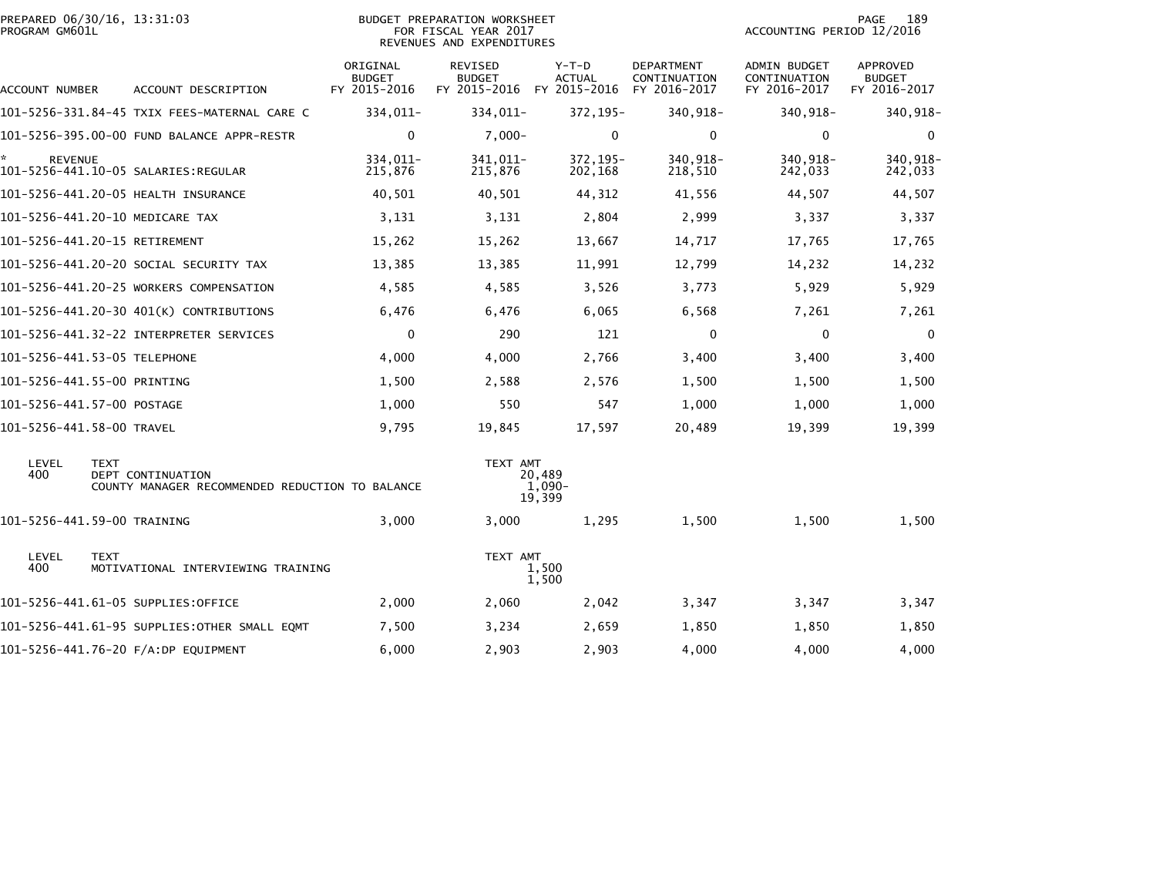| PROGRAM GM601L            | PREPARED 06/30/16, 13:31:03                                                         |                                           | BUDGET PREPARATION WORKSHEET<br>FOR FISCAL YEAR 2017<br>REVENUES AND EXPENDITURES |                                          |                                            | ACCOUNTING PERIOD 12/2016                    | 189<br>PAGE                                      |
|---------------------------|-------------------------------------------------------------------------------------|-------------------------------------------|-----------------------------------------------------------------------------------|------------------------------------------|--------------------------------------------|----------------------------------------------|--------------------------------------------------|
| ACCOUNT NUMBER            | ACCOUNT DESCRIPTION                                                                 | ORIGINAL<br><b>BUDGET</b><br>FY 2015-2016 | REVISED<br><b>BUDGET</b><br>FY 2015-2016                                          | $Y-T-D$<br><b>ACTUAL</b><br>FY 2015-2016 | DEPARTMENT<br>CONTINUATION<br>FY 2016-2017 | ADMIN BUDGET<br>CONTINUATION<br>FY 2016-2017 | <b>APPROVED</b><br><b>BUDGET</b><br>FY 2016-2017 |
|                           | 101-5256-331.84-45 TXIX FEES-MATERNAL CARE C                                        | 334,011-                                  | 334,011-                                                                          | 372, 195-                                | 340,918-                                   | 340,918-                                     | 340,918-                                         |
|                           |                                                                                     | $\mathbf 0$                               | $7,000-$                                                                          | $\mathbf{0}$                             | $\mathbf 0$                                | $\mathbf{0}$                                 | $\mathbf{0}$                                     |
| <b>REVENUE</b>            |                                                                                     | 334.011-<br>215,876                       | 341,011-<br>215,876                                                               | 372,195-<br>202,168                      | 340,918-<br>218,510                        | 340,918-<br>242,033                          | 340,918-<br>242,033                              |
|                           | 101-5256-441.20-05 HEALTH INSURANCE                                                 | 40,501                                    | 40,501                                                                            | 44,312                                   | 41,556                                     | 44,507                                       | 44,507                                           |
|                           | 101-5256-441.20-10 MEDICARE TAX                                                     | 3,131                                     | 3,131                                                                             | 2,804                                    | 2,999                                      | 3,337                                        | 3,337                                            |
|                           | 101-5256-441.20-15 RETIREMENT                                                       | 15,262                                    | 15,262                                                                            | 13,667                                   | 14,717                                     | 17,765                                       | 17,765                                           |
|                           | 101–5256–441.20–20 SOCIAL SECURITY TAX                                              | 13,385                                    | 13,385                                                                            | 11,991                                   | 12,799                                     | 14,232                                       | 14,232                                           |
|                           | 101-5256-441.20-25 WORKERS COMPENSATION                                             | 4,585                                     | 4,585                                                                             | 3,526                                    | 3,773                                      | 5,929                                        | 5,929                                            |
|                           | 101-5256-441.20-30 401(K) CONTRIBUTIONS                                             | 6,476                                     | 6,476                                                                             | 6,065                                    | 6,568                                      | 7,261                                        | 7,261                                            |
|                           | 101-5256-441.32-22 INTERPRETER SERVICES                                             | $\mathbf{0}$                              | 290                                                                               | 121                                      | $\mathbf{0}$                               | $\mathbf{0}$                                 | $\Omega$                                         |
|                           | 101-5256-441.53-05 TELEPHONE                                                        | 4,000                                     | 4,000                                                                             | 2,766                                    | 3,400                                      | 3,400                                        | 3,400                                            |
|                           | 101-5256-441.55-00 PRINTING                                                         | 1,500                                     | 2,588                                                                             | 2,576                                    | 1,500                                      | 1,500                                        | 1,500                                            |
|                           | 101-5256-441.57-00 POSTAGE                                                          | 1,000                                     | 550                                                                               | 547                                      | 1,000                                      | 1,000                                        | 1,000                                            |
| 101-5256-441.58-00 TRAVEL |                                                                                     | 9,795                                     | 19,845                                                                            | 17,597                                   | 20,489                                     | 19,399                                       | 19,399                                           |
| LEVEL<br>400              | <b>TEXT</b><br>DEPT CONTINUATION<br>COUNTY MANAGER RECOMMENDED REDUCTION TO BALANCE |                                           | TEXT AMT                                                                          | 20,489<br>1,090-<br>19,399               |                                            |                                              |                                                  |
|                           | 101-5256-441.59-00 TRAINING                                                         | 3,000                                     | 3,000                                                                             | 1,295                                    | 1,500                                      | 1,500                                        | 1,500                                            |
| LEVEL<br>400              | <b>TEXT</b><br>MOTIVATIONAL INTERVIEWING TRAINING                                   |                                           | TEXT AMT                                                                          | 1,500<br>1,500                           |                                            |                                              |                                                  |
|                           | 101-5256-441.61-05 SUPPLIES:OFFICE                                                  | 2,000                                     | 2,060                                                                             | 2,042                                    | 3,347                                      | 3,347                                        | 3,347                                            |
|                           |                                                                                     | 7,500                                     | 3,234                                                                             | 2,659                                    | 1,850                                      | 1,850                                        | 1,850                                            |
|                           | 101-5256-441.76-20 F/A:DP EQUIPMENT                                                 | 6,000                                     | 2,903                                                                             | 2,903                                    | 4,000                                      | 4,000                                        | 4,000                                            |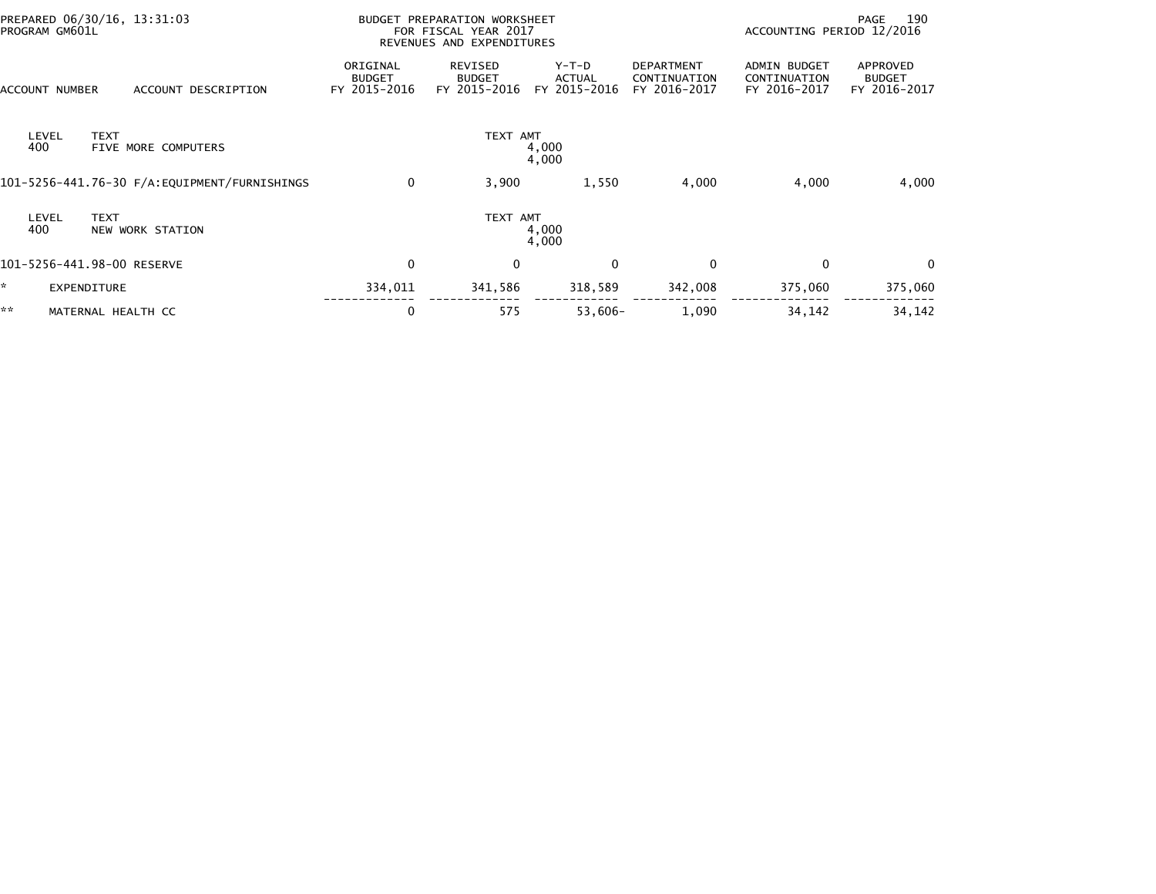| PREPARED 06/30/16, 13:31:03<br>PROGRAM GM601L             |                                           | <b>BUDGET PREPARATION WORKSHEET</b><br>FOR FISCAL YEAR 2017<br>REVENUES AND EXPENDITURES |                                   |                                                   | ACCOUNTING PERIOD 12/2016                           | 190<br>PAGE                               |
|-----------------------------------------------------------|-------------------------------------------|------------------------------------------------------------------------------------------|-----------------------------------|---------------------------------------------------|-----------------------------------------------------|-------------------------------------------|
| <b>ACCOUNT NUMBER</b><br>ACCOUNT DESCRIPTION              | ORIGINAL<br><b>BUDGET</b><br>FY 2015-2016 | REVISED<br><b>BUDGET</b><br>FY 2015-2016                                                 | $Y-T-D$<br>ACTUAL<br>FY 2015-2016 | <b>DEPARTMENT</b><br>CONTINUATION<br>FY 2016-2017 | <b>ADMIN BUDGET</b><br>CONTINUATION<br>FY 2016-2017 | APPROVED<br><b>BUDGET</b><br>FY 2016-2017 |
| <b>TEXT</b><br>LEVEL<br>400<br><b>FIVE MORE COMPUTERS</b> |                                           | TEXT AMT                                                                                 | 4,000<br>4,000                    |                                                   |                                                     |                                           |
|                                                           | 0                                         | 3,900                                                                                    | 1,550                             | 4,000                                             | 4,000                                               | 4,000                                     |
| <b>TEXT</b><br>LEVEL<br>400<br>NEW WORK STATION           |                                           | TEXT AMT                                                                                 | 4,000<br>4,000                    |                                                   |                                                     |                                           |
| 101-5256-441.98-00 RESERVE                                | 0                                         | $\mathbf{0}$                                                                             | $\Omega$                          | $\Omega$                                          | $\Omega$                                            | $\Omega$                                  |
| k.<br><b>EXPENDITURE</b>                                  | 334,011                                   | 341,586                                                                                  | 318,589                           | 342,008                                           | 375,060                                             | 375,060                                   |
| **<br>MATERNAL HEALTH CC                                  | 0                                         | 575                                                                                      | $53,606-$                         | 1,090                                             | 34,142                                              | 34,142                                    |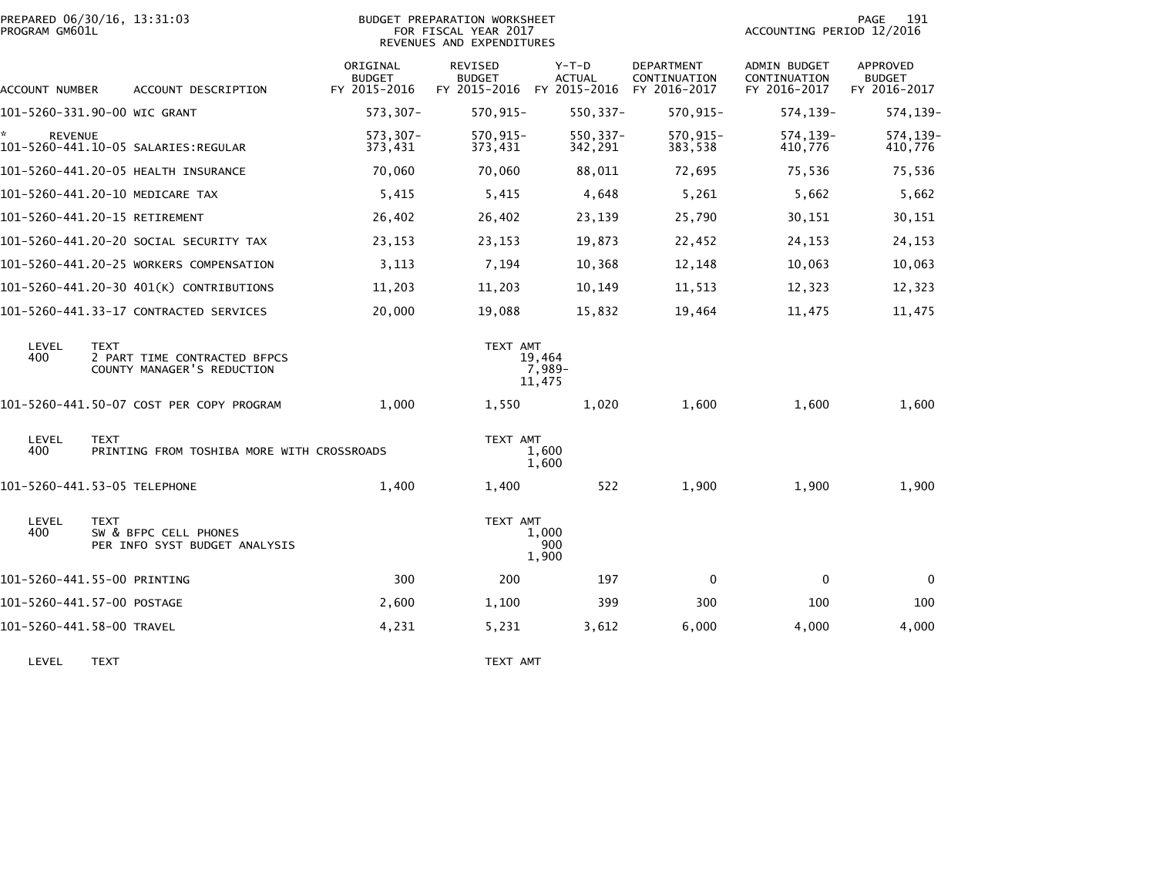| PROGRAM GM601L      | PREPARED 06/30/16, 13:31:03                                               | <b>BUDGET PREPARATION WORKSHEET</b><br>FOR FISCAL YEAR 2017<br>REVENUES AND EXPENDITURES |                                                       |                            |                                            |                                                     | 191<br>PAGE<br>ACCOUNTING PERIOD 12/2016         |  |  |
|---------------------|---------------------------------------------------------------------------|------------------------------------------------------------------------------------------|-------------------------------------------------------|----------------------------|--------------------------------------------|-----------------------------------------------------|--------------------------------------------------|--|--|
| ACCOUNT NUMBER      | ACCOUNT DESCRIPTION                                                       | ORIGINAL<br><b>BUDGET</b><br>FY 2015-2016                                                | REVISED<br><b>BUDGET</b><br>FY 2015-2016 FY 2015-2016 | $Y-T-D$<br><b>ACTUAL</b>   | DEPARTMENT<br>CONTINUATION<br>FY 2016-2017 | <b>ADMIN BUDGET</b><br>CONTINUATION<br>FY 2016-2017 | <b>APPROVED</b><br><b>BUDGET</b><br>FY 2016-2017 |  |  |
|                     | 101-5260-331.90-00 WIC GRANT                                              | 573,307-                                                                                 | $570, 915 -$                                          | $550, 337 -$               | $570, 915 -$                               | 574, 139-                                           | 574,139-                                         |  |  |
| *<br><b>REVENUE</b> | 101-5260-441.10-05 SALARIES:REGULAR                                       | $573,307-$<br>373,431                                                                    | $570, 915 -$<br>373,431                               | $550, 337 -$<br>342,291    | 570,915-<br>383,538                        | 574, 139-<br>410,776                                | 574,139-<br>410,776                              |  |  |
|                     | 101-5260-441.20-05 HEALTH INSURANCE                                       | 70,060                                                                                   | 70,060                                                | 88,011                     | 72,695                                     | 75,536                                              | 75,536                                           |  |  |
|                     | 101-5260-441.20-10 MEDICARE TAX                                           | 5,415                                                                                    | 5,415                                                 | 4,648                      | 5,261                                      | 5,662                                               | 5,662                                            |  |  |
|                     | 101-5260-441.20-15 RETIREMENT                                             | 26,402                                                                                   | 26,402                                                | 23,139                     | 25,790                                     | 30,151                                              | 30,151                                           |  |  |
|                     | 101–5260–441.20–20 SOCIAL SECURITY TAX                                    | 23,153                                                                                   | 23,153                                                | 19,873                     | 22,452                                     | 24,153                                              | 24,153                                           |  |  |
|                     | 101-5260-441.20-25 WORKERS COMPENSATION                                   | 3,113                                                                                    | 7,194                                                 | 10,368                     | 12,148                                     | 10,063                                              | 10,063                                           |  |  |
|                     | 101-5260-441.20-30 401(K) CONTRIBUTIONS                                   | 11,203                                                                                   | 11,203                                                | 10,149                     | 11,513                                     | 12,323                                              | 12,323                                           |  |  |
|                     | 101-5260-441.33-17 CONTRACTED SERVICES                                    | 20,000                                                                                   | 19,088                                                | 15,832                     | 19,464                                     | 11,475                                              | 11,475                                           |  |  |
| LEVEL<br>400        | <b>TEXT</b><br>2 PART TIME CONTRACTED BFPCS<br>COUNTY MANAGER'S REDUCTION |                                                                                          | TEXT AMT                                              | 19,464<br>7,989-<br>11,475 |                                            |                                                     |                                                  |  |  |
|                     | 101-5260-441.50-07 COST PER COPY PROGRAM                                  | 1,000                                                                                    | 1,550                                                 | 1,020                      | 1,600                                      | 1,600                                               | 1,600                                            |  |  |
| LEVEL<br>400        | <b>TEXT</b><br>PRINTING FROM TOSHIBA MORE WITH CROSSROADS                 |                                                                                          | TEXT AMT                                              | 1,600<br>1,600             |                                            |                                                     |                                                  |  |  |
|                     | 101-5260-441.53-05 TELEPHONE                                              | 1,400                                                                                    | 1,400                                                 | 522                        | 1,900                                      | 1,900                                               | 1,900                                            |  |  |
| LEVEL<br>400        | <b>TEXT</b><br>SW & BFPC CELL PHONES<br>PER INFO SYST BUDGET ANALYSIS     |                                                                                          | TEXT AMT                                              | 1,000<br>900<br>1,900      |                                            |                                                     |                                                  |  |  |
|                     | 101-5260-441.55-00 PRINTING                                               | 300                                                                                      | 200                                                   | 197                        | $\mathbf{0}$                               | $\Omega$                                            | $\mathbf 0$                                      |  |  |
|                     | 101-5260-441.57-00 POSTAGE                                                | 2,600                                                                                    | 1,100                                                 | 399                        | 300                                        | 100                                                 | 100                                              |  |  |
|                     | 101-5260-441.58-00 TRAVEL                                                 | 4,231                                                                                    | 5,231                                                 | 3,612                      | 6,000                                      | 4,000                                               | 4,000                                            |  |  |
|                     |                                                                           |                                                                                          |                                                       |                            |                                            |                                                     |                                                  |  |  |

LEVEL TEXT NOTE: THE SERVE THAT THE SERVE THE SERVE THAT THE SERVE THE SERVE THE SERVE THAT THE SERVE THE SERVE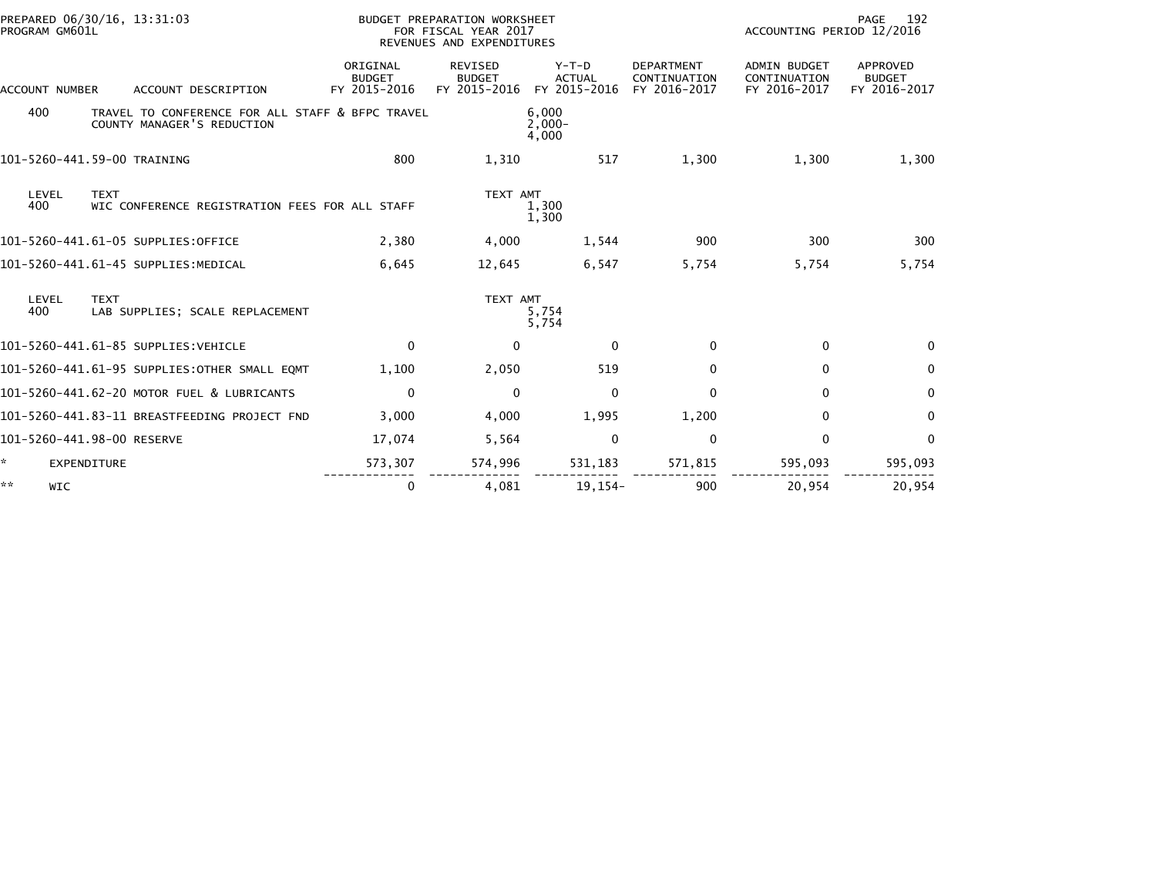| PREPARED 06/30/16, 13:31:03<br>PROGRAM GM601L                                         |                                           | BUDGET PREPARATION WORKSHEET<br>FOR FISCAL YEAR 2017<br>REVENUES AND EXPENDITURES |                                          |                                                   | ACCOUNTING PERIOD 12/2016                           | PAGE<br>192                                      |
|---------------------------------------------------------------------------------------|-------------------------------------------|-----------------------------------------------------------------------------------|------------------------------------------|---------------------------------------------------|-----------------------------------------------------|--------------------------------------------------|
| <b>ACCOUNT NUMBER</b><br>ACCOUNT DESCRIPTION                                          | ORIGINAL<br><b>BUDGET</b><br>FY 2015-2016 | <b>REVISED</b><br><b>BUDGET</b><br>FY 2015-2016                                   | $Y-T-D$<br><b>ACTUAL</b><br>FY 2015-2016 | <b>DEPARTMENT</b><br>CONTINUATION<br>FY 2016-2017 | <b>ADMIN BUDGET</b><br>CONTINUATION<br>FY 2016-2017 | <b>APPROVED</b><br><b>BUDGET</b><br>FY 2016-2017 |
| 400<br>TRAVEL TO CONFERENCE FOR ALL STAFF & BFPC TRAVEL<br>COUNTY MANAGER'S REDUCTION |                                           |                                                                                   | 6,000<br>$2.000 -$<br>4,000              |                                                   |                                                     |                                                  |
| 101-5260-441.59-00 TRAINING                                                           | 800                                       | 1,310                                                                             | 517                                      | 1,300                                             | 1,300                                               | 1,300                                            |
| LEVEL<br><b>TEXT</b><br>400<br>WIC CONFERENCE REGISTRATION FEES FOR ALL STAFF         |                                           | TEXT AMT                                                                          | 1,300<br>1,300                           |                                                   |                                                     |                                                  |
| 101-5260-441.61-05 SUPPLIES:OFFICE                                                    | 2,380                                     | 4,000                                                                             | 1,544                                    | 900                                               | 300                                                 | 300                                              |
| 101-5260-441.61-45 SUPPLIES: MEDICAL                                                  | 6,645                                     | 12,645                                                                            | 6,547                                    | 5,754                                             | 5,754                                               | 5,754                                            |
| LEVEL<br><b>TEXT</b><br>400<br>LAB SUPPLIES; SCALE REPLACEMENT                        |                                           | TEXT AMT                                                                          | 5,754<br>5,754                           |                                                   |                                                     |                                                  |
| 101-5260-441.61-85 SUPPLIES: VEHICLE                                                  | $\mathbf{0}$                              | $\Omega$                                                                          | $\Omega$                                 | $\mathbf{0}$                                      | $\mathbf{0}$                                        | $\Omega$                                         |
| 101-5260-441.61-95 SUPPLIES: OTHER SMALL EQMT                                         | 1,100                                     | 2,050                                                                             | 519                                      | $\mathbf{0}$                                      | $\mathbf{0}$                                        | 0                                                |
| 101-5260-441.62-20 MOTOR FUEL & LUBRICANTS                                            | $\Omega$                                  | $\mathbf{0}$                                                                      | $\mathbf{0}$                             | $\mathbf{0}$                                      | $\mathbf{0}$                                        | $\Omega$                                         |
| 101-5260-441.83-11 BREASTFEEDING PROJECT FND                                          | 3,000                                     | 4,000                                                                             | 1,995                                    | 1,200                                             | $\mathbf{0}$                                        | $\Omega$                                         |
| 101-5260-441.98-00 RESERVE                                                            | 17,074                                    | 5,564                                                                             | $\mathbf{0}$                             | $\mathbf 0$                                       | $\mathbf{0}$                                        | $\Omega$                                         |
| <b>EXPENDITURE</b>                                                                    | 573,307                                   | 574,996                                                                           | 531,183                                  | 571,815                                           | 595,093                                             | 595,093                                          |
| **<br><b>WIC</b>                                                                      | 0                                         | 4.081                                                                             | $19, 154 -$                              | 900                                               | 20.954                                              | 20.954                                           |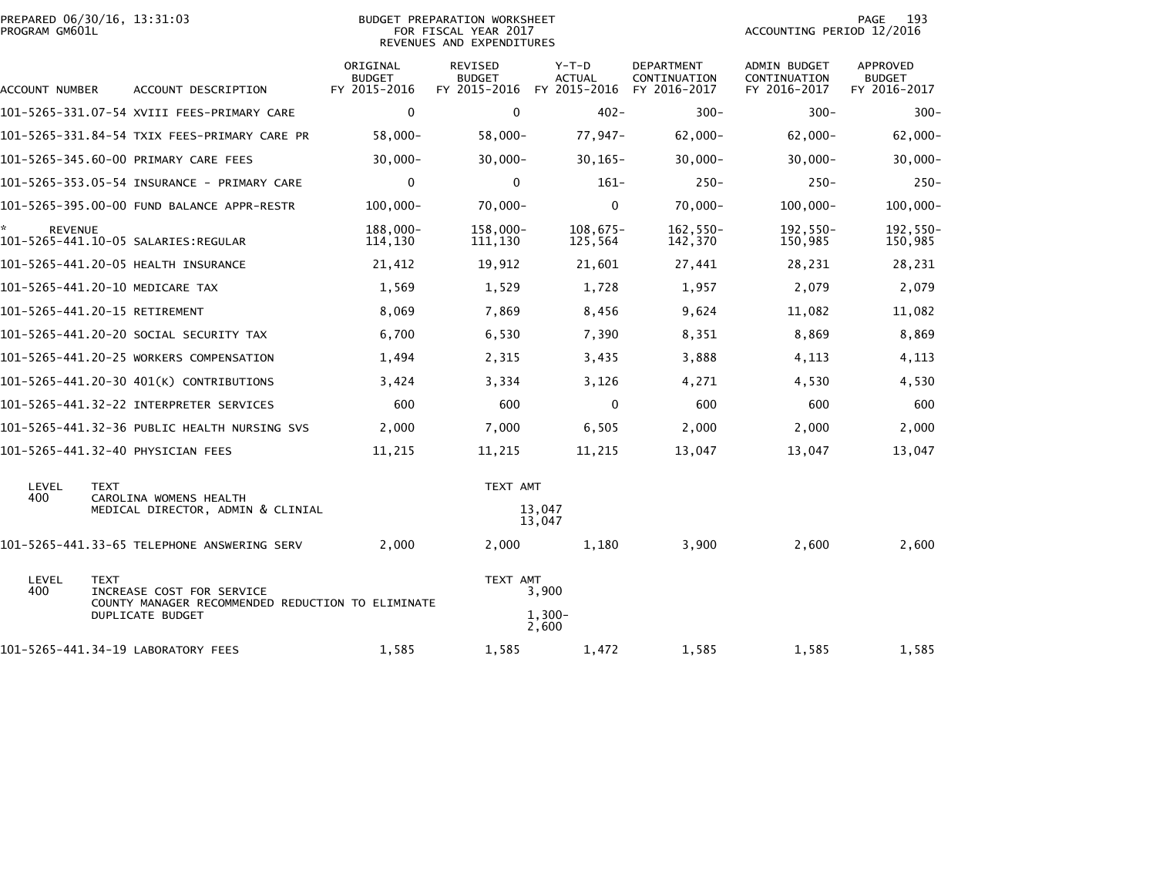| PREPARED 06/30/16, 13:31:03<br><b>BUDGET PREPARATION WORKSHEET</b><br>PROGRAM GM601L<br>FOR FISCAL YEAR 2017<br>REVENUES AND EXPENDITURES |                                                                                               |                                           |                                          |                                        | 193<br>PAGE<br>ACCOUNTING PERIOD 12/2016   |                                              |                                                  |
|-------------------------------------------------------------------------------------------------------------------------------------------|-----------------------------------------------------------------------------------------------|-------------------------------------------|------------------------------------------|----------------------------------------|--------------------------------------------|----------------------------------------------|--------------------------------------------------|
| ACCOUNT NUMBER                                                                                                                            | ACCOUNT DESCRIPTION                                                                           | ORIGINAL<br><b>BUDGET</b><br>FY 2015-2016 | REVISED<br><b>BUDGET</b><br>FY 2015-2016 | Y-T-D<br><b>ACTUAL</b><br>FY 2015-2016 | DEPARTMENT<br>CONTINUATION<br>FY 2016-2017 | ADMIN BUDGET<br>CONTINUATION<br>FY 2016-2017 | <b>APPROVED</b><br><b>BUDGET</b><br>FY 2016-2017 |
|                                                                                                                                           | 101-5265-331.07-54 XVIII FEES-PRIMARY CARE                                                    | $\mathbf 0$                               | $\mathbf 0$                              | $402 -$                                | $300 -$                                    | $300 -$                                      | $300 -$                                          |
|                                                                                                                                           | 101-5265-331.84-54 TXIX FEES-PRIMARY CARE PR                                                  | $58,000 -$                                | $58,000-$                                | 77,947-                                | $62,000 -$                                 | $62,000 -$                                   | $62,000-$                                        |
|                                                                                                                                           | 101-5265-345.60-00 PRIMARY CARE FEES                                                          | $30,000 -$                                | $30,000 -$                               | $30, 165 -$                            | $30,000 -$                                 | $30,000 -$                                   | $30,000 -$                                       |
|                                                                                                                                           |                                                                                               | $\mathbf 0$                               | $\mathbf 0$                              | $161 -$                                | $250 -$                                    | $250 -$                                      | $250 -$                                          |
|                                                                                                                                           | 101-5265-395.00-00 FUND BALANCE APPR-RESTR                                                    | $100,000 -$                               | $70,000 -$                               | $\mathbf 0$                            | $70,000 -$                                 | $100,000 -$                                  | $100,000 -$                                      |
| <b>REVENUE</b>                                                                                                                            |                                                                                               | 188,000-<br>114,130                       | $158,000 -$<br>111,130                   | $108,675-$<br>125,564                  | 162,550-<br>142,370                        | 192,550-<br>150,985                          | $192,550-$<br>150,985                            |
|                                                                                                                                           | 101-5265-441.20-05 HEALTH INSURANCE                                                           | 21,412                                    | 19,912                                   | 21,601                                 | 27,441                                     | 28,231                                       | 28,231                                           |
|                                                                                                                                           | 101-5265-441.20-10 MEDICARE TAX                                                               | 1,569                                     | 1,529                                    | 1,728                                  | 1,957                                      | 2,079                                        | 2,079                                            |
|                                                                                                                                           | 101-5265-441.20-15 RETIREMENT                                                                 | 8,069                                     | 7,869                                    | 8,456                                  | 9,624                                      | 11,082                                       | 11,082                                           |
|                                                                                                                                           | 101–5265–441.20–20 SOCIAL SECURITY TAX                                                        | 6,700                                     | 6,530                                    | 7,390                                  | 8,351                                      | 8,869                                        | 8,869                                            |
|                                                                                                                                           | 101-5265-441.20-25 WORKERS COMPENSATION                                                       | 1,494                                     | 2,315                                    | 3,435                                  | 3,888                                      | 4,113                                        | 4,113                                            |
|                                                                                                                                           | 101-5265-441.20-30 401(K) CONTRIBUTIONS                                                       | 3,424                                     | 3,334                                    | 3,126                                  | 4,271                                      | 4,530                                        | 4,530                                            |
|                                                                                                                                           |                                                                                               | 600                                       | 600                                      | 0                                      | 600                                        | 600                                          | 600                                              |
|                                                                                                                                           | 101-5265-441.32-36 PUBLIC HEALTH NURSING SVS                                                  | 2,000                                     | 7,000                                    | 6,505                                  | 2,000                                      | 2,000                                        | 2,000                                            |
|                                                                                                                                           | 101-5265-441.32-40 PHYSICIAN FEES                                                             | 11,215                                    | 11,215                                   | 11,215                                 | 13,047                                     | 13,047                                       | 13,047                                           |
| LEVEL<br>400                                                                                                                              | <b>TEXT</b><br>CAROLINA WOMENS HEALTH                                                         |                                           | TEXT AMT                                 |                                        |                                            |                                              |                                                  |
|                                                                                                                                           | MEDICAL DIRECTOR, ADMIN & CLINIAL                                                             |                                           |                                          | 13,047<br>13,047                       |                                            |                                              |                                                  |
|                                                                                                                                           | 101-5265-441.33-65 TELEPHONE ANSWERING SERV                                                   | 2,000                                     | 2,000                                    | 1,180                                  | 3,900                                      | 2,600                                        | 2,600                                            |
| LEVEL<br>400                                                                                                                              | <b>TEXT</b><br>INCREASE COST FOR SERVICE<br>COUNTY MANAGER RECOMMENDED REDUCTION TO ELIMINATE |                                           | TEXT AMT                                 | 3,900                                  |                                            |                                              |                                                  |
|                                                                                                                                           | DUPLICATE BUDGET                                                                              |                                           |                                          | $1,300-$<br>2,600                      |                                            |                                              |                                                  |
|                                                                                                                                           | 101-5265-441.34-19 LABORATORY FEES                                                            | 1,585                                     | 1,585                                    | 1,472                                  | 1,585                                      | 1,585                                        | 1,585                                            |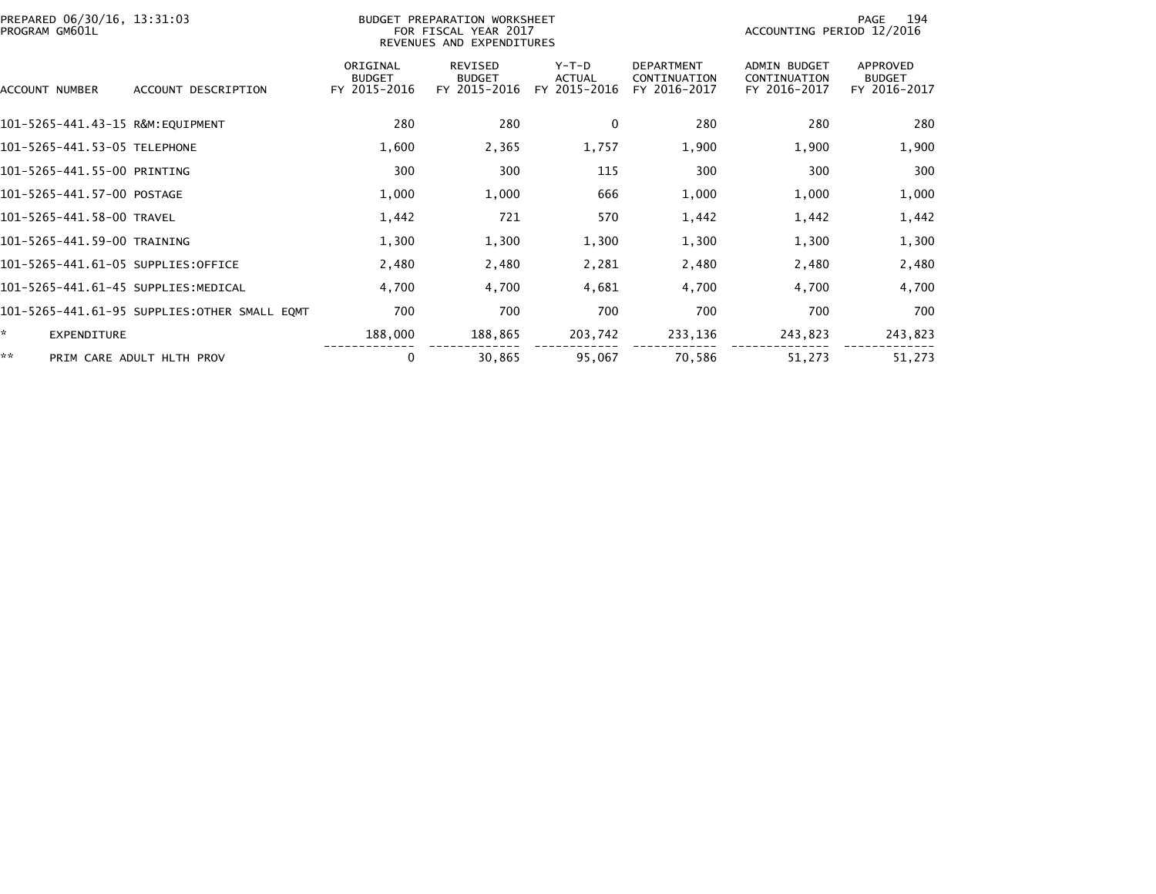| PREPARED 06/30/16, 13:31:03<br>PROGRAM GM601L |                                              |                                           | BUDGET PREPARATION WORKSHEET<br>FOR FISCAL YEAR 2017<br>REVENUES AND EXPENDITURES |                                          |                                                   | ACCOUNTING PERIOD 12/2016                           | 194<br>PAGE                               |
|-----------------------------------------------|----------------------------------------------|-------------------------------------------|-----------------------------------------------------------------------------------|------------------------------------------|---------------------------------------------------|-----------------------------------------------------|-------------------------------------------|
| ACCOUNT NUMBER                                | ACCOUNT DESCRIPTION                          | ORIGINAL<br><b>BUDGET</b><br>FY 2015-2016 | <b>REVISED</b><br><b>BUDGET</b><br>FY 2015-2016                                   | $Y-T-D$<br><b>ACTUAL</b><br>FY 2015-2016 | <b>DEPARTMENT</b><br>CONTINUATION<br>FY 2016-2017 | <b>ADMIN BUDGET</b><br>CONTINUATION<br>FY 2016-2017 | APPROVED<br><b>BUDGET</b><br>FY 2016-2017 |
| 101-5265-441.43-15 R&M:EQUIPMENT              |                                              | 280                                       | 280                                                                               | 0                                        | 280                                               | 280                                                 | 280                                       |
| 101-5265-441.53-05 TELEPHONE                  |                                              | 1,600                                     | 2,365                                                                             | 1,757                                    | 1,900                                             | 1,900                                               | 1,900                                     |
| 101-5265-441.55-00 PRINTING                   |                                              | 300                                       | 300                                                                               | 115                                      | 300                                               | 300                                                 | 300                                       |
| 101-5265-441.57-00 POSTAGE                    |                                              | 1,000                                     | 1,000                                                                             | 666                                      | 1,000                                             | 1,000                                               | 1,000                                     |
| 101-5265-441.58-00 TRAVEL                     |                                              | 1,442                                     | 721                                                                               | 570                                      | 1,442                                             | 1,442                                               | 1,442                                     |
| 101-5265-441.59-00 TRAINING                   |                                              | 1,300                                     | 1,300                                                                             | 1,300                                    | 1,300                                             | 1,300                                               | 1,300                                     |
| 101-5265-441.61-05 SUPPLIES:OFFICE            |                                              | 2,480                                     | 2,480                                                                             | 2,281                                    | 2,480                                             | 2,480                                               | 2,480                                     |
| 101-5265-441.61-45 SUPPLIES:MEDICAL           |                                              | 4,700                                     | 4,700                                                                             | 4,681                                    | 4,700                                             | 4,700                                               | 4,700                                     |
|                                               | 101-5265-441.61-95 SUPPLIES:OTHER SMALL EQMT | 700                                       | 700                                                                               | 700                                      | 700                                               | 700                                                 | 700                                       |
| ×.<br><b>EXPENDITURE</b>                      |                                              | 188,000                                   | 188,865                                                                           | 203,742                                  | 233,136                                           | 243,823                                             | 243,823                                   |
| **                                            | PRIM CARE ADULT HLTH PROV                    | 0                                         | 30,865                                                                            | 95,067                                   | 70,586                                            | 51,273                                              | 51,273                                    |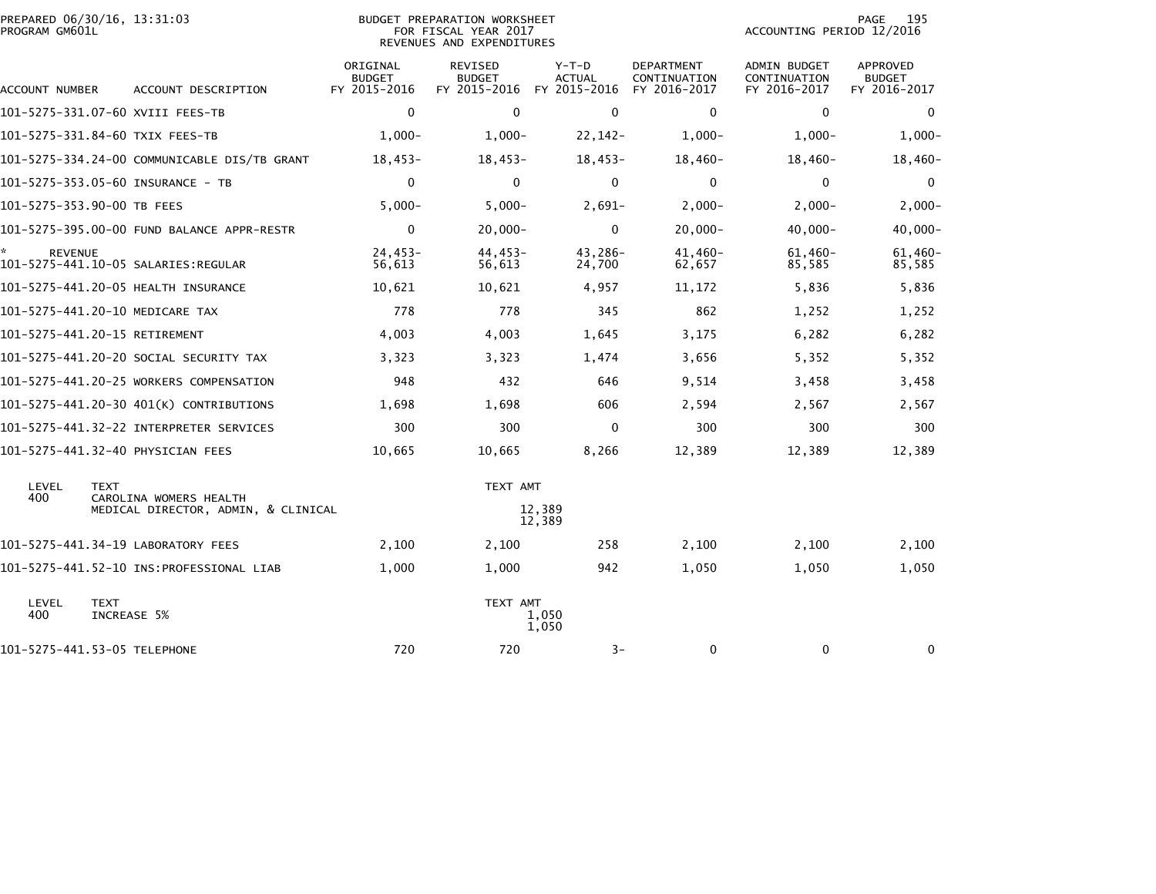| PREPARED 06/30/16, 13:31:03<br>PROGRAM GM601L |                                              |                                           | BUDGET PREPARATION WORKSHEET<br>FOR FISCAL YEAR 2017<br>REVENUES AND EXPENDITURES |                                   |                                                   | ACCOUNTING PERIOD 12/2016                    | 195<br>PAGE                               |
|-----------------------------------------------|----------------------------------------------|-------------------------------------------|-----------------------------------------------------------------------------------|-----------------------------------|---------------------------------------------------|----------------------------------------------|-------------------------------------------|
| ACCOUNT NUMBER                                | ACCOUNT DESCRIPTION                          | ORIGINAL<br><b>BUDGET</b><br>FY 2015-2016 | <b>REVISED</b><br><b>BUDGET</b><br>FY 2015-2016                                   | $Y-T-D$<br>ACTUAL<br>FY 2015-2016 | <b>DEPARTMENT</b><br>CONTINUATION<br>FY 2016-2017 | ADMIN BUDGET<br>CONTINUATION<br>FY 2016-2017 | APPROVED<br><b>BUDGET</b><br>FY 2016-2017 |
|                                               | 101–5275–331.07–60 XVIII FEES–TB             | 0                                         | $\mathbf{0}$                                                                      | $\mathbf{0}$                      | 0                                                 | $\Omega$                                     | $\mathbf{0}$                              |
|                                               | 101-5275-331.84-60 TXIX FEES-TB              | $1,000-$                                  | $1,000-$                                                                          | $22, 142 -$                       | $1,000-$                                          | $1,000-$                                     | $1,000-$                                  |
|                                               | 101-5275-334.24-00 COMMUNICABLE DIS/TB GRANT | 18,453-                                   | 18,453-                                                                           | 18,453-                           | 18,460-                                           | 18,460-                                      | $18,460-$                                 |
|                                               | 101-5275-353.05-60 INSURANCE - TB            | $\mathbf 0$                               | $\Omega$                                                                          | $\mathbf 0$                       | 0                                                 | $\mathbf 0$                                  | $\mathbf 0$                               |
| 101-5275-353.90-00 TB FEES                    |                                              | $5,000 -$                                 | $5,000-$                                                                          | $2,691-$                          | $2,000-$                                          | $2,000-$                                     | $2,000-$                                  |
|                                               | 101-5275-395.00-00 FUND BALANCE APPR-RESTR   | $\mathbf 0$                               | $20,000 -$                                                                        | $\mathbf 0$                       | $20,000 -$                                        | $40,000 -$                                   | $40,000 -$                                |
| *.<br><b>REVENUE</b>                          |                                              | $24,453-$<br>56,613                       | 44,453-<br>56,613                                                                 | 43,286-<br>24,700                 | 41,460-<br>62,657                                 | $61,460-$<br>85,585                          | $61,460 -$<br>85,585                      |
|                                               | 101-5275-441.20-05 HEALTH INSURANCE          | 10,621                                    | 10,621                                                                            | 4,957                             | 11,172                                            | 5,836                                        | 5,836                                     |
|                                               | 101-5275-441.20-10 MEDICARE TAX              | 778                                       | 778                                                                               | 345                               | 862                                               | 1,252                                        | 1,252                                     |
| 101-5275-441.20-15 RETIREMENT                 |                                              | 4,003                                     | 4,003                                                                             | 1,645                             | 3,175                                             | 6,282                                        | 6,282                                     |
|                                               | 101–5275–441.20–20 SOCIAL SECURITY TAX       | 3,323                                     | 3,323                                                                             | 1,474                             | 3,656                                             | 5,352                                        | 5,352                                     |
|                                               | 101-5275-441.20-25 WORKERS COMPENSATION      | 948                                       | 432                                                                               | 646                               | 9,514                                             | 3,458                                        | 3,458                                     |
|                                               | 101-5275-441.20-30 401(K) CONTRIBUTIONS      | 1,698                                     | 1,698                                                                             | 606                               | 2,594                                             | 2,567                                        | 2,567                                     |
|                                               |                                              | 300                                       | 300                                                                               | 0                                 | 300                                               | 300                                          | 300                                       |
|                                               | 101-5275-441.32-40 PHYSICIAN FEES            | 10,665                                    | 10,665                                                                            | 8,266                             | 12,389                                            | 12,389                                       | 12,389                                    |
| LEVEL<br><b>TEXT</b><br>400                   | CAROLINA WOMERS HEALTH                       |                                           | TEXT AMT                                                                          |                                   |                                                   |                                              |                                           |
|                                               | MEDICAL DIRECTOR, ADMIN, & CLINICAL          |                                           |                                                                                   | 12,389<br>12,389                  |                                                   |                                              |                                           |
|                                               | 101-5275-441.34-19 LABORATORY FEES           | 2,100                                     | 2,100                                                                             | 258                               | 2,100                                             | 2,100                                        | 2,100                                     |
|                                               |                                              | 1,000                                     | 1,000                                                                             | 942                               | 1,050                                             | 1,050                                        | 1,050                                     |
| LEVEL<br><b>TEXT</b><br>400                   | INCREASE 5%                                  |                                           | TEXT AMT                                                                          | 1,050<br>1,050                    |                                                   |                                              |                                           |
| 101-5275-441.53-05 TELEPHONE                  |                                              | 720                                       | 720                                                                               | $3-$                              | 0                                                 | 0                                            | 0                                         |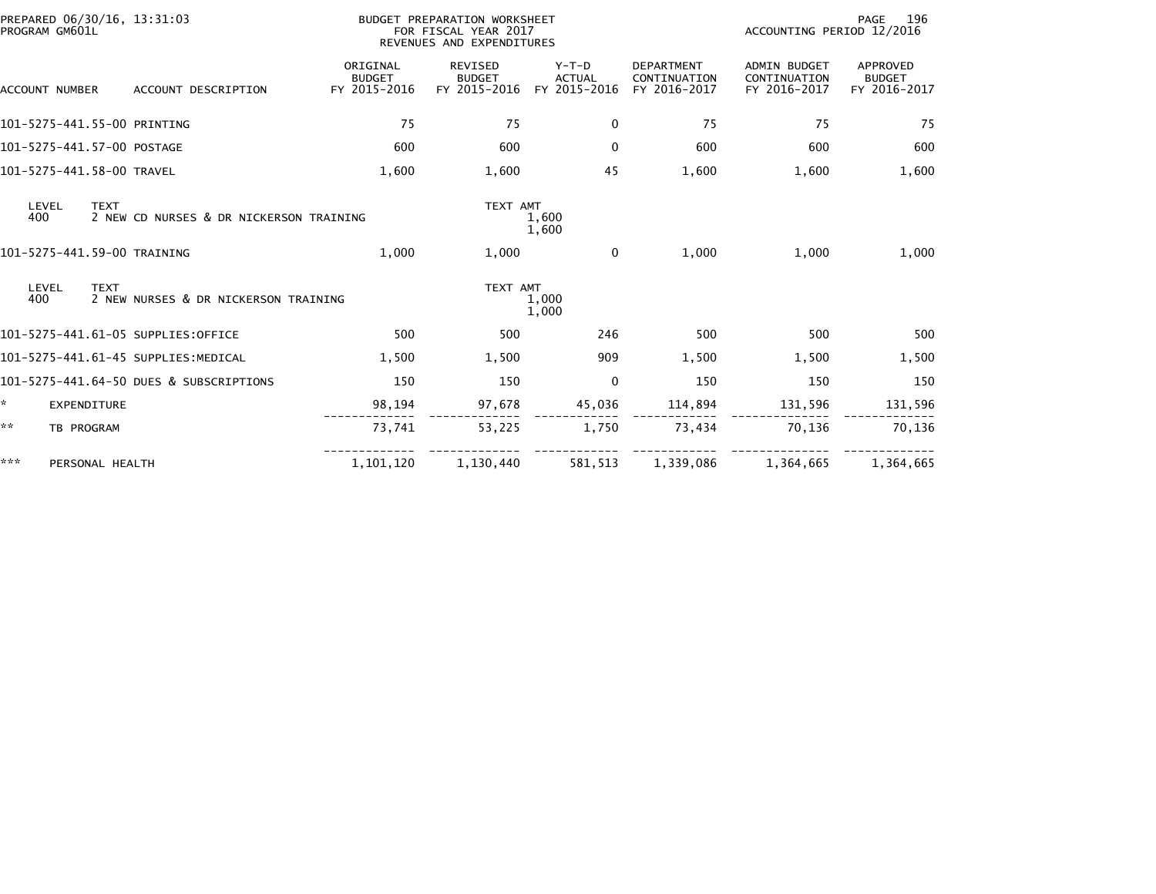| PREPARED 06/30/16, 13:31:03<br>PROGRAM GM601L |                             |                                         |                                           | PAGE<br>BUDGET PREPARATION WORKSHEET<br>ACCOUNTING PERIOD 12/2016<br>FOR FISCAL YEAR 2017<br>REVENUES AND EXPENDITURES |                                          |                                                   |                                                     |                                                  |  |
|-----------------------------------------------|-----------------------------|-----------------------------------------|-------------------------------------------|------------------------------------------------------------------------------------------------------------------------|------------------------------------------|---------------------------------------------------|-----------------------------------------------------|--------------------------------------------------|--|
|                                               | <b>ACCOUNT NUMBER</b>       | ACCOUNT DESCRIPTION                     | ORIGINAL<br><b>BUDGET</b><br>FY 2015-2016 | <b>REVISED</b><br><b>BUDGET</b><br>FY 2015-2016                                                                        | $Y-T-D$<br><b>ACTUAL</b><br>FY 2015-2016 | <b>DEPARTMENT</b><br>CONTINUATION<br>FY 2016-2017 | <b>ADMIN BUDGET</b><br>CONTINUATION<br>FY 2016-2017 | <b>APPROVED</b><br><b>BUDGET</b><br>FY 2016-2017 |  |
|                                               | 101-5275-441.55-00 PRINTING |                                         | 75                                        | 75                                                                                                                     | $\mathbf 0$                              | 75                                                | 75                                                  | 75                                               |  |
|                                               | 101-5275-441.57-00 POSTAGE  |                                         | 600                                       | 600                                                                                                                    | $\mathbf{0}$                             | 600                                               | 600                                                 | 600                                              |  |
|                                               | 101-5275-441.58-00 TRAVEL   |                                         | 1,600                                     | 1,600                                                                                                                  | 45                                       | 1,600                                             | 1,600                                               | 1,600                                            |  |
| LEVEL<br>400                                  | <b>TEXT</b>                 | 2 NEW CD NURSES & DR NICKERSON TRAINING |                                           | TEXT AMT                                                                                                               | 1,600<br>1,600                           |                                                   |                                                     |                                                  |  |
|                                               | 101-5275-441.59-00 TRAINING |                                         | 1,000                                     | 1,000                                                                                                                  | $\mathbf 0$                              | 1,000                                             | 1,000                                               | 1,000                                            |  |
| LEVEL<br>400                                  | <b>TEXT</b>                 | 2 NEW NURSES & DR NICKERSON TRAINING    |                                           | TEXT AMT                                                                                                               | 1,000<br>1,000                           |                                                   |                                                     |                                                  |  |
|                                               |                             | 101-5275-441.61-05 SUPPLIES:OFFICE      | 500                                       | 500                                                                                                                    | 246                                      | 500                                               | 500                                                 | 500                                              |  |
|                                               |                             | 101-5275-441.61-45 SUPPLIES:MEDICAL     | 1,500                                     | 1,500                                                                                                                  | 909                                      | 1,500                                             | 1,500                                               | 1,500                                            |  |
|                                               |                             | 101-5275-441.64-50 DUES & SUBSCRIPTIONS | 150                                       | 150                                                                                                                    | 0                                        | 150                                               | 150                                                 | 150                                              |  |
| ÷.                                            | <b>EXPENDITURE</b>          |                                         | 98,194                                    | 97,678                                                                                                                 | 45,036                                   | 114,894                                           | 131,596                                             | 131,596                                          |  |
| **                                            | TB PROGRAM                  |                                         | 73,741                                    | 53,225                                                                                                                 | 1,750                                    | 73,434                                            | 70,136                                              | 70,136                                           |  |
| ***                                           | PERSONAL HEALTH             |                                         | 1,101,120                                 | 1,130,440                                                                                                              | 581,513                                  | 1,339,086                                         | 1,364,665                                           | 1,364,665                                        |  |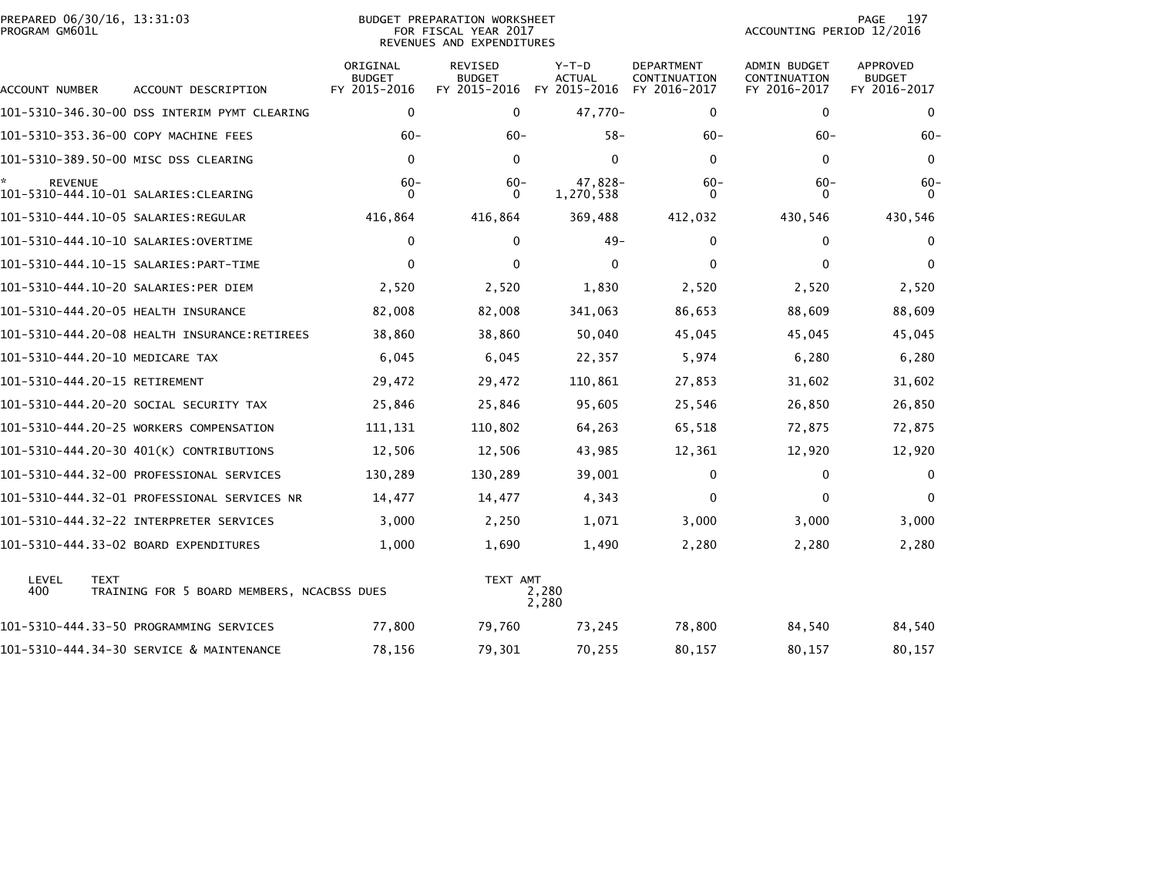| PROGRAM GM601L |                                                           | FOR FISCAL YEAR 2017<br>REVENUES AND EXPENDITURES |                                                 |                                          |                                            | ACCOUNTING PERIOD 12/2016                    |                                           |  |
|----------------|-----------------------------------------------------------|---------------------------------------------------|-------------------------------------------------|------------------------------------------|--------------------------------------------|----------------------------------------------|-------------------------------------------|--|
| ACCOUNT NUMBER | ACCOUNT DESCRIPTION                                       | ORIGINAL<br><b>BUDGET</b><br>FY 2015-2016         | <b>REVISED</b><br><b>BUDGET</b><br>FY 2015-2016 | $Y-T-D$<br><b>ACTUAL</b><br>FY 2015-2016 | DEPARTMENT<br>CONTINUATION<br>FY 2016-2017 | ADMIN BUDGET<br>CONTINUATION<br>FY 2016-2017 | APPROVED<br><b>BUDGET</b><br>FY 2016-2017 |  |
|                | 101-5310-346.30-00 DSS INTERIM PYMT CLEARING              | 0                                                 | $\mathbf{0}$                                    | 47,770-                                  | 0                                          | 0                                            | $\mathbf{0}$                              |  |
|                | 101-5310-353.36-00 COPY MACHINE FEES                      | $60 -$                                            | $60 -$                                          | $58 -$                                   | $60-$                                      | $60 -$                                       | $60 -$                                    |  |
|                | 101-5310-389.50-00 MISC DSS CLEARING                      | $\mathbf 0$                                       | $\mathbf{0}$                                    | $\mathbf 0$                              | $\mathbf{0}$                               | $\mathbf{0}$                                 | $\mathbf{0}$                              |  |
| <b>REVENUE</b> |                                                           | $60 -$<br>0                                       | $60 -$<br>$\mathbf{0}$                          | 47,828-<br>1,270,538                     | $60 -$<br>0                                | $60 -$<br>$\bf{0}$                           | $60 -$<br>$\Omega$                        |  |
|                |                                                           | 416,864                                           | 416,864                                         | 369,488                                  | 412,032                                    | 430,546                                      | 430,546                                   |  |
|                |                                                           | $\mathbf{0}$                                      | $\Omega$                                        | $49 -$                                   | 0                                          | $\mathbf{0}$                                 | $\Omega$                                  |  |
|                |                                                           | $\mathbf{0}$                                      | $\Omega$                                        | $\mathbf{0}$                             | $\mathbf{0}$                               | $\Omega$                                     | $\Omega$                                  |  |
|                | 101-5310-444.10-20 SALARIES:PER DIEM                      | 2,520                                             | 2,520                                           | 1,830                                    | 2,520                                      | 2,520                                        | 2,520                                     |  |
|                | 101-5310-444.20-05 HEALTH INSURANCE                       | 82,008                                            | 82,008                                          | 341,063                                  | 86,653                                     | 88,609                                       | 88,609                                    |  |
|                | 101-5310-444.20-08 HEALTH INSURANCE:RETIREES              | 38,860                                            | 38,860                                          | 50,040                                   | 45,045                                     | 45,045                                       | 45,045                                    |  |
|                | 101-5310-444.20-10 MEDICARE TAX                           | 6,045                                             | 6,045                                           | 22,357                                   | 5,974                                      | 6,280                                        | 6,280                                     |  |
|                | 101-5310-444.20-15 RETIREMENT                             | 29,472                                            | 29,472                                          | 110,861                                  | 27,853                                     | 31,602                                       | 31,602                                    |  |
|                | 101–5310–444.20–20 SOCIAL SECURITY TAX                    | 25,846                                            | 25,846                                          | 95,605                                   | 25,546                                     | 26,850                                       | 26,850                                    |  |
|                | 101-5310-444.20-25 WORKERS COMPENSATION                   | 111,131                                           | 110,802                                         | 64,263                                   | 65,518                                     | 72,875                                       | 72,875                                    |  |
|                | 101-5310-444.20-30 401(K) CONTRIBUTIONS                   | 12,506                                            | 12,506                                          | 43,985                                   | 12,361                                     | 12,920                                       | 12,920                                    |  |
|                | 101-5310-444.32-00 PROFESSIONAL SERVICES                  | 130,289                                           | 130,289                                         | 39,001                                   | 0                                          | 0                                            | $\mathbf{0}$                              |  |
|                | 101-5310-444.32-01 PROFESSIONAL SERVICES NR               | 14,477                                            | 14,477                                          | 4,343                                    | $\mathbf 0$                                | $\mathbf{0}$                                 | $\Omega$                                  |  |
|                | 101-5310-444.32-22 INTERPRETER SERVICES                   | 3,000                                             | 2,250                                           | 1,071                                    | 3,000                                      | 3,000                                        | 3,000                                     |  |
|                | 101-5310-444.33-02 BOARD EXPENDITURES                     | 1,000                                             | 1,690                                           | 1,490                                    | 2,280                                      | 2,280                                        | 2,280                                     |  |
| LEVEL<br>400   | <b>TEXT</b><br>TRAINING FOR 5 BOARD MEMBERS, NCACBSS DUES |                                                   | TEXT AMT                                        | 2,280<br>2,280                           |                                            |                                              |                                           |  |
|                | 101-5310-444.33-50 PROGRAMMING SERVICES                   | 77,800                                            | 79,760                                          | 73,245                                   | 78,800                                     | 84,540                                       | 84,540                                    |  |
|                | 101-5310-444.34-30 SERVICE & MAINTENANCE                  | 78,156                                            | 79,301                                          | 70,255                                   | 80,157                                     | 80,157                                       | 80,157                                    |  |

PREPARED 06/30/16, 13:31:03 BUDGET PREPARATION WORKSHEET PAGE 197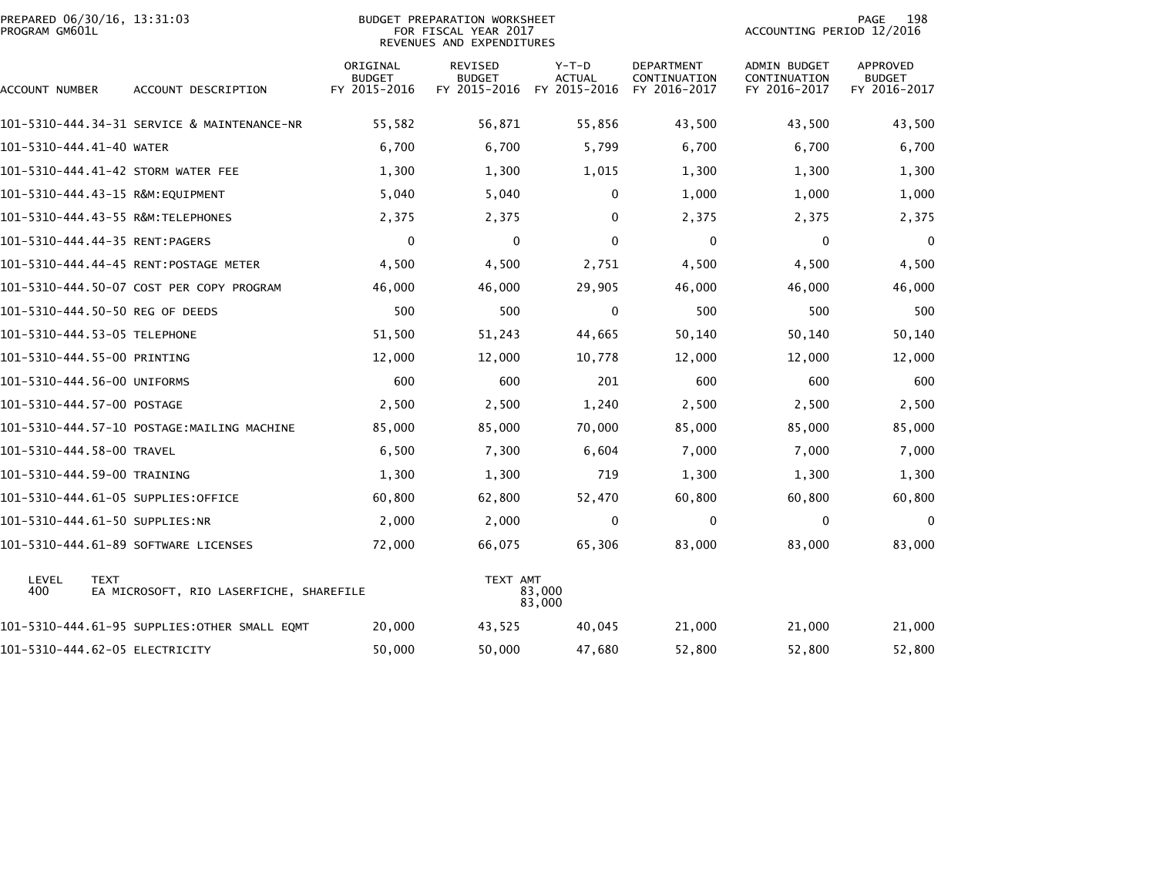| PROGRAM GM601L            | PREPARED 06/30/16, 13:31:03                            |                                           | <b>BUDGET PREPARATION WORKSHEET</b><br>FOR FISCAL YEAR 2017<br>REVENUES AND EXPENDITURES | 198<br>PAGE<br>ACCOUNTING PERIOD 12/2016 |                                                   |                                                     |                                           |
|---------------------------|--------------------------------------------------------|-------------------------------------------|------------------------------------------------------------------------------------------|------------------------------------------|---------------------------------------------------|-----------------------------------------------------|-------------------------------------------|
| ACCOUNT NUMBER            | ACCOUNT DESCRIPTION                                    | ORIGINAL<br><b>BUDGET</b><br>FY 2015-2016 | <b>REVISED</b><br><b>BUDGET</b><br>FY 2015-2016                                          | $Y-T-D$<br><b>ACTUAL</b><br>FY 2015-2016 | <b>DEPARTMENT</b><br>CONTINUATION<br>FY 2016-2017 | <b>ADMIN BUDGET</b><br>CONTINUATION<br>FY 2016-2017 | APPROVED<br><b>BUDGET</b><br>FY 2016-2017 |
|                           | 101-5310-444.34-31 SERVICE & MAINTENANCE-NR            | 55,582                                    | 56,871                                                                                   | 55,856                                   | 43,500                                            | 43,500                                              | 43,500                                    |
| 101-5310-444.41-40 WATER  |                                                        | 6,700                                     | 6,700                                                                                    | 5,799                                    | 6,700                                             | 6,700                                               | 6,700                                     |
|                           | 101-5310-444.41-42 STORM WATER FEE                     | 1,300                                     | 1,300                                                                                    | 1,015                                    | 1,300                                             | 1,300                                               | 1,300                                     |
|                           |                                                        | 5,040                                     | 5,040                                                                                    | 0                                        | 1,000                                             | 1,000                                               | 1,000                                     |
|                           | 101-5310-444.43-55 R&M:TELEPHONES                      | 2,375                                     | 2,375                                                                                    | $\mathbf{0}$                             | 2,375                                             | 2,375                                               | 2,375                                     |
|                           | 101-5310-444.44-35 RENT:PAGERS                         | 0                                         | 0                                                                                        | $\Omega$                                 | $\mathbf 0$                                       | 0                                                   | $\mathbf{0}$                              |
|                           | 101-5310-444.44-45 RENT:POSTAGE METER                  | 4,500                                     | 4,500                                                                                    | 2,751                                    | 4,500                                             | 4,500                                               | 4,500                                     |
|                           | 101-5310-444.50-07 COST PER COPY PROGRAM               | 46,000                                    | 46,000                                                                                   | 29,905                                   | 46,000                                            | 46,000                                              | 46,000                                    |
|                           | 101–5310–444.50–50 REG OF DEEDS                        | 500                                       | 500                                                                                      | 0                                        | 500                                               | 500                                                 | 500                                       |
|                           | 101-5310-444.53-05 TELEPHONE                           | 51,500                                    | 51,243                                                                                   | 44,665                                   | 50,140                                            | 50,140                                              | 50,140                                    |
|                           | 101-5310-444.55-00 PRINTING                            | 12,000                                    | 12,000                                                                                   | 10,778                                   | 12,000                                            | 12,000                                              | 12,000                                    |
|                           | 101-5310-444.56-00 UNIFORMS                            | 600                                       | 600                                                                                      | 201                                      | 600                                               | 600                                                 | 600                                       |
|                           | 101-5310-444.57-00 POSTAGE                             | 2,500                                     | 2,500                                                                                    | 1,240                                    | 2,500                                             | 2,500                                               | 2,500                                     |
|                           | 101-5310-444.57-10 POSTAGE:MAILING MACHINE             | 85,000                                    | 85,000                                                                                   | 70,000                                   | 85,000                                            | 85,000                                              | 85,000                                    |
| 101-5310-444.58-00 TRAVEL |                                                        | 6,500                                     | 7,300                                                                                    | 6,604                                    | 7,000                                             | 7,000                                               | 7,000                                     |
|                           | 101-5310-444.59-00 TRAINING                            | 1,300                                     | 1,300                                                                                    | 719                                      | 1,300                                             | 1,300                                               | 1,300                                     |
|                           | 101–5310–444.61–05 SUPPLIES:OFFICE                     | 60,800                                    | 62,800                                                                                   | 52,470                                   | 60,800                                            | 60,800                                              | 60,800                                    |
|                           | 101-5310-444.61-50 SUPPLIES:NR                         | 2,000                                     | 2,000                                                                                    | 0                                        | 0                                                 | $\mathbf{0}$                                        | $\Omega$                                  |
|                           | 101-5310-444.61-89 SOFTWARE LICENSES                   | 72,000                                    | 66,075                                                                                   | 65,306                                   | 83,000                                            | 83,000                                              | 83,000                                    |
| LEVEL<br>400              | <b>TEXT</b><br>EA MICROSOFT, RIO LASERFICHE, SHAREFILE |                                           | TEXT AMT                                                                                 | 83,000<br>83,000                         |                                                   |                                                     |                                           |
|                           | 101–5310–444.61–95 SUPPLIES:OTHER SMALL EQMT           | 20,000                                    | 43,525                                                                                   | 40,045                                   | 21,000                                            | 21,000                                              | 21,000                                    |
|                           | 101-5310-444.62-05 ELECTRICITY                         | 50,000                                    | 50,000                                                                                   | 47,680                                   | 52,800                                            | 52,800                                              | 52,800                                    |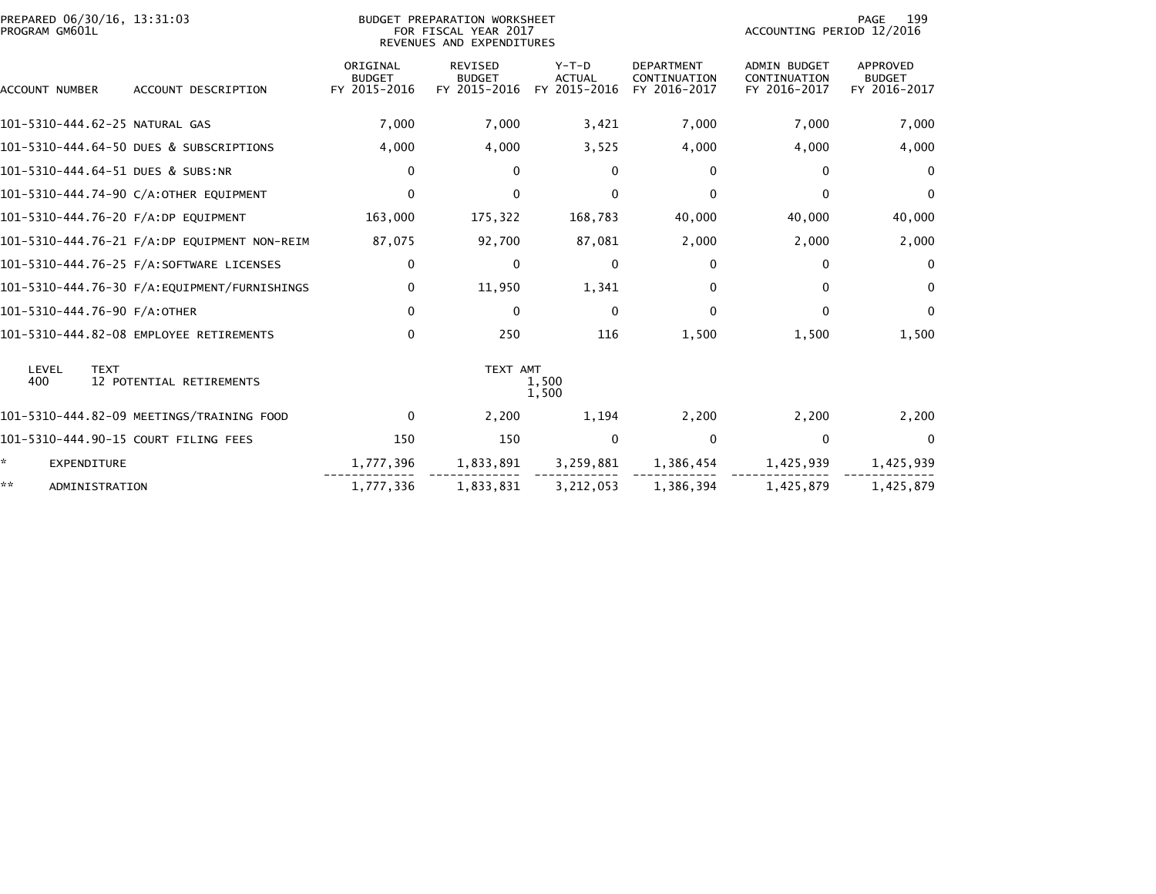| PREPARED 06/30/16, 13:31:03<br>PROGRAM GM601L |                                              |                                           | BUDGET PREPARATION WORKSHEET<br>FOR FISCAL YEAR 2017<br>REVENUES AND EXPENDITURES | 199<br>PAGE<br>ACCOUNTING PERIOD 12/2016 |                                                   |                                                     |                                           |
|-----------------------------------------------|----------------------------------------------|-------------------------------------------|-----------------------------------------------------------------------------------|------------------------------------------|---------------------------------------------------|-----------------------------------------------------|-------------------------------------------|
| ACCOUNT NUMBER                                | ACCOUNT DESCRIPTION                          | ORIGINAL<br><b>BUDGET</b><br>FY 2015-2016 | <b>REVISED</b><br><b>BUDGET</b><br>FY 2015-2016                                   | $Y-T-D$<br><b>ACTUAL</b><br>FY 2015-2016 | <b>DEPARTMENT</b><br>CONTINUATION<br>FY 2016-2017 | <b>ADMIN BUDGET</b><br>CONTINUATION<br>FY 2016-2017 | APPROVED<br><b>BUDGET</b><br>FY 2016-2017 |
| 101-5310-444.62-25 NATURAL GAS                |                                              | 7,000                                     | 7,000                                                                             | 3,421                                    | 7,000                                             | 7,000                                               | 7,000                                     |
|                                               | 101-5310-444.64-50 DUES & SUBSCRIPTIONS      | 4,000                                     | 4,000                                                                             | 3,525                                    | 4,000                                             | 4,000                                               | 4,000                                     |
| 101-5310-444.64-51 DUES & SUBS:NR             |                                              | 0                                         | 0                                                                                 | $\Omega$                                 | 0                                                 | $\mathbf{0}$                                        | $\Omega$                                  |
|                                               | 101-5310-444.74-90 C/A:OTHER EQUIPMENT       | $\Omega$                                  | $\Omega$                                                                          | $\Omega$                                 | $\Omega$                                          | $\mathbf{0}$                                        | $\Omega$                                  |
| 101-5310-444.76-20 F/A:DP EQUIPMENT           |                                              | 163,000                                   | 175,322                                                                           | 168,783                                  | 40,000                                            | 40,000                                              | 40,000                                    |
|                                               | 101-5310-444.76-21 F/A:DP EQUIPMENT NON-REIM | 87,075                                    | 92,700                                                                            | 87,081                                   | 2,000                                             | 2,000                                               | 2,000                                     |
|                                               | 101-5310-444.76-25 F/A:SOFTWARE LICENSES     | 0                                         | $\Omega$                                                                          | $\Omega$                                 | 0                                                 | $\mathbf{0}$                                        | $\Omega$                                  |
|                                               |                                              | 0                                         | 11,950                                                                            | 1,341                                    | $\bf{0}$                                          | 0                                                   | $\Omega$                                  |
| 101-5310-444.76-90 F/A:OTHER                  |                                              | $\mathbf 0$                               | $\Omega$                                                                          | $\Omega$                                 | $\mathbf 0$                                       | $\Omega$                                            | $\Omega$                                  |
|                                               | 101-5310-444.82-08 EMPLOYEE RETIREMENTS      | 0                                         | 250                                                                               | 116                                      | 1,500                                             | 1,500                                               | 1,500                                     |
| LEVEL<br><b>TEXT</b><br>400                   | 12 POTENTIAL RETIREMENTS                     |                                           | TEXT AMT                                                                          | 1,500<br>1,500                           |                                                   |                                                     |                                           |
|                                               | 101-5310-444.82-09 MEETINGS/TRAINING FOOD    | $\Omega$                                  | 2,200                                                                             | 1,194                                    | 2,200                                             | 2,200                                               | 2,200                                     |
| 101-5310-444.90-15 COURT FILING FEES          |                                              | 150                                       | 150                                                                               | $\Omega$                                 | $\mathbf 0$                                       | $\mathbf 0$                                         | $\Omega$                                  |
| ÷.<br><b>EXPENDITURE</b>                      |                                              | 1,777,396                                 | 1,833,891                                                                         | 3,259,881                                | 1,386,454                                         | 1,425,939                                           | 1,425,939                                 |
| **<br>ADMINISTRATION                          |                                              | 1,777,336                                 | 1,833,831                                                                         | 3,212,053                                | 1,386,394                                         | 1,425,879                                           | 1.425.879                                 |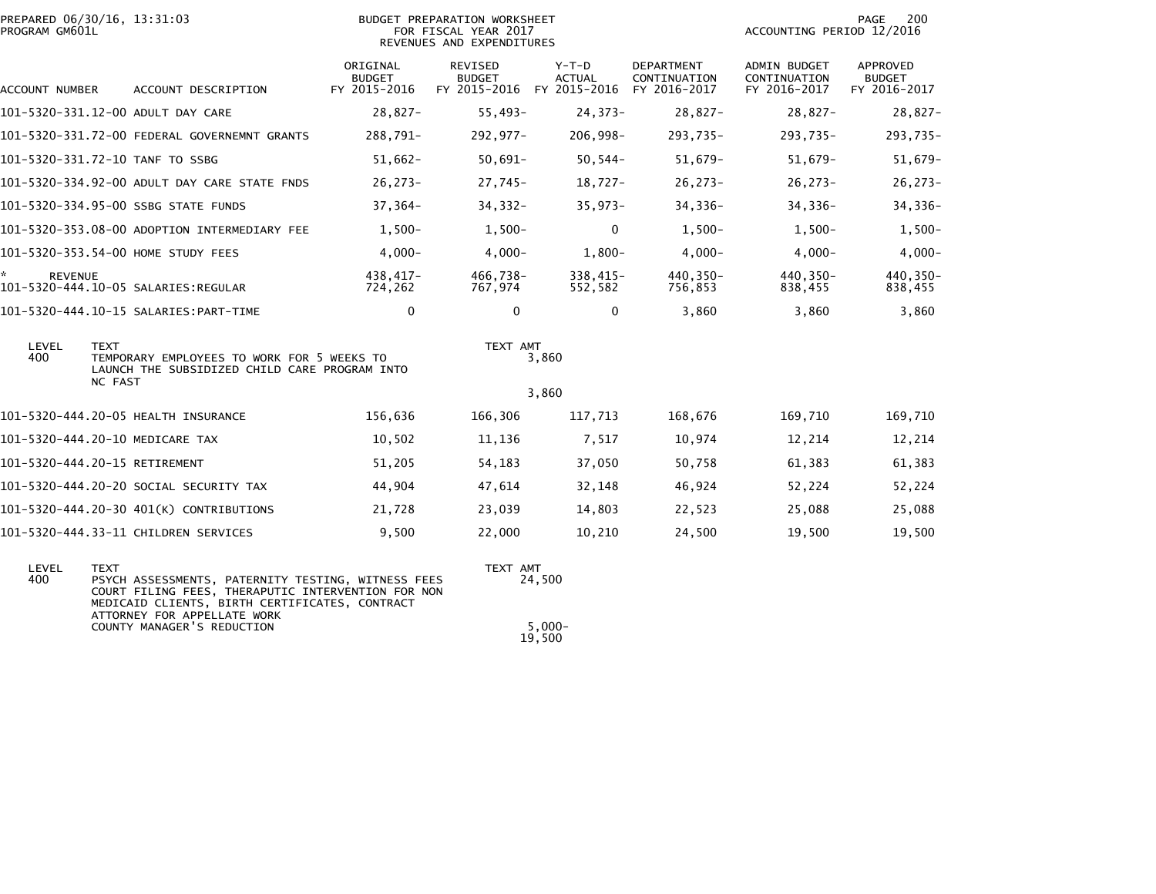| PROGRAM GM601L       | PREPARED 06/30/16, 13:31:03                                                                                                                                                                                                            | BUDGET PREPARATION WORKSHEET<br>FOR FISCAL YEAR 2017<br>REVENUES AND EXPENDITURES | PAGE<br>200<br>ACCOUNTING PERIOD 12/2016 |                                                                    |                            |                                              |                                           |
|----------------------|----------------------------------------------------------------------------------------------------------------------------------------------------------------------------------------------------------------------------------------|-----------------------------------------------------------------------------------|------------------------------------------|--------------------------------------------------------------------|----------------------------|----------------------------------------------|-------------------------------------------|
| ACCOUNT NUMBER       | ACCOUNT DESCRIPTION                                                                                                                                                                                                                    | ORIGINAL<br><b>BUDGET</b><br>FY 2015-2016                                         | REVISED<br><b>BUDGET</b>                 | $Y-T-D$<br><b>ACTUAL</b><br>FY 2015-2016 FY 2015-2016 FY 2016-2017 | DEPARTMENT<br>CONTINUATION | ADMIN BUDGET<br>CONTINUATION<br>FY 2016-2017 | APPROVED<br><b>BUDGET</b><br>FY 2016-2017 |
|                      | 101-5320-331.12-00 ADULT DAY CARE                                                                                                                                                                                                      | $28,827-$                                                                         | $55,493-$                                | $24,373-$                                                          | $28,827-$                  | $28,827-$                                    | 28,827-                                   |
|                      | 101-5320-331.72-00 FEDERAL GOVERNEMNT GRANTS                                                                                                                                                                                           | 288,791-                                                                          | 292,977-                                 | 206,998-                                                           | 293,735-                   | 293,735-                                     | 293,735-                                  |
|                      | 101-5320-331.72-10 TANF TO SSBG                                                                                                                                                                                                        | $51,662-$                                                                         | $50,691-$                                | $50, 544 -$                                                        | $51,679-$                  | $51,679-$                                    | 51,679-                                   |
|                      | 101-5320-334.92-00 ADULT DAY CARE STATE FNDS                                                                                                                                                                                           | $26,273-$                                                                         | 27,745-                                  | $18,727-$                                                          | $26, 273 -$                | $26,273-$                                    | 26,273-                                   |
|                      | 101-5320-334.95-00 SSBG STATE FUNDS                                                                                                                                                                                                    | $37,364-$                                                                         | $34,332-$                                | $35,973-$                                                          | 34,336-                    | 34,336-                                      | 34,336-                                   |
|                      | 101-5320-353.08-00 ADOPTION INTERMEDIARY FEE                                                                                                                                                                                           | $1,500-$                                                                          | $1,500-$                                 | $\mathbf 0$                                                        | $1,500-$                   | $1,500-$                                     | $1,500-$                                  |
|                      | 101-5320-353.54-00 HOME STUDY FEES                                                                                                                                                                                                     | $4,000-$                                                                          | $4,000-$                                 | $1,800-$                                                           | $4,000-$                   | $4,000-$                                     | $4,000-$                                  |
| ☆.<br><b>REVENUE</b> | 101-5320-444.10-05 SALARIES:REGULAR                                                                                                                                                                                                    | 438,417-<br>724,262                                                               | 466,738-<br>767,974                      | $338,415-$<br>552,582                                              | 440,350-<br>756,853        | 440,350-<br>838,455                          | 440,350-<br>838,455                       |
|                      | 101-5320-444.10-15 SALARIES:PART-TIME                                                                                                                                                                                                  | $\mathbf{0}$                                                                      | 0                                        | $\mathbf{0}$                                                       | 3,860                      | 3,860                                        | 3,860                                     |
| LEVEL<br>400         | <b>TEXT</b><br>TEMPORARY EMPLOYEES TO WORK FOR 5 WEEKS TO<br>LAUNCH THE SUBSIDIZED CHILD CARE PROGRAM INTO<br><b>NC FAST</b>                                                                                                           |                                                                                   | TEXT AMT                                 | 3,860<br>3,860                                                     |                            |                                              |                                           |
|                      | 101-5320-444.20-05 HEALTH INSURANCE                                                                                                                                                                                                    | 156,636                                                                           | 166,306                                  | 117,713                                                            | 168,676                    | 169,710                                      | 169,710                                   |
|                      | 101-5320-444.20-10 MEDICARE TAX                                                                                                                                                                                                        | 10,502                                                                            | 11,136                                   | 7,517                                                              | 10,974                     | 12,214                                       | 12,214                                    |
|                      | 101-5320-444.20-15 RETIREMENT                                                                                                                                                                                                          | 51,205                                                                            | 54,183                                   | 37,050                                                             | 50,758                     | 61,383                                       | 61,383                                    |
|                      | 101-5320-444.20-20 SOCIAL SECURITY TAX                                                                                                                                                                                                 | 44,904                                                                            | 47,614                                   | 32,148                                                             | 46,924                     | 52,224                                       | 52,224                                    |
|                      | 101-5320-444.20-30 401(K) CONTRIBUTIONS                                                                                                                                                                                                | 21,728                                                                            | 23,039                                   | 14,803                                                             | 22,523                     | 25,088                                       | 25,088                                    |
|                      | 101-5320-444.33-11 CHILDREN SERVICES                                                                                                                                                                                                   | 9,500                                                                             | 22,000                                   | 10,210                                                             | 24,500                     | 19,500                                       | 19,500                                    |
| LEVEL<br>400         | <b>TEXT</b><br>PSYCH ASSESSMENTS, PATERNITY TESTING, WITNESS FEES<br>COURT FILING FEES, THERAPUTIC INTERVENTION FOR NON<br>MEDICAID CLIENTS, BIRTH CERTIFICATES, CONTRACT<br>ATTORNEY FOR APPELLATE WORK<br>COUNTY MANAGER'S REDUCTION |                                                                                   | TEXT AMT                                 | 24,500<br>$5.000 -$                                                |                            |                                              |                                           |
|                      |                                                                                                                                                                                                                                        |                                                                                   |                                          | 19,500                                                             |                            |                                              |                                           |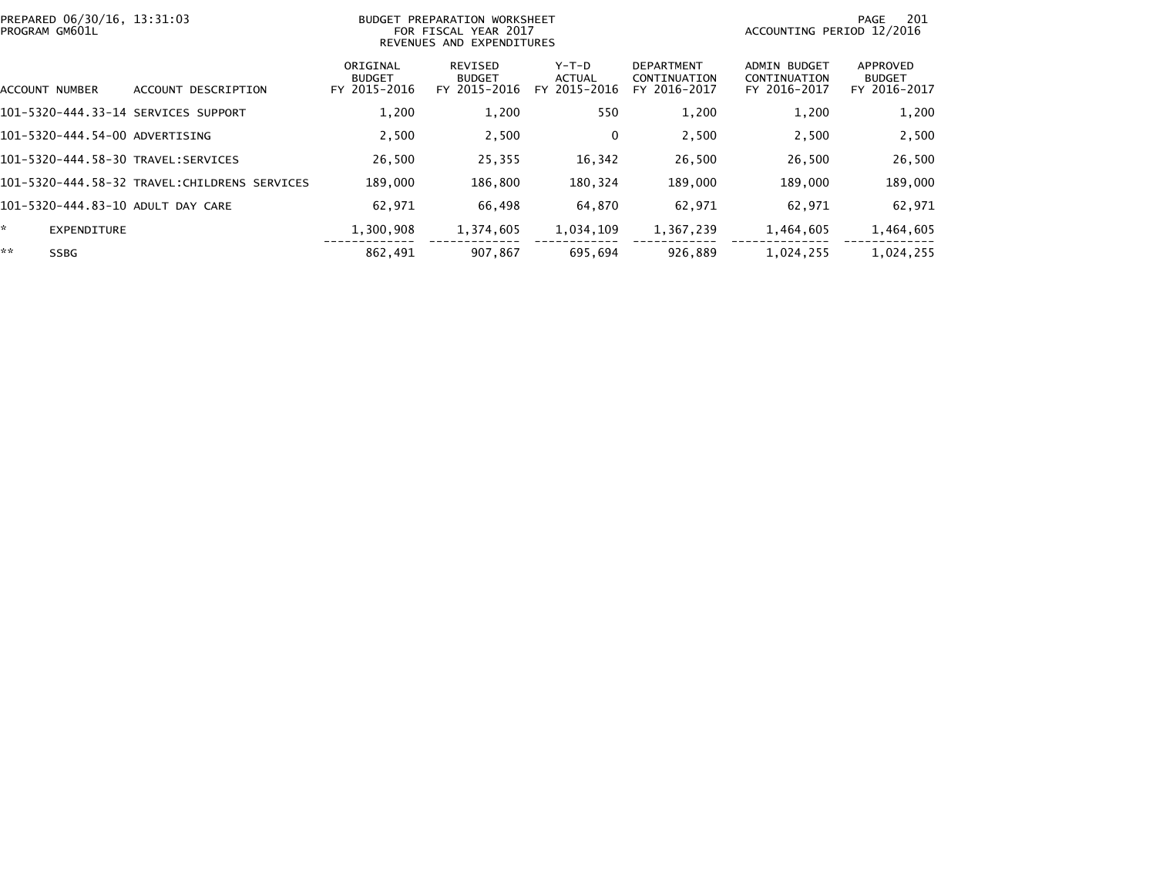| PREPARED 06/30/16, 13:31:03<br>PROGRAM GM601L |                                              |                                           | BUDGET PREPARATION WORKSHEET<br>FOR FISCAL YEAR 2017<br>REVENUES AND EXPENDITURES |                                 | 201<br>PAGE<br>ACCOUNTING PERIOD 12/2016          |                                                     |                                           |
|-----------------------------------------------|----------------------------------------------|-------------------------------------------|-----------------------------------------------------------------------------------|---------------------------------|---------------------------------------------------|-----------------------------------------------------|-------------------------------------------|
| ACCOUNT NUMBER                                | ACCOUNT DESCRIPTION                          | ORIGINAL<br><b>BUDGET</b><br>FY 2015-2016 | REVISED<br><b>BUDGET</b><br>FY 2015-2016                                          | Y-T-D<br>ACTUAL<br>FY 2015-2016 | <b>DEPARTMENT</b><br>CONTINUATION<br>FY 2016-2017 | <b>ADMIN BUDGET</b><br>CONTINUATION<br>FY 2016-2017 | APPROVED<br><b>BUDGET</b><br>FY 2016-2017 |
| 101-5320-444.33-14 SERVICES SUPPORT           |                                              | 1,200                                     | 1,200                                                                             | 550                             | 1,200                                             | 1,200                                               | 1,200                                     |
| 101-5320-444.54-00 ADVERTISING                |                                              | 2,500                                     | 2,500                                                                             | $\Omega$                        | 2,500                                             | 2,500                                               | 2,500                                     |
|                                               |                                              | 26.500                                    | 25,355                                                                            | 16,342                          | 26,500                                            | 26,500                                              | 26,500                                    |
|                                               | 101-5320-444.58-32 TRAVEL:CHILDRENS SERVICES | 189,000                                   | 186,800                                                                           | 180,324                         | 189,000                                           | 189,000                                             | 189,000                                   |
| 101-5320-444.83-10 ADULT DAY CARE             |                                              | 62,971                                    | 66,498                                                                            | 64,870                          | 62,971                                            | 62,971                                              | 62,971                                    |
| ÷.<br><b>EXPENDITURE</b>                      |                                              | 1,300,908                                 | 1,374,605                                                                         | 1,034,109                       | 1,367,239                                         | 1,464,605                                           | 1,464,605                                 |
| **<br><b>SSBG</b>                             |                                              | 862,491                                   | 907.867                                                                           | 695,694                         | 926.889                                           | 1,024,255                                           | 1,024,255                                 |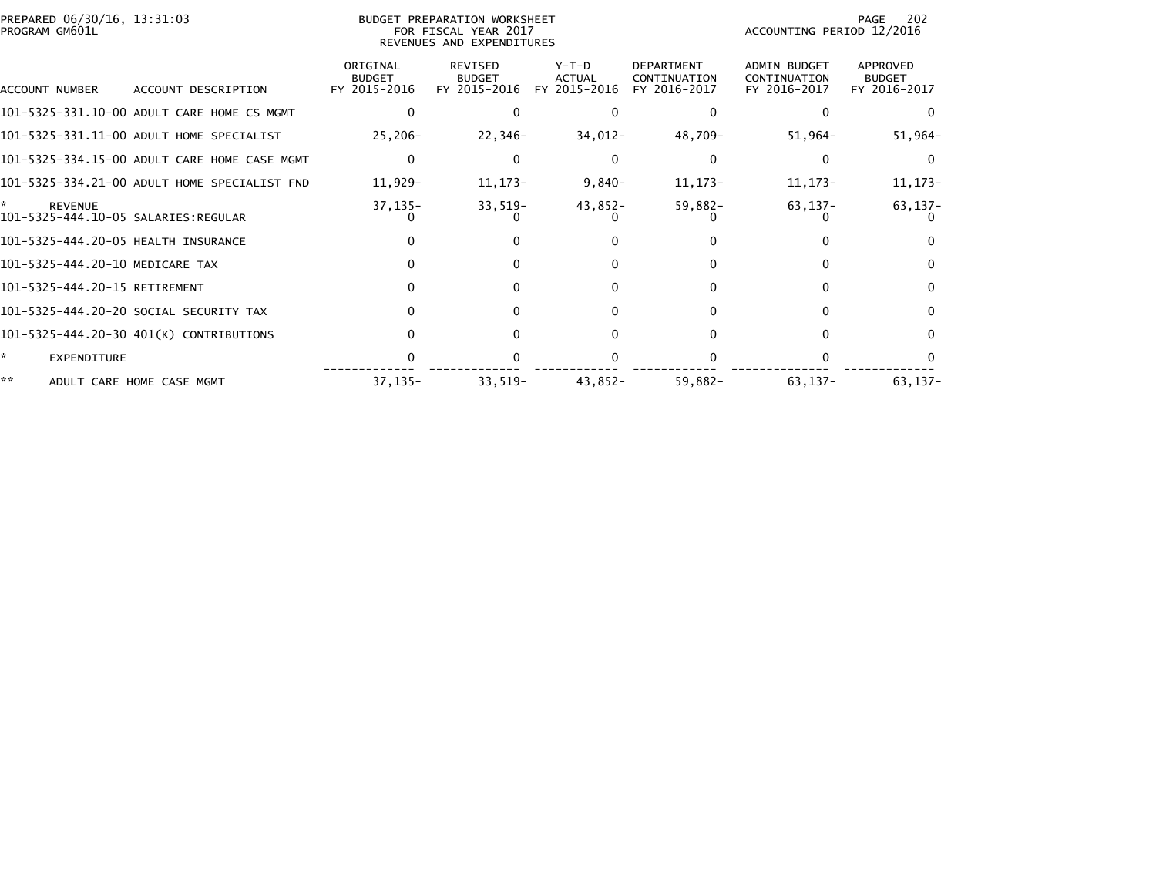| PREPARED 06/30/16, 13:31:03<br>PROGRAM GM601L |                                              |                                           | BUDGET PREPARATION WORKSHEET<br>FOR FISCAL YEAR 2017<br>REVENUES AND EXPENDITURES |                                          |                                                   | ACCOUNTING PERIOD 12/2016                           | 202<br>PAGE                               |
|-----------------------------------------------|----------------------------------------------|-------------------------------------------|-----------------------------------------------------------------------------------|------------------------------------------|---------------------------------------------------|-----------------------------------------------------|-------------------------------------------|
| ACCOUNT NUMBER                                | ACCOUNT DESCRIPTION                          | ORIGINAL<br><b>BUDGET</b><br>FY 2015-2016 | <b>REVISED</b><br><b>BUDGET</b><br>FY 2015-2016                                   | $Y-T-D$<br><b>ACTUAL</b><br>FY 2015-2016 | <b>DEPARTMENT</b><br>CONTINUATION<br>FY 2016-2017 | <b>ADMIN BUDGET</b><br>CONTINUATION<br>FY 2016-2017 | APPROVED<br><b>BUDGET</b><br>FY 2016-2017 |
|                                               |                                              |                                           |                                                                                   |                                          |                                                   |                                                     |                                           |
|                                               | 101-5325-331.10-00 ADULT CARE HOME CS MGMT   |                                           |                                                                                   |                                          |                                                   |                                                     |                                           |
|                                               | 101-5325-331.11-00 ADULT HOME SPECIALIST     | $25,206 -$                                | 22,346-                                                                           | 34,012-                                  | 48,709-                                           | 51,964-                                             | $51,964-$                                 |
|                                               | 101-5325-334.15-00 ADULT CARE HOME CASE MGMT | $\Omega$                                  |                                                                                   | 0                                        |                                                   |                                                     | 0                                         |
|                                               | 101-5325-334.21-00 ADULT HOME SPECIALIST FND | 11,929-                                   | 11, 173-                                                                          | $9,840-$                                 | 11, 173-                                          | 11,173-                                             | 11, 173-                                  |
| <b>REVENUE</b>                                |                                              | 37,135-                                   | $33,519-$                                                                         | 43,852-                                  | $59,882-$                                         | 63,137-                                             | 63,137-                                   |
| 101-5325-444.20-05 HEALTH INSURANCE           |                                              |                                           | 0                                                                                 | 0                                        |                                                   |                                                     |                                           |
| 101-5325-444.20-10 MEDICARE TAX               |                                              |                                           | $\Omega$                                                                          | $\Omega$                                 |                                                   |                                                     | $\Omega$                                  |
| 101-5325-444.20-15 RETIREMENT                 |                                              |                                           | 0                                                                                 | 0                                        |                                                   |                                                     |                                           |
|                                               | 101-5325-444.20-20 SOCIAL SECURITY TAX       |                                           | 0                                                                                 | $\Omega$                                 |                                                   |                                                     | 0                                         |
|                                               | 101-5325-444.20-30 401(K) CONTRIBUTIONS      |                                           | 0                                                                                 | $\Omega$                                 |                                                   |                                                     | 0                                         |
| ÷.<br><b>EXPENDITURE</b>                      |                                              |                                           |                                                                                   |                                          |                                                   |                                                     |                                           |
| **                                            | ADULT CARE HOME CASE MGMT                    | $37, 135 -$                               | $33,519-$                                                                         | 43,852-                                  | 59,882-                                           | 63,137-                                             | $63, 137 -$                               |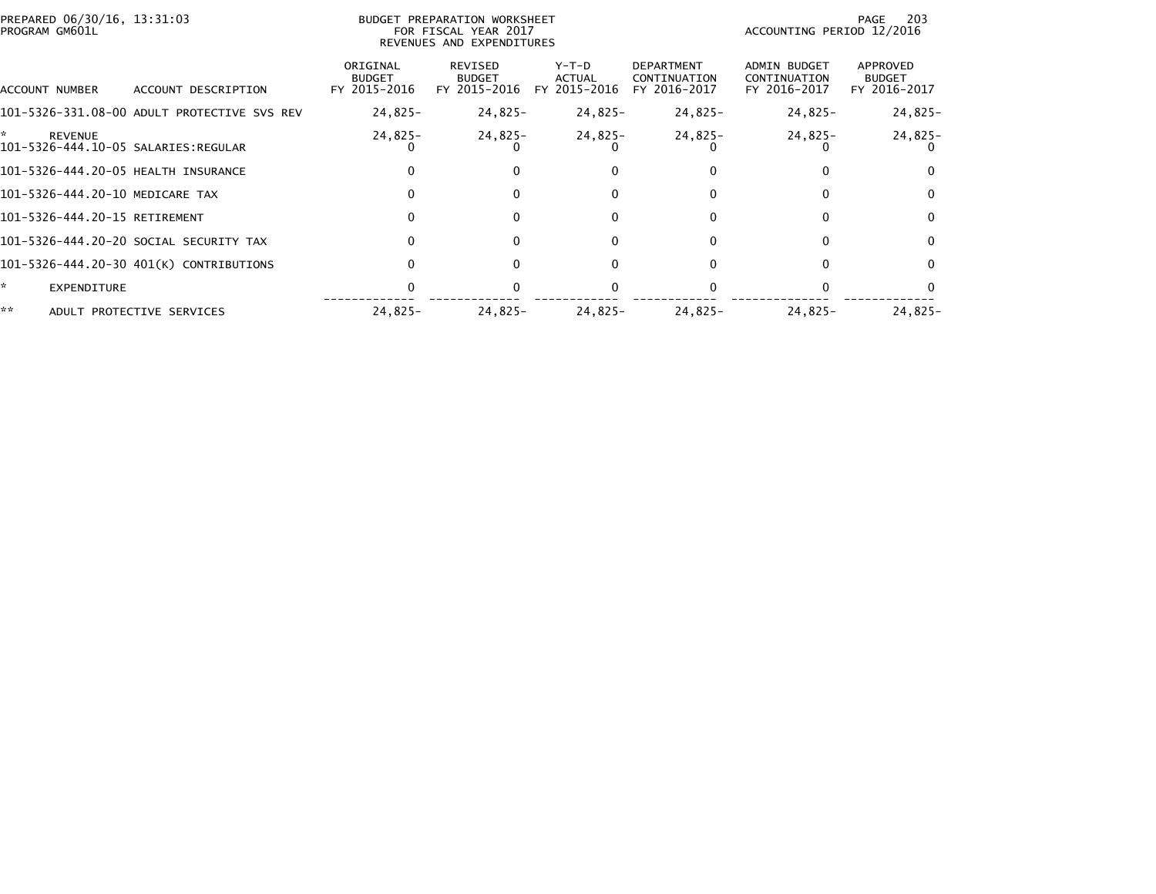| **                                                          | ADULT PROTECTIVE SERVICES                   | $24,825-$                                 | 24,825-                                                                           | 24,825-                                | $24,825-$                                         | $24.825 -$                                   | 24,825-                                   |
|-------------------------------------------------------------|---------------------------------------------|-------------------------------------------|-----------------------------------------------------------------------------------|----------------------------------------|---------------------------------------------------|----------------------------------------------|-------------------------------------------|
| ÷.<br>EXPENDITURE                                           |                                             |                                           |                                                                                   |                                        |                                                   |                                              |                                           |
|                                                             | 101-5326-444.20-30 401(K) CONTRIBUTIONS     |                                           | $\Omega$                                                                          | 0                                      |                                                   | $\Omega$                                     | 0                                         |
|                                                             | 101-5326-444.20-20 SOCIAL SECURITY TAX      |                                           | $\Omega$                                                                          | 0                                      |                                                   | 0                                            | $\Omega$                                  |
| 101-5326-444.20-15 RETIREMENT                               |                                             | 0                                         | $\Omega$                                                                          | $\Omega$                               | 0                                                 | 0                                            | $\Omega$                                  |
| 101-5326-444.20-10 MEDICARE TAX                             |                                             |                                           | $\Omega$                                                                          | 0                                      | 0                                                 | $\Omega$                                     | $\Omega$                                  |
| 101-5326-444.20-05 HEALTH INSURANCE                         |                                             |                                           | $\Omega$                                                                          | 0                                      |                                                   |                                              |                                           |
| ÷.<br><b>REVENUE</b><br>101-5326-444.10-05 SALARIES:REGULAR |                                             | 24,825-                                   | 24,825-                                                                           | 24,825-                                | 24,825-                                           | $24,825-$                                    | 24,825-                                   |
|                                                             | 101-5326-331.08-00 ADULT PROTECTIVE SVS REV | $24,825-$                                 | 24,825-                                                                           | 24,825-                                | 24,825-                                           | 24,825-                                      | $24,825-$                                 |
| ACCOUNT NUMBER                                              | ACCOUNT DESCRIPTION                         | ORIGINAL<br><b>BUDGET</b><br>FY 2015-2016 | REVISED<br><b>BUDGET</b><br>FY 2015-2016                                          | Y-T-D<br><b>ACTUAL</b><br>FY 2015-2016 | <b>DEPARTMENT</b><br>CONTINUATION<br>FY 2016-2017 | ADMIN BUDGET<br>CONTINUATION<br>FY 2016-2017 | APPROVED<br><b>BUDGET</b><br>FY 2016-2017 |
| PREPARED 06/30/16, 13:31:03<br>PROGRAM GM601L               |                                             |                                           | BUDGET PREPARATION WORKSHEET<br>FOR FISCAL YEAR 2017<br>REVENUES AND EXPENDITURES |                                        |                                                   | ACCOUNTING PERIOD 12/2016                    | 203<br>PAGE                               |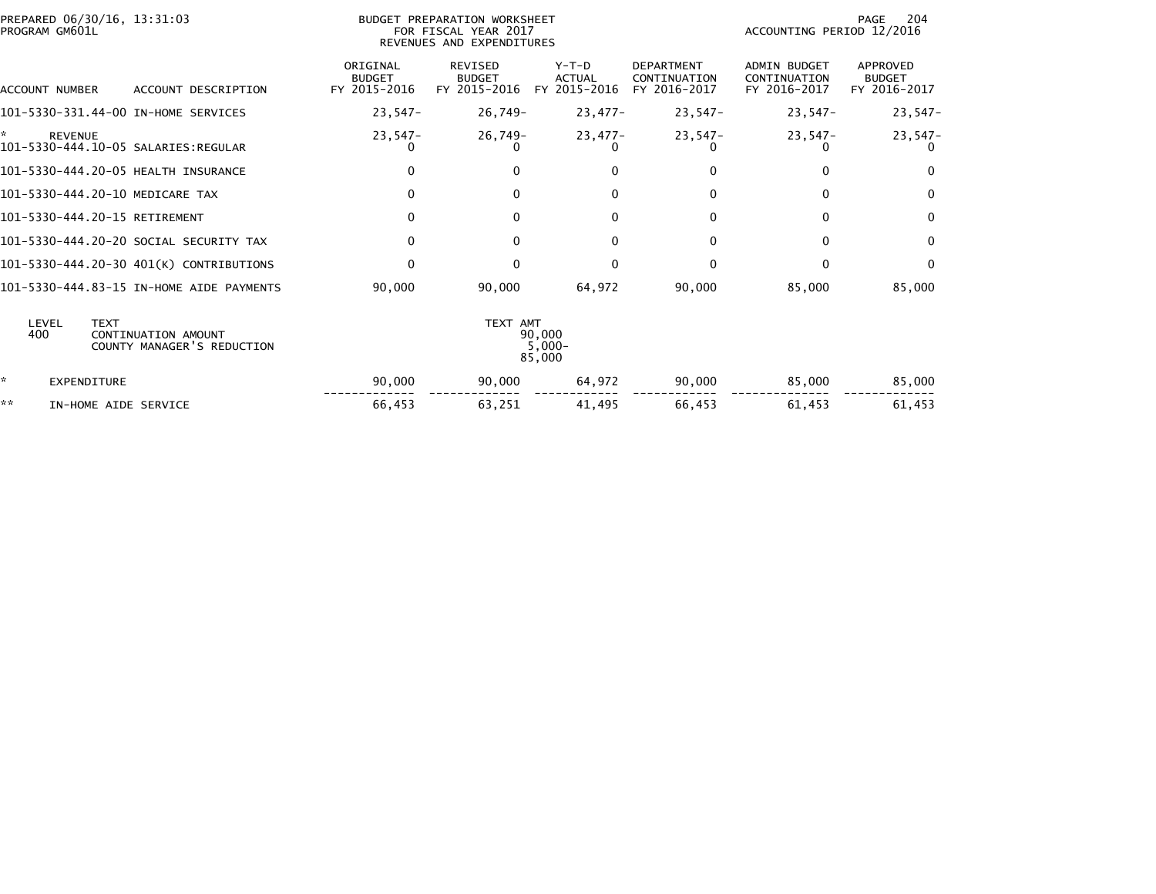|    | PROGRAM GM601L     | PREPARED 06/30/16, 13:31:03                                      |                                           | BUDGET PREPARATION WORKSHEET<br>FOR FISCAL YEAR 2017<br>REVENUES AND EXPENDITURES |                                          |                                                   | ACCOUNTING PERIOD 12/2016                           | 204<br>PAGE                               |
|----|--------------------|------------------------------------------------------------------|-------------------------------------------|-----------------------------------------------------------------------------------|------------------------------------------|---------------------------------------------------|-----------------------------------------------------|-------------------------------------------|
|    | ACCOUNT NUMBER     | ACCOUNT DESCRIPTION                                              | ORIGINAL<br><b>BUDGET</b><br>FY 2015-2016 | <b>REVISED</b><br><b>BUDGET</b><br>FY 2015-2016                                   | $Y-T-D$<br><b>ACTUAL</b><br>FY 2015-2016 | <b>DEPARTMENT</b><br>CONTINUATION<br>FY 2016-2017 | <b>ADMIN BUDGET</b><br>CONTINUATION<br>FY 2016-2017 | APPROVED<br><b>BUDGET</b><br>FY 2016-2017 |
|    |                    | 101-5330-331.44-00 IN-HOME SERVICES                              | $23,547-$                                 | 26,749–                                                                           | 23,477-                                  | 23,547-                                           | $23,547-$                                           | $23,547-$                                 |
| ×. | <b>REVENUE</b>     | 101-5330-444.10-05 SALARIES:REGULAR                              | $23.547-$<br>U                            | 26,749-                                                                           | 23,477-                                  | $23.547-$                                         | $23.547-$                                           | $23,547-$<br>0                            |
|    |                    | 101-5330-444.20-05 HEALTH INSURANCE                              | $\mathbf{0}$                              | 0                                                                                 | 0                                        | $\mathbf{0}$                                      | 0                                                   | $\Omega$                                  |
|    |                    | 101-5330-444.20-10 MEDICARE TAX                                  | $\mathbf{0}$                              | $\Omega$                                                                          | 0                                        | $\mathbf{0}$                                      | $\Omega$                                            | $\Omega$                                  |
|    |                    | 101-5330-444.20-15 RETIREMENT                                    | 0                                         | $\Omega$                                                                          | $\Omega$                                 | 0                                                 | $\Omega$                                            | $\mathbf 0$                               |
|    |                    | 101-5330-444.20-20 SOCIAL SECURITY TAX                           | $\Omega$                                  | $\Omega$                                                                          | $\Omega$                                 | $\mathbf{0}$                                      | $\Omega$                                            | $\mathbf{0}$                              |
|    |                    | 101-5330-444.20-30 401(K) CONTRIBUTIONS                          | 0                                         | $\Omega$                                                                          | $\Omega$                                 | 0                                                 | 0                                                   | $\mathbf{0}$                              |
|    |                    | 101-5330-444.83-15 IN-HOME AIDE PAYMENTS                         | 90,000                                    | 90,000                                                                            | 64,972                                   | 90,000                                            | 85,000                                              | 85,000                                    |
|    | LEVEL<br>400       | <b>TEXT</b><br>CONTINUATION AMOUNT<br>COUNTY MANAGER'S REDUCTION |                                           | TEXT AMT                                                                          | 90,000<br>$5,000 -$<br>85,000            |                                                   |                                                     |                                           |
| *. | <b>EXPENDITURE</b> |                                                                  | 90,000                                    | 90,000                                                                            | 64,972                                   | 90,000                                            | 85,000                                              | 85,000                                    |
| ** |                    | IN-HOME AIDE SERVICE                                             | 66,453                                    | 63,251                                                                            | 41,495                                   | 66,453                                            | 61,453                                              | 61,453                                    |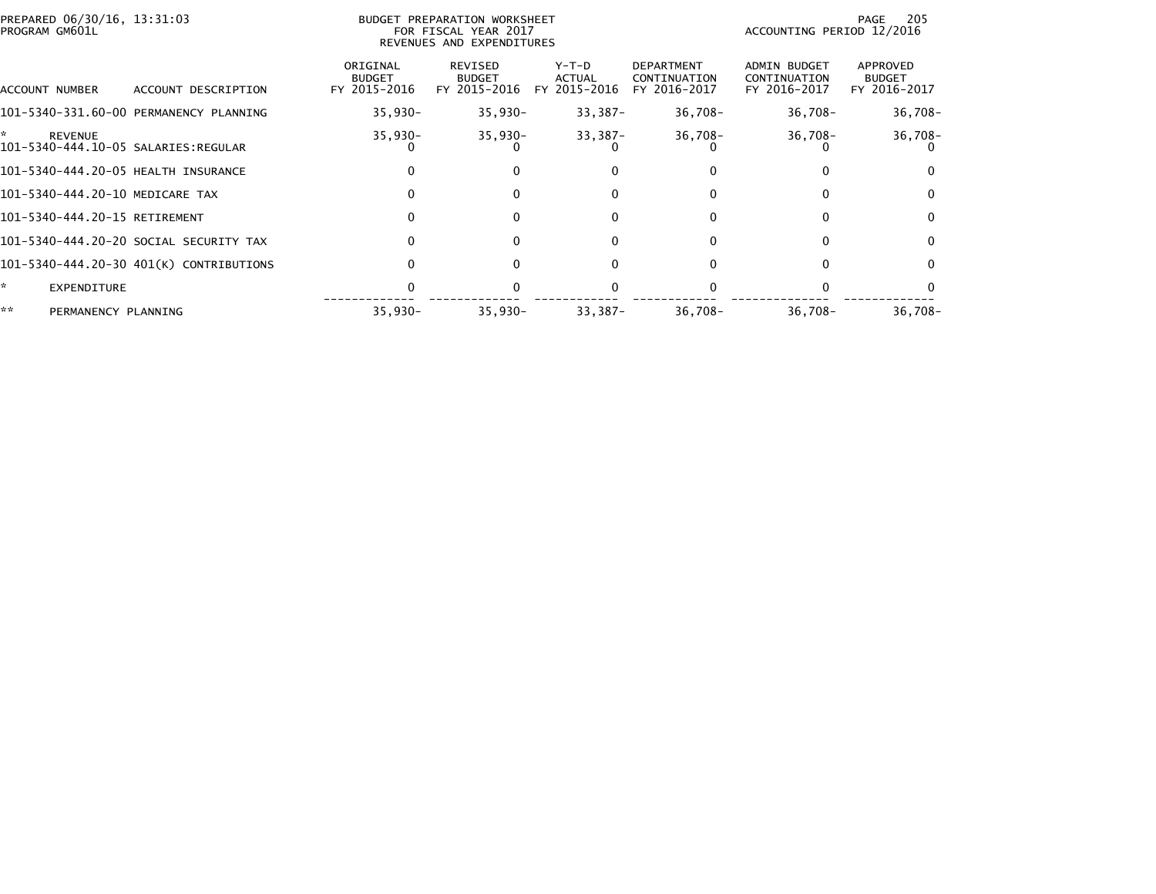| PREPARED 06/30/16, 13:31:03<br>PROGRAM GM601L               |                                         |                                           | BUDGET PREPARATION WORKSHEET<br>FOR FISCAL YEAR 2017<br>REVENUES AND EXPENDITURES |                                        |                                                   | ACCOUNTING PERIOD 12/2016                    | 205<br>PAGE                               |
|-------------------------------------------------------------|-----------------------------------------|-------------------------------------------|-----------------------------------------------------------------------------------|----------------------------------------|---------------------------------------------------|----------------------------------------------|-------------------------------------------|
| ACCOUNT NUMBER                                              | ACCOUNT DESCRIPTION                     | ORIGINAL<br><b>BUDGET</b><br>FY 2015-2016 | REVISED<br><b>BUDGET</b><br>FY 2015-2016                                          | Y-T-D<br><b>ACTUAL</b><br>FY 2015-2016 | <b>DEPARTMENT</b><br>CONTINUATION<br>FY 2016-2017 | ADMIN BUDGET<br>CONTINUATION<br>FY 2016-2017 | APPROVED<br><b>BUDGET</b><br>FY 2016-2017 |
|                                                             | 101-5340-331.60-00 PERMANENCY PLANNING  | $35,930 -$                                | $35,930-$                                                                         | $33,387-$                              | $36,708 -$                                        | $36,708-$                                    | $36,708-$                                 |
| ÷.<br><b>REVENUE</b><br>101-5340-444.10-05 SALARIES:REGULAR |                                         | $35,930 -$                                | 35,930-                                                                           | $33,387-$                              | $36,708 -$                                        | $36,708 -$                                   | $36,708-$                                 |
| 101-5340-444.20-05 HEALTH INSURANCE                         |                                         |                                           |                                                                                   | 0                                      |                                                   |                                              |                                           |
| 101-5340-444.20-10 MEDICARE TAX                             |                                         |                                           | $\Omega$                                                                          | 0                                      | 0                                                 | $\Omega$                                     | $\Omega$                                  |
| 101-5340-444.20-15 RETIREMENT                               |                                         |                                           | $\Omega$                                                                          | $\Omega$                               | 0                                                 | $\Omega$                                     | $\Omega$                                  |
|                                                             | 101-5340-444.20-20 SOCIAL SECURITY TAX  |                                           | $\Omega$                                                                          | 0                                      | 0                                                 | 0                                            | $\mathbf{0}$                              |
|                                                             | 101-5340-444.20-30 401(K) CONTRIBUTIONS |                                           | $\Omega$                                                                          | 0                                      |                                                   | 0                                            | 0                                         |
| ÷.<br><b>EXPENDITURE</b>                                    |                                         |                                           |                                                                                   |                                        |                                                   |                                              |                                           |
| **<br>PERMANENCY PLANNING                                   |                                         | $35,930 -$                                | $35,930 -$                                                                        | $33,387-$                              | $36,708-$                                         | $36,708-$                                    | $36,708-$                                 |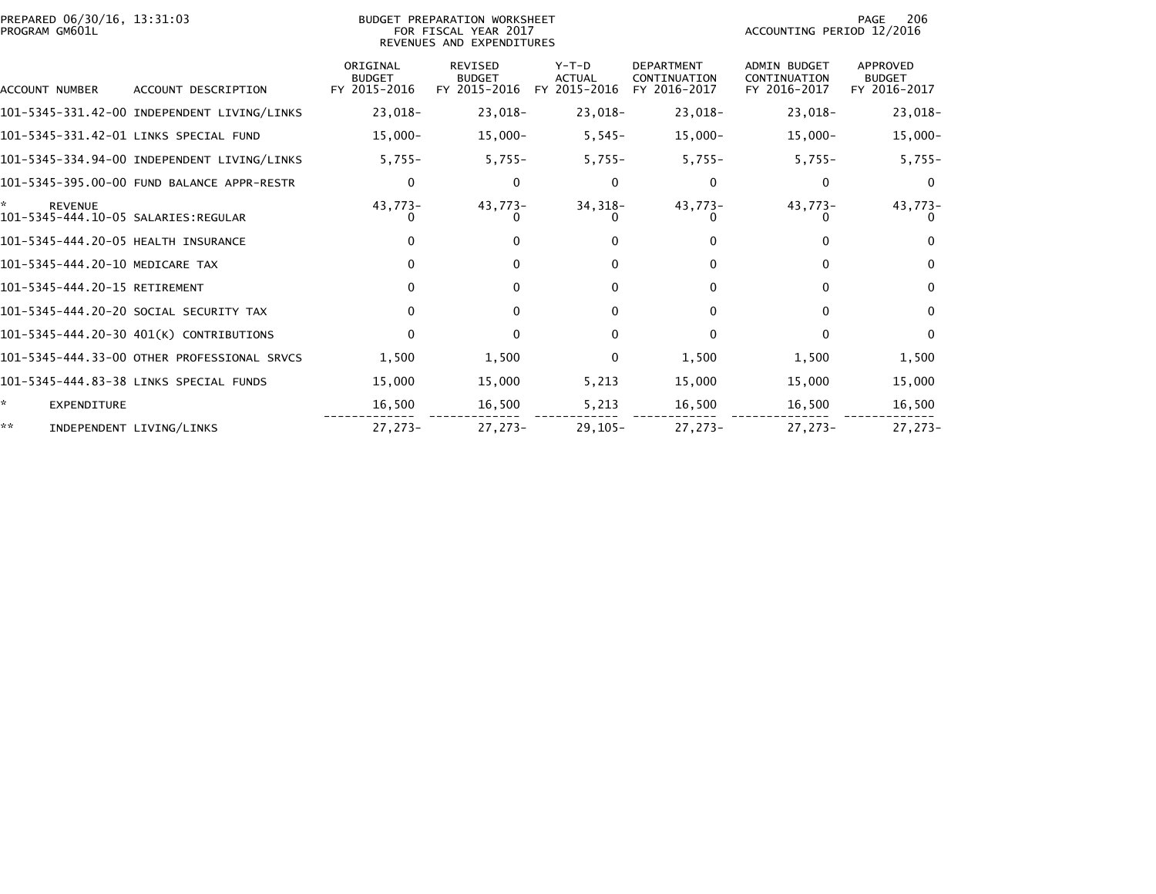| PREPARED 06/30/16, 13:31:03<br>PROGRAM GM601L               |                                             |                                           | BUDGET PREPARATION WORKSHEET<br>FOR FISCAL YEAR 2017<br>REVENUES AND EXPENDITURES |                                          |                                                   | ACCOUNTING PERIOD 12/2016                           | PAGE<br>206                               |
|-------------------------------------------------------------|---------------------------------------------|-------------------------------------------|-----------------------------------------------------------------------------------|------------------------------------------|---------------------------------------------------|-----------------------------------------------------|-------------------------------------------|
| ACCOUNT NUMBER                                              | ACCOUNT DESCRIPTION                         | ORIGINAL<br><b>BUDGET</b><br>FY 2015-2016 | REVISED<br><b>BUDGET</b><br>FY 2015-2016                                          | $Y-T-D$<br><b>ACTUAL</b><br>FY 2015-2016 | <b>DEPARTMENT</b><br>CONTINUATION<br>FY 2016-2017 | <b>ADMIN BUDGET</b><br>CONTINUATION<br>FY 2016-2017 | APPROVED<br><b>BUDGET</b><br>FY 2016-2017 |
|                                                             | 101-5345-331.42-00 INDEPENDENT LIVING/LINKS | 23,018-                                   | $23,018-$                                                                         | 23,018-                                  | 23,018-                                           | $23,018-$                                           | $23,018-$                                 |
|                                                             | 101-5345-331.42-01 LINKS SPECIAL FUND       | $15,000 -$                                | $15,000-$                                                                         | $5,545-$                                 | $15,000-$                                         | $15,000-$                                           | $15,000-$                                 |
|                                                             | 101-5345-334.94-00 INDEPENDENT LIVING/LINKS | $5,755-$                                  | $5,755-$                                                                          | $5,755-$                                 | $5,755-$                                          | $5,755-$                                            | $5,755-$                                  |
|                                                             | 101-5345-395.00-00 FUND BALANCE APPR-RESTR  | 0                                         | $\Omega$                                                                          | 0                                        | 0                                                 | 0                                                   | $\bf{0}$                                  |
| ×.<br><b>REVENUE</b><br>101-5345-444.10-05 SALARIES:REGULAR |                                             | $43,773-$                                 | 43,773-                                                                           | 34, 318-                                 | 43,773-                                           | 43,773-                                             | 43,773-<br>0                              |
| 101-5345-444.20-05 HEALTH INSURANCE                         |                                             |                                           | 0                                                                                 | $\Omega$                                 | 0                                                 |                                                     | $\Omega$                                  |
| 101-5345-444.20-10 MEDICARE TAX                             |                                             | $\Omega$                                  | $\Omega$                                                                          | $\Omega$                                 | 0                                                 | 0                                                   | $\Omega$                                  |
| 101-5345-444.20-15 RETIREMENT                               |                                             |                                           | 0                                                                                 | $\Omega$                                 | 0                                                 | 0                                                   | $\Omega$                                  |
|                                                             | 101-5345-444.20-20 SOCIAL SECURITY TAX      |                                           | 0                                                                                 | $\Omega$                                 | 0                                                 | U                                                   | $\Omega$                                  |
|                                                             | 101-5345-444.20-30 401(K) CONTRIBUTIONS     | $\Omega$                                  | $\Omega$                                                                          | $\Omega$                                 | $\Omega$                                          | $\Omega$                                            | $\Omega$                                  |
|                                                             | 101-5345-444.33-00 OTHER PROFESSIONAL SRVCS | 1,500                                     | 1,500                                                                             | $\mathbf{0}$                             | 1,500                                             | 1,500                                               | 1,500                                     |
|                                                             | 101-5345-444.83-38 LINKS SPECIAL FUNDS      | 15,000                                    | 15,000                                                                            | 5,213                                    | 15,000                                            | 15,000                                              | 15,000                                    |
| ŵ.<br><b>EXPENDITURE</b>                                    |                                             | 16,500                                    | 16,500                                                                            | 5,213                                    | 16,500                                            | 16,500                                              | 16,500                                    |
| **                                                          | INDEPENDENT LIVING/LINKS                    | 27,273-                                   | $27,273-$                                                                         | $29,105 -$                               | 27,273-                                           | $27,273-$                                           | $27,273-$                                 |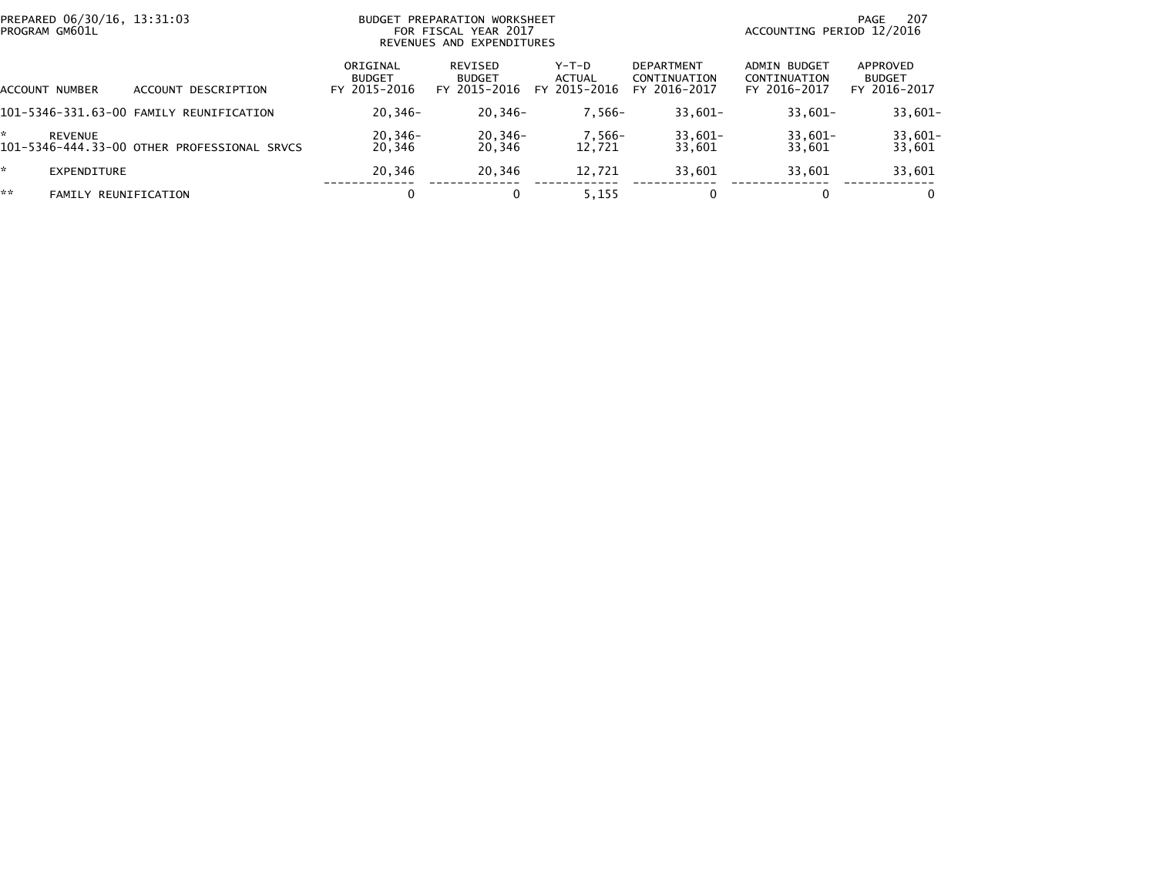| PREPARED 06/30/16, 13:31:03<br>PROGRAM GM601L |                                             | BUDGET PREPARATION WORKSHEET<br>FOR FISCAL YEAR 2017<br>REVENUES AND EXPENDITURES |                                          |                                 |                                                   | -207<br>PAGE<br>ACCOUNTING PERIOD 12/2016    |                                           |  |
|-----------------------------------------------|---------------------------------------------|-----------------------------------------------------------------------------------|------------------------------------------|---------------------------------|---------------------------------------------------|----------------------------------------------|-------------------------------------------|--|
| ACCOUNT NUMBER                                | DESCRIPTION<br><b>ACCOUNT</b>               | ORIGINAL<br><b>BUDGET</b><br>FY 2015-2016                                         | REVISED<br><b>BUDGET</b><br>FY 2015-2016 | Y-T-D<br>ACTUAL<br>FY 2015-2016 | <b>DEPARTMENT</b><br>CONTINUATION<br>FY 2016-2017 | ADMIN BUDGET<br>CONTINUATION<br>FY 2016-2017 | APPROVED<br><b>BUDGET</b><br>FY 2016-2017 |  |
|                                               | 101-5346-331.63-00 FAMILY REUNIFICATION     | $20,346-$                                                                         | $20,346-$                                | $7.566-$                        | $33.601 -$                                        | $33,601-$                                    | $33,601 -$                                |  |
| <b>REVENUE</b>                                | 101-5346-444.33-00 OTHER PROFESSIONAL SRVCS | $20,346-$<br>20,346                                                               | 20,346-<br>20,346                        | 7,566-<br>12.721                | $33,601-$<br>33,601                               | $33,601-$<br>33,601                          | $33,601-$<br>33,601                       |  |
| <b>EXPENDITURE</b>                            |                                             | 20.346                                                                            | 20.346                                   | 12,721                          | 33,601                                            | 33,601                                       | 33,601                                    |  |
| **<br>FAMILY                                  | REUNIFICATION                               | 0                                                                                 |                                          | 5,155                           | 0                                                 |                                              | $\Omega$                                  |  |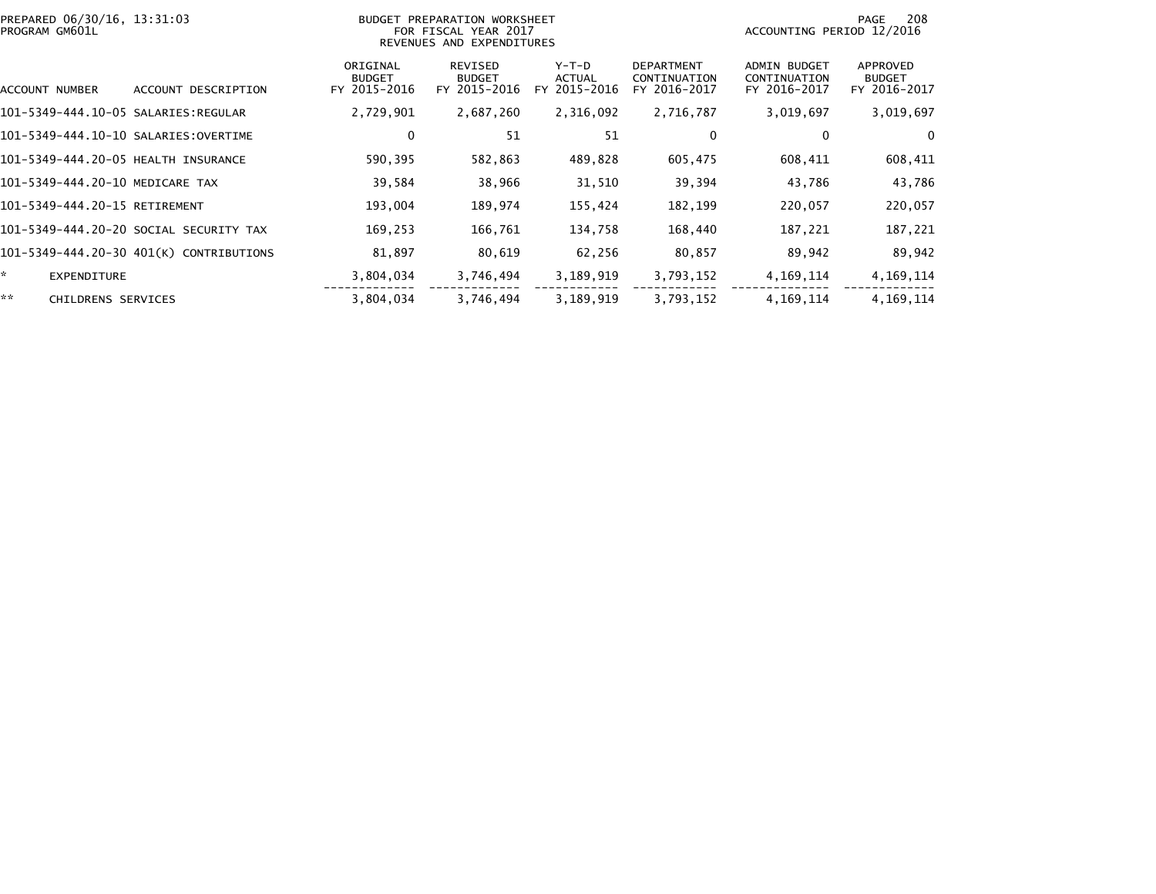| PREPARED 06/30/16, 13:31:03<br>PROGRAM GM601L |                                         |                                           | BUDGET PREPARATION WORKSHEET<br>FOR FISCAL YEAR 2017<br>REVENUES AND EXPENDITURES |                                        | 208<br>PAGE<br>ACCOUNTING PERIOD 12/2016          |                                                     |                                           |
|-----------------------------------------------|-----------------------------------------|-------------------------------------------|-----------------------------------------------------------------------------------|----------------------------------------|---------------------------------------------------|-----------------------------------------------------|-------------------------------------------|
| ACCOUNT NUMBER                                | ACCOUNT DESCRIPTION                     | ORIGINAL<br><b>BUDGET</b><br>FY 2015-2016 | REVISED<br><b>BUDGET</b><br>FY 2015-2016                                          | Y-T-D<br><b>ACTUAL</b><br>FY 2015-2016 | <b>DEPARTMENT</b><br>CONTINUATION<br>FY 2016-2017 | <b>ADMIN BUDGET</b><br>CONTINUATION<br>FY 2016-2017 | APPROVED<br><b>BUDGET</b><br>FY 2016-2017 |
| 101-5349-444.10-05 SALARIES:REGULAR           |                                         | 2,729,901                                 | 2,687,260                                                                         | 2,316,092                              | 2,716,787                                         | 3,019,697                                           | 3,019,697                                 |
| 101-5349-444.10-10 SALARIES:OVERTIME          |                                         | 0                                         | 51                                                                                | 51                                     | $\mathbf{0}$                                      |                                                     | 0                                         |
| 101-5349-444.20-05 HEALTH INSURANCE           |                                         | 590,395                                   | 582,863                                                                           | 489,828                                | 605,475                                           | 608,411                                             | 608,411                                   |
| 101-5349-444.20-10 MEDICARE TAX               |                                         | 39,584                                    | 38,966                                                                            | 31,510                                 | 39,394                                            | 43,786                                              | 43,786                                    |
| 101-5349-444.20-15 RETIREMENT                 |                                         | 193,004                                   | 189,974                                                                           | 155,424                                | 182,199                                           | 220,057                                             | 220,057                                   |
|                                               | 101-5349-444.20-20 SOCIAL SECURITY TAX  | 169,253                                   | 166,761                                                                           | 134,758                                | 168,440                                           | 187,221                                             | 187,221                                   |
|                                               | 101-5349-444.20-30 401(K) CONTRIBUTIONS | 81,897                                    | 80,619                                                                            | 62,256                                 | 80,857                                            | 89,942                                              | 89,942                                    |
| EXPENDITURE                                   |                                         | 3,804,034                                 | 3,746,494                                                                         | 3,189,919                              | 3,793,152                                         | 4, 169, 114                                         | 4, 169, 114                               |
| **<br><b>CHILDRENS SERVICES</b>               |                                         | 3,804,034                                 | 3,746,494                                                                         | 3,189,919                              | 3,793,152                                         | 4, 169, 114                                         | 4, 169, 114                               |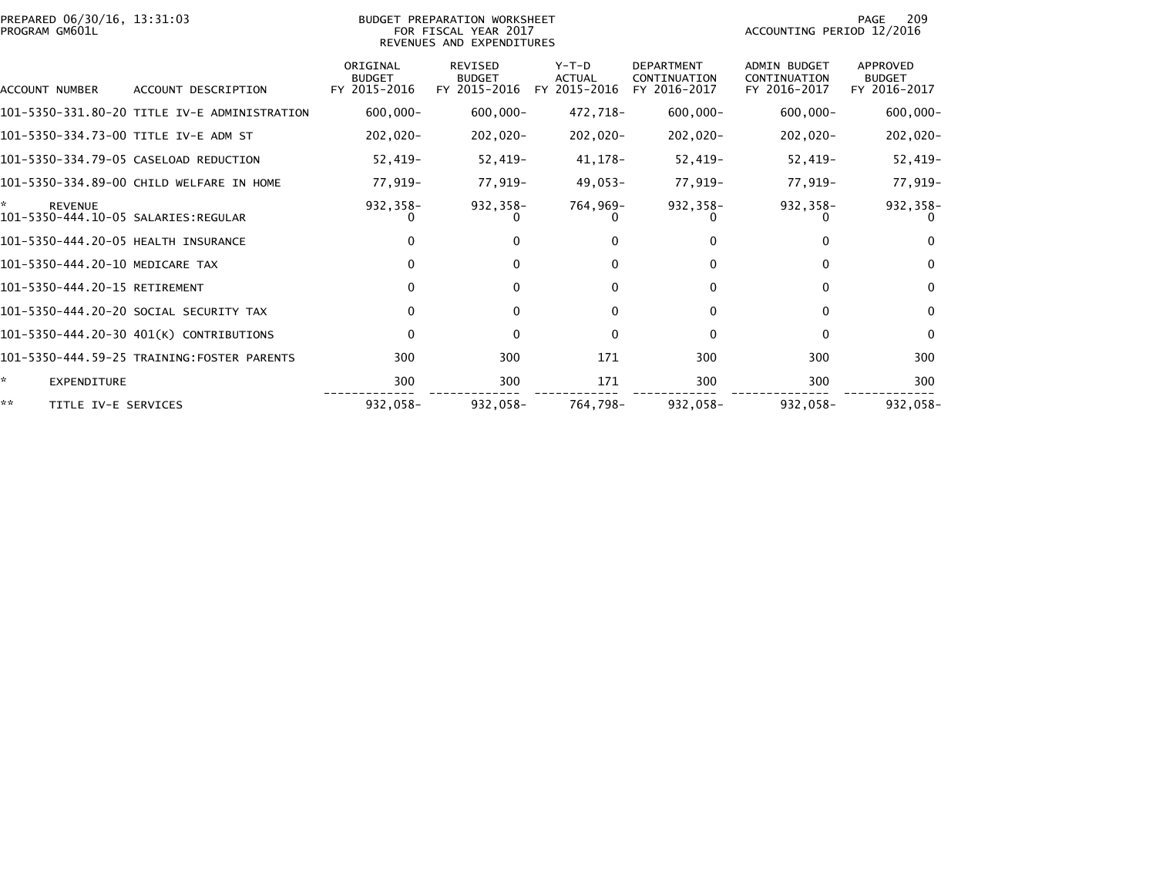| PREPARED 06/30/16, 13:31:03<br>PROGRAM GM601L |                                              |                                           | BUDGET PREPARATION WORKSHEET<br>FOR FISCAL YEAR 2017<br>REVENUES AND EXPENDITURES |                                          |                                                   | ACCOUNTING PERIOD 12/2016                           | 209<br>PAGE                               |
|-----------------------------------------------|----------------------------------------------|-------------------------------------------|-----------------------------------------------------------------------------------|------------------------------------------|---------------------------------------------------|-----------------------------------------------------|-------------------------------------------|
| ACCOUNT NUMBER                                | ACCOUNT DESCRIPTION                          | ORIGINAL<br><b>BUDGET</b><br>FY 2015-2016 | REVISED<br><b>BUDGET</b><br>FY 2015-2016                                          | $Y-T-D$<br><b>ACTUAL</b><br>FY 2015-2016 | <b>DEPARTMENT</b><br>CONTINUATION<br>FY 2016-2017 | <b>ADMIN BUDGET</b><br>CONTINUATION<br>FY 2016-2017 | APPROVED<br><b>BUDGET</b><br>FY 2016-2017 |
|                                               | 101-5350-331.80-20 TITLE IV-E ADMINISTRATION | $600.000 -$                               | $600,000 -$                                                                       | 472,718-                                 | $600,000 -$                                       | $600.000 -$                                         | $600,000 -$                               |
|                                               | 101–5350–334.73–00 TITLE IV-E ADM ST         | -020, 202                                 | $202,020-$                                                                        | $202,020-$                               | $202,020-$                                        | 202,020-                                            | $202,020-$                                |
|                                               | 101-5350-334.79-05 CASELOAD REDUCTION        | $52.419 -$                                | 52,419-                                                                           | 41,178-                                  | $52,419-$                                         | $52,419-$                                           | $52,419-$                                 |
|                                               | 101-5350-334.89-00 CHILD WELFARE IN HOME     | 77,919–                                   | 77,919–                                                                           | 49,053-                                  | 77,919-                                           | 77,919-                                             | 77,919-                                   |
| ÷.<br><b>REVENUE</b>                          |                                              | 932,358-                                  | $932, 358 -$                                                                      | 764,969-                                 | 932,358-                                          | $932, 358 -$                                        | 932,358-                                  |
|                                               | 101-5350-444.20-05 HEALTH INSURANCE          |                                           |                                                                                   | 0                                        | 0                                                 |                                                     | $\Omega$                                  |
| 101-5350-444.20-10 MEDICARE TAX               |                                              | $\Omega$                                  | 0                                                                                 | $\Omega$                                 | $\Omega$                                          | $\Omega$                                            | $\bf{0}$                                  |
| 101-5350-444.20-15 RETIREMENT                 |                                              | 0                                         | $\Omega$                                                                          | $\mathbf{0}$                             | 0                                                 | 0                                                   | $\Omega$                                  |
|                                               | 101–5350–444.20–20 SOCIAL SECURITY TAX       | $\Omega$                                  | $\Omega$                                                                          | $\mathbf{0}$                             | $\mathbf{0}$                                      | $\Omega$                                            | $\Omega$                                  |
|                                               | 101-5350-444.20-30 401(K) CONTRIBUTIONS      | $\Omega$                                  | $\Omega$                                                                          | $\Omega$                                 | $\Omega$                                          | $\Omega$                                            | $\Omega$                                  |
|                                               | 101-5350-444.59-25 TRAINING:FOSTER PARENTS   | 300                                       | 300                                                                               | 171                                      | 300                                               | 300                                                 | 300                                       |
| ŵ.<br>EXPENDITURE                             |                                              | 300                                       | 300                                                                               | 171                                      | 300                                               | 300                                                 | 300                                       |
| **<br>TITLE IV-E SERVICES                     |                                              | $932.058 -$                               | $932,058-$                                                                        | 764.798-                                 | $932.058 -$                                       | $932.058 -$                                         | 932,058-                                  |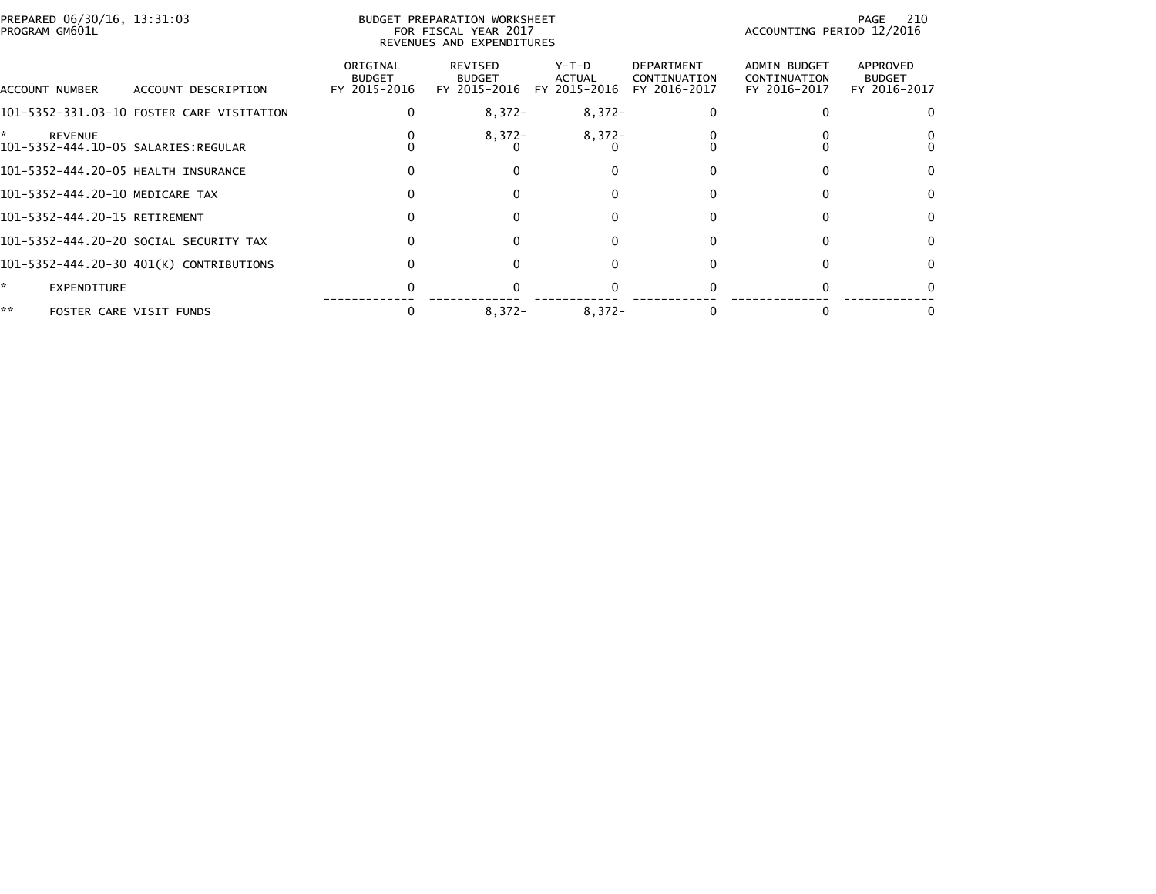| PREPARED 06/30/16, 13:31:03<br>PROGRAM GM601L         |                                           | BUDGET PREPARATION WORKSHEET<br>FOR FISCAL YEAR 2017<br>REVENUES AND EXPENDITURES |                                          |                                 |                                            |                                              | 210<br>PAGE<br>ACCOUNTING PERIOD 12/2016  |  |
|-------------------------------------------------------|-------------------------------------------|-----------------------------------------------------------------------------------|------------------------------------------|---------------------------------|--------------------------------------------|----------------------------------------------|-------------------------------------------|--|
| ACCOUNT NUMBER                                        | ACCOUNT DESCRIPTION                       | ORIGINAL<br><b>BUDGET</b><br>FY 2015-2016                                         | REVISED<br><b>BUDGET</b><br>FY 2015-2016 | Y-T-D<br>ACTUAL<br>FY 2015-2016 | DEPARTMENT<br>CONTINUATION<br>FY 2016-2017 | ADMIN BUDGET<br>CONTINUATION<br>FY 2016-2017 | APPROVED<br><b>BUDGET</b><br>FY 2016-2017 |  |
|                                                       | 101-5352-331.03-10 FOSTER CARE VISITATION |                                                                                   | $8,372-$                                 | $8,372-$                        |                                            |                                              |                                           |  |
| <b>REVENUE</b><br>101-5352-444.10-05 SALARIES:REGULAR |                                           |                                                                                   | $8,372-$                                 | $8,372-$                        |                                            |                                              |                                           |  |
| 101-5352-444.20-05 HEALTH INSURANCE                   |                                           |                                                                                   |                                          |                                 |                                            |                                              |                                           |  |
| 101-5352-444.20-10 MEDICARE TAX                       |                                           |                                                                                   |                                          |                                 |                                            |                                              |                                           |  |
| 101-5352-444.20-15 RETIREMENT                         |                                           |                                                                                   | $\Omega$                                 | O                               |                                            | <sup>0</sup>                                 | $\Omega$                                  |  |
|                                                       | 101-5352-444.20-20 SOCIAL SECURITY TAX    |                                                                                   | $\Omega$                                 | 0                               |                                            | $\Omega$                                     | $\Omega$                                  |  |
|                                                       | 101-5352-444.20-30 401(K) CONTRIBUTIONS   |                                                                                   | $\Omega$                                 | 0                               |                                            |                                              | $\Omega$                                  |  |
| *.<br>EXPENDITURE                                     |                                           |                                                                                   |                                          |                                 |                                            |                                              |                                           |  |
| **                                                    | FOSTER CARE VISIT FUNDS                   |                                                                                   | $8,372-$                                 | $8,372-$                        |                                            |                                              |                                           |  |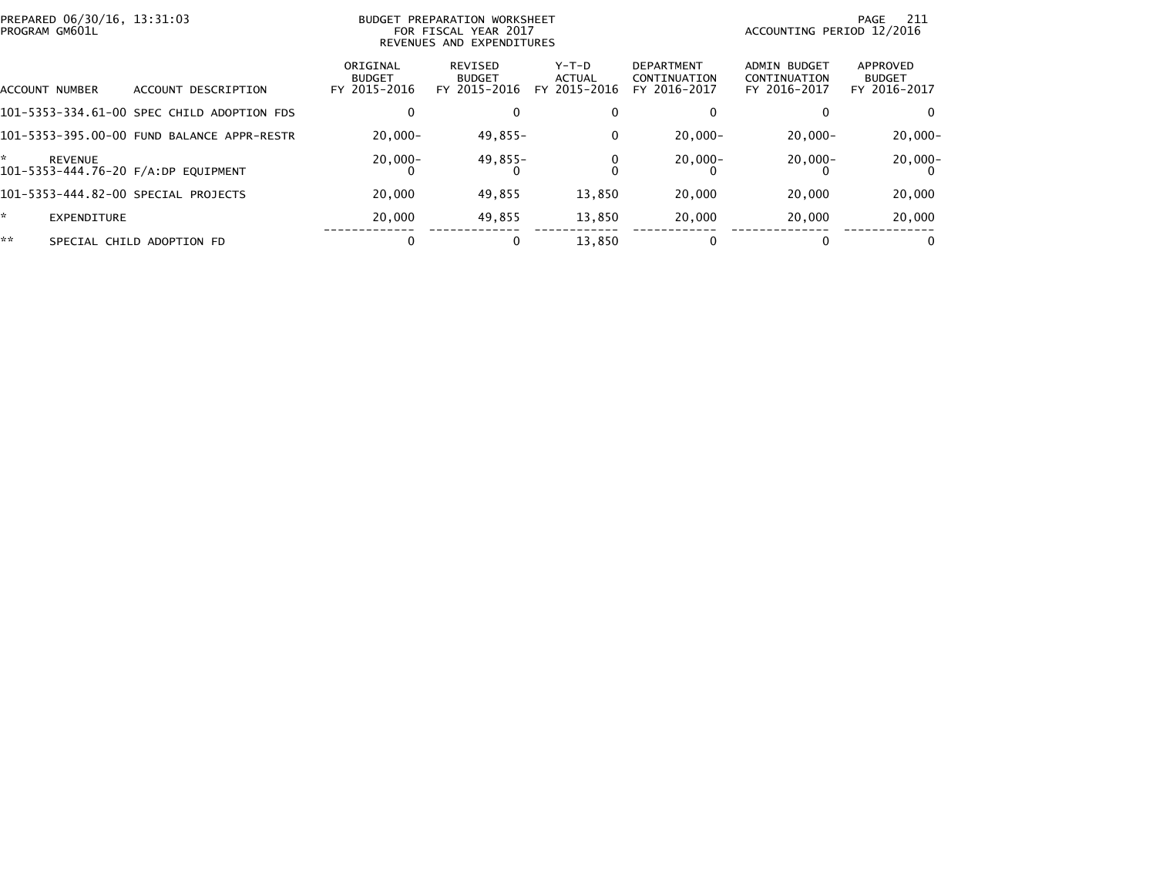|    | PREPARED 06/30/16, 13:31:03<br>BUDGET PREPARATION WORKSHEET<br>PROGRAM GM601L<br>FOR FISCAL YEAR 2017<br>REVENUES AND EXPENDITURES |                                            |                                           |                                          |                                        | -211<br>PAGE<br>ACCOUNTING PERIOD 12/2016         |                                              |                                           |
|----|------------------------------------------------------------------------------------------------------------------------------------|--------------------------------------------|-------------------------------------------|------------------------------------------|----------------------------------------|---------------------------------------------------|----------------------------------------------|-------------------------------------------|
|    | ACCOUNT NUMBER                                                                                                                     | ACCOUNT DESCRIPTION                        | ORIGINAL<br><b>BUDGET</b><br>FY 2015-2016 | REVISED<br><b>BUDGET</b><br>FY 2015-2016 | Y-T-D<br><b>ACTUAL</b><br>FY 2015-2016 | <b>DEPARTMENT</b><br>CONTINUATION<br>FY 2016-2017 | ADMIN BUDGET<br>CONTINUATION<br>FY 2016-2017 | APPROVED<br><b>BUDGET</b><br>FY 2016-2017 |
|    |                                                                                                                                    | 101-5353-334.61-00 SPEC CHILD ADOPTION FDS |                                           | 0                                        | 0                                      |                                                   |                                              |                                           |
|    |                                                                                                                                    | 101-5353-395.00-00 FUND BALANCE APPR-RESTR | $20.000 -$                                | 49,855-                                  | 0                                      | $20.000 -$                                        | $20,000 -$                                   | $20,000 -$                                |
| *  | <b>REVENUE</b>                                                                                                                     | 101-5353-444.76-20 F/A:DP EQUIPMENT        | $20,000 -$                                | 49,855-                                  | 0                                      | $20,000-$                                         | $20,000-$                                    | $20,000-$                                 |
|    |                                                                                                                                    | 101-5353-444.82-00 SPECIAL PROJECTS        | 20,000                                    | 49,855                                   | 13,850                                 | 20,000                                            | 20,000                                       | 20,000                                    |
| ÷. | EXPENDITURE                                                                                                                        |                                            | 20,000                                    | 49,855                                   | 13,850                                 | 20,000                                            | 20,000                                       | 20,000                                    |
| ** |                                                                                                                                    | SPECIAL CHILD ADOPTION FD                  |                                           | $\mathbf{0}$                             | 13.850                                 | 0                                                 | 0                                            | 0                                         |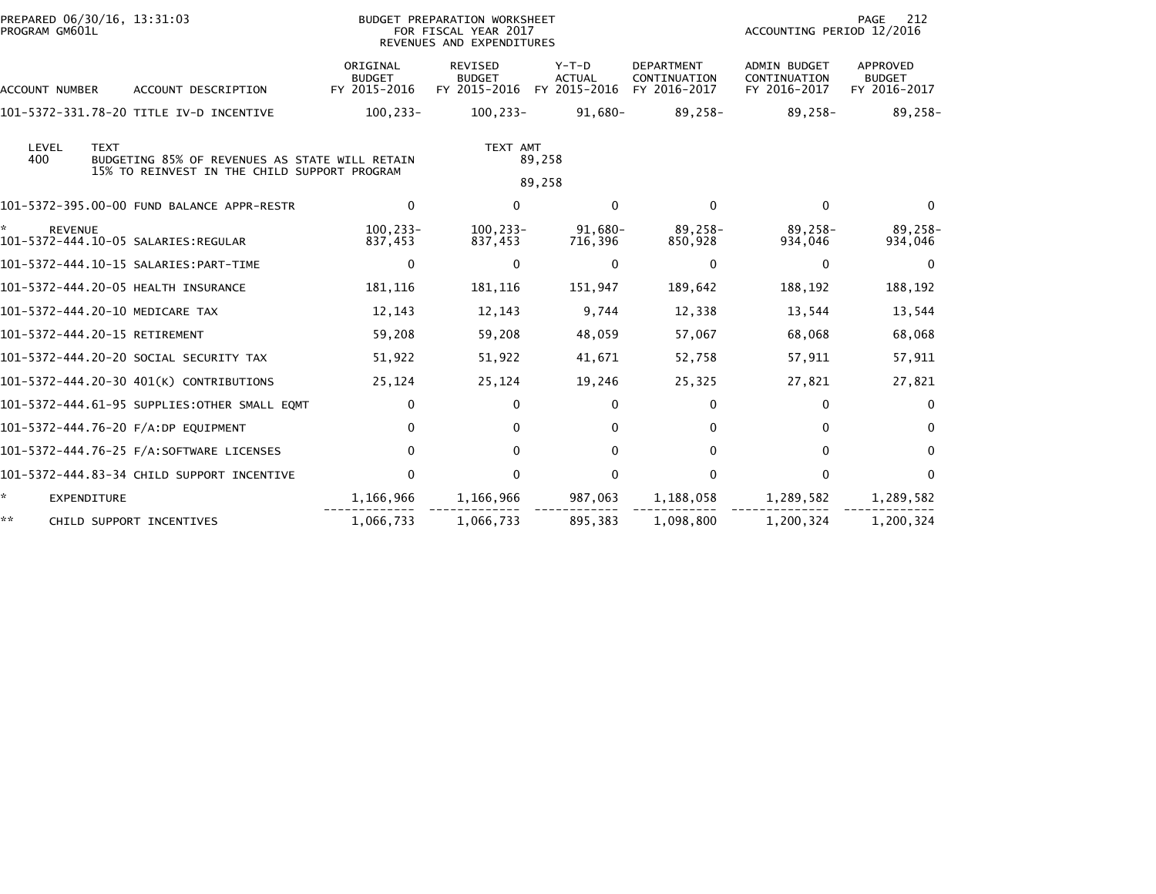| PREPARED 06/30/16, 13:31:03<br>PROGRAM GM601L         |                                                                                                | BUDGET PREPARATION WORKSHEET<br>FOR FISCAL YEAR 2017<br>REVENUES AND EXPENDITURES |                                          |                                                   | PAGE<br>212<br>ACCOUNTING PERIOD 12/2016            |                                           |
|-------------------------------------------------------|------------------------------------------------------------------------------------------------|-----------------------------------------------------------------------------------|------------------------------------------|---------------------------------------------------|-----------------------------------------------------|-------------------------------------------|
| ACCOUNT DESCRIPTION<br><b>ACCOUNT NUMBER</b>          | ORIGINAL<br><b>BUDGET</b><br>FY 2015-2016                                                      | <b>REVISED</b><br><b>BUDGET</b><br>FY 2015-2016                                   | $Y-T-D$<br><b>ACTUAL</b><br>FY 2015-2016 | <b>DEPARTMENT</b><br>CONTINUATION<br>FY 2016-2017 | <b>ADMIN BUDGET</b><br>CONTINUATION<br>FY 2016-2017 | APPROVED<br><b>BUDGET</b><br>FY 2016-2017 |
| 101-5372-331.78-20 TITLE IV-D INCENTIVE               | $100, 233 -$                                                                                   | 100,233-                                                                          | 91,680-                                  | $89,258-$                                         | 89,258-                                             | $89,258-$                                 |
| LEVEL<br><b>TEXT</b><br>400                           | BUDGETING 85% OF REVENUES AS STATE WILL RETAIN<br>15% TO REINVEST IN THE CHILD SUPPORT PROGRAM | TEXT AMT                                                                          | 89,258<br>89,258                         |                                                   |                                                     |                                           |
| 101-5372-395.00-00 FUND BALANCE APPR-RESTR            | $\mathbf{0}$                                                                                   | $\mathbf{0}$                                                                      | $\Omega$                                 | $\mathbf{0}$                                      | $\mathbf{0}$                                        | $\mathbf{0}$                              |
| <b>REVENUE</b><br>101-5372-444.10-05 SALARIES:REGULAR | $100.233 -$<br>837,453                                                                         | 100,233-<br>837,453                                                               | 91.680-<br>716,396                       | 89,258-<br>850,928                                | $89.258 -$<br>934,046                               | 89.258-<br>934,046                        |
| 101-5372-444.10-15 SALARIES: PART-TIME                | $\mathbf{0}$                                                                                   | $\Omega$                                                                          | $\mathbf{0}$                             | $\bf{0}$                                          | $\bf{0}$                                            | $\Omega$                                  |
| 101-5372-444.20-05 HEALTH INSURANCE                   | 181,116                                                                                        | 181,116                                                                           | 151,947                                  | 189,642                                           | 188,192                                             | 188,192                                   |
| 101-5372-444.20-10 MEDICARE TAX                       | 12,143                                                                                         | 12,143                                                                            | 9,744                                    | 12,338                                            | 13,544                                              | 13,544                                    |
| 101-5372-444.20-15 RETIREMENT                         | 59,208                                                                                         | 59,208                                                                            | 48,059                                   | 57,067                                            | 68,068                                              | 68,068                                    |
| 101-5372-444.20-20 SOCIAL SECURITY TAX                | 51,922                                                                                         | 51,922                                                                            | 41,671                                   | 52,758                                            | 57,911                                              | 57,911                                    |
| 101-5372-444.20-30 401(K) CONTRIBUTIONS               | 25,124                                                                                         | 25,124                                                                            | 19,246                                   | 25,325                                            | 27,821                                              | 27,821                                    |
| 101-5372-444.61-95 SUPPLIES: OTHER SMALL EQMT         | 0                                                                                              | $\Omega$                                                                          | 0                                        | 0                                                 | $\Omega$                                            | $\Omega$                                  |
| 101-5372-444.76-20 F/A:DP EQUIPMENT                   | 0                                                                                              | 0                                                                                 | 0                                        | 0                                                 | $\Omega$                                            | $\Omega$                                  |
| 101-5372-444.76-25 F/A:SOFTWARE LICENSES              | 0                                                                                              | $\Omega$                                                                          | $\mathbf{0}$                             | 0                                                 | $\mathbf{0}$                                        | $\Omega$                                  |
| 101-5372-444.83-34 CHILD SUPPORT INCENTIVE            | 0                                                                                              | $\Omega$                                                                          | $\mathbf{0}$                             | $\Omega$                                          | $\Omega$                                            | $\Omega$                                  |
| $\star$<br><b>EXPENDITURE</b>                         | 1,166,966                                                                                      | 1,166,966                                                                         | 987,063                                  | 1,188,058                                         | 1,289,582                                           | 1,289,582                                 |
| **<br>CHILD SUPPORT INCENTIVES                        | 1,066,733                                                                                      | 1,066,733                                                                         | 895,383                                  | 1,098,800                                         | 1,200,324                                           | 1,200,324                                 |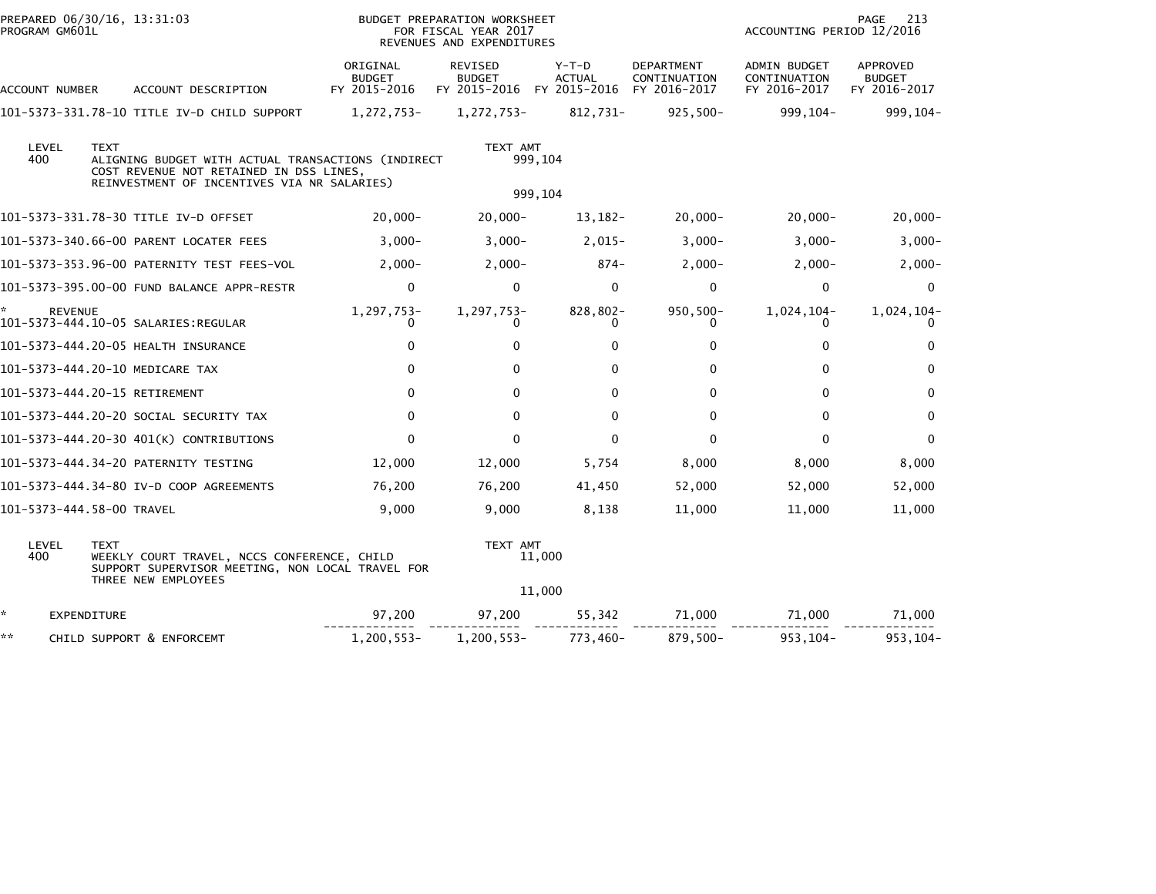| PROGRAM GM601L | PREPARED 06/30/16, 13:31:03                                                                                                                                 |                                           | BUDGET PREPARATION WORKSHEET<br>FOR FISCAL YEAR 2017<br>REVENUES AND EXPENDITURES |                        |                                            | ACCOUNTING PERIOD 12/2016                    | PAGE<br>213                               |
|----------------|-------------------------------------------------------------------------------------------------------------------------------------------------------------|-------------------------------------------|-----------------------------------------------------------------------------------|------------------------|--------------------------------------------|----------------------------------------------|-------------------------------------------|
| ACCOUNT NUMBER | ACCOUNT DESCRIPTION                                                                                                                                         | ORIGINAL<br><b>BUDGET</b><br>FY 2015-2016 | REVISED<br><b>BUDGET</b><br>FY 2015-2016 FY 2015-2016                             | Y-T-D<br><b>ACTUAL</b> | DEPARTMENT<br>CONTINUATION<br>FY 2016-2017 | ADMIN BUDGET<br>CONTINUATION<br>FY 2016-2017 | APPROVED<br><b>BUDGET</b><br>FY 2016-2017 |
|                | 101-5373-331.78-10 TITLE IV-D CHILD SUPPORT                                                                                                                 | 1,272,753-                                | 1,272,753-                                                                        | 812,731-               | $925,500 -$                                | 999,104-                                     | 999,104-                                  |
| LEVEL<br>400   | <b>TEXT</b><br>ALIGNING BUDGET WITH ACTUAL TRANSACTIONS (INDIRECT<br>COST REVENUE NOT RETAINED IN DSS LINES,<br>REINVESTMENT OF INCENTIVES VIA NR SALARIES) |                                           | TEXT AMT                                                                          | 999,104<br>999,104     |                                            |                                              |                                           |
|                | 101-5373-331.78-30 TITLE IV-D OFFSET                                                                                                                        | $20,000 -$                                | $20,000 -$                                                                        | 13,182-                | $20,000 -$                                 | $20,000 -$                                   | $20,000 -$                                |
|                | 101-5373-340.66-00 PARENT LOCATER FEES                                                                                                                      | $3,000-$                                  | $3,000-$                                                                          | $2,015-$               | $3,000-$                                   | $3,000-$                                     | $3,000-$                                  |
|                | 101-5373-353.96-00 PATERNITY TEST FEES-VOL                                                                                                                  | $2,000-$                                  | $2,000-$                                                                          | 874-                   | $2,000-$                                   | $2,000-$                                     | $2,000-$                                  |
|                | 101-5373-395.00-00 FUND BALANCE APPR-RESTR                                                                                                                  | $\mathbf 0$                               | $\mathbf 0$                                                                       | $\mathbf 0$            | 0                                          | 0                                            | $\mathbf 0$                               |
| <b>REVENUE</b> | 101-5373-444.10-05 SALARIES:REGULAR                                                                                                                         | 1,297,753-<br>0                           | 1,297,753-<br>$\Omega$                                                            | 828,802-               | 950,500-                                   | 1,024,104-<br>$\Omega$                       | 1,024,104-                                |
|                | 101-5373-444.20-05 HEALTH INSURANCE                                                                                                                         | 0                                         | $\mathbf{0}$                                                                      | 0                      | 0                                          | $\mathbf{0}$                                 | 0                                         |
|                | 101-5373-444.20-10 MEDICARE TAX                                                                                                                             | $\mathbf{0}$                              | $\Omega$                                                                          | $\Omega$               | $\mathbf{0}$                               | 0                                            | 0                                         |
|                | 101-5373-444.20-15 RETIREMENT                                                                                                                               | $\mathbf{0}$                              | 0                                                                                 | $\Omega$               | 0                                          | $\mathbf{0}$                                 | 0                                         |
|                | 101–5373–444.20–20 SOCIAL SECURITY TAX                                                                                                                      | $\mathbf{0}$                              | $\mathbf{0}$                                                                      | $\mathbf{0}$           | 0                                          | $\Omega$                                     | 0                                         |
|                | 101-5373-444.20-30 401(K) CONTRIBUTIONS                                                                                                                     | $\Omega$                                  | $\Omega$                                                                          | $\mathbf{0}$           | $\Omega$                                   | $\Omega$                                     | $\mathbf{0}$                              |
|                | 101-5373-444.34-20 PATERNITY TESTING                                                                                                                        | 12,000                                    | 12,000                                                                            | 5,754                  | 8,000                                      | 8,000                                        | 8,000                                     |
|                | 101-5373-444.34-80 IV-D COOP AGREEMENTS                                                                                                                     | 76,200                                    | 76,200                                                                            | 41,450                 | 52,000                                     | 52,000                                       | 52,000                                    |
|                | 101–5373–444.58–00 TRAVEL                                                                                                                                   | 9,000                                     | 9,000                                                                             | 8,138                  | 11,000                                     | 11,000                                       | 11,000                                    |
| LEVEL<br>400   | <b>TEXT</b><br>WEEKLY COURT TRAVEL, NCCS CONFERENCE, CHILD<br>SUPPORT SUPERVISOR MEETING, NON LOCAL TRAVEL FOR<br>THREE NEW EMPLOYEES                       |                                           | TEXT AMT                                                                          | 11,000<br>11,000       |                                            |                                              |                                           |
| *.             | EXPENDITURE                                                                                                                                                 | 97,200                                    | 97,200                                                                            | 55,342                 | 71,000                                     | 71,000                                       | 71,000                                    |
| **             | CHILD SUPPORT & ENFORCEMT                                                                                                                                   | 1,200,553-                                | $1,200,553-$                                                                      | 773,460-               | 879,500-                                   | 953, 104-                                    | 953,104-                                  |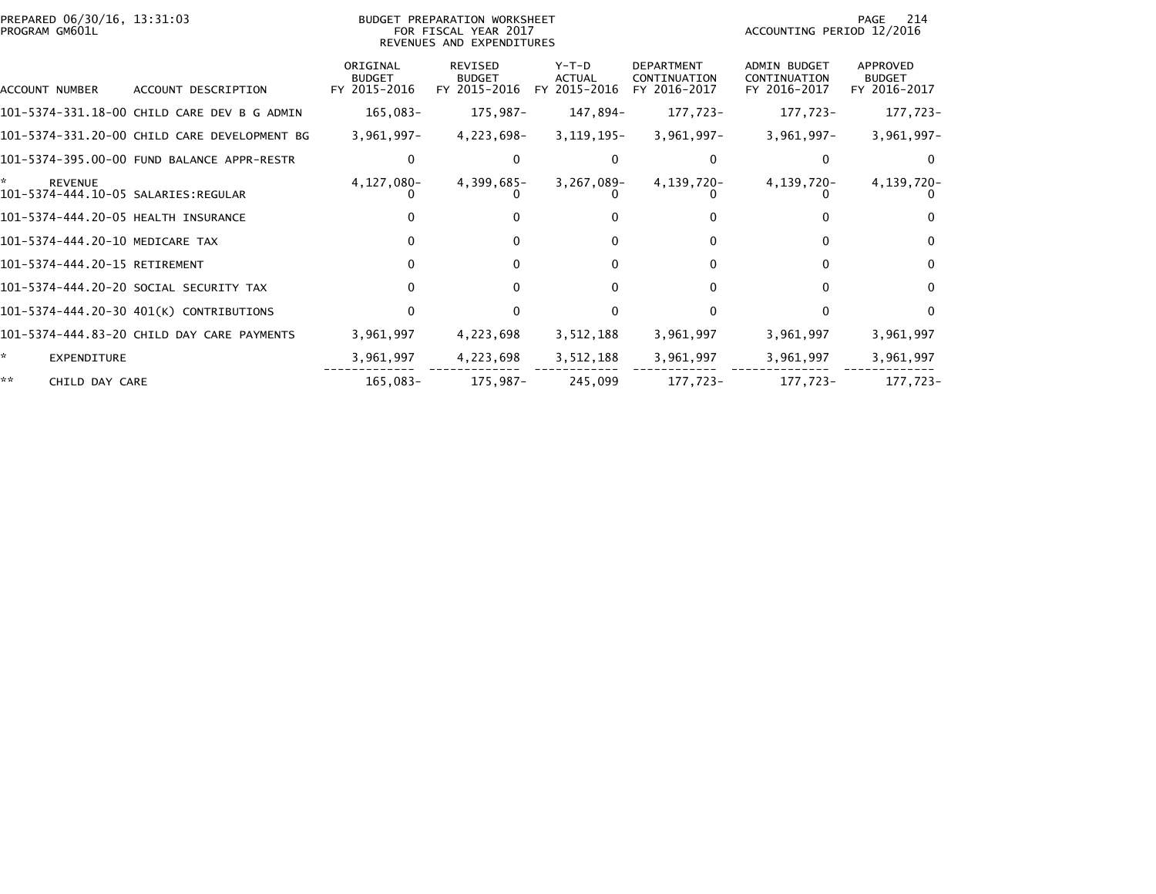| PREPARED 06/30/16, 13:31:03<br>PROGRAM GM601L               |                                              |                                           | BUDGET PREPARATION WORKSHEET<br>FOR FISCAL YEAR 2017<br>REVENUES AND EXPENDITURES | 214<br>PAGE<br>ACCOUNTING PERIOD 12/2016 |                                                   |                                                     |                                                  |
|-------------------------------------------------------------|----------------------------------------------|-------------------------------------------|-----------------------------------------------------------------------------------|------------------------------------------|---------------------------------------------------|-----------------------------------------------------|--------------------------------------------------|
| ACCOUNT NUMBER                                              | ACCOUNT DESCRIPTION                          | ORIGINAL<br><b>BUDGET</b><br>FY 2015-2016 | REVISED<br><b>BUDGET</b><br>FY 2015-2016                                          | $Y-T-D$<br><b>ACTUAL</b><br>FY 2015-2016 | <b>DEPARTMENT</b><br>CONTINUATION<br>FY 2016-2017 | <b>ADMIN BUDGET</b><br>CONTINUATION<br>FY 2016-2017 | <b>APPROVED</b><br><b>BUDGET</b><br>FY 2016-2017 |
|                                                             | 101-5374-331.18-00 CHILD CARE DEV B G ADMIN  | 165,083-                                  | 175,987-                                                                          | 147,894-                                 | 177,723-                                          | 177,723-                                            | 177,723-                                         |
|                                                             | 101-5374-331.20-00 CHILD CARE DEVELOPMENT BG | $3,961,997 -$                             | 4,223,698-                                                                        | $3, 119, 195 -$                          | $3,961,997-$                                      | $3,961,997 -$                                       | $3,961,997 -$                                    |
|                                                             | 101-5374-395.00-00 FUND BALANCE APPR-RESTR   |                                           |                                                                                   |                                          |                                                   |                                                     | $\Omega$                                         |
| ÷.<br><b>REVENUE</b><br>101-5374-444.10-05 SALARIES:REGULAR |                                              | 4,127,080-                                | 4,399,685-                                                                        | $3,267,089-$                             | 4,139,720-                                        | 4,139,720-                                          | 4,139,720-                                       |
| 101-5374-444.20-05 HEALTH INSURANCE                         |                                              |                                           |                                                                                   |                                          |                                                   |                                                     | 0                                                |
| 101-5374-444.20-10 MEDICARE TAX                             |                                              |                                           |                                                                                   | 0                                        | 0                                                 |                                                     | $\Omega$                                         |
| 101-5374-444.20-15 RETIREMENT                               |                                              |                                           | 0                                                                                 | $\Omega$                                 | 0                                                 |                                                     | $\Omega$                                         |
|                                                             | 101-5374-444.20-20 SOCIAL SECURITY TAX       |                                           |                                                                                   | O                                        |                                                   |                                                     | $\Omega$                                         |
|                                                             | 101-5374-444.20-30 401(K) CONTRIBUTIONS      |                                           |                                                                                   |                                          |                                                   |                                                     | $\Omega$                                         |
|                                                             | 101-5374-444.83-20 CHILD DAY CARE PAYMENTS   | 3,961,997                                 | 4,223,698                                                                         | 3,512,188                                | 3,961,997                                         | 3,961,997                                           | 3,961,997                                        |
| ÷.<br><b>EXPENDITURE</b>                                    |                                              | 3,961,997                                 | 4,223,698                                                                         | 3,512,188                                | 3,961,997                                         | 3,961,997                                           | 3,961,997                                        |
| **<br>CHILD DAY CARE                                        |                                              | 165,083-                                  | 175,987-                                                                          | 245,099                                  | 177,723-                                          | 177,723-                                            | 177,723-                                         |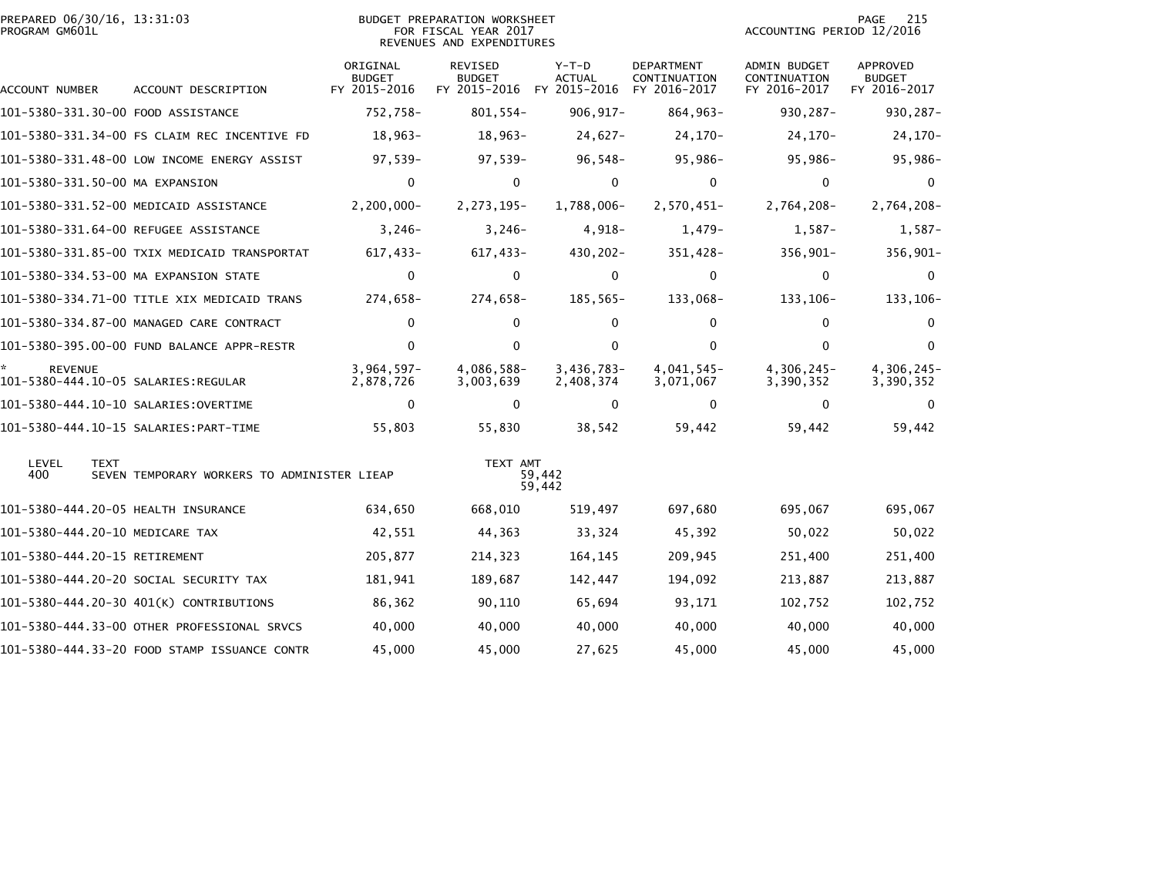| PREPARED 06/30/16, 13:31:03<br>PROGRAM GM601L |                                              | <b>BUDGET PREPARATION WORKSHEET</b><br>FOR FISCAL YEAR 2017<br>REVENUES AND EXPENDITURES |                          |                                                       |                                            | 215<br>PAGE<br>ACCOUNTING PERIOD 12/2016     |                                                  |  |
|-----------------------------------------------|----------------------------------------------|------------------------------------------------------------------------------------------|--------------------------|-------------------------------------------------------|--------------------------------------------|----------------------------------------------|--------------------------------------------------|--|
| ACCOUNT NUMBER                                | ACCOUNT DESCRIPTION                          | ORIGINAL<br><b>BUDGET</b><br>FY 2015-2016                                                | REVISED<br><b>BUDGET</b> | $Y-T-D$<br><b>ACTUAL</b><br>FY 2015-2016 FY 2015-2016 | DEPARTMENT<br>CONTINUATION<br>FY 2016-2017 | ADMIN BUDGET<br>CONTINUATION<br>FY 2016-2017 | <b>APPROVED</b><br><b>BUDGET</b><br>FY 2016-2017 |  |
|                                               | 101-5380-331.30-00 FOOD ASSISTANCE           | 752,758-                                                                                 | $801,554-$               | $906, 917 -$                                          | 864,963-                                   | 930, 287-                                    | 930,287-                                         |  |
|                                               | 101-5380-331.34-00 FS CLAIM REC INCENTIVE FD | $18,963-$                                                                                | $18,963-$                | $24,627-$                                             | $24,170-$                                  | $24,170-$                                    | $24,170-$                                        |  |
|                                               | 101-5380-331.48-00 LOW INCOME ENERGY ASSIST  | $97,539-$                                                                                | $97,539-$                | $96,548-$                                             | 95,986-                                    | $95,986 -$                                   | 95,986-                                          |  |
| 101-5380-331.50-00 MA EXPANSION               |                                              | $\mathbf 0$                                                                              | 0                        | 0                                                     | $\mathbf 0$                                | $\mathbf 0$                                  | 0                                                |  |
|                                               | 101-5380-331.52-00 MEDICAID ASSISTANCE       | $2,200,000 -$                                                                            | 2,273,195-               | 1,788,006-                                            | 2,570,451-                                 | 2,764,208-                                   | 2,764,208-                                       |  |
|                                               | 101-5380-331.64-00 REFUGEE ASSISTANCE        | $3,246-$                                                                                 | $3,246-$                 | $4,918-$                                              | $1,479-$                                   | $1,587-$                                     | $1,587-$                                         |  |
|                                               | 101-5380-331.85-00 TXIX MEDICAID TRANSPORTAT | 617,433-                                                                                 | 617,433-                 | $430, 202 -$                                          | 351,428-                                   | $356,901 -$                                  | 356,901-                                         |  |
|                                               | 101-5380-334.53-00 MA EXPANSION STATE        | $\mathbf 0$                                                                              | $\mathbf 0$              | $\mathbf 0$                                           | $\mathbf 0$                                | $\mathbf 0$                                  | $\mathbf{0}$                                     |  |
|                                               | 101-5380-334.71-00 TITLE XIX MEDICAID TRANS  | 274,658-                                                                                 | 274,658-                 | 185,565-                                              | 133,068-                                   | 133, 106-                                    | 133, 106-                                        |  |
|                                               | 101-5380-334.87-00 MANAGED CARE CONTRACT     | 0                                                                                        | $\mathbf{0}$             | $\mathbf{0}$                                          | 0                                          | $\Omega$                                     | $\Omega$                                         |  |
|                                               | 101-5380-395.00-00 FUND BALANCE APPR-RESTR   | $\mathbf{0}$                                                                             | $\mathbf{0}$             | $\Omega$                                              | $\Omega$                                   | $\Omega$                                     | $\Omega$                                         |  |
| <b>REVENUE</b>                                |                                              | $3,964,597-$<br>2,878,726                                                                | 4,086,588-<br>3,003,639  | $3,436,783-$<br>2,408,374                             | 4,041,545-<br>3,071,067                    | 4,306,245-<br>3,390,352                      | 4,306,245-<br>3,390,352                          |  |
|                                               |                                              | 0                                                                                        | 0                        | $\Omega$                                              | 0                                          | 0                                            | 0                                                |  |
|                                               |                                              | 55,803                                                                                   | 55,830                   | 38,542                                                | 59,442                                     | 59,442                                       | 59,442                                           |  |
| LEVEL<br><b>TEXT</b><br>400                   | SEVEN TEMPORARY WORKERS TO ADMINISTER LIEAP  |                                                                                          | TEXT AMT                 | 59,442<br>59,442                                      |                                            |                                              |                                                  |  |
|                                               | 101-5380-444.20-05 HEALTH INSURANCE          | 634,650                                                                                  | 668,010                  | 519,497                                               | 697,680                                    | 695,067                                      | 695,067                                          |  |
| 101-5380-444.20-10 MEDICARE TAX               |                                              | 42,551                                                                                   | 44,363                   | 33,324                                                | 45,392                                     | 50,022                                       | 50,022                                           |  |
| 101-5380-444.20-15 RETIREMENT                 |                                              | 205,877                                                                                  | 214,323                  | 164,145                                               | 209,945                                    | 251,400                                      | 251,400                                          |  |
|                                               | 101-5380-444.20-20 SOCIAL SECURITY TAX       | 181,941                                                                                  | 189,687                  | 142,447                                               | 194,092                                    | 213,887                                      | 213,887                                          |  |
|                                               | 101-5380-444.20-30 401(K) CONTRIBUTIONS      | 86,362                                                                                   | 90,110                   | 65,694                                                | 93,171                                     | 102,752                                      | 102,752                                          |  |
|                                               | 101-5380-444.33-00 OTHER PROFESSIONAL SRVCS  | 40,000                                                                                   | 40,000                   | 40,000                                                | 40,000                                     | 40,000                                       | 40,000                                           |  |
|                                               | 101-5380-444.33-20 FOOD STAMP ISSUANCE CONTR | 45,000                                                                                   | 45,000                   | 27,625                                                | 45,000                                     | 45,000                                       | 45,000                                           |  |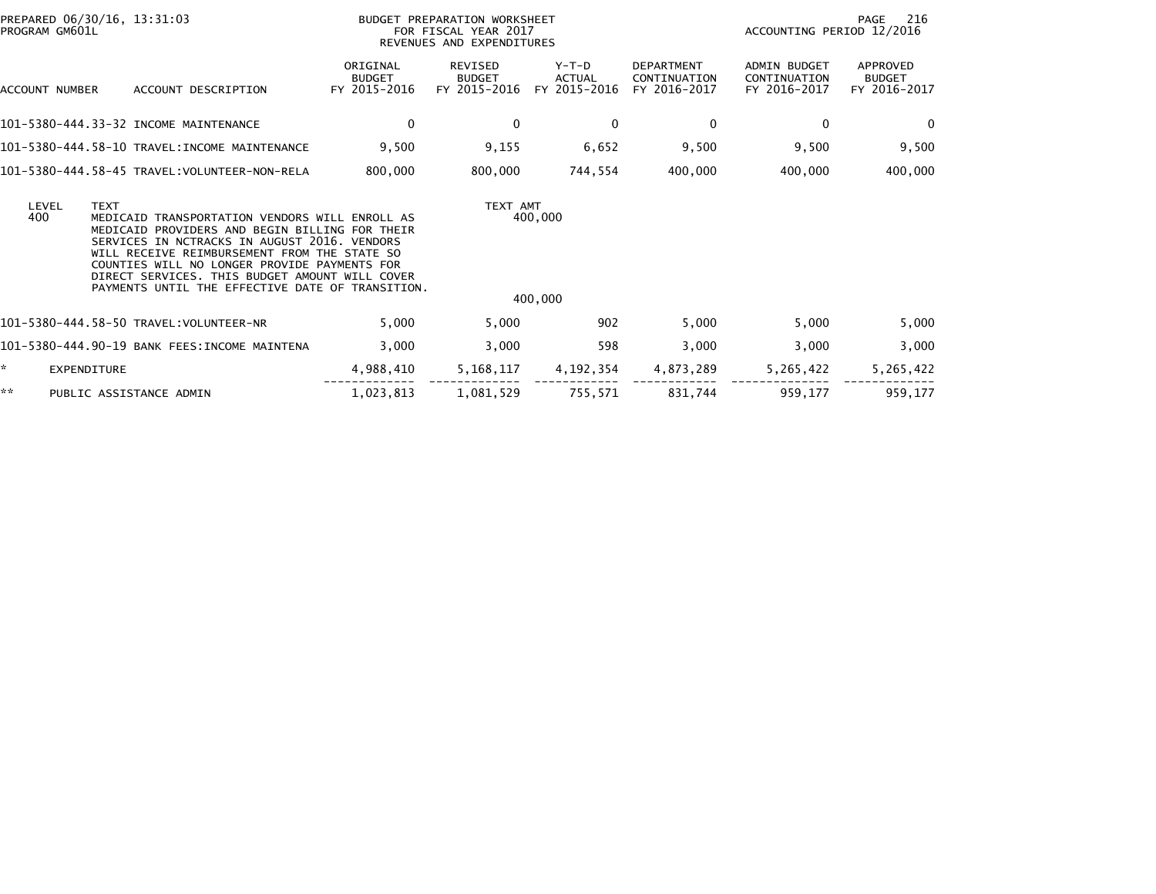| PREPARED 06/30/16, 13:31:03<br>PROGRAM GM601L |                                                                                                                                                                                                                                                                                                                                                                       | BUDGET PREPARATION WORKSHEET<br>FOR FISCAL YEAR 2017<br>REVENUES AND EXPENDITURES |                                          |                                 |                                                   | 216<br>PAGE<br>ACCOUNTING PERIOD 12/2016            |                                           |
|-----------------------------------------------|-----------------------------------------------------------------------------------------------------------------------------------------------------------------------------------------------------------------------------------------------------------------------------------------------------------------------------------------------------------------------|-----------------------------------------------------------------------------------|------------------------------------------|---------------------------------|---------------------------------------------------|-----------------------------------------------------|-------------------------------------------|
| ACCOUNT NUMBER                                | ACCOUNT DESCRIPTION                                                                                                                                                                                                                                                                                                                                                   | ORIGINAL<br><b>BUDGET</b><br>FY 2015-2016                                         | REVISED<br><b>BUDGET</b><br>FY 2015-2016 | Y-T-D<br>ACTUAL<br>FY 2015-2016 | <b>DEPARTMENT</b><br>CONTINUATION<br>FY 2016-2017 | <b>ADMIN BUDGET</b><br>CONTINUATION<br>FY 2016-2017 | APPROVED<br><b>BUDGET</b><br>FY 2016-2017 |
|                                               | 101-5380-444.33-32 INCOME MAINTENANCE                                                                                                                                                                                                                                                                                                                                 | 0                                                                                 | $\bf{0}$                                 | 0                               | 0                                                 | $\mathbf{0}$                                        | $\Omega$                                  |
|                                               | 101-5380-444.58-10 TRAVEL:INCOME MAINTENANCE                                                                                                                                                                                                                                                                                                                          | 9,500                                                                             | 9,155                                    | 6,652                           | 9,500                                             | 9,500                                               | 9,500                                     |
|                                               |                                                                                                                                                                                                                                                                                                                                                                       | 800,000                                                                           | 800,000                                  | 744,554                         | 400,000                                           | 400,000                                             | 400,000                                   |
| LEVEL<br>400                                  | <b>TEXT</b><br>MEDICAID TRANSPORTATION VENDORS WILL ENROLL AS<br>MEDICAID PROVIDERS AND BEGIN BILLING FOR THEIR<br>SERVICES IN NCTRACKS IN AUGUST 2016. VENDORS<br>WILL RECEIVE REIMBURSEMENT FROM THE STATE SO<br>COUNTIES WILL NO LONGER PROVIDE PAYMENTS FOR<br>DIRECT SERVICES. THIS BUDGET AMOUNT WILL COVER<br>PAYMENTS UNTIL THE EFFECTIVE DATE OF TRANSITION. |                                                                                   |                                          | TEXT AMT<br>400,000<br>400,000  |                                                   |                                                     |                                           |
|                                               |                                                                                                                                                                                                                                                                                                                                                                       | 5,000                                                                             | 5,000                                    | 902                             | 5,000                                             | 5,000                                               | 5,000                                     |
|                                               | 101-5380-444.90-19 BANK FEES:INCOME MAINTENA                                                                                                                                                                                                                                                                                                                          | 3,000                                                                             | 3,000                                    | 598                             | 3,000                                             | 3,000                                               | 3,000                                     |
| *.                                            | <b>EXPENDITURE</b>                                                                                                                                                                                                                                                                                                                                                    | 4,988,410                                                                         | 5,168,117                                | 4,192,354                       | 4,873,289                                         | 5,265,422                                           | 5,265,422                                 |
| **                                            | PUBLIC ASSISTANCE ADMIN                                                                                                                                                                                                                                                                                                                                               | 1,023,813                                                                         | 1,081,529                                | 755,571                         | 831,744                                           | 959,177                                             | 959,177                                   |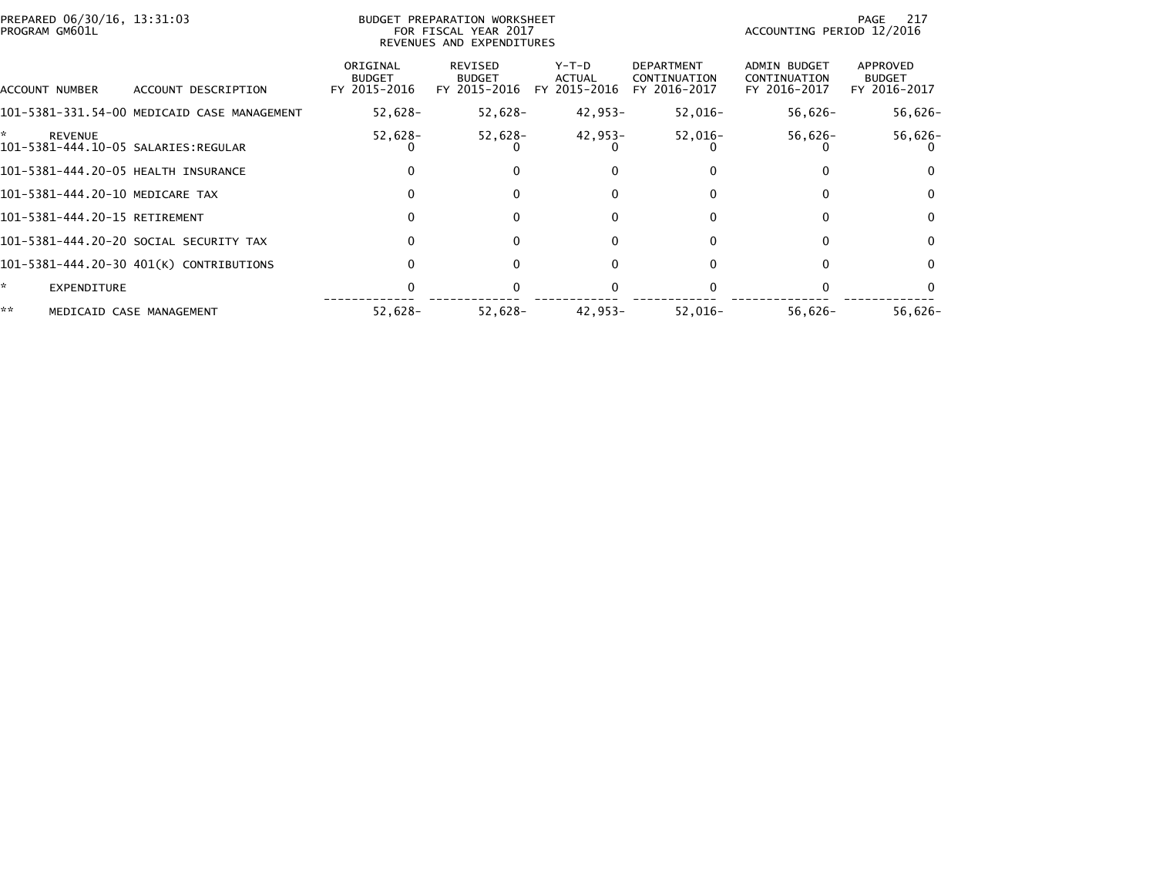| PREPARED 06/30/16, 13:31:03<br>PROGRAM GM601L              |                                             |                                           | <b>BUDGET PREPARATION WORKSHEET</b><br>FOR FISCAL YEAR 2017<br>REVENUES AND EXPENDITURES |                                        |                                                   | ACCOUNTING PERIOD 12/2016                    | 217<br>PAGE                               |
|------------------------------------------------------------|---------------------------------------------|-------------------------------------------|------------------------------------------------------------------------------------------|----------------------------------------|---------------------------------------------------|----------------------------------------------|-------------------------------------------|
| ACCOUNT NUMBER                                             | ACCOUNT DESCRIPTION                         | ORIGINAL<br><b>BUDGET</b><br>FY 2015-2016 | REVISED<br><b>BUDGET</b><br>FY 2015-2016                                                 | Y-T-D<br><b>ACTUAL</b><br>FY 2015-2016 | <b>DEPARTMENT</b><br>CONTINUATION<br>FY 2016-2017 | ADMIN BUDGET<br>CONTINUATION<br>FY 2016-2017 | APPROVED<br><b>BUDGET</b><br>FY 2016-2017 |
|                                                            | 101-5381-331.54-00 MEDICAID CASE MANAGEMENT | $52,628-$                                 | 52,628-                                                                                  | 42,953-                                | $52,016-$                                         | $56,626-$                                    | $56,626-$                                 |
| *<br><b>REVENUE</b><br>101-5381-444.10-05 SALARIES:REGULAR |                                             | $52,628-$                                 | 52,628-                                                                                  | 42,953-                                | $52,016-$                                         | 56,626-                                      | $56,626-$                                 |
| 101-5381-444.20-05 HEALTH INSURANCE                        |                                             |                                           | $\Omega$                                                                                 | 0                                      |                                                   |                                              |                                           |
| 101-5381-444.20-10 MEDICARE TAX                            |                                             |                                           | $\Omega$                                                                                 | 0                                      | <sup>0</sup>                                      | $\Omega$                                     | $\Omega$                                  |
| 101-5381-444.20-15 RETIREMENT                              |                                             | 0                                         | $\Omega$                                                                                 | $\Omega$                               | 0                                                 | 0                                            | $\Omega$                                  |
|                                                            | 101-5381-444.20-20 SOCIAL SECURITY TAX      |                                           | $\Omega$                                                                                 | 0                                      |                                                   | $\Omega$                                     | 0                                         |
|                                                            | 101-5381-444.20-30 401(K) CONTRIBUTIONS     |                                           | $\Omega$                                                                                 | 0                                      |                                                   | <sup>0</sup>                                 | 0                                         |
| *<br>EXPENDITURE                                           |                                             |                                           |                                                                                          |                                        |                                                   |                                              |                                           |
| **                                                         | MEDICAID CASE MANAGEMENT                    | $52,628-$                                 | 52,628-                                                                                  | 42,953-                                | $52,016-$                                         | $56.626 -$                                   | $56,626-$                                 |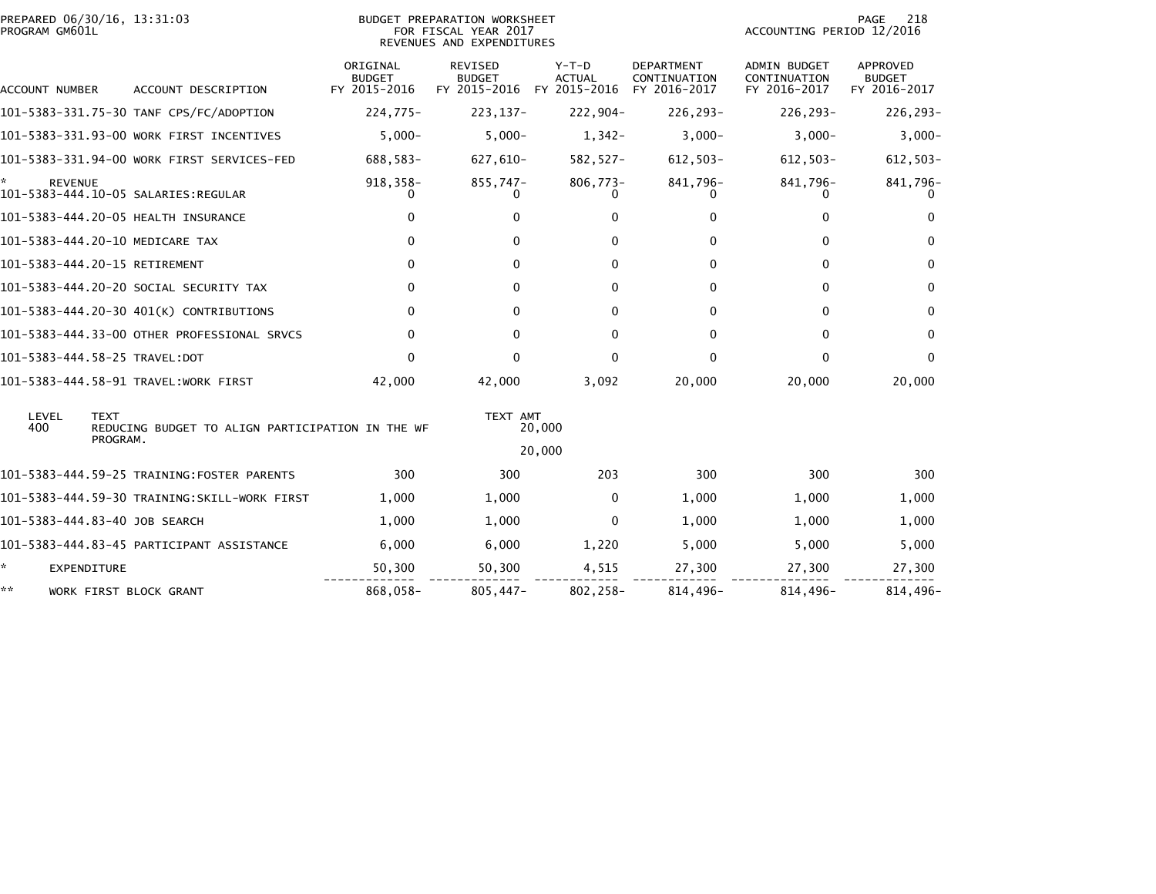| PREPARED 06/30/16, 13:31:03<br>PROGRAM GM601L |                                                  |                                           | BUDGET PREPARATION WORKSHEET<br>FOR FISCAL YEAR 2017                                      |                           |                                                   |                                                     | <b>PAGE</b><br>218<br>ACCOUNTING PERIOD 12/2016  |  |  |
|-----------------------------------------------|--------------------------------------------------|-------------------------------------------|-------------------------------------------------------------------------------------------|---------------------------|---------------------------------------------------|-----------------------------------------------------|--------------------------------------------------|--|--|
| ACCOUNT NUMBER                                | ACCOUNT DESCRIPTION                              | ORIGINAL<br><b>BUDGET</b><br>FY 2015-2016 | REVENUES AND EXPENDITURES<br><b>REVISED</b><br><b>BUDGET</b><br>FY 2015-2016 FY 2015-2016 | $Y-T-D$<br><b>ACTUAL</b>  | <b>DEPARTMENT</b><br>CONTINUATION<br>FY 2016-2017 | <b>ADMIN BUDGET</b><br>CONTINUATION<br>FY 2016-2017 | <b>APPROVED</b><br><b>BUDGET</b><br>FY 2016-2017 |  |  |
|                                               | 101-5383-331.75-30 TANF CPS/FC/ADOPTION          | $224,775-$                                | 223, 137-                                                                                 | 222,904-                  | 226,293-                                          | 226,293-                                            | 226,293-                                         |  |  |
|                                               |                                                  |                                           |                                                                                           |                           |                                                   |                                                     |                                                  |  |  |
|                                               | 101-5383-331.93-00 WORK FIRST INCENTIVES         | $5,000 -$                                 | $5,000-$                                                                                  | $1,342-$                  | $3,000-$                                          | $3,000-$                                            | $3,000-$                                         |  |  |
|                                               | 101-5383-331.94-00 WORK FIRST SERVICES-FED       | 688,583-                                  | 627,610-                                                                                  | 582,527-                  | $612,503-$                                        | $612,503-$                                          | $612,503-$                                       |  |  |
| *<br><b>REVENUE</b>                           | 101-5383-444.10-05 SALARIES:REGULAR              | 918,358-<br>$\Omega$                      | 855,747-<br>0                                                                             | $806,773 -$<br>$^{\circ}$ | 841,796-<br>$\Omega$                              | 841,796-                                            | 841,796-                                         |  |  |
|                                               | 101-5383-444.20-05 HEALTH INSURANCE              | 0                                         | 0                                                                                         | 0                         | 0                                                 | 0                                                   | $\Omega$                                         |  |  |
|                                               | 101-5383-444.20-10 MEDICARE TAX                  | 0                                         | 0                                                                                         | 0                         | $\mathbf{0}$                                      | $\mathbf{0}$                                        | $\Omega$                                         |  |  |
| 101-5383-444.20-15 RETIREMENT                 |                                                  | $\mathbf{0}$                              | 0                                                                                         | $\Omega$                  | $\mathbf{0}$                                      | $\mathbf{0}$                                        | $\bf{0}$                                         |  |  |
|                                               | 101-5383-444.20-20 SOCIAL SECURITY TAX           | $\mathbf{0}$                              | 0                                                                                         | $\Omega$                  | $\mathbf{0}$                                      | $\mathbf{0}$                                        | $\mathbf{0}$                                     |  |  |
|                                               | 101-5383-444.20-30 401(K) CONTRIBUTIONS          | $\mathbf{0}$                              | 0                                                                                         | $\Omega$                  | $\mathbf{0}$                                      | $\mathbf{0}$                                        | $\mathbf{0}$                                     |  |  |
|                                               | 101-5383-444.33-00 OTHER PROFESSIONAL SRVCS      | $\mathbf{0}$                              | 0                                                                                         | $\Omega$                  | $\mathbf{0}$                                      | $\mathbf{0}$                                        | $\mathbf{0}$                                     |  |  |
| 101-5383-444.58-25 TRAVEL:DOT                 |                                                  | $\Omega$                                  | $\Omega$                                                                                  | $\Omega$                  | $\mathbf{0}$                                      | $\Omega$                                            | $\Omega$                                         |  |  |
|                                               | 101-5383-444.58-91 TRAVEL:WORK FIRST             | 42,000                                    | 42,000                                                                                    | 3,092                     | 20,000                                            | 20,000                                              | 20,000                                           |  |  |
| LEVEL<br><b>TEXT</b><br>400                   | REDUCING BUDGET TO ALIGN PARTICIPATION IN THE WF |                                           | TEXT AMT                                                                                  | 20,000                    |                                                   |                                                     |                                                  |  |  |
|                                               | PROGRAM.                                         |                                           |                                                                                           | 20,000                    |                                                   |                                                     |                                                  |  |  |
|                                               | 101-5383-444.59-25 TRAINING:FOSTER PARENTS       | 300                                       | 300                                                                                       | 203                       | 300                                               | 300                                                 | 300                                              |  |  |
|                                               | 101-5383-444.59-30 TRAINING:SKILL-WORK FIRST     | 1,000                                     | 1,000                                                                                     | $\mathbf{0}$              | 1,000                                             | 1,000                                               | 1,000                                            |  |  |
| 101-5383-444.83-40 JOB SEARCH                 |                                                  | 1,000                                     | 1,000                                                                                     | $\mathbf{0}$              | 1,000                                             | 1,000                                               | 1,000                                            |  |  |
|                                               | 101-5383-444.83-45 PARTICIPANT ASSISTANCE        | 6,000                                     | 6,000                                                                                     | 1,220                     | 5,000                                             | 5,000                                               | 5,000                                            |  |  |
| ÷.<br>EXPENDITURE                             |                                                  | 50,300                                    | 50,300                                                                                    | 4,515                     | 27,300                                            | 27,300                                              | 27,300                                           |  |  |
| **                                            | WORK FIRST BLOCK GRANT                           | 868,058-                                  | $805,447-$                                                                                | 802,258-                  | 814,496-                                          | 814,496-                                            | 814,496-                                         |  |  |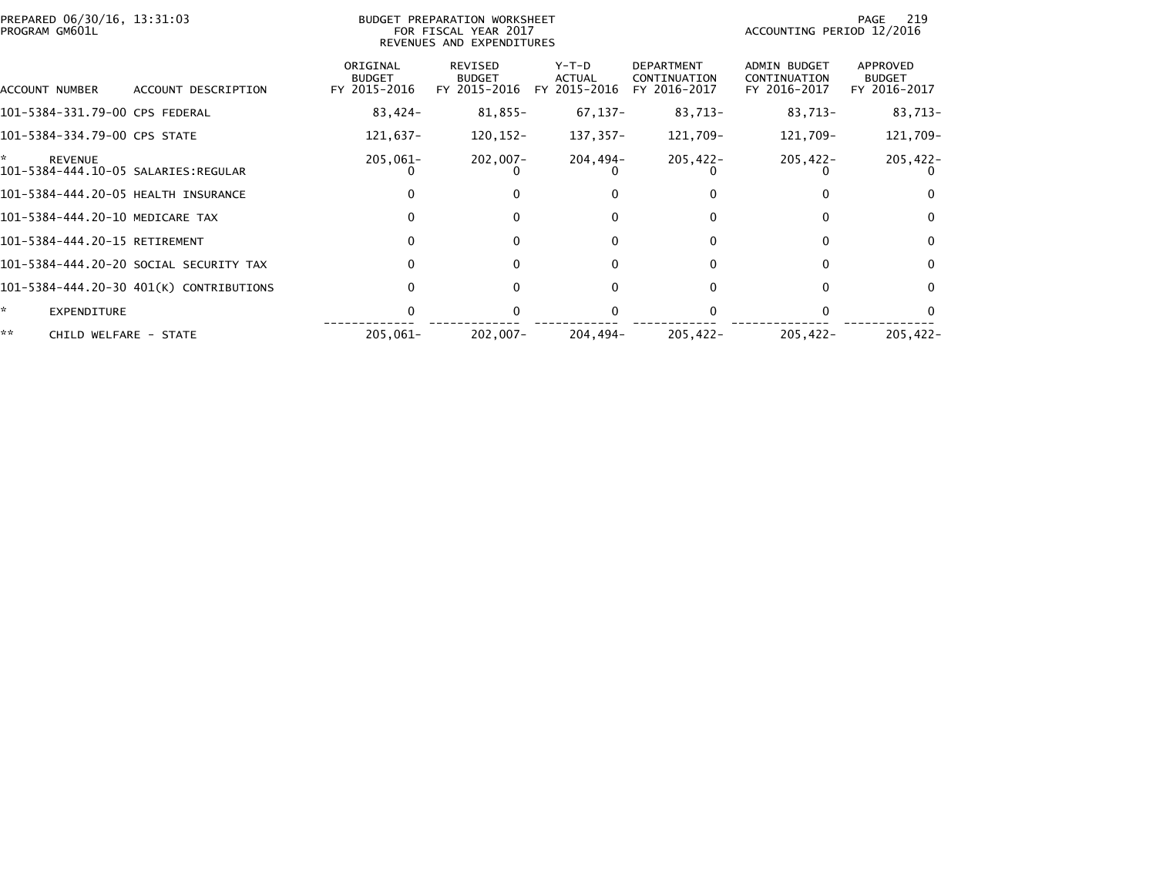| PREPARED 06/30/16, 13:31:03<br>PROGRAM GM601L              | BUDGET PREPARATION WORKSHEET<br>FOR FISCAL YEAR 2017<br>REVENUES AND EXPENDITURES |                                           |                                                 |                                   |                                                   |                                                     | 219<br>PAGE<br>ACCOUNTING PERIOD 12/2016  |  |  |
|------------------------------------------------------------|-----------------------------------------------------------------------------------|-------------------------------------------|-------------------------------------------------|-----------------------------------|---------------------------------------------------|-----------------------------------------------------|-------------------------------------------|--|--|
| ACCOUNT NUMBER                                             | ACCOUNT DESCRIPTION                                                               | ORIGINAL<br><b>BUDGET</b><br>FY 2015-2016 | <b>REVISED</b><br><b>BUDGET</b><br>FY 2015-2016 | $Y-T-D$<br>ACTUAL<br>FY 2015-2016 | <b>DEPARTMENT</b><br>CONTINUATION<br>FY 2016-2017 | <b>ADMIN BUDGET</b><br>CONTINUATION<br>FY 2016-2017 | APPROVED<br><b>BUDGET</b><br>FY 2016-2017 |  |  |
| 101-5384-331.79-00 CPS FEDERAL                             |                                                                                   | 83,424-                                   | 81,855-                                         | 67,137-                           | 83,713-                                           | 83,713-                                             | 83,713-                                   |  |  |
| 101-5384-334.79-00 CPS STATE                               |                                                                                   | 121,637-                                  | 120,152-                                        | 137,357-                          | 121,709-                                          | 121,709-                                            | 121,709-                                  |  |  |
| *<br><b>REVENUE</b><br>101-5384-444.10-05 SALARIES:REGULAR |                                                                                   | $205,061 -$                               | 202,007-                                        | 204,494-                          | $205,422 -$                                       | $205,422 -$                                         | $205,422 -$                               |  |  |
| 101-5384-444.20-05 HEALTH INSURANCE                        |                                                                                   | 0                                         |                                                 |                                   |                                                   |                                                     |                                           |  |  |
| 101-5384-444.20-10 MEDICARE TAX                            |                                                                                   |                                           |                                                 |                                   |                                                   |                                                     |                                           |  |  |
| 101-5384-444.20-15 RETIREMENT                              |                                                                                   | 0                                         | 0                                               | 0                                 | 0                                                 | 0                                                   | 0                                         |  |  |
|                                                            | 101-5384-444.20-20 SOCIAL SECURITY TAX                                            | $\mathbf{0}$                              |                                                 | 0                                 | 0                                                 |                                                     |                                           |  |  |
|                                                            | 101-5384-444.20-30 401(K) CONTRIBUTIONS                                           | 0                                         |                                                 |                                   |                                                   |                                                     |                                           |  |  |
| *.<br><b>EXPENDITURE</b>                                   |                                                                                   |                                           |                                                 |                                   |                                                   |                                                     |                                           |  |  |
| **<br>CHILD WELFARE - STATE                                |                                                                                   | $205,061 -$                               | -202,007                                        | 204,494-                          | $205,422 -$                                       | $205,422 -$                                         | $205,422 -$                               |  |  |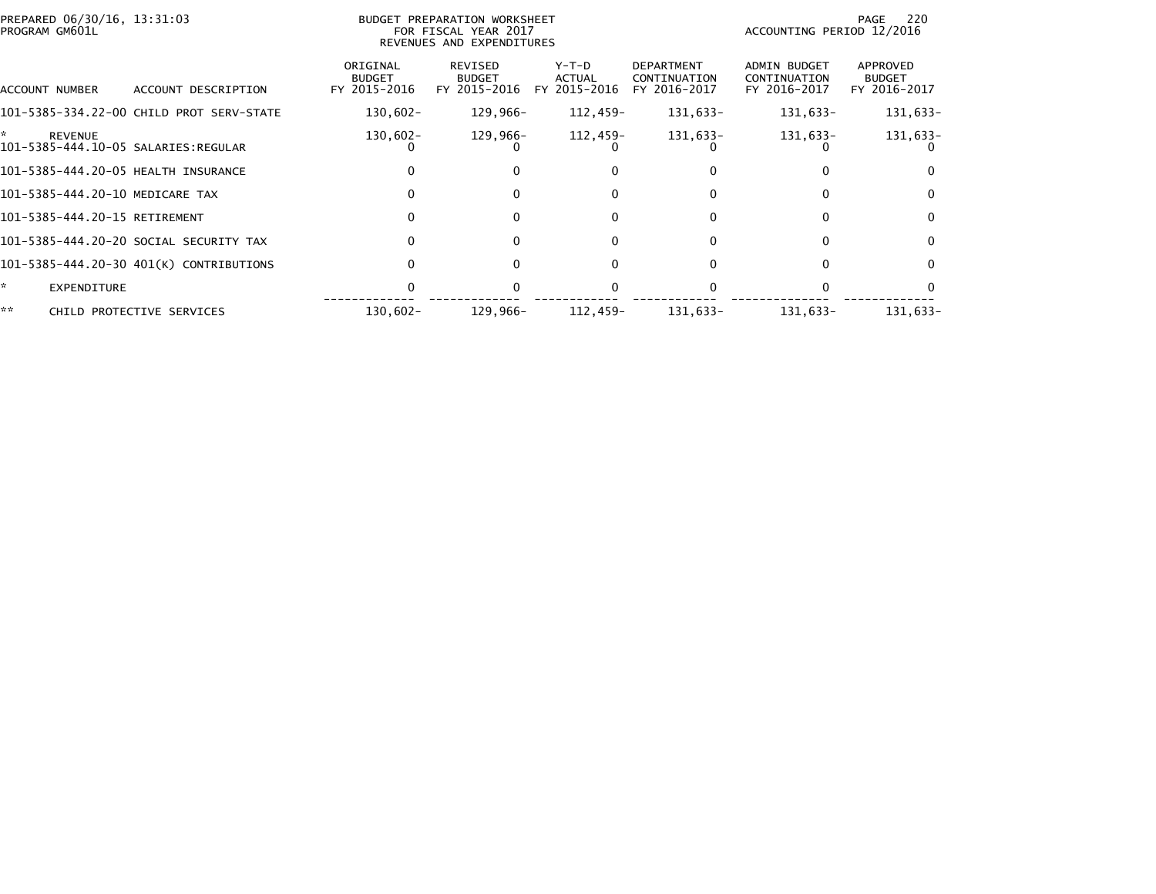|    | PREPARED 06/30/16, 13:31:03<br>PROGRAM GM601L |                                          |                                           | <b>BUDGET PREPARATION WORKSHEET</b><br>FOR FISCAL YEAR 2017<br>REVENUES AND EXPENDITURES |                                        |                                                   | ACCOUNTING PERIOD 12/2016                    | 220<br>PAGE                               |
|----|-----------------------------------------------|------------------------------------------|-------------------------------------------|------------------------------------------------------------------------------------------|----------------------------------------|---------------------------------------------------|----------------------------------------------|-------------------------------------------|
|    | ACCOUNT NUMBER                                | ACCOUNT DESCRIPTION                      | ORIGINAL<br><b>BUDGET</b><br>FY 2015-2016 | REVISED<br><b>BUDGET</b><br>FY 2015-2016                                                 | Y-T-D<br><b>ACTUAL</b><br>FY 2015-2016 | <b>DEPARTMENT</b><br>CONTINUATION<br>FY 2016-2017 | ADMIN BUDGET<br>CONTINUATION<br>FY 2016-2017 | APPROVED<br><b>BUDGET</b><br>FY 2016-2017 |
|    |                                               | 101-5385-334.22-00 CHILD PROT SERV-STATE | $130,602 -$                               | 129,966-                                                                                 | 112,459-                               | 131,633-                                          | 131,633-                                     | 131,633-                                  |
| *  | <b>REVENUE</b>                                | 101-5385-444.10-05 SALARIES:REGULAR      | $130,602 -$                               | 129,966-                                                                                 | 112,459-                               | 131,633-                                          | 131,633-                                     | 131,633-                                  |
|    |                                               | 101-5385-444.20-05 HEALTH INSURANCE      |                                           | $\Omega$                                                                                 | 0                                      |                                                   |                                              |                                           |
|    |                                               | 101-5385-444.20-10 MEDICARE TAX          |                                           | $\Omega$                                                                                 | 0                                      | <sup>0</sup>                                      | $\Omega$                                     | $\Omega$                                  |
|    | 101-5385-444.20-15 RETIREMENT                 |                                          | 0                                         | $\Omega$                                                                                 | $\Omega$                               | 0                                                 | 0                                            | $\Omega$                                  |
|    |                                               | 101-5385-444.20-20 SOCIAL SECURITY TAX   |                                           | $\Omega$                                                                                 | 0                                      |                                                   | 0                                            | 0                                         |
|    |                                               | 101-5385-444.20-30 401(K) CONTRIBUTIONS  |                                           | $\Omega$                                                                                 | 0                                      |                                                   | 0                                            | 0                                         |
| *  | EXPENDITURE                                   |                                          |                                           |                                                                                          |                                        |                                                   |                                              |                                           |
| ** |                                               | CHILD PROTECTIVE SERVICES                | $130,602 -$                               | 129.966-                                                                                 | 112.459-                               | 131,633-                                          | 131.633-                                     | 131.633-                                  |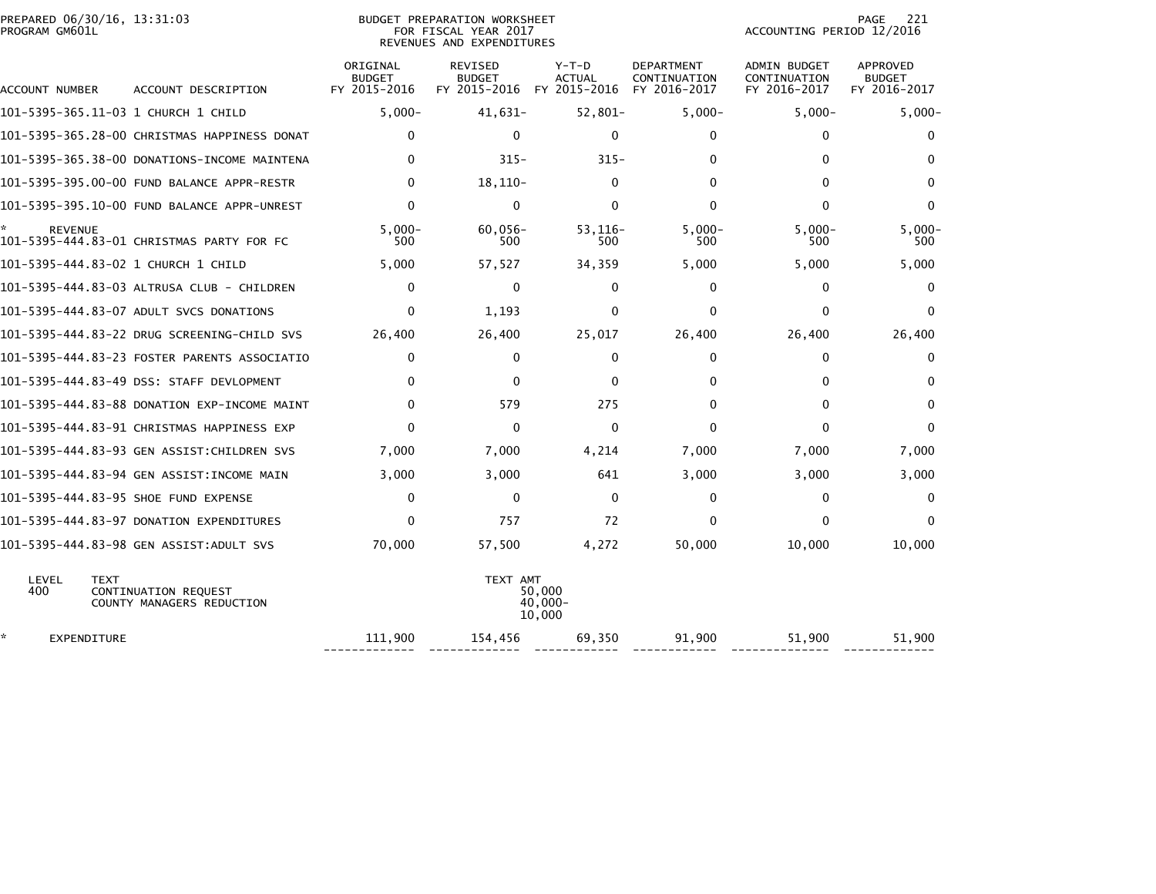| PREPARED 06/30/16, 13:31:03 | PREPARATION WORKSHEET<br><b>BUDGET</b> |                           | PAGE | $\sim$ |
|-----------------------------|----------------------------------------|---------------------------|------|--------|
| PROGRAM GM601L              | FOR FISCAL YEAR 2017                   | ACCOUNTING PERIOD 12/2016 |      |        |

## BUDGET PREPARATION WORKSHEET<br>FOR FISCAL YEAR 2017 REVENUES AND EXPENDITURES

| ACCOUNT NUMBER                       | ACCOUNT DESCRIPTION                               | ORIGINAL<br><b>BUDGET</b><br>FY 2015-2016 | <b>REVISED</b><br><b>BUDGET</b><br>FY 2015-2016 | $Y-T-D$<br><b>ACTUAL</b><br>FY 2015-2016 | <b>DEPARTMENT</b><br>CONTINUATION<br>FY 2016-2017 | <b>ADMIN BUDGET</b><br>CONTINUATION<br>FY 2016-2017 | <b>APPROVED</b><br><b>BUDGET</b><br>FY 2016-2017 |
|--------------------------------------|---------------------------------------------------|-------------------------------------------|-------------------------------------------------|------------------------------------------|---------------------------------------------------|-----------------------------------------------------|--------------------------------------------------|
|                                      |                                                   | $5,000-$                                  | 41,631-                                         | $52,801-$                                | $5,000-$                                          | $5,000-$                                            | $5,000-$                                         |
|                                      | 101-5395-365.28-00 CHRISTMAS HAPPINESS DONAT      | $\Omega$                                  | $\Omega$                                        | $\mathbf{0}$                             | $\Omega$                                          | 0                                                   | $\mathbf{0}$                                     |
|                                      | 101-5395-365.38-00 DONATIONS-INCOME MAINTENA      | $\Omega$                                  | $315 -$                                         | $315 -$                                  | 0                                                 | 0                                                   | 0                                                |
|                                      | 101-5395-395.00-00 FUND BALANCE APPR-RESTR        | $\Omega$                                  | $18, 110 -$                                     | $\Omega$                                 | $\Omega$                                          | 0                                                   | $\mathbf{0}$                                     |
|                                      | 101-5395-395.10-00 FUND BALANCE APPR-UNREST       | $\Omega$                                  | $\Omega$                                        | $\Omega$                                 | $\Omega$                                          | 0                                                   | $\mathbf{0}$                                     |
| <b>REVENUE</b>                       | 101-5395-444.83-01 CHRISTMAS PARTY FOR FC         | $5.000 -$<br>500                          | $60,056 -$<br>500                               | $53.116-$<br>500                         | $5.000 -$<br>500                                  | $5.000 -$<br>500                                    | $5.000 -$<br>500                                 |
| 101-5395-444.83-02 1 CHURCH 1 CHILD  |                                                   | 5,000                                     | 57,527                                          | 34,359                                   | 5,000                                             | 5,000                                               | 5,000                                            |
|                                      | 101-5395-444.83-03 ALTRUSA CLUB - CHILDREN        | $\Omega$                                  | $\mathbf{0}$                                    | 0                                        | $\Omega$                                          | $\Omega$                                            | 0                                                |
|                                      | 101-5395-444.83-07 ADULT SVCS DONATIONS           | 0                                         | 1,193                                           | $\Omega$                                 | $\Omega$                                          | $\Omega$                                            | $\mathbf{0}$                                     |
|                                      | 101–5395–444.83–22 DRUG SCREENING–CHILD SVS       | 26,400                                    | 26,400                                          | 25,017                                   | 26,400                                            | 26,400                                              | 26,400                                           |
|                                      | 101-5395-444.83-23 FOSTER PARENTS ASSOCIATIO      | 0                                         | 0                                               | 0                                        | $\Omega$                                          | $\Omega$                                            | 0                                                |
|                                      | 101-5395-444.83-49 DSS: STAFF DEVLOPMENT          | $\Omega$                                  | $\Omega$                                        | $\mathbf{0}$                             | 0                                                 | 0                                                   | 0                                                |
|                                      | 101-5395-444.83-88 DONATION EXP-INCOME MAINT      | $\Omega$                                  | 579                                             | 275                                      | 0                                                 | $\Omega$                                            | 0                                                |
|                                      | 101-5395-444.83-91 CHRISTMAS HAPPINESS EXP        | $\Omega$                                  | $\Omega$                                        | $\mathbf{0}$                             | $\Omega$                                          | $\Omega$                                            | $\Omega$                                         |
|                                      | 101-5395-444.83-93 GEN ASSIST:CHILDREN SVS        | 7,000                                     | 7,000                                           | 4,214                                    | 7,000                                             | 7,000                                               | 7,000                                            |
|                                      | 101-5395-444.83-94 GEN ASSIST:INCOME MAIN         | 3,000                                     | 3,000                                           | 641                                      | 3,000                                             | 3,000                                               | 3,000                                            |
| 101-5395-444.83-95 SHOE FUND EXPENSE |                                                   | 0                                         | $\Omega$                                        | $\mathbf{0}$                             | $\Omega$                                          | $\Omega$                                            | $\mathbf{0}$                                     |
|                                      | 101-5395-444.83-97 DONATION EXPENDITURES          | $\Omega$                                  | 757                                             | 72                                       | $\Omega$                                          | $\Omega$                                            | $\Omega$                                         |
|                                      | 101-5395-444.83-98 GEN ASSIST:ADULT SVS           | 70,000                                    | 57,500                                          | 4,272                                    | 50,000                                            | 10,000                                              | 10,000                                           |
| LEVEL<br><b>TEXT</b><br>400          | CONTINUATION REQUEST<br>COUNTY MANAGERS REDUCTION |                                           | TEXT AMT                                        | 50.000<br>$40,000 -$<br>10,000           |                                                   |                                                     |                                                  |
| *.<br>EXPENDITURE                    |                                                   | 111,900                                   | 154,456                                         | 69,350                                   | 91,900                                            | 51,900                                              | 51,900                                           |

------------- ------------- ------------ ------------ -------------- -------------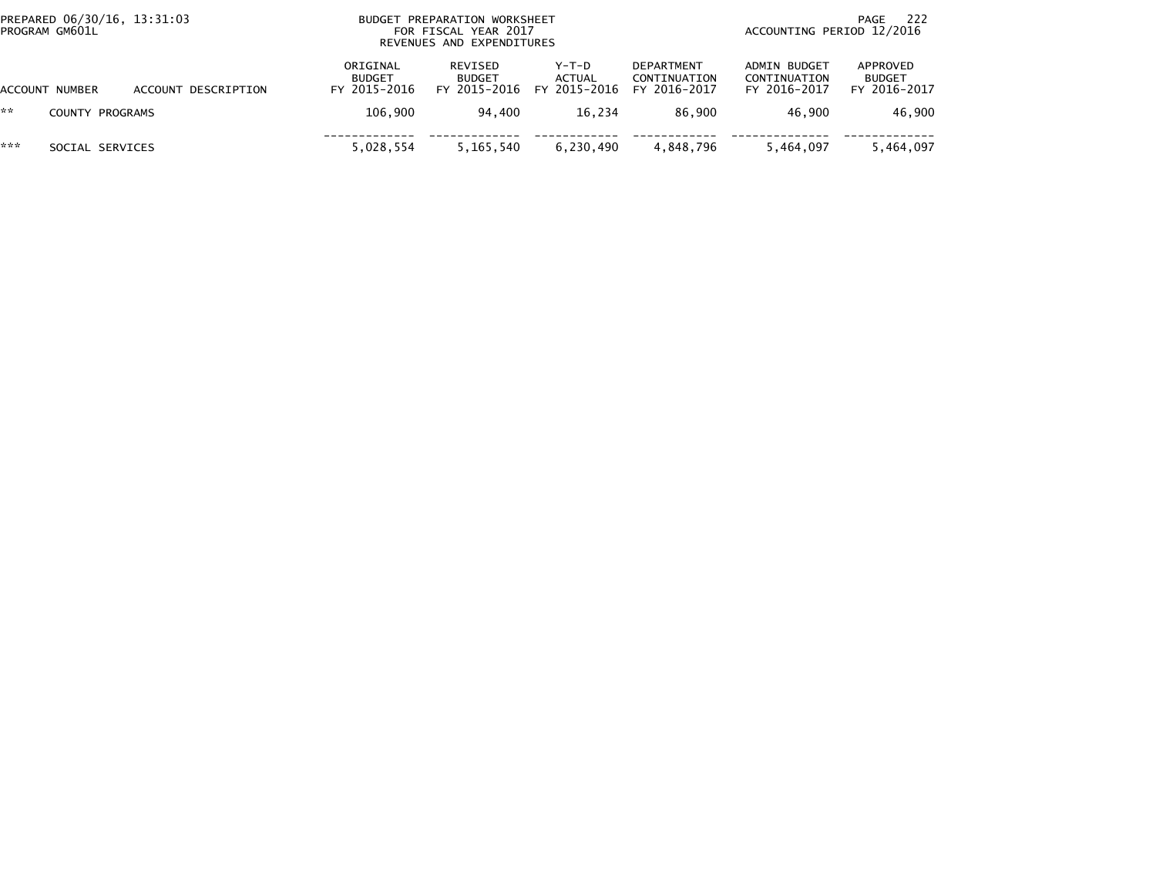| PREPARED 06/30/16, 13:31:03<br>PROGRAM GM601L |                 |                     |                                           | BUDGET PREPARATION WORKSHEET<br>FOR FISCAL YEAR 2017<br>REVENUES AND EXPENDITURES |                                   |                                                   |                                                     | -222<br>PAGE<br>ACCOUNTING PERIOD 12/2016 |  |  |
|-----------------------------------------------|-----------------|---------------------|-------------------------------------------|-----------------------------------------------------------------------------------|-----------------------------------|---------------------------------------------------|-----------------------------------------------------|-------------------------------------------|--|--|
|                                               | ACCOUNT NUMBER  | ACCOUNT DESCRIPTION | ORIGINAL<br><b>BUDGET</b><br>FY 2015-2016 | REVISED<br><b>BUDGET</b><br>FY 2015-2016                                          | $Y-T-D$<br>ACTUAL<br>FY 2015-2016 | <b>DEPARTMENT</b><br>CONTINUATION<br>FY 2016-2017 | <b>ADMIN BUDGET</b><br>CONTINUATION<br>FY 2016-2017 | APPROVED<br><b>BUDGET</b><br>FY 2016-2017 |  |  |
| **                                            | COUNTY PROGRAMS |                     | 106.900                                   | 94.400                                                                            | 16.234                            | 86.900                                            | 46.900                                              | 46.900                                    |  |  |
| ***                                           | SOCIAL SERVICES |                     | 5,028,554                                 | 5,165,540                                                                         | 6,230,490                         | 4,848,796                                         | 5,464,097                                           | 5,464,097                                 |  |  |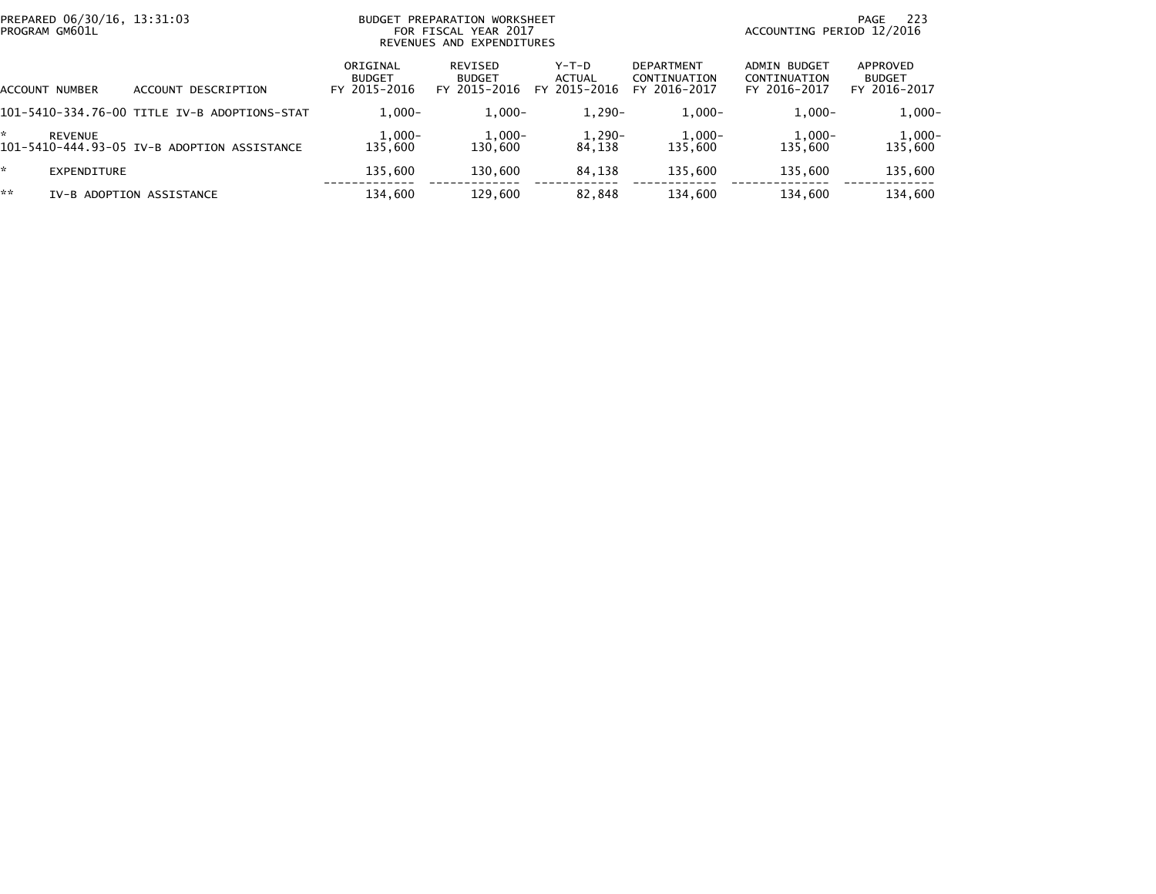| PREPARED 06/30/16, 13:31:03<br>PROGRAM GM601L |                                              | PREPARATION WORKSHEET<br><b>BUDGET</b><br>FOR FISCAL YEAR 2017<br>REVENUES AND EXPENDITURES |                                          |                                 |                                                   | -223<br>PAGE<br>ACCOUNTING PERIOD 12/2016    |                                           |  |
|-----------------------------------------------|----------------------------------------------|---------------------------------------------------------------------------------------------|------------------------------------------|---------------------------------|---------------------------------------------------|----------------------------------------------|-------------------------------------------|--|
| ACCOUNT NUMBER                                | ACCOUNT DESCRIPTION                          | ORIGINAL<br><b>BUDGET</b><br>FY 2015-2016                                                   | REVISED<br><b>BUDGET</b><br>FY 2015-2016 | Y-T-D<br>ACTUAL<br>FY 2015-2016 | <b>DEPARTMENT</b><br>CONTINUATION<br>FY 2016-2017 | ADMIN BUDGET<br>CONTINUATION<br>FY 2016-2017 | APPROVED<br><b>BUDGET</b><br>FY 2016-2017 |  |
|                                               | 101-5410-334.76-00 TITLE IV-B ADOPTIONS-STAT | $1.000 -$                                                                                   | $1,000-$                                 | $1,290-$                        | $1,000-$                                          | $1,000-$                                     | $1,000-$                                  |  |
| <b>REVENUE</b>                                | 101-5410-444.93-05 IV-B ADOPTION ASSISTANCE  | $1,000-$<br>135.600                                                                         | $1,000-$<br>130,600                      | $1,290-$<br>84.138              | $1,000-$<br>135,600                               | $1,000-$<br>135.600                          | $1,000-$<br>135,600                       |  |
| EXPENDITURE                                   |                                              | 135.600                                                                                     | 130,600                                  | 84,138                          | 135,600                                           | 135,600                                      | 135,600                                   |  |
| **                                            | IV-B ADOPTION ASSISTANCE                     | 134,600                                                                                     | 129,600                                  | 82,848                          | 134.600                                           | 134,600                                      | 134,600                                   |  |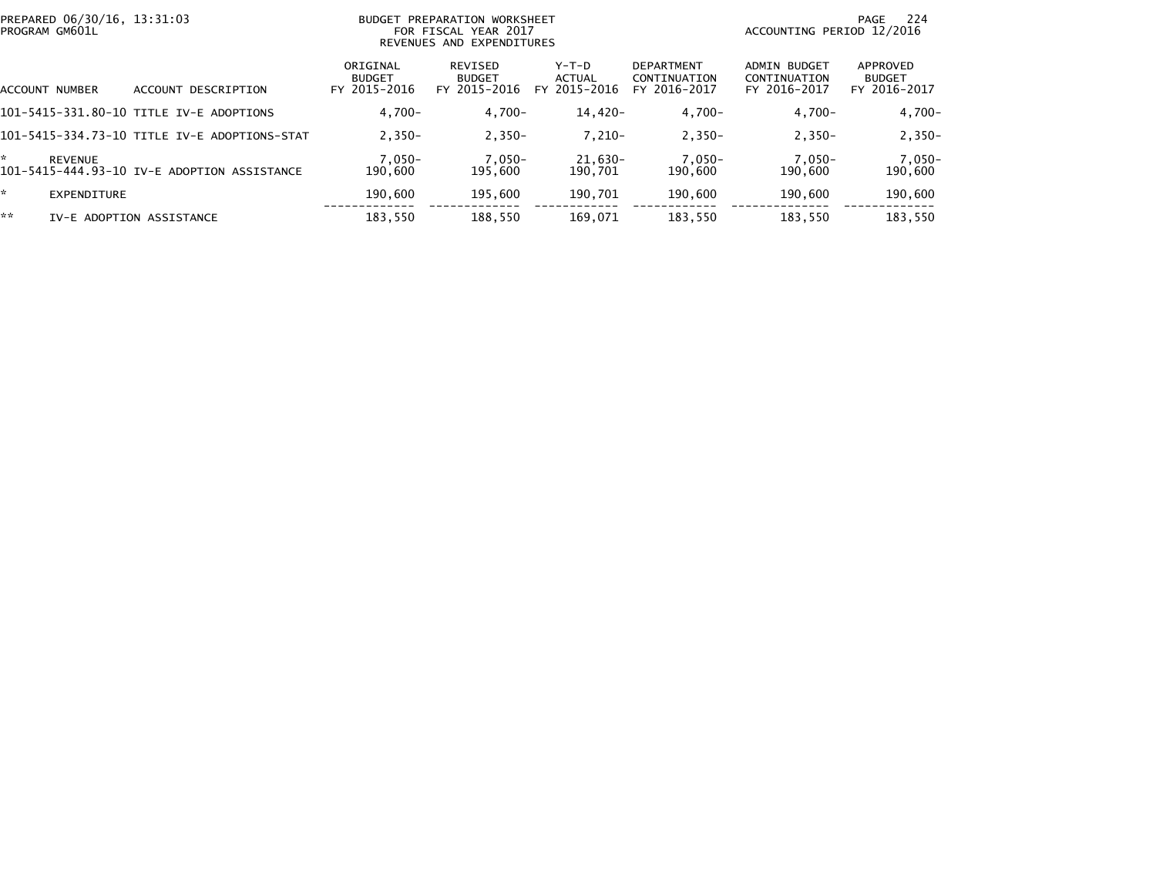|    | PREPARED 06/30/16, 13:31:03<br>PROGRAM GM601L |                                              |                                           | BUDGET PREPARATION WORKSHEET<br>FOR FISCAL YEAR 2017<br>REVENUES AND EXPENDITURES |                                   | - 224<br>PAGE<br>ACCOUNTING PERIOD 12/2016        |                                              |                                           |
|----|-----------------------------------------------|----------------------------------------------|-------------------------------------------|-----------------------------------------------------------------------------------|-----------------------------------|---------------------------------------------------|----------------------------------------------|-------------------------------------------|
|    | ACCOUNT NUMBER                                | ACCOUNT DESCRIPTION                          | ORIGINAL<br><b>BUDGET</b><br>FY 2015-2016 | REVISED<br><b>BUDGET</b><br>FY 2015-2016                                          | $Y-T-D$<br>ACTUAL<br>FY 2015-2016 | <b>DEPARTMENT</b><br>CONTINUATION<br>FY 2016-2017 | ADMIN BUDGET<br>CONTINUATION<br>FY 2016-2017 | APPROVED<br><b>BUDGET</b><br>FY 2016-2017 |
|    |                                               | 101-5415-331.80-10 TITLE IV-E ADOPTIONS      | $4.700 -$                                 | $4.700 -$                                                                         | 14,420-                           | $4,700-$                                          | $4.700 -$                                    | $4,700-$                                  |
|    |                                               | 101-5415-334.73-10 TITLE IV-E ADOPTIONS-STAT | $2.350 -$                                 | $2,350-$                                                                          | $7.210 -$                         | $2.350 -$                                         | $2.350 -$                                    | $2,350-$                                  |
| *  | <b>REVENUE</b>                                | 101-5415-444.93-10 IV-E ADOPTION ASSISTANCE  | $7,050-$<br>190,600                       | $7,050-$<br>195,600                                                               | $21,630-$<br>190.701              | 7,050-<br>190,600                                 | 7,050-<br>190,600                            | $7,050-$<br>190,600                       |
| *. | EXPENDITURE                                   |                                              | 190.600                                   | 195,600                                                                           | 190,701                           | 190,600                                           | 190,600                                      | 190,600                                   |
| ** |                                               | IV-E ADOPTION ASSISTANCE                     | 183,550                                   | 188.550                                                                           | 169,071                           | 183,550                                           | 183,550                                      | 183,550                                   |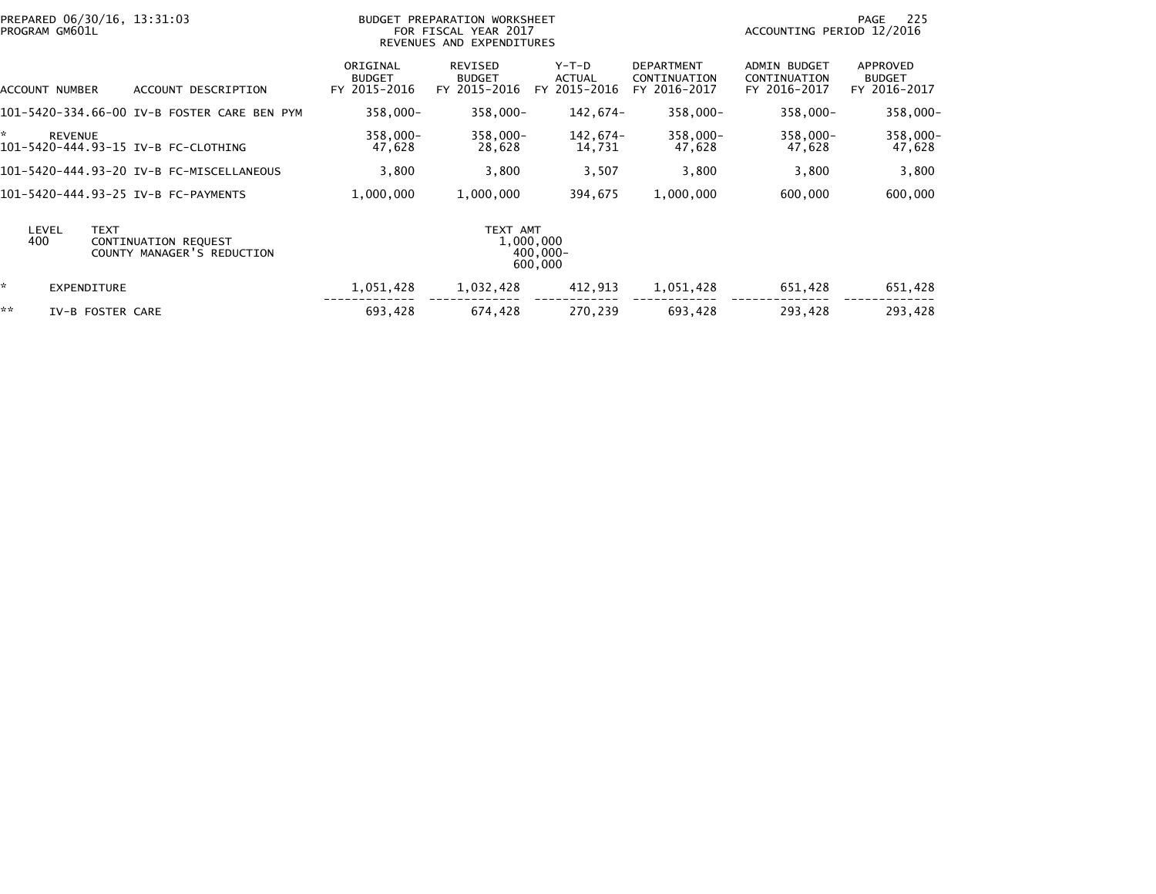|              | PROGRAM GM601L     | PREPARED 06/30/16, 13:31:03                        |                                           | BUDGET PREPARATION WORKSHEET<br>FOR FISCAL YEAR 2017<br>REVENUES AND EXPENDITURES |                                          |                                                   | ACCOUNTING PERIOD 12/2016                           | 225<br>PAGE                               |
|--------------|--------------------|----------------------------------------------------|-------------------------------------------|-----------------------------------------------------------------------------------|------------------------------------------|---------------------------------------------------|-----------------------------------------------------|-------------------------------------------|
|              | ACCOUNT NUMBER     | ACCOUNT DESCRIPTION                                | ORIGINAL<br><b>BUDGET</b><br>FY 2015-2016 | REVISED<br><b>BUDGET</b><br>FY 2015-2016                                          | $Y-T-D$<br><b>ACTUAL</b><br>FY 2015-2016 | <b>DEPARTMENT</b><br>CONTINUATION<br>FY 2016-2017 | <b>ADMIN BUDGET</b><br>CONTINUATION<br>FY 2016-2017 | APPROVED<br><b>BUDGET</b><br>FY 2016-2017 |
|              |                    | 101-5420-334.66-00 IV-B FOSTER CARE BEN PYM        | $358,000 -$                               | 358,000-                                                                          | 142,674-                                 | 358,000-                                          | 358,000-                                            | $358,000 -$                               |
| ×.           | <b>REVENUE</b>     | 101-5420-444.93-15 IV-B FC-CLOTHING                | 358,000-<br>47,628                        | 358,000-<br>28,628                                                                | 142.674-<br>14,731                       | 358,000-<br>47,628                                | 358,000-<br>47,628                                  | 358,000-<br>47,628                        |
|              |                    | 101-5420-444.93-20 IV-B FC-MISCELLANEOUS           | 3,800                                     | 3,800                                                                             | 3,507                                    | 3,800                                             | 3,800                                               | 3,800                                     |
|              |                    | 101-5420-444.93-25 IV-B FC-PAYMENTS                | 1,000,000                                 | 1,000,000                                                                         | 394,675                                  | 1,000,000                                         | 600,000                                             | 600,000                                   |
| LEVEL<br>400 | <b>TEXT</b>        | CONTINUATION REQUEST<br>COUNTY MANAGER'S REDUCTION |                                           | TEXT AMT                                                                          | 1,000,000<br>$400.000 -$<br>600,000      |                                                   |                                                     |                                           |
| ×.           | <b>EXPENDITURE</b> |                                                    | 1,051,428                                 | 1,032,428                                                                         | 412,913                                  | 1,051,428                                         | 651,428                                             | 651,428                                   |
| **           | IV-B FOSTER CARE   |                                                    | 693,428                                   | 674,428                                                                           | 270,239                                  | 693,428                                           | 293,428                                             | 293,428                                   |
|              |                    |                                                    |                                           |                                                                                   |                                          |                                                   |                                                     |                                           |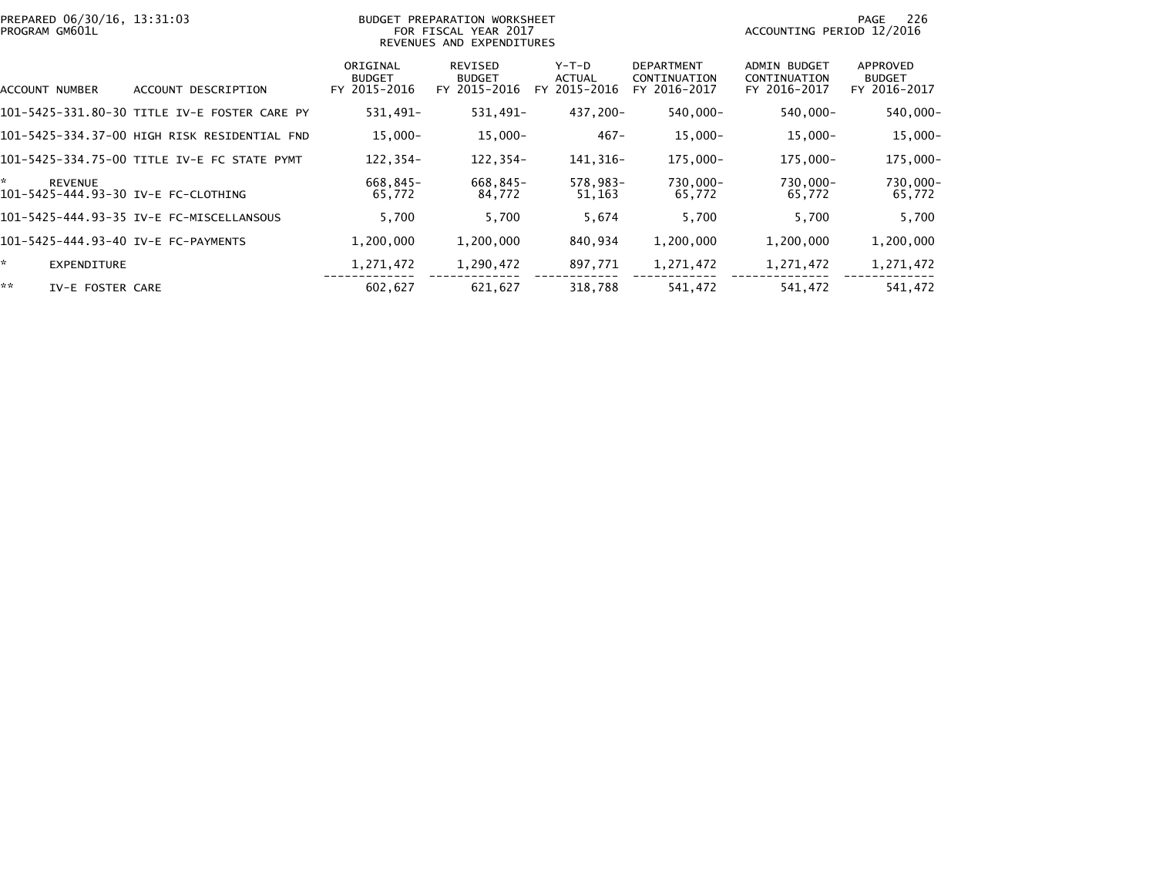| PREPARED 06/30/16, 13:31:03<br>PROGRAM GM601L        |                                              | BUDGET PREPARATION WORKSHEET<br>FOR FISCAL YEAR 2017<br>REVENUES AND EXPENDITURES |                                          |                                            |                                                   | -226<br>PAGE<br>ACCOUNTING PERIOD 12/2016           |                                           |  |
|------------------------------------------------------|----------------------------------------------|-----------------------------------------------------------------------------------|------------------------------------------|--------------------------------------------|---------------------------------------------------|-----------------------------------------------------|-------------------------------------------|--|
| ACCOUNT NUMBER                                       | ACCOUNT DESCRIPTION                          | ORIGINAL<br><b>BUDGET</b><br>FY 2015-2016                                         | REVISED<br><b>BUDGET</b><br>FY 2015-2016 | Y-T-D<br><b>ACTUAL</b><br>2015-2016<br>FY. | <b>DEPARTMENT</b><br>CONTINUATION<br>FY 2016-2017 | <b>ADMIN BUDGET</b><br>CONTINUATION<br>FY 2016-2017 | APPROVED<br><b>BUDGET</b><br>FY 2016-2017 |  |
|                                                      | 101-5425-331.80-30 TITLE IV-E FOSTER CARE PY | 531,491-                                                                          | 531,491-                                 | 437,200-                                   | 540,000-                                          | 540,000-                                            | 540,000-                                  |  |
|                                                      | 101-5425-334.37-00 HIGH RISK RESIDENTIAL FND | $15,000 -$                                                                        | 15,000-                                  | $467 -$                                    | $15,000 -$                                        | $15,000 -$                                          | $15,000 -$                                |  |
|                                                      | 101-5425-334.75-00 TITLE IV-E FC STATE PYMT  | $122.354-$                                                                        | 122,354-                                 | 141,316-                                   | 175.000-                                          | 175.000-                                            | 175,000-                                  |  |
| ×.<br>REVENUE<br>101-5425-444.93-30 IV-E FC-CLOTHING |                                              | 668,845-<br>65,772                                                                | 668,845-<br>84,772                       | 578,983-<br>51,163                         | 730,000-<br>65,772                                | 730,000-<br>65,772                                  | 730,000-<br>65,772                        |  |
|                                                      | 101-5425-444.93-35 IV-E FC-MISCELLANSOUS     | 5,700                                                                             | 5,700                                    | 5,674                                      | 5,700                                             | 5,700                                               | 5,700                                     |  |
| 101-5425-444.93-40 IV-E FC-PAYMENTS                  |                                              | 1,200,000                                                                         | 1,200,000                                | 840,934                                    | 1,200,000                                         | 1,200,000                                           | 1,200,000                                 |  |
| ×.<br><b>EXPENDITURE</b>                             |                                              | 1,271,472                                                                         | 1,290,472                                | 897,771                                    | 1,271,472                                         | 1,271,472                                           | 1,271,472                                 |  |
| **<br>IV-E FOSTER CARE                               |                                              | 602,627                                                                           | 621,627                                  | 318,788                                    | 541,472                                           | 541,472                                             | 541,472                                   |  |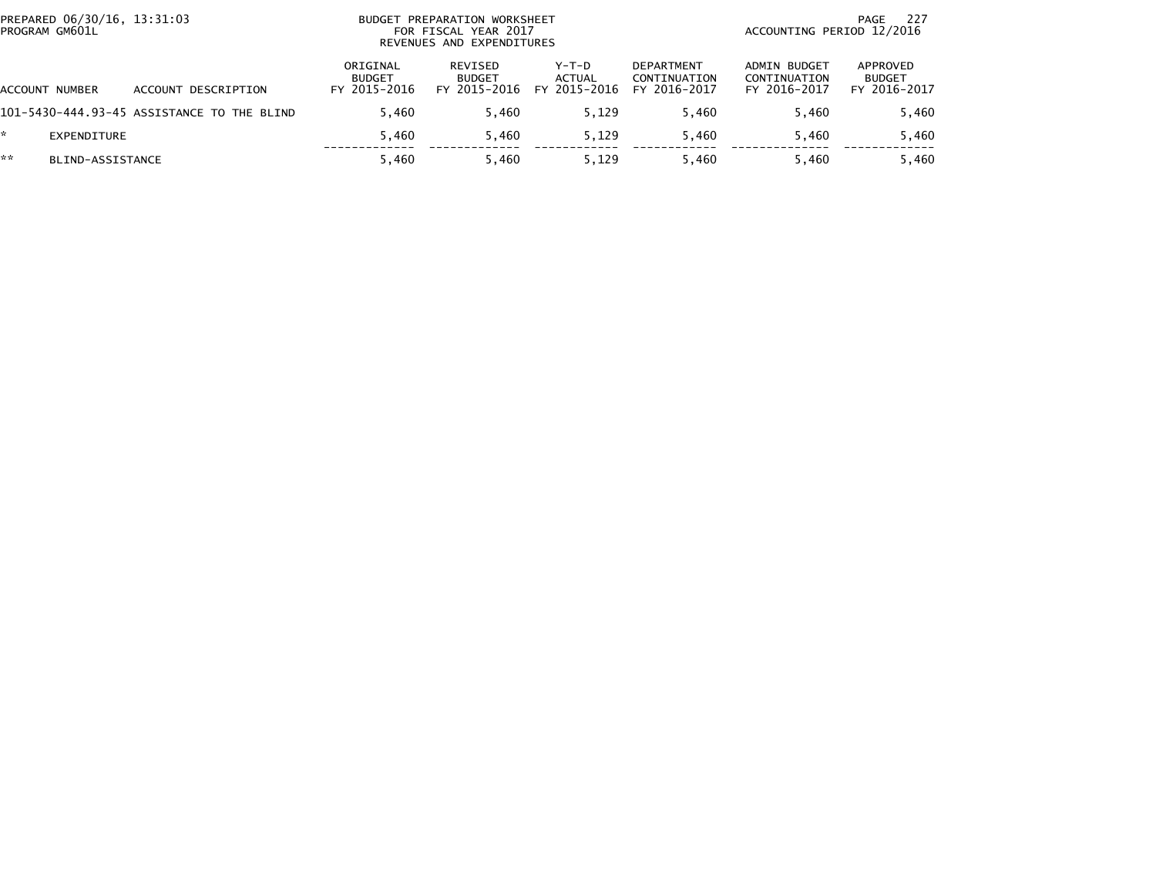|    | PREPARED 06/30/16, 13:31:03<br>PROGRAM GM601L |                                            | <b>BUDGET</b>                             | PREPARATION WORKSHEET<br>FOR FISCAL YEAR 2017<br>REVENUES AND EXPENDITURES |                                          | -227<br>PAGE<br>ACCOUNTING PERIOD 12/2016         |                                              |                                           |
|----|-----------------------------------------------|--------------------------------------------|-------------------------------------------|----------------------------------------------------------------------------|------------------------------------------|---------------------------------------------------|----------------------------------------------|-------------------------------------------|
|    | ACCOUNT NUMBER                                | ACCOUNT DESCRIPTION                        | ORIGINAL<br><b>BUDGET</b><br>FY 2015-2016 | REVISED<br><b>BUDGET</b><br>FY 2015-2016                                   | $Y-T-D$<br><b>ACTUAL</b><br>FY 2015-2016 | <b>DEPARTMENT</b><br>CONTINUATION<br>FY 2016-2017 | ADMIN BUDGET<br>CONTINUATION<br>FY 2016-2017 | APPROVED<br><b>BUDGET</b><br>FY 2016-2017 |
|    |                                               | 101-5430-444.93-45 ASSISTANCE TO THE BLIND | 5.460                                     | 5.460                                                                      | 5.129                                    | 5.460                                             | 5.460                                        | 5,460                                     |
| *. | EXPENDITURE                                   |                                            | 5,460                                     | 5.460                                                                      | 5.129                                    | 5.460                                             | 5.460                                        | 5,460                                     |
| ** | BLIND-ASSISTANCE                              |                                            | 5.460                                     | 5.460                                                                      | 5.129                                    | 5.460                                             | 5.460                                        | 5,460                                     |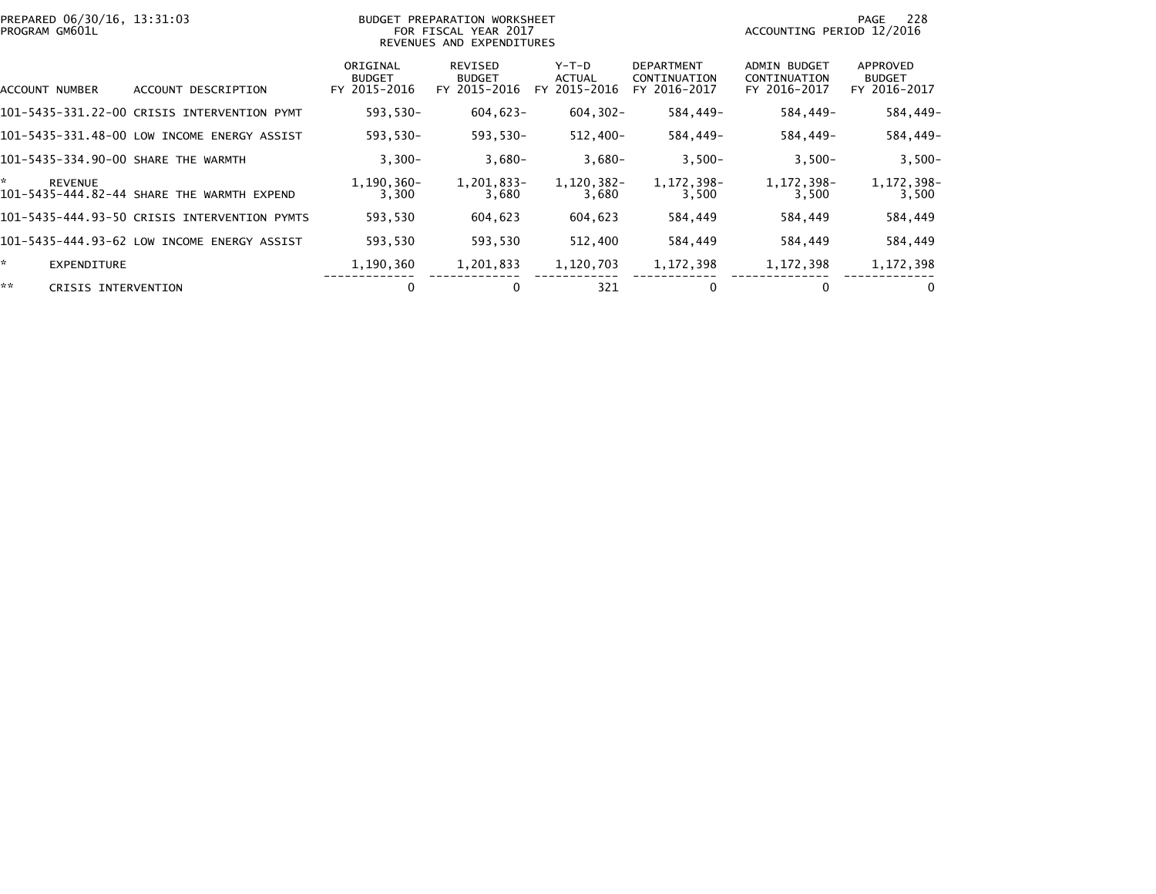| PREPARED 06/30/16, 13:31:03<br>PROGRAM GM601L |                                              | <b>BUDGET PREPARATION WORKSHEET</b><br>FOR FISCAL YEAR 2017<br>REVENUES AND EXPENDITURES |                                          |                                 |                                                   | 228<br>PAGE<br>ACCOUNTING PERIOD 12/2016            |                                           |  |
|-----------------------------------------------|----------------------------------------------|------------------------------------------------------------------------------------------|------------------------------------------|---------------------------------|---------------------------------------------------|-----------------------------------------------------|-------------------------------------------|--|
| ACCOUNT NUMBER                                | ACCOUNT DESCRIPTION                          | ORIGINAL<br><b>BUDGET</b><br>FY 2015-2016                                                | REVISED<br><b>BUDGET</b><br>FY 2015-2016 | Y-T-D<br>ACTUAL<br>FY 2015-2016 | <b>DEPARTMENT</b><br>CONTINUATION<br>FY 2016-2017 | <b>ADMIN BUDGET</b><br>CONTINUATION<br>FY 2016-2017 | APPROVED<br><b>BUDGET</b><br>FY 2016-2017 |  |
|                                               | 101-5435-331.22-00 CRISIS INTERVENTION PYMT  | 593,530-                                                                                 | $604,623-$                               | $604, 302 -$                    | 584,449–                                          | 584,449-                                            | 584,449-                                  |  |
|                                               | 101-5435-331.48-00 LOW INCOME ENERGY ASSIST  | 593,530-                                                                                 | 593,530-                                 | 512,400-                        | 584,449-                                          | 584,449-                                            | 584,449-                                  |  |
| 101-5435-334.90-00 SHARE THE WARMTH           |                                              | $3,300-$                                                                                 | $3,680-$                                 | $3,680-$                        | $3,500-$                                          | $3,500-$                                            | $3,500-$                                  |  |
| *.<br><b>REVENUE</b>                          | 101-5435-444.82-44 SHARE THE WARMTH EXPEND   | 1,190,360-<br>3,300                                                                      | 1,201,833-<br>3,680                      | 1,120,382-<br>3,680             | 1, 172, 398-<br>3,500                             | 1,172,398-<br>3,500                                 | 1,172,398-<br>3,500                       |  |
|                                               | 101-5435-444.93-50 CRISIS INTERVENTION PYMTS | 593,530                                                                                  | 604,623                                  | 604,623                         | 584,449                                           | 584,449                                             | 584,449                                   |  |
|                                               | 101-5435-444.93-62 LOW INCOME ENERGY ASSIST  | 593.530                                                                                  | 593,530                                  | 512,400                         | 584,449                                           | 584,449                                             | 584,449                                   |  |
| *.<br>EXPENDITURE                             |                                              | 1,190,360                                                                                | 1,201,833                                | 1,120,703                       | 1, 172, 398                                       | 1,172,398                                           | 1, 172, 398                               |  |
| **<br>CRISIS INTERVENTION                     |                                              | 0                                                                                        |                                          | 321                             | 0                                                 | 0                                                   | 0                                         |  |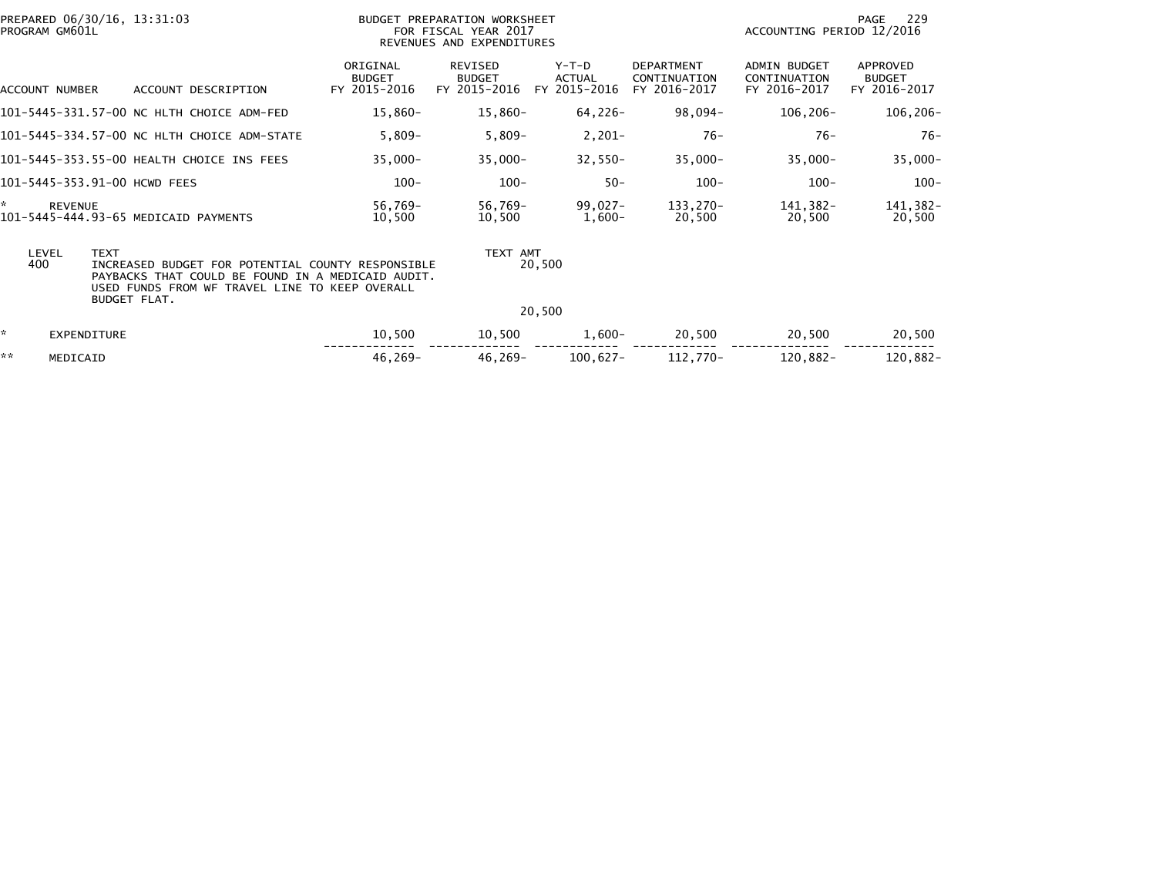|                                                                                                                                                                                                                | PREPARED 06/30/16, 13:31:03<br>PROGRAM GM601L |                    |                                             | BUDGET PREPARATION WORKSHEET<br>FOR FISCAL YEAR 2017<br>REVENUES AND EXPENDITURES |                                          |                                          |                                                   | 229<br>PAGE<br>ACCOUNTING PERIOD 12/2016            |                                           |  |
|----------------------------------------------------------------------------------------------------------------------------------------------------------------------------------------------------------------|-----------------------------------------------|--------------------|---------------------------------------------|-----------------------------------------------------------------------------------|------------------------------------------|------------------------------------------|---------------------------------------------------|-----------------------------------------------------|-------------------------------------------|--|
|                                                                                                                                                                                                                | ACCOUNT NUMBER                                |                    | ACCOUNT DESCRIPTION                         | ORIGINAL<br><b>BUDGET</b><br>FY 2015-2016                                         | REVISED<br><b>BUDGET</b><br>FY 2015-2016 | $Y-T-D$<br><b>ACTUAL</b><br>FY 2015-2016 | <b>DEPARTMENT</b><br>CONTINUATION<br>FY 2016-2017 | <b>ADMIN BUDGET</b><br>CONTINUATION<br>FY 2016-2017 | APPROVED<br><b>BUDGET</b><br>FY 2016-2017 |  |
|                                                                                                                                                                                                                |                                               |                    | 101-5445-331.57-00 NC HLTH CHOICE ADM-FED   | 15,860-                                                                           | 15,860-                                  | $64,226-$                                | 98,094–                                           | $106, 206 -$                                        | 106,206-                                  |  |
|                                                                                                                                                                                                                |                                               |                    | 101-5445-334.57-00 NC HLTH CHOICE ADM-STATE | $5,809-$                                                                          | $5,809-$                                 | $2,201-$                                 | $76-$                                             | $76-$                                               | $76-$                                     |  |
|                                                                                                                                                                                                                |                                               |                    | 101-5445-353.55-00 HEALTH CHOICE INS FEES   | $35,000 -$                                                                        | $35,000 -$                               | $32,550-$                                | $35,000 -$                                        | $35,000 -$                                          | $35,000 -$                                |  |
|                                                                                                                                                                                                                |                                               |                    | 101-5445-353.91-00 HCWD FEES                | $100 -$                                                                           | $100 -$                                  | $50 -$                                   | $100 -$                                           | $100 -$                                             | $100 -$                                   |  |
| ×.                                                                                                                                                                                                             | <b>REVENUE</b>                                |                    | 101-5445-444.93-65 MEDICAID PAYMENTS        | 56,769-<br>10,500                                                                 | 56,769-<br>10,500                        | 99,027–<br>1,600-                        | 133,270-<br>20,500                                | 141,382-<br>20,500                                  | 141,382-<br>20,500                        |  |
| LEVEL<br><b>TEXT</b><br>400<br>INCREASED BUDGET FOR POTENTIAL COUNTY RESPONSIBLE<br>PAYBACKS THAT COULD BE FOUND IN A MEDICAID AUDIT.<br>USED FUNDS FROM WF TRAVEL LINE TO KEEP OVERALL<br><b>BUDGET FLAT.</b> |                                               |                    |                                             |                                                                                   | TEXT AMT                                 | 20,500                                   |                                                   |                                                     |                                           |  |
|                                                                                                                                                                                                                |                                               |                    |                                             |                                                                                   |                                          | 20,500                                   |                                                   |                                                     |                                           |  |
| ×.                                                                                                                                                                                                             |                                               | <b>EXPENDITURE</b> |                                             | 10,500                                                                            | 10,500                                   | $1,600-$                                 | 20,500                                            | 20,500                                              | 20,500                                    |  |
| **                                                                                                                                                                                                             | MEDICAID                                      |                    |                                             | $46,269-$                                                                         | 46,269-                                  | 100,627-                                 | 112,770-                                          | 120,882-                                            | 120,882-                                  |  |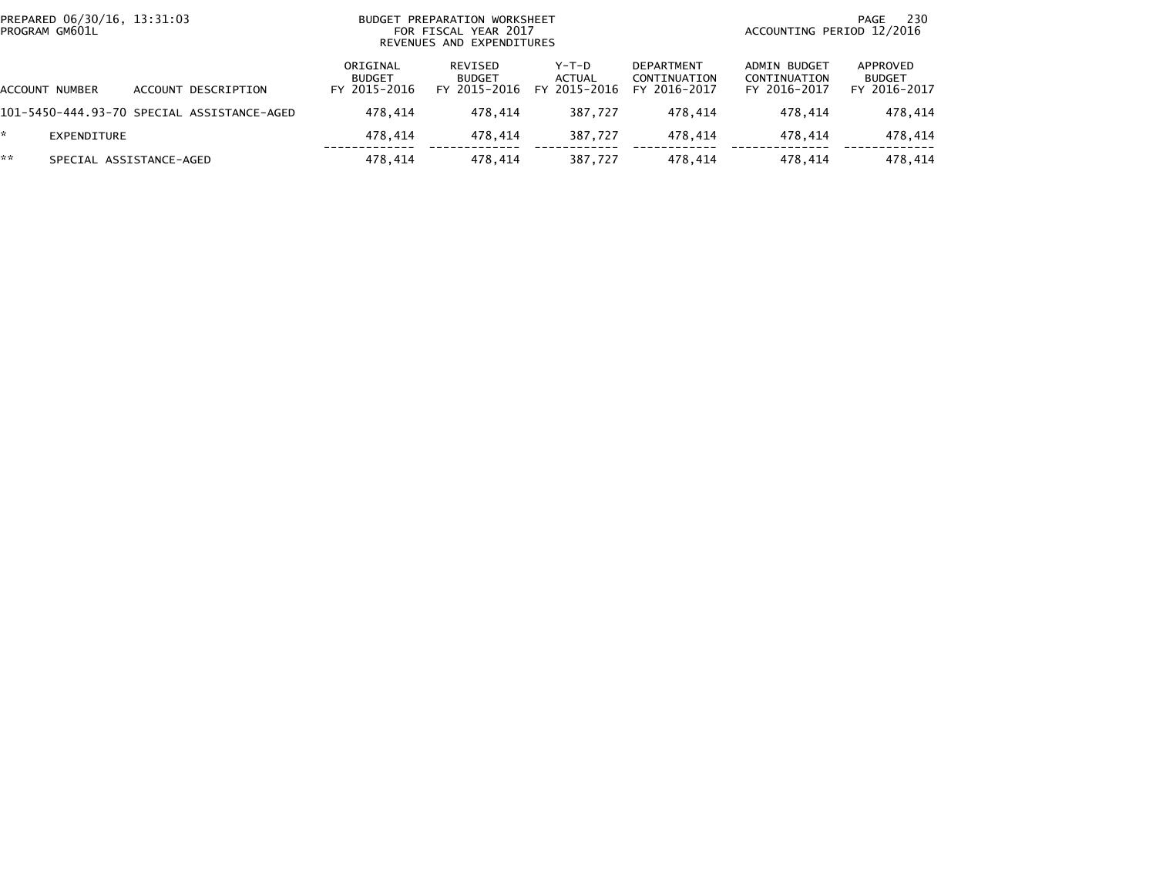| PREPARED 06/30/16, 13:31:03<br>PROGRAM GM601L |                                            | BUDGET PREPARATION WORKSHEET<br>FOR FISCAL YEAR 2017<br>REVENUES AND EXPENDITURES |                                          |                                          |                                                   | -230<br>PAGE<br>ACCOUNTING PERIOD 12/2016    |                                           |  |
|-----------------------------------------------|--------------------------------------------|-----------------------------------------------------------------------------------|------------------------------------------|------------------------------------------|---------------------------------------------------|----------------------------------------------|-------------------------------------------|--|
| ACCOUNT NUMBER                                | ACCOUNT DESCRIPTION                        | ORIGINAL<br><b>BUDGET</b><br>FY 2015-2016                                         | REVISED<br><b>BUDGET</b><br>FY 2015-2016 | $Y-T-D$<br><b>ACTUAL</b><br>FY 2015-2016 | <b>DEPARTMENT</b><br>CONTINUATION<br>FY 2016-2017 | ADMIN BUDGET<br>CONTINUATION<br>FY 2016-2017 | APPROVED<br><b>BUDGET</b><br>FY 2016-2017 |  |
|                                               | 101-5450-444.93-70 SPECIAL ASSISTANCE-AGED | 478.414                                                                           | 478.414                                  | 387.727                                  | 478.414                                           | 478.414                                      | 478,414                                   |  |
| EXPENDITURE                                   |                                            | 478.414                                                                           | 478.414                                  | 387.727                                  | 478.414                                           | 478.414                                      | 478,414                                   |  |
| **                                            | SPECIAL ASSISTANCE-AGED                    | 478.414                                                                           | 478.414                                  | 387.727                                  | 478.414                                           | 478.414                                      | 478.414                                   |  |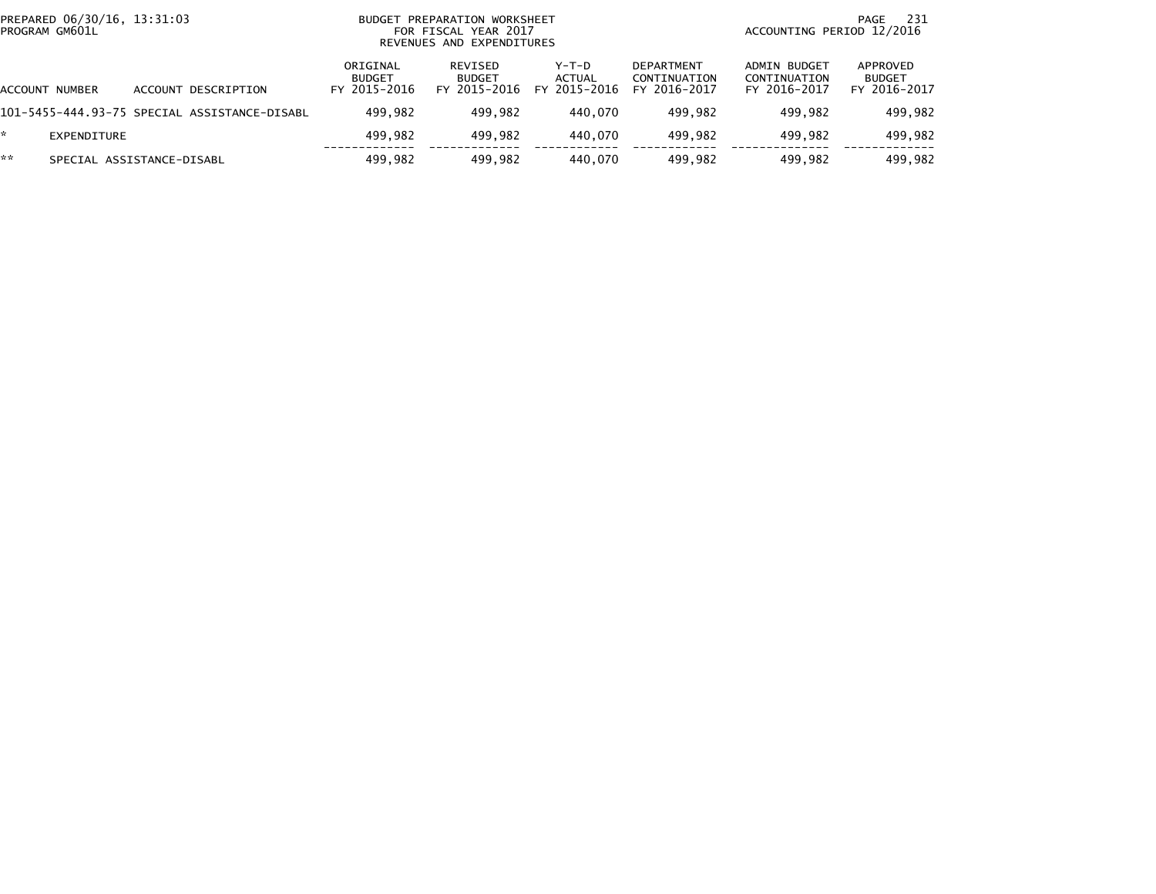| PREPARED 06/30/16, 13:31:03<br>PROGRAM GM601L |                                              | PREPARATION WORKSHEET<br><b>BUDGET</b><br>FOR FISCAL YEAR 2017<br>REVENUES AND EXPENDITURES |                                                 |                                 |                                                   | 231<br>PAGE<br>ACCOUNTING PERIOD 12/2016     |                                           |  |
|-----------------------------------------------|----------------------------------------------|---------------------------------------------------------------------------------------------|-------------------------------------------------|---------------------------------|---------------------------------------------------|----------------------------------------------|-------------------------------------------|--|
| ACCOUNT NUMBER                                | ACCOUNT DESCRIPTION                          | ORIGINAL<br><b>BUDGET</b><br>FY 2015-2016                                                   | <b>REVISED</b><br><b>BUDGET</b><br>FY 2015-2016 | Y-T-D<br>ACTUAL<br>FY 2015-2016 | <b>DEPARTMENT</b><br>CONTINUATION<br>FY 2016-2017 | ADMIN BUDGET<br>CONTINUATION<br>FY 2016-2017 | APPROVED<br><b>BUDGET</b><br>FY 2016-2017 |  |
|                                               | 101-5455-444.93-75 SPECIAL ASSISTANCE-DISABL | 499.982                                                                                     | 499.982                                         | 440.070                         | 499.982                                           | 499.982                                      | 499,982                                   |  |
| EXPENDITURE                                   |                                              | 499.982                                                                                     | 499.982                                         | 440.070                         | 499.982                                           | 499.982                                      | 499,982                                   |  |
| **                                            | SPECIAL ASSISTANCE-DISABL                    | 499.982                                                                                     | 499.982                                         | 440.070                         | 499.982                                           | 499.982                                      | 499.982                                   |  |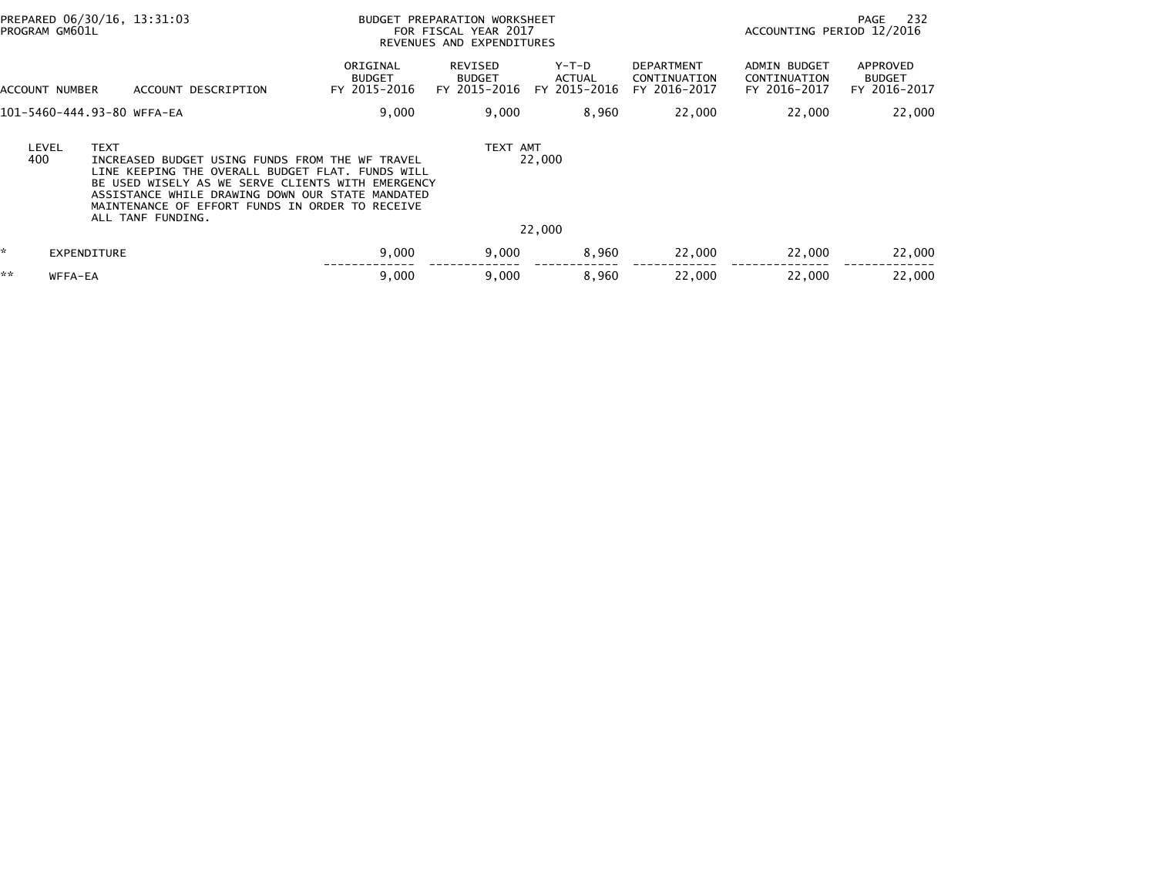| PROGRAM GM601L                                                                                                                                                                                                                                                                                                                            | PREPARED 06/30/16, 13:31:03 | BUDGET PREPARATION WORKSHEET<br>FOR FISCAL YEAR 2017<br>REVENUES AND EXPENDITURES |                                          |                                        |                                                   | 232<br>PAGE<br>ACCOUNTING PERIOD 12/2016            |                                                  |  |
|-------------------------------------------------------------------------------------------------------------------------------------------------------------------------------------------------------------------------------------------------------------------------------------------------------------------------------------------|-----------------------------|-----------------------------------------------------------------------------------|------------------------------------------|----------------------------------------|---------------------------------------------------|-----------------------------------------------------|--------------------------------------------------|--|
| ACCOUNT NUMBER                                                                                                                                                                                                                                                                                                                            | ACCOUNT DESCRIPTION         | ORIGINAL<br><b>BUDGET</b><br>FY 2015-2016                                         | REVISED<br><b>BUDGET</b><br>FY 2015-2016 | Y-T-D<br><b>ACTUAL</b><br>FY 2015-2016 | <b>DEPARTMENT</b><br>CONTINUATION<br>FY 2016-2017 | <b>ADMIN BUDGET</b><br>CONTINUATION<br>FY 2016-2017 | <b>APPROVED</b><br><b>BUDGET</b><br>FY 2016-2017 |  |
|                                                                                                                                                                                                                                                                                                                                           | 101-5460-444.93-80 WFFA-EA  | 9,000                                                                             | 9,000                                    | 8,960                                  | 22,000                                            | 22,000                                              | 22,000                                           |  |
| <b>TEXT</b><br>TEXT AMT<br>LEVEL<br>400<br>22,000<br>INCREASED BUDGET USING FUNDS FROM THE WF TRAVEL<br>LINE KEEPING THE OVERALL BUDGET FLAT. FUNDS WILL<br>BE USED WISELY AS WE SERVE CLIENTS WITH EMERGENCY<br>ASSISTANCE WHILE DRAWING DOWN OUR STATE MANDATED<br>MAINTENANCE OF EFFORT FUNDS IN ORDER TO RECEIVE<br>ALL TANF FUNDING. |                             |                                                                                   |                                          |                                        |                                                   |                                                     |                                                  |  |
|                                                                                                                                                                                                                                                                                                                                           |                             |                                                                                   |                                          | 22,000                                 |                                                   |                                                     |                                                  |  |
| ÷.                                                                                                                                                                                                                                                                                                                                        | EXPENDITURE                 | 9,000                                                                             | 9,000                                    | 8,960                                  | 22,000                                            | 22,000                                              | 22,000                                           |  |
| **<br>WFFA-EA                                                                                                                                                                                                                                                                                                                             |                             | 9,000                                                                             | 9,000                                    | 8,960                                  | 22,000                                            | 22,000                                              | 22,000                                           |  |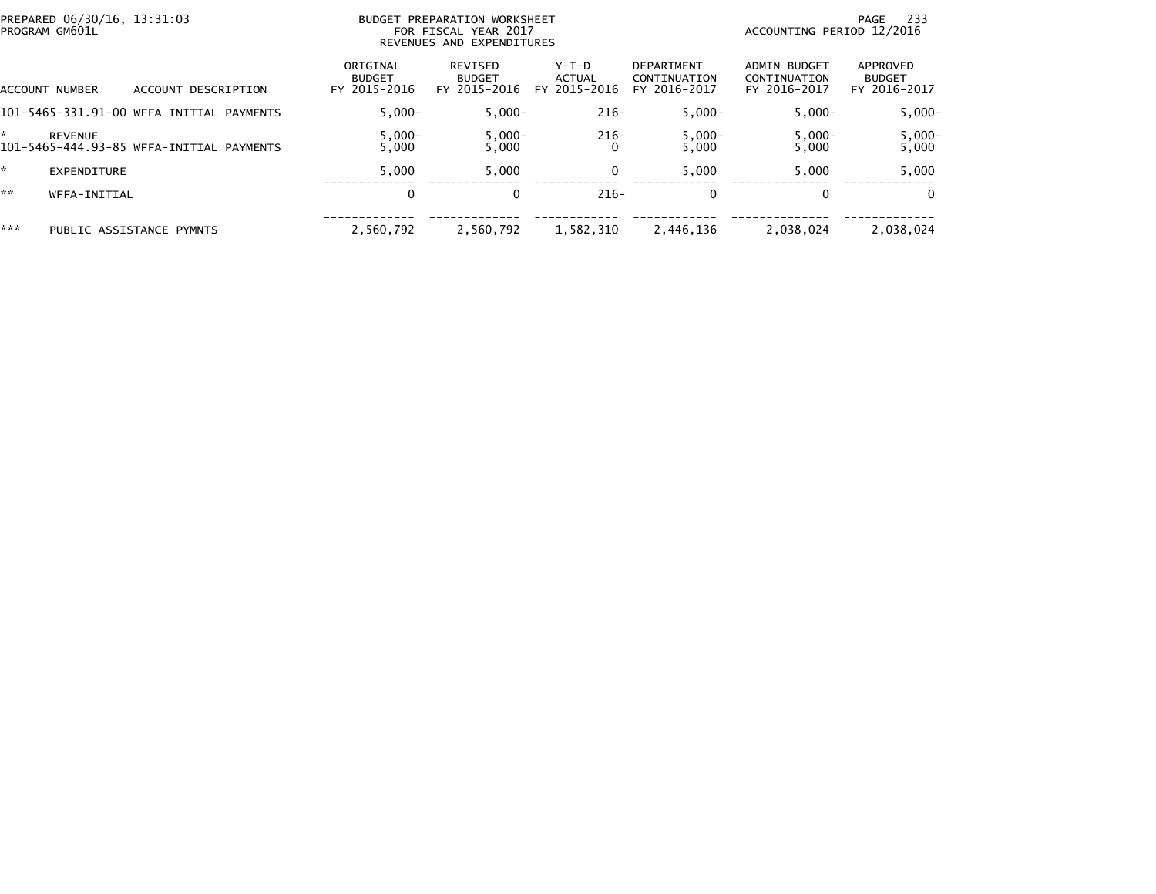| PREPARED 06/30/16, 13:31:03<br>PROGRAM GM601L |                                          |                                           | BUDGET PREPARATION WORKSHEET<br>FOR FISCAL YEAR 2017<br>REVENUES AND EXPENDITURES |                                 | -233<br>PAGE<br>ACCOUNTING PERIOD 12/2016         |                                              |                                           |
|-----------------------------------------------|------------------------------------------|-------------------------------------------|-----------------------------------------------------------------------------------|---------------------------------|---------------------------------------------------|----------------------------------------------|-------------------------------------------|
| ACCOUNT NUMBER                                | DESCRIPTION<br>ACCOUNT                   | ORIGINAL<br><b>BUDGET</b><br>FY 2015-2016 | REVISED<br><b>BUDGET</b><br>FY 2015-2016                                          | Y-T-D<br>ACTUAL<br>FY 2015-2016 | <b>DEPARTMENT</b><br>CONTINUATION<br>FY 2016-2017 | ADMIN BUDGET<br>CONTINUATION<br>FY 2016-2017 | APPROVED<br><b>BUDGET</b><br>FY 2016-2017 |
|                                               | 101-5465-331.91-00 WFFA INITIAL PAYMENTS | $5.000 -$                                 | $5.000 -$                                                                         | $216-$                          | $5.000 -$                                         | $5.000 -$                                    | $5,000 -$                                 |
| <b>REVENUE</b>                                | 101-5465-444.93-85 WFFA-INITIAL PAYMENTS | $5,000-$<br>5.000                         | $5,000-$<br>5,000                                                                 | $216-$                          | $5,000-$<br>5.000                                 | $5,000-$<br>5.000                            | $5,000-$<br>5,000                         |
| EXPENDITURE                                   |                                          | 5.000                                     | 5,000                                                                             | 0                               | 5.000                                             | 5.000                                        | 5,000                                     |
| **<br>WFFA-INITIAL                            |                                          | $\mathbf 0$                               | $\Omega$                                                                          | $216-$                          | 0                                                 |                                              | $\Omega$                                  |
| ***                                           | PUBLIC ASSISTANCE PYMNTS                 | 2.560.792                                 | 2,560,792                                                                         | 1,582,310                       | 2,446,136                                         | 2,038,024                                    | 2,038,024                                 |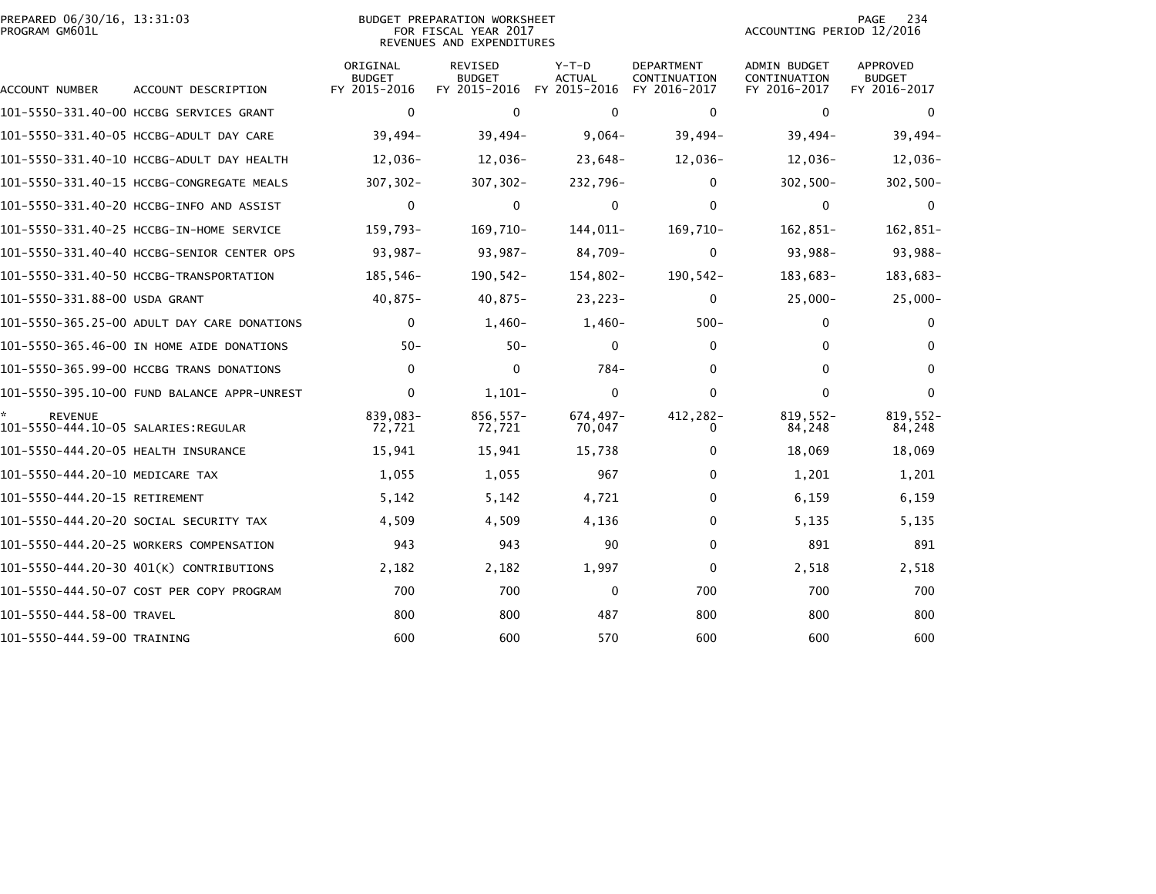|                | PREPARED 06/30/16, 13:31:03 |  |
|----------------|-----------------------------|--|
| PROGRAM GM601L |                             |  |

| PREPARED 06/30/16, 13:31:03 | BUDGET PREPARATION WORKSHEET | 234<br>PAGE               |
|-----------------------------|------------------------------|---------------------------|
| PROGRAM GM601L              | FOR FISCAL YEAR 2017         | ACCOUNTING PERIOD 12/2016 |
|                             | REVENUES AND EXPENDITURES    |                           |

| ACCOUNT NUMBER                      | ACCOUNT DESCRIPTION                         | ORIGINAL<br><b>BUDGET</b><br>FY 2015-2016 | REVISED<br><b>BUDGET</b><br>FY 2015-2016 | $Y-T-D$<br><b>ACTUAL</b><br>FY 2015-2016 | <b>DEPARTMENT</b><br>CONTINUATION<br>FY 2016-2017 | <b>ADMIN BUDGET</b><br>CONTINUATION<br>FY 2016-2017 | APPROVED<br><b>BUDGET</b><br>FY 2016-2017 |
|-------------------------------------|---------------------------------------------|-------------------------------------------|------------------------------------------|------------------------------------------|---------------------------------------------------|-----------------------------------------------------|-------------------------------------------|
|                                     | 101-5550-331.40-00 HCCBG SERVICES GRANT     | $\mathbf 0$                               | $\Omega$                                 | $\Omega$                                 | $\mathbf 0$                                       | $\mathbf{0}$                                        | $\Omega$                                  |
|                                     | 101-5550-331.40-05 HCCBG-ADULT DAY CARE     | $39,494-$                                 | $39,494-$                                | $9,064-$                                 | $39,494-$                                         | $39,494-$                                           | $39,494-$                                 |
|                                     | 101-5550-331.40-10 HCCBG-ADULT DAY HEALTH   | 12,036-                                   | 12,036-                                  | $23,648-$                                | $12,036-$                                         | 12,036-                                             | 12,036-                                   |
|                                     |                                             | $307, 302 -$                              | $307, 302 -$                             | 232,796-                                 | 0                                                 | $302,500 -$                                         | 302,500-                                  |
|                                     | 101-5550-331.40-20 HCCBG-INFO AND ASSIST    | $\mathbf 0$                               | $\mathbf 0$                              | $\mathbf{0}$                             | $\mathbf{0}$                                      | $\mathbf 0$                                         | $\Omega$                                  |
|                                     | 101-5550-331.40-25 HCCBG-IN-HOME SERVICE    | 159,793-                                  | 169,710-                                 | 144,011-                                 | 169,710-                                          | 162,851-                                            | 162,851-                                  |
|                                     | 101-5550-331.40-40 HCCBG-SENIOR CENTER OPS  | 93,987-                                   | $93,987-$                                | 84,709-                                  | $\mathbf 0$                                       | 93,988-                                             | 93,988-                                   |
|                                     | 101-5550-331.40-50 HCCBG-TRANSPORTATION     | 185,546-                                  | $190, 542 -$                             | 154,802-                                 | $190, 542 -$                                      | 183,683-                                            | 183,683-                                  |
| 101-5550-331.88-00 USDA GRANT       |                                             | $40,875-$                                 | $40,875-$                                | $23,223-$                                | $\mathbf 0$                                       | $25,000 -$                                          | $25,000-$                                 |
|                                     | 101-5550-365.25-00 ADULT DAY CARE DONATIONS | $\mathbf 0$                               | $1,460-$                                 | $1,460-$                                 | $500 -$                                           | 0                                                   | 0                                         |
|                                     | 101-5550-365.46-00 IN HOME AIDE DONATIONS   | $50 -$                                    | $50 -$                                   | $\mathbf{0}$                             | $\mathbf{0}$                                      | $\mathbf{0}$                                        | $\Omega$                                  |
|                                     | 101-5550-365.99-00 HCCBG TRANS DONATIONS    | $\mathbf{0}$                              | $\mathbf{0}$                             | $784-$                                   | $\Omega$                                          | $\Omega$                                            | $\Omega$                                  |
|                                     |                                             | $\mathbf{0}$                              | $1,101-$                                 | $\mathbf{0}$                             | $\Omega$                                          | $\Omega$                                            | $\Omega$                                  |
| <b>REVENUE</b>                      |                                             | 839,083-<br>72,721                        | $856.557-$<br>72,721                     | 674,497-<br>70,047                       | 412,282-<br>0                                     | $819,552-$<br>84,248                                | $819,552-$<br>84,248                      |
| 101-5550-444.20-05 HEALTH INSURANCE |                                             | 15,941                                    | 15,941                                   | 15,738                                   | $\bf{0}$                                          | 18,069                                              | 18,069                                    |
| 101-5550-444.20-10 MEDICARE TAX     |                                             | 1,055                                     | 1,055                                    | 967                                      | $\mathbf{0}$                                      | 1,201                                               | 1,201                                     |
| 101-5550-444.20-15 RETIREMENT       |                                             | 5,142                                     | 5,142                                    | 4,721                                    | $\mathbf{0}$                                      | 6,159                                               | 6,159                                     |
|                                     | 101-5550-444.20-20 SOCIAL SECURITY TAX      | 4,509                                     | 4,509                                    | 4,136                                    | 0                                                 | 5,135                                               | 5,135                                     |
|                                     | 101-5550-444.20-25 WORKERS COMPENSATION     | 943                                       | 943                                      | 90                                       | $\mathbf{0}$                                      | 891                                                 | 891                                       |
|                                     | 101-5550-444.20-30 401(K) CONTRIBUTIONS     | 2,182                                     | 2,182                                    | 1,997                                    | 0                                                 | 2,518                                               | 2,518                                     |
|                                     | 101-5550-444.50-07 COST PER COPY PROGRAM    | 700                                       | 700                                      | $\Omega$                                 | 700                                               | 700                                                 | 700                                       |
| 101-5550-444.58-00 TRAVEL           |                                             | 800                                       | 800                                      | 487                                      | 800                                               | 800                                                 | 800                                       |
| 101-5550-444.59-00 TRAINING         |                                             | 600                                       | 600                                      | 570                                      | 600                                               | 600                                                 | 600                                       |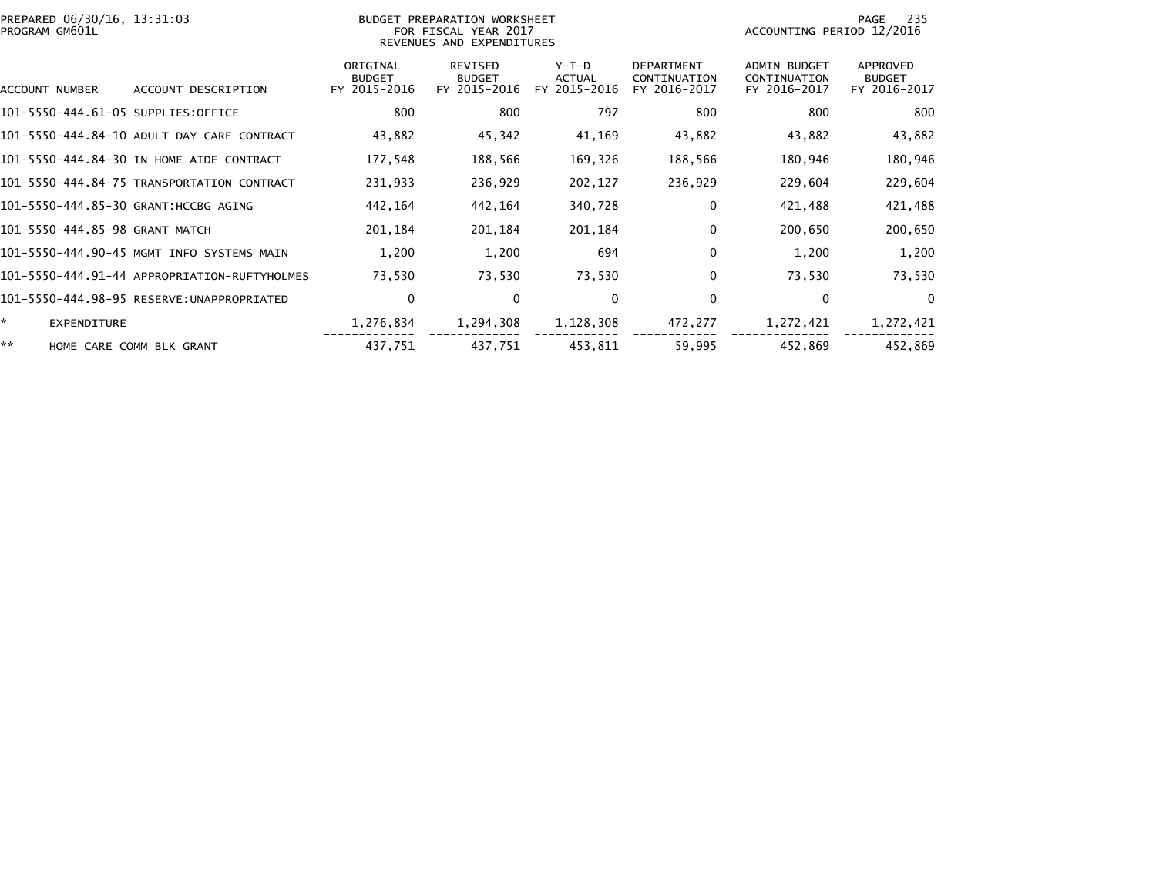| PREPARED 06/30/16, 13:31:03<br>PROGRAM GM601L |                                              | BUDGET PREPARATION WORKSHEET<br>FOR FISCAL YEAR 2017<br>REVENUES AND EXPENDITURES | PAGE<br>-235<br>ACCOUNTING PERIOD 12/2016       |                                 |                                                   |                                                     |                                           |
|-----------------------------------------------|----------------------------------------------|-----------------------------------------------------------------------------------|-------------------------------------------------|---------------------------------|---------------------------------------------------|-----------------------------------------------------|-------------------------------------------|
| ACCOUNT NUMBER                                | ACCOUNT DESCRIPTION                          | ORIGINAL<br><b>BUDGET</b><br>FY 2015-2016                                         | <b>REVISED</b><br><b>BUDGET</b><br>FY 2015-2016 | Y-T-D<br>ACTUAL<br>FY 2015-2016 | <b>DEPARTMENT</b><br>CONTINUATION<br>FY 2016-2017 | <b>ADMIN BUDGET</b><br>CONTINUATION<br>FY 2016-2017 | APPROVED<br><b>BUDGET</b><br>FY 2016-2017 |
| 101-5550-444.61-05 SUPPLIES:OFFICE            |                                              | 800                                                                               | 800                                             | 797                             | 800                                               | 800                                                 | 800                                       |
|                                               | 101-5550-444.84-10 ADULT DAY CARE CONTRACT   | 43,882                                                                            | 45,342                                          | 41,169                          | 43,882                                            | 43,882                                              | 43,882                                    |
|                                               | 101-5550-444.84-30 IN HOME AIDE CONTRACT     | 177,548                                                                           | 188,566                                         | 169,326                         | 188,566                                           | 180,946                                             | 180,946                                   |
|                                               | 101-5550-444.84-75 TRANSPORTATION CONTRACT   | 231,933                                                                           | 236,929                                         | 202,127                         | 236,929                                           | 229,604                                             | 229,604                                   |
| 101-5550-444.85-30 GRANT:HCCBG AGING          |                                              | 442,164                                                                           | 442,164                                         | 340,728                         | 0                                                 | 421,488                                             | 421,488                                   |
| 101-5550-444.85-98 GRANT MATCH                |                                              | 201,184                                                                           | 201,184                                         | 201,184                         | 0                                                 | 200,650                                             | 200,650                                   |
|                                               | 101-5550-444.90-45 MGMT INFO SYSTEMS MAIN    | 1,200                                                                             | 1,200                                           | 694                             | $\mathbf{0}$                                      | 1,200                                               | 1,200                                     |
|                                               | 101-5550-444.91-44 APPROPRIATION-RUFTYHOLMES | 73,530                                                                            | 73,530                                          | 73,530                          | 0                                                 | 73,530                                              | 73,530                                    |
|                                               |                                              | $\mathbf 0$                                                                       | $\mathbf{0}$                                    | 0                               | $\mathbf 0$                                       | $\Omega$                                            | $\mathbf{0}$                              |
| *.<br>EXPENDITURE                             |                                              | 1,276,834                                                                         | 1,294,308                                       | 1,128,308                       | 472,277                                           | 1,272,421                                           | 1,272,421                                 |
| **                                            | HOME CARE COMM BLK GRANT                     | 437,751                                                                           | 437,751                                         | 453,811                         | 59,995                                            | 452,869                                             | 452,869                                   |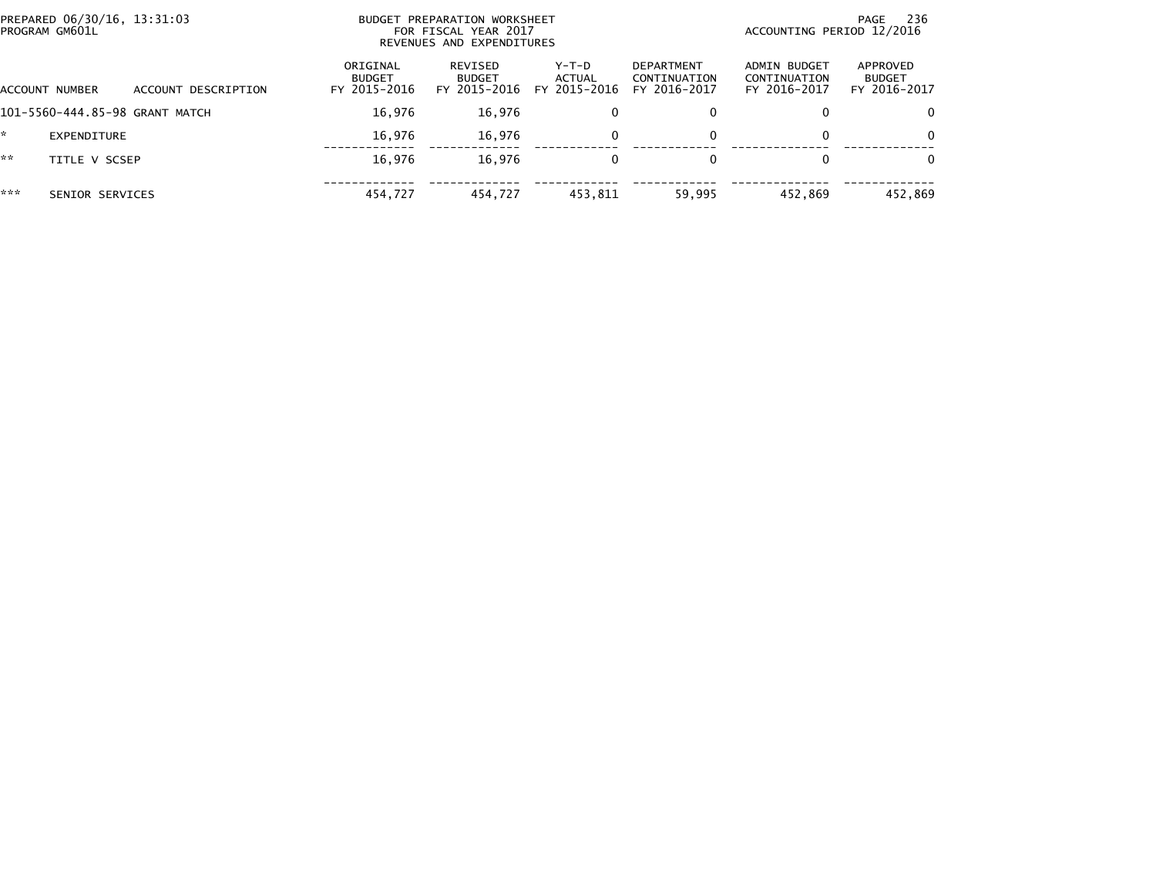|     | PREPARED 06/30/16, 13:31:03<br>PROGRAM GM601L |                     |                                           | BUDGET PREPARATION WORKSHEET<br>FOR FISCAL YEAR 2017<br>REVENUES AND EXPENDITURES |                                 |                                            |                                              | 236<br>PAGE<br>ACCOUNTING PERIOD 12/2016  |  |  |
|-----|-----------------------------------------------|---------------------|-------------------------------------------|-----------------------------------------------------------------------------------|---------------------------------|--------------------------------------------|----------------------------------------------|-------------------------------------------|--|--|
|     | ACCOUNT NUMBER                                | ACCOUNT DESCRIPTION | ORIGINAL<br><b>BUDGET</b><br>FY 2015-2016 | REVISED<br><b>BUDGET</b><br>FY 2015-2016                                          | Y-T-D<br>ACTUAL<br>FY 2015-2016 | DEPARTMENT<br>CONTINUATION<br>FY 2016-2017 | ADMIN BUDGET<br>CONTINUATION<br>FY 2016-2017 | APPROVED<br><b>BUDGET</b><br>FY 2016-2017 |  |  |
|     | 101-5560-444.85-98 GRANT MATCH                |                     | 16,976                                    | 16,976                                                                            | 0                               | 0                                          |                                              | $\Omega$                                  |  |  |
| ÷.  | EXPENDITURE                                   |                     | 16.976                                    | 16.976                                                                            |                                 | 0                                          |                                              | $\Omega$                                  |  |  |
| **  | TITLE V SCSEP                                 |                     | 16,976                                    | 16,976                                                                            | $\Omega$                        | $\Omega$                                   |                                              | $\Omega$                                  |  |  |
| *** | SENIOR SERVICES                               |                     | 454,727                                   | 454,727                                                                           | 453,811                         | 59,995                                     | 452,869                                      | 452,869                                   |  |  |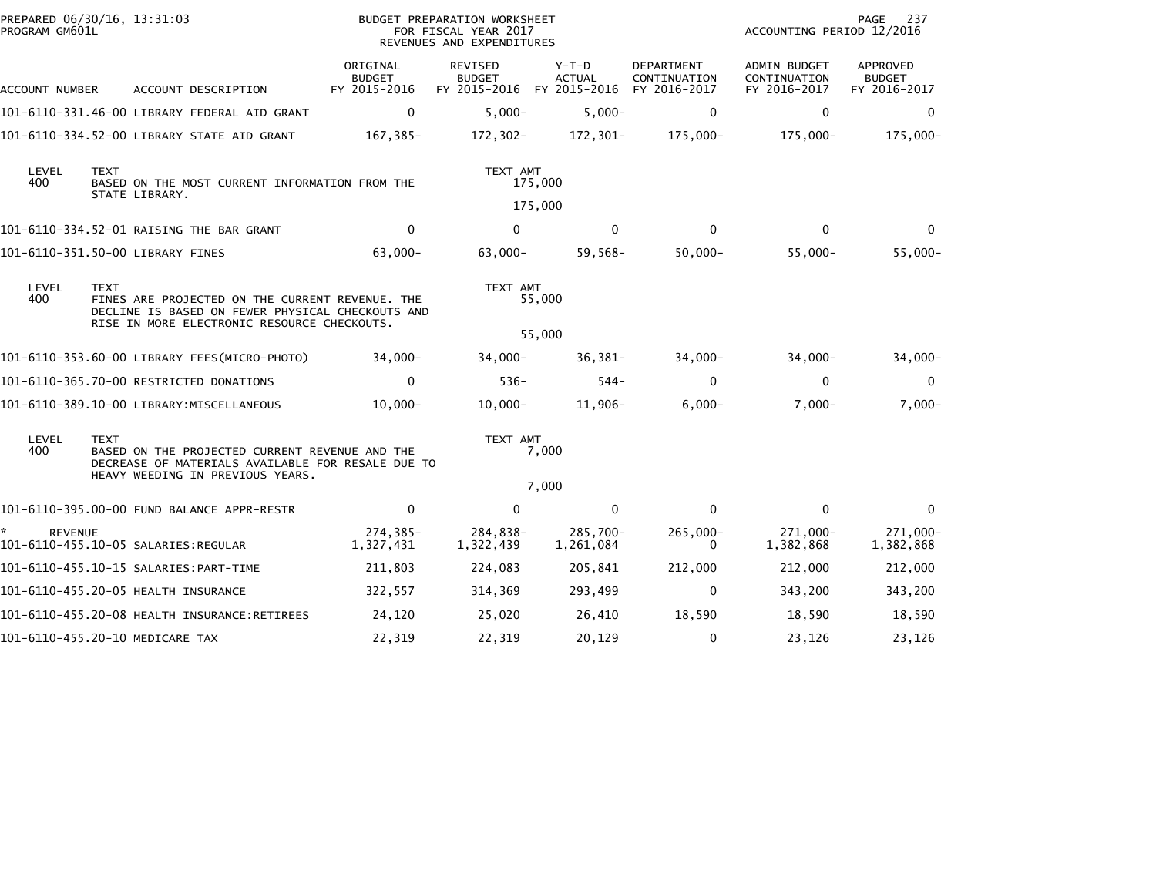| PREPARED 06/30/16, 13:31:03<br>PROGRAM GM601L |             |                                                                                                                                                    | BUDGET PREPARATION WORKSHEET<br>FOR FISCAL YEAR 2017<br>REVENUES AND EXPENDITURES |                                                                    |                          |                            | 237<br>PAGE<br>ACCOUNTING PERIOD 12/2016     |                                           |  |
|-----------------------------------------------|-------------|----------------------------------------------------------------------------------------------------------------------------------------------------|-----------------------------------------------------------------------------------|--------------------------------------------------------------------|--------------------------|----------------------------|----------------------------------------------|-------------------------------------------|--|
| ACCOUNT NUMBER                                |             | ACCOUNT DESCRIPTION                                                                                                                                | ORIGINAL<br><b>BUDGET</b><br>FY 2015-2016                                         | REVISED<br><b>BUDGET</b><br>FY 2015-2016 FY 2015-2016 FY 2016-2017 | $Y-T-D$<br><b>ACTUAL</b> | DEPARTMENT<br>CONTINUATION | ADMIN BUDGET<br>CONTINUATION<br>FY 2016-2017 | APPROVED<br><b>BUDGET</b><br>FY 2016-2017 |  |
|                                               |             | 101-6110-331.46-00 LIBRARY FEDERAL AID GRANT                                                                                                       | $\mathbf 0$                                                                       | $5,000-$                                                           | $5,000-$                 | 0                          | 0                                            | 0                                         |  |
|                                               |             | 101-6110-334.52-00 LIBRARY STATE AID GRANT                                                                                                         | 167,385-                                                                          | 172,302-                                                           | 172,301-                 | 175,000-                   | 175,000-                                     | 175,000-                                  |  |
| LEVEL<br>400                                  | <b>TEXT</b> | BASED ON THE MOST CURRENT INFORMATION FROM THE<br>STATE LIBRARY.                                                                                   |                                                                                   | TEXT AMT                                                           | 175,000                  |                            |                                              |                                           |  |
|                                               |             |                                                                                                                                                    |                                                                                   |                                                                    | 175,000                  |                            |                                              |                                           |  |
|                                               |             | 101-6110-334.52-01 RAISING THE BAR GRANT                                                                                                           | $\mathbf{0}$                                                                      | $\Omega$                                                           | $\mathbf{0}$             | $\mathbf{0}$               | $\Omega$                                     | $\mathbf{0}$                              |  |
|                                               |             | 101-6110-351.50-00 LIBRARY FINES                                                                                                                   | $63,000-$                                                                         | $63,000 -$                                                         | $59,568-$                | $50,000 -$                 | $55,000-$                                    | $55,000 -$                                |  |
| LEVEL<br>400                                  | <b>TEXT</b> | FINES ARE PROJECTED ON THE CURRENT REVENUE. THE<br>DECLINE IS BASED ON FEWER PHYSICAL CHECKOUTS AND<br>RISE IN MORE ELECTRONIC RESOURCE CHECKOUTS. |                                                                                   | TEXT AMT                                                           | 55,000                   |                            |                                              |                                           |  |
|                                               |             |                                                                                                                                                    |                                                                                   |                                                                    | 55,000                   |                            |                                              |                                           |  |
|                                               |             | 101-6110-353.60-00 LIBRARY FEES(MICRO-PHOTO)                                                                                                       | $34,000 -$                                                                        | $34,000 -$                                                         | $36,381-$                | $34,000 -$                 | 34,000-                                      | $34,000-$                                 |  |
|                                               |             | 101-6110-365.70-00 RESTRICTED DONATIONS                                                                                                            | $\mathbf 0$                                                                       | $536 -$                                                            | $544-$                   | $\mathbf 0$                | $\mathbf{0}$                                 | $\mathbf 0$                               |  |
|                                               |             | 101-6110-389.10-00 LIBRARY:MISCELLANEOUS                                                                                                           | $10,000 -$                                                                        | $10,000 -$                                                         | $11,906 -$               | $6,000-$                   | $7,000-$                                     | $7,000-$                                  |  |
| LEVEL<br>400                                  | TEXT        | BASED ON THE PROJECTED CURRENT REVENUE AND THE<br>DECREASE OF MATERIALS AVAILABLE FOR RESALE DUE TO<br>HEAVY WEEDING IN PREVIOUS YEARS.            |                                                                                   | TEXT AMT                                                           | 7,000                    |                            |                                              |                                           |  |
|                                               |             |                                                                                                                                                    |                                                                                   |                                                                    | 7,000                    |                            |                                              |                                           |  |
|                                               |             | 101-6110-395.00-00 FUND BALANCE APPR-RESTR                                                                                                         | $\mathbf 0$                                                                       | $\mathbf 0$                                                        | $\mathbf 0$              | $\mathbf{0}$               | $\mathbf{0}$                                 | $\mathbf 0$                               |  |
| <b>REVENUE</b>                                |             |                                                                                                                                                    | 274,385-<br>1,327,431                                                             | 284,838-<br>1,322,439                                              | 285,700-<br>1,261,084    | $265,000 -$<br>$\Omega$    | 271,000-<br>1,382,868                        | 271,000-<br>1,382,868                     |  |
|                                               |             |                                                                                                                                                    | 211,803                                                                           | 224,083                                                            | 205,841                  | 212,000                    | 212,000                                      | 212,000                                   |  |
|                                               |             | 101-6110-455.20-05 HEALTH INSURANCE                                                                                                                | 322,557                                                                           | 314,369                                                            | 293,499                  | $\mathbf{0}$               | 343,200                                      | 343,200                                   |  |
|                                               |             | 101-6110-455.20-08 HEALTH INSURANCE:RETIREES                                                                                                       | 24,120                                                                            | 25,020                                                             | 26,410                   | 18,590                     | 18,590                                       | 18,590                                    |  |
|                                               |             | 101-6110-455.20-10 MEDICARE TAX                                                                                                                    | 22,319                                                                            | 22,319                                                             | 20,129                   | 0                          | 23,126                                       | 23,126                                    |  |
|                                               |             |                                                                                                                                                    |                                                                                   |                                                                    |                          |                            |                                              |                                           |  |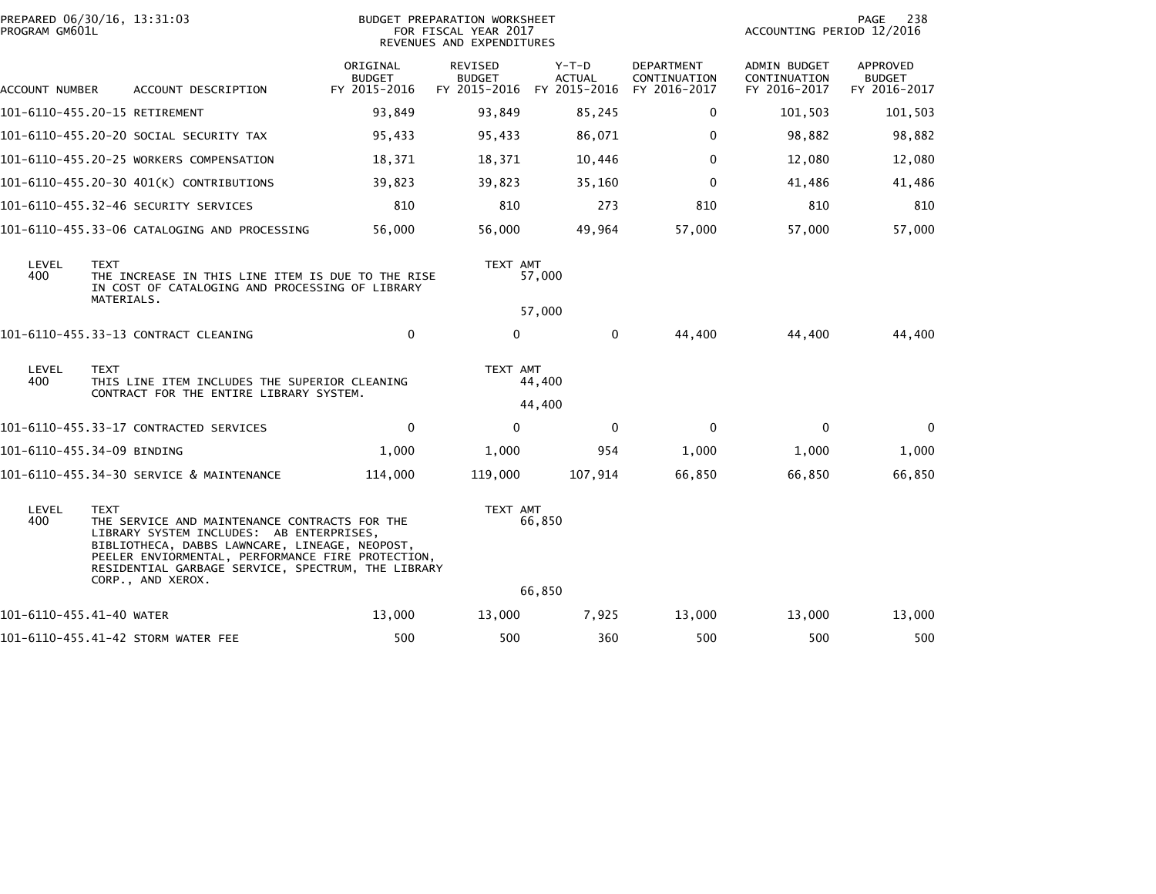| PROGRAM GM601L           | PREPARED 06/30/16, 13:31:03                                                                                                                                                                                                                                                                | <b>BUDGET PREPARATION WORKSHEET</b><br>FOR FISCAL YEAR 2017<br>REVENUES AND EXPENDITURES |                                                       |                          |                                            |                                                     |                                           |  |
|--------------------------|--------------------------------------------------------------------------------------------------------------------------------------------------------------------------------------------------------------------------------------------------------------------------------------------|------------------------------------------------------------------------------------------|-------------------------------------------------------|--------------------------|--------------------------------------------|-----------------------------------------------------|-------------------------------------------|--|
| ACCOUNT NUMBER           | ACCOUNT DESCRIPTION                                                                                                                                                                                                                                                                        | ORIGINAL<br><b>BUDGET</b><br>FY 2015-2016                                                | REVISED<br><b>BUDGET</b><br>FY 2015-2016 FY 2015-2016 | $Y-T-D$<br><b>ACTUAL</b> | DEPARTMENT<br>CONTINUATION<br>FY 2016-2017 | <b>ADMIN BUDGET</b><br>CONTINUATION<br>FY 2016-2017 | APPROVED<br><b>BUDGET</b><br>FY 2016-2017 |  |
|                          | 101-6110-455.20-15 RETIREMENT                                                                                                                                                                                                                                                              | 93,849                                                                                   | 93,849                                                | 85,245                   | 0                                          | 101,503                                             | 101,503                                   |  |
|                          | 101-6110-455.20-20 SOCIAL SECURITY TAX                                                                                                                                                                                                                                                     | 95,433                                                                                   | 95,433                                                | 86,071                   | $\Omega$                                   | 98,882                                              | 98,882                                    |  |
|                          | 101-6110-455.20-25 WORKERS COMPENSATION                                                                                                                                                                                                                                                    | 18,371                                                                                   | 18,371                                                | 10,446                   | $\Omega$                                   | 12,080                                              | 12,080                                    |  |
|                          | 101-6110-455.20-30 401(K) CONTRIBUTIONS                                                                                                                                                                                                                                                    | 39,823                                                                                   | 39,823                                                | 35,160                   | $\mathbf 0$                                | 41,486                                              | 41,486                                    |  |
|                          | 101-6110-455.32-46 SECURITY SERVICES                                                                                                                                                                                                                                                       | 810                                                                                      | 810                                                   | 273                      | 810                                        | 810                                                 | 810                                       |  |
|                          | 101-6110-455.33-06 CATALOGING AND PROCESSING                                                                                                                                                                                                                                               | 56,000                                                                                   | 56,000                                                | 49,964                   | 57,000                                     | 57,000                                              | 57,000                                    |  |
| LEVEL<br>400             | <b>TEXT</b><br>THE INCREASE IN THIS LINE ITEM IS DUE TO THE RISE<br>IN COST OF CATALOGING AND PROCESSING OF LIBRARY<br>MATERIALS.                                                                                                                                                          |                                                                                          | TEXT AMT                                              | 57,000<br>57,000         |                                            |                                                     |                                           |  |
|                          | 101-6110-455.33-13 CONTRACT CLEANING                                                                                                                                                                                                                                                       | $\mathbf 0$                                                                              | $\mathbf 0$                                           | $\mathbf{0}$             | 44,400                                     | 44,400                                              | 44,400                                    |  |
| LEVEL<br>400             | <b>TEXT</b><br>THIS LINE ITEM INCLUDES THE SUPERIOR CLEANING<br>CONTRACT FOR THE ENTIRE LIBRARY SYSTEM.                                                                                                                                                                                    |                                                                                          | TEXT AMT                                              | 44,400                   |                                            |                                                     |                                           |  |
|                          |                                                                                                                                                                                                                                                                                            |                                                                                          |                                                       | 44,400                   |                                            |                                                     |                                           |  |
|                          | 101-6110-455.33-17 CONTRACTED SERVICES                                                                                                                                                                                                                                                     | $\mathbf 0$                                                                              | $\mathbf 0$                                           | $\mathbf 0$              | $\mathbf 0$                                | $\mathbf 0$                                         | 0                                         |  |
|                          | 101-6110-455.34-09 BINDING                                                                                                                                                                                                                                                                 | 1,000                                                                                    | 1,000                                                 | 954                      | 1,000                                      | 1,000                                               | 1,000                                     |  |
|                          | 101-6110-455.34-30 SERVICE & MAINTENANCE                                                                                                                                                                                                                                                   | 114,000                                                                                  | 119,000                                               | 107,914                  | 66,850                                     | 66,850                                              | 66,850                                    |  |
| LEVEL<br>400             | <b>TEXT</b><br>THE SERVICE AND MAINTENANCE CONTRACTS FOR THE<br>LIBRARY SYSTEM INCLUDES: AB ENTERPRISES,<br>BIBLIOTHECA, DABBS LAWNCARE, LINEAGE, NEOPOST,<br>PEELER ENVIORMENTAL, PERFORMANCE FIRE PROTECTION,<br>RESIDENTIAL GARBAGE SERVICE, SPECTRUM, THE LIBRARY<br>CORP., AND XEROX. |                                                                                          | TEXT AMT                                              | 66,850<br>66,850         |                                            |                                                     |                                           |  |
| 101-6110-455.41-40 WATER |                                                                                                                                                                                                                                                                                            | 13,000                                                                                   | 13,000                                                | 7,925                    | 13,000                                     | 13,000                                              | 13,000                                    |  |
|                          | 101-6110-455.41-42 STORM WATER FEE                                                                                                                                                                                                                                                         | 500                                                                                      | 500                                                   | 360                      | 500                                        | 500                                                 | 500                                       |  |
|                          |                                                                                                                                                                                                                                                                                            |                                                                                          |                                                       |                          |                                            |                                                     |                                           |  |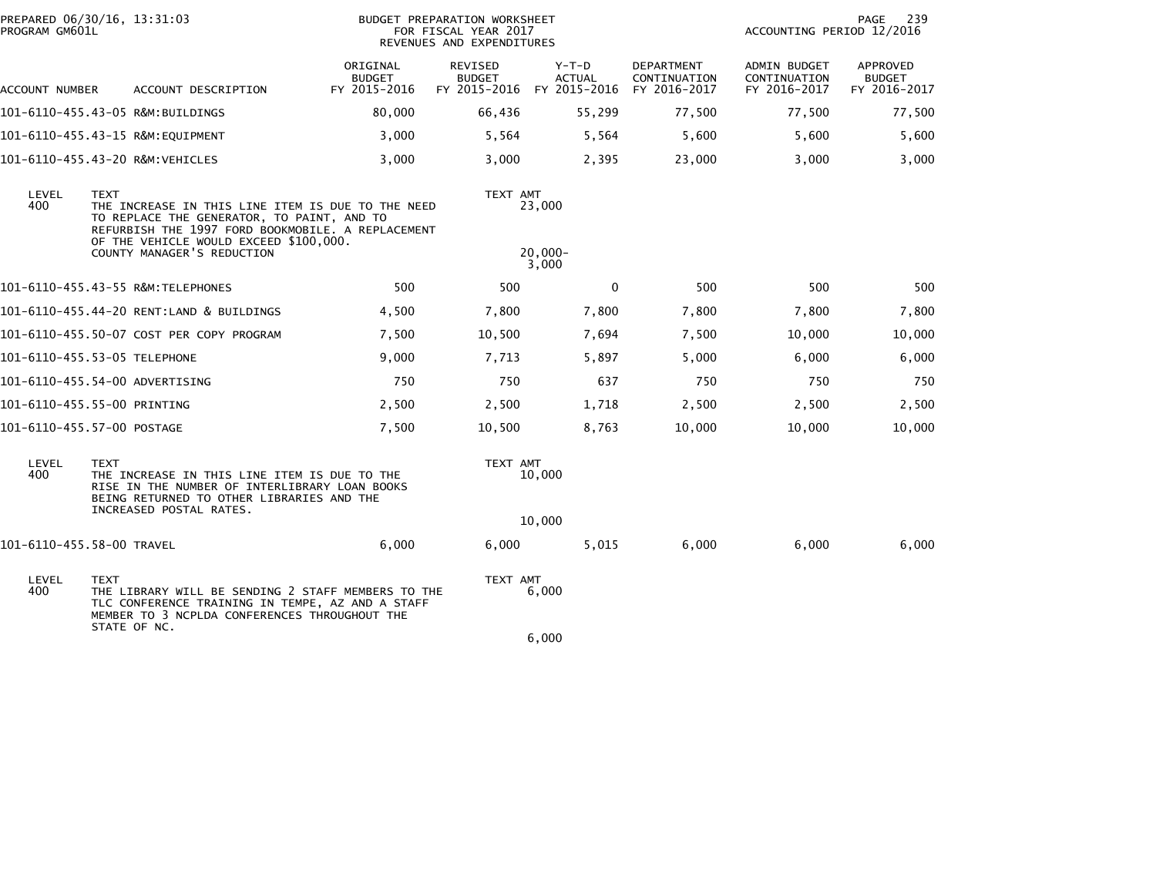| PROGRAM GM601L | PREPARED 06/30/16, 13:31:03                                                                                                                                                                                                                 |                                           | <b>BUDGET PREPARATION WORKSHEET</b><br>FOR FISCAL YEAR 2017<br>REVENUES AND EXPENDITURES | 239<br>PAGE<br>ACCOUNTING PERIOD 12/2016              |                                            |                                                     |                                           |
|----------------|---------------------------------------------------------------------------------------------------------------------------------------------------------------------------------------------------------------------------------------------|-------------------------------------------|------------------------------------------------------------------------------------------|-------------------------------------------------------|--------------------------------------------|-----------------------------------------------------|-------------------------------------------|
| ACCOUNT NUMBER | ACCOUNT DESCRIPTION                                                                                                                                                                                                                         | ORIGINAL<br><b>BUDGET</b><br>FY 2015-2016 | REVISED<br><b>BUDGET</b>                                                                 | $Y-T-D$<br><b>ACTUAL</b><br>FY 2015-2016 FY 2015-2016 | DEPARTMENT<br>CONTINUATION<br>FY 2016-2017 | <b>ADMIN BUDGET</b><br>CONTINUATION<br>FY 2016-2017 | APPROVED<br><b>BUDGET</b><br>FY 2016-2017 |
|                | 101-6110-455.43-05 R&M:BUILDINGS                                                                                                                                                                                                            | 80,000                                    | 66,436                                                                                   | 55,299                                                | 77,500                                     | 77,500                                              | 77,500                                    |
|                | 101-6110-455.43-15 R&M:EQUIPMENT                                                                                                                                                                                                            | 3,000                                     | 5,564                                                                                    | 5,564                                                 | 5,600                                      | 5,600                                               | 5,600                                     |
|                | 101-6110-455.43-20 R&M:VEHICLES                                                                                                                                                                                                             | 3,000                                     | 3,000                                                                                    | 2,395                                                 | 23,000                                     | 3,000                                               | 3,000                                     |
| LEVEL<br>400   | <b>TEXT</b><br>THE INCREASE IN THIS LINE ITEM IS DUE TO THE NEED<br>TO REPLACE THE GENERATOR, TO PAINT, AND TO<br>REFURBISH THE 1997 FORD BOOKMOBILE. A REPLACEMENT<br>OF THE VEHICLE WOULD EXCEED \$100,000.<br>COUNTY MANAGER'S REDUCTION |                                           | TEXT AMT                                                                                 | 23,000<br>$20,000 -$<br>3,000                         |                                            |                                                     |                                           |
|                | 101-6110-455.43-55 R&M:TELEPHONES                                                                                                                                                                                                           | 500                                       | 500                                                                                      | 0                                                     | 500                                        | 500                                                 | 500                                       |
|                | 101-6110-455.44-20 RENT:LAND & BUILDINGS                                                                                                                                                                                                    | 4,500                                     | 7,800                                                                                    | 7,800                                                 | 7,800                                      | 7,800                                               | 7,800                                     |
|                | 101-6110-455.50-07 COST PER COPY PROGRAM                                                                                                                                                                                                    | 7,500                                     | 10,500                                                                                   | 7,694                                                 | 7,500                                      | 10,000                                              | 10,000                                    |
|                | 101-6110-455.53-05 TELEPHONE                                                                                                                                                                                                                | 9,000                                     | 7,713                                                                                    | 5,897                                                 | 5,000                                      | 6,000                                               | 6,000                                     |
|                | 101-6110-455.54-00 ADVERTISING                                                                                                                                                                                                              | 750                                       | 750                                                                                      | 637                                                   | 750                                        | 750                                                 | 750                                       |
|                | 101-6110-455.55-00 PRINTING                                                                                                                                                                                                                 | 2,500                                     | 2,500                                                                                    | 1,718                                                 | 2,500                                      | 2,500                                               | 2,500                                     |
|                | 101-6110-455.57-00 POSTAGE                                                                                                                                                                                                                  | 7,500                                     | 10,500                                                                                   | 8,763                                                 | 10,000                                     | 10,000                                              | 10,000                                    |
| LEVEL<br>400   | <b>TEXT</b><br>THE INCREASE IN THIS LINE ITEM IS DUE TO THE<br>RISE IN THE NUMBER OF INTERLIBRARY LOAN BOOKS<br>BEING RETURNED TO OTHER LIBRARIES AND THE<br>INCREASED POSTAL RATES.                                                        |                                           | TEXT AMT                                                                                 | 10,000                                                |                                            |                                                     |                                           |
|                |                                                                                                                                                                                                                                             |                                           |                                                                                          | 10,000                                                |                                            |                                                     |                                           |
|                | 101-6110-455.58-00 TRAVEL                                                                                                                                                                                                                   | 6,000                                     | 6,000                                                                                    | 5,015                                                 | 6,000                                      | 6,000                                               | 6,000                                     |
| LEVEL<br>400   | <b>TEXT</b><br>THE LIBRARY WILL BE SENDING 2 STAFF MEMBERS TO THE<br>TLC CONFERENCE TRAINING IN TEMPE, AZ AND A STAFF<br>MEMBER TO 3 NCPLDA CONFERENCES THROUGHOUT THE                                                                      |                                           | TEXT AMT                                                                                 | 6,000                                                 |                                            |                                                     |                                           |
|                | STATE OF NC.                                                                                                                                                                                                                                |                                           |                                                                                          | 6,000                                                 |                                            |                                                     |                                           |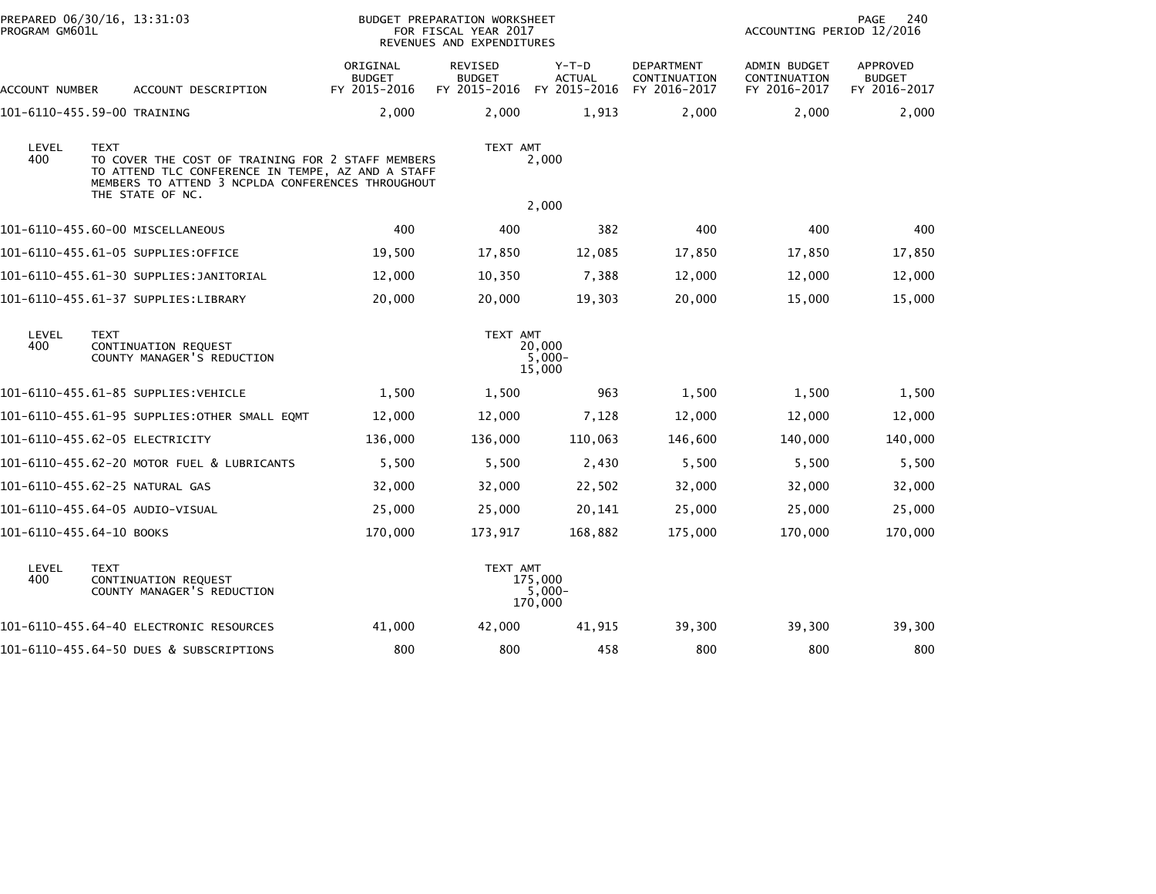| PROGRAM GM601L           | PREPARED 06/30/16, 13:31:03                                                                                                                                                                    |                                           | <b>BUDGET PREPARATION WORKSHEET</b><br>FOR FISCAL YEAR 2017<br>REVENUES AND EXPENDITURES |                                          |                                                   | ACCOUNTING PERIOD 12/2016                           | <b>PAGE</b><br>240                        |
|--------------------------|------------------------------------------------------------------------------------------------------------------------------------------------------------------------------------------------|-------------------------------------------|------------------------------------------------------------------------------------------|------------------------------------------|---------------------------------------------------|-----------------------------------------------------|-------------------------------------------|
| ACCOUNT NUMBER           | ACCOUNT DESCRIPTION                                                                                                                                                                            | ORIGINAL<br><b>BUDGET</b><br>FY 2015-2016 | <b>REVISED</b><br><b>BUDGET</b><br>FY 2015-2016                                          | $Y-T-D$<br><b>ACTUAL</b><br>FY 2015-2016 | <b>DEPARTMENT</b><br>CONTINUATION<br>FY 2016-2017 | <b>ADMIN BUDGET</b><br>CONTINUATION<br>FY 2016-2017 | APPROVED<br><b>BUDGET</b><br>FY 2016-2017 |
|                          | 101-6110-455.59-00 TRAINING                                                                                                                                                                    | 2,000                                     | 2,000                                                                                    | 1,913                                    | 2,000                                             | 2,000                                               | 2,000                                     |
| LEVEL<br>400             | <b>TEXT</b><br>TO COVER THE COST OF TRAINING FOR 2 STAFF MEMBERS<br>TO ATTEND TLC CONFERENCE IN TEMPE, AZ AND A STAFF<br>MEMBERS TO ATTEND 3 NCPLDA CONFERENCES THROUGHOUT<br>THE STATE OF NC. |                                           | TEXT AMT                                                                                 | 2,000                                    |                                                   |                                                     |                                           |
|                          |                                                                                                                                                                                                |                                           |                                                                                          | 2,000                                    |                                                   |                                                     |                                           |
|                          | 101-6110-455.60-00 MISCELLANEOUS                                                                                                                                                               | 400                                       | 400                                                                                      | 382                                      | 400                                               | 400                                                 | 400                                       |
|                          | 101-6110-455.61-05 SUPPLIES:OFFICE                                                                                                                                                             | 19,500                                    | 17,850                                                                                   | 12,085                                   | 17,850                                            | 17,850                                              | 17,850                                    |
|                          |                                                                                                                                                                                                | 12,000                                    | 10,350                                                                                   | 7,388                                    | 12,000                                            | 12,000                                              | 12,000                                    |
|                          | 101-6110-455.61-37 SUPPLIES:LIBRARY                                                                                                                                                            | 20,000                                    | 20,000                                                                                   | 19,303                                   | 20,000                                            | 15,000                                              | 15,000                                    |
| LEVEL<br>400             | <b>TEXT</b><br>CONTINUATION REQUEST<br>COUNTY MANAGER'S REDUCTION                                                                                                                              |                                           | TEXT AMT                                                                                 | 20,000<br>$5,000 -$<br>15,000            |                                                   |                                                     |                                           |
|                          | 101-6110-455.61-85 SUPPLIES:VEHICLE                                                                                                                                                            | 1,500                                     | 1,500                                                                                    | 963                                      | 1,500                                             | 1,500                                               | 1,500                                     |
|                          | 101-6110-455.61-95 SUPPLIES:OTHER SMALL EQMT                                                                                                                                                   | 12,000                                    | 12,000                                                                                   | 7,128                                    | 12,000                                            | 12,000                                              | 12,000                                    |
|                          | 101-6110-455.62-05 ELECTRICITY                                                                                                                                                                 | 136,000                                   | 136,000                                                                                  | 110,063                                  | 146,600                                           | 140,000                                             | 140,000                                   |
|                          | 101-6110-455.62-20 MOTOR FUEL & LUBRICANTS                                                                                                                                                     | 5,500                                     | 5,500                                                                                    | 2,430                                    | 5,500                                             | 5,500                                               | 5,500                                     |
|                          | 101-6110-455.62-25 NATURAL GAS                                                                                                                                                                 | 32,000                                    | 32,000                                                                                   | 22,502                                   | 32,000                                            | 32,000                                              | 32,000                                    |
|                          | 101-6110-455.64-05 AUDIO-VISUAL                                                                                                                                                                | 25,000                                    | 25,000                                                                                   | 20,141                                   | 25,000                                            | 25,000                                              | 25,000                                    |
| 101-6110-455.64-10 BOOKS |                                                                                                                                                                                                | 170,000                                   | 173,917                                                                                  | 168,882                                  | 175,000                                           | 170,000                                             | 170,000                                   |
| LEVEL<br>400             | <b>TEXT</b><br>CONTINUATION REQUEST<br>COUNTY MANAGER'S REDUCTION                                                                                                                              |                                           | TEXT AMT                                                                                 | 175,000<br>$5,000-$<br>170,000           |                                                   |                                                     |                                           |
|                          | 101-6110-455.64-40 ELECTRONIC RESOURCES                                                                                                                                                        | 41,000                                    | 42,000                                                                                   | 41,915                                   | 39,300                                            | 39,300                                              | 39,300                                    |
|                          | 101-6110-455.64-50 DUES & SUBSCRIPTIONS                                                                                                                                                        | 800                                       | 800                                                                                      | 458                                      | 800                                               | 800                                                 | 800                                       |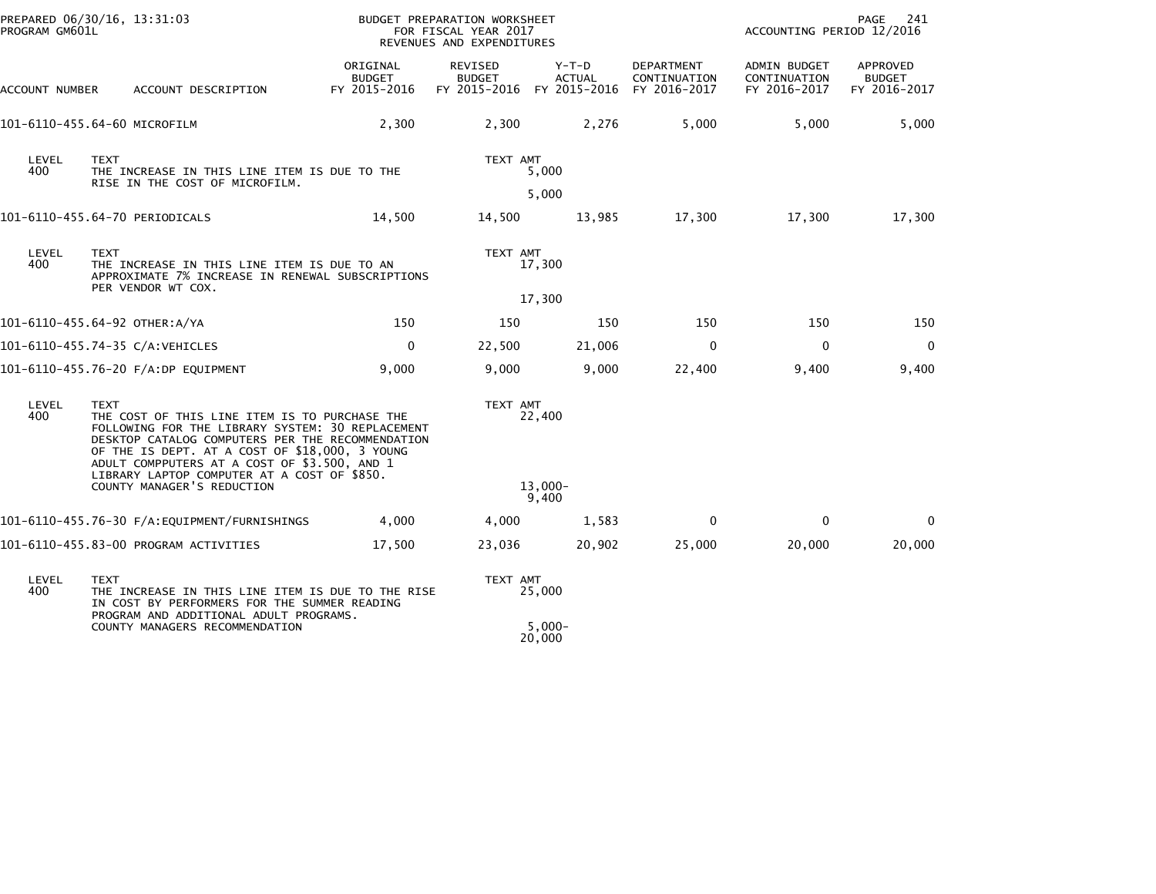| PROGRAM GM601L        | PREPARED 06/30/16, 13:31:03                                                                                                                                                                                                                                                                                           | BUDGET PREPARATION WORKSHEET<br>FOR FISCAL YEAR 2017<br>REVENUES AND EXPENDITURES |                                                              |                        |                                                   | 241<br>PAGE<br>ACCOUNTING PERIOD 12/2016            |                                           |  |
|-----------------------|-----------------------------------------------------------------------------------------------------------------------------------------------------------------------------------------------------------------------------------------------------------------------------------------------------------------------|-----------------------------------------------------------------------------------|--------------------------------------------------------------|------------------------|---------------------------------------------------|-----------------------------------------------------|-------------------------------------------|--|
| <b>ACCOUNT NUMBER</b> | ACCOUNT DESCRIPTION                                                                                                                                                                                                                                                                                                   | ORIGINAL<br><b>BUDGET</b><br>FY 2015-2016                                         | <b>REVISED</b><br><b>BUDGET</b><br>FY 2015-2016 FY 2015-2016 | Y-T-D<br><b>ACTUAL</b> | <b>DEPARTMENT</b><br>CONTINUATION<br>FY 2016-2017 | <b>ADMIN BUDGET</b><br>CONTINUATION<br>FY 2016-2017 | APPROVED<br><b>BUDGET</b><br>FY 2016-2017 |  |
|                       | 101-6110-455.64-60 MICROFILM                                                                                                                                                                                                                                                                                          | 2,300                                                                             | 2,300                                                        | 2,276                  | 5,000                                             | 5,000                                               | 5,000                                     |  |
| LEVEL<br>400          | <b>TEXT</b><br>THE INCREASE IN THIS LINE ITEM IS DUE TO THE<br>RISE IN THE COST OF MICROFILM.                                                                                                                                                                                                                         |                                                                                   | TEXT AMT                                                     | 5,000                  |                                                   |                                                     |                                           |  |
|                       |                                                                                                                                                                                                                                                                                                                       |                                                                                   |                                                              | 5,000                  |                                                   |                                                     |                                           |  |
|                       | 101-6110-455.64-70 PERIODICALS                                                                                                                                                                                                                                                                                        | 14,500                                                                            | 14,500                                                       | 13,985                 | 17,300                                            | 17,300                                              | 17,300                                    |  |
| LEVEL<br>400          | <b>TEXT</b><br>THE INCREASE IN THIS LINE ITEM IS DUE TO AN<br>APPROXIMATE 7% INCREASE IN RENEWAL SUBSCRIPTIONS                                                                                                                                                                                                        |                                                                                   | TEXT AMT                                                     | 17,300                 |                                                   |                                                     |                                           |  |
|                       | PER VENDOR WT COX.                                                                                                                                                                                                                                                                                                    |                                                                                   |                                                              | 17,300                 |                                                   |                                                     |                                           |  |
|                       | 101-6110-455.64-92 OTHER:A/YA                                                                                                                                                                                                                                                                                         | 150                                                                               | 150                                                          | 150                    | 150                                               | 150                                                 | 150                                       |  |
|                       | 101-6110-455.74-35 C/A:VEHICLES                                                                                                                                                                                                                                                                                       | 0                                                                                 | 22,500                                                       | 21,006                 | $\mathbf 0$                                       | $\mathbf 0$                                         | $\mathbf 0$                               |  |
|                       | 101-6110-455.76-20 F/A:DP EQUIPMENT                                                                                                                                                                                                                                                                                   | 9,000                                                                             | 9,000                                                        | 9,000                  | 22,400                                            | 9,400                                               | 9,400                                     |  |
| LEVEL<br>400          | <b>TEXT</b><br>THE COST OF THIS LINE ITEM IS TO PURCHASE THE<br>FOLLOWING FOR THE LIBRARY SYSTEM: 30 REPLACEMENT<br>DESKTOP CATALOG COMPUTERS PER THE RECOMMENDATION<br>OF THE IS DEPT. AT A COST OF \$18,000, 3 YOUNG<br>ADULT COMPPUTERS AT A COST OF \$3.500, AND 1<br>LIBRARY LAPTOP COMPUTER AT A COST OF \$850. |                                                                                   | TEXT AMT                                                     | 22,400                 |                                                   |                                                     |                                           |  |
|                       | COUNTY MANAGER'S REDUCTION                                                                                                                                                                                                                                                                                            |                                                                                   |                                                              | $13.000 -$<br>9,400    |                                                   |                                                     |                                           |  |
|                       |                                                                                                                                                                                                                                                                                                                       | 4,000                                                                             | 4,000                                                        | 1,583                  | $\mathbf{0}$                                      | $\Omega$                                            | $\mathbf{0}$                              |  |
|                       | 101-6110-455.83-00 PROGRAM ACTIVITIES                                                                                                                                                                                                                                                                                 | 17,500                                                                            | 23,036                                                       | 20,902                 | 25,000                                            | 20,000                                              | 20,000                                    |  |
| LEVEL<br>400          | TEXT<br>THE INCREASE IN THIS LINE ITEM IS DUE TO THE RISE<br>IN COST BY PERFORMERS FOR THE SUMMER READING                                                                                                                                                                                                             |                                                                                   | TEXT AMT                                                     | 25,000                 |                                                   |                                                     |                                           |  |
|                       | PROGRAM AND ADDITIONAL ADULT PROGRAMS.<br>COUNTY MANAGERS RECOMMENDATION                                                                                                                                                                                                                                              |                                                                                   |                                                              | $5,000-$<br>20,000     |                                                   |                                                     |                                           |  |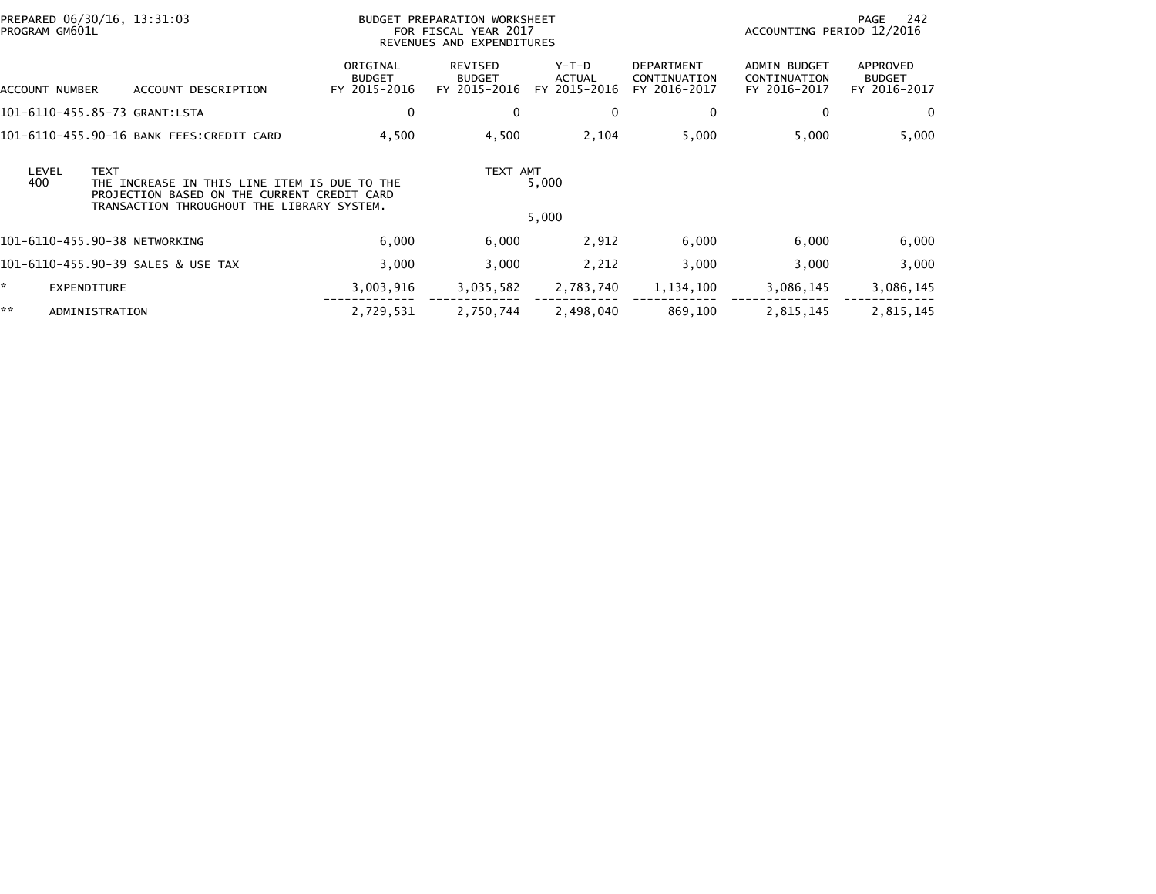| PREPARED 06/30/16, 13:31:03<br>PROGRAM GM601L |                                                                                                                                           | BUDGET PREPARATION WORKSHEET<br>FOR FISCAL YEAR 2017<br>REVENUES AND EXPENDITURES |                                          |                                   |                                                   | 242<br>PAGE<br>ACCOUNTING PERIOD 12/2016            |                                           |  |
|-----------------------------------------------|-------------------------------------------------------------------------------------------------------------------------------------------|-----------------------------------------------------------------------------------|------------------------------------------|-----------------------------------|---------------------------------------------------|-----------------------------------------------------|-------------------------------------------|--|
| ACCOUNT NUMBER                                | ACCOUNT DESCRIPTION                                                                                                                       | ORIGINAL<br><b>BUDGET</b><br>FY 2015-2016                                         | REVISED<br><b>BUDGET</b><br>FY 2015-2016 | $Y-T-D$<br>ACTUAL<br>FY 2015-2016 | <b>DEPARTMENT</b><br>CONTINUATION<br>FY 2016-2017 | <b>ADMIN BUDGET</b><br>CONTINUATION<br>FY 2016-2017 | APPROVED<br><b>BUDGET</b><br>FY 2016-2017 |  |
| 101-6110-455.85-73 GRANT:LSTA                 |                                                                                                                                           | 0                                                                                 | 0                                        | 0                                 | 0                                                 | 0                                                   | 0                                         |  |
|                                               | 101-6110-455.90-16 BANK FEES:CREDIT CARD                                                                                                  | 4,500                                                                             | 4,500                                    | 2,104                             | 5,000                                             | 5,000                                               | 5,000                                     |  |
| LEVEL<br><b>TEXT</b><br>400                   | THE INCREASE IN THIS LINE ITEM IS DUE TO THE<br>PROJECTION BASED ON THE CURRENT CREDIT CARD<br>TRANSACTION THROUGHOUT THE LIBRARY SYSTEM. |                                                                                   | TEXT AMT                                 | 5,000<br>5,000                    |                                                   |                                                     |                                           |  |
| 101-6110-455.90-38 NETWORKING                 |                                                                                                                                           | 6,000                                                                             | 6,000                                    | 2,912                             | 6,000                                             | 6,000                                               | 6,000                                     |  |
|                                               | 101-6110-455.90-39 SALES & USE TAX                                                                                                        | 3,000                                                                             | 3,000                                    | 2,212                             | 3,000                                             | 3,000                                               | 3,000                                     |  |
| *<br><b>EXPENDITURE</b>                       |                                                                                                                                           | 3,003,916                                                                         | 3,035,582                                | 2,783,740                         | 1,134,100                                         | 3,086,145                                           | 3,086,145                                 |  |
| **<br>ADMINISTRATION                          |                                                                                                                                           | 2,729,531                                                                         | 2,750,744                                | 2,498,040                         | 869,100                                           | 2,815,145                                           | 2,815,145                                 |  |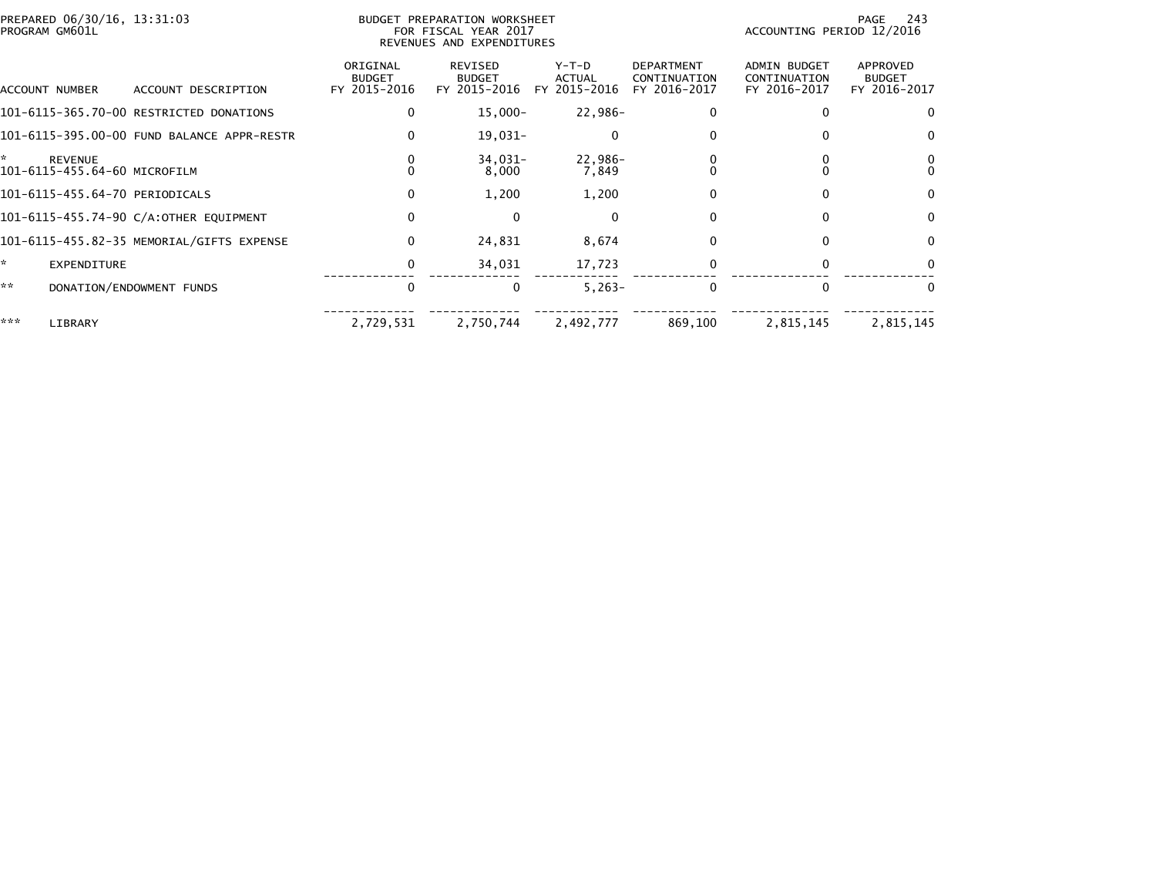| PREPARED 06/30/16, 13:31:03<br>PROGRAM GM601L |                                            |                                           | - 243<br>PAGE<br>ACCOUNTING PERIOD 12/2016      |                                          |                                                   |                                                     |                                           |
|-----------------------------------------------|--------------------------------------------|-------------------------------------------|-------------------------------------------------|------------------------------------------|---------------------------------------------------|-----------------------------------------------------|-------------------------------------------|
| ACCOUNT NUMBER                                | ACCOUNT DESCRIPTION                        | ORIGINAL<br><b>BUDGET</b><br>FY 2015-2016 | <b>REVISED</b><br><b>BUDGET</b><br>FY 2015-2016 | $Y-T-D$<br><b>ACTUAL</b><br>FY 2015-2016 | <b>DEPARTMENT</b><br>CONTINUATION<br>FY 2016-2017 | <b>ADMIN BUDGET</b><br>CONTINUATION<br>FY 2016-2017 | APPROVED<br><b>BUDGET</b><br>FY 2016-2017 |
|                                               | 101-6115-365.70-00 RESTRICTED DONATIONS    | 0                                         | $15,000 -$                                      | 22,986-                                  |                                                   |                                                     | 0                                         |
|                                               | 101-6115-395.00-00 FUND BALANCE APPR-RESTR |                                           | 19,031-                                         | $\Omega$                                 |                                                   |                                                     | 0                                         |
| ÷.<br><b>REVENUE</b>                          | 101-6115-455.64-60 MICROFILM               |                                           | 34,031-<br>8,000                                | 22,986-<br>7,849                         |                                                   |                                                     | $\Omega$                                  |
|                                               | 101-6115-455.64-70 PERIODICALS             | $\Omega$                                  | 1,200                                           | 1,200                                    |                                                   |                                                     | $\Omega$                                  |
|                                               | 101-6115-455.74-90 C/A:OTHER EQUIPMENT     | 0                                         | $\mathbf{0}$                                    | 0                                        | 0                                                 |                                                     | $\Omega$                                  |
|                                               |                                            | $\Omega$                                  | 24,831                                          | 8,674                                    | 0                                                 |                                                     | $\Omega$                                  |
| ÷.<br><b>EXPENDITURE</b>                      |                                            | 0                                         | 34,031                                          | 17,723                                   |                                                   |                                                     | $\Omega$                                  |
| **                                            | DONATION/ENDOWMENT FUNDS                   | 0                                         | 0                                               | $5,263-$                                 | 0                                                 | $\Omega$                                            | $\Omega$                                  |
| ***<br>LIBRARY                                |                                            | 2,729,531                                 | 2,750,744                                       | 2,492,777                                | 869,100                                           | 2,815,145                                           | 2,815,145                                 |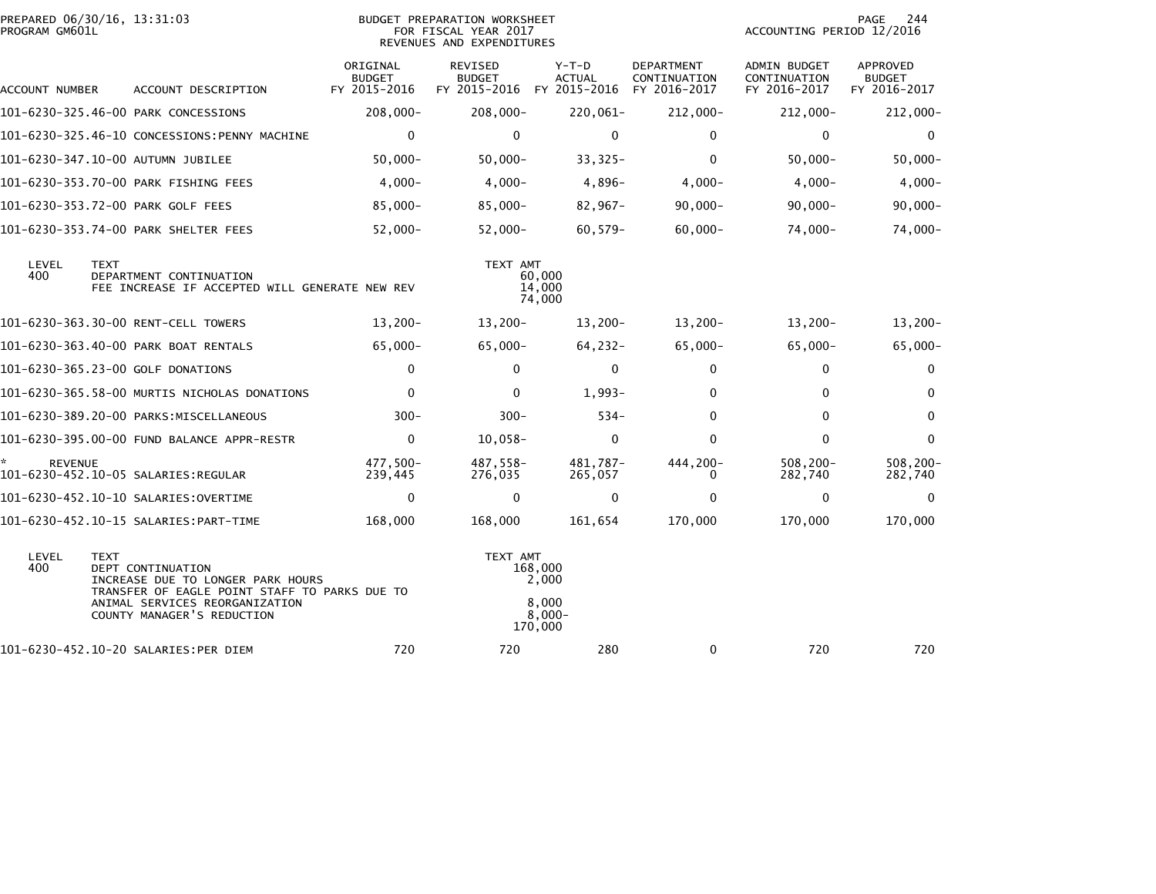| PROGRAM GM601L | PREPARED 06/30/16, 13:31:03                                                                                                                                                            |                                           | BUDGET PREPARATION WORKSHEET<br>FOR FISCAL YEAR 2017<br>REVENUES AND EXPENDITURES | 244<br>PAGE<br>ACCOUNTING PERIOD 12/2016          |                                                   |                                                     |                                           |
|----------------|----------------------------------------------------------------------------------------------------------------------------------------------------------------------------------------|-------------------------------------------|-----------------------------------------------------------------------------------|---------------------------------------------------|---------------------------------------------------|-----------------------------------------------------|-------------------------------------------|
| ACCOUNT NUMBER | ACCOUNT DESCRIPTION                                                                                                                                                                    | ORIGINAL<br><b>BUDGET</b><br>FY 2015-2016 | REVISED<br><b>BUDGET</b><br>FY 2015-2016 FY 2015-2016                             | $Y-T-D$<br><b>ACTUAL</b>                          | <b>DEPARTMENT</b><br>CONTINUATION<br>FY 2016-2017 | <b>ADMIN BUDGET</b><br>CONTINUATION<br>FY 2016-2017 | APPROVED<br><b>BUDGET</b><br>FY 2016-2017 |
|                | 101-6230-325.46-00 PARK CONCESSIONS                                                                                                                                                    | 208,000-                                  | $208,000 -$                                                                       | 220,061-                                          | 212,000-                                          | $212,000 -$                                         | 212,000-                                  |
|                | 101-6230-325.46-10 CONCESSIONS:PENNY MACHINE                                                                                                                                           | 0                                         | 0                                                                                 | $\mathbf 0$                                       | 0                                                 | 0                                                   | 0                                         |
|                | 101-6230-347.10-00 AUTUMN JUBILEE                                                                                                                                                      | $50,000 -$                                | $50,000 -$                                                                        | $33,325-$                                         | $\mathbf{0}$                                      | $50,000 -$                                          | $50,000 -$                                |
|                | 101-6230-353.70-00 PARK FISHING FEES                                                                                                                                                   | $4,000 -$                                 | $4,000-$                                                                          | $4,896-$                                          | $4,000-$                                          | $4,000 -$                                           | $4,000 -$                                 |
|                | 101-6230-353.72-00 PARK GOLF FEES                                                                                                                                                      | 85,000-                                   | $85,000 -$                                                                        | $82,967-$                                         | $90,000 -$                                        | $90,000 -$                                          | $90,000 -$                                |
|                | 101-6230-353.74-00 PARK SHELTER FEES                                                                                                                                                   | $52,000 -$                                | $52,000 -$                                                                        | $60,579-$                                         | $60,000 -$                                        | 74,000-                                             | 74,000-                                   |
| LEVEL<br>400   | <b>TEXT</b><br>DEPARTMENT CONTINUATION<br>FEE INCREASE IF ACCEPTED WILL GENERATE NEW REV                                                                                               |                                           | TEXT AMT                                                                          | 60,000<br>14,000<br>74,000                        |                                                   |                                                     |                                           |
|                | 101-6230-363.30-00 RENT-CELL TOWERS                                                                                                                                                    | $13,200-$                                 | $13,200-$                                                                         | $13,200-$                                         | $13,200-$                                         | $13,200-$                                           | $13,200-$                                 |
|                | 101-6230-363.40-00 PARK BOAT RENTALS                                                                                                                                                   | $65,000 -$                                | 65,000-                                                                           | 64,232-                                           | 65,000-                                           | $65,000 -$                                          | $65,000 -$                                |
|                | 101-6230-365.23-00 GOLF DONATIONS                                                                                                                                                      | $\mathbf{0}$                              | $\Omega$                                                                          | $\mathbf{0}$                                      | 0                                                 | $\mathbf{0}$                                        | $\bf{0}$                                  |
|                | 101-6230-365.58-00 MURTIS NICHOLAS DONATIONS                                                                                                                                           | $\mathbf{0}$                              | $\mathbf{0}$                                                                      | $1,993-$                                          | 0                                                 | 0                                                   | $\bf{0}$                                  |
|                | 101-6230-389.20-00 PARKS:MISCELLANEOUS                                                                                                                                                 | $300 -$                                   | $300 -$                                                                           | $534 -$                                           | $\Omega$                                          | $\Omega$                                            | $\Omega$                                  |
|                | 101-6230-395.00-00 FUND BALANCE APPR-RESTR                                                                                                                                             | $\Omega$                                  | $10,058-$                                                                         | $\mathbf{0}$                                      | $\Omega$                                          | $\Omega$                                            | $\mathbf{0}$                              |
| <b>REVENUE</b> |                                                                                                                                                                                        | 477.500-<br>239,445                       | 487,558-<br>276,035                                                               | 481.787-<br>265,057                               | 444,200-<br>0                                     | $508, 200 -$<br>282,740                             | $508, 200 -$<br>282,740                   |
|                |                                                                                                                                                                                        | $\mathbf 0$                               | $\Omega$                                                                          | $\mathbf 0$                                       | $\Omega$                                          | $\mathbf{0}$                                        | 0                                         |
|                |                                                                                                                                                                                        | 168,000                                   | 168,000                                                                           | 161,654                                           | 170,000                                           | 170,000                                             | 170,000                                   |
| LEVEL<br>400   | <b>TEXT</b><br>DEPT CONTINUATION<br>INCREASE DUE TO LONGER PARK HOURS<br>TRANSFER OF EAGLE POINT STAFF TO PARKS DUE TO<br>ANIMAL SERVICES REORGANIZATION<br>COUNTY MANAGER'S REDUCTION |                                           | TEXT AMT                                                                          | 168,000<br>2,000<br>8,000<br>$8.000 -$<br>170,000 |                                                   |                                                     |                                           |
|                | 101-6230-452.10-20 SALARIES:PER DIEM                                                                                                                                                   | 720                                       | 720                                                                               | 280                                               | 0                                                 | 720                                                 | 720                                       |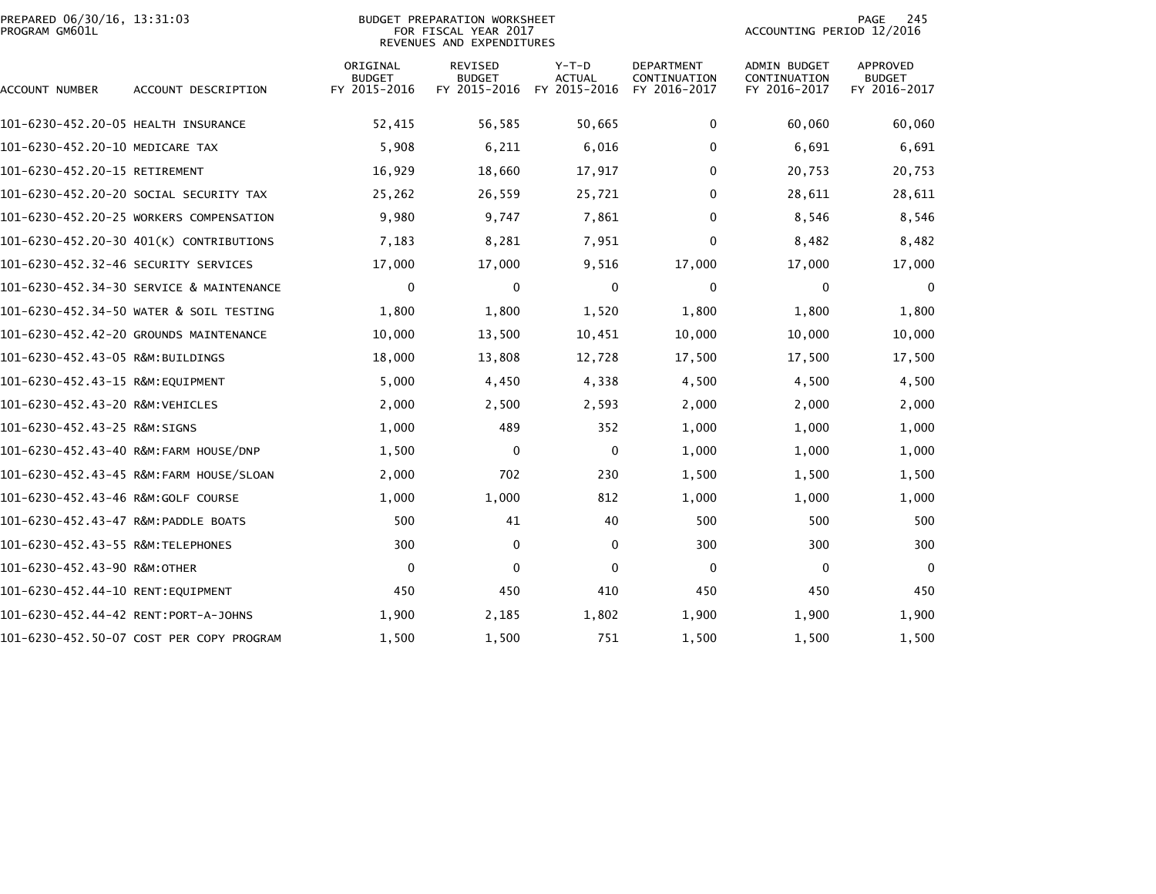| PREPARED 06/30/16, 13:31:03<br>PROGRAM GM601L |                                          |                                           | <b>BUDGET PREPARATION WORKSHEET</b><br>FOR FISCAL YEAR 2017<br>REVENUES AND EXPENDITURES | 245<br>PAGE<br>ACCOUNTING PERIOD 12/2016 |                                                   |                                                     |                                           |
|-----------------------------------------------|------------------------------------------|-------------------------------------------|------------------------------------------------------------------------------------------|------------------------------------------|---------------------------------------------------|-----------------------------------------------------|-------------------------------------------|
| ACCOUNT NUMBER                                | ACCOUNT DESCRIPTION                      | ORIGINAL<br><b>BUDGET</b><br>FY 2015-2016 | <b>REVISED</b><br><b>BUDGET</b><br>FY 2015-2016                                          | $Y-T-D$<br><b>ACTUAL</b><br>FY 2015-2016 | <b>DEPARTMENT</b><br>CONTINUATION<br>FY 2016-2017 | <b>ADMIN BUDGET</b><br>CONTINUATION<br>FY 2016-2017 | APPROVED<br><b>BUDGET</b><br>FY 2016-2017 |
| 101-6230-452.20-05 HEALTH INSURANCE           |                                          | 52,415                                    | 56,585                                                                                   | 50,665                                   | 0                                                 | 60,060                                              | 60,060                                    |
| 101-6230-452.20-10 MEDICARE TAX               |                                          | 5,908                                     | 6,211                                                                                    | 6,016                                    | $\Omega$                                          | 6,691                                               | 6,691                                     |
| 101-6230-452.20-15 RETIREMENT                 |                                          | 16,929                                    | 18,660                                                                                   | 17,917                                   | 0                                                 | 20.753                                              | 20,753                                    |
|                                               | 101-6230-452.20-20 SOCIAL SECURITY TAX   | 25,262                                    | 26,559                                                                                   | 25,721                                   | $\Omega$                                          | 28,611                                              | 28,611                                    |
|                                               | 101-6230-452.20-25 WORKERS COMPENSATION  | 9,980                                     | 9,747                                                                                    | 7,861                                    | 0                                                 | 8,546                                               | 8,546                                     |
|                                               | 101-6230-452.20-30 401(K) CONTRIBUTIONS  | 7,183                                     | 8,281                                                                                    | 7,951                                    | $\Omega$                                          | 8,482                                               | 8,482                                     |
|                                               |                                          | 17,000                                    | 17,000                                                                                   | 9,516                                    | 17,000                                            | 17,000                                              | 17,000                                    |
|                                               | 101-6230-452.34-30 SERVICE & MAINTENANCE | $\mathbf 0$                               | 0                                                                                        | 0                                        | $\mathbf 0$                                       | $\mathbf 0$                                         | $\mathbf 0$                               |
|                                               | 101-6230-452.34-50 WATER & SOIL TESTING  | 1,800                                     | 1,800                                                                                    | 1,520                                    | 1,800                                             | 1,800                                               | 1,800                                     |
|                                               | 101-6230-452.42-20 GROUNDS MAINTENANCE   | 10,000                                    | 13,500                                                                                   | 10,451                                   | 10,000                                            | 10,000                                              | 10,000                                    |
| 101-6230-452.43-05 R&M:BUILDINGS              |                                          | 18,000                                    | 13,808                                                                                   | 12,728                                   | 17,500                                            | 17,500                                              | 17,500                                    |
| 101-6230-452.43-15 R&M:EQUIPMENT              |                                          | 5,000                                     | 4,450                                                                                    | 4,338                                    | 4,500                                             | 4,500                                               | 4,500                                     |
| 101-6230-452.43-20 R&M:VEHICLES               |                                          | 2,000                                     | 2,500                                                                                    | 2,593                                    | 2,000                                             | 2,000                                               | 2,000                                     |
| 101-6230-452.43-25 R&M:SIGNS                  |                                          | 1,000                                     | 489                                                                                      | 352                                      | 1,000                                             | 1,000                                               | 1,000                                     |
|                                               | 101-6230-452.43-40 R&M:FARM HOUSE/DNP    | 1,500                                     | 0                                                                                        | 0                                        | 1,000                                             | 1,000                                               | 1,000                                     |
|                                               |                                          | 2,000                                     | 702                                                                                      | 230                                      | 1,500                                             | 1,500                                               | 1,500                                     |
|                                               |                                          | 1,000                                     | 1,000                                                                                    | 812                                      | 1,000                                             | 1,000                                               | 1,000                                     |
| 101-6230-452.43-47 R&M:PADDLE BOATS           |                                          | 500                                       | 41                                                                                       | 40                                       | 500                                               | 500                                                 | 500                                       |
| 101-6230-452.43-55 R&M:TELEPHONES             |                                          | 300                                       | $\mathbf 0$                                                                              | $\mathbf 0$                              | 300                                               | 300                                                 | 300                                       |
| 101-6230-452.43-90 R&M:OTHER                  |                                          | $\mathbf 0$                               | $\Omega$                                                                                 | $\mathbf{0}$                             | 0                                                 | 0                                                   | $\Omega$                                  |
| 101-6230-452.44-10 RENT:EOUIPMENT             |                                          | 450                                       | 450                                                                                      | 410                                      | 450                                               | 450                                                 | 450                                       |
| 101-6230-452.44-42 RENT:PORT-A-JOHNS          |                                          | 1,900                                     | 2,185                                                                                    | 1,802                                    | 1,900                                             | 1,900                                               | 1,900                                     |
|                                               | 101-6230-452.50-07 COST PER COPY PROGRAM | 1,500                                     | 1,500                                                                                    | 751                                      | 1,500                                             | 1,500                                               | 1,500                                     |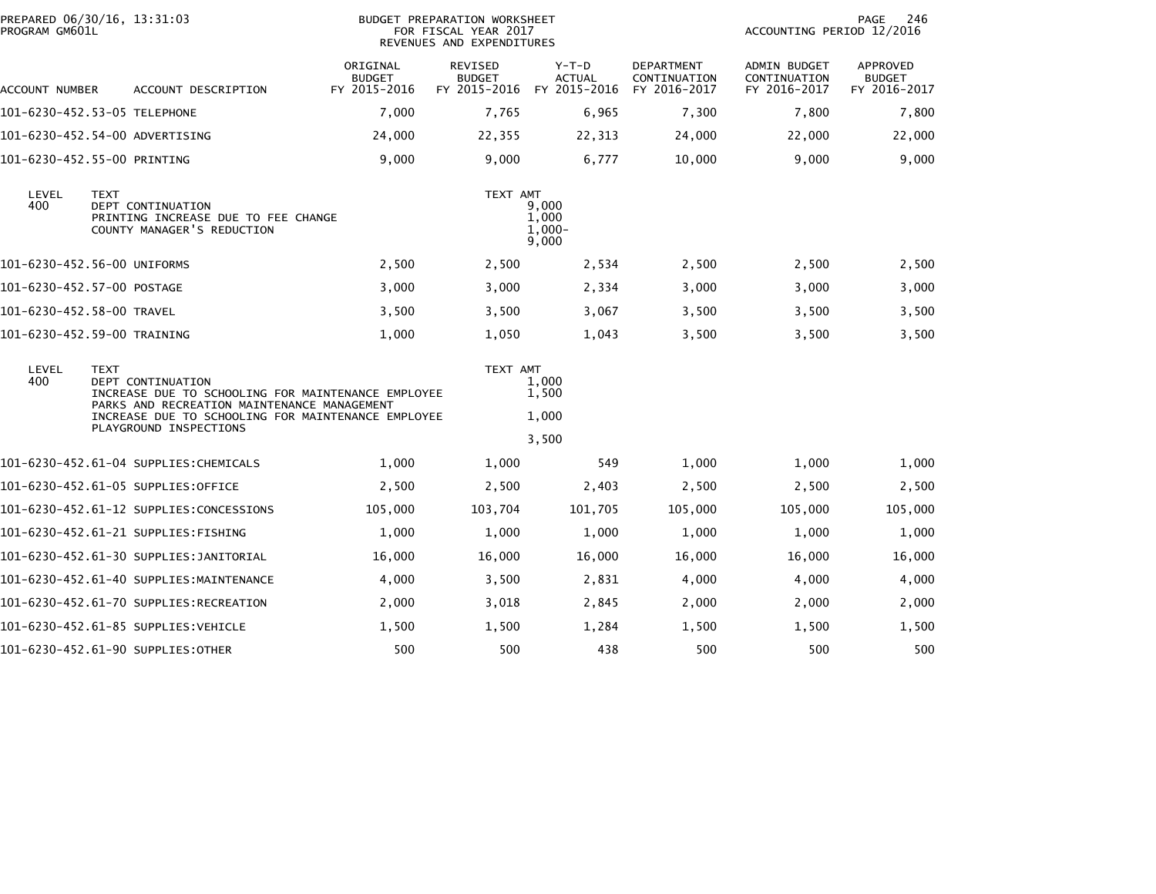| PREPARED 06/30/16, 13:31:03<br>PROGRAM GM601L                                                                                                                                                                                                |             |                                                                                               |                                           | BUDGET PREPARATION WORKSHEET<br>FOR FISCAL YEAR 2017<br>REVENUES AND EXPENDITURES | PAGE<br>246<br>ACCOUNTING PERIOD 12/2016 |                                                   |                                              |                                                  |
|----------------------------------------------------------------------------------------------------------------------------------------------------------------------------------------------------------------------------------------------|-------------|-----------------------------------------------------------------------------------------------|-------------------------------------------|-----------------------------------------------------------------------------------|------------------------------------------|---------------------------------------------------|----------------------------------------------|--------------------------------------------------|
| ACCOUNT NUMBER                                                                                                                                                                                                                               |             | ACCOUNT DESCRIPTION                                                                           | ORIGINAL<br><b>BUDGET</b><br>FY 2015-2016 | <b>REVISED</b><br><b>BUDGET</b><br>FY 2015-2016                                   | $Y-T-D$<br><b>ACTUAL</b><br>FY 2015-2016 | <b>DEPARTMENT</b><br>CONTINUATION<br>FY 2016-2017 | ADMIN BUDGET<br>CONTINUATION<br>FY 2016-2017 | <b>APPROVED</b><br><b>BUDGET</b><br>FY 2016-2017 |
| 101-6230-452.53-05 TELEPHONE                                                                                                                                                                                                                 |             |                                                                                               | 7,000                                     | 7,765                                                                             | 6,965                                    | 7,300                                             | 7,800                                        | 7,800                                            |
| 101-6230-452.54-00 ADVERTISING                                                                                                                                                                                                               |             |                                                                                               | 24,000                                    | 22,355                                                                            | 22,313                                   | 24,000                                            | 22,000                                       | 22,000                                           |
| 101-6230-452.55-00 PRINTING                                                                                                                                                                                                                  |             |                                                                                               | 9,000                                     | 9,000                                                                             | 6,777                                    | 10,000                                            | 9,000                                        | 9,000                                            |
| LEVEL<br>400                                                                                                                                                                                                                                 | <b>TEXT</b> | <b>DEPT CONTINUATION</b><br>PRINTING INCREASE DUE TO FEE CHANGE<br>COUNTY MANAGER'S REDUCTION |                                           | TEXT AMT                                                                          | 9.000<br>1,000<br>$1.000 -$<br>9,000     |                                                   |                                              |                                                  |
| 101-6230-452.56-00 UNIFORMS                                                                                                                                                                                                                  |             |                                                                                               | 2,500                                     | 2,500                                                                             | 2,534                                    | 2,500                                             | 2,500                                        | 2,500                                            |
| 101-6230-452.57-00 POSTAGE                                                                                                                                                                                                                   |             |                                                                                               | 3,000                                     | 3,000                                                                             | 2,334                                    | 3,000                                             | 3,000                                        | 3,000                                            |
| 101-6230-452.58-00 TRAVEL                                                                                                                                                                                                                    |             |                                                                                               | 3,500                                     | 3,500                                                                             | 3,067                                    | 3,500                                             | 3,500                                        | 3,500                                            |
| 101-6230-452.59-00 TRAINING                                                                                                                                                                                                                  |             |                                                                                               | 1,000                                     | 1,050                                                                             | 1,043                                    | 3,500                                             | 3,500                                        | 3,500                                            |
| LEVEL<br><b>TEXT</b><br>400<br><b>DEPT CONTINUATION</b><br>INCREASE DUE TO SCHOOLING FOR MAINTENANCE EMPLOYEE<br>PARKS AND RECREATION MAINTENANCE MANAGEMENT<br>INCREASE DUE TO SCHOOLING FOR MAINTENANCE EMPLOYEE<br>PLAYGROUND INSPECTIONS |             | TEXT AMT                                                                                      | 1.000<br>1,500<br>1,000<br>3,500          |                                                                                   |                                          |                                                   |                                              |                                                  |
|                                                                                                                                                                                                                                              |             | 101-6230-452.61-04 SUPPLIES:CHEMICALS                                                         | 1,000                                     | 1,000                                                                             | 549                                      | 1,000                                             | 1,000                                        | 1,000                                            |
|                                                                                                                                                                                                                                              |             | 101-6230-452.61-05 SUPPLIES:OFFICE                                                            | 2,500                                     | 2,500                                                                             | 2,403                                    | 2,500                                             | 2,500                                        | 2,500                                            |
|                                                                                                                                                                                                                                              |             | 101-6230-452.61-12 SUPPLIES:CONCESSIONS                                                       | 105,000                                   | 103,704                                                                           | 101,705                                  | 105,000                                           | 105,000                                      | 105,000                                          |
|                                                                                                                                                                                                                                              |             | 101-6230-452.61-21 SUPPLIES:FISHING                                                           | 1,000                                     | 1,000                                                                             | 1,000                                    | 1,000                                             | 1,000                                        | 1,000                                            |
|                                                                                                                                                                                                                                              |             | 101-6230-452.61-30 SUPPLIES:JANITORIAL                                                        | 16,000                                    | 16,000                                                                            | 16,000                                   | 16,000                                            | 16,000                                       | 16,000                                           |
|                                                                                                                                                                                                                                              |             | 101-6230-452.61-40 SUPPLIES:MAINTENANCE                                                       | 4,000                                     | 3,500                                                                             | 2,831                                    | 4,000                                             | 4,000                                        | 4,000                                            |
|                                                                                                                                                                                                                                              |             | 101-6230-452.61-70 SUPPLIES:RECREATION                                                        | 2,000                                     | 3,018                                                                             | 2,845                                    | 2,000                                             | 2,000                                        | 2,000                                            |
|                                                                                                                                                                                                                                              |             | 101-6230-452.61-85 SUPPLIES:VEHICLE                                                           | 1,500                                     | 1,500                                                                             | 1,284                                    | 1.500                                             | 1.500                                        | 1,500                                            |
|                                                                                                                                                                                                                                              |             | 101-6230-452.61-90 SUPPLIES:OTHER                                                             | 500                                       | 500                                                                               | 438                                      | 500                                               | 500                                          | 500                                              |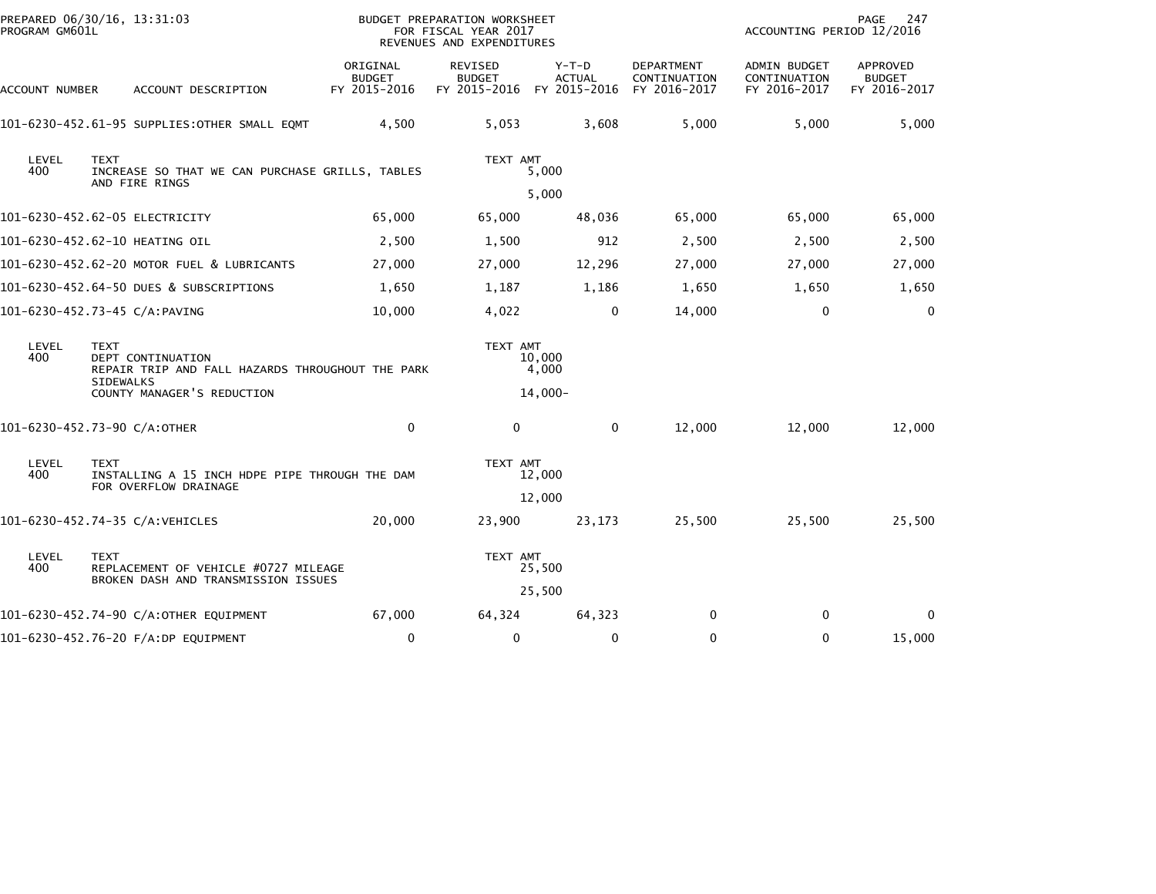| PROGRAM GM601L      | PREPARED 06/30/16, 13:31:03                                                                                                            |                                           | BUDGET PREPARATION WORKSHEET<br>FOR FISCAL YEAR 2017<br>REVENUES AND EXPENDITURES |                              |                                                   | ACCOUNTING PERIOD 12/2016                    | 247<br>PAGE                               |
|---------------------|----------------------------------------------------------------------------------------------------------------------------------------|-------------------------------------------|-----------------------------------------------------------------------------------|------------------------------|---------------------------------------------------|----------------------------------------------|-------------------------------------------|
| ACCOUNT NUMBER      | ACCOUNT DESCRIPTION                                                                                                                    | ORIGINAL<br><b>BUDGET</b><br>FY 2015-2016 | <b>REVISED</b><br><b>BUDGET</b><br>FY 2015-2016 FY 2015-2016                      | $Y-T-D$<br><b>ACTUAL</b>     | <b>DEPARTMENT</b><br>CONTINUATION<br>FY 2016-2017 | ADMIN BUDGET<br>CONTINUATION<br>FY 2016-2017 | APPROVED<br><b>BUDGET</b><br>FY 2016-2017 |
|                     | 101-6230-452.61-95 SUPPLIES:OTHER SMALL EQMT                                                                                           | 4,500                                     | 5,053                                                                             | 3,608                        | 5,000                                             | 5,000                                        | 5,000                                     |
| <b>LEVEL</b><br>400 | <b>TEXT</b><br>INCREASE SO THAT WE CAN PURCHASE GRILLS, TABLES<br>AND FIRE RINGS                                                       |                                           | TEXT AMT                                                                          | 5,000                        |                                                   |                                              |                                           |
|                     |                                                                                                                                        |                                           |                                                                                   | 5,000                        |                                                   |                                              |                                           |
|                     | 101-6230-452.62-05 ELECTRICITY                                                                                                         | 65,000                                    | 65,000                                                                            | 48,036                       | 65,000                                            | 65,000                                       | 65,000                                    |
|                     | 101-6230-452.62-10 HEATING OIL                                                                                                         | 2,500                                     | 1,500                                                                             | 912                          | 2,500                                             | 2,500                                        | 2,500                                     |
|                     | 101-6230-452.62-20 MOTOR FUEL & LUBRICANTS                                                                                             | 27,000                                    | 27,000                                                                            | 12,296                       | 27,000                                            | 27,000                                       | 27,000                                    |
|                     | 101-6230-452.64-50 DUES & SUBSCRIPTIONS                                                                                                | 1,650                                     | 1,187                                                                             | 1,186                        | 1,650                                             | 1,650                                        | 1,650                                     |
|                     | 101-6230-452.73-45 C/A:PAVING                                                                                                          | 10,000                                    | 4,022                                                                             | 0                            | 14,000                                            | $\mathbf{0}$                                 | $\mathbf{0}$                              |
| LEVEL<br>400        | <b>TEXT</b><br>DEPT CONTINUATION<br>REPAIR TRIP AND FALL HAZARDS THROUGHOUT THE PARK<br><b>SIDEWALKS</b><br>COUNTY MANAGER'S REDUCTION |                                           | TEXT AMT                                                                          | 10,000<br>4,000<br>$14,000-$ |                                                   |                                              |                                           |
|                     | 101-6230-452.73-90 C/A:OTHER                                                                                                           | $\mathbf 0$                               | 0                                                                                 | $\mathbf 0$                  | 12,000                                            | 12,000                                       | 12,000                                    |
| LEVEL<br>400        | <b>TEXT</b><br>INSTALLING A 15 INCH HDPE PIPE THROUGH THE DAM<br>FOR OVERFLOW DRAINAGE                                                 |                                           | TEXT AMT                                                                          | 12,000                       |                                                   |                                              |                                           |
|                     |                                                                                                                                        |                                           |                                                                                   | 12,000                       |                                                   |                                              |                                           |
|                     | 101-6230-452.74-35 C/A:VEHICLES                                                                                                        | 20,000                                    | 23,900                                                                            | 23,173                       | 25,500                                            | 25,500                                       | 25,500                                    |
| LEVEL<br>400        | <b>TEXT</b><br>REPLACEMENT OF VEHICLE #0727 MILEAGE<br>BROKEN DASH AND TRANSMISSION ISSUES                                             |                                           | TEXT AMT                                                                          | 25,500<br>25,500             |                                                   |                                              |                                           |
|                     | 101-6230-452.74-90 C/A:OTHER EQUIPMENT                                                                                                 | 67,000                                    | 64,324                                                                            | 64,323                       | $\mathbf{0}$                                      | $\Omega$                                     | $\Omega$                                  |
|                     | 101-6230-452.76-20 F/A:DP EQUIPMENT                                                                                                    | 0                                         | $\mathbf 0$                                                                       | 0                            | 0                                                 | $\mathbf{0}$                                 | 15,000                                    |
|                     |                                                                                                                                        |                                           |                                                                                   |                              |                                                   |                                              |                                           |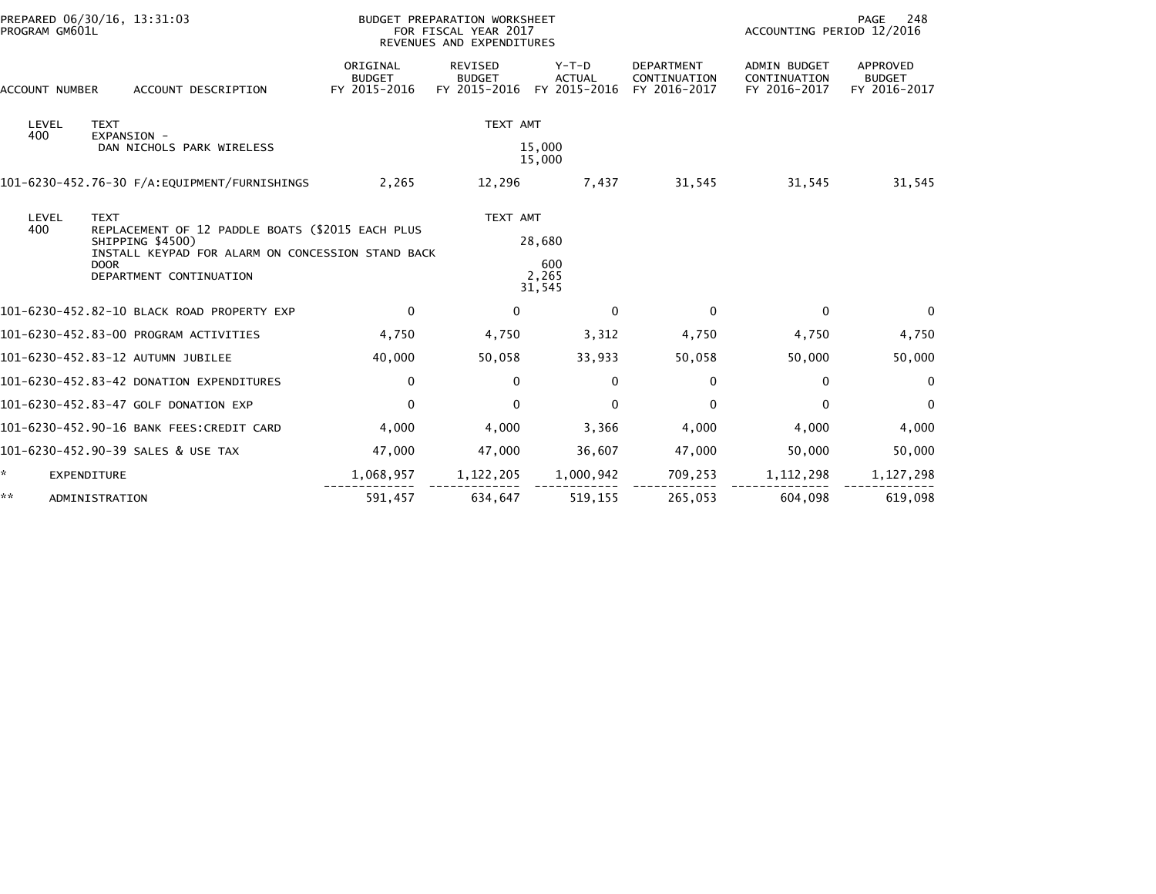| PROGRAM GM601L        | PREPARED 06/30/16, 13:31:03                                                                                                                                                        |                                           | BUDGET PREPARATION WORKSHEET<br>FOR FISCAL YEAR 2017<br>REVENUES AND EXPENDITURES | 248<br>PAGE<br>ACCOUNTING PERIOD 12/2016 |                                                   |                                              |                                           |
|-----------------------|------------------------------------------------------------------------------------------------------------------------------------------------------------------------------------|-------------------------------------------|-----------------------------------------------------------------------------------|------------------------------------------|---------------------------------------------------|----------------------------------------------|-------------------------------------------|
| <b>ACCOUNT NUMBER</b> | ACCOUNT DESCRIPTION                                                                                                                                                                | ORIGINAL<br><b>BUDGET</b><br>FY 2015-2016 | <b>REVISED</b><br><b>BUDGET</b><br>FY 2015-2016                                   | $Y-T-D$<br><b>ACTUAL</b><br>FY 2015-2016 | <b>DEPARTMENT</b><br>CONTINUATION<br>FY 2016-2017 | ADMIN BUDGET<br>CONTINUATION<br>FY 2016-2017 | APPROVED<br><b>BUDGET</b><br>FY 2016-2017 |
| LEVEL<br>400          | <b>TEXT</b><br>EXPANSION -<br>DAN NICHOLS PARK WIRELESS                                                                                                                            |                                           | TEXT AMT                                                                          | 15,000<br>15,000                         |                                                   |                                              |                                           |
|                       |                                                                                                                                                                                    | 2.265                                     | 12.296                                                                            | 7,437                                    | 31.545                                            | 31,545                                       | 31,545                                    |
| LEVEL<br>400          | <b>TEXT</b><br>REPLACEMENT OF 12 PADDLE BOATS (\$2015 EACH PLUS<br>SHIPPING \$4500)<br>INSTALL KEYPAD FOR ALARM ON CONCESSION STAND BACK<br><b>DOOR</b><br>DEPARTMENT CONTINUATION |                                           | TEXT AMT                                                                          | 28,680<br>600<br>2,265<br>31,545         |                                                   |                                              |                                           |
|                       | 101-6230-452.82-10 BLACK ROAD PROPERTY EXP                                                                                                                                         | $\Omega$                                  | $\mathbf{0}$                                                                      | $\mathbf{0}$                             | $\mathbf{0}$                                      | $\Omega$                                     | $\Omega$                                  |
|                       | 101-6230-452.83-00 PROGRAM ACTIVITIES                                                                                                                                              | 4,750                                     | 4,750                                                                             | 3,312                                    | 4,750                                             | 4,750                                        | 4,750                                     |
|                       | 101-6230-452.83-12 AUTUMN JUBILEE                                                                                                                                                  | 40,000                                    | 50,058                                                                            | 33,933                                   | 50,058                                            | 50,000                                       | 50,000                                    |
|                       | 101-6230-452.83-42 DONATION EXPENDITURES                                                                                                                                           | $\Omega$                                  | $\Omega$                                                                          | $\mathbf{0}$                             | 0                                                 | $\Omega$                                     | $\Omega$                                  |
|                       | 101-6230-452.83-47 GOLF DONATION EXP                                                                                                                                               | $\Omega$                                  | $\mathbf{0}$                                                                      | $\mathbf{0}$                             | $\mathbf{0}$                                      | $\Omega$                                     | $\mathbf{0}$                              |
|                       | 101-6230-452.90-16 BANK FEES:CREDIT CARD                                                                                                                                           | 4,000                                     | 4,000                                                                             | 3,366                                    | 4,000                                             | 4,000                                        | 4,000                                     |
|                       | 101-6230-452.90-39 SALES & USE TAX                                                                                                                                                 | 47,000                                    | 47,000                                                                            | 36,607                                   | 47,000                                            | 50,000                                       | 50,000                                    |
| *                     | EXPENDITURE                                                                                                                                                                        | 1,068,957                                 | 1,122,205                                                                         | 1,000,942                                | 709,253                                           | 1, 112, 298                                  | 1,127,298                                 |
| **                    | ADMINISTRATION                                                                                                                                                                     | 591,457                                   | 634,647                                                                           | 519,155                                  | 265,053                                           | 604,098                                      | 619,098                                   |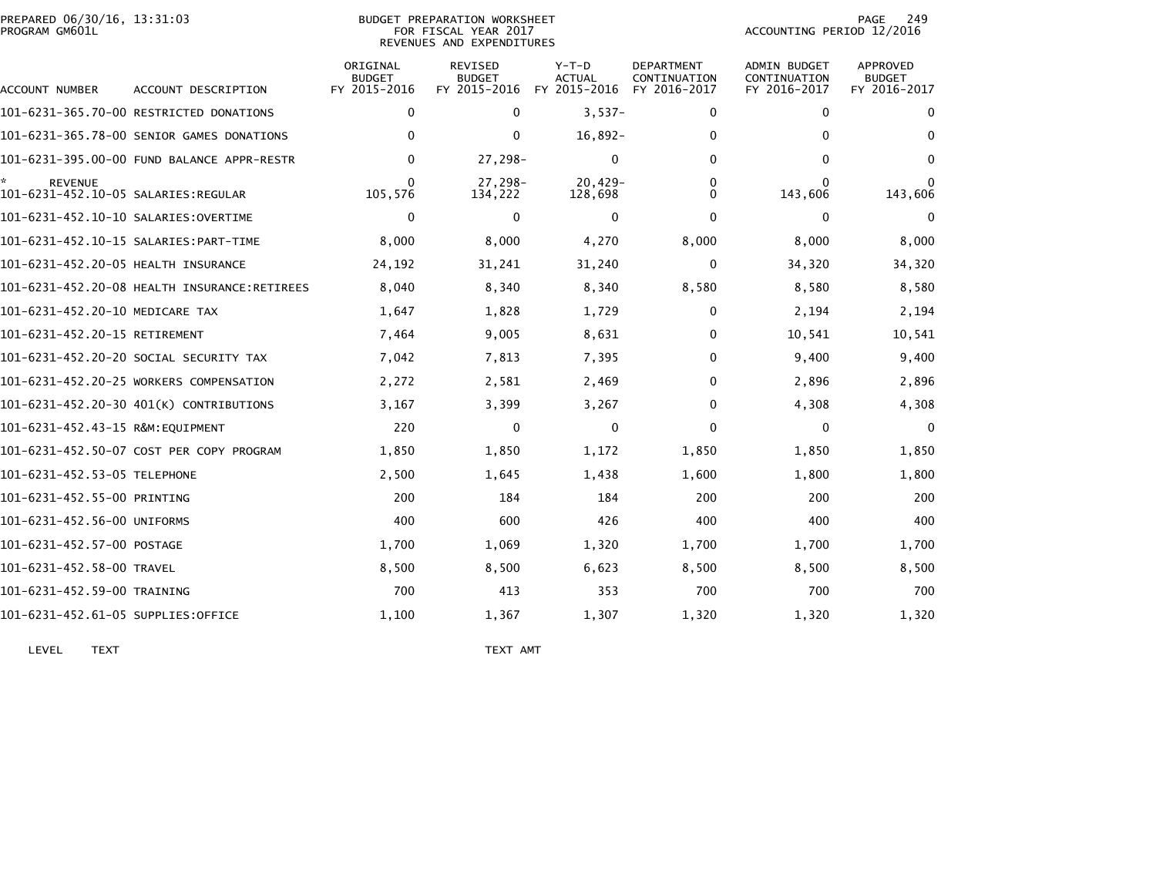| PREPARED 06/30/16, 13:31:03<br>PROGRAM GM601L         |                                            |                                           | <b>BUDGET PREPARATION WORKSHEET</b><br>FOR FISCAL YEAR 2017<br>REVENUES AND EXPENDITURES |                                   | 249<br>PAGE<br>ACCOUNTING PERIOD 12/2016          |                                                     |                                                  |
|-------------------------------------------------------|--------------------------------------------|-------------------------------------------|------------------------------------------------------------------------------------------|-----------------------------------|---------------------------------------------------|-----------------------------------------------------|--------------------------------------------------|
| ACCOUNT NUMBER                                        | ACCOUNT DESCRIPTION                        | ORIGINAL<br><b>BUDGET</b><br>FY 2015-2016 | <b>REVISED</b><br><b>BUDGET</b><br>FY 2015-2016                                          | $Y-T-D$<br>ACTUAL<br>FY 2015-2016 | <b>DEPARTMENT</b><br>CONTINUATION<br>FY 2016-2017 | <b>ADMIN BUDGET</b><br>CONTINUATION<br>FY 2016-2017 | <b>APPROVED</b><br><b>BUDGET</b><br>FY 2016-2017 |
|                                                       | 101-6231-365.70-00 RESTRICTED DONATIONS    | 0                                         | $\mathbf{0}$                                                                             | $3,537-$                          | 0                                                 | 0                                                   | 0                                                |
|                                                       | 101-6231-365.78-00 SENIOR GAMES DONATIONS  | $\bf{0}$                                  | 0                                                                                        | $16,892-$                         | 0                                                 | 0                                                   | $\Omega$                                         |
|                                                       | 101-6231-395.00-00 FUND BALANCE APPR-RESTR | $\mathbf{0}$                              | 27,298-                                                                                  | 0                                 | 0                                                 | 0                                                   | $\bf{0}$                                         |
| <b>REVENUE</b><br>101-6231-452.10-05 SALARIES:REGULAR |                                            | $\Omega$<br>105,576                       | 27,298-<br>134,222                                                                       | $20,429-$<br>128,698              | 0<br>$\mathbf{0}$                                 | $\Omega$<br>143,606                                 | $\Omega$<br>143,606                              |
|                                                       |                                            | $\mathbf 0$                               | $\mathbf{0}$                                                                             | $\Omega$                          | $\mathbf 0$                                       | 0                                                   | $\Omega$                                         |
|                                                       |                                            | 8,000                                     | 8,000                                                                                    | 4,270                             | 8,000                                             | 8,000                                               | 8,000                                            |
| 101-6231-452.20-05 HEALTH INSURANCE                   |                                            | 24,192                                    | 31,241                                                                                   | 31,240                            | $\mathbf 0$                                       | 34,320                                              | 34,320                                           |
|                                                       |                                            | 8,040                                     | 8,340                                                                                    | 8,340                             | 8,580                                             | 8,580                                               | 8,580                                            |
| 101-6231-452.20-10 MEDICARE TAX                       |                                            | 1,647                                     | 1,828                                                                                    | 1,729                             | 0                                                 | 2,194                                               | 2,194                                            |
| 101-6231-452.20-15 RETIREMENT                         |                                            | 7,464                                     | 9,005                                                                                    | 8,631                             | $\bf{0}$                                          | 10,541                                              | 10,541                                           |
|                                                       | 101-6231-452.20-20 SOCIAL SECURITY TAX     | 7,042                                     | 7,813                                                                                    | 7,395                             | $\mathbf{0}$                                      | 9,400                                               | 9,400                                            |
|                                                       | 101-6231-452.20-25 WORKERS COMPENSATION    | 2,272                                     | 2,581                                                                                    | 2,469                             | $\mathbf{0}$                                      | 2,896                                               | 2,896                                            |
|                                                       | 101-6231-452.20-30 401(K) CONTRIBUTIONS    | 3,167                                     | 3,399                                                                                    | 3,267                             | 0                                                 | 4,308                                               | 4,308                                            |
| 101-6231-452.43-15 R&M:EQUIPMENT                      |                                            | 220                                       | 0                                                                                        | 0                                 | $\mathbf{0}$                                      | 0                                                   | $\Omega$                                         |
|                                                       | 101-6231-452.50-07 COST PER COPY PROGRAM   | 1,850                                     | 1,850                                                                                    | 1,172                             | 1,850                                             | 1,850                                               | 1,850                                            |
| 101-6231-452.53-05 TELEPHONE                          |                                            | 2,500                                     | 1,645                                                                                    | 1,438                             | 1,600                                             | 1,800                                               | 1,800                                            |
| 101-6231-452.55-00 PRINTING                           |                                            | 200                                       | 184                                                                                      | 184                               | 200                                               | 200                                                 | 200                                              |
| 101-6231-452.56-00 UNIFORMS                           |                                            | 400                                       | 600                                                                                      | 426                               | 400                                               | 400                                                 | 400                                              |
| 101-6231-452.57-00 POSTAGE                            |                                            | 1,700                                     | 1,069                                                                                    | 1,320                             | 1,700                                             | 1,700                                               | 1,700                                            |
| 101-6231-452.58-00 TRAVEL                             |                                            | 8,500                                     | 8,500                                                                                    | 6,623                             | 8,500                                             | 8,500                                               | 8,500                                            |
| 101-6231-452.59-00 TRAINING                           |                                            | 700                                       | 413                                                                                      | 353                               | 700                                               | 700                                                 | 700                                              |
| 101-6231-452.61-05 SUPPLIES:OFFICE                    |                                            | 1,100                                     | 1,367                                                                                    | 1,307                             | 1,320                                             | 1,320                                               | 1,320                                            |

LEVEL TEXT TEXT AMT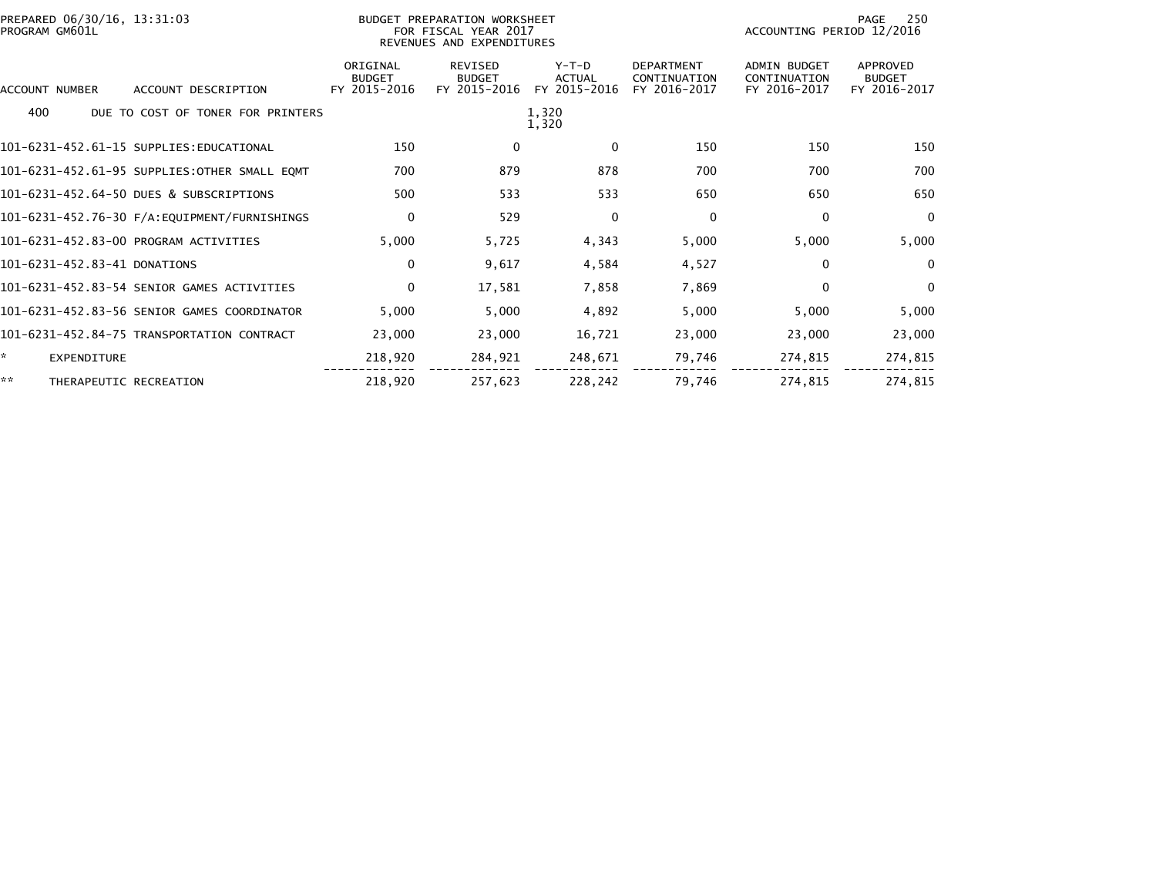| PREPARED 06/30/16, 13:31:03<br>PROGRAM GM601L |                                           | BUDGET PREPARATION WORKSHEET<br>FOR FISCAL YEAR 2017<br>REVENUES AND EXPENDITURES |                                          |                                                   | 250<br>PAGE<br>ACCOUNTING PERIOD 12/2016            |                                           |  |
|-----------------------------------------------|-------------------------------------------|-----------------------------------------------------------------------------------|------------------------------------------|---------------------------------------------------|-----------------------------------------------------|-------------------------------------------|--|
| ACCOUNT NUMBER<br>ACCOUNT DESCRIPTION         | ORIGINAL<br><b>BUDGET</b><br>FY 2015-2016 | <b>REVISED</b><br><b>BUDGET</b><br>FY 2015-2016                                   | $Y-T-D$<br><b>ACTUAL</b><br>FY 2015-2016 | <b>DEPARTMENT</b><br>CONTINUATION<br>FY 2016-2017 | <b>ADMIN BUDGET</b><br>CONTINUATION<br>FY 2016-2017 | APPROVED<br><b>BUDGET</b><br>FY 2016-2017 |  |
| 400<br>DUE TO COST OF TONER FOR PRINTERS      |                                           |                                                                                   | 1,320<br>1,320                           |                                                   |                                                     |                                           |  |
| 101-6231-452.61-15 SUPPLIES: EDUCATIONAL      | 150                                       | 0                                                                                 | 0                                        | 150                                               | 150                                                 | 150                                       |  |
| 101-6231-452.61-95 SUPPLIES:OTHER SMALL EQMT  | 700                                       | 879                                                                               | 878                                      | 700                                               | 700                                                 | 700                                       |  |
| 101-6231-452.64-50 DUES & SUBSCRIPTIONS       | 500                                       | 533                                                                               | 533                                      | 650                                               | 650                                                 | 650                                       |  |
|                                               | 0                                         | 529                                                                               | 0                                        | 0                                                 | 0                                                   | $\mathbf{0}$                              |  |
| 101-6231-452.83-00 PROGRAM ACTIVITIES         | 5,000                                     | 5,725                                                                             | 4,343                                    | 5,000                                             | 5,000                                               | 5,000                                     |  |
| 101-6231-452.83-41 DONATIONS                  | 0                                         | 9,617                                                                             | 4,584                                    | 4,527                                             | $\mathbf{0}$                                        | $\Omega$                                  |  |
| 101-6231-452.83-54 SENIOR GAMES ACTIVITIES    | $\mathbf 0$                               | 17,581                                                                            | 7,858                                    | 7,869                                             | $\Omega$                                            | $\mathbf{0}$                              |  |
| 101-6231-452.83-56 SENIOR GAMES COORDINATOR   | 5,000                                     | 5,000                                                                             | 4,892                                    | 5,000                                             | 5,000                                               | 5,000                                     |  |
| 101-6231-452.84-75 TRANSPORTATION CONTRACT    | 23,000                                    | 23,000                                                                            | 16,721                                   | 23,000                                            | 23,000                                              | 23,000                                    |  |
| <b>EXPENDITURE</b>                            | 218,920                                   | 284,921                                                                           | 248,671                                  | 79,746                                            | 274,815                                             | 274,815                                   |  |
| **<br>THERAPEUTIC RECREATION                  | 218,920                                   | 257,623                                                                           | 228,242                                  | 79,746                                            | 274.815                                             | 274,815                                   |  |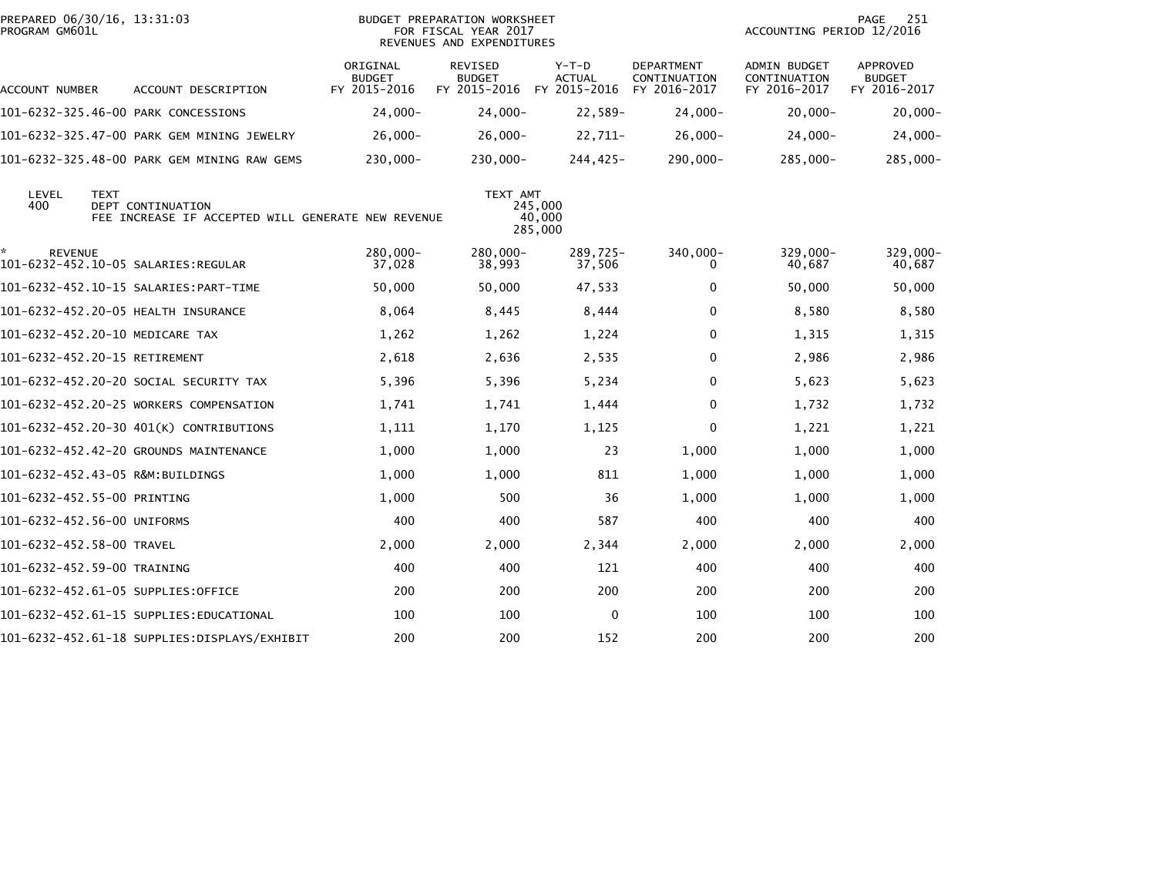| PREPARED 06/30/16, 13:31:03<br>PROGRAM GM601L |             |                                                                                | <b>BUDGET PREPARATION WORKSHEET</b><br>FOR FISCAL YEAR 2017<br>REVENUES AND EXPENDITURES |                                                              |                              |                                            | 251<br>PAGE<br>ACCOUNTING PERIOD 12/2016            |                                                  |
|-----------------------------------------------|-------------|--------------------------------------------------------------------------------|------------------------------------------------------------------------------------------|--------------------------------------------------------------|------------------------------|--------------------------------------------|-----------------------------------------------------|--------------------------------------------------|
| ACCOUNT NUMBER                                |             | ACCOUNT DESCRIPTION                                                            | ORIGINAL<br><b>BUDGET</b><br>FY 2015-2016                                                | <b>REVISED</b><br><b>BUDGET</b><br>FY 2015-2016 FY 2015-2016 | $Y-T-D$<br><b>ACTUAL</b>     | DEPARTMENT<br>CONTINUATION<br>FY 2016-2017 | <b>ADMIN BUDGET</b><br>CONTINUATION<br>FY 2016-2017 | <b>APPROVED</b><br><b>BUDGET</b><br>FY 2016-2017 |
|                                               |             | 101-6232-325.46-00 PARK CONCESSIONS                                            | $24,000 -$                                                                               | $24,000 -$                                                   | 22,589-                      | $24,000 -$                                 | $20,000 -$                                          | $20,000 -$                                       |
|                                               |             | 101-6232-325.47-00 PARK GEM MINING JEWELRY                                     | $26,000 -$                                                                               | $26,000-$                                                    | $22,711-$                    | $26,000-$                                  | $24,000-$                                           | $24,000-$                                        |
|                                               |             | 101-6232-325.48-00 PARK GEM MINING RAW GEMS                                    | 230,000-                                                                                 | 230,000-                                                     | 244,425-                     | 290,000-                                   | 285,000-                                            | 285,000-                                         |
| LEVEL<br>400                                  | <b>TEXT</b> | <b>DEPT CONTINUATION</b><br>FEE INCREASE IF ACCEPTED WILL GENERATE NEW REVENUE |                                                                                          | TEXT AMT                                                     | 245,000<br>40,000<br>285,000 |                                            |                                                     |                                                  |
| *<br><b>REVENUE</b>                           |             |                                                                                | 280,000-<br>37,028                                                                       | 280,000-<br>38,993                                           | 289,725-<br>37,506           | 340,000-<br>0                              | 329,000-<br>40,687                                  | 329,000-<br>40,687                               |
|                                               |             |                                                                                | 50,000                                                                                   | 50,000                                                       | 47,533                       | 0                                          | 50,000                                              | 50,000                                           |
|                                               |             | 101-6232-452.20-05 HEALTH INSURANCE                                            | 8,064                                                                                    | 8,445                                                        | 8,444                        | 0                                          | 8,580                                               | 8,580                                            |
|                                               |             | 101-6232-452.20-10 MEDICARE TAX                                                | 1,262                                                                                    | 1,262                                                        | 1,224                        | 0                                          | 1,315                                               | 1,315                                            |
| 101-6232-452.20-15 RETIREMENT                 |             |                                                                                | 2,618                                                                                    | 2,636                                                        | 2,535                        | $\mathbf{0}$                               | 2,986                                               | 2,986                                            |
|                                               |             | 101-6232-452.20-20 SOCIAL SECURITY TAX                                         | 5,396                                                                                    | 5,396                                                        | 5,234                        | 0                                          | 5,623                                               | 5,623                                            |
|                                               |             | 101-6232-452.20-25 WORKERS COMPENSATION                                        | 1,741                                                                                    | 1,741                                                        | 1,444                        | 0                                          | 1,732                                               | 1,732                                            |
|                                               |             | 101-6232-452.20-30 401(K) CONTRIBUTIONS                                        | 1,111                                                                                    | 1,170                                                        | 1,125                        | $\mathbf 0$                                | 1,221                                               | 1,221                                            |
|                                               |             | 101-6232-452.42-20 GROUNDS MAINTENANCE                                         | 1,000                                                                                    | 1,000                                                        | 23                           | 1,000                                      | 1,000                                               | 1,000                                            |
|                                               |             | 101-6232-452.43-05 R&M:BUILDINGS                                               | 1,000                                                                                    | 1,000                                                        | 811                          | 1,000                                      | 1,000                                               | 1,000                                            |
| 101-6232-452.55-00 PRINTING                   |             |                                                                                | 1,000                                                                                    | 500                                                          | 36                           | 1,000                                      | 1,000                                               | 1,000                                            |
| 101-6232-452.56-00 UNIFORMS                   |             |                                                                                | 400                                                                                      | 400                                                          | 587                          | 400                                        | 400                                                 | 400                                              |
| 101-6232-452.58-00 TRAVEL                     |             |                                                                                | 2,000                                                                                    | 2,000                                                        | 2,344                        | 2,000                                      | 2,000                                               | 2,000                                            |
| 101-6232-452.59-00 TRAINING                   |             |                                                                                | 400                                                                                      | 400                                                          | 121                          | 400                                        | 400                                                 | 400                                              |
|                                               |             | 101-6232-452.61-05 SUPPLIES:OFFICE                                             | 200                                                                                      | 200                                                          | 200                          | 200                                        | 200                                                 | 200                                              |
|                                               |             |                                                                                | 100                                                                                      | 100                                                          | $\mathbf 0$                  | 100                                        | 100                                                 | 100                                              |
|                                               |             | 101-6232-452.61-18 SUPPLIES:DISPLAYS/EXHIBIT                                   | 200                                                                                      | 200                                                          | 152                          | 200                                        | 200                                                 | 200                                              |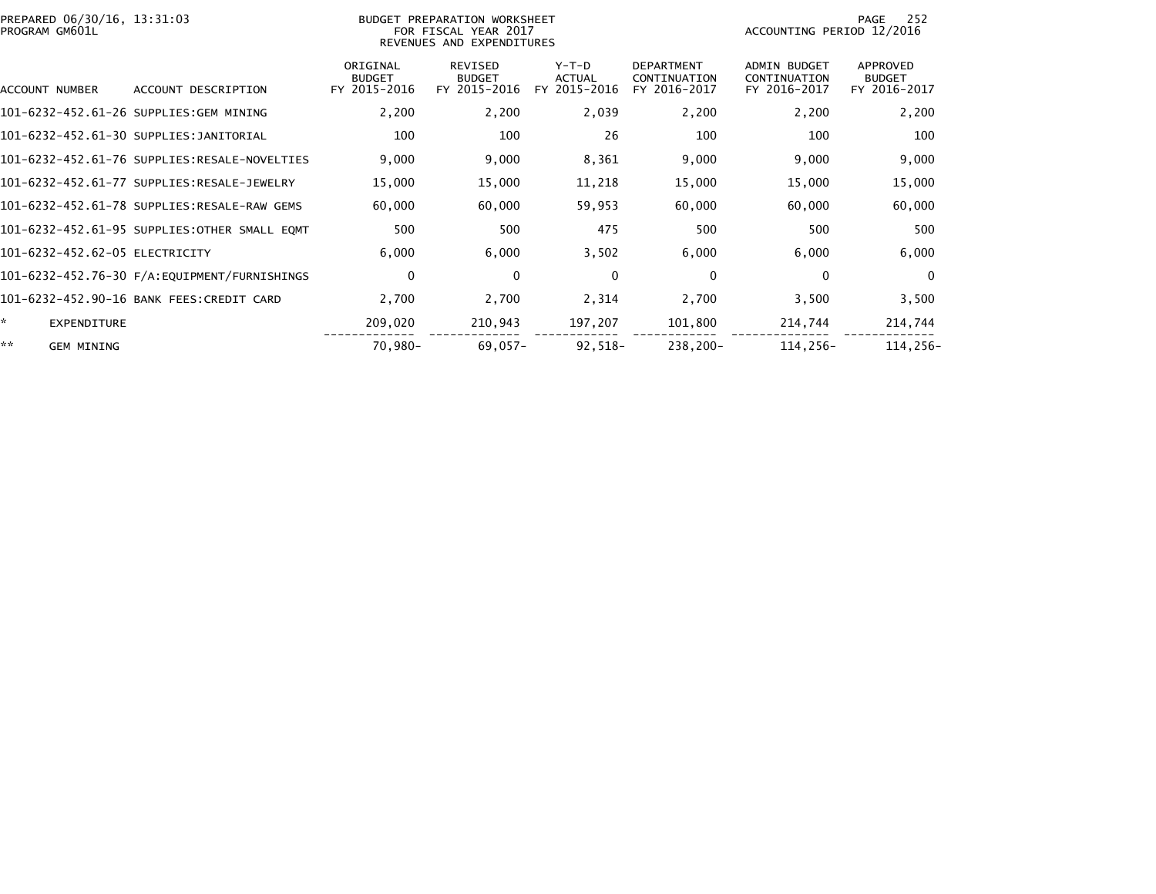| PREPARED 06/30/16, 13:31:03<br>PROGRAM GM601L |                                              | BUDGET PREPARATION WORKSHEET<br>FOR FISCAL YEAR 2017<br>REVENUES AND EXPENDITURES |                                                 |                                          |                                                   | 252<br>PAGE<br>ACCOUNTING PERIOD 12/2016            |                                           |  |
|-----------------------------------------------|----------------------------------------------|-----------------------------------------------------------------------------------|-------------------------------------------------|------------------------------------------|---------------------------------------------------|-----------------------------------------------------|-------------------------------------------|--|
| ACCOUNT NUMBER                                | ACCOUNT DESCRIPTION                          | ORIGINAL<br><b>BUDGET</b><br>FY 2015-2016                                         | <b>REVISED</b><br><b>BUDGET</b><br>FY 2015-2016 | $Y-T-D$<br><b>ACTUAL</b><br>FY 2015-2016 | <b>DEPARTMENT</b><br>CONTINUATION<br>FY 2016-2017 | <b>ADMIN BUDGET</b><br>CONTINUATION<br>FY 2016-2017 | APPROVED<br><b>BUDGET</b><br>FY 2016-2017 |  |
|                                               | 101-6232-452.61-26 SUPPLIES:GEM MINING       | 2,200                                                                             | 2,200                                           | 2,039                                    | 2,200                                             | 2,200                                               | 2,200                                     |  |
|                                               | 101-6232-452.61-30 SUPPLIES:JANITORIAL       | 100                                                                               | 100                                             | 26                                       | 100                                               | 100                                                 | 100                                       |  |
|                                               | 101-6232-452.61-76 SUPPLIES:RESALE-NOVELTIES | 9,000                                                                             | 9,000                                           | 8,361                                    | 9,000                                             | 9,000                                               | 9,000                                     |  |
|                                               | 101-6232-452.61-77 SUPPLIES:RESALE-JEWELRY   | 15,000                                                                            | 15,000                                          | 11,218                                   | 15,000                                            | 15,000                                              | 15,000                                    |  |
|                                               | 101-6232-452.61-78 SUPPLIES:RESALE-RAW GEMS  | 60,000                                                                            | 60,000                                          | 59,953                                   | 60,000                                            | 60,000                                              | 60,000                                    |  |
|                                               | 101-6232-452.61-95 SUPPLIES:OTHER SMALL EOMT | 500                                                                               | 500                                             | 475                                      | 500                                               | 500                                                 | 500                                       |  |
| 101-6232-452.62-05 ELECTRICITY                |                                              | 6,000                                                                             | 6,000                                           | 3,502                                    | 6,000                                             | 6,000                                               | 6,000                                     |  |
|                                               | 101-6232-452.76-30 F/A:EQUIPMENT/FURNISHINGS | $\mathbf 0$                                                                       | $\mathbf{0}$                                    | $\mathbf 0$                              | $\mathbf 0$                                       | 0                                                   | $\mathbf{0}$                              |  |
|                                               | 101-6232-452.90-16 BANK FEES:CREDIT CARD     | 2,700                                                                             | 2,700                                           | 2,314                                    | 2,700                                             | 3,500                                               | 3,500                                     |  |
| <b>EXPENDITURE</b>                            |                                              | 209,020                                                                           | 210,943                                         | 197,207                                  | 101,800                                           | 214,744                                             | 214,744                                   |  |
| **<br><b>GEM MINING</b>                       |                                              | 70,980-                                                                           | $69,057-$                                       | $92,518-$                                | 238,200-                                          | 114,256-                                            | 114,256-                                  |  |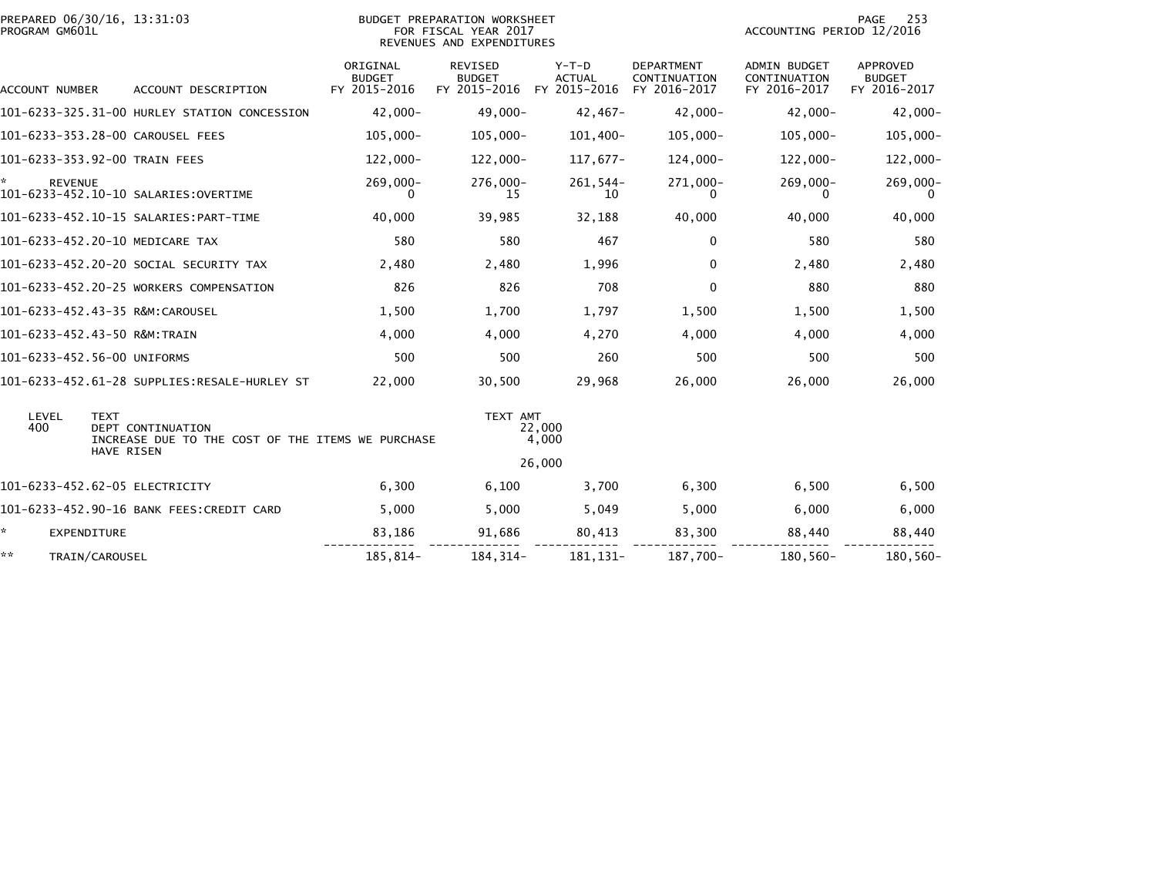| PREPARED 06/30/16, 13:31:03<br>PROGRAM GM601L |                                                                                             | BUDGET PREPARATION WORKSHEET<br>FOR FISCAL YEAR 2017<br>REVENUES AND EXPENDITURES |                                          |                                          |                                            |                                              | 253<br>PAGE<br>ACCOUNTING PERIOD 12/2016  |  |
|-----------------------------------------------|---------------------------------------------------------------------------------------------|-----------------------------------------------------------------------------------|------------------------------------------|------------------------------------------|--------------------------------------------|----------------------------------------------|-------------------------------------------|--|
| ACCOUNT NUMBER                                | ACCOUNT DESCRIPTION                                                                         | ORIGINAL<br><b>BUDGET</b><br>FY 2015-2016                                         | REVISED<br><b>BUDGET</b><br>FY 2015-2016 | $Y-T-D$<br><b>ACTUAL</b><br>FY 2015-2016 | DEPARTMENT<br>CONTINUATION<br>FY 2016-2017 | ADMIN BUDGET<br>CONTINUATION<br>FY 2016-2017 | APPROVED<br><b>BUDGET</b><br>FY 2016-2017 |  |
|                                               | 101-6233-325.31-00 HURLEY STATION CONCESSION                                                | $42.000 -$                                                                        | $49,000 -$                               | $42,467-$                                | 42,000-                                    | $42,000 -$                                   | $42,000 -$                                |  |
| 101-6233-353.28-00 CAROUSEL FEES              |                                                                                             | $105,000 -$                                                                       | $105,000 -$                              | 101,400-                                 | $105,000 -$                                | $105,000 -$                                  | $105,000 -$                               |  |
| 101-6233-353.92-00 TRAIN FEES                 |                                                                                             | 122,000-                                                                          | 122,000-                                 | 117,677-                                 | 124,000-                                   | $122,000 -$                                  | 122,000-                                  |  |
| <b>REVENUE</b>                                |                                                                                             | $269,000 -$                                                                       | 276,000-<br>15                           | $261,544-$<br>10                         | 271,000-<br>0                              | $269,000 -$                                  | 269,000-<br>0                             |  |
|                                               |                                                                                             | 40,000                                                                            | 39,985                                   | 32,188                                   | 40,000                                     | 40,000                                       | 40,000                                    |  |
| 101-6233-452.20-10 MEDICARE TAX               |                                                                                             | 580                                                                               | 580                                      | 467                                      | 0                                          | 580                                          | 580                                       |  |
|                                               | 101-6233-452.20-20 SOCIAL SECURITY TAX                                                      | 2,480                                                                             | 2,480                                    | 1,996                                    | $\mathbf{0}$                               | 2,480                                        | 2,480                                     |  |
|                                               | 101-6233-452.20-25 WORKERS COMPENSATION                                                     | 826                                                                               | 826                                      | 708                                      | $\mathbf 0$                                | 880                                          | 880                                       |  |
| 101-6233-452.43-35 R&M:CAROUSEL               |                                                                                             | 1,500                                                                             | 1,700                                    | 1,797                                    | 1,500                                      | 1,500                                        | 1,500                                     |  |
| 101-6233-452.43-50 R&M:TRAIN                  |                                                                                             | 4,000                                                                             | 4,000                                    | 4,270                                    | 4,000                                      | 4,000                                        | 4,000                                     |  |
| 101-6233-452.56-00 UNIFORMS                   |                                                                                             | 500                                                                               | 500                                      | 260                                      | 500                                        | 500                                          | 500                                       |  |
|                                               | 101-6233-452.61-28 SUPPLIES:RESALE-HURLEY ST                                                | 22,000                                                                            | 30,500                                   | 29,968                                   | 26,000                                     | 26,000                                       | 26,000                                    |  |
| LEVEL<br><b>TEXT</b><br>400                   | <b>DEPT CONTINUATION</b><br>INCREASE DUE TO THE COST OF THE ITEMS WE PURCHASE<br>HAVE RISEN |                                                                                   | TEXT AMT                                 | 22,000<br>4,000<br>26,000                |                                            |                                              |                                           |  |
| 101-6233-452.62-05 ELECTRICITY                |                                                                                             | 6,300                                                                             | 6,100                                    | 3.700                                    | 6,300                                      | 6,500                                        | 6,500                                     |  |
|                                               | 101-6233-452.90-16 BANK FEES: CREDIT CARD                                                   | 5,000                                                                             | 5,000                                    | 5,049                                    | 5,000                                      | 6,000                                        | 6,000                                     |  |
| ÷.<br><b>EXPENDITURE</b>                      |                                                                                             | 83,186                                                                            | 91,686                                   | 80,413                                   | 83,300                                     | 88,440                                       | 88,440                                    |  |
| **<br>TRAIN/CAROUSEL                          |                                                                                             | 185,814-                                                                          | 184, 314-                                | 181,131-                                 | 187,700-                                   | 180,560-                                     | 180,560-                                  |  |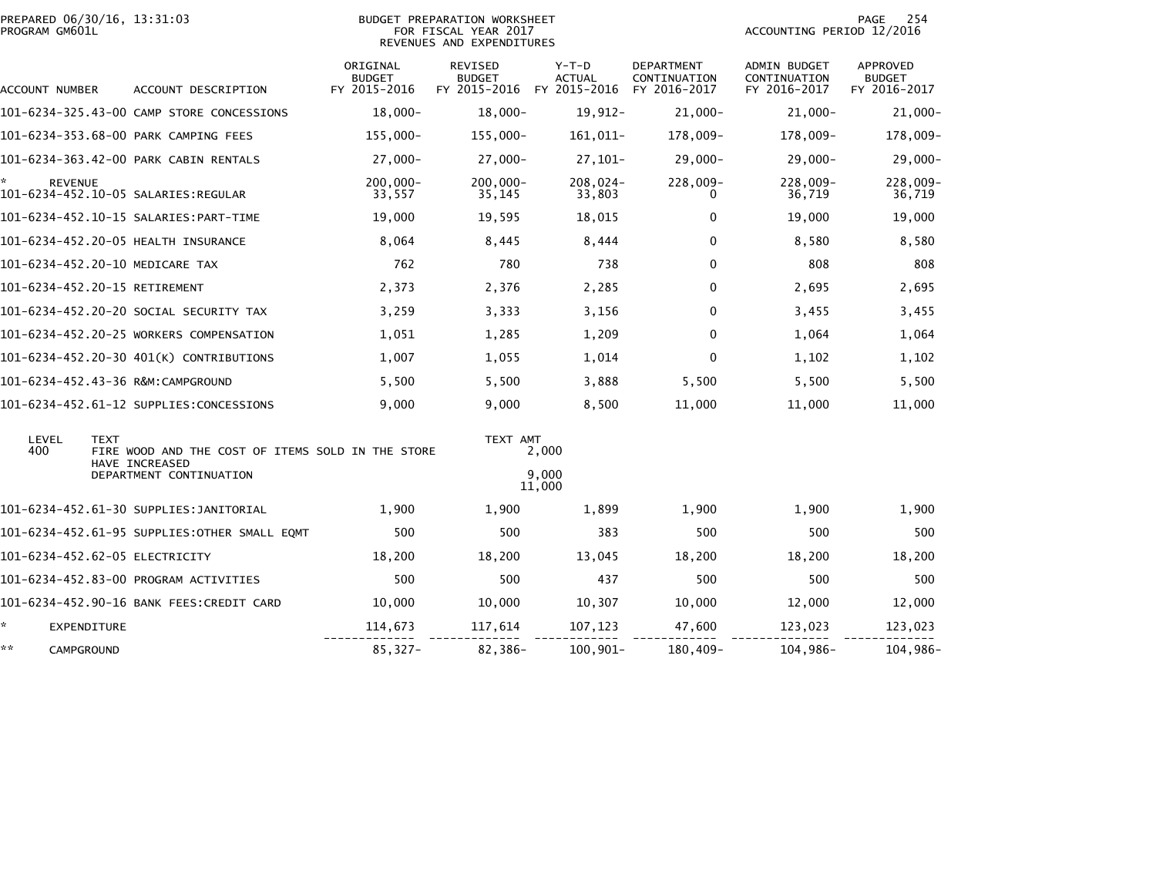| PREPARED 06/30/16, 13:31:03<br>PROGRAM GM601L |                                                                                    |                                           | <b>BUDGET PREPARATION WORKSHEET</b><br>FOR FISCAL YEAR 2017<br>REVENUES AND EXPENDITURES |                          | 254<br>PAGE<br>ACCOUNTING PERIOD 12/2016          |                                                     |                                                  |
|-----------------------------------------------|------------------------------------------------------------------------------------|-------------------------------------------|------------------------------------------------------------------------------------------|--------------------------|---------------------------------------------------|-----------------------------------------------------|--------------------------------------------------|
| ACCOUNT NUMBER                                | ACCOUNT DESCRIPTION                                                                | ORIGINAL<br><b>BUDGET</b><br>FY 2015-2016 | REVISED<br><b>BUDGET</b><br>FY 2015-2016 FY 2015-2016                                    | $Y-T-D$<br><b>ACTUAL</b> | <b>DEPARTMENT</b><br>CONTINUATION<br>FY 2016-2017 | <b>ADMIN BUDGET</b><br>CONTINUATION<br>FY 2016-2017 | <b>APPROVED</b><br><b>BUDGET</b><br>FY 2016-2017 |
|                                               | 101-6234-325.43-00 CAMP STORE CONCESSIONS                                          | $18,000 -$                                | $18,000 -$                                                                               | 19,912-                  | $21,000 -$                                        | $21,000 -$                                          | $21,000 -$                                       |
|                                               | 101-6234-353.68-00 PARK CAMPING FEES                                               | $155,000-$                                | $155,000 -$                                                                              | 161,011-                 | 178,009-                                          | 178,009-                                            | 178,009-                                         |
|                                               | 101-6234-363.42-00 PARK CABIN RENTALS                                              | $27,000 -$                                | $27,000 -$                                                                               | $27,101-$                | $29,000 -$                                        | $29,000 -$                                          | $29,000-$                                        |
| ÷,<br><b>REVENUE</b>                          |                                                                                    | $200,000 -$<br>33,557                     | $200,000 -$<br>35,145                                                                    | 208,024-<br>33,803       | 228,009-<br>0                                     | 228,009-<br>36,719                                  | 228,009-<br>36,719                               |
|                                               |                                                                                    | 19,000                                    | 19,595                                                                                   | 18,015                   | 0                                                 | 19,000                                              | 19,000                                           |
|                                               | 101-6234-452.20-05 HEALTH INSURANCE                                                | 8,064                                     | 8,445                                                                                    | 8,444                    | $\Omega$                                          | 8,580                                               | 8,580                                            |
|                                               | 101-6234-452.20-10 MEDICARE TAX                                                    | 762                                       | 780                                                                                      | 738                      | $\Omega$                                          | 808                                                 | 808                                              |
|                                               | 101-6234-452.20-15 RETIREMENT                                                      | 2,373                                     | 2,376                                                                                    | 2,285                    | $\mathbf{0}$                                      | 2,695                                               | 2,695                                            |
|                                               | 101-6234-452.20-20 SOCIAL SECURITY TAX                                             | 3,259                                     | 3,333                                                                                    | 3,156                    | $\Omega$                                          | 3,455                                               | 3,455                                            |
|                                               | 101-6234-452.20-25 WORKERS COMPENSATION                                            | 1,051                                     | 1,285                                                                                    | 1,209                    | $\Omega$                                          | 1,064                                               | 1,064                                            |
|                                               | 101-6234-452.20-30 401(K) CONTRIBUTIONS                                            | 1,007                                     | 1,055                                                                                    | 1,014                    | $\Omega$                                          | 1,102                                               | 1,102                                            |
|                                               |                                                                                    | 5,500                                     | 5,500                                                                                    | 3,888                    | 5,500                                             | 5,500                                               | 5,500                                            |
|                                               | 101-6234-452.61-12 SUPPLIES:CONCESSIONS                                            | 9,000                                     | 9,000                                                                                    | 8,500                    | 11,000                                            | 11,000                                              | 11,000                                           |
| LEVEL<br>400                                  | <b>TEXT</b><br>FIRE WOOD AND THE COST OF ITEMS SOLD IN THE STORE<br>HAVE INCREASED |                                           | TEXT AMT                                                                                 | 2,000                    |                                                   |                                                     |                                                  |
|                                               | DEPARTMENT CONTINUATION                                                            |                                           |                                                                                          | 9.000<br>11,000          |                                                   |                                                     |                                                  |
|                                               | 101-6234-452.61-30 SUPPLIES:JANITORIAL                                             | 1,900                                     | 1,900                                                                                    | 1,899                    | 1,900                                             | 1,900                                               | 1,900                                            |
|                                               | 101-6234-452.61-95 SUPPLIES:OTHER SMALL EQMT                                       | 500                                       | 500                                                                                      | 383                      | 500                                               | 500                                                 | 500                                              |
|                                               | 101-6234-452.62-05 ELECTRICITY                                                     | 18,200                                    | 18,200                                                                                   | 13,045                   | 18,200                                            | 18,200                                              | 18,200                                           |
|                                               | 101-6234-452.83-00 PROGRAM ACTIVITIES                                              | 500                                       | 500                                                                                      | 437                      | 500                                               | 500                                                 | 500                                              |
|                                               | 101-6234-452.90-16 BANK FEES:CREDIT CARD                                           | 10,000                                    | 10,000                                                                                   | 10,307                   | 10,000                                            | 12,000                                              | 12,000                                           |
| *<br>EXPENDITURE                              |                                                                                    | 114,673                                   | 117,614                                                                                  | 107,123                  | 47,600                                            | 123,023                                             | 123,023                                          |
| **<br>CAMPGROUND                              |                                                                                    | 85,327-                                   | 82,386-                                                                                  | 100,901-                 | 180,409-                                          | 104,986-                                            | 104,986-                                         |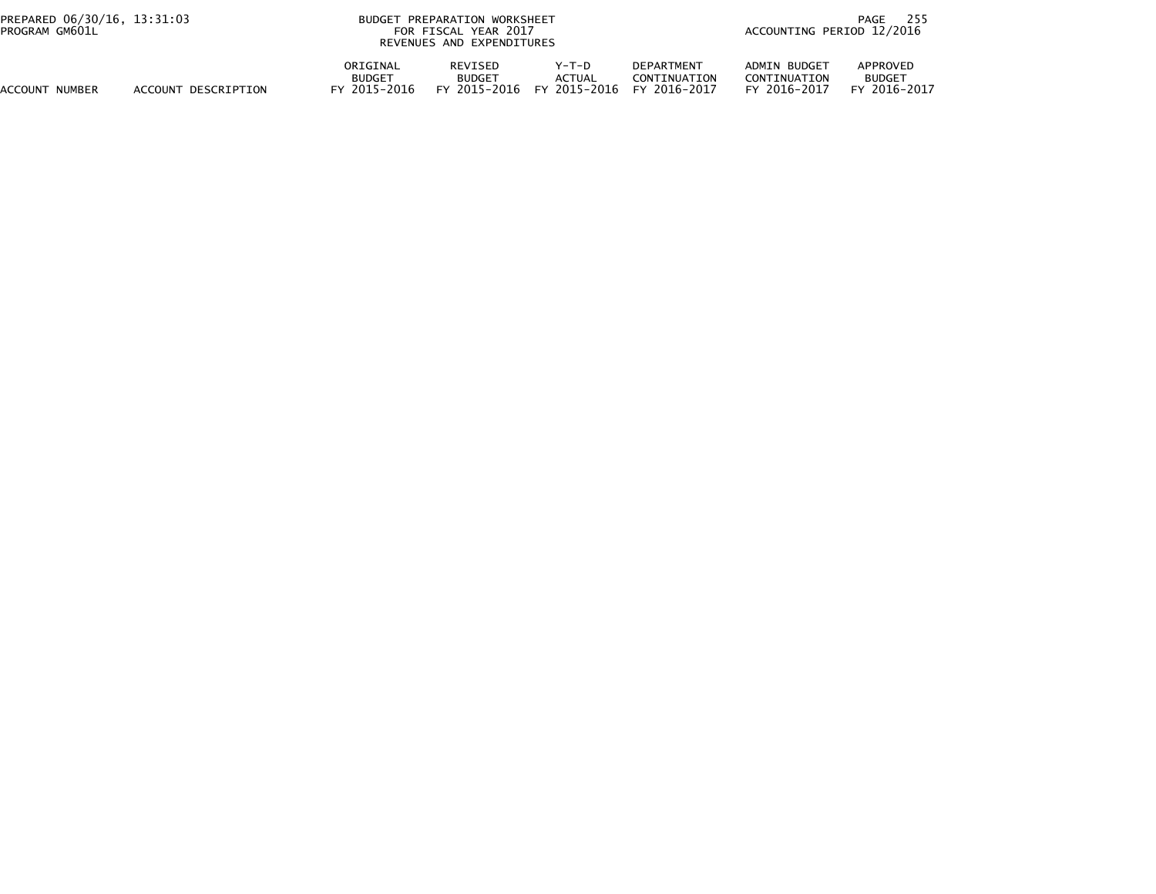| PREPARED 06/30/16, 13:31:03<br>PROGRAM GM601L |                     | BUDGET PREPARATION WORKSHEET<br>FOR FISCAL YEAR 2017<br>REVENUES AND EXPENDITURES |                                                 |                                        |                                                   | 255<br>PAGE<br>ACCOUNTING PERIOD 12/2016     |                                           |  |
|-----------------------------------------------|---------------------|-----------------------------------------------------------------------------------|-------------------------------------------------|----------------------------------------|---------------------------------------------------|----------------------------------------------|-------------------------------------------|--|
| ACCOUNT NUMBER                                | ACCOUNT DESCRIPTION | ORIGINAL<br><b>BUDGET</b><br>2015–2016<br>FΥ                                      | <b>REVISED</b><br><b>BUDGET</b><br>FY 2015-2016 | Y-T-D<br><b>ACTUAL</b><br>FY 2015-2016 | <b>DEPARTMENT</b><br>CONTINUATION<br>FY 2016-2017 | ADMIN BUDGET<br>CONTINUATION<br>FY 2016-2017 | APPROVED<br><b>BUDGET</b><br>FY 2016-2017 |  |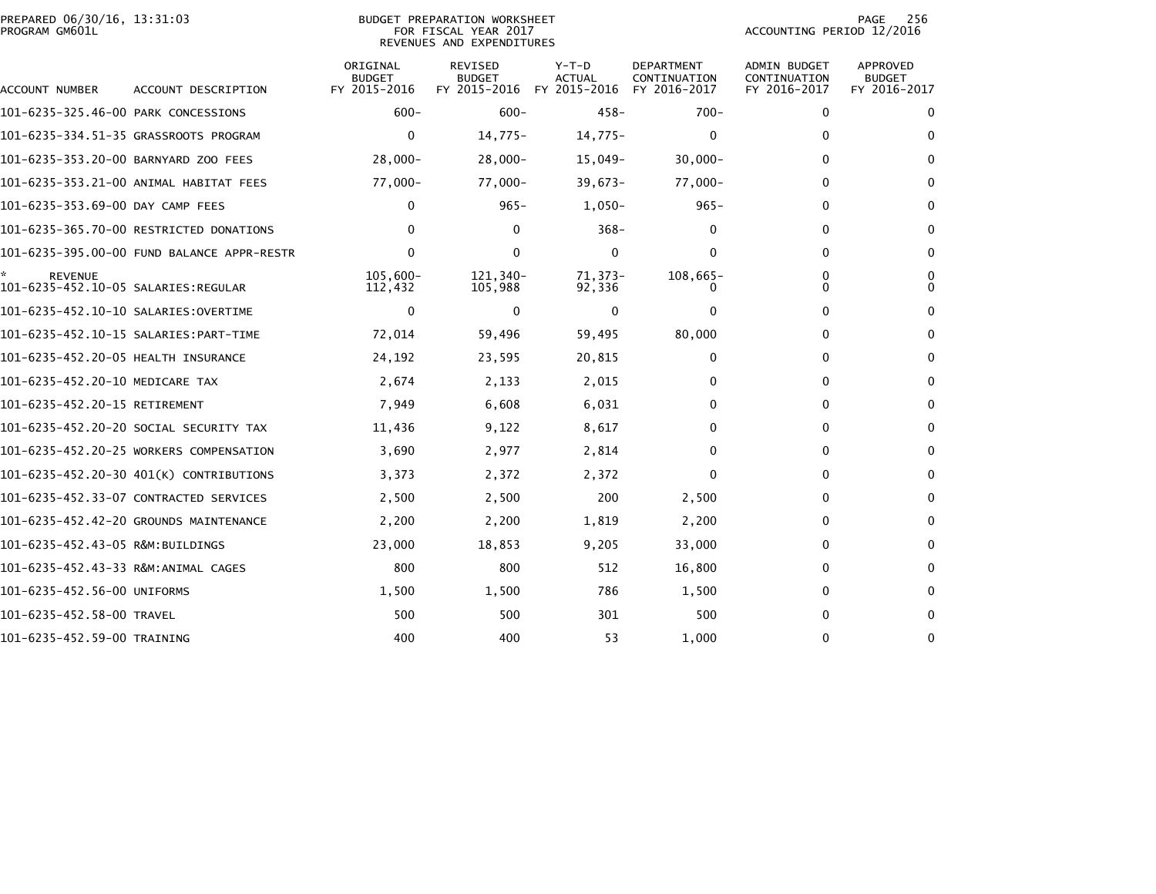| PREPARED 06/30/16, 13:31:03<br>PROGRAM GM601L |                                            |                                           | BUDGET PREPARATION WORKSHEET<br>FOR FISCAL YEAR 2017<br>REVENUES AND EXPENDITURES |                                          | PAGE<br>256<br>ACCOUNTING PERIOD 12/2016          |                                              |                                           |
|-----------------------------------------------|--------------------------------------------|-------------------------------------------|-----------------------------------------------------------------------------------|------------------------------------------|---------------------------------------------------|----------------------------------------------|-------------------------------------------|
| ACCOUNT NUMBER                                | ACCOUNT DESCRIPTION                        | ORIGINAL<br><b>BUDGET</b><br>FY 2015-2016 | REVISED<br><b>BUDGET</b><br>FY 2015-2016                                          | $Y-T-D$<br><b>ACTUAL</b><br>FY 2015-2016 | <b>DEPARTMENT</b><br>CONTINUATION<br>FY 2016-2017 | ADMIN BUDGET<br>CONTINUATION<br>FY 2016-2017 | APPROVED<br><b>BUDGET</b><br>FY 2016-2017 |
| 101-6235-325.46-00 PARK CONCESSIONS           |                                            | $600 -$                                   | $600 -$                                                                           | $458 -$                                  | $700 -$                                           | $\Omega$                                     | 0                                         |
|                                               | 101-6235-334.51-35 GRASSROOTS PROGRAM      | $\mathbf{0}$                              | $14,775-$                                                                         | $14,775-$                                | $\bf{0}$                                          | 0                                            | 0                                         |
| 101-6235-353.20-00 BARNYARD ZOO FEES          |                                            | $28,000 -$                                | $28,000-$                                                                         | $15,049-$                                | $30,000 -$                                        | 0                                            | $\mathbf{0}$                              |
|                                               | 101-6235-353.21-00 ANIMAL HABITAT FEES     | 77,000-                                   | $77,000-$                                                                         | $39,673-$                                | $77,000-$                                         | 0                                            | $\mathbf{0}$                              |
| 101-6235-353.69-00 DAY CAMP FEES              |                                            | $\Omega$                                  | $965 -$                                                                           | $1,050-$                                 | $965 -$                                           | 0                                            | 0                                         |
|                                               | 101-6235-365.70-00 RESTRICTED DONATIONS    | 0                                         | $\mathbf{0}$                                                                      | $368 -$                                  | 0                                                 | 0                                            | $\mathbf{0}$                              |
|                                               | 101-6235-395.00-00 FUND BALANCE APPR-RESTR | $\Omega$                                  | $\Omega$                                                                          | $\mathbf{0}$                             | $\mathbf{0}$                                      | $\mathbf{0}$                                 | $\mathbf{0}$                              |
| <b>REVENUE</b>                                |                                            | $105,600 -$<br>112,432                    | 121,340-<br>105,988                                                               | $71.373-$<br>92,336                      | 108,665-                                          | $\mathbf{0}$<br>0                            | 0<br>$\Omega$                             |
|                                               |                                            | 0                                         | $\Omega$                                                                          | 0                                        | $\mathbf{0}$                                      | 0                                            | 0                                         |
|                                               |                                            | 72,014                                    | 59,496                                                                            | 59,495                                   | 80,000                                            | 0                                            | 0                                         |
| 101-6235-452.20-05 HEALTH INSURANCE           |                                            | 24,192                                    | 23,595                                                                            | 20,815                                   | 0                                                 | $\Omega$                                     | 0                                         |
| 101-6235-452.20-10 MEDICARE TAX               |                                            | 2,674                                     | 2,133                                                                             | 2,015                                    | 0                                                 | $\Omega$                                     | 0                                         |
| 101-6235-452.20-15 RETIREMENT                 |                                            | 7,949                                     | 6,608                                                                             | 6,031                                    | 0                                                 | $\Omega$                                     | $\mathbf{0}$                              |
|                                               | 101-6235-452.20-20 SOCIAL SECURITY TAX     | 11,436                                    | 9,122                                                                             | 8,617                                    | 0                                                 | $\Omega$                                     | 0                                         |
|                                               | 101-6235-452.20-25 WORKERS COMPENSATION    | 3,690                                     | 2,977                                                                             | 2,814                                    | 0                                                 | $\Omega$                                     | 0                                         |
|                                               | 101-6235-452.20-30 401(K) CONTRIBUTIONS    | 3,373                                     | 2,372                                                                             | 2,372                                    | $\mathbf{0}$                                      | $\Omega$                                     | 0                                         |
|                                               | 101-6235-452.33-07 CONTRACTED SERVICES     | 2,500                                     | 2,500                                                                             | 200                                      | 2,500                                             | $\Omega$                                     | $\mathbf{0}$                              |
|                                               | 101-6235-452.42-20 GROUNDS MAINTENANCE     | 2,200                                     | 2,200                                                                             | 1,819                                    | 2,200                                             | 0                                            | $\mathbf{0}$                              |
| 101-6235-452.43-05 R&M:BUILDINGS              |                                            | 23,000                                    | 18,853                                                                            | 9,205                                    | 33,000                                            | 0                                            | 0                                         |
|                                               |                                            | 800                                       | 800                                                                               | 512                                      | 16,800                                            | 0                                            | 0                                         |
| 101-6235-452.56-00 UNIFORMS                   |                                            | 1,500                                     | 1,500                                                                             | 786                                      | 1,500                                             | 0                                            | 0                                         |
| 101-6235-452.58-00 TRAVEL                     |                                            | 500                                       | 500                                                                               | 301                                      | 500                                               | 0                                            | $\mathbf{0}$                              |
| 101-6235-452.59-00 TRAINING                   |                                            | 400                                       | 400                                                                               | 53                                       | 1,000                                             | $\Omega$                                     | $\mathbf{0}$                              |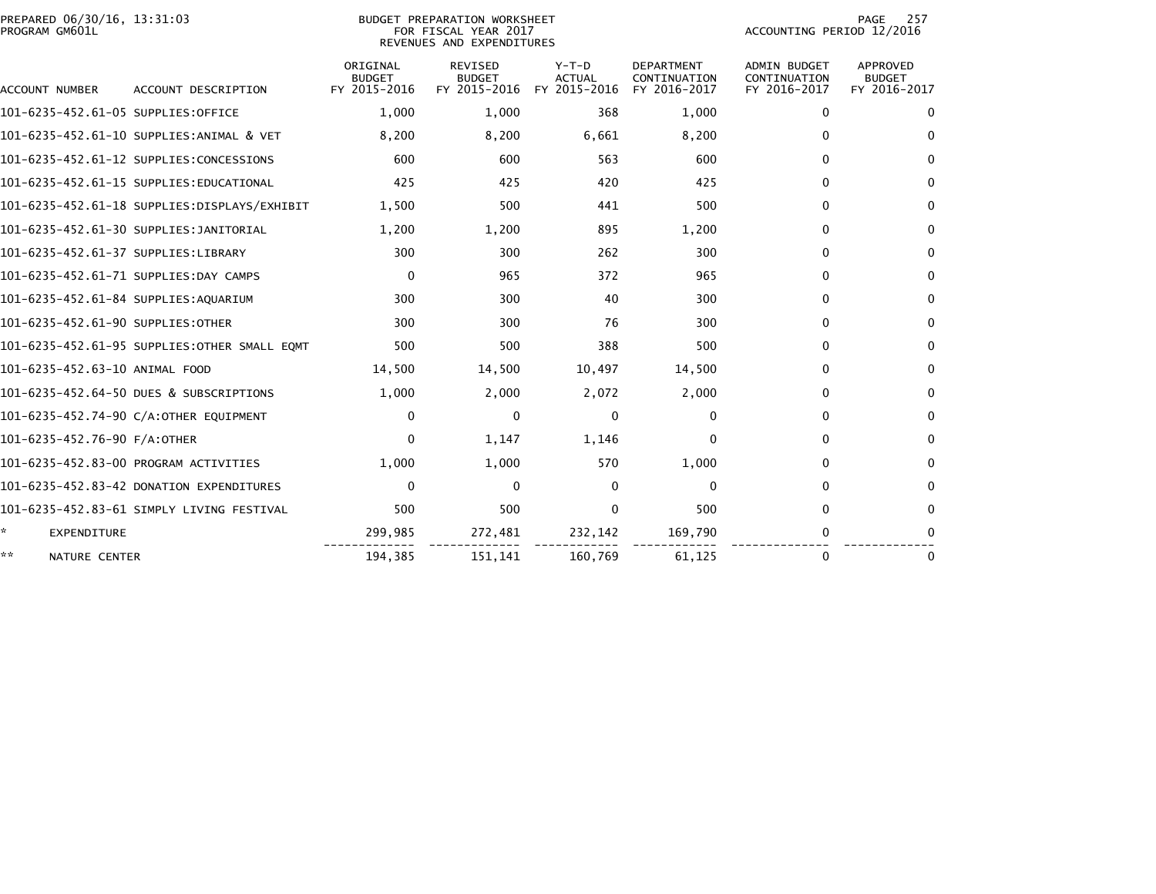|                | PREPARED 06/30/16, 13:31:03 |  |
|----------------|-----------------------------|--|
| PROGRAM GM601L |                             |  |

## PREPARED 06/30/16, 13:31:03 PREPARATION WORKSHEET PREPARATION WORKSHEET PREPARATION WORKSHEET<br>FOR FISCAL YEAR 2017 ACCOUNTING PERIOD 12/2016<br>REVENUES AND EXPENDITURES

PAGE 257<br>ACCOUNTING PERIOD 12/2016

| ACCOUNT NUMBER                       | ACCOUNT DESCRIPTION                          | ORIGINAL<br><b>BUDGET</b><br>FY 2015-2016 | <b>REVISED</b><br><b>BUDGET</b><br>FY 2015-2016 | $Y-T-D$<br><b>ACTUAL</b><br>FY 2015-2016 | <b>DEPARTMENT</b><br>CONTINUATION<br>FY 2016-2017 | <b>ADMIN BUDGET</b><br>CONTINUATION<br>FY 2016-2017 | <b>APPROVED</b><br><b>BUDGET</b><br>FY 2016-2017 |
|--------------------------------------|----------------------------------------------|-------------------------------------------|-------------------------------------------------|------------------------------------------|---------------------------------------------------|-----------------------------------------------------|--------------------------------------------------|
| 101-6235-452.61-05 SUPPLIES:OFFICE   |                                              | 1,000                                     | 1,000                                           | 368                                      | 1,000                                             | 0                                                   | 0                                                |
|                                      | 101-6235-452.61-10 SUPPLIES:ANIMAL & VET     | 8,200                                     | 8,200                                           | 6,661                                    | 8,200                                             | 0                                                   | $\Omega$                                         |
|                                      | 101-6235-452.61-12 SUPPLIES:CONCESSIONS      | 600                                       | 600                                             | 563                                      | 600                                               | $\Omega$                                            | $\Omega$                                         |
|                                      | 101-6235-452.61-15 SUPPLIES:EDUCATIONAL      | 425                                       | 425                                             | 420                                      | 425                                               | $\mathbf{0}$                                        | $\Omega$                                         |
|                                      | 101-6235-452.61-18 SUPPLIES:DISPLAYS/EXHIBIT | 1,500                                     | 500                                             | 441                                      | 500                                               | $\mathbf{0}$                                        | $\Omega$                                         |
|                                      | 101-6235-452.61-30 SUPPLIES:JANITORIAL       | 1,200                                     | 1,200                                           | 895                                      | 1,200                                             | $\Omega$                                            | $\Omega$                                         |
| 101-6235-452.61-37 SUPPLIES:LIBRARY  |                                              | 300                                       | 300                                             | 262                                      | 300                                               | $\mathbf{0}$                                        | $\Omega$                                         |
|                                      | 101-6235-452.61-71 SUPPLIES:DAY CAMPS        | 0                                         | 965                                             | 372                                      | 965                                               | 0                                                   | 0                                                |
| 101-6235-452.61-84 SUPPLIES:AQUARIUM |                                              | 300                                       | 300                                             | 40                                       | 300                                               | $\Omega$                                            | $\Omega$                                         |
| 101-6235-452.61-90 SUPPLIES:OTHER    |                                              | 300                                       | 300                                             | 76                                       | 300                                               | 0                                                   | $\Omega$                                         |
|                                      | 101-6235-452.61-95 SUPPLIES:OTHER SMALL EQMT | 500                                       | 500                                             | 388                                      | 500                                               | $\mathbf{0}$                                        | $\Omega$                                         |
| 101-6235-452.63-10 ANIMAL FOOD       |                                              | 14,500                                    | 14,500                                          | 10,497                                   | 14,500                                            | 0                                                   | 0                                                |
|                                      | 101-6235-452.64-50 DUES & SUBSCRIPTIONS      | 1,000                                     | 2,000                                           | 2,072                                    | 2,000                                             | $\mathbf{0}$                                        | $\Omega$                                         |
|                                      | 101-6235-452.74-90 C/A:OTHER EQUIPMENT       | $\mathbf{0}$                              | $\Omega$                                        | $\mathbf{0}$                             | $\mathbf{0}$                                      | $\Omega$                                            | $\Omega$                                         |
| 101-6235-452.76-90 F/A:OTHER         |                                              | $\mathbf{0}$                              | 1,147                                           | 1,146                                    | $\Omega$                                          | $\mathbf{0}$                                        | $\Omega$                                         |
|                                      | 101-6235-452.83-00 PROGRAM ACTIVITIES        | 1,000                                     | 1,000                                           | 570                                      | 1,000                                             | 0                                                   | $\Omega$                                         |
|                                      | 101-6235-452.83-42 DONATION EXPENDITURES     | $\mathbf{0}$                              | $\Omega$                                        | $\Omega$                                 | $\Omega$                                          | $\Omega$                                            | $\Omega$                                         |
|                                      | 101-6235-452.83-61 SIMPLY LIVING FESTIVAL    | 500                                       | 500                                             | $\Omega$                                 | 500                                               | 0                                                   | $\Omega$                                         |
| *<br><b>EXPENDITURE</b>              |                                              | 299,985                                   | 272,481                                         | 232,142                                  | 169,790                                           | 0                                                   | $\Omega$                                         |
| **<br>NATURE CENTER                  |                                              | 194,385                                   | 151.141                                         | 160,769                                  | 61.125                                            | 0                                                   | 0                                                |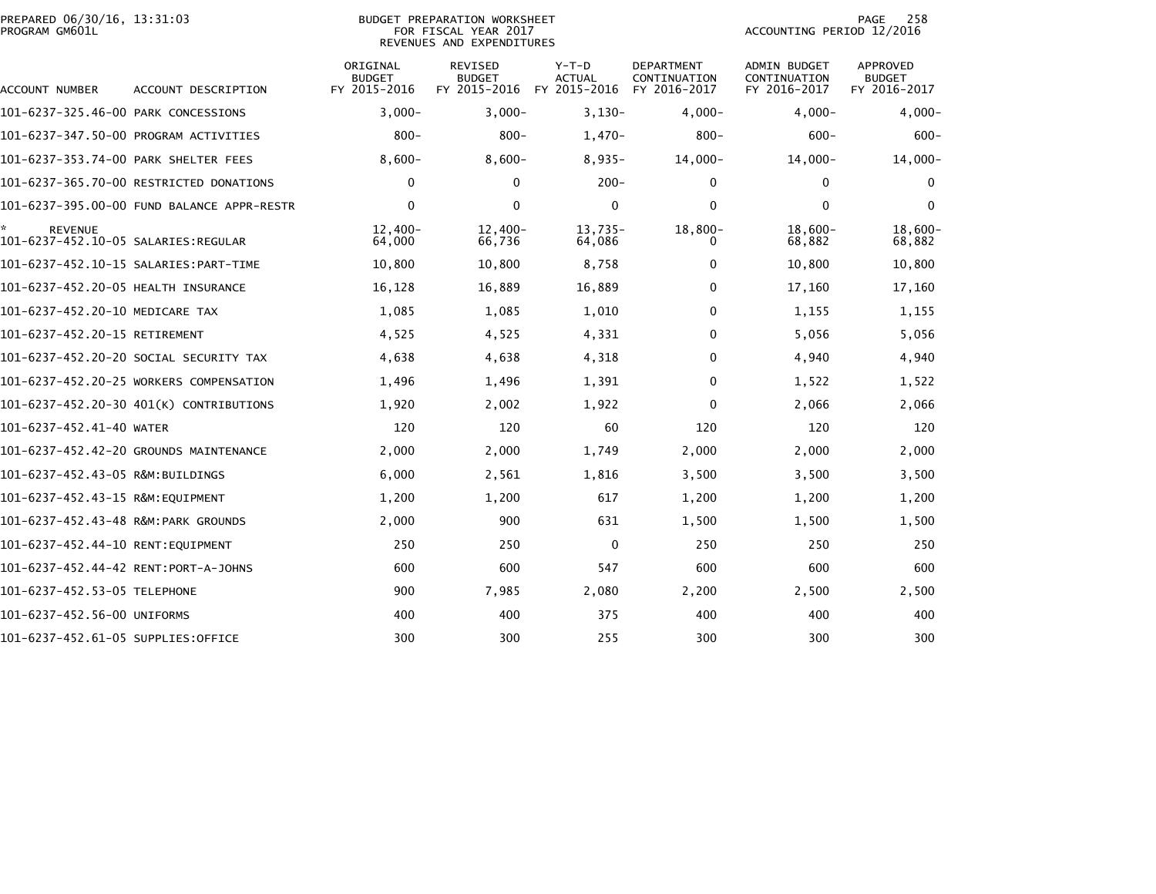| PREPARED 06/30/16, 13:31:03<br>PROGRAM GM601L |                                            |                                           | BUDGET PREPARATION WORKSHEET<br>FOR FISCAL YEAR 2017<br>REVENUES AND EXPENDITURES | 258<br>PAGE<br>ACCOUNTING PERIOD 12/2016 |                                                   |                                              |                                           |
|-----------------------------------------------|--------------------------------------------|-------------------------------------------|-----------------------------------------------------------------------------------|------------------------------------------|---------------------------------------------------|----------------------------------------------|-------------------------------------------|
| <b>ACCOUNT NUMBER</b>                         | ACCOUNT DESCRIPTION                        | ORIGINAL<br><b>BUDGET</b><br>FY 2015-2016 | <b>REVISED</b><br><b>BUDGET</b><br>FY 2015-2016                                   | $Y-T-D$<br>ACTUAL<br>FY 2015-2016        | <b>DEPARTMENT</b><br>CONTINUATION<br>FY 2016-2017 | ADMIN BUDGET<br>CONTINUATION<br>FY 2016-2017 | APPROVED<br><b>BUDGET</b><br>FY 2016-2017 |
| 101-6237-325.46-00 PARK CONCESSIONS           |                                            | $3,000-$                                  | $3,000-$                                                                          | $3,130-$                                 | $4,000-$                                          | $4,000 -$                                    | $4,000-$                                  |
|                                               | 101-6237-347.50-00 PROGRAM ACTIVITIES      | $800 -$                                   | $800 -$                                                                           | $1,470-$                                 | $800 -$                                           | $600 -$                                      | $600 -$                                   |
| 101-6237-353.74-00 PARK SHELTER FEES          |                                            | $8,600-$                                  | $8,600-$                                                                          | $8,935-$                                 | $14,000-$                                         | $14,000 -$                                   | $14,000 -$                                |
|                                               | 101-6237-365.70-00 RESTRICTED DONATIONS    | 0                                         | $\mathbf 0$                                                                       | $200 -$                                  | $\mathbf 0$                                       | $\mathbf{0}$                                 | $\mathbf 0$                               |
|                                               | 101-6237-395.00-00 FUND BALANCE APPR-RESTR | 0                                         | $\mathbf 0$                                                                       | $\mathbf 0$                              | 0                                                 | $\mathbf{0}$                                 | 0                                         |
| <b>REVENUE</b>                                |                                            | $12,400-$<br>64,000                       | $12,400-$<br>66,736                                                               | $13,735-$<br>64,086                      | $18,800-$                                         | $18.600 -$<br>68,882                         | 18,600-<br>68,882                         |
|                                               |                                            | 10,800                                    | 10,800                                                                            | 8,758                                    | 0                                                 | 10,800                                       | 10,800                                    |
| 101-6237-452.20-05 HEALTH INSURANCE           |                                            | 16,128                                    | 16,889                                                                            | 16,889                                   | 0                                                 | 17,160                                       | 17,160                                    |
| 101-6237-452.20-10 MEDICARE TAX               |                                            | 1,085                                     | 1,085                                                                             | 1,010                                    | 0                                                 | 1,155                                        | 1,155                                     |
| 101-6237-452.20-15 RETIREMENT                 |                                            | 4,525                                     | 4,525                                                                             | 4,331                                    | 0                                                 | 5,056                                        | 5,056                                     |
|                                               | 101-6237-452.20-20 SOCIAL SECURITY TAX     | 4,638                                     | 4,638                                                                             | 4,318                                    | 0                                                 | 4,940                                        | 4,940                                     |
|                                               | 101-6237-452.20-25 WORKERS COMPENSATION    | 1,496                                     | 1,496                                                                             | 1,391                                    | 0                                                 | 1,522                                        | 1,522                                     |
|                                               | 101-6237-452.20-30 401(K) CONTRIBUTIONS    | 1,920                                     | 2,002                                                                             | 1,922                                    | 0                                                 | 2,066                                        | 2,066                                     |
| 101-6237-452.41-40 WATER                      |                                            | 120                                       | 120                                                                               | 60                                       | 120                                               | 120                                          | 120                                       |
|                                               | 101-6237-452.42-20 GROUNDS MAINTENANCE     | 2,000                                     | 2,000                                                                             | 1,749                                    | 2,000                                             | 2,000                                        | 2,000                                     |
| 101-6237-452.43-05 R&M:BUILDINGS              |                                            | 6,000                                     | 2,561                                                                             | 1,816                                    | 3,500                                             | 3,500                                        | 3,500                                     |
|                                               |                                            | 1,200                                     | 1,200                                                                             | 617                                      | 1,200                                             | 1,200                                        | 1,200                                     |
| 101-6237-452.43-48 R&M:PARK GROUNDS           |                                            | 2,000                                     | 900                                                                               | 631                                      | 1,500                                             | 1,500                                        | 1,500                                     |
| 101-6237-452.44-10 RENT:EQUIPMENT             |                                            | 250                                       | 250                                                                               | $\mathbf 0$                              | 250                                               | 250                                          | 250                                       |
| 101-6237-452.44-42 RENT:PORT-A-JOHNS          |                                            | 600                                       | 600                                                                               | 547                                      | 600                                               | 600                                          | 600                                       |
| 101-6237-452.53-05 TELEPHONE                  |                                            | 900                                       | 7,985                                                                             | 2,080                                    | 2,200                                             | 2,500                                        | 2,500                                     |
| 101-6237-452.56-00 UNIFORMS                   |                                            | 400                                       | 400                                                                               | 375                                      | 400                                               | 400                                          | 400                                       |
| 101-6237-452.61-05 SUPPLIES:OFFICE            |                                            | 300                                       | 300                                                                               | 255                                      | 300                                               | 300                                          | 300                                       |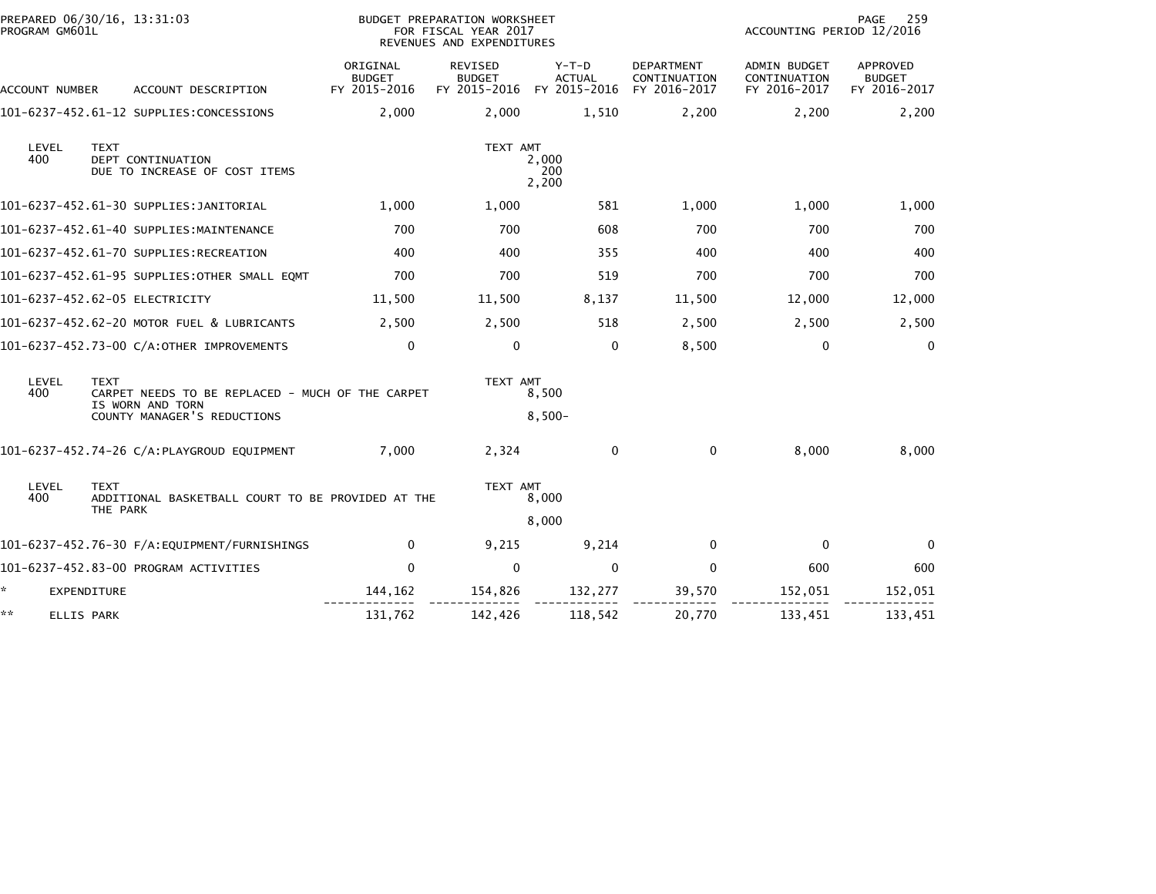| PROGRAM GM601L   | PREPARED 06/30/16, 13:31:03                                                                                        |                                           | BUDGET PREPARATION WORKSHEET<br>FOR FISCAL YEAR 2017<br>REVENUES AND EXPENDITURES |                        |                                            | ACCOUNTING PERIOD 12/2016                           | 259<br>PAGE                               |
|------------------|--------------------------------------------------------------------------------------------------------------------|-------------------------------------------|-----------------------------------------------------------------------------------|------------------------|--------------------------------------------|-----------------------------------------------------|-------------------------------------------|
| ACCOUNT NUMBER   | ACCOUNT DESCRIPTION                                                                                                | ORIGINAL<br><b>BUDGET</b><br>FY 2015-2016 | REVISED<br><b>BUDGET</b><br>FY 2015-2016 FY 2015-2016                             | Y-T-D<br><b>ACTUAL</b> | DEPARTMENT<br>CONTINUATION<br>FY 2016-2017 | <b>ADMIN BUDGET</b><br>CONTINUATION<br>FY 2016-2017 | APPROVED<br><b>BUDGET</b><br>FY 2016-2017 |
|                  | 101-6237-452.61-12 SUPPLIES:CONCESSIONS                                                                            | 2,000                                     | 2,000                                                                             | 1,510                  | 2,200                                      | 2,200                                               | 2,200                                     |
| LEVEL<br>400     | <b>TEXT</b><br>DEPT CONTINUATION<br>DUE TO INCREASE OF COST ITEMS                                                  |                                           | TEXT AMT                                                                          | 2,000<br>200<br>2,200  |                                            |                                                     |                                           |
|                  | 101-6237-452.61-30 SUPPLIES:JANITORIAL                                                                             | 1,000                                     | 1,000                                                                             | 581                    | 1,000                                      | 1,000                                               | 1,000                                     |
|                  | 101-6237-452.61-40 SUPPLIES:MAINTENANCE                                                                            | 700                                       | 700                                                                               | 608                    | 700                                        | 700                                                 | 700                                       |
|                  | 101-6237-452.61-70 SUPPLIES:RECREATION                                                                             | 400                                       | 400                                                                               | 355                    | 400                                        | 400                                                 | 400                                       |
|                  | 101-6237-452.61-95 SUPPLIES:OTHER SMALL EQMT                                                                       | 700                                       | 700                                                                               | 519                    | 700                                        | 700                                                 | 700                                       |
|                  | 101-6237-452.62-05 ELECTRICITY                                                                                     | 11,500                                    | 11,500                                                                            | 8,137                  | 11,500                                     | 12,000                                              | 12,000                                    |
|                  | 101-6237-452.62-20 MOTOR FUEL & LUBRICANTS                                                                         | 2,500                                     | 2,500                                                                             | 518                    | 2,500                                      | 2,500                                               | 2,500                                     |
|                  | 101-6237-452.73-00 C/A:OTHER IMPROVEMENTS                                                                          | $\mathbf 0$                               | $\mathbf{0}$                                                                      | $\Omega$               | 8,500                                      | $\mathbf{0}$                                        | $\mathbf{0}$                              |
| LEVEL<br>400     | <b>TEXT</b><br>CARPET NEEDS TO BE REPLACED - MUCH OF THE CARPET<br>IS WORN AND TORN<br>COUNTY MANAGER'S REDUCTIONS |                                           | TEXT AMT<br>8,500<br>$8,500-$                                                     |                        |                                            |                                                     |                                           |
|                  | 101-6237-452.74-26 C/A:PLAYGROUD EQUIPMENT                                                                         | 7,000                                     | 2,324                                                                             | $\Omega$               | $\mathbf{0}$                               | 8,000                                               | 8,000                                     |
| LEVEL<br>400     | <b>TEXT</b><br>ADDITIONAL BASKETBALL COURT TO BE PROVIDED AT THE<br>THE PARK                                       |                                           | TEXT AMT<br>8,000                                                                 |                        |                                            |                                                     |                                           |
|                  |                                                                                                                    |                                           |                                                                                   | 8,000                  |                                            |                                                     |                                           |
|                  | 101-6237-452.76-30 F/A:EQUIPMENT/FURNISHINGS                                                                       | 0                                         | 9,215                                                                             | 9,214                  | 0                                          | $\Omega$                                            | $\Omega$                                  |
|                  | 101-6237-452.83-00 PROGRAM ACTIVITIES                                                                              | $\Omega$                                  | $\mathbf{0}$                                                                      | $\Omega$               | $\mathbf{0}$                               | 600                                                 | 600                                       |
| *.               | <b>EXPENDITURE</b>                                                                                                 | 144,162                                   | 154,826                                                                           | 132,277                | 39,570                                     | 152,051                                             | 152,051                                   |
| **<br>ELLIS PARK |                                                                                                                    | 131,762                                   | 142,426                                                                           | 118,542                | 20,770                                     | 133,451                                             | 133,451                                   |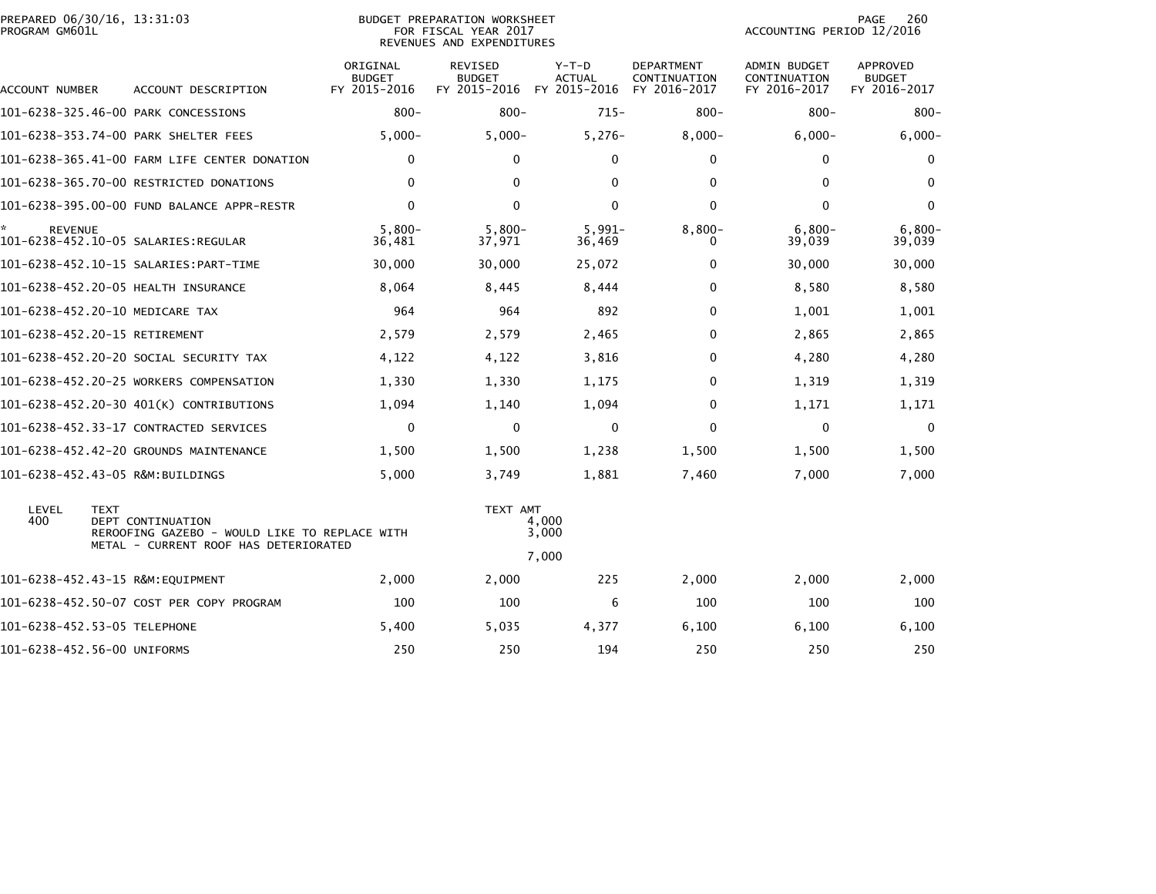|                | PREPARED 06/30/16, 13:31:03 |  |
|----------------|-----------------------------|--|
| PROGRAM GM601L |                             |  |

## BUDGET PREPARATION WORKSHEET PROGRAM GM601L FOR FISCAL YEAR 2017 ACCOUNTING PERIOD 12/2016 REVENUES AND EXPENDITURES

PAGE 260<br>ACCOUNTING PERIOD 12/2016

| ACCOUNT NUMBER      | ACCOUNT DESCRIPTION                                                                                                        | ORIGINAL<br><b>BUDGET</b><br>FY 2015-2016 | <b>REVISED</b><br><b>BUDGET</b><br>FY 2015-2016 | $Y-T-D$<br><b>ACTUAL</b><br>FY 2015-2016 | <b>DEPARTMENT</b><br>CONTINUATION<br>FY 2016-2017 | <b>ADMIN BUDGET</b><br>CONTINUATION<br>FY 2016-2017 | <b>APPROVED</b><br><b>BUDGET</b><br>FY 2016-2017 |
|---------------------|----------------------------------------------------------------------------------------------------------------------------|-------------------------------------------|-------------------------------------------------|------------------------------------------|---------------------------------------------------|-----------------------------------------------------|--------------------------------------------------|
|                     | 101-6238-325.46-00 PARK CONCESSIONS                                                                                        | $800 -$                                   | $800 -$                                         | $715 -$                                  | $800 -$                                           | $800 -$                                             | $800 -$                                          |
|                     | 101-6238-353.74-00 PARK SHELTER FEES                                                                                       | $5,000 -$                                 | $5,000-$                                        | $5,276-$                                 | $8,000 -$                                         | $6,000 -$                                           | $6,000 -$                                        |
|                     | 101-6238-365.41-00 FARM LIFE CENTER DONATION                                                                               | $\mathbf{0}$                              | $\Omega$                                        | $\Omega$                                 | $\mathbf{0}$                                      | 0                                                   | 0                                                |
|                     | 101-6238-365.70-00 RESTRICTED DONATIONS                                                                                    | $\mathbf 0$                               | $\Omega$                                        | $\Omega$                                 | $\mathbf 0$                                       | $\Omega$                                            | $\mathbf{0}$                                     |
|                     | 101-6238-395.00-00 FUND BALANCE APPR-RESTR                                                                                 | $\mathbf 0$                               | $\mathbf{0}$                                    | 0                                        | $\mathbf 0$                                       | 0                                                   | $\mathbf{0}$                                     |
| *<br><b>REVENUE</b> |                                                                                                                            | $5.800 -$<br>36,481                       | $5,800-$<br>37,971                              | $5,991-$<br>36,469                       | $8,800-$<br>0                                     | $6,800-$<br>39,039                                  | $6,800-$<br>39,039                               |
|                     | 101-6238-452.10-15 SALARIES:PART-TIME                                                                                      | 30,000                                    | 30,000                                          | 25,072                                   | 0                                                 | 30,000                                              | 30,000                                           |
|                     | 101-6238-452.20-05 HEALTH INSURANCE                                                                                        | 8,064                                     | 8,445                                           | 8,444                                    | 0                                                 | 8,580                                               | 8,580                                            |
|                     | 101-6238-452.20-10 MEDICARE TAX                                                                                            | 964                                       | 964                                             | 892                                      | 0                                                 | 1,001                                               | 1,001                                            |
|                     | 101-6238-452.20-15 RETIREMENT                                                                                              | 2,579                                     | 2,579                                           | 2,465                                    | $\mathbf{0}$                                      | 2,865                                               | 2,865                                            |
|                     | 101-6238-452.20-20 SOCIAL SECURITY TAX                                                                                     | 4,122                                     | 4,122                                           | 3,816                                    | 0                                                 | 4,280                                               | 4,280                                            |
|                     | 101-6238-452.20-25 WORKERS COMPENSATION                                                                                    | 1,330                                     | 1,330                                           | 1,175                                    | $\mathbf{0}$                                      | 1,319                                               | 1,319                                            |
|                     | 101-6238-452.20-30 401(K) CONTRIBUTIONS                                                                                    | 1,094                                     | 1,140                                           | 1,094                                    | 0                                                 | 1,171                                               | 1,171                                            |
|                     | 101-6238-452.33-17 CONTRACTED SERVICES                                                                                     | $\mathbf 0$                               | $\Omega$                                        | 0                                        | $\mathbf{0}$                                      | 0                                                   | $\mathbf{0}$                                     |
|                     | 101-6238-452.42-20 GROUNDS MAINTENANCE                                                                                     | 1,500                                     | 1,500                                           | 1,238                                    | 1,500                                             | 1,500                                               | 1,500                                            |
|                     | 101-6238-452.43-05 R&M:BUILDINGS                                                                                           | 5,000                                     | 3,749                                           | 1,881                                    | 7,460                                             | 7,000                                               | 7,000                                            |
| LEVEL<br>400        | <b>TEXT</b><br>DEPT CONTINUATION<br>REROOFING GAZEBO - WOULD LIKE TO REPLACE WITH<br>METAL - CURRENT ROOF HAS DETERIORATED |                                           | TEXT AMT                                        | 4,000<br>3,000                           |                                                   |                                                     |                                                  |
|                     |                                                                                                                            |                                           |                                                 | 7.000                                    |                                                   |                                                     |                                                  |
|                     | 101-6238-452.43-15 R&M:EQUIPMENT                                                                                           | 2,000                                     | 2,000                                           | 225                                      | 2,000                                             | 2,000                                               | 2,000                                            |
|                     | 101-6238-452.50-07 COST PER COPY PROGRAM                                                                                   | 100                                       | 100                                             | 6                                        | 100                                               | 100                                                 | 100                                              |
|                     | 101-6238-452.53-05 TELEPHONE                                                                                               | 5,400                                     | 5,035                                           | 4,377                                    | 6,100                                             | 6,100                                               | 6,100                                            |
|                     | 101-6238-452.56-00 UNIFORMS                                                                                                | 250                                       | 250                                             | 194                                      | 250                                               | 250                                                 | 250                                              |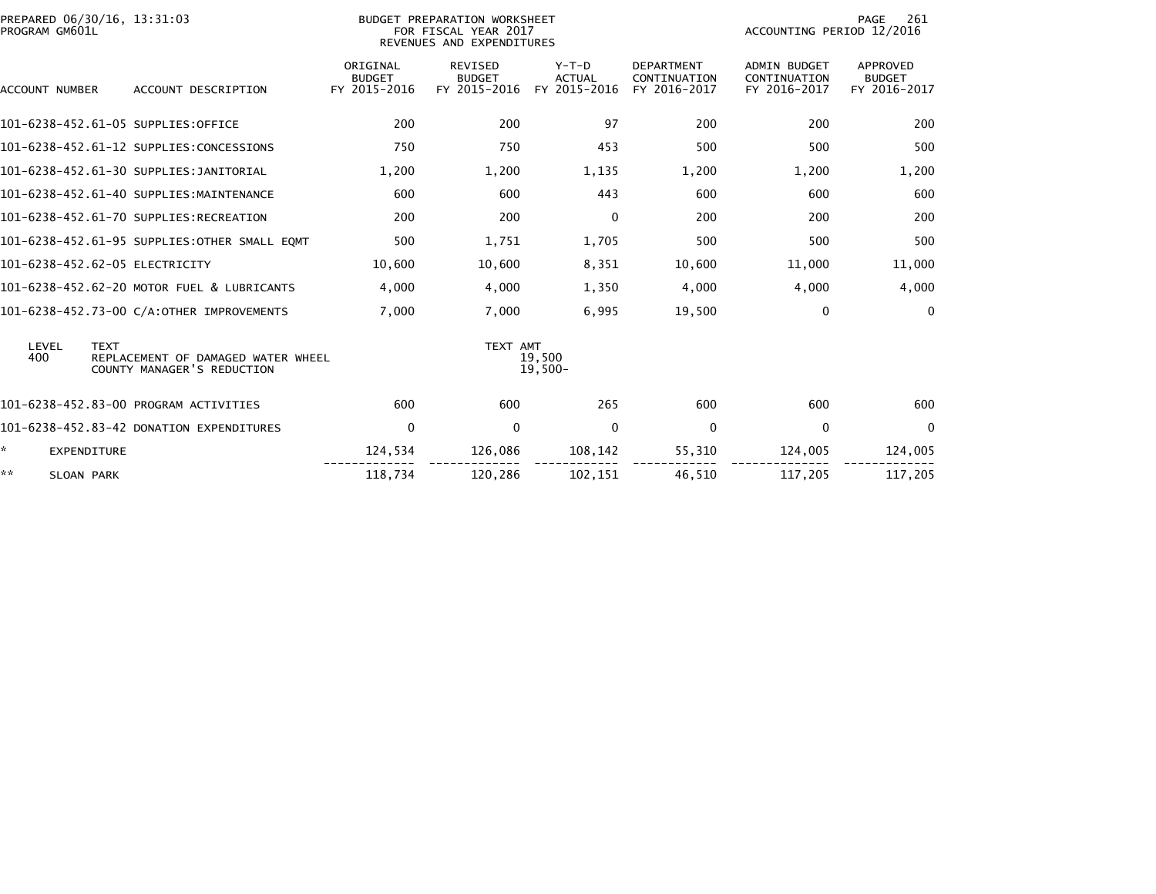| PREPARED 06/30/16, 13:31:03<br>PROGRAM GM601L |                                                                  |                                           | BUDGET PREPARATION WORKSHEET<br>FOR FISCAL YEAR 2017<br>REVENUES AND EXPENDITURES |                                          | 261<br>PAGE<br>ACCOUNTING PERIOD 12/2016          |                                                     |                                           |
|-----------------------------------------------|------------------------------------------------------------------|-------------------------------------------|-----------------------------------------------------------------------------------|------------------------------------------|---------------------------------------------------|-----------------------------------------------------|-------------------------------------------|
| ACCOUNT NUMBER                                | ACCOUNT DESCRIPTION                                              | ORIGINAL<br><b>BUDGET</b><br>FY 2015-2016 | <b>REVISED</b><br><b>BUDGET</b><br>FY 2015-2016                                   | $Y-T-D$<br><b>ACTUAL</b><br>FY 2015-2016 | <b>DEPARTMENT</b><br>CONTINUATION<br>FY 2016-2017 | <b>ADMIN BUDGET</b><br>CONTINUATION<br>FY 2016-2017 | APPROVED<br><b>BUDGET</b><br>FY 2016-2017 |
|                                               | 101-6238-452.61-05 SUPPLIES:OFFICE                               | 200                                       | 200                                                                               | 97                                       | 200                                               | 200                                                 | 200                                       |
|                                               | 101-6238-452.61-12 SUPPLIES:CONCESSIONS                          | 750                                       | 750                                                                               | 453                                      | 500                                               | 500                                                 | 500                                       |
|                                               | 101-6238-452.61-30 SUPPLIES: JANITORIAL                          | 1,200                                     | 1,200                                                                             | 1,135                                    | 1,200                                             | 1,200                                               | 1,200                                     |
|                                               | 101-6238-452.61-40 SUPPLIES:MAINTENANCE                          | 600                                       | 600                                                                               | 443                                      | 600                                               | 600                                                 | 600                                       |
|                                               | 101-6238-452.61-70 SUPPLIES:RECREATION                           | 200                                       | 200                                                                               | $\mathbf{0}$                             | 200                                               | 200                                                 | 200                                       |
|                                               | 101-6238-452.61-95 SUPPLIES:OTHER SMALL EOMT                     | 500                                       | 1,751                                                                             | 1,705                                    | 500                                               | 500                                                 | 500                                       |
| 101-6238-452.62-05 ELECTRICITY                |                                                                  | 10,600                                    | 10,600                                                                            | 8,351                                    | 10,600                                            | 11,000                                              | 11,000                                    |
|                                               | 101-6238-452.62-20 MOTOR FUEL & LUBRICANTS                       | 4,000                                     | 4,000                                                                             | 1,350                                    | 4,000                                             | 4,000                                               | 4,000                                     |
|                                               | 101-6238-452.73-00 C/A:OTHER IMPROVEMENTS                        | 7.000                                     | 7,000                                                                             | 6,995                                    | 19,500                                            | $\Omega$                                            | $\mathbf{0}$                              |
| LEVEL<br><b>TEXT</b><br>400                   | REPLACEMENT OF DAMAGED WATER WHEEL<br>COUNTY MANAGER'S REDUCTION |                                           | TEXT AMT                                                                          | 19.500<br>$19,500-$                      |                                                   |                                                     |                                           |
|                                               | 101-6238-452.83-00 PROGRAM ACTIVITIES                            | 600                                       | 600                                                                               | 265                                      | 600                                               | 600                                                 | 600                                       |
|                                               | 101-6238-452.83-42 DONATION EXPENDITURES                         | 0                                         | $\Omega$                                                                          | 0                                        | 0                                                 | $\Omega$                                            | $\Omega$                                  |
| ÷.<br><b>EXPENDITURE</b>                      |                                                                  | 124,534                                   | 126,086                                                                           | 108,142                                  | 55,310                                            | 124,005                                             | 124,005                                   |
| **<br><b>SLOAN PARK</b>                       |                                                                  | 118,734                                   | 120.286                                                                           | 102.151                                  | 46,510                                            | 117,205                                             | 117,205                                   |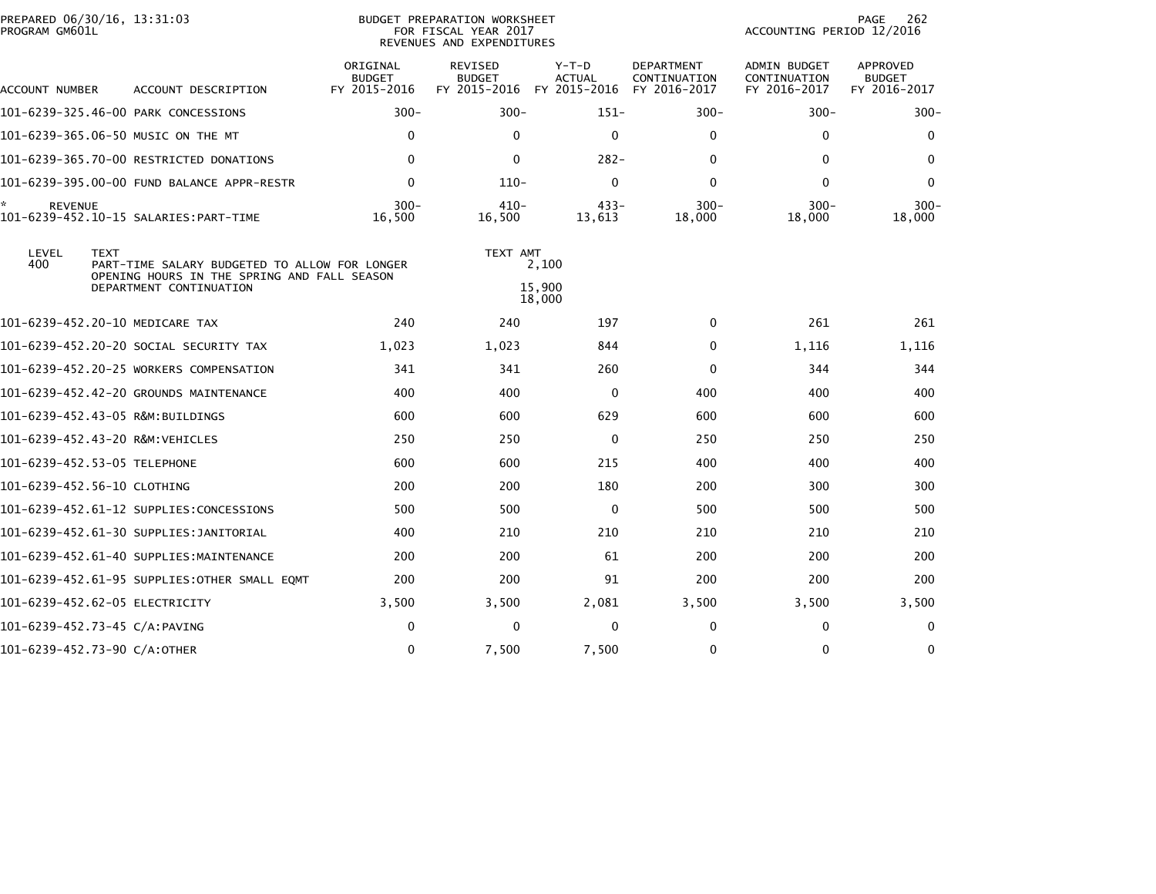| PREPARED 06/30/16, 13:31:03<br>PROGRAM GM601L |                                                                                                                         |                                           | BUDGET PREPARATION WORKSHEET<br>FOR FISCAL YEAR 2017<br>REVENUES AND EXPENDITURES | 262<br>PAGE<br>ACCOUNTING PERIOD 12/2016 |                                                   |                                                     |                                                  |
|-----------------------------------------------|-------------------------------------------------------------------------------------------------------------------------|-------------------------------------------|-----------------------------------------------------------------------------------|------------------------------------------|---------------------------------------------------|-----------------------------------------------------|--------------------------------------------------|
| ACCOUNT NUMBER                                | ACCOUNT DESCRIPTION                                                                                                     | ORIGINAL<br><b>BUDGET</b><br>FY 2015-2016 | REVISED<br><b>BUDGET</b><br>FY 2015-2016                                          | $Y-T-D$<br><b>ACTUAL</b><br>FY 2015-2016 | <b>DEPARTMENT</b><br>CONTINUATION<br>FY 2016-2017 | <b>ADMIN BUDGET</b><br>CONTINUATION<br>FY 2016-2017 | <b>APPROVED</b><br><b>BUDGET</b><br>FY 2016-2017 |
|                                               | 101-6239-325.46-00 PARK CONCESSIONS                                                                                     | $300 -$                                   | $300 -$                                                                           | $151 -$                                  | $300 -$                                           | $300 -$                                             | $300 -$                                          |
|                                               | 101-6239-365.06-50 MUSIC ON THE MT                                                                                      | $\mathbf{0}$                              | $\Omega$                                                                          | $\mathbf 0$                              | $\mathbf{0}$                                      | $\Omega$                                            | 0                                                |
|                                               | 101-6239-365.70-00 RESTRICTED DONATIONS                                                                                 | $\mathbf{0}$                              | $\Omega$                                                                          | $282 -$                                  | $\mathbf{0}$                                      | 0                                                   | $\bf{0}$                                         |
|                                               | 101-6239-395.00-00 FUND BALANCE APPR-RESTR                                                                              | $\mathbf 0$                               | $110-$                                                                            | $\mathbf 0$                              | 0                                                 | $\Omega$                                            | 0                                                |
| ÷.<br><b>REVENUE</b>                          |                                                                                                                         | $300 -$<br>16,500                         | $410 -$<br>16,500                                                                 | $433 -$<br>13,613                        | $300 -$<br>18,000                                 | $300 -$<br>18,000                                   | $300 -$<br>18,000                                |
| LEVEL<br><b>TEXT</b><br>400                   | PART-TIME SALARY BUDGETED TO ALLOW FOR LONGER<br>OPENING HOURS IN THE SPRING AND FALL SEASON<br>DEPARTMENT CONTINUATION |                                           | TEXT AMT                                                                          | 2,100<br>15,900                          |                                                   |                                                     |                                                  |
| 101-6239-452.20-10 MEDICARE TAX               |                                                                                                                         | 240                                       | 240                                                                               | 18,000<br>197                            | $\mathbf{0}$                                      | 261                                                 | 261                                              |
|                                               | 101-6239-452.20-20 SOCIAL SECURITY TAX                                                                                  | 1,023                                     | 1,023                                                                             | 844                                      | 0                                                 | 1,116                                               | 1,116                                            |
|                                               | 101-6239-452.20-25 WORKERS COMPENSATION                                                                                 | 341                                       | 341                                                                               | 260                                      | 0                                                 | 344                                                 | 344                                              |
|                                               | 101-6239-452.42-20 GROUNDS MAINTENANCE                                                                                  | 400                                       | 400                                                                               | 0                                        | 400                                               | 400                                                 | 400                                              |
| 101-6239-452.43-05 R&M:BUILDINGS              |                                                                                                                         | 600                                       | 600                                                                               | 629                                      | 600                                               | 600                                                 | 600                                              |
| 101-6239-452.43-20 R&M:VEHICLES               |                                                                                                                         | 250                                       | 250                                                                               | $\mathbf{0}$                             | 250                                               | 250                                                 | 250                                              |
| 101-6239-452.53-05 TELEPHONE                  |                                                                                                                         | 600                                       | 600                                                                               | 215                                      | 400                                               | 400                                                 | 400                                              |
| 101-6239-452.56-10 CLOTHING                   |                                                                                                                         | 200                                       | 200                                                                               | 180                                      | 200                                               | 300                                                 | 300                                              |
|                                               | 101-6239-452.61-12 SUPPLIES:CONCESSIONS                                                                                 | 500                                       | 500                                                                               | 0                                        | 500                                               | 500                                                 | 500                                              |
|                                               | 101-6239-452.61-30 SUPPLIES:JANITORIAL                                                                                  | 400                                       | 210                                                                               | 210                                      | 210                                               | 210                                                 | 210                                              |
|                                               | 101-6239-452.61-40 SUPPLIES:MAINTENANCE                                                                                 | 200                                       | 200                                                                               | 61                                       | 200                                               | 200                                                 | 200                                              |
|                                               | 101-6239-452.61-95 SUPPLIES:OTHER SMALL EQMT                                                                            | 200                                       | 200                                                                               | 91                                       | 200                                               | 200                                                 | 200                                              |
| 101-6239-452.62-05 ELECTRICITY                |                                                                                                                         | 3,500                                     | 3,500                                                                             | 2,081                                    | 3,500                                             | 3,500                                               | 3,500                                            |
| 101-6239-452.73-45 C/A:PAVING                 |                                                                                                                         | $\mathbf 0$                               | $\Omega$                                                                          | $\mathbf 0$                              | 0                                                 | $\Omega$                                            | 0                                                |
| 101-6239-452.73-90 C/A:OTHER                  |                                                                                                                         | $\mathbf 0$                               | 7,500                                                                             | 7,500                                    | $\mathbf 0$                                       | $\Omega$                                            | 0                                                |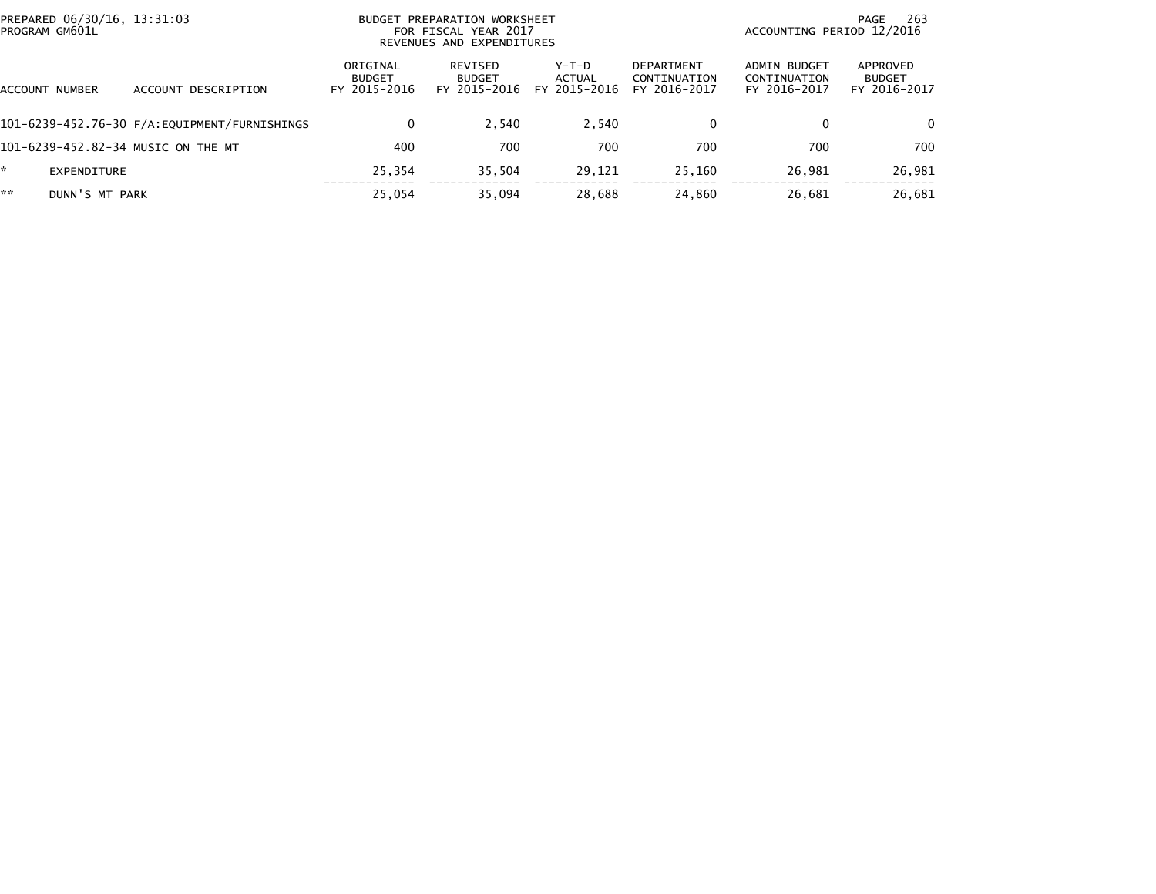| PREPARED 06/30/16, 13:31:03<br>PROGRAM GM601L |                |                                              |                                           | BUDGET PREPARATION WORKSHEET<br>FOR FISCAL YEAR 2017<br>REVENUES AND EXPENDITURES |                                 | 263<br>PAGE<br>ACCOUNTING PERIOD 12/2016          |                                              |                                           |
|-----------------------------------------------|----------------|----------------------------------------------|-------------------------------------------|-----------------------------------------------------------------------------------|---------------------------------|---------------------------------------------------|----------------------------------------------|-------------------------------------------|
|                                               | ACCOUNT NUMBER | ACCOUNT DESCRIPTION                          | ORIGINAL<br><b>BUDGET</b><br>FY 2015-2016 | REVISED<br><b>BUDGET</b><br>FY 2015-2016                                          | Y-T-D<br>ACTUAL<br>FY 2015-2016 | <b>DEPARTMENT</b><br>CONTINUATION<br>FY 2016-2017 | ADMIN BUDGET<br>CONTINUATION<br>FY 2016-2017 | APPROVED<br><b>BUDGET</b><br>FY 2016-2017 |
|                                               |                | 101-6239-452.76-30 F/A:EQUIPMENT/FURNISHINGS | 0                                         | 2.540                                                                             | 2.540                           | 0                                                 | 0                                            | $\Omega$                                  |
|                                               |                | 101-6239-452.82-34 MUSIC ON THE MT           | 400                                       | 700                                                                               | 700                             | 700                                               | 700                                          | 700                                       |
| *.                                            | EXPENDITURE    |                                              | 25,354                                    | 35,504                                                                            | 29,121                          | 25,160                                            | 26,981                                       | 26,981                                    |
| **                                            | DUNN'S MT PARK |                                              | 25,054                                    | 35.094                                                                            | 28,688                          | 24,860                                            | 26,681                                       | 26,681                                    |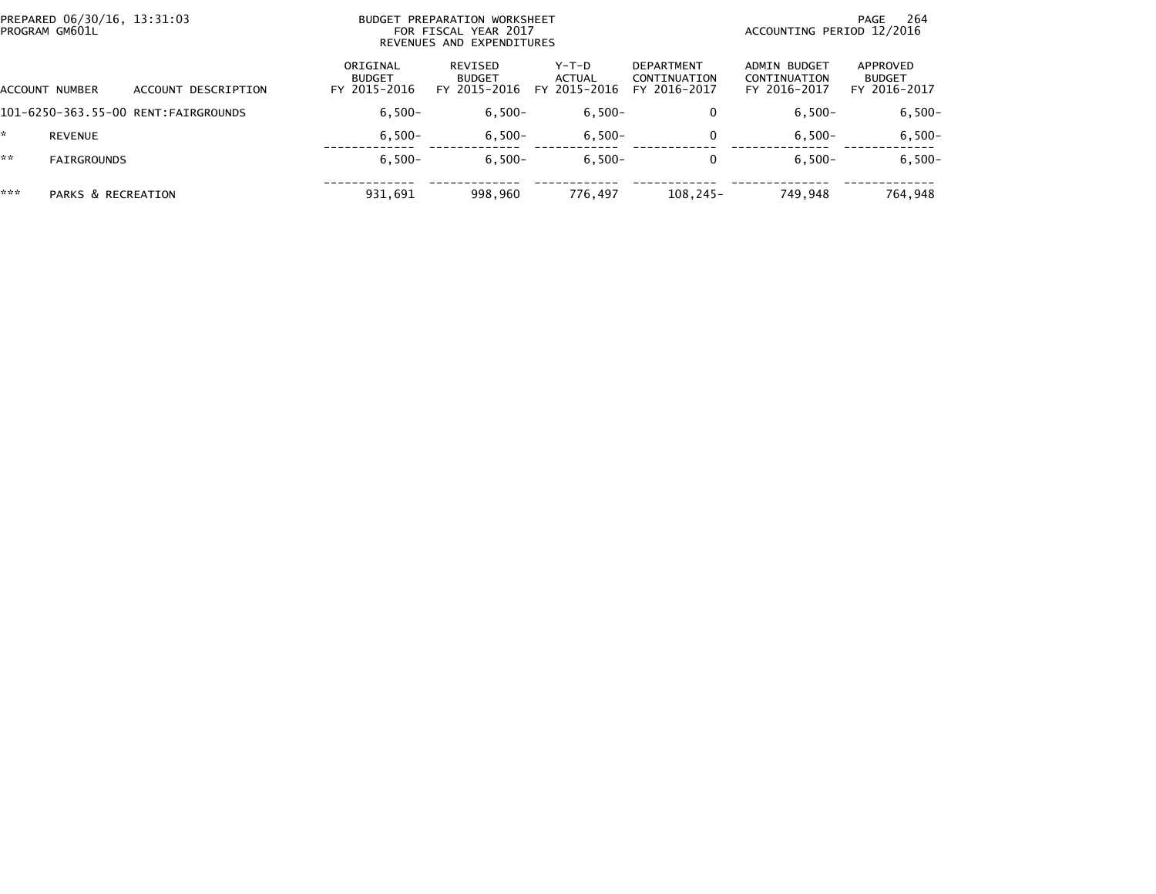| PREPARED 06/30/16, 13:31:03<br>PROGRAM GM601L |                    |                                      |                                           | BUDGET PREPARATION WORKSHEET<br>FOR FISCAL YEAR 2017<br>REVENUES AND EXPENDITURES | 264<br>PAGE<br>ACCOUNTING PERIOD 12/2016 |                                                   |                                              |                                           |
|-----------------------------------------------|--------------------|--------------------------------------|-------------------------------------------|-----------------------------------------------------------------------------------|------------------------------------------|---------------------------------------------------|----------------------------------------------|-------------------------------------------|
|                                               | ACCOUNT NUMBER     | ACCOUNT DESCRIPTION                  | ORIGINAL<br><b>BUDGET</b><br>FY 2015-2016 | REVISED<br><b>BUDGET</b><br>FY 2015-2016                                          | $Y-T-D$<br>ACTUAL<br>FY 2015-2016        | <b>DEPARTMENT</b><br>CONTINUATION<br>FY 2016-2017 | ADMIN BUDGET<br>CONTINUATION<br>FY 2016-2017 | APPROVED<br><b>BUDGET</b><br>FY 2016-2017 |
|                                               |                    | 101-6250-363.55-00 RENT: FAIRGROUNDS | $6.500 -$                                 | $6,500-$                                                                          | $6,500-$                                 | 0                                                 | $6,500-$                                     | $6,500 -$                                 |
|                                               | <b>REVENUE</b>     |                                      | $6.500 -$                                 | $6,500-$                                                                          | $6,500-$                                 | $\mathbf{0}$                                      | $6.500 -$                                    | $6,500-$                                  |
| **                                            | <b>FAIRGROUNDS</b> |                                      | $6.500 -$                                 | $6.500 -$                                                                         | $6.500 -$                                | 0                                                 | $6.500 -$                                    | $6,500-$                                  |
| ***                                           | PARKS & RECREATION |                                      | 931,691                                   | 998.960                                                                           | 776.497                                  | $108.245 -$                                       | 749.948                                      | 764,948                                   |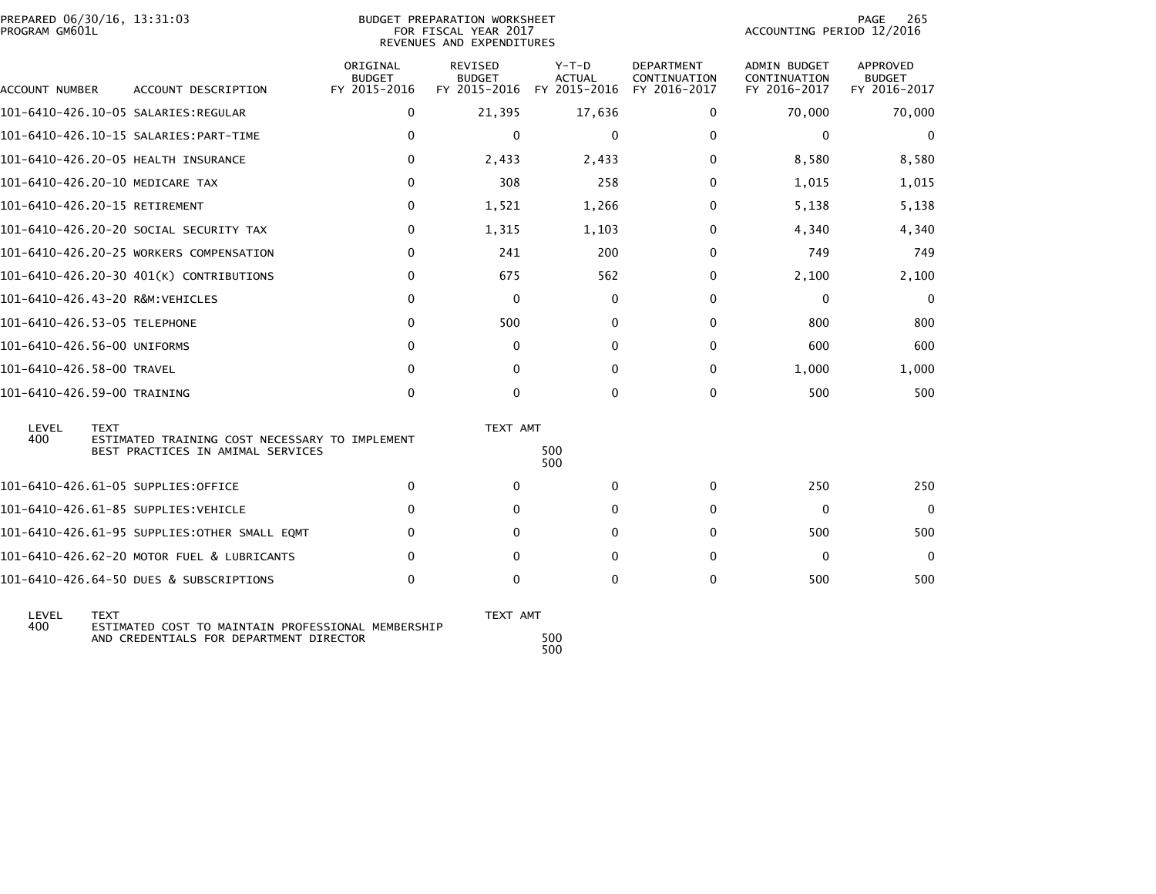| PROGRAM GM601L            | PREPARED 06/30/16, 13:31:03                                                                   |                                           | BUDGET PREPARATION WORKSHEET<br>FOR FISCAL YEAR 2017<br>REVENUES AND EXPENDITURES |                                                       |                                                   | 265<br>PAGE<br>ACCOUNTING PERIOD 12/2016     |                                                  |  |
|---------------------------|-----------------------------------------------------------------------------------------------|-------------------------------------------|-----------------------------------------------------------------------------------|-------------------------------------------------------|---------------------------------------------------|----------------------------------------------|--------------------------------------------------|--|
| ACCOUNT NUMBER            | ACCOUNT DESCRIPTION                                                                           | ORIGINAL<br><b>BUDGET</b><br>FY 2015-2016 | <b>REVISED</b><br><b>BUDGET</b>                                                   | $Y-T-D$<br><b>ACTUAL</b><br>FY 2015-2016 FY 2015-2016 | <b>DEPARTMENT</b><br>CONTINUATION<br>FY 2016-2017 | ADMIN BUDGET<br>CONTINUATION<br>FY 2016-2017 | <b>APPROVED</b><br><b>BUDGET</b><br>FY 2016-2017 |  |
|                           | 101-6410-426.10-05 SALARIES:REGULAR                                                           | $\mathbf{0}$                              | 21,395                                                                            | 17,636                                                | 0                                                 | 70,000                                       | 70,000                                           |  |
|                           |                                                                                               | $\mathbf{0}$                              | $\mathbf{0}$                                                                      | $\mathbf 0$                                           | $\Omega$                                          | $\mathbf{0}$                                 | $\mathbf 0$                                      |  |
|                           | 101-6410-426.20-05 HEALTH INSURANCE                                                           | 0                                         | 2,433                                                                             | 2,433                                                 | 0                                                 | 8,580                                        | 8,580                                            |  |
|                           | 101-6410-426.20-10 MEDICARE TAX                                                               | $\mathbf{0}$                              | 308                                                                               | 258                                                   | $\Omega$                                          | 1,015                                        | 1,015                                            |  |
|                           | 101-6410-426.20-15 RETIREMENT                                                                 | $\mathbf{0}$                              | 1,521                                                                             | 1,266                                                 | 0                                                 | 5,138                                        | 5,138                                            |  |
|                           | 101-6410-426.20-20 SOCIAL SECURITY TAX                                                        | 0                                         | 1,315                                                                             | 1,103                                                 | 0                                                 | 4,340                                        | 4,340                                            |  |
|                           | 101-6410-426.20-25 WORKERS COMPENSATION                                                       | $\mathbf{0}$                              | 241                                                                               | 200                                                   | $\Omega$                                          | 749                                          | 749                                              |  |
|                           | 101-6410-426.20-30 401(K) CONTRIBUTIONS                                                       | 0                                         | 675                                                                               | 562                                                   | 0                                                 | 2,100                                        | 2,100                                            |  |
|                           | 101-6410-426.43-20 R&M:VEHICLES                                                               | 0                                         | $\Omega$                                                                          | 0                                                     | 0                                                 | 0                                            | $\mathbf 0$                                      |  |
|                           | 101-6410-426.53-05 TELEPHONE                                                                  | 0                                         | 500                                                                               | $\mathbf{0}$                                          | $\Omega$                                          | 800                                          | 800                                              |  |
|                           | 101-6410-426.56-00 UNIFORMS                                                                   | $\mathbf{0}$                              | $\Omega$                                                                          | $\mathbf{0}$                                          | $\Omega$                                          | 600                                          | 600                                              |  |
| 101-6410-426.58-00 TRAVEL |                                                                                               | $\Omega$                                  | $\Omega$                                                                          | $\Omega$                                              | 0                                                 | 1.000                                        | 1,000                                            |  |
|                           | 101-6410-426.59-00 TRAINING                                                                   | $\mathbf 0$                               | $\Omega$                                                                          | $\mathbf{0}$                                          | $\Omega$                                          | 500                                          | 500                                              |  |
| LEVEL                     | <b>TEXT</b>                                                                                   |                                           | TEXT AMT                                                                          |                                                       |                                                   |                                              |                                                  |  |
| 400                       | ESTIMATED TRAINING COST NECESSARY TO IMPLEMENT<br>BEST PRACTICES IN AMIMAL SERVICES           |                                           |                                                                                   | 500<br>500                                            |                                                   |                                              |                                                  |  |
|                           | 101-6410-426.61-05 SUPPLIES:OFFICE                                                            | $\Omega$                                  | $\Omega$                                                                          | $\mathbf{0}$                                          | $\mathbf{0}$                                      | 250                                          | 250                                              |  |
|                           | 101-6410-426.61-85 SUPPLIES:VEHICLE                                                           | 0                                         | 0                                                                                 | $\mathbf{0}$                                          | $\Omega$                                          | 0                                            | $\Omega$                                         |  |
|                           | 101-6410-426.61-95 SUPPLIES:OTHER SMALL EQMT                                                  | 0                                         | $\Omega$                                                                          | $\mathbf{0}$                                          | $\Omega$                                          | 500                                          | 500                                              |  |
|                           | 101-6410-426.62-20 MOTOR FUEL & LUBRICANTS                                                    | 0                                         | 0                                                                                 | $\mathbf{0}$                                          | 0                                                 | $\Omega$                                     | $\Omega$                                         |  |
|                           | 101-6410-426.64-50 DUES & SUBSCRIPTIONS                                                       | $\mathbf{0}$                              | $\Omega$                                                                          | $\Omega$                                              | $\Omega$                                          | 500                                          | 500                                              |  |
| LEVEL<br>400              | <b>TEXT</b>                                                                                   |                                           | TEXT AMT                                                                          |                                                       |                                                   |                                              |                                                  |  |
|                           | ESTIMATED COST TO MAINTAIN PROFESSIONAL MEMBERSHIP<br>AND CREDENTIALS FOR DEPARTMENT DIRECTOR |                                           |                                                                                   | 500                                                   |                                                   |                                              |                                                  |  |

500<br>500 500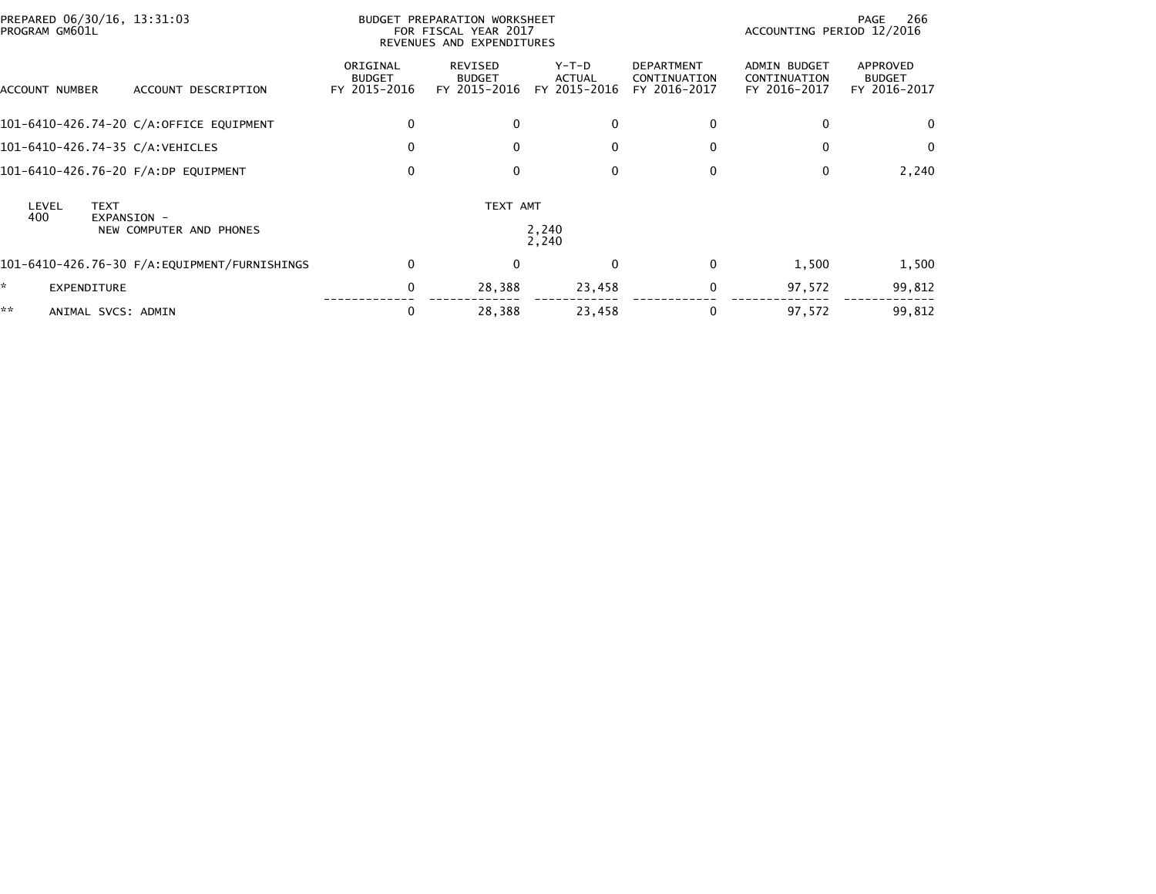| PREPARED 06/30/16, 13:31:03<br>PROGRAM GM601L |                         |                                           | BUDGET PREPARATION WORKSHEET<br>FOR FISCAL YEAR 2017<br>REVENUES AND EXPENDITURES |                                 |                                                   | 266<br>PAGE<br>ACCOUNTING PERIOD 12/2016            |                                           |  |
|-----------------------------------------------|-------------------------|-------------------------------------------|-----------------------------------------------------------------------------------|---------------------------------|---------------------------------------------------|-----------------------------------------------------|-------------------------------------------|--|
| ACCOUNT NUMBER                                | ACCOUNT DESCRIPTION     | ORIGINAL<br><b>BUDGET</b><br>FY 2015-2016 | REVISED<br><b>BUDGET</b><br>FY 2015-2016                                          | Y-T-D<br>ACTUAL<br>FY 2015-2016 | <b>DEPARTMENT</b><br>CONTINUATION<br>FY 2016-2017 | <b>ADMIN BUDGET</b><br>CONTINUATION<br>FY 2016-2017 | APPROVED<br><b>BUDGET</b><br>FY 2016-2017 |  |
| 101-6410-426.74-20 C/A:OFFICE EQUIPMENT       |                         | 0                                         | 0                                                                                 | $\mathbf{0}$                    | $\Omega$                                          | $\Omega$                                            | 0                                         |  |
| 101-6410-426.74-35 C/A:VEHICLES               |                         | 0                                         | $\Omega$                                                                          | $\mathbf{0}$                    | $\mathbf{0}$                                      | $\Omega$                                            | $\Omega$                                  |  |
| 101-6410-426.76-20 F/A:DP EQUIPMENT           |                         | $\mathbf 0$                               | $\Omega$                                                                          | 0                               | $\mathbf 0$                                       | 0                                                   | 2,240                                     |  |
| <b>TEXT</b><br>LEVEL<br>400<br>EXPANSION -    | NEW COMPUTER AND PHONES |                                           | TEXT AMT                                                                          | 2,240<br>2,240                  |                                                   |                                                     |                                           |  |
|                                               |                         | $\mathbf{0}$                              | $\Omega$                                                                          | $\mathbf{0}$                    | $\Omega$                                          | 1,500                                               | 1,500                                     |  |
| <b>EXPENDITURE</b>                            |                         | 0                                         | 28,388                                                                            | 23,458                          | $\mathbf 0$                                       | 97,572                                              | 99,812                                    |  |
| **<br>ANIMAL SVCS: ADMIN                      |                         | 0                                         | 28,388                                                                            | 23,458                          | 0                                                 | 97,572                                              | 99,812                                    |  |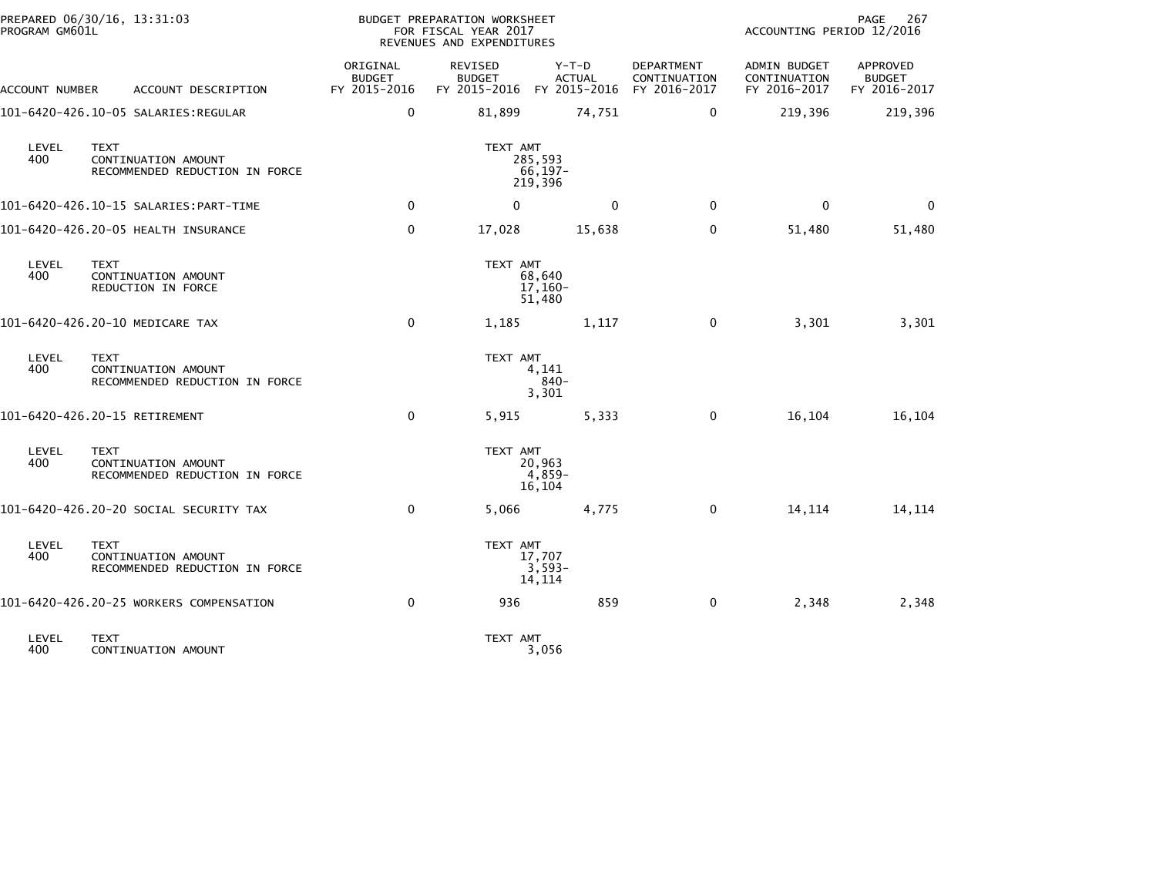| PROGRAM GM601L | PREPARED 06/30/16, 13:31:03                                          |                                           | BUDGET PREPARATION WORKSHEET<br>FOR FISCAL YEAR 2017<br>REVENUES AND EXPENDITURES |                                                                    |                            | ACCOUNTING PERIOD 12/2016                    | PAGE<br>267                               |
|----------------|----------------------------------------------------------------------|-------------------------------------------|-----------------------------------------------------------------------------------|--------------------------------------------------------------------|----------------------------|----------------------------------------------|-------------------------------------------|
| ACCOUNT NUMBER | ACCOUNT DESCRIPTION                                                  | ORIGINAL<br><b>BUDGET</b><br>FY 2015-2016 | REVISED<br><b>BUDGET</b>                                                          | $Y-T-D$<br><b>ACTUAL</b><br>FY 2015-2016 FY 2015-2016 FY 2016-2017 | DEPARTMENT<br>CONTINUATION | ADMIN BUDGET<br>CONTINUATION<br>FY 2016-2017 | APPROVED<br><b>BUDGET</b><br>FY 2016-2017 |
|                |                                                                      | $\mathbf 0$                               | 81,899                                                                            | 74,751                                                             | $\mathbf 0$                | 219,396                                      | 219,396                                   |
| LEVEL<br>400   | <b>TEXT</b><br>CONTINUATION AMOUNT<br>RECOMMENDED REDUCTION IN FORCE |                                           | TEXT AMT                                                                          | 285,593<br>$66, 197 -$<br>219,396                                  |                            |                                              |                                           |
|                |                                                                      | $\mathbf 0$                               | $\mathbf 0$                                                                       | 0                                                                  | 0                          | $\mathbf 0$                                  | 0                                         |
|                | 101-6420-426.20-05 HEALTH INSURANCE                                  | $\mathbf 0$                               | 17,028                                                                            | 15,638                                                             | $\mathbf 0$                | 51,480                                       | 51,480                                    |
| LEVEL<br>400   | <b>TEXT</b><br>CONTINUATION AMOUNT<br>REDUCTION IN FORCE             |                                           | TEXT AMT                                                                          | 68,640<br>$17,160-$<br>51,480                                      |                            |                                              |                                           |
|                | 101-6420-426.20-10 MEDICARE TAX                                      | $\mathbf 0$                               | 1,185                                                                             | 1,117                                                              | $\mathbf 0$                | 3,301                                        | 3,301                                     |
| LEVEL<br>400   | <b>TEXT</b><br>CONTINUATION AMOUNT<br>RECOMMENDED REDUCTION IN FORCE |                                           | TEXT AMT                                                                          | 4,141<br>$840 -$<br>3,301                                          |                            |                                              |                                           |
|                | 101-6420-426.20-15 RETIREMENT                                        | $\mathbf 0$                               | 5,915                                                                             | 5,333                                                              | 0                          | 16,104                                       | 16,104                                    |
| LEVEL<br>400   | <b>TEXT</b><br>CONTINUATION AMOUNT<br>RECOMMENDED REDUCTION IN FORCE |                                           | TEXT AMT                                                                          | 20,963<br>$4,859-$<br>16,104                                       |                            |                                              |                                           |
|                | 101-6420-426.20-20 SOCIAL SECURITY TAX                               | $\mathbf{0}$                              | 5,066                                                                             | 4,775                                                              | 0                          | 14, 114                                      | 14, 114                                   |
| LEVEL<br>400   | <b>TEXT</b><br>CONTINUATION AMOUNT<br>RECOMMENDED REDUCTION IN FORCE |                                           | TEXT AMT                                                                          | 17,707<br>$3,593-$<br>14,114                                       |                            |                                              |                                           |
|                | 101-6420-426.20-25 WORKERS COMPENSATION                              | $\Omega$                                  | 936                                                                               | 859                                                                | $\mathbf 0$                | 2,348                                        | 2,348                                     |
| LEVEL<br>400   | <b>TEXT</b><br>CONTINUATION AMOUNT                                   |                                           | TEXT AMT                                                                          | 3,056                                                              |                            |                                              |                                           |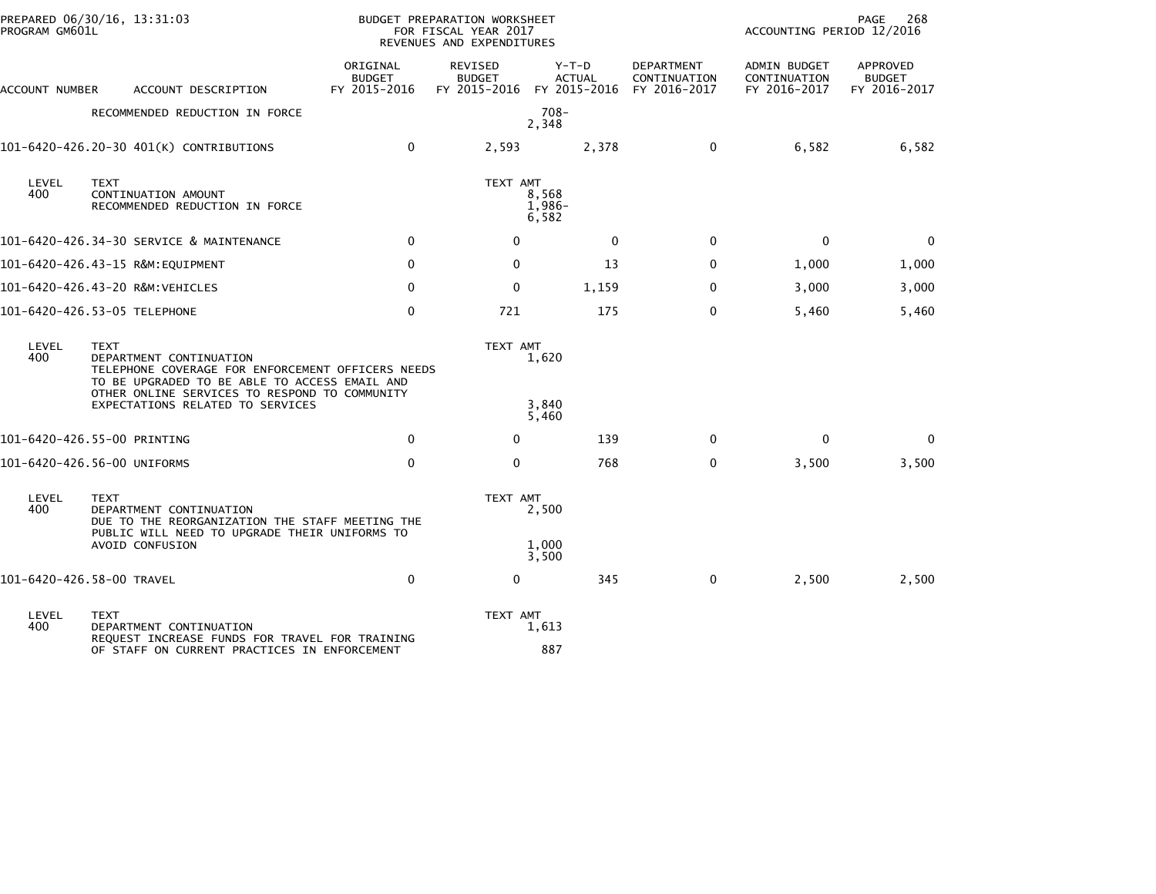| PROGRAM GM601L | PREPARED 06/30/16, 13:31:03                                                                                                                                                                   |                                           | BUDGET PREPARATION WORKSHEET<br>FOR FISCAL YEAR 2017<br>REVENUES AND EXPENDITURES |                                                                    |                                   | ACCOUNTING PERIOD 12/2016                    | 268<br>PAGE                               |
|----------------|-----------------------------------------------------------------------------------------------------------------------------------------------------------------------------------------------|-------------------------------------------|-----------------------------------------------------------------------------------|--------------------------------------------------------------------|-----------------------------------|----------------------------------------------|-------------------------------------------|
| ACCOUNT NUMBER | ACCOUNT DESCRIPTION                                                                                                                                                                           | ORIGINAL<br><b>BUDGET</b><br>FY 2015-2016 | <b>REVISED</b><br><b>BUDGET</b>                                                   | $Y-T-D$<br><b>ACTUAL</b><br>FY 2015-2016 FY 2015-2016 FY 2016-2017 | <b>DEPARTMENT</b><br>CONTINUATION | ADMIN BUDGET<br>CONTINUATION<br>FY 2016-2017 | APPROVED<br><b>BUDGET</b><br>FY 2016-2017 |
|                | RECOMMENDED REDUCTION IN FORCE                                                                                                                                                                |                                           |                                                                                   | $708 -$<br>2,348                                                   |                                   |                                              |                                           |
|                | 101-6420-426.20-30 401(K) CONTRIBUTIONS                                                                                                                                                       | $\Omega$                                  | 2,593                                                                             | 2,378                                                              | $\mathbf{0}$                      | 6,582                                        | 6,582                                     |
| LEVEL<br>400   | <b>TEXT</b><br>CONTINUATION AMOUNT<br>RECOMMENDED REDUCTION IN FORCE                                                                                                                          |                                           | TEXT AMT                                                                          | 8,568<br>$1,986-$<br>6,582                                         |                                   |                                              |                                           |
|                | 101-6420-426.34-30 SERVICE & MAINTENANCE                                                                                                                                                      | $\Omega$                                  | 0                                                                                 | $\mathbf{0}$                                                       | $\mathbf 0$                       | $\Omega$                                     | 0                                         |
|                | 101-6420-426.43-15 R&M:EQUIPMENT                                                                                                                                                              | $\Omega$                                  | $\mathbf{0}$                                                                      | 13                                                                 | $\mathbf{0}$                      | 1,000                                        | 1,000                                     |
|                | 101-6420-426.43-20 R&M:VEHICLES                                                                                                                                                               | $\mathbf{0}$                              | $\mathbf{0}$                                                                      | 1,159                                                              | $\mathbf{0}$                      | 3,000                                        | 3,000                                     |
|                | 101-6420-426.53-05 TELEPHONE                                                                                                                                                                  | $\mathbf 0$                               | 721                                                                               | 175                                                                | $\mathbf{0}$                      | 5,460                                        | 5,460                                     |
| LEVEL<br>400   | <b>TEXT</b><br>DEPARTMENT CONTINUATION<br>TELEPHONE COVERAGE FOR ENFORCEMENT OFFICERS NEEDS<br>TO BE UPGRADED TO BE ABLE TO ACCESS EMAIL AND<br>OTHER ONLINE SERVICES TO RESPOND TO COMMUNITY |                                           | TEXT AMT                                                                          | 1,620                                                              |                                   |                                              |                                           |
|                | EXPECTATIONS RELATED TO SERVICES                                                                                                                                                              |                                           |                                                                                   | 3,840<br>5,460                                                     |                                   |                                              |                                           |
|                | 101-6420-426.55-00 PRINTING                                                                                                                                                                   | $\mathbf 0$                               | 0                                                                                 | 139                                                                | $\mathbf 0$                       | $\mathbf 0$                                  | 0                                         |
|                | 101-6420-426.56-00 UNIFORMS                                                                                                                                                                   | $\Omega$                                  | $\mathbf{0}$                                                                      | 768                                                                | $\mathbf{0}$                      | 3,500                                        | 3,500                                     |
| LEVEL<br>400   | <b>TEXT</b><br>DEPARTMENT CONTINUATION<br>DUE TO THE REORGANIZATION THE STAFF MEETING THE<br>PUBLIC WILL NEED TO UPGRADE THEIR UNIFORMS TO<br>AVOID CONFUSION                                 |                                           | TEXT AMT                                                                          | 2,500<br>1.000<br>3,500                                            |                                   |                                              |                                           |
|                | 101-6420-426.58-00 TRAVEL                                                                                                                                                                     | $\mathbf 0$                               | 0                                                                                 | 345                                                                | $\mathbf 0$                       | 2,500                                        | 2,500                                     |
| LEVEL<br>400   | <b>TEXT</b><br>DEPARTMENT CONTINUATION<br>REQUEST INCREASE FUNDS FOR TRAVEL FOR TRAINING<br>OF STAFF ON CURRENT PRACTICES IN ENFORCEMENT                                                      |                                           | TEXT AMT                                                                          | 1,613<br>887                                                       |                                   |                                              |                                           |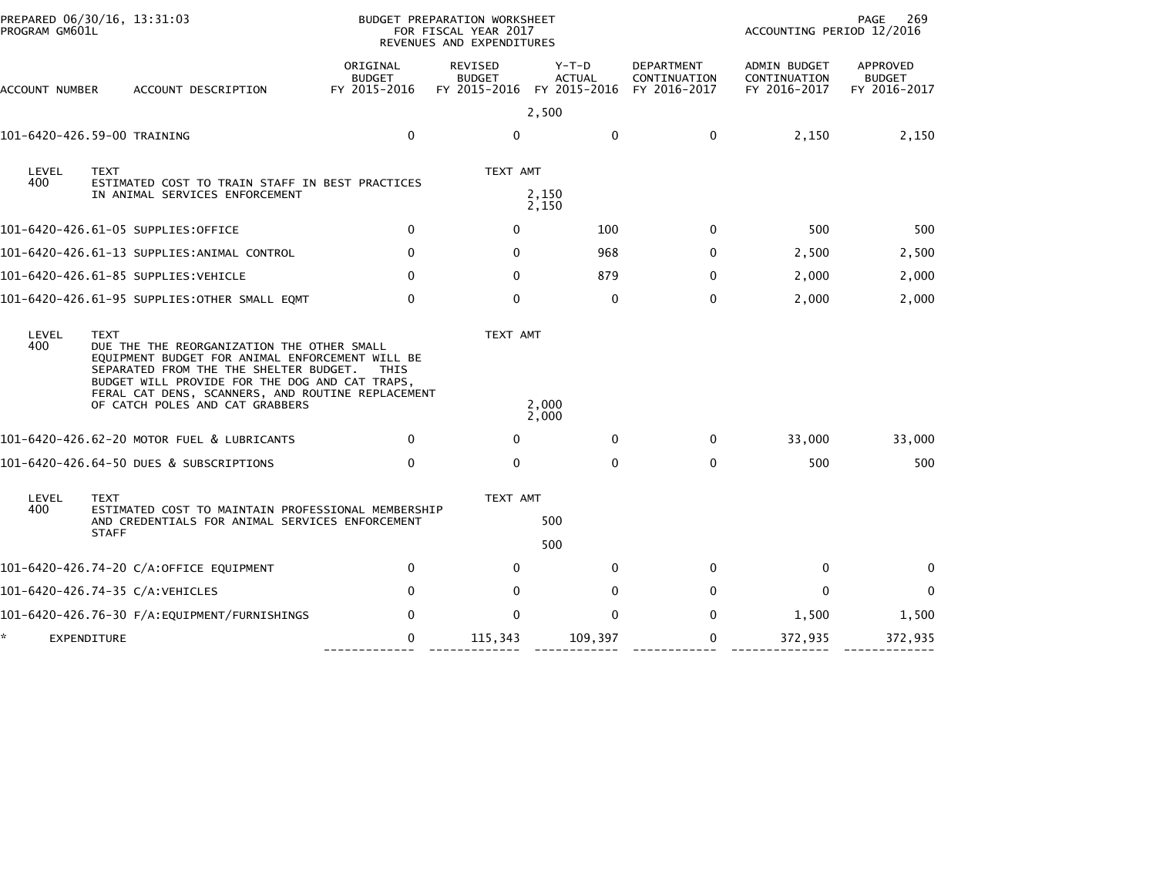| PROGRAM GM601L    | PREPARED 06/30/16, 13:31:03                                                                                                                                                                                                                                                                      |                                           | BUDGET PREPARATION WORKSHEET<br>FOR FISCAL YEAR 2017<br>REVENUES AND EXPENDITURES | PAGE<br>269<br>ACCOUNTING PERIOD 12/2016 |                                            |                                              |                                           |
|-------------------|--------------------------------------------------------------------------------------------------------------------------------------------------------------------------------------------------------------------------------------------------------------------------------------------------|-------------------------------------------|-----------------------------------------------------------------------------------|------------------------------------------|--------------------------------------------|----------------------------------------------|-------------------------------------------|
| ACCOUNT NUMBER    | ACCOUNT DESCRIPTION                                                                                                                                                                                                                                                                              | ORIGINAL<br><b>BUDGET</b><br>FY 2015-2016 | REVISED<br><b>BUDGET</b><br>FY 2015-2016 FY 2015-2016                             | $Y-T-D$<br><b>ACTUAL</b>                 | DEPARTMENT<br>CONTINUATION<br>FY 2016-2017 | ADMIN BUDGET<br>CONTINUATION<br>FY 2016-2017 | APPROVED<br><b>BUDGET</b><br>FY 2016-2017 |
|                   |                                                                                                                                                                                                                                                                                                  |                                           |                                                                                   | 2,500                                    |                                            |                                              |                                           |
|                   | 101-6420-426.59-00 TRAINING                                                                                                                                                                                                                                                                      | $\mathbf 0$                               | $\Omega$                                                                          | $\mathbf 0$                              | $\mathbf 0$                                | 2,150                                        | 2,150                                     |
| LEVEL             | <b>TEXT</b>                                                                                                                                                                                                                                                                                      |                                           | TEXT AMT                                                                          |                                          |                                            |                                              |                                           |
| 400               | ESTIMATED COST TO TRAIN STAFF IN BEST PRACTICES<br>IN ANIMAL SERVICES ENFORCEMENT                                                                                                                                                                                                                |                                           |                                                                                   | 2,150<br>2,150                           |                                            |                                              |                                           |
|                   | 101–6420–426.61–05 SUPPLIES:OFFICE                                                                                                                                                                                                                                                               | $\mathbf{0}$                              | $\mathbf{0}$                                                                      | 100                                      | $\mathbf{0}$                               | 500                                          | 500                                       |
|                   | 101-6420-426.61-13 SUPPLIES:ANIMAL CONTROL                                                                                                                                                                                                                                                       | $\mathbf{0}$                              | $\Omega$                                                                          | 968                                      | $\mathbf{0}$                               | 2,500                                        | 2,500                                     |
|                   | 101-6420-426.61-85 SUPPLIES:VEHICLE                                                                                                                                                                                                                                                              | $\Omega$                                  | $\Omega$                                                                          | 879                                      | $\Omega$                                   | 2,000                                        | 2,000                                     |
|                   | 101-6420-426.61-95 SUPPLIES:OTHER SMALL EQMT                                                                                                                                                                                                                                                     | 0                                         | $\mathbf 0$                                                                       | $\mathbf 0$                              | $\mathbf 0$                                | 2,000                                        | 2,000                                     |
| LEVEL<br>400      | <b>TEXT</b><br>DUE THE THE REORGANIZATION THE OTHER SMALL<br>EQUIPMENT BUDGET FOR ANIMAL ENFORCEMENT WILL BE<br>SEPARATED FROM THE THE SHELTER BUDGET.<br>BUDGET WILL PROVIDE FOR THE DOG AND CAT TRAPS.<br>FERAL CAT DENS, SCANNERS, AND ROUTINE REPLACEMENT<br>OF CATCH POLES AND CAT GRABBERS | <b>THIS</b>                               | TEXT AMT                                                                          | 2,000<br>2,000                           |                                            |                                              |                                           |
|                   | 101-6420-426.62-20 MOTOR FUEL & LUBRICANTS                                                                                                                                                                                                                                                       | $\Omega$                                  | $\mathbf{0}$                                                                      | $\mathbf{0}$                             | $\Omega$                                   | 33,000                                       | 33,000                                    |
|                   | 101-6420-426.64-50 DUES & SUBSCRIPTIONS                                                                                                                                                                                                                                                          | $\Omega$                                  | $\mathbf{0}$                                                                      | $\Omega$                                 | $\Omega$                                   | 500                                          | 500                                       |
| LEVEL<br>400      | <b>TEXT</b>                                                                                                                                                                                                                                                                                      |                                           | TEXT AMT                                                                          |                                          |                                            |                                              |                                           |
|                   | ESTIMATED COST TO MAINTAIN PROFESSIONAL MEMBERSHIP<br>AND CREDENTIALS FOR ANIMAL SERVICES ENFORCEMENT<br><b>STAFF</b>                                                                                                                                                                            |                                           |                                                                                   | 500                                      |                                            |                                              |                                           |
|                   |                                                                                                                                                                                                                                                                                                  |                                           |                                                                                   | 500                                      |                                            |                                              |                                           |
|                   | 101-6420-426.74-20 C/A:OFFICE EQUIPMENT                                                                                                                                                                                                                                                          | $\mathbf 0$                               | 0                                                                                 | 0                                        | 0                                          | 0                                            | $\mathbf{0}$                              |
|                   | 101-6420-426.74-35 C/A:VEHICLES                                                                                                                                                                                                                                                                  | $\mathbf{0}$                              | 0                                                                                 | $\mathbf{0}$                             | $\Omega$                                   | $\mathbf{0}$                                 | $\mathbf 0$                               |
|                   |                                                                                                                                                                                                                                                                                                  | $\Omega$                                  | $\Omega$                                                                          | $\Omega$                                 | $\Omega$                                   | 1,500                                        | 1,500                                     |
| ×.<br>EXPENDITURE |                                                                                                                                                                                                                                                                                                  | 0                                         | 115,343                                                                           | 109,397                                  | 0                                          | 372,935                                      | 372,935                                   |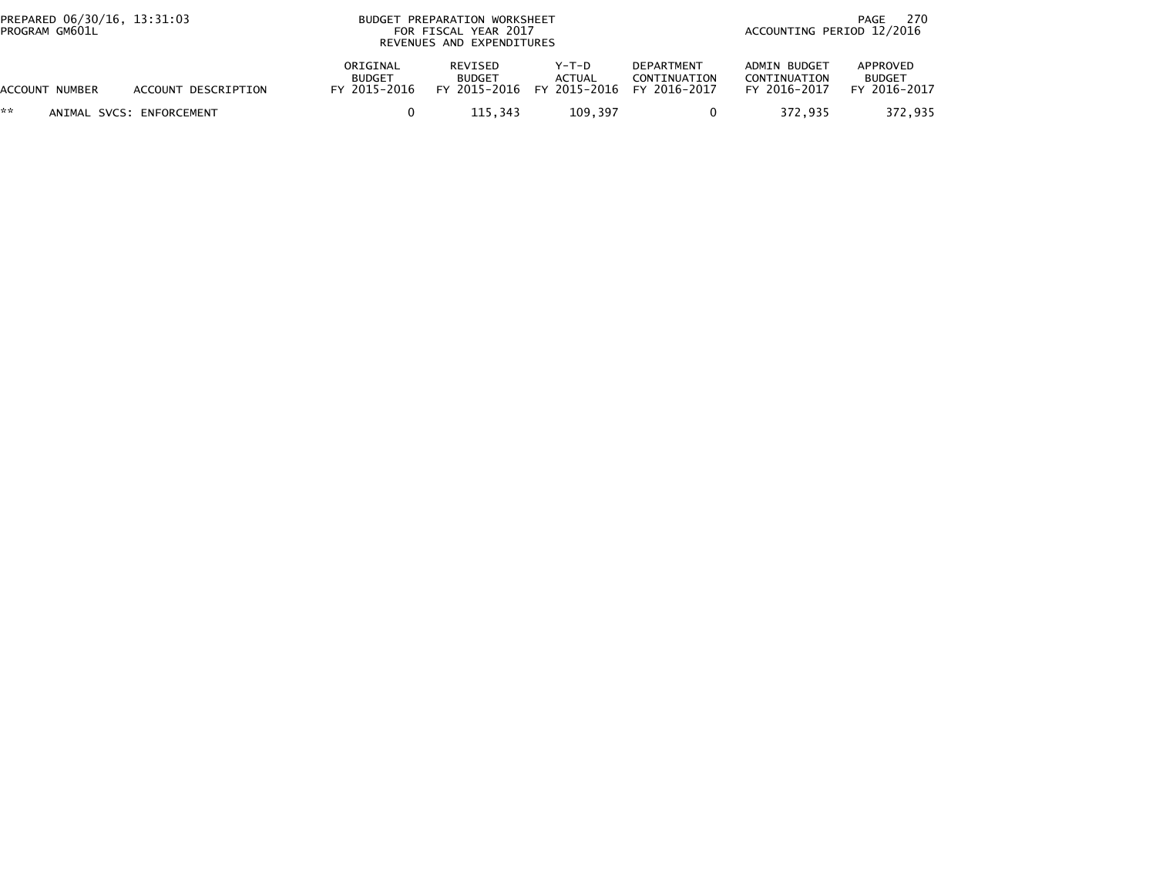| PREPARED 06/30/16, 13:31:03<br>PROGRAM GM601L |                          |                                           | BUDGET PREPARATION WORKSHEET<br>FOR FISCAL YEAR 2017<br>REVENUES AND EXPENDITURES | 270<br>PAGE<br>ACCOUNTING PERIOD 12/2016 |                                            |                                              |                                           |
|-----------------------------------------------|--------------------------|-------------------------------------------|-----------------------------------------------------------------------------------|------------------------------------------|--------------------------------------------|----------------------------------------------|-------------------------------------------|
| ACCOUNT NUMBER                                | ACCOUNT DESCRIPTION      | ORIGINAL<br><b>BUDGET</b><br>FY 2015-2016 | <b>REVISED</b><br><b>BUDGET</b><br>FY 2015-2016                                   | $Y-T-D$<br><b>ACTUAL</b><br>FY 2015-2016 | DEPARTMENT<br>CONTINUATION<br>FY 2016-2017 | ADMIN BUDGET<br>CONTINUATION<br>FY 2016-2017 | APPROVED<br><b>BUDGET</b><br>FY 2016-2017 |
| **                                            | ANIMAL SVCS: ENFORCEMENT |                                           | 115.343                                                                           | 109,397                                  | 0                                          | 372.935                                      | 372,935                                   |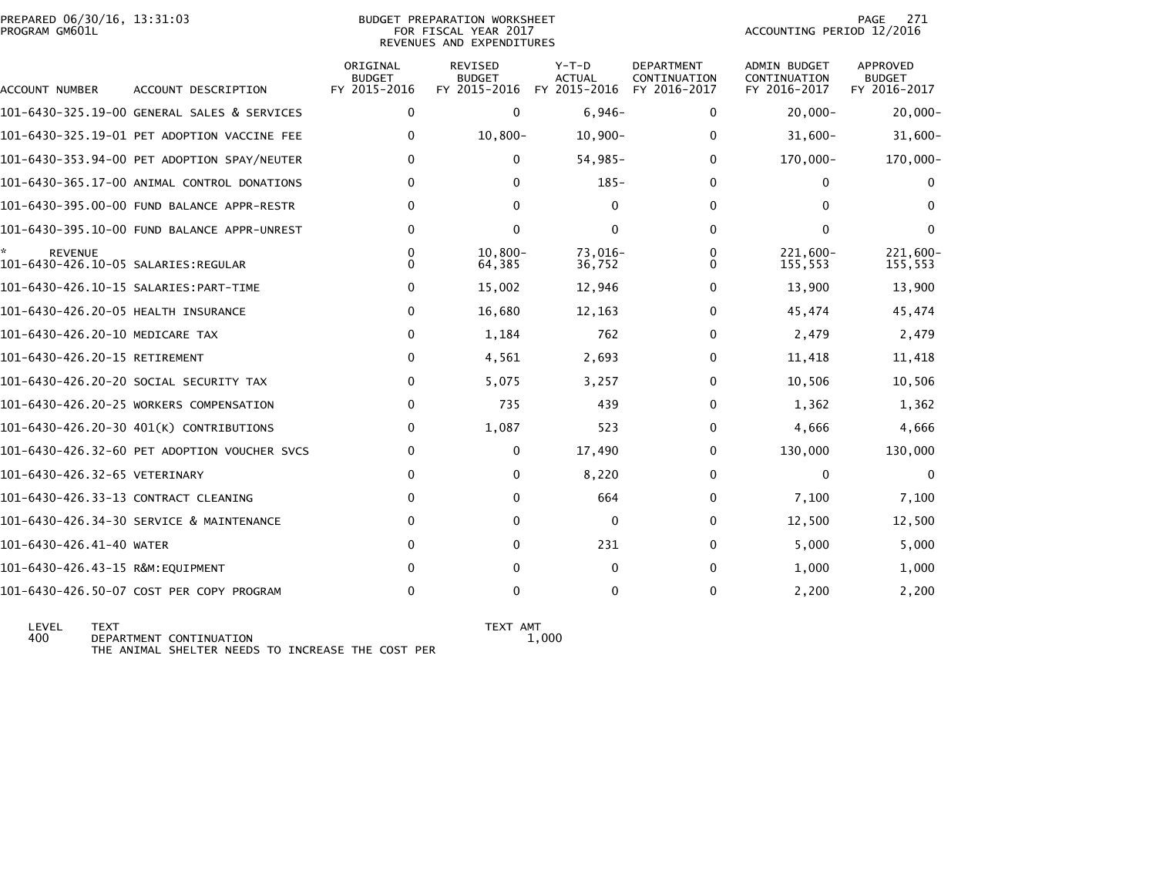|                | PREPARED 06/30/16, 13:31:03 |  |
|----------------|-----------------------------|--|
| PROGRAM GM601L |                             |  |

PODET PREPARATION WORKSHEET A SUDGET PREPARATION WORKSHEET FOR FISCAL YEAR 2017 PROGRAM GM601L FOR FISCAL YEAR 2017 ACCOUNTING PERIOD 12/2016REVENUES AND EXPENDITURES

| ACCOUNT NUMBER                                        | ACCOUNT DESCRIPTION                          | ORIGINAL<br><b>BUDGET</b><br>FY 2015-2016 | REVISED<br><b>BUDGET</b><br>FY 2015-2016 | $Y-T-D$<br><b>ACTUAL</b><br>FY 2015-2016 | <b>DEPARTMENT</b><br>CONTINUATION<br>FY 2016-2017 | ADMIN BUDGET<br>CONTINUATION<br>FY 2016-2017 | APPROVED<br><b>BUDGET</b><br>FY 2016-2017 |
|-------------------------------------------------------|----------------------------------------------|-------------------------------------------|------------------------------------------|------------------------------------------|---------------------------------------------------|----------------------------------------------|-------------------------------------------|
|                                                       | 101-6430-325.19-00 GENERAL SALES & SERVICES  | $\Omega$                                  | 0                                        | $6,946-$                                 | $\Omega$                                          | $20,000 -$                                   | $20,000 -$                                |
|                                                       | 101-6430-325.19-01 PET ADOPTION VACCINE FEE  | 0                                         | $10,800 -$                               | $10,900 -$                               | 0                                                 | $31,600 -$                                   | $31,600 -$                                |
|                                                       | 101-6430-353.94-00 PET ADOPTION SPAY/NEUTER  | 0                                         | $\mathbf{0}$                             | $54,985-$                                | $\Omega$                                          | 170,000-                                     | 170,000-                                  |
|                                                       | 101-6430-365.17-00 ANIMAL CONTROL DONATIONS  | 0                                         | $\Omega$                                 | $185 -$                                  | $\Omega$                                          | $\Omega$                                     |                                           |
|                                                       | 101-6430-395.00-00 FUND BALANCE APPR-RESTR   | <sup>0</sup>                              | 0                                        | $\mathbf{0}$                             | <sup>0</sup>                                      | 0                                            |                                           |
|                                                       | 101-6430-395.10-00 FUND BALANCE APPR-UNREST  | <sup>0</sup>                              | $\Omega$                                 | $\mathbf{0}$                             | 0                                                 | $\Omega$                                     | $\bf{0}$                                  |
| <b>REVENUE</b><br>101-6430-426.10-05 SALARIES:REGULAR |                                              |                                           | $10.800 -$<br>64,385                     | 73,016-<br>36,752                        | O                                                 | 221,600-<br>155,553                          | 221,600-<br>155,553                       |
| 101-6430-426.10-15 SALARIES: PART-TIME                |                                              | 0                                         | 15,002                                   | 12,946                                   | 0                                                 | 13,900                                       | 13,900                                    |
| 101-6430-426.20-05 HEALTH INSURANCE                   |                                              | 0                                         | 16,680                                   | 12,163                                   | 0                                                 | 45,474                                       | 45,474                                    |
| 101-6430-426.20-10 MEDICARE TAX                       |                                              | 0                                         | 1,184                                    | 762                                      | 0                                                 | 2,479                                        | 2,479                                     |
| 101-6430-426.20-15 RETIREMENT                         |                                              | 0                                         | 4,561                                    | 2,693                                    | 0                                                 | 11,418                                       | 11,418                                    |
|                                                       | 101-6430-426.20-20 SOCIAL SECURITY TAX       | $\Omega$                                  | 5,075                                    | 3,257                                    | $\Omega$                                          | 10,506                                       | 10,506                                    |
|                                                       | 101-6430-426.20-25 WORKERS COMPENSATION      | 0                                         | 735                                      | 439                                      | $\Omega$                                          | 1,362                                        | 1,362                                     |
|                                                       | 101-6430-426.20-30 401(K) CONTRIBUTIONS      | 0                                         | 1,087                                    | 523                                      | $\Omega$                                          | 4,666                                        | 4,666                                     |
|                                                       | 101-6430-426.32-60 PET ADOPTION VOUCHER SVCS | 0                                         | 0                                        | 17,490                                   | 0                                                 | 130,000                                      | 130,000                                   |
| 101-6430-426.32-65 VETERINARY                         |                                              | 0                                         | $\mathbf{0}$                             | 8,220                                    | 0                                                 | $\Omega$                                     | $\Omega$                                  |
| 101-6430-426.33-13 CONTRACT CLEANING                  |                                              | 0                                         | $\mathbf{0}$                             | 664                                      | $\Omega$                                          | 7,100                                        | 7,100                                     |
|                                                       | 101-6430-426.34-30 SERVICE & MAINTENANCE     | 0                                         | $\Omega$                                 | $\mathbf{0}$                             | $\Omega$                                          | 12,500                                       | 12,500                                    |
| 101-6430-426.41-40 WATER                              |                                              | $\Omega$                                  | $\Omega$                                 | 231                                      | <sup>0</sup>                                      | 5,000                                        | 5,000                                     |
| 101-6430-426.43-15 R&M:EQUIPMENT                      |                                              | 0                                         | $\Omega$                                 | $\mathbf{0}$                             | <sup>0</sup>                                      | 1,000                                        | 1,000                                     |
|                                                       | 101-6430-426.50-07 COST PER COPY PROGRAM     | 0                                         | 0                                        | $\Omega$                                 | $\Omega$                                          | 2,200                                        | 2,200                                     |

 $1,000$ 

LEVEL TEXT<br>400 DEPARTMENT CONTINUATION 1,000<br>THE ANIMAL SHELTER NEEDS TO INCREASE THE COST PER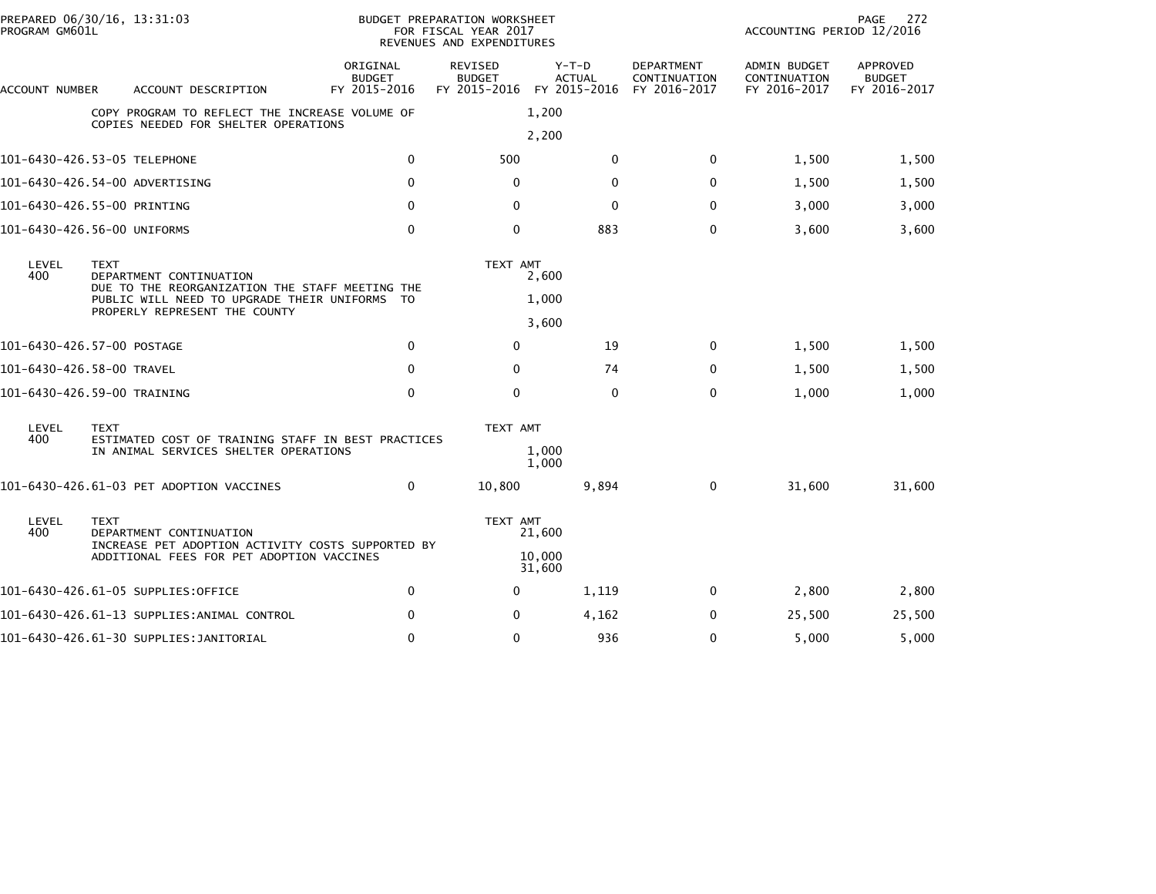| PREPARED 06/30/16, 13:31:03<br>PROGRAM GM601L                                  |             |                                                                                             | BUDGET PREPARATION WORKSHEET<br>FOR FISCAL YEAR 2017<br>REVENUES AND EXPENDITURES | 272<br>PAGE<br>ACCOUNTING PERIOD 12/2016              |                          |                                            |                                              |                                           |
|--------------------------------------------------------------------------------|-------------|---------------------------------------------------------------------------------------------|-----------------------------------------------------------------------------------|-------------------------------------------------------|--------------------------|--------------------------------------------|----------------------------------------------|-------------------------------------------|
| ACCOUNT NUMBER                                                                 |             | ACCOUNT DESCRIPTION                                                                         | ORIGINAL<br><b>BUDGET</b><br>FY 2015-2016                                         | REVISED<br><b>BUDGET</b><br>FY 2015-2016 FY 2015-2016 | $Y-T-D$<br><b>ACTUAL</b> | DEPARTMENT<br>CONTINUATION<br>FY 2016-2017 | ADMIN BUDGET<br>CONTINUATION<br>FY 2016-2017 | APPROVED<br><b>BUDGET</b><br>FY 2016-2017 |
|                                                                                |             | COPY PROGRAM TO REFLECT THE INCREASE VOLUME OF<br>COPIES NEEDED FOR SHELTER OPERATIONS      |                                                                                   |                                                       | 1,200                    |                                            |                                              |                                           |
|                                                                                |             |                                                                                             |                                                                                   |                                                       | 2,200                    |                                            |                                              |                                           |
| 101-6430-426.53-05 TELEPHONE                                                   |             |                                                                                             | 0                                                                                 | 500                                                   | $\mathbf{0}$             | 0                                          | 1,500                                        | 1,500                                     |
| 101-6430-426.54-00 ADVERTISING                                                 |             |                                                                                             | $\Omega$                                                                          | 0                                                     | $\mathbf{0}$             | $\mathbf{0}$                               | 1,500                                        | 1,500                                     |
| 101-6430-426.55-00 PRINTING                                                    |             |                                                                                             | $\mathbf{0}$                                                                      | 0                                                     | $\mathbf{0}$             | $\mathbf{0}$                               | 3,000                                        | 3,000                                     |
| 101-6430-426.56-00 UNIFORMS                                                    |             |                                                                                             | $\mathbf 0$                                                                       | 0                                                     | 883                      | 0                                          | 3,600                                        | 3,600                                     |
| LEVEL<br>400                                                                   | <b>TEXT</b> | DEPARTMENT CONTINUATION<br>DUE TO THE REORGANIZATION THE STAFF MEETING THE                  |                                                                                   | TEXT AMT                                              | 2,600                    |                                            |                                              |                                           |
| PUBLIC WILL NEED TO UPGRADE THEIR UNIFORMS TO<br>PROPERLY REPRESENT THE COUNTY |             |                                                                                             |                                                                                   |                                                       | 1,000<br>3,600           |                                            |                                              |                                           |
| 101-6430-426.57-00 POSTAGE                                                     |             |                                                                                             | $\mathbf 0$                                                                       | $\mathbf 0$                                           | 19                       | 0                                          | 1,500                                        | 1,500                                     |
| 101-6430-426.58-00 TRAVEL                                                      |             |                                                                                             | $\mathbf{0}$                                                                      | $\mathbf{0}$                                          | 74                       | $\bf{0}$                                   | 1,500                                        | 1,500                                     |
| 101-6430-426.59-00 TRAINING                                                    |             |                                                                                             | $\mathbf 0$                                                                       | $\mathbf 0$                                           | $\mathbf{0}$             | $\mathbf 0$                                | 1,000                                        | 1,000                                     |
| LEVEL                                                                          | <b>TEXT</b> |                                                                                             |                                                                                   | TEXT AMT                                              |                          |                                            |                                              |                                           |
| 400                                                                            |             | ESTIMATED COST OF TRAINING STAFF IN BEST PRACTICES<br>IN ANIMAL SERVICES SHELTER OPERATIONS |                                                                                   |                                                       | 1,000<br>1,000           |                                            |                                              |                                           |
|                                                                                |             | 101-6430-426.61-03 PET ADOPTION VACCINES                                                    | $\mathbf{0}$                                                                      | 10,800                                                | 9,894                    | $\mathbf 0$                                | 31,600                                       | 31,600                                    |
| LEVEL<br>400                                                                   | <b>TEXT</b> | DEPARTMENT CONTINUATION<br>INCREASE PET ADOPTION ACTIVITY COSTS SUPPORTED BY                |                                                                                   | TEXT AMT                                              | 21,600                   |                                            |                                              |                                           |
|                                                                                |             | ADDITIONAL FEES FOR PET ADOPTION VACCINES                                                   |                                                                                   |                                                       | 10,000<br>31,600         |                                            |                                              |                                           |
|                                                                                |             | 101-6430-426.61-05 SUPPLIES:OFFICE                                                          | $\mathbf{0}$                                                                      | 0                                                     | 1,119                    | $\mathbf{0}$                               | 2,800                                        | 2,800                                     |
|                                                                                |             | 101-6430-426.61-13 SUPPLIES:ANIMAL CONTROL                                                  | $\mathbf{0}$                                                                      | 0                                                     | 4,162                    | 0                                          | 25,500                                       | 25,500                                    |
|                                                                                |             | 101-6430-426.61-30 SUPPLIES: JANITORIAL                                                     | 0                                                                                 | $\Omega$                                              | 936                      | 0                                          | 5,000                                        | 5,000                                     |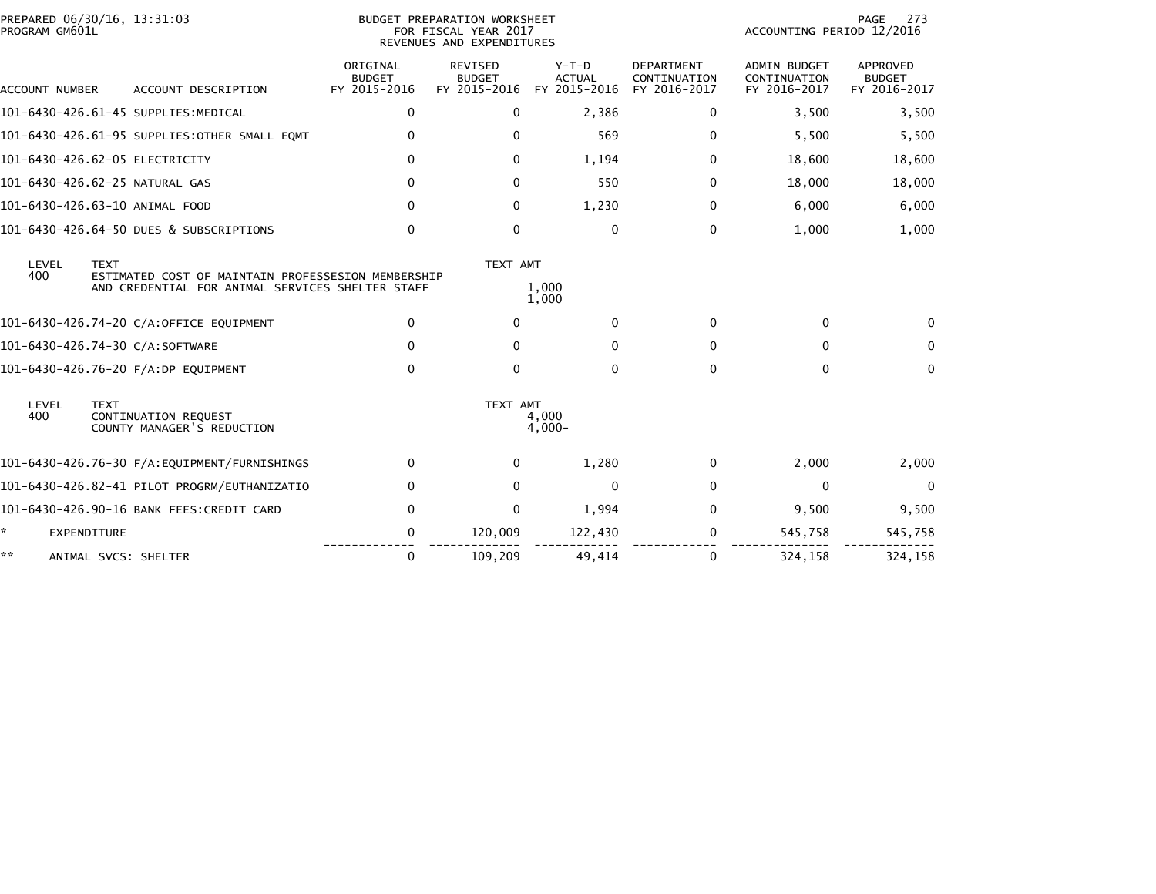| PREPARED 06/30/16, 13:31:03<br>PROGRAM GM601L                                                                                         |                                           | <b>BUDGET PREPARATION WORKSHEET</b><br>FOR FISCAL YEAR 2017<br>REVENUES AND EXPENDITURES |                                        |                                                   | PAGE<br>273<br>ACCOUNTING PERIOD 12/2016            |                                                  |  |
|---------------------------------------------------------------------------------------------------------------------------------------|-------------------------------------------|------------------------------------------------------------------------------------------|----------------------------------------|---------------------------------------------------|-----------------------------------------------------|--------------------------------------------------|--|
| ACCOUNT DESCRIPTION<br><b>ACCOUNT NUMBER</b>                                                                                          | ORIGINAL<br><b>BUDGET</b><br>FY 2015-2016 | <b>REVISED</b><br><b>BUDGET</b><br>FY 2015-2016                                          | Y-T-D<br><b>ACTUAL</b><br>FY 2015-2016 | <b>DEPARTMENT</b><br>CONTINUATION<br>FY 2016-2017 | <b>ADMIN BUDGET</b><br>CONTINUATION<br>FY 2016-2017 | <b>APPROVED</b><br><b>BUDGET</b><br>FY 2016-2017 |  |
| 101-6430-426.61-45 SUPPLIES:MEDICAL                                                                                                   | 0                                         | 0                                                                                        | 2,386                                  | 0                                                 | 3,500                                               | 3,500                                            |  |
| 101-6430-426.61-95 SUPPLIES: OTHER SMALL EQMT                                                                                         | 0                                         | $\mathbf{0}$                                                                             | 569                                    | 0                                                 | 5,500                                               | 5,500                                            |  |
| 101-6430-426.62-05 ELECTRICITY                                                                                                        | 0                                         | $\Omega$                                                                                 | 1,194                                  | 0                                                 | 18,600                                              | 18,600                                           |  |
| 101-6430-426.62-25 NATURAL GAS                                                                                                        | 0                                         | $\Omega$                                                                                 | 550                                    | 0                                                 | 18,000                                              | 18,000                                           |  |
| 101-6430-426.63-10 ANIMAL FOOD                                                                                                        | $\mathbf{0}$                              | 0                                                                                        | 1,230                                  | 0                                                 | 6,000                                               | 6,000                                            |  |
| 101-6430-426.64-50 DUES & SUBSCRIPTIONS                                                                                               | 0                                         | $\mathbf{0}$                                                                             | 0                                      | 0                                                 | 1,000                                               | 1,000                                            |  |
| LEVEL<br><b>TEXT</b><br>400<br>ESTIMATED COST OF MAINTAIN PROFESSESION MEMBERSHIP<br>AND CREDENTIAL FOR ANIMAL SERVICES SHELTER STAFF |                                           | TEXT AMT                                                                                 | 1,000<br>1,000                         |                                                   |                                                     |                                                  |  |
| 101-6430-426.74-20 C/A:OFFICE EQUIPMENT                                                                                               | $\mathbf{0}$                              | $\Omega$                                                                                 | $\Omega$                               | $\mathbf{0}$                                      | $\Omega$                                            |                                                  |  |
| 101-6430-426.74-30 C/A:SOFTWARE                                                                                                       | $\mathbf{0}$                              | 0                                                                                        | 0                                      | 0                                                 | 0                                                   | $\mathbf{0}$                                     |  |
| 101-6430-426.76-20 F/A:DP EQUIPMENT                                                                                                   | $\Omega$                                  | $\Omega$                                                                                 | $\mathbf{0}$                           | $\Omega$                                          | $\Omega$                                            | $\mathbf{0}$                                     |  |
| LEVEL<br><b>TEXT</b><br>400<br>CONTINUATION REQUEST<br>COUNTY MANAGER'S REDUCTION                                                     |                                           | TEXT AMT                                                                                 | 4,000<br>$4,000 -$                     |                                                   |                                                     |                                                  |  |
|                                                                                                                                       | $\bf{0}$                                  | $\Omega$                                                                                 | 1,280                                  | 0                                                 | 2,000                                               | 2,000                                            |  |
| 101-6430-426.82-41 PILOT PROGRM/EUTHANIZATIO                                                                                          | 0                                         | $\Omega$                                                                                 | $\mathbf{0}$                           | $\mathbf{0}$                                      | $\Omega$                                            | $\mathbf 0$                                      |  |
| 101-6430-426.90-16 BANK FEES:CREDIT CARD                                                                                              | 0                                         | $\mathbf{0}$                                                                             | 1,994                                  | 0                                                 | 9,500                                               | 9,500                                            |  |
| ÷.<br><b>EXPENDITURE</b>                                                                                                              | 0                                         | 120,009                                                                                  | 122,430                                | 0                                                 | 545,758                                             | 545,758                                          |  |
| **<br>ANIMAL SVCS: SHELTER                                                                                                            | $\mathbf{0}$                              | 109,209                                                                                  | 49.414                                 | 0                                                 | 324,158                                             | 324,158                                          |  |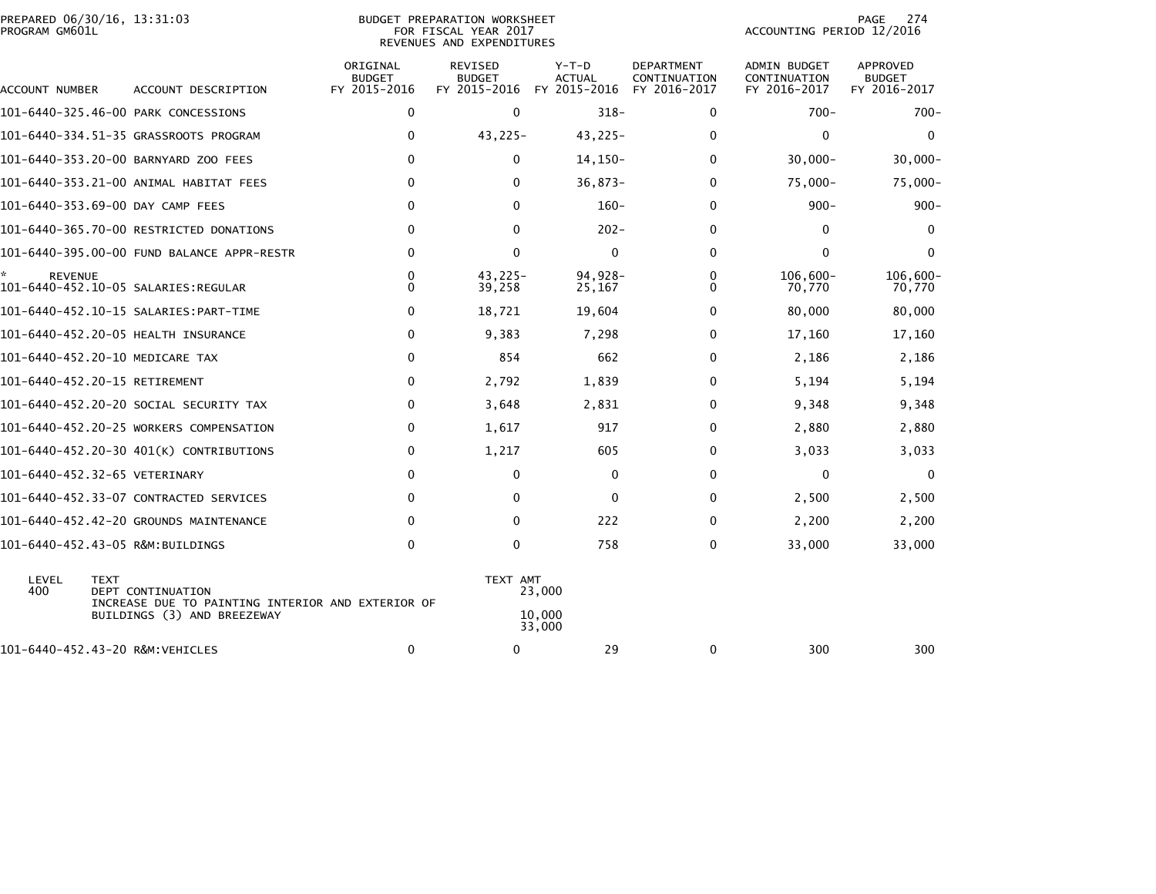| PREPARED 06/30/16, 13:31:03<br>PROGRAM GM601L |                                                                        |                                           | BUDGET PREPARATION WORKSHEET<br>FOR FISCAL YEAR 2017<br>REVENUES AND EXPENDITURES | 274<br>PAGE<br>ACCOUNTING PERIOD 12/2016 |                                                   |                                              |                                           |
|-----------------------------------------------|------------------------------------------------------------------------|-------------------------------------------|-----------------------------------------------------------------------------------|------------------------------------------|---------------------------------------------------|----------------------------------------------|-------------------------------------------|
| ACCOUNT NUMBER                                | ACCOUNT DESCRIPTION                                                    | ORIGINAL<br><b>BUDGET</b><br>FY 2015-2016 | REVISED<br><b>BUDGET</b><br>FY 2015-2016                                          | $Y-T-D$<br><b>ACTUAL</b><br>FY 2015-2016 | <b>DEPARTMENT</b><br>CONTINUATION<br>FY 2016-2017 | ADMIN BUDGET<br>CONTINUATION<br>FY 2016-2017 | APPROVED<br><b>BUDGET</b><br>FY 2016-2017 |
|                                               | 101-6440-325.46-00 PARK CONCESSIONS                                    | 0                                         | $\mathbf 0$                                                                       | $318 -$                                  | 0                                                 | $700 -$                                      | $700 -$                                   |
|                                               | 101-6440-334.51-35 GRASSROOTS PROGRAM                                  | 0                                         | $43,225-$                                                                         | $43,225-$                                | $\Omega$                                          | $\mathbf{0}$                                 | 0                                         |
|                                               | 101-6440-353.20-00 BARNYARD ZOO FEES                                   | $\mathbf{0}$                              | $\mathbf{0}$                                                                      | $14, 150-$                               | $\Omega$                                          | $30,000 -$                                   | $30,000 -$                                |
|                                               | 101-6440-353.21-00 ANIMAL HABITAT FEES                                 | 0                                         | $\mathbf{0}$                                                                      | $36,873-$                                | 0                                                 | $75,000 -$                                   | $75,000 -$                                |
|                                               | 101-6440-353.69-00 DAY CAMP FEES                                       | $\mathbf{0}$                              | $\Omega$                                                                          | $160 -$                                  | $\Omega$                                          | $900 -$                                      | $900 -$                                   |
|                                               | 101-6440-365.70-00 RESTRICTED DONATIONS                                | 0                                         | $\Omega$                                                                          | $202 -$                                  | 0                                                 | 0                                            | $\bf{0}$                                  |
|                                               | 101-6440-395.00-00 FUND BALANCE APPR-RESTR                             | 0                                         | $\mathbf 0$                                                                       | 0                                        | 0                                                 | $\mathbf 0$                                  | 0                                         |
| *.<br><b>REVENUE</b>                          |                                                                        | 0<br>$\Omega$                             | $43,225-$<br>39,258                                                               | 94,928-<br>25,167                        | 0<br>0                                            | $106,600 -$<br>70,770                        | $106,600 -$<br>70,770                     |
|                                               |                                                                        | 0                                         | 18,721                                                                            | 19,604                                   | 0                                                 | 80,000                                       | 80,000                                    |
|                                               | 101-6440-452.20-05 HEALTH INSURANCE                                    | 0                                         | 9,383                                                                             | 7,298                                    | 0                                                 | 17,160                                       | 17,160                                    |
| 101-6440-452.20-10 MEDICARE TAX               |                                                                        | $\mathbf 0$                               | 854                                                                               | 662                                      | 0                                                 | 2,186                                        | 2,186                                     |
| 101-6440-452.20-15 RETIREMENT                 |                                                                        | 0                                         | 2,792                                                                             | 1,839                                    | 0                                                 | 5,194                                        | 5,194                                     |
|                                               | 101-6440-452.20-20 SOCIAL SECURITY TAX                                 | 0                                         | 3,648                                                                             | 2,831                                    | 0                                                 | 9,348                                        | 9,348                                     |
|                                               | 101-6440-452.20-25 WORKERS COMPENSATION                                | $\mathbf{0}$                              | 1,617                                                                             | 917                                      | 0                                                 | 2,880                                        | 2,880                                     |
|                                               | 101-6440-452.20-30 401(K) CONTRIBUTIONS                                | 0                                         | 1,217                                                                             | 605                                      | 0                                                 | 3,033                                        | 3,033                                     |
| 101-6440-452.32-65 VETERINARY                 |                                                                        | 0                                         | 0                                                                                 | 0                                        | 0                                                 | 0                                            | 0                                         |
|                                               | 101-6440-452.33-07 CONTRACTED SERVICES                                 | $\Omega$                                  | $\Omega$                                                                          | 0                                        | 0                                                 | 2,500                                        | 2,500                                     |
|                                               | 101-6440-452.42-20 GROUNDS MAINTENANCE                                 | $\Omega$                                  | $\Omega$                                                                          | 222                                      | 0                                                 | 2,200                                        | 2,200                                     |
|                                               | 101-6440-452.43-05 R&M:BUILDINGS                                       | 0                                         | 0                                                                                 | 758                                      | 0                                                 | 33,000                                       | 33,000                                    |
| LEVEL<br><b>TEXT</b><br>400                   | DEPT CONTINUATION<br>INCREASE DUE TO PAINTING INTERIOR AND EXTERIOR OF |                                           | TEXT AMT                                                                          | 23,000                                   |                                                   |                                              |                                           |
|                                               | BUILDINGS (3) AND BREEZEWAY                                            |                                           |                                                                                   | 10,000<br>33,000                         |                                                   |                                              |                                           |
| 101-6440-452.43-20 R&M:VEHICLES               |                                                                        | 0                                         | 0                                                                                 | 29                                       | 0                                                 | 300                                          | 300                                       |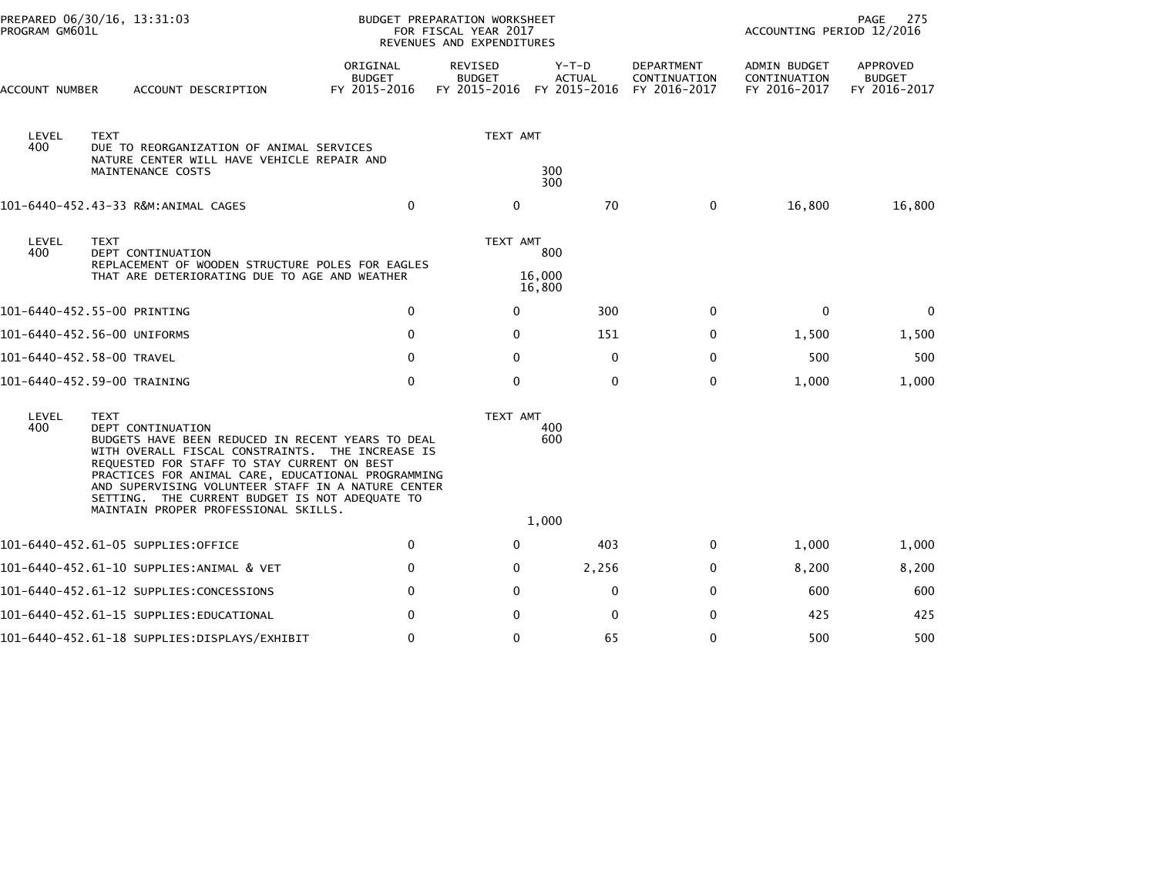| PROGRAM GM601L | PREPARED 06/30/16, 13:31:03                                                                                                                                                                                                                                                                                                                                                                    | <b>BUDGET PREPARATION WORKSHEET</b><br>FOR FISCAL YEAR 2017<br>REVENUES AND EXPENDITURES |                                          |                                        |                                            | PAGE<br>275<br>ACCOUNTING PERIOD 12/2016     |                                           |  |
|----------------|------------------------------------------------------------------------------------------------------------------------------------------------------------------------------------------------------------------------------------------------------------------------------------------------------------------------------------------------------------------------------------------------|------------------------------------------------------------------------------------------|------------------------------------------|----------------------------------------|--------------------------------------------|----------------------------------------------|-------------------------------------------|--|
| ACCOUNT NUMBER | ACCOUNT DESCRIPTION                                                                                                                                                                                                                                                                                                                                                                            | ORIGINAL<br><b>BUDGET</b><br>FY 2015-2016                                                | REVISED<br><b>BUDGET</b><br>FY 2015-2016 | Y-T-D<br><b>ACTUAL</b><br>FY 2015-2016 | DEPARTMENT<br>CONTINUATION<br>FY 2016-2017 | ADMIN BUDGET<br>CONTINUATION<br>FY 2016-2017 | APPROVED<br><b>BUDGET</b><br>FY 2016-2017 |  |
| LEVEL<br>400   | <b>TEXT</b><br>DUE TO REORGANIZATION OF ANIMAL SERVICES<br>NATURE CENTER WILL HAVE VEHICLE REPAIR AND<br>MAINTENANCE COSTS                                                                                                                                                                                                                                                                     |                                                                                          | TEXT AMT                                 | 300<br>300                             |                                            |                                              |                                           |  |
|                | 101-6440-452.43-33 R&M:ANIMAL CAGES                                                                                                                                                                                                                                                                                                                                                            | $\mathbf 0$                                                                              | $\mathbf{0}$                             | 70                                     | $\mathbf 0$                                | 16,800                                       | 16,800                                    |  |
| LEVEL<br>400   | <b>TEXT</b><br>DEPT CONTINUATION<br>REPLACEMENT OF WOODEN STRUCTURE POLES FOR EAGLES<br>THAT ARE DETERIORATING DUE TO AGE AND WEATHER                                                                                                                                                                                                                                                          |                                                                                          | TEXT AMT                                 | 800<br>16,000<br>16,800                |                                            |                                              |                                           |  |
|                | 101-6440-452.55-00 PRINTING                                                                                                                                                                                                                                                                                                                                                                    | $\mathbf 0$                                                                              | $\mathbf{0}$                             | 300                                    | $\mathbf{0}$                               | $\mathbf{0}$                                 | $\mathbf{0}$                              |  |
|                | 101-6440-452.56-00 UNIFORMS                                                                                                                                                                                                                                                                                                                                                                    | $\Omega$                                                                                 | $\mathbf{0}$                             | 151                                    | 0                                          | 1,500                                        | 1,500                                     |  |
|                | 101-6440-452.58-00 TRAVEL                                                                                                                                                                                                                                                                                                                                                                      | $\mathbf 0$                                                                              | $\mathbf{0}$                             | $\mathbf 0$                            | $\mathbf 0$                                | 500                                          | 500                                       |  |
|                | 101-6440-452.59-00 TRAINING                                                                                                                                                                                                                                                                                                                                                                    | $\mathbf 0$                                                                              | $\mathbf 0$                              | $\mathbf 0$                            | $\mathbf 0$                                | 1,000                                        | 1,000                                     |  |
| LEVEL<br>400   | <b>TEXT</b><br>DEPT CONTINUATION<br>BUDGETS HAVE BEEN REDUCED IN RECENT YEARS TO DEAL<br>WITH OVERALL FISCAL CONSTRAINTS. THE INCREASE IS<br>REQUESTED FOR STAFF TO STAY CURRENT ON BEST<br>PRACTICES FOR ANIMAL CARE, EDUCATIONAL PROGRAMMING<br>AND SUPERVISING VOLUNTEER STAFF IN A NATURE CENTER<br>SETTING. THE CURRENT BUDGET IS NOT ADEQUATE TO<br>MAINTAIN PROPER PROFESSIONAL SKILLS. |                                                                                          | TEXT AMT                                 | 400<br>600<br>1,000                    |                                            |                                              |                                           |  |
|                | 101-6440-452.61-05 SUPPLIES:OFFICE                                                                                                                                                                                                                                                                                                                                                             | 0                                                                                        | $\mathbf{0}$                             | 403                                    | 0                                          | 1,000                                        | 1,000                                     |  |
|                | 101-6440-452.61-10 SUPPLIES:ANIMAL & VET                                                                                                                                                                                                                                                                                                                                                       | $\mathbf 0$                                                                              | $\mathbf{0}$                             | 2,256                                  | 0                                          | 8,200                                        | 8,200                                     |  |
|                | 101-6440-452.61-12 SUPPLIES:CONCESSIONS                                                                                                                                                                                                                                                                                                                                                        | $\Omega$                                                                                 | $\mathbf{0}$                             | $\mathbf 0$                            | $\mathbf 0$                                | 600                                          | 600                                       |  |
|                | 101–6440–452.61–15 SUPPLIES:EDUCATIONAL                                                                                                                                                                                                                                                                                                                                                        | 0                                                                                        | 0                                        | 0                                      | 0                                          | 425                                          | 425                                       |  |
|                | 101-6440-452.61-18 SUPPLIES:DISPLAYS/EXHIBIT                                                                                                                                                                                                                                                                                                                                                   | $\mathbf 0$                                                                              | $\mathbf 0$                              | 65                                     | $\mathbf 0$                                | 500                                          | 500                                       |  |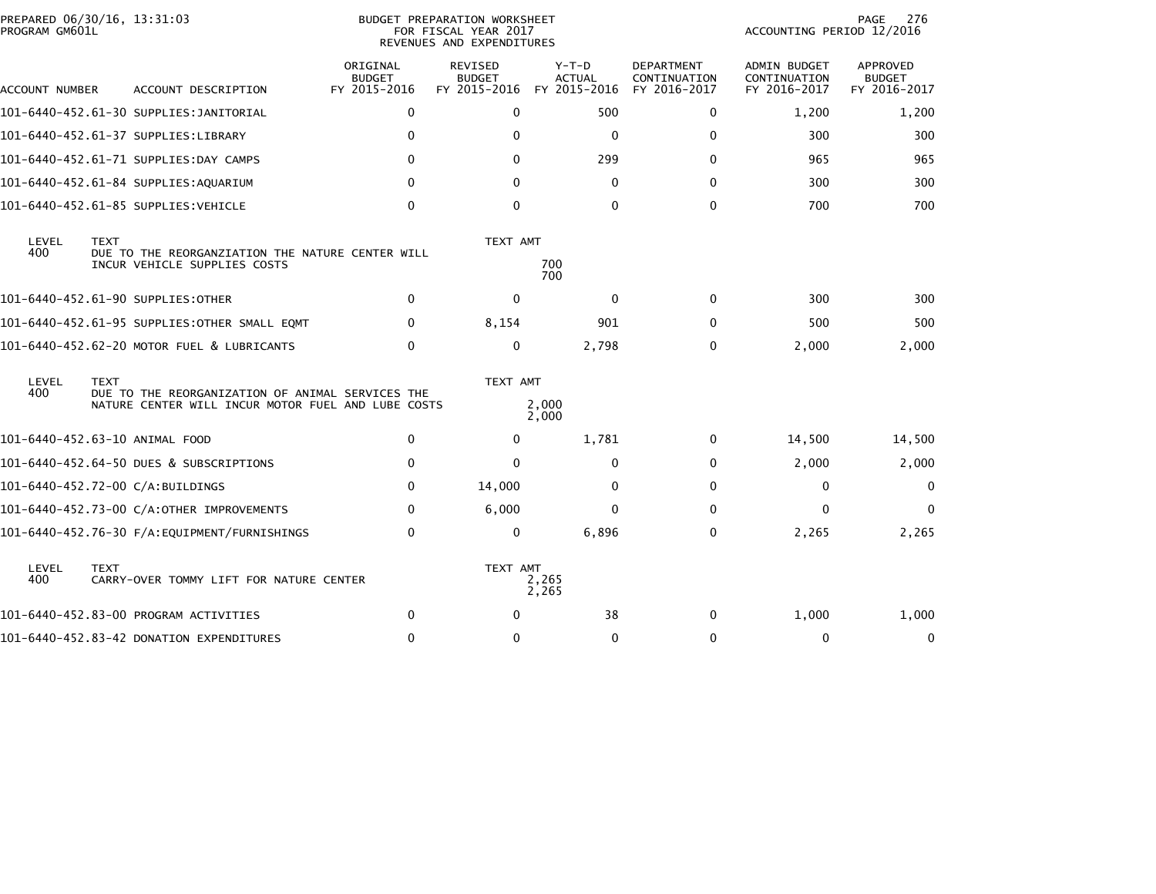| PREPARED 06/30/16, 13:31:03<br>PROGRAM GM601L |             |                                                                                                        |                                           | <b>BUDGET PREPARATION WORKSHEET</b><br>FOR FISCAL YEAR 2017<br>REVENUES AND EXPENDITURES |                                          |                                            | ACCOUNTING PERIOD 12/2016                           | 276<br>PAGE                               |
|-----------------------------------------------|-------------|--------------------------------------------------------------------------------------------------------|-------------------------------------------|------------------------------------------------------------------------------------------|------------------------------------------|--------------------------------------------|-----------------------------------------------------|-------------------------------------------|
| ACCOUNT NUMBER                                |             | ACCOUNT DESCRIPTION                                                                                    | ORIGINAL<br><b>BUDGET</b><br>FY 2015-2016 | REVISED<br><b>BUDGET</b><br>FY 2015-2016                                                 | $Y-T-D$<br><b>ACTUAL</b><br>FY 2015-2016 | DEPARTMENT<br>CONTINUATION<br>FY 2016-2017 | <b>ADMIN BUDGET</b><br>CONTINUATION<br>FY 2016-2017 | APPROVED<br><b>BUDGET</b><br>FY 2016-2017 |
|                                               |             | 101-6440-452.61-30 SUPPLIES: JANITORIAL                                                                | 0                                         | $\Omega$                                                                                 | 500                                      | 0                                          | 1,200                                               | 1,200                                     |
|                                               |             | 101-6440-452.61-37 SUPPLIES:LIBRARY                                                                    | $\mathbf 0$                               | $\Omega$                                                                                 | 0                                        | 0                                          | 300                                                 | 300                                       |
|                                               |             | 101-6440-452.61-71 SUPPLIES:DAY CAMPS                                                                  | $\Omega$                                  | 0                                                                                        | 299                                      | $\bf{0}$                                   | 965                                                 | 965                                       |
|                                               |             | 101-6440-452.61-84 SUPPLIES:AQUARIUM                                                                   | $\mathbf{0}$                              | $\mathbf{0}$                                                                             | $\mathbf 0$                              | 0                                          | 300                                                 | 300                                       |
|                                               |             | 101-6440-452.61-85 SUPPLIES:VEHICLE                                                                    | $\Omega$                                  | $\Omega$                                                                                 | $\Omega$                                 | $\mathbf{0}$                               | 700                                                 | 700                                       |
| LEVEL<br>400                                  | <b>TEXT</b> | DUE TO THE REORGANZIATION THE NATURE CENTER WILL<br>INCUR VEHICLE SUPPLIES COSTS                       |                                           | TEXT AMT                                                                                 | 700<br>700                               |                                            |                                                     |                                           |
|                                               |             | 101-6440-452.61-90 SUPPLIES:OTHER                                                                      | $\mathbf 0$                               | $\mathbf 0$                                                                              | $\mathbf{0}$                             | 0                                          | 300                                                 | 300                                       |
|                                               |             | 101-6440-452.61-95 SUPPLIES:OTHER SMALL EOMT                                                           | $\Omega$                                  | 8,154                                                                                    | 901                                      | $\Omega$                                   | 500                                                 | 500                                       |
|                                               |             | 101-6440-452.62-20 MOTOR FUEL & LUBRICANTS                                                             | $\mathbf 0$                               | $\mathbf{0}$                                                                             | 2,798                                    | $\mathbf 0$                                | 2,000                                               | 2,000                                     |
| LEVEL<br>400                                  | <b>TEXT</b> | DUE TO THE REORGANIZATION OF ANIMAL SERVICES THE<br>NATURE CENTER WILL INCUR MOTOR FUEL AND LUBE COSTS |                                           | TEXT AMT                                                                                 | 2,000<br>2,000                           |                                            |                                                     |                                           |
| 101-6440-452.63-10 ANIMAL FOOD                |             |                                                                                                        | 0                                         | $\mathbf{0}$                                                                             | 1,781                                    | $\Omega$                                   | 14,500                                              | 14,500                                    |
|                                               |             | 101-6440-452.64-50 DUES & SUBSCRIPTIONS                                                                | $\mathbf 0$                               | $\mathbf{0}$                                                                             | 0                                        | 0                                          | 2,000                                               | 2,000                                     |
|                                               |             | 101-6440-452.72-00 C/A:BUILDINGS                                                                       | $\mathbf{0}$                              | 14,000                                                                                   | $\bf{0}$                                 | $\mathbf{0}$                               | 0                                                   | $\Omega$                                  |
|                                               |             | 101-6440-452.73-00 C/A:OTHER IMPROVEMENTS                                                              | 0                                         | 6,000                                                                                    | $\Omega$                                 | $\mathbf{0}$                               | $\mathbf{0}$                                        | $\mathbf{0}$                              |
|                                               |             | 101-6440-452.76-30 F/A:EQUIPMENT/FURNISHINGS                                                           | $\mathbf{0}$                              | $\mathbf{0}$                                                                             | 6,896                                    | $\mathbf{0}$                               | 2,265                                               | 2,265                                     |
| LEVEL<br>400                                  | <b>TEXT</b> | CARRY-OVER TOMMY LIFT FOR NATURE CENTER                                                                |                                           | TEXT AMT                                                                                 | 2,265<br>2,265                           |                                            |                                                     |                                           |
|                                               |             | 101-6440-452.83-00 PROGRAM ACTIVITIES                                                                  | $\mathbf 0$                               | $\Omega$                                                                                 | 38                                       | $\mathbf{0}$                               | 1,000                                               | 1,000                                     |
|                                               |             | 101-6440-452.83-42 DONATION EXPENDITURES                                                               | $\mathbf 0$                               | $\mathbf{0}$                                                                             | 0                                        | $\mathbf 0$                                | 0                                                   | 0                                         |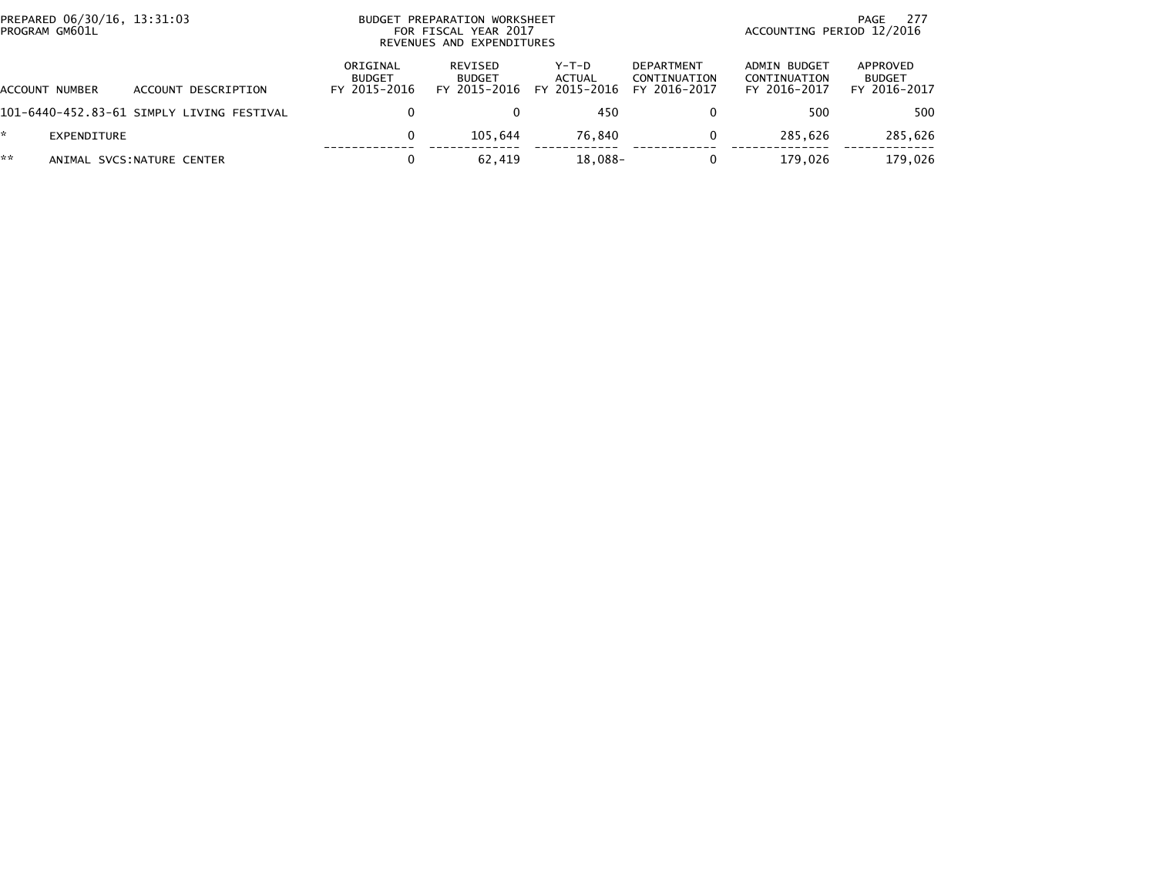| PREPARED 06/30/16, 13:31:03<br>PROGRAM GM601L |                                           |                                           | BUDGET PREPARATION WORKSHEET<br>FOR FISCAL YEAR 2017<br>REVENUES AND EXPENDITURES | 277<br>PAGE<br>ACCOUNTING PERIOD 12/2016 |                                                   |                                              |                                           |
|-----------------------------------------------|-------------------------------------------|-------------------------------------------|-----------------------------------------------------------------------------------|------------------------------------------|---------------------------------------------------|----------------------------------------------|-------------------------------------------|
| ACCOUNT NUMBER                                | ACCOUNT DESCRIPTION                       | ORIGINAL<br><b>BUDGET</b><br>FY 2015-2016 | <b>REVISED</b><br><b>BUDGET</b><br>FY 2015-2016                                   | Y-T-D<br>ACTUAL<br>FY 2015-2016          | <b>DEPARTMENT</b><br>CONTINUATION<br>FY 2016-2017 | ADMIN BUDGET<br>CONTINUATION<br>FY 2016-2017 | APPROVED<br><b>BUDGET</b><br>FY 2016-2017 |
|                                               | 101-6440-452.83-61 SIMPLY LIVING FESTIVAL |                                           |                                                                                   | 450                                      | 0                                                 | 500                                          | 500                                       |
| EXPENDITURE                                   |                                           |                                           | 105.644                                                                           | 76.840                                   | $\Omega$                                          | 285.626                                      | 285,626                                   |
| **                                            | ANIMAL SVCS: NATURE CENTER                |                                           | 62,419                                                                            | 18,088-                                  | 0                                                 | 179.026                                      | 179,026                                   |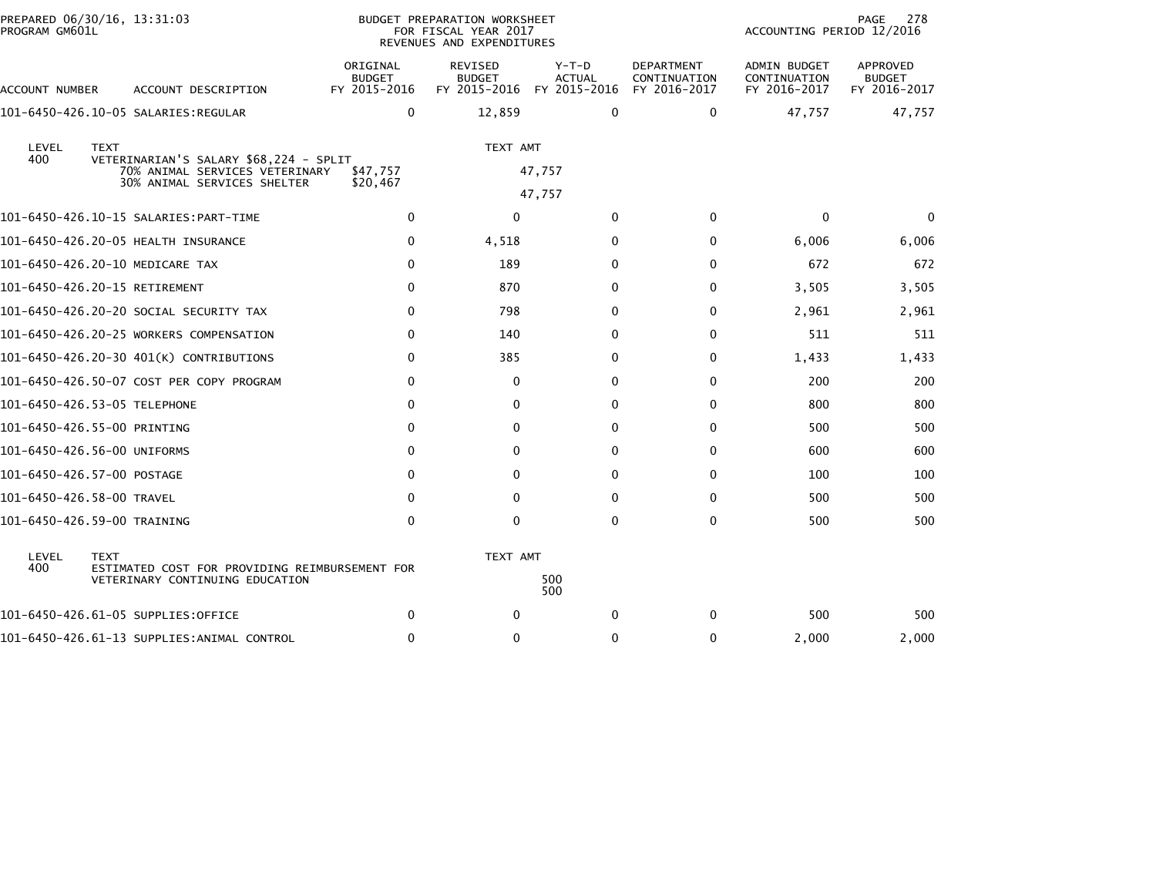| PROGRAM GM601L | PREPARED 06/30/16, 13:31:03                                                       |                                           | BUDGET PREPARATION WORKSHEET<br>FOR FISCAL YEAR 2017<br>REVENUES AND EXPENDITURES |                                        |                                                   | ACCOUNTING PERIOD 12/2016                    | 278<br>PAGE                               |
|----------------|-----------------------------------------------------------------------------------|-------------------------------------------|-----------------------------------------------------------------------------------|----------------------------------------|---------------------------------------------------|----------------------------------------------|-------------------------------------------|
| ACCOUNT NUMBER | ACCOUNT DESCRIPTION                                                               | ORIGINAL<br><b>BUDGET</b><br>FY 2015-2016 | <b>REVISED</b><br><b>BUDGET</b><br>FY 2015-2016                                   | Y-T-D<br><b>ACTUAL</b><br>FY 2015-2016 | <b>DEPARTMENT</b><br>CONTINUATION<br>FY 2016-2017 | ADMIN BUDGET<br>CONTINUATION<br>FY 2016-2017 | APPROVED<br><b>BUDGET</b><br>FY 2016-2017 |
|                |                                                                                   | $\mathbf{0}$                              | 12,859                                                                            | $\mathbf{0}$                           | $\Omega$                                          | 47,757                                       | 47,757                                    |
|                |                                                                                   |                                           |                                                                                   |                                        |                                                   |                                              |                                           |
| LEVEL<br>400   | <b>TEXT</b>                                                                       |                                           | TEXT AMT                                                                          |                                        |                                                   |                                              |                                           |
|                | VETERINARIAN'S SALARY \$68,224 - SPLIT<br>70% ANIMAL SERVICES VETERINARY          | \$47,757                                  |                                                                                   | 47,757                                 |                                                   |                                              |                                           |
|                | 30% ANIMAL SERVICES SHELTER                                                       | \$20,467                                  |                                                                                   | 47,757                                 |                                                   |                                              |                                           |
|                |                                                                                   | 0                                         | $\Omega$                                                                          | $\mathbf{0}$                           | $\Omega$                                          | $\Omega$                                     | $\mathbf{0}$                              |
|                | 101-6450-426.20-05 HEALTH INSURANCE                                               | 0                                         | 4,518                                                                             | 0                                      | 0                                                 | 6,006                                        | 6,006                                     |
|                | 101-6450-426.20-10 MEDICARE TAX                                                   | $\mathbf{0}$                              | 189                                                                               | $\Omega$                               | $\Omega$                                          | 672                                          | 672                                       |
|                | 101-6450-426.20-15 RETIREMENT                                                     | $\mathbf{0}$                              | 870                                                                               | $\Omega$                               | 0                                                 | 3,505                                        | 3,505                                     |
|                | 101-6450-426.20-20 SOCIAL SECURITY TAX                                            | $\mathbf{0}$                              | 798                                                                               | $\Omega$                               | 0                                                 | 2,961                                        | 2,961                                     |
|                | 101-6450-426.20-25 WORKERS COMPENSATION                                           | $\mathbf{0}$                              | 140                                                                               | $\Omega$                               | $\Omega$                                          | 511                                          | 511                                       |
|                | 101-6450-426.20-30 401(K) CONTRIBUTIONS                                           | $\Omega$                                  | 385                                                                               | $\Omega$                               | 0                                                 | 1,433                                        | 1,433                                     |
|                | 101-6450-426.50-07 COST PER COPY PROGRAM                                          | 0                                         | 0                                                                                 | 0                                      | 0                                                 | 200                                          | 200                                       |
|                | 101-6450-426.53-05 TELEPHONE                                                      | $\Omega$                                  | $\mathbf{0}$                                                                      | $\Omega$                               | 0                                                 | 800                                          | 800                                       |
|                | 101-6450-426.55-00 PRINTING                                                       | $\mathbf{0}$                              | $\Omega$                                                                          | $\Omega$                               | $\Omega$                                          | 500                                          | 500                                       |
|                | 101-6450-426.56-00 UNIFORMS                                                       | 0                                         | $\Omega$                                                                          | $\Omega$                               | $\Omega$                                          | 600                                          | 600                                       |
|                | 101-6450-426.57-00 POSTAGE                                                        | 0                                         | $\Omega$                                                                          | $\Omega$                               | $\Omega$                                          | 100                                          | 100                                       |
|                | 101-6450-426.58-00 TRAVEL                                                         | $\Omega$                                  | $\Omega$                                                                          | $\Omega$                               | $\Omega$                                          | 500                                          | 500                                       |
|                | 101-6450-426.59-00 TRAINING                                                       | $\Omega$                                  | $\Omega$                                                                          | $\Omega$                               | $\mathbf{0}$                                      | 500                                          | 500                                       |
| LEVEL          | <b>TEXT</b>                                                                       |                                           | TEXT AMT                                                                          |                                        |                                                   |                                              |                                           |
| 400            | ESTIMATED COST FOR PROVIDING REIMBURSEMENT FOR<br>VETERINARY CONTINUING EDUCATION |                                           |                                                                                   | 500                                    |                                                   |                                              |                                           |
|                |                                                                                   |                                           |                                                                                   | 500                                    |                                                   |                                              |                                           |
|                | 101-6450-426.61-05 SUPPLIES:OFFICE                                                | 0                                         | $\Omega$                                                                          | 0                                      | 0                                                 | 500                                          | 500                                       |
|                | 101-6450-426.61-13 SUPPLIES: ANIMAL CONTROL                                       | $\Omega$                                  | $\mathbf{0}$                                                                      | $\Omega$                               | $\Omega$                                          | 2,000                                        | 2,000                                     |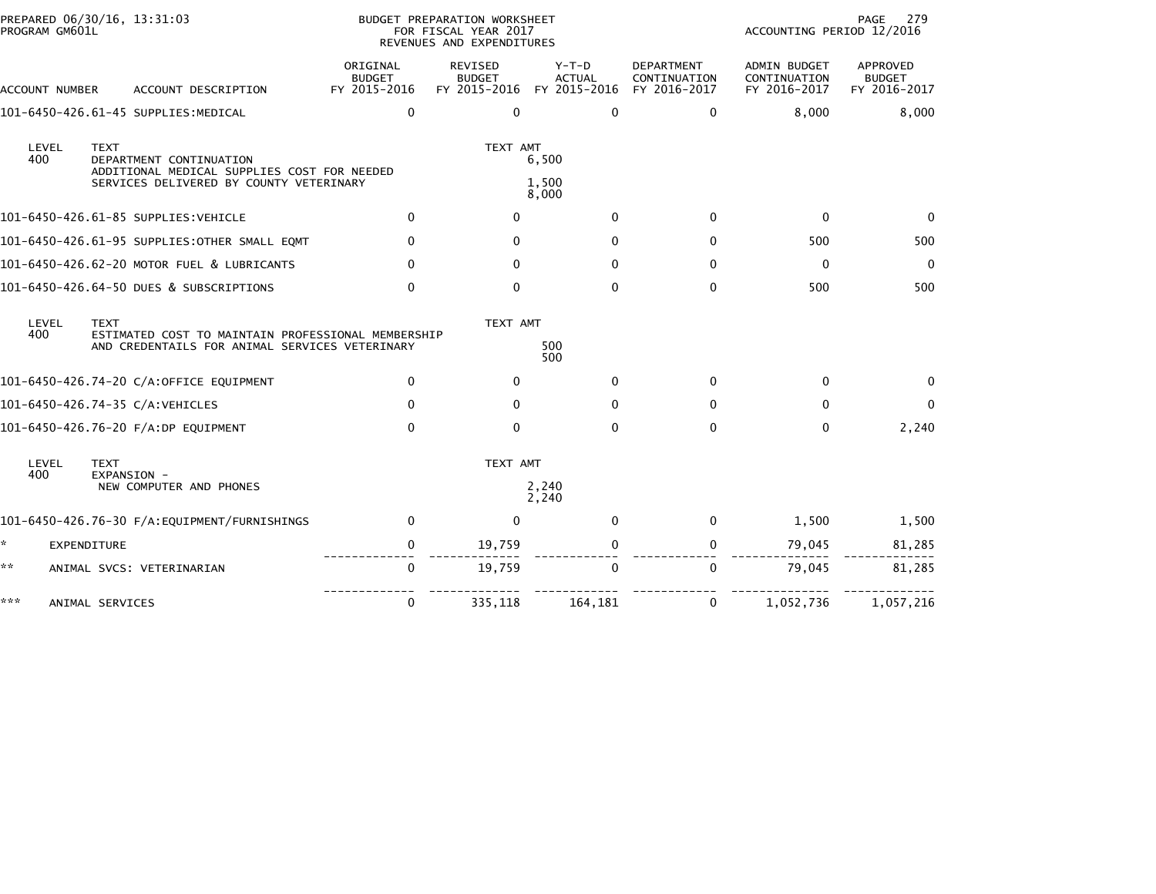| PROGRAM GM601L | PREPARED 06/30/16, 13:31:03                                                                                                      | BUDGET PREPARATION WORKSHEET<br>FOR FISCAL YEAR 2017<br>REVENUES AND EXPENDITURES |                                                 |                                          |                                                   | 279<br>PAGE<br>ACCOUNTING PERIOD 12/2016            |                                                  |  |
|----------------|----------------------------------------------------------------------------------------------------------------------------------|-----------------------------------------------------------------------------------|-------------------------------------------------|------------------------------------------|---------------------------------------------------|-----------------------------------------------------|--------------------------------------------------|--|
| ACCOUNT NUMBER | ACCOUNT DESCRIPTION                                                                                                              | ORIGINAL<br><b>BUDGET</b><br>FY 2015-2016                                         | <b>REVISED</b><br><b>BUDGET</b><br>FY 2015-2016 | $Y-T-D$<br><b>ACTUAL</b><br>FY 2015-2016 | <b>DEPARTMENT</b><br>CONTINUATION<br>FY 2016-2017 | <b>ADMIN BUDGET</b><br>CONTINUATION<br>FY 2016-2017 | <b>APPROVED</b><br><b>BUDGET</b><br>FY 2016-2017 |  |
|                | 101-6450-426.61-45 SUPPLIES:MEDICAL                                                                                              | $\mathbf{0}$                                                                      | $\Omega$                                        | $\Omega$                                 | $\mathbf{0}$                                      | 8,000                                               | 8,000                                            |  |
| LEVEL<br>400   | <b>TEXT</b><br>DEPARTMENT CONTINUATION<br>ADDITIONAL MEDICAL SUPPLIES COST FOR NEEDED<br>SERVICES DELIVERED BY COUNTY VETERINARY |                                                                                   | TEXT AMT                                        | 6,500<br>1,500                           |                                                   |                                                     |                                                  |  |
|                | 101-6450-426.61-85 SUPPLIES:VEHICLE                                                                                              | $\mathbf{0}$                                                                      | $\Omega$                                        | 8,000<br>$\Omega$                        | $\Omega$                                          | $\mathbf{0}$                                        | $\Omega$                                         |  |
|                | 101-6450-426.61-95 SUPPLIES:OTHER SMALL EQMT                                                                                     | 0                                                                                 | 0                                               | $\Omega$                                 | $\Omega$                                          | 500                                                 | 500                                              |  |
|                | 101-6450-426.62-20 MOTOR FUEL & LUBRICANTS                                                                                       | 0                                                                                 | $\mathbf{0}$                                    | $\mathbf{0}$                             | $\Omega$                                          | $\mathbf 0$                                         | $\mathbf 0$                                      |  |
|                | 101-6450-426.64-50 DUES & SUBSCRIPTIONS                                                                                          | $\Omega$                                                                          | $\Omega$                                        | $\Omega$                                 | $\Omega$                                          | 500                                                 | 500                                              |  |
| LEVEL<br>400   | <b>TEXT</b><br>ESTIMATED COST TO MAINTAIN PROFESSIONAL MEMBERSHIP<br>AND CREDENTAILS FOR ANIMAL SERVICES VETERINARY              |                                                                                   | TEXT AMT                                        | 500<br>500                               |                                                   |                                                     |                                                  |  |
|                | 101-6450-426.74-20 C/A:OFFICE EQUIPMENT                                                                                          | 0                                                                                 | $\mathbf{0}$                                    | $\Omega$                                 | $\mathbf{0}$                                      | $\mathbf 0$                                         | $\mathbf{0}$                                     |  |
|                | 101-6450-426.74-35 C/A:VEHICLES                                                                                                  | $\mathbf{0}$                                                                      | $\Omega$                                        | $\Omega$                                 | $\mathbf{0}$                                      | $\mathbf{0}$                                        | $\mathbf{0}$                                     |  |
|                | 101-6450-426.76-20 F/A:DP EQUIPMENT                                                                                              | $\Omega$                                                                          | $\Omega$                                        | $\Omega$                                 | $\Omega$                                          | 0                                                   | 2,240                                            |  |
| LEVEL          | <b>TEXT</b>                                                                                                                      |                                                                                   | TEXT AMT                                        |                                          |                                                   |                                                     |                                                  |  |
| 400            | EXPANSION -<br>NEW COMPUTER AND PHONES                                                                                           |                                                                                   |                                                 | 2,240<br>2,240                           |                                                   |                                                     |                                                  |  |
|                | 101-6450-426.76-30 F/A:EQUIPMENT/FURNISHINGS                                                                                     | $\mathbf 0$                                                                       | $\mathbf 0$                                     | $\mathbf 0$                              | 0                                                 | 1,500                                               | 1,500                                            |  |
| ☆.             | EXPENDITURE                                                                                                                      | 0                                                                                 | 19,759                                          | 0                                        | 0                                                 | 79,045                                              | 81,285                                           |  |
| **             | ANIMAL SVCS: VETERINARIAN                                                                                                        | $\mathbf{0}$                                                                      | 19,759                                          | $\Omega$                                 | $\mathbf{0}$                                      | 79,045                                              | 81,285                                           |  |
| ***            | ANIMAL SERVICES                                                                                                                  | 0                                                                                 | 335,118                                         | 164,181                                  | 0                                                 | 1,052,736                                           | 1,057,216                                        |  |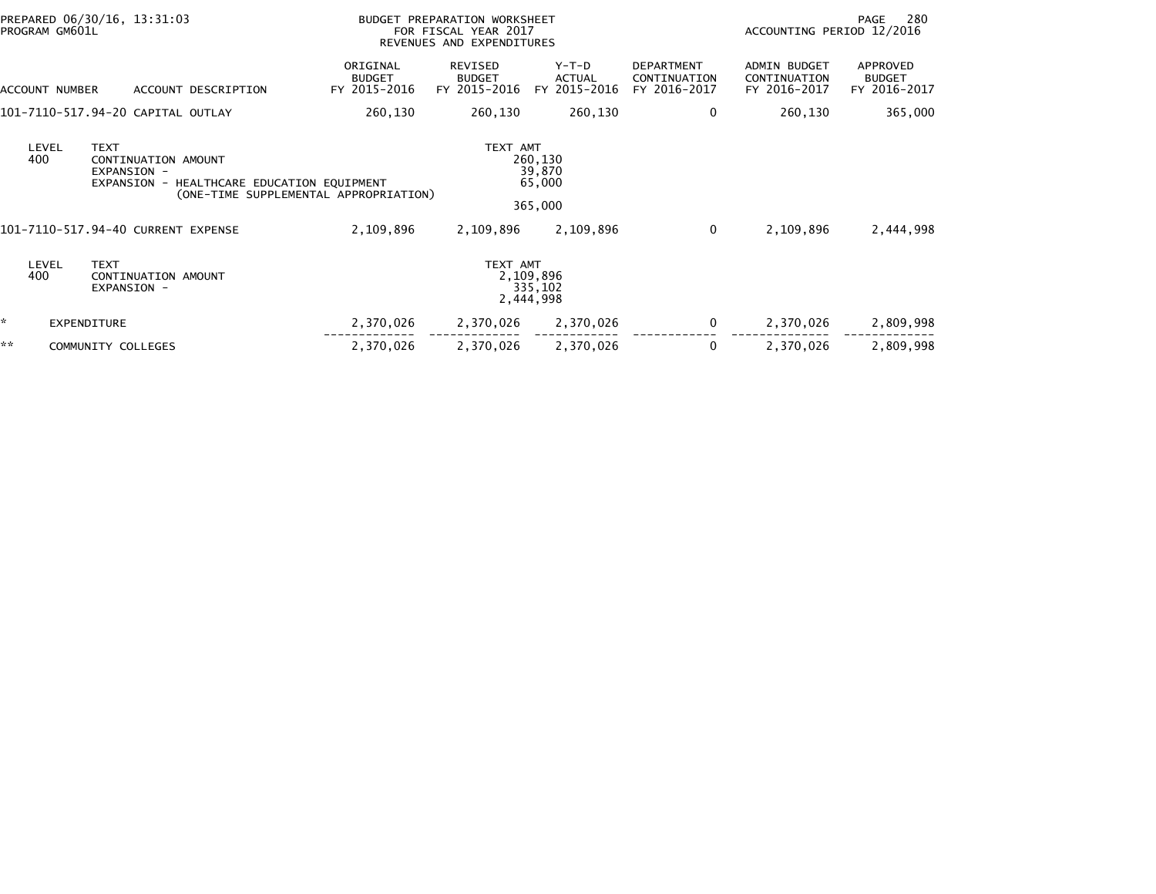|    | PREPARED 06/30/16, 13:31:03<br>PROGRAM GM601L |                                                                                                                                             |                                           | BUDGET PREPARATION WORKSHEET<br>FOR FISCAL YEAR 2017<br>REVENUES AND EXPENDITURES |                                          | 280<br>PAGE<br>ACCOUNTING PERIOD 12/2016          |                                                     |                                           |
|----|-----------------------------------------------|---------------------------------------------------------------------------------------------------------------------------------------------|-------------------------------------------|-----------------------------------------------------------------------------------|------------------------------------------|---------------------------------------------------|-----------------------------------------------------|-------------------------------------------|
|    | ACCOUNT NUMBER                                | ACCOUNT DESCRIPTION                                                                                                                         | ORIGINAL<br><b>BUDGET</b><br>FY 2015-2016 | <b>REVISED</b><br><b>BUDGET</b><br>FY 2015-2016                                   | $Y-T-D$<br><b>ACTUAL</b><br>FY 2015-2016 | <b>DEPARTMENT</b><br>CONTINUATION<br>FY 2016-2017 | <b>ADMIN BUDGET</b><br>CONTINUATION<br>FY 2016-2017 | APPROVED<br><b>BUDGET</b><br>FY 2016-2017 |
|    |                                               | 101-7110-517.94-20 CAPITAL OUTLAY                                                                                                           | 260,130                                   | 260,130                                                                           | 260,130                                  | 0                                                 | 260,130                                             | 365,000                                   |
|    | LEVEL<br>400                                  | <b>TEXT</b><br>CONTINUATION AMOUNT<br>EXPANSION -<br>HEALTHCARE EDUCATION EQUIPMENT<br>EXPANSION -<br>(ONE-TIME SUPPLEMENTAL APPROPRIATION) |                                           | TEXT AMT                                                                          | 260,130<br>39,870<br>65,000<br>365,000   |                                                   |                                                     |                                           |
|    |                                               | 101-7110-517.94-40 CURRENT EXPENSE                                                                                                          | 2,109,896                                 | 2,109,896                                                                         | 2,109,896                                | 0                                                 | 2,109,896                                           | 2,444,998                                 |
|    | LEVEL<br>400                                  | <b>TEXT</b><br>CONTINUATION AMOUNT<br>EXPANSION -                                                                                           |                                           | TEXT AMT                                                                          | 2,109,896<br>335,102<br>2,444,998        |                                                   |                                                     |                                           |
| *  | EXPENDITURE                                   |                                                                                                                                             | 2,370,026                                 | 2,370,026                                                                         | 2,370,026                                | 0                                                 | 2,370,026                                           | 2,809,998                                 |
| ** |                                               | COMMUNITY COLLEGES                                                                                                                          | 2,370,026                                 | 2,370,026                                                                         | 2,370,026                                | 0                                                 | 2,370,026                                           | 2,809,998                                 |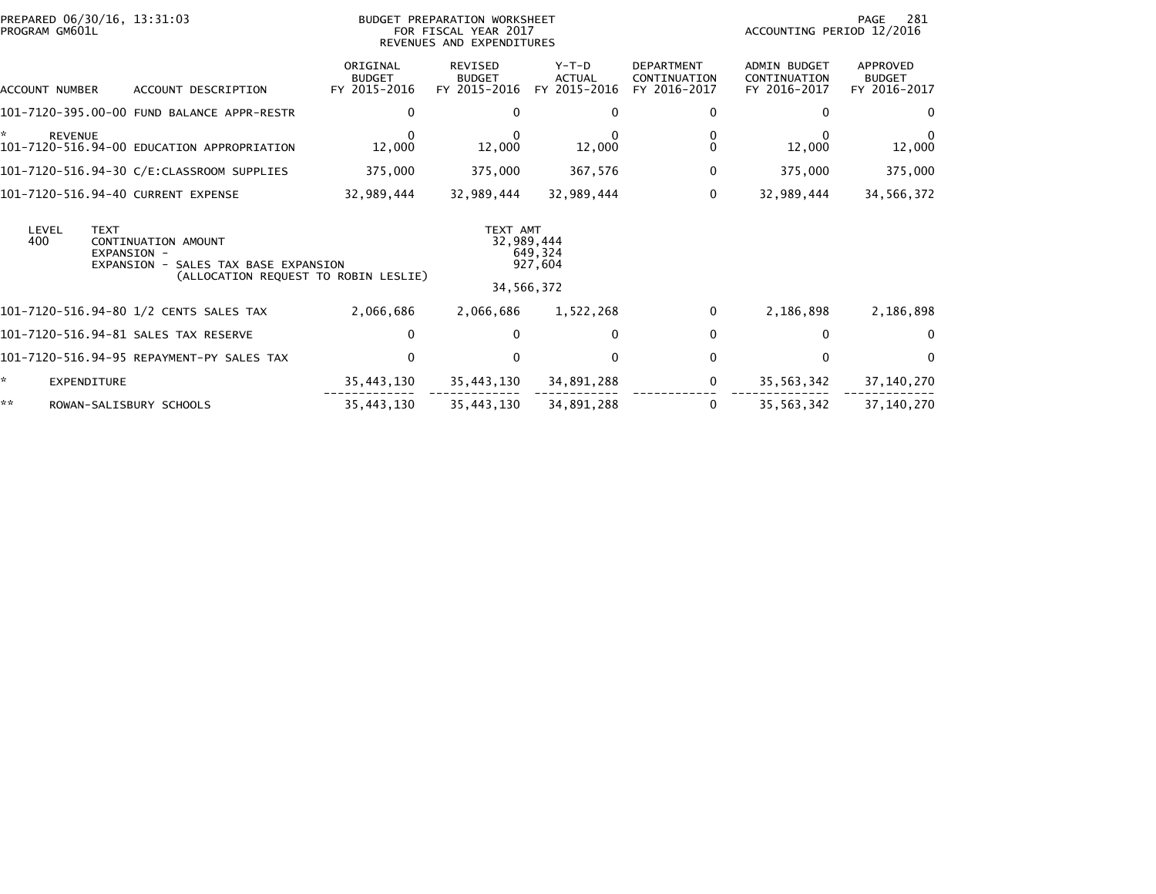| PREPARED 06/30/16, 13:31:03<br>PROGRAM GM601L                                                                                                        |                                           | BUDGET PREPARATION WORKSHEET<br>FOR FISCAL YEAR 2017<br>REVENUES AND EXPENDITURES | 281<br>PAGE<br>ACCOUNTING PERIOD 12/2016 |                                                   |                                                     |                                           |
|------------------------------------------------------------------------------------------------------------------------------------------------------|-------------------------------------------|-----------------------------------------------------------------------------------|------------------------------------------|---------------------------------------------------|-----------------------------------------------------|-------------------------------------------|
| ACCOUNT DESCRIPTION<br>ACCOUNT NUMBER                                                                                                                | ORIGINAL<br><b>BUDGET</b><br>FY 2015-2016 | REVISED<br><b>BUDGET</b><br>FY 2015-2016                                          | $Y-T-D$<br><b>ACTUAL</b><br>FY 2015-2016 | <b>DEPARTMENT</b><br>CONTINUATION<br>FY 2016-2017 | <b>ADMIN BUDGET</b><br>CONTINUATION<br>FY 2016-2017 | APPROVED<br><b>BUDGET</b><br>FY 2016-2017 |
| 101-7120-395.00-00 FUND BALANCE APPR-RESTR                                                                                                           | 0                                         |                                                                                   | 0                                        | 0                                                 | 0                                                   | $\mathbf{0}$                              |
| ×.<br><b>REVENUE</b><br>101-7120-516.94-00 EDUCATION APPROPRIATION                                                                                   | 12,000                                    | 12,000                                                                            | 12,000                                   | $\mathbf{0}$                                      | 12,000                                              | 12,000                                    |
| 101-7120-516.94-30 C/E:CLASSROOM SUPPLIES                                                                                                            | 375,000                                   | 375,000                                                                           | 367,576                                  | 0                                                 | 375,000                                             | 375,000                                   |
| 101-7120-516.94-40 CURRENT EXPENSE                                                                                                                   | 32,989,444                                | 32,989,444                                                                        | 32,989,444                               | 0                                                 | 32,989,444                                          | 34,566,372                                |
| <b>TEXT</b><br>LEVEL<br>400<br>CONTINUATION AMOUNT<br>EXPANSION -<br>EXPANSION -<br>SALES TAX BASE EXPANSION<br>(ALLOCATION REQUEST TO ROBIN LESLIE) |                                           | TEXT AMT                                                                          | 32,989,444<br>649,324<br>927,604         |                                                   |                                                     |                                           |
|                                                                                                                                                      |                                           |                                                                                   | 34,566,372                               |                                                   |                                                     |                                           |
| 101-7120-516.94-80 1/2 CENTS SALES TAX                                                                                                               | 2,066,686                                 | 2,066,686                                                                         | 1,522,268                                | 0                                                 | 2,186,898                                           | 2,186,898                                 |
| 101-7120-516.94-81 SALES TAX RESERVE                                                                                                                 | $\mathbf{0}$                              |                                                                                   | $\mathbf{0}$                             | $\mathbf{0}$                                      | $\Omega$                                            | $\Omega$                                  |
| 101-7120-516.94-95 REPAYMENT-PY SALES TAX                                                                                                            | $\Omega$                                  |                                                                                   | $\Omega$                                 | $\Omega$                                          | $\Omega$                                            | $\Omega$                                  |
| ÷.<br><b>EXPENDITURE</b>                                                                                                                             | 35,443,130                                | 35,443,130                                                                        | 34,891,288                               | 0                                                 | 35,563,342                                          | 37,140,270                                |
| **<br>ROWAN-SALISBURY SCHOOLS                                                                                                                        | 35,443,130                                | 35,443,130                                                                        | 34,891,288                               | 0                                                 | 35,563,342                                          | 37,140,270                                |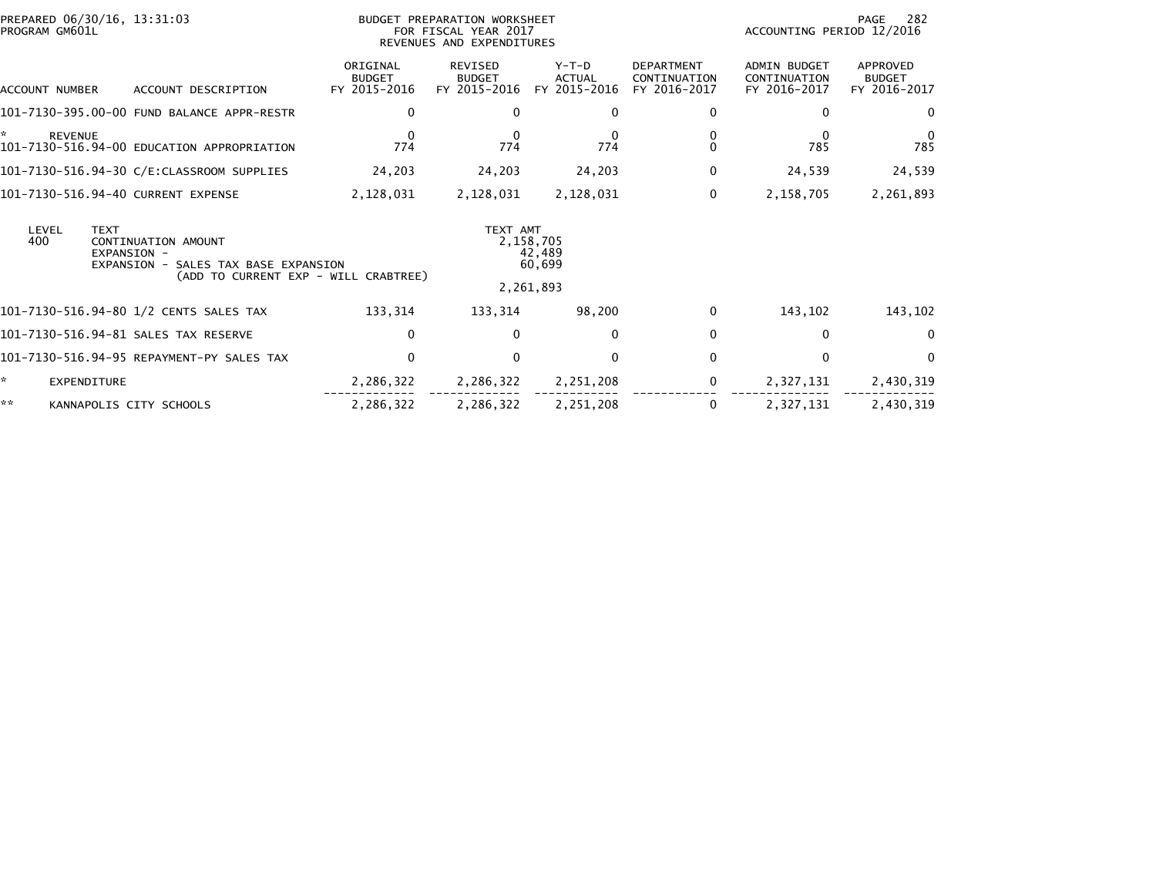| PREPARED 06/30/16, 13:31:03<br>PROGRAM GM601L                                                                |                                           | BUDGET PREPARATION WORKSHEET<br>FOR FISCAL YEAR 2017<br>REVENUES AND EXPENDITURES | 282<br>PAGE<br>ACCOUNTING PERIOD 12/2016 |                                                   |                                                     |                                           |
|--------------------------------------------------------------------------------------------------------------|-------------------------------------------|-----------------------------------------------------------------------------------|------------------------------------------|---------------------------------------------------|-----------------------------------------------------|-------------------------------------------|
| ACCOUNT DESCRIPTION<br><b>ACCOUNT NUMBER</b>                                                                 | ORIGINAL<br><b>BUDGET</b><br>FY 2015-2016 | REVISED<br><b>BUDGET</b><br>FY 2015-2016                                          | $Y-T-D$<br><b>ACTUAL</b><br>FY 2015-2016 | <b>DEPARTMENT</b><br>CONTINUATION<br>FY 2016-2017 | <b>ADMIN BUDGET</b><br>CONTINUATION<br>FY 2016-2017 | APPROVED<br><b>BUDGET</b><br>FY 2016-2017 |
| 101-7130-395.00-00 FUND BALANCE APPR-RESTR                                                                   | 0                                         | $\Omega$                                                                          | 0                                        | 0                                                 | $\mathbf{0}$                                        | 0                                         |
| *<br><b>REVENUE</b><br>101-7130-516.94-00 EDUCATION APPROPRIATION                                            | $\Omega$<br>774                           | $\Omega$<br>774                                                                   | 0<br>774                                 | 0<br>$\Omega$                                     | $\Omega$<br>785                                     | 0<br>785                                  |
| 101-7130-516.94-30 C/E:CLASSROOM SUPPLIES                                                                    | 24,203                                    | 24,203                                                                            | 24,203                                   | 0                                                 | 24,539                                              | 24,539                                    |
| 101-7130-516.94-40 CURRENT EXPENSE                                                                           | 2,128,031                                 | 2,128,031                                                                         | 2,128,031                                | 0                                                 | 2,158,705                                           | 2,261,893                                 |
| <b>TEXT</b><br>LEVEL<br>400<br>CONTINUATION AMOUNT<br>EXPANSION -<br>EXPANSION -<br>SALES TAX BASE EXPANSION |                                           | TEXT AMT                                                                          | 2,158,705<br>42,489<br>60,699            |                                                   |                                                     |                                           |
|                                                                                                              | (ADD TO CURRENT EXP - WILL CRABTREE)      |                                                                                   | 2,261,893                                |                                                   |                                                     |                                           |
| 101-7130-516.94-80 1/2 CENTS SALES TAX                                                                       | 133,314                                   | 133,314                                                                           | 98,200                                   | 0                                                 | 143,102                                             | 143,102                                   |
| 101-7130-516.94-81 SALES TAX RESERVE                                                                         | $\mathbf{0}$                              | $\Omega$                                                                          | $\mathbf{0}$                             | $\mathbf 0$                                       | $\bf{0}$                                            | $\Omega$                                  |
| 101–7130–516.94–95 REPAYMENT–PY SALES TAX                                                                    | $\Omega$                                  | $\Omega$                                                                          | $\Omega$                                 | $\mathbf{0}$                                      | $\Omega$                                            | $\Omega$                                  |
| ÷.<br><b>EXPENDITURE</b>                                                                                     | 2,286,322                                 | 2,286,322                                                                         | 2,251,208                                | 0                                                 | 2,327,131                                           | 2,430,319                                 |
| **<br>KANNAPOLIS CITY SCHOOLS                                                                                | 2,286,322                                 | 2,286,322                                                                         | 2,251,208                                | 0                                                 | 2,327,131                                           | 2,430,319                                 |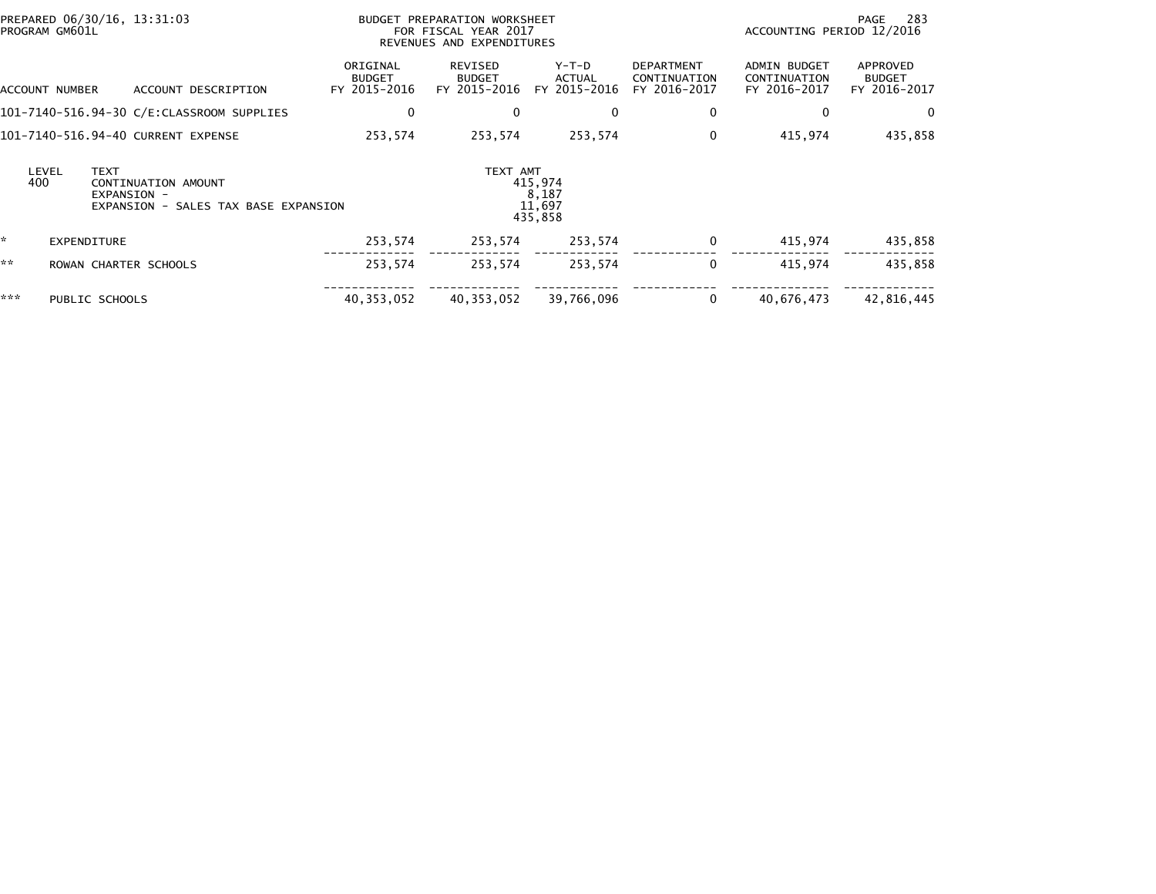|     | PROGRAM GM601L     | PREPARED 06/30/16, 13:31:03                       |                                           | BUDGET PREPARATION WORKSHEET<br>FOR FISCAL YEAR 2017<br>REVENUES AND EXPENDITURES |                                          |                                        |                                                   |                                                     | 283<br>PAGE<br>ACCOUNTING PERIOD 12/2016  |  |
|-----|--------------------|---------------------------------------------------|-------------------------------------------|-----------------------------------------------------------------------------------|------------------------------------------|----------------------------------------|---------------------------------------------------|-----------------------------------------------------|-------------------------------------------|--|
|     | ACCOUNT NUMBER     |                                                   | ACCOUNT DESCRIPTION                       | ORIGINAL<br><b>BUDGET</b><br>FY 2015-2016                                         | REVISED<br><b>BUDGET</b><br>FY 2015-2016 | Y-T-D<br><b>ACTUAL</b><br>FY 2015-2016 | <b>DEPARTMENT</b><br>CONTINUATION<br>FY 2016-2017 | <b>ADMIN BUDGET</b><br>CONTINUATION<br>FY 2016-2017 | APPROVED<br><b>BUDGET</b><br>FY 2016-2017 |  |
|     |                    |                                                   | 101-7140-516.94-30 C/E:CLASSROOM SUPPLIES | 0                                                                                 | $\bf{0}$                                 | $\mathbf{0}$                           | 0                                                 | 0                                                   | $\mathbf{0}$                              |  |
|     |                    | 101-7140-516.94-40 CURRENT EXPENSE                |                                           | 253,574                                                                           | 253,574                                  | 253,574                                | $\mathbf{0}$                                      | 415,974                                             | 435,858                                   |  |
|     | LEVEL<br>400       | <b>TEXT</b><br>CONTINUATION AMOUNT<br>EXPANSION - | EXPANSION - SALES TAX BASE EXPANSION      |                                                                                   | TEXT AMT                                 | 415,974<br>8,187<br>11.697<br>435,858  |                                                   |                                                     |                                           |  |
| *   | <b>EXPENDITURE</b> |                                                   |                                           | 253,574                                                                           | 253,574                                  | 253,574                                | 0                                                 | 415,974                                             | 435,858                                   |  |
| **  |                    | ROWAN CHARTER SCHOOLS                             |                                           | 253,574                                                                           | 253,574                                  | 253,574                                | $\mathbf{0}$                                      | 415.974                                             | 435,858                                   |  |
| *** |                    | PUBLIC SCHOOLS                                    |                                           | 40, 353, 052                                                                      | 40, 353, 052                             | 39,766,096                             | 0                                                 | 40,676,473                                          | 42,816,445                                |  |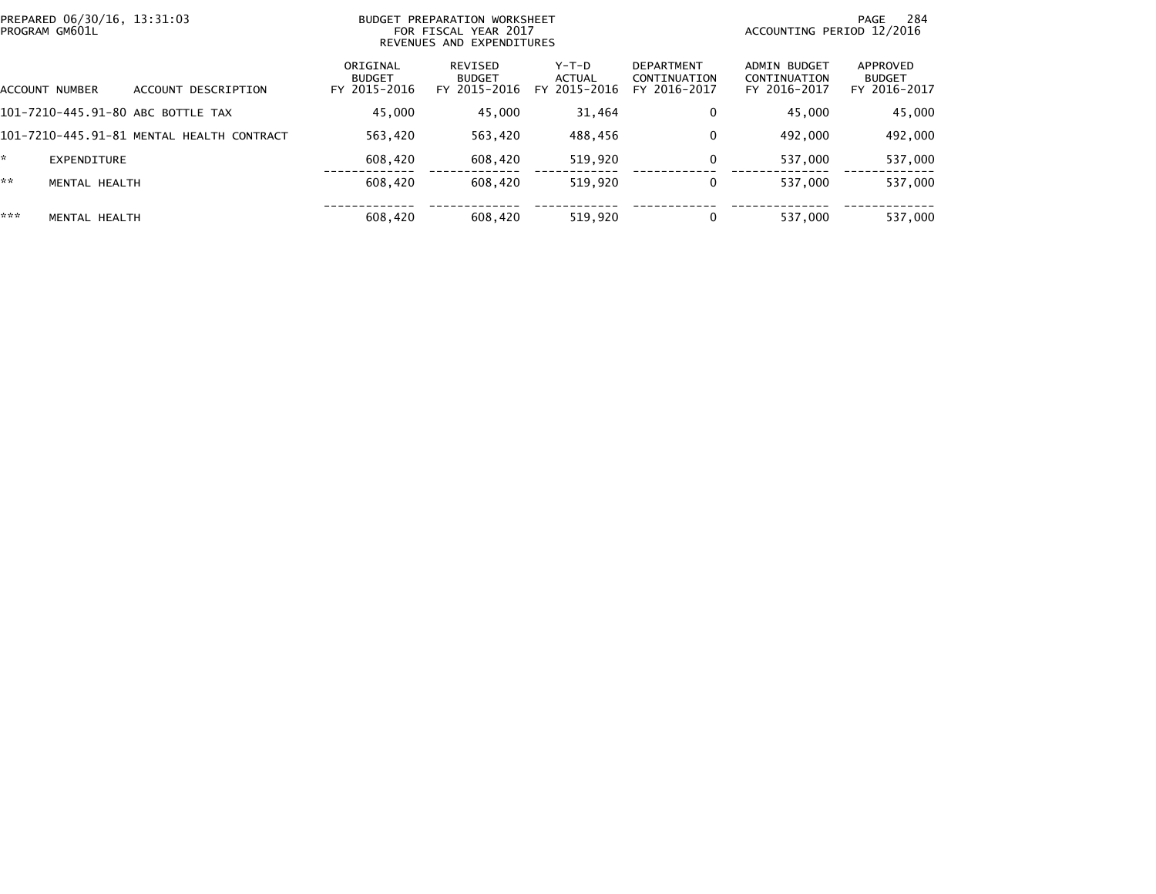|     | PREPARED 06/30/16, 13:31:03<br>PROGRAM GM601L | BUDGET PREPARATION WORKSHEET<br>FOR FISCAL YEAR 2017<br>REVENUES AND EXPENDITURES |                                           |                                          |                                          |                                                   |                                              | 284<br>PAGE<br>ACCOUNTING PERIOD 12/2016  |  |  |
|-----|-----------------------------------------------|-----------------------------------------------------------------------------------|-------------------------------------------|------------------------------------------|------------------------------------------|---------------------------------------------------|----------------------------------------------|-------------------------------------------|--|--|
|     | ACCOUNT NUMBER                                | ACCOUNT DESCRIPTION                                                               | ORIGINAL<br><b>BUDGET</b><br>FY 2015-2016 | REVISED<br><b>BUDGET</b><br>FY 2015-2016 | $Y-T-D$<br><b>ACTUAL</b><br>FY 2015-2016 | <b>DEPARTMENT</b><br>CONTINUATION<br>FY 2016-2017 | ADMIN BUDGET<br>CONTINUATION<br>FY 2016-2017 | APPROVED<br><b>BUDGET</b><br>FY 2016-2017 |  |  |
|     |                                               | 101-7210-445.91-80 ABC BOTTLE TAX                                                 | 45,000                                    | 45,000                                   | 31.464                                   | 0                                                 | 45,000                                       | 45,000                                    |  |  |
|     |                                               | 101-7210-445.91-81 MENTAL HEALTH CONTRACT                                         | 563.420                                   | 563,420                                  | 488.456                                  | 0                                                 | 492,000                                      | 492,000                                   |  |  |
| ×.  | <b>EXPENDITURE</b>                            |                                                                                   | 608.420                                   | 608,420                                  | 519,920                                  | $\mathbf 0$                                       | 537,000                                      | 537,000                                   |  |  |
| **  | MENTAL HEALTH                                 |                                                                                   | 608,420                                   | 608,420                                  | 519.920                                  | 0                                                 | 537.000                                      | 537,000                                   |  |  |
| *** | MENTAL HEALTH                                 |                                                                                   | 608,420                                   | 608,420                                  | 519.920                                  | 0                                                 | 537.000                                      | 537,000                                   |  |  |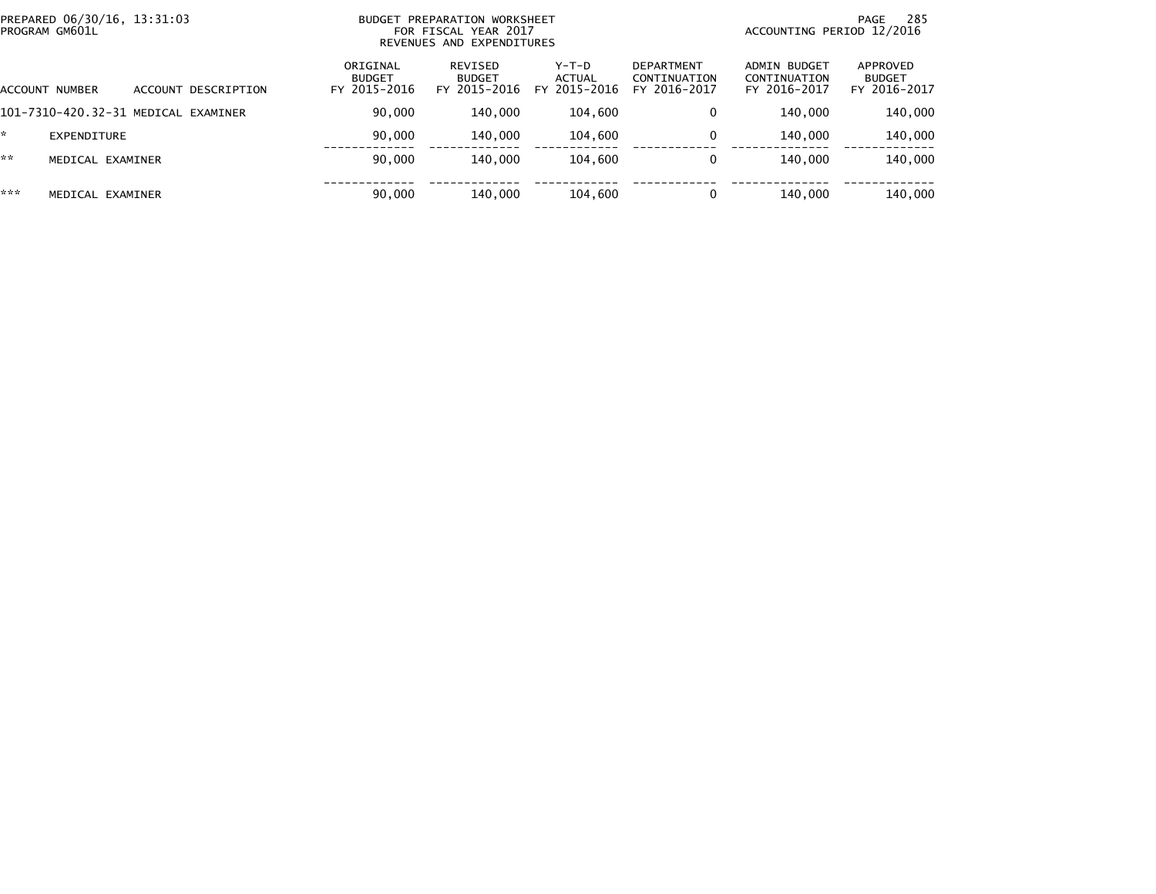| PREPARED 06/30/16, 13:31:03<br>PROGRAM GM601L |                     | <b>BUDGET</b>                             | PREPARATION WORKSHEET<br>FOR FISCAL YEAR 2017<br>REVENUES AND EXPENDITURES | ACCOUNTING PERIOD 12/2016         | 285<br>PAGE                                       |                                              |                                           |
|-----------------------------------------------|---------------------|-------------------------------------------|----------------------------------------------------------------------------|-----------------------------------|---------------------------------------------------|----------------------------------------------|-------------------------------------------|
| <b>ACCOUNT NUMBER</b>                         | ACCOUNT DESCRIPTION | ORIGINAL<br><b>BUDGET</b><br>FY 2015-2016 | REVISED<br><b>BUDGET</b><br>FY 2015-2016                                   | $Y-T-D$<br>ACTUAL<br>FY 2015-2016 | <b>DEPARTMENT</b><br>CONTINUATION<br>FY 2016-2017 | ADMIN BUDGET<br>CONTINUATION<br>FY 2016-2017 | APPROVED<br><b>BUDGET</b><br>FY 2016-2017 |
| 101-7310-420.32-31 MEDICAL EXAMINER           |                     | 90,000                                    | 140,000                                                                    | 104,600                           | 0                                                 | 140,000                                      | 140,000                                   |
| EXPENDITURE                                   |                     | 90,000                                    | 140,000                                                                    | 104,600                           | 0                                                 | 140,000                                      | 140,000                                   |
| **<br>MEDICAL EXAMINER                        |                     | 90,000                                    | 140,000                                                                    | 104,600                           | $\Omega$                                          | 140,000                                      | 140,000                                   |
| ***<br>MEDICAL EXAMINER                       |                     | 90,000                                    | 140,000                                                                    | 104,600                           | 0                                                 | 140,000                                      | 140,000                                   |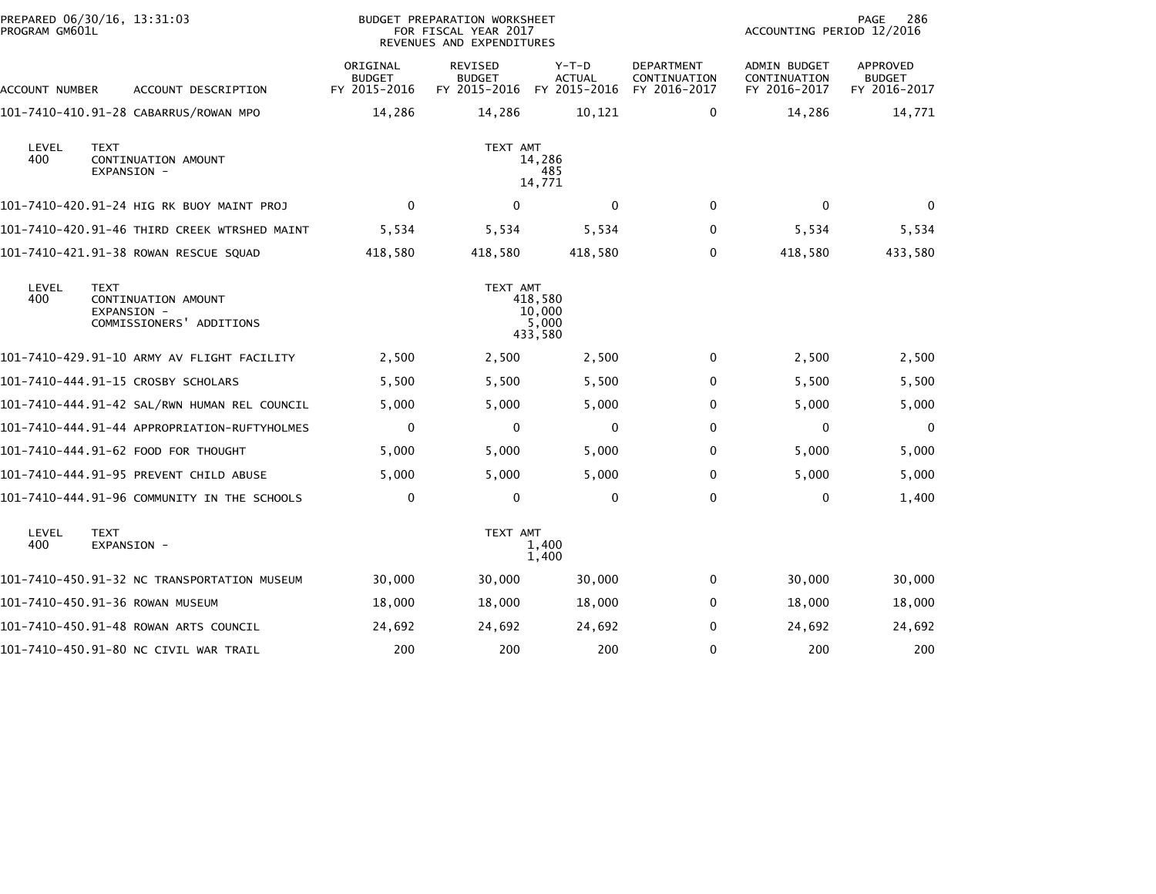| PREPARED 06/30/16, 13:31:03<br>PROGRAM GM601L |                                                                               | <b>BUDGET PREPARATION WORKSHEET</b><br>FOR FISCAL YEAR 2017<br>REVENUES AND EXPENDITURES |                                                       |                          | 286<br>PAGE<br>ACCOUNTING PERIOD 12/2016          |                                              |                                           |  |
|-----------------------------------------------|-------------------------------------------------------------------------------|------------------------------------------------------------------------------------------|-------------------------------------------------------|--------------------------|---------------------------------------------------|----------------------------------------------|-------------------------------------------|--|
| <b>ACCOUNT NUMBER</b>                         | ACCOUNT DESCRIPTION                                                           | ORIGINAL<br><b>BUDGET</b><br>FY 2015-2016                                                | REVISED<br><b>BUDGET</b><br>FY 2015-2016 FY 2015-2016 | $Y-T-D$<br><b>ACTUAL</b> | <b>DEPARTMENT</b><br>CONTINUATION<br>FY 2016-2017 | ADMIN BUDGET<br>CONTINUATION<br>FY 2016-2017 | APPROVED<br><b>BUDGET</b><br>FY 2016-2017 |  |
|                                               | 101-7410-410.91-28 CABARRUS/ROWAN MPO                                         | 14,286                                                                                   | 14,286                                                | 10,121                   | 0                                                 | 14,286                                       | 14,771                                    |  |
| LEVEL<br>400                                  | <b>TEXT</b><br>CONTINUATION AMOUNT<br>EXPANSION -                             | TEXT AMT<br>14,286<br>485<br>14,771                                                      |                                                       |                          |                                                   |                                              |                                           |  |
|                                               | 101-7410-420.91-24 HIG RK BUOY MAINT PROJ                                     | $\mathbf 0$                                                                              | $\mathbf{0}$                                          | $\mathbf{0}$             | $\mathbf 0$                                       | $\mathbf{0}$                                 | $\mathbf{0}$                              |  |
|                                               | 101-7410-420.91-46 THIRD CREEK WTRSHED MAINT                                  | 5,534                                                                                    | 5,534                                                 | 5,534                    | $\mathbf{0}$                                      | 5,534                                        | 5,534                                     |  |
|                                               | 101-7410-421.91-38 ROWAN RESCUE SQUAD                                         | 418,580                                                                                  | 418,580                                               | 418,580                  | 0                                                 | 418,580                                      | 433,580                                   |  |
| LEVEL<br>400                                  | <b>TEXT</b><br>CONTINUATION AMOUNT<br>EXPANSION -<br>COMMISSIONERS' ADDITIONS | TEXT AMT<br>418,580<br>10,000<br>5,000<br>433,580                                        |                                                       |                          |                                                   |                                              |                                           |  |
|                                               | 101-7410-429.91-10 ARMY AV FLIGHT FACILITY                                    | 2,500                                                                                    | 2,500                                                 | 2,500                    | 0                                                 | 2,500                                        | 2,500                                     |  |
|                                               | 101-7410-444.91-15 CROSBY SCHOLARS                                            | 5,500                                                                                    | 5,500                                                 | 5,500                    | 0                                                 | 5,500                                        | 5,500                                     |  |
|                                               | 101-7410-444.91-42 SAL/RWN HUMAN REL COUNCIL                                  | 5,000                                                                                    | 5,000                                                 | 5,000                    | $\mathbf 0$                                       | 5,000                                        | 5,000                                     |  |
|                                               | 101-7410-444.91-44 APPROPRIATION-RUFTYHOLMES                                  | $\mathbf 0$                                                                              | 0                                                     | 0                        | 0                                                 | 0                                            | 0                                         |  |
|                                               | 101-7410-444.91-62 FOOD FOR THOUGHT                                           | 5,000                                                                                    | 5,000                                                 | 5,000                    | 0                                                 | 5,000                                        | 5,000                                     |  |
|                                               | 101-7410-444.91-95 PREVENT CHILD ABUSE                                        | 5,000                                                                                    | 5,000                                                 | 5,000                    | $\mathbf 0$                                       | 5,000                                        | 5,000                                     |  |
|                                               | 101-7410-444.91-96 COMMUNITY IN THE SCHOOLS                                   | $\mathbf 0$                                                                              | $\mathbf 0$                                           | $\Omega$                 | $\mathbf 0$                                       | $\mathbf{0}$                                 | 1,400                                     |  |
| LEVEL<br>400                                  | <b>TEXT</b><br>EXPANSION -                                                    | TEXT AMT<br>1,400<br>1,400                                                               |                                                       |                          |                                                   |                                              |                                           |  |
|                                               | 101-7410-450.91-32 NC TRANSPORTATION MUSEUM                                   | 30,000                                                                                   | 30,000                                                | 30,000                   | 0                                                 | 30,000                                       | 30,000                                    |  |
|                                               | 101-7410-450.91-36 ROWAN MUSEUM                                               | 18,000                                                                                   | 18,000                                                | 18,000                   | $\mathbf{0}$                                      | 18,000                                       | 18,000                                    |  |
|                                               | 101-7410-450.91-48 ROWAN ARTS COUNCIL                                         | 24,692                                                                                   | 24,692                                                | 24,692                   | 0                                                 | 24,692                                       | 24,692                                    |  |
|                                               | 101-7410-450.91-80 NC CIVIL WAR TRAIL                                         | 200                                                                                      | 200                                                   | 200                      | $\mathbf 0$                                       | 200                                          | 200                                       |  |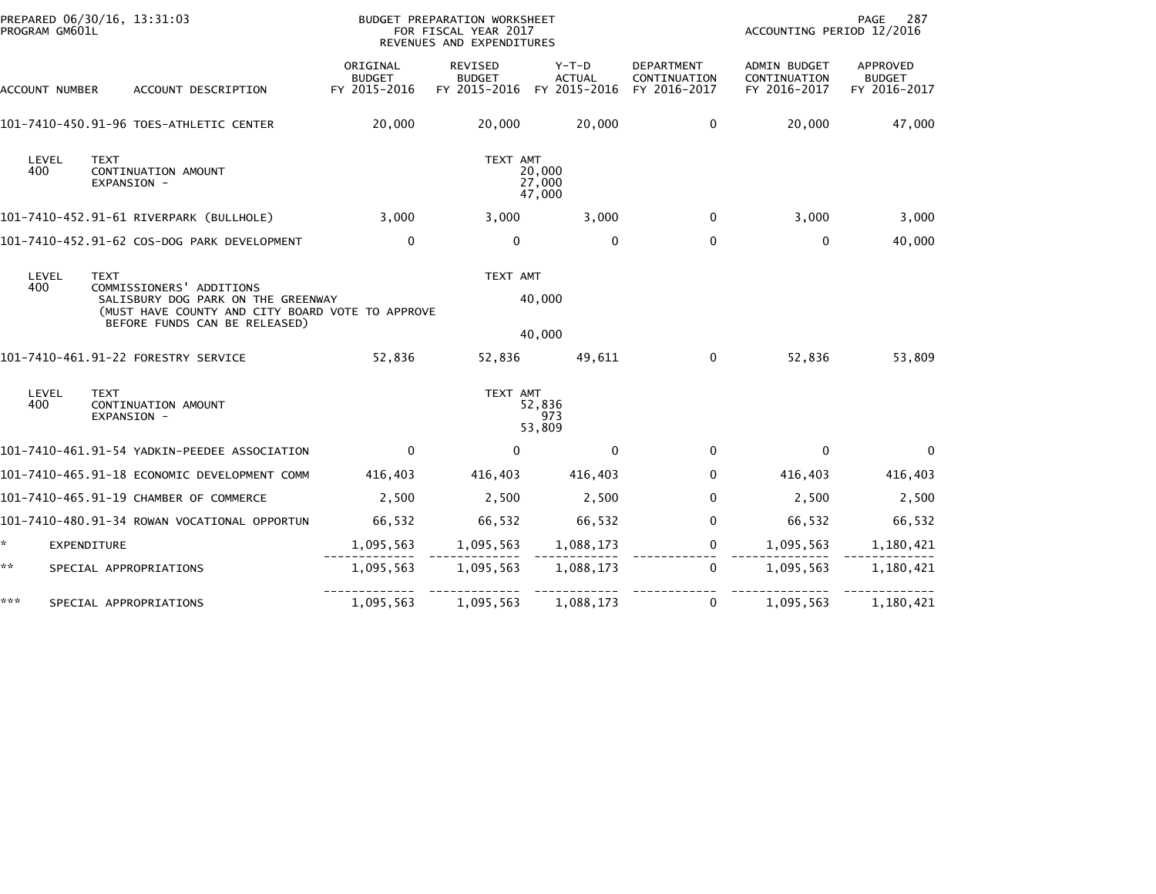| PREPARED 06/30/16, 13:31:03<br>PROGRAM GM601L |                                                                                                                                                                    | BUDGET PREPARATION WORKSHEET<br>FOR FISCAL YEAR 2017<br>REVENUES AND EXPENDITURES |                                                       |                         |                                                   | PAGE<br>287<br>ACCOUNTING PERIOD 12/2016            |                                                  |  |
|-----------------------------------------------|--------------------------------------------------------------------------------------------------------------------------------------------------------------------|-----------------------------------------------------------------------------------|-------------------------------------------------------|-------------------------|---------------------------------------------------|-----------------------------------------------------|--------------------------------------------------|--|
| ACCOUNT NUMBER                                | ACCOUNT DESCRIPTION                                                                                                                                                | ORIGINAL<br><b>BUDGET</b><br>FY 2015-2016                                         | REVISED<br><b>BUDGET</b><br>FY 2015-2016 FY 2015-2016 | Y-T-D<br><b>ACTUAL</b>  | <b>DEPARTMENT</b><br>CONTINUATION<br>FY 2016-2017 | <b>ADMIN BUDGET</b><br>CONTINUATION<br>FY 2016-2017 | <b>APPROVED</b><br><b>BUDGET</b><br>FY 2016-2017 |  |
|                                               | 101-7410-450.91-96 TOES-ATHLETIC CENTER                                                                                                                            | 20,000                                                                            | 20,000                                                | 20,000                  | $\mathbf 0$                                       | 20,000                                              | 47,000                                           |  |
| LEVEL<br>400                                  | <b>TEXT</b><br>CONTINUATION AMOUNT<br>EXPANSION -                                                                                                                  | TEXT AMT<br>20,000<br>27,000<br>47,000                                            |                                                       |                         |                                                   |                                                     |                                                  |  |
|                                               | 101-7410-452.91-61 RIVERPARK (BULLHOLE)                                                                                                                            | 3,000                                                                             | 3,000                                                 | 3,000                   | 0                                                 | 3,000                                               | 3,000                                            |  |
|                                               | 101-7410-452.91-62 COS-DOG PARK DEVELOPMENT                                                                                                                        | $\mathbf{0}$                                                                      | $\mathbf{0}$                                          | $\Omega$                | $\Omega$                                          | $\Omega$                                            | 40,000                                           |  |
| LEVEL<br>400                                  | <b>TEXT</b><br>COMMISSIONERS' ADDITIONS<br>SALISBURY DOG PARK ON THE GREENWAY<br>(MUST HAVE COUNTY AND CITY BOARD VOTE TO APPROVE<br>BEFORE FUNDS CAN BE RELEASED) | TEXT AMT<br>40,000                                                                |                                                       |                         |                                                   |                                                     |                                                  |  |
|                                               |                                                                                                                                                                    |                                                                                   |                                                       | 40,000                  |                                                   |                                                     |                                                  |  |
|                                               | 101-7410-461.91-22 FORESTRY SERVICE                                                                                                                                | 52,836                                                                            | 52,836                                                | 49,611                  | $\mathbf 0$                                       | 52,836                                              | 53,809                                           |  |
| LEVEL<br>400                                  | <b>TEXT</b><br>CONTINUATION AMOUNT<br>EXPANSION -                                                                                                                  |                                                                                   | TEXT AMT                                              | 52,836<br>973<br>53,809 |                                                   |                                                     |                                                  |  |
|                                               | 101-7410-461.91-54 YADKIN-PEEDEE ASSOCIATION                                                                                                                       | $\mathbf{0}$                                                                      | $\mathbf{0}$                                          | $\mathbf{0}$            | 0                                                 | $\mathbf 0$                                         | $\mathbf 0$                                      |  |
|                                               | 101-7410-465.91-18 ECONOMIC DEVELOPMENT COMM                                                                                                                       | 416,403                                                                           | 416,403                                               | 416,403                 | 0                                                 | 416,403                                             | 416,403                                          |  |
|                                               | 101-7410-465.91-19 CHAMBER OF COMMERCE                                                                                                                             | 2,500                                                                             | 2,500                                                 | 2,500                   | $\mathbf 0$                                       | 2,500                                               | 2,500                                            |  |
|                                               | 101-7410-480.91-34 ROWAN VOCATIONAL OPPORTUN                                                                                                                       | 66,532                                                                            | 66,532                                                | 66,532                  | $\mathbf 0$                                       | 66,532                                              | 66,532                                           |  |
| ÷.                                            | EXPENDITURE                                                                                                                                                        | 1,095,563                                                                         | 1,095,563                                             | 1,088,173               | $\mathbf 0$                                       | 1,095,563                                           | 1,180,421                                        |  |
| **                                            | SPECIAL APPROPRIATIONS                                                                                                                                             | 1,095,563                                                                         | 1,095,563                                             | 1,088,173               | $\mathbf{0}$                                      | 1,095,563                                           | 1,180,421                                        |  |
| ***                                           | SPECIAL APPROPRIATIONS                                                                                                                                             | 1,095,563                                                                         | 1,095,563                                             | 1,088,173               | $\mathbf 0$                                       | 1,095,563                                           | 1,180,421                                        |  |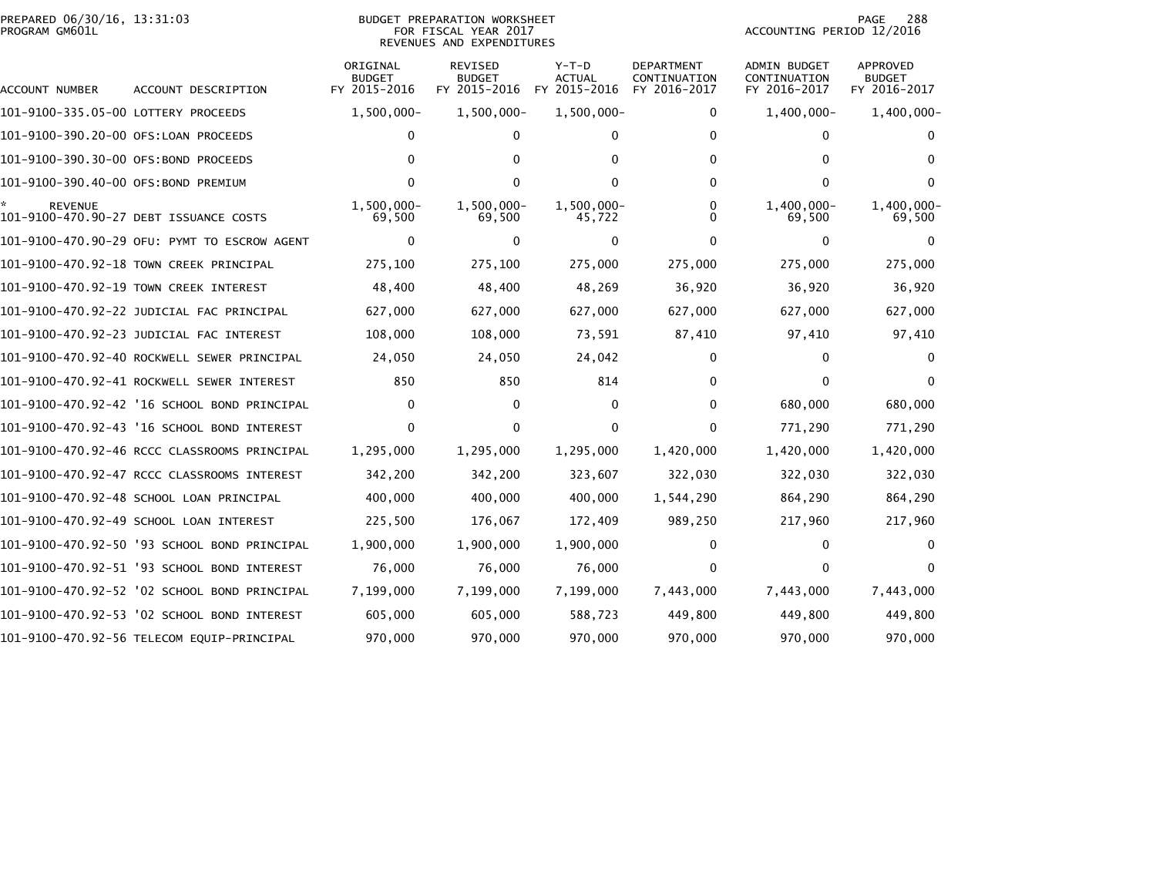## PREPARED 06/30/16, 13:31:03<br>PROGRAM GM601L

## BUDGET PREPARATION WORKSHEET<br>FOR FISCAL YEAR 2017 REVENUES AND EXPENDITURES

PAGE 288<br>ACCOUNTING PERIOD 12/2016

| ACCOUNT NUMBER                       | ACCOUNT DESCRIPTION                          | ORIGINAL<br><b>BUDGET</b><br>FY 2015-2016 | REVISED<br><b>BUDGET</b><br>FY 2015-2016 | $Y-T-D$<br><b>ACTUAL</b><br>FY 2015-2016 | <b>DEPARTMENT</b><br>CONTINUATION<br>FY 2016-2017 | <b>ADMIN BUDGET</b><br>CONTINUATION<br>FY 2016-2017 | APPROVED<br><b>BUDGET</b><br>FY 2016-2017 |
|--------------------------------------|----------------------------------------------|-------------------------------------------|------------------------------------------|------------------------------------------|---------------------------------------------------|-----------------------------------------------------|-------------------------------------------|
| 101-9100-335.05-00 LOTTERY PROCEEDS  |                                              | $1,500,000 -$                             | $1,500,000 -$                            | 1,500,000-                               | 0                                                 | $1,400,000 -$                                       | $1,400,000 -$                             |
| 101-9100-390.20-00 OFS:LOAN PROCEEDS |                                              | 0                                         | 0                                        | 0                                        | 0                                                 | 0                                                   |                                           |
| 101-9100-390.30-00 OFS:BOND PROCEEDS |                                              |                                           | 0                                        | $\Omega$                                 | 0                                                 | 0                                                   | $\Omega$                                  |
| 101-9100-390.40-00 OFS:BOND PREMIUM  |                                              | o                                         |                                          | 0                                        | 0                                                 | $\mathbf{0}$                                        |                                           |
| <b>REVENUE</b>                       | 101-9100-470.90-27 DEBT ISSUANCE COSTS       | $1,500,000 -$<br>69,500                   | 1,500,000-<br>69,500                     | 1,500,000-<br>45,722                     | 0<br>U                                            | $1,400,000 -$<br>69,500                             | 1,400,000-<br>69,500                      |
|                                      | 101-9100-470.90-29 OFU: PYMT TO ESCROW AGENT | $\Omega$                                  | 0                                        | $\Omega$                                 | 0                                                 | $\Omega$                                            |                                           |
|                                      | 101-9100-470.92-18 TOWN CREEK PRINCIPAL      | 275,100                                   | 275,100                                  | 275,000                                  | 275,000                                           | 275,000                                             | 275,000                                   |
|                                      | 101-9100-470.92-19 TOWN CREEK INTEREST       | 48,400                                    | 48,400                                   | 48,269                                   | 36,920                                            | 36,920                                              | 36,920                                    |
|                                      | 101-9100-470.92-22 JUDICIAL FAC PRINCIPAL    | 627,000                                   | 627,000                                  | 627,000                                  | 627,000                                           | 627,000                                             | 627,000                                   |
|                                      |                                              | 108,000                                   | 108,000                                  | 73,591                                   | 87,410                                            | 97,410                                              | 97,410                                    |
|                                      | 101-9100-470.92-40 ROCKWELL SEWER PRINCIPAL  | 24,050                                    | 24,050                                   | 24,042                                   | 0                                                 | $\mathbf{0}$                                        |                                           |
|                                      | 101-9100-470.92-41 ROCKWELL SEWER INTEREST   | 850                                       | 850                                      | 814                                      | 0                                                 | $\mathbf{0}$                                        |                                           |
|                                      | 101-9100-470.92-42 '16 SCHOOL BOND PRINCIPAL | 0                                         | 0                                        | 0                                        | 0                                                 | 680,000                                             | 680,000                                   |
|                                      | 101-9100-470.92-43 '16 SCHOOL BOND INTEREST  | 0                                         | 0                                        | 0                                        | 0                                                 | 771,290                                             | 771,290                                   |
|                                      | 101-9100-470.92-46 RCCC CLASSROOMS PRINCIPAL | 1,295,000                                 | 1,295,000                                | 1,295,000                                | 1,420,000                                         | 1,420,000                                           | 1,420,000                                 |
|                                      | 101-9100-470.92-47 RCCC CLASSROOMS INTEREST  | 342,200                                   | 342,200                                  | 323,607                                  | 322,030                                           | 322,030                                             | 322,030                                   |
|                                      | 101-9100-470.92-48 SCHOOL LOAN PRINCIPAL     | 400,000                                   | 400,000                                  | 400,000                                  | 1,544,290                                         | 864,290                                             | 864,290                                   |
|                                      | 101-9100-470.92-49 SCHOOL LOAN INTEREST      | 225,500                                   | 176,067                                  | 172,409                                  | 989,250                                           | 217,960                                             | 217,960                                   |
|                                      | 101-9100-470.92-50 '93 SCHOOL BOND PRINCIPAL | 1,900,000                                 | 1,900,000                                | 1,900,000                                | 0                                                 | 0                                                   |                                           |
|                                      | 101-9100-470.92-51 '93 SCHOOL BOND INTEREST  | 76,000                                    | 76,000                                   | 76,000                                   | 0                                                 | $\mathbf{0}$                                        |                                           |
|                                      | 101-9100-470.92-52 '02 SCHOOL BOND PRINCIPAL | 7,199,000                                 | 7,199,000                                | 7,199,000                                | 7,443,000                                         | 7,443,000                                           | 7,443,000                                 |
|                                      | 101-9100-470.92-53 '02 SCHOOL BOND INTEREST  | 605,000                                   | 605,000                                  | 588,723                                  | 449,800                                           | 449,800                                             | 449,800                                   |
|                                      | 101-9100-470.92-56 TELECOM EQUIP-PRINCIPAL   | 970,000                                   | 970,000                                  | 970,000                                  | 970,000                                           | 970.000                                             | 970,000                                   |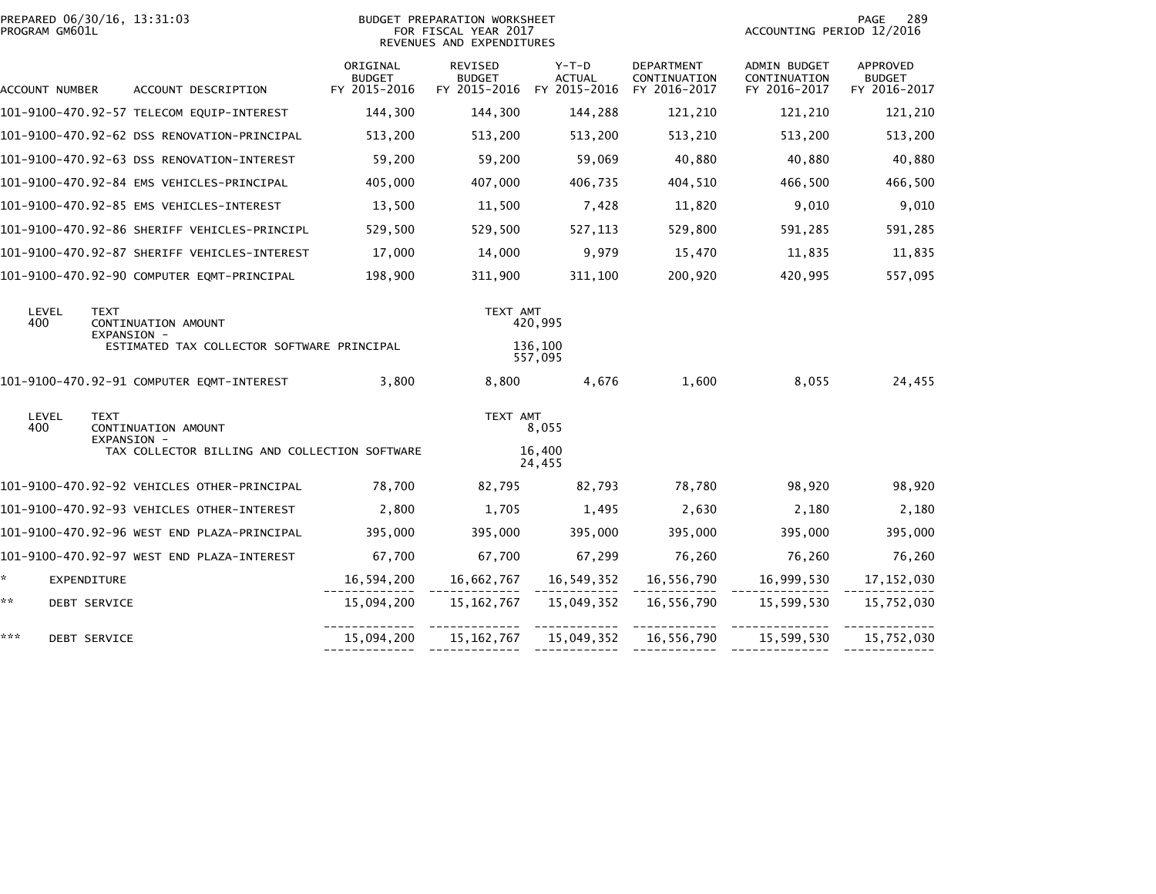|     | PREPARED 06/30/16, 13:31:03<br>PROGRAM GM601L |                     |                                    |                                              | BUDGET PREPARATION WORKSHEET<br>FOR FISCAL YEAR 2017<br>REVENUES AND EXPENDITURES |                          |                                                       |                                            | 289<br>PAGE<br>ACCOUNTING PERIOD 12/2016            |                                           |  |
|-----|-----------------------------------------------|---------------------|------------------------------------|----------------------------------------------|-----------------------------------------------------------------------------------|--------------------------|-------------------------------------------------------|--------------------------------------------|-----------------------------------------------------|-------------------------------------------|--|
|     | ACCOUNT NUMBER                                |                     |                                    | ACCOUNT DESCRIPTION                          | ORIGINAL<br><b>BUDGET</b><br>FY 2015-2016                                         | REVISED<br><b>BUDGET</b> | $Y-T-D$<br><b>ACTUAL</b><br>FY 2015-2016 FY 2015-2016 | DEPARTMENT<br>CONTINUATION<br>FY 2016-2017 | <b>ADMIN BUDGET</b><br>CONTINUATION<br>FY 2016-2017 | APPROVED<br><b>BUDGET</b><br>FY 2016-2017 |  |
|     |                                               |                     |                                    | 101-9100-470.92-57 TELECOM EQUIP-INTEREST    | 144,300                                                                           | 144,300                  | 144,288                                               | 121,210                                    | 121,210                                             | 121,210                                   |  |
|     |                                               |                     |                                    | 101-9100-470.92-62 DSS RENOVATION-PRINCIPAL  | 513,200                                                                           | 513,200                  | 513,200                                               | 513,210                                    | 513,200                                             | 513,200                                   |  |
|     |                                               |                     |                                    | 101-9100-470.92-63 DSS RENOVATION-INTEREST   | 59,200                                                                            | 59,200                   | 59,069                                                | 40,880                                     | 40,880                                              | 40,880                                    |  |
|     |                                               |                     |                                    | 101-9100-470.92-84 EMS VEHICLES-PRINCIPAL    | 405,000                                                                           | 407,000                  | 406,735                                               | 404,510                                    | 466,500                                             | 466,500                                   |  |
|     |                                               |                     |                                    | 101-9100-470.92-85 EMS VEHICLES-INTEREST     | 13,500                                                                            | 11,500                   | 7,428                                                 | 11,820                                     | 9,010                                               | 9,010                                     |  |
|     |                                               |                     |                                    | 101-9100-470.92-86 SHERIFF VEHICLES-PRINCIPL | 529,500                                                                           | 529,500                  | 527,113                                               | 529,800                                    | 591,285                                             | 591,285                                   |  |
|     |                                               |                     |                                    | 101-9100-470.92-87 SHERIFF VEHICLES-INTEREST | 17,000                                                                            | 14,000                   | 9,979                                                 | 15,470                                     | 11,835                                              | 11,835                                    |  |
|     |                                               |                     |                                    | 101-9100-470.92-90 COMPUTER EQMT-PRINCIPAL   | 198,900                                                                           | 311,900                  | 311,100                                               | 200,920                                    | 420,995                                             | 557,095                                   |  |
|     | LEVEL<br>400                                  | <b>TEXT</b>         | CONTINUATION AMOUNT<br>EXPANSION - |                                              |                                                                                   | TEXT AMT                 | 420.995                                               |                                            |                                                     |                                           |  |
|     |                                               |                     |                                    | ESTIMATED TAX COLLECTOR SOFTWARE PRINCIPAL   |                                                                                   |                          | 136,100<br>557,095                                    |                                            |                                                     |                                           |  |
|     |                                               |                     |                                    | 101-9100-470.92-91 COMPUTER EQMT-INTEREST    | 3.800                                                                             | 8.800                    | 4.676                                                 | 1.600                                      | 8,055                                               | 24,455                                    |  |
|     | LEVEL<br>400                                  | <b>TEXT</b>         | CONTINUATION AMOUNT<br>EXPANSION - |                                              |                                                                                   | TEXT AMT                 | 8,055                                                 |                                            |                                                     |                                           |  |
|     |                                               |                     |                                    |                                              | TAX COLLECTOR BILLING AND COLLECTION SOFTWARE                                     |                          | 16,400<br>24,455                                      |                                            |                                                     |                                           |  |
|     |                                               |                     |                                    | 101-9100-470.92-92 VEHICLES OTHER-PRINCIPAL  | 78,700                                                                            | 82.795                   | 82,793                                                | 78.780                                     | 98,920                                              | 98,920                                    |  |
|     |                                               |                     |                                    | 101-9100-470.92-93 VEHICLES OTHER-INTEREST   | 2,800                                                                             | 1,705                    | 1,495                                                 | 2,630                                      | 2,180                                               | 2,180                                     |  |
|     |                                               |                     |                                    | 101-9100-470.92-96 WEST END PLAZA-PRINCIPAL  | 395,000                                                                           | 395,000                  | 395,000                                               | 395,000                                    | 395,000                                             | 395,000                                   |  |
|     |                                               |                     |                                    | 101-9100-470.92-97 WEST END PLAZA-INTEREST   | 67,700                                                                            | 67,700                   | 67,299                                                | 76,260                                     | 76,260                                              | 76,260                                    |  |
| ÷.  |                                               | EXPENDITURE         |                                    |                                              | 16,594,200                                                                        |                          |                                                       | 16,556,790                                 | 16,999,530                                          | 17, 152, 030                              |  |
| **  |                                               | <b>DEBT SERVICE</b> |                                    |                                              | 15,094,200                                                                        | 15, 162, 767             | 15,049,352                                            | 16,556,790                                 | 15,599,530                                          | 15,752,030                                |  |
| *** |                                               | <b>DEBT SERVICE</b> |                                    |                                              | 15,094,200                                                                        |                          | 15, 162, 767   15, 049, 352   16, 556, 790            |                                            | 15,599,530                                          | 15,752,030                                |  |
|     |                                               |                     |                                    |                                              |                                                                                   |                          |                                                       |                                            |                                                     |                                           |  |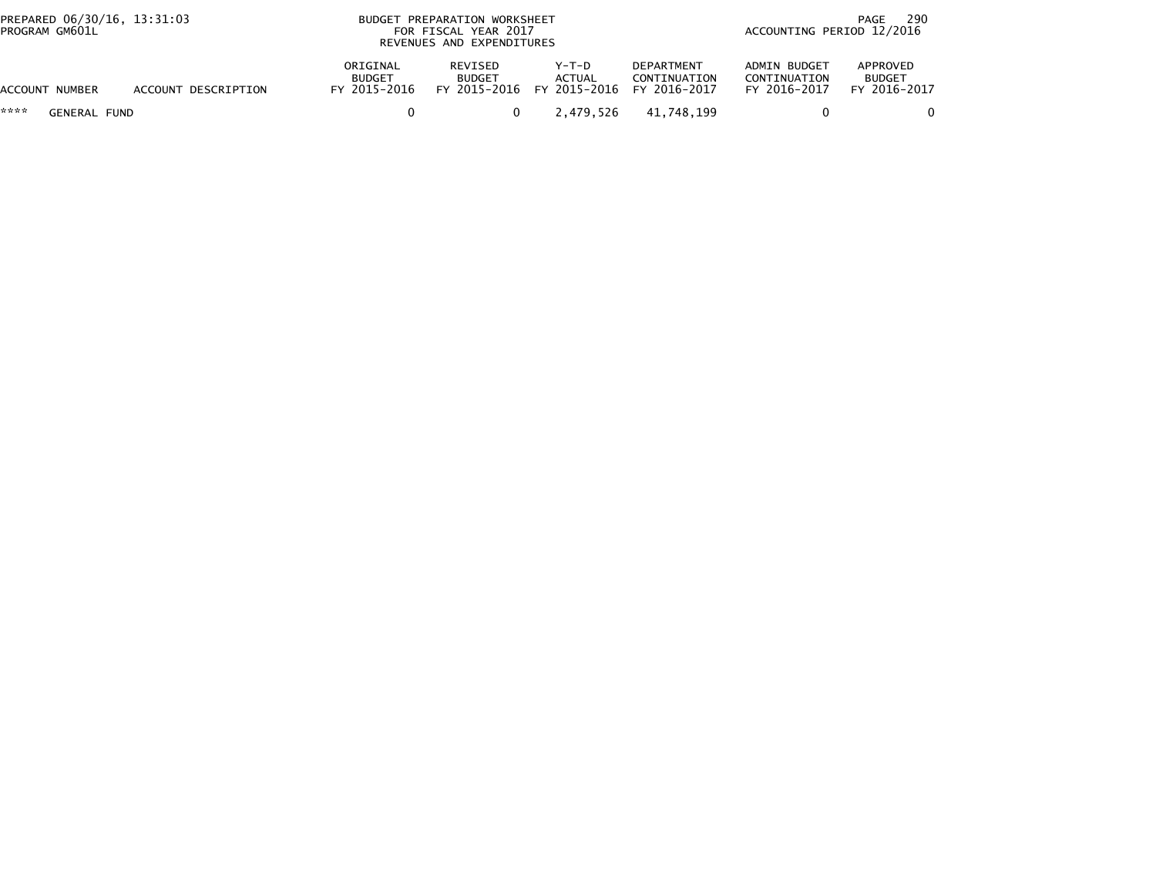| PREPARED 06/30/16, 13:31:03<br>PROGRAM GM601L |                     |                                           | BUDGET PREPARATION WORKSHEET<br>FOR FISCAL YEAR 2017<br>REVENUES AND EXPENDITURES | 290<br>PAGE<br>ACCOUNTING PERIOD 12/2016     |                                            |                                              |                                           |  |
|-----------------------------------------------|---------------------|-------------------------------------------|-----------------------------------------------------------------------------------|----------------------------------------------|--------------------------------------------|----------------------------------------------|-------------------------------------------|--|
| ACCOUNT NUMBER                                | ACCOUNT DESCRIPTION | ORIGINAL<br><b>BUDGET</b><br>FY 2015-2016 | REVISED<br><b>BUDGET</b>                                                          | Y-T-D<br>ACTUAL<br>FY 2015-2016 FY 2015-2016 | DEPARTMENT<br>CONTINUATION<br>FY 2016-2017 | ADMIN BUDGET<br>CONTINUATION<br>FY 2016-2017 | APPROVED<br><b>BUDGET</b><br>FY 2016-2017 |  |
| ****<br><b>GENERAL FUND</b>                   |                     |                                           | 0                                                                                 | 2.479.526                                    | 41,748,199                                 |                                              |                                           |  |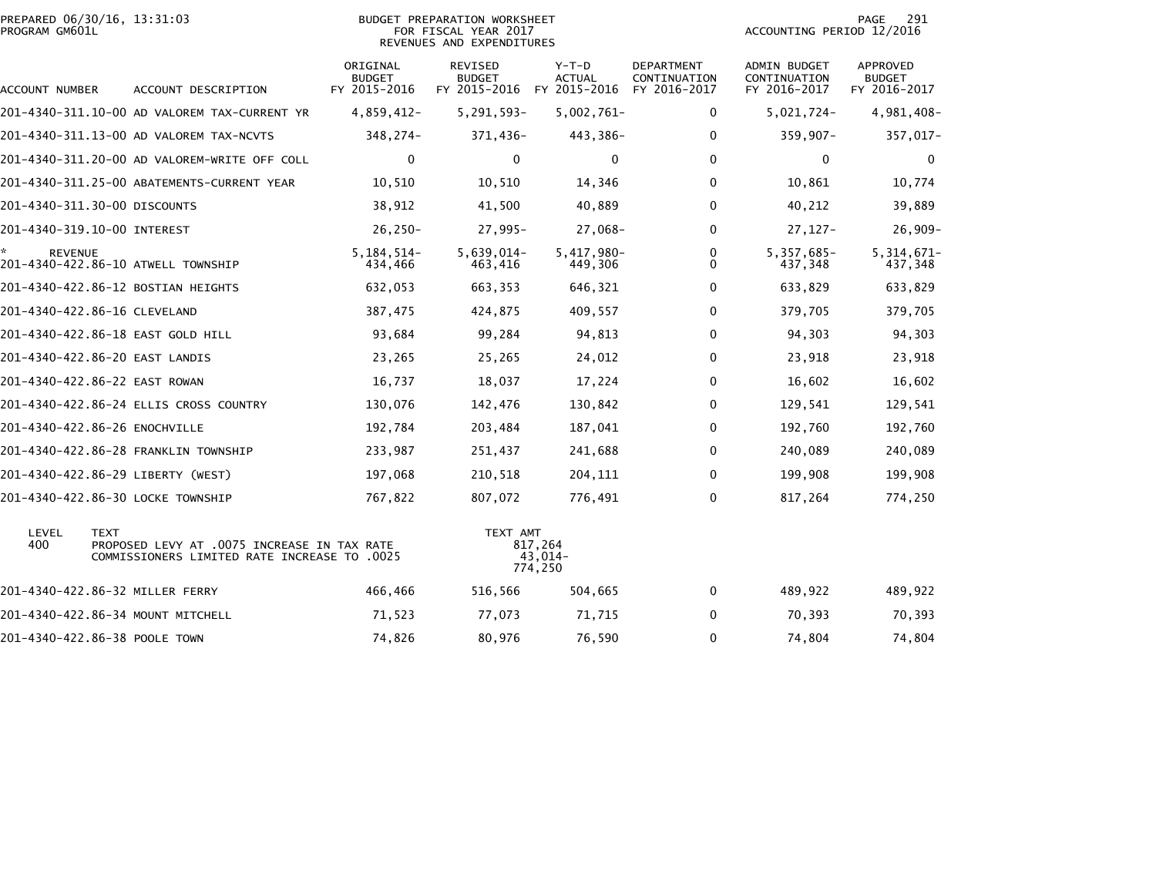|                | PREPARED 06/30/16, 13:31:03 |  |
|----------------|-----------------------------|--|
| PROGRAM GM601L |                             |  |

## PREPARED 06/30/16, 13:31:03 PREPARATION WORKSHEET PREPARATION WORKSHEET PREPARATION WORKSHEET<br>PROGRAM GM601L FOR FISCAL YEAR 2017 FOR FISCAL YEAR 2017 REVENUES AND EXPENDITURES

PAGE 291<br>ACCOUNTING PERIOD 12/2016

| ACCOUNT NUMBER       | ACCOUNT DESCRIPTION                                                                                 | ORIGINAL<br><b>BUDGET</b><br>FY 2015-2016 | REVISED<br><b>BUDGET</b><br>FY 2015-2016 FY 2015-2016 | $Y-T-D$<br><b>ACTUAL</b>      | DEPARTMENT<br>CONTINUATION<br>FY 2016-2017 | ADMIN BUDGET<br>CONTINUATION<br>FY 2016-2017 | <b>APPROVED</b><br><b>BUDGET</b><br>FY 2016-2017 |
|----------------------|-----------------------------------------------------------------------------------------------------|-------------------------------------------|-------------------------------------------------------|-------------------------------|--------------------------------------------|----------------------------------------------|--------------------------------------------------|
|                      | 201-4340-311.10-00 AD VALOREM TAX-CURRENT YR                                                        | $4,859,412-$                              | $5,291,593-$                                          | $5,002,761 -$                 | 0                                          | 5,021,724-                                   | 4,981,408-                                       |
|                      | 201-4340-311.13-00 AD VALOREM TAX-NCVTS                                                             | 348,274-                                  | 371,436-                                              | 443,386-                      | 0                                          | $359,907 -$                                  | 357,017-                                         |
|                      | 201-4340-311.20-00 AD VALOREM-WRITE OFF COLL                                                        | 0                                         | 0                                                     | 0                             | 0                                          | 0                                            | $\mathbf 0$                                      |
|                      | 201-4340-311.25-00 ABATEMENTS-CURRENT YEAR                                                          | 10,510                                    | 10,510                                                | 14,346                        | $\Omega$                                   | 10,861                                       | 10,774                                           |
|                      | 201-4340-311.30-00 DISCOUNTS                                                                        | 38,912                                    | 41,500                                                | 40,889                        | $\Omega$                                   | 40,212                                       | 39,889                                           |
|                      | 201-4340-319.10-00 INTEREST                                                                         | $26, 250 -$                               | $27,995-$                                             | 27,068-                       | $\Omega$                                   | $27,127-$                                    | $26,909-$                                        |
| *.<br><b>REVENUE</b> | 201-4340-422.86-10 ATWELL TOWNSHIP                                                                  | $5, 184, 514 -$<br>434,466                | $5,639,014-$<br>463,416                               | 5,417,980-<br>449,306         | 0<br>$\Omega$                              | 5,357,685-<br>437,348                        | $5,314,671-$<br>437,348                          |
|                      | 201-4340-422.86-12 BOSTIAN HEIGHTS                                                                  | 632,053                                   | 663,353                                               | 646,321                       | 0                                          | 633,829                                      | 633,829                                          |
|                      | 201-4340-422.86-16 CLEVELAND                                                                        | 387,475                                   | 424,875                                               | 409,557                       | 0                                          | 379,705                                      | 379,705                                          |
|                      | 201-4340-422.86-18 EAST GOLD HILL                                                                   | 93,684                                    | 99,284                                                | 94,813                        | $\Omega$                                   | 94,303                                       | 94,303                                           |
|                      | 201-4340-422.86-20 EAST LANDIS                                                                      | 23,265                                    | 25,265                                                | 24,012                        | 0                                          | 23,918                                       | 23,918                                           |
|                      | 201-4340-422.86-22 EAST ROWAN                                                                       | 16,737                                    | 18,037                                                | 17,224                        | $\Omega$                                   | 16,602                                       | 16,602                                           |
|                      | 201-4340-422.86-24 ELLIS CROSS COUNTRY                                                              | 130,076                                   | 142,476                                               | 130,842                       | 0                                          | 129,541                                      | 129,541                                          |
|                      | 201-4340-422.86-26 ENOCHVILLE                                                                       | 192,784                                   | 203,484                                               | 187,041                       | $\Omega$                                   | 192,760                                      | 192,760                                          |
|                      | 201-4340-422.86-28 FRANKLIN TOWNSHIP                                                                | 233,987                                   | 251,437                                               | 241,688                       | 0                                          | 240,089                                      | 240,089                                          |
|                      | 201-4340-422.86-29 LIBERTY (WEST)                                                                   | 197,068                                   | 210,518                                               | 204,111                       | $\Omega$                                   | 199,908                                      | 199,908                                          |
|                      | 201-4340-422.86-30 LOCKE TOWNSHIP                                                                   | 767,822                                   | 807,072                                               | 776,491                       | 0                                          | 817,264                                      | 774,250                                          |
| LEVEL<br>400         | TEXT<br>PROPOSED LEVY AT .0075 INCREASE IN TAX RATE<br>COMMISSIONERS LIMITED RATE INCREASE TO .0025 |                                           | TEXT AMT                                              | 817,264<br>43,014-<br>774,250 |                                            |                                              |                                                  |
|                      | 201-4340-422.86-32 MILLER FERRY                                                                     | 466,466                                   | 516,566                                               | 504,665                       | 0                                          | 489,922                                      | 489,922                                          |
|                      | 201–4340–422.86–34 MOUNT MITCHELL                                                                   | 71,523                                    | 77,073                                                | 71,715                        | 0                                          | 70,393                                       | 70,393                                           |
|                      | 201-4340-422.86-38 POOLE TOWN                                                                       | 74,826                                    | 80,976                                                | 76,590                        | 0                                          | 74,804                                       | 74,804                                           |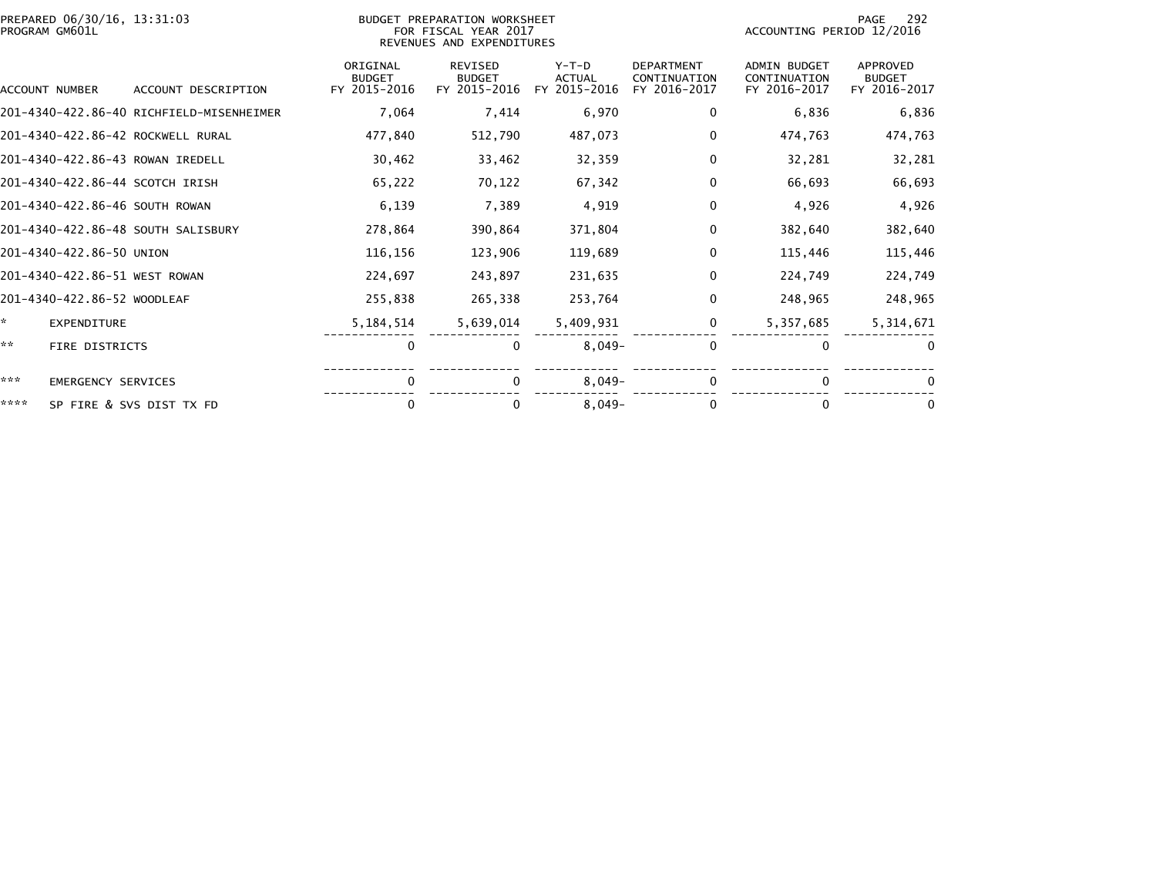|      | PREPARED 06/30/16, 13:31:03<br>PROGRAM GM601L |                                          |                                           | BUDGET PREPARATION WORKSHEET<br>FOR FISCAL YEAR 2017<br>REVENUES AND EXPENDITURES |                                          |                                            |                                                     | 292<br>PAGE<br>ACCOUNTING PERIOD 12/2016         |  |  |
|------|-----------------------------------------------|------------------------------------------|-------------------------------------------|-----------------------------------------------------------------------------------|------------------------------------------|--------------------------------------------|-----------------------------------------------------|--------------------------------------------------|--|--|
|      | ACCOUNT NUMBER                                | ACCOUNT DESCRIPTION                      | ORIGINAL<br><b>BUDGET</b><br>FY 2015-2016 | <b>REVISED</b><br><b>BUDGET</b><br>FY 2015-2016                                   | $Y-T-D$<br><b>ACTUAL</b><br>FY 2015-2016 | DEPARTMENT<br>CONTINUATION<br>FY 2016-2017 | <b>ADMIN BUDGET</b><br>CONTINUATION<br>FY 2016-2017 | <b>APPROVED</b><br><b>BUDGET</b><br>FY 2016-2017 |  |  |
|      |                                               | 201-4340-422.86-40 RICHFIELD-MISENHEIMER | 7,064                                     | 7,414                                                                             | 6,970                                    | 0                                          | 6,836                                               | 6,836                                            |  |  |
|      |                                               | 201-4340-422.86-42 ROCKWELL RURAL        | 477,840                                   | 512,790                                                                           | 487,073                                  | 0                                          | 474,763                                             | 474,763                                          |  |  |
|      |                                               | 201-4340-422.86-43 ROWAN IREDELL         | 30,462                                    | 33,462                                                                            | 32,359                                   | $\mathbf{0}$                               | 32,281                                              | 32,281                                           |  |  |
|      |                                               | 201-4340-422.86-44 SCOTCH IRISH          | 65,222                                    | 70,122                                                                            | 67,342                                   | $\Omega$                                   | 66,693                                              | 66,693                                           |  |  |
|      |                                               | 201-4340-422.86-46 SOUTH ROWAN           | 6,139                                     | 7,389                                                                             | 4,919                                    | 0                                          | 4,926                                               | 4,926                                            |  |  |
|      |                                               | 201-4340-422.86-48 SOUTH SALISBURY       | 278,864                                   | 390,864                                                                           | 371,804                                  | 0                                          | 382,640                                             | 382,640                                          |  |  |
|      | 201-4340-422.86-50 UNION                      |                                          | 116,156                                   | 123,906                                                                           | 119,689                                  | 0                                          | 115,446                                             | 115,446                                          |  |  |
|      | 201-4340-422.86-51 WEST ROWAN                 |                                          | 224,697                                   | 243,897                                                                           | 231,635                                  | 0                                          | 224,749                                             | 224,749                                          |  |  |
|      | 201-4340-422.86-52 WOODLEAF                   |                                          | 255,838                                   | 265,338                                                                           | 253,764                                  | 0                                          | 248.965                                             | 248,965                                          |  |  |
| ×.   | <b>EXPENDITURE</b>                            |                                          | 5, 184, 514                               | 5,639,014                                                                         | 5,409,931                                | 0                                          | 5,357,685                                           | 5,314,671                                        |  |  |
| **   | <b>FIRE DISTRICTS</b>                         |                                          | $\mathbf 0$                               | $\bf{0}$                                                                          | $8,049-$                                 | $\mathbf 0$                                | $\mathbf{0}$                                        | $\Omega$                                         |  |  |
| ***  | <b>EMERGENCY SERVICES</b>                     |                                          | 0                                         | $\Omega$                                                                          | $8,049-$                                 | 0                                          | 0                                                   |                                                  |  |  |
| **** |                                               | SP FIRE & SVS DIST TX FD                 | $\Omega$                                  |                                                                                   | $8,049-$                                 | $\mathbf{0}$                               | $\Omega$                                            | $\Omega$                                         |  |  |
|      |                                               |                                          |                                           |                                                                                   |                                          |                                            |                                                     |                                                  |  |  |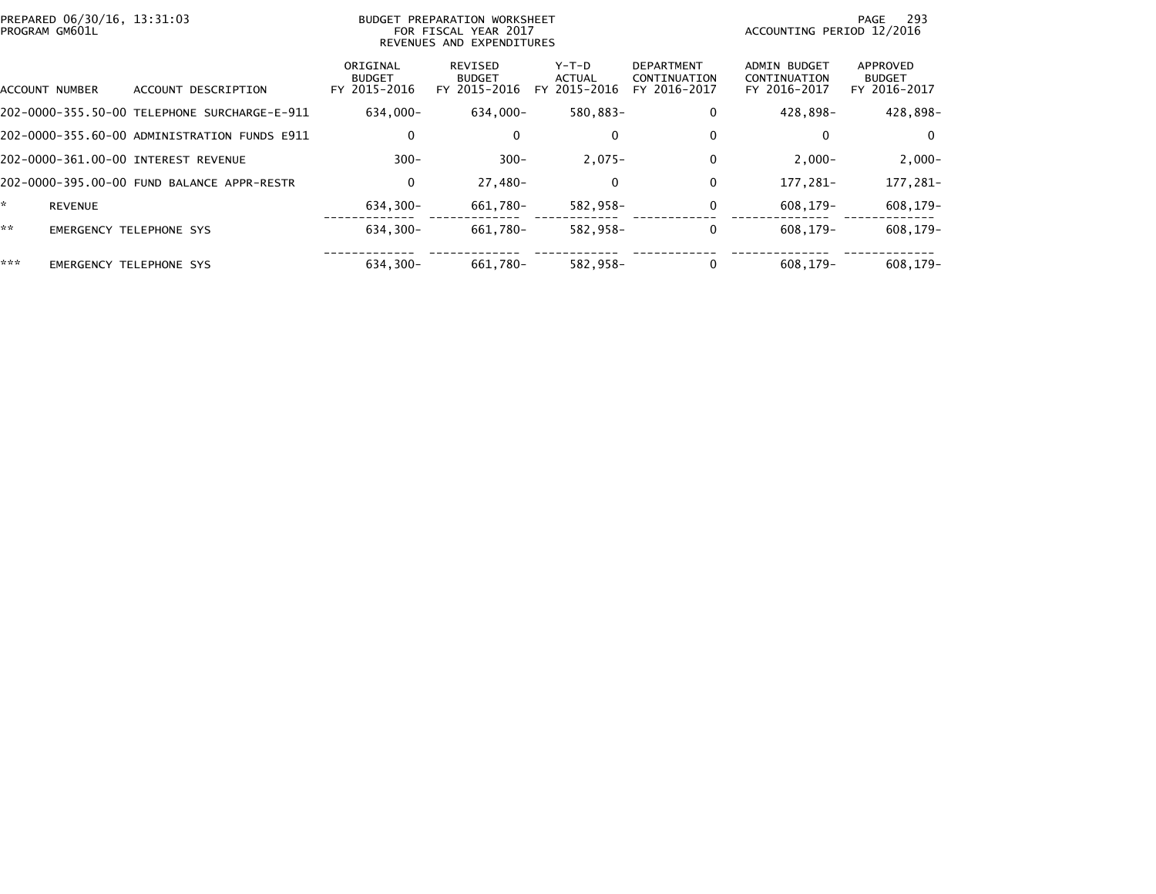| PROGRAM GM601L       | PREPARED 06/30/16, 13:31:03                  | BUDGET PREPARATION WORKSHEET<br>FOR FISCAL YEAR 2017<br>REVENUES AND EXPENDITURES |                                          |                                            |                                                   | 293<br>PAGE<br>ACCOUNTING PERIOD 12/2016     |                                           |  |
|----------------------|----------------------------------------------|-----------------------------------------------------------------------------------|------------------------------------------|--------------------------------------------|---------------------------------------------------|----------------------------------------------|-------------------------------------------|--|
| ACCOUNT NUMBER       | ACCOUNT DESCRIPTION                          | ORIGINAL<br><b>BUDGET</b><br>FY 2015-2016                                         | REVISED<br><b>BUDGET</b><br>FY 2015-2016 | Y-T-D<br><b>ACTUAL</b><br>2015-2016<br>FY. | <b>DEPARTMENT</b><br>CONTINUATION<br>FY 2016-2017 | ADMIN BUDGET<br>CONTINUATION<br>FY 2016-2017 | APPROVED<br><b>BUDGET</b><br>FY 2016-2017 |  |
|                      | 202-0000-355.50-00 TELEPHONE SURCHARGE-E-911 | 634.000-                                                                          | 634.000-                                 | 580.883-                                   | $\mathbf 0$                                       | 428.898-                                     | 428,898-                                  |  |
|                      | 202-0000-355.60-00 ADMINISTRATION FUNDS E911 | 0                                                                                 | 0                                        | 0                                          | 0                                                 | 0                                            | $\mathbf{0}$                              |  |
|                      | 202-0000-361.00-00 INTEREST REVENUE          | $300 -$                                                                           | $300 -$                                  | $2,075-$                                   | $\mathbf 0$                                       | $2,000-$                                     | $2,000-$                                  |  |
|                      | 202-0000-395.00-00 FUND BALANCE APPR-RESTR   | 0                                                                                 | 27,480-                                  | 0                                          | $\mathbf 0$                                       | 177.281-                                     | 177,281-                                  |  |
| ÷.<br><b>REVENUE</b> |                                              | 634,300-                                                                          | 661,780-                                 | 582,958-                                   | 0                                                 | 608,179-                                     | 608,179-                                  |  |
| **                   | <b>EMERGENCY TELEPHONE SYS</b>               | $634.300 -$                                                                       | 661.780-                                 | 582.958-                                   | $\mathbf 0$                                       | $608.179 -$                                  | 608.179-                                  |  |
| ***                  | <b>EMERGENCY TELEPHONE SYS</b>               | 634.300-                                                                          | 661.780-                                 | 582.958-                                   | $\Omega$                                          | 608.179-                                     | $608.179 -$                               |  |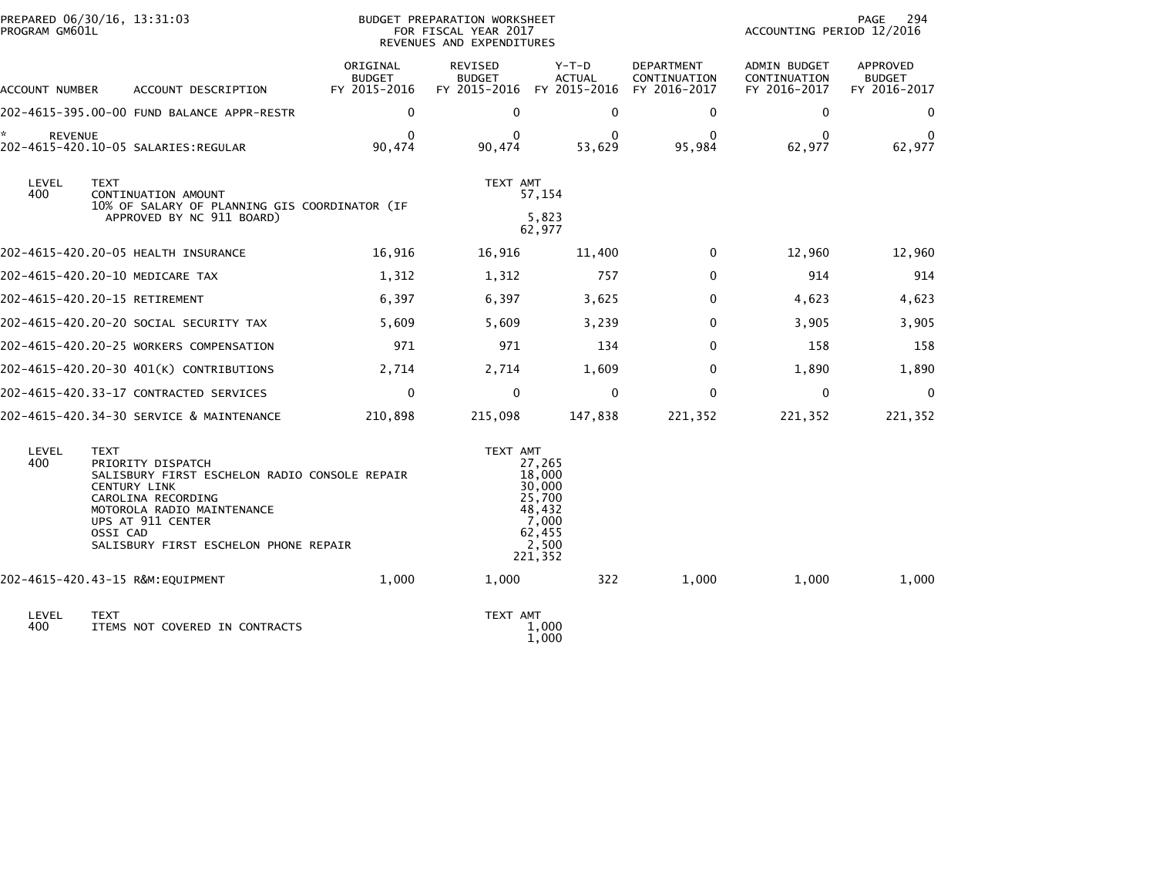| PROGRAM GM601L       | PREPARED 06/30/16, 13:31:03                                                                                                                                                                                                            |                                           | BUDGET PREPARATION WORKSHEET<br>FOR FISCAL YEAR 2017<br>REVENUES AND EXPENDITURES |                                                                                       |                                            | ACCOUNTING PERIOD 12/2016                    | PAGE<br>294                               |
|----------------------|----------------------------------------------------------------------------------------------------------------------------------------------------------------------------------------------------------------------------------------|-------------------------------------------|-----------------------------------------------------------------------------------|---------------------------------------------------------------------------------------|--------------------------------------------|----------------------------------------------|-------------------------------------------|
| ACCOUNT NUMBER       | ACCOUNT DESCRIPTION                                                                                                                                                                                                                    | ORIGINAL<br><b>BUDGET</b><br>FY 2015-2016 | REVISED<br><b>BUDGET</b><br>FY 2015-2016                                          | $Y-T-D$<br><b>ACTUAL</b><br>FY 2015-2016                                              | DEPARTMENT<br>CONTINUATION<br>FY 2016-2017 | ADMIN BUDGET<br>CONTINUATION<br>FY 2016-2017 | APPROVED<br><b>BUDGET</b><br>FY 2016-2017 |
|                      | 202-4615-395.00-00 FUND BALANCE APPR-RESTR                                                                                                                                                                                             | $\Omega$                                  | $\Omega$                                                                          | $\Omega$                                                                              | $\mathbf{0}$                               | $\mathbf{0}$                                 | $\Omega$                                  |
| *.<br><b>REVENUE</b> | 202-4615-420.10-05 SALARIES:REGULAR                                                                                                                                                                                                    | $\Omega$<br>90,474                        | $\Omega$<br>90,474                                                                | $\bf{0}$<br>53,629                                                                    | 0<br>95,984                                | $\mathbf{0}$<br>62,977                       | $\Omega$<br>62,977                        |
| LEVEL<br>400         | <b>TEXT</b><br>CONTINUATION AMOUNT<br>10% OF SALARY OF PLANNING GIS COORDINATOR (IF<br>APPROVED BY NC 911 BOARD)                                                                                                                       |                                           | TEXT AMT                                                                          | 57,154<br>5,823<br>62,977                                                             |                                            |                                              |                                           |
|                      | 202-4615-420.20-05 HEALTH INSURANCE                                                                                                                                                                                                    | 16,916                                    | 16,916                                                                            | 11,400                                                                                | $\mathbf{0}$                               | 12,960                                       | 12,960                                    |
|                      | 202-4615-420.20-10 MEDICARE TAX                                                                                                                                                                                                        | 1,312                                     | 1,312                                                                             | 757                                                                                   | $\mathbf{0}$                               | 914                                          | 914                                       |
|                      | 202-4615-420.20-15 RETIREMENT                                                                                                                                                                                                          | 6,397                                     | 6,397                                                                             | 3,625                                                                                 | $\Omega$                                   | 4,623                                        | 4,623                                     |
|                      | 202-4615-420.20-20 SOCIAL SECURITY TAX                                                                                                                                                                                                 | 5,609                                     | 5,609                                                                             | 3,239                                                                                 | $\Omega$                                   | 3,905                                        | 3,905                                     |
|                      | 202-4615-420.20-25 WORKERS COMPENSATION                                                                                                                                                                                                | 971                                       | 971                                                                               | 134                                                                                   | $\Omega$                                   | 158                                          | 158                                       |
|                      | 202-4615-420.20-30 401(K) CONTRIBUTIONS                                                                                                                                                                                                | 2,714                                     | 2,714                                                                             | 1,609                                                                                 | $\Omega$                                   | 1,890                                        | 1,890                                     |
|                      | 202-4615-420.33-17 CONTRACTED SERVICES                                                                                                                                                                                                 | $\mathbf{0}$                              | $\mathbf{0}$                                                                      | $\mathbf{0}$                                                                          | $\Omega$                                   | 0                                            | $\Omega$                                  |
|                      | 202-4615-420.34-30 SERVICE & MAINTENANCE                                                                                                                                                                                               | 210,898                                   | 215,098                                                                           | 147,838                                                                               | 221,352                                    | 221,352                                      | 221,352                                   |
| LEVEL<br>400         | <b>TEXT</b><br>PRIORITY DISPATCH<br>SALISBURY FIRST ESCHELON RADIO CONSOLE REPAIR<br><b>CENTURY LINK</b><br>CAROLINA RECORDING<br>MOTOROLA RADIO MAINTENANCE<br>UPS AT 911 CENTER<br>OSSI CAD<br>SALISBURY FIRST ESCHELON PHONE REPAIR |                                           | TEXT AMT                                                                          | 27,265<br>18,000<br>30,000<br>25,700<br>48,432<br>7,000<br>62,455<br>2,500<br>221,352 |                                            |                                              |                                           |
|                      | 202-4615-420.43-15 R&M: EQUIPMENT                                                                                                                                                                                                      | 1,000                                     | 1,000                                                                             | 322                                                                                   | 1,000                                      | 1,000                                        | 1,000                                     |
| LEVEL<br>400         | <b>TEXT</b><br>ITEMS NOT COVERED IN CONTRACTS                                                                                                                                                                                          |                                           | TEXT AMT                                                                          | 1,000<br>1,000                                                                        |                                            |                                              |                                           |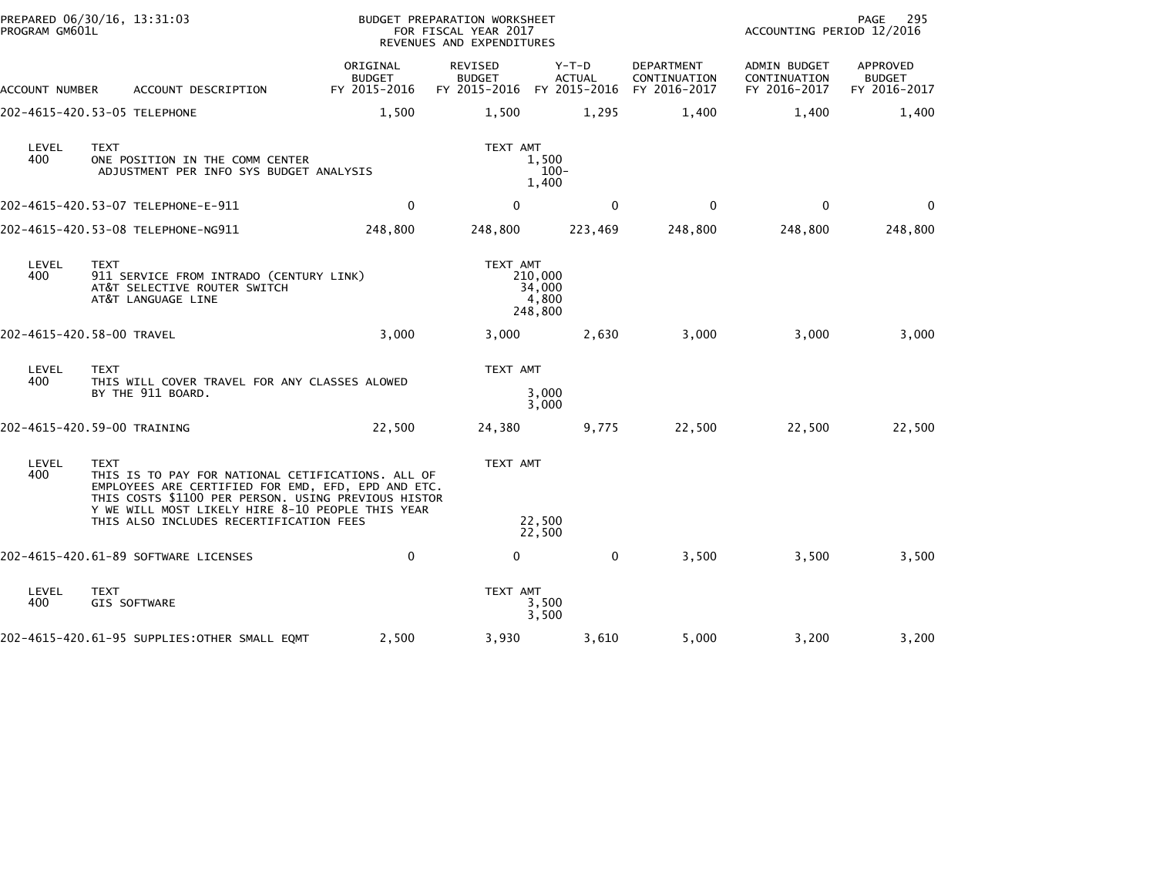| PROGRAM GM601L | PREPARED 06/30/16, 13:31:03                                                                                                                                                                                                       |                                           | BUDGET PREPARATION WORKSHEET<br>FOR FISCAL YEAR 2017<br>REVENUES AND EXPENDITURES |                                       |                                            | ACCOUNTING PERIOD 12/2016                    | PAGE<br>295                               |
|----------------|-----------------------------------------------------------------------------------------------------------------------------------------------------------------------------------------------------------------------------------|-------------------------------------------|-----------------------------------------------------------------------------------|---------------------------------------|--------------------------------------------|----------------------------------------------|-------------------------------------------|
| ACCOUNT NUMBER | ACCOUNT DESCRIPTION                                                                                                                                                                                                               | ORIGINAL<br><b>BUDGET</b><br>FY 2015-2016 | REVISED<br><b>BUDGET</b><br>FY 2015-2016 FY 2015-2016                             | $Y-T-D$<br><b>ACTUAL</b>              | DEPARTMENT<br>CONTINUATION<br>FY 2016-2017 | ADMIN BUDGET<br>CONTINUATION<br>FY 2016-2017 | APPROVED<br><b>BUDGET</b><br>FY 2016-2017 |
|                | 202-4615-420.53-05 TELEPHONE                                                                                                                                                                                                      | 1,500                                     | 1,500                                                                             | 1,295                                 | 1,400                                      | 1,400                                        | 1,400                                     |
| LEVEL<br>400   | <b>TEXT</b><br>ONE POSITION IN THE COMM CENTER<br>ADJUSTMENT PER INFO SYS BUDGET ANALYSIS                                                                                                                                         |                                           | TEXT AMT                                                                          | 1,500<br>$100 -$<br>1,400             |                                            |                                              |                                           |
|                |                                                                                                                                                                                                                                   | $\mathbf{0}$                              | $\Omega$                                                                          | $\mathbf{0}$                          | $\mathbf{0}$                               | $\Omega$                                     | $\Omega$                                  |
|                | 202-4615-420.53-08 TELEPHONE-NG911                                                                                                                                                                                                | 248,800                                   | 248,800                                                                           | 223,469                               | 248,800                                    | 248,800                                      | 248,800                                   |
| LEVEL<br>400   | <b>TEXT</b><br>911 SERVICE FROM INTRADO (CENTURY LINK)<br>AT&T SELECTIVE ROUTER SWITCH<br>AT&T LANGUAGE LINE                                                                                                                      |                                           | TEXT AMT                                                                          | 210,000<br>34,000<br>4,800<br>248,800 |                                            |                                              |                                           |
|                | 202-4615-420.58-00 TRAVEL                                                                                                                                                                                                         | 3.000                                     | 3,000                                                                             | 2,630                                 | 3,000                                      | 3.000                                        | 3,000                                     |
| LEVEL<br>400   | <b>TEXT</b><br>THIS WILL COVER TRAVEL FOR ANY CLASSES ALOWED<br>BY THE 911 BOARD.                                                                                                                                                 |                                           | TEXT AMT                                                                          | 3,000<br>3,000                        |                                            |                                              |                                           |
|                | 202-4615-420.59-00 TRAINING                                                                                                                                                                                                       | 22,500                                    | 24,380                                                                            | 9,775                                 | 22,500                                     | 22,500                                       | 22,500                                    |
| LEVEL<br>400   | <b>TEXT</b><br>THIS IS TO PAY FOR NATIONAL CETIFICATIONS. ALL OF<br>EMPLOYEES ARE CERTIFIED FOR EMD, EFD, EPD AND ETC.<br>THIS COSTS \$1100 PER PERSON. USING PREVIOUS HISTOR<br>Y WE WILL MOST LIKELY HIRE 8-10 PEOPLE THIS YEAR |                                           | TEXT AMT                                                                          |                                       |                                            |                                              |                                           |
|                | THIS ALSO INCLUDES RECERTIFICATION FEES                                                                                                                                                                                           |                                           |                                                                                   | 22,500<br>22,500                      |                                            |                                              |                                           |
|                | 202-4615-420.61-89 SOFTWARE LICENSES                                                                                                                                                                                              | $\mathbf 0$                               | $\mathbf{0}$                                                                      | 0                                     | 3,500                                      | 3,500                                        | 3,500                                     |
| LEVEL<br>400   | <b>TEXT</b><br>GIS SOFTWARE                                                                                                                                                                                                       |                                           | TEXT AMT                                                                          | 3,500<br>3,500                        |                                            |                                              |                                           |
|                | 202-4615-420.61-95 SUPPLIES: OTHER SMALL EQMT                                                                                                                                                                                     | 2,500                                     | 3,930                                                                             | 3,610                                 | 5,000                                      | 3,200                                        | 3,200                                     |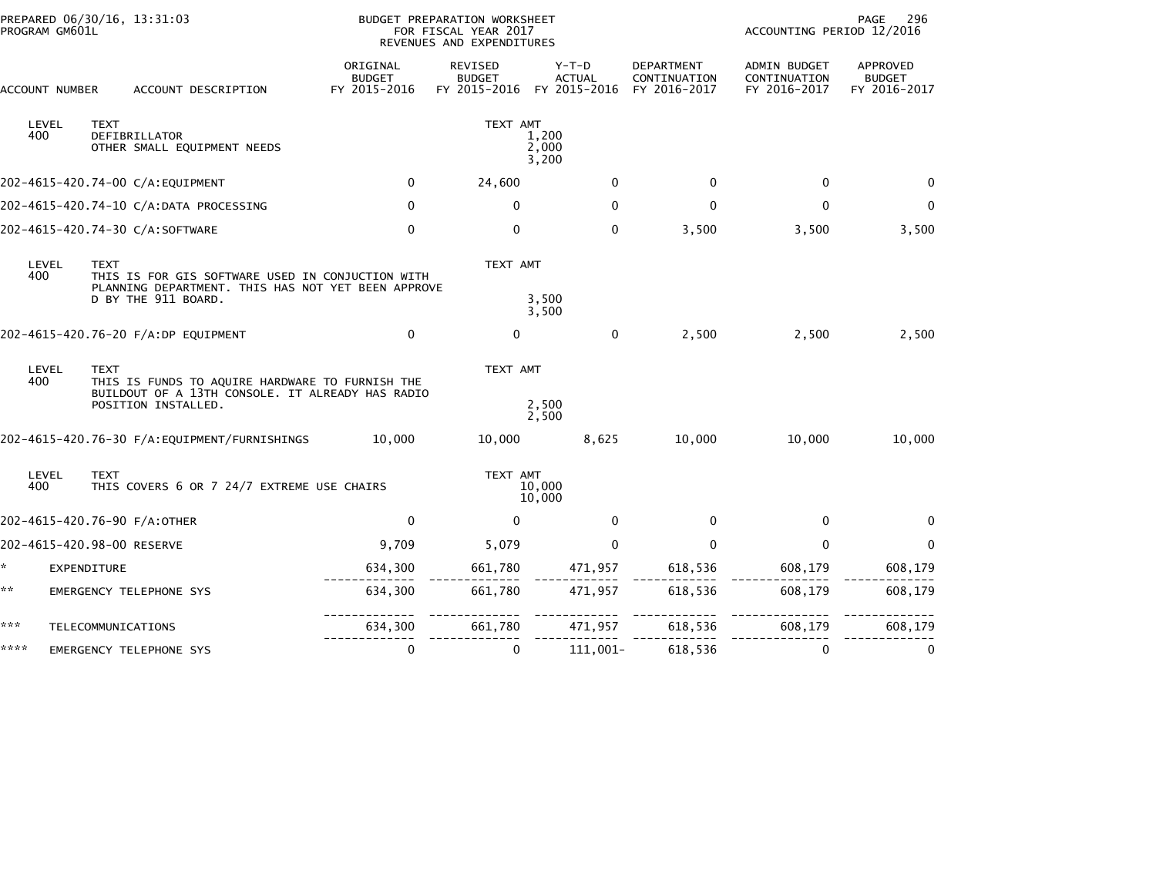|      | PROGRAM GM601L |             | PREPARED 06/30/16, 13:31:03                                                                                                   | <b>BUDGET PREPARATION WORKSHEET</b><br>FOR FISCAL YEAR 2017<br>REVENUES AND EXPENDITURES |                                          |                                   |                                            |                                              | 296<br>PAGE<br>ACCOUNTING PERIOD 12/2016  |  |  |
|------|----------------|-------------|-------------------------------------------------------------------------------------------------------------------------------|------------------------------------------------------------------------------------------|------------------------------------------|-----------------------------------|--------------------------------------------|----------------------------------------------|-------------------------------------------|--|--|
|      | ACCOUNT NUMBER |             | ACCOUNT DESCRIPTION                                                                                                           | ORIGINAL<br><b>BUDGET</b><br>FY 2015-2016                                                | REVISED<br><b>BUDGET</b><br>FY 2015-2016 | $Y-T-D$<br>ACTUAL<br>FY 2015-2016 | DEPARTMENT<br>CONTINUATION<br>FY 2016-2017 | ADMIN BUDGET<br>CONTINUATION<br>FY 2016-2017 | APPROVED<br><b>BUDGET</b><br>FY 2016-2017 |  |  |
|      | LEVEL<br>400   | <b>TEXT</b> | DEFIBRILLATOR<br>OTHER SMALL EQUIPMENT NEEDS                                                                                  |                                                                                          | TEXT AMT                                 | 1,200<br>2,000<br>3,200           |                                            |                                              |                                           |  |  |
|      |                |             | 202-4615-420.74-00 C/A:EQUIPMENT                                                                                              | $\mathbf 0$                                                                              | 24,600                                   | $\mathbf{0}$                      | $\mathbf 0$                                | $\mathbf 0$                                  | $\mathbf{0}$                              |  |  |
|      |                |             | 202-4615-420.74-10 C/A:DATA PROCESSING                                                                                        | 0                                                                                        | 0                                        | 0                                 | 0                                          | 0                                            | 0                                         |  |  |
|      |                |             | 202-4615-420.74-30 C/A:SOFTWARE                                                                                               | $\mathbf 0$                                                                              | $\Omega$                                 | $\mathbf 0$                       | 3,500                                      | 3,500                                        | 3,500                                     |  |  |
|      | LEVEL<br>400   | <b>TEXT</b> | THIS IS FOR GIS SOFTWARE USED IN CONJUCTION WITH<br>PLANNING DEPARTMENT. THIS HAS NOT YET BEEN APPROVE<br>D BY THE 911 BOARD. |                                                                                          | TEXT AMT                                 | 3,500<br>3,500                    |                                            |                                              |                                           |  |  |
|      |                |             | 202-4615-420.76-20 F/A:DP EQUIPMENT                                                                                           | $\mathbf 0$                                                                              | $\Omega$                                 | $\mathbf{0}$                      | 2,500                                      | 2,500                                        | 2,500                                     |  |  |
|      | LEVEL<br>400   | <b>TEXT</b> | THIS IS FUNDS TO AQUIRE HARDWARE TO FURNISH THE<br>BUILDOUT OF A 13TH CONSOLE. IT ALREADY HAS RADIO<br>POSITION INSTALLED.    |                                                                                          | TEXT AMT                                 | 2,500<br>2,500                    |                                            |                                              |                                           |  |  |
|      |                |             | 202-4615-420.76-30 F/A:EQUIPMENT/FURNISHINGS                                                                                  | 10,000                                                                                   | 10,000                                   | 8,625                             | 10,000                                     | 10,000                                       | 10,000                                    |  |  |
|      | LEVEL<br>400   | <b>TEXT</b> | THIS COVERS 6 OR 7 24/7 EXTREME USE CHAIRS                                                                                    |                                                                                          | TEXT AMT                                 | 10,000<br>10,000                  |                                            |                                              |                                           |  |  |
|      |                |             | 202-4615-420.76-90 F/A:OTHER                                                                                                  | $\mathbf 0$                                                                              | $\mathbf{0}$                             | $\mathbf{0}$                      | 0                                          | 0                                            | 0                                         |  |  |
|      |                |             | 202-4615-420.98-00 RESERVE                                                                                                    | 9,709                                                                                    | 5,079                                    | $\mathbf 0$                       | $\mathbf{0}$                               | $\mathbf{0}$                                 | $\mathbf{0}$                              |  |  |
| *    | EXPENDITURE    |             |                                                                                                                               | 634,300                                                                                  | 661,780                                  | 471,957                           | 618,536                                    | 608,179                                      | 608,179                                   |  |  |
| **   |                |             | EMERGENCY TELEPHONE SYS                                                                                                       | 634,300                                                                                  | 661,780                                  | 471,957                           | 618,536                                    | 608,179                                      | 608,179                                   |  |  |
| ***  |                |             | TELECOMMUNICATIONS                                                                                                            | 634,300                                                                                  | 661,780                                  | 471,957                           | 618,536                                    | 608,179                                      | 608,179                                   |  |  |
| **** |                |             | EMERGENCY TELEPHONE SYS                                                                                                       | 0                                                                                        | $\mathbf{0}$                             | 111,001-                          | 618,536                                    | 0                                            | 0                                         |  |  |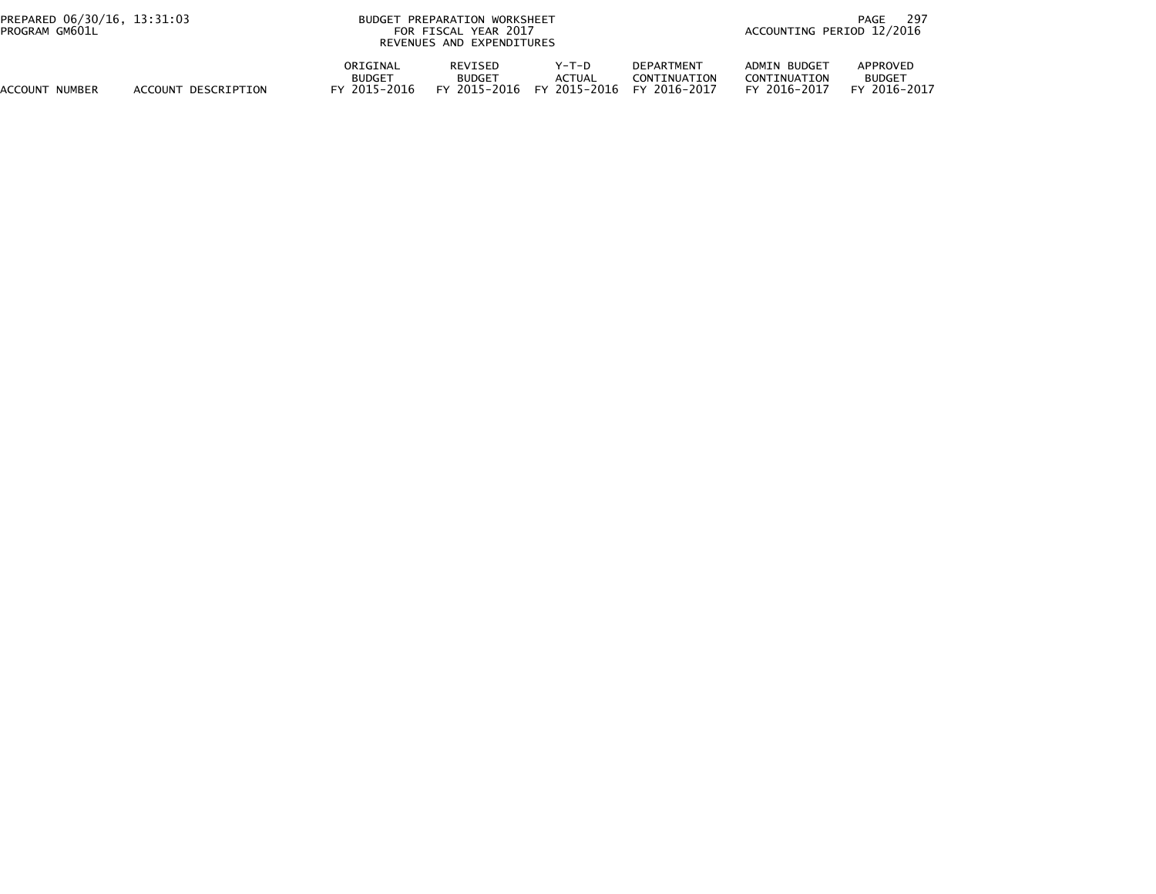| PREPARED 06/30/16, 13:31:03<br>PROGRAM GM601L |                     | <b>BUDGET</b>                             | PREPARATION WORKSHEET<br>FOR FISCAL YEAR 2017<br>REVENUES AND EXPENDITURES |                        |                                                                | -297<br>PAGE<br>ACCOUNTING PERIOD 12/2016    |                                               |  |
|-----------------------------------------------|---------------------|-------------------------------------------|----------------------------------------------------------------------------|------------------------|----------------------------------------------------------------|----------------------------------------------|-----------------------------------------------|--|
| ACCOUNT NUMBER                                | ACCOUNT DESCRIPTION | ORIGINAL<br><b>BUDGET</b><br>FY 2015-2016 | <b>REVISED</b><br><b>BUDGET</b><br>FY 2015-2016                            | Y-T-D<br><b>ACTUAL</b> | <b>DEPARTMENT</b><br>CONTINUATION<br>FY 2015-2016 FY 2016-2017 | ADMIN BUDGET<br>CONTINUATION<br>FY 2016-2017 | APPROVED<br><b>BUDGET</b><br>2016-2017<br>FY. |  |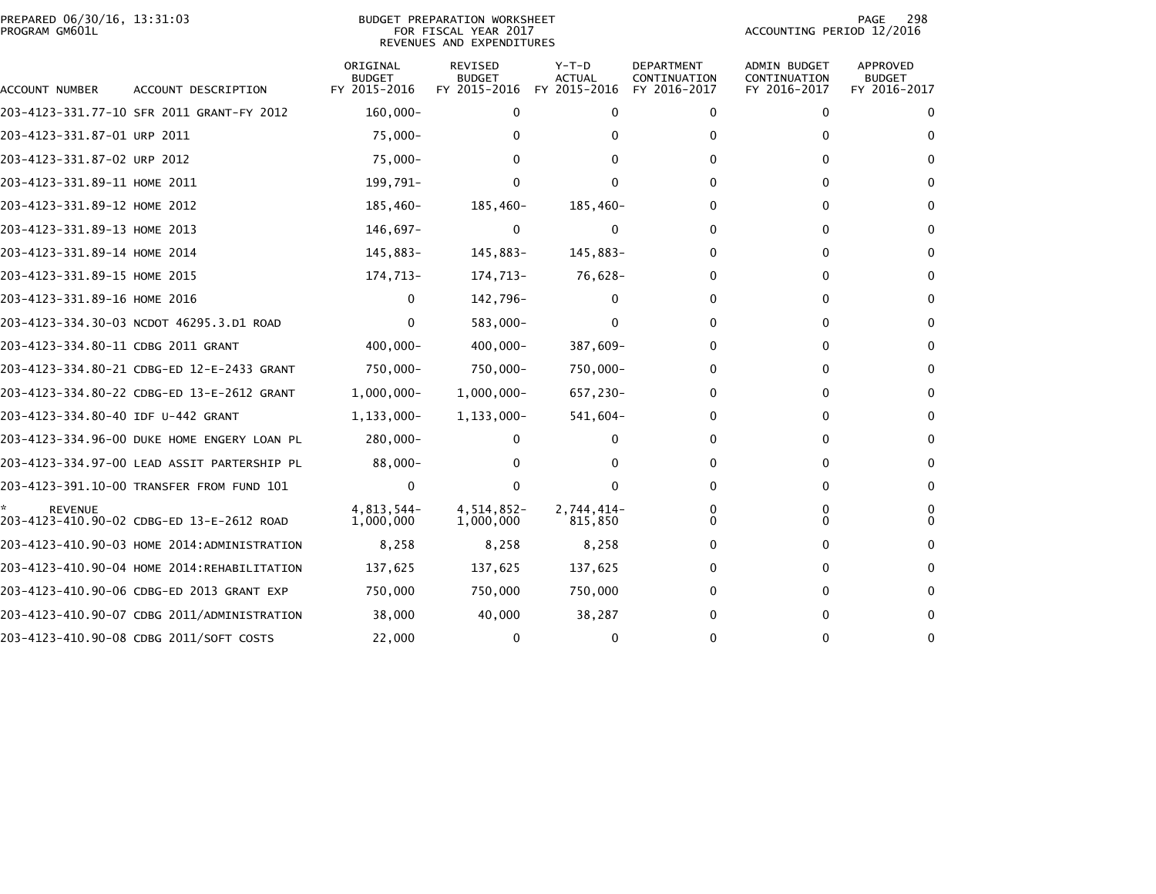|                | PREPARED 06/30/16, 13:31:03 |  |
|----------------|-----------------------------|--|
| PROGRAM GM601L |                             |  |

## PREPARED 06/30/16, 13:31:03 PREPARATION WORKSHEET PREPARATION WORKSHEET PREPARATION WORKSHEET<br>FOR FISCAL YEAR 2017 ACCOUNTING PERIOD 12/2016<br>REVENUES AND EXPENDITURES

PAGE 298<br>ACCOUNTING PERIOD 12/2016

| ACCOUNT NUMBER                     | ACCOUNT DESCRIPTION                         | ORIGINAL<br><b>BUDGET</b><br>FY 2015-2016 | <b>REVISED</b><br><b>BUDGET</b><br>FY 2015-2016 | $Y-T-D$<br><b>ACTUAL</b><br>FY 2015-2016 | <b>DEPARTMENT</b><br>CONTINUATION<br>FY 2016-2017 | <b>ADMIN BUDGET</b><br>CONTINUATION<br>FY 2016-2017 | <b>APPROVED</b><br><b>BUDGET</b><br>FY 2016-2017 |
|------------------------------------|---------------------------------------------|-------------------------------------------|-------------------------------------------------|------------------------------------------|---------------------------------------------------|-----------------------------------------------------|--------------------------------------------------|
|                                    | 203-4123-331.77-10 SFR 2011 GRANT-FY 2012   | $160,000 -$                               | $\mathbf{0}$                                    | 0                                        | 0                                                 | $\mathbf{0}$                                        | $\mathbf{0}$                                     |
| 203-4123-331.87-01 URP 2011        |                                             | 75,000-                                   |                                                 |                                          | 0                                                 | 0                                                   |                                                  |
| 203-4123-331.87-02 URP 2012        |                                             | 75,000-                                   | 0                                               |                                          |                                                   | 0                                                   | $\Omega$                                         |
| 203-4123-331.89-11 HOME 2011       |                                             | 199,791-                                  | 0                                               | <sup>0</sup>                             |                                                   | 0                                                   |                                                  |
| 203-4123-331.89-12 HOME 2012       |                                             | 185,460-                                  | 185,460-                                        | 185,460-                                 |                                                   | 0                                                   | $\Omega$                                         |
| 203-4123-331.89-13 HOME 2013       |                                             | 146,697-                                  | 0                                               | $\Omega$                                 |                                                   | 0                                                   | $\Omega$                                         |
| 203-4123-331.89-14 HOME 2014       |                                             | 145,883-                                  | 145,883-                                        | 145,883-                                 |                                                   | 0                                                   | $\Omega$                                         |
| 203-4123-331.89-15 HOME 2015       |                                             | 174,713-                                  | 174,713-                                        | 76,628-                                  |                                                   | 0                                                   | $\Omega$                                         |
| 203-4123-331.89-16 HOME 2016       |                                             | 0                                         | 142,796-                                        | 0                                        |                                                   | 0                                                   | $\Omega$                                         |
|                                    | 203-4123-334.30-03 NCDOT 46295.3.D1 ROAD    | $\Omega$                                  | 583,000-                                        |                                          |                                                   | 0                                                   |                                                  |
| 203-4123-334.80-11 CDBG 2011 GRANT |                                             | 400,000-                                  | $400,000 -$                                     | 387,609-                                 |                                                   | 0                                                   |                                                  |
|                                    | 203-4123-334.80-21 CDBG-ED 12-E-2433 GRANT  | 750,000-                                  | 750,000-                                        | 750,000-                                 |                                                   | 0                                                   |                                                  |
|                                    | 203-4123-334.80-22 CDBG-ED 13-E-2612 GRANT  | $1,000,000 -$                             | $1,000,000 -$                                   | 657,230-                                 |                                                   | 0                                                   |                                                  |
| 203-4123-334.80-40 IDF U-442 GRANT |                                             | 1,133,000-                                | $1,133,000-$                                    | $541,604-$                               |                                                   | 0                                                   |                                                  |
|                                    | 203-4123-334.96-00 DUKE HOME ENGERY LOAN PL | 280,000-                                  | 0                                               | 0                                        |                                                   | 0                                                   |                                                  |
|                                    | 203-4123-334.97-00 LEAD ASSIT PARTERSHIP PL | 88,000-                                   |                                                 |                                          | 0                                                 | $\Omega$                                            | $\Omega$                                         |
|                                    | 203-4123-391.10-00 TRANSFER FROM FUND 101   | $\mathbf{0}$                              | 0                                               | O                                        |                                                   | 0                                                   | $\Omega$                                         |
| <b>REVENUE</b>                     | 203-4123-410.90-02 CDBG-ED 13-E-2612 ROAD   | 4,813,544-<br>1,000,000                   | 4,514,852-<br>1,000,000                         | 2,744,414-<br>815,850                    |                                                   | 0<br>0                                              |                                                  |
|                                    | 203-4123-410.90-03 HOME 2014:ADMINISTRATION | 8,258                                     | 8,258                                           | 8,258                                    |                                                   | 0                                                   |                                                  |
|                                    | 203-4123-410.90-04 HOME 2014:REHABILITATION | 137,625                                   | 137,625                                         | 137,625                                  |                                                   | 0                                                   |                                                  |
|                                    | 203-4123-410.90-06 CDBG-ED 2013 GRANT EXP   | 750,000                                   | 750,000                                         | 750,000                                  |                                                   | 0                                                   |                                                  |
|                                    | 203-4123-410.90-07 CDBG 2011/ADMINISTRATION | 38,000                                    | 40,000                                          | 38,287                                   |                                                   | 0                                                   | $\Omega$                                         |
|                                    | 203-4123-410.90-08 CDBG 2011/SOFT COSTS     | 22,000                                    | 0                                               | 0                                        |                                                   | $\Omega$                                            | $\Omega$                                         |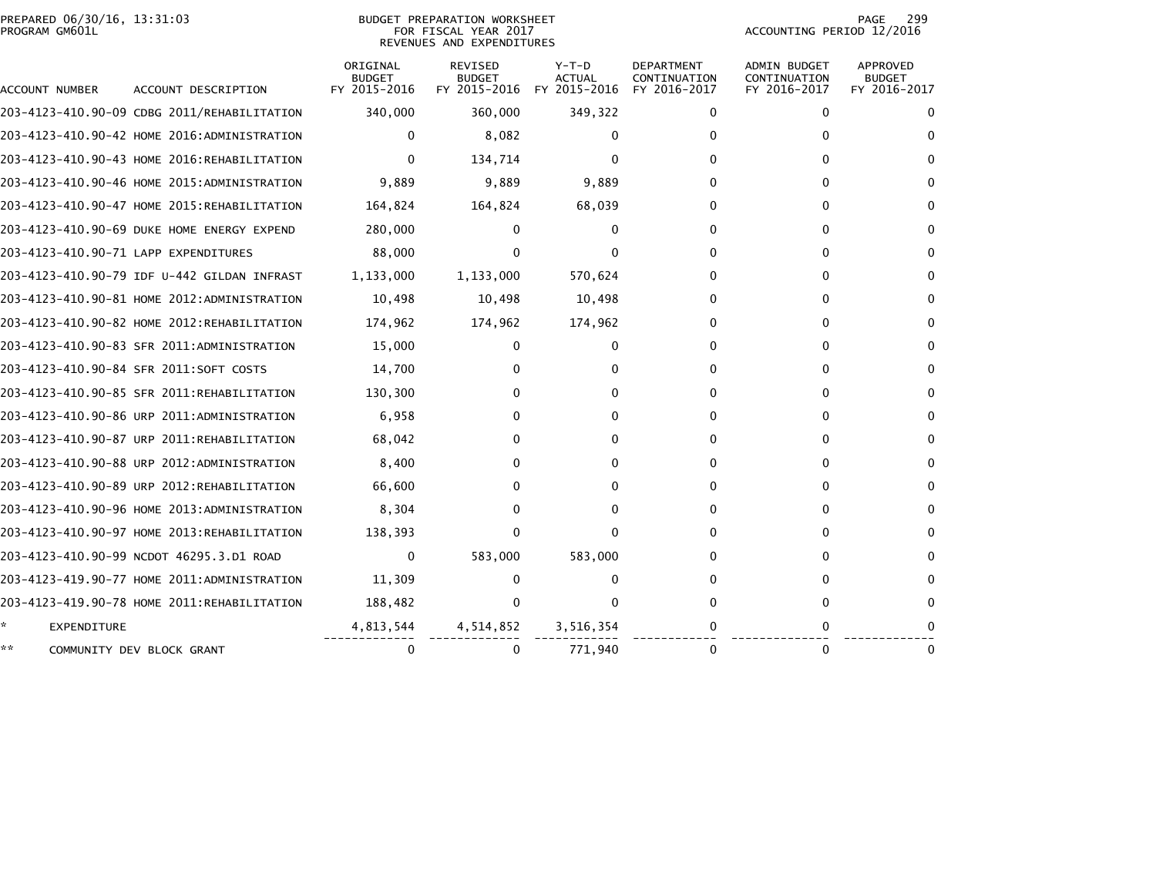| PREPARED 06/30/16, 13:31:03<br>PROGRAM GM601L | BUDGET PREPARATION WORKSHEET<br>FOR FISCAL YEAR 2017<br>REVENUES AND EXPENDITURES | 299<br>PAGE<br>ACCOUNTING PERIOD 12/2016 |
|-----------------------------------------------|-----------------------------------------------------------------------------------|------------------------------------------|
|                                               |                                                                                   |                                          |

PAGE 299<br>ACCOUNTING PERIOD 12/2016

| ACCOUNT NUMBER                       | ACCOUNT DESCRIPTION                         | ORIGINAL<br><b>BUDGET</b><br>FY 2015-2016 | <b>REVISED</b><br><b>BUDGET</b><br>FY 2015-2016 | $Y-T-D$<br>ACTUAL<br>FY 2015-2016 | <b>DEPARTMENT</b><br>CONTINUATION<br>FY 2016-2017 | <b>ADMIN BUDGET</b><br>CONTINUATION<br>FY 2016-2017 | APPROVED<br><b>BUDGET</b><br>FY 2016-2017 |
|--------------------------------------|---------------------------------------------|-------------------------------------------|-------------------------------------------------|-----------------------------------|---------------------------------------------------|-----------------------------------------------------|-------------------------------------------|
|                                      | 203-4123-410.90-09 CDBG 2011/REHABILITATION | 340,000                                   | 360,000                                         | 349,322                           | 0                                                 | 0                                                   | 0                                         |
|                                      | 203-4123-410.90-42 HOME 2016:ADMINISTRATION | 0                                         | 8,082                                           | 0                                 | 0                                                 | 0                                                   | 0                                         |
|                                      | 203-4123-410.90-43 HOME 2016:REHABILITATION | 0                                         | 134,714                                         | 0                                 | 0                                                 | 0                                                   | 0                                         |
|                                      | 203-4123-410.90-46 HOME 2015:ADMINISTRATION | 9,889                                     | 9,889                                           | 9,889                             | 0                                                 | 0                                                   | 0                                         |
|                                      |                                             |                                           |                                                 |                                   |                                                   |                                                     |                                           |
|                                      | 203-4123-410.90-47 HOME 2015:REHABILITATION | 164,824                                   | 164,824                                         | 68,039                            | $^{(1)}$                                          | 0                                                   | 0                                         |
|                                      | 203-4123-410.90-69 DUKE HOME ENERGY EXPEND  | 280,000                                   | 0                                               | 0                                 | <sup>0</sup>                                      | 0                                                   | 0                                         |
| 203-4123-410.90-71 LAPP EXPENDITURES |                                             | 88,000                                    |                                                 | 0                                 |                                                   | 0                                                   | 0                                         |
|                                      | 203-4123-410.90-79 IDF U-442 GILDAN INFRAST | 1,133,000                                 | 1,133,000                                       | 570,624                           | 0                                                 | 0                                                   | 0                                         |
|                                      | 203-4123-410.90-81 HOME 2012:ADMINISTRATION | 10,498                                    | 10,498                                          | 10,498                            | 0                                                 | 0                                                   | 0                                         |
|                                      | 203-4123-410.90-82 HOME 2012:REHABILITATION | 174,962                                   | 174,962                                         | 174,962                           | 0                                                 | 0                                                   | 0                                         |
|                                      | 203-4123-410.90-83 SFR 2011:ADMINISTRATION  | 15,000                                    | 0                                               | 0                                 | 0                                                 | 0                                                   | 0                                         |
|                                      | 203-4123-410.90-84 SFR 2011:SOFT COSTS      | 14,700                                    |                                                 | 0                                 | $\Omega$                                          | 0                                                   | 0                                         |
|                                      | 203-4123-410.90-85 SFR 2011:REHABILITATION  | 130,300                                   |                                                 | 0                                 | 0                                                 | 0                                                   | 0                                         |
|                                      | 203-4123-410.90-86 URP 2011:ADMINISTRATION  | 6,958                                     |                                                 | 0                                 | 0                                                 | 0                                                   | 0                                         |
|                                      | 203-4123-410.90-87 URP 2011:REHABILITATION  | 68,042                                    |                                                 | 0                                 | $\Omega$                                          | 0                                                   | 0                                         |
|                                      | 203-4123-410.90-88 URP 2012:ADMINISTRATION  | 8,400                                     | 0                                               | 0                                 | $\Omega$                                          | 0                                                   | 0                                         |
|                                      | 203-4123-410.90-89 URP 2012:REHABILITATION  | 66,600                                    |                                                 | 0                                 | 0                                                 | 0                                                   | 0                                         |
|                                      | 203-4123-410.90-96 HOME 2013:ADMINISTRATION | 8,304                                     |                                                 | U                                 | $\Omega$                                          | 0                                                   | 0                                         |
|                                      | 203-4123-410.90-97 HOME 2013:REHABILITATION | 138,393                                   |                                                 | 0                                 |                                                   | 0                                                   |                                           |
|                                      | 203-4123-410.90-99 NCDOT 46295.3.D1 ROAD    | $\Omega$                                  | 583,000                                         | 583,000                           |                                                   | 0                                                   |                                           |
|                                      | 203-4123-419.90-77 HOME 2011:ADMINISTRATION | 11,309                                    | 0                                               | 0                                 | 0                                                 | 0                                                   | 0                                         |
|                                      | 203-4123-419.90-78 HOME 2011:REHABILITATION | 188,482                                   | 0                                               | 0                                 | <sup>0</sup>                                      | 0                                                   | 0                                         |
| <b>EXPENDITURE</b>                   |                                             | 4,813,544                                 | 4,514,852                                       | 3,516,354                         |                                                   |                                                     |                                           |
| **                                   | COMMUNITY DEV BLOCK GRANT                   |                                           |                                                 | 771,940                           | $\Omega$                                          | $\Omega$                                            | $\Omega$                                  |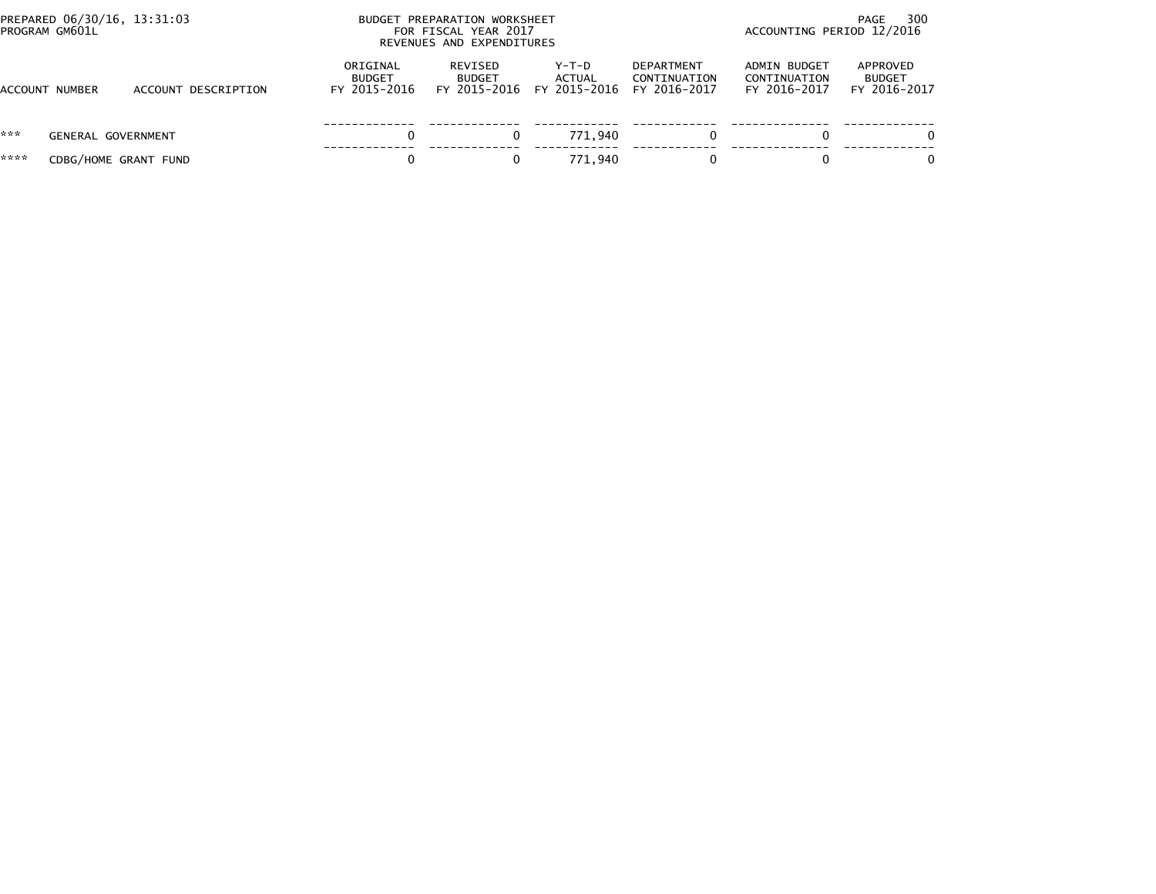| PROGRAM GM601L        | PREPARED 06/30/16, 13:31:03 |                     | BUDGET PREPARATION WORKSHEET<br>FOR FISCAL YEAR 2017<br>REVENUES AND EXPENDITURES |                          | 300<br>PAGE<br>ACCOUNTING PERIOD 12/2016     |                                                   |                                              |                                           |
|-----------------------|-----------------------------|---------------------|-----------------------------------------------------------------------------------|--------------------------|----------------------------------------------|---------------------------------------------------|----------------------------------------------|-------------------------------------------|
| <b>ACCOUNT NUMBER</b> |                             | ACCOUNT DESCRIPTION | ORIGINAL<br><b>BUDGET</b><br>FY 2015-2016                                         | REVISED<br><b>BUDGET</b> | Y-T-D<br>ACTUAL<br>FY 2015-2016 FY 2015-2016 | <b>DEPARTMENT</b><br>CONTINUATION<br>FY 2016-2017 | ADMIN BUDGET<br>CONTINUATION<br>FY 2016-2017 | APPROVED<br><b>BUDGET</b><br>FY 2016-2017 |
| ***                   | <b>GENERAL GOVERNMENT</b>   |                     |                                                                                   |                          | 771.940                                      | 0                                                 |                                              | $\Omega$                                  |
| ****                  | CDBG/HOME GRANT FUND        |                     |                                                                                   |                          | 771.940                                      |                                                   |                                              | $\Omega$                                  |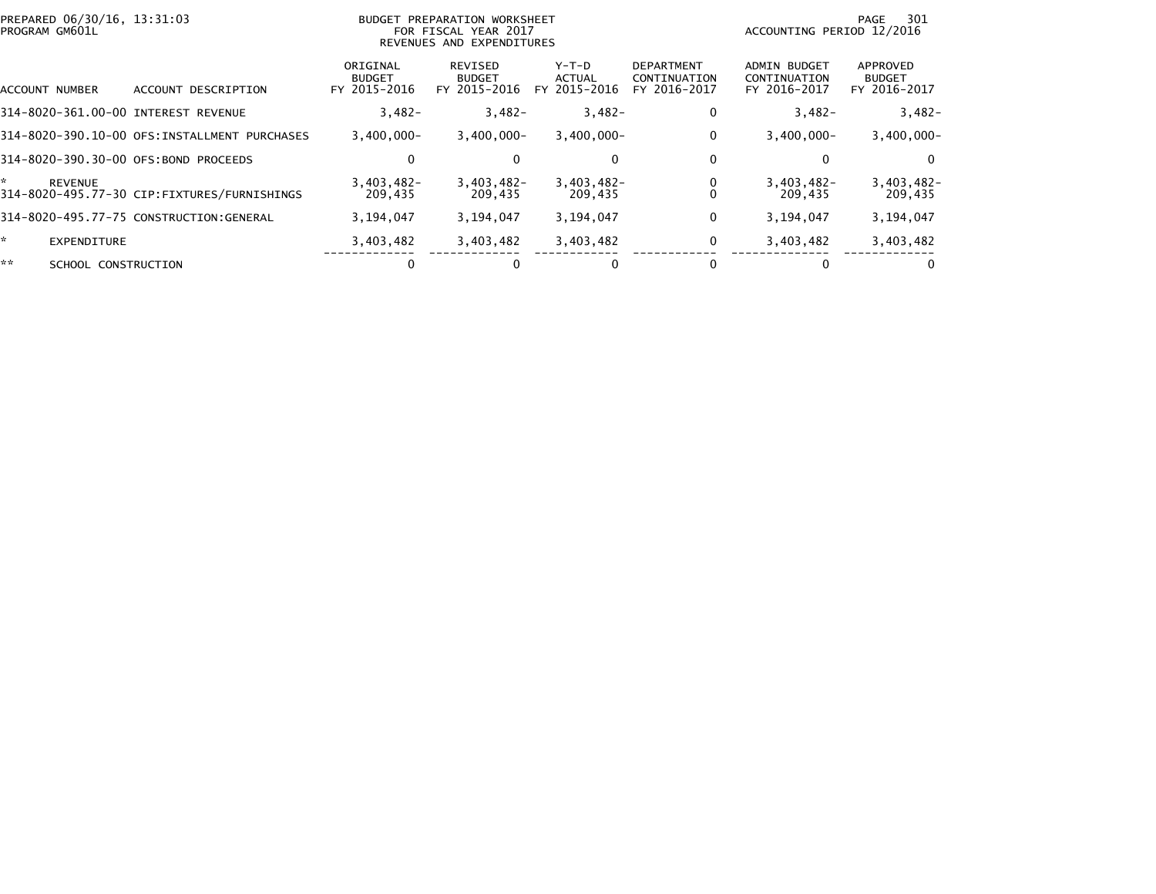| PREPARED 06/30/16, 13:31:03<br>PROGRAM GM601L |                                              | <b>BUDGET PREPARATION WORKSHEET</b><br>FOR FISCAL YEAR 2017<br>REVENUES AND EXPENDITURES |                                          |                                 |                                                   | 301<br>PAGE<br>ACCOUNTING PERIOD 12/2016            |                                           |  |
|-----------------------------------------------|----------------------------------------------|------------------------------------------------------------------------------------------|------------------------------------------|---------------------------------|---------------------------------------------------|-----------------------------------------------------|-------------------------------------------|--|
| ACCOUNT NUMBER                                | ACCOUNT DESCRIPTION                          | ORIGINAL<br><b>BUDGET</b><br>FY 2015-2016                                                | REVISED<br><b>BUDGET</b><br>FY 2015-2016 | Y-T-D<br>ACTUAL<br>FY 2015-2016 | <b>DEPARTMENT</b><br>CONTINUATION<br>FY 2016-2017 | <b>ADMIN BUDGET</b><br>CONTINUATION<br>FY 2016-2017 | APPROVED<br><b>BUDGET</b><br>FY 2016-2017 |  |
| 314-8020-361.00-00 INTEREST REVENUE           |                                              | $3,482-$                                                                                 | $3,482-$                                 | $3,482-$                        | 0                                                 | $3,482-$                                            | $3,482-$                                  |  |
|                                               | 314-8020-390.10-00 OFS:INSTALLMENT PURCHASES | $3,400,000 -$                                                                            | $3,400,000 -$                            | $3,400,000 -$                   | 0                                                 | $3,400,000 -$                                       | $3,400,000 -$                             |  |
| 314-8020-390.30-00 OFS:BOND PROCEEDS          |                                              | 0                                                                                        | $\bf{0}$                                 | 0                               | 0                                                 |                                                     | $\Omega$                                  |  |
| *<br><b>REVENUE</b>                           | 314-8020-495.77-30 CIP:FIXTURES/FURNISHINGS  | $3.403.482 -$<br>209,435                                                                 | $3.403.482 -$<br>209,435                 | $3,403,482-$<br>209,435         |                                                   | $3,403,482-$<br>209,435                             | $3,403,482-$<br>209,435                   |  |
|                                               | 314-8020-495.77-75 CONSTRUCTION:GENERAL      | 3,194,047                                                                                | 3,194,047                                | 3,194,047                       | 0                                                 | 3,194,047                                           | 3,194,047                                 |  |
| *.<br>EXPENDITURE                             |                                              | 3,403,482                                                                                | 3,403,482                                | 3,403,482                       | 0                                                 | 3,403,482                                           | 3,403,482                                 |  |
| **<br>SCHOOL CONSTRUCTION                     |                                              |                                                                                          |                                          |                                 |                                                   |                                                     |                                           |  |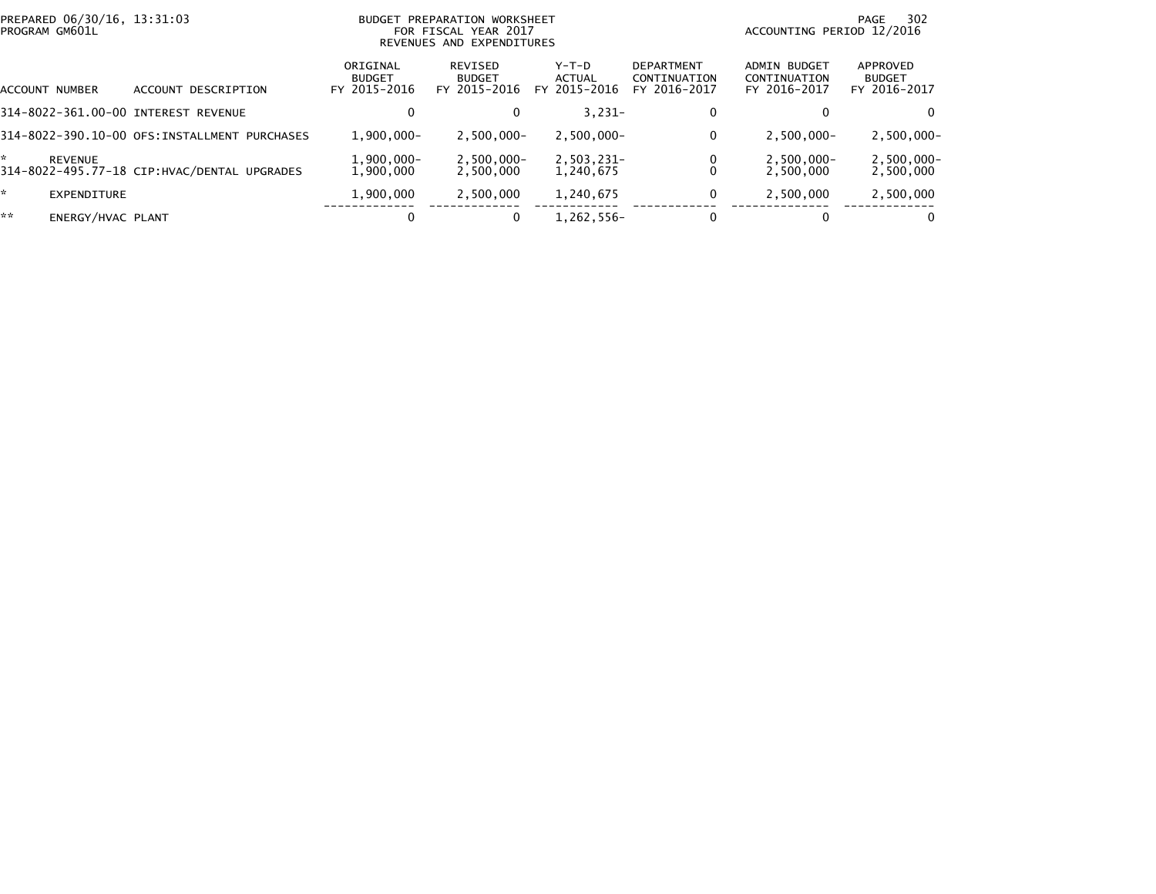| PREPARED 06/30/16, 13:31:03<br>PROGRAM GM601L |                                              |                                           | BUDGET PREPARATION WORKSHEET<br>FOR FISCAL YEAR 2017<br>REVENUES AND EXPENDITURES | ACCOUNTING PERIOD 12/2016       | 302<br>PAGE                                       |                                              |                                           |
|-----------------------------------------------|----------------------------------------------|-------------------------------------------|-----------------------------------------------------------------------------------|---------------------------------|---------------------------------------------------|----------------------------------------------|-------------------------------------------|
| ACCOUNT NUMBER                                | ACCOUNT DESCRIPTION                          | ORIGINAL<br><b>BUDGET</b><br>FY 2015-2016 | REVISED<br><b>BUDGET</b><br>FY 2015-2016                                          | Y-T-D<br>ACTUAL<br>FY 2015-2016 | <b>DEPARTMENT</b><br>CONTINUATION<br>FY 2016-2017 | ADMIN BUDGET<br>CONTINUATION<br>FY 2016-2017 | APPROVED<br><b>BUDGET</b><br>FY 2016-2017 |
| 314-8022-361.00-00 INTEREST REVENUE           |                                              | 0                                         | $\Omega$                                                                          | $3,231-$                        | 0                                                 |                                              | $\Omega$                                  |
|                                               | 314-8022-390.10-00 OFS:INSTALLMENT PURCHASES | $1.900.000 -$                             | $2,500,000 -$                                                                     | $2,500,000 -$                   | 0                                                 | $2.500.000 -$                                | $2,500,000 -$                             |
| *<br>REVENUE                                  | 314-8022-495.77-18 CIP: HVAC/DENTAL UPGRADES | $1,900,000 -$<br>1.900.000                | $2,500,000 -$<br>2,500,000                                                        | 2,503,231-<br>1,240,675         | 0                                                 | $2,500,000 -$<br>2,500,000                   | $2,500,000 -$<br>2,500,000                |
| *.<br>EXPENDITURE                             |                                              | 1,900,000                                 | 2,500,000                                                                         | 1,240,675                       | 0                                                 | 2,500,000                                    | 2,500,000                                 |
| **<br>ENERGY/HVAC PLANT                       |                                              | 0                                         | $\bf{0}$                                                                          | 1,262,556-                      | 0                                                 |                                              | $\Omega$                                  |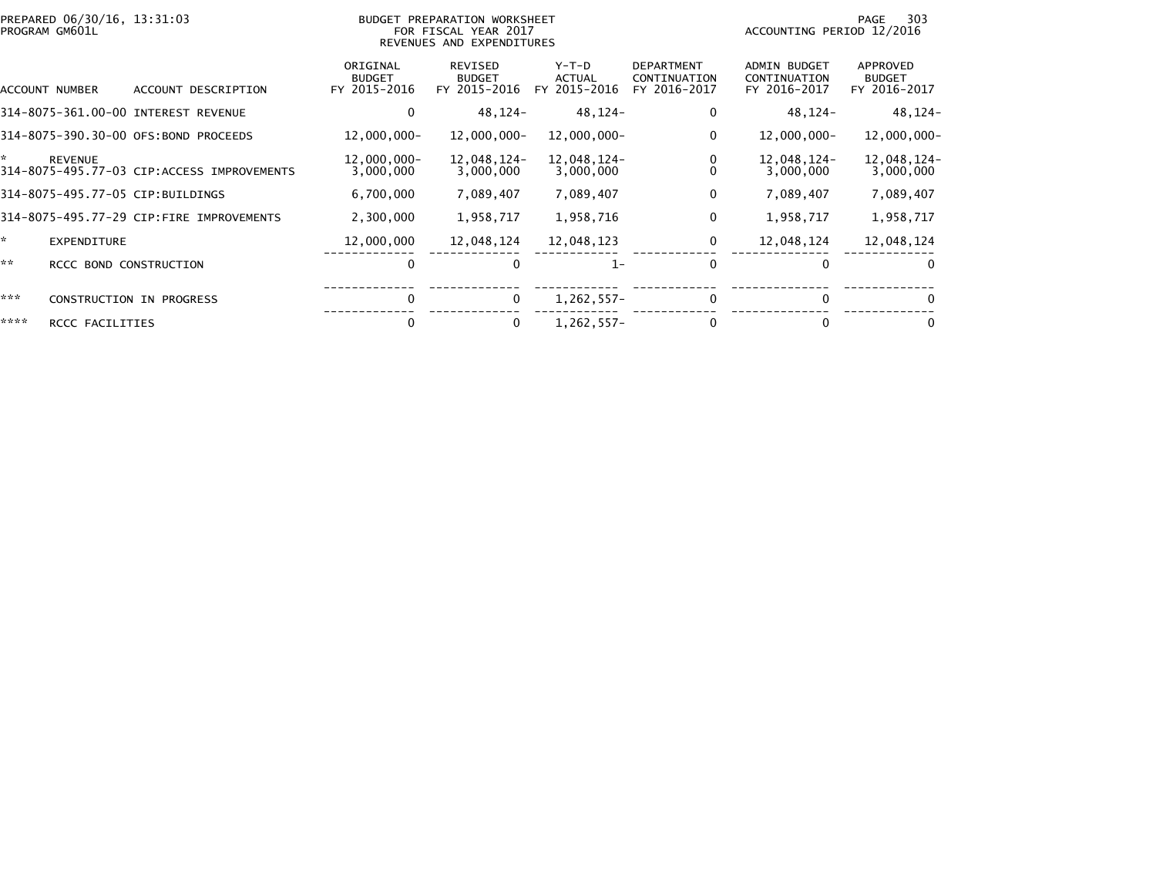|      | PREPARED 06/30/16, 13:31:03<br>PROGRAM GM601L |                                            | <b>BUDGET PREPARATION WORKSHEET</b><br>FOR FISCAL YEAR 2017<br>REVENUES AND EXPENDITURES |                                                 |                                   |                                                   | 303<br>PAGE<br>ACCOUNTING PERIOD 12/2016            |                                           |  |
|------|-----------------------------------------------|--------------------------------------------|------------------------------------------------------------------------------------------|-------------------------------------------------|-----------------------------------|---------------------------------------------------|-----------------------------------------------------|-------------------------------------------|--|
|      | ACCOUNT NUMBER                                | ACCOUNT DESCRIPTION                        | ORIGINAL<br><b>BUDGET</b><br>FY 2015-2016                                                | <b>REVISED</b><br><b>BUDGET</b><br>FY 2015-2016 | $Y-T-D$<br>ACTUAL<br>FY 2015-2016 | <b>DEPARTMENT</b><br>CONTINUATION<br>FY 2016-2017 | <b>ADMIN BUDGET</b><br>CONTINUATION<br>FY 2016-2017 | APPROVED<br><b>BUDGET</b><br>FY 2016-2017 |  |
|      |                                               | 314-8075-361.00-00 INTEREST REVENUE        | 0                                                                                        | 48,124-                                         | 48,124-                           | 0                                                 | 48,124-                                             | 48,124-                                   |  |
|      |                                               | 314-8075-390.30-00 OFS:BOND PROCEEDS       | 12,000,000-                                                                              | 12,000,000-                                     | 12,000,000-                       | 0                                                 | 12,000,000-                                         | 12,000,000-                               |  |
| ×.   | <b>REVENUE</b>                                | 314-8075-495.77-03 CIP:ACCESS IMPROVEMENTS | 12,000,000-<br>3,000,000                                                                 | 12,048,124-<br>3,000,000                        | 12,048,124-<br>3,000,000          | 0<br>$\Omega$                                     | 12,048,124-<br>3,000,000                            | 12,048,124-<br>3,000,000                  |  |
|      |                                               | 314-8075-495.77-05 CIP:BUILDINGS           | 6,700,000                                                                                | 7,089,407                                       | 7,089,407                         | 0                                                 | 7,089,407                                           | 7,089,407                                 |  |
|      |                                               | 314-8075-495.77-29 CIP:FIRE IMPROVEMENTS   | 2,300,000                                                                                | 1,958,717                                       | 1,958,716                         | $\mathbf 0$                                       | 1,958,717                                           | 1,958,717                                 |  |
| ×.   | <b>EXPENDITURE</b>                            |                                            | 12,000,000                                                                               | 12,048,124                                      | 12,048,123                        | 0                                                 | 12,048,124                                          | 12,048,124                                |  |
| **   | RCCC BOND CONSTRUCTION                        |                                            | 0                                                                                        |                                                 | $1 -$                             | $\mathbf{0}$                                      | 0                                                   | $\Omega$                                  |  |
| ***  |                                               | <b>CONSTRUCTION IN PROGRESS</b>            | 0                                                                                        | $\mathbf 0$                                     | $1,262,557-$                      | 0                                                 | 0                                                   | $\Omega$                                  |  |
| **** | RCCC FACILITIES                               |                                            | $\Omega$                                                                                 | 0                                               | 1,262,557-                        | 0                                                 |                                                     | $\mathbf{0}$                              |  |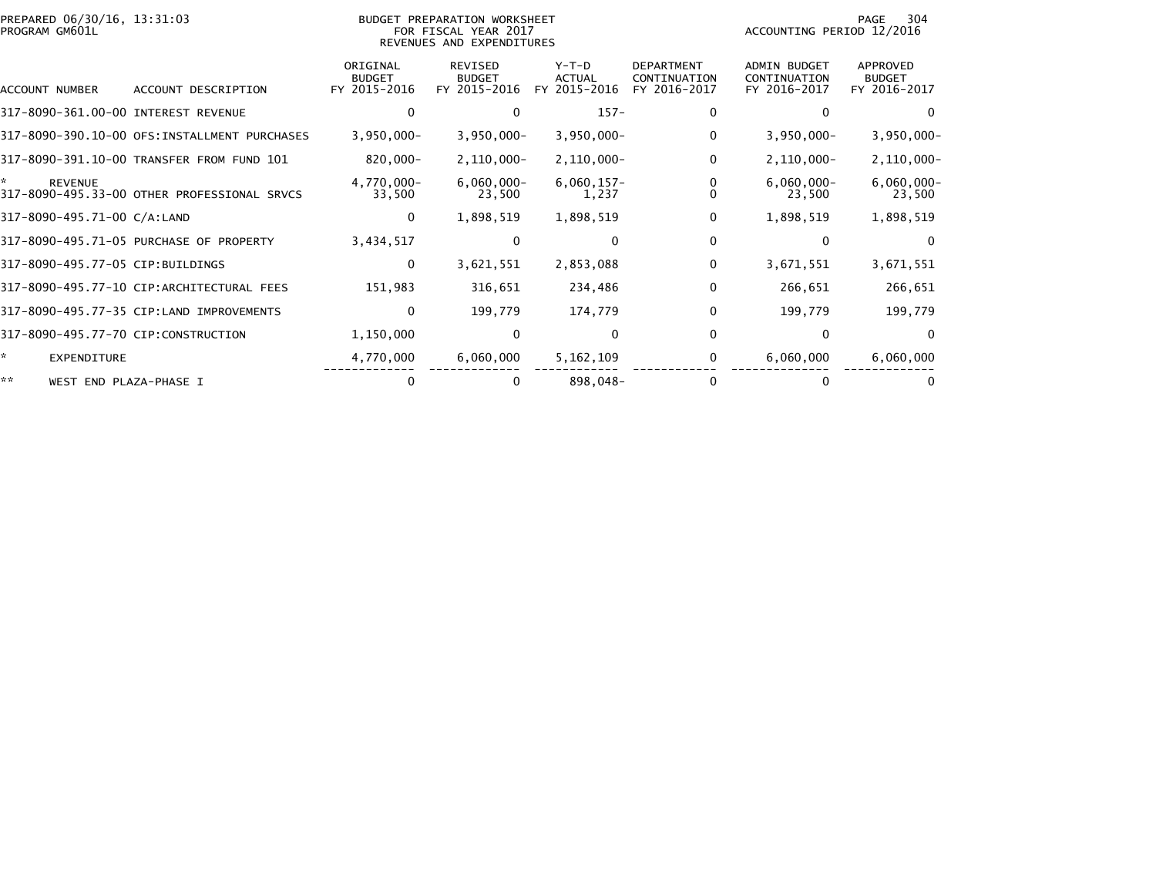| PREPARED 06/30/16, 13:31:03<br>PROGRAM GM601L |                                              |                                           | <b>BUDGET PREPARATION WORKSHEET</b><br>FOR FISCAL YEAR 2017<br>REVENUES AND EXPENDITURES | 304<br>PAGE<br>ACCOUNTING PERIOD 12/2016 |                                                   |                                                     |                                           |
|-----------------------------------------------|----------------------------------------------|-------------------------------------------|------------------------------------------------------------------------------------------|------------------------------------------|---------------------------------------------------|-----------------------------------------------------|-------------------------------------------|
| ACCOUNT NUMBER                                | ACCOUNT DESCRIPTION                          | ORIGINAL<br><b>BUDGET</b><br>FY 2015-2016 | <b>REVISED</b><br><b>BUDGET</b><br>FY 2015-2016                                          | $Y-T-D$<br><b>ACTUAL</b><br>FY 2015-2016 | <b>DEPARTMENT</b><br>CONTINUATION<br>FY 2016-2017 | <b>ADMIN BUDGET</b><br>CONTINUATION<br>FY 2016-2017 | APPROVED<br><b>BUDGET</b><br>FY 2016-2017 |
| 317-8090-361.00-00 INTEREST REVENUE           |                                              | 0                                         | $\Omega$                                                                                 | $157 -$                                  | 0                                                 | 0                                                   | $\Omega$                                  |
|                                               | 317-8090-390.10-00 OFS:INSTALLMENT PURCHASES | $3,950,000 -$                             | $3,950,000 -$                                                                            | $3,950,000 -$                            | 0                                                 | $3,950,000 -$                                       | $3,950,000 -$                             |
|                                               | 317-8090-391.10-00 TRANSFER FROM FUND 101    | 820,000-                                  | $2,110,000 -$                                                                            | $2,110,000 -$                            | 0                                                 | $2,110,000 -$                                       | $2,110,000 -$                             |
| ÷.<br><b>REVENUE</b>                          | 317-8090-495.33-00 OTHER PROFESSIONAL SRVCS  | 4,770,000-<br>33,500                      | $6,060,000 -$<br>23,500                                                                  | $6,060,157-$<br>1,237                    | 0<br>0                                            | $6,060,000 -$<br>23,500                             | $6,060,000 -$<br>23,500                   |
| 317-8090-495.71-00 C/A:LAND                   |                                              | 0                                         | 1,898,519                                                                                | 1,898,519                                | 0                                                 | 1,898,519                                           | 1,898,519                                 |
|                                               | 317-8090-495.71-05 PURCHASE OF PROPERTY      | 3,434,517                                 | $\bf{0}$                                                                                 | $\Omega$                                 | 0                                                 | 0                                                   | $\Omega$                                  |
| 317-8090-495.77-05 CIP:BUILDINGS              |                                              | 0                                         | 3,621,551                                                                                | 2,853,088                                | 0                                                 | 3,671,551                                           | 3,671,551                                 |
|                                               | 317-8090-495.77-10 CIP:ARCHITECTURAL FEES    | 151,983                                   | 316,651                                                                                  | 234,486                                  | $\mathbf{0}$                                      | 266,651                                             | 266,651                                   |
|                                               | 317-8090-495.77-35 CIP:LAND IMPROVEMENTS     | $\mathbf 0$                               | 199,779                                                                                  | 174,779                                  | $\mathbf{0}$                                      | 199,779                                             | 199,779                                   |
| 317-8090-495.77-70 CIP:CONSTRUCTION           |                                              | 1,150,000                                 | $\mathbf{0}$                                                                             | $\Omega$                                 | $\mathbf{0}$                                      | $\Omega$                                            | $\Omega$                                  |
| *<br>EXPENDITURE                              |                                              | 4,770,000                                 | 6,060,000                                                                                | 5,162,109                                | 0                                                 | 6,060,000                                           | 6,060,000                                 |
| **<br>WEST END PLAZA-PHASE I                  |                                              | 0                                         | 0                                                                                        | 898,048-                                 | $\Omega$                                          |                                                     |                                           |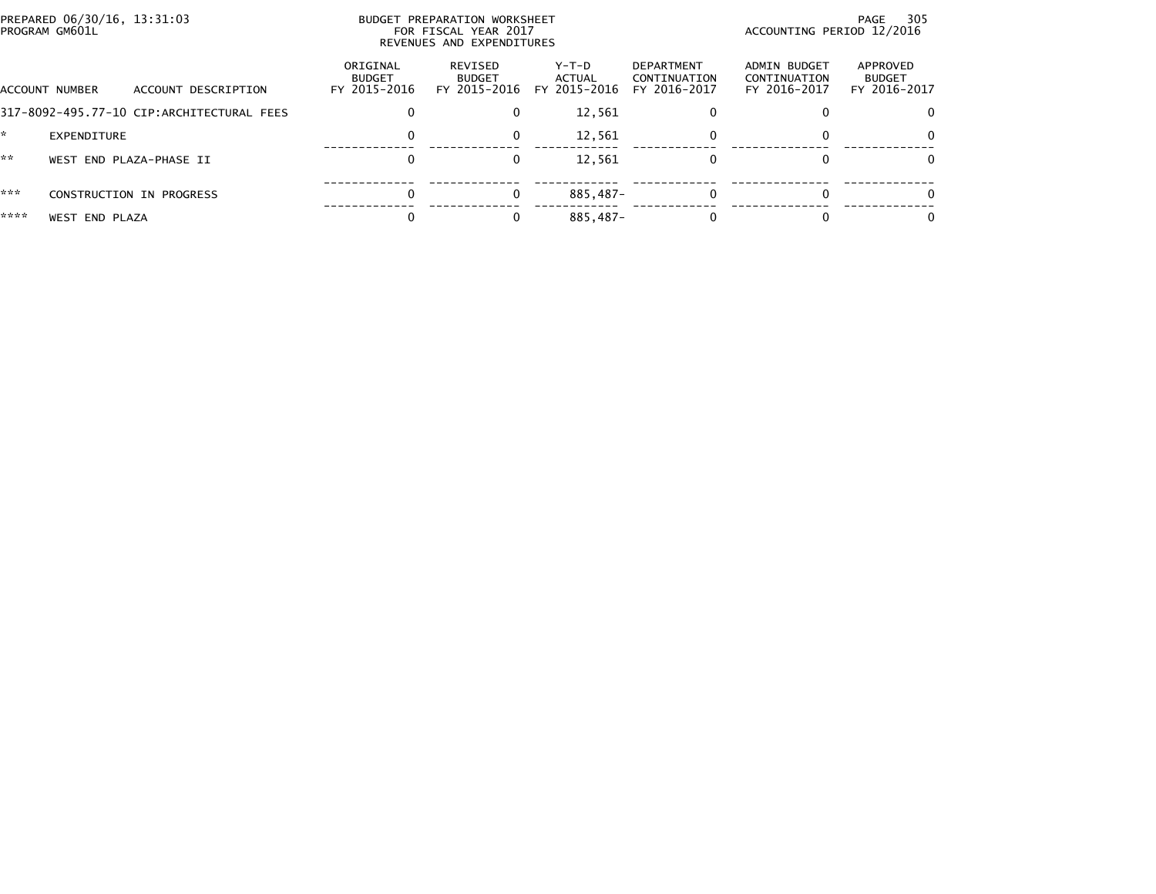|      | PREPARED 06/30/16, 13:31:03<br>PROGRAM GM601L |                                           | BUDGET PREPARATION WORKSHEET<br>ACCOUNTING PERIOD 12/2016<br>FOR FISCAL YEAR 2017<br>REVENUES AND EXPENDITURES |                                          |                                 |                                            |                                              |                                           |
|------|-----------------------------------------------|-------------------------------------------|----------------------------------------------------------------------------------------------------------------|------------------------------------------|---------------------------------|--------------------------------------------|----------------------------------------------|-------------------------------------------|
|      | ACCOUNT NUMBER                                | ACCOUNT DESCRIPTION                       | ORIGINAL<br><b>BUDGET</b><br>FY 2015-2016                                                                      | REVISED<br><b>BUDGET</b><br>FY 2015-2016 | Y-T-D<br>ACTUAL<br>FY 2015-2016 | DEPARTMENT<br>CONTINUATION<br>FY 2016-2017 | ADMIN BUDGET<br>CONTINUATION<br>FY 2016-2017 | APPROVED<br><b>BUDGET</b><br>FY 2016-2017 |
|      |                                               | 317-8092-495.77-10 CIP:ARCHITECTURAL FEES | 0                                                                                                              | $\Omega$                                 | 12,561                          |                                            |                                              |                                           |
|      | EXPENDITURE                                   |                                           | 0                                                                                                              | $\Omega$                                 | 12,561                          | 0                                          |                                              | 0                                         |
| **   |                                               | WEST END PLAZA-PHASE II                   | 0                                                                                                              | 0                                        | 12,561                          |                                            |                                              | 0                                         |
| ***  |                                               | CONSTRUCTION IN PROGRESS                  | $\mathbf{0}$                                                                                                   | $\Omega$                                 | 885.487-                        | 0                                          |                                              |                                           |
| **** | <b>WEST END PLAZA</b>                         |                                           |                                                                                                                |                                          | 885.487-                        |                                            |                                              | $\Omega$                                  |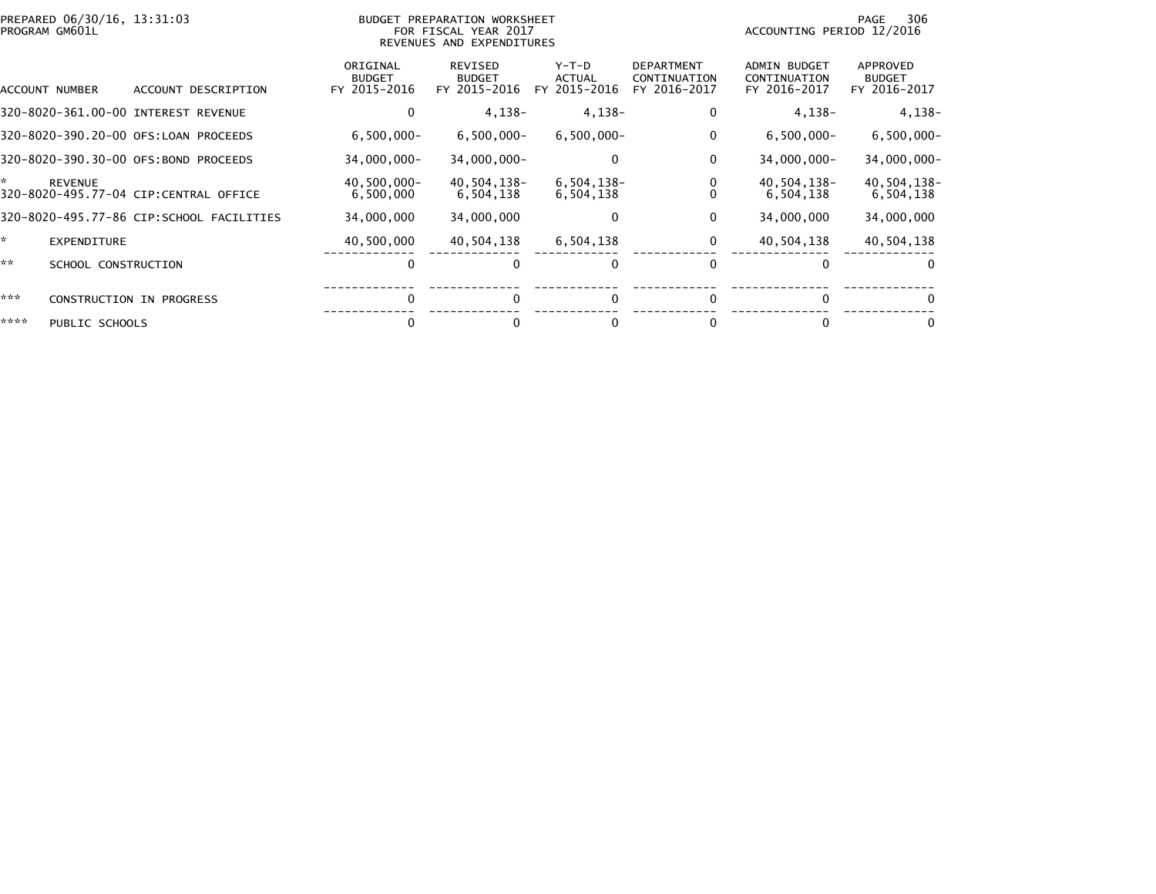| PREPARED 06/30/16, 13:31:03<br>PROGRAM GM601L                 |                                           | BUDGET PREPARATION WORKSHEET<br>FOR FISCAL YEAR 2017<br>REVENUES AND EXPENDITURES | 306<br>PAGE<br>ACCOUNTING PERIOD 12/2016 |                                                   |                                                     |                                           |
|---------------------------------------------------------------|-------------------------------------------|-----------------------------------------------------------------------------------|------------------------------------------|---------------------------------------------------|-----------------------------------------------------|-------------------------------------------|
| ACCOUNT DESCRIPTION<br>ACCOUNT NUMBER                         | ORIGINAL<br><b>BUDGET</b><br>FY 2015-2016 | <b>REVISED</b><br><b>BUDGET</b><br>FY 2015-2016                                   | $Y-T-D$<br><b>ACTUAL</b><br>FY 2015-2016 | <b>DEPARTMENT</b><br>CONTINUATION<br>FY 2016-2017 | <b>ADMIN BUDGET</b><br>CONTINUATION<br>FY 2016-2017 | APPROVED<br><b>BUDGET</b><br>FY 2016-2017 |
| 320-8020-361.00-00 INTEREST REVENUE                           | 0                                         | $4,138-$                                                                          | $4,138-$                                 | 0                                                 | $4,138-$                                            | $4,138-$                                  |
| 320-8020-390.20-00 OFS:LOAN PROCEEDS                          | $6,500,000 -$                             | $6,500,000 -$                                                                     | $6,500,000 -$                            | 0                                                 | $6,500,000 -$                                       | $6,500,000 -$                             |
| 320-8020-390.30-00 OFS:BOND PROCEEDS                          | 34,000,000-                               | 34,000,000-                                                                       | $\Omega$                                 | 0                                                 | 34,000,000-                                         | 34,000,000-                               |
| ×.<br><b>REVENUE</b><br>320-8020-495.77-04 CIP:CENTRAL OFFICE | 40,500,000-<br>6,500,000                  | 40,504,138-<br>6,504,138                                                          | $6,504,138-$<br>6,504,138                |                                                   | 40,504,138-<br>6,504,138                            | 40,504,138-<br>6,504,138                  |
| 320-8020-495.77-86 CIP:SCHOOL FACILITIES                      | 34,000,000                                | 34,000,000                                                                        | $\Omega$                                 | 0                                                 | 34,000,000                                          | 34,000,000                                |
| ×.<br><b>EXPENDITURE</b>                                      | 40,500,000                                | 40,504,138                                                                        | 6,504,138                                | 0                                                 | 40,504,138                                          | 40,504,138                                |
| **<br>SCHOOL CONSTRUCTION                                     | $\Omega$                                  |                                                                                   | 0                                        | $\Omega$                                          |                                                     | $\Omega$                                  |
| ***<br><b>CONSTRUCTION IN PROGRESS</b>                        |                                           |                                                                                   | $\Omega$                                 |                                                   |                                                     | $\Omega$                                  |
| ****<br>PUBLIC SCHOOLS                                        |                                           |                                                                                   |                                          |                                                   |                                                     | 0                                         |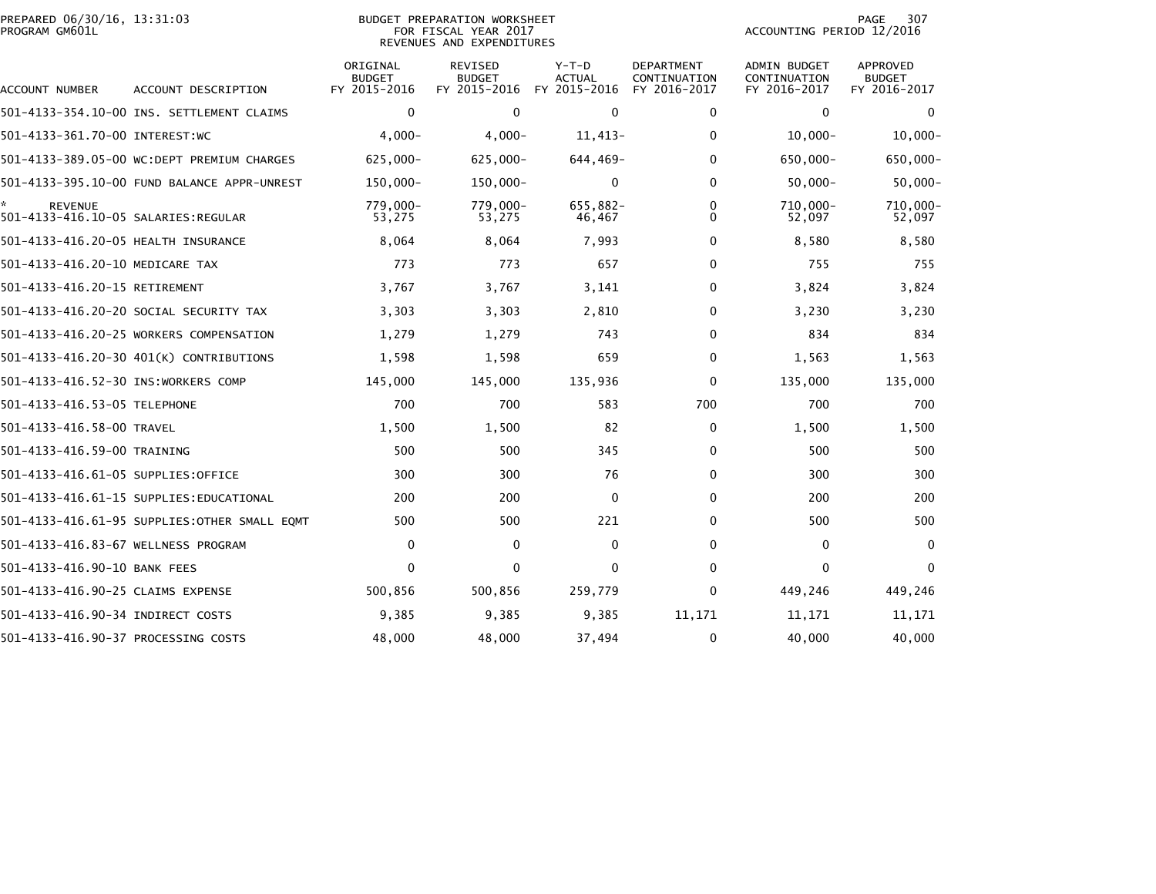| PREPARED 06/30/16, 13:31:03<br>PROGRAM GM601L         |                                               |                                           | BUDGET PREPARATION WORKSHEET<br>FOR FISCAL YEAR 2017<br>REVENUES AND EXPENDITURES | 307<br>PAGE<br>ACCOUNTING PERIOD 12/2016 |                                                   |                                                     |                                           |
|-------------------------------------------------------|-----------------------------------------------|-------------------------------------------|-----------------------------------------------------------------------------------|------------------------------------------|---------------------------------------------------|-----------------------------------------------------|-------------------------------------------|
| ACCOUNT NUMBER                                        | ACCOUNT DESCRIPTION                           | ORIGINAL<br><b>BUDGET</b><br>FY 2015-2016 | <b>REVISED</b><br><b>BUDGET</b><br>FY 2015-2016                                   | $Y-T-D$<br><b>ACTUAL</b><br>FY 2015-2016 | <b>DEPARTMENT</b><br>CONTINUATION<br>FY 2016-2017 | <b>ADMIN BUDGET</b><br>CONTINUATION<br>FY 2016-2017 | APPROVED<br><b>BUDGET</b><br>FY 2016-2017 |
|                                                       | 501-4133-354.10-00 INS. SETTLEMENT CLAIMS     | $\mathbf 0$                               | $\mathbf 0$                                                                       | $\mathbf 0$                              | 0                                                 | $\mathbf{0}$                                        | $\mathbf{0}$                              |
| 501-4133-361.70-00 INTEREST:WC                        |                                               | $4,000-$                                  | $4,000-$                                                                          | 11,413-                                  | $\bf{0}$                                          | $10,000 -$                                          | $10,000 -$                                |
|                                                       | 501-4133-389.05-00 WC:DEPT PREMIUM CHARGES    | $625,000 -$                               | $625,000 -$                                                                       | 644,469-                                 | $\mathbf{0}$                                      | 650,000-                                            | 650,000-                                  |
|                                                       | 501-4133-395.10-00 FUND BALANCE APPR-UNREST   | 150,000-                                  | 150,000-                                                                          | $\mathbf{0}$                             | $\mathbf{0}$                                      | $50,000 -$                                          | $50,000 -$                                |
| <b>REVENUE</b><br>501-4133-416.10-05 SALARIES:REGULAR |                                               | 779.000-<br>53,275                        | 779,000-<br>53,275                                                                | 655,882-<br>46,467                       | 0<br>$\Omega$                                     | 710,000-<br>52,097                                  | 710,000-<br>52,097                        |
| 501-4133-416.20-05 HEALTH INSURANCE                   |                                               | 8,064                                     | 8,064                                                                             | 7,993                                    | $\bf{0}$                                          | 8,580                                               | 8,580                                     |
| 501-4133-416.20-10 MEDICARE TAX                       |                                               | 773                                       | 773                                                                               | 657                                      | $\mathbf 0$                                       | 755                                                 | 755                                       |
| 501-4133-416.20-15 RETIREMENT                         |                                               | 3,767                                     | 3,767                                                                             | 3,141                                    | 0                                                 | 3,824                                               | 3,824                                     |
|                                                       | 501-4133-416.20-20 SOCIAL SECURITY TAX        | 3,303                                     | 3,303                                                                             | 2,810                                    | $\mathbf{0}$                                      | 3,230                                               | 3,230                                     |
|                                                       | 501-4133-416.20-25 WORKERS COMPENSATION       | 1,279                                     | 1,279                                                                             | 743                                      | 0                                                 | 834                                                 | 834                                       |
|                                                       | 501-4133-416.20-30 401(K) CONTRIBUTIONS       | 1,598                                     | 1,598                                                                             | 659                                      | 0                                                 | 1,563                                               | 1,563                                     |
| 501-4133-416.52-30 INS:WORKERS COMP                   |                                               | 145,000                                   | 145,000                                                                           | 135,936                                  | 0                                                 | 135,000                                             | 135,000                                   |
| 501-4133-416.53-05 TELEPHONE                          |                                               | 700                                       | 700                                                                               | 583                                      | 700                                               | 700                                                 | 700                                       |
| 501-4133-416.58-00 TRAVEL                             |                                               | 1,500                                     | 1,500                                                                             | 82                                       | 0                                                 | 1,500                                               | 1,500                                     |
| 501-4133-416.59-00 TRAINING                           |                                               | 500                                       | 500                                                                               | 345                                      | 0                                                 | 500                                                 | 500                                       |
| 501-4133-416.61-05 SUPPLIES:OFFICE                    |                                               | 300                                       | 300                                                                               | 76                                       | $\mathbf{0}$                                      | 300                                                 | 300                                       |
|                                                       | 501-4133-416.61-15 SUPPLIES:EDUCATIONAL       | 200                                       | 200                                                                               | 0                                        | 0                                                 | 200                                                 | 200                                       |
|                                                       | 501-4133-416.61-95 SUPPLIES: OTHER SMALL EQMT | 500                                       | 500                                                                               | 221                                      | $\mathbf{0}$                                      | 500                                                 | 500                                       |
| 501-4133-416.83-67 WELLNESS PROGRAM                   |                                               | $\mathbf 0$                               | $\mathbf{0}$                                                                      | $\mathbf 0$                              | $\mathbf 0$                                       | $\mathbf 0$                                         | $\mathbf{0}$                              |
| 501-4133-416.90-10 BANK FEES                          |                                               | $\mathbf 0$                               | $\mathbf 0$                                                                       | 0                                        | $\mathbf 0$                                       | 0                                                   | 0                                         |
| 501-4133-416.90-25 CLAIMS EXPENSE                     |                                               | 500,856                                   | 500,856                                                                           | 259,779                                  | $\mathbf{0}$                                      | 449,246                                             | 449,246                                   |
| 501-4133-416.90-34 INDIRECT COSTS                     |                                               | 9,385                                     | 9,385                                                                             | 9,385                                    | 11,171                                            | 11,171                                              | 11,171                                    |
| 501-4133-416.90-37 PROCESSING COSTS                   |                                               | 48,000                                    | 48,000                                                                            | 37,494                                   | $\mathbf 0$                                       | 40,000                                              | 40,000                                    |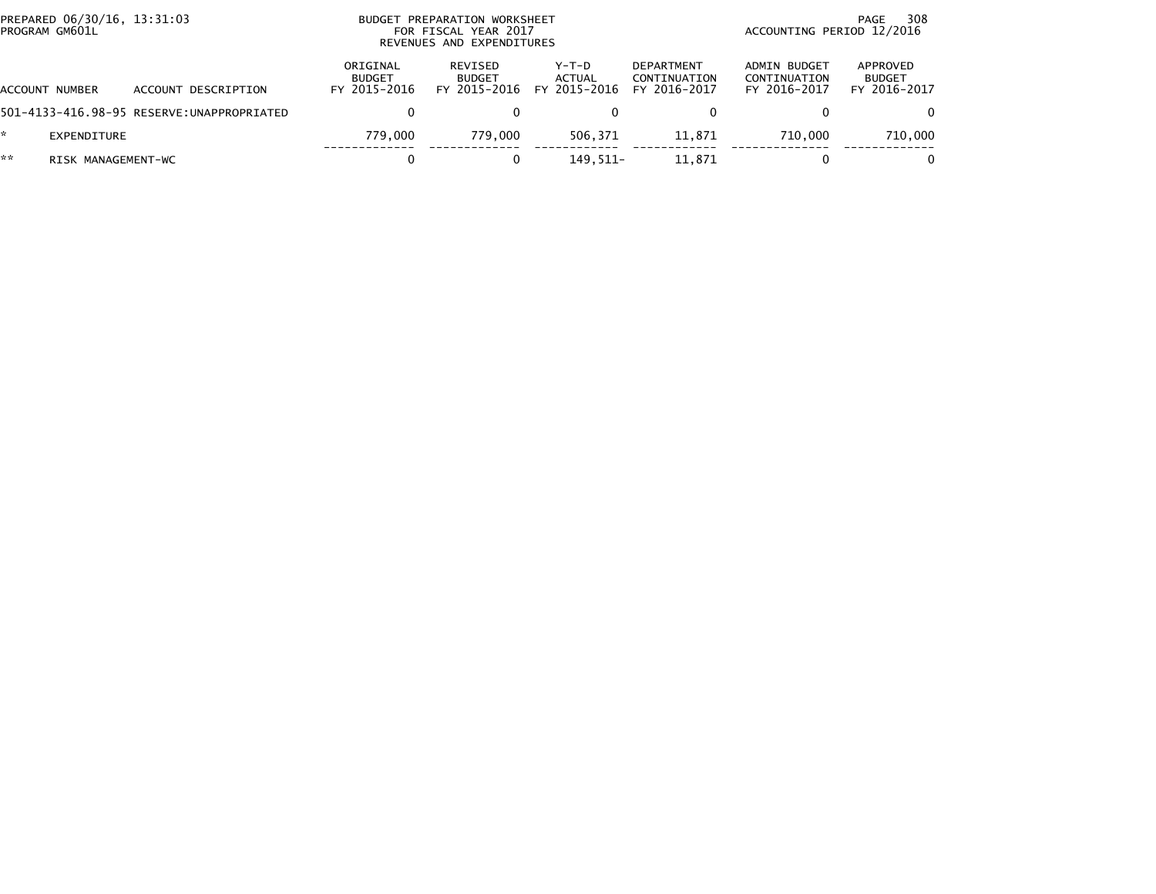|    | PREPARED 06/30/16, 13:31:03<br>PROGRAM GM601L |                                           |                                           | BUDGET PREPARATION WORKSHEET<br>FOR FISCAL YEAR 2017<br>REVENUES AND EXPENDITURES | 308<br>PAGE<br>ACCOUNTING PERIOD 12/2016 |                                                   |                                              |                                           |
|----|-----------------------------------------------|-------------------------------------------|-------------------------------------------|-----------------------------------------------------------------------------------|------------------------------------------|---------------------------------------------------|----------------------------------------------|-------------------------------------------|
|    | ACCOUNT NUMBER                                | ACCOUNT DESCRIPTION                       | ORIGINAL<br><b>BUDGET</b><br>FY 2015-2016 | REVISED<br><b>BUDGET</b><br>FY 2015-2016                                          | $Y-T-D$<br><b>ACTUAL</b><br>FY 2015-2016 | <b>DEPARTMENT</b><br>CONTINUATION<br>FY 2016-2017 | ADMIN BUDGET<br>CONTINUATION<br>FY 2016-2017 | APPROVED<br><b>BUDGET</b><br>FY 2016-2017 |
|    |                                               | 501-4133-416.98-95 RESERVE:UNAPPROPRIATED | 0                                         |                                                                                   |                                          |                                                   |                                              | 0.                                        |
| *. | EXPENDITURE                                   |                                           | 779.000                                   | 779.000                                                                           | 506.371                                  | 11.871                                            | 710,000                                      | 710,000                                   |
| ** | RISK MANAGEMENT-WC                            |                                           |                                           |                                                                                   | 149.511-                                 | 11.871                                            |                                              | 0                                         |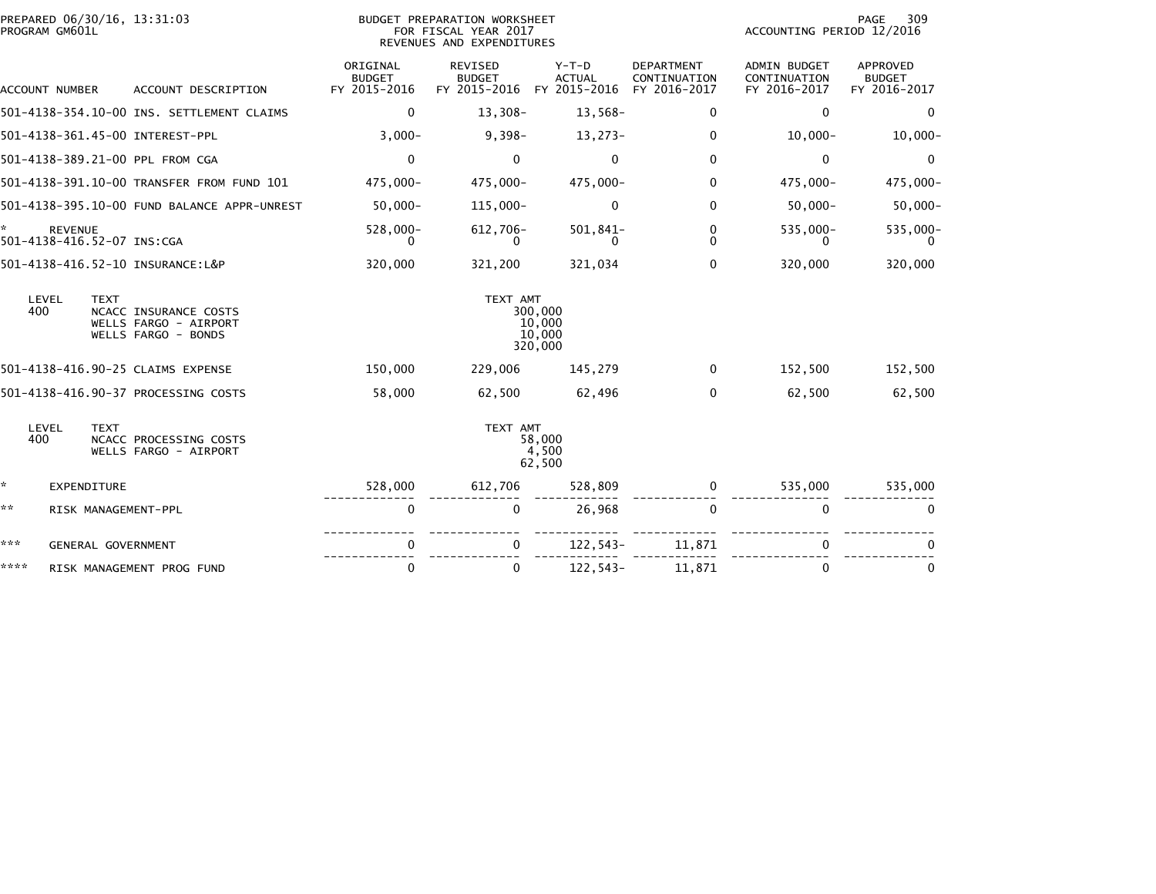| PROGRAM GM601L | PREPARED 06/30/16, 13:31:03                                                          |                                           | BUDGET PREPARATION WORKSHEET<br>FOR FISCAL YEAR 2017<br>REVENUES AND EXPENDITURES | PAGE<br>309<br>ACCOUNTING PERIOD 12/2016 |                                                   |                                              |                                                  |
|----------------|--------------------------------------------------------------------------------------|-------------------------------------------|-----------------------------------------------------------------------------------|------------------------------------------|---------------------------------------------------|----------------------------------------------|--------------------------------------------------|
| ACCOUNT NUMBER | ACCOUNT DESCRIPTION                                                                  | ORIGINAL<br><b>BUDGET</b><br>FY 2015-2016 | <b>REVISED</b><br><b>BUDGET</b><br>FY 2015-2016 FY 2015-2016                      | $Y-T-D$<br><b>ACTUAL</b>                 | <b>DEPARTMENT</b><br>CONTINUATION<br>FY 2016-2017 | ADMIN BUDGET<br>CONTINUATION<br>FY 2016-2017 | <b>APPROVED</b><br><b>BUDGET</b><br>FY 2016-2017 |
|                | 501-4138-354.10-00 INS. SETTLEMENT CLAIMS                                            | $\mathbf{0}$                              | $13,308-$                                                                         | $13,568-$                                | 0                                                 | $\mathbf{0}$                                 | $\Omega$                                         |
|                | 501-4138-361.45-00 INTEREST-PPL                                                      | $3,000-$                                  | $9,398-$                                                                          | $13,273-$                                | $\mathbf{0}$                                      | $10,000 -$                                   | $10,000 -$                                       |
|                | 501-4138-389.21-00 PPL FROM CGA                                                      | $\mathbf 0$                               | $\mathbf{0}$                                                                      | $\mathbf{0}$                             | $\Omega$                                          | $\mathbf{0}$                                 | $\Omega$                                         |
|                | 501-4138-391.10-00 TRANSFER FROM FUND 101                                            | 475,000-                                  | 475,000-                                                                          | 475,000-                                 | 0                                                 | 475,000-                                     | 475,000-                                         |
|                | 501-4138-395.10-00 FUND BALANCE APPR-UNREST                                          | $50,000 -$                                | 115,000-                                                                          | 0                                        | 0                                                 | $50,000 -$                                   | $50,000 -$                                       |
| <b>REVENUE</b> | 501-4138-416.52-07 INS:CGA                                                           | 528,000-<br>0                             | 612,706-<br>0                                                                     | $501,841-$<br>$\Omega$                   | 0<br>$\Omega$                                     | 535,000-<br>0                                | 535,000-                                         |
|                | 501-4138-416.52-10 INSURANCE:L&P                                                     | 320,000                                   | 321,200                                                                           | 321,034                                  | $\Omega$                                          | 320,000                                      | 320,000                                          |
| LEVEL<br>400   | <b>TEXT</b><br>NCACC INSURANCE COSTS<br>WELLS FARGO - AIRPORT<br>WELLS FARGO - BONDS |                                           | TEXT AMT                                                                          | 300,000<br>10,000<br>10,000<br>320,000   |                                                   |                                              |                                                  |
|                | 501-4138-416.90-25 CLAIMS EXPENSE                                                    | 150,000                                   | 229,006                                                                           | 145,279                                  | $\mathbf{0}$                                      | 152,500                                      | 152,500                                          |
|                | 501-4138-416.90-37 PROCESSING COSTS                                                  | 58,000                                    | 62,500                                                                            | 62,496                                   | $\Omega$                                          | 62,500                                       | 62,500                                           |
| LEVEL<br>400   | <b>TEXT</b><br>NCACC PROCESSING COSTS<br>WELLS FARGO - AIRPORT                       |                                           | TEXT AMT                                                                          | 58,000<br>4,500<br>62,500                |                                                   |                                              |                                                  |
| *.             | EXPENDITURE                                                                          | 528,000                                   | 612,706                                                                           | 528,809                                  | $\Omega$                                          | 535,000                                      | 535,000                                          |
| **             | RISK MANAGEMENT-PPL                                                                  | 0                                         | $\mathbf 0$                                                                       | 26,968                                   | $\mathbf{0}$                                      | $\mathbf{0}$                                 | $\Omega$                                         |
| ***            | GENERAL GOVERNMENT                                                                   | 0                                         |                                                                                   | $122, 543-$                              | 11,871                                            | $\mathbf{0}$                                 |                                                  |
| ****           | RISK MANAGEMENT PROG FUND                                                            | $\mathbf 0$                               | 0                                                                                 | 122,543-                                 | 11,871                                            | $\mathbf{0}$                                 | $\mathbf 0$                                      |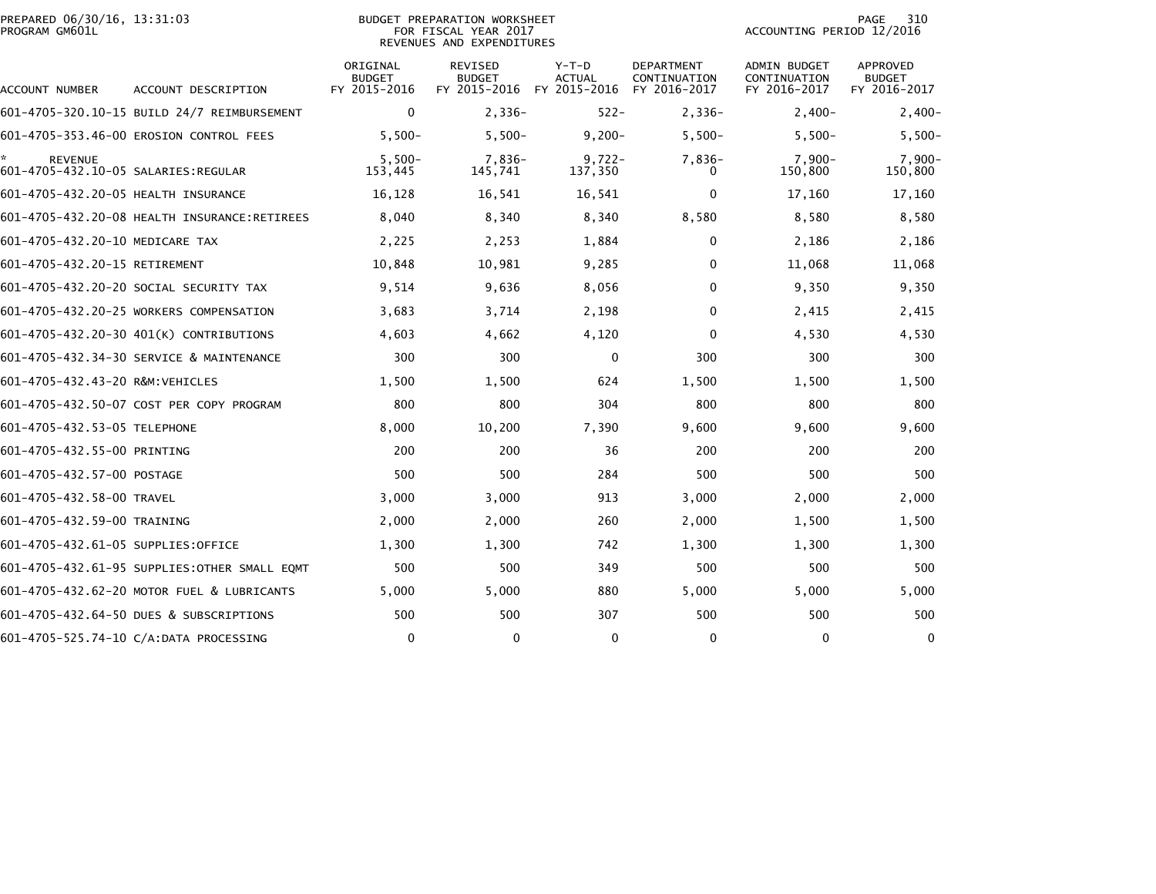| PREPARED 06/30/16, 13:31:03<br>PROGRAM GM601L               |                                              |                                           | <b>BUDGET PREPARATION WORKSHEET</b><br>FOR FISCAL YEAR 2017<br>REVENUES AND EXPENDITURES |                          |                                                   | ACCOUNTING PERIOD 12/2016                    | 310<br><b>PAGE</b>                               |
|-------------------------------------------------------------|----------------------------------------------|-------------------------------------------|------------------------------------------------------------------------------------------|--------------------------|---------------------------------------------------|----------------------------------------------|--------------------------------------------------|
| ACCOUNT NUMBER                                              | ACCOUNT DESCRIPTION                          | ORIGINAL<br><b>BUDGET</b><br>FY 2015-2016 | <b>REVISED</b><br><b>BUDGET</b><br>FY 2015-2016 FY 2015-2016                             | $Y-T-D$<br><b>ACTUAL</b> | <b>DEPARTMENT</b><br>CONTINUATION<br>FY 2016-2017 | ADMIN BUDGET<br>CONTINUATION<br>FY 2016-2017 | <b>APPROVED</b><br><b>BUDGET</b><br>FY 2016-2017 |
|                                                             | 601-4705-320.10-15 BUILD 24/7 REIMBURSEMENT  | $\mathbf 0$                               | $2,336-$                                                                                 | $522 -$                  | $2,336-$                                          | $2,400-$                                     | $2,400-$                                         |
|                                                             | 601-4705-353.46-00 EROSION CONTROL FEES      | $5,500-$                                  | $5,500-$                                                                                 | $9,200 -$                | $5,500-$                                          | $5,500-$                                     | $5,500-$                                         |
| ÷.<br><b>REVENUE</b><br>601-4705-432.10-05 SALARIES:REGULAR |                                              | $5,500-$<br>153,445                       | 7,836-<br>145,741                                                                        | $9,722 -$<br>137,350     | 7,836-<br>0                                       | $7,900-$<br>150,800                          | $7,900-$<br>150,800                              |
| 601-4705-432.20-05 HEALTH INSURANCE                         |                                              | 16,128                                    | 16,541                                                                                   | 16,541                   | 0                                                 | 17,160                                       | 17,160                                           |
|                                                             |                                              | 8,040                                     | 8,340                                                                                    | 8,340                    | 8,580                                             | 8,580                                        | 8,580                                            |
| 601-4705-432.20-10 MEDICARE TAX                             |                                              | 2,225                                     | 2,253                                                                                    | 1,884                    | 0                                                 | 2,186                                        | 2,186                                            |
| 601-4705-432.20-15 RETIREMENT                               |                                              | 10,848                                    | 10,981                                                                                   | 9,285                    | $\mathbf{0}$                                      | 11,068                                       | 11,068                                           |
|                                                             | 601-4705-432.20-20 SOCIAL SECURITY TAX       | 9,514                                     | 9,636                                                                                    | 8,056                    | 0                                                 | 9,350                                        | 9,350                                            |
|                                                             | 601-4705-432.20-25 WORKERS COMPENSATION      | 3,683                                     | 3,714                                                                                    | 2,198                    | $\Omega$                                          | 2,415                                        | 2,415                                            |
|                                                             | 601-4705-432.20-30 401(K) CONTRIBUTIONS      | 4,603                                     | 4,662                                                                                    | 4,120                    | $\mathbf{0}$                                      | 4,530                                        | 4,530                                            |
|                                                             | 601-4705-432.34-30 SERVICE & MAINTENANCE     | 300                                       | 300                                                                                      | 0                        | 300                                               | 300                                          | 300                                              |
| 601-4705-432.43-20 R&M:VEHICLES                             |                                              | 1,500                                     | 1,500                                                                                    | 624                      | 1,500                                             | 1,500                                        | 1,500                                            |
|                                                             | 601-4705-432.50-07 COST PER COPY PROGRAM     | 800                                       | 800                                                                                      | 304                      | 800                                               | 800                                          | 800                                              |
| 601-4705-432.53-05 TELEPHONE                                |                                              | 8,000                                     | 10,200                                                                                   | 7,390                    | 9,600                                             | 9,600                                        | 9,600                                            |
| 601-4705-432.55-00 PRINTING                                 |                                              | 200                                       | 200                                                                                      | 36                       | 200                                               | 200                                          | 200                                              |
| 601-4705-432.57-00 POSTAGE                                  |                                              | 500                                       | 500                                                                                      | 284                      | 500                                               | 500                                          | 500                                              |
| 601-4705-432.58-00 TRAVEL                                   |                                              | 3,000                                     | 3,000                                                                                    | 913                      | 3,000                                             | 2,000                                        | 2,000                                            |
| 601-4705-432.59-00 TRAINING                                 |                                              | 2,000                                     | 2,000                                                                                    | 260                      | 2,000                                             | 1,500                                        | 1,500                                            |
| 601-4705-432.61-05 SUPPLIES:OFFICE                          |                                              | 1,300                                     | 1,300                                                                                    | 742                      | 1,300                                             | 1,300                                        | 1,300                                            |
|                                                             | 601-4705-432.61-95 SUPPLIES:OTHER SMALL EQMT | 500                                       | 500                                                                                      | 349                      | 500                                               | 500                                          | 500                                              |
|                                                             | 601-4705-432.62-20 MOTOR FUEL & LUBRICANTS   | 5,000                                     | 5,000                                                                                    | 880                      | 5,000                                             | 5,000                                        | 5,000                                            |
|                                                             | 601-4705-432.64-50 DUES & SUBSCRIPTIONS      | 500                                       | 500                                                                                      | 307                      | 500                                               | 500                                          | 500                                              |
|                                                             | 601-4705-525.74-10 C/A:DATA PROCESSING       | $\mathbf 0$                               | $\mathbf{0}$                                                                             | 0                        | 0                                                 | $\mathbf{0}$                                 | 0                                                |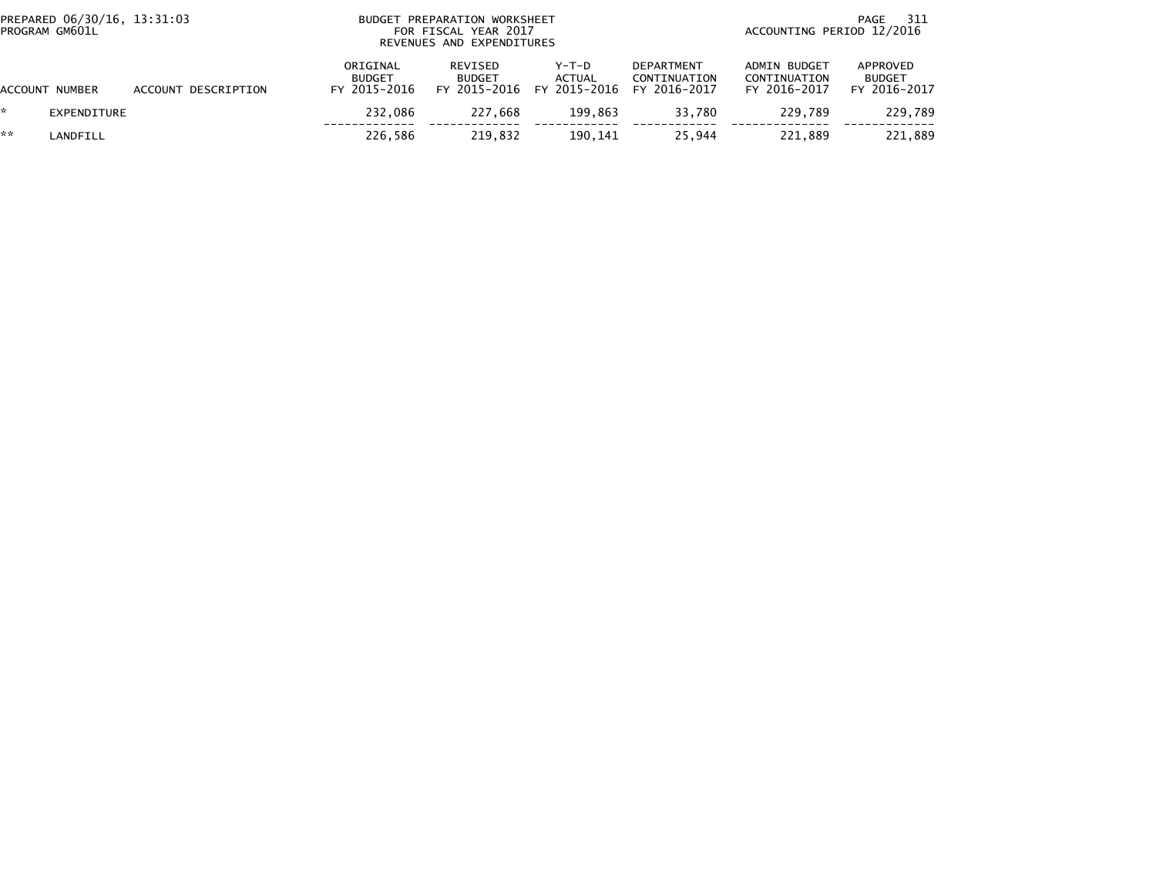| PROGRAM GM601L | PREPARED 06/30/16, 13:31:03 |                     |                                           | BUDGET PREPARATION WORKSHEET<br>FOR FISCAL YEAR 2017<br>REVENUES AND EXPENDITURES |                                   |                                                   |                                                     | 311<br>PAGE<br>ACCOUNTING PERIOD 12/2016  |  |  |
|----------------|-----------------------------|---------------------|-------------------------------------------|-----------------------------------------------------------------------------------|-----------------------------------|---------------------------------------------------|-----------------------------------------------------|-------------------------------------------|--|--|
| ACCOUNT NUMBER |                             | ACCOUNT DESCRIPTION | ORIGINAL<br><b>BUDGET</b><br>FY 2015-2016 | REVISED<br><b>BUDGET</b><br>FY 2015-2016                                          | $Y-T-D$<br>ACTUAL<br>FY 2015-2016 | <b>DEPARTMENT</b><br>CONTINUATION<br>FY 2016-2017 | <b>ADMIN BUDGET</b><br>CONTINUATION<br>FY 2016-2017 | APPROVED<br><b>BUDGET</b><br>FY 2016-2017 |  |  |
|                | EXPENDITURE                 |                     | 232.086                                   | 227.668                                                                           | 199.863                           | 33.780                                            | 229.789                                             | 229,789                                   |  |  |
| **             | LANDFILL                    |                     | 226.586                                   | 219.832                                                                           | 190.141                           | 25.944                                            | 221.889                                             | 221.889                                   |  |  |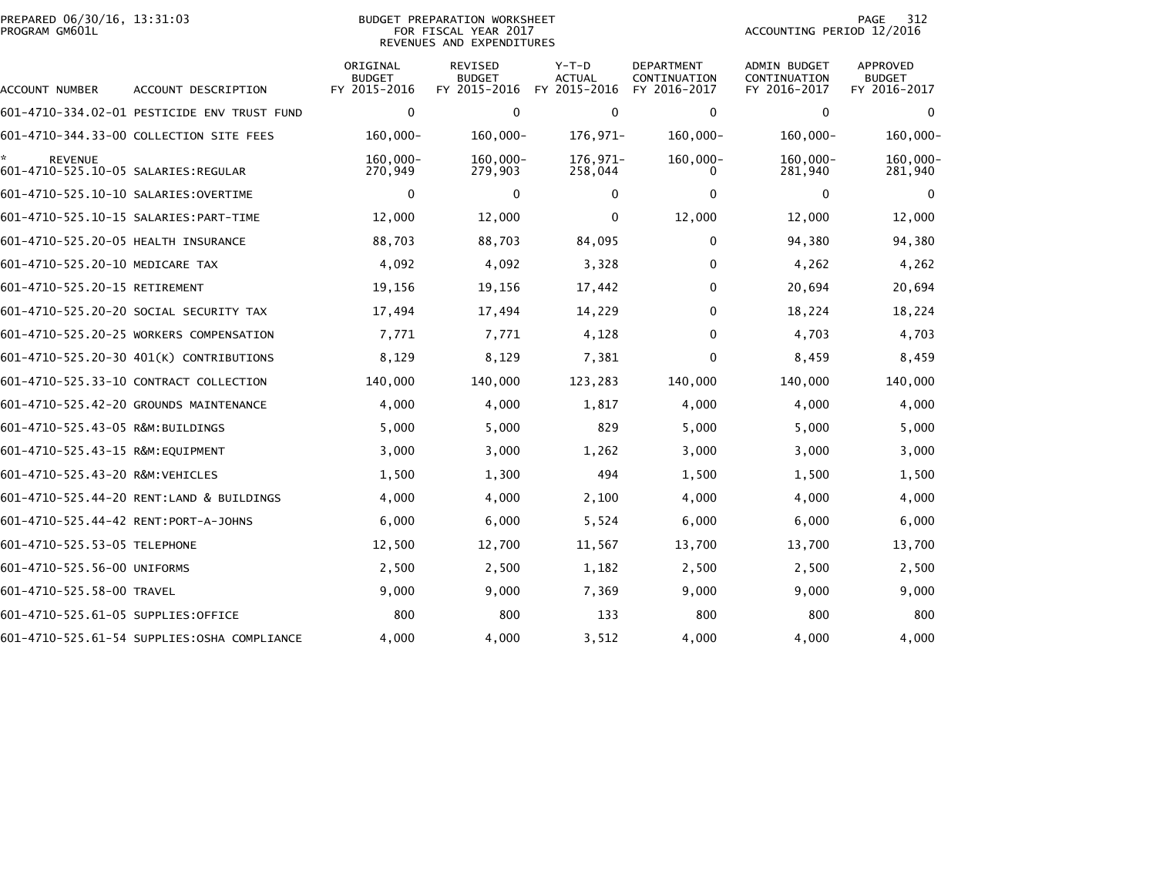| PREPARED 06/30/16, 13:31:03<br>PROGRAM GM601L         |                                              |                                           | <b>BUDGET PREPARATION WORKSHEET</b><br>FOR FISCAL YEAR 2017<br>REVENUES AND EXPENDITURES |                                          | 312<br>PAGE<br>ACCOUNTING PERIOD 12/2016          |                                                     |                                           |  |
|-------------------------------------------------------|----------------------------------------------|-------------------------------------------|------------------------------------------------------------------------------------------|------------------------------------------|---------------------------------------------------|-----------------------------------------------------|-------------------------------------------|--|
| ACCOUNT NUMBER                                        | ACCOUNT DESCRIPTION                          | ORIGINAL<br><b>BUDGET</b><br>FY 2015-2016 | REVISED<br><b>BUDGET</b><br>FY 2015-2016                                                 | $Y-T-D$<br><b>ACTUAL</b><br>FY 2015-2016 | <b>DEPARTMENT</b><br>CONTINUATION<br>FY 2016-2017 | <b>ADMIN BUDGET</b><br>CONTINUATION<br>FY 2016-2017 | APPROVED<br><b>BUDGET</b><br>FY 2016-2017 |  |
|                                                       | 601-4710-334.02-01 PESTICIDE ENV TRUST FUND  | 0                                         | 0                                                                                        | $\mathbf 0$                              | 0                                                 | $\mathbf 0$                                         | $\mathbf 0$                               |  |
|                                                       | 601-4710-344.33-00 COLLECTION SITE FEES      | $160,000 -$                               | $160,000 -$                                                                              | 176,971-                                 | $160,000 -$                                       | $160,000 -$                                         | $160,000 -$                               |  |
| <b>REVENUE</b><br>601-4710-525.10-05 SALARIES:REGULAR |                                              | $160,000 -$<br>270,949                    | $160,000 -$<br>279,903                                                                   | 176,971-<br>258,044                      | $160,000 -$<br>0                                  | $160,000 -$<br>281,940                              | 160,000-<br>281,940                       |  |
|                                                       |                                              | 0                                         | $\Omega$                                                                                 | 0                                        | 0                                                 | 0                                                   | 0                                         |  |
|                                                       |                                              | 12,000                                    | 12,000                                                                                   | $\mathbf 0$                              | 12,000                                            | 12,000                                              | 12,000                                    |  |
| 601-4710-525.20-05 HEALTH INSURANCE                   |                                              | 88,703                                    | 88,703                                                                                   | 84,095                                   | 0                                                 | 94,380                                              | 94,380                                    |  |
| 601-4710-525.20-10 MEDICARE TAX                       |                                              | 4,092                                     | 4,092                                                                                    | 3,328                                    | $\Omega$                                          | 4,262                                               | 4,262                                     |  |
| 601-4710-525.20-15 RETIREMENT                         |                                              | 19,156                                    | 19,156                                                                                   | 17,442                                   | 0                                                 | 20,694                                              | 20,694                                    |  |
|                                                       | 601-4710-525.20-20 SOCIAL SECURITY TAX       | 17,494                                    | 17,494                                                                                   | 14,229                                   | $\Omega$                                          | 18,224                                              | 18,224                                    |  |
|                                                       | 601-4710-525.20-25 WORKERS COMPENSATION      | 7,771                                     | 7,771                                                                                    | 4,128                                    | 0                                                 | 4,703                                               | 4,703                                     |  |
|                                                       | 601-4710-525.20-30 401(K) CONTRIBUTIONS      | 8,129                                     | 8,129                                                                                    | 7,381                                    | 0                                                 | 8,459                                               | 8,459                                     |  |
|                                                       | 601-4710-525.33-10 CONTRACT COLLECTION       | 140,000                                   | 140,000                                                                                  | 123,283                                  | 140,000                                           | 140,000                                             | 140,000                                   |  |
|                                                       | 601-4710-525.42-20 GROUNDS MAINTENANCE       | 4,000                                     | 4,000                                                                                    | 1,817                                    | 4,000                                             | 4,000                                               | 4,000                                     |  |
| 601-4710-525.43-05 R&M:BUILDINGS                      |                                              | 5,000                                     | 5,000                                                                                    | 829                                      | 5,000                                             | 5,000                                               | 5,000                                     |  |
| 601-4710-525.43-15 R&M:EQUIPMENT                      |                                              | 3,000                                     | 3,000                                                                                    | 1,262                                    | 3,000                                             | 3,000                                               | 3,000                                     |  |
| 601-4710-525.43-20 R&M:VEHICLES                       |                                              | 1,500                                     | 1,300                                                                                    | 494                                      | 1,500                                             | 1,500                                               | 1,500                                     |  |
|                                                       | 601-4710-525.44-20 RENT:LAND & BUILDINGS     | 4,000                                     | 4,000                                                                                    | 2,100                                    | 4,000                                             | 4,000                                               | 4,000                                     |  |
| 601-4710-525.44-42 RENT:PORT-A-JOHNS                  |                                              | 6,000                                     | 6,000                                                                                    | 5,524                                    | 6,000                                             | 6,000                                               | 6,000                                     |  |
| 601-4710-525.53-05 TELEPHONE                          |                                              | 12,500                                    | 12,700                                                                                   | 11,567                                   | 13,700                                            | 13,700                                              | 13,700                                    |  |
| 601-4710-525.56-00 UNIFORMS                           |                                              | 2,500                                     | 2,500                                                                                    | 1,182                                    | 2,500                                             | 2,500                                               | 2,500                                     |  |
| 601-4710-525.58-00 TRAVEL                             |                                              | 9,000                                     | 9,000                                                                                    | 7,369                                    | 9,000                                             | 9,000                                               | 9,000                                     |  |
| 601-4710-525.61-05 SUPPLIES:OFFICE                    |                                              | 800                                       | 800                                                                                      | 133                                      | 800                                               | 800                                                 | 800                                       |  |
|                                                       | 601-4710-525.61-54 SUPPLIES: OSHA COMPLIANCE | 4,000                                     | 4,000                                                                                    | 3,512                                    | 4,000                                             | 4,000                                               | 4,000                                     |  |
|                                                       |                                              |                                           |                                                                                          |                                          |                                                   |                                                     |                                           |  |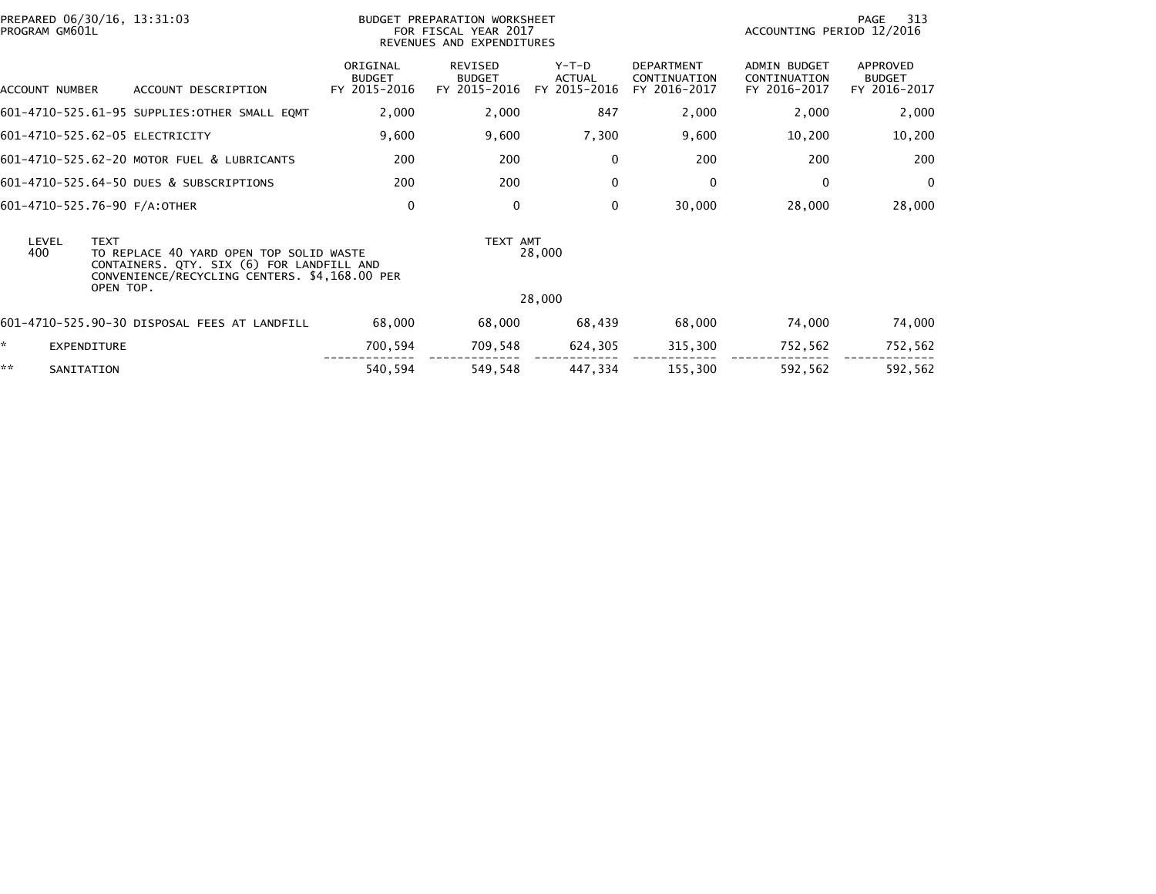| PREPARED 06/30/16, 13:31:03<br>PROGRAM GM601L |                                                                                                                                       |                                           | BUDGET PREPARATION WORKSHEET<br>FOR FISCAL YEAR 2017<br>REVENUES AND EXPENDITURES |                                          |                                                   | ACCOUNTING PERIOD 12/2016                           | 313<br>PAGE                                      |
|-----------------------------------------------|---------------------------------------------------------------------------------------------------------------------------------------|-------------------------------------------|-----------------------------------------------------------------------------------|------------------------------------------|---------------------------------------------------|-----------------------------------------------------|--------------------------------------------------|
| ACCOUNT NUMBER                                | ACCOUNT DESCRIPTION                                                                                                                   | ORIGINAL<br><b>BUDGET</b><br>FY 2015-2016 | <b>REVISED</b><br><b>BUDGET</b><br>FY 2015-2016                                   | $Y-T-D$<br><b>ACTUAL</b><br>FY 2015-2016 | <b>DEPARTMENT</b><br>CONTINUATION<br>FY 2016-2017 | <b>ADMIN BUDGET</b><br>CONTINUATION<br>FY 2016-2017 | <b>APPROVED</b><br><b>BUDGET</b><br>FY 2016-2017 |
|                                               | 601-4710-525.61-95 SUPPLIES:OTHER SMALL EQMT                                                                                          | 2,000                                     | 2,000                                                                             | 847                                      | 2,000                                             | 2,000                                               | 2,000                                            |
| 601-4710-525.62-05 ELECTRICITY                |                                                                                                                                       | 9,600                                     | 9,600                                                                             | 7,300                                    | 9,600                                             | 10,200                                              | 10,200                                           |
|                                               | 601-4710-525.62-20 MOTOR FUEL & LUBRICANTS                                                                                            | 200                                       | 200                                                                               | $\mathbf 0$                              | 200                                               | 200                                                 | 200                                              |
|                                               | 601-4710-525.64-50 DUES & SUBSCRIPTIONS                                                                                               | 200                                       | 200                                                                               | $\mathbf{0}$                             | $\mathbf{0}$                                      | $\mathbf{0}$                                        | $\overline{0}$                                   |
| 601-4710-525.76-90 F/A:OTHER                  |                                                                                                                                       | 0                                         | $\mathbf{0}$                                                                      | $\mathbf{0}$                             | 30,000                                            | 28,000                                              | 28,000                                           |
| LEVEL<br><b>TEXT</b><br>400                   | TO REPLACE 40 YARD OPEN TOP SOLID WASTE<br>CONTAINERS. QTY. SIX (6) FOR LANDFILL AND<br>CONVENIENCE/RECYCLING CENTERS. \$4,168.00 PER |                                           | TEXT AMT                                                                          | 28,000                                   |                                                   |                                                     |                                                  |
| OPEN TOP.                                     |                                                                                                                                       |                                           |                                                                                   | 28,000                                   |                                                   |                                                     |                                                  |
|                                               | 601-4710-525.90-30 DISPOSAL FEES AT LANDFILL                                                                                          | 68,000                                    | 68,000                                                                            | 68,439                                   | 68,000                                            | 74,000                                              | 74,000                                           |
| ×.<br><b>EXPENDITURE</b>                      |                                                                                                                                       | 700,594                                   | 709,548                                                                           | 624,305                                  | 315,300                                           | 752,562                                             | 752,562                                          |
| **<br>SANITATION                              |                                                                                                                                       | 540,594                                   | 549,548                                                                           | 447,334                                  | 155,300                                           | 592,562                                             | 592,562                                          |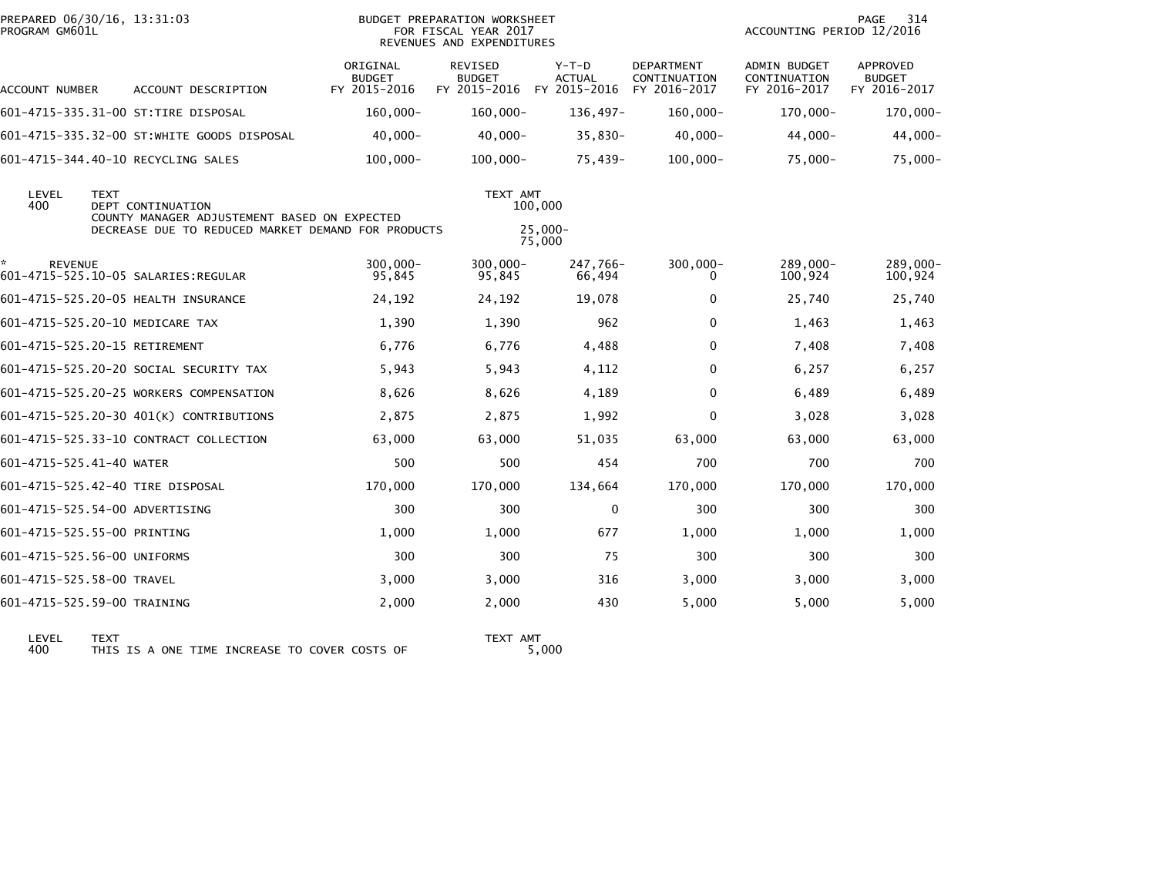| PREPARED 06/30/16, 13:31:03<br>PROGRAM GM601L |             |                                                                                                                                |                                           | <b>BUDGET PREPARATION WORKSHEET</b><br>FOR FISCAL YEAR 2017<br>REVENUES AND EXPENDITURES |                                          |                                                   | ACCOUNTING PERIOD 12/2016                           | PAGE<br>314                               |
|-----------------------------------------------|-------------|--------------------------------------------------------------------------------------------------------------------------------|-------------------------------------------|------------------------------------------------------------------------------------------|------------------------------------------|---------------------------------------------------|-----------------------------------------------------|-------------------------------------------|
| ACCOUNT NUMBER                                |             | ACCOUNT DESCRIPTION                                                                                                            | ORIGINAL<br><b>BUDGET</b><br>FY 2015-2016 | REVISED<br><b>BUDGET</b><br>FY 2015-2016                                                 | $Y-T-D$<br><b>ACTUAL</b><br>FY 2015-2016 | <b>DEPARTMENT</b><br>CONTINUATION<br>FY 2016-2017 | <b>ADMIN BUDGET</b><br>CONTINUATION<br>FY 2016-2017 | APPROVED<br><b>BUDGET</b><br>FY 2016-2017 |
|                                               |             | 601-4715-335.31-00 ST:TIRE DISPOSAL                                                                                            | $160,000 -$                               | $160,000 -$                                                                              | 136,497-                                 | $160,000 -$                                       | 170,000-                                            | 170,000-                                  |
|                                               |             | 601-4715-335.32-00 ST:WHITE GOODS DISPOSAL                                                                                     | $40,000 -$                                | $40,000 -$                                                                               | $35,830-$                                | $40,000 -$                                        | $44,000 -$                                          | 44,000-                                   |
|                                               |             | 601-4715-344.40-10 RECYCLING SALES                                                                                             | $100,000 -$                               | $100,000 -$                                                                              | 75,439-                                  | $100,000 -$                                       | $75,000 -$                                          | $75,000-$                                 |
| LEVEL<br>400                                  | <b>TEXT</b> | <b>DEPT CONTINUATION</b><br>COUNTY MANAGER ADJUSTEMENT BASED ON EXPECTED<br>DECREASE DUE TO REDUCED MARKET DEMAND FOR PRODUCTS |                                           | TEXT AMT                                                                                 | 100,000<br>$25,000 -$<br>75,000          |                                                   |                                                     |                                           |
| *<br><b>REVENUE</b>                           |             | 601-4715-525.10-05 SALARIES:REGULAR                                                                                            | $300.000 -$<br>95,845                     | 300.000-<br>95,845                                                                       | 247,766-<br>66,494                       | $300,000 -$<br>0                                  | 289,000-<br>100,924                                 | 289,000-<br>100,924                       |
|                                               |             | 601-4715-525.20-05 HEALTH INSURANCE                                                                                            | 24,192                                    | 24,192                                                                                   | 19,078                                   | $\bf{0}$                                          | 25,740                                              | 25,740                                    |
| 601-4715-525.20-10 MEDICARE TAX               |             |                                                                                                                                | 1,390                                     | 1,390                                                                                    | 962                                      | 0                                                 | 1,463                                               | 1,463                                     |
| 601-4715-525.20-15 RETIREMENT                 |             |                                                                                                                                | 6,776                                     | 6,776                                                                                    | 4,488                                    | 0                                                 | 7,408                                               | 7,408                                     |
|                                               |             | 601-4715-525.20-20 SOCIAL SECURITY TAX                                                                                         | 5,943                                     | 5,943                                                                                    | 4,112                                    | 0                                                 | 6,257                                               | 6,257                                     |
|                                               |             | 601-4715-525.20-25 WORKERS COMPENSATION                                                                                        | 8,626                                     | 8,626                                                                                    | 4,189                                    | $\mathbf 0$                                       | 6,489                                               | 6,489                                     |
|                                               |             | 601-4715-525.20-30 401(K) CONTRIBUTIONS                                                                                        | 2,875                                     | 2,875                                                                                    | 1,992                                    | 0                                                 | 3,028                                               | 3,028                                     |
|                                               |             | 601-4715-525.33-10 CONTRACT COLLECTION                                                                                         | 63,000                                    | 63,000                                                                                   | 51,035                                   | 63,000                                            | 63,000                                              | 63,000                                    |
| 601-4715-525.41-40 WATER                      |             |                                                                                                                                | 500                                       | 500                                                                                      | 454                                      | 700                                               | 700                                                 | 700                                       |
|                                               |             | 601-4715-525.42-40 TIRE DISPOSAL                                                                                               | 170,000                                   | 170,000                                                                                  | 134,664                                  | 170.000                                           | 170,000                                             | 170,000                                   |
| 601-4715-525.54-00 ADVERTISING                |             |                                                                                                                                | 300                                       | 300                                                                                      | 0                                        | 300                                               | 300                                                 | 300                                       |
| 601-4715-525.55-00 PRINTING                   |             |                                                                                                                                | 1,000                                     | 1,000                                                                                    | 677                                      | 1,000                                             | 1,000                                               | 1,000                                     |
| 601-4715-525.56-00 UNIFORMS                   |             |                                                                                                                                | 300                                       | 300                                                                                      | 75                                       | 300                                               | 300                                                 | 300                                       |
| 601-4715-525.58-00 TRAVEL                     |             |                                                                                                                                | 3,000                                     | 3,000                                                                                    | 316                                      | 3,000                                             | 3,000                                               | 3,000                                     |
| 601-4715-525.59-00 TRAINING                   |             |                                                                                                                                | 2,000                                     | 2,000                                                                                    | 430                                      | 5,000                                             | 5,000                                               | 5,000                                     |
|                                               |             |                                                                                                                                |                                           |                                                                                          |                                          |                                                   |                                                     |                                           |

LEVEL TEXT TEXT AMT 400 THIS IS A ONE TIME INCREASE TO COVER COSTS OF 5,000

TEXT AMT<br>5,000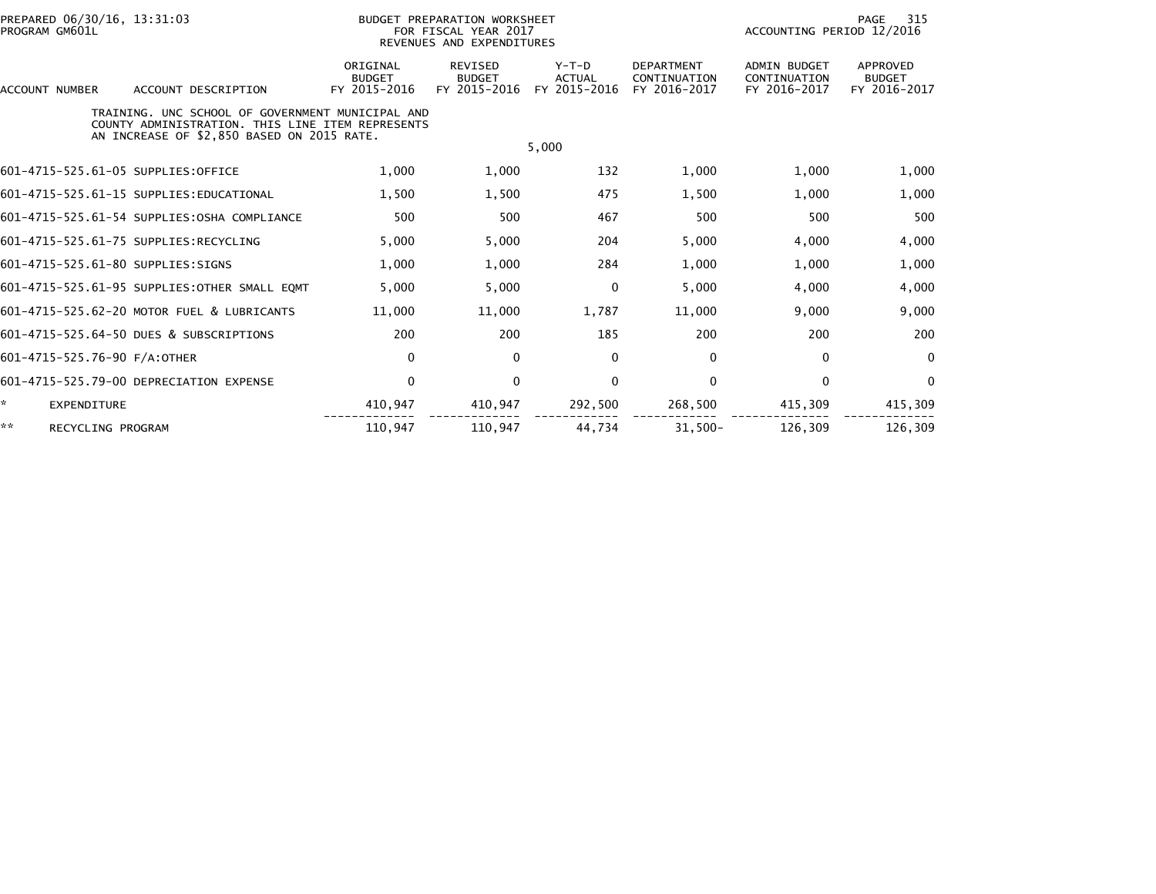| PREPARED 06/30/16, 13:31:03<br>PROGRAM GM601L                                                                                                      |                                           | BUDGET PREPARATION WORKSHEET<br>FOR FISCAL YEAR 2017<br>REVENUES AND EXPENDITURES |                                          |                                                   | 315<br>PAGE<br>ACCOUNTING PERIOD 12/2016            |                                           |  |
|----------------------------------------------------------------------------------------------------------------------------------------------------|-------------------------------------------|-----------------------------------------------------------------------------------|------------------------------------------|---------------------------------------------------|-----------------------------------------------------|-------------------------------------------|--|
| <b>ACCOUNT NUMBER</b><br>ACCOUNT DESCRIPTION                                                                                                       | ORIGINAL<br><b>BUDGET</b><br>FY 2015-2016 | <b>REVISED</b><br><b>BUDGET</b><br>FY 2015-2016                                   | $Y-T-D$<br><b>ACTUAL</b><br>FY 2015-2016 | <b>DEPARTMENT</b><br>CONTINUATION<br>FY 2016-2017 | <b>ADMIN BUDGET</b><br>CONTINUATION<br>FY 2016-2017 | APPROVED<br><b>BUDGET</b><br>FY 2016-2017 |  |
| TRAINING, UNC SCHOOL OF GOVERNMENT MUNICIPAL AND<br>COUNTY ADMINISTRATION. THIS LINE ITEM REPRESENTS<br>AN INCREASE OF \$2,850 BASED ON 2015 RATE. |                                           |                                                                                   | 5,000                                    |                                                   |                                                     |                                           |  |
| 601-4715-525.61-05 SUPPLIES:OFFICE                                                                                                                 | 1,000                                     | 1,000                                                                             | 132                                      | 1,000                                             | 1,000                                               | 1,000                                     |  |
| 601-4715-525.61-15 SUPPLIES:EDUCATIONAL                                                                                                            | 1.500                                     | 1.500                                                                             | 475                                      | 1,500                                             | 1.000                                               | 1,000                                     |  |
| 601-4715-525.61-54 SUPPLIES: OSHA COMPLIANCE                                                                                                       | 500                                       | 500                                                                               | 467                                      | 500                                               | 500                                                 | 500                                       |  |
| 601-4715-525.61-75 SUPPLIES:RECYCLING                                                                                                              | 5,000                                     | 5,000                                                                             | 204                                      | 5,000                                             | 4,000                                               | 4,000                                     |  |
| 601-4715-525.61-80 SUPPLIES:SIGNS                                                                                                                  | 1,000                                     | 1,000                                                                             | 284                                      | 1,000                                             | 1,000                                               | 1,000                                     |  |
| 601-4715-525.61-95 SUPPLIES:OTHER SMALL EOMT                                                                                                       | 5.000                                     | 5.000                                                                             | $\mathbf{0}$                             | 5,000                                             | 4,000                                               | 4,000                                     |  |
| 601-4715-525.62-20 MOTOR FUEL & LUBRICANTS                                                                                                         | 11,000                                    | 11,000                                                                            | 1,787                                    | 11,000                                            | 9,000                                               | 9,000                                     |  |
| 601-4715-525.64-50 DUES & SUBSCRIPTIONS                                                                                                            | 200                                       | 200                                                                               | 185                                      | 200                                               | 200                                                 | 200                                       |  |
| 601-4715-525.76-90 F/A:OTHER                                                                                                                       | $\mathbf 0$                               | 0                                                                                 | $\mathbf 0$                              | 0                                                 | $\Omega$                                            | $\mathbf{0}$                              |  |
| 601-4715-525.79-00 DEPRECIATION EXPENSE                                                                                                            | $\mathbf 0$                               | $\mathbf 0$                                                                       | $\mathbf 0$                              | $\mathbf 0$                                       | 0                                                   | $\mathbf{0}$                              |  |
| ×.<br>EXPENDITURE                                                                                                                                  | 410,947                                   | 410,947                                                                           | 292,500                                  | 268,500                                           | 415,309                                             | 415,309                                   |  |
| **<br>RECYCLING PROGRAM                                                                                                                            | 110,947                                   | 110.947                                                                           | 44.734                                   | $31.500 -$                                        | 126.309                                             | 126.309                                   |  |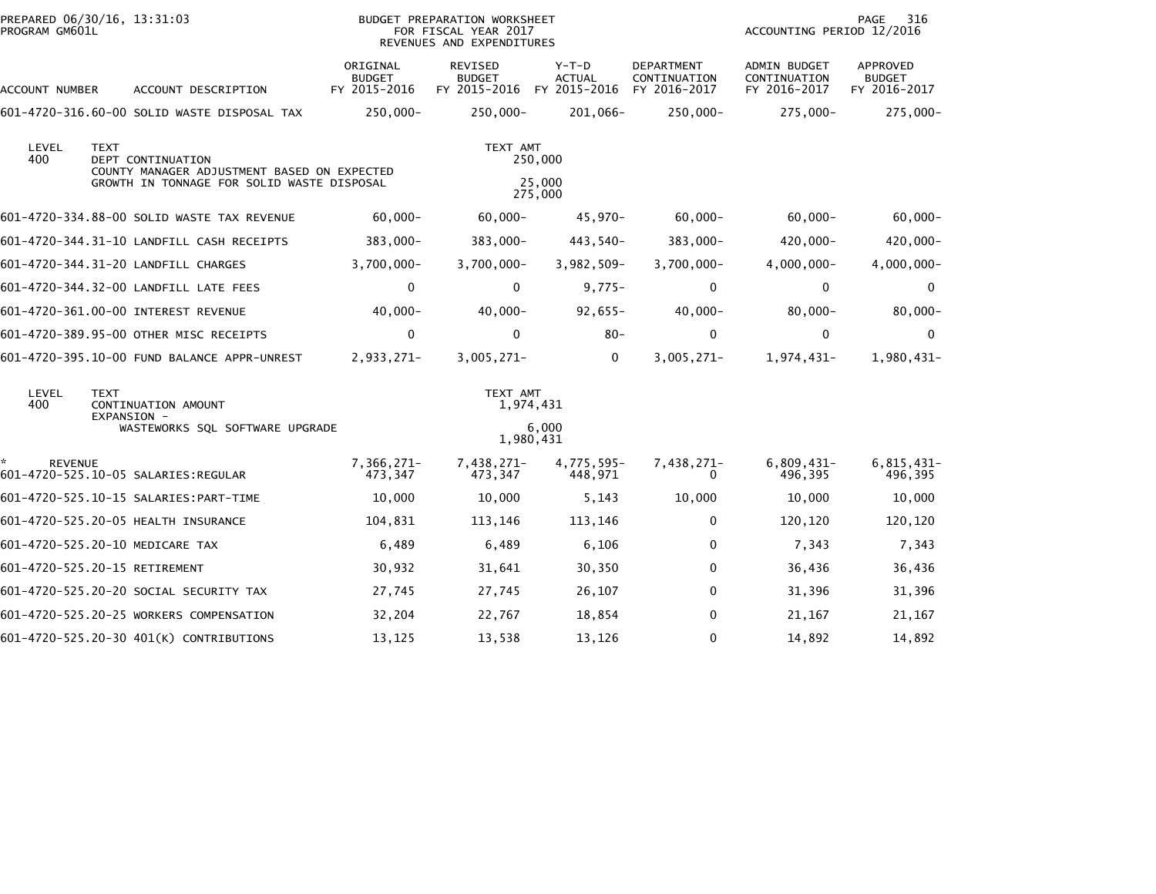| PROGRAM GM601L       | PREPARED 06/30/16, 13:31:03                                                                                                   |                                           | BUDGET PREPARATION WORKSHEET<br>FOR FISCAL YEAR 2017<br>REVENUES AND EXPENDITURES |                                        |                                            | PAGE<br>316<br>ACCOUNTING PERIOD 12/2016     |                                           |  |
|----------------------|-------------------------------------------------------------------------------------------------------------------------------|-------------------------------------------|-----------------------------------------------------------------------------------|----------------------------------------|--------------------------------------------|----------------------------------------------|-------------------------------------------|--|
| ACCOUNT NUMBER       | ACCOUNT DESCRIPTION                                                                                                           | ORIGINAL<br><b>BUDGET</b><br>FY 2015-2016 | REVISED<br><b>BUDGET</b><br>FY 2015-2016                                          | Y-T-D<br><b>ACTUAL</b><br>FY 2015-2016 | DEPARTMENT<br>CONTINUATION<br>FY 2016-2017 | ADMIN BUDGET<br>CONTINUATION<br>FY 2016-2017 | APPROVED<br><b>BUDGET</b><br>FY 2016-2017 |  |
|                      | 601-4720-316.60-00 SOLID WASTE DISPOSAL TAX                                                                                   | 250,000-                                  | $250,000 -$                                                                       | 201,066-                               | $250,000 -$                                | $275,000-$                                   | $275,000 -$                               |  |
| LEVEL<br>400         | <b>TEXT</b><br>DEPT CONTINUATION<br>COUNTY MANAGER ADJUSTMENT BASED ON EXPECTED<br>GROWTH IN TONNAGE FOR SOLID WASTE DISPOSAL |                                           | TEXT AMT                                                                          | 250,000<br>25,000<br>275,000           |                                            |                                              |                                           |  |
|                      | 601-4720-334.88-00 SOLID WASTE TAX REVENUE                                                                                    | $60,000 -$                                | $60,000 -$                                                                        | 45,970-                                | $60,000 -$                                 | $60,000 -$                                   | $60,000 -$                                |  |
|                      | 601-4720-344.31-10 LANDFILL CASH RECEIPTS                                                                                     | 383,000-                                  | $383,000 -$                                                                       | 443,540-                               | $383,000 -$                                | 420,000-                                     | 420,000-                                  |  |
|                      | 601-4720-344.31-20 LANDFILL CHARGES                                                                                           | $3,700,000 -$                             | $3,700,000 -$                                                                     | $3,982,509-$                           | $3,700,000 -$                              | 4,000,000-                                   | $4,000,000 -$                             |  |
|                      | 601-4720-344.32-00 LANDFILL LATE FEES                                                                                         | $\mathbf 0$                               | $\Omega$                                                                          | $9,775-$                               | 0                                          | 0                                            | 0                                         |  |
|                      | 601-4720-361.00-00 INTEREST REVENUE                                                                                           | $40,000 -$                                | $40,000 -$                                                                        | $92,655-$                              | $40,000 -$                                 | $80,000 -$                                   | $80,000 -$                                |  |
|                      | 601-4720-389.95-00 OTHER MISC RECEIPTS                                                                                        | 0                                         | $\Omega$                                                                          | $80 -$                                 | $\mathbf 0$                                | $\Omega$                                     | 0                                         |  |
|                      | 601-4720-395.10-00 FUND BALANCE APPR-UNREST                                                                                   | 2,933,271-                                | $3,005,271-$                                                                      | 0                                      | $3,005,271-$                               | 1,974,431-                                   | 1,980,431-                                |  |
| LEVEL<br>400         | <b>TEXT</b><br>CONTINUATION AMOUNT<br>EXPANSION -<br>WASTEWORKS SQL SOFTWARE UPGRADE                                          |                                           | TEXT AMT<br>1,974,431                                                             | 6,000                                  |                                            |                                              |                                           |  |
|                      |                                                                                                                               |                                           | 1,980,431                                                                         |                                        |                                            |                                              |                                           |  |
| ÷.<br><b>REVENUE</b> | 601-4720-525.10-05 SALARIES:REGULAR                                                                                           | 7,366,271-<br>473,347                     | 7,438,271-<br>473,347                                                             | 4,775,595-<br>448,971                  | 7,438,271-<br>0                            | $6,809,431-$<br>496,395                      | $6,815,431-$<br>496,395                   |  |
|                      | 601-4720-525.10-15 SALARIES: PART-TIME                                                                                        | 10,000                                    | 10,000                                                                            | 5,143                                  | 10,000                                     | 10,000                                       | 10,000                                    |  |
|                      | 601-4720-525.20-05 HEALTH INSURANCE                                                                                           | 104,831                                   | 113,146                                                                           | 113,146                                | $\mathbf{0}$                               | 120,120                                      | 120,120                                   |  |
|                      | 601-4720-525.20-10 MEDICARE TAX                                                                                               | 6,489                                     | 6,489                                                                             | 6,106                                  | 0                                          | 7,343                                        | 7,343                                     |  |
|                      | 601-4720-525.20-15 RETIREMENT                                                                                                 | 30,932                                    | 31,641                                                                            | 30,350                                 | $\mathbf{0}$                               | 36,436                                       | 36,436                                    |  |
|                      | 601-4720-525.20-20 SOCIAL SECURITY TAX                                                                                        | 27,745                                    | 27,745                                                                            | 26,107                                 | 0                                          | 31,396                                       | 31,396                                    |  |
|                      | 601-4720-525.20-25 WORKERS COMPENSATION                                                                                       | 32,204                                    | 22,767                                                                            | 18,854                                 | 0                                          | 21,167                                       | 21,167                                    |  |
|                      | 601-4720-525.20-30 401(K) CONTRIBUTIONS                                                                                       | 13,125                                    | 13,538                                                                            | 13,126                                 | $\mathbf 0$                                | 14,892                                       | 14,892                                    |  |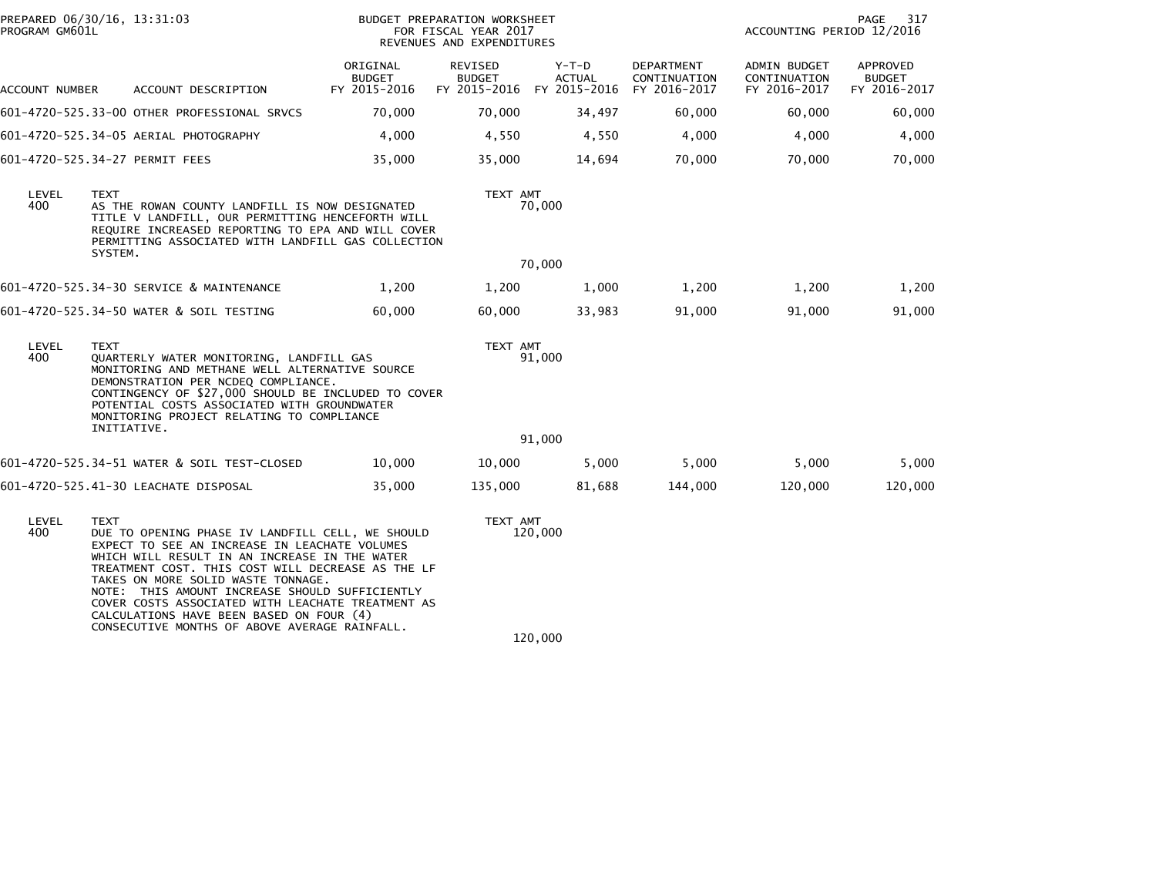| PROGRAM GM601L | PREPARED 06/30/16, 13:31:03                                                                                                                                                                                                                                                                                                                                                                                                                               |                                           | BUDGET PREPARATION WORKSHEET<br>FOR FISCAL YEAR 2017<br>REVENUES AND EXPENDITURES | 317<br>PAGE<br>ACCOUNTING PERIOD 12/2016            |                                            |                                              |                                           |  |
|----------------|-----------------------------------------------------------------------------------------------------------------------------------------------------------------------------------------------------------------------------------------------------------------------------------------------------------------------------------------------------------------------------------------------------------------------------------------------------------|-------------------------------------------|-----------------------------------------------------------------------------------|-----------------------------------------------------|--------------------------------------------|----------------------------------------------|-------------------------------------------|--|
| ACCOUNT NUMBER | ACCOUNT DESCRIPTION                                                                                                                                                                                                                                                                                                                                                                                                                                       | ORIGINAL<br><b>BUDGET</b><br>FY 2015-2016 | REVISED<br><b>BUDGET</b>                                                          | Y-T-D<br><b>ACTUAL</b><br>FY 2015-2016 FY 2015-2016 | DEPARTMENT<br>CONTINUATION<br>FY 2016-2017 | ADMIN BUDGET<br>CONTINUATION<br>FY 2016-2017 | APPROVED<br><b>BUDGET</b><br>FY 2016-2017 |  |
|                | 601-4720-525.33-00 OTHER PROFESSIONAL SRVCS                                                                                                                                                                                                                                                                                                                                                                                                               | 70,000                                    | 70,000                                                                            | 34,497                                              | 60,000                                     | 60,000                                       | 60,000                                    |  |
|                | 601-4720-525.34-05 AERIAL PHOTOGRAPHY                                                                                                                                                                                                                                                                                                                                                                                                                     | 4,000                                     | 4,550                                                                             | 4,550                                               | 4,000                                      | 4.000                                        | 4,000                                     |  |
|                | 601-4720-525.34-27 PERMIT FEES                                                                                                                                                                                                                                                                                                                                                                                                                            | 35,000                                    | 35,000                                                                            | 14,694                                              | 70,000                                     | 70,000                                       | 70,000                                    |  |
| LEVEL<br>400   | TEXT<br>AS THE ROWAN COUNTY LANDFILL IS NOW DESIGNATED<br>TITLE V LANDFILL, OUR PERMITTING HENCEFORTH WILL<br>REQUIRE INCREASED REPORTING TO EPA AND WILL COVER<br>PERMITTING ASSOCIATED WITH LANDFILL GAS COLLECTION<br>SYSTEM.                                                                                                                                                                                                                          |                                           | TEXT AMT                                                                          | 70,000                                              |                                            |                                              |                                           |  |
|                |                                                                                                                                                                                                                                                                                                                                                                                                                                                           |                                           |                                                                                   | 70,000                                              |                                            |                                              |                                           |  |
|                | 601-4720-525.34-30 SERVICE & MAINTENANCE                                                                                                                                                                                                                                                                                                                                                                                                                  | 1,200                                     | 1,200                                                                             | 1,000                                               | 1,200                                      | 1,200                                        | 1,200                                     |  |
|                | 601-4720-525.34-50 WATER & SOIL TESTING                                                                                                                                                                                                                                                                                                                                                                                                                   | 60,000                                    | 60,000                                                                            | 33,983                                              | 91,000                                     | 91,000                                       | 91,000                                    |  |
| LEVEL<br>400   | <b>TEXT</b><br>QUARTERLY WATER MONITORING, LANDFILL GAS<br>MONITORING AND METHANE WELL ALTERNATIVE SOURCE<br>DEMONSTRATION PER NCDEQ COMPLIANCE.<br>CONTINGENCY OF \$27,000 SHOULD BE INCLUDED TO COVER<br>POTENTIAL COSTS ASSOCIATED WITH GROUNDWATER<br>MONITORING PROJECT RELATING TO COMPLIANCE<br>INITIATIVE.                                                                                                                                        |                                           | TEXT AMT                                                                          | 91,000                                              |                                            |                                              |                                           |  |
|                |                                                                                                                                                                                                                                                                                                                                                                                                                                                           |                                           |                                                                                   | 91,000                                              |                                            |                                              |                                           |  |
|                | 601-4720-525.34-51 WATER & SOIL TEST-CLOSED                                                                                                                                                                                                                                                                                                                                                                                                               | 10,000                                    | 10,000                                                                            | 5,000                                               | 5,000                                      | 5,000                                        | 5,000                                     |  |
|                | 601-4720-525.41-30 LEACHATE DISPOSAL                                                                                                                                                                                                                                                                                                                                                                                                                      | 35,000                                    | 135,000                                                                           | 81,688                                              | 144,000                                    | 120,000                                      | 120,000                                   |  |
| LEVEL<br>400   | TEXT<br>DUE TO OPENING PHASE IV LANDFILL CELL, WE SHOULD<br>EXPECT TO SEE AN INCREASE IN LEACHATE VOLUMES<br>WHICH WILL RESULT IN AN INCREASE IN THE WATER<br>TREATMENT COST. THIS COST WILL DECREASE AS THE LF<br>TAKES ON MORE SOLID WASTE TONNAGE.<br>NOTE: THIS AMOUNT INCREASE SHOULD SUFFICIENTLY<br>COVER COSTS ASSOCIATED WITH LEACHATE TREATMENT AS<br>CALCULATIONS HAVE BEEN BASED ON FOUR (4)<br>CONSECUTIVE MONTHS OF ABOVE AVERAGE RAINFALL. |                                           | TEXT AMT                                                                          | 120,000                                             |                                            |                                              |                                           |  |

 $120,000$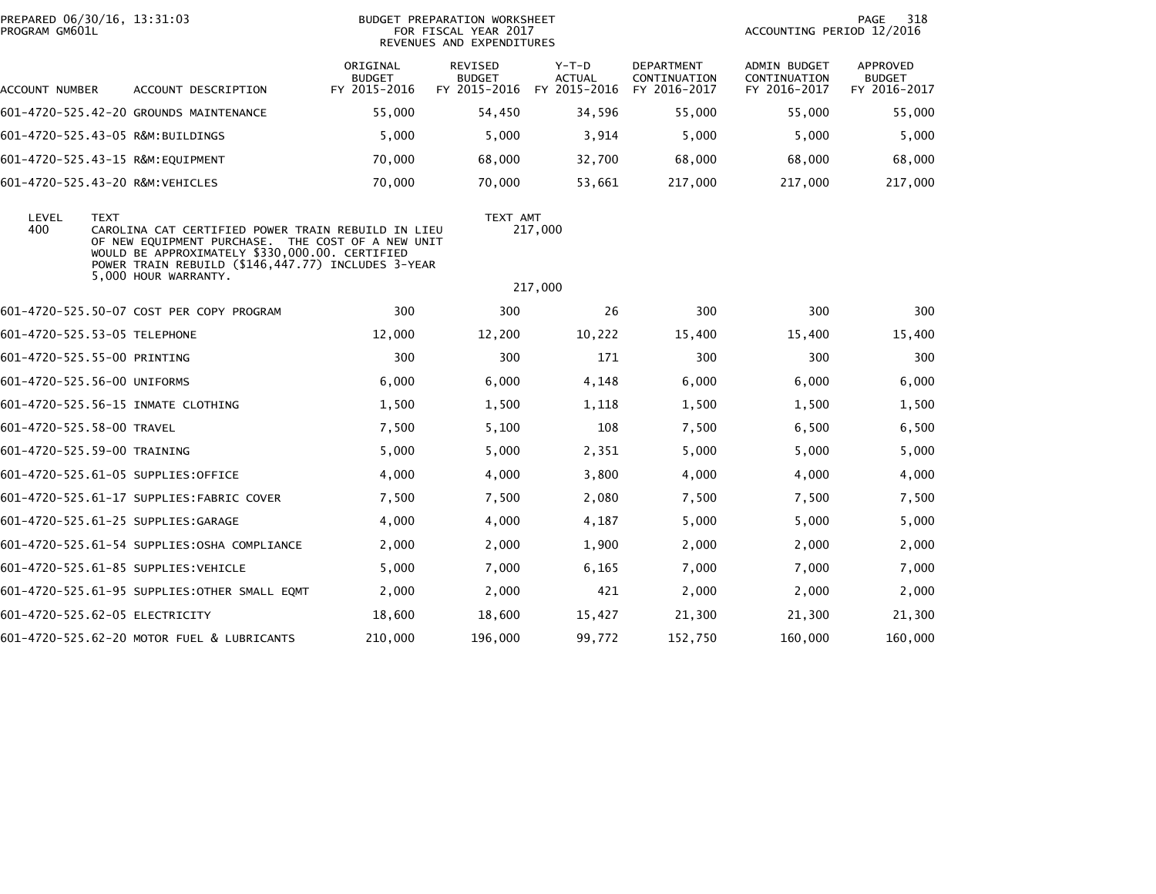| PREPARED 06/30/16, 13:31:03<br>PROGRAM GM601L |             |                                                                                                                                                                                                                                         |                                           | BUDGET PREPARATION WORKSHEET<br>FOR FISCAL YEAR 2017<br>REVENUES AND EXPENDITURES |                                          |                                                   | ACCOUNTING PERIOD 12/2016                           | 318<br>PAGE                               |
|-----------------------------------------------|-------------|-----------------------------------------------------------------------------------------------------------------------------------------------------------------------------------------------------------------------------------------|-------------------------------------------|-----------------------------------------------------------------------------------|------------------------------------------|---------------------------------------------------|-----------------------------------------------------|-------------------------------------------|
| ACCOUNT NUMBER                                |             | ACCOUNT DESCRIPTION                                                                                                                                                                                                                     | ORIGINAL<br><b>BUDGET</b><br>FY 2015-2016 | REVISED<br><b>BUDGET</b><br>FY 2015-2016                                          | $Y-T-D$<br><b>ACTUAL</b><br>FY 2015-2016 | <b>DEPARTMENT</b><br>CONTINUATION<br>FY 2016-2017 | <b>ADMIN BUDGET</b><br>CONTINUATION<br>FY 2016-2017 | APPROVED<br><b>BUDGET</b><br>FY 2016-2017 |
|                                               |             | 601-4720-525.42-20 GROUNDS MAINTENANCE                                                                                                                                                                                                  | 55,000                                    | 54,450                                                                            | 34,596                                   | 55,000                                            | 55,000                                              | 55,000                                    |
|                                               |             | 601-4720-525.43-05 R&M:BUILDINGS                                                                                                                                                                                                        | 5,000                                     | 5,000                                                                             | 3,914                                    | 5,000                                             | 5,000                                               | 5,000                                     |
|                                               |             | 601-4720-525.43-15 R&M:EQUIPMENT                                                                                                                                                                                                        | 70,000                                    | 68,000                                                                            | 32,700                                   | 68,000                                            | 68,000                                              | 68,000                                    |
| 601-4720-525.43-20 R&M:VEHICLES               |             |                                                                                                                                                                                                                                         | 70,000                                    | 70,000                                                                            | 53,661                                   | 217,000                                           | 217,000                                             | 217,000                                   |
| LEVEL<br>400                                  | <b>TEXT</b> | CAROLINA CAT CERTIFIED POWER TRAIN REBUILD IN LIEU<br>OF NEW EQUIPMENT PURCHASE. THE COST OF A NEW UNIT<br>WOULD BE APPROXIMATELY \$330,000.00. CERTIFIED<br>POWER TRAIN REBUILD (\$146,447.77) INCLUDES 3-YEAR<br>5,000 HOUR WARRANTY. |                                           | TEXT AMT                                                                          | 217,000                                  |                                                   |                                                     |                                           |
|                                               |             |                                                                                                                                                                                                                                         |                                           |                                                                                   | 217,000                                  |                                                   |                                                     |                                           |
|                                               |             | 601-4720-525.50-07 COST PER COPY PROGRAM                                                                                                                                                                                                | 300                                       | 300                                                                               | 26                                       | 300                                               | 300                                                 | 300                                       |
| 601-4720-525.53-05 TELEPHONE                  |             |                                                                                                                                                                                                                                         | 12,000                                    | 12,200                                                                            | 10,222                                   | 15,400                                            | 15,400                                              | 15,400                                    |
| 601-4720-525.55-00 PRINTING                   |             |                                                                                                                                                                                                                                         | 300                                       | 300                                                                               | 171                                      | 300                                               | 300                                                 | 300                                       |
| 601-4720-525.56-00 UNIFORMS                   |             |                                                                                                                                                                                                                                         | 6,000                                     | 6,000                                                                             | 4,148                                    | 6,000                                             | 6,000                                               | 6,000                                     |
|                                               |             | 601-4720-525.56-15 INMATE CLOTHING                                                                                                                                                                                                      | 1,500                                     | 1,500                                                                             | 1,118                                    | 1,500                                             | 1,500                                               | 1,500                                     |
| 601-4720-525.58-00 TRAVEL                     |             |                                                                                                                                                                                                                                         | 7,500                                     | 5,100                                                                             | 108                                      | 7,500                                             | 6,500                                               | 6,500                                     |
| 601-4720-525.59-00 TRAINING                   |             |                                                                                                                                                                                                                                         | 5,000                                     | 5,000                                                                             | 2,351                                    | 5,000                                             | 5,000                                               | 5,000                                     |
|                                               |             | 601-4720-525.61-05 SUPPLIES:OFFICE                                                                                                                                                                                                      | 4,000                                     | 4,000                                                                             | 3,800                                    | 4,000                                             | 4,000                                               | 4,000                                     |
|                                               |             | 601-4720-525.61-17 SUPPLIES:FABRIC COVER                                                                                                                                                                                                | 7,500                                     | 7,500                                                                             | 2,080                                    | 7,500                                             | 7,500                                               | 7,500                                     |
|                                               |             | 601-4720-525.61-25 SUPPLIES:GARAGE                                                                                                                                                                                                      | 4,000                                     | 4,000                                                                             | 4,187                                    | 5,000                                             | 5,000                                               | 5,000                                     |
|                                               |             | 601-4720-525.61-54 SUPPLIES: OSHA COMPLIANCE                                                                                                                                                                                            | 2,000                                     | 2,000                                                                             | 1,900                                    | 2,000                                             | 2,000                                               | 2,000                                     |
|                                               |             | 601-4720-525.61-85 SUPPLIES: VEHICLE                                                                                                                                                                                                    | 5,000                                     | 7,000                                                                             | 6,165                                    | 7,000                                             | 7,000                                               | 7,000                                     |
|                                               |             | 601-4720-525.61-95 SUPPLIES:OTHER SMALL EQMT                                                                                                                                                                                            | 2,000                                     | 2,000                                                                             | 421                                      | 2,000                                             | 2,000                                               | 2,000                                     |
| 601-4720-525.62-05 ELECTRICITY                |             |                                                                                                                                                                                                                                         | 18,600                                    | 18,600                                                                            | 15,427                                   | 21,300                                            | 21,300                                              | 21,300                                    |
|                                               |             | 601-4720-525.62-20 MOTOR FUEL & LUBRICANTS                                                                                                                                                                                              | 210,000                                   | 196,000                                                                           | 99,772                                   | 152,750                                           | 160,000                                             | 160,000                                   |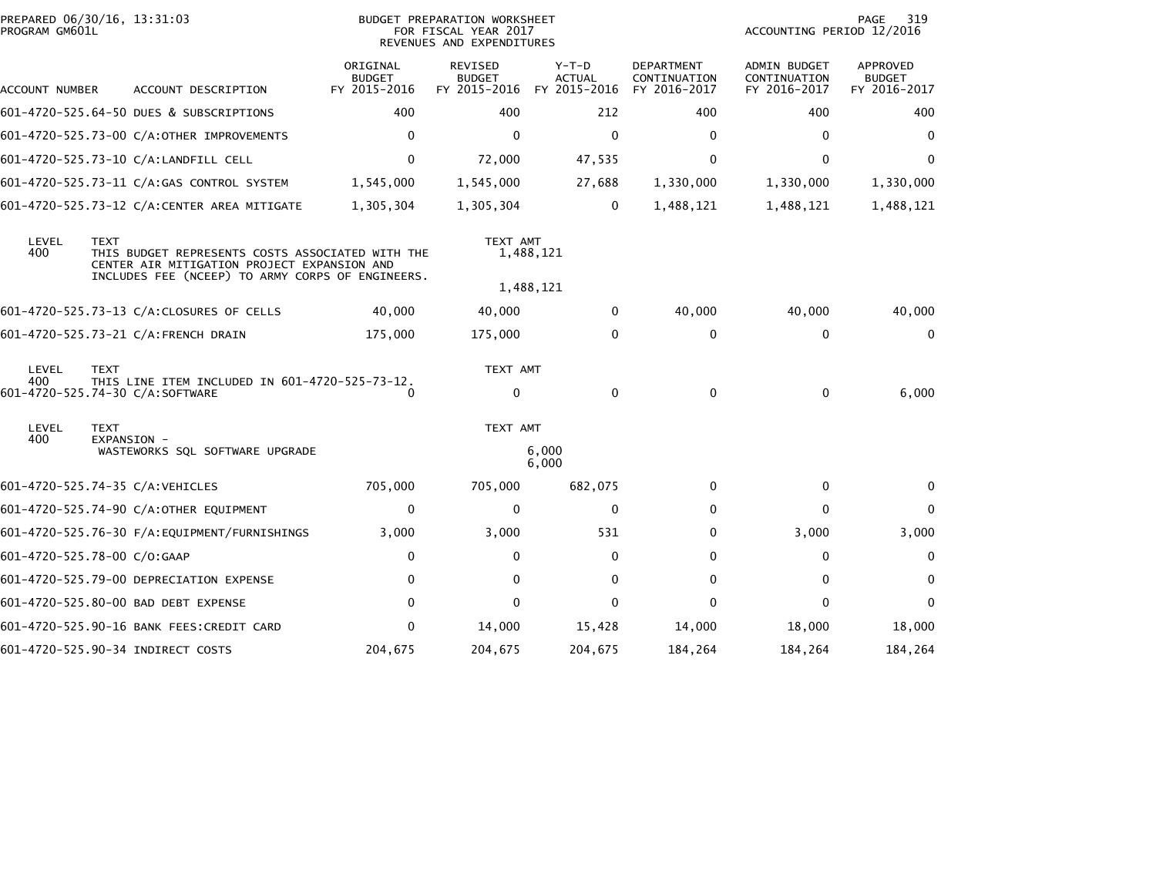| PROGRAM GM601L | PREPARED 06/30/16, 13:31:03                                                                                                                                        |                                           | <b>BUDGET PREPARATION WORKSHEET</b><br>FOR FISCAL YEAR 2017<br>REVENUES AND EXPENDITURES | PAGE<br>319<br>ACCOUNTING PERIOD 12/2016 |                                                   |                                                     |                                                  |
|----------------|--------------------------------------------------------------------------------------------------------------------------------------------------------------------|-------------------------------------------|------------------------------------------------------------------------------------------|------------------------------------------|---------------------------------------------------|-----------------------------------------------------|--------------------------------------------------|
| ACCOUNT NUMBER | ACCOUNT DESCRIPTION                                                                                                                                                | ORIGINAL<br><b>BUDGET</b><br>FY 2015-2016 | <b>REVISED</b><br><b>BUDGET</b><br>FY 2015-2016                                          | $Y-T-D$<br><b>ACTUAL</b><br>FY 2015-2016 | <b>DEPARTMENT</b><br>CONTINUATION<br>FY 2016-2017 | <b>ADMIN BUDGET</b><br>CONTINUATION<br>FY 2016-2017 | <b>APPROVED</b><br><b>BUDGET</b><br>FY 2016-2017 |
|                | 601-4720-525.64-50 DUES & SUBSCRIPTIONS                                                                                                                            | 400                                       | 400                                                                                      | 212                                      | 400                                               | 400                                                 | 400                                              |
|                | 601-4720-525.73-00 C/A:OTHER IMPROVEMENTS                                                                                                                          | 0                                         | $\mathbf{0}$                                                                             | 0                                        | $\mathbf{0}$                                      | $\mathbf{0}$                                        | $\mathbf{0}$                                     |
|                | 601-4720-525.73-10 C/A:LANDFILL CELL                                                                                                                               | 0                                         | 72,000                                                                                   | 47,535                                   | 0                                                 | $\Omega$                                            | $\Omega$                                         |
|                | 601-4720-525.73-11 C/A:GAS CONTROL SYSTEM                                                                                                                          | 1,545,000                                 | 1,545,000                                                                                | 27,688                                   | 1,330,000                                         | 1,330,000                                           | 1,330,000                                        |
|                | 601-4720-525.73-12 C/A:CENTER AREA MITIGATE                                                                                                                        | 1,305,304                                 | 1,305,304                                                                                | 0                                        | 1,488,121                                         | 1,488,121                                           | 1,488,121                                        |
| LEVEL<br>400   | <b>TEXT</b><br>THIS BUDGET REPRESENTS COSTS ASSOCIATED WITH THE<br>CENTER AIR MITIGATION PROJECT EXPANSION AND<br>INCLUDES FEE (NCEEP) TO ARMY CORPS OF ENGINEERS. |                                           | TEXT AMT                                                                                 | 1,488,121                                |                                                   |                                                     |                                                  |
|                |                                                                                                                                                                    |                                           |                                                                                          | 1,488,121                                |                                                   |                                                     |                                                  |
|                | 601-4720-525.73-13 C/A:CLOSURES OF CELLS                                                                                                                           | 40,000                                    | 40,000                                                                                   | 0                                        | 40,000                                            | 40,000                                              | 40,000                                           |
|                | 601-4720-525.73-21 C/A:FRENCH DRAIN                                                                                                                                | 175,000                                   | 175,000                                                                                  | 0                                        | $\mathbf 0$                                       | $\mathbf 0$                                         | $\mathbf{0}$                                     |
| LEVEL<br>400   | <b>TEXT</b><br>THIS LINE ITEM INCLUDED IN 601-4720-525-73-12.<br>601-4720-525.74-30 C/A:SOFTWARE                                                                   | 0                                         | TEXT AMT<br>$\mathbf 0$                                                                  | 0                                        | 0                                                 | $\mathbf 0$                                         | 6,000                                            |
| LEVEL          | <b>TEXT</b>                                                                                                                                                        |                                           | TEXT AMT                                                                                 |                                          |                                                   |                                                     |                                                  |
| 400            | EXPANSION -<br>WASTEWORKS SQL SOFTWARE UPGRADE                                                                                                                     |                                           |                                                                                          | 6,000<br>6,000                           |                                                   |                                                     |                                                  |
|                | 601-4720-525.74-35 C/A:VEHICLES                                                                                                                                    | 705,000                                   | 705,000                                                                                  | 682,075                                  | 0                                                 | 0                                                   | $\bf{0}$                                         |
|                | 601-4720-525.74-90 C/A:OTHER EQUIPMENT                                                                                                                             | 0                                         | $\mathbf{0}$                                                                             | 0                                        | 0                                                 | $\mathbf{0}$                                        | $\Omega$                                         |
|                | 601-4720-525.76-30 F/A:EQUIPMENT/FURNISHINGS                                                                                                                       | 3,000                                     | 3,000                                                                                    | 531                                      | 0                                                 | 3,000                                               | 3,000                                            |
|                | 601-4720-525.78-00 C/O:GAAP                                                                                                                                        | 0                                         | 0                                                                                        | 0                                        | 0                                                 | 0                                                   | 0                                                |
|                | 601-4720-525.79-00 DEPRECIATION EXPENSE                                                                                                                            | $\Omega$                                  | $\mathbf{0}$                                                                             | 0                                        | 0                                                 | $\mathbf 0$                                         | $\mathbf{0}$                                     |
|                | 601-4720-525.80-00 BAD DEBT EXPENSE                                                                                                                                | 0                                         | $\Omega$                                                                                 | 0                                        | 0                                                 | 0                                                   | 0                                                |
|                | 601-4720-525.90-16 BANK FEES:CREDIT CARD                                                                                                                           | 0                                         | 14,000                                                                                   | 15,428                                   | 14,000                                            | 18,000                                              | 18,000                                           |
|                | 601-4720-525.90-34 INDIRECT COSTS                                                                                                                                  | 204,675                                   | 204,675                                                                                  | 204,675                                  | 184,264                                           | 184,264                                             | 184,264                                          |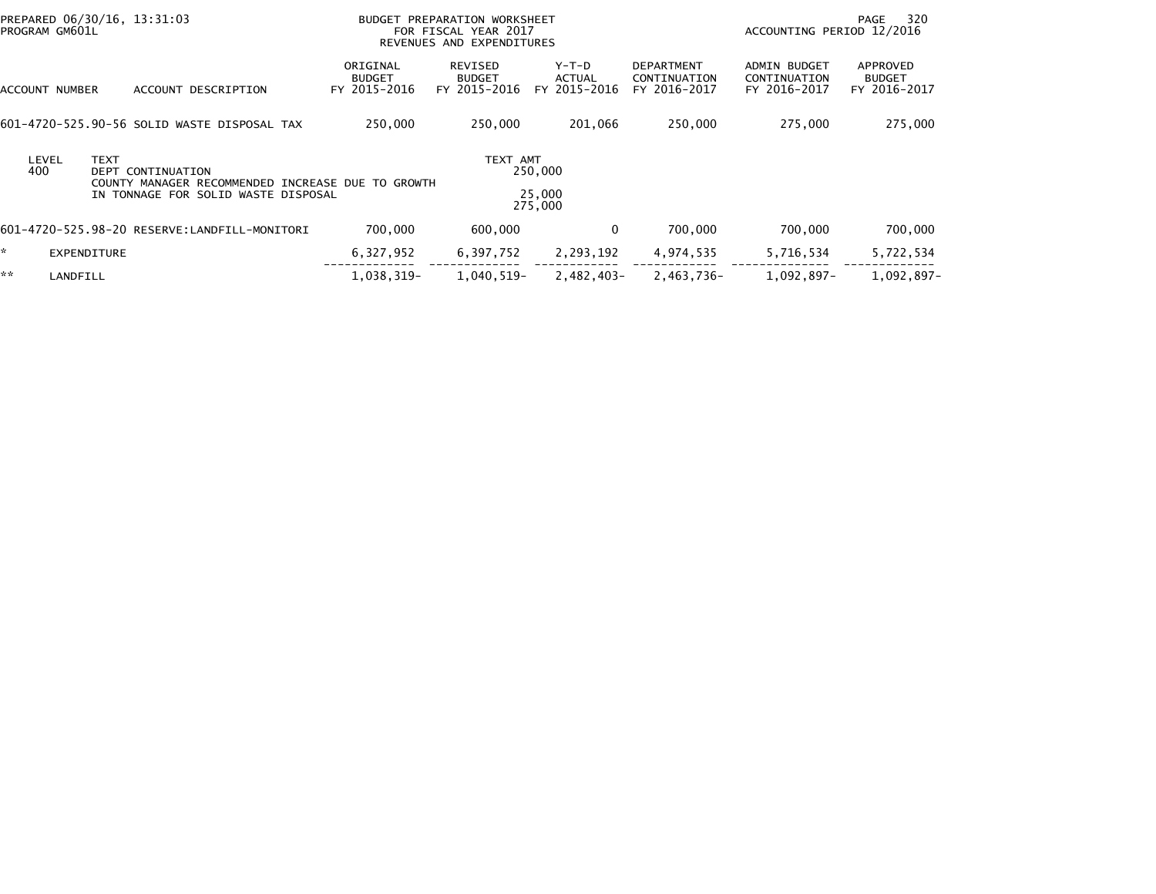| PROGRAM GM601L | PREPARED 06/30/16, 13:31:03 |                                                                               |                                           | BUDGET PREPARATION WORKSHEET<br>FOR FISCAL YEAR 2017<br>REVENUES AND EXPENDITURES |                                   |                                                   | ACCOUNTING PERIOD 12/2016                    | 320<br>PAGE                               |
|----------------|-----------------------------|-------------------------------------------------------------------------------|-------------------------------------------|-----------------------------------------------------------------------------------|-----------------------------------|---------------------------------------------------|----------------------------------------------|-------------------------------------------|
| ACCOUNT NUMBER |                             | ACCOUNT DESCRIPTION                                                           | ORIGINAL<br><b>BUDGET</b><br>FY 2015-2016 | REVISED<br><b>BUDGET</b><br>FY 2015-2016                                          | $Y-T-D$<br>ACTUAL<br>FY 2015-2016 | <b>DEPARTMENT</b><br>CONTINUATION<br>FY 2016-2017 | ADMIN BUDGET<br>CONTINUATION<br>FY 2016-2017 | APPROVED<br><b>BUDGET</b><br>FY 2016-2017 |
|                |                             | 601-4720-525.90-56 SOLID WASTE DISPOSAL TAX                                   | 250,000                                   | 250,000                                                                           | 201,066                           | 250,000                                           | 275,000                                      | 275,000                                   |
| LEVEL<br>400   | <b>TEXT</b>                 | <b>DEPT CONTINUATION</b><br>COUNTY MANAGER RECOMMENDED INCREASE DUE TO GROWTH |                                           | TEXT AMT                                                                          | 250,000                           |                                                   |                                              |                                           |
|                |                             | IN TONNAGE FOR SOLID WASTE DISPOSAL                                           |                                           |                                                                                   | 25,000<br>275,000                 |                                                   |                                              |                                           |
|                |                             |                                                                               | 700,000                                   | 600,000                                                                           | $\Omega$                          | 700,000                                           | 700,000                                      | 700,000                                   |
| * .            | EXPENDITURE                 |                                                                               | 6,327,952                                 | 6,397,752                                                                         | 2,293,192                         | 4,974,535                                         | 5,716,534                                    | 5,722,534                                 |
| **             | LANDFILL                    |                                                                               | 1.038.319-                                | 1.040.519-                                                                        | $2.482.403 -$                     | $2.463.736 -$                                     | $1.092.897 -$                                | $1.092.897 -$                             |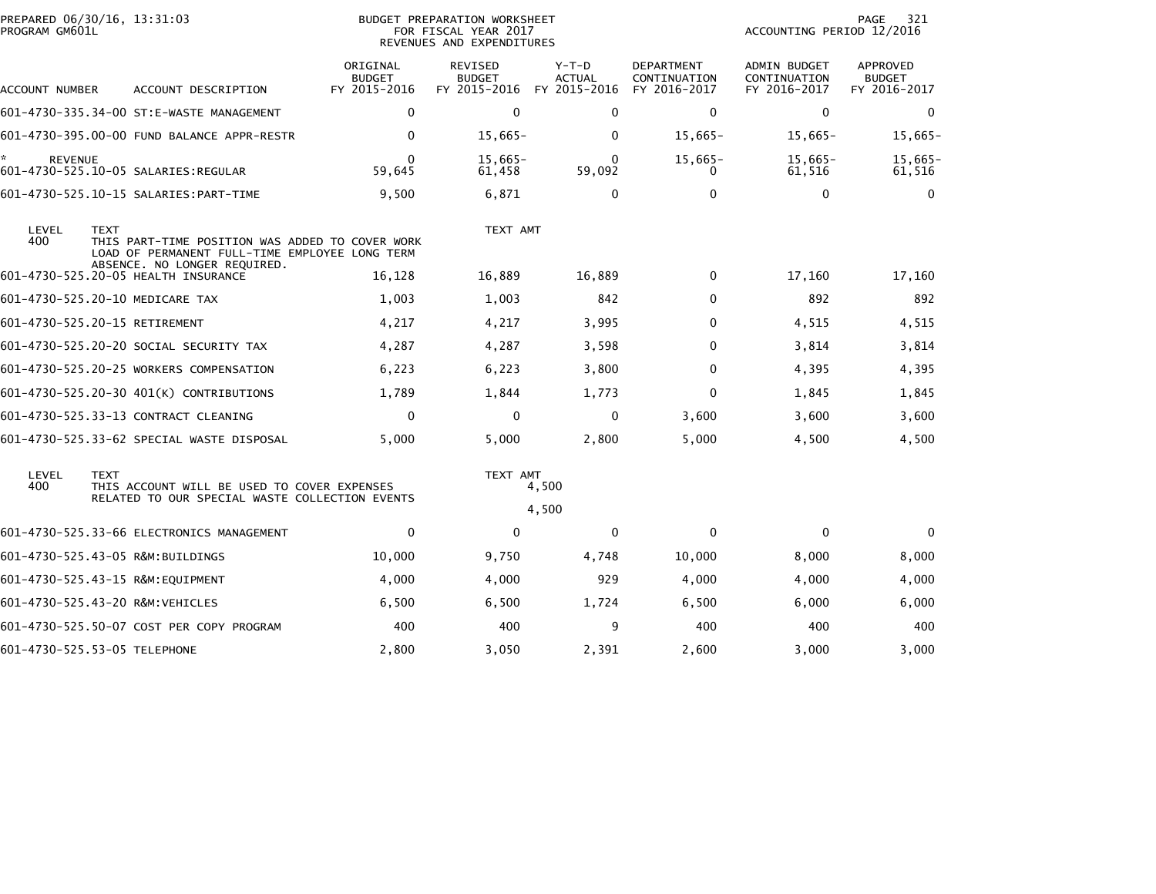| PROGRAM GM601L       | PREPARED 06/30/16, 13:31:03                                                                                                                      |                                           | <b>BUDGET PREPARATION WORKSHEET</b><br>FOR FISCAL YEAR 2017<br>REVENUES AND EXPENDITURES | 321<br>PAGE<br>ACCOUNTING PERIOD 12/2016 |                                                   |                                                     |                                           |
|----------------------|--------------------------------------------------------------------------------------------------------------------------------------------------|-------------------------------------------|------------------------------------------------------------------------------------------|------------------------------------------|---------------------------------------------------|-----------------------------------------------------|-------------------------------------------|
| ACCOUNT NUMBER       | ACCOUNT DESCRIPTION                                                                                                                              | ORIGINAL<br><b>BUDGET</b><br>FY 2015-2016 | <b>REVISED</b><br><b>BUDGET</b><br>FY 2015-2016                                          | Y-T-D<br><b>ACTUAL</b><br>FY 2015-2016   | <b>DEPARTMENT</b><br>CONTINUATION<br>FY 2016-2017 | <b>ADMIN BUDGET</b><br>CONTINUATION<br>FY 2016-2017 | APPROVED<br><b>BUDGET</b><br>FY 2016-2017 |
|                      | 601-4730-335.34-00 ST:E-WASTE MANAGEMENT                                                                                                         | $\mathbf 0$                               | $\Omega$                                                                                 | $\Omega$                                 | 0                                                 | $\mathbf{0}$                                        | $\bf{0}$                                  |
|                      | 601-4730-395.00-00 FUND BALANCE APPR-RESTR                                                                                                       | 0                                         | $15,665-$                                                                                | 0                                        | $15,665-$                                         | $15,665-$                                           | $15,665-$                                 |
| *.<br><b>REVENUE</b> |                                                                                                                                                  | $\Omega$<br>59,645                        | $15,665-$<br>61,458                                                                      | $\Omega$<br>59,092                       | $15,665-$<br>0                                    | $15,665-$<br>61.516                                 | $15,665-$<br>61,516                       |
|                      |                                                                                                                                                  | 9,500                                     | 6,871                                                                                    | 0                                        | $\mathbf 0$                                       | 0                                                   | $\mathbf{0}$                              |
| LEVEL<br>400         | <b>TEXT</b><br>THIS PART-TIME POSITION WAS ADDED TO COVER WORK<br>LOAD OF PERMANENT FULL-TIME EMPLOYEE LONG TERM<br>ABSENCE. NO LONGER REQUIRED. |                                           | TEXT AMT                                                                                 |                                          |                                                   |                                                     |                                           |
|                      | 601-4730-525.20-05 HEALTH INSURANCE                                                                                                              | 16,128                                    | 16,889                                                                                   | 16,889                                   | 0                                                 | 17,160                                              | 17,160                                    |
|                      | 601-4730-525.20-10 MEDICARE TAX                                                                                                                  | 1,003                                     | 1,003                                                                                    | 842                                      | 0                                                 | 892                                                 | 892                                       |
|                      | 601-4730-525.20-15 RETIREMENT                                                                                                                    | 4,217                                     | 4,217                                                                                    | 3,995                                    | 0                                                 | 4,515                                               | 4,515                                     |
|                      | 601-4730-525.20-20 SOCIAL SECURITY TAX                                                                                                           | 4,287                                     | 4,287                                                                                    | 3,598                                    | $\mathbf{0}$                                      | 3,814                                               | 3,814                                     |
|                      | 601-4730-525.20-25 WORKERS COMPENSATION                                                                                                          | 6,223                                     | 6,223                                                                                    | 3,800                                    | $\mathbf{0}$                                      | 4,395                                               | 4,395                                     |
|                      | 601-4730-525.20-30 401(K) CONTRIBUTIONS                                                                                                          | 1,789                                     | 1,844                                                                                    | 1,773                                    | 0                                                 | 1,845                                               | 1,845                                     |
|                      | 601-4730-525.33-13 CONTRACT CLEANING                                                                                                             | $\mathbf 0$                               | $\mathbf{0}$                                                                             | $\Omega$                                 | 3,600                                             | 3,600                                               | 3,600                                     |
|                      | 601-4730-525.33-62 SPECIAL WASTE DISPOSAL                                                                                                        | 5,000                                     | 5,000                                                                                    | 2,800                                    | 5,000                                             | 4,500                                               | 4,500                                     |
| LEVEL<br>400         | <b>TEXT</b><br>THIS ACCOUNT WILL BE USED TO COVER EXPENSES<br>RELATED TO OUR SPECIAL WASTE COLLECTION EVENTS                                     |                                           | TEXT AMT                                                                                 | 4,500<br>4,500                           |                                                   |                                                     |                                           |
|                      | 601-4730-525.33-66 ELECTRONICS MANAGEMENT                                                                                                        | $\mathbf 0$                               | $\Omega$                                                                                 | $\mathbf{0}$                             | $\mathbf{0}$                                      | $\mathbf{0}$                                        | $\Omega$                                  |
|                      | 601-4730-525.43-05 R&M:BUILDINGS                                                                                                                 | 10,000                                    | 9,750                                                                                    | 4,748                                    | 10,000                                            | 8,000                                               | 8,000                                     |
|                      | 601-4730-525.43-15 R&M:EQUIPMENT                                                                                                                 | 4,000                                     | 4,000                                                                                    | 929                                      | 4,000                                             | 4,000                                               | 4,000                                     |
|                      | 601-4730-525.43-20 R&M:VEHICLES                                                                                                                  | 6,500                                     | 6,500                                                                                    | 1,724                                    | 6,500                                             | 6,000                                               | 6,000                                     |
|                      | 601-4730-525.50-07 COST PER COPY PROGRAM                                                                                                         | 400                                       | 400                                                                                      | 9                                        | 400                                               | 400                                                 | 400                                       |
|                      | 601-4730-525.53-05 TELEPHONE                                                                                                                     | 2,800                                     | 3,050                                                                                    | 2,391                                    | 2,600                                             | 3,000                                               | 3,000                                     |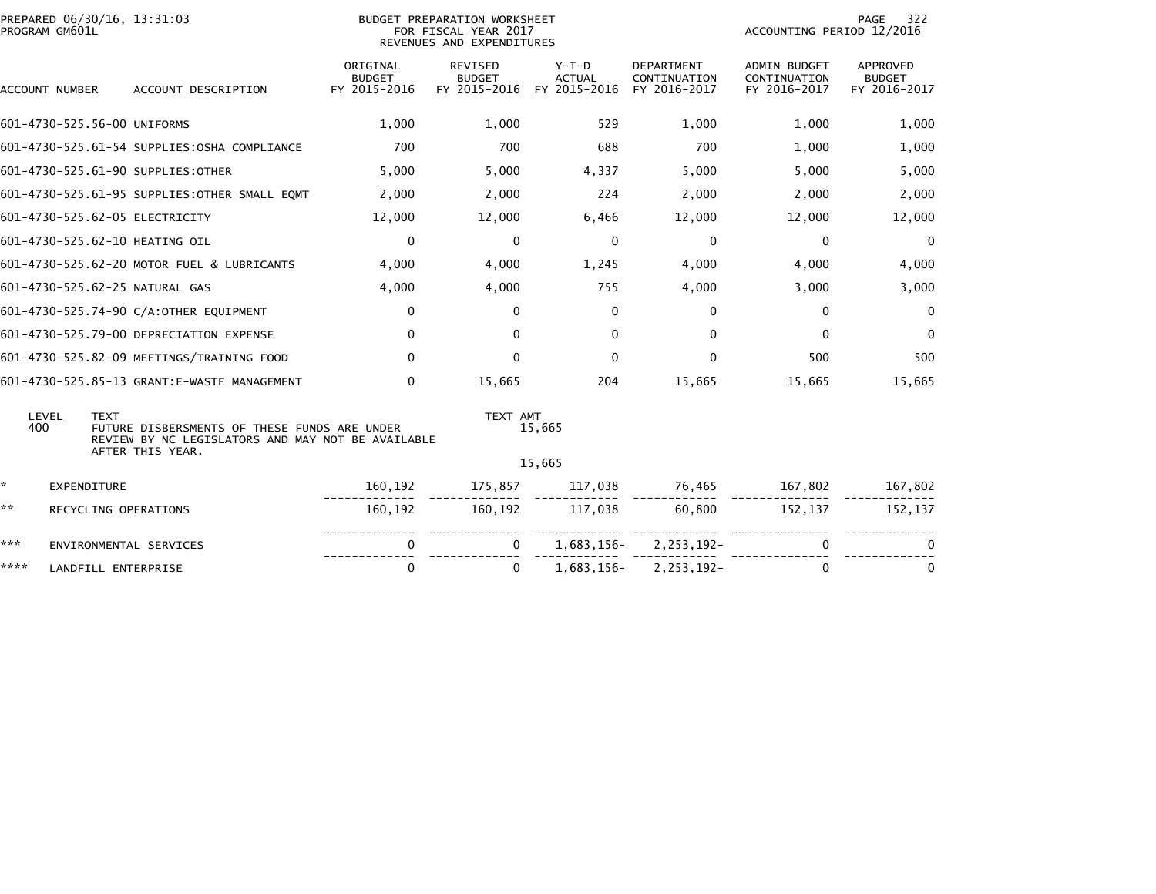| PROGRAM GM601L                                                                                                                                       | PREPARED 06/30/16, 13:31:03<br><b>BUDGET PREPARATION WORKSHEET</b><br>FOR FISCAL YEAR 2017<br>REVENUES AND EXPENDITURES |                                           |                                                 |                                          | 322<br>PAGE<br>ACCOUNTING PERIOD 12/2016          |                                                     |                                                  |
|------------------------------------------------------------------------------------------------------------------------------------------------------|-------------------------------------------------------------------------------------------------------------------------|-------------------------------------------|-------------------------------------------------|------------------------------------------|---------------------------------------------------|-----------------------------------------------------|--------------------------------------------------|
| ACCOUNT NUMBER                                                                                                                                       | ACCOUNT DESCRIPTION                                                                                                     | ORIGINAL<br><b>BUDGET</b><br>FY 2015-2016 | <b>REVISED</b><br><b>BUDGET</b><br>FY 2015-2016 | $Y-T-D$<br><b>ACTUAL</b><br>FY 2015-2016 | <b>DEPARTMENT</b><br>CONTINUATION<br>FY 2016-2017 | <b>ADMIN BUDGET</b><br>CONTINUATION<br>FY 2016-2017 | <b>APPROVED</b><br><b>BUDGET</b><br>FY 2016-2017 |
| 601-4730-525.56-00 UNIFORMS                                                                                                                          |                                                                                                                         | 1,000                                     | 1,000                                           | 529                                      | 1,000                                             | 1,000                                               | 1,000                                            |
|                                                                                                                                                      | 601-4730-525.61-54 SUPPLIES: OSHA COMPLIANCE                                                                            | 700                                       | 700                                             | 688                                      | 700                                               | 1,000                                               | 1,000                                            |
| 601-4730-525.61-90 SUPPLIES: OTHER                                                                                                                   |                                                                                                                         | 5,000                                     | 5,000                                           | 4,337                                    | 5,000                                             | 5,000                                               | 5,000                                            |
|                                                                                                                                                      | 601-4730-525.61-95 SUPPLIES: OTHER SMALL EQMT                                                                           | 2,000                                     | 2,000                                           | 224                                      | 2,000                                             | 2,000                                               | 2,000                                            |
| 601-4730-525.62-05 ELECTRICITY                                                                                                                       |                                                                                                                         | 12,000                                    | 12,000                                          | 6,466                                    | 12,000                                            | 12,000                                              | 12,000                                           |
| 601-4730-525.62-10 HEATING OIL                                                                                                                       |                                                                                                                         | $\Omega$                                  | $\mathbf{0}$                                    | $\mathbf{0}$                             | $\mathbf{0}$                                      | $\mathbf{0}$                                        | $\Omega$                                         |
|                                                                                                                                                      | 601-4730-525.62-20 MOTOR FUEL & LUBRICANTS                                                                              | 4,000                                     | 4,000                                           | 1,245                                    | 4,000                                             | 4,000                                               | 4,000                                            |
| 601-4730-525.62-25 NATURAL GAS                                                                                                                       |                                                                                                                         | 4,000                                     | 4,000                                           | 755                                      | 4,000                                             | 3,000                                               | 3,000                                            |
|                                                                                                                                                      | 601-4730-525.74-90 C/A:OTHER EQUIPMENT                                                                                  | $\mathbf 0$                               | $\mathbf 0$                                     | $\mathbf{0}$                             | $\mathbf 0$                                       | $\mathbf 0$                                         | $\Omega$                                         |
|                                                                                                                                                      | 601-4730-525.79-00 DEPRECIATION EXPENSE                                                                                 | $\mathbf{0}$                              | $\Omega$                                        | $\mathbf{0}$                             | $\mathbf{0}$                                      | $\mathbf{0}$                                        | $\mathbf{0}$                                     |
|                                                                                                                                                      | 601-4730-525.82-09 MEETINGS/TRAINING FOOD                                                                               | $\mathbf{0}$                              | $\Omega$                                        | $\mathbf{0}$                             | $\Omega$                                          | 500                                                 | 500                                              |
|                                                                                                                                                      | 601-4730-525.85-13 GRANT:E-WASTE MANAGEMENT                                                                             | $\mathbf{0}$                              | 15,665                                          | 204                                      | 15,665                                            | 15,665                                              | 15,665                                           |
| LEVEL<br><b>TEXT</b><br>400<br>FUTURE DISBERSMENTS OF THESE FUNDS ARE UNDER<br>REVIEW BY NC LEGISLATORS AND MAY NOT BE AVAILABLE<br>AFTER THIS YEAR. |                                                                                                                         |                                           | TEXT AMT<br>15,665                              |                                          |                                                   |                                                     |                                                  |
|                                                                                                                                                      |                                                                                                                         |                                           |                                                 | 15,665                                   |                                                   |                                                     |                                                  |
| *.<br>EXPENDITURE                                                                                                                                    |                                                                                                                         | 160,192                                   | 175,857                                         | 117,038                                  | 76,465                                            | 167,802                                             | 167,802                                          |
| **<br>RECYCLING OPERATIONS                                                                                                                           |                                                                                                                         | 160,192                                   | 160,192                                         | 117,038                                  | 60,800                                            | 152,137                                             | 152,137                                          |
| ***<br>0<br>ENVIRONMENTAL SERVICES                                                                                                                   |                                                                                                                         |                                           |                                                 | 1,683,156-                               | 2, 253, 192-                                      | 0                                                   |                                                  |
| ****<br>LANDFILL ENTERPRISE                                                                                                                          |                                                                                                                         | $\mathbf{0}$                              | 0                                               | 1,683,156-                               | 2,253,192-                                        | $\mathbf{0}$                                        | $\Omega$                                         |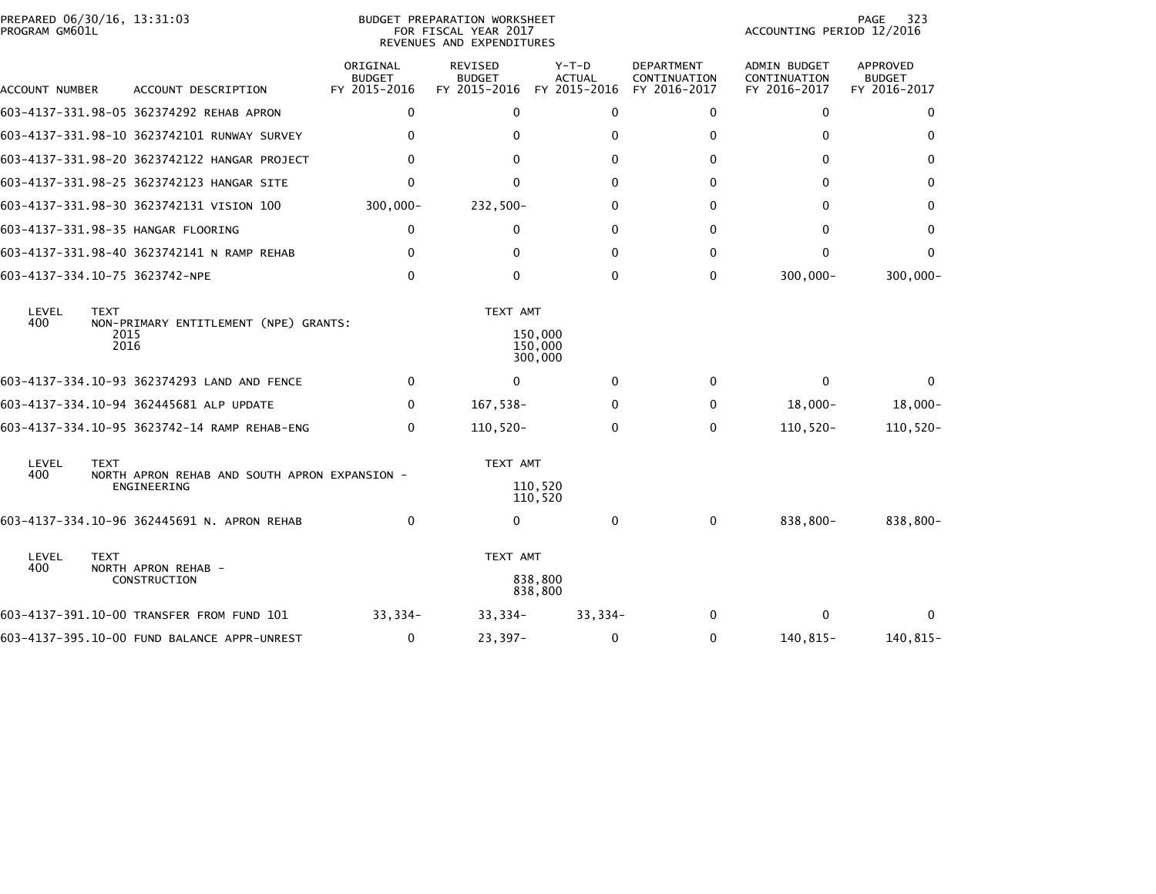| PROGRAM GM601L              | PREPARED 06/30/16, 13:31:03                                  | BUDGET PREPARATION WORKSHEET<br>FOR FISCAL YEAR 2017<br>REVENUES AND EXPENDITURES |                                                 |                                          |                                                   | 323<br>PAGE<br>ACCOUNTING PERIOD 12/2016            |                                           |  |
|-----------------------------|--------------------------------------------------------------|-----------------------------------------------------------------------------------|-------------------------------------------------|------------------------------------------|---------------------------------------------------|-----------------------------------------------------|-------------------------------------------|--|
| ACCOUNT NUMBER              | ACCOUNT DESCRIPTION                                          | ORIGINAL<br><b>BUDGET</b><br>FY 2015-2016                                         | <b>REVISED</b><br><b>BUDGET</b><br>FY 2015-2016 | $Y-T-D$<br><b>ACTUAL</b><br>FY 2015-2016 | <b>DEPARTMENT</b><br>CONTINUATION<br>FY 2016-2017 | <b>ADMIN BUDGET</b><br>CONTINUATION<br>FY 2016-2017 | APPROVED<br><b>BUDGET</b><br>FY 2016-2017 |  |
|                             | 603-4137-331.98-05 362374292 REHAB APRON                     | 0                                                                                 | $\Omega$                                        | 0                                        | 0                                                 | 0                                                   | 0                                         |  |
|                             | 603-4137-331.98-10 3623742101 RUNWAY SURVEY                  | 0                                                                                 | $\Omega$                                        | 0                                        | $\mathbf{0}$                                      | 0                                                   | 0                                         |  |
|                             | 603-4137-331.98-20 3623742122 HANGAR PROJECT                 | 0                                                                                 | 0                                               | 0                                        | 0                                                 | 0                                                   | 0                                         |  |
|                             | 603-4137-331.98-25 3623742123 HANGAR SITE                    | 0                                                                                 | $\mathbf 0$                                     | 0                                        | 0                                                 | 0                                                   | 0                                         |  |
|                             | 603-4137-331.98-30 3623742131 VISION 100                     | $300,000 -$                                                                       | $232,500-$                                      | 0                                        | 0                                                 | 0                                                   | 0                                         |  |
|                             | 603-4137-331.98-35 HANGAR FLOORING                           | 0                                                                                 | 0                                               | 0                                        | $\Omega$                                          | 0                                                   | 0                                         |  |
|                             | 603-4137-331.98-40 3623742141 N RAMP REHAB                   | 0                                                                                 | $\Omega$                                        | $\Omega$                                 | $\mathbf{0}$                                      | 0                                                   | $\Omega$                                  |  |
|                             | 603-4137-334.10-75 3623742-NPE                               | 0                                                                                 | $\mathbf 0$                                     | $\mathbf 0$                              | 0                                                 | $300,000 -$                                         | $300,000 -$                               |  |
| LEVEL<br>400                | <b>TEXT</b><br>NON-PRIMARY ENTITLEMENT (NPE) GRANTS:<br>2015 |                                                                                   | TEXT AMT                                        | 150,000                                  |                                                   |                                                     |                                           |  |
|                             | 2016                                                         |                                                                                   |                                                 | 150,000<br>300,000                       |                                                   |                                                     |                                           |  |
|                             | 603-4137-334.10-93 362374293 LAND AND FENCE                  | 0                                                                                 | $\mathbf{0}$                                    | $\mathbf{0}$                             | $\Omega$                                          | $\mathbf{0}$                                        | 0                                         |  |
|                             | 603-4137-334.10-94 362445681 ALP UPDATE                      | 0                                                                                 | 167,538-                                        | 0                                        | 0                                                 | $18,000-$                                           | $18,000-$                                 |  |
|                             | 603-4137-334.10-95 3623742-14 RAMP REHAB-ENG                 | $\Omega$                                                                          | $110,520-$                                      | 0                                        | $\Omega$                                          | $110,520 -$                                         | $110,520 -$                               |  |
| LEVEL<br><b>TEXT</b>        |                                                              |                                                                                   | TEXT AMT                                        |                                          |                                                   |                                                     |                                           |  |
| 400                         | NORTH APRON REHAB AND SOUTH APRON EXPANSION -<br>ENGINEERING |                                                                                   |                                                 | 110,520<br>110,520                       |                                                   |                                                     |                                           |  |
|                             | 603-4137-334.10-96 362445691 N. APRON REHAB                  | $\mathbf{0}$                                                                      | 0                                               | $\mathbf{0}$                             | 0                                                 | 838,800-                                            | 838,800-                                  |  |
| LEVEL<br><b>TEXT</b><br>400 |                                                              |                                                                                   | TEXT AMT                                        |                                          |                                                   |                                                     |                                           |  |
|                             | NORTH APRON REHAB -<br>CONSTRUCTION                          |                                                                                   |                                                 | 838,800<br>838,800                       |                                                   |                                                     |                                           |  |
|                             | 603-4137-391.10-00 TRANSFER FROM FUND 101                    | 33,334-                                                                           | $33,334-$                                       | $33,334-$                                | 0                                                 | 0                                                   | $\bf{0}$                                  |  |
|                             | 603-4137-395.10-00 FUND BALANCE APPR-UNREST                  | 0                                                                                 | $23,397-$                                       | $\mathbf 0$                              | 0                                                 | 140,815-                                            | 140,815-                                  |  |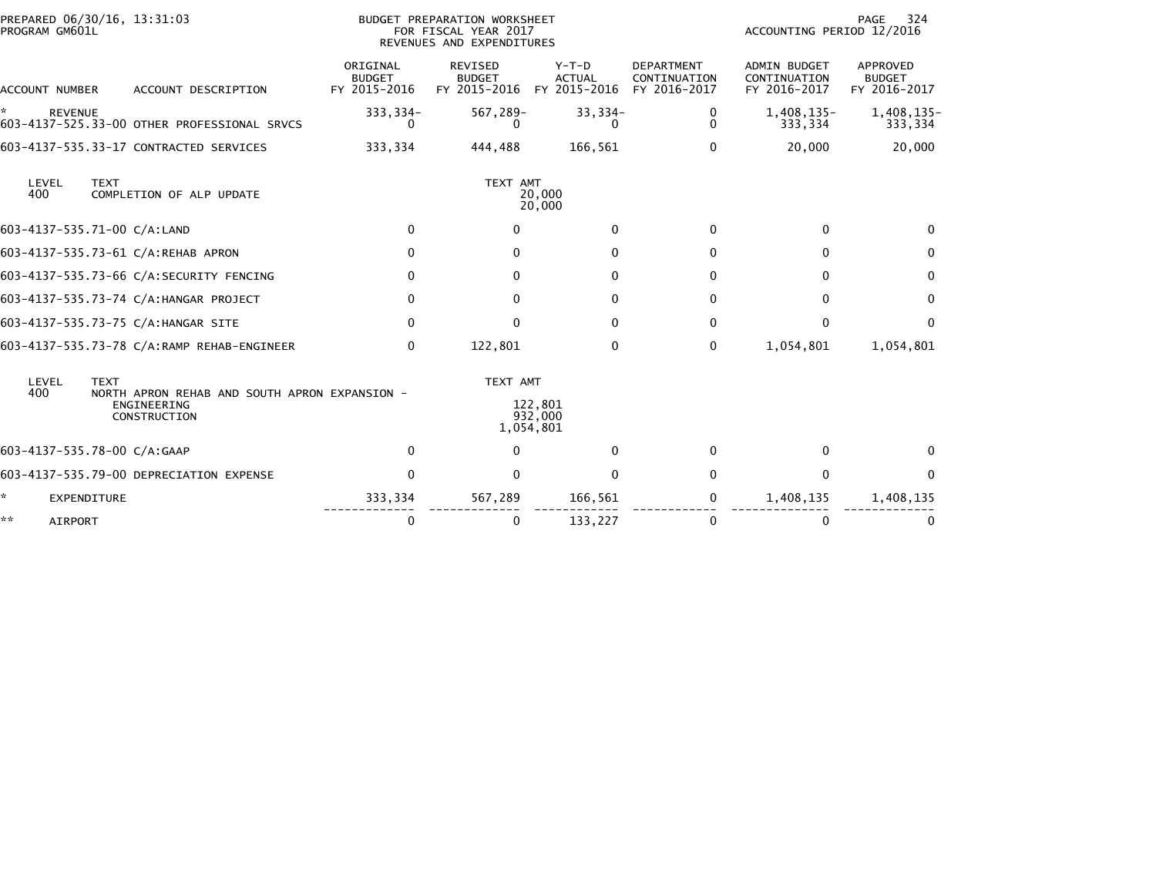| PREPARED 06/30/16, 13:31:03<br>PROGRAM GM601L                      | <b>BUDGET PREPARATION WORKSHEET</b><br>FOR FISCAL YEAR 2017<br>REVENUES AND EXPENDITURES |                                           |                                                 |                                          | PAGE<br>324<br>ACCOUNTING PERIOD 12/2016          |                                                     |                                           |
|--------------------------------------------------------------------|------------------------------------------------------------------------------------------|-------------------------------------------|-------------------------------------------------|------------------------------------------|---------------------------------------------------|-----------------------------------------------------|-------------------------------------------|
| ACCOUNT NUMBER                                                     | ACCOUNT DESCRIPTION                                                                      | ORIGINAL<br><b>BUDGET</b><br>FY 2015-2016 | <b>REVISED</b><br><b>BUDGET</b><br>FY 2015-2016 | $Y-T-D$<br><b>ACTUAL</b><br>FY 2015-2016 | <b>DEPARTMENT</b><br>CONTINUATION<br>FY 2016-2017 | <b>ADMIN BUDGET</b><br>CONTINUATION<br>FY 2016-2017 | APPROVED<br><b>BUDGET</b><br>FY 2016-2017 |
| *<br><b>REVENUE</b><br>603-4137-525.33-00 OTHER PROFESSIONAL SRVCS |                                                                                          | 333,334-<br>0                             | 567,289-<br>0                                   | $33,334-$<br>$\Omega$                    | 0<br>$\mathbf{0}$                                 | 1,408,135-<br>333,334                               | 1,408,135-<br>333,334                     |
| 603-4137-535.33-17 CONTRACTED SERVICES                             |                                                                                          | 333,334                                   | 444,488                                         | 166,561                                  | $\Omega$                                          | 20,000                                              | 20,000                                    |
| LEVEL<br><b>TEXT</b><br>400                                        | COMPLETION OF ALP UPDATE                                                                 |                                           | TEXT AMT                                        | 20,000<br>20,000                         |                                                   |                                                     |                                           |
| 603-4137-535.71-00 C/A:LAND                                        |                                                                                          | 0                                         | $\mathbf{0}$                                    | $\Omega$                                 | $\mathbf{0}$                                      | $\mathbf{0}$                                        | 0                                         |
| 603-4137-535.73-61 C/A:REHAB APRON                                 |                                                                                          | $\mathbf{0}$                              | $\mathbf{0}$                                    | $\Omega$                                 | 0                                                 | 0                                                   | $\mathbf{0}$                              |
| 603-4137-535.73-66 C/A:SECURITY FENCING                            |                                                                                          | $\mathbf{0}$                              | $\mathbf{0}$                                    | $\Omega$                                 | 0                                                 | 0                                                   | $\mathbf{0}$                              |
| 603-4137-535.73-74 C/A:HANGAR PROJECT                              |                                                                                          | $\mathbf{0}$                              | $\mathbf{0}$                                    | $\Omega$                                 | $\mathbf{0}$                                      | $\mathbf{0}$                                        | $\mathbf{0}$                              |
| 603-4137-535.73-75 C/A: HANGAR SITE                                |                                                                                          | $\mathbf{0}$                              | $\mathbf{0}$                                    | $\Omega$                                 | $\mathbf{0}$                                      | 0                                                   | $\mathbf{0}$                              |
| 603-4137-535.73-78 C/A:RAMP REHAB-ENGINEER                         |                                                                                          | $\mathbf 0$                               | 122,801                                         | $\mathbf{0}$                             | $\mathbf 0$                                       | 1,054,801                                           | 1,054,801                                 |
| LEVEL<br><b>TEXT</b><br>400<br>ENGINEERING<br>CONSTRUCTION         | NORTH APRON REHAB AND SOUTH APRON EXPANSION -                                            |                                           | TEXT AMT<br>1,054,801                           | 122,801<br>932,000                       |                                                   |                                                     |                                           |
| 603-4137-535.78-00 C/A:GAAP                                        |                                                                                          | $\mathbf 0$                               | $\mathbf{0}$                                    | $\Omega$                                 | 0                                                 | $\mathbf 0$                                         | 0                                         |
| 603-4137-535.79-00 DEPRECIATION EXPENSE                            |                                                                                          | $\Omega$                                  | $\mathbf{0}$                                    | $\Omega$                                 | $\Omega$                                          | $\mathbf{0}$                                        | $\mathbf{0}$                              |
| *.<br><b>EXPENDITURE</b>                                           |                                                                                          | 333,334                                   | 567,289                                         | 166,561                                  | 0                                                 | 1,408,135                                           | 1,408,135                                 |
| **<br><b>AIRPORT</b>                                               |                                                                                          | $\mathbf 0$                               | $\mathbf{0}$                                    | 133,227                                  | $\mathbf{0}$                                      | $\Omega$                                            | $\Omega$                                  |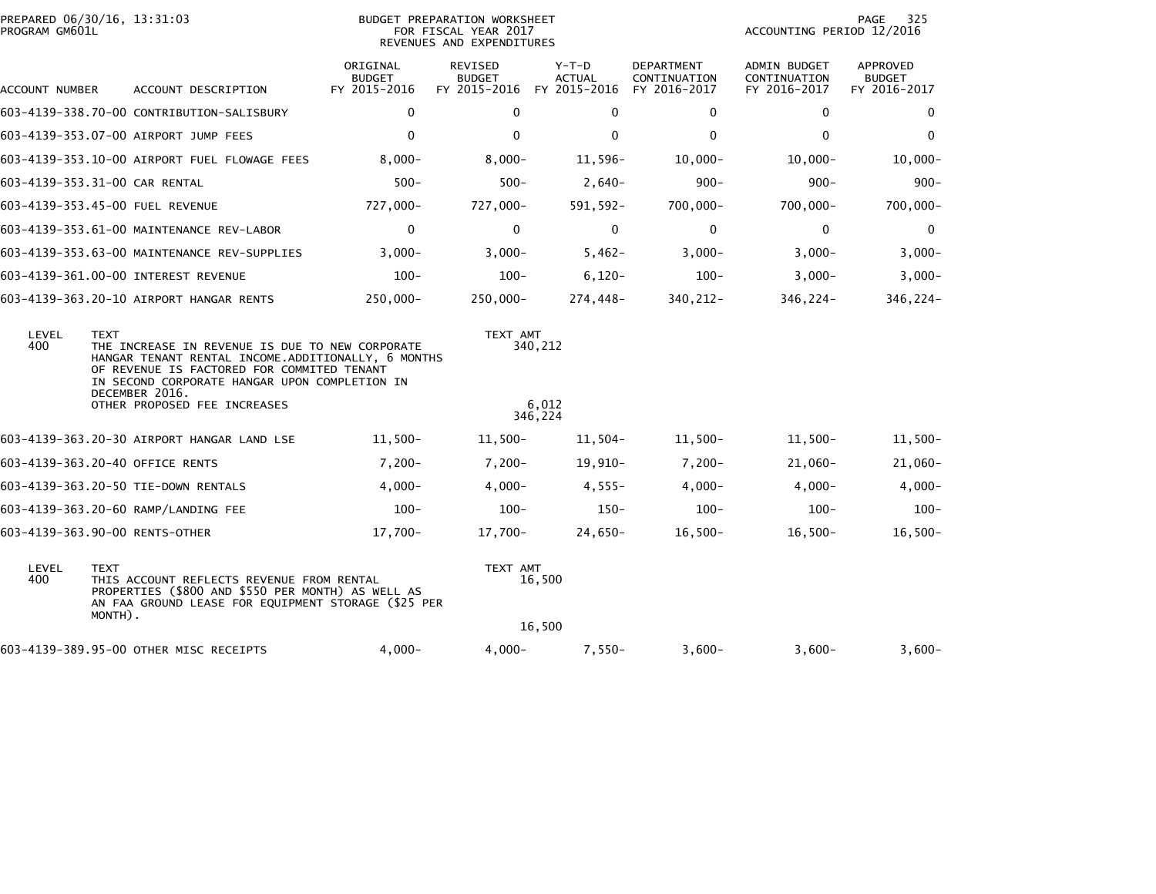| PREPARED 06/30/16, 13:31:03<br>PROGRAM GM601L |             |                                                                                                                                                                                                                                               |                                           | BUDGET PREPARATION WORKSHEET<br>FOR FISCAL YEAR 2017<br>REVENUES AND EXPENDITURES |                                          |                                                   | PAGE<br>325<br>ACCOUNTING PERIOD 12/2016            |                                           |  |  |
|-----------------------------------------------|-------------|-----------------------------------------------------------------------------------------------------------------------------------------------------------------------------------------------------------------------------------------------|-------------------------------------------|-----------------------------------------------------------------------------------|------------------------------------------|---------------------------------------------------|-----------------------------------------------------|-------------------------------------------|--|--|
| ACCOUNT NUMBER                                |             | ACCOUNT DESCRIPTION                                                                                                                                                                                                                           | ORIGINAL<br><b>BUDGET</b><br>FY 2015-2016 | <b>REVISED</b><br><b>BUDGET</b><br>FY 2015-2016                                   | $Y-T-D$<br><b>ACTUAL</b><br>FY 2015-2016 | <b>DEPARTMENT</b><br>CONTINUATION<br>FY 2016-2017 | <b>ADMIN BUDGET</b><br>CONTINUATION<br>FY 2016-2017 | APPROVED<br><b>BUDGET</b><br>FY 2016-2017 |  |  |
|                                               |             | 603-4139-338.70-00 CONTRIBUTION-SALISBURY                                                                                                                                                                                                     | $\mathbf{0}$                              | 0                                                                                 | $\Omega$                                 | $\mathbf{0}$                                      | 0                                                   | 0                                         |  |  |
|                                               |             | 603-4139-353.07-00 AIRPORT JUMP FEES                                                                                                                                                                                                          | $\Omega$                                  | $\mathbf 0$                                                                       | $\mathbf 0$                              | $\mathbf{0}$                                      | $\mathbf 0$                                         | $\mathbf 0$                               |  |  |
|                                               |             | 603-4139-353.10-00 AIRPORT FUEL FLOWAGE FEES                                                                                                                                                                                                  | $8,000 -$                                 | $8,000 -$                                                                         | 11,596-                                  | $10,000 -$                                        | $10,000 -$                                          | $10,000 -$                                |  |  |
| 603-4139-353.31-00 CAR RENTAL                 |             |                                                                                                                                                                                                                                               | $500 -$                                   | $500 -$                                                                           | $2,640-$                                 | $900 -$                                           | $900 -$                                             | $900 -$                                   |  |  |
|                                               |             | 603-4139-353.45-00 FUEL REVENUE                                                                                                                                                                                                               | 727,000-                                  | 727,000-                                                                          | 591,592-                                 | $700,000 -$                                       | $700,000 -$                                         | $700,000 -$                               |  |  |
|                                               |             | 603-4139-353.61-00 MAINTENANCE REV-LABOR                                                                                                                                                                                                      | $\Omega$                                  | $\Omega$                                                                          | $\mathbf{0}$                             | $\mathbf{0}$                                      | $\Omega$                                            | $\mathbf 0$                               |  |  |
|                                               |             | 603-4139-353.63-00 MAINTENANCE REV-SUPPLIES                                                                                                                                                                                                   | $3,000-$                                  | $3,000-$                                                                          | $5,462-$                                 | $3,000-$                                          | $3,000-$                                            | $3,000-$                                  |  |  |
|                                               |             | 603-4139-361.00-00 INTEREST REVENUE                                                                                                                                                                                                           | $100 -$                                   | $100 -$                                                                           | $6,120-$                                 | $100 -$                                           | $3,000-$                                            | $3,000-$                                  |  |  |
|                                               |             | 603-4139-363.20-10 AIRPORT HANGAR RENTS                                                                                                                                                                                                       | $250,000 -$                               | $250,000 -$                                                                       | 274,448-                                 | 340, 212-                                         | 346,224-                                            | 346,224-                                  |  |  |
| LEVEL<br>400                                  | <b>TEXT</b> | TEXT AMT<br>THE INCREASE IN REVENUE IS DUE TO NEW CORPORATE<br>340,212<br>HANGAR TENANT RENTAL INCOME.ADDITIONALLY, 6 MONTHS<br>OF REVENUE IS FACTORED FOR COMMITED TENANT<br>IN SECOND CORPORATE HANGAR UPON COMPLETION IN<br>DECEMBER 2016. |                                           |                                                                                   |                                          |                                                   |                                                     |                                           |  |  |
|                                               |             | OTHER PROPOSED FEE INCREASES                                                                                                                                                                                                                  |                                           |                                                                                   | 6,012<br>346,224                         |                                                   |                                                     |                                           |  |  |
|                                               |             | 603-4139-363.20-30 AIRPORT HANGAR LAND LSE                                                                                                                                                                                                    | $11,500-$                                 | 11,500-                                                                           | 11,504-                                  | 11,500-                                           | $11,500-$                                           | $11,500-$                                 |  |  |
|                                               |             | 603-4139-363.20-40 OFFICE RENTS                                                                                                                                                                                                               | $7,200-$                                  | $7,200-$                                                                          | $19,910-$                                | $7,200-$                                          | 21,060-                                             | $21,060-$                                 |  |  |
|                                               |             | 603-4139-363.20-50 TIE-DOWN RENTALS                                                                                                                                                                                                           | $4,000-$                                  | $4,000-$                                                                          | $4,555-$                                 | $4,000-$                                          | $4,000-$                                            | $4,000-$                                  |  |  |
|                                               |             | 603-4139-363.20-60 RAMP/LANDING FEE                                                                                                                                                                                                           | $100 -$                                   | $100 -$                                                                           | $150 -$                                  | $100 -$                                           | $100 -$                                             | $100 -$                                   |  |  |
| 603-4139-363.90-00 RENTS-OTHER                |             |                                                                                                                                                                                                                                               | 17,700-                                   | 17,700-                                                                           | $24,650-$                                | $16,500-$                                         | $16,500-$                                           | $16,500-$                                 |  |  |
| LEVEL<br>400                                  | <b>TEXT</b> | TEXT AMT<br>16,500<br>THIS ACCOUNT REFLECTS REVENUE FROM RENTAL<br>PROPERTIES (\$800 AND \$550 PER MONTH) AS WELL AS<br>AN FAA GROUND LEASE FOR EQUIPMENT STORAGE (\$25 PER<br>MONTH).                                                        |                                           |                                                                                   |                                          |                                                   |                                                     |                                           |  |  |
|                                               |             |                                                                                                                                                                                                                                               |                                           |                                                                                   | 16,500                                   |                                                   |                                                     |                                           |  |  |
|                                               |             | 603-4139-389.95-00 OTHER MISC RECEIPTS                                                                                                                                                                                                        | $4,000-$                                  | $4,000-$                                                                          | $7,550-$                                 | $3,600-$                                          | $3,600-$                                            | $3,600-$                                  |  |  |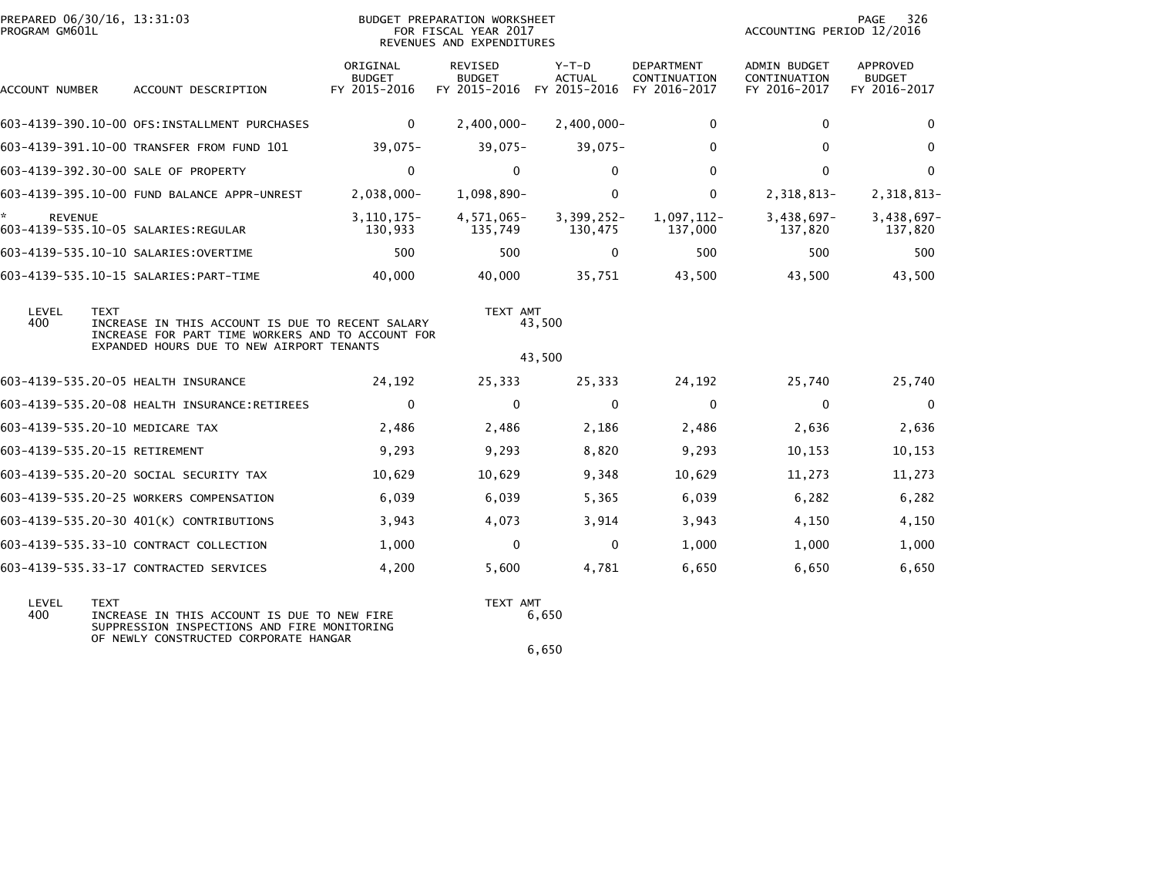| PROGRAM GM601L       | PREPARED 06/30/16, 13:31:03                                                                                                                                       |                                           | BUDGET PREPARATION WORKSHEET<br>FOR FISCAL YEAR 2017<br>REVENUES AND EXPENDITURES |                                          |                                                   | 326<br>PAGE<br>ACCOUNTING PERIOD 12/2016            |                                                  |  |
|----------------------|-------------------------------------------------------------------------------------------------------------------------------------------------------------------|-------------------------------------------|-----------------------------------------------------------------------------------|------------------------------------------|---------------------------------------------------|-----------------------------------------------------|--------------------------------------------------|--|
| ACCOUNT NUMBER       | ACCOUNT DESCRIPTION                                                                                                                                               | ORIGINAL<br><b>BUDGET</b><br>FY 2015-2016 | <b>REVISED</b><br><b>BUDGET</b><br>FY 2015-2016                                   | $Y-T-D$<br><b>ACTUAL</b><br>FY 2015-2016 | <b>DEPARTMENT</b><br>CONTINUATION<br>FY 2016-2017 | <b>ADMIN BUDGET</b><br>CONTINUATION<br>FY 2016-2017 | <b>APPROVED</b><br><b>BUDGET</b><br>FY 2016-2017 |  |
|                      | 603-4139-390.10-00 OFS: INSTALLMENT PURCHASES                                                                                                                     | $\mathbf 0$                               | $2,400,000 -$                                                                     | $2,400,000 -$                            | 0                                                 | $\mathbf 0$                                         | $\mathbf 0$                                      |  |
|                      | 603-4139-391.10-00 TRANSFER FROM FUND 101                                                                                                                         | $39,075-$                                 | $39,075-$                                                                         | $39,075-$                                | $\Omega$                                          | $\Omega$                                            | $\mathbf 0$                                      |  |
|                      | 603-4139-392.30-00 SALE OF PROPERTY                                                                                                                               | $\mathbf 0$                               | $\Omega$                                                                          | $\mathbf{0}$                             | $\Omega$                                          | $\mathbf{0}$                                        | $\mathbf 0$                                      |  |
|                      | 603-4139-395.10-00 FUND BALANCE APPR-UNREST                                                                                                                       | $2,038,000 -$                             | 1,098,890-                                                                        | 0                                        | $\mathbf{0}$                                      | 2,318,813-                                          | 2,318,813-                                       |  |
| *.<br><b>REVENUE</b> | 603-4139-535.10-05 SALARIES:REGULAR                                                                                                                               | $3, 110, 175 -$<br>130,933                | 4,571,065-<br>135,749                                                             | $3,399,252-$<br>130,475                  | 1,097,112-<br>137,000                             | $3,438,697-$<br>137,820                             | 3,438,697-<br>137,820                            |  |
|                      | 603-4139-535.10-10 SALARIES: OVERTIME                                                                                                                             | 500                                       | 500                                                                               | 0                                        | 500                                               | 500                                                 | 500                                              |  |
|                      | 603-4139-535.10-15 SALARIES: PART-TIME                                                                                                                            | 40,000                                    | 40,000                                                                            | 35,751                                   | 43,500                                            | 43,500                                              | 43,500                                           |  |
| LEVEL<br>400         | <b>TEXT</b><br>INCREASE IN THIS ACCOUNT IS DUE TO RECENT SALARY<br>INCREASE FOR PART TIME WORKERS AND TO ACCOUNT FOR<br>EXPANDED HOURS DUE TO NEW AIRPORT TENANTS |                                           | TEXT AMT                                                                          | 43,500<br>43,500                         |                                                   |                                                     |                                                  |  |
|                      | 603-4139-535.20-05 HEALTH INSURANCE                                                                                                                               | 24,192                                    | 25,333                                                                            | 25,333                                   | 24,192                                            | 25,740                                              | 25,740                                           |  |
|                      | 603-4139-535.20-08 HEALTH INSURANCE:RETIREES                                                                                                                      | $\mathbf 0$                               | $\Omega$                                                                          | $\mathbf{0}$                             | $\mathbf{0}$                                      | $\mathbf{0}$                                        | $\overline{\mathbf{0}}$                          |  |
|                      | 603-4139-535.20-10 MEDICARE TAX                                                                                                                                   | 2,486                                     | 2,486                                                                             | 2,186                                    | 2,486                                             | 2,636                                               | 2,636                                            |  |
|                      | 603-4139-535.20-15 RETIREMENT                                                                                                                                     | 9,293                                     | 9,293                                                                             | 8,820                                    | 9,293                                             | 10,153                                              | 10,153                                           |  |
|                      | 603-4139-535.20-20 SOCIAL SECURITY TAX                                                                                                                            | 10,629                                    | 10,629                                                                            | 9,348                                    | 10,629                                            | 11,273                                              | 11,273                                           |  |
|                      | 603-4139-535.20-25 WORKERS COMPENSATION                                                                                                                           | 6,039                                     | 6,039                                                                             | 5,365                                    | 6,039                                             | 6,282                                               | 6,282                                            |  |
|                      | 603-4139-535.20-30 401(K) CONTRIBUTIONS                                                                                                                           | 3,943                                     | 4,073                                                                             | 3,914                                    | 3,943                                             | 4,150                                               | 4,150                                            |  |
|                      | 603-4139-535.33-10 CONTRACT COLLECTION                                                                                                                            | 1,000                                     | $\Omega$                                                                          | $\mathbf{0}$                             | 1,000                                             | 1,000                                               | 1,000                                            |  |
|                      | 603-4139-535.33-17 CONTRACTED SERVICES                                                                                                                            | 4,200                                     | 5,600                                                                             | 4,781                                    | 6,650                                             | 6,650                                               | 6,650                                            |  |
| LEVEL<br>400         | <b>TEXT</b><br>INCREASE IN THIS ACCOUNT IS DUE TO NEW FIRE                                                                                                        |                                           | TEXT AMT                                                                          | 6,650                                    |                                                   |                                                     |                                                  |  |

 400 INCREASE IN THIS ACCOUNT IS DUE TO NEW FIRE 6,650 SUPPRESSION INSPECTIONS AND FIRE MONITORINGOF NEWLY CONSTRUCTED CORPORATE HANGAR  $6,650$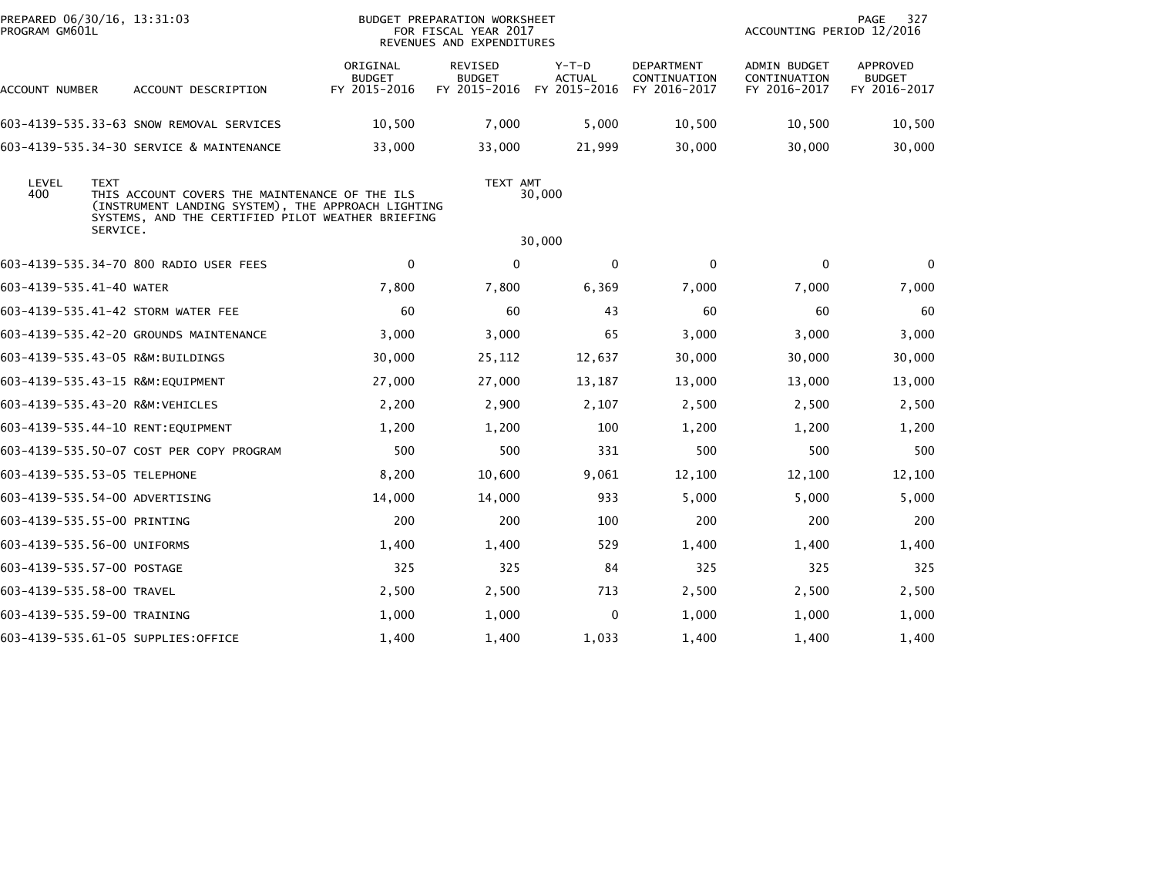| PREPARED 06/30/16, 13:31:03<br>PROGRAM GM601L |             |                                                                                                                                                           |                                           | BUDGET PREPARATION WORKSHEET<br>FOR FISCAL YEAR 2017<br>REVENUES AND EXPENDITURES |                                          |                                                   | ACCOUNTING PERIOD 12/2016                           | PAGE<br>327                               |  |  |  |
|-----------------------------------------------|-------------|-----------------------------------------------------------------------------------------------------------------------------------------------------------|-------------------------------------------|-----------------------------------------------------------------------------------|------------------------------------------|---------------------------------------------------|-----------------------------------------------------|-------------------------------------------|--|--|--|
| ACCOUNT NUMBER                                |             | ACCOUNT DESCRIPTION                                                                                                                                       | ORIGINAL<br><b>BUDGET</b><br>FY 2015-2016 | REVISED<br><b>BUDGET</b><br>FY 2015-2016                                          | $Y-T-D$<br><b>ACTUAL</b><br>FY 2015-2016 | <b>DEPARTMENT</b><br>CONTINUATION<br>FY 2016-2017 | <b>ADMIN BUDGET</b><br>CONTINUATION<br>FY 2016-2017 | APPROVED<br><b>BUDGET</b><br>FY 2016-2017 |  |  |  |
|                                               |             | 603-4139-535.33-63 SNOW REMOVAL SERVICES                                                                                                                  | 10,500                                    | 7,000                                                                             | 5,000                                    | 10,500                                            | 10,500                                              | 10,500                                    |  |  |  |
|                                               |             | 603-4139-535.34-30 SERVICE & MAINTENANCE                                                                                                                  | 33,000                                    | 33,000                                                                            | 21,999                                   | 30,000                                            | 30,000                                              | 30,000                                    |  |  |  |
| LEVEL<br>400                                  | <b>TEXT</b> | THIS ACCOUNT COVERS THE MAINTENANCE OF THE ILS<br>(INSTRUMENT LANDING SYSTEM), THE APPROACH LIGHTING<br>SYSTEMS, AND THE CERTIFIED PILOT WEATHER BRIEFING |                                           | TEXT AMT                                                                          | 30,000                                   |                                                   |                                                     |                                           |  |  |  |
|                                               | SERVICE.    |                                                                                                                                                           |                                           |                                                                                   | 30,000                                   |                                                   | $\mathbf{0}$<br>$\bf{0}$                            |                                           |  |  |  |
|                                               |             | 603-4139-535.34-70 800 RADIO USER FEES                                                                                                                    | $\mathbf 0$                               | $\Omega$                                                                          | $\Omega$                                 | $\mathbf{0}$                                      |                                                     |                                           |  |  |  |
| 603-4139-535.41-40 WATER                      |             |                                                                                                                                                           | 7,800                                     | 7,800                                                                             | 6,369                                    | 7,000                                             | 7,000                                               | 7,000                                     |  |  |  |
|                                               |             | 603-4139-535.41-42 STORM WATER FEE                                                                                                                        | 60                                        | 60                                                                                | 43                                       | 60                                                | 60                                                  | 60                                        |  |  |  |
|                                               |             | 603-4139-535.42-20 GROUNDS MAINTENANCE                                                                                                                    | 3,000                                     | 3,000                                                                             | 65                                       | 3,000                                             | 3,000                                               | 3,000                                     |  |  |  |
| 603-4139-535.43-05 R&M:BUILDINGS              |             |                                                                                                                                                           | 30,000                                    | 25,112                                                                            | 12,637                                   | 30,000                                            | 30,000                                              | 30,000                                    |  |  |  |
| 603-4139-535.43-15 R&M:EQUIPMENT              |             |                                                                                                                                                           | 27,000                                    | 27,000                                                                            | 13,187                                   | 13,000                                            | 13,000                                              | 13,000                                    |  |  |  |
| 603-4139-535.43-20 R&M:VEHICLES               |             |                                                                                                                                                           | 2,200                                     | 2,900                                                                             | 2,107                                    | 2,500                                             | 2,500                                               | 2,500                                     |  |  |  |
|                                               |             | 603-4139-535.44-10 RENT:EQUIPMENT                                                                                                                         | 1,200                                     | 1,200                                                                             | 100                                      | 1,200                                             | 1,200                                               | 1,200                                     |  |  |  |
|                                               |             | 603-4139-535.50-07 COST PER COPY PROGRAM                                                                                                                  | 500                                       | 500                                                                               | 331                                      | 500                                               | 500                                                 | 500                                       |  |  |  |
| 603-4139-535.53-05 TELEPHONE                  |             |                                                                                                                                                           | 8,200                                     | 10,600                                                                            | 9,061                                    | 12,100                                            | 12,100                                              | 12,100                                    |  |  |  |
| 603-4139-535.54-00 ADVERTISING                |             |                                                                                                                                                           | 14,000                                    | 14,000                                                                            | 933                                      | 5,000                                             | 5,000                                               | 5,000                                     |  |  |  |
| 603-4139-535.55-00 PRINTING                   |             |                                                                                                                                                           | 200                                       | 200                                                                               | 100                                      | 200                                               | 200                                                 | 200                                       |  |  |  |
| 603-4139-535.56-00 UNIFORMS                   |             |                                                                                                                                                           | 1,400                                     | 1,400                                                                             | 529                                      | 1,400                                             | 1,400                                               | 1,400                                     |  |  |  |
| 603-4139-535.57-00 POSTAGE                    |             |                                                                                                                                                           | 325                                       | 325                                                                               | 84                                       | 325                                               | 325                                                 | 325                                       |  |  |  |
| 603-4139-535.58-00 TRAVEL                     |             |                                                                                                                                                           | 2,500                                     | 2,500                                                                             | 713                                      | 2,500                                             | 2,500                                               | 2,500                                     |  |  |  |
| 603-4139-535.59-00 TRAINING                   |             |                                                                                                                                                           | 1,000                                     | 1,000                                                                             | 0                                        | 1,000                                             | 1,000                                               | 1,000                                     |  |  |  |
|                                               |             | 603-4139-535.61-05 SUPPLIES:OFFICE                                                                                                                        | 1,400                                     | 1,400                                                                             | 1,033                                    | 1,400                                             | 1,400                                               | 1,400                                     |  |  |  |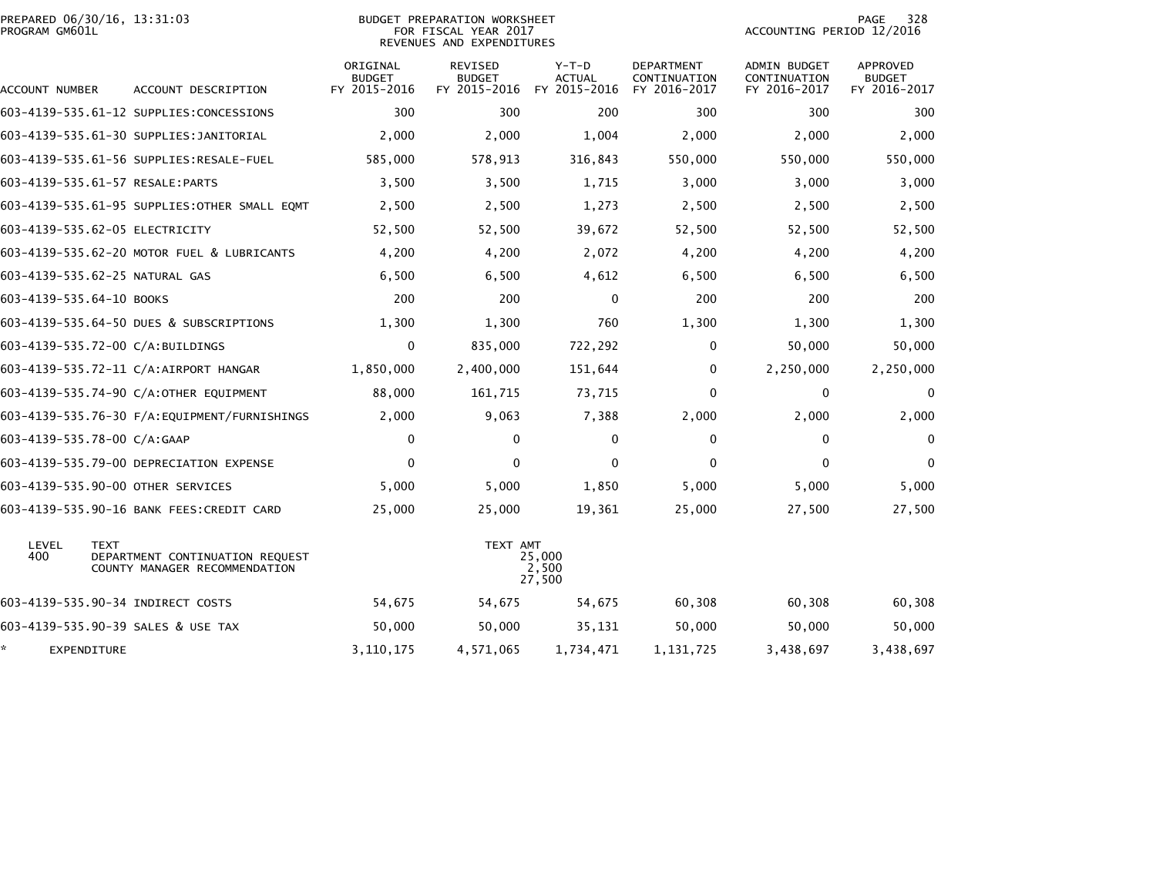| PROGRAM GM601L           | PREPARED 06/30/16, 13:31:03                                                     |                                           | <b>BUDGET PREPARATION WORKSHEET</b><br>FOR FISCAL YEAR 2017<br>REVENUES AND EXPENDITURES | 328<br>PAGE<br>ACCOUNTING PERIOD 12/2016 |                                                   |                                                     |                                           |
|--------------------------|---------------------------------------------------------------------------------|-------------------------------------------|------------------------------------------------------------------------------------------|------------------------------------------|---------------------------------------------------|-----------------------------------------------------|-------------------------------------------|
| ACCOUNT NUMBER           | ACCOUNT DESCRIPTION                                                             | ORIGINAL<br><b>BUDGET</b><br>FY 2015-2016 | <b>REVISED</b><br><b>BUDGET</b><br>FY 2015-2016                                          | $Y-T-D$<br><b>ACTUAL</b><br>FY 2015-2016 | <b>DEPARTMENT</b><br>CONTINUATION<br>FY 2016-2017 | <b>ADMIN BUDGET</b><br>CONTINUATION<br>FY 2016-2017 | APPROVED<br><b>BUDGET</b><br>FY 2016-2017 |
|                          | 603-4139-535.61-12 SUPPLIES:CONCESSIONS                                         | 300                                       | 300                                                                                      | 200                                      | 300                                               | 300                                                 | 300                                       |
|                          | 603-4139-535.61-30 SUPPLIES: JANITORIAL                                         | 2,000                                     | 2,000                                                                                    | 1,004                                    | 2,000                                             | 2,000                                               | 2,000                                     |
|                          | 603-4139-535.61-56 SUPPLIES:RESALE-FUEL                                         | 585,000                                   | 578,913                                                                                  | 316,843                                  | 550,000                                           | 550,000                                             | 550,000                                   |
|                          | 603-4139-535.61-57 RESALE:PARTS                                                 | 3,500                                     | 3,500                                                                                    | 1,715                                    | 3,000                                             | 3,000                                               | 3,000                                     |
|                          | 603-4139-535.61-95 SUPPLIES: OTHER SMALL EQMT                                   | 2,500                                     | 2,500                                                                                    | 1,273                                    | 2,500                                             | 2,500                                               | 2,500                                     |
|                          | 603-4139-535.62-05 ELECTRICITY                                                  | 52,500                                    | 52,500                                                                                   | 39,672                                   | 52,500                                            | 52,500                                              | 52,500                                    |
|                          | 603-4139-535.62-20 MOTOR FUEL & LUBRICANTS                                      | 4,200                                     | 4,200                                                                                    | 2,072                                    | 4,200                                             | 4,200                                               | 4,200                                     |
|                          | 603-4139-535.62-25 NATURAL GAS                                                  | 6,500                                     | 6,500                                                                                    | 4,612                                    | 6,500                                             | 6,500                                               | 6,500                                     |
| 603-4139-535.64-10 BOOKS |                                                                                 | 200                                       | 200                                                                                      | 0                                        | 200                                               | 200                                                 | 200                                       |
|                          | 603-4139-535.64-50 DUES & SUBSCRIPTIONS                                         | 1,300                                     | 1,300                                                                                    | 760                                      | 1,300                                             | 1,300                                               | 1,300                                     |
|                          | 603-4139-535.72-00 C/A:BUILDINGS                                                | 0                                         | 835,000                                                                                  | 722,292                                  | 0                                                 | 50,000                                              | 50,000                                    |
|                          | 603-4139-535.72-11 C/A:AIRPORT HANGAR                                           | 1,850,000                                 | 2,400,000                                                                                | 151,644                                  | $\mathbf{0}$                                      | 2,250,000                                           | 2,250,000                                 |
|                          | 603-4139-535.74-90 C/A:OTHER EQUIPMENT                                          | 88,000                                    | 161,715                                                                                  | 73,715                                   | $\mathbf 0$                                       | 0                                                   | $\mathbf 0$                               |
|                          | 603-4139-535.76-30 F/A:EQUIPMENT/FURNISHINGS                                    | 2,000                                     | 9,063                                                                                    | 7,388                                    | 2,000                                             | 2,000                                               | 2,000                                     |
|                          | 603-4139-535.78-00 C/A:GAAP                                                     | $\mathbf 0$                               | $\mathbf{0}$                                                                             | $\mathbf{0}$                             | $\mathbf 0$                                       | $\mathbf{0}$                                        | $\mathbf{0}$                              |
|                          | 603-4139-535.79-00 DEPRECIATION EXPENSE                                         | $\mathbf{0}$                              | 0                                                                                        | $\Omega$                                 | $\mathbf{0}$                                      | $\mathbf{0}$                                        | $\Omega$                                  |
|                          | 603-4139-535.90-00 OTHER SERVICES                                               | 5,000                                     | 5,000                                                                                    | 1,850                                    | 5,000                                             | 5,000                                               | 5,000                                     |
|                          | 603-4139-535.90-16 BANK FEES: CREDIT CARD                                       | 25,000                                    | 25,000                                                                                   | 19,361                                   | 25,000                                            | 27,500                                              | 27,500                                    |
| LEVEL<br>400             | <b>TEXT</b><br>DEPARTMENT CONTINUATION REQUEST<br>COUNTY MANAGER RECOMMENDATION | TEXT AMT<br>25,000<br>2,500<br>27,500     |                                                                                          |                                          |                                                   |                                                     |                                           |
|                          | 603-4139-535.90-34 INDIRECT COSTS                                               | 54,675                                    | 54,675                                                                                   | 54,675                                   | 60,308                                            | 60,308                                              | 60,308                                    |
|                          | 603-4139-535.90-39 SALES & USE TAX                                              | 50,000                                    | 50,000                                                                                   | 35,131                                   | 50,000                                            | 50,000                                              | 50,000                                    |
| *<br>EXPENDITURE         |                                                                                 | 3,110,175                                 | 4,571,065                                                                                | 1,734,471                                | 1, 131, 725                                       | 3,438,697                                           | 3,438,697                                 |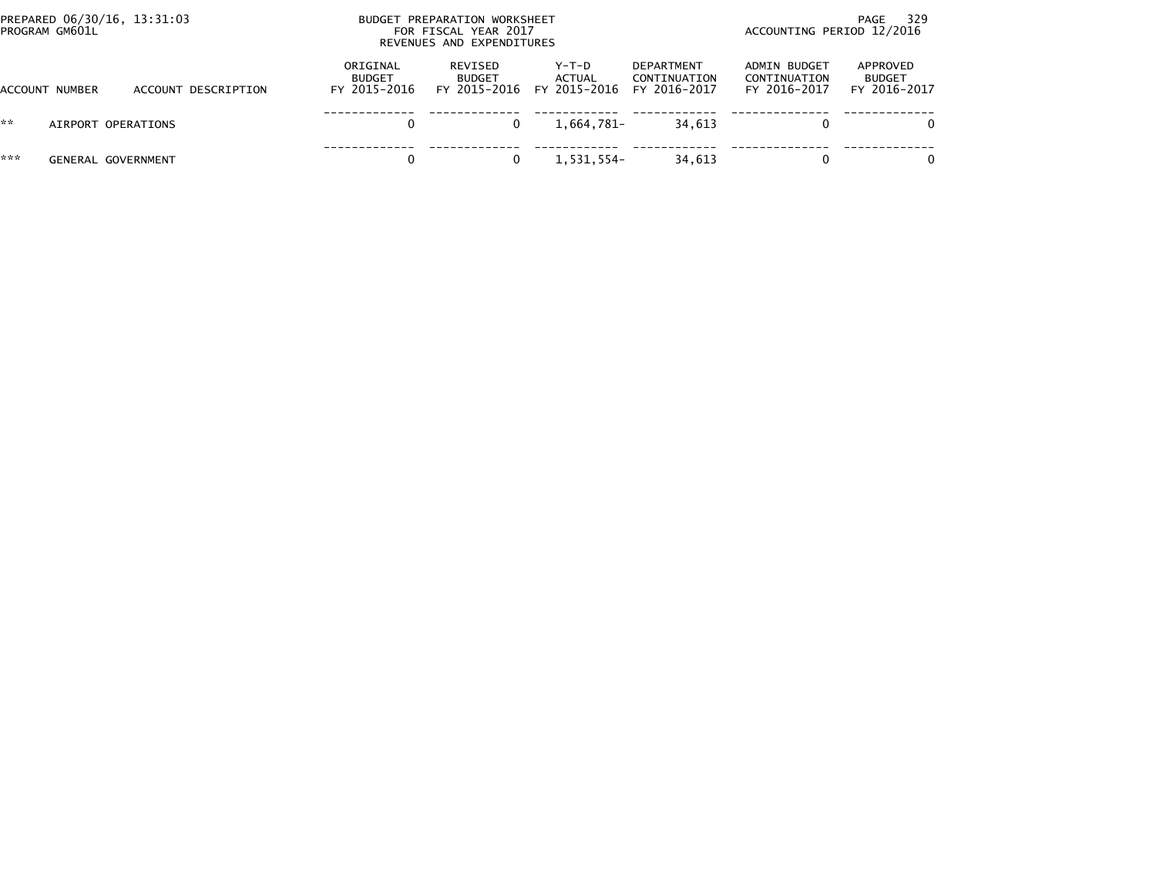|     | PREPARED 06/30/16, 13:31:03<br>PROGRAM GM601L |                     | BUDGET PREPARATION WORKSHEET<br>FOR FISCAL YEAR 2017<br>REVENUES AND EXPENDITURES |                                          |                                   |                                                   | - 329<br>PAGE<br>ACCOUNTING PERIOD 12/2016   |                                           |  |
|-----|-----------------------------------------------|---------------------|-----------------------------------------------------------------------------------|------------------------------------------|-----------------------------------|---------------------------------------------------|----------------------------------------------|-------------------------------------------|--|
|     | ACCOUNT NUMBER                                | ACCOUNT DESCRIPTION | ORIGINAL<br><b>BUDGET</b><br>FY 2015-2016                                         | REVISED<br><b>BUDGET</b><br>FY 2015-2016 | $Y-T-D$<br>ACTUAL<br>FY 2015-2016 | <b>DEPARTMENT</b><br>CONTINUATION<br>FY 2016-2017 | ADMIN BUDGET<br>CONTINUATION<br>FY 2016-2017 | APPROVED<br><b>BUDGET</b><br>FY 2016-2017 |  |
| **  | AIRPORT OPERATIONS                            |                     | 0                                                                                 |                                          | 1.664.781-                        | 34.613                                            |                                              |                                           |  |
| *** | <b>GENERAL GOVERNMENT</b>                     |                     | 0                                                                                 |                                          | 1,531,554-                        | 34,613                                            | $\Omega$                                     | $\Omega$                                  |  |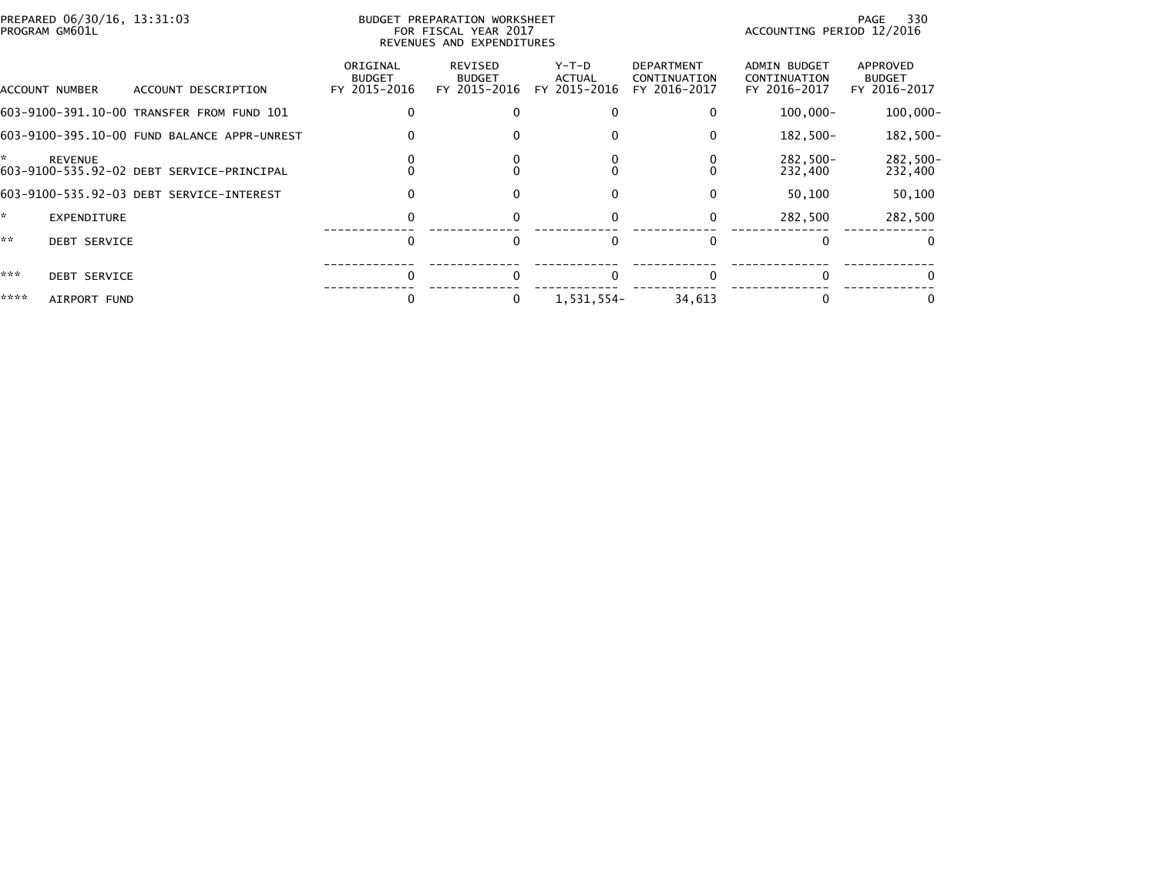| PREPARED 06/30/16, 13:31:03<br>PROGRAM GM601L                    |                                           | BUDGET PREPARATION WORKSHEET<br>FOR FISCAL YEAR 2017<br>REVENUES AND EXPENDITURES |                                        |                                                   | PAGE<br>ACCOUNTING PERIOD 12/2016            |                                           |  |
|------------------------------------------------------------------|-------------------------------------------|-----------------------------------------------------------------------------------|----------------------------------------|---------------------------------------------------|----------------------------------------------|-------------------------------------------|--|
| ACCOUNT DESCRIPTION<br>ACCOUNT NUMBER                            | ORIGINAL<br><b>BUDGET</b><br>FY 2015-2016 | REVISED<br><b>BUDGET</b><br>FY 2015-2016                                          | Y-T-D<br><b>ACTUAL</b><br>FY 2015-2016 | <b>DEPARTMENT</b><br>CONTINUATION<br>FY 2016-2017 | ADMIN BUDGET<br>CONTINUATION<br>FY 2016-2017 | APPROVED<br><b>BUDGET</b><br>FY 2016-2017 |  |
| 603-9100-391.10-00 TRANSFER FROM FUND 101                        |                                           |                                                                                   | 0                                      | 0                                                 | $100,000 -$                                  | $100,000 -$                               |  |
| 603-9100-395.10-00 FUND BALANCE APPR-UNREST                      |                                           |                                                                                   | 0                                      | $\Omega$                                          | 182,500-                                     | 182,500-                                  |  |
| *<br><b>REVENUE</b><br>603-9100-535.92-02 DEBT SERVICE-PRINCIPAL |                                           |                                                                                   |                                        |                                                   | 282,500-<br>232,400                          | 282,500-<br>232,400                       |  |
| 603-9100-535.92-03 DEBT SERVICE-INTEREST                         | 0                                         |                                                                                   | $\Omega$                               | $\Omega$                                          | 50,100                                       | 50,100                                    |  |
| ×.<br><b>EXPENDITURE</b>                                         | 0                                         |                                                                                   | $\Omega$                               | $\mathbf{0}$                                      | 282.500                                      | 282,500                                   |  |
| **<br><b>DEBT SERVICE</b>                                        | $\Omega$                                  |                                                                                   | $\Omega$                               | $\Omega$                                          | $\Omega$                                     | $\Omega$                                  |  |
| ***<br><b>DEBT SERVICE</b>                                       | $\Omega$                                  |                                                                                   |                                        |                                                   |                                              |                                           |  |
| ****<br>AIRPORT FUND                                             |                                           |                                                                                   | 1,531,554-                             | 34,613                                            |                                              |                                           |  |